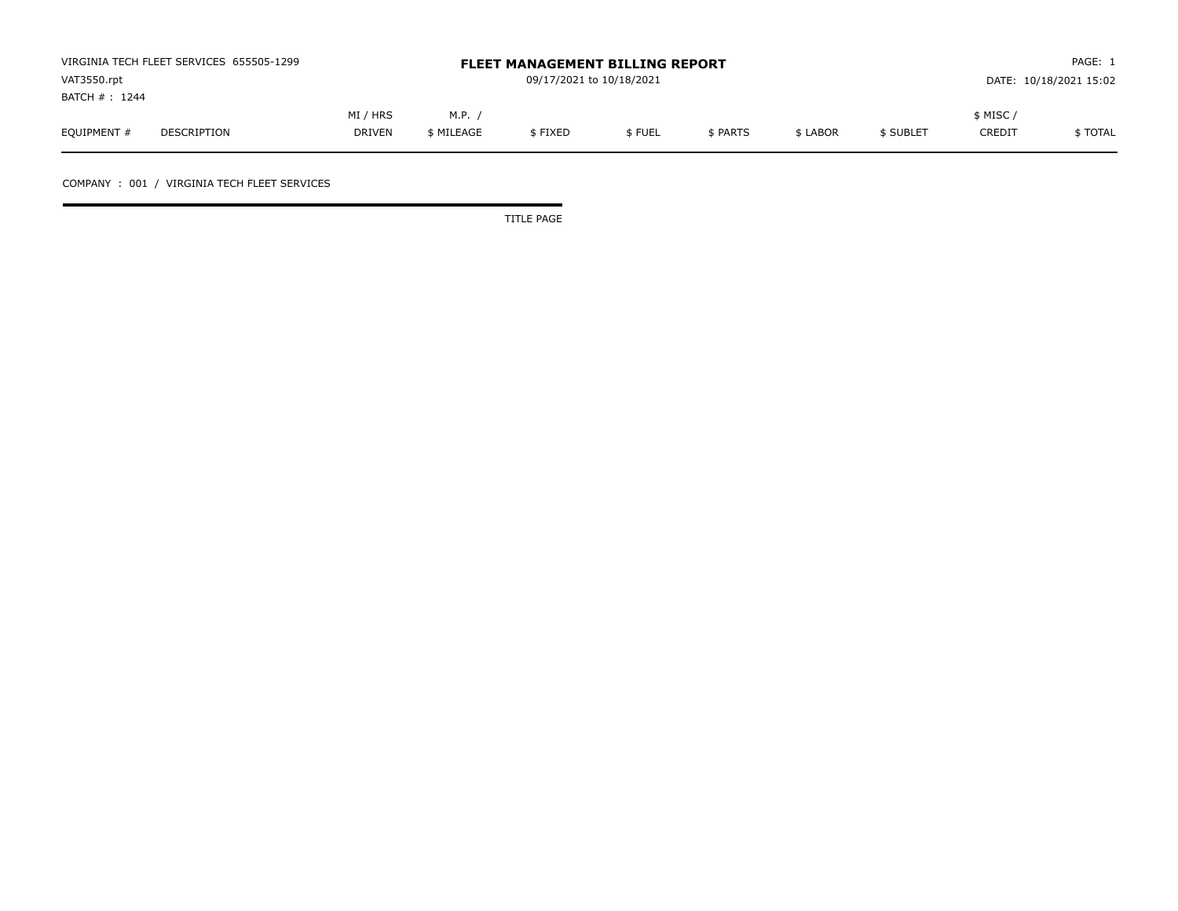| VIRGINIA TECH FLEET SERVICES 655505-1299 |             |                          |            | <b>FLEET MANAGEMENT BILLING REPORT</b> |        |          |          | PAGE: 1                |         |          |  |
|------------------------------------------|-------------|--------------------------|------------|----------------------------------------|--------|----------|----------|------------------------|---------|----------|--|
| VAT3550.rpt                              |             | 09/17/2021 to 10/18/2021 |            |                                        |        |          |          | DATE: 10/18/2021 15:02 |         |          |  |
| BATCH # : 1244                           |             |                          |            |                                        |        |          |          |                        |         |          |  |
|                                          |             | MI / HRS                 | M.P.,      |                                        |        |          |          |                        | \$ MISC |          |  |
| EQUIPMENT #                              | DESCRIPTION | <b>DRIVEN</b>            | \$ MILEAGE | \$FIXED                                | \$FUEL | \$ PARTS | \$ LABOR | \$ SUBLET              | CREDIT  | \$ TOTAL |  |

COMPANY : 001 / VIRGINIA TECH FLEET SERVICES

TITLE PAGE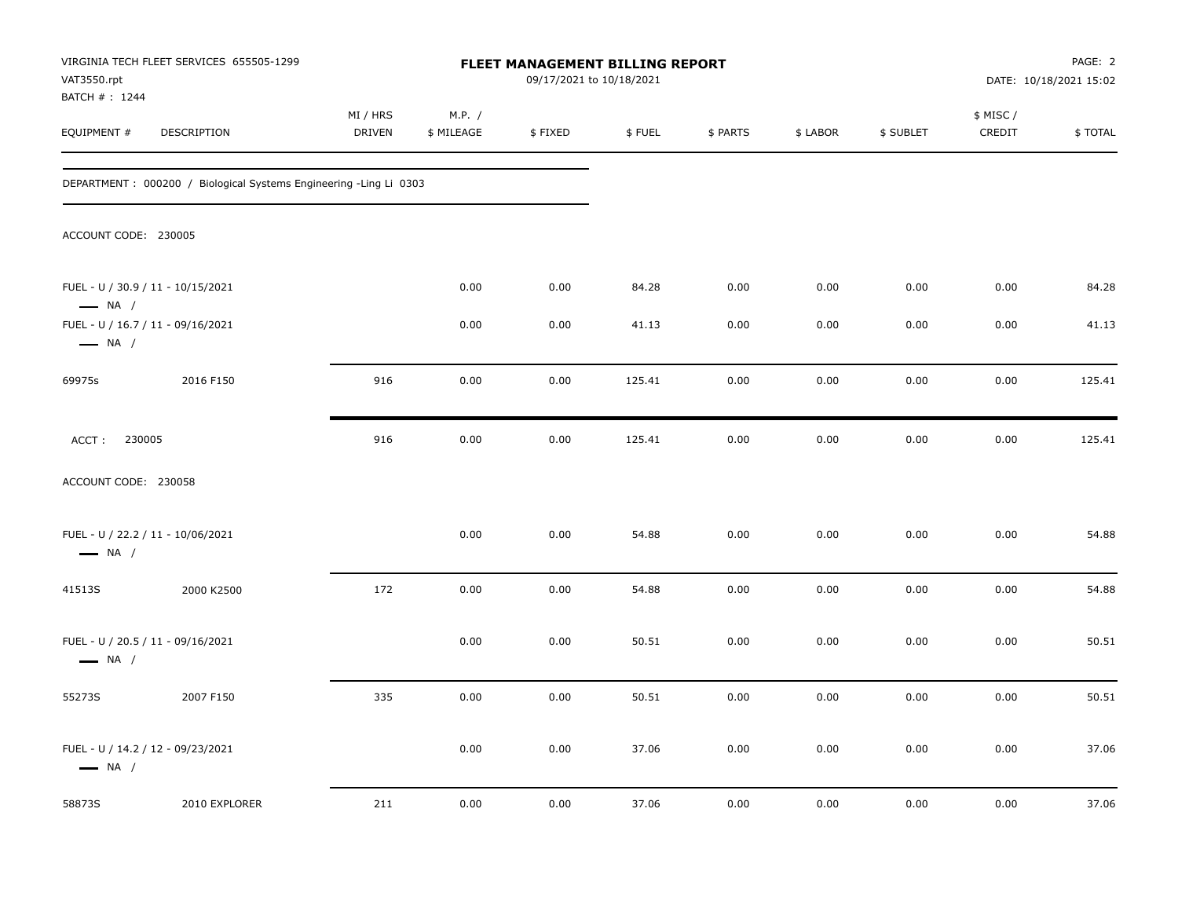| VAT3550.rpt                   | VIRGINIA TECH FLEET SERVICES 655505-1299                          | <b>FLEET MANAGEMENT BILLING REPORT</b><br>09/17/2021 to 10/18/2021 |                      |         |        |          |          |           | PAGE: 2<br>DATE: 10/18/2021 15:02 |         |
|-------------------------------|-------------------------------------------------------------------|--------------------------------------------------------------------|----------------------|---------|--------|----------|----------|-----------|-----------------------------------|---------|
| BATCH # : 1244<br>EQUIPMENT # | DESCRIPTION                                                       | MI / HRS<br>DRIVEN                                                 | M.P. /<br>\$ MILEAGE | \$FIXED | \$FUEL | \$ PARTS | \$ LABOR | \$ SUBLET | \$ MISC /<br>CREDIT               | \$TOTAL |
|                               | DEPARTMENT: 000200 / Biological Systems Engineering -Ling Li 0303 |                                                                    |                      |         |        |          |          |           |                                   |         |
| ACCOUNT CODE: 230005          |                                                                   |                                                                    |                      |         |        |          |          |           |                                   |         |
| $\longrightarrow$ NA /        | FUEL - U / 30.9 / 11 - 10/15/2021                                 |                                                                    | 0.00                 | 0.00    | 84.28  | 0.00     | 0.00     | 0.00      | 0.00                              | 84.28   |
| $\longrightarrow$ NA /        | FUEL - U / 16.7 / 11 - 09/16/2021                                 |                                                                    | 0.00                 | 0.00    | 41.13  | 0.00     | 0.00     | 0.00      | 0.00                              | 41.13   |
| 69975s                        | 2016 F150                                                         | 916                                                                | 0.00                 | 0.00    | 125.41 | 0.00     | 0.00     | 0.00      | 0.00                              | 125.41  |
| 230005<br>ACCT:               |                                                                   | 916                                                                | 0.00                 | 0.00    | 125.41 | 0.00     | 0.00     | 0.00      | 0.00                              | 125.41  |
| ACCOUNT CODE: 230058          |                                                                   |                                                                    |                      |         |        |          |          |           |                                   |         |
| $\longrightarrow$ NA /        | FUEL - U / 22.2 / 11 - 10/06/2021                                 |                                                                    | 0.00                 | 0.00    | 54.88  | 0.00     | 0.00     | 0.00      | 0.00                              | 54.88   |
| 41513S                        | 2000 K2500                                                        | 172                                                                | 0.00                 | 0.00    | 54.88  | 0.00     | 0.00     | 0.00      | 0.00                              | 54.88   |
| $\longrightarrow$ NA /        | FUEL - U / 20.5 / 11 - 09/16/2021                                 |                                                                    | 0.00                 | 0.00    | 50.51  | 0.00     | 0.00     | 0.00      | 0.00                              | 50.51   |
| 55273S                        | 2007 F150                                                         | 335                                                                | 0.00                 | 0.00    | 50.51  | 0.00     | 0.00     | 0.00      | 0.00                              | 50.51   |
| $\longrightarrow$ NA /        | FUEL - U / 14.2 / 12 - 09/23/2021                                 |                                                                    | 0.00                 | 0.00    | 37.06  | 0.00     | 0.00     | 0.00      | 0.00                              | 37.06   |
| 58873S                        | 2010 EXPLORER                                                     | 211                                                                | 0.00                 | 0.00    | 37.06  | 0.00     | 0.00     | 0.00      | 0.00                              | 37.06   |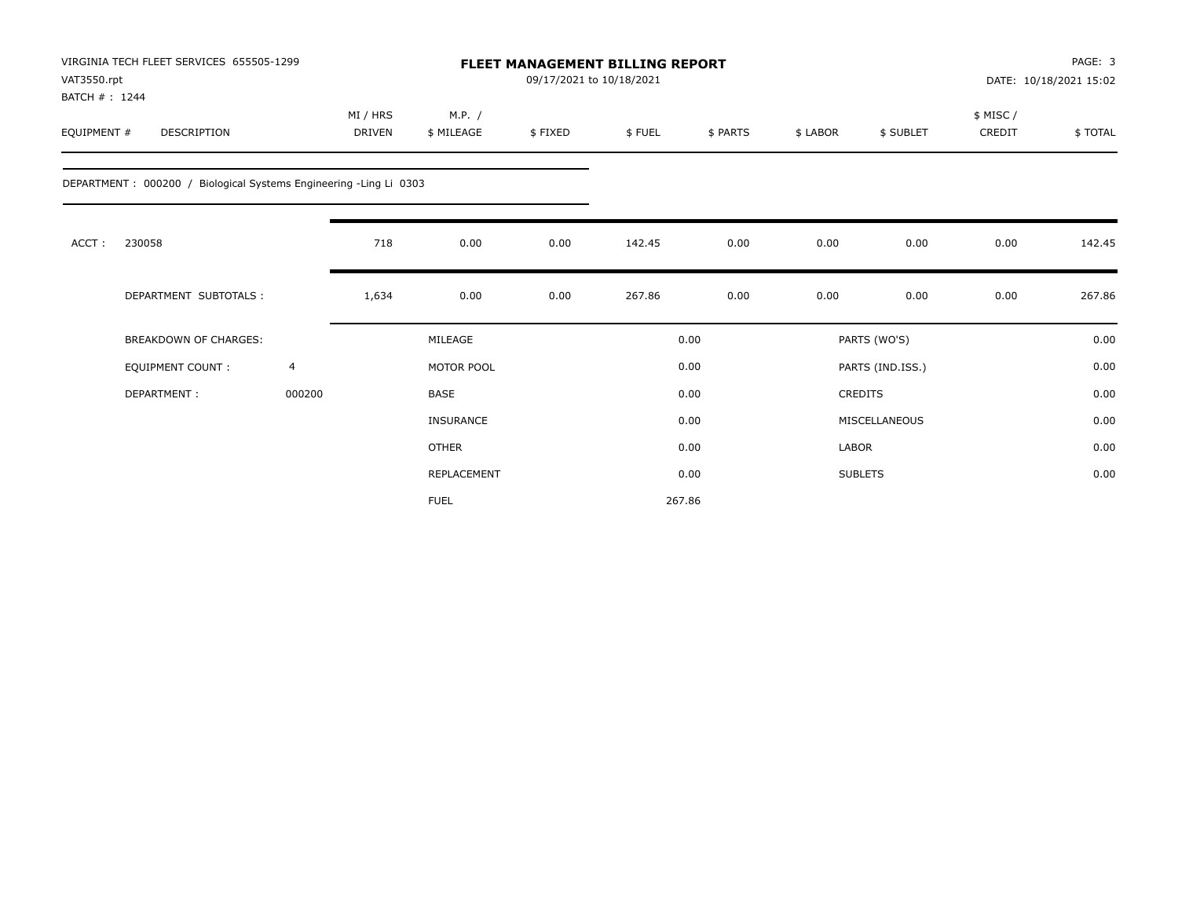| VIRGINIA TECH FLEET SERVICES 655505-1299<br><b>FLEET MANAGEMENT BILLING REPORT</b><br>VAT3550.rpt<br>BATCH #: 1244 |                                                                   |                |                           |                      |         | 09/17/2021 to 10/18/2021 |          |              |                  |                     | PAGE: 3<br>DATE: 10/18/2021 15:02 |
|--------------------------------------------------------------------------------------------------------------------|-------------------------------------------------------------------|----------------|---------------------------|----------------------|---------|--------------------------|----------|--------------|------------------|---------------------|-----------------------------------|
| EQUIPMENT #                                                                                                        | <b>DESCRIPTION</b>                                                |                | MI / HRS<br><b>DRIVEN</b> | M.P. /<br>\$ MILEAGE | \$FIXED | \$FUEL                   | \$ PARTS | \$ LABOR     | \$ SUBLET        | \$ MISC /<br>CREDIT | \$TOTAL                           |
|                                                                                                                    | DEPARTMENT: 000200 / Biological Systems Engineering -Ling Li 0303 |                |                           |                      |         |                          |          |              |                  |                     |                                   |
| ACCT:                                                                                                              | 230058                                                            |                | 718                       | 0.00                 | 0.00    | 142.45                   | 0.00     | 0.00         | 0.00             | 0.00                | 142.45                            |
|                                                                                                                    | DEPARTMENT SUBTOTALS :                                            |                | 1,634                     | 0.00                 | 0.00    | 267.86                   | 0.00     | 0.00         | 0.00             | 0.00                | 267.86                            |
|                                                                                                                    | <b>BREAKDOWN OF CHARGES:</b>                                      |                |                           | MILEAGE              |         |                          | 0.00     |              | PARTS (WO'S)     |                     | 0.00                              |
|                                                                                                                    | <b>EQUIPMENT COUNT:</b>                                           | $\overline{4}$ |                           | MOTOR POOL           |         |                          | 0.00     |              | PARTS (IND.ISS.) |                     | 0.00                              |
|                                                                                                                    | DEPARTMENT:                                                       | 000200         |                           | <b>BASE</b>          |         |                          | 0.00     |              | <b>CREDITS</b>   |                     | 0.00                              |
|                                                                                                                    |                                                                   |                |                           | <b>INSURANCE</b>     |         |                          | 0.00     |              | MISCELLANEOUS    |                     | 0.00                              |
|                                                                                                                    |                                                                   |                |                           | <b>OTHER</b>         |         |                          | 0.00     | <b>LABOR</b> |                  |                     | 0.00                              |
|                                                                                                                    |                                                                   |                |                           | REPLACEMENT          |         |                          | 0.00     |              | <b>SUBLETS</b>   |                     | 0.00                              |
|                                                                                                                    |                                                                   |                |                           | <b>FUEL</b>          |         |                          | 267.86   |              |                  |                     |                                   |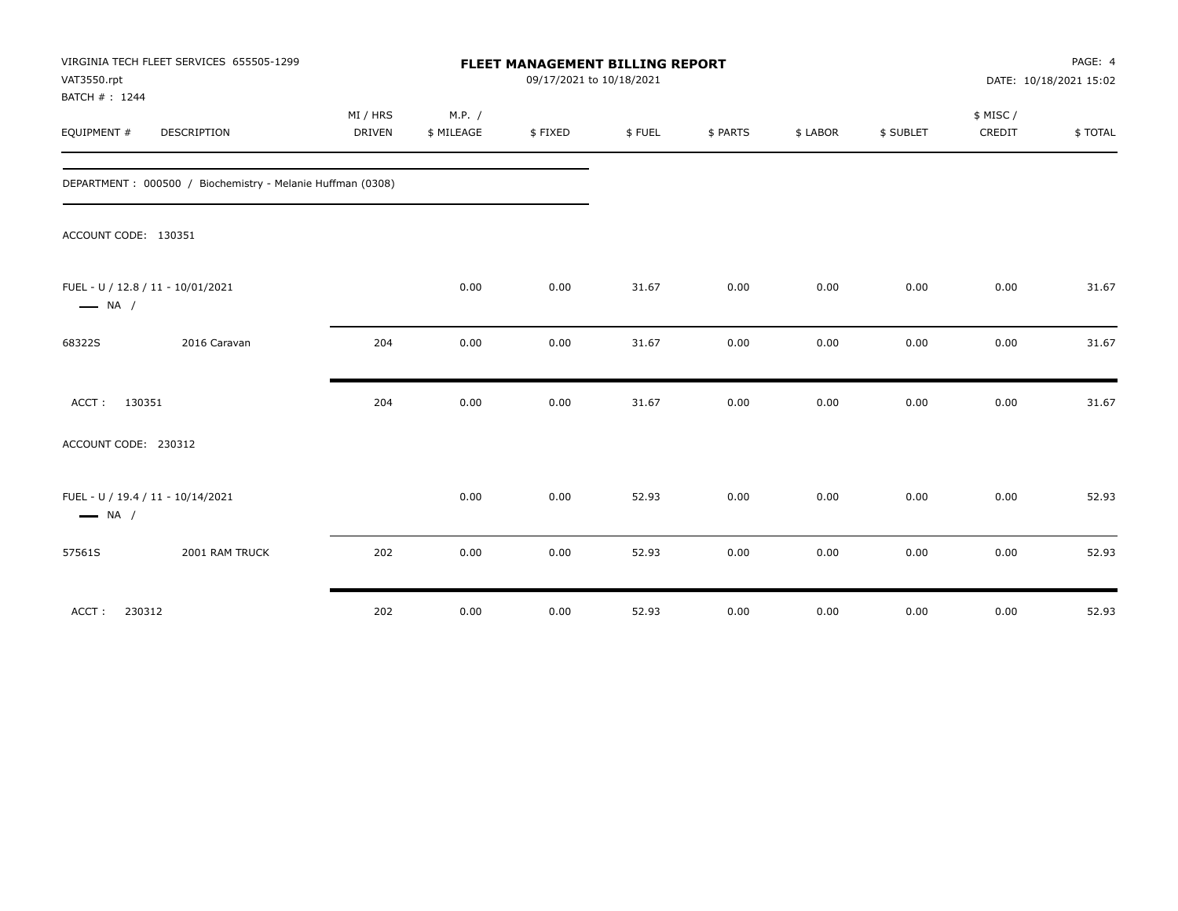| VAT3550.rpt<br>BATCH #: 1244 | VIRGINIA TECH FLEET SERVICES 655505-1299                   | <b>FLEET MANAGEMENT BILLING REPORT</b><br>09/17/2021 to 10/18/2021 |                      |         |        |          |          |           |                     | PAGE: 4<br>DATE: 10/18/2021 15:02 |  |
|------------------------------|------------------------------------------------------------|--------------------------------------------------------------------|----------------------|---------|--------|----------|----------|-----------|---------------------|-----------------------------------|--|
| EQUIPMENT #                  | DESCRIPTION                                                | MI / HRS<br>DRIVEN                                                 | M.P. /<br>\$ MILEAGE | \$FIXED | \$FUEL | \$ PARTS | \$ LABOR | \$ SUBLET | \$ MISC /<br>CREDIT | \$TOTAL                           |  |
|                              |                                                            |                                                                    |                      |         |        |          |          |           |                     |                                   |  |
|                              | DEPARTMENT: 000500 / Biochemistry - Melanie Huffman (0308) |                                                                    |                      |         |        |          |          |           |                     |                                   |  |
| ACCOUNT CODE: 130351         |                                                            |                                                                    |                      |         |        |          |          |           |                     |                                   |  |
| $\longrightarrow$ NA /       | FUEL - U / 12.8 / 11 - 10/01/2021                          |                                                                    | 0.00                 | 0.00    | 31.67  | 0.00     | 0.00     | 0.00      | 0.00                | 31.67                             |  |
| 68322S                       | 2016 Caravan                                               | 204                                                                | 0.00                 | 0.00    | 31.67  | 0.00     | 0.00     | 0.00      | 0.00                | 31.67                             |  |
| ACCT: 130351                 |                                                            | 204                                                                | 0.00                 | 0.00    | 31.67  | 0.00     | 0.00     | 0.00      | 0.00                | 31.67                             |  |
| ACCOUNT CODE: 230312         |                                                            |                                                                    |                      |         |        |          |          |           |                     |                                   |  |
| $\longrightarrow$ NA /       | FUEL - U / 19.4 / 11 - 10/14/2021                          |                                                                    | 0.00                 | 0.00    | 52.93  | 0.00     | 0.00     | 0.00      | 0.00                | 52.93                             |  |
| 57561S                       | 2001 RAM TRUCK                                             | 202                                                                | 0.00                 | 0.00    | 52.93  | 0.00     | 0.00     | 0.00      | 0.00                | 52.93                             |  |
| ACCT:<br>230312              |                                                            | 202                                                                | 0.00                 | 0.00    | 52.93  | 0.00     | 0.00     | 0.00      | 0.00                | 52.93                             |  |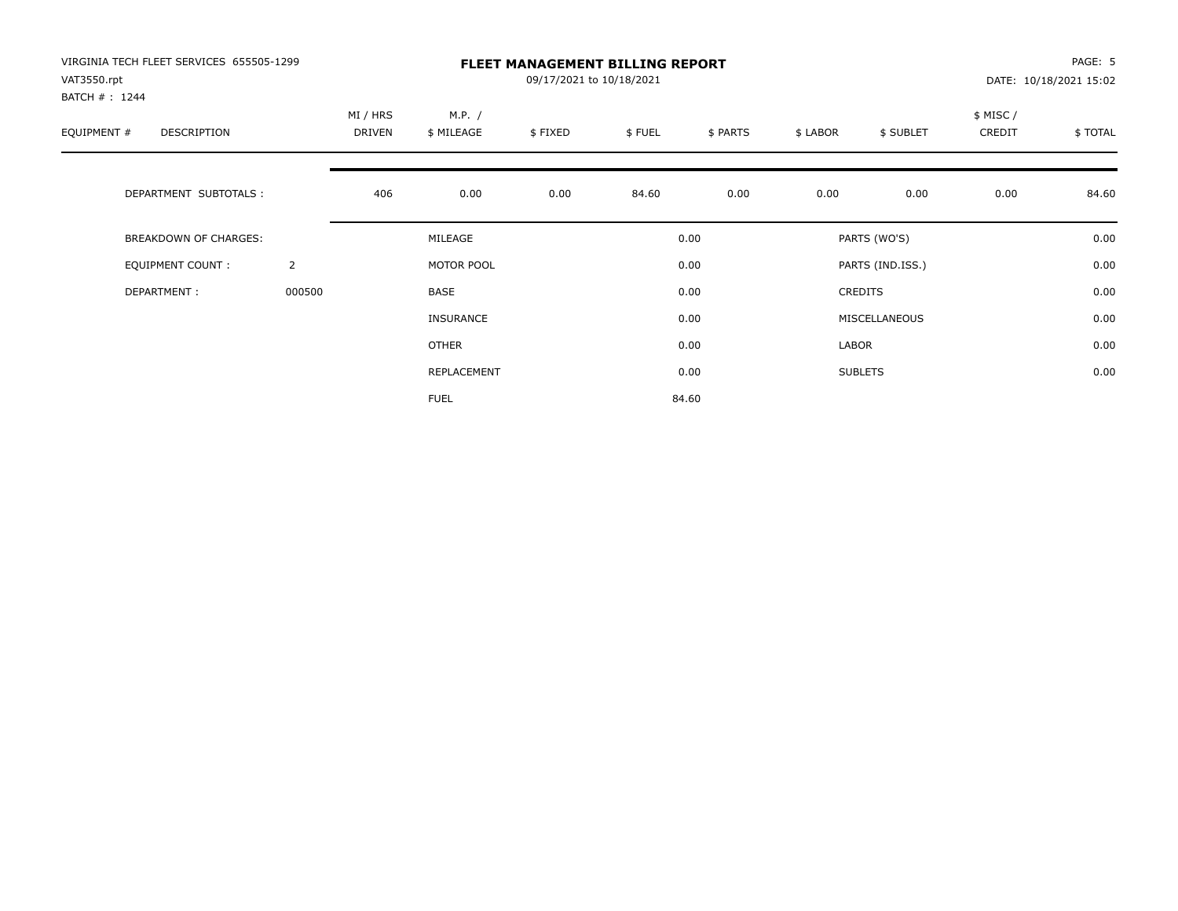| VIRGINIA TECH FLEET SERVICES 655505-1299<br>VAT3550.rpt |                | <b>FLEET MANAGEMENT BILLING REPORT</b><br>09/17/2021 to 10/18/2021 |                      |         |        |          |          |                  |                    | PAGE: 5<br>DATE: 10/18/2021 15:02 |
|---------------------------------------------------------|----------------|--------------------------------------------------------------------|----------------------|---------|--------|----------|----------|------------------|--------------------|-----------------------------------|
| BATCH #: 1244<br>EQUIPMENT #<br>DESCRIPTION             |                | MI / HRS<br>DRIVEN                                                 | M.P. /<br>\$ MILEAGE | \$FIXED | \$FUEL | \$ PARTS | \$ LABOR | \$ SUBLET        | \$ MISC/<br>CREDIT | \$TOTAL                           |
| DEPARTMENT SUBTOTALS :                                  |                | 406                                                                | 0.00                 | 0.00    | 84.60  | 0.00     | 0.00     | 0.00             | 0.00               | 84.60                             |
| BREAKDOWN OF CHARGES:                                   |                |                                                                    | MILEAGE              |         |        | 0.00     |          | PARTS (WO'S)     |                    | 0.00                              |
| <b>EQUIPMENT COUNT:</b>                                 | $\overline{2}$ |                                                                    | MOTOR POOL           |         |        | 0.00     |          | PARTS (IND.ISS.) |                    | 0.00                              |
| DEPARTMENT:                                             | 000500         |                                                                    | BASE                 |         |        | 0.00     |          | <b>CREDITS</b>   |                    | 0.00                              |
|                                                         |                |                                                                    | <b>INSURANCE</b>     |         |        | 0.00     |          | MISCELLANEOUS    |                    | 0.00                              |
|                                                         |                |                                                                    | OTHER                |         |        | 0.00     | LABOR    |                  |                    | 0.00                              |
|                                                         |                |                                                                    | REPLACEMENT          |         |        | 0.00     |          | <b>SUBLETS</b>   |                    | 0.00                              |
|                                                         |                |                                                                    | <b>FUEL</b>          |         |        | 84.60    |          |                  |                    |                                   |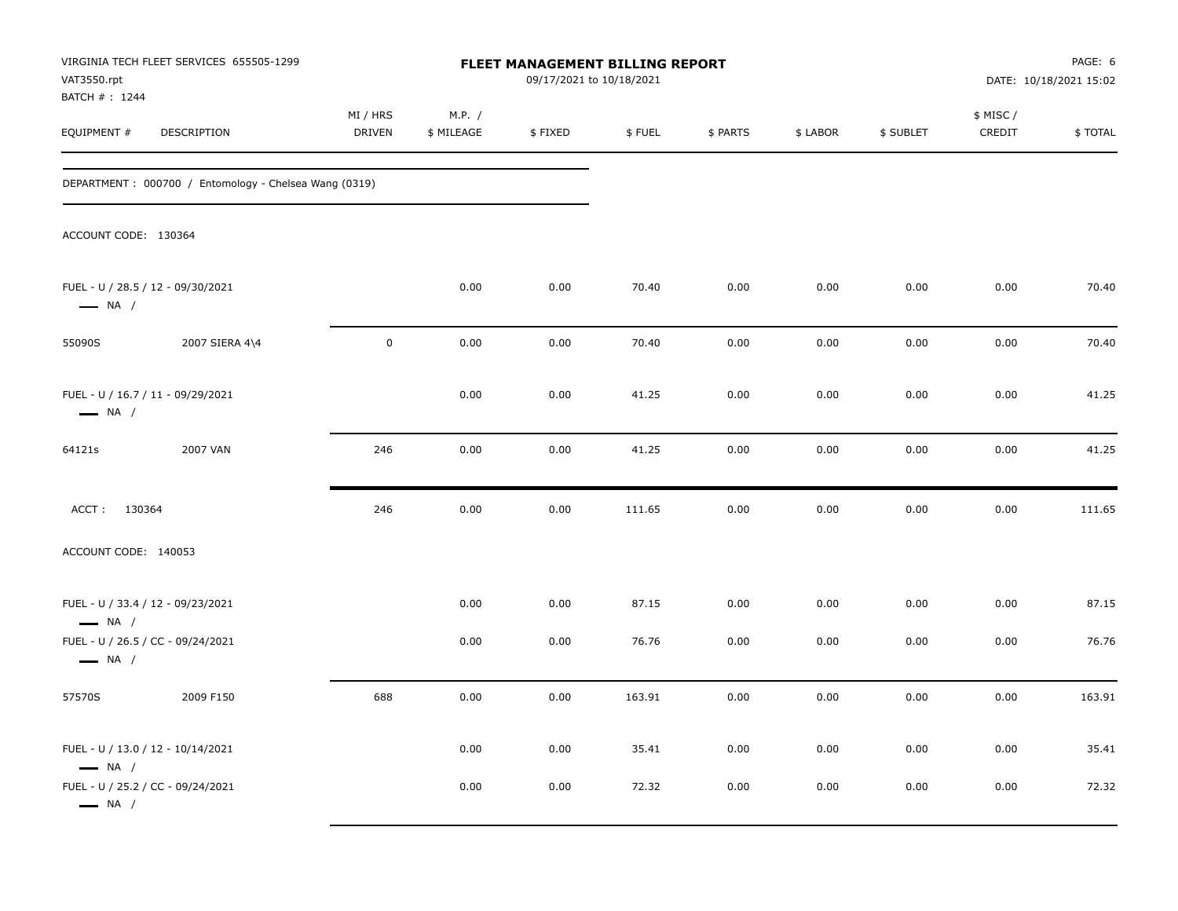| VAT3550.rpt<br>BATCH #: 1244                                | VIRGINIA TECH FLEET SERVICES 655505-1299              | FLEET MANAGEMENT BILLING REPORT<br>09/17/2021 to 10/18/2021 |                      |         |        |          |          |           |                     | PAGE: 6<br>DATE: 10/18/2021 15:02 |  |
|-------------------------------------------------------------|-------------------------------------------------------|-------------------------------------------------------------|----------------------|---------|--------|----------|----------|-----------|---------------------|-----------------------------------|--|
| EQUIPMENT #                                                 | DESCRIPTION                                           | MI / HRS<br>DRIVEN                                          | M.P. /<br>\$ MILEAGE | \$FIXED | \$FUEL | \$ PARTS | \$ LABOR | \$ SUBLET | \$ MISC /<br>CREDIT | \$TOTAL                           |  |
|                                                             | DEPARTMENT: 000700 / Entomology - Chelsea Wang (0319) |                                                             |                      |         |        |          |          |           |                     |                                   |  |
| ACCOUNT CODE: 130364                                        |                                                       |                                                             |                      |         |        |          |          |           |                     |                                   |  |
| FUEL - U / 28.5 / 12 - 09/30/2021<br>$\longrightarrow$ NA / |                                                       |                                                             | 0.00                 | 0.00    | 70.40  | 0.00     | 0.00     | 0.00      | 0.00                | 70.40                             |  |
| 55090S                                                      | 2007 SIERA 4\4                                        | $\mathbf 0$                                                 | 0.00                 | 0.00    | 70.40  | 0.00     | 0.00     | 0.00      | 0.00                | 70.40                             |  |
| FUEL - U / 16.7 / 11 - 09/29/2021<br>$\longrightarrow$ NA / |                                                       |                                                             | 0.00                 | 0.00    | 41.25  | 0.00     | 0.00     | 0.00      | 0.00                | 41.25                             |  |
| 64121s                                                      | 2007 VAN                                              | 246                                                         | 0.00                 | 0.00    | 41.25  | 0.00     | 0.00     | 0.00      | 0.00                | 41.25                             |  |
| ACCT: 130364                                                |                                                       | 246                                                         | 0.00                 | 0.00    | 111.65 | 0.00     | 0.00     | 0.00      | 0.00                | 111.65                            |  |
| ACCOUNT CODE: 140053                                        |                                                       |                                                             |                      |         |        |          |          |           |                     |                                   |  |
| FUEL - U / 33.4 / 12 - 09/23/2021<br>$\longrightarrow$ NA / |                                                       |                                                             | 0.00                 | 0.00    | 87.15  | 0.00     | 0.00     | 0.00      | 0.00                | 87.15                             |  |
| FUEL - U / 26.5 / CC - 09/24/2021<br>$\longrightarrow$ NA / |                                                       |                                                             | 0.00                 | 0.00    | 76.76  | 0.00     | 0.00     | 0.00      | 0.00                | 76.76                             |  |
| 57570S                                                      | 2009 F150                                             | 688                                                         | 0.00                 | 0.00    | 163.91 | 0.00     | 0.00     | 0.00      | 0.00                | 163.91                            |  |
| FUEL - U / 13.0 / 12 - 10/14/2021<br>$\longrightarrow$ NA / |                                                       |                                                             | 0.00                 | 0.00    | 35.41  | 0.00     | 0.00     | 0.00      | 0.00                | 35.41                             |  |
| FUEL - U / 25.2 / CC - 09/24/2021<br>$\longrightarrow$ NA / |                                                       |                                                             | 0.00                 | 0.00    | 72.32  | 0.00     | 0.00     | 0.00      | 0.00                | 72.32                             |  |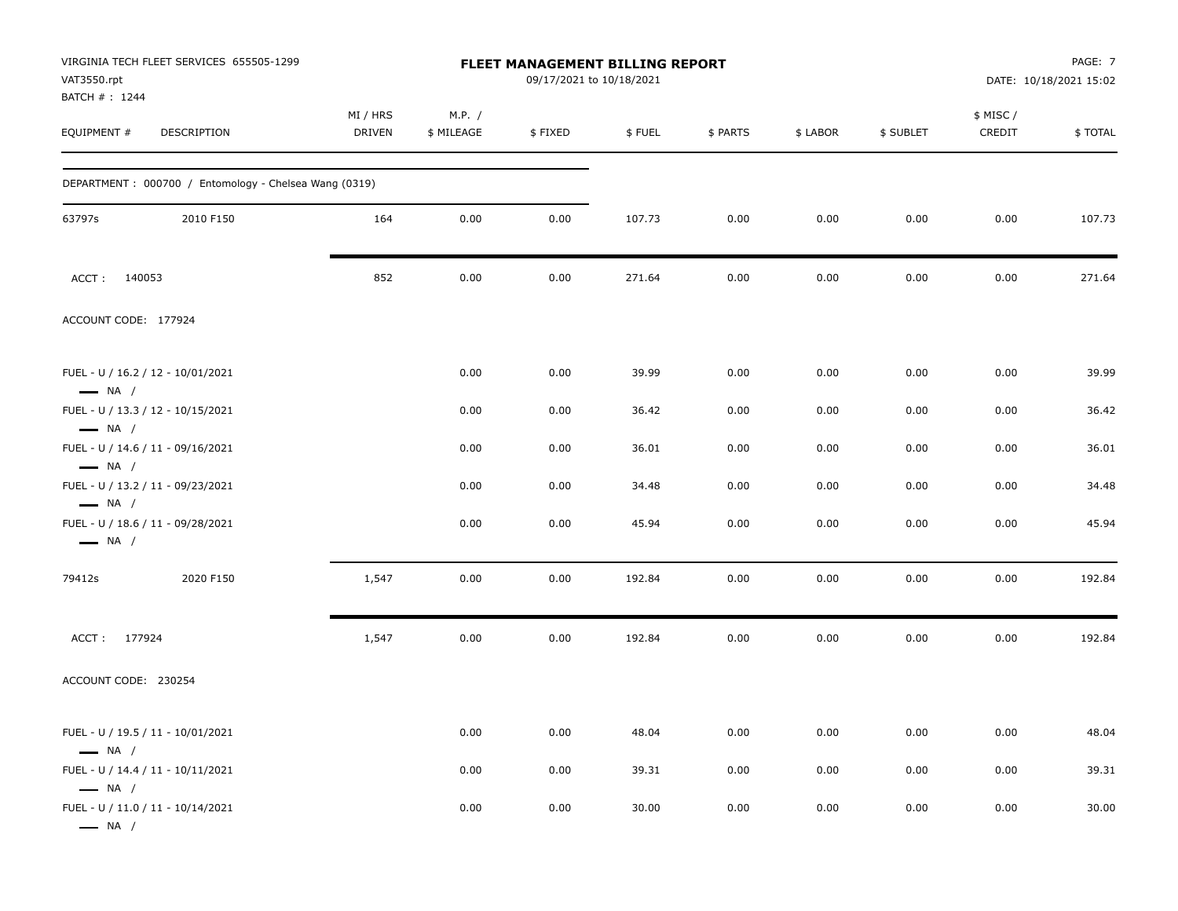| VIRGINIA TECH FLEET SERVICES 655505-1299<br>VAT3550.rpt<br>BATCH #: 1244              |                    |                      | FLEET MANAGEMENT BILLING REPORT<br>09/17/2021 to 10/18/2021 |        |          |          |           |                     | PAGE: 7<br>DATE: 10/18/2021 15:02 |
|---------------------------------------------------------------------------------------|--------------------|----------------------|-------------------------------------------------------------|--------|----------|----------|-----------|---------------------|-----------------------------------|
| EQUIPMENT #<br>DESCRIPTION                                                            | MI / HRS<br>DRIVEN | M.P. /<br>\$ MILEAGE | \$FIXED                                                     | \$FUEL | \$ PARTS | \$ LABOR | \$ SUBLET | \$ MISC /<br>CREDIT | <b>\$TOTAL</b>                    |
| DEPARTMENT: 000700 / Entomology - Chelsea Wang (0319)                                 |                    |                      |                                                             |        |          |          |           |                     |                                   |
| 63797s<br>2010 F150                                                                   | 164                | 0.00                 | 0.00                                                        | 107.73 | 0.00     | 0.00     | 0.00      | 0.00                | 107.73                            |
| ACCT: 140053                                                                          | 852                | 0.00                 | 0.00                                                        | 271.64 | 0.00     | 0.00     | 0.00      | 0.00                | 271.64                            |
| ACCOUNT CODE: 177924                                                                  |                    |                      |                                                             |        |          |          |           |                     |                                   |
| FUEL - U / 16.2 / 12 - 10/01/2021<br>$\longrightarrow$ NA /                           |                    | 0.00                 | 0.00                                                        | 39.99  | 0.00     | 0.00     | 0.00      | 0.00                | 39.99                             |
| FUEL - U / 13.3 / 12 - 10/15/2021                                                     |                    | 0.00                 | 0.00                                                        | 36.42  | 0.00     | 0.00     | 0.00      | 0.00                | 36.42                             |
| $\longrightarrow$ NA /<br>FUEL - U / 14.6 / 11 - 09/16/2021<br>$\longrightarrow$ NA / |                    | 0.00                 | 0.00                                                        | 36.01  | 0.00     | 0.00     | 0.00      | 0.00                | 36.01                             |
| FUEL - U / 13.2 / 11 - 09/23/2021                                                     |                    | 0.00                 | 0.00                                                        | 34.48  | 0.00     | 0.00     | 0.00      | 0.00                | 34.48                             |
| $\longrightarrow$ NA /<br>FUEL - U / 18.6 / 11 - 09/28/2021<br>$\longrightarrow$ NA / |                    | 0.00                 | 0.00                                                        | 45.94  | 0.00     | 0.00     | 0.00      | 0.00                | 45.94                             |
| 2020 F150<br>79412s                                                                   | 1,547              | 0.00                 | 0.00                                                        | 192.84 | 0.00     | 0.00     | 0.00      | 0.00                | 192.84                            |
| ACCT: 177924                                                                          | 1,547              | 0.00                 | 0.00                                                        | 192.84 | 0.00     | 0.00     | 0.00      | 0.00                | 192.84                            |
| ACCOUNT CODE: 230254                                                                  |                    |                      |                                                             |        |          |          |           |                     |                                   |
| FUEL - U / 19.5 / 11 - 10/01/2021<br>$\longrightarrow$ NA /                           |                    | 0.00                 | 0.00                                                        | 48.04  | 0.00     | 0.00     | 0.00      | 0.00                | 48.04                             |
| FUEL - U / 14.4 / 11 - 10/11/2021                                                     |                    | 0.00                 | 0.00                                                        | 39.31  | 0.00     | 0.00     | 0.00      | 0.00                | 39.31                             |
| $\longrightarrow$ NA /<br>FUEL - U / 11.0 / 11 - 10/14/2021<br>$\longrightarrow$ NA / |                    | 0.00                 | 0.00                                                        | 30.00  | 0.00     | 0.00     | 0.00      | 0.00                | 30.00                             |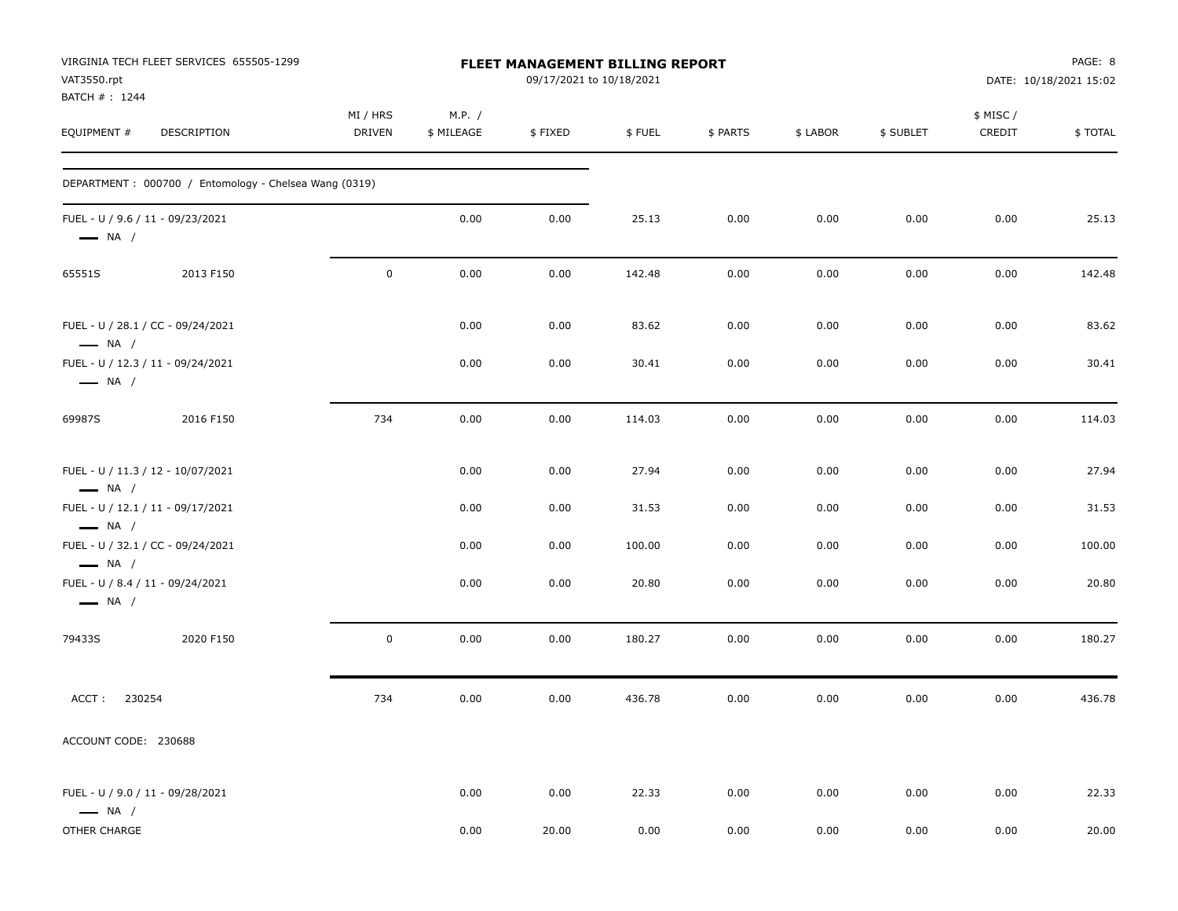| VIRGINIA TECH FLEET SERVICES 655505-1299<br>VAT3550.rpt<br>BATCH #: 1244 |                    |                      | FLEET MANAGEMENT BILLING REPORT<br>09/17/2021 to 10/18/2021 |        |          |          |           |                    | PAGE: 8<br>DATE: 10/18/2021 15:02 |
|--------------------------------------------------------------------------|--------------------|----------------------|-------------------------------------------------------------|--------|----------|----------|-----------|--------------------|-----------------------------------|
| EQUIPMENT #<br>DESCRIPTION                                               | MI / HRS<br>DRIVEN | M.P. /<br>\$ MILEAGE | \$FIXED                                                     | \$FUEL | \$ PARTS | \$ LABOR | \$ SUBLET | \$ MISC/<br>CREDIT | \$TOTAL                           |
| DEPARTMENT: 000700 / Entomology - Chelsea Wang (0319)                    |                    |                      |                                                             |        |          |          |           |                    |                                   |
| FUEL - U / 9.6 / 11 - 09/23/2021<br>$\longrightarrow$ NA /               |                    | 0.00                 | 0.00                                                        | 25.13  | 0.00     | 0.00     | 0.00      | 0.00               | 25.13                             |
| 2013 F150<br>65551S                                                      | $\mathbf 0$        | 0.00                 | 0.00                                                        | 142.48 | 0.00     | 0.00     | 0.00      | 0.00               | 142.48                            |
| FUEL - U / 28.1 / CC - 09/24/2021<br>$\longrightarrow$ NA /              |                    | 0.00                 | 0.00                                                        | 83.62  | 0.00     | 0.00     | 0.00      | 0.00               | 83.62                             |
| FUEL - U / 12.3 / 11 - 09/24/2021<br>$\longrightarrow$ NA /              |                    | 0.00                 | 0.00                                                        | 30.41  | 0.00     | 0.00     | 0.00      | 0.00               | 30.41                             |
| 69987S<br>2016 F150                                                      | 734                | 0.00                 | 0.00                                                        | 114.03 | 0.00     | 0.00     | 0.00      | 0.00               | 114.03                            |
| FUEL - U / 11.3 / 12 - 10/07/2021<br>$\longrightarrow$ NA /              |                    | 0.00                 | 0.00                                                        | 27.94  | 0.00     | 0.00     | 0.00      | 0.00               | 27.94                             |
| FUEL - U / 12.1 / 11 - 09/17/2021<br>$\longrightarrow$ NA /              |                    | 0.00                 | 0.00                                                        | 31.53  | 0.00     | 0.00     | 0.00      | 0.00               | 31.53                             |
| FUEL - U / 32.1 / CC - 09/24/2021<br>$\longrightarrow$ NA /              |                    | 0.00                 | 0.00                                                        | 100.00 | 0.00     | 0.00     | 0.00      | 0.00               | 100.00                            |
| FUEL - U / 8.4 / 11 - 09/24/2021<br>$\longrightarrow$ NA /               |                    | 0.00                 | 0.00                                                        | 20.80  | 0.00     | 0.00     | 0.00      | 0.00               | 20.80                             |
| 2020 F150<br>79433S                                                      | 0                  | 0.00                 | 0.00                                                        | 180.27 | 0.00     | 0.00     | 0.00      | 0.00               | 180.27                            |
| ACCT:<br>230254                                                          | 734                | 0.00                 | 0.00                                                        | 436.78 | 0.00     | 0.00     | 0.00      | 0.00               | 436.78                            |
| ACCOUNT CODE: 230688                                                     |                    |                      |                                                             |        |          |          |           |                    |                                   |
| FUEL - U / 9.0 / 11 - 09/28/2021<br>$\longrightarrow$ NA /               |                    | 0.00                 | 0.00                                                        | 22.33  | 0.00     | 0.00     | 0.00      | 0.00               | 22.33                             |
| OTHER CHARGE                                                             |                    | 0.00                 | 20.00                                                       | 0.00   | 0.00     | 0.00     | 0.00      | 0.00               | 20.00                             |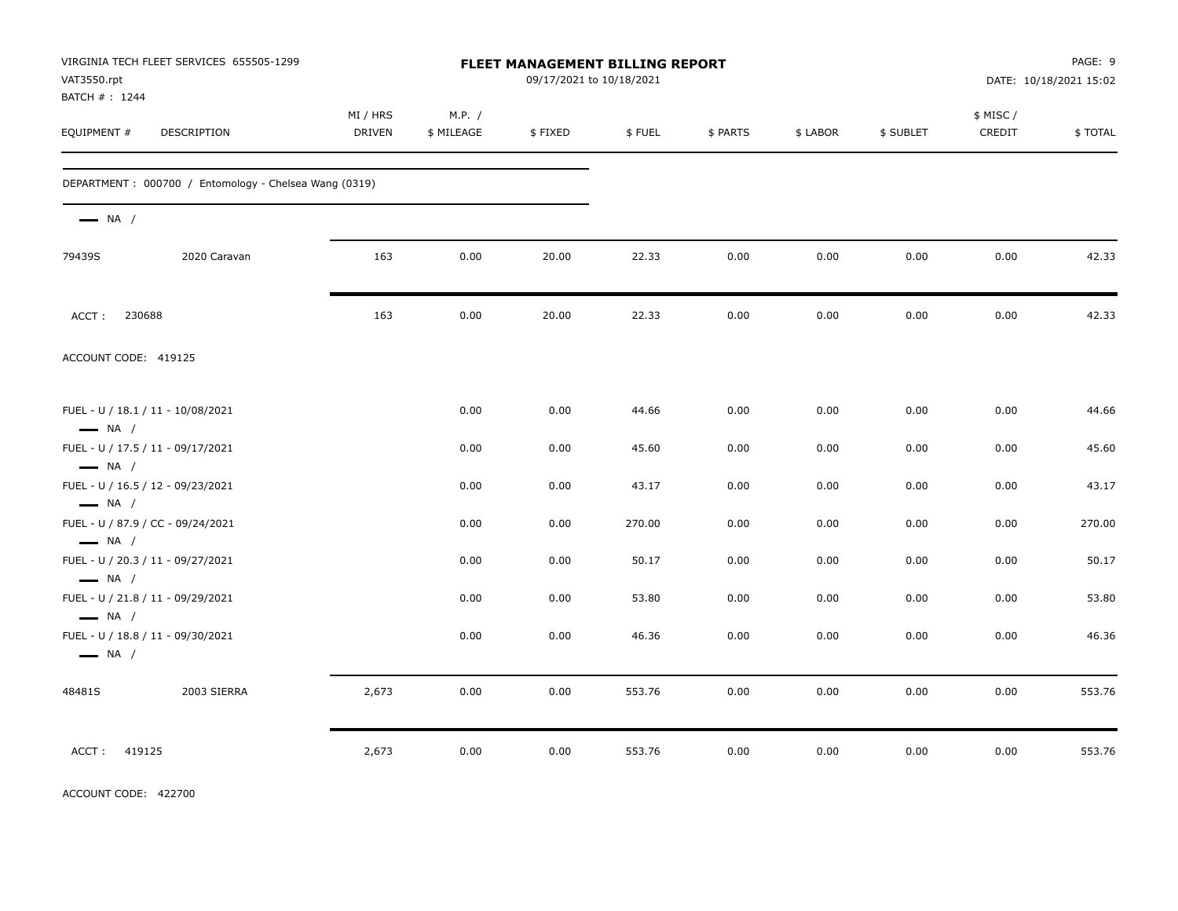| VAT3550.rpt                   | VIRGINIA TECH FLEET SERVICES 655505-1299              |                    |                      | FLEET MANAGEMENT BILLING REPORT<br>09/17/2021 to 10/18/2021 |        |          |          |           |                     | PAGE: 9<br>DATE: 10/18/2021 15:02 |
|-------------------------------|-------------------------------------------------------|--------------------|----------------------|-------------------------------------------------------------|--------|----------|----------|-----------|---------------------|-----------------------------------|
| BATCH # : 1244<br>EQUIPMENT # | DESCRIPTION                                           | MI / HRS<br>DRIVEN | M.P. /<br>\$ MILEAGE | \$FIXED                                                     | \$FUEL | \$ PARTS | \$ LABOR | \$ SUBLET | \$ MISC /<br>CREDIT | \$TOTAL                           |
|                               | DEPARTMENT: 000700 / Entomology - Chelsea Wang (0319) |                    |                      |                                                             |        |          |          |           |                     |                                   |
| $\longrightarrow$ NA /        |                                                       |                    |                      |                                                             |        |          |          |           |                     |                                   |
| 79439S                        | 2020 Caravan                                          | 163                | 0.00                 | 20.00                                                       | 22.33  | 0.00     | 0.00     | 0.00      | 0.00                | 42.33                             |
| ACCT:                         | 230688                                                | 163                | 0.00                 | 20.00                                                       | 22.33  | 0.00     | 0.00     | 0.00      | 0.00                | 42.33                             |
| ACCOUNT CODE: 419125          |                                                       |                    |                      |                                                             |        |          |          |           |                     |                                   |
| $\longrightarrow$ NA /        | FUEL - U / 18.1 / 11 - 10/08/2021                     |                    | 0.00                 | 0.00                                                        | 44.66  | 0.00     | 0.00     | 0.00      | 0.00                | 44.66                             |
| $\longrightarrow$ NA /        | FUEL - U / 17.5 / 11 - 09/17/2021                     |                    | 0.00                 | 0.00                                                        | 45.60  | 0.00     | 0.00     | 0.00      | 0.00                | 45.60                             |
| $\longrightarrow$ NA /        | FUEL - U / 16.5 / 12 - 09/23/2021                     |                    | 0.00                 | 0.00                                                        | 43.17  | 0.00     | 0.00     | 0.00      | 0.00                | 43.17                             |
| $\longrightarrow$ NA /        | FUEL - U / 87.9 / CC - 09/24/2021                     |                    | 0.00                 | 0.00                                                        | 270.00 | 0.00     | 0.00     | 0.00      | 0.00                | 270.00                            |
| $\longrightarrow$ NA /        | FUEL - U / 20.3 / 11 - 09/27/2021                     |                    | 0.00                 | 0.00                                                        | 50.17  | 0.00     | 0.00     | 0.00      | 0.00                | 50.17                             |
| $\longrightarrow$ NA /        | FUEL - U / 21.8 / 11 - 09/29/2021                     |                    | 0.00                 | 0.00                                                        | 53.80  | 0.00     | 0.00     | 0.00      | 0.00                | 53.80                             |
| $\longrightarrow$ NA /        | FUEL - U / 18.8 / 11 - 09/30/2021                     |                    | 0.00                 | 0.00                                                        | 46.36  | 0.00     | 0.00     | 0.00      | 0.00                | 46.36                             |
| 48481S                        | 2003 SIERRA                                           | 2,673              | 0.00                 | 0.00                                                        | 553.76 | 0.00     | 0.00     | 0.00      | 0.00                | 553.76                            |
| ACCT:                         | 419125                                                | 2,673              | 0.00                 | 0.00                                                        | 553.76 | 0.00     | 0.00     | 0.00      | 0.00                | 553.76                            |

ACCOUNT CODE: 422700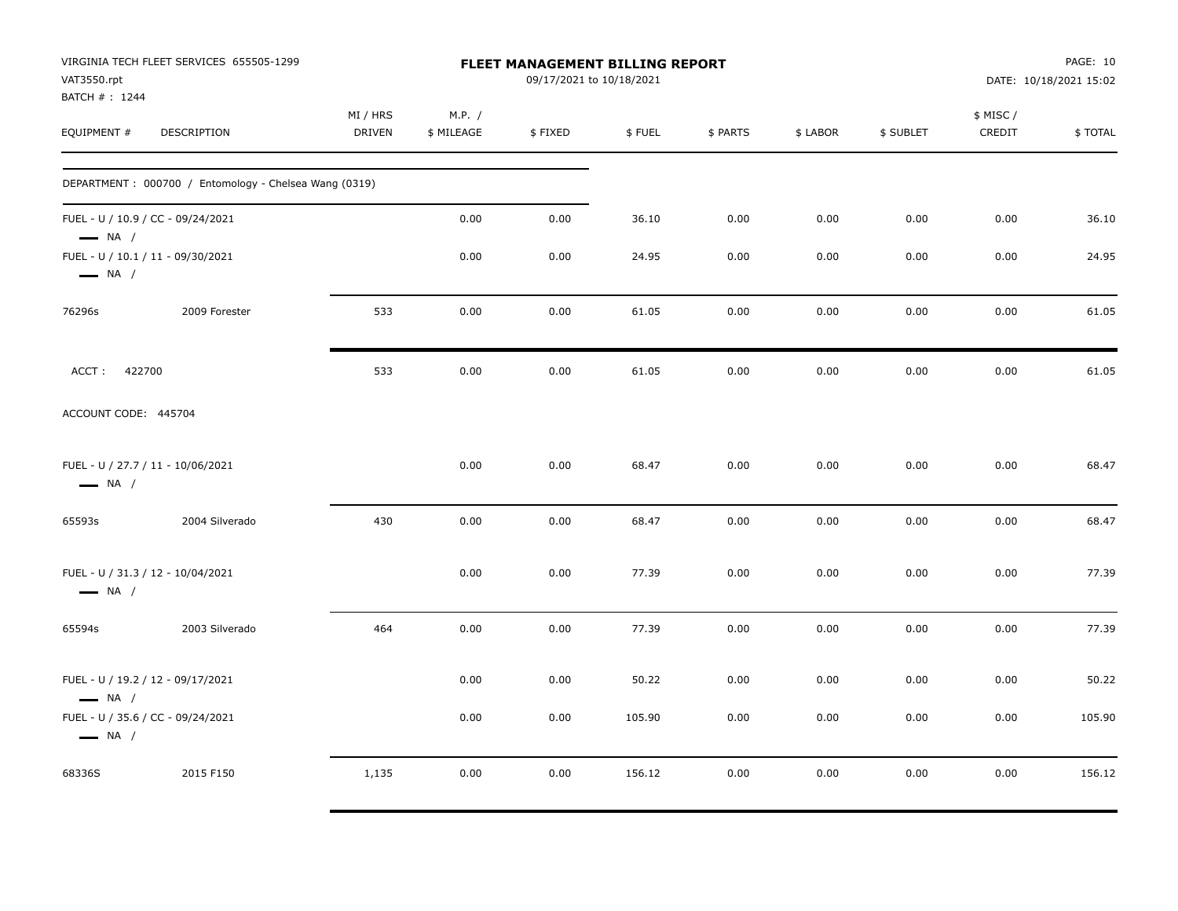| VAT3550.rpt<br>BATCH #: 1244                                | VIRGINIA TECH FLEET SERVICES 655505-1299              |                    |                      | FLEET MANAGEMENT BILLING REPORT<br>09/17/2021 to 10/18/2021 |        |          |          |           |                     | PAGE: 10<br>DATE: 10/18/2021 15:02 |
|-------------------------------------------------------------|-------------------------------------------------------|--------------------|----------------------|-------------------------------------------------------------|--------|----------|----------|-----------|---------------------|------------------------------------|
| EQUIPMENT #                                                 | DESCRIPTION                                           | MI / HRS<br>DRIVEN | M.P. /<br>\$ MILEAGE | \$FIXED                                                     | \$FUEL | \$ PARTS | \$ LABOR | \$ SUBLET | \$ MISC /<br>CREDIT | \$TOTAL                            |
|                                                             | DEPARTMENT: 000700 / Entomology - Chelsea Wang (0319) |                    |                      |                                                             |        |          |          |           |                     |                                    |
| FUEL - U / 10.9 / CC - 09/24/2021<br>$\longrightarrow$ NA / |                                                       |                    | 0.00                 | 0.00                                                        | 36.10  | 0.00     | 0.00     | 0.00      | 0.00                | 36.10                              |
| FUEL - U / 10.1 / 11 - 09/30/2021<br>$\longrightarrow$ NA / |                                                       |                    | 0.00                 | 0.00                                                        | 24.95  | 0.00     | 0.00     | 0.00      | 0.00                | 24.95                              |
| 76296s                                                      | 2009 Forester                                         | 533                | 0.00                 | 0.00                                                        | 61.05  | 0.00     | 0.00     | 0.00      | 0.00                | 61.05                              |
| ACCT: 422700                                                |                                                       | 533                | 0.00                 | 0.00                                                        | 61.05  | 0.00     | 0.00     | 0.00      | 0.00                | 61.05                              |
| ACCOUNT CODE: 445704                                        |                                                       |                    |                      |                                                             |        |          |          |           |                     |                                    |
| FUEL - U / 27.7 / 11 - 10/06/2021<br>$\longrightarrow$ NA / |                                                       |                    | 0.00                 | 0.00                                                        | 68.47  | 0.00     | 0.00     | 0.00      | 0.00                | 68.47                              |
| 65593s                                                      | 2004 Silverado                                        | 430                | 0.00                 | 0.00                                                        | 68.47  | 0.00     | 0.00     | 0.00      | 0.00                | 68.47                              |
| FUEL - U / 31.3 / 12 - 10/04/2021<br>$\longrightarrow$ NA / |                                                       |                    | 0.00                 | 0.00                                                        | 77.39  | 0.00     | 0.00     | 0.00      | 0.00                | 77.39                              |
| 65594s                                                      | 2003 Silverado                                        | 464                | 0.00                 | 0.00                                                        | 77.39  | 0.00     | 0.00     | 0.00      | 0.00                | 77.39                              |
| FUEL - U / 19.2 / 12 - 09/17/2021<br>$\longrightarrow$ NA / |                                                       |                    | 0.00                 | 0.00                                                        | 50.22  | 0.00     | 0.00     | 0.00      | 0.00                | 50.22                              |
| FUEL - U / 35.6 / CC - 09/24/2021<br>$\longrightarrow$ NA / |                                                       |                    | 0.00                 | 0.00                                                        | 105.90 | 0.00     | 0.00     | 0.00      | 0.00                | 105.90                             |
| 68336S                                                      | 2015 F150                                             | 1,135              | 0.00                 | 0.00                                                        | 156.12 | 0.00     | 0.00     | 0.00      | 0.00                | 156.12                             |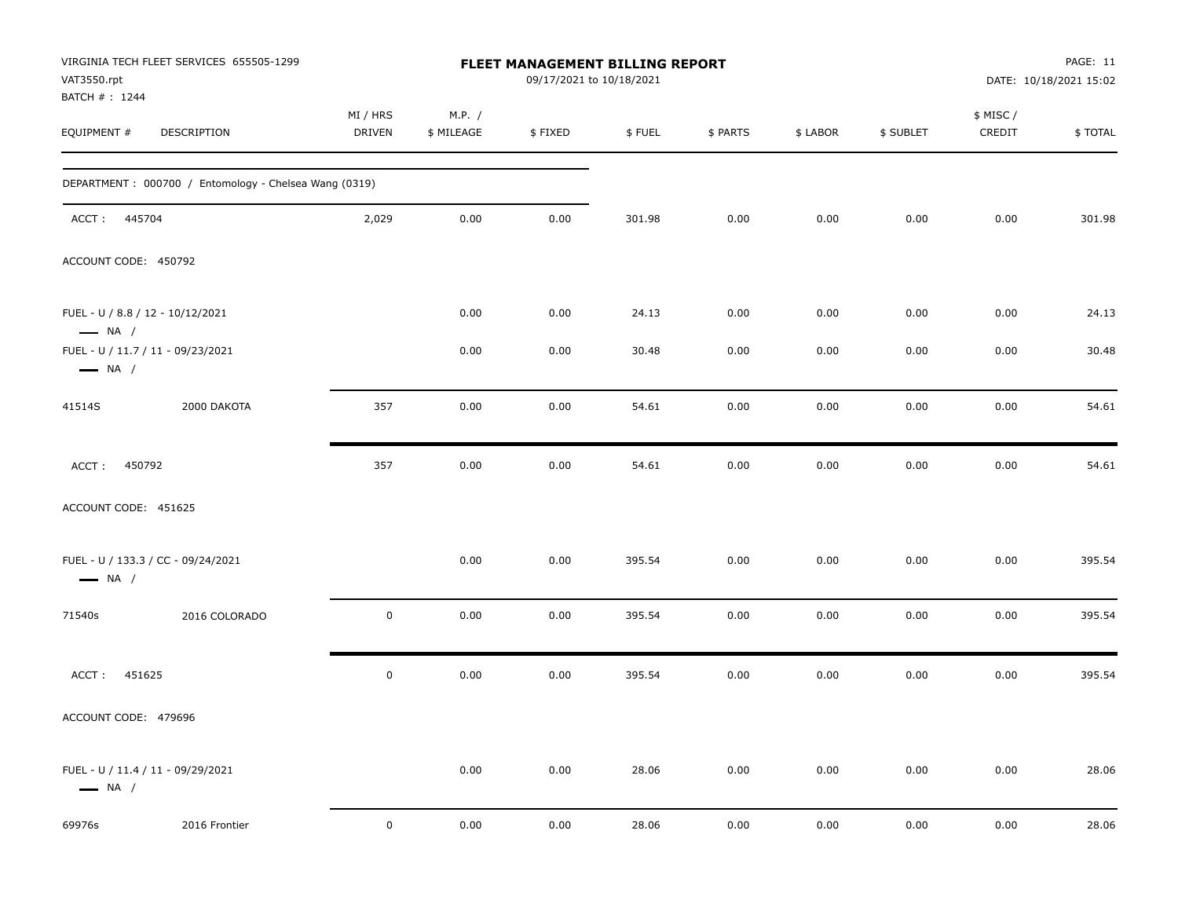| VAT3550.rpt                                                | VIRGINIA TECH FLEET SERVICES 655505-1299              |                    |                      | FLEET MANAGEMENT BILLING REPORT<br>09/17/2021 to 10/18/2021 |        |          |          |           |                     | PAGE: 11<br>DATE: 10/18/2021 15:02 |
|------------------------------------------------------------|-------------------------------------------------------|--------------------|----------------------|-------------------------------------------------------------|--------|----------|----------|-----------|---------------------|------------------------------------|
| BATCH #: 1244<br>EQUIPMENT #                               | DESCRIPTION                                           | MI / HRS<br>DRIVEN | M.P. /<br>\$ MILEAGE | \$FIXED                                                     | \$FUEL | \$ PARTS | \$ LABOR | \$ SUBLET | \$ MISC /<br>CREDIT | \$TOTAL                            |
|                                                            | DEPARTMENT: 000700 / Entomology - Chelsea Wang (0319) |                    |                      |                                                             |        |          |          |           |                     |                                    |
| ACCT: 445704                                               |                                                       | 2,029              | 0.00                 | 0.00                                                        | 301.98 | 0.00     | 0.00     | 0.00      | 0.00                | 301.98                             |
| ACCOUNT CODE: 450792                                       |                                                       |                    |                      |                                                             |        |          |          |           |                     |                                    |
| FUEL - U / 8.8 / 12 - 10/12/2021<br>$\longrightarrow$ NA / |                                                       |                    | 0.00                 | 0.00                                                        | 24.13  | 0.00     | 0.00     | 0.00      | 0.00                | 24.13                              |
| $\longrightarrow$ NA /                                     | FUEL - U / 11.7 / 11 - 09/23/2021                     |                    | 0.00                 | 0.00                                                        | 30.48  | 0.00     | 0.00     | 0.00      | 0.00                | 30.48                              |
| 41514S                                                     | 2000 DAKOTA                                           | 357                | 0.00                 | 0.00                                                        | 54.61  | 0.00     | 0.00     | 0.00      | 0.00                | 54.61                              |
| 450792<br>ACCT:                                            |                                                       | 357                | 0.00                 | 0.00                                                        | 54.61  | 0.00     | 0.00     | 0.00      | 0.00                | 54.61                              |
| ACCOUNT CODE: 451625                                       |                                                       |                    |                      |                                                             |        |          |          |           |                     |                                    |
| $\longrightarrow$ NA /                                     | FUEL - U / 133.3 / CC - 09/24/2021                    |                    | 0.00                 | 0.00                                                        | 395.54 | 0.00     | 0.00     | 0.00      | 0.00                | 395.54                             |
| 71540s                                                     | 2016 COLORADO                                         | 0                  | 0.00                 | 0.00                                                        | 395.54 | 0.00     | 0.00     | 0.00      | 0.00                | 395.54                             |
| 451625<br>ACCT:                                            |                                                       | $\mathbf 0$        | 0.00                 | 0.00                                                        | 395.54 | 0.00     | 0.00     | 0.00      | 0.00                | 395.54                             |
| ACCOUNT CODE: 479696                                       |                                                       |                    |                      |                                                             |        |          |          |           |                     |                                    |
| $\longrightarrow$ NA /                                     | FUEL - U / 11.4 / 11 - 09/29/2021                     |                    | 0.00                 | 0.00                                                        | 28.06  | 0.00     | 0.00     | 0.00      | 0.00                | 28.06                              |
| 69976s                                                     | 2016 Frontier                                         | $\mathbf 0$        | 0.00                 | 0.00                                                        | 28.06  | 0.00     | 0.00     | 0.00      | 0.00                | 28.06                              |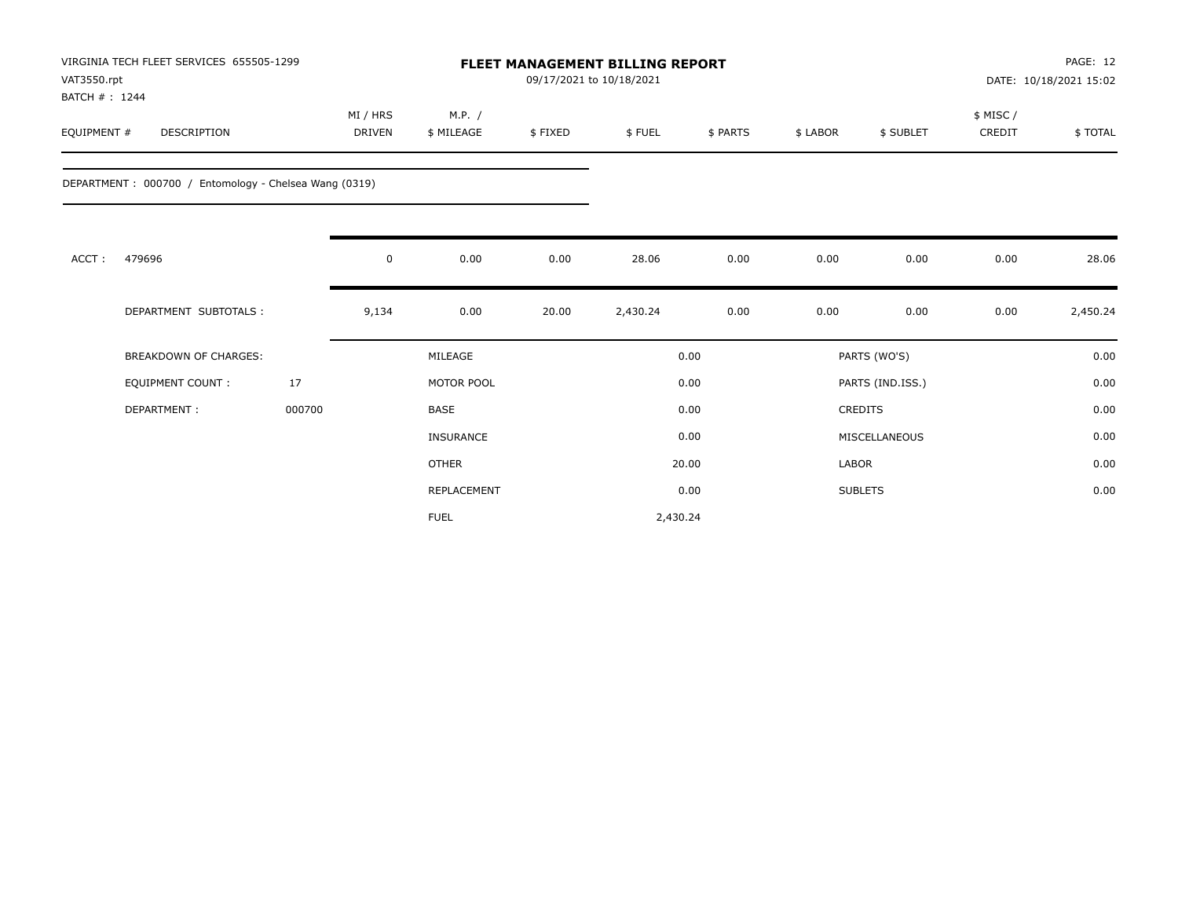| VAT3550.rpt<br>BATCH #: 1244 | VIRGINIA TECH FLEET SERVICES 655505-1299              |        |                           |                      |         | 09/17/2021 to 10/18/2021 | PAGE: 12<br><b>FLEET MANAGEMENT BILLING REPORT</b><br>DATE: 10/18/2021 15:02 |              |                  |                    |          |  |
|------------------------------|-------------------------------------------------------|--------|---------------------------|----------------------|---------|--------------------------|------------------------------------------------------------------------------|--------------|------------------|--------------------|----------|--|
| EQUIPMENT #                  | DESCRIPTION                                           |        | MI / HRS<br><b>DRIVEN</b> | M.P. /<br>\$ MILEAGE | \$FIXED | \$FUEL                   | \$ PARTS                                                                     | \$ LABOR     | \$ SUBLET        | \$ MISC/<br>CREDIT | \$TOTAL  |  |
|                              | DEPARTMENT: 000700 / Entomology - Chelsea Wang (0319) |        |                           |                      |         |                          |                                                                              |              |                  |                    |          |  |
| ACCT:                        | 479696                                                |        | $\mathbf 0$               | 0.00                 | 0.00    | 28.06                    | 0.00                                                                         | 0.00         | 0.00             | 0.00               | 28.06    |  |
|                              | DEPARTMENT SUBTOTALS :                                |        | 9,134                     | 0.00                 | 20.00   | 2,430.24                 | 0.00                                                                         | 0.00         | 0.00             | 0.00               | 2,450.24 |  |
|                              | <b>BREAKDOWN OF CHARGES:</b>                          |        |                           | MILEAGE              |         |                          | 0.00                                                                         |              | PARTS (WO'S)     |                    | 0.00     |  |
|                              | <b>EQUIPMENT COUNT:</b>                               | 17     |                           | MOTOR POOL           |         |                          | 0.00                                                                         |              | PARTS (IND.ISS.) |                    | 0.00     |  |
|                              | DEPARTMENT:                                           | 000700 |                           | <b>BASE</b>          |         |                          | 0.00                                                                         |              | <b>CREDITS</b>   |                    | 0.00     |  |
|                              |                                                       |        |                           | <b>INSURANCE</b>     |         |                          | 0.00                                                                         |              | MISCELLANEOUS    |                    | 0.00     |  |
|                              |                                                       |        |                           | <b>OTHER</b>         |         |                          | 20.00                                                                        | <b>LABOR</b> |                  |                    | 0.00     |  |
|                              |                                                       |        |                           | REPLACEMENT          |         |                          | 0.00                                                                         |              | <b>SUBLETS</b>   |                    | 0.00     |  |
|                              |                                                       |        |                           | <b>FUEL</b>          |         | 2,430.24                 |                                                                              |              |                  |                    |          |  |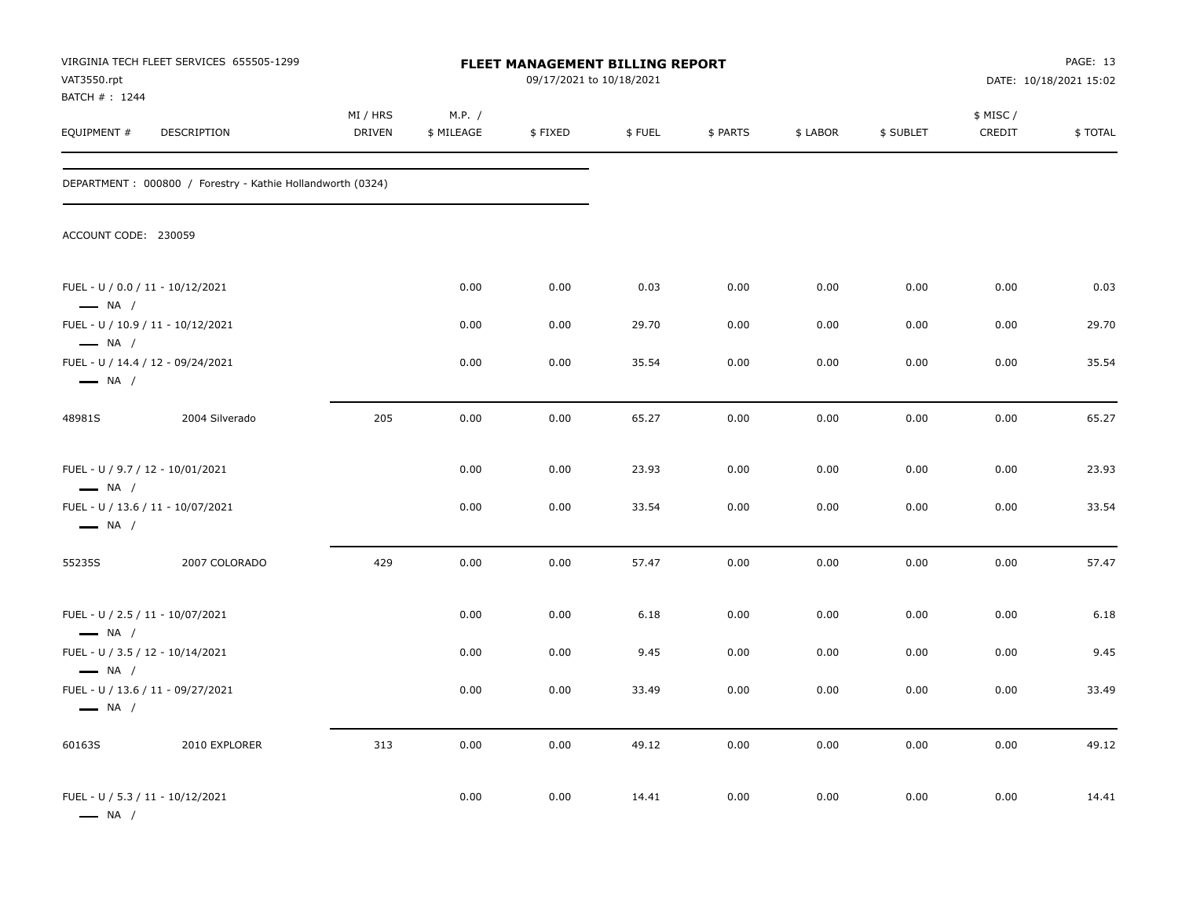| VAT3550.rpt<br>BATCH # : 1244                              | VIRGINIA TECH FLEET SERVICES 655505-1299                    | <b>FLEET MANAGEMENT BILLING REPORT</b><br>09/17/2021 to 10/18/2021 |                      |         |        |          |          |           | PAGE: 13<br>DATE: 10/18/2021 15:02 |         |
|------------------------------------------------------------|-------------------------------------------------------------|--------------------------------------------------------------------|----------------------|---------|--------|----------|----------|-----------|------------------------------------|---------|
| EQUIPMENT #                                                | DESCRIPTION                                                 | MI / HRS<br>DRIVEN                                                 | M.P. /<br>\$ MILEAGE | \$FIXED | \$FUEL | \$ PARTS | \$ LABOR | \$ SUBLET | \$ MISC /<br>CREDIT                | \$TOTAL |
|                                                            | DEPARTMENT : 000800 / Forestry - Kathie Hollandworth (0324) |                                                                    |                      |         |        |          |          |           |                                    |         |
| ACCOUNT CODE: 230059                                       |                                                             |                                                                    |                      |         |        |          |          |           |                                    |         |
| FUEL - U / 0.0 / 11 - 10/12/2021<br>$\longrightarrow$ NA / |                                                             |                                                                    | 0.00                 | 0.00    | 0.03   | 0.00     | 0.00     | 0.00      | 0.00                               | 0.03    |
| $\longrightarrow$ NA /                                     | FUEL - U / 10.9 / 11 - 10/12/2021                           |                                                                    | 0.00                 | 0.00    | 29.70  | 0.00     | 0.00     | 0.00      | 0.00                               | 29.70   |
| $\longrightarrow$ NA /                                     | FUEL - U / 14.4 / 12 - 09/24/2021                           |                                                                    | 0.00                 | 0.00    | 35.54  | 0.00     | 0.00     | 0.00      | 0.00                               | 35.54   |
| 48981S                                                     | 2004 Silverado                                              | 205                                                                | 0.00                 | 0.00    | 65.27  | 0.00     | 0.00     | 0.00      | 0.00                               | 65.27   |
| FUEL - U / 9.7 / 12 - 10/01/2021<br>$\longrightarrow$ NA / |                                                             |                                                                    | 0.00                 | 0.00    | 23.93  | 0.00     | 0.00     | 0.00      | 0.00                               | 23.93   |
| $\longrightarrow$ NA /                                     | FUEL - U / 13.6 / 11 - 10/07/2021                           |                                                                    | 0.00                 | 0.00    | 33.54  | 0.00     | 0.00     | 0.00      | 0.00                               | 33.54   |
| 55235S                                                     | 2007 COLORADO                                               | 429                                                                | 0.00                 | 0.00    | 57.47  | 0.00     | 0.00     | 0.00      | 0.00                               | 57.47   |
| FUEL - U / 2.5 / 11 - 10/07/2021<br>$\longrightarrow$ NA / |                                                             |                                                                    | 0.00                 | 0.00    | 6.18   | 0.00     | 0.00     | 0.00      | 0.00                               | 6.18    |
| FUEL - U / 3.5 / 12 - 10/14/2021<br>$\longrightarrow$ NA / |                                                             |                                                                    | 0.00                 | 0.00    | 9.45   | 0.00     | 0.00     | 0.00      | 0.00                               | 9.45    |
| $\longrightarrow$ NA /                                     | FUEL - U / 13.6 / 11 - 09/27/2021                           |                                                                    | 0.00                 | 0.00    | 33.49  | 0.00     | 0.00     | 0.00      | 0.00                               | 33.49   |
| 60163S                                                     | 2010 EXPLORER                                               | 313                                                                | 0.00                 | 0.00    | 49.12  | 0.00     | 0.00     | 0.00      | 0.00                               | 49.12   |
| FUEL - U / 5.3 / 11 - 10/12/2021<br>$\longrightarrow$ NA / |                                                             |                                                                    | 0.00                 | 0.00    | 14.41  | 0.00     | 0.00     | 0.00      | 0.00                               | 14.41   |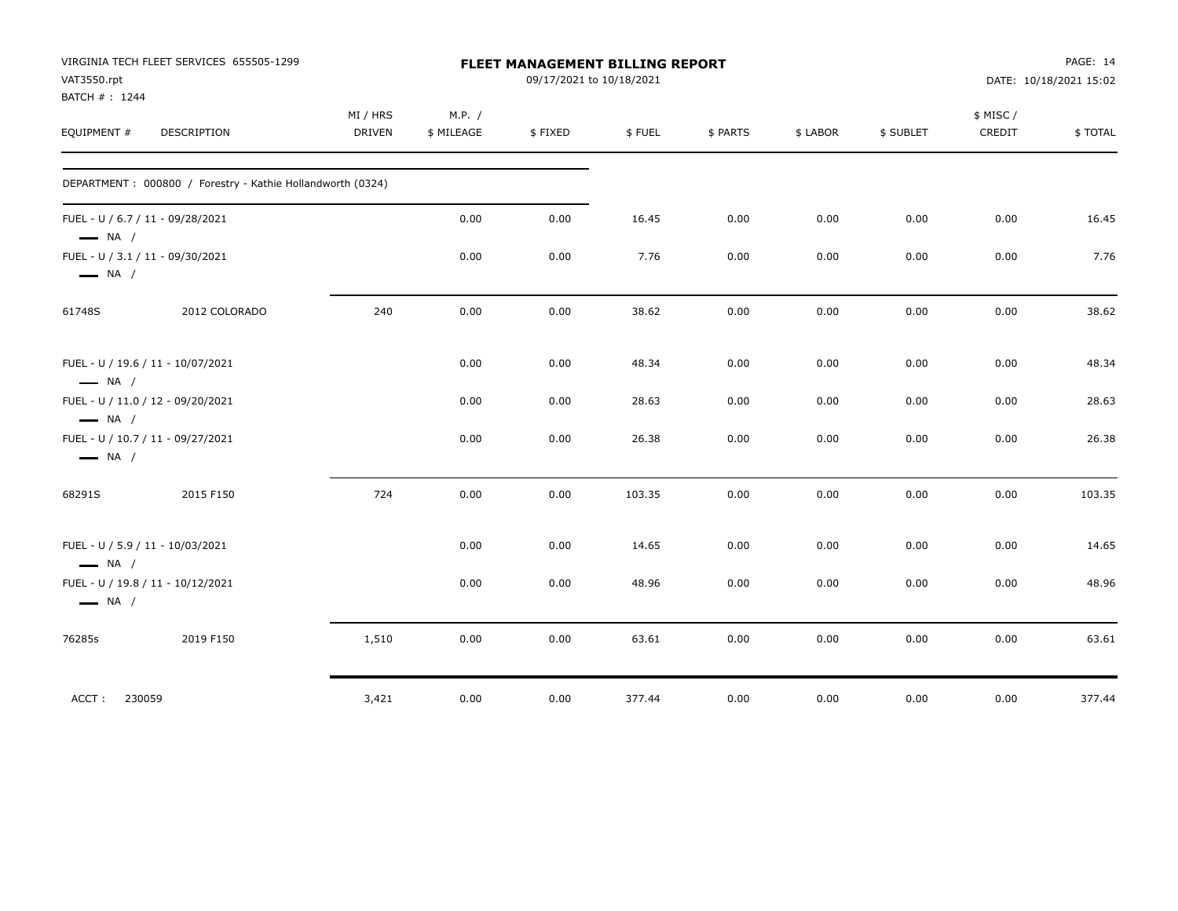| VAT3550.rpt                  | VIRGINIA TECH FLEET SERVICES 655505-1299                   | FLEET MANAGEMENT BILLING REPORT<br>09/17/2021 to 10/18/2021 |                      |         |        |          |          |           | PAGE: 14<br>DATE: 10/18/2021 15:02 |         |
|------------------------------|------------------------------------------------------------|-------------------------------------------------------------|----------------------|---------|--------|----------|----------|-----------|------------------------------------|---------|
| BATCH #: 1244<br>EQUIPMENT # | DESCRIPTION                                                | MI / HRS<br><b>DRIVEN</b>                                   | M.P. /<br>\$ MILEAGE | \$FIXED | \$FUEL | \$ PARTS | \$ LABOR | \$ SUBLET | \$ MISC/<br>CREDIT                 | \$TOTAL |
|                              | DEPARTMENT: 000800 / Forestry - Kathie Hollandworth (0324) |                                                             |                      |         |        |          |          |           |                                    |         |
| $\longrightarrow$ NA /       | FUEL - U / 6.7 / 11 - 09/28/2021                           |                                                             | 0.00                 | 0.00    | 16.45  | 0.00     | 0.00     | 0.00      | 0.00                               | 16.45   |
| $\longrightarrow$ NA /       | FUEL - U / 3.1 / 11 - 09/30/2021                           |                                                             | 0.00                 | 0.00    | 7.76   | 0.00     | 0.00     | 0.00      | 0.00                               | 7.76    |
| 61748S                       | 2012 COLORADO                                              | 240                                                         | 0.00                 | 0.00    | 38.62  | 0.00     | 0.00     | 0.00      | 0.00                               | 38.62   |
| $\longrightarrow$ NA /       | FUEL - U / 19.6 / 11 - 10/07/2021                          |                                                             | 0.00                 | 0.00    | 48.34  | 0.00     | 0.00     | 0.00      | 0.00                               | 48.34   |
| $\longrightarrow$ NA /       | FUEL - U / 11.0 / 12 - 09/20/2021                          |                                                             | 0.00                 | 0.00    | 28.63  | 0.00     | 0.00     | 0.00      | 0.00                               | 28.63   |
| $\longrightarrow$ NA /       | FUEL - U / 10.7 / 11 - 09/27/2021                          |                                                             | 0.00                 | 0.00    | 26.38  | 0.00     | 0.00     | 0.00      | 0.00                               | 26.38   |
| 68291S                       | 2015 F150                                                  | 724                                                         | 0.00                 | 0.00    | 103.35 | 0.00     | 0.00     | 0.00      | 0.00                               | 103.35  |
| $\longrightarrow$ NA /       | FUEL - U / 5.9 / 11 - 10/03/2021                           |                                                             | 0.00                 | 0.00    | 14.65  | 0.00     | 0.00     | 0.00      | 0.00                               | 14.65   |
| $\longrightarrow$ NA /       | FUEL - U / 19.8 / 11 - 10/12/2021                          |                                                             | 0.00                 | 0.00    | 48.96  | 0.00     | 0.00     | 0.00      | 0.00                               | 48.96   |
| 76285s                       | 2019 F150                                                  | 1,510                                                       | 0.00                 | 0.00    | 63.61  | 0.00     | 0.00     | 0.00      | 0.00                               | 63.61   |
| 230059<br>ACCT:              |                                                            | 3,421                                                       | 0.00                 | 0.00    | 377.44 | 0.00     | 0.00     | 0.00      | 0.00                               | 377.44  |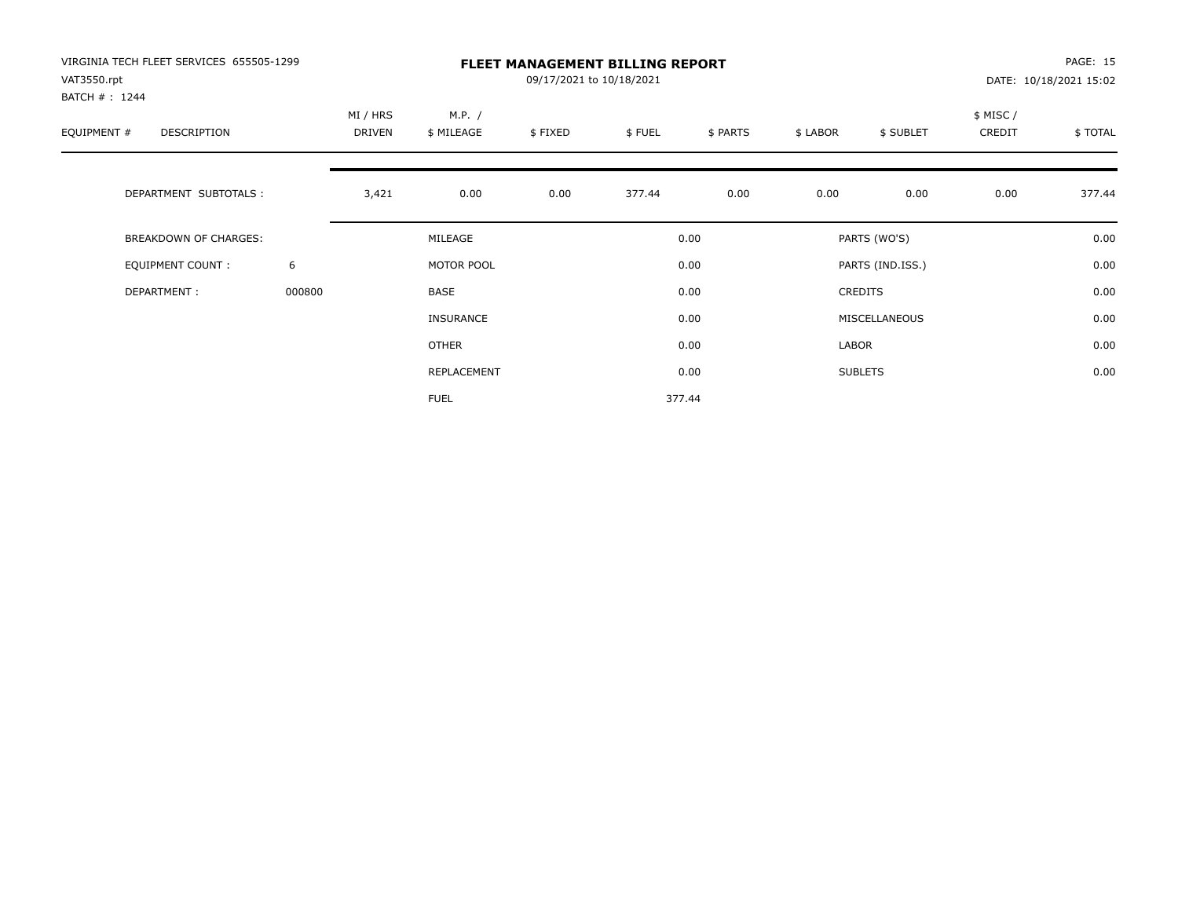| VIRGINIA TECH FLEET SERVICES 655505-1299<br>VAT3550.rpt |        | <b>FLEET MANAGEMENT BILLING REPORT</b><br>09/17/2021 to 10/18/2021 |                      |         |        |          |          |                  |                    | PAGE: 15<br>DATE: 10/18/2021 15:02 |  |
|---------------------------------------------------------|--------|--------------------------------------------------------------------|----------------------|---------|--------|----------|----------|------------------|--------------------|------------------------------------|--|
| BATCH #: 1244<br>EQUIPMENT #<br>DESCRIPTION             |        | MI / HRS<br><b>DRIVEN</b>                                          | M.P. /<br>\$ MILEAGE | \$FIXED | \$FUEL | \$ PARTS | \$ LABOR | \$ SUBLET        | \$ MISC/<br>CREDIT | \$TOTAL                            |  |
| DEPARTMENT SUBTOTALS :                                  |        | 3,421                                                              | 0.00                 | 0.00    | 377.44 | 0.00     | 0.00     | 0.00             | 0.00               | 377.44                             |  |
| <b>BREAKDOWN OF CHARGES:</b>                            |        |                                                                    | MILEAGE              |         |        | 0.00     |          | PARTS (WO'S)     |                    | 0.00                               |  |
| EQUIPMENT COUNT:                                        | 6      |                                                                    | MOTOR POOL           |         |        | 0.00     |          | PARTS (IND.ISS.) |                    | 0.00                               |  |
| DEPARTMENT:                                             | 000800 |                                                                    | <b>BASE</b>          |         |        | 0.00     |          | <b>CREDITS</b>   |                    | 0.00                               |  |
|                                                         |        |                                                                    | <b>INSURANCE</b>     |         |        | 0.00     |          | MISCELLANEOUS    |                    | 0.00                               |  |
|                                                         |        |                                                                    | <b>OTHER</b>         |         |        | 0.00     | LABOR    |                  |                    | 0.00                               |  |
|                                                         |        |                                                                    | REPLACEMENT          |         |        | 0.00     |          | <b>SUBLETS</b>   |                    | 0.00                               |  |
|                                                         |        |                                                                    | <b>FUEL</b>          |         |        | 377.44   |          |                  |                    |                                    |  |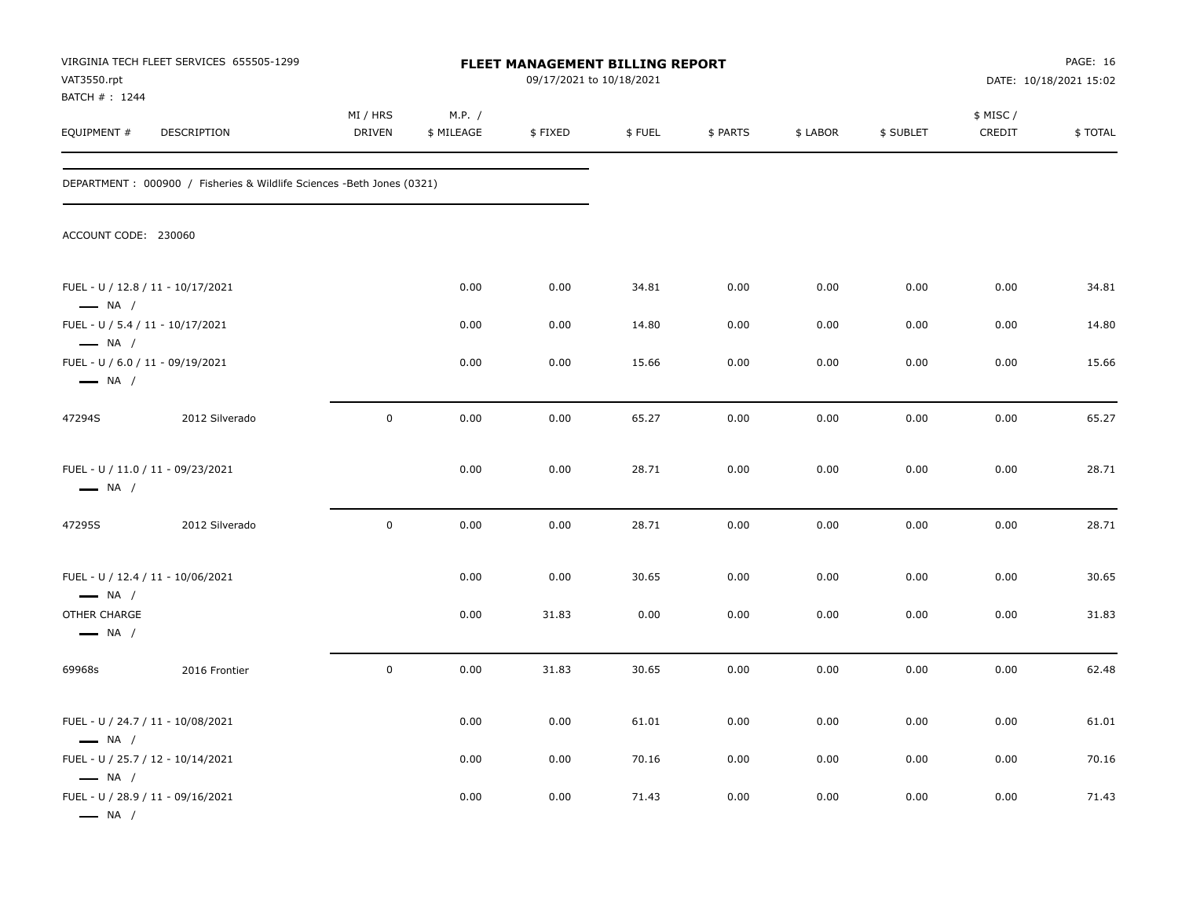| VAT3550.rpt<br>BATCH # : 1244                               | VIRGINIA TECH FLEET SERVICES 655505-1299                                | <b>FLEET MANAGEMENT BILLING REPORT</b><br>09/17/2021 to 10/18/2021 |                      |         |        |          |          |           | PAGE: 16<br>DATE: 10/18/2021 15:02 |         |
|-------------------------------------------------------------|-------------------------------------------------------------------------|--------------------------------------------------------------------|----------------------|---------|--------|----------|----------|-----------|------------------------------------|---------|
| EQUIPMENT #                                                 | DESCRIPTION                                                             | MI / HRS<br>DRIVEN                                                 | M.P. /<br>\$ MILEAGE | \$FIXED | \$FUEL | \$ PARTS | \$ LABOR | \$ SUBLET | \$ MISC/<br>CREDIT                 | \$TOTAL |
|                                                             | DEPARTMENT : 000900 / Fisheries & Wildlife Sciences - Beth Jones (0321) |                                                                    |                      |         |        |          |          |           |                                    |         |
| ACCOUNT CODE: 230060                                        |                                                                         |                                                                    |                      |         |        |          |          |           |                                    |         |
| FUEL - U / 12.8 / 11 - 10/17/2021<br>$\longrightarrow$ NA / |                                                                         |                                                                    | 0.00                 | 0.00    | 34.81  | 0.00     | 0.00     | 0.00      | 0.00                               | 34.81   |
| FUEL - U / 5.4 / 11 - 10/17/2021<br>$\longrightarrow$ NA /  |                                                                         |                                                                    | 0.00                 | 0.00    | 14.80  | 0.00     | 0.00     | 0.00      | 0.00                               | 14.80   |
| FUEL - U / 6.0 / 11 - 09/19/2021<br>$\longrightarrow$ NA /  |                                                                         |                                                                    | 0.00                 | 0.00    | 15.66  | 0.00     | 0.00     | 0.00      | 0.00                               | 15.66   |
| 47294S                                                      | 2012 Silverado                                                          | $\pmb{0}$                                                          | 0.00                 | 0.00    | 65.27  | 0.00     | 0.00     | 0.00      | 0.00                               | 65.27   |
| FUEL - U / 11.0 / 11 - 09/23/2021<br>$\longrightarrow$ NA / |                                                                         |                                                                    | 0.00                 | 0.00    | 28.71  | 0.00     | 0.00     | 0.00      | 0.00                               | 28.71   |
| 47295S                                                      | 2012 Silverado                                                          | $\pmb{0}$                                                          | 0.00                 | 0.00    | 28.71  | 0.00     | 0.00     | 0.00      | 0.00                               | 28.71   |
| FUEL - U / 12.4 / 11 - 10/06/2021<br>$\longrightarrow$ NA / |                                                                         |                                                                    | 0.00                 | 0.00    | 30.65  | 0.00     | 0.00     | 0.00      | 0.00                               | 30.65   |
| OTHER CHARGE<br>$\longrightarrow$ NA /                      |                                                                         |                                                                    | 0.00                 | 31.83   | 0.00   | 0.00     | 0.00     | 0.00      | 0.00                               | 31.83   |
| 69968s                                                      | 2016 Frontier                                                           | $\pmb{0}$                                                          | 0.00                 | 31.83   | 30.65  | 0.00     | 0.00     | 0.00      | 0.00                               | 62.48   |
| FUEL - U / 24.7 / 11 - 10/08/2021<br>$\longrightarrow$ NA / |                                                                         |                                                                    | 0.00                 | 0.00    | 61.01  | 0.00     | 0.00     | 0.00      | 0.00                               | 61.01   |
| FUEL - U / 25.7 / 12 - 10/14/2021<br>$\longrightarrow$ NA / |                                                                         |                                                                    | 0.00                 | 0.00    | 70.16  | 0.00     | 0.00     | 0.00      | 0.00                               | 70.16   |
| FUEL - U / 28.9 / 11 - 09/16/2021<br>$\longrightarrow$ NA / |                                                                         |                                                                    | 0.00                 | 0.00    | 71.43  | 0.00     | 0.00     | 0.00      | 0.00                               | 71.43   |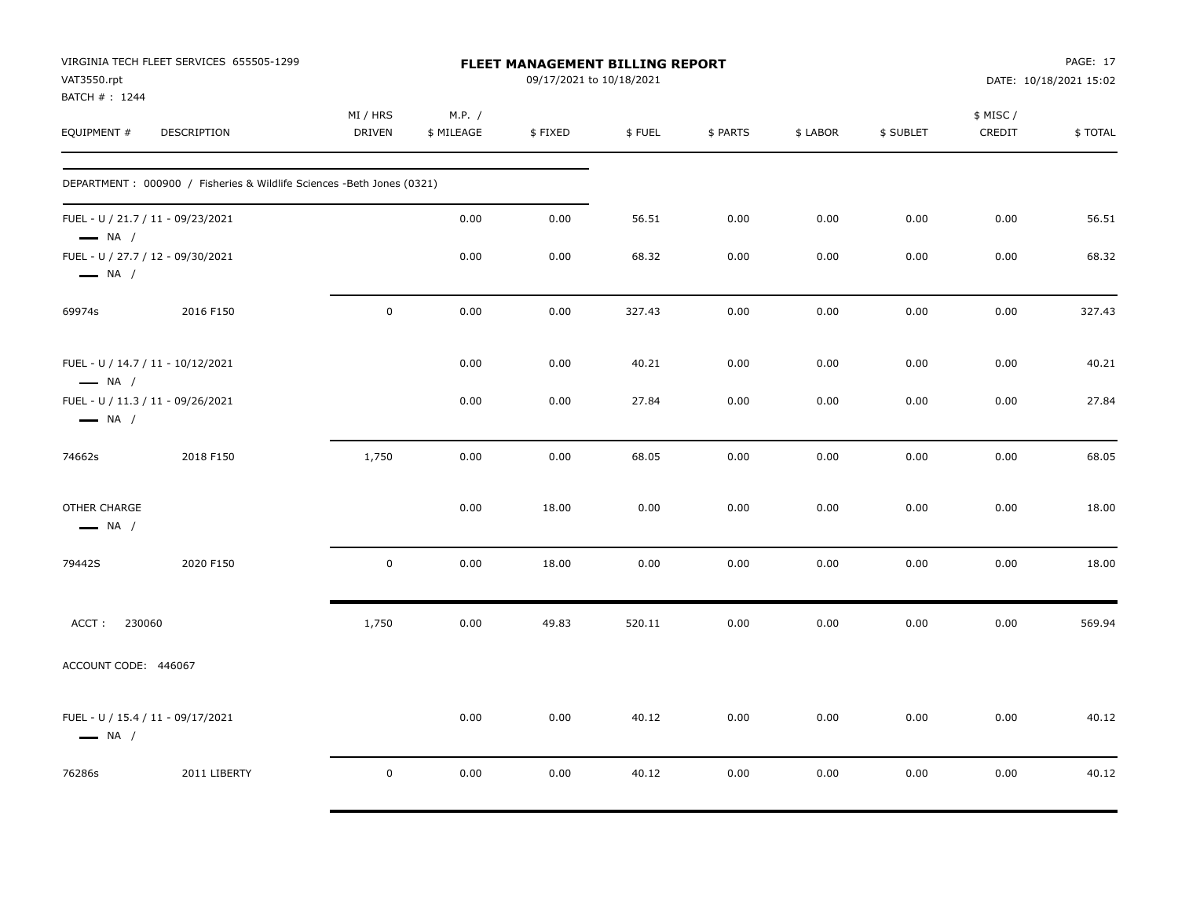| VAT3550.rpt<br>BATCH #: 1244           | VIRGINIA TECH FLEET SERVICES 655505-1299                               |                           |                      | FLEET MANAGEMENT BILLING REPORT<br>09/17/2021 to 10/18/2021 |        |          |          |           |                     | PAGE: 17<br>DATE: 10/18/2021 15:02 |
|----------------------------------------|------------------------------------------------------------------------|---------------------------|----------------------|-------------------------------------------------------------|--------|----------|----------|-----------|---------------------|------------------------------------|
| EQUIPMENT #                            | DESCRIPTION                                                            | MI / HRS<br><b>DRIVEN</b> | M.P. /<br>\$ MILEAGE | \$FIXED                                                     | \$FUEL | \$ PARTS | \$ LABOR | \$ SUBLET | \$ MISC /<br>CREDIT | \$TOTAL                            |
|                                        | DEPARTMENT : 000900 / Fisheries & Wildlife Sciences -Beth Jones (0321) |                           |                      |                                                             |        |          |          |           |                     |                                    |
| $\longrightarrow$ NA /                 | FUEL - U / 21.7 / 11 - 09/23/2021                                      |                           | 0.00                 | 0.00                                                        | 56.51  | 0.00     | 0.00     | 0.00      | 0.00                | 56.51                              |
| $\longrightarrow$ NA /                 | FUEL - U / 27.7 / 12 - 09/30/2021                                      |                           | 0.00                 | 0.00                                                        | 68.32  | 0.00     | 0.00     | 0.00      | 0.00                | 68.32                              |
| 69974s                                 | 2016 F150                                                              | $\mathbf 0$               | 0.00                 | 0.00                                                        | 327.43 | 0.00     | 0.00     | 0.00      | 0.00                | 327.43                             |
| $\longrightarrow$ NA /                 | FUEL - U / 14.7 / 11 - 10/12/2021                                      |                           | 0.00                 | 0.00                                                        | 40.21  | 0.00     | 0.00     | 0.00      | 0.00                | 40.21                              |
| $\longrightarrow$ NA /                 | FUEL - U / 11.3 / 11 - 09/26/2021                                      |                           | 0.00                 | 0.00                                                        | 27.84  | 0.00     | 0.00     | 0.00      | 0.00                | 27.84                              |
| 74662s                                 | 2018 F150                                                              | 1,750                     | 0.00                 | 0.00                                                        | 68.05  | 0.00     | 0.00     | 0.00      | 0.00                | 68.05                              |
| OTHER CHARGE<br>$\longrightarrow$ NA / |                                                                        |                           | 0.00                 | 18.00                                                       | 0.00   | 0.00     | 0.00     | 0.00      | 0.00                | 18.00                              |
| 79442S                                 | 2020 F150                                                              | $\pmb{0}$                 | 0.00                 | 18.00                                                       | 0.00   | 0.00     | 0.00     | 0.00      | 0.00                | 18.00                              |
| ACCT:<br>230060                        |                                                                        | 1,750                     | 0.00                 | 49.83                                                       | 520.11 | 0.00     | 0.00     | 0.00      | 0.00                | 569.94                             |
| ACCOUNT CODE: 446067                   |                                                                        |                           |                      |                                                             |        |          |          |           |                     |                                    |
| $\longrightarrow$ NA /                 | FUEL - U / 15.4 / 11 - 09/17/2021                                      |                           | 0.00                 | 0.00                                                        | 40.12  | 0.00     | 0.00     | 0.00      | 0.00                | 40.12                              |
| 76286s                                 | 2011 LIBERTY                                                           | $\mathbf 0$               | 0.00                 | 0.00                                                        | 40.12  | 0.00     | 0.00     | 0.00      | 0.00                | 40.12                              |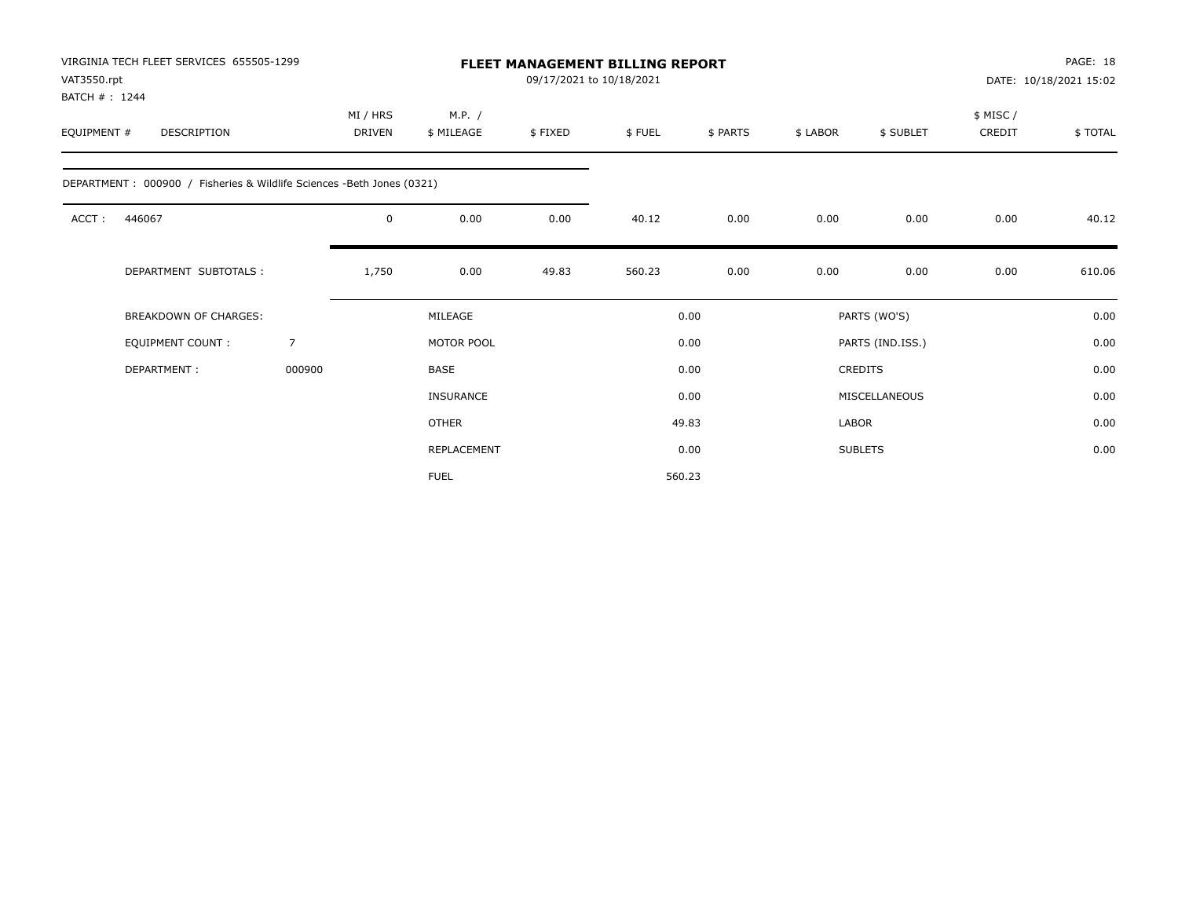| VIRGINIA TECH FLEET SERVICES 655505-1299<br>VAT3550.rpt<br>BATCH #: 1244 |        |                           |                      | <b>FLEET MANAGEMENT BILLING REPORT</b> | 09/17/2021 to 10/18/2021 |          |          |                  |                    | PAGE: 18<br>DATE: 10/18/2021 15:02 |
|--------------------------------------------------------------------------|--------|---------------------------|----------------------|----------------------------------------|--------------------------|----------|----------|------------------|--------------------|------------------------------------|
| EQUIPMENT #<br>DESCRIPTION                                               |        | MI / HRS<br><b>DRIVEN</b> | M.P. /<br>\$ MILEAGE | \$FIXED                                | \$FUEL                   | \$ PARTS | \$ LABOR | \$ SUBLET        | \$ MISC/<br>CREDIT | \$TOTAL                            |
| DEPARTMENT: 000900 / Fisheries & Wildlife Sciences -Beth Jones (0321)    |        |                           |                      |                                        |                          |          |          |                  |                    |                                    |
| ACCT:<br>446067                                                          |        | $\mathbf 0$               | 0.00                 | 0.00                                   | 40.12                    | 0.00     | 0.00     | 0.00             | 0.00               | 40.12                              |
| DEPARTMENT SUBTOTALS :                                                   |        | 1,750                     | 0.00                 | 49.83                                  | 560.23                   | 0.00     | 0.00     | 0.00             | 0.00               | 610.06                             |
| <b>BREAKDOWN OF CHARGES:</b>                                             |        |                           | MILEAGE              |                                        |                          | 0.00     |          | PARTS (WO'S)     |                    | 0.00                               |
| <b>EQUIPMENT COUNT:</b>                                                  | 7      |                           | MOTOR POOL           |                                        |                          | 0.00     |          | PARTS (IND.ISS.) |                    | 0.00                               |
| DEPARTMENT:                                                              | 000900 |                           | <b>BASE</b>          |                                        |                          | 0.00     |          | <b>CREDITS</b>   |                    | 0.00                               |
|                                                                          |        |                           | <b>INSURANCE</b>     |                                        |                          | 0.00     |          | MISCELLANEOUS    |                    | 0.00                               |
|                                                                          |        |                           | <b>OTHER</b>         |                                        |                          | 49.83    | LABOR    |                  |                    | 0.00                               |
|                                                                          |        |                           | REPLACEMENT          |                                        |                          | 0.00     |          | <b>SUBLETS</b>   |                    | 0.00                               |
|                                                                          |        |                           | <b>FUEL</b>          |                                        |                          | 560.23   |          |                  |                    |                                    |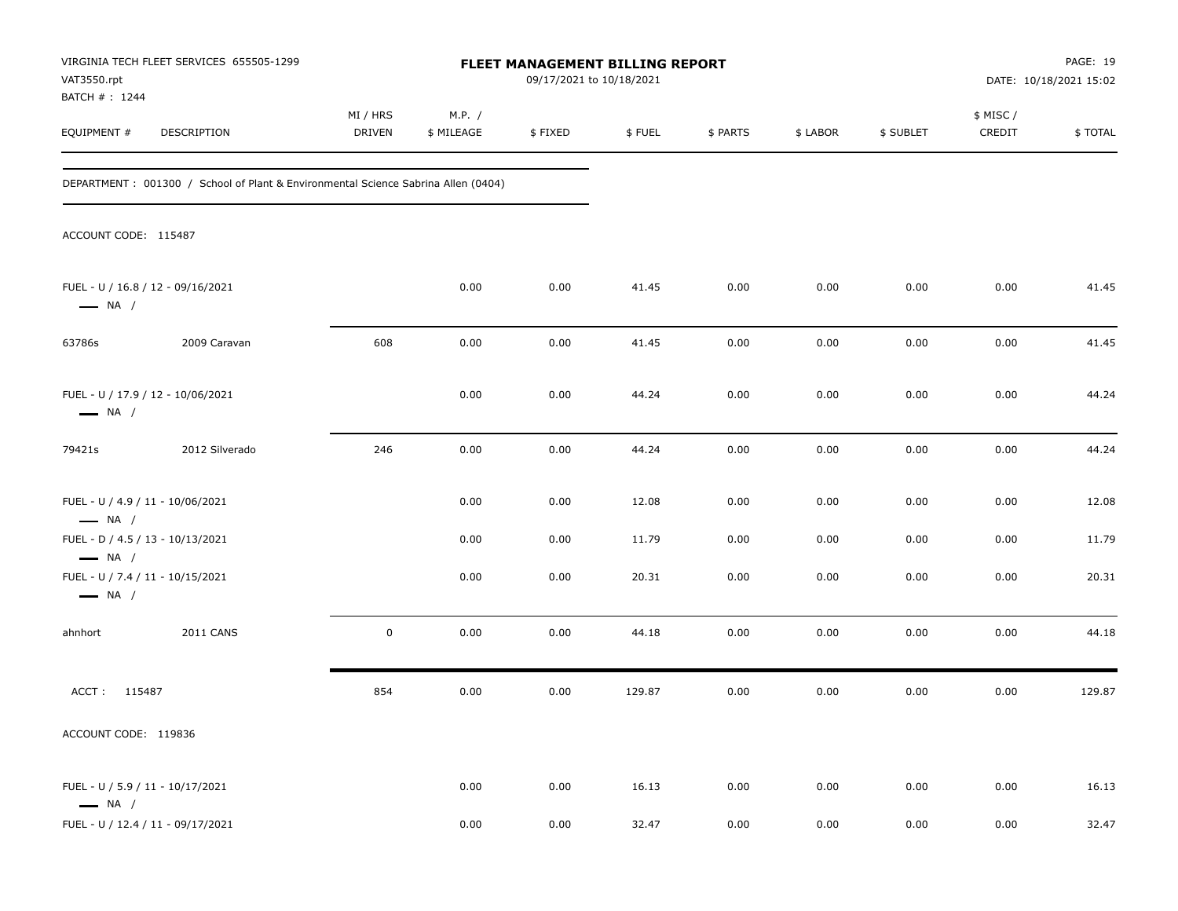| VAT3550.rpt<br>BATCH #: 1244                               | VIRGINIA TECH FLEET SERVICES 655505-1299                                          | FLEET MANAGEMENT BILLING REPORT<br>09/17/2021 to 10/18/2021 |                      |         |        |          |          |           | PAGE: 19<br>DATE: 10/18/2021 15:02 |         |
|------------------------------------------------------------|-----------------------------------------------------------------------------------|-------------------------------------------------------------|----------------------|---------|--------|----------|----------|-----------|------------------------------------|---------|
| EQUIPMENT #                                                | DESCRIPTION                                                                       | MI / HRS<br><b>DRIVEN</b>                                   | M.P. /<br>\$ MILEAGE | \$FIXED | \$FUEL | \$ PARTS | \$ LABOR | \$ SUBLET | \$ MISC /<br>CREDIT                | \$TOTAL |
|                                                            | DEPARTMENT: 001300 / School of Plant & Environmental Science Sabrina Allen (0404) |                                                             |                      |         |        |          |          |           |                                    |         |
| ACCOUNT CODE: 115487                                       |                                                                                   |                                                             |                      |         |        |          |          |           |                                    |         |
| $\longrightarrow$ NA /                                     | FUEL - U / 16.8 / 12 - 09/16/2021                                                 |                                                             | 0.00                 | 0.00    | 41.45  | 0.00     | 0.00     | 0.00      | 0.00                               | 41.45   |
| 63786s                                                     | 2009 Caravan                                                                      | 608                                                         | 0.00                 | 0.00    | 41.45  | 0.00     | 0.00     | 0.00      | 0.00                               | 41.45   |
| $\longrightarrow$ NA /                                     | FUEL - U / 17.9 / 12 - 10/06/2021                                                 |                                                             | 0.00                 | 0.00    | 44.24  | 0.00     | 0.00     | 0.00      | 0.00                               | 44.24   |
| 79421s                                                     | 2012 Silverado                                                                    | 246                                                         | 0.00                 | 0.00    | 44.24  | 0.00     | 0.00     | 0.00      | 0.00                               | 44.24   |
| FUEL - U / 4.9 / 11 - 10/06/2021<br>$\longrightarrow$ NA / |                                                                                   |                                                             | 0.00                 | 0.00    | 12.08  | 0.00     | 0.00     | 0.00      | 0.00                               | 12.08   |
| FUEL - D / 4.5 / 13 - 10/13/2021<br>$\longrightarrow$ NA / |                                                                                   |                                                             | 0.00                 | 0.00    | 11.79  | 0.00     | 0.00     | 0.00      | 0.00                               | 11.79   |
| FUEL - U / 7.4 / 11 - 10/15/2021<br>$\longrightarrow$ NA / |                                                                                   |                                                             | 0.00                 | 0.00    | 20.31  | 0.00     | 0.00     | 0.00      | 0.00                               | 20.31   |
| ahnhort                                                    | <b>2011 CANS</b>                                                                  | $\mathbf 0$                                                 | 0.00                 | 0.00    | 44.18  | 0.00     | 0.00     | 0.00      | 0.00                               | 44.18   |
| 115487<br>ACCT:                                            |                                                                                   | 854                                                         | 0.00                 | 0.00    | 129.87 | 0.00     | 0.00     | 0.00      | 0.00                               | 129.87  |
| ACCOUNT CODE: 119836                                       |                                                                                   |                                                             |                      |         |        |          |          |           |                                    |         |
| FUEL - U / 5.9 / 11 - 10/17/2021<br>$\longrightarrow$ NA / |                                                                                   |                                                             | 0.00                 | 0.00    | 16.13  | 0.00     | 0.00     | 0.00      | 0.00                               | 16.13   |
|                                                            | FUEL - U / 12.4 / 11 - 09/17/2021                                                 |                                                             | 0.00                 | 0.00    | 32.47  | 0.00     | 0.00     | 0.00      | 0.00                               | 32.47   |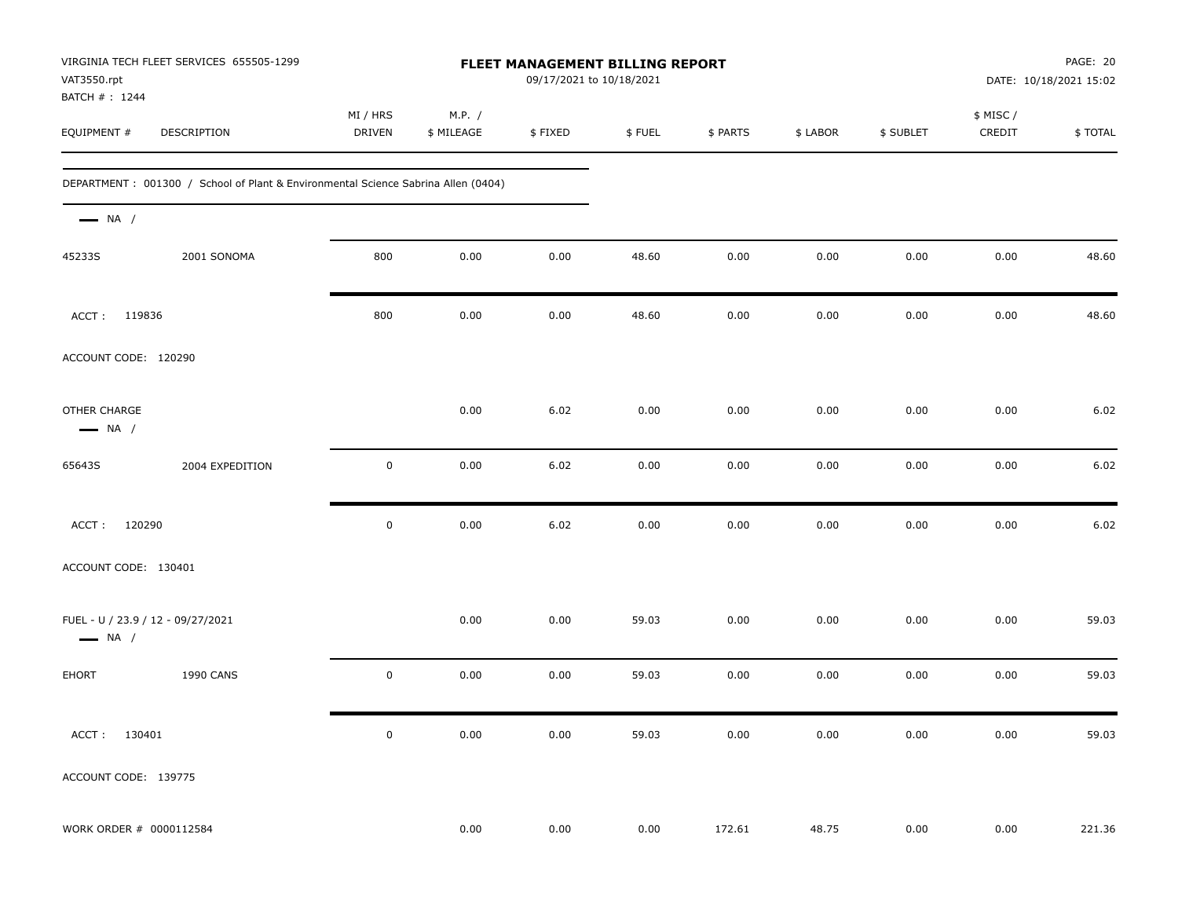| VAT3550.rpt<br>BATCH #: 1244           | VIRGINIA TECH FLEET SERVICES 655505-1299                                          | FLEET MANAGEMENT BILLING REPORT<br>09/17/2021 to 10/18/2021 |                      |         |        |          |          |           |                     | PAGE: 20<br>DATE: 10/18/2021 15:02 |  |
|----------------------------------------|-----------------------------------------------------------------------------------|-------------------------------------------------------------|----------------------|---------|--------|----------|----------|-----------|---------------------|------------------------------------|--|
| EQUIPMENT #                            | DESCRIPTION                                                                       | MI / HRS<br>DRIVEN                                          | M.P. /<br>\$ MILEAGE | \$FIXED | \$FUEL | \$ PARTS | \$ LABOR | \$ SUBLET | \$ MISC /<br>CREDIT | \$TOTAL                            |  |
|                                        | DEPARTMENT: 001300 / School of Plant & Environmental Science Sabrina Allen (0404) |                                                             |                      |         |        |          |          |           |                     |                                    |  |
| $\longrightarrow$ NA /                 |                                                                                   |                                                             |                      |         |        |          |          |           |                     |                                    |  |
| 45233S                                 | 2001 SONOMA                                                                       | 800                                                         | 0.00                 | 0.00    | 48.60  | 0.00     | 0.00     | 0.00      | 0.00                | 48.60                              |  |
| ACCT: 119836                           |                                                                                   | 800                                                         | 0.00                 | 0.00    | 48.60  | 0.00     | 0.00     | 0.00      | 0.00                | 48.60                              |  |
| ACCOUNT CODE: 120290                   |                                                                                   |                                                             |                      |         |        |          |          |           |                     |                                    |  |
| OTHER CHARGE<br>$\longrightarrow$ NA / |                                                                                   |                                                             | 0.00                 | 6.02    | 0.00   | 0.00     | 0.00     | 0.00      | 0.00                | 6.02                               |  |
| 65643S                                 | 2004 EXPEDITION                                                                   | 0                                                           | 0.00                 | 6.02    | 0.00   | 0.00     | 0.00     | 0.00      | 0.00                | 6.02                               |  |
| ACCT: 120290                           |                                                                                   | 0                                                           | 0.00                 | 6.02    | 0.00   | 0.00     | 0.00     | 0.00      | 0.00                | 6.02                               |  |
| ACCOUNT CODE: 130401                   |                                                                                   |                                                             |                      |         |        |          |          |           |                     |                                    |  |
| $\longrightarrow$ NA /                 | FUEL - U / 23.9 / 12 - 09/27/2021                                                 |                                                             | 0.00                 | 0.00    | 59.03  | 0.00     | 0.00     | 0.00      | 0.00                | 59.03                              |  |
| EHORT                                  | <b>1990 CANS</b>                                                                  | $\mathbf 0$                                                 | 0.00                 | 0.00    | 59.03  | 0.00     | 0.00     | 0.00      | 0.00                | 59.03                              |  |
| ACCT: 130401                           |                                                                                   | 0                                                           | 0.00                 | 0.00    | 59.03  | 0.00     | 0.00     | 0.00      | 0.00                | 59.03                              |  |
| ACCOUNT CODE: 139775                   |                                                                                   |                                                             |                      |         |        |          |          |           |                     |                                    |  |
| WORK ORDER # 0000112584                |                                                                                   |                                                             | 0.00                 | 0.00    | 0.00   | 172.61   | 48.75    | 0.00      | 0.00                | 221.36                             |  |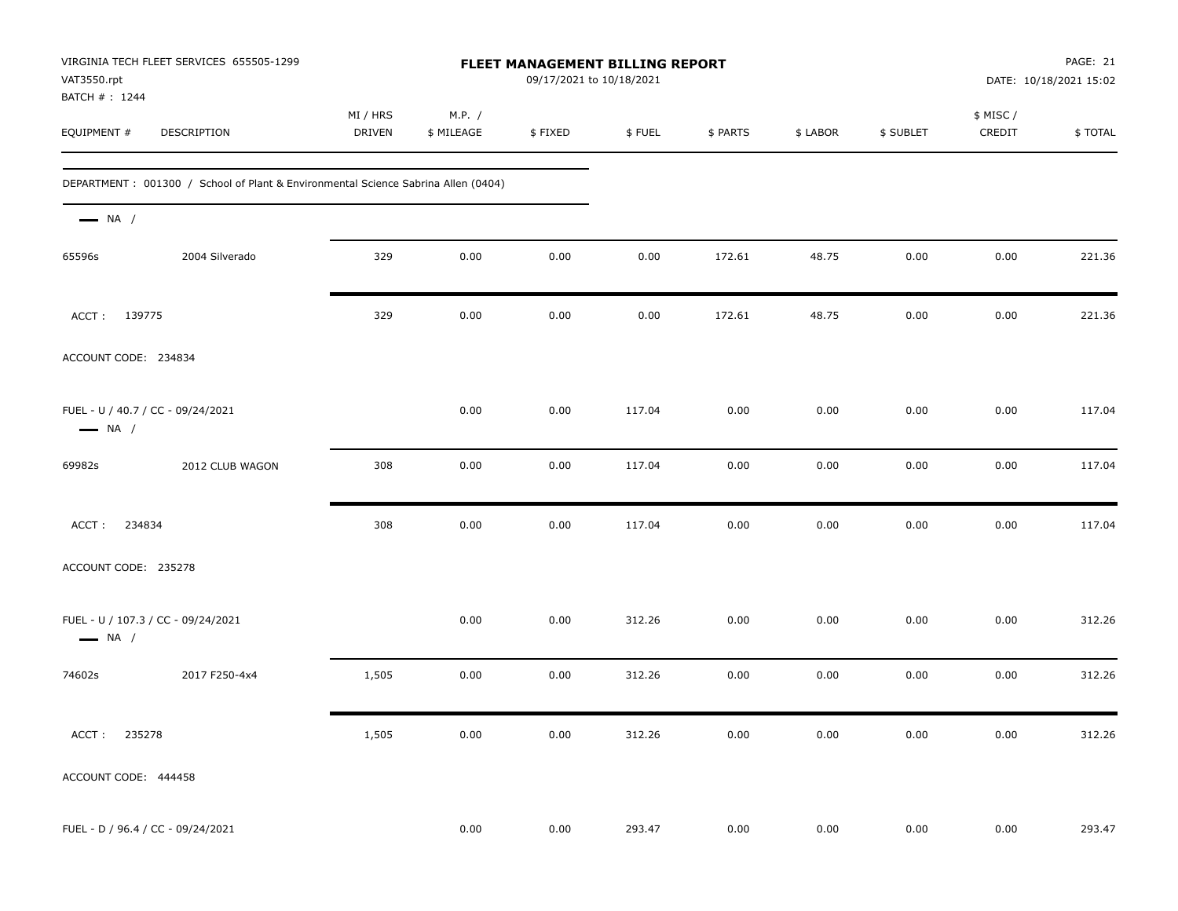| VAT3550.rpt<br>BATCH #: 1244 | VIRGINIA TECH FLEET SERVICES 655505-1299                                          | FLEET MANAGEMENT BILLING REPORT<br>09/17/2021 to 10/18/2021 |                      |         |        |          |          |           | PAGE: 21<br>DATE: 10/18/2021 15:02 |         |
|------------------------------|-----------------------------------------------------------------------------------|-------------------------------------------------------------|----------------------|---------|--------|----------|----------|-----------|------------------------------------|---------|
| EQUIPMENT #                  | DESCRIPTION                                                                       | MI / HRS<br>DRIVEN                                          | M.P. /<br>\$ MILEAGE | \$FIXED | \$FUEL | \$ PARTS | \$ LABOR | \$ SUBLET | \$ MISC /<br>CREDIT                | \$TOTAL |
|                              | DEPARTMENT: 001300 / School of Plant & Environmental Science Sabrina Allen (0404) |                                                             |                      |         |        |          |          |           |                                    |         |
| $\longrightarrow$ NA /       |                                                                                   |                                                             |                      |         |        |          |          |           |                                    |         |
| 65596s                       | 2004 Silverado                                                                    | 329                                                         | 0.00                 | 0.00    | 0.00   | 172.61   | 48.75    | 0.00      | 0.00                               | 221.36  |
| ACCT: 139775                 |                                                                                   | 329                                                         | 0.00                 | 0.00    | 0.00   | 172.61   | 48.75    | 0.00      | 0.00                               | 221.36  |
| ACCOUNT CODE: 234834         |                                                                                   |                                                             |                      |         |        |          |          |           |                                    |         |
| $\longrightarrow$ NA /       | FUEL - U / 40.7 / CC - 09/24/2021                                                 |                                                             | 0.00                 | 0.00    | 117.04 | 0.00     | 0.00     | 0.00      | 0.00                               | 117.04  |
| 69982s                       | 2012 CLUB WAGON                                                                   | 308                                                         | 0.00                 | 0.00    | 117.04 | 0.00     | 0.00     | 0.00      | 0.00                               | 117.04  |
| ACCT:<br>234834              |                                                                                   | 308                                                         | 0.00                 | 0.00    | 117.04 | 0.00     | 0.00     | 0.00      | 0.00                               | 117.04  |
| ACCOUNT CODE: 235278         |                                                                                   |                                                             |                      |         |        |          |          |           |                                    |         |
| $\longrightarrow$ NA /       | FUEL - U / 107.3 / CC - 09/24/2021                                                |                                                             | 0.00                 | 0.00    | 312.26 | 0.00     | 0.00     | 0.00      | 0.00                               | 312.26  |
| 74602s                       | 2017 F250-4x4                                                                     | 1,505                                                       | 0.00                 | 0.00    | 312.26 | 0.00     | 0.00     | 0.00      | 0.00                               | 312.26  |
| ACCT: 235278                 |                                                                                   | 1,505                                                       | $0.00\,$             | 0.00    | 312.26 | $0.00\,$ | 0.00     | 0.00      | $0.00\,$                           | 312.26  |
| ACCOUNT CODE: 444458         |                                                                                   |                                                             |                      |         |        |          |          |           |                                    |         |
|                              | FUEL - D / 96.4 / CC - 09/24/2021                                                 |                                                             | 0.00                 | 0.00    | 293.47 | $0.00\,$ | $0.00\,$ | $0.00\,$  | $0.00\,$                           | 293.47  |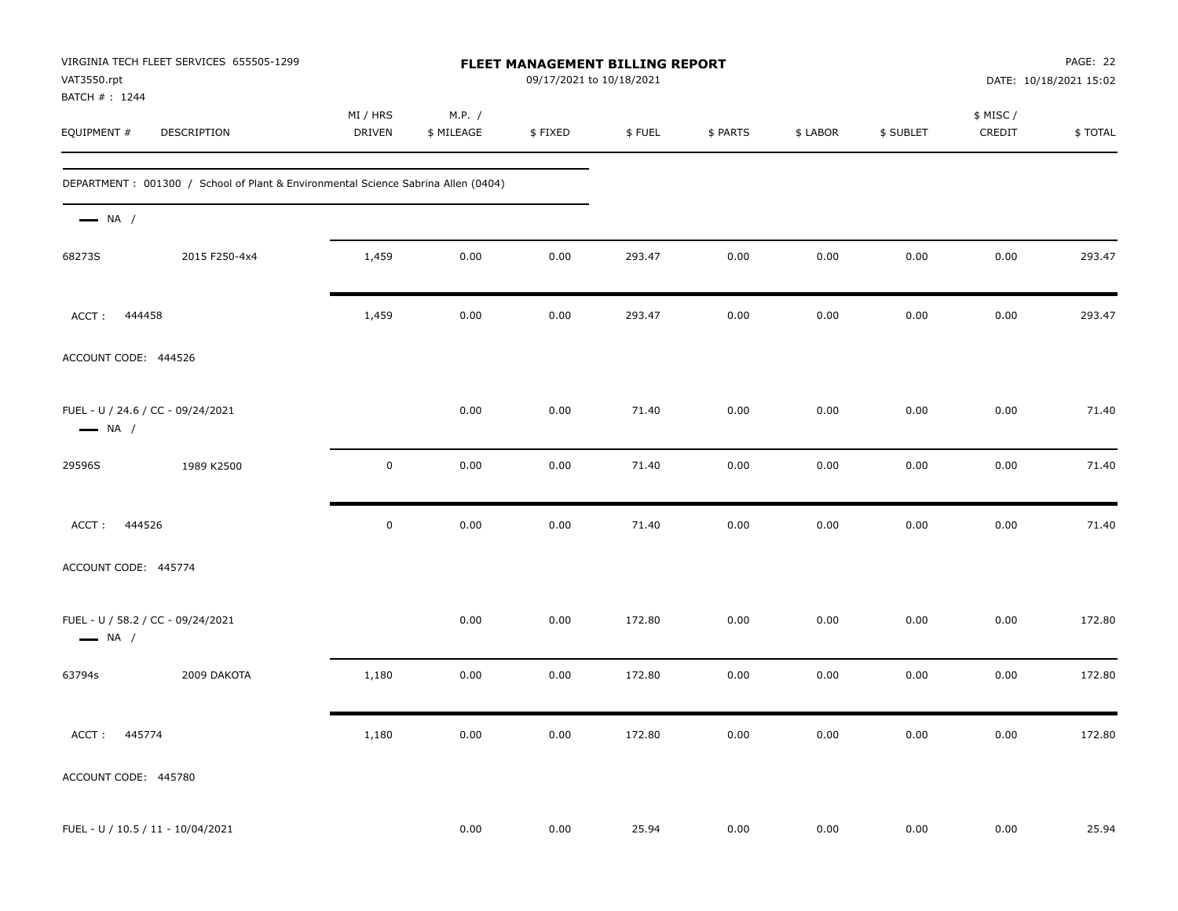| VAT3550.rpt                  | VIRGINIA TECH FLEET SERVICES 655505-1299                                          | FLEET MANAGEMENT BILLING REPORT<br>09/17/2021 to 10/18/2021 |                      |         |        |          |          |           |                    | PAGE: 22<br>DATE: 10/18/2021 15:02 |  |
|------------------------------|-----------------------------------------------------------------------------------|-------------------------------------------------------------|----------------------|---------|--------|----------|----------|-----------|--------------------|------------------------------------|--|
| BATCH #: 1244<br>EQUIPMENT # | DESCRIPTION                                                                       | MI / HRS<br><b>DRIVEN</b>                                   | M.P. /<br>\$ MILEAGE | \$FIXED | \$FUEL | \$ PARTS | \$ LABOR | \$ SUBLET | \$ MISC/<br>CREDIT | \$TOTAL                            |  |
|                              | DEPARTMENT: 001300 / School of Plant & Environmental Science Sabrina Allen (0404) |                                                             |                      |         |        |          |          |           |                    |                                    |  |
| $\longrightarrow$ NA /       |                                                                                   |                                                             |                      |         |        |          |          |           |                    |                                    |  |
| 68273S                       | 2015 F250-4x4                                                                     | 1,459                                                       | 0.00                 | 0.00    | 293.47 | 0.00     | 0.00     | 0.00      | 0.00               | 293.47                             |  |
| ACCT: 444458                 |                                                                                   | 1,459                                                       | 0.00                 | 0.00    | 293.47 | 0.00     | 0.00     | 0.00      | 0.00               | 293.47                             |  |
| ACCOUNT CODE: 444526         |                                                                                   |                                                             |                      |         |        |          |          |           |                    |                                    |  |
| $\longrightarrow$ NA /       | FUEL - U / 24.6 / CC - 09/24/2021                                                 |                                                             | 0.00                 | 0.00    | 71.40  | 0.00     | 0.00     | 0.00      | 0.00               | 71.40                              |  |
| 29596S                       | 1989 K2500                                                                        | $\mathbf 0$                                                 | 0.00                 | 0.00    | 71.40  | 0.00     | 0.00     | 0.00      | 0.00               | 71.40                              |  |
| ACCT: 444526                 |                                                                                   | $\mathsf 0$                                                 | 0.00                 | 0.00    | 71.40  | 0.00     | 0.00     | 0.00      | 0.00               | 71.40                              |  |
| ACCOUNT CODE: 445774         |                                                                                   |                                                             |                      |         |        |          |          |           |                    |                                    |  |
| $\longrightarrow$ NA /       | FUEL - U / 58.2 / CC - 09/24/2021                                                 |                                                             | 0.00                 | 0.00    | 172.80 | 0.00     | 0.00     | 0.00      | 0.00               | 172.80                             |  |
| 63794s                       | 2009 DAKOTA                                                                       | 1,180                                                       | 0.00                 | 0.00    | 172.80 | 0.00     | 0.00     | 0.00      | 0.00               | 172.80                             |  |
| ACCT: 445774                 |                                                                                   | 1,180                                                       | 0.00                 | 0.00    | 172.80 | 0.00     | 0.00     | 0.00      | 0.00               | 172.80                             |  |
| ACCOUNT CODE: 445780         |                                                                                   |                                                             |                      |         |        |          |          |           |                    |                                    |  |
|                              | FUEL - U / 10.5 / 11 - 10/04/2021                                                 |                                                             | 0.00                 | 0.00    | 25.94  | 0.00     | 0.00     | 0.00      | 0.00               | 25.94                              |  |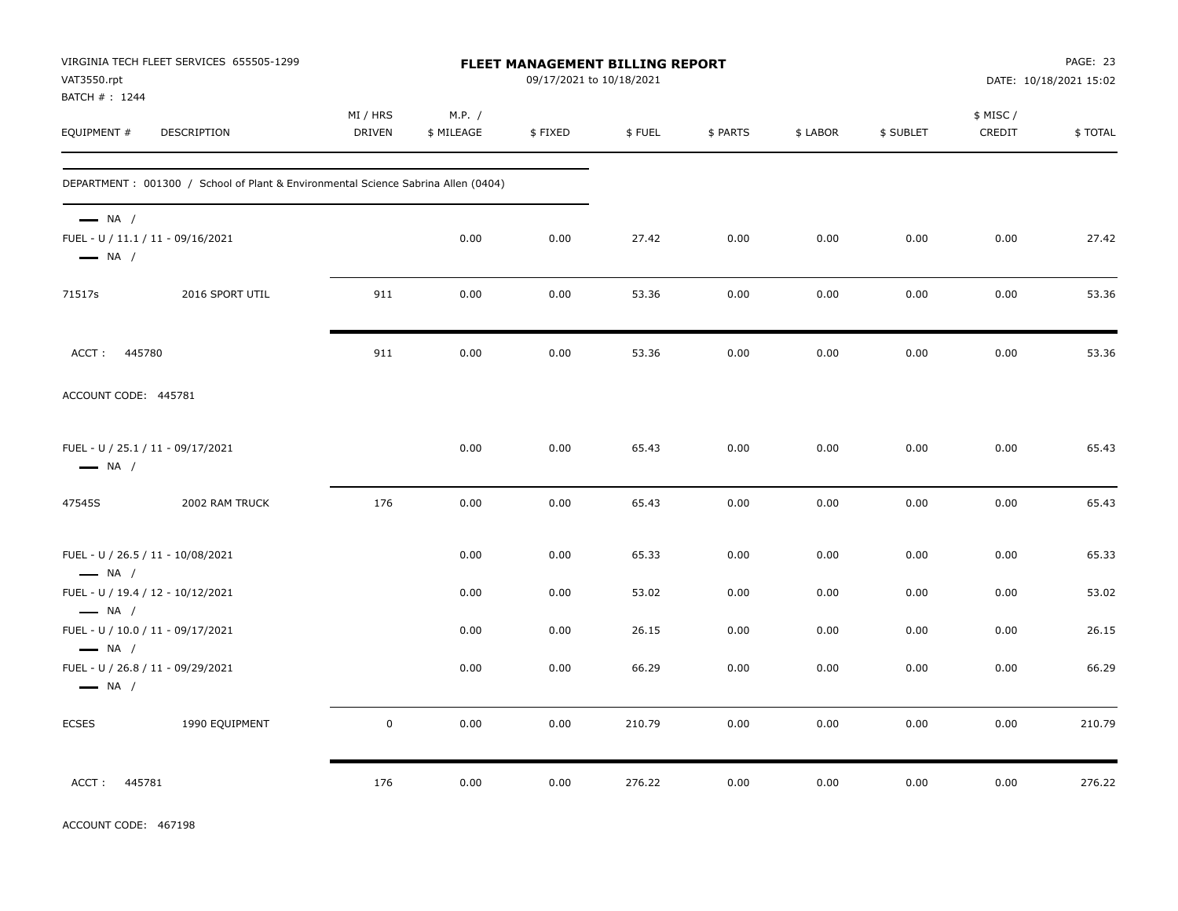| VAT3550.rpt<br>BATCH # : 1244                    | VIRGINIA TECH FLEET SERVICES 655505-1299                                          | FLEET MANAGEMENT BILLING REPORT<br>09/17/2021 to 10/18/2021 |                      |         |        |          |          |           | PAGE: 23<br>DATE: 10/18/2021 15:02 |         |
|--------------------------------------------------|-----------------------------------------------------------------------------------|-------------------------------------------------------------|----------------------|---------|--------|----------|----------|-----------|------------------------------------|---------|
| EQUIPMENT #                                      | DESCRIPTION                                                                       | MI / HRS<br><b>DRIVEN</b>                                   | M.P. /<br>\$ MILEAGE | \$FIXED | \$FUEL | \$ PARTS | \$ LABOR | \$ SUBLET | \$ MISC /<br>CREDIT                | \$TOTAL |
|                                                  | DEPARTMENT: 001300 / School of Plant & Environmental Science Sabrina Allen (0404) |                                                             |                      |         |        |          |          |           |                                    |         |
| $\longrightarrow$ NA /<br>$\longrightarrow$ NA / | FUEL - U / 11.1 / 11 - 09/16/2021                                                 |                                                             | 0.00                 | 0.00    | 27.42  | 0.00     | 0.00     | 0.00      | 0.00                               | 27.42   |
| 71517s                                           | 2016 SPORT UTIL                                                                   | 911                                                         | 0.00                 | 0.00    | 53.36  | 0.00     | 0.00     | 0.00      | 0.00                               | 53.36   |
| ACCT: 445780                                     |                                                                                   | 911                                                         | 0.00                 | 0.00    | 53.36  | 0.00     | 0.00     | 0.00      | 0.00                               | 53.36   |
| ACCOUNT CODE: 445781                             |                                                                                   |                                                             |                      |         |        |          |          |           |                                    |         |
| $\longrightarrow$ NA /                           | FUEL - U / 25.1 / 11 - 09/17/2021                                                 |                                                             | 0.00                 | 0.00    | 65.43  | 0.00     | 0.00     | 0.00      | 0.00                               | 65.43   |
| 47545S                                           | 2002 RAM TRUCK                                                                    | 176                                                         | 0.00                 | 0.00    | 65.43  | 0.00     | 0.00     | 0.00      | 0.00                               | 65.43   |
| $\longrightarrow$ NA /                           | FUEL - U / 26.5 / 11 - 10/08/2021                                                 |                                                             | 0.00                 | 0.00    | 65.33  | 0.00     | 0.00     | 0.00      | 0.00                               | 65.33   |
|                                                  | FUEL - U / 19.4 / 12 - 10/12/2021                                                 |                                                             | 0.00                 | 0.00    | 53.02  | 0.00     | 0.00     | 0.00      | 0.00                               | 53.02   |
| $\longrightarrow$ NA /<br>$\longrightarrow$ NA / | FUEL - U / 10.0 / 11 - 09/17/2021                                                 |                                                             | 0.00                 | 0.00    | 26.15  | 0.00     | 0.00     | 0.00      | 0.00                               | 26.15   |
| $\longrightarrow$ NA /                           | FUEL - U / 26.8 / 11 - 09/29/2021                                                 |                                                             | 0.00                 | 0.00    | 66.29  | 0.00     | 0.00     | 0.00      | 0.00                               | 66.29   |
| <b>ECSES</b>                                     | 1990 EQUIPMENT                                                                    | $\mathsf 0$                                                 | 0.00                 | 0.00    | 210.79 | 0.00     | 0.00     | 0.00      | 0.00                               | 210.79  |
| 445781<br>ACCT:                                  |                                                                                   | 176                                                         | 0.00                 | 0.00    | 276.22 | 0.00     | 0.00     | 0.00      | 0.00                               | 276.22  |

ACCOUNT CODE: 467198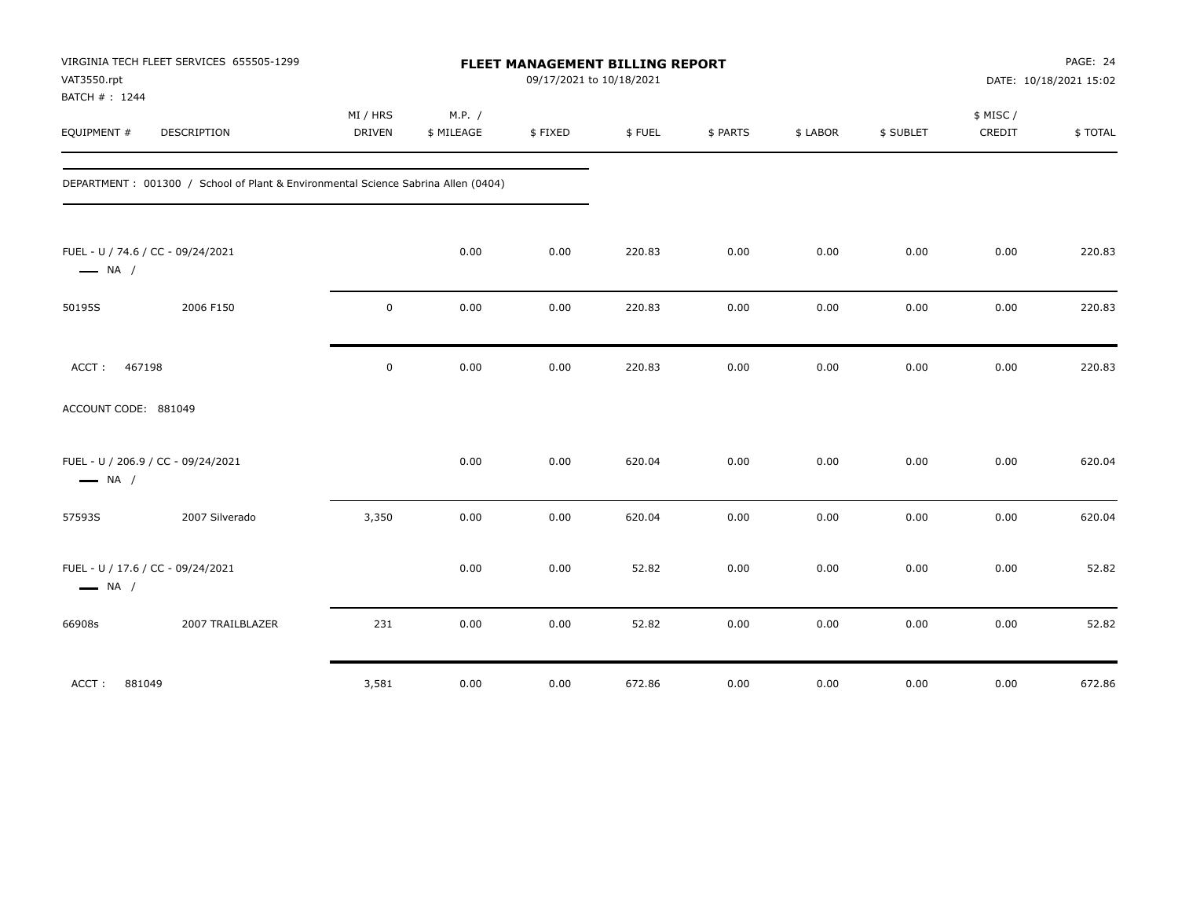| VAT3550.rpt                  | VIRGINIA TECH FLEET SERVICES 655505-1299                                          | FLEET MANAGEMENT BILLING REPORT<br>09/17/2021 to 10/18/2021 |                      |         |        |          |          |           |                     | PAGE: 24<br>DATE: 10/18/2021 15:02 |  |
|------------------------------|-----------------------------------------------------------------------------------|-------------------------------------------------------------|----------------------|---------|--------|----------|----------|-----------|---------------------|------------------------------------|--|
| BATCH #: 1244<br>EQUIPMENT # | <b>DESCRIPTION</b>                                                                | MI / HRS<br><b>DRIVEN</b>                                   | M.P. /<br>\$ MILEAGE | \$FIXED | \$FUEL | \$ PARTS | \$ LABOR | \$ SUBLET | \$ MISC /<br>CREDIT | \$TOTAL                            |  |
|                              | DEPARTMENT: 001300 / School of Plant & Environmental Science Sabrina Allen (0404) |                                                             |                      |         |        |          |          |           |                     |                                    |  |
| $\longrightarrow$ NA /       | FUEL - U / 74.6 / CC - 09/24/2021                                                 |                                                             | 0.00                 | 0.00    | 220.83 | 0.00     | 0.00     | 0.00      | 0.00                | 220.83                             |  |
| 50195S                       | 2006 F150                                                                         | $\mathbf 0$                                                 | 0.00                 | 0.00    | 220.83 | 0.00     | 0.00     | 0.00      | 0.00                | 220.83                             |  |
| ACCT:                        | 467198                                                                            | $\mathbf 0$                                                 | 0.00                 | 0.00    | 220.83 | 0.00     | 0.00     | 0.00      | 0.00                | 220.83                             |  |
| ACCOUNT CODE: 881049         |                                                                                   |                                                             |                      |         |        |          |          |           |                     |                                    |  |
| $\longrightarrow$ NA /       | FUEL - U / 206.9 / CC - 09/24/2021                                                |                                                             | 0.00                 | 0.00    | 620.04 | 0.00     | 0.00     | 0.00      | 0.00                | 620.04                             |  |
| 57593S                       | 2007 Silverado                                                                    | 3,350                                                       | 0.00                 | 0.00    | 620.04 | 0.00     | 0.00     | 0.00      | 0.00                | 620.04                             |  |
| $\longrightarrow$ NA /       | FUEL - U / 17.6 / CC - 09/24/2021                                                 |                                                             | 0.00                 | 0.00    | 52.82  | 0.00     | 0.00     | 0.00      | 0.00                | 52.82                              |  |
| 66908s                       | 2007 TRAILBLAZER                                                                  | 231                                                         | 0.00                 | 0.00    | 52.82  | 0.00     | 0.00     | 0.00      | 0.00                | 52.82                              |  |
| ACCT:                        | 881049                                                                            | 3,581                                                       | 0.00                 | 0.00    | 672.86 | 0.00     | 0.00     | 0.00      | 0.00                | 672.86                             |  |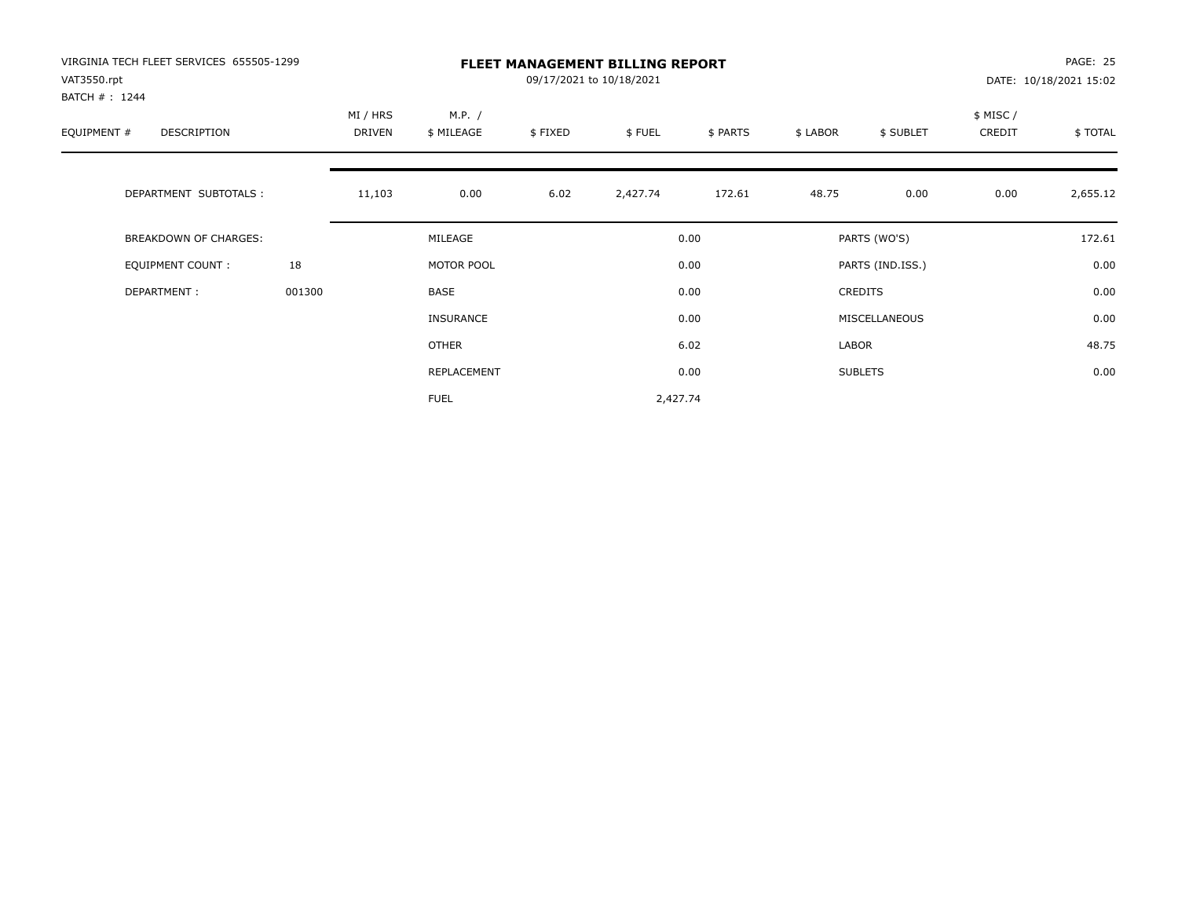| VIRGINIA TECH FLEET SERVICES 655505-1299<br>VAT3550.rpt |        |                    |                      |         | <b>FLEET MANAGEMENT BILLING REPORT</b><br>09/17/2021 to 10/18/2021 |          |          |                  |                    | PAGE: 25<br>DATE: 10/18/2021 15:02 |
|---------------------------------------------------------|--------|--------------------|----------------------|---------|--------------------------------------------------------------------|----------|----------|------------------|--------------------|------------------------------------|
| BATCH #: 1244<br>EQUIPMENT #<br>DESCRIPTION             |        | MI / HRS<br>DRIVEN | M.P. /<br>\$ MILEAGE | \$FIXED | \$FUEL                                                             | \$ PARTS | \$ LABOR | \$ SUBLET        | \$ MISC/<br>CREDIT | \$TOTAL                            |
| DEPARTMENT SUBTOTALS :                                  |        | 11,103             | 0.00                 | 6.02    | 2,427.74                                                           | 172.61   | 48.75    | 0.00             | 0.00               | 2,655.12                           |
| <b>BREAKDOWN OF CHARGES:</b>                            |        |                    | MILEAGE              |         |                                                                    | 0.00     |          | PARTS (WO'S)     |                    | 172.61                             |
| EQUIPMENT COUNT:                                        | 18     |                    | MOTOR POOL           |         |                                                                    | 0.00     |          | PARTS (IND.ISS.) |                    | 0.00                               |
| DEPARTMENT:                                             | 001300 |                    | BASE                 |         |                                                                    | 0.00     |          | <b>CREDITS</b>   |                    | 0.00                               |
|                                                         |        |                    | <b>INSURANCE</b>     |         |                                                                    | 0.00     |          | MISCELLANEOUS    |                    | 0.00                               |
|                                                         |        |                    | <b>OTHER</b>         |         |                                                                    | 6.02     | LABOR    |                  |                    | 48.75                              |
|                                                         |        |                    | REPLACEMENT          |         |                                                                    | 0.00     |          | <b>SUBLETS</b>   |                    | 0.00                               |
|                                                         |        |                    | <b>FUEL</b>          |         | 2,427.74                                                           |          |          |                  |                    |                                    |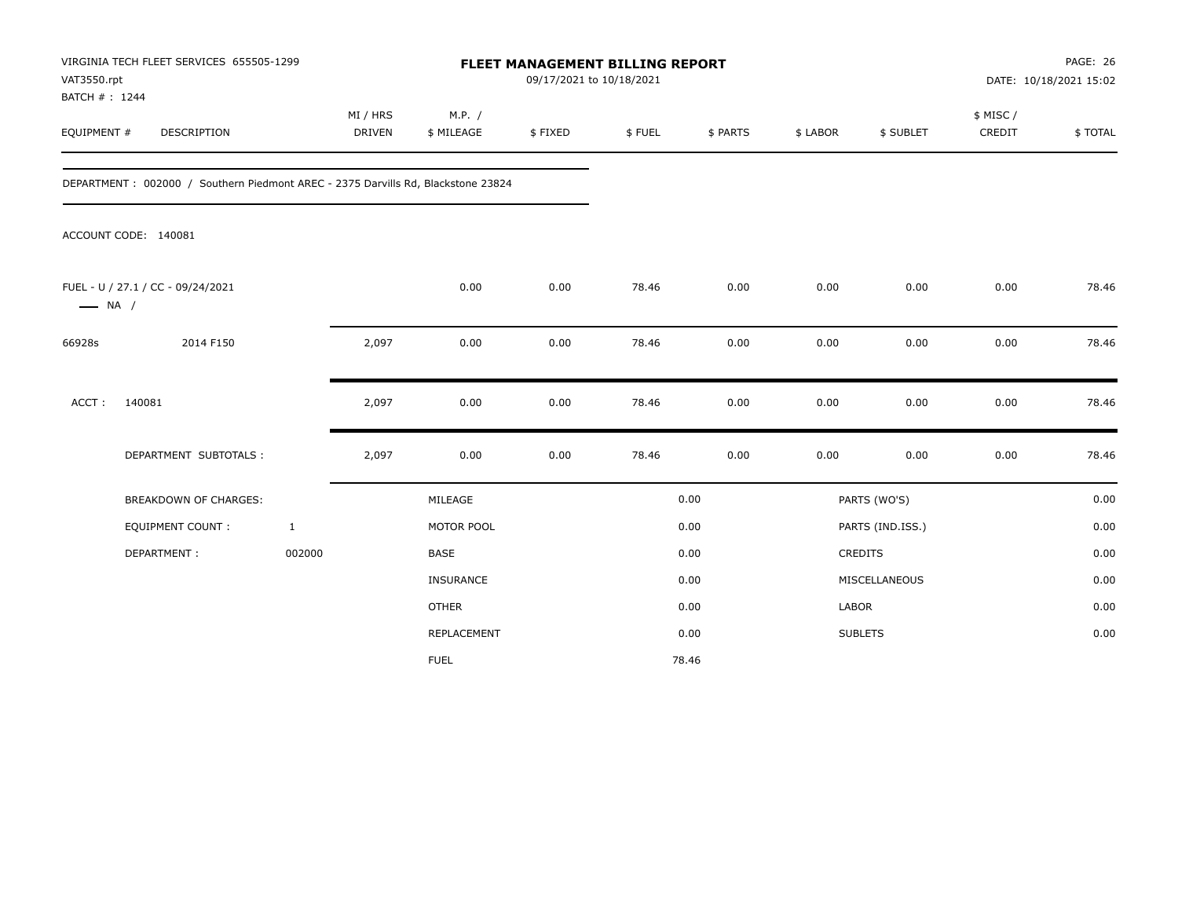| VAT3550.rpt<br>BATCH # : 1244 | VIRGINIA TECH FLEET SERVICES 655505-1299                                         |                           |                      | <b>FLEET MANAGEMENT BILLING REPORT</b><br>09/17/2021 to 10/18/2021 |        |          |              |                  |                     | PAGE: 26<br>DATE: 10/18/2021 15:02 |
|-------------------------------|----------------------------------------------------------------------------------|---------------------------|----------------------|--------------------------------------------------------------------|--------|----------|--------------|------------------|---------------------|------------------------------------|
| EQUIPMENT #                   | DESCRIPTION                                                                      | MI / HRS<br><b>DRIVEN</b> | M.P. /<br>\$ MILEAGE | \$FIXED                                                            | \$FUEL | \$ PARTS | \$ LABOR     | \$ SUBLET        | \$ MISC /<br>CREDIT | \$TOTAL                            |
|                               | DEPARTMENT: 002000 / Southern Piedmont AREC - 2375 Darvills Rd, Blackstone 23824 |                           |                      |                                                                    |        |          |              |                  |                     |                                    |
|                               | ACCOUNT CODE: 140081                                                             |                           |                      |                                                                    |        |          |              |                  |                     |                                    |
| $\longrightarrow$ NA /        | FUEL - U / 27.1 / CC - 09/24/2021                                                |                           | 0.00                 | 0.00                                                               | 78.46  | 0.00     | 0.00         | 0.00             | 0.00                | 78.46                              |
| 66928s                        | 2014 F150                                                                        | 2,097                     | 0.00                 | 0.00                                                               | 78.46  | 0.00     | 0.00         | 0.00             | 0.00                | 78.46                              |
| ACCT:                         | 140081                                                                           | 2,097                     | 0.00                 | 0.00                                                               | 78.46  | 0.00     | 0.00         | 0.00             | 0.00                | 78.46                              |
|                               | DEPARTMENT SUBTOTALS :                                                           | 2,097                     | 0.00                 | 0.00                                                               | 78.46  | 0.00     | 0.00         | 0.00             | 0.00                | 78.46                              |
|                               | <b>BREAKDOWN OF CHARGES:</b>                                                     |                           | MILEAGE              |                                                                    |        | 0.00     |              | PARTS (WO'S)     |                     | 0.00                               |
|                               | <b>EQUIPMENT COUNT:</b>                                                          | $\mathbf{1}$              | MOTOR POOL           |                                                                    |        | 0.00     |              | PARTS (IND.ISS.) |                     | 0.00                               |
|                               | DEPARTMENT:                                                                      | 002000                    | <b>BASE</b>          |                                                                    |        | 0.00     |              | CREDITS          |                     | 0.00                               |
|                               |                                                                                  |                           | <b>INSURANCE</b>     |                                                                    |        | 0.00     |              | MISCELLANEOUS    |                     | 0.00                               |
|                               |                                                                                  |                           | <b>OTHER</b>         |                                                                    |        | 0.00     | <b>LABOR</b> |                  |                     | 0.00                               |
|                               |                                                                                  |                           | <b>REPLACEMENT</b>   |                                                                    |        | 0.00     |              | <b>SUBLETS</b>   |                     | 0.00                               |
|                               |                                                                                  |                           | <b>FUEL</b>          |                                                                    |        | 78.46    |              |                  |                     |                                    |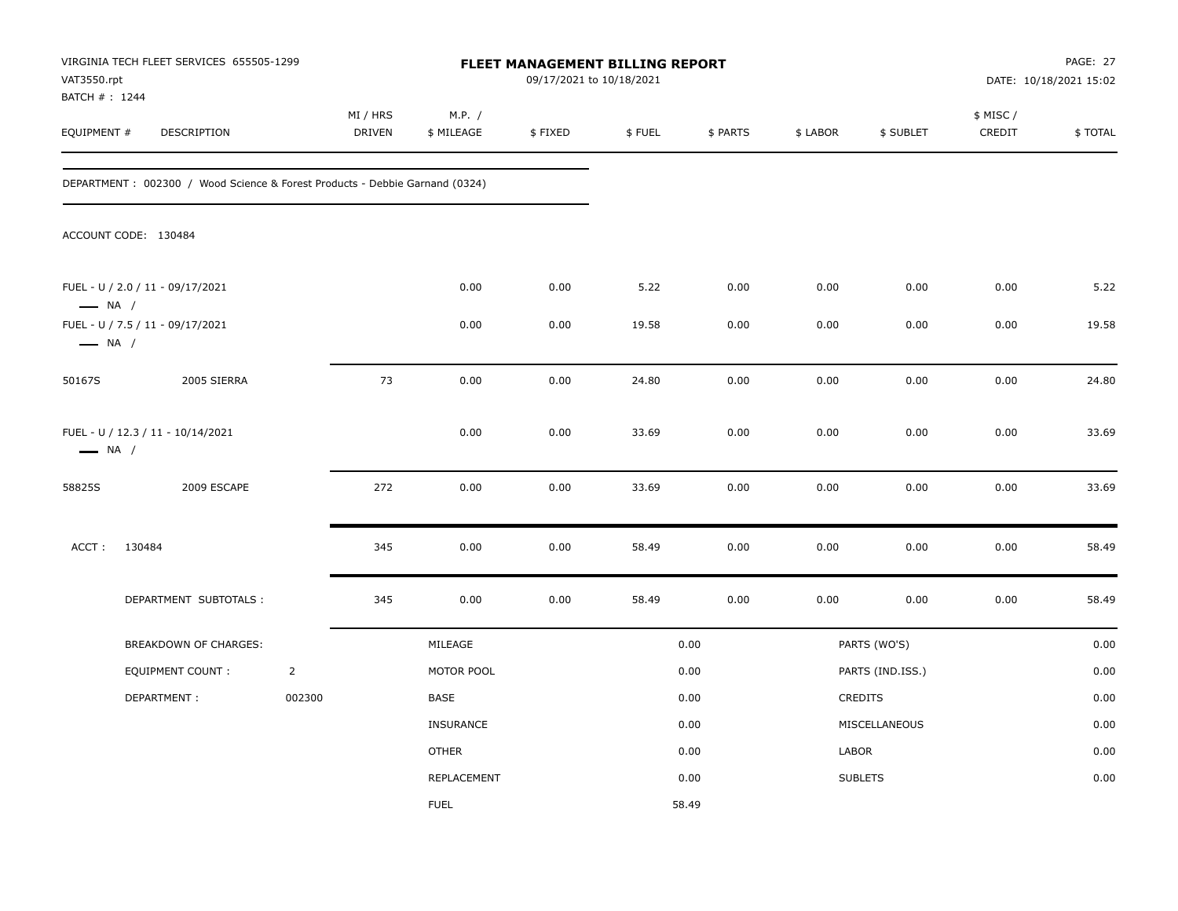| VAT3550.rpt<br>BATCH #: 1244 | VIRGINIA TECH FLEET SERVICES 655505-1299                                    |                    |                      |         | FLEET MANAGEMENT BILLING REPORT<br>09/17/2021 to 10/18/2021 |          |          |                  |                     | PAGE: 27<br>DATE: 10/18/2021 15:02 |
|------------------------------|-----------------------------------------------------------------------------|--------------------|----------------------|---------|-------------------------------------------------------------|----------|----------|------------------|---------------------|------------------------------------|
| EQUIPMENT #                  | DESCRIPTION                                                                 | MI / HRS<br>DRIVEN | M.P. /<br>\$ MILEAGE | \$FIXED | \$FUEL                                                      | \$ PARTS | \$ LABOR | \$ SUBLET        | \$ MISC /<br>CREDIT | \$TOTAL                            |
|                              | DEPARTMENT: 002300 / Wood Science & Forest Products - Debbie Garnand (0324) |                    |                      |         |                                                             |          |          |                  |                     |                                    |
|                              | ACCOUNT CODE: 130484                                                        |                    |                      |         |                                                             |          |          |                  |                     |                                    |
| $\longrightarrow$ NA /       | FUEL - U / 2.0 / 11 - 09/17/2021                                            |                    | 0.00                 | 0.00    | 5.22                                                        | 0.00     | 0.00     | 0.00             | 0.00                | 5.22                               |
| $\longrightarrow$ NA /       | FUEL - U / 7.5 / 11 - 09/17/2021                                            |                    | 0.00                 | 0.00    | 19.58                                                       | 0.00     | 0.00     | 0.00             | 0.00                | 19.58                              |
| 50167S                       | 2005 SIERRA                                                                 | 73                 | 0.00                 | 0.00    | 24.80                                                       | 0.00     | 0.00     | 0.00             | 0.00                | 24.80                              |
| $\longrightarrow$ NA /       | FUEL - U / 12.3 / 11 - 10/14/2021                                           |                    | 0.00                 | 0.00    | 33.69                                                       | 0.00     | 0.00     | 0.00             | 0.00                | 33.69                              |
| 58825S                       | 2009 ESCAPE                                                                 | 272                | 0.00                 | 0.00    | 33.69                                                       | 0.00     | 0.00     | 0.00             | 0.00                | 33.69                              |
| ACCT:                        | 130484                                                                      | 345                | 0.00                 | 0.00    | 58.49                                                       | 0.00     | 0.00     | 0.00             | 0.00                | 58.49                              |
|                              | DEPARTMENT SUBTOTALS :                                                      | 345                | 0.00                 | 0.00    | 58.49                                                       | 0.00     | 0.00     | 0.00             | 0.00                | 58.49                              |
|                              | BREAKDOWN OF CHARGES:                                                       |                    | MILEAGE              |         |                                                             | 0.00     |          | PARTS (WO'S)     |                     | 0.00                               |
|                              | EQUIPMENT COUNT:                                                            | $\overline{2}$     | MOTOR POOL           |         |                                                             | 0.00     |          | PARTS (IND.ISS.) |                     | 0.00                               |
|                              | DEPARTMENT:                                                                 | 002300             | BASE                 |         |                                                             | 0.00     |          | CREDITS          |                     | 0.00                               |
|                              |                                                                             |                    | INSURANCE            |         |                                                             | 0.00     |          | MISCELLANEOUS    |                     | 0.00                               |
|                              |                                                                             |                    | <b>OTHER</b>         |         |                                                             | 0.00     | LABOR    |                  |                     | 0.00                               |
|                              |                                                                             |                    | REPLACEMENT          |         |                                                             | 0.00     |          | <b>SUBLETS</b>   |                     | 0.00                               |
|                              |                                                                             |                    | <b>FUEL</b>          |         |                                                             | 58.49    |          |                  |                     |                                    |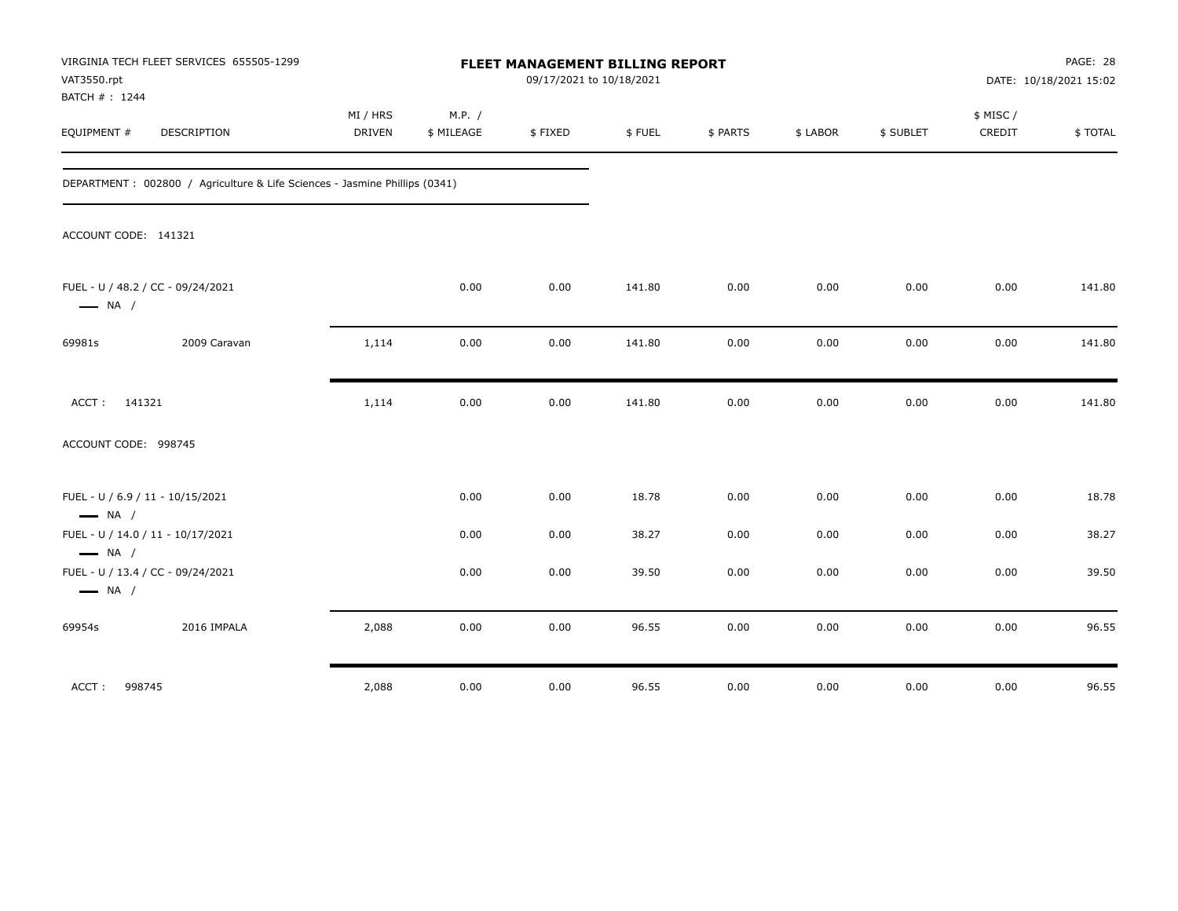| VAT3550.rpt<br>BATCH # : 1244 | VIRGINIA TECH FLEET SERVICES 655505-1299                                    |                           |                      | FLEET MANAGEMENT BILLING REPORT<br>09/17/2021 to 10/18/2021 |        |          |          |           |                     | PAGE: 28<br>DATE: 10/18/2021 15:02 |
|-------------------------------|-----------------------------------------------------------------------------|---------------------------|----------------------|-------------------------------------------------------------|--------|----------|----------|-----------|---------------------|------------------------------------|
| EQUIPMENT #                   | <b>DESCRIPTION</b>                                                          | MI / HRS<br><b>DRIVEN</b> | M.P. /<br>\$ MILEAGE | \$FIXED                                                     | \$FUEL | \$ PARTS | \$ LABOR | \$ SUBLET | \$ MISC /<br>CREDIT | \$TOTAL                            |
|                               | DEPARTMENT : 002800 / Agriculture & Life Sciences - Jasmine Phillips (0341) |                           |                      |                                                             |        |          |          |           |                     |                                    |
| ACCOUNT CODE: 141321          |                                                                             |                           |                      |                                                             |        |          |          |           |                     |                                    |
| $\longrightarrow$ NA /        | FUEL - U / 48.2 / CC - 09/24/2021                                           |                           | 0.00                 | 0.00                                                        | 141.80 | 0.00     | 0.00     | 0.00      | 0.00                | 141.80                             |
| 69981s                        | 2009 Caravan                                                                | 1,114                     | 0.00                 | 0.00                                                        | 141.80 | 0.00     | 0.00     | 0.00      | 0.00                | 141.80                             |
| ACCT: 141321                  |                                                                             | 1,114                     | 0.00                 | 0.00                                                        | 141.80 | 0.00     | 0.00     | 0.00      | 0.00                | 141.80                             |
| ACCOUNT CODE: 998745          |                                                                             |                           |                      |                                                             |        |          |          |           |                     |                                    |
| $\longrightarrow$ NA /        | FUEL - U / 6.9 / 11 - 10/15/2021                                            |                           | 0.00                 | 0.00                                                        | 18.78  | 0.00     | 0.00     | 0.00      | 0.00                | 18.78                              |
| $\longrightarrow$ NA /        | FUEL - U / 14.0 / 11 - 10/17/2021                                           |                           | 0.00                 | 0.00                                                        | 38.27  | 0.00     | 0.00     | 0.00      | 0.00                | 38.27                              |
| $\longrightarrow$ NA /        | FUEL - U / 13.4 / CC - 09/24/2021                                           |                           | 0.00                 | 0.00                                                        | 39.50  | 0.00     | 0.00     | 0.00      | 0.00                | 39.50                              |
| 69954s                        | 2016 IMPALA                                                                 | 2,088                     | 0.00                 | 0.00                                                        | 96.55  | 0.00     | 0.00     | 0.00      | 0.00                | 96.55                              |
| ACCT: 998745                  |                                                                             | 2,088                     | 0.00                 | 0.00                                                        | 96.55  | 0.00     | 0.00     | 0.00      | 0.00                | 96.55                              |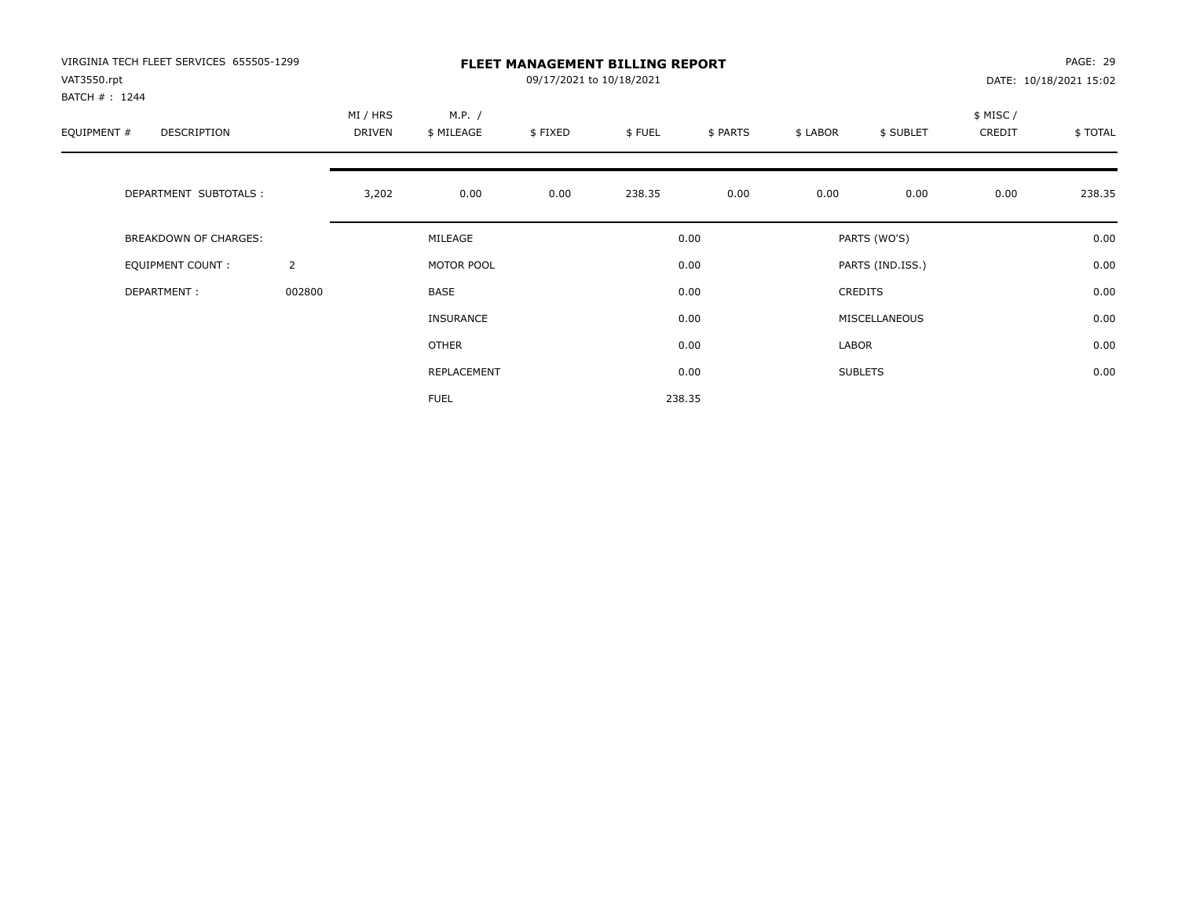| VIRGINIA TECH FLEET SERVICES 655505-1299<br>VAT3550.rpt<br>BATCH #: 1244 |                |                    |                      | 09/17/2021 to 10/18/2021 | <b>FLEET MANAGEMENT BILLING REPORT</b> |          |          |                  |                    | PAGE: 29<br>DATE: 10/18/2021 15:02 |
|--------------------------------------------------------------------------|----------------|--------------------|----------------------|--------------------------|----------------------------------------|----------|----------|------------------|--------------------|------------------------------------|
| EQUIPMENT #<br>DESCRIPTION                                               |                | MI / HRS<br>DRIVEN | M.P. /<br>\$ MILEAGE | \$FIXED                  | \$FUEL                                 | \$ PARTS | \$ LABOR | \$ SUBLET        | \$ MISC/<br>CREDIT | \$TOTAL                            |
| DEPARTMENT SUBTOTALS :                                                   |                | 3,202              | 0.00                 | 0.00                     | 238.35                                 | 0.00     | 0.00     | 0.00             | 0.00               | 238.35                             |
| <b>BREAKDOWN OF CHARGES:</b>                                             |                |                    | MILEAGE              |                          |                                        | 0.00     |          | PARTS (WO'S)     |                    | 0.00                               |
| <b>EQUIPMENT COUNT:</b>                                                  | $\overline{2}$ |                    | MOTOR POOL           |                          |                                        | 0.00     |          | PARTS (IND.ISS.) |                    | 0.00                               |
| DEPARTMENT:                                                              | 002800         |                    | BASE                 |                          |                                        | 0.00     |          | CREDITS          |                    | 0.00                               |
|                                                                          |                |                    | <b>INSURANCE</b>     |                          |                                        | 0.00     |          | MISCELLANEOUS    |                    | 0.00                               |
|                                                                          |                |                    | <b>OTHER</b>         |                          |                                        | 0.00     | LABOR    |                  |                    | 0.00                               |
|                                                                          |                |                    | REPLACEMENT          |                          |                                        | 0.00     |          | <b>SUBLETS</b>   |                    | 0.00                               |
|                                                                          |                |                    | <b>FUEL</b>          |                          |                                        | 238.35   |          |                  |                    |                                    |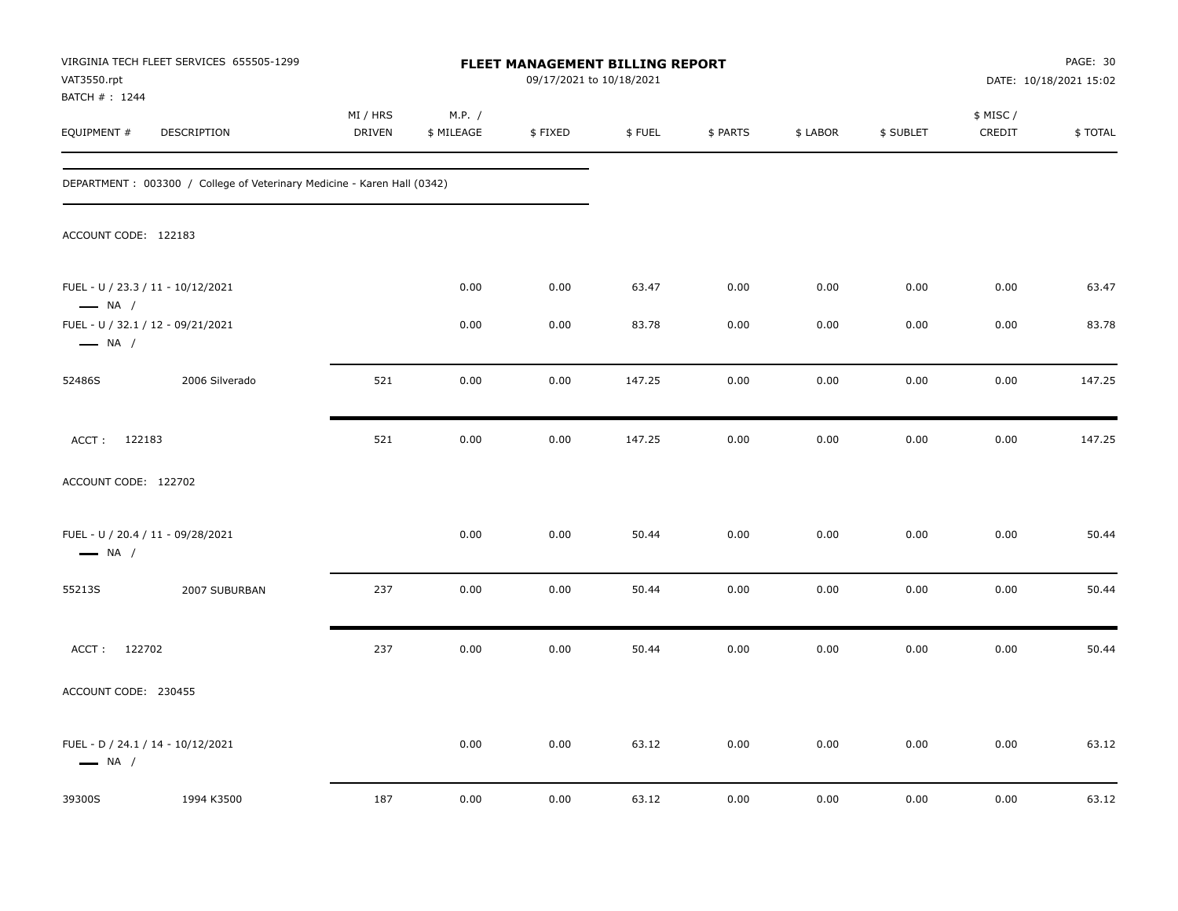| VAT3550.rpt                  | VIRGINIA TECH FLEET SERVICES 655505-1299                                 |                           |                      | <b>FLEET MANAGEMENT BILLING REPORT</b><br>09/17/2021 to 10/18/2021 |        |          |          |           |                     | PAGE: 30<br>DATE: 10/18/2021 15:02 |
|------------------------------|--------------------------------------------------------------------------|---------------------------|----------------------|--------------------------------------------------------------------|--------|----------|----------|-----------|---------------------|------------------------------------|
| BATCH #: 1244<br>EQUIPMENT # | <b>DESCRIPTION</b>                                                       | MI / HRS<br><b>DRIVEN</b> | M.P. /<br>\$ MILEAGE | \$FIXED                                                            | \$FUEL | \$ PARTS | \$ LABOR | \$ SUBLET | \$ MISC /<br>CREDIT | \$TOTAL                            |
|                              | DEPARTMENT : 003300 / College of Veterinary Medicine - Karen Hall (0342) |                           |                      |                                                                    |        |          |          |           |                     |                                    |
| ACCOUNT CODE: 122183         |                                                                          |                           |                      |                                                                    |        |          |          |           |                     |                                    |
| $\longrightarrow$ NA /       | FUEL - U / 23.3 / 11 - 10/12/2021                                        |                           | 0.00                 | 0.00                                                               | 63.47  | 0.00     | 0.00     | 0.00      | 0.00                | 63.47                              |
| $\longrightarrow$ NA /       | FUEL - U / 32.1 / 12 - 09/21/2021                                        |                           | 0.00                 | 0.00                                                               | 83.78  | 0.00     | 0.00     | 0.00      | 0.00                | 83.78                              |
| 52486S                       | 2006 Silverado                                                           | 521                       | 0.00                 | 0.00                                                               | 147.25 | 0.00     | 0.00     | 0.00      | 0.00                | 147.25                             |
| ACCT: 122183                 |                                                                          | 521                       | 0.00                 | 0.00                                                               | 147.25 | 0.00     | 0.00     | 0.00      | 0.00                | 147.25                             |
| ACCOUNT CODE: 122702         |                                                                          |                           |                      |                                                                    |        |          |          |           |                     |                                    |
| $\longrightarrow$ NA /       | FUEL - U / 20.4 / 11 - 09/28/2021                                        |                           | 0.00                 | 0.00                                                               | 50.44  | 0.00     | 0.00     | 0.00      | 0.00                | 50.44                              |
| 55213S                       | 2007 SUBURBAN                                                            | 237                       | 0.00                 | 0.00                                                               | 50.44  | 0.00     | 0.00     | 0.00      | 0.00                | 50.44                              |
| ACCT: 122702                 |                                                                          | 237                       | 0.00                 | 0.00                                                               | 50.44  | 0.00     | 0.00     | 0.00      | 0.00                | 50.44                              |
| ACCOUNT CODE: 230455         |                                                                          |                           |                      |                                                                    |        |          |          |           |                     |                                    |
| $\longrightarrow$ NA /       | FUEL - D / 24.1 / 14 - 10/12/2021                                        |                           | 0.00                 | 0.00                                                               | 63.12  | 0.00     | 0.00     | 0.00      | 0.00                | 63.12                              |
| 39300S                       | 1994 K3500                                                               | 187                       | 0.00                 | 0.00                                                               | 63.12  | 0.00     | 0.00     | 0.00      | 0.00                | 63.12                              |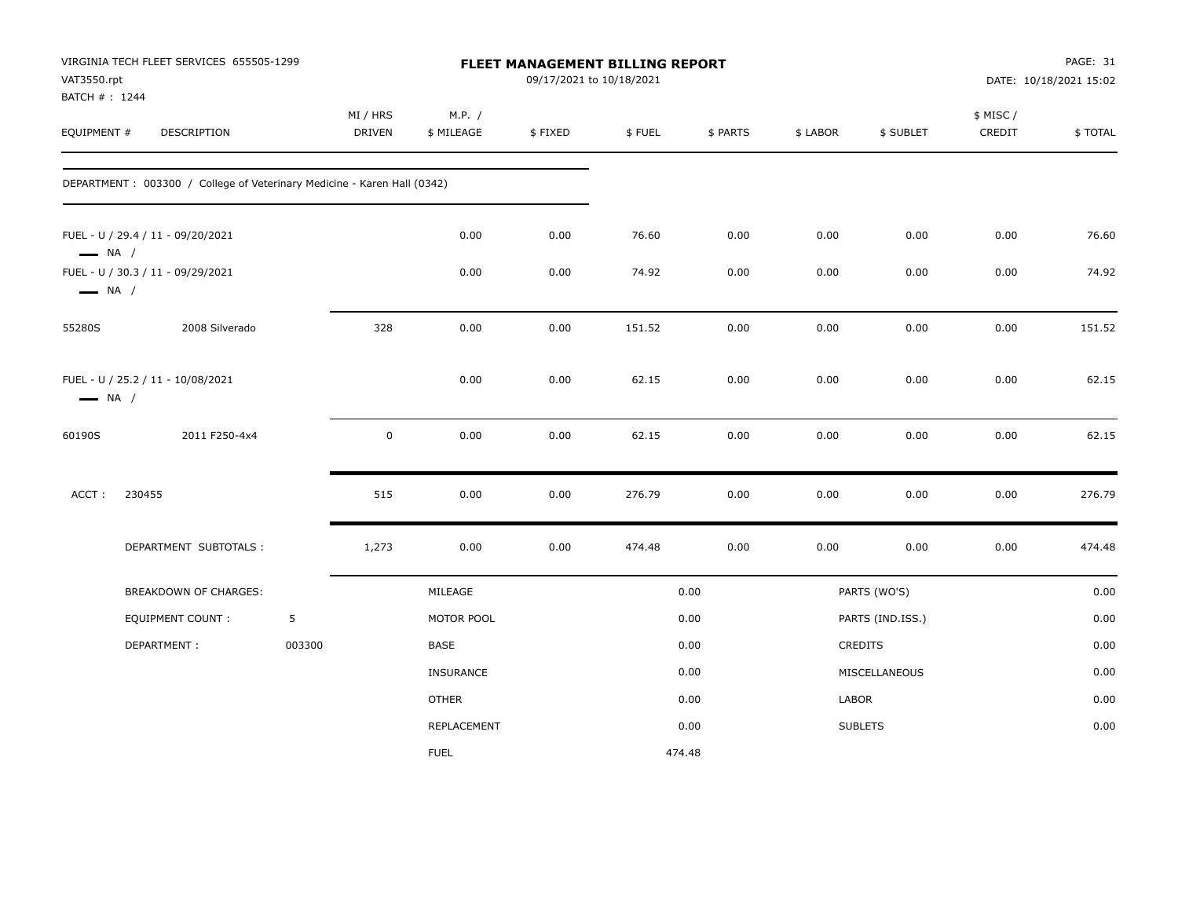| VAT3550.rpt<br>BATCH #: 1244 | VIRGINIA TECH FLEET SERVICES 655505-1299                                 |        |                    |                      | 09/17/2021 to 10/18/2021 | FLEET MANAGEMENT BILLING REPORT |          |          |                  |                     | PAGE: 31<br>DATE: 10/18/2021 15:02 |
|------------------------------|--------------------------------------------------------------------------|--------|--------------------|----------------------|--------------------------|---------------------------------|----------|----------|------------------|---------------------|------------------------------------|
| EQUIPMENT #                  | DESCRIPTION                                                              |        | MI / HRS<br>DRIVEN | M.P. /<br>\$ MILEAGE | \$FIXED                  | \$FUEL                          | \$ PARTS | \$ LABOR | \$ SUBLET        | \$ MISC /<br>CREDIT | \$TOTAL                            |
|                              | DEPARTMENT : 003300 / College of Veterinary Medicine - Karen Hall (0342) |        |                    |                      |                          |                                 |          |          |                  |                     |                                    |
| $\longrightarrow$ NA /       | FUEL - U / 29.4 / 11 - 09/20/2021                                        |        |                    | 0.00                 | 0.00                     | 76.60                           | 0.00     | 0.00     | 0.00             | 0.00                | 76.60                              |
| $\longrightarrow$ NA /       | FUEL - U / 30.3 / 11 - 09/29/2021                                        |        |                    | 0.00                 | 0.00                     | 74.92                           | 0.00     | 0.00     | 0.00             | 0.00                | 74.92                              |
| 55280S                       | 2008 Silverado                                                           |        | 328                | 0.00                 | 0.00                     | 151.52                          | 0.00     | 0.00     | 0.00             | 0.00                | 151.52                             |
| $\longrightarrow$ NA /       | FUEL - U / 25.2 / 11 - 10/08/2021                                        |        |                    | 0.00                 | 0.00                     | 62.15                           | 0.00     | 0.00     | 0.00             | 0.00                | 62.15                              |
| 60190S                       | 2011 F250-4x4                                                            |        | 0                  | 0.00                 | 0.00                     | 62.15                           | 0.00     | 0.00     | 0.00             | 0.00                | 62.15                              |
| ACCT:                        | 230455                                                                   |        | 515                | 0.00                 | 0.00                     | 276.79                          | 0.00     | 0.00     | 0.00             | 0.00                | 276.79                             |
|                              | DEPARTMENT SUBTOTALS :                                                   |        | 1,273              | 0.00                 | 0.00                     | 474.48                          | 0.00     | 0.00     | 0.00             | 0.00                | 474.48                             |
|                              | BREAKDOWN OF CHARGES:                                                    |        |                    | MILEAGE              |                          |                                 | 0.00     |          | PARTS (WO'S)     |                     | 0.00                               |
|                              | <b>EQUIPMENT COUNT:</b>                                                  | 5      |                    | MOTOR POOL           |                          |                                 | 0.00     |          | PARTS (IND.ISS.) |                     | 0.00                               |
|                              | DEPARTMENT:                                                              | 003300 |                    | BASE                 |                          |                                 | 0.00     |          | <b>CREDITS</b>   |                     | 0.00                               |
|                              |                                                                          |        |                    | INSURANCE            |                          |                                 | 0.00     |          | MISCELLANEOUS    |                     | 0.00                               |
|                              |                                                                          |        |                    | <b>OTHER</b>         |                          |                                 | 0.00     | LABOR    |                  |                     | 0.00                               |
|                              |                                                                          |        |                    | REPLACEMENT          |                          |                                 | 0.00     |          | <b>SUBLETS</b>   |                     | 0.00                               |
|                              |                                                                          |        |                    | <b>FUEL</b>          |                          | 474.48                          |          |          |                  |                     |                                    |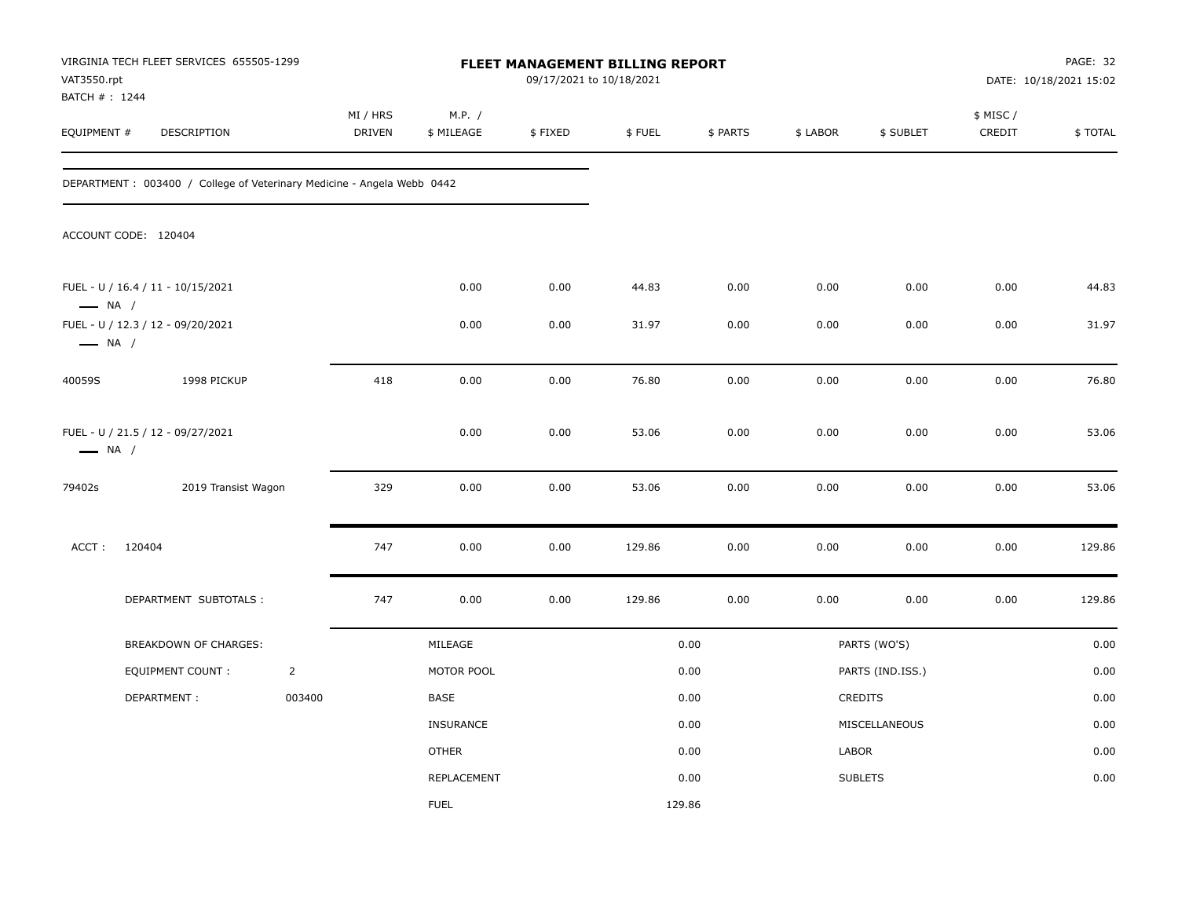| VAT3550.rpt<br>BATCH #: 1244 | VIRGINIA TECH FLEET SERVICES 655505-1299                                |                |                    |                      |         | <b>FLEET MANAGEMENT BILLING REPORT</b><br>09/17/2021 to 10/18/2021 |          |          |                  |                     | PAGE: 32<br>DATE: 10/18/2021 15:02 |
|------------------------------|-------------------------------------------------------------------------|----------------|--------------------|----------------------|---------|--------------------------------------------------------------------|----------|----------|------------------|---------------------|------------------------------------|
| EQUIPMENT #                  | DESCRIPTION                                                             |                | MI / HRS<br>DRIVEN | M.P. /<br>\$ MILEAGE | \$FIXED | \$FUEL                                                             | \$ PARTS | \$ LABOR | \$ SUBLET        | \$ MISC /<br>CREDIT | \$TOTAL                            |
|                              | DEPARTMENT : 003400 / College of Veterinary Medicine - Angela Webb 0442 |                |                    |                      |         |                                                                    |          |          |                  |                     |                                    |
|                              | ACCOUNT CODE: 120404                                                    |                |                    |                      |         |                                                                    |          |          |                  |                     |                                    |
| $\longrightarrow$ NA /       | FUEL - U / 16.4 / 11 - 10/15/2021                                       |                |                    | 0.00                 | 0.00    | 44.83                                                              | 0.00     | 0.00     | 0.00             | 0.00                | 44.83                              |
| $\longrightarrow$ NA /       | FUEL - U / 12.3 / 12 - 09/20/2021                                       |                |                    | 0.00                 | 0.00    | 31.97                                                              | 0.00     | 0.00     | 0.00             | 0.00                | 31.97                              |
| 40059S                       | 1998 PICKUP                                                             |                | 418                | 0.00                 | 0.00    | 76.80                                                              | 0.00     | 0.00     | 0.00             | 0.00                | 76.80                              |
| $\longrightarrow$ NA /       | FUEL - U / 21.5 / 12 - 09/27/2021                                       |                |                    | 0.00                 | 0.00    | 53.06                                                              | 0.00     | 0.00     | 0.00             | 0.00                | 53.06                              |
| 79402s                       | 2019 Transist Wagon                                                     |                | 329                | 0.00                 | 0.00    | 53.06                                                              | 0.00     | 0.00     | 0.00             | 0.00                | 53.06                              |
| ACCT:                        | 120404                                                                  |                | 747                | 0.00                 | 0.00    | 129.86                                                             | 0.00     | 0.00     | 0.00             | 0.00                | 129.86                             |
|                              | DEPARTMENT SUBTOTALS :                                                  |                | 747                | 0.00                 | 0.00    | 129.86                                                             | 0.00     | 0.00     | 0.00             | 0.00                | 129.86                             |
|                              | BREAKDOWN OF CHARGES:                                                   |                |                    | MILEAGE              |         |                                                                    | 0.00     |          | PARTS (WO'S)     |                     | 0.00                               |
|                              | EQUIPMENT COUNT:                                                        | $\overline{2}$ |                    | MOTOR POOL           |         |                                                                    | 0.00     |          | PARTS (IND.ISS.) |                     | 0.00                               |
|                              | DEPARTMENT:                                                             | 003400         |                    | BASE                 |         |                                                                    | 0.00     |          | CREDITS          |                     | 0.00                               |
|                              |                                                                         |                |                    | <b>INSURANCE</b>     |         |                                                                    | 0.00     |          | MISCELLANEOUS    |                     | 0.00                               |
|                              |                                                                         |                |                    | <b>OTHER</b>         |         |                                                                    | 0.00     | LABOR    |                  |                     | 0.00                               |
|                              |                                                                         |                |                    | REPLACEMENT          |         |                                                                    | 0.00     |          | <b>SUBLETS</b>   |                     | 0.00                               |
|                              |                                                                         |                |                    | <b>FUEL</b>          |         |                                                                    | 129.86   |          |                  |                     |                                    |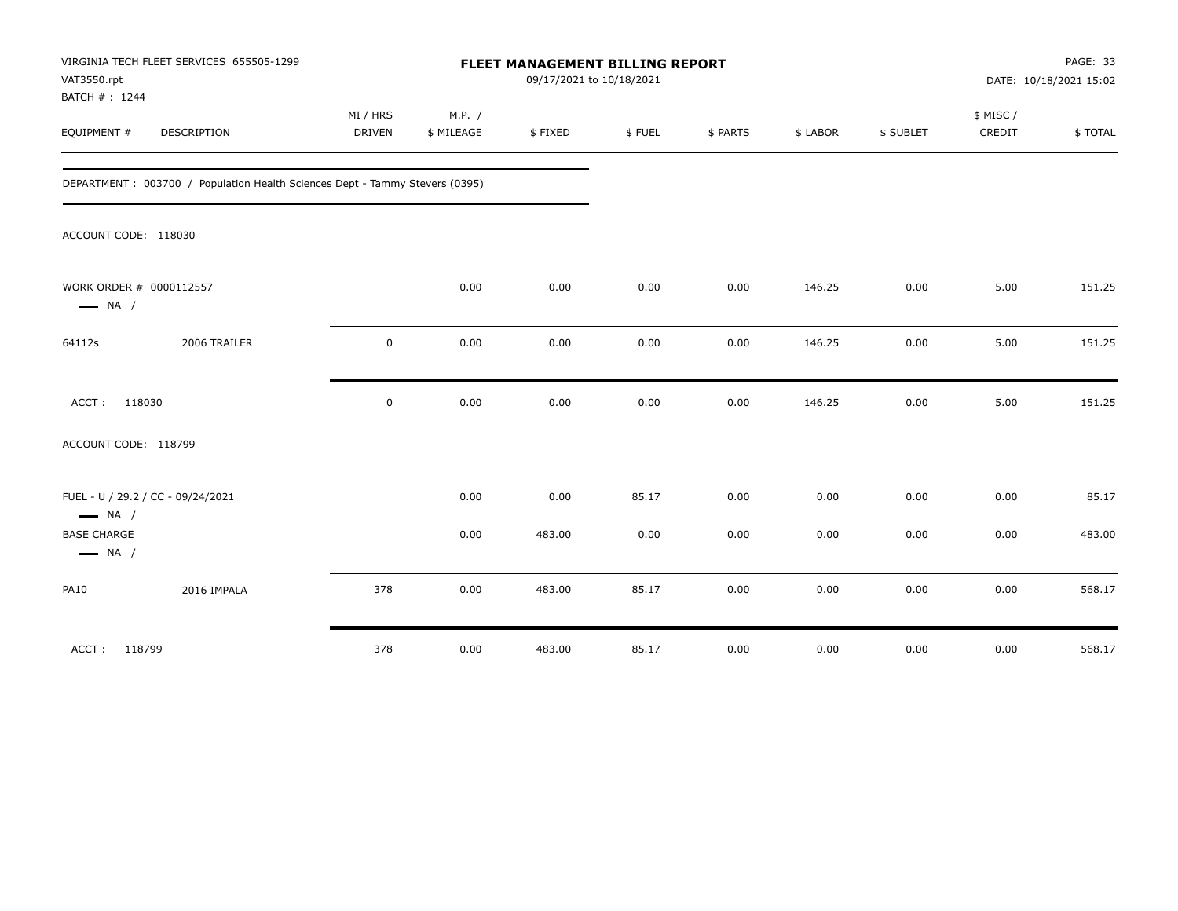| VAT3550.rpt<br>BATCH #: 1244                 | VIRGINIA TECH FLEET SERVICES 655505-1299                                    |                    |                      | FLEET MANAGEMENT BILLING REPORT<br>09/17/2021 to 10/18/2021 |        |          |          |           |                    | PAGE: 33<br>DATE: 10/18/2021 15:02 |
|----------------------------------------------|-----------------------------------------------------------------------------|--------------------|----------------------|-------------------------------------------------------------|--------|----------|----------|-----------|--------------------|------------------------------------|
| EQUIPMENT #                                  | <b>DESCRIPTION</b>                                                          | MI / HRS<br>DRIVEN | M.P. /<br>\$ MILEAGE | \$FIXED                                                     | \$FUEL | \$ PARTS | \$ LABOR | \$ SUBLET | \$ MISC/<br>CREDIT | \$TOTAL                            |
|                                              | DEPARTMENT: 003700 / Population Health Sciences Dept - Tammy Stevers (0395) |                    |                      |                                                             |        |          |          |           |                    |                                    |
| ACCOUNT CODE: 118030                         |                                                                             |                    |                      |                                                             |        |          |          |           |                    |                                    |
| $\longrightarrow$ NA /                       | WORK ORDER # 0000112557                                                     |                    | 0.00                 | 0.00                                                        | 0.00   | 0.00     | 146.25   | 0.00      | 5.00               | 151.25                             |
| 64112s                                       | 2006 TRAILER                                                                | $\mathbf 0$        | 0.00                 | 0.00                                                        | 0.00   | 0.00     | 146.25   | 0.00      | 5.00               | 151.25                             |
| ACCT:                                        | 118030                                                                      | $\mathsf 0$        | 0.00                 | 0.00                                                        | 0.00   | 0.00     | 146.25   | 0.00      | 5.00               | 151.25                             |
| ACCOUNT CODE: 118799                         |                                                                             |                    |                      |                                                             |        |          |          |           |                    |                                    |
| $\longrightarrow$ NA /                       | FUEL - U / 29.2 / CC - 09/24/2021                                           |                    | 0.00                 | 0.00                                                        | 85.17  | 0.00     | 0.00     | 0.00      | 0.00               | 85.17                              |
| <b>BASE CHARGE</b><br>$\longrightarrow$ NA / |                                                                             |                    | 0.00                 | 483.00                                                      | 0.00   | 0.00     | 0.00     | 0.00      | 0.00               | 483.00                             |
| <b>PA10</b>                                  | 2016 IMPALA                                                                 | 378                | 0.00                 | 483.00                                                      | 85.17  | 0.00     | 0.00     | 0.00      | 0.00               | 568.17                             |
| ACCT: 118799                                 |                                                                             | 378                | 0.00                 | 483.00                                                      | 85.17  | 0.00     | 0.00     | 0.00      | 0.00               | 568.17                             |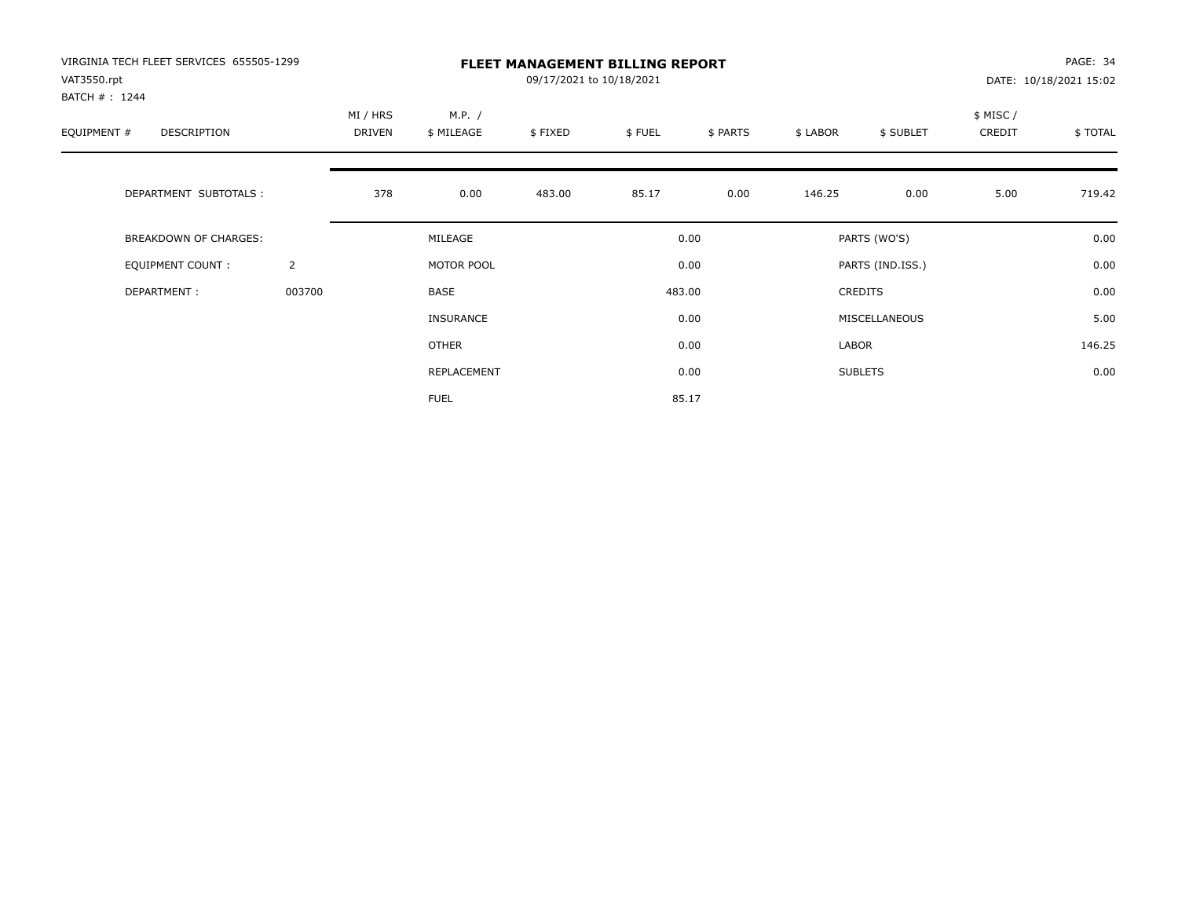| VIRGINIA TECH FLEET SERVICES 655505-1299<br>VAT3550.rpt<br>BATCH #: 1244 |                |                           |                      | 09/17/2021 to 10/18/2021 | <b>FLEET MANAGEMENT BILLING REPORT</b> |          |          |                  |                     | PAGE: 34<br>DATE: 10/18/2021 15:02 |
|--------------------------------------------------------------------------|----------------|---------------------------|----------------------|--------------------------|----------------------------------------|----------|----------|------------------|---------------------|------------------------------------|
| EQUIPMENT #<br><b>DESCRIPTION</b>                                        |                | MI / HRS<br><b>DRIVEN</b> | M.P. /<br>\$ MILEAGE | \$FIXED                  | \$FUEL                                 | \$ PARTS | \$ LABOR | \$ SUBLET        | \$ MISC /<br>CREDIT | \$TOTAL                            |
| DEPARTMENT SUBTOTALS :                                                   |                | 378                       | 0.00                 | 483.00                   | 85.17                                  | 0.00     | 146.25   | 0.00             | 5.00                | 719.42                             |
| <b>BREAKDOWN OF CHARGES:</b>                                             |                |                           | MILEAGE              |                          |                                        | 0.00     |          | PARTS (WO'S)     |                     | 0.00                               |
| EQUIPMENT COUNT:                                                         | $\overline{2}$ |                           | MOTOR POOL           |                          |                                        | 0.00     |          | PARTS (IND.ISS.) |                     | 0.00                               |
| DEPARTMENT:                                                              | 003700         |                           | <b>BASE</b>          |                          |                                        | 483.00   |          | <b>CREDITS</b>   |                     | 0.00                               |
|                                                                          |                |                           | INSURANCE            |                          |                                        | 0.00     |          | MISCELLANEOUS    |                     | 5.00                               |
|                                                                          |                |                           | <b>OTHER</b>         |                          |                                        | 0.00     | LABOR    |                  |                     | 146.25                             |
|                                                                          |                |                           | REPLACEMENT          |                          |                                        | 0.00     |          | <b>SUBLETS</b>   |                     | 0.00                               |
|                                                                          |                |                           | <b>FUEL</b>          |                          |                                        | 85.17    |          |                  |                     |                                    |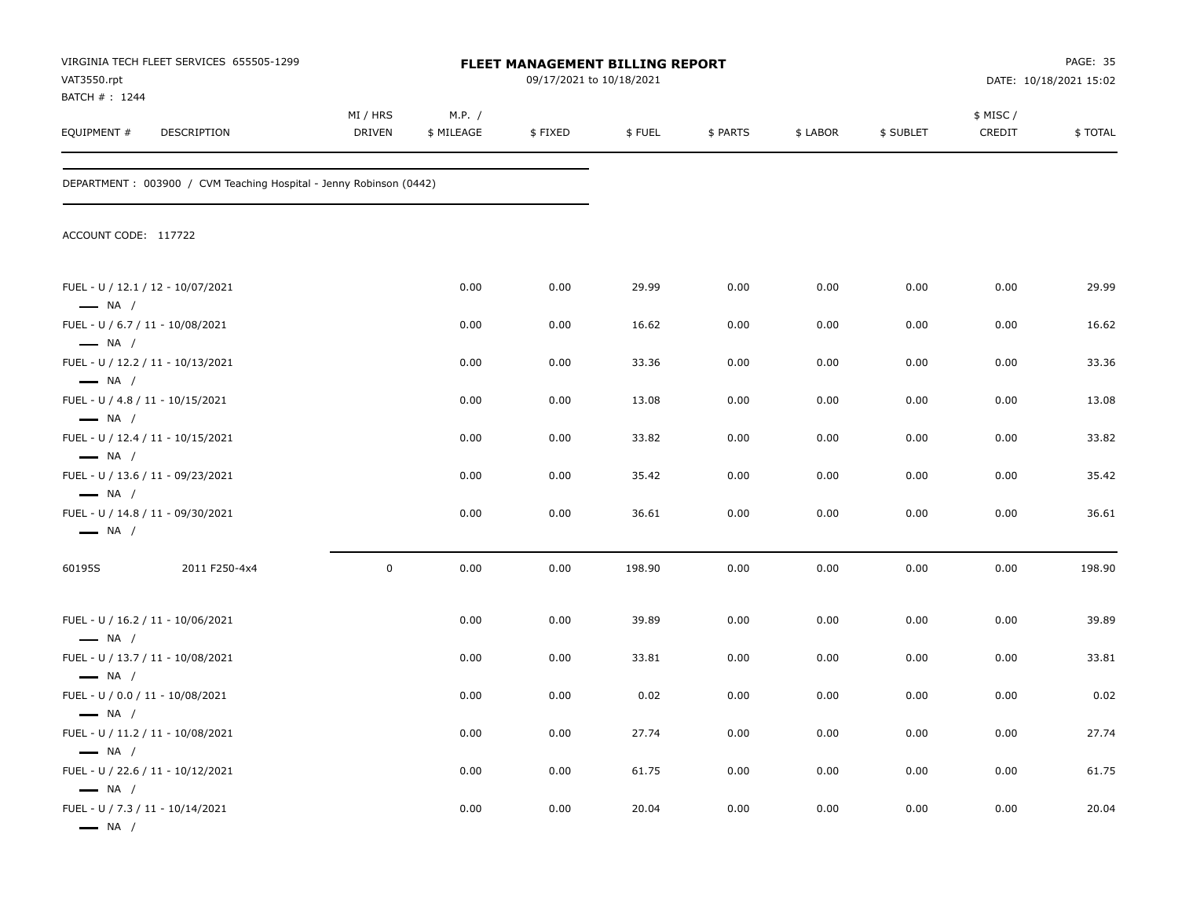| VAT3550.rpt<br>BATCH # : 1244                                                        | VIRGINIA TECH FLEET SERVICES 655505-1299                            |                           |                      | FLEET MANAGEMENT BILLING REPORT<br>09/17/2021 to 10/18/2021 |        |          |          |           |                    | <b>PAGE: 35</b><br>DATE: 10/18/2021 15:02 |
|--------------------------------------------------------------------------------------|---------------------------------------------------------------------|---------------------------|----------------------|-------------------------------------------------------------|--------|----------|----------|-----------|--------------------|-------------------------------------------|
| EQUIPMENT#                                                                           | DESCRIPTION                                                         | MI / HRS<br><b>DRIVEN</b> | M.P. /<br>\$ MILEAGE | \$FIXED                                                     | \$FUEL | \$ PARTS | \$ LABOR | \$ SUBLET | \$ MISC/<br>CREDIT | \$TOTAL                                   |
|                                                                                      | DEPARTMENT : 003900 / CVM Teaching Hospital - Jenny Robinson (0442) |                           |                      |                                                             |        |          |          |           |                    |                                           |
| ACCOUNT CODE: 117722                                                                 |                                                                     |                           |                      |                                                             |        |          |          |           |                    |                                           |
| $\longrightarrow$ NA /                                                               | FUEL - U / 12.1 / 12 - 10/07/2021                                   |                           | 0.00                 | 0.00                                                        | 29.99  | 0.00     | 0.00     | 0.00      | 0.00               | 29.99                                     |
| FUEL - U / 6.7 / 11 - 10/08/2021                                                     |                                                                     |                           | 0.00                 | 0.00                                                        | 16.62  | 0.00     | 0.00     | 0.00      | 0.00               | 16.62                                     |
| $\longrightarrow$ NA /                                                               | FUEL - U / 12.2 / 11 - 10/13/2021                                   |                           | 0.00                 | 0.00                                                        | 33.36  | 0.00     | 0.00     | 0.00      | 0.00               | 33.36                                     |
| $-$ NA $/$<br>FUEL - U / 4.8 / 11 - 10/15/2021<br>$\longrightarrow$ NA /             |                                                                     |                           | 0.00                 | 0.00                                                        | 13.08  | 0.00     | 0.00     | 0.00      | 0.00               | 13.08                                     |
| $\longrightarrow$ NA /                                                               | FUEL - U / 12.4 / 11 - 10/15/2021                                   |                           | 0.00                 | 0.00                                                        | 33.82  | 0.00     | 0.00     | 0.00      | 0.00               | 33.82                                     |
| $\longrightarrow$ NA /                                                               | FUEL - U / 13.6 / 11 - 09/23/2021                                   |                           | 0.00                 | 0.00                                                        | 35.42  | 0.00     | 0.00     | 0.00      | 0.00               | 35.42                                     |
| $\longrightarrow$ NA /                                                               | FUEL - U / 14.8 / 11 - 09/30/2021                                   |                           | 0.00                 | 0.00                                                        | 36.61  | 0.00     | 0.00     | 0.00      | 0.00               | 36.61                                     |
| 60195S                                                                               | 2011 F250-4x4                                                       | $\mathbf 0$               | 0.00                 | 0.00                                                        | 198.90 | 0.00     | 0.00     | 0.00      | 0.00               | 198.90                                    |
|                                                                                      | FUEL - U / 16.2 / 11 - 10/06/2021                                   |                           | 0.00                 | 0.00                                                        | 39.89  | 0.00     | 0.00     | 0.00      | 0.00               | 39.89                                     |
| $\longrightarrow$ NA /                                                               | FUEL - U / 13.7 / 11 - 10/08/2021                                   |                           | 0.00                 | 0.00                                                        | 33.81  | 0.00     | 0.00     | 0.00      | 0.00               | 33.81                                     |
| $\longrightarrow$ NA /<br>FUEL - U / 0.0 / 11 - 10/08/2021                           |                                                                     |                           | 0.00                 | 0.00                                                        | 0.02   | 0.00     | 0.00     | 0.00      | 0.00               | 0.02                                      |
| — NA /                                                                               | FUEL - U / 11.2 / 11 - 10/08/2021                                   |                           | 0.00                 | 0.00                                                        | 27.74  | 0.00     | 0.00     | 0.00      | 0.00               | 27.74                                     |
| $\longrightarrow$ NA /                                                               | FUEL - U / 22.6 / 11 - 10/12/2021                                   |                           | 0.00                 | 0.00                                                        | 61.75  | 0.00     | 0.00     | 0.00      | 0.00               | 61.75                                     |
| $\longrightarrow$ NA /<br>FUEL - U / 7.3 / 11 - 10/14/2021<br>$\longrightarrow$ NA / |                                                                     |                           | 0.00                 | 0.00                                                        | 20.04  | 0.00     | 0.00     | 0.00      | 0.00               | 20.04                                     |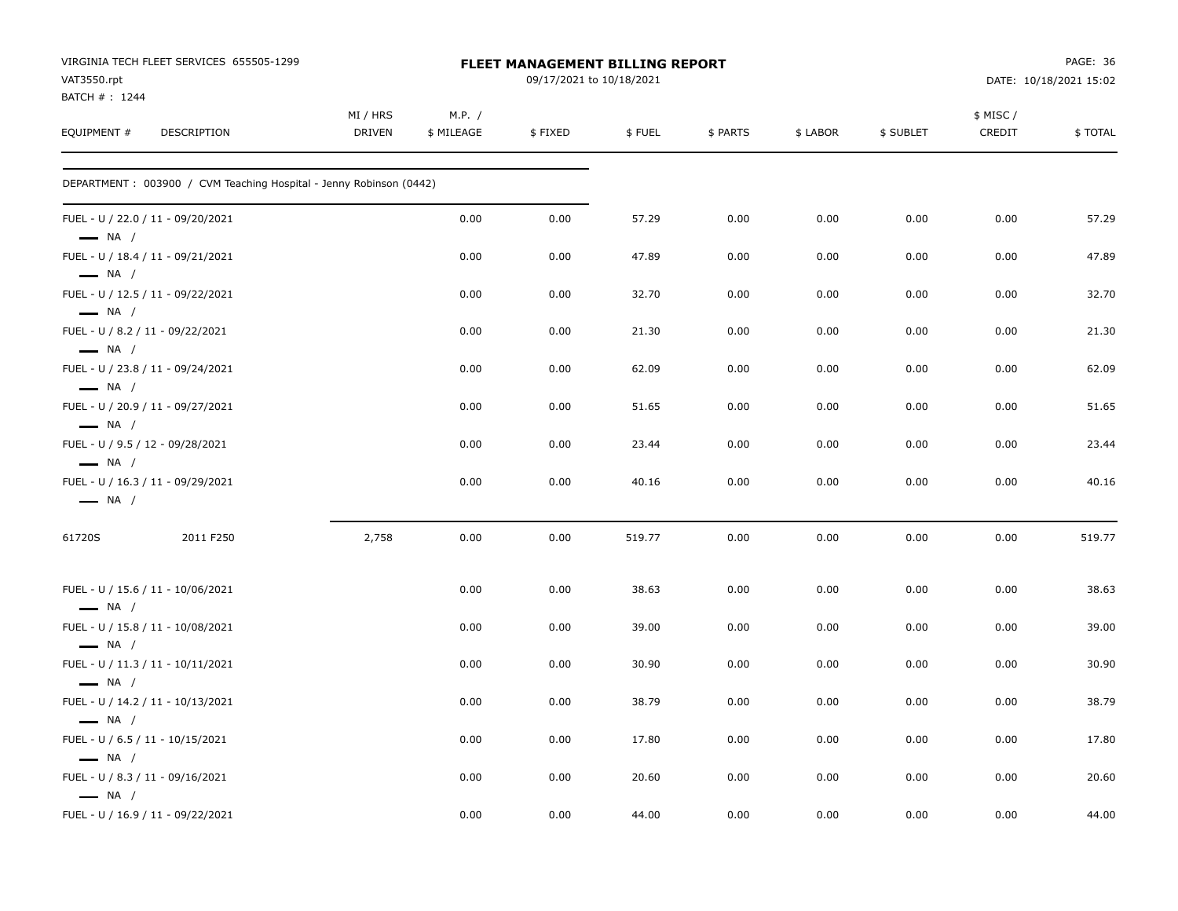| VIRGINIA TECH FLEET SERVICES 655505-1299<br>VAT3550.rpt                               |                    |                      | <b>FLEET MANAGEMENT BILLING REPORT</b><br>09/17/2021 to 10/18/2021 |        |          |          |           |                    | PAGE: 36<br>DATE: 10/18/2021 15:02 |
|---------------------------------------------------------------------------------------|--------------------|----------------------|--------------------------------------------------------------------|--------|----------|----------|-----------|--------------------|------------------------------------|
| BATCH #: 1244<br>EQUIPMENT #<br>DESCRIPTION                                           | MI / HRS<br>DRIVEN | M.P. /<br>\$ MILEAGE | \$FIXED                                                            | \$FUEL | \$ PARTS | \$ LABOR | \$ SUBLET | \$ MISC/<br>CREDIT | \$TOTAL                            |
| DEPARTMENT : 003900 / CVM Teaching Hospital - Jenny Robinson (0442)                   |                    |                      |                                                                    |        |          |          |           |                    |                                    |
| FUEL - U / 22.0 / 11 - 09/20/2021<br>$-$ NA $/$                                       |                    | 0.00                 | 0.00                                                               | 57.29  | 0.00     | 0.00     | 0.00      | 0.00               | 57.29                              |
| FUEL - U / 18.4 / 11 - 09/21/2021<br>$\longrightarrow$ NA /                           |                    | 0.00                 | 0.00                                                               | 47.89  | 0.00     | 0.00     | 0.00      | 0.00               | 47.89                              |
| FUEL - U / 12.5 / 11 - 09/22/2021<br>$-$ NA /                                         |                    | 0.00                 | 0.00                                                               | 32.70  | 0.00     | 0.00     | 0.00      | 0.00               | 32.70                              |
| FUEL - U / 8.2 / 11 - 09/22/2021<br>$\longrightarrow$ NA /                            |                    | 0.00                 | 0.00                                                               | 21.30  | 0.00     | 0.00     | 0.00      | 0.00               | 21.30                              |
| FUEL - U / 23.8 / 11 - 09/24/2021<br>$\longrightarrow$ NA /                           |                    | 0.00                 | 0.00                                                               | 62.09  | 0.00     | 0.00     | 0.00      | 0.00               | 62.09                              |
| FUEL - U / 20.9 / 11 - 09/27/2021<br>$\longrightarrow$ NA /                           |                    | 0.00                 | 0.00                                                               | 51.65  | 0.00     | 0.00     | 0.00      | 0.00               | 51.65                              |
| FUEL - U / 9.5 / 12 - 09/28/2021                                                      |                    | 0.00                 | 0.00                                                               | 23.44  | 0.00     | 0.00     | 0.00      | 0.00               | 23.44                              |
| $\longrightarrow$ NA /<br>FUEL - U / 16.3 / 11 - 09/29/2021<br>$\longrightarrow$ NA / |                    | 0.00                 | 0.00                                                               | 40.16  | 0.00     | 0.00     | 0.00      | 0.00               | 40.16                              |
| 61720S<br>2011 F250                                                                   | 2,758              | 0.00                 | 0.00                                                               | 519.77 | 0.00     | 0.00     | 0.00      | 0.00               | 519.77                             |
| FUEL - U / 15.6 / 11 - 10/06/2021<br>$\longrightarrow$ NA /                           |                    | 0.00                 | 0.00                                                               | 38.63  | 0.00     | 0.00     | 0.00      | 0.00               | 38.63                              |
| FUEL - U / 15.8 / 11 - 10/08/2021<br>$\longrightarrow$ NA /                           |                    | 0.00                 | 0.00                                                               | 39.00  | 0.00     | 0.00     | 0.00      | 0.00               | 39.00                              |
| FUEL - U / 11.3 / 11 - 10/11/2021                                                     |                    | 0.00                 | 0.00                                                               | 30.90  | 0.00     | 0.00     | 0.00      | 0.00               | 30.90                              |
| $\longrightarrow$ NA /<br>FUEL - U / 14.2 / 11 - 10/13/2021                           |                    | 0.00                 | 0.00                                                               | 38.79  | 0.00     | 0.00     | 0.00      | 0.00               | 38.79                              |
| $\longrightarrow$ NA /<br>FUEL - U / 6.5 / 11 - 10/15/2021                            |                    | 0.00                 | 0.00                                                               | 17.80  | 0.00     | 0.00     | 0.00      | 0.00               | 17.80                              |
| $\longrightarrow$ NA /<br>FUEL - U / 8.3 / 11 - 09/16/2021<br>$\longrightarrow$ NA /  |                    | 0.00                 | 0.00                                                               | 20.60  | 0.00     | 0.00     | 0.00      | 0.00               | 20.60                              |
| FUEL - U / 16.9 / 11 - 09/22/2021                                                     |                    | 0.00                 | 0.00                                                               | 44.00  | 0.00     | 0.00     | 0.00      | 0.00               | 44.00                              |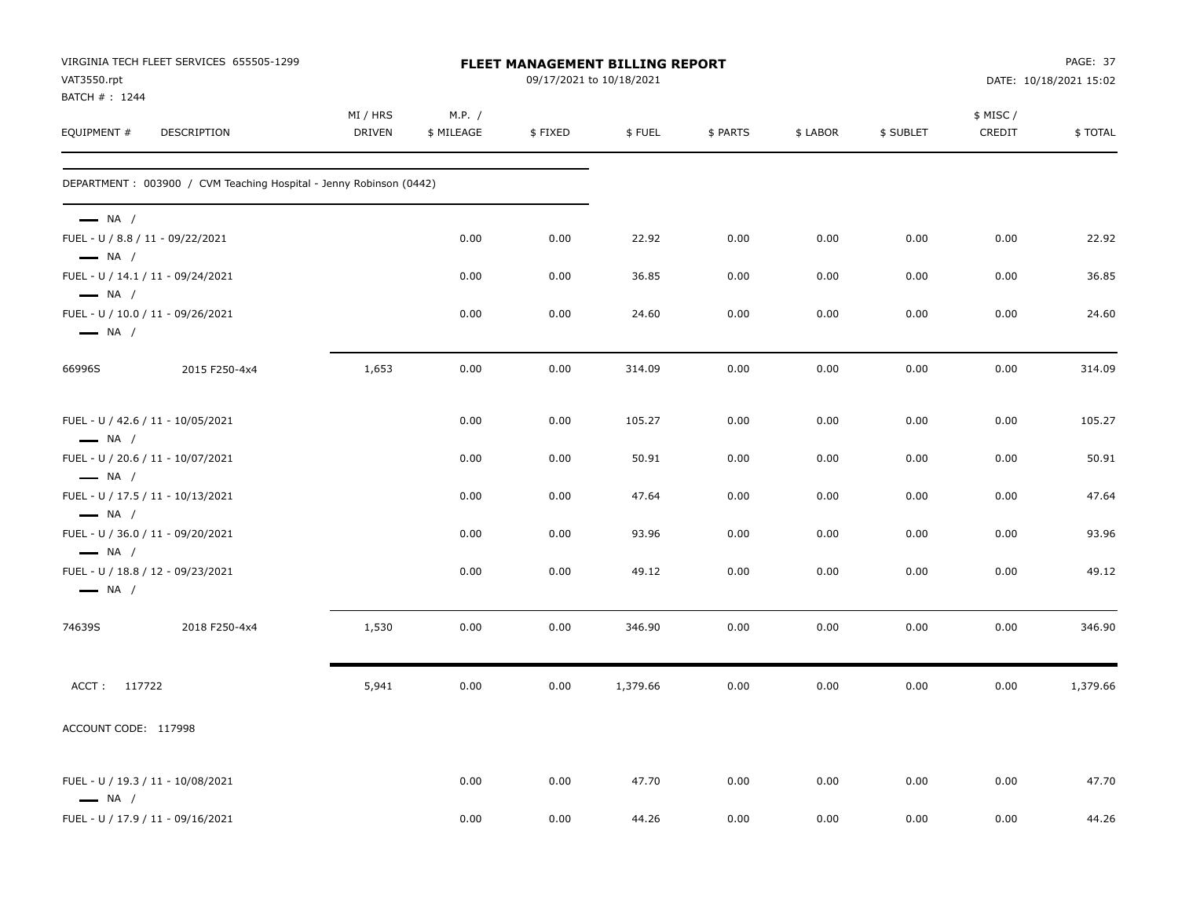| VAT3550.rpt<br>BATCH #: 1244                                                         | VIRGINIA TECH FLEET SERVICES 655505-1299                           |                           |                      |         | FLEET MANAGEMENT BILLING REPORT<br>09/17/2021 to 10/18/2021 |          |          |           |                    | PAGE: 37<br>DATE: 10/18/2021 15:02 |
|--------------------------------------------------------------------------------------|--------------------------------------------------------------------|---------------------------|----------------------|---------|-------------------------------------------------------------|----------|----------|-----------|--------------------|------------------------------------|
| EQUIPMENT #                                                                          | DESCRIPTION                                                        | MI / HRS<br><b>DRIVEN</b> | M.P. /<br>\$ MILEAGE | \$FIXED | \$FUEL                                                      | \$ PARTS | \$ LABOR | \$ SUBLET | \$ MISC/<br>CREDIT | \$TOTAL                            |
|                                                                                      | DEPARTMENT: 003900 / CVM Teaching Hospital - Jenny Robinson (0442) |                           |                      |         |                                                             |          |          |           |                    |                                    |
| $\longrightarrow$ NA /<br>FUEL - U / 8.8 / 11 - 09/22/2021<br>$\longrightarrow$ NA / |                                                                    |                           | 0.00                 | 0.00    | 22.92                                                       | 0.00     | 0.00     | 0.00      | 0.00               | 22.92                              |
|                                                                                      | FUEL - U / 14.1 / 11 - 09/24/2021                                  |                           | 0.00                 | 0.00    | 36.85                                                       | 0.00     | 0.00     | 0.00      | 0.00               | 36.85                              |
| $\longrightarrow$ NA /<br>$\longrightarrow$ NA /                                     | FUEL - U / 10.0 / 11 - 09/26/2021                                  |                           | 0.00                 | 0.00    | 24.60                                                       | 0.00     | 0.00     | 0.00      | 0.00               | 24.60                              |
| 66996S                                                                               | 2015 F250-4x4                                                      | 1,653                     | 0.00                 | 0.00    | 314.09                                                      | 0.00     | 0.00     | 0.00      | 0.00               | 314.09                             |
| $\longrightarrow$ NA /                                                               | FUEL - U / 42.6 / 11 - 10/05/2021                                  |                           | 0.00                 | 0.00    | 105.27                                                      | 0.00     | 0.00     | 0.00      | 0.00               | 105.27                             |
| $\longrightarrow$ NA /                                                               | FUEL - U / 20.6 / 11 - 10/07/2021                                  |                           | 0.00                 | 0.00    | 50.91                                                       | 0.00     | 0.00     | 0.00      | 0.00               | 50.91                              |
| $\longrightarrow$ NA /                                                               | FUEL - U / 17.5 / 11 - 10/13/2021                                  |                           | 0.00                 | 0.00    | 47.64                                                       | 0.00     | 0.00     | 0.00      | 0.00               | 47.64                              |
| $\longrightarrow$ NA /                                                               | FUEL - U / 36.0 / 11 - 09/20/2021                                  |                           | 0.00                 | 0.00    | 93.96                                                       | 0.00     | 0.00     | 0.00      | 0.00               | 93.96                              |
| $\longrightarrow$ NA /                                                               | FUEL - U / 18.8 / 12 - 09/23/2021                                  |                           | 0.00                 | 0.00    | 49.12                                                       | 0.00     | 0.00     | 0.00      | 0.00               | 49.12                              |
| 74639S                                                                               | 2018 F250-4x4                                                      | 1,530                     | 0.00                 | 0.00    | 346.90                                                      | 0.00     | 0.00     | 0.00      | 0.00               | 346.90                             |
| ACCT: 117722                                                                         |                                                                    | 5,941                     | 0.00                 | 0.00    | 1,379.66                                                    | 0.00     | 0.00     | 0.00      | 0.00               | 1,379.66                           |
| ACCOUNT CODE: 117998                                                                 |                                                                    |                           |                      |         |                                                             |          |          |           |                    |                                    |
| $\longrightarrow$ NA /                                                               | FUEL - U / 19.3 / 11 - 10/08/2021                                  |                           | 0.00                 | 0.00    | 47.70                                                       | 0.00     | 0.00     | 0.00      | 0.00               | 47.70                              |
|                                                                                      | FUEL - U / 17.9 / 11 - 09/16/2021                                  |                           | 0.00                 | 0.00    | 44.26                                                       | 0.00     | 0.00     | 0.00      | 0.00               | 44.26                              |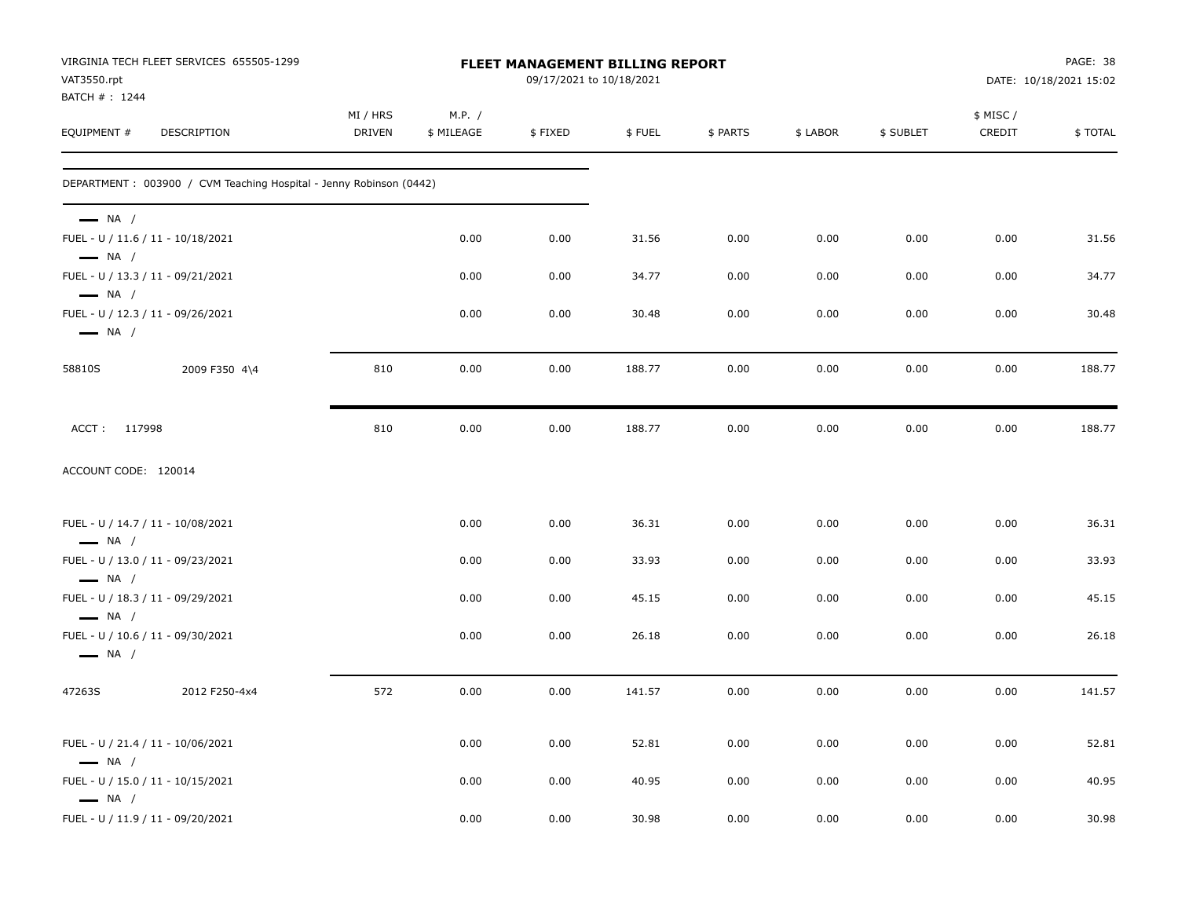| VAT3550.rpt<br>BATCH #: 1244                     | VIRGINIA TECH FLEET SERVICES 655505-1299                           |                           |                      | <b>FLEET MANAGEMENT BILLING REPORT</b><br>09/17/2021 to 10/18/2021 |        |          |          |           |                    | PAGE: 38<br>DATE: 10/18/2021 15:02 |
|--------------------------------------------------|--------------------------------------------------------------------|---------------------------|----------------------|--------------------------------------------------------------------|--------|----------|----------|-----------|--------------------|------------------------------------|
| EQUIPMENT #                                      | DESCRIPTION                                                        | MI / HRS<br><b>DRIVEN</b> | M.P. /<br>\$ MILEAGE | \$FIXED                                                            | \$FUEL | \$ PARTS | \$ LABOR | \$ SUBLET | \$ MISC/<br>CREDIT | \$TOTAL                            |
|                                                  | DEPARTMENT: 003900 / CVM Teaching Hospital - Jenny Robinson (0442) |                           |                      |                                                                    |        |          |          |           |                    |                                    |
| $\longrightarrow$ NA /<br>$\longrightarrow$ NA / | FUEL - U / 11.6 / 11 - 10/18/2021                                  |                           | 0.00                 | 0.00                                                               | 31.56  | 0.00     | 0.00     | 0.00      | 0.00               | 31.56                              |
|                                                  | FUEL - U / 13.3 / 11 - 09/21/2021                                  |                           | 0.00                 | 0.00                                                               | 34.77  | 0.00     | 0.00     | 0.00      | 0.00               | 34.77                              |
| $\longrightarrow$ NA /<br>$\longrightarrow$ NA / | FUEL - U / 12.3 / 11 - 09/26/2021                                  |                           | 0.00                 | 0.00                                                               | 30.48  | 0.00     | 0.00     | 0.00      | 0.00               | 30.48                              |
| 58810S                                           | 2009 F350 4\4                                                      | 810                       | 0.00                 | 0.00                                                               | 188.77 | 0.00     | 0.00     | 0.00      | 0.00               | 188.77                             |
| ACCT: 117998                                     |                                                                    | 810                       | 0.00                 | 0.00                                                               | 188.77 | 0.00     | 0.00     | 0.00      | 0.00               | 188.77                             |
| ACCOUNT CODE: 120014                             |                                                                    |                           |                      |                                                                    |        |          |          |           |                    |                                    |
| $\longrightarrow$ NA /                           | FUEL - U / 14.7 / 11 - 10/08/2021                                  |                           | 0.00                 | 0.00                                                               | 36.31  | 0.00     | 0.00     | 0.00      | 0.00               | 36.31                              |
|                                                  | FUEL - U / 13.0 / 11 - 09/23/2021                                  |                           | 0.00                 | 0.00                                                               | 33.93  | 0.00     | 0.00     | 0.00      | 0.00               | 33.93                              |
| $\longrightarrow$ NA /<br>$\longrightarrow$ NA / | FUEL - U / 18.3 / 11 - 09/29/2021                                  |                           | 0.00                 | 0.00                                                               | 45.15  | 0.00     | 0.00     | 0.00      | 0.00               | 45.15                              |
| $\longrightarrow$ NA /                           | FUEL - U / 10.6 / 11 - 09/30/2021                                  |                           | 0.00                 | 0.00                                                               | 26.18  | 0.00     | 0.00     | 0.00      | 0.00               | 26.18                              |
| 47263S                                           | 2012 F250-4x4                                                      | 572                       | 0.00                 | 0.00                                                               | 141.57 | 0.00     | 0.00     | 0.00      | 0.00               | 141.57                             |
| $\longrightarrow$ NA /                           | FUEL - U / 21.4 / 11 - 10/06/2021                                  |                           | 0.00                 | 0.00                                                               | 52.81  | 0.00     | 0.00     | 0.00      | 0.00               | 52.81                              |
| $\longrightarrow$ NA /                           | FUEL - U / 15.0 / 11 - 10/15/2021                                  |                           | 0.00                 | 0.00                                                               | 40.95  | 0.00     | 0.00     | 0.00      | 0.00               | 40.95                              |
|                                                  | FUEL - U / 11.9 / 11 - 09/20/2021                                  |                           | 0.00                 | 0.00                                                               | 30.98  | 0.00     | 0.00     | 0.00      | 0.00               | 30.98                              |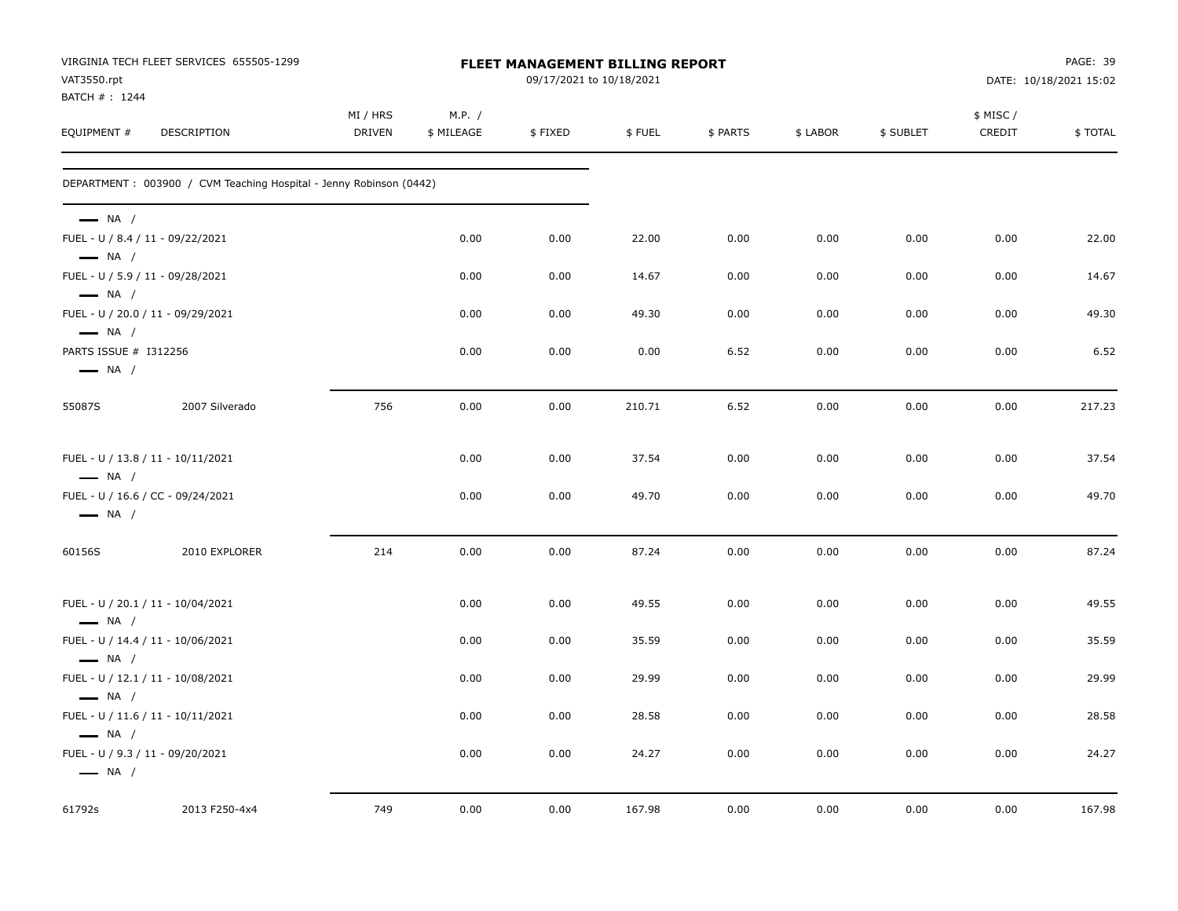| VAT3550.rpt                                                | VIRGINIA TECH FLEET SERVICES 655505-1299                           |                           |                      | FLEET MANAGEMENT BILLING REPORT<br>09/17/2021 to 10/18/2021 |        |          |          |           |                     | PAGE: 39<br>DATE: 10/18/2021 15:02 |
|------------------------------------------------------------|--------------------------------------------------------------------|---------------------------|----------------------|-------------------------------------------------------------|--------|----------|----------|-----------|---------------------|------------------------------------|
| BATCH #: 1244<br>EQUIPMENT #                               | DESCRIPTION                                                        | MI / HRS<br><b>DRIVEN</b> | M.P. /<br>\$ MILEAGE | \$FIXED                                                     | \$FUEL | \$ PARTS | \$ LABOR | \$ SUBLET | \$ MISC /<br>CREDIT | \$TOTAL                            |
|                                                            | DEPARTMENT: 003900 / CVM Teaching Hospital - Jenny Robinson (0442) |                           |                      |                                                             |        |          |          |           |                     |                                    |
| $\longrightarrow$ NA /                                     |                                                                    |                           |                      |                                                             |        |          |          |           |                     |                                    |
| FUEL - U / 8.4 / 11 - 09/22/2021<br>$\longrightarrow$ NA / |                                                                    |                           | 0.00                 | 0.00                                                        | 22.00  | 0.00     | 0.00     | 0.00      | 0.00                | 22.00                              |
| FUEL - U / 5.9 / 11 - 09/28/2021<br>$\longrightarrow$ NA / |                                                                    |                           | 0.00                 | 0.00                                                        | 14.67  | 0.00     | 0.00     | 0.00      | 0.00                | 14.67                              |
| $\longrightarrow$ NA /                                     | FUEL - U / 20.0 / 11 - 09/29/2021                                  |                           | 0.00                 | 0.00                                                        | 49.30  | 0.00     | 0.00     | 0.00      | 0.00                | 49.30                              |
| PARTS ISSUE # I312256<br>$\longrightarrow$ NA /            |                                                                    |                           | 0.00                 | 0.00                                                        | 0.00   | 6.52     | 0.00     | 0.00      | 0.00                | 6.52                               |
| 55087S                                                     | 2007 Silverado                                                     | 756                       | 0.00                 | 0.00                                                        | 210.71 | 6.52     | 0.00     | 0.00      | 0.00                | 217.23                             |
| $\longrightarrow$ NA /                                     | FUEL - U / 13.8 / 11 - 10/11/2021                                  |                           | 0.00                 | 0.00                                                        | 37.54  | 0.00     | 0.00     | 0.00      | 0.00                | 37.54                              |
| $\longrightarrow$ NA /                                     | FUEL - U / 16.6 / CC - 09/24/2021                                  |                           | 0.00                 | 0.00                                                        | 49.70  | 0.00     | 0.00     | 0.00      | 0.00                | 49.70                              |
| 60156S                                                     | 2010 EXPLORER                                                      | 214                       | 0.00                 | 0.00                                                        | 87.24  | 0.00     | 0.00     | 0.00      | 0.00                | 87.24                              |
| $\longrightarrow$ NA /                                     | FUEL - U / 20.1 / 11 - 10/04/2021                                  |                           | 0.00                 | 0.00                                                        | 49.55  | 0.00     | 0.00     | 0.00      | 0.00                | 49.55                              |
| $\longrightarrow$ NA /                                     | FUEL - U / 14.4 / 11 - 10/06/2021                                  |                           | 0.00                 | 0.00                                                        | 35.59  | 0.00     | 0.00     | 0.00      | 0.00                | 35.59                              |
| $\longrightarrow$ NA /                                     | FUEL - U / 12.1 / 11 - 10/08/2021                                  |                           | 0.00                 | 0.00                                                        | 29.99  | 0.00     | 0.00     | 0.00      | 0.00                | 29.99                              |
| $\longrightarrow$ NA /                                     | FUEL - U / 11.6 / 11 - 10/11/2021                                  |                           | 0.00                 | 0.00                                                        | 28.58  | 0.00     | 0.00     | 0.00      | 0.00                | 28.58                              |
| FUEL - U / 9.3 / 11 - 09/20/2021<br>$\longrightarrow$ NA / |                                                                    |                           | 0.00                 | 0.00                                                        | 24.27  | 0.00     | 0.00     | 0.00      | 0.00                | 24.27                              |
| 61792s                                                     | 2013 F250-4x4                                                      | 749                       | 0.00                 | 0.00                                                        | 167.98 | 0.00     | 0.00     | 0.00      | 0.00                | 167.98                             |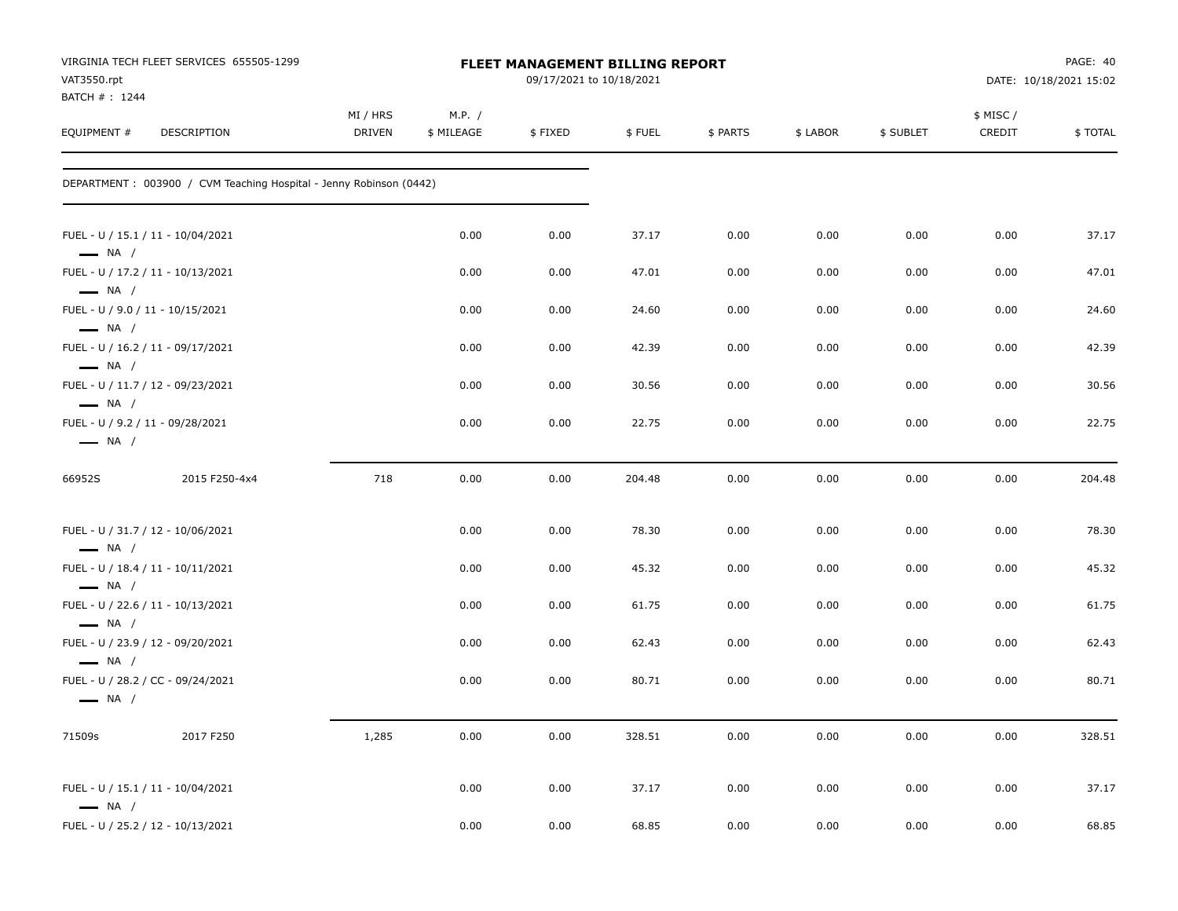| VAT3550.rpt<br>BATCH #: 1244                               | VIRGINIA TECH FLEET SERVICES 655505-1299                            |                           |                      | FLEET MANAGEMENT BILLING REPORT<br>09/17/2021 to 10/18/2021 |        |          |          |           |                    | PAGE: 40<br>DATE: 10/18/2021 15:02 |
|------------------------------------------------------------|---------------------------------------------------------------------|---------------------------|----------------------|-------------------------------------------------------------|--------|----------|----------|-----------|--------------------|------------------------------------|
| EQUIPMENT #                                                | DESCRIPTION                                                         | MI / HRS<br><b>DRIVEN</b> | M.P. /<br>\$ MILEAGE | \$FIXED                                                     | \$FUEL | \$ PARTS | \$ LABOR | \$ SUBLET | \$ MISC/<br>CREDIT | \$TOTAL                            |
|                                                            | DEPARTMENT : 003900 / CVM Teaching Hospital - Jenny Robinson (0442) |                           |                      |                                                             |        |          |          |           |                    |                                    |
| $\longrightarrow$ NA /                                     | FUEL - U / 15.1 / 11 - 10/04/2021                                   |                           | 0.00                 | 0.00                                                        | 37.17  | 0.00     | 0.00     | 0.00      | 0.00               | 37.17                              |
| $\longrightarrow$ NA /                                     | FUEL - U / 17.2 / 11 - 10/13/2021                                   |                           | 0.00                 | 0.00                                                        | 47.01  | 0.00     | 0.00     | 0.00      | 0.00               | 47.01                              |
| FUEL - U / 9.0 / 11 - 10/15/2021<br>$\longrightarrow$ NA / |                                                                     |                           | 0.00                 | 0.00                                                        | 24.60  | 0.00     | 0.00     | 0.00      | 0.00               | 24.60                              |
| $\longrightarrow$ NA /                                     | FUEL - U / 16.2 / 11 - 09/17/2021                                   |                           | 0.00                 | 0.00                                                        | 42.39  | 0.00     | 0.00     | 0.00      | 0.00               | 42.39                              |
| $\longrightarrow$ NA /                                     | FUEL - U / 11.7 / 12 - 09/23/2021                                   |                           | 0.00                 | 0.00                                                        | 30.56  | 0.00     | 0.00     | 0.00      | 0.00               | 30.56                              |
| FUEL - U / 9.2 / 11 - 09/28/2021<br>$\longrightarrow$ NA / |                                                                     |                           | 0.00                 | 0.00                                                        | 22.75  | 0.00     | 0.00     | 0.00      | 0.00               | 22.75                              |
| 66952S                                                     | 2015 F250-4x4                                                       | 718                       | 0.00                 | 0.00                                                        | 204.48 | 0.00     | 0.00     | 0.00      | 0.00               | 204.48                             |
| $\longrightarrow$ NA /                                     | FUEL - U / 31.7 / 12 - 10/06/2021                                   |                           | 0.00                 | 0.00                                                        | 78.30  | 0.00     | 0.00     | 0.00      | 0.00               | 78.30                              |
| $\longrightarrow$ NA /                                     | FUEL - U / 18.4 / 11 - 10/11/2021                                   |                           | 0.00                 | 0.00                                                        | 45.32  | 0.00     | 0.00     | 0.00      | 0.00               | 45.32                              |
| $\longrightarrow$ NA /                                     | FUEL - U / 22.6 / 11 - 10/13/2021                                   |                           | 0.00                 | 0.00                                                        | 61.75  | 0.00     | 0.00     | 0.00      | 0.00               | 61.75                              |
| $\longrightarrow$ NA /                                     | FUEL - U / 23.9 / 12 - 09/20/2021                                   |                           | 0.00                 | 0.00                                                        | 62.43  | 0.00     | 0.00     | 0.00      | 0.00               | 62.43                              |
| $\longrightarrow$ NA /                                     | FUEL - U / 28.2 / CC - 09/24/2021                                   |                           | 0.00                 | 0.00                                                        | 80.71  | 0.00     | 0.00     | 0.00      | 0.00               | 80.71                              |
| 71509s                                                     | 2017 F250                                                           | 1,285                     | 0.00                 | 0.00                                                        | 328.51 | 0.00     | 0.00     | 0.00      | 0.00               | 328.51                             |
| $\longrightarrow$ NA /                                     | FUEL - U / 15.1 / 11 - 10/04/2021                                   |                           | 0.00                 | 0.00                                                        | 37.17  | 0.00     | 0.00     | 0.00      | 0.00               | 37.17                              |
|                                                            | FUEL - U / 25.2 / 12 - 10/13/2021                                   |                           | 0.00                 | 0.00                                                        | 68.85  | 0.00     | 0.00     | 0.00      | 0.00               | 68.85                              |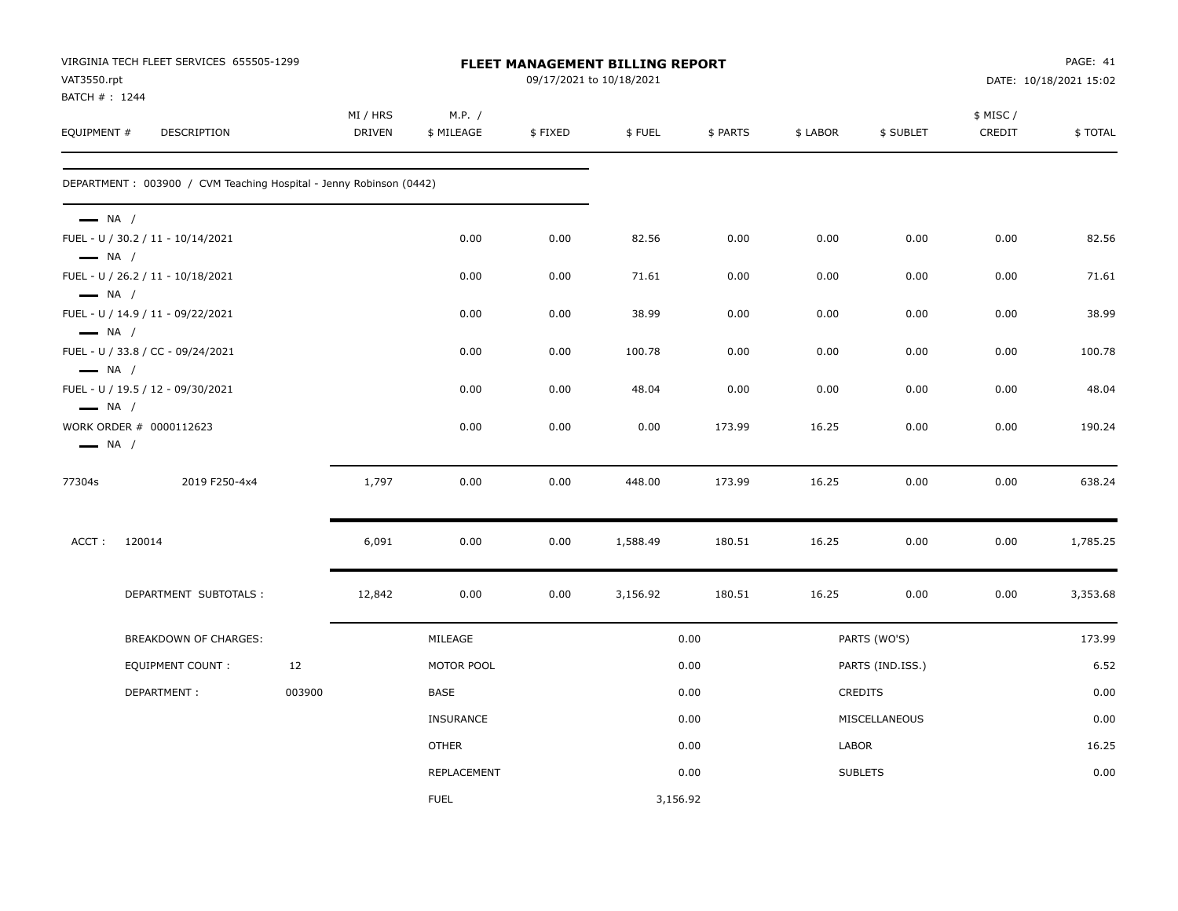| VAT3550.rpt<br>BATCH #: 1244                     | VIRGINIA TECH FLEET SERVICES 655505-1299                           |        |                           |                      |         | <b>FLEET MANAGEMENT BILLING REPORT</b><br>09/17/2021 to 10/18/2021 |          |          |                  |                    | PAGE: 41<br>DATE: 10/18/2021 15:02 |
|--------------------------------------------------|--------------------------------------------------------------------|--------|---------------------------|----------------------|---------|--------------------------------------------------------------------|----------|----------|------------------|--------------------|------------------------------------|
| EQUIPMENT #                                      | <b>DESCRIPTION</b>                                                 |        | MI / HRS<br><b>DRIVEN</b> | M.P. /<br>\$ MILEAGE | \$FIXED | \$FUEL                                                             | \$ PARTS | \$ LABOR | \$ SUBLET        | \$ MISC/<br>CREDIT | \$TOTAL                            |
|                                                  | DEPARTMENT: 003900 / CVM Teaching Hospital - Jenny Robinson (0442) |        |                           |                      |         |                                                                    |          |          |                  |                    |                                    |
| $\longrightarrow$ NA /                           | FUEL - U / 30.2 / 11 - 10/14/2021                                  |        |                           | 0.00                 | 0.00    | 82.56                                                              | 0.00     | 0.00     | 0.00             | 0.00               | 82.56                              |
| $\longrightarrow$ NA /<br>$\longrightarrow$ NA / | FUEL - U / 26.2 / 11 - 10/18/2021                                  |        |                           | 0.00                 | 0.00    | 71.61                                                              | 0.00     | 0.00     | 0.00             | 0.00               | 71.61                              |
| $\longrightarrow$ NA /                           | FUEL - U / 14.9 / 11 - 09/22/2021                                  |        |                           | 0.00                 | 0.00    | 38.99                                                              | 0.00     | 0.00     | 0.00             | 0.00               | 38.99                              |
| $\longrightarrow$ NA /                           | FUEL - U / 33.8 / CC - 09/24/2021                                  |        |                           | 0.00                 | 0.00    | 100.78                                                             | 0.00     | 0.00     | 0.00             | 0.00               | 100.78                             |
| $\longrightarrow$ NA /                           | FUEL - U / 19.5 / 12 - 09/30/2021                                  |        |                           | 0.00                 | 0.00    | 48.04                                                              | 0.00     | 0.00     | 0.00             | 0.00               | 48.04                              |
| $\longrightarrow$ NA /                           | WORK ORDER # 0000112623                                            |        |                           | 0.00                 | 0.00    | 0.00                                                               | 173.99   | 16.25    | 0.00             | 0.00               | 190.24                             |
| 77304s                                           | 2019 F250-4x4                                                      |        | 1,797                     | 0.00                 | 0.00    | 448.00                                                             | 173.99   | 16.25    | 0.00             | 0.00               | 638.24                             |
| ACCT:                                            | 120014                                                             |        | 6,091                     | 0.00                 | 0.00    | 1,588.49                                                           | 180.51   | 16.25    | 0.00             | 0.00               | 1,785.25                           |
|                                                  | DEPARTMENT SUBTOTALS :                                             |        | 12,842                    | 0.00                 | 0.00    | 3,156.92                                                           | 180.51   | 16.25    | 0.00             | 0.00               | 3,353.68                           |
|                                                  | <b>BREAKDOWN OF CHARGES:</b>                                       |        |                           | MILEAGE              |         |                                                                    | 0.00     |          | PARTS (WO'S)     |                    | 173.99                             |
|                                                  | <b>EQUIPMENT COUNT:</b>                                            | 12     |                           | MOTOR POOL           |         |                                                                    | 0.00     |          | PARTS (IND.ISS.) |                    | 6.52                               |
|                                                  | DEPARTMENT:                                                        | 003900 |                           | <b>BASE</b>          |         |                                                                    | 0.00     |          | <b>CREDITS</b>   |                    | 0.00                               |
|                                                  |                                                                    |        |                           | <b>INSURANCE</b>     |         |                                                                    | 0.00     |          | MISCELLANEOUS    |                    | 0.00                               |
|                                                  |                                                                    |        |                           | <b>OTHER</b>         |         |                                                                    | 0.00     | LABOR    |                  |                    | 16.25                              |
|                                                  |                                                                    |        |                           | REPLACEMENT          |         |                                                                    | 0.00     |          | <b>SUBLETS</b>   |                    | 0.00                               |
|                                                  |                                                                    |        |                           | <b>FUEL</b>          |         | 3,156.92                                                           |          |          |                  |                    |                                    |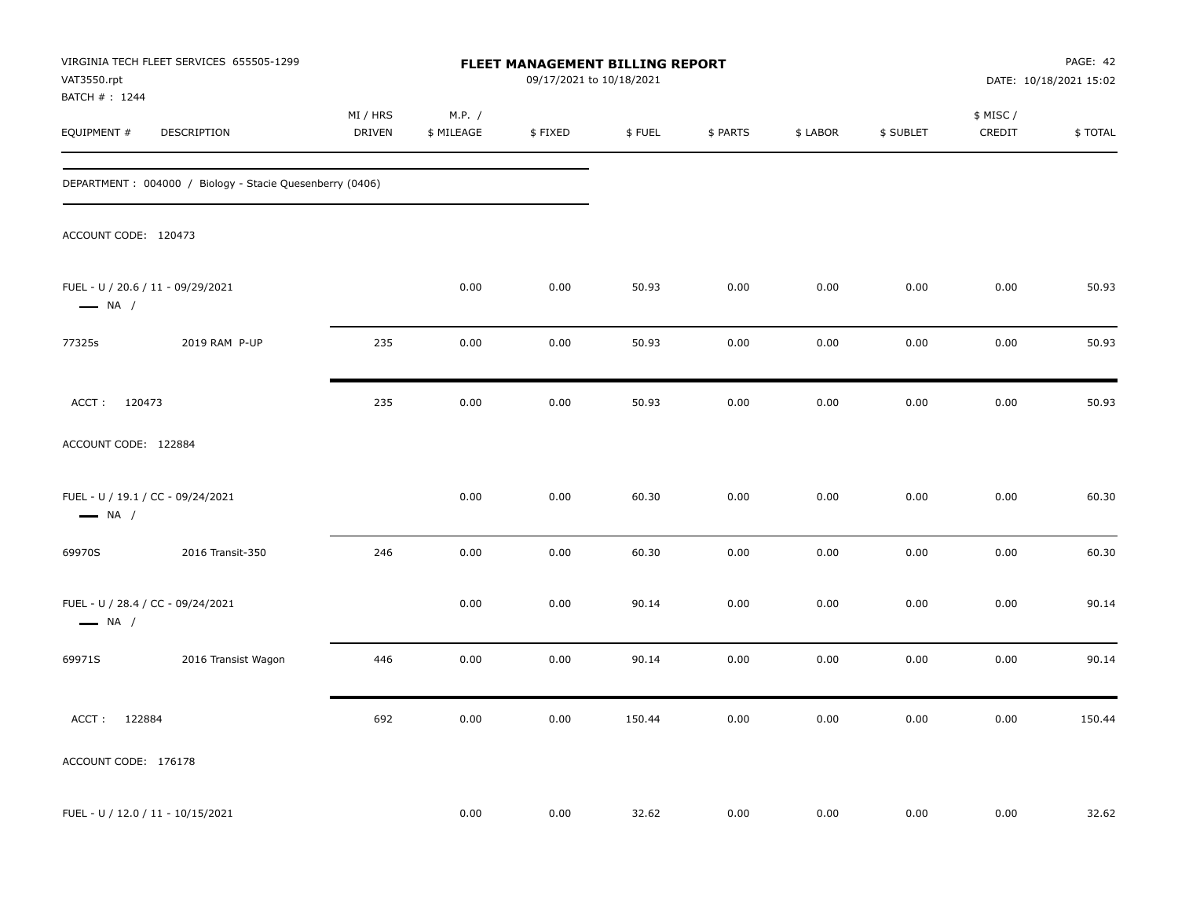| VAT3550.rpt<br>BATCH #: 1244 | VIRGINIA TECH FLEET SERVICES 655505-1299                  |                           |                      | FLEET MANAGEMENT BILLING REPORT<br>09/17/2021 to 10/18/2021 |        |          |          |           |                     | PAGE: 42<br>DATE: 10/18/2021 15:02 |
|------------------------------|-----------------------------------------------------------|---------------------------|----------------------|-------------------------------------------------------------|--------|----------|----------|-----------|---------------------|------------------------------------|
| EQUIPMENT #                  | DESCRIPTION                                               | MI / HRS<br><b>DRIVEN</b> | M.P. /<br>\$ MILEAGE | \$FIXED                                                     | \$FUEL | \$ PARTS | \$ LABOR | \$ SUBLET | \$ MISC /<br>CREDIT | <b>\$TOTAL</b>                     |
|                              | DEPARTMENT : 004000 / Biology - Stacie Quesenberry (0406) |                           |                      |                                                             |        |          |          |           |                     |                                    |
| ACCOUNT CODE: 120473         |                                                           |                           |                      |                                                             |        |          |          |           |                     |                                    |
| $\longrightarrow$ NA /       | FUEL - U / 20.6 / 11 - 09/29/2021                         |                           | 0.00                 | 0.00                                                        | 50.93  | 0.00     | 0.00     | 0.00      | 0.00                | 50.93                              |
| 77325s                       | 2019 RAM P-UP                                             | 235                       | 0.00                 | 0.00                                                        | 50.93  | 0.00     | 0.00     | 0.00      | 0.00                | 50.93                              |
| ACCT: 120473                 |                                                           | 235                       | 0.00                 | 0.00                                                        | 50.93  | 0.00     | 0.00     | 0.00      | 0.00                | 50.93                              |
| ACCOUNT CODE: 122884         |                                                           |                           |                      |                                                             |        |          |          |           |                     |                                    |
| $\longrightarrow$ NA /       | FUEL - U / 19.1 / CC - 09/24/2021                         |                           | 0.00                 | 0.00                                                        | 60.30  | 0.00     | 0.00     | 0.00      | 0.00                | 60.30                              |
| 69970S                       | 2016 Transit-350                                          | 246                       | 0.00                 | 0.00                                                        | 60.30  | 0.00     | 0.00     | 0.00      | 0.00                | 60.30                              |
| $\longrightarrow$ NA /       | FUEL - U / 28.4 / CC - 09/24/2021                         |                           | 0.00                 | 0.00                                                        | 90.14  | 0.00     | 0.00     | 0.00      | 0.00                | 90.14                              |
| 69971S                       | 2016 Transist Wagon                                       | 446                       | 0.00                 | 0.00                                                        | 90.14  | 0.00     | 0.00     | 0.00      | 0.00                | 90.14                              |
| ACCT: 122884                 |                                                           | 692                       | 0.00                 | 0.00                                                        | 150.44 | 0.00     | 0.00     | 0.00      | 0.00                | 150.44                             |
| ACCOUNT CODE: 176178         |                                                           |                           |                      |                                                             |        |          |          |           |                     |                                    |
|                              | FUEL - U / 12.0 / 11 - 10/15/2021                         |                           | 0.00                 | 0.00                                                        | 32.62  | 0.00     | 0.00     | 0.00      | 0.00                | 32.62                              |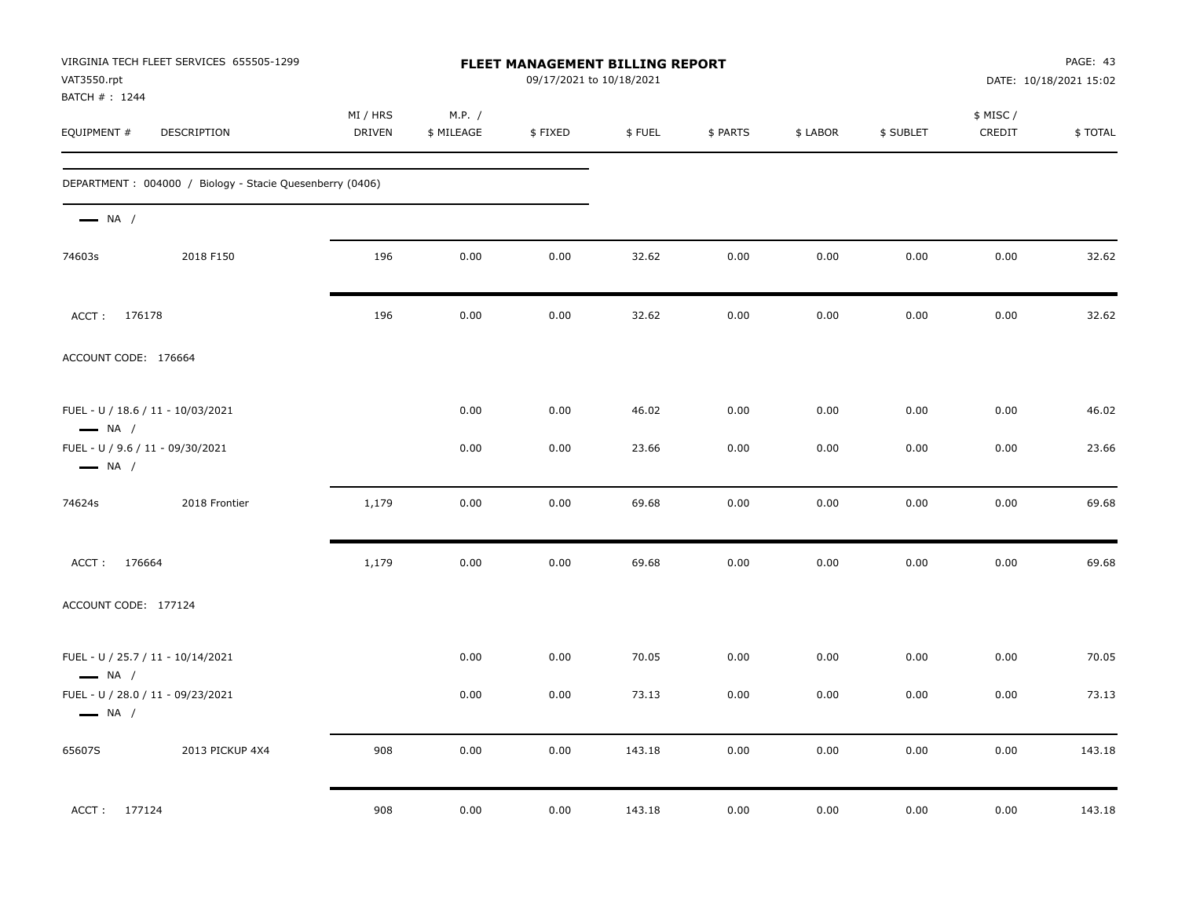| VIRGINIA TECH FLEET SERVICES 655505-1299<br>VAT3550.rpt<br>BATCH #: 1244 | FLEET MANAGEMENT BILLING REPORT<br>09/17/2021 to 10/18/2021 |                      |         |        |          | PAGE: 43<br>DATE: 10/18/2021 15:02 |           |                     |         |
|--------------------------------------------------------------------------|-------------------------------------------------------------|----------------------|---------|--------|----------|------------------------------------|-----------|---------------------|---------|
| EQUIPMENT #<br>DESCRIPTION                                               | MI / HRS<br>DRIVEN                                          | M.P. /<br>\$ MILEAGE | \$FIXED | \$FUEL | \$ PARTS | \$ LABOR                           | \$ SUBLET | \$ MISC /<br>CREDIT | \$TOTAL |
| DEPARTMENT : 004000 / Biology - Stacie Quesenberry (0406)                |                                                             |                      |         |        |          |                                    |           |                     |         |
| $\longrightarrow$ NA /                                                   |                                                             |                      |         |        |          |                                    |           |                     |         |
| 2018 F150<br>74603s                                                      | 196                                                         | 0.00                 | 0.00    | 32.62  | 0.00     | 0.00                               | 0.00      | 0.00                | 32.62   |
| ACCT: 176178                                                             | 196                                                         | 0.00                 | 0.00    | 32.62  | 0.00     | 0.00                               | 0.00      | 0.00                | 32.62   |
| ACCOUNT CODE: 176664                                                     |                                                             |                      |         |        |          |                                    |           |                     |         |
| FUEL - U / 18.6 / 11 - 10/03/2021<br>$\longrightarrow$ NA /              |                                                             | 0.00                 | 0.00    | 46.02  | 0.00     | 0.00                               | 0.00      | 0.00                | 46.02   |
| FUEL - U / 9.6 / 11 - 09/30/2021<br>$\longrightarrow$ NA /               |                                                             | 0.00                 | 0.00    | 23.66  | 0.00     | 0.00                               | 0.00      | 0.00                | 23.66   |
| 74624s<br>2018 Frontier                                                  | 1,179                                                       | 0.00                 | 0.00    | 69.68  | 0.00     | 0.00                               | 0.00      | 0.00                | 69.68   |
| ACCT: 176664                                                             | 1,179                                                       | 0.00                 | 0.00    | 69.68  | 0.00     | 0.00                               | 0.00      | 0.00                | 69.68   |
| ACCOUNT CODE: 177124                                                     |                                                             |                      |         |        |          |                                    |           |                     |         |
| FUEL - U / 25.7 / 11 - 10/14/2021<br>$\longrightarrow$ NA /              |                                                             | 0.00                 | 0.00    | 70.05  | 0.00     | 0.00                               | 0.00      | 0.00                | 70.05   |
| FUEL - U / 28.0 / 11 - 09/23/2021<br>$\longrightarrow$ NA /              |                                                             | 0.00                 | 0.00    | 73.13  | 0.00     | 0.00                               | 0.00      | 0.00                | 73.13   |
| 65607S<br>2013 PICKUP 4X4                                                | 908                                                         | 0.00                 | 0.00    | 143.18 | 0.00     | 0.00                               | 0.00      | 0.00                | 143.18  |
| ACCT: 177124                                                             | 908                                                         | 0.00                 | 0.00    | 143.18 | 0.00     | 0.00                               | 0.00      | 0.00                | 143.18  |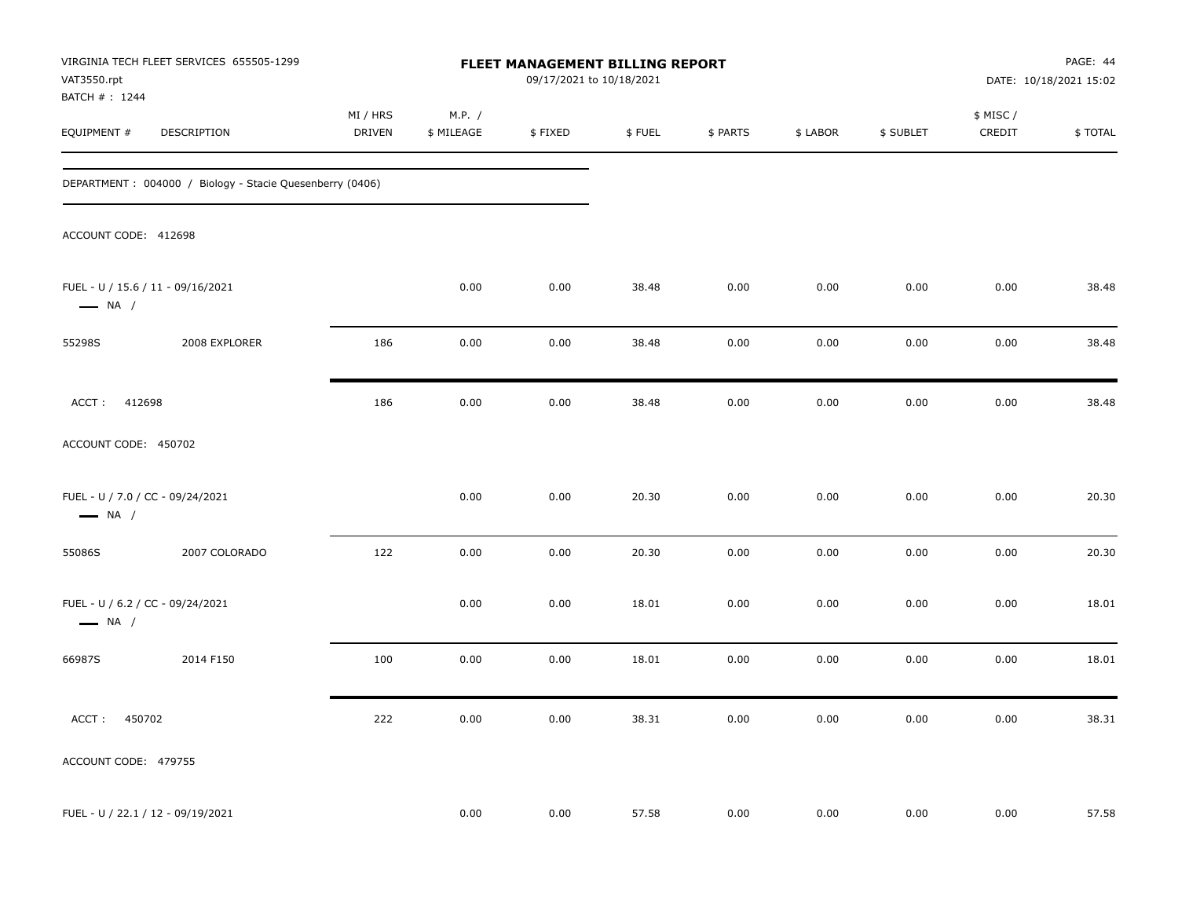| VAT3550.rpt                                                | VIRGINIA TECH FLEET SERVICES 655505-1299                 |                           |                      | FLEET MANAGEMENT BILLING REPORT<br>09/17/2021 to 10/18/2021 |        |          |          |           |                     | PAGE: 44<br>DATE: 10/18/2021 15:02 |
|------------------------------------------------------------|----------------------------------------------------------|---------------------------|----------------------|-------------------------------------------------------------|--------|----------|----------|-----------|---------------------|------------------------------------|
| BATCH #: 1244<br>EQUIPMENT #                               | DESCRIPTION                                              | MI / HRS<br><b>DRIVEN</b> | M.P. /<br>\$ MILEAGE | \$FIXED                                                     | \$FUEL | \$ PARTS | \$ LABOR | \$ SUBLET | \$ MISC /<br>CREDIT | \$TOTAL                            |
|                                                            | DEPARTMENT: 004000 / Biology - Stacie Quesenberry (0406) |                           |                      |                                                             |        |          |          |           |                     |                                    |
| ACCOUNT CODE: 412698                                       |                                                          |                           |                      |                                                             |        |          |          |           |                     |                                    |
| $\longrightarrow$ NA /                                     | FUEL - U / 15.6 / 11 - 09/16/2021                        |                           | 0.00                 | 0.00                                                        | 38.48  | 0.00     | 0.00     | 0.00      | 0.00                | 38.48                              |
| 55298S                                                     | 2008 EXPLORER                                            | 186                       | 0.00                 | 0.00                                                        | 38.48  | 0.00     | 0.00     | 0.00      | 0.00                | 38.48                              |
| ACCT: 412698                                               |                                                          | 186                       | 0.00                 | 0.00                                                        | 38.48  | 0.00     | 0.00     | 0.00      | 0.00                | 38.48                              |
| ACCOUNT CODE: 450702                                       |                                                          |                           |                      |                                                             |        |          |          |           |                     |                                    |
| FUEL - U / 7.0 / CC - 09/24/2021<br>$\longrightarrow$ NA / |                                                          |                           | 0.00                 | 0.00                                                        | 20.30  | 0.00     | 0.00     | 0.00      | 0.00                | 20.30                              |
| 55086S                                                     | 2007 COLORADO                                            | 122                       | 0.00                 | 0.00                                                        | 20.30  | 0.00     | 0.00     | 0.00      | 0.00                | 20.30                              |
| FUEL - U / 6.2 / CC - 09/24/2021<br>$\longrightarrow$ NA / |                                                          |                           | 0.00                 | 0.00                                                        | 18.01  | 0.00     | 0.00     | 0.00      | 0.00                | 18.01                              |
| 66987S                                                     | 2014 F150                                                | 100                       | 0.00                 | 0.00                                                        | 18.01  | 0.00     | 0.00     | 0.00      | 0.00                | 18.01                              |
| 450702<br>ACCT:                                            |                                                          | 222                       | 0.00                 | 0.00                                                        | 38.31  | 0.00     | 0.00     | 0.00      | 0.00                | 38.31                              |
| ACCOUNT CODE: 479755                                       |                                                          |                           |                      |                                                             |        |          |          |           |                     |                                    |
|                                                            | FUEL - U / 22.1 / 12 - 09/19/2021                        |                           | 0.00                 | 0.00                                                        | 57.58  | 0.00     | 0.00     | 0.00      | 0.00                | 57.58                              |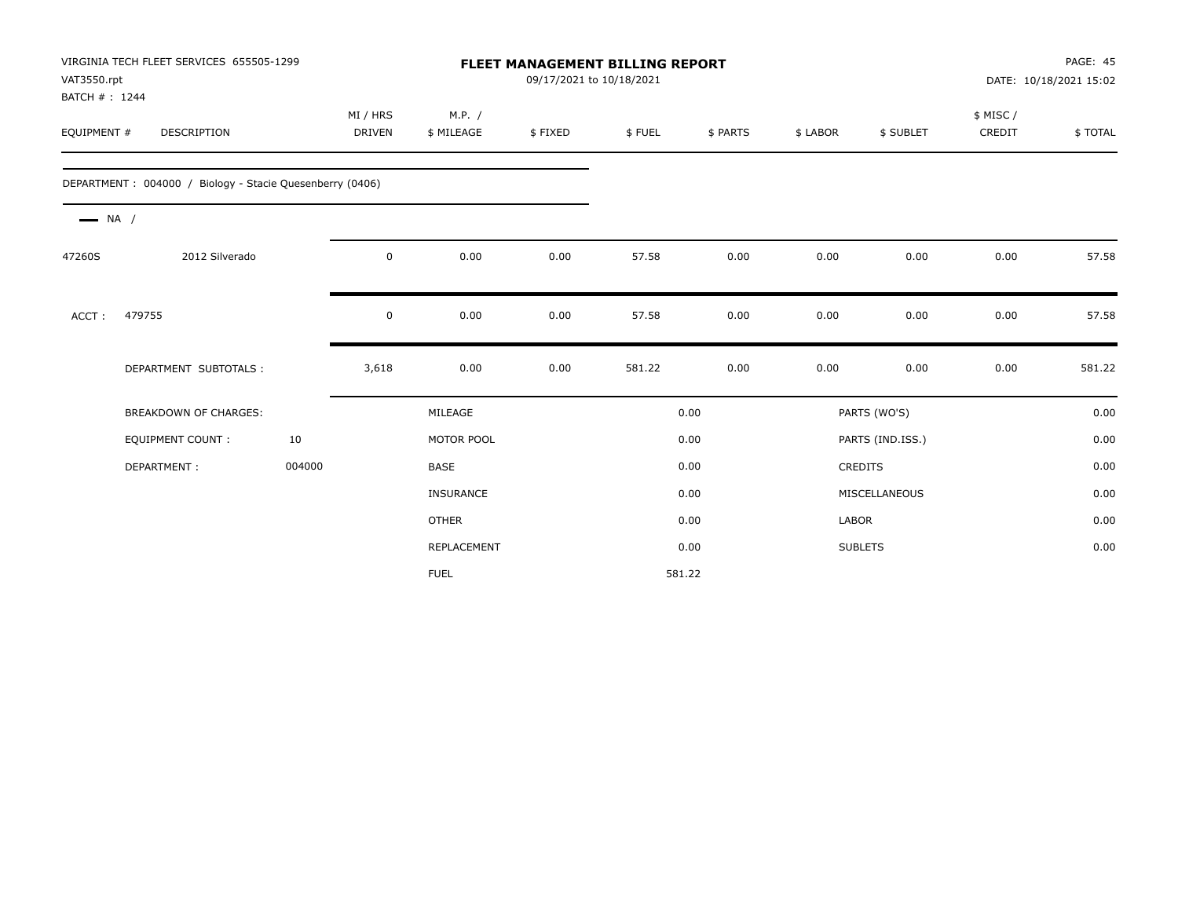| VAT3550.rpt<br>BATCH #: 1244 | VIRGINIA TECH FLEET SERVICES 655505-1299                 |        |                    |                      | 09/17/2021 to 10/18/2021 | <b>FLEET MANAGEMENT BILLING REPORT</b> |          |          |                  |                     | PAGE: 45<br>DATE: 10/18/2021 15:02 |
|------------------------------|----------------------------------------------------------|--------|--------------------|----------------------|--------------------------|----------------------------------------|----------|----------|------------------|---------------------|------------------------------------|
| EQUIPMENT #                  | <b>DESCRIPTION</b>                                       |        | MI / HRS<br>DRIVEN | M.P. /<br>\$ MILEAGE | \$FIXED                  | \$FUEL                                 | \$ PARTS | \$ LABOR | \$ SUBLET        | \$ MISC /<br>CREDIT | \$TOTAL                            |
|                              | DEPARTMENT: 004000 / Biology - Stacie Quesenberry (0406) |        |                    |                      |                          |                                        |          |          |                  |                     |                                    |
| $\longrightarrow$ NA /       |                                                          |        |                    |                      |                          |                                        |          |          |                  |                     |                                    |
| 47260S                       | 2012 Silverado                                           |        | $\mathbf 0$        | 0.00                 | 0.00                     | 57.58                                  | 0.00     | 0.00     | 0.00             | 0.00                | 57.58                              |
| ACCT:                        | 479755                                                   |        | 0                  | 0.00                 | 0.00                     | 57.58                                  | 0.00     | 0.00     | 0.00             | 0.00                | 57.58                              |
|                              | DEPARTMENT SUBTOTALS :                                   |        | 3,618              | 0.00                 | 0.00                     | 581.22                                 | 0.00     | 0.00     | 0.00             | 0.00                | 581.22                             |
|                              | <b>BREAKDOWN OF CHARGES:</b>                             |        |                    | MILEAGE              |                          |                                        | 0.00     |          | PARTS (WO'S)     |                     | 0.00                               |
|                              | <b>EQUIPMENT COUNT:</b>                                  | 10     |                    | MOTOR POOL           |                          |                                        | 0.00     |          | PARTS (IND.ISS.) |                     | 0.00                               |
|                              | DEPARTMENT:                                              | 004000 |                    | <b>BASE</b>          |                          |                                        | 0.00     |          | <b>CREDITS</b>   |                     | 0.00                               |
|                              |                                                          |        |                    | <b>INSURANCE</b>     |                          |                                        | 0.00     |          | MISCELLANEOUS    |                     | 0.00                               |
|                              |                                                          |        |                    | <b>OTHER</b>         |                          |                                        | 0.00     | LABOR    |                  |                     | 0.00                               |
|                              |                                                          |        |                    | REPLACEMENT          |                          |                                        | 0.00     |          | <b>SUBLETS</b>   |                     | 0.00                               |
|                              |                                                          |        |                    | <b>FUEL</b>          |                          |                                        | 581.22   |          |                  |                     |                                    |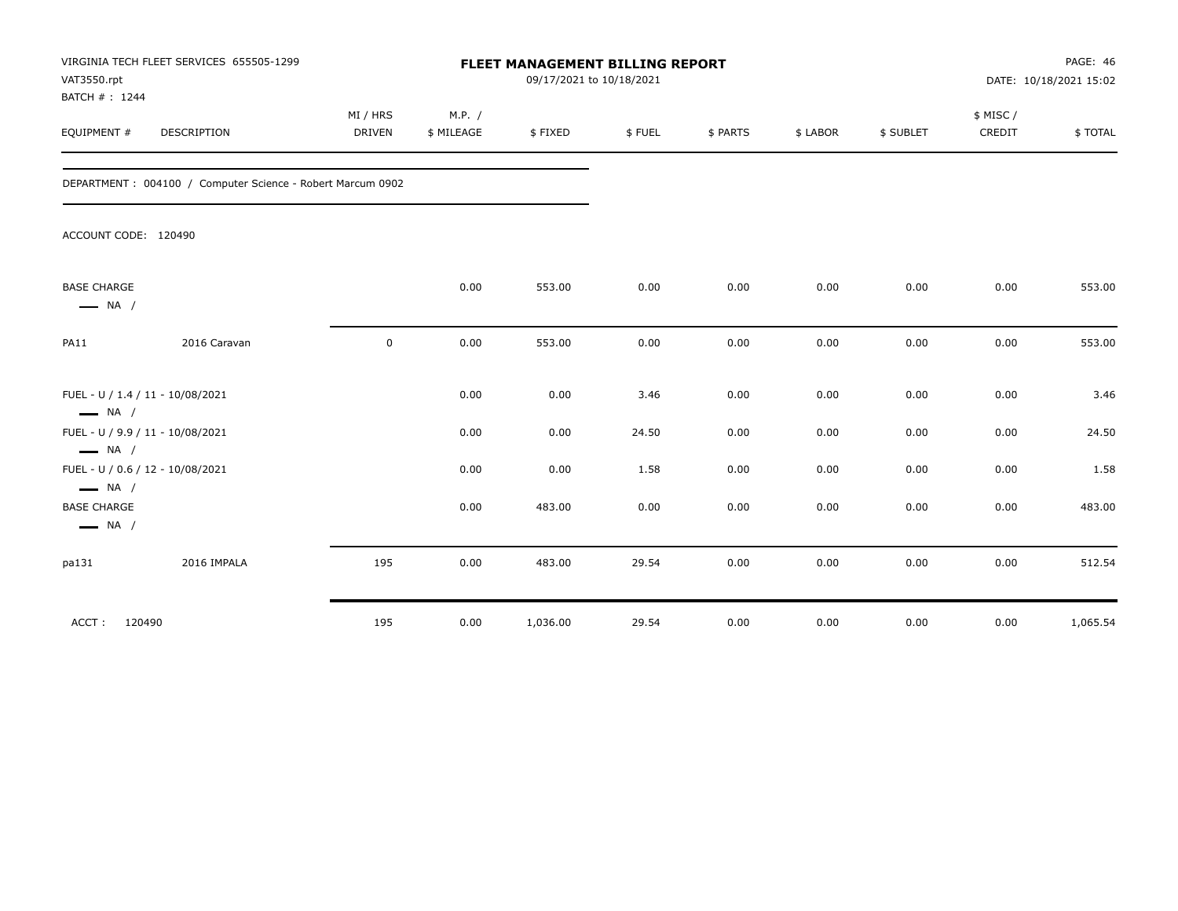| VAT3550.rpt<br>BATCH #: 1244                 | VIRGINIA TECH FLEET SERVICES 655505-1299                   |                           |                      |          | FLEET MANAGEMENT BILLING REPORT<br>09/17/2021 to 10/18/2021 |          |          |           |                    | <b>PAGE: 46</b><br>DATE: 10/18/2021 15:02 |
|----------------------------------------------|------------------------------------------------------------|---------------------------|----------------------|----------|-------------------------------------------------------------|----------|----------|-----------|--------------------|-------------------------------------------|
| EQUIPMENT #                                  | DESCRIPTION                                                | MI / HRS<br><b>DRIVEN</b> | M.P. /<br>\$ MILEAGE | \$FIXED  | \$FUEL                                                      | \$ PARTS | \$ LABOR | \$ SUBLET | \$ MISC/<br>CREDIT | \$TOTAL                                   |
|                                              | DEPARTMENT: 004100 / Computer Science - Robert Marcum 0902 |                           |                      |          |                                                             |          |          |           |                    |                                           |
| ACCOUNT CODE: 120490                         |                                                            |                           |                      |          |                                                             |          |          |           |                    |                                           |
| <b>BASE CHARGE</b><br>$\longrightarrow$ NA / |                                                            |                           | 0.00                 | 553.00   | 0.00                                                        | 0.00     | 0.00     | 0.00      | 0.00               | 553.00                                    |
| PA11                                         | 2016 Caravan                                               | 0                         | 0.00                 | 553.00   | 0.00                                                        | 0.00     | 0.00     | 0.00      | 0.00               | 553.00                                    |
| $\longrightarrow$ NA /                       | FUEL - U / 1.4 / 11 - 10/08/2021                           |                           | 0.00                 | 0.00     | 3.46                                                        | 0.00     | 0.00     | 0.00      | 0.00               | 3.46                                      |
| $\longrightarrow$ NA /                       | FUEL - U / 9.9 / 11 - 10/08/2021                           |                           | 0.00                 | 0.00     | 24.50                                                       | 0.00     | 0.00     | 0.00      | 0.00               | 24.50                                     |
| $\longrightarrow$ NA /                       | FUEL - U / 0.6 / 12 - 10/08/2021                           |                           | 0.00                 | 0.00     | 1.58                                                        | 0.00     | 0.00     | 0.00      | 0.00               | 1.58                                      |
| <b>BASE CHARGE</b><br>$\longrightarrow$ NA / |                                                            |                           | 0.00                 | 483.00   | 0.00                                                        | 0.00     | 0.00     | 0.00      | 0.00               | 483.00                                    |
| pa131                                        | 2016 IMPALA                                                | 195                       | 0.00                 | 483.00   | 29.54                                                       | 0.00     | 0.00     | 0.00      | 0.00               | 512.54                                    |
| 120490<br>ACCT:                              |                                                            | 195                       | 0.00                 | 1,036.00 | 29.54                                                       | 0.00     | 0.00     | 0.00      | 0.00               | 1,065.54                                  |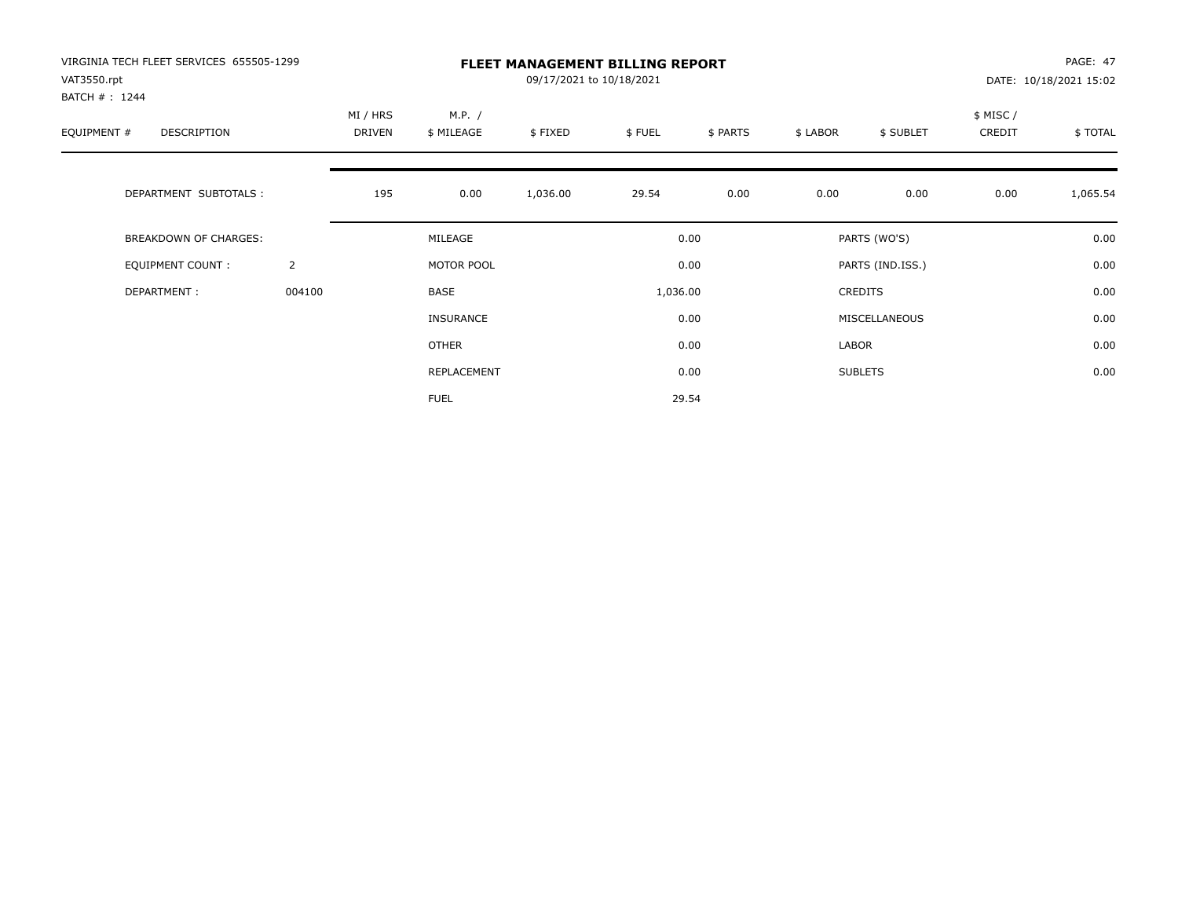| VIRGINIA TECH FLEET SERVICES 655505-1299<br>VAT3550.rpt<br>BATCH # : 1244 |                | <b>FLEET MANAGEMENT BILLING REPORT</b><br>09/17/2021 to 10/18/2021 |                      |          |          |          |          |                  |                     | PAGE: 47<br>DATE: 10/18/2021 15:02 |  |
|---------------------------------------------------------------------------|----------------|--------------------------------------------------------------------|----------------------|----------|----------|----------|----------|------------------|---------------------|------------------------------------|--|
| EQUIPMENT #<br><b>DESCRIPTION</b>                                         |                | MI / HRS<br>DRIVEN                                                 | M.P. /<br>\$ MILEAGE | \$FIXED  | \$FUEL   | \$ PARTS | \$ LABOR | \$ SUBLET        | \$ MISC /<br>CREDIT | \$TOTAL                            |  |
| DEPARTMENT SUBTOTALS :                                                    |                | 195                                                                | 0.00                 | 1,036.00 | 29.54    | 0.00     | 0.00     | 0.00             | 0.00                | 1,065.54                           |  |
| <b>BREAKDOWN OF CHARGES:</b>                                              |                |                                                                    | MILEAGE              |          |          | 0.00     |          | PARTS (WO'S)     |                     | 0.00                               |  |
| <b>EQUIPMENT COUNT:</b>                                                   | $\overline{2}$ |                                                                    | MOTOR POOL           |          |          | 0.00     |          | PARTS (IND.ISS.) |                     | 0.00                               |  |
| DEPARTMENT:                                                               | 004100         |                                                                    | <b>BASE</b>          |          | 1,036.00 |          |          | <b>CREDITS</b>   |                     | 0.00                               |  |
|                                                                           |                |                                                                    | INSURANCE            |          |          | 0.00     |          | MISCELLANEOUS    |                     | 0.00                               |  |
|                                                                           |                |                                                                    | <b>OTHER</b>         |          |          | 0.00     | LABOR    |                  |                     | 0.00                               |  |
|                                                                           |                |                                                                    | REPLACEMENT          |          |          | 0.00     |          | <b>SUBLETS</b>   |                     | 0.00                               |  |
|                                                                           |                |                                                                    | <b>FUEL</b>          |          |          | 29.54    |          |                  |                     |                                    |  |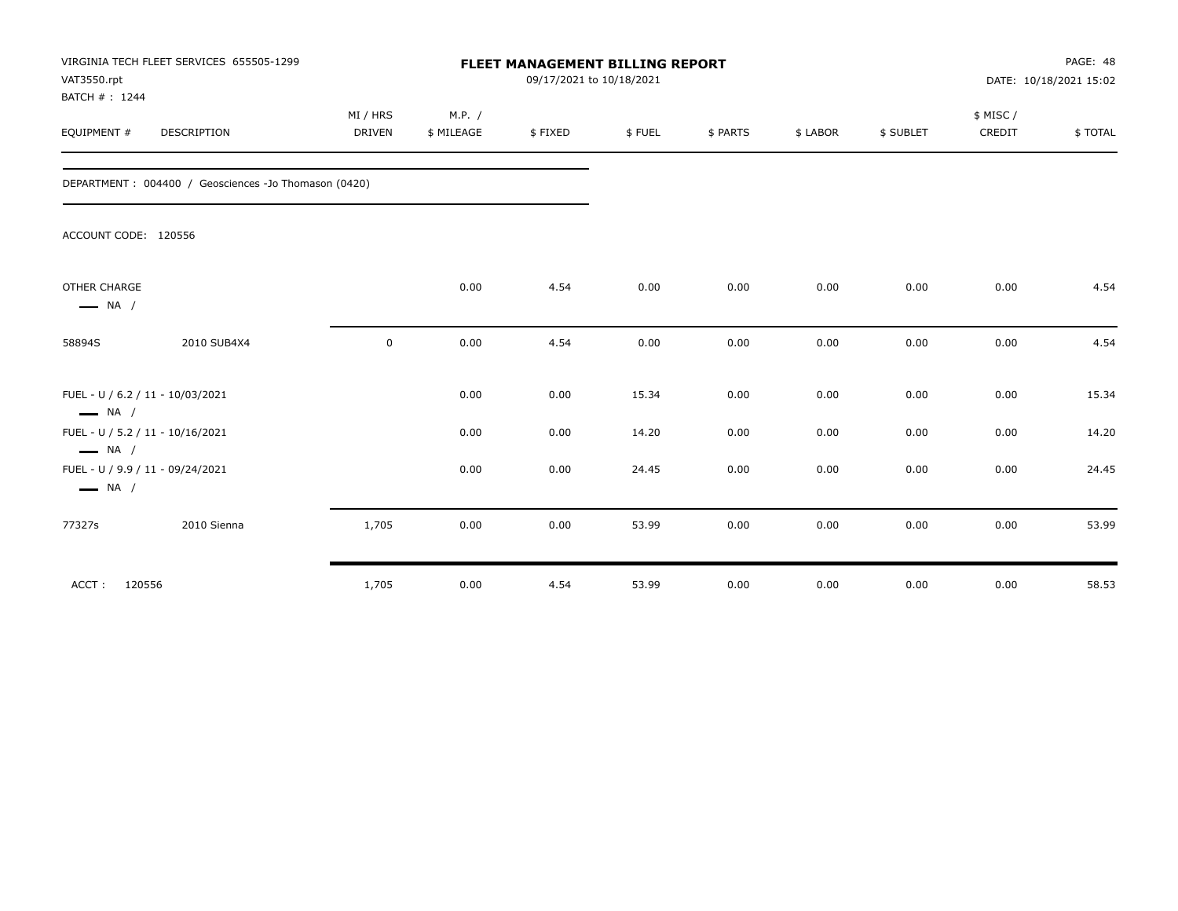| VAT3550.rpt<br>BATCH #: 1244           | VIRGINIA TECH FLEET SERVICES 655505-1299             | <b>FLEET MANAGEMENT BILLING REPORT</b><br>09/17/2021 to 10/18/2021 |            |         |        |          |          |           |          | PAGE: 48<br>DATE: 10/18/2021 15:02 |  |
|----------------------------------------|------------------------------------------------------|--------------------------------------------------------------------|------------|---------|--------|----------|----------|-----------|----------|------------------------------------|--|
|                                        |                                                      | MI / HRS                                                           | M.P. /     |         |        |          |          |           | \$ MISC/ |                                    |  |
| EQUIPMENT #                            | DESCRIPTION                                          | <b>DRIVEN</b>                                                      | \$ MILEAGE | \$FIXED | \$FUEL | \$ PARTS | \$ LABOR | \$ SUBLET | CREDIT   | \$TOTAL                            |  |
|                                        | DEPARTMENT: 004400 / Geosciences -Jo Thomason (0420) |                                                                    |            |         |        |          |          |           |          |                                    |  |
| ACCOUNT CODE: 120556                   |                                                      |                                                                    |            |         |        |          |          |           |          |                                    |  |
| OTHER CHARGE<br>$\longrightarrow$ NA / |                                                      |                                                                    | 0.00       | 4.54    | 0.00   | 0.00     | 0.00     | 0.00      | 0.00     | 4.54                               |  |
| 58894S                                 | 2010 SUB4X4                                          | $\mathbf 0$                                                        | 0.00       | 4.54    | 0.00   | 0.00     | 0.00     | 0.00      | 0.00     | 4.54                               |  |
| $\longrightarrow$ NA /                 | FUEL - U / 6.2 / 11 - 10/03/2021                     |                                                                    | 0.00       | 0.00    | 15.34  | 0.00     | 0.00     | 0.00      | 0.00     | 15.34                              |  |
| $\longrightarrow$ NA /                 | FUEL - U / 5.2 / 11 - 10/16/2021                     |                                                                    | 0.00       | 0.00    | 14.20  | 0.00     | 0.00     | 0.00      | 0.00     | 14.20                              |  |
| $\longrightarrow$ NA /                 | FUEL - U / 9.9 / 11 - 09/24/2021                     |                                                                    | 0.00       | 0.00    | 24.45  | 0.00     | 0.00     | 0.00      | 0.00     | 24.45                              |  |
| 77327s                                 | 2010 Sienna                                          | 1,705                                                              | 0.00       | 0.00    | 53.99  | 0.00     | 0.00     | 0.00      | 0.00     | 53.99                              |  |
| 120556<br>ACCT:                        |                                                      | 1,705                                                              | 0.00       | 4.54    | 53.99  | 0.00     | 0.00     | 0.00      | 0.00     | 58.53                              |  |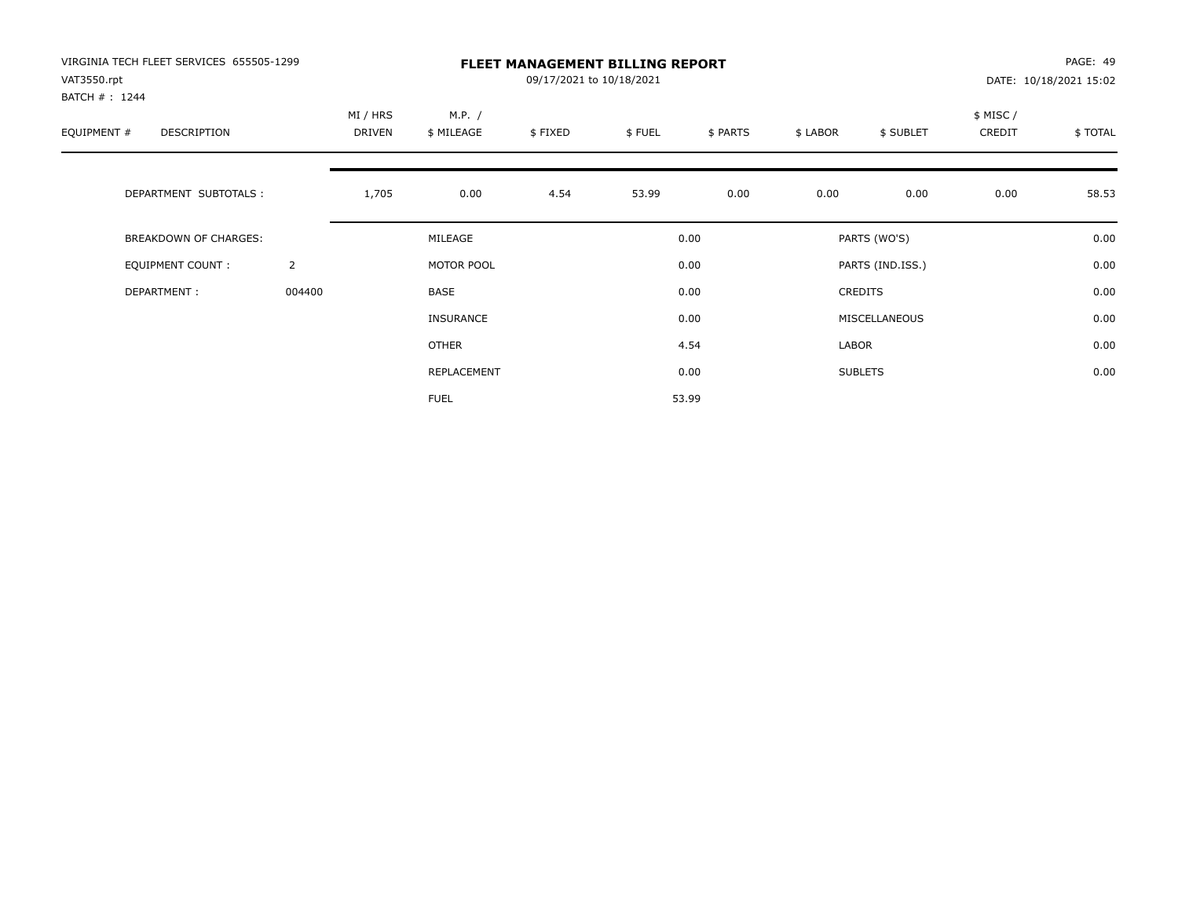| VIRGINIA TECH FLEET SERVICES 655505-1299<br>VAT3550.rpt<br>BATCH #: 1244 |                | <b>FLEET MANAGEMENT BILLING REPORT</b><br>09/17/2021 to 10/18/2021 |                      |         |        |          |          |                  |                    | PAGE: 49<br>DATE: 10/18/2021 15:02 |  |
|--------------------------------------------------------------------------|----------------|--------------------------------------------------------------------|----------------------|---------|--------|----------|----------|------------------|--------------------|------------------------------------|--|
| EQUIPMENT #<br>DESCRIPTION                                               |                | MI / HRS<br>DRIVEN                                                 | M.P. /<br>\$ MILEAGE | \$FIXED | \$FUEL | \$ PARTS | \$ LABOR | \$ SUBLET        | \$ MISC/<br>CREDIT | \$TOTAL                            |  |
| DEPARTMENT SUBTOTALS :                                                   |                | 1,705                                                              | 0.00                 | 4.54    | 53.99  | 0.00     | 0.00     | 0.00             | 0.00               | 58.53                              |  |
| <b>BREAKDOWN OF CHARGES:</b>                                             |                |                                                                    | MILEAGE              |         |        | 0.00     |          | PARTS (WO'S)     |                    | 0.00                               |  |
| EQUIPMENT COUNT:                                                         | $\overline{2}$ |                                                                    | MOTOR POOL           |         |        | 0.00     |          | PARTS (IND.ISS.) |                    | 0.00                               |  |
| DEPARTMENT:                                                              | 004400         |                                                                    | <b>BASE</b>          |         |        | 0.00     |          | <b>CREDITS</b>   |                    | 0.00                               |  |
|                                                                          |                |                                                                    | <b>INSURANCE</b>     |         |        | 0.00     |          | MISCELLANEOUS    |                    | 0.00                               |  |
|                                                                          |                |                                                                    | <b>OTHER</b>         |         |        | 4.54     | LABOR    |                  |                    | 0.00                               |  |
|                                                                          |                |                                                                    | REPLACEMENT          |         |        | 0.00     |          | <b>SUBLETS</b>   |                    | 0.00                               |  |
|                                                                          |                |                                                                    | <b>FUEL</b>          |         |        | 53.99    |          |                  |                    |                                    |  |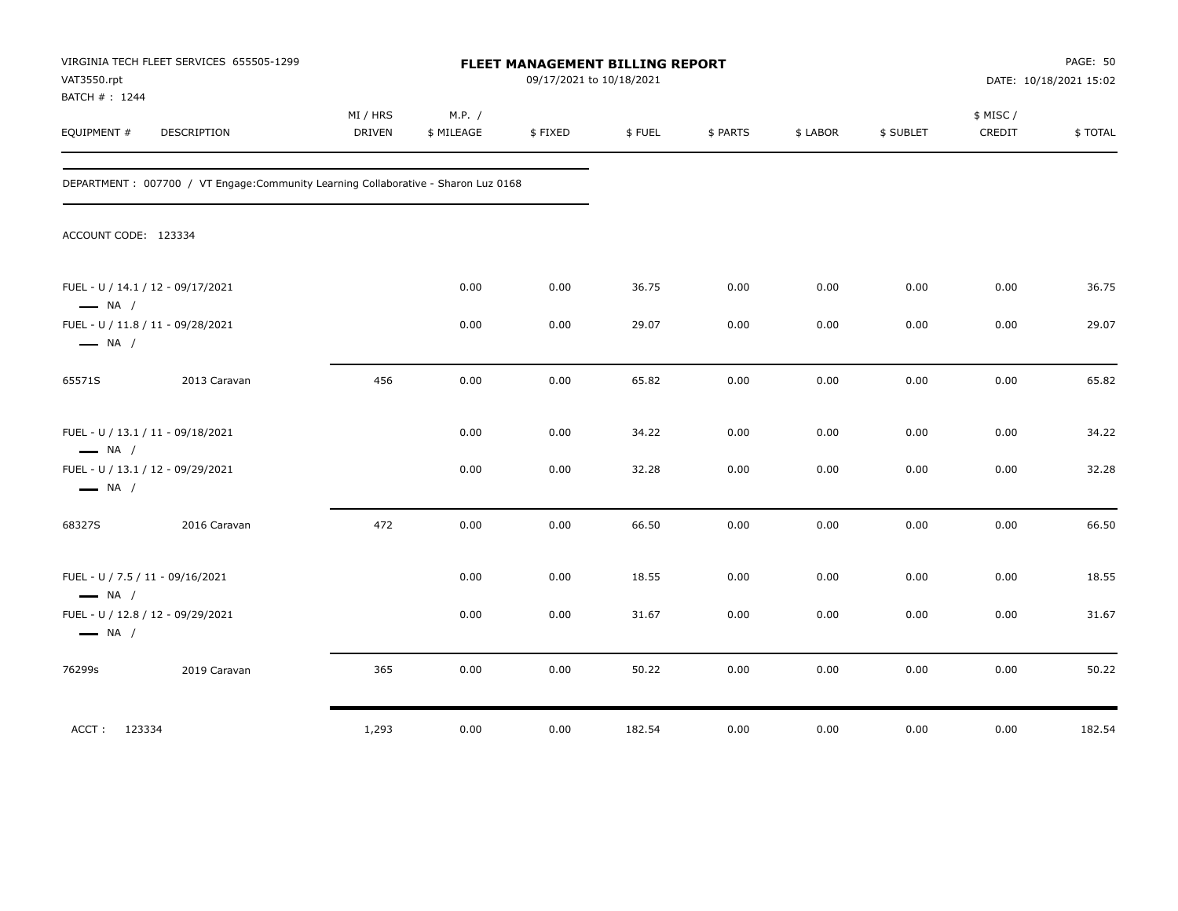| VAT3550.rpt<br>BATCH #: 1244 | VIRGINIA TECH FLEET SERVICES 655505-1299                                            |                    |                      | FLEET MANAGEMENT BILLING REPORT<br>09/17/2021 to 10/18/2021 |        |          |          |           |                     | PAGE: 50<br>DATE: 10/18/2021 15:02 |
|------------------------------|-------------------------------------------------------------------------------------|--------------------|----------------------|-------------------------------------------------------------|--------|----------|----------|-----------|---------------------|------------------------------------|
| EQUIPMENT #                  | DESCRIPTION                                                                         | MI / HRS<br>DRIVEN | M.P. /<br>\$ MILEAGE | \$FIXED                                                     | \$FUEL | \$ PARTS | \$ LABOR | \$ SUBLET | \$ MISC /<br>CREDIT | \$TOTAL                            |
|                              | DEPARTMENT : 007700 / VT Engage: Community Learning Collaborative - Sharon Luz 0168 |                    |                      |                                                             |        |          |          |           |                     |                                    |
| ACCOUNT CODE: 123334         |                                                                                     |                    |                      |                                                             |        |          |          |           |                     |                                    |
| $\longrightarrow$ NA /       | FUEL - U / 14.1 / 12 - 09/17/2021                                                   |                    | 0.00                 | 0.00                                                        | 36.75  | 0.00     | 0.00     | 0.00      | 0.00                | 36.75                              |
| $\longrightarrow$ NA /       | FUEL - U / 11.8 / 11 - 09/28/2021                                                   |                    | 0.00                 | 0.00                                                        | 29.07  | 0.00     | 0.00     | 0.00      | 0.00                | 29.07                              |
| 65571S                       | 2013 Caravan                                                                        | 456                | 0.00                 | 0.00                                                        | 65.82  | 0.00     | 0.00     | 0.00      | 0.00                | 65.82                              |
| $\longrightarrow$ NA /       | FUEL - U / 13.1 / 11 - 09/18/2021                                                   |                    | 0.00                 | 0.00                                                        | 34.22  | 0.00     | 0.00     | 0.00      | 0.00                | 34.22                              |
| $\longrightarrow$ NA /       | FUEL - U / 13.1 / 12 - 09/29/2021                                                   |                    | 0.00                 | 0.00                                                        | 32.28  | 0.00     | 0.00     | 0.00      | 0.00                | 32.28                              |
| 68327S                       | 2016 Caravan                                                                        | 472                | 0.00                 | 0.00                                                        | 66.50  | 0.00     | 0.00     | 0.00      | 0.00                | 66.50                              |
| $\longrightarrow$ NA /       | FUEL - U / 7.5 / 11 - 09/16/2021                                                    |                    | 0.00                 | 0.00                                                        | 18.55  | 0.00     | 0.00     | 0.00      | 0.00                | 18.55                              |
| $\longrightarrow$ NA /       | FUEL - U / 12.8 / 12 - 09/29/2021                                                   |                    | 0.00                 | 0.00                                                        | 31.67  | 0.00     | 0.00     | 0.00      | 0.00                | 31.67                              |
| 76299s                       | 2019 Caravan                                                                        | 365                | 0.00                 | 0.00                                                        | 50.22  | 0.00     | 0.00     | 0.00      | 0.00                | 50.22                              |
| ACCT: 123334                 |                                                                                     | 1,293              | 0.00                 | 0.00                                                        | 182.54 | 0.00     | 0.00     | 0.00      | 0.00                | 182.54                             |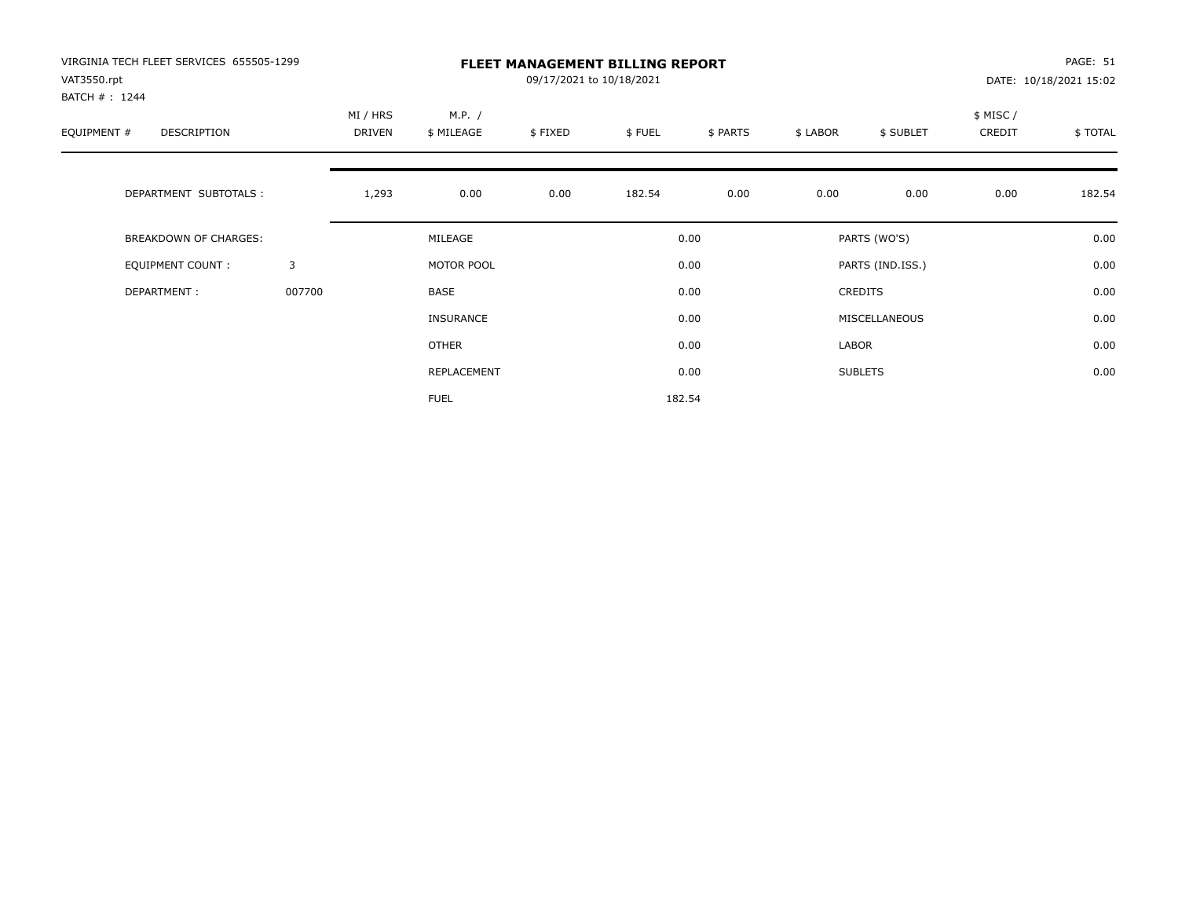| VIRGINIA TECH FLEET SERVICES 655505-1299<br>VAT3550.rpt<br>BATCH #: 1244 |        | <b>FLEET MANAGEMENT BILLING REPORT</b><br>09/17/2021 to 10/18/2021 |                      |         |        |          |          |                  |                    | PAGE: 51<br>DATE: 10/18/2021 15:02 |  |
|--------------------------------------------------------------------------|--------|--------------------------------------------------------------------|----------------------|---------|--------|----------|----------|------------------|--------------------|------------------------------------|--|
| EQUIPMENT #<br>DESCRIPTION                                               |        | MI / HRS<br>DRIVEN                                                 | M.P. /<br>\$ MILEAGE | \$FIXED | \$FUEL | \$ PARTS | \$ LABOR | \$ SUBLET        | \$ MISC/<br>CREDIT | \$TOTAL                            |  |
| DEPARTMENT SUBTOTALS :                                                   |        | 1,293                                                              | 0.00                 | 0.00    | 182.54 | 0.00     | 0.00     | 0.00             | 0.00               | 182.54                             |  |
| <b>BREAKDOWN OF CHARGES:</b>                                             |        |                                                                    | MILEAGE              |         |        | 0.00     |          | PARTS (WO'S)     |                    | 0.00                               |  |
| EQUIPMENT COUNT:                                                         | 3      |                                                                    | MOTOR POOL           |         |        | 0.00     |          | PARTS (IND.ISS.) |                    | 0.00                               |  |
| DEPARTMENT:                                                              | 007700 |                                                                    | <b>BASE</b>          |         |        | 0.00     |          | <b>CREDITS</b>   |                    | 0.00                               |  |
|                                                                          |        |                                                                    | <b>INSURANCE</b>     |         |        | 0.00     |          | MISCELLANEOUS    |                    | 0.00                               |  |
|                                                                          |        |                                                                    | <b>OTHER</b>         |         |        | 0.00     | LABOR    |                  |                    | 0.00                               |  |
|                                                                          |        |                                                                    | REPLACEMENT          |         |        | 0.00     |          | <b>SUBLETS</b>   |                    | 0.00                               |  |
|                                                                          |        |                                                                    | <b>FUEL</b>          |         |        | 182.54   |          |                  |                    |                                    |  |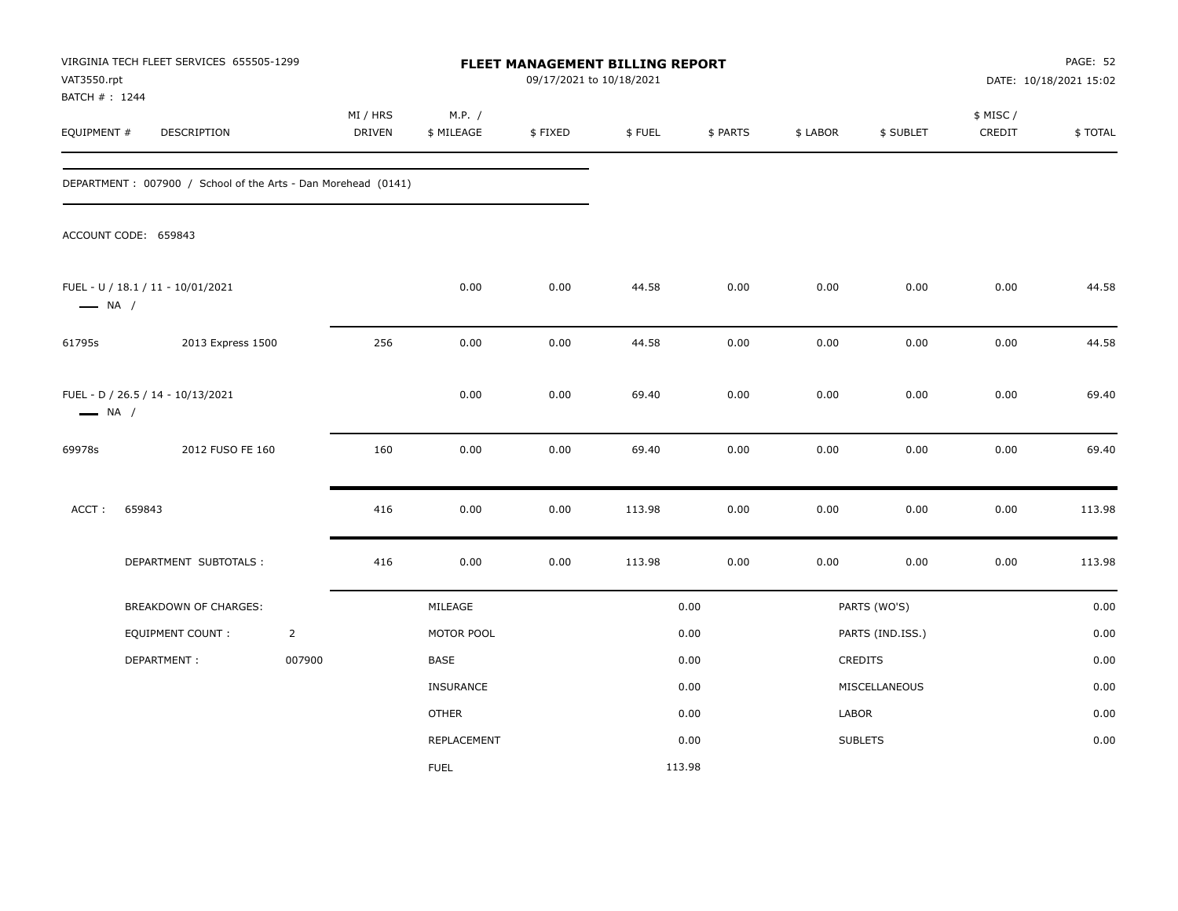| VAT3550.rpt<br>BATCH #: 1244 | VIRGINIA TECH FLEET SERVICES 655505-1299                      |                |                           |                      | FLEET MANAGEMENT BILLING REPORT<br>09/17/2021 to 10/18/2021 |        |          |          |                  |                     | <b>PAGE: 52</b><br>DATE: 10/18/2021 15:02 |
|------------------------------|---------------------------------------------------------------|----------------|---------------------------|----------------------|-------------------------------------------------------------|--------|----------|----------|------------------|---------------------|-------------------------------------------|
| EQUIPMENT #                  | DESCRIPTION                                                   |                | MI / HRS<br><b>DRIVEN</b> | M.P. /<br>\$ MILEAGE | \$FIXED                                                     | \$FUEL | \$ PARTS | \$ LABOR | \$ SUBLET        | \$ MISC /<br>CREDIT | \$TOTAL                                   |
|                              | DEPARTMENT: 007900 / School of the Arts - Dan Morehead (0141) |                |                           |                      |                                                             |        |          |          |                  |                     |                                           |
|                              | ACCOUNT CODE: 659843                                          |                |                           |                      |                                                             |        |          |          |                  |                     |                                           |
| $\longrightarrow$ NA /       | FUEL - U / 18.1 / 11 - 10/01/2021                             |                |                           | 0.00                 | 0.00                                                        | 44.58  | 0.00     | 0.00     | 0.00             | 0.00                | 44.58                                     |
| 61795s                       | 2013 Express 1500                                             |                | 256                       | 0.00                 | 0.00                                                        | 44.58  | 0.00     | 0.00     | 0.00             | 0.00                | 44.58                                     |
| $\longrightarrow$ NA /       | FUEL - D / 26.5 / 14 - 10/13/2021                             |                |                           | 0.00                 | 0.00                                                        | 69.40  | 0.00     | 0.00     | 0.00             | 0.00                | 69.40                                     |
| 69978s                       | 2012 FUSO FE 160                                              |                | 160                       | 0.00                 | 0.00                                                        | 69.40  | 0.00     | 0.00     | 0.00             | 0.00                | 69.40                                     |
| ACCT:                        | 659843                                                        |                | 416                       | 0.00                 | 0.00                                                        | 113.98 | 0.00     | 0.00     | 0.00             | 0.00                | 113.98                                    |
|                              | DEPARTMENT SUBTOTALS :                                        |                | 416                       | 0.00                 | 0.00                                                        | 113.98 | 0.00     | 0.00     | 0.00             | 0.00                | 113.98                                    |
|                              | BREAKDOWN OF CHARGES:                                         |                |                           | MILEAGE              |                                                             |        | 0.00     |          | PARTS (WO'S)     |                     | 0.00                                      |
|                              | EQUIPMENT COUNT :                                             | $\overline{2}$ |                           | MOTOR POOL           |                                                             |        | 0.00     |          | PARTS (IND.ISS.) |                     | 0.00                                      |
|                              | DEPARTMENT:                                                   | 007900         |                           | BASE                 |                                                             |        | 0.00     |          | CREDITS          |                     | 0.00                                      |
|                              |                                                               |                |                           | <b>INSURANCE</b>     |                                                             |        | 0.00     |          | MISCELLANEOUS    |                     | 0.00                                      |
|                              |                                                               |                |                           | <b>OTHER</b>         |                                                             |        | 0.00     | LABOR    |                  |                     | 0.00                                      |
|                              |                                                               |                |                           | REPLACEMENT          |                                                             |        | 0.00     |          | <b>SUBLETS</b>   |                     | 0.00                                      |
|                              |                                                               |                |                           | <b>FUEL</b>          |                                                             | 113.98 |          |          |                  |                     |                                           |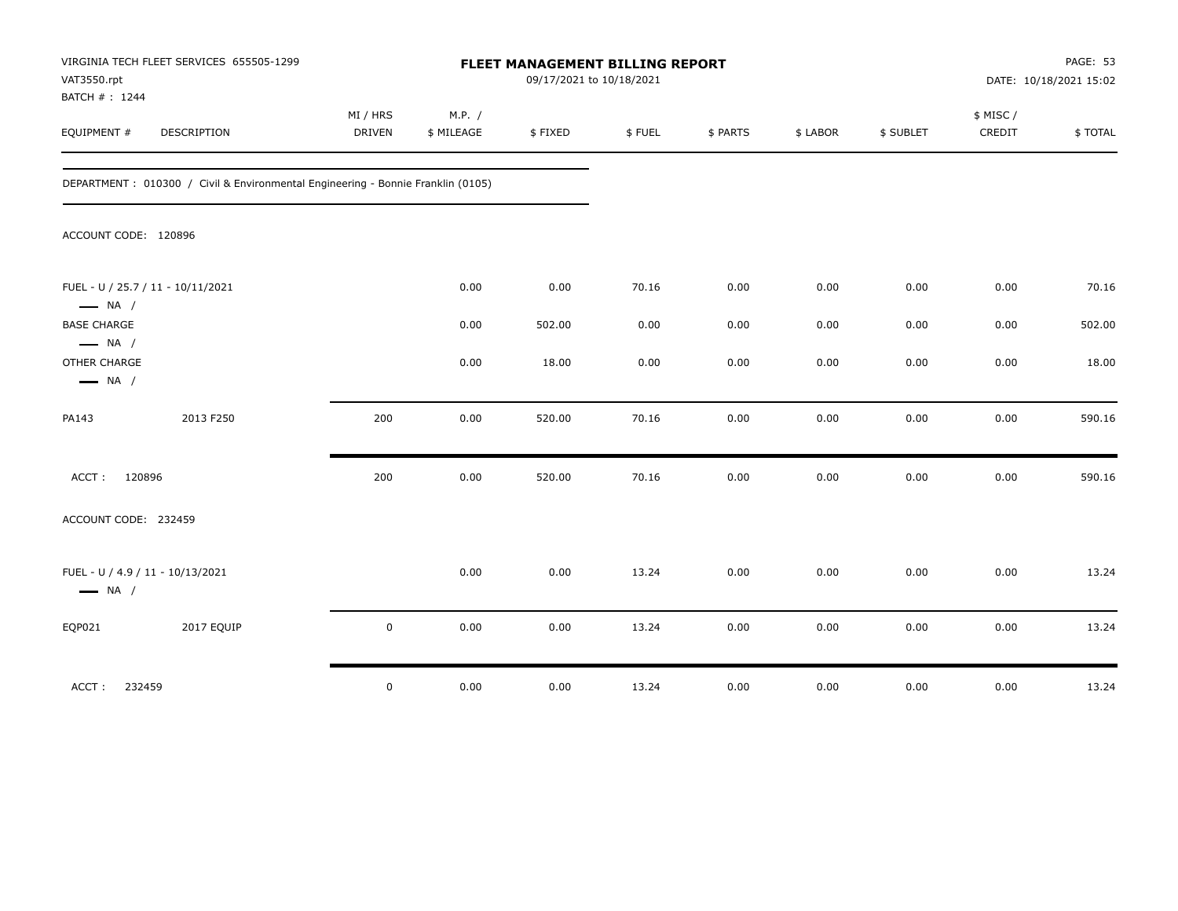| VAT3550.rpt<br>BATCH #: 1244                                     | VIRGINIA TECH FLEET SERVICES 655505-1299                                         |                           |                      | FLEET MANAGEMENT BILLING REPORT<br>09/17/2021 to 10/18/2021 |        |          |          |           |                     | PAGE: 53<br>DATE: 10/18/2021 15:02 |
|------------------------------------------------------------------|----------------------------------------------------------------------------------|---------------------------|----------------------|-------------------------------------------------------------|--------|----------|----------|-----------|---------------------|------------------------------------|
| EQUIPMENT #                                                      | DESCRIPTION                                                                      | MI / HRS<br><b>DRIVEN</b> | M.P. /<br>\$ MILEAGE | \$FIXED                                                     | \$FUEL | \$ PARTS | \$ LABOR | \$ SUBLET | \$ MISC /<br>CREDIT | \$TOTAL                            |
|                                                                  | DEPARTMENT : 010300 / Civil & Environmental Engineering - Bonnie Franklin (0105) |                           |                      |                                                             |        |          |          |           |                     |                                    |
| ACCOUNT CODE: 120896                                             |                                                                                  |                           |                      |                                                             |        |          |          |           |                     |                                    |
| $\longrightarrow$ NA /                                           | FUEL - U / 25.7 / 11 - 10/11/2021                                                |                           | 0.00                 | 0.00                                                        | 70.16  | 0.00     | 0.00     | 0.00      | 0.00                | 70.16                              |
| <b>BASE CHARGE</b>                                               |                                                                                  |                           | 0.00                 | 502.00                                                      | 0.00   | 0.00     | 0.00     | 0.00      | 0.00                | 502.00                             |
| $\longrightarrow$ NA /<br>OTHER CHARGE<br>$\longrightarrow$ NA / |                                                                                  |                           | 0.00                 | 18.00                                                       | 0.00   | 0.00     | 0.00     | 0.00      | 0.00                | 18.00                              |
| PA143                                                            | 2013 F250                                                                        | 200                       | 0.00                 | 520.00                                                      | 70.16  | 0.00     | 0.00     | 0.00      | 0.00                | 590.16                             |
| ACCT:                                                            | 120896                                                                           | 200                       | 0.00                 | 520.00                                                      | 70.16  | 0.00     | 0.00     | 0.00      | 0.00                | 590.16                             |
| ACCOUNT CODE: 232459                                             |                                                                                  |                           |                      |                                                             |        |          |          |           |                     |                                    |
| $\longrightarrow$ NA /                                           | FUEL - U / 4.9 / 11 - 10/13/2021                                                 |                           | 0.00                 | 0.00                                                        | 13.24  | 0.00     | 0.00     | 0.00      | 0.00                | 13.24                              |
| EQP021                                                           | 2017 EQUIP                                                                       | $\pmb{0}$                 | 0.00                 | 0.00                                                        | 13.24  | 0.00     | 0.00     | 0.00      | 0.00                | 13.24                              |
| ACCT:                                                            | 232459                                                                           | $\mathbf 0$               | 0.00                 | 0.00                                                        | 13.24  | 0.00     | 0.00     | 0.00      | 0.00                | 13.24                              |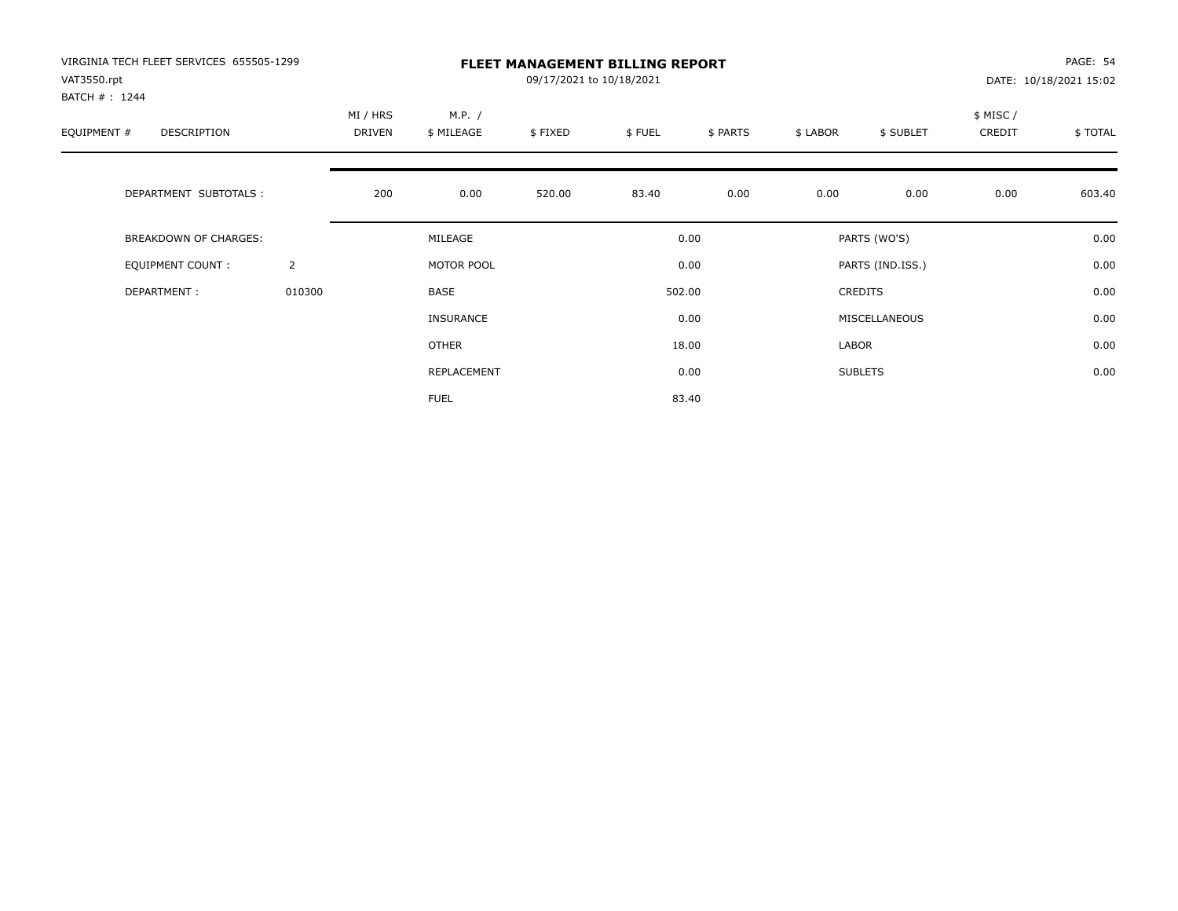| VIRGINIA TECH FLEET SERVICES 655505-1299<br>VAT3550.rpt<br>BATCH #: 1244 |                | <b>FLEET MANAGEMENT BILLING REPORT</b><br>09/17/2021 to 10/18/2021 |                      |         |        |          |          |                  | PAGE: 54<br>DATE: 10/18/2021 15:02 |         |
|--------------------------------------------------------------------------|----------------|--------------------------------------------------------------------|----------------------|---------|--------|----------|----------|------------------|------------------------------------|---------|
| EQUIPMENT #<br><b>DESCRIPTION</b>                                        |                | MI / HRS<br>DRIVEN                                                 | M.P. /<br>\$ MILEAGE | \$FIXED | \$FUEL | \$ PARTS | \$ LABOR | \$ SUBLET        | \$ MISC /<br>CREDIT                | \$TOTAL |
| DEPARTMENT SUBTOTALS :                                                   |                | 200                                                                | 0.00                 | 520.00  | 83.40  | 0.00     | 0.00     | 0.00             | 0.00                               | 603.40  |
| <b>BREAKDOWN OF CHARGES:</b>                                             |                |                                                                    | MILEAGE              |         |        | 0.00     |          | PARTS (WO'S)     |                                    | 0.00    |
| EQUIPMENT COUNT:                                                         | $\overline{2}$ |                                                                    | MOTOR POOL           |         |        | 0.00     |          | PARTS (IND.ISS.) |                                    | 0.00    |
| DEPARTMENT:                                                              | 010300         |                                                                    | <b>BASE</b>          |         |        | 502.00   |          | <b>CREDITS</b>   |                                    | 0.00    |
|                                                                          |                |                                                                    | INSURANCE            |         |        | 0.00     |          | MISCELLANEOUS    |                                    | 0.00    |
|                                                                          |                |                                                                    | <b>OTHER</b>         |         |        | 18.00    | LABOR    |                  |                                    | 0.00    |
|                                                                          |                |                                                                    | REPLACEMENT          |         |        | 0.00     |          | <b>SUBLETS</b>   |                                    | 0.00    |
|                                                                          |                |                                                                    | <b>FUEL</b>          |         |        | 83.40    |          |                  |                                    |         |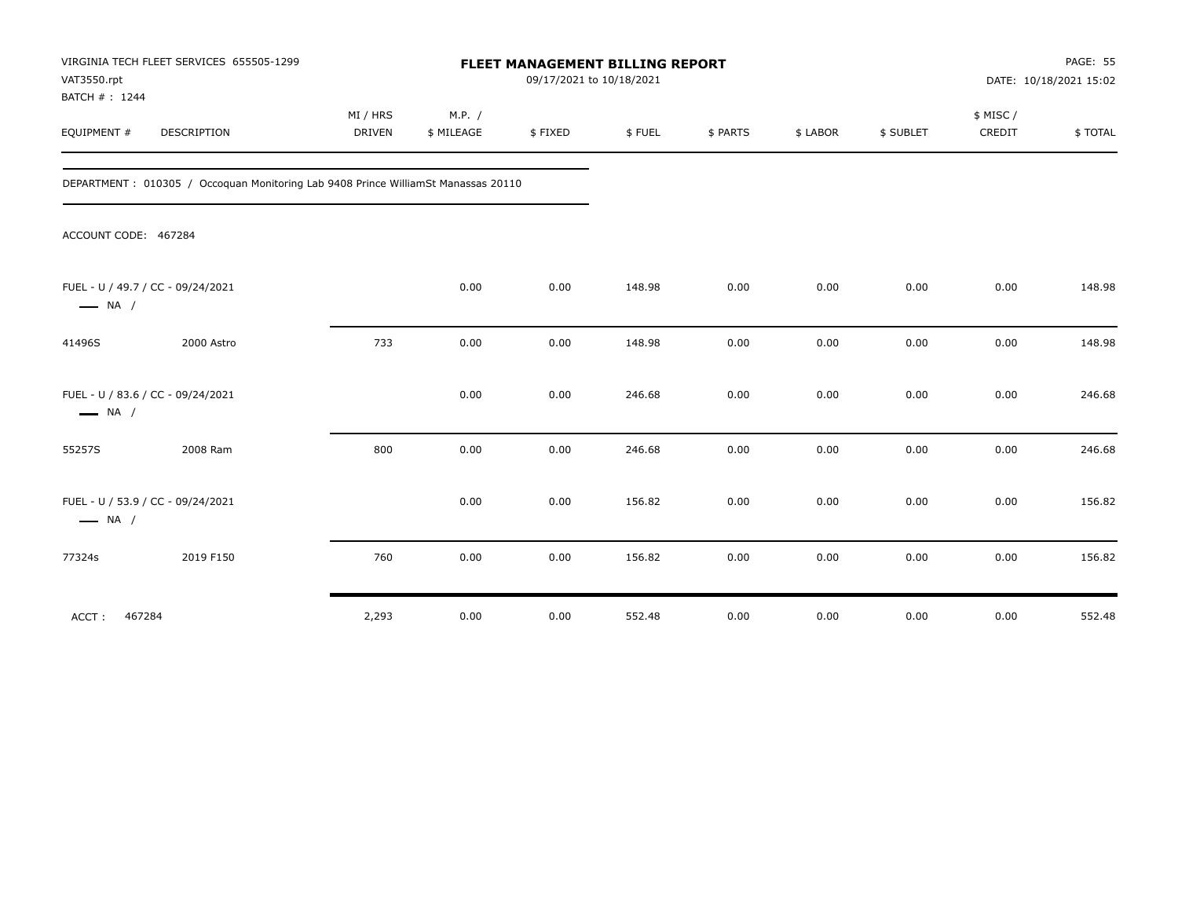| VAT3550.rpt<br>BATCH #: 1244 | VIRGINIA TECH FLEET SERVICES 655505-1299                                          | FLEET MANAGEMENT BILLING REPORT<br>09/17/2021 to 10/18/2021 |                      |         |        |          |          |           | PAGE: 55<br>DATE: 10/18/2021 15:02 |         |
|------------------------------|-----------------------------------------------------------------------------------|-------------------------------------------------------------|----------------------|---------|--------|----------|----------|-----------|------------------------------------|---------|
| EQUIPMENT #                  | DESCRIPTION                                                                       | MI / HRS<br><b>DRIVEN</b>                                   | M.P. /<br>\$ MILEAGE | \$FIXED | \$FUEL | \$ PARTS | \$ LABOR | \$ SUBLET | \$ MISC/<br>CREDIT                 | \$TOTAL |
|                              | DEPARTMENT: 010305 / Occoquan Monitoring Lab 9408 Prince WilliamSt Manassas 20110 |                                                             |                      |         |        |          |          |           |                                    |         |
| ACCOUNT CODE: 467284         |                                                                                   |                                                             |                      |         |        |          |          |           |                                    |         |
| $\longrightarrow$ NA /       | FUEL - U / 49.7 / CC - 09/24/2021                                                 |                                                             | 0.00                 | 0.00    | 148.98 | 0.00     | 0.00     | 0.00      | 0.00                               | 148.98  |
| 41496S                       | 2000 Astro                                                                        | 733                                                         | 0.00                 | 0.00    | 148.98 | 0.00     | 0.00     | 0.00      | 0.00                               | 148.98  |
| $\longrightarrow$ NA /       | FUEL - U / 83.6 / CC - 09/24/2021                                                 |                                                             | 0.00                 | 0.00    | 246.68 | 0.00     | 0.00     | 0.00      | 0.00                               | 246.68  |
| 55257S                       | 2008 Ram                                                                          | 800                                                         | 0.00                 | 0.00    | 246.68 | 0.00     | 0.00     | 0.00      | 0.00                               | 246.68  |
| $\longrightarrow$ NA /       | FUEL - U / 53.9 / CC - 09/24/2021                                                 |                                                             | 0.00                 | 0.00    | 156.82 | 0.00     | 0.00     | 0.00      | 0.00                               | 156.82  |
| 77324s                       | 2019 F150                                                                         | 760                                                         | 0.00                 | 0.00    | 156.82 | 0.00     | 0.00     | 0.00      | 0.00                               | 156.82  |
| ACCT:<br>467284              |                                                                                   | 2,293                                                       | 0.00                 | 0.00    | 552.48 | 0.00     | 0.00     | 0.00      | 0.00                               | 552.48  |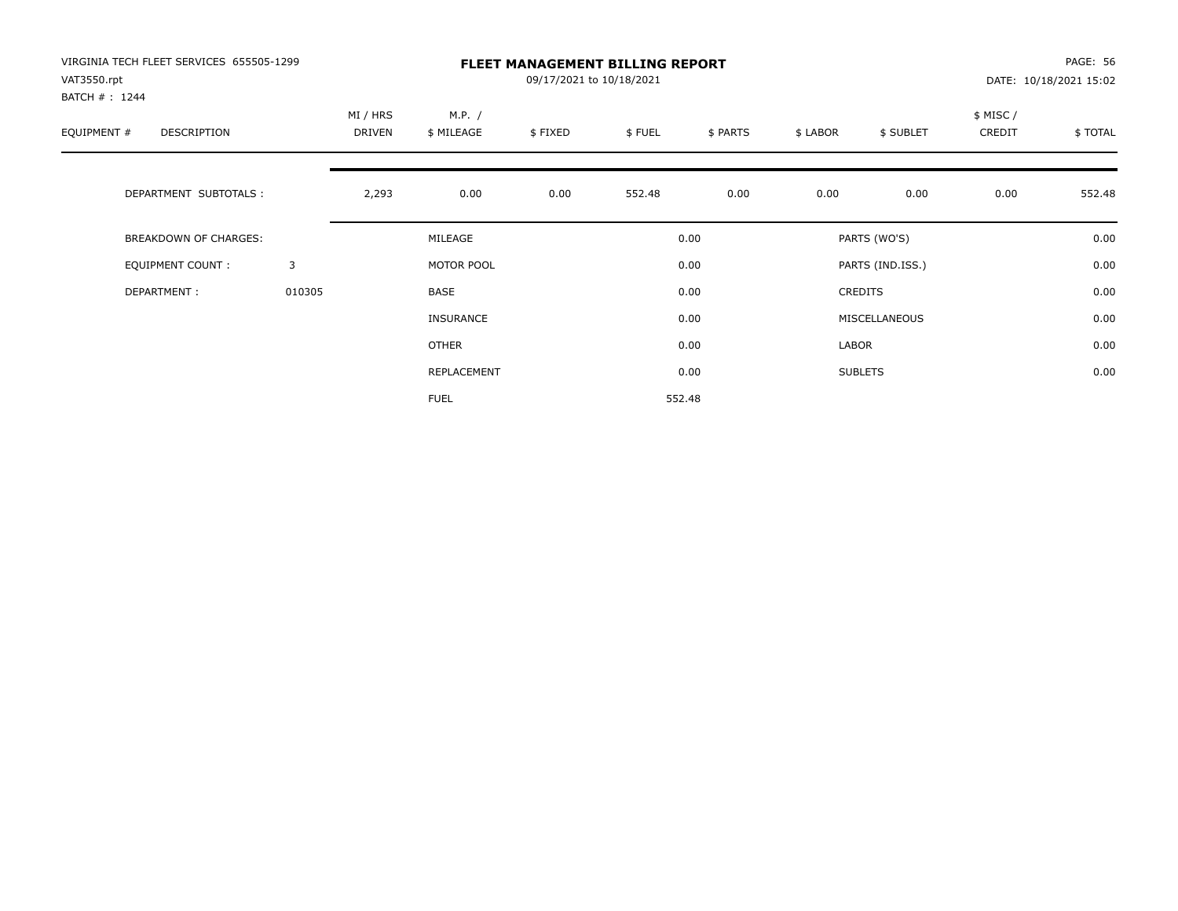| VIRGINIA TECH FLEET SERVICES 655505-1299<br>VAT3550.rpt<br>BATCH #: 1244 |        |                    |                      | 09/17/2021 to 10/18/2021 | <b>FLEET MANAGEMENT BILLING REPORT</b> |          |          |                  |                    | PAGE: 56<br>DATE: 10/18/2021 15:02 |
|--------------------------------------------------------------------------|--------|--------------------|----------------------|--------------------------|----------------------------------------|----------|----------|------------------|--------------------|------------------------------------|
| EQUIPMENT #<br>DESCRIPTION                                               |        | MI / HRS<br>DRIVEN | M.P. /<br>\$ MILEAGE | \$FIXED                  | \$FUEL                                 | \$ PARTS | \$ LABOR | \$ SUBLET        | \$ MISC/<br>CREDIT | \$TOTAL                            |
| DEPARTMENT SUBTOTALS :                                                   |        | 2,293              | 0.00                 | 0.00                     | 552.48                                 | 0.00     | 0.00     | 0.00             | 0.00               | 552.48                             |
| <b>BREAKDOWN OF CHARGES:</b>                                             |        |                    | MILEAGE              |                          |                                        | 0.00     |          | PARTS (WO'S)     |                    | 0.00                               |
| EQUIPMENT COUNT:                                                         | 3      |                    | MOTOR POOL           |                          |                                        | 0.00     |          | PARTS (IND.ISS.) |                    | 0.00                               |
| DEPARTMENT:                                                              | 010305 |                    | BASE                 |                          |                                        | 0.00     |          | <b>CREDITS</b>   |                    | 0.00                               |
|                                                                          |        |                    | <b>INSURANCE</b>     |                          |                                        | 0.00     |          | MISCELLANEOUS    |                    | 0.00                               |
|                                                                          |        |                    | <b>OTHER</b>         |                          |                                        | 0.00     | LABOR    |                  |                    | 0.00                               |
|                                                                          |        |                    | REPLACEMENT          |                          |                                        | 0.00     |          | <b>SUBLETS</b>   |                    | 0.00                               |
|                                                                          |        |                    | <b>FUEL</b>          |                          |                                        | 552.48   |          |                  |                    |                                    |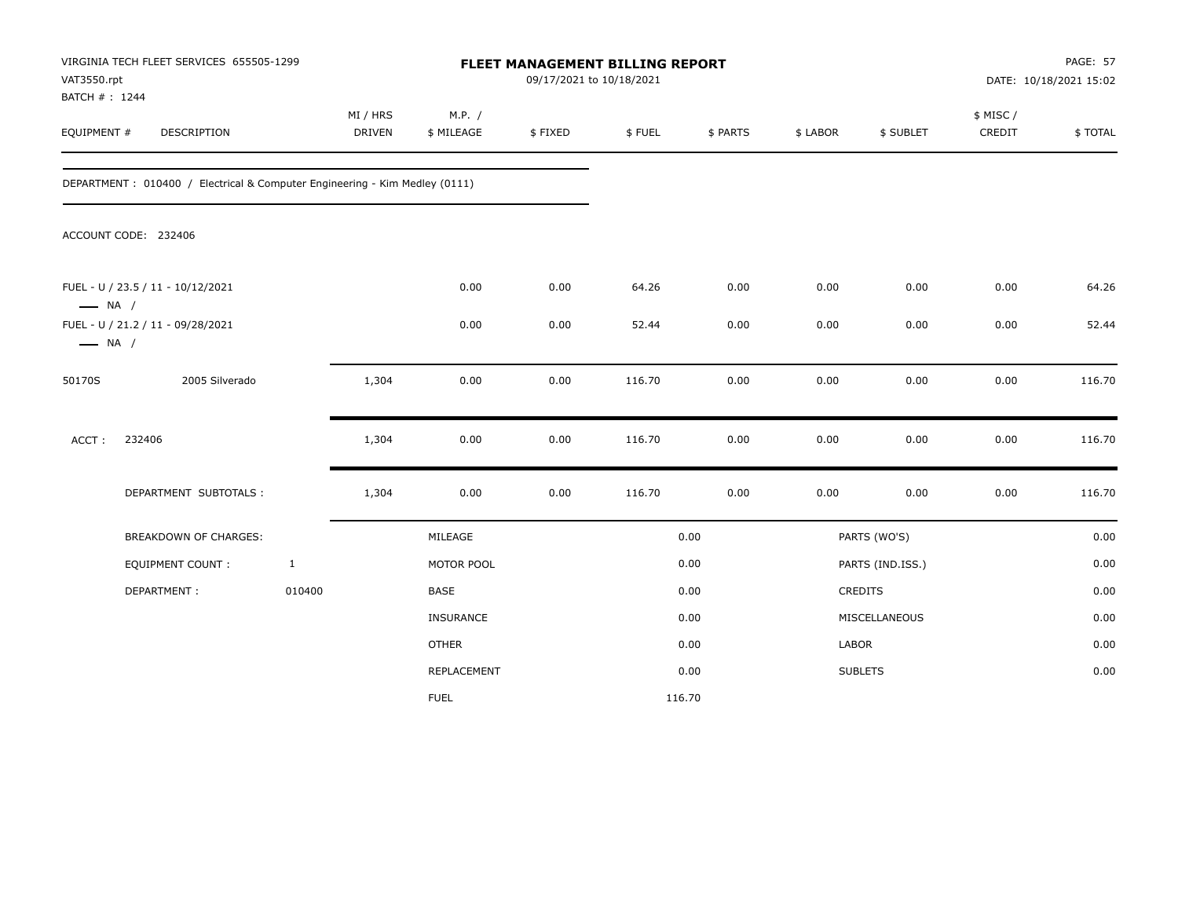| VAT3550.rpt<br>BATCH #: 1244 | VIRGINIA TECH FLEET SERVICES 655505-1299                                    |              |                    |                      | 09/17/2021 to 10/18/2021 | FLEET MANAGEMENT BILLING REPORT |          |          |                  |                    | PAGE: 57<br>DATE: 10/18/2021 15:02 |
|------------------------------|-----------------------------------------------------------------------------|--------------|--------------------|----------------------|--------------------------|---------------------------------|----------|----------|------------------|--------------------|------------------------------------|
| EQUIPMENT #                  | DESCRIPTION                                                                 |              | MI / HRS<br>DRIVEN | M.P. /<br>\$ MILEAGE | \$FIXED                  | \$FUEL                          | \$ PARTS | \$ LABOR | \$ SUBLET        | \$ MISC/<br>CREDIT | \$TOTAL                            |
|                              | DEPARTMENT : 010400 / Electrical & Computer Engineering - Kim Medley (0111) |              |                    |                      |                          |                                 |          |          |                  |                    |                                    |
|                              | ACCOUNT CODE: 232406                                                        |              |                    |                      |                          |                                 |          |          |                  |                    |                                    |
| $\longrightarrow$ NA /       | FUEL - U / 23.5 / 11 - 10/12/2021                                           |              |                    | 0.00                 | 0.00                     | 64.26                           | 0.00     | 0.00     | 0.00             | 0.00               | 64.26                              |
| $\longrightarrow$ NA /       | FUEL - U / 21.2 / 11 - 09/28/2021                                           |              |                    | 0.00                 | 0.00                     | 52.44                           | 0.00     | 0.00     | 0.00             | 0.00               | 52.44                              |
| 50170S                       | 2005 Silverado                                                              |              | 1,304              | 0.00                 | 0.00                     | 116.70                          | 0.00     | 0.00     | 0.00             | 0.00               | 116.70                             |
| ACCT:                        | 232406                                                                      |              | 1,304              | 0.00                 | 0.00                     | 116.70                          | 0.00     | 0.00     | 0.00             | 0.00               | 116.70                             |
|                              | DEPARTMENT SUBTOTALS :                                                      |              | 1,304              | 0.00                 | 0.00                     | 116.70                          | 0.00     | 0.00     | 0.00             | 0.00               | 116.70                             |
|                              | BREAKDOWN OF CHARGES:                                                       |              |                    | MILEAGE              |                          |                                 | 0.00     |          | PARTS (WO'S)     |                    | 0.00                               |
|                              | <b>EQUIPMENT COUNT:</b>                                                     | $\mathbf{1}$ |                    | MOTOR POOL           |                          |                                 | 0.00     |          | PARTS (IND.ISS.) |                    | 0.00                               |
|                              | DEPARTMENT:                                                                 | 010400       |                    | BASE                 |                          |                                 | 0.00     |          | CREDITS          |                    | 0.00                               |
|                              |                                                                             |              |                    | <b>INSURANCE</b>     |                          |                                 | 0.00     |          | MISCELLANEOUS    |                    | 0.00                               |
|                              |                                                                             |              |                    | <b>OTHER</b>         |                          |                                 | 0.00     | LABOR    |                  |                    | 0.00                               |
|                              |                                                                             |              |                    | REPLACEMENT          |                          |                                 | 0.00     |          | <b>SUBLETS</b>   |                    | 0.00                               |
|                              |                                                                             |              |                    | <b>FUEL</b>          |                          |                                 | 116.70   |          |                  |                    |                                    |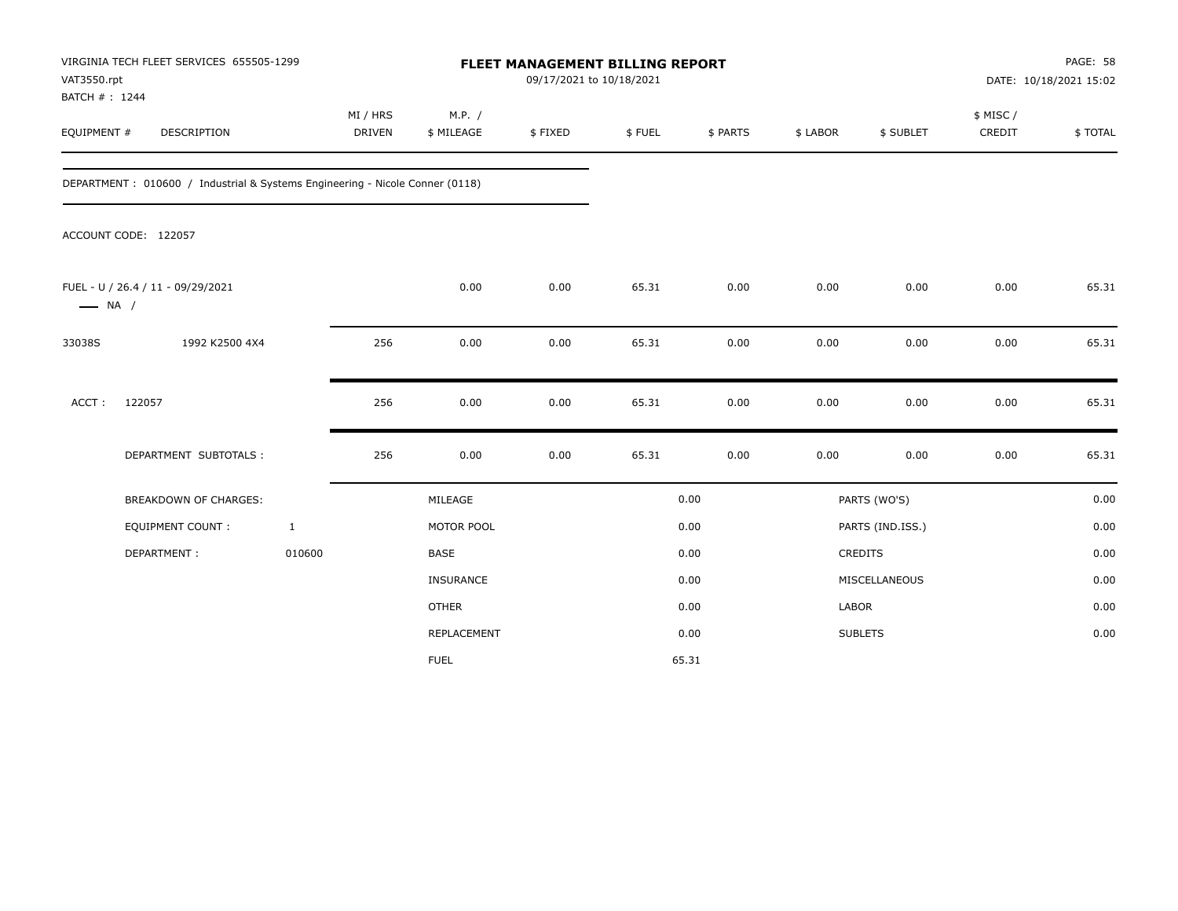| VAT3550.rpt<br>BATCH #: 1244 | VIRGINIA TECH FLEET SERVICES 655505-1299                                     |                           |                      | FLEET MANAGEMENT BILLING REPORT<br>09/17/2021 to 10/18/2021 |        |          |          |                  |                     | PAGE: 58<br>DATE: 10/18/2021 15:02 |
|------------------------------|------------------------------------------------------------------------------|---------------------------|----------------------|-------------------------------------------------------------|--------|----------|----------|------------------|---------------------|------------------------------------|
| EQUIPMENT #                  | DESCRIPTION                                                                  | MI / HRS<br><b>DRIVEN</b> | M.P. /<br>\$ MILEAGE | \$FIXED                                                     | \$FUEL | \$ PARTS | \$ LABOR | \$ SUBLET        | \$ MISC /<br>CREDIT | \$TOTAL                            |
|                              | DEPARTMENT: 010600 / Industrial & Systems Engineering - Nicole Conner (0118) |                           |                      |                                                             |        |          |          |                  |                     |                                    |
|                              | ACCOUNT CODE: 122057                                                         |                           |                      |                                                             |        |          |          |                  |                     |                                    |
| $\longrightarrow$ NA /       | FUEL - U / 26.4 / 11 - 09/29/2021                                            |                           | 0.00                 | 0.00                                                        | 65.31  | 0.00     | 0.00     | 0.00             | 0.00                | 65.31                              |
| 33038S                       | 1992 K2500 4X4                                                               | 256                       | 0.00                 | 0.00                                                        | 65.31  | 0.00     | 0.00     | 0.00             | 0.00                | 65.31                              |
| ACCT:                        | 122057                                                                       | 256                       | 0.00                 | 0.00                                                        | 65.31  | 0.00     | 0.00     | 0.00             | 0.00                | 65.31                              |
|                              | DEPARTMENT SUBTOTALS :                                                       | 256                       | 0.00                 | 0.00                                                        | 65.31  | 0.00     | 0.00     | 0.00             | 0.00                | 65.31                              |
|                              | <b>BREAKDOWN OF CHARGES:</b>                                                 |                           | MILEAGE              |                                                             |        | 0.00     |          | PARTS (WO'S)     |                     | 0.00                               |
|                              | <b>EQUIPMENT COUNT:</b>                                                      | $\mathbf{1}$              | MOTOR POOL           |                                                             |        | 0.00     |          | PARTS (IND.ISS.) |                     | 0.00                               |
|                              | DEPARTMENT:                                                                  | 010600                    | BASE                 |                                                             |        | 0.00     |          | <b>CREDITS</b>   |                     | 0.00                               |
|                              |                                                                              |                           | INSURANCE            |                                                             |        | 0.00     |          | MISCELLANEOUS    |                     | 0.00                               |
|                              |                                                                              |                           | <b>OTHER</b>         |                                                             |        | 0.00     | LABOR    |                  |                     | 0.00                               |
|                              |                                                                              |                           | REPLACEMENT          |                                                             |        | 0.00     |          | <b>SUBLETS</b>   |                     | 0.00                               |
|                              |                                                                              |                           | <b>FUEL</b>          |                                                             |        | 65.31    |          |                  |                     |                                    |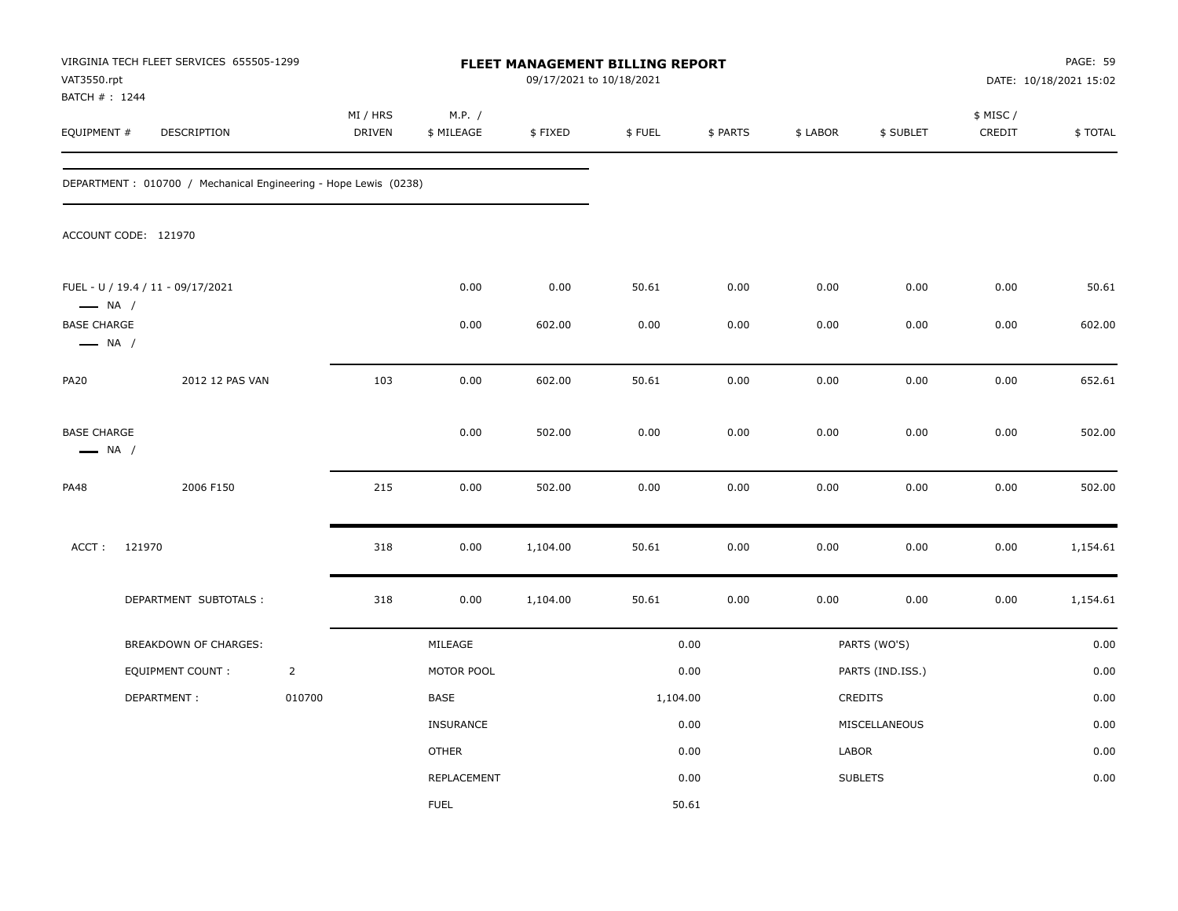| VAT3550.rpt                                  | VIRGINIA TECH FLEET SERVICES 655505-1299                        |                |                    |                      | <b>FLEET MANAGEMENT BILLING REPORT</b><br>09/17/2021 to 10/18/2021 |          |          |          |                  |                     | PAGE: 59<br>DATE: 10/18/2021 15:02 |
|----------------------------------------------|-----------------------------------------------------------------|----------------|--------------------|----------------------|--------------------------------------------------------------------|----------|----------|----------|------------------|---------------------|------------------------------------|
| BATCH # : 1244<br>EQUIPMENT #                | DESCRIPTION                                                     |                | MI / HRS<br>DRIVEN | M.P. /<br>\$ MILEAGE | \$FIXED                                                            | \$FUEL   | \$ PARTS | \$ LABOR | \$ SUBLET        | \$ MISC /<br>CREDIT | \$TOTAL                            |
|                                              | DEPARTMENT: 010700 / Mechanical Engineering - Hope Lewis (0238) |                |                    |                      |                                                                    |          |          |          |                  |                     |                                    |
|                                              | ACCOUNT CODE: 121970                                            |                |                    |                      |                                                                    |          |          |          |                  |                     |                                    |
| $\longrightarrow$ NA /                       | FUEL - U / 19.4 / 11 - 09/17/2021                               |                |                    | 0.00                 | 0.00                                                               | 50.61    | 0.00     | 0.00     | 0.00             | 0.00                | 50.61                              |
| <b>BASE CHARGE</b><br>$\longrightarrow$ NA / |                                                                 |                |                    | 0.00                 | 602.00                                                             | 0.00     | 0.00     | 0.00     | 0.00             | 0.00                | 602.00                             |
| <b>PA20</b>                                  | 2012 12 PAS VAN                                                 |                | 103                | 0.00                 | 602.00                                                             | 50.61    | 0.00     | 0.00     | 0.00             | 0.00                | 652.61                             |
| <b>BASE CHARGE</b><br>$\longrightarrow$ NA / |                                                                 |                |                    | 0.00                 | 502.00                                                             | 0.00     | 0.00     | 0.00     | 0.00             | 0.00                | 502.00                             |
| <b>PA48</b>                                  | 2006 F150                                                       |                | 215                | 0.00                 | 502.00                                                             | 0.00     | 0.00     | 0.00     | 0.00             | 0.00                | 502.00                             |
| ACCT:                                        | 121970                                                          |                | 318                | 0.00                 | 1,104.00                                                           | 50.61    | 0.00     | 0.00     | 0.00             | 0.00                | 1,154.61                           |
|                                              | DEPARTMENT SUBTOTALS :                                          |                | 318                | 0.00                 | 1,104.00                                                           | 50.61    | 0.00     | 0.00     | 0.00             | 0.00                | 1,154.61                           |
|                                              | BREAKDOWN OF CHARGES:                                           |                |                    | MILEAGE              |                                                                    |          | 0.00     |          | PARTS (WO'S)     |                     | 0.00                               |
|                                              | <b>EQUIPMENT COUNT:</b>                                         | $\overline{2}$ |                    | MOTOR POOL           |                                                                    |          | 0.00     |          | PARTS (IND.ISS.) |                     | 0.00                               |
|                                              | DEPARTMENT:                                                     | 010700         |                    | BASE                 |                                                                    | 1,104.00 |          |          | CREDITS          |                     | 0.00                               |
|                                              |                                                                 |                |                    | INSURANCE            |                                                                    |          | 0.00     |          | MISCELLANEOUS    |                     | 0.00                               |
|                                              |                                                                 |                |                    | <b>OTHER</b>         |                                                                    |          | 0.00     | LABOR    |                  |                     | 0.00                               |
|                                              |                                                                 |                |                    | REPLACEMENT          |                                                                    |          | 0.00     |          | <b>SUBLETS</b>   |                     | 0.00                               |
|                                              |                                                                 |                |                    | <b>FUEL</b>          |                                                                    |          | 50.61    |          |                  |                     |                                    |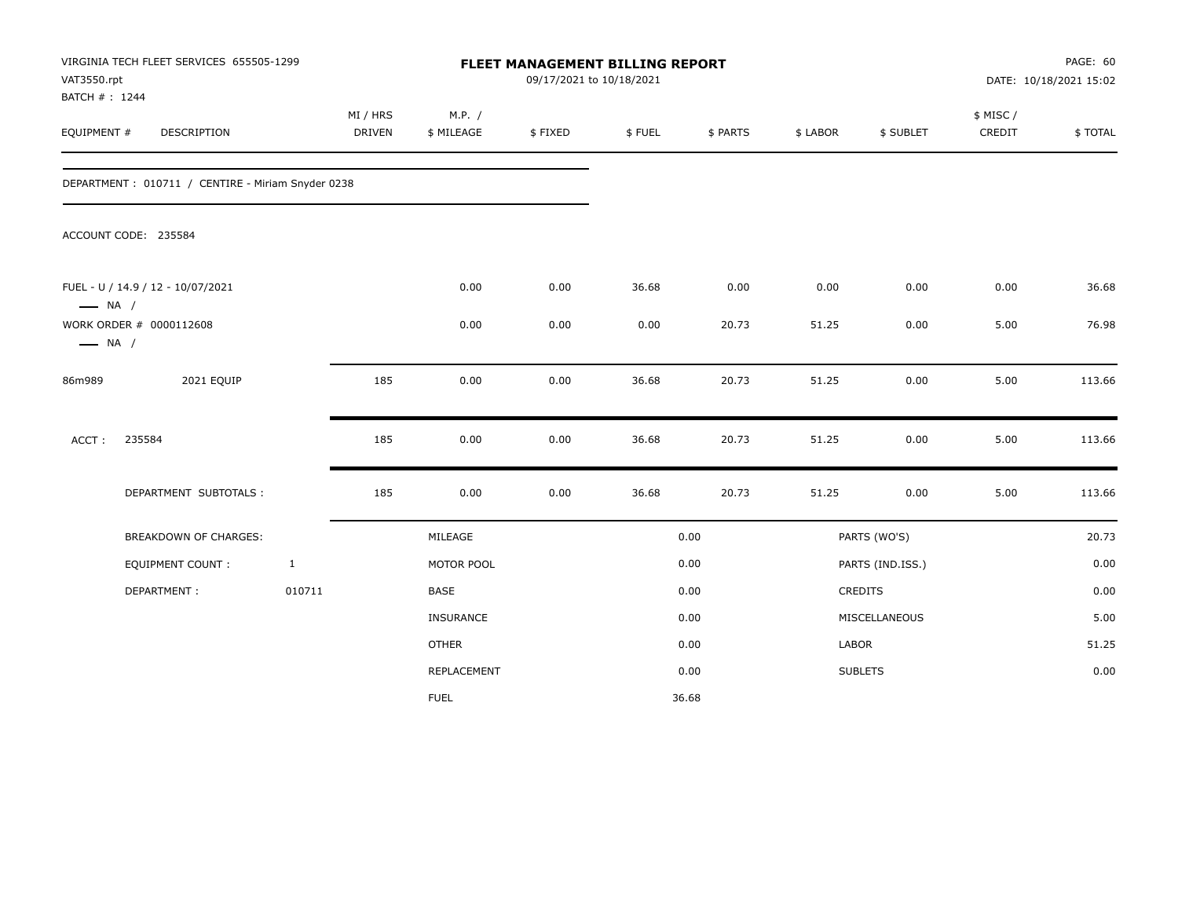| VAT3550.rpt<br>BATCH #: 1244 | VIRGINIA TECH FLEET SERVICES 655505-1299           |              |                           |                      | FLEET MANAGEMENT BILLING REPORT<br>09/17/2021 to 10/18/2021 |        |          |          |                  |                    | PAGE: 60<br>DATE: 10/18/2021 15:02 |
|------------------------------|----------------------------------------------------|--------------|---------------------------|----------------------|-------------------------------------------------------------|--------|----------|----------|------------------|--------------------|------------------------------------|
| EQUIPMENT #                  | <b>DESCRIPTION</b>                                 |              | MI / HRS<br><b>DRIVEN</b> | M.P. /<br>\$ MILEAGE | \$FIXED                                                     | \$FUEL | \$ PARTS | \$ LABOR | \$ SUBLET        | \$ MISC/<br>CREDIT | \$TOTAL                            |
|                              | DEPARTMENT : 010711 / CENTIRE - Miriam Snyder 0238 |              |                           |                      |                                                             |        |          |          |                  |                    |                                    |
|                              | ACCOUNT CODE: 235584                               |              |                           |                      |                                                             |        |          |          |                  |                    |                                    |
| $\longrightarrow$ NA /       | FUEL - U / 14.9 / 12 - 10/07/2021                  |              |                           | 0.00                 | 0.00                                                        | 36.68  | 0.00     | 0.00     | 0.00             | 0.00               | 36.68                              |
| $\longrightarrow$ NA /       | WORK ORDER # 0000112608                            |              |                           | 0.00                 | 0.00                                                        | 0.00   | 20.73    | 51.25    | 0.00             | 5.00               | 76.98                              |
| 86m989                       | 2021 EQUIP                                         |              | 185                       | 0.00                 | 0.00                                                        | 36.68  | 20.73    | 51.25    | 0.00             | 5.00               | 113.66                             |
| ACCT:                        | 235584                                             |              | 185                       | 0.00                 | 0.00                                                        | 36.68  | 20.73    | 51.25    | 0.00             | 5.00               | 113.66                             |
|                              | DEPARTMENT SUBTOTALS :                             |              | 185                       | 0.00                 | 0.00                                                        | 36.68  | 20.73    | 51.25    | 0.00             | 5.00               | 113.66                             |
|                              | <b>BREAKDOWN OF CHARGES:</b>                       |              |                           | MILEAGE              |                                                             |        | 0.00     |          | PARTS (WO'S)     |                    | 20.73                              |
|                              | EQUIPMENT COUNT :                                  | $\mathbf{1}$ |                           | MOTOR POOL           |                                                             |        | 0.00     |          | PARTS (IND.ISS.) |                    | 0.00                               |
|                              | DEPARTMENT:                                        | 010711       |                           | BASE                 |                                                             |        | 0.00     |          | <b>CREDITS</b>   |                    | 0.00                               |
|                              |                                                    |              |                           | INSURANCE            |                                                             |        | 0.00     |          | MISCELLANEOUS    |                    | 5.00                               |
|                              |                                                    |              |                           | <b>OTHER</b>         |                                                             |        | 0.00     | LABOR    |                  |                    | 51.25                              |
|                              |                                                    |              |                           | REPLACEMENT          |                                                             |        | 0.00     |          | <b>SUBLETS</b>   |                    | 0.00                               |
|                              |                                                    |              |                           | <b>FUEL</b>          |                                                             |        | 36.68    |          |                  |                    |                                    |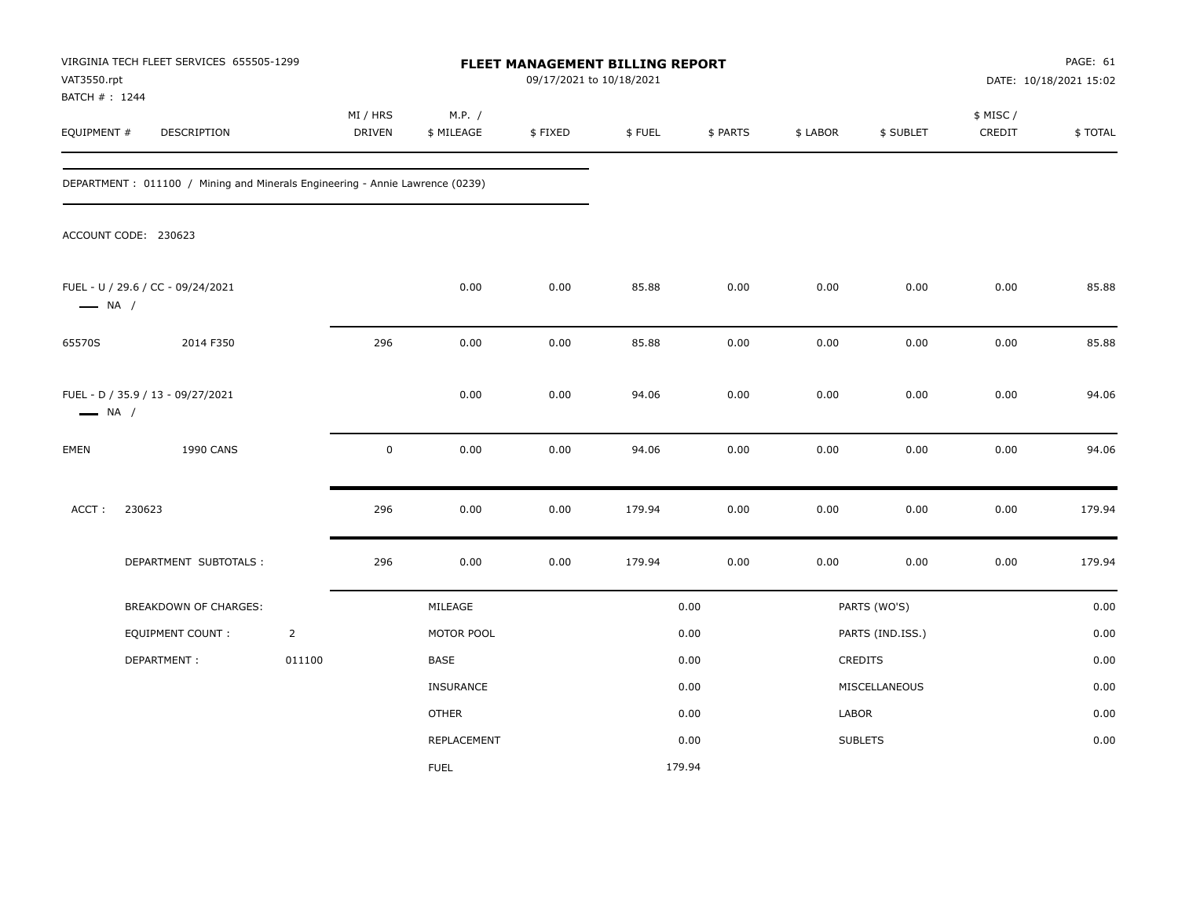| VAT3550.rpt<br>BATCH #: 1244 | VIRGINIA TECH FLEET SERVICES 655505-1299                                     |                |                    |                      |         | FLEET MANAGEMENT BILLING REPORT<br>09/17/2021 to 10/18/2021 |          |          |                  | PAGE: 61<br>DATE: 10/18/2021 15:02 |         |
|------------------------------|------------------------------------------------------------------------------|----------------|--------------------|----------------------|---------|-------------------------------------------------------------|----------|----------|------------------|------------------------------------|---------|
| EQUIPMENT #                  | DESCRIPTION                                                                  |                | MI / HRS<br>DRIVEN | M.P. /<br>\$ MILEAGE | \$FIXED | \$FUEL                                                      | \$ PARTS | \$ LABOR | \$ SUBLET        | \$ MISC /<br>CREDIT                | \$TOTAL |
|                              | DEPARTMENT: 011100 / Mining and Minerals Engineering - Annie Lawrence (0239) |                |                    |                      |         |                                                             |          |          |                  |                                    |         |
|                              | ACCOUNT CODE: 230623                                                         |                |                    |                      |         |                                                             |          |          |                  |                                    |         |
| $\longrightarrow$ NA /       | FUEL - U / 29.6 / CC - 09/24/2021                                            |                |                    | 0.00                 | 0.00    | 85.88                                                       | 0.00     | 0.00     | 0.00             | 0.00                               | 85.88   |
| 65570S                       | 2014 F350                                                                    |                | 296                | 0.00                 | 0.00    | 85.88                                                       | 0.00     | 0.00     | 0.00             | 0.00                               | 85.88   |
| $\longrightarrow$ NA /       | FUEL - D / 35.9 / 13 - 09/27/2021                                            |                |                    | 0.00                 | 0.00    | 94.06                                                       | 0.00     | 0.00     | 0.00             | 0.00                               | 94.06   |
| EMEN                         | 1990 CANS                                                                    |                | $\mathsf 0$        | 0.00                 | 0.00    | 94.06                                                       | 0.00     | 0.00     | 0.00             | 0.00                               | 94.06   |
| ACCT:                        | 230623                                                                       |                | 296                | 0.00                 | 0.00    | 179.94                                                      | 0.00     | 0.00     | 0.00             | 0.00                               | 179.94  |
|                              | DEPARTMENT SUBTOTALS :                                                       |                | 296                | 0.00                 | 0.00    | 179.94                                                      | 0.00     | 0.00     | 0.00             | 0.00                               | 179.94  |
|                              | <b>BREAKDOWN OF CHARGES:</b>                                                 |                |                    | MILEAGE              |         |                                                             | 0.00     |          | PARTS (WO'S)     |                                    | 0.00    |
|                              | <b>EQUIPMENT COUNT:</b>                                                      | $\overline{2}$ |                    | MOTOR POOL           |         |                                                             | 0.00     |          | PARTS (IND.ISS.) |                                    | 0.00    |
|                              | DEPARTMENT:                                                                  | 011100         |                    | BASE                 |         |                                                             | 0.00     |          | CREDITS          |                                    | 0.00    |
|                              |                                                                              |                |                    | INSURANCE            |         |                                                             | 0.00     |          | MISCELLANEOUS    |                                    | 0.00    |
|                              |                                                                              |                |                    | <b>OTHER</b>         |         |                                                             | 0.00     | LABOR    |                  |                                    | 0.00    |
|                              |                                                                              |                |                    | REPLACEMENT          |         |                                                             | 0.00     |          | <b>SUBLETS</b>   |                                    | 0.00    |
|                              |                                                                              |                |                    | <b>FUEL</b>          |         | 179.94                                                      |          |          |                  |                                    |         |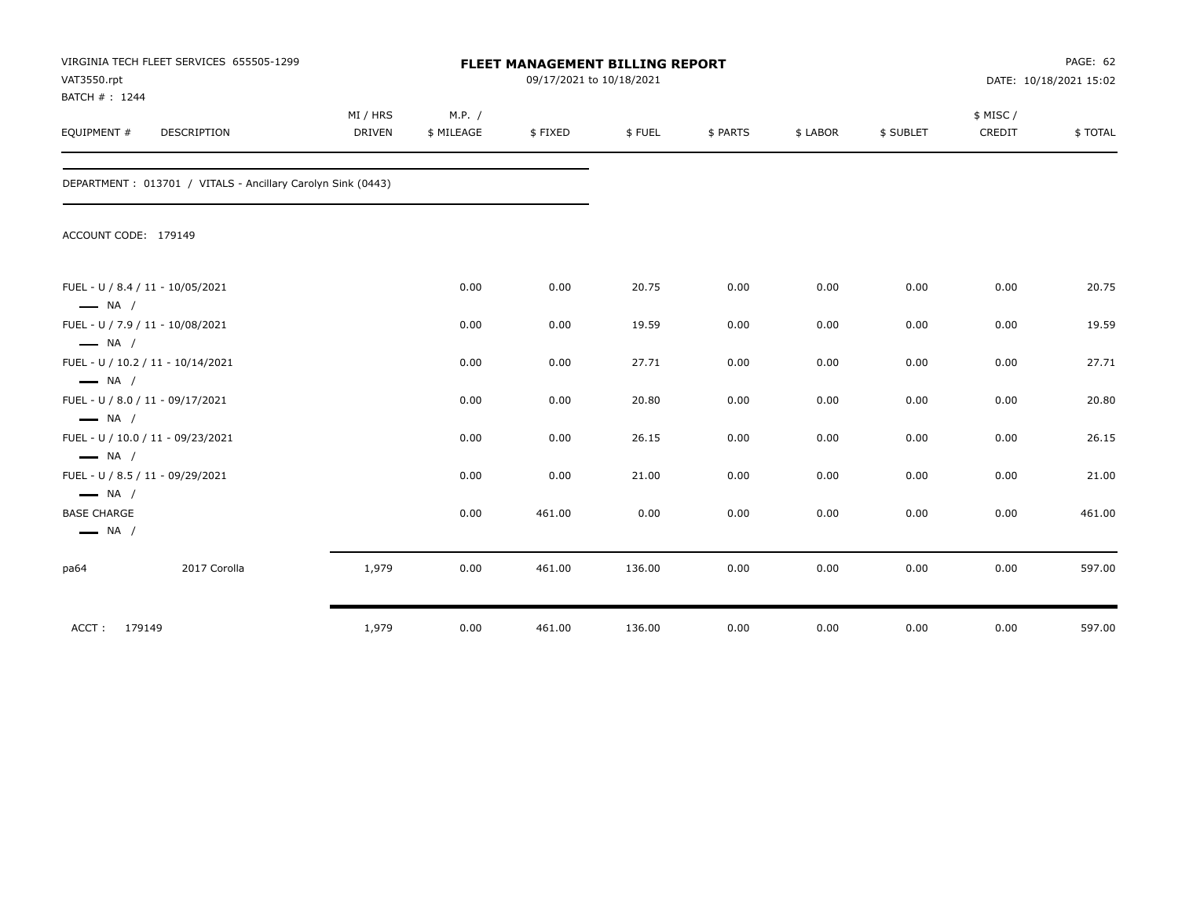| VAT3550.rpt<br>BATCH #: 1244                                           | VIRGINIA TECH FLEET SERVICES 655505-1299                    | <b>FLEET MANAGEMENT BILLING REPORT</b><br>09/17/2021 to 10/18/2021 |                      |         |        |          |          | PAGE: 62<br>DATE: 10/18/2021 15:02 |                    |         |
|------------------------------------------------------------------------|-------------------------------------------------------------|--------------------------------------------------------------------|----------------------|---------|--------|----------|----------|------------------------------------|--------------------|---------|
| EQUIPMENT #                                                            | DESCRIPTION                                                 | MI / HRS<br><b>DRIVEN</b>                                          | M.P. /<br>\$ MILEAGE | \$FIXED | \$FUEL | \$ PARTS | \$ LABOR | \$ SUBLET                          | \$ MISC/<br>CREDIT | \$TOTAL |
|                                                                        | DEPARTMENT: 013701 / VITALS - Ancillary Carolyn Sink (0443) |                                                                    |                      |         |        |          |          |                                    |                    |         |
| ACCOUNT CODE: 179149                                                   |                                                             |                                                                    |                      |         |        |          |          |                                    |                    |         |
| $\longrightarrow$ NA /                                                 | FUEL - U / 8.4 / 11 - 10/05/2021                            |                                                                    | 0.00                 | 0.00    | 20.75  | 0.00     | 0.00     | 0.00                               | 0.00               | 20.75   |
| $\longrightarrow$ NA /                                                 | FUEL - U / 7.9 / 11 - 10/08/2021                            |                                                                    | 0.00                 | 0.00    | 19.59  | 0.00     | 0.00     | 0.00                               | 0.00               | 19.59   |
| $\longrightarrow$ NA /                                                 | FUEL - U / 10.2 / 11 - 10/14/2021                           |                                                                    | 0.00                 | 0.00    | 27.71  | 0.00     | 0.00     | 0.00                               | 0.00               | 27.71   |
| $\longrightarrow$ NA /                                                 | FUEL - U / 8.0 / 11 - 09/17/2021                            |                                                                    | 0.00                 | 0.00    | 20.80  | 0.00     | 0.00     | 0.00                               | 0.00               | 20.80   |
|                                                                        | FUEL - U / 10.0 / 11 - 09/23/2021                           |                                                                    | 0.00                 | 0.00    | 26.15  | 0.00     | 0.00     | 0.00                               | 0.00               | 26.15   |
| $\longrightarrow$ NA /                                                 | FUEL - U / 8.5 / 11 - 09/29/2021                            |                                                                    | 0.00                 | 0.00    | 21.00  | 0.00     | 0.00     | 0.00                               | 0.00               | 21.00   |
| $\longrightarrow$ NA /<br><b>BASE CHARGE</b><br>$\longrightarrow$ NA / |                                                             |                                                                    | 0.00                 | 461.00  | 0.00   | 0.00     | 0.00     | 0.00                               | 0.00               | 461.00  |
| pa64                                                                   | 2017 Corolla                                                | 1,979                                                              | 0.00                 | 461.00  | 136.00 | 0.00     | 0.00     | 0.00                               | 0.00               | 597.00  |
| ACCT:<br>179149                                                        |                                                             | 1,979                                                              | 0.00                 | 461.00  | 136.00 | 0.00     | 0.00     | 0.00                               | 0.00               | 597.00  |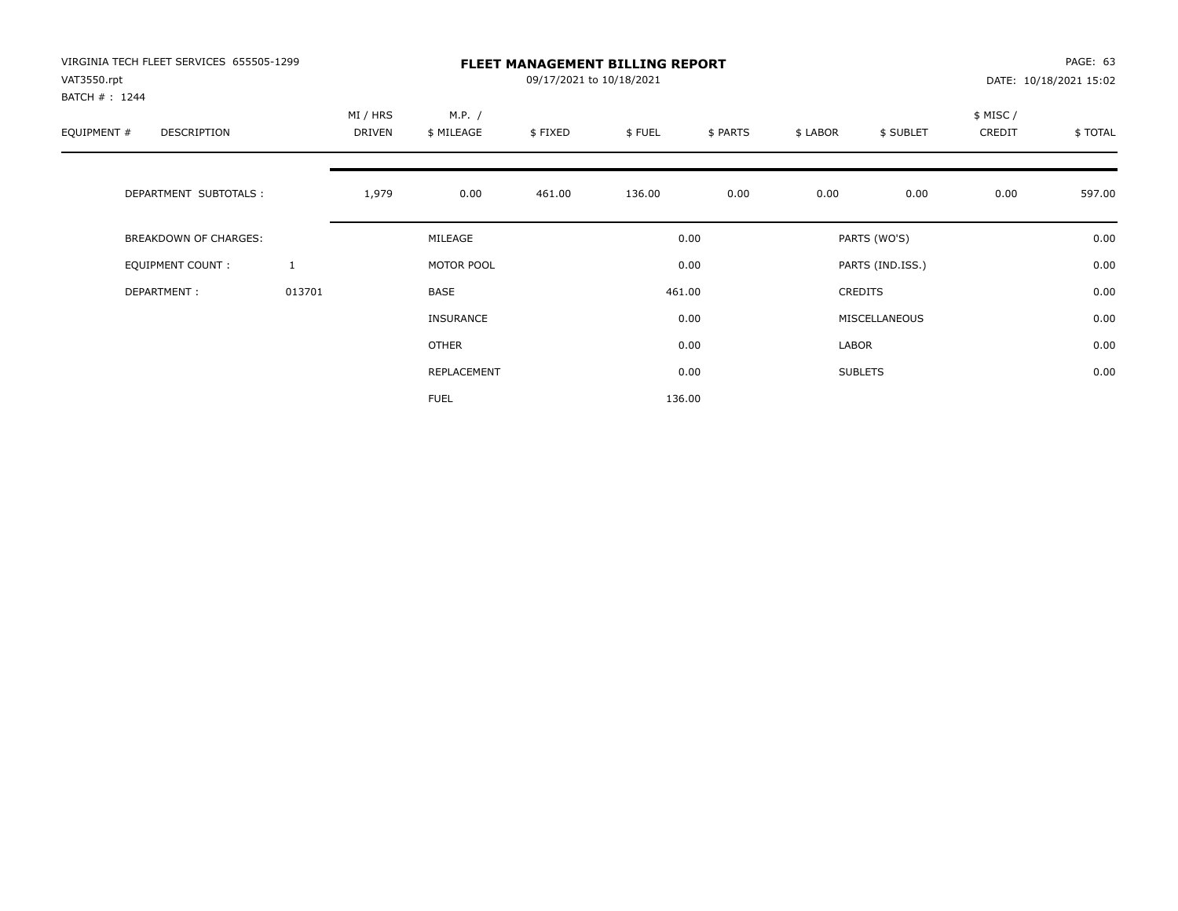| VIRGINIA TECH FLEET SERVICES 655505-1299<br>VAT3550.rpt<br>BATCH #: 1244 |              | <b>FLEET MANAGEMENT BILLING REPORT</b><br>09/17/2021 to 10/18/2021 |                      |         |        |          |          |                  |                    | PAGE: 63<br>DATE: 10/18/2021 15:02 |  |
|--------------------------------------------------------------------------|--------------|--------------------------------------------------------------------|----------------------|---------|--------|----------|----------|------------------|--------------------|------------------------------------|--|
| EQUIPMENT #<br>DESCRIPTION                                               |              | MI / HRS<br>DRIVEN                                                 | M.P. /<br>\$ MILEAGE | \$FIXED | \$FUEL | \$ PARTS | \$ LABOR | \$ SUBLET        | \$ MISC/<br>CREDIT | \$TOTAL                            |  |
| DEPARTMENT SUBTOTALS :                                                   |              | 1,979                                                              | 0.00                 | 461.00  | 136.00 | 0.00     | 0.00     | 0.00             | 0.00               | 597.00                             |  |
| <b>BREAKDOWN OF CHARGES:</b>                                             |              |                                                                    | MILEAGE              |         |        | 0.00     |          | PARTS (WO'S)     |                    | 0.00                               |  |
| EQUIPMENT COUNT:                                                         | $\mathbf{1}$ |                                                                    | MOTOR POOL           |         |        | 0.00     |          | PARTS (IND.ISS.) |                    | 0.00                               |  |
| DEPARTMENT:                                                              | 013701       |                                                                    | <b>BASE</b>          |         |        | 461.00   |          | <b>CREDITS</b>   |                    | 0.00                               |  |
|                                                                          |              |                                                                    | <b>INSURANCE</b>     |         |        | 0.00     |          | MISCELLANEOUS    |                    | 0.00                               |  |
|                                                                          |              |                                                                    | <b>OTHER</b>         |         |        | 0.00     | LABOR    |                  |                    | 0.00                               |  |
|                                                                          |              |                                                                    | REPLACEMENT          |         |        | 0.00     |          | <b>SUBLETS</b>   |                    | 0.00                               |  |
|                                                                          |              |                                                                    | <b>FUEL</b>          |         |        | 136.00   |          |                  |                    |                                    |  |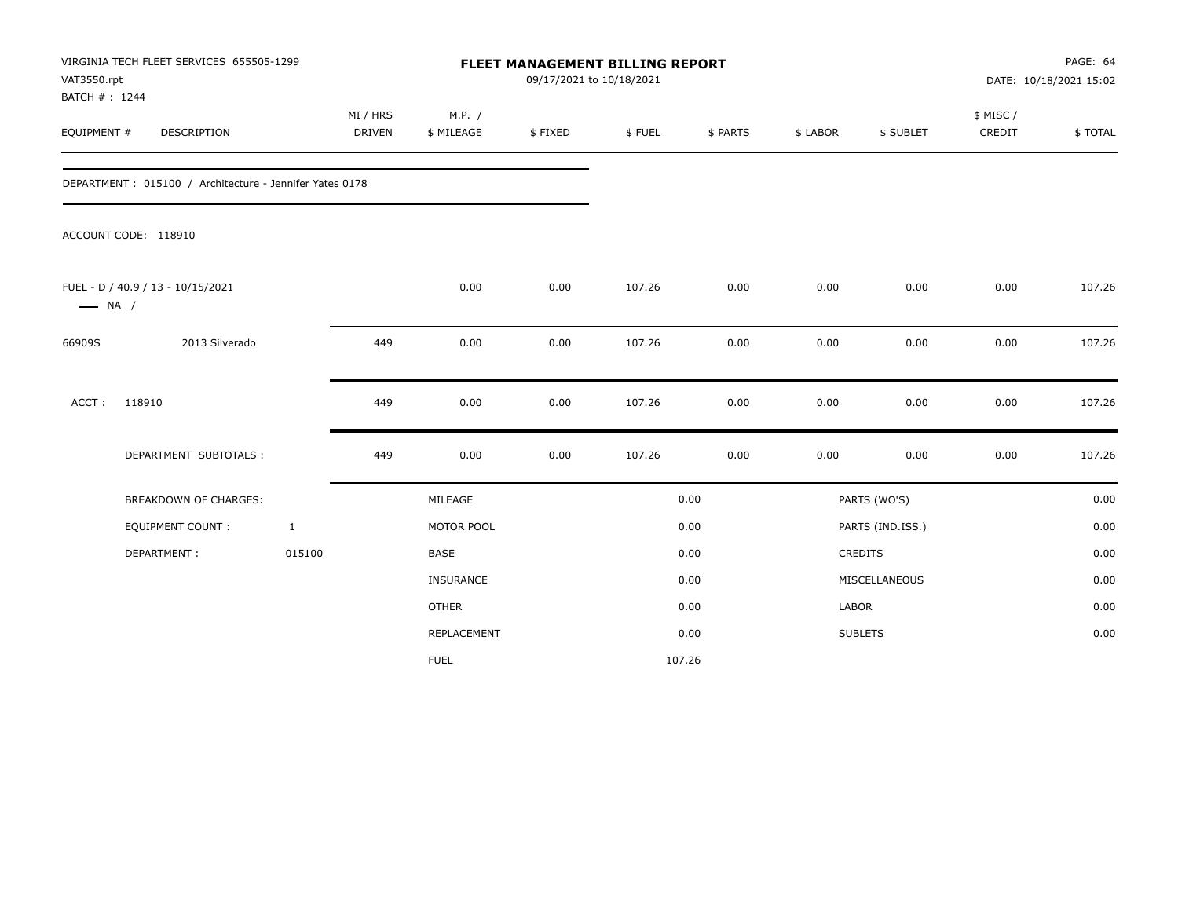| VAT3550.rpt<br>BATCH #: 1244 | VIRGINIA TECH FLEET SERVICES 655505-1299                |              | <b>FLEET MANAGEMENT BILLING REPORT</b><br>09/17/2021 to 10/18/2021 |                      |         |        |          |          | PAGE: 64<br>DATE: 10/18/2021 15:02 |                     |         |
|------------------------------|---------------------------------------------------------|--------------|--------------------------------------------------------------------|----------------------|---------|--------|----------|----------|------------------------------------|---------------------|---------|
| EQUIPMENT #                  | DESCRIPTION                                             |              | MI / HRS<br><b>DRIVEN</b>                                          | M.P. /<br>\$ MILEAGE | \$FIXED | \$FUEL | \$ PARTS | \$ LABOR | \$ SUBLET                          | \$ MISC /<br>CREDIT | \$TOTAL |
|                              | DEPARTMENT: 015100 / Architecture - Jennifer Yates 0178 |              |                                                                    |                      |         |        |          |          |                                    |                     |         |
|                              | ACCOUNT CODE: 118910                                    |              |                                                                    |                      |         |        |          |          |                                    |                     |         |
| $\longrightarrow$ NA /       | FUEL - D / 40.9 / 13 - 10/15/2021                       |              |                                                                    | 0.00                 | 0.00    | 107.26 | 0.00     | 0.00     | 0.00                               | 0.00                | 107.26  |
| 66909S                       | 2013 Silverado                                          |              | 449                                                                | 0.00                 | 0.00    | 107.26 | 0.00     | 0.00     | 0.00                               | 0.00                | 107.26  |
| ACCT:                        | 118910                                                  |              | 449                                                                | 0.00                 | 0.00    | 107.26 | 0.00     | 0.00     | 0.00                               | 0.00                | 107.26  |
|                              | DEPARTMENT SUBTOTALS :                                  |              | 449                                                                | 0.00                 | 0.00    | 107.26 | 0.00     | 0.00     | 0.00                               | 0.00                | 107.26  |
|                              | <b>BREAKDOWN OF CHARGES:</b>                            |              |                                                                    | MILEAGE              |         |        | 0.00     |          | PARTS (WO'S)                       |                     | 0.00    |
|                              | <b>EQUIPMENT COUNT:</b>                                 | $\mathbf{1}$ |                                                                    | MOTOR POOL           |         |        | 0.00     |          | PARTS (IND.ISS.)                   |                     | 0.00    |
|                              | DEPARTMENT:                                             | 015100       |                                                                    | <b>BASE</b>          |         |        | 0.00     |          | CREDITS                            |                     | 0.00    |
|                              |                                                         |              |                                                                    | INSURANCE            |         |        | 0.00     |          | MISCELLANEOUS                      |                     | 0.00    |
|                              |                                                         |              |                                                                    | <b>OTHER</b>         |         |        | 0.00     | LABOR    |                                    |                     | 0.00    |
|                              |                                                         |              |                                                                    | <b>REPLACEMENT</b>   |         |        | 0.00     |          | <b>SUBLETS</b>                     |                     | 0.00    |
|                              |                                                         |              |                                                                    | <b>FUEL</b>          |         | 107.26 |          |          |                                    |                     |         |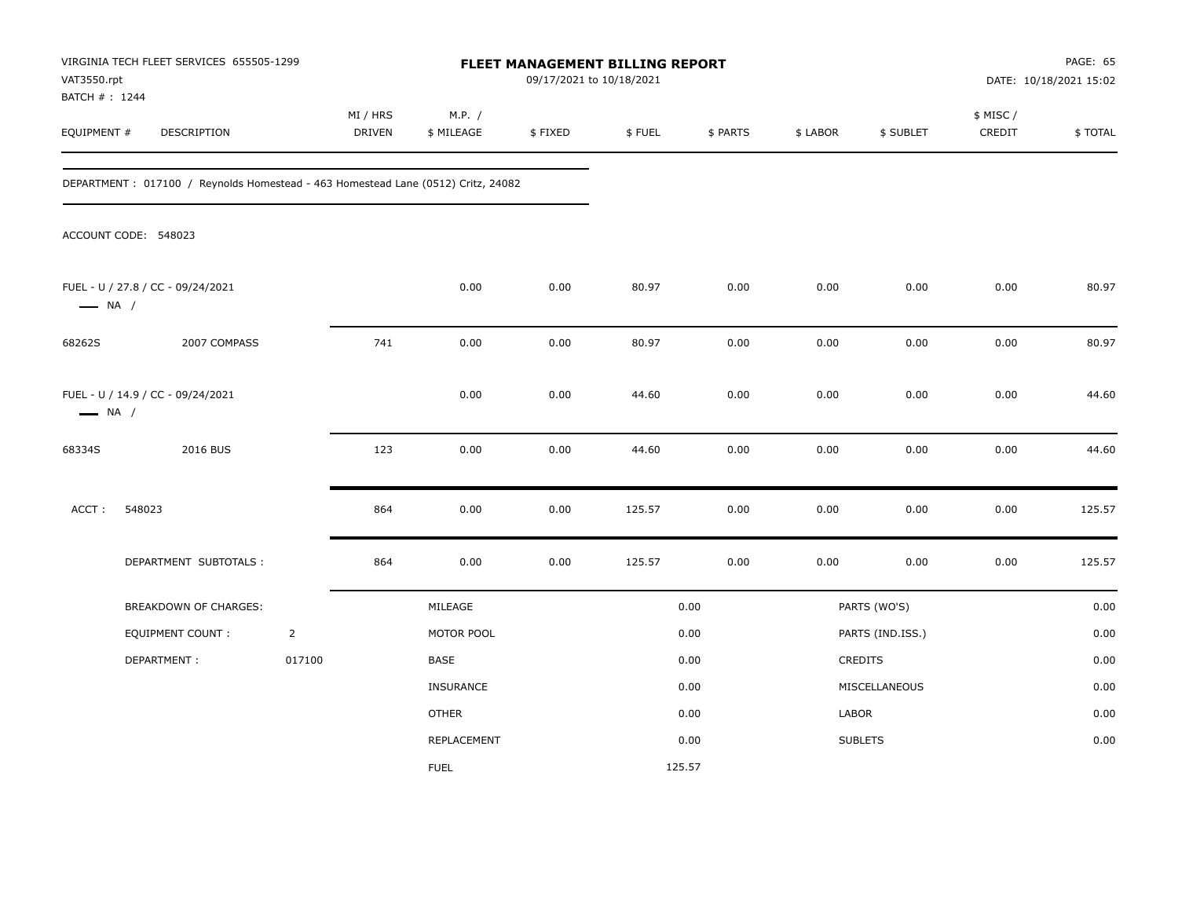| VAT3550.rpt<br>BATCH #: 1244 | VIRGINIA TECH FLEET SERVICES 655505-1299                                         |                |                    |                      |         | FLEET MANAGEMENT BILLING REPORT<br>09/17/2021 to 10/18/2021 |          |          |                  | PAGE: 65<br>DATE: 10/18/2021 15:02 |         |  |
|------------------------------|----------------------------------------------------------------------------------|----------------|--------------------|----------------------|---------|-------------------------------------------------------------|----------|----------|------------------|------------------------------------|---------|--|
| EQUIPMENT #                  | DESCRIPTION                                                                      |                | MI / HRS<br>DRIVEN | M.P. /<br>\$ MILEAGE | \$FIXED | \$FUEL                                                      | \$ PARTS | \$ LABOR | \$ SUBLET        | \$ MISC /<br>CREDIT                | \$TOTAL |  |
|                              | DEPARTMENT: 017100 / Reynolds Homestead - 463 Homestead Lane (0512) Critz, 24082 |                |                    |                      |         |                                                             |          |          |                  |                                    |         |  |
|                              | ACCOUNT CODE: 548023                                                             |                |                    |                      |         |                                                             |          |          |                  |                                    |         |  |
| $\longrightarrow$ NA /       | FUEL - U / 27.8 / CC - 09/24/2021                                                |                |                    | 0.00                 | 0.00    | 80.97                                                       | 0.00     | 0.00     | 0.00             | 0.00                               | 80.97   |  |
| 68262S                       | 2007 COMPASS                                                                     |                | 741                | 0.00                 | 0.00    | 80.97                                                       | 0.00     | 0.00     | 0.00             | 0.00                               | 80.97   |  |
| $\longrightarrow$ NA /       | FUEL - U / 14.9 / CC - 09/24/2021                                                |                |                    | 0.00                 | 0.00    | 44.60                                                       | 0.00     | 0.00     | 0.00             | 0.00                               | 44.60   |  |
| 68334S                       | 2016 BUS                                                                         |                | 123                | 0.00                 | 0.00    | 44.60                                                       | 0.00     | 0.00     | 0.00             | 0.00                               | 44.60   |  |
| ACCT:                        | 548023                                                                           |                | 864                | 0.00                 | 0.00    | 125.57                                                      | 0.00     | 0.00     | 0.00             | 0.00                               | 125.57  |  |
|                              | DEPARTMENT SUBTOTALS :                                                           |                | 864                | 0.00                 | 0.00    | 125.57                                                      | 0.00     | 0.00     | 0.00             | 0.00                               | 125.57  |  |
|                              | <b>BREAKDOWN OF CHARGES:</b>                                                     |                |                    | MILEAGE              |         |                                                             | 0.00     |          | PARTS (WO'S)     |                                    | 0.00    |  |
|                              | <b>EQUIPMENT COUNT:</b>                                                          | $\overline{2}$ |                    | MOTOR POOL           |         |                                                             | 0.00     |          | PARTS (IND.ISS.) |                                    | 0.00    |  |
|                              | DEPARTMENT:                                                                      | 017100         |                    | BASE                 |         |                                                             | 0.00     |          | CREDITS          |                                    | 0.00    |  |
|                              |                                                                                  |                |                    | <b>INSURANCE</b>     |         |                                                             | 0.00     |          | MISCELLANEOUS    |                                    | 0.00    |  |
|                              |                                                                                  |                |                    | <b>OTHER</b>         |         |                                                             | 0.00     | LABOR    |                  |                                    | 0.00    |  |
|                              |                                                                                  |                |                    | REPLACEMENT          |         |                                                             | 0.00     |          | <b>SUBLETS</b>   |                                    | 0.00    |  |
|                              |                                                                                  |                |                    | <b>FUEL</b>          |         |                                                             | 125.57   |          |                  |                                    |         |  |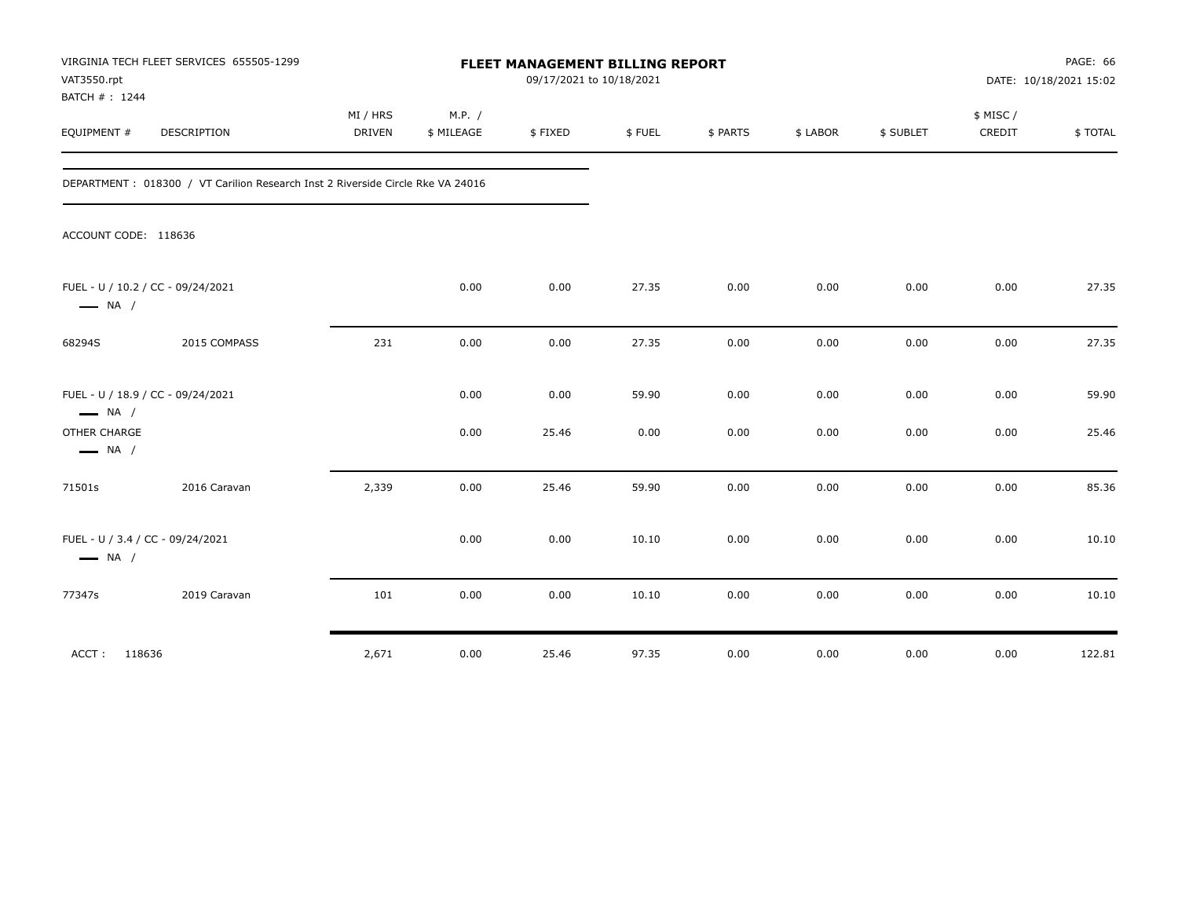| VAT3550.rpt<br>BATCH #: 1244                               | VIRGINIA TECH FLEET SERVICES 655505-1299                                        | FLEET MANAGEMENT BILLING REPORT<br>09/17/2021 to 10/18/2021 |                      |         |        |          |          |           | PAGE: 66<br>DATE: 10/18/2021 15:02 |         |
|------------------------------------------------------------|---------------------------------------------------------------------------------|-------------------------------------------------------------|----------------------|---------|--------|----------|----------|-----------|------------------------------------|---------|
| EQUIPMENT #                                                | DESCRIPTION                                                                     | MI / HRS<br>DRIVEN                                          | M.P. /<br>\$ MILEAGE | \$FIXED | \$FUEL | \$ PARTS | \$ LABOR | \$ SUBLET | \$ MISC /<br>CREDIT                | \$TOTAL |
|                                                            | DEPARTMENT : 018300 / VT Carilion Research Inst 2 Riverside Circle Rke VA 24016 |                                                             |                      |         |        |          |          |           |                                    |         |
| ACCOUNT CODE: 118636                                       |                                                                                 |                                                             |                      |         |        |          |          |           |                                    |         |
| $\longrightarrow$ NA /                                     | FUEL - U / 10.2 / CC - 09/24/2021                                               |                                                             | 0.00                 | 0.00    | 27.35  | 0.00     | 0.00     | 0.00      | 0.00                               | 27.35   |
| 68294S                                                     | 2015 COMPASS                                                                    | 231                                                         | 0.00                 | 0.00    | 27.35  | 0.00     | 0.00     | 0.00      | 0.00                               | 27.35   |
| $\longrightarrow$ NA /                                     | FUEL - U / 18.9 / CC - 09/24/2021                                               |                                                             | 0.00                 | 0.00    | 59.90  | 0.00     | 0.00     | 0.00      | 0.00                               | 59.90   |
| OTHER CHARGE<br>$\longrightarrow$ NA /                     |                                                                                 |                                                             | 0.00                 | 25.46   | 0.00   | 0.00     | 0.00     | 0.00      | 0.00                               | 25.46   |
| 71501s                                                     | 2016 Caravan                                                                    | 2,339                                                       | 0.00                 | 25.46   | 59.90  | 0.00     | 0.00     | 0.00      | 0.00                               | 85.36   |
| FUEL - U / 3.4 / CC - 09/24/2021<br>$\longrightarrow$ NA / |                                                                                 |                                                             | 0.00                 | 0.00    | 10.10  | 0.00     | 0.00     | 0.00      | 0.00                               | 10.10   |
| 77347s                                                     | 2019 Caravan                                                                    | 101                                                         | 0.00                 | 0.00    | 10.10  | 0.00     | 0.00     | 0.00      | 0.00                               | 10.10   |
| ACCT: 118636                                               |                                                                                 | 2,671                                                       | 0.00                 | 25.46   | 97.35  | 0.00     | 0.00     | 0.00      | 0.00                               | 122.81  |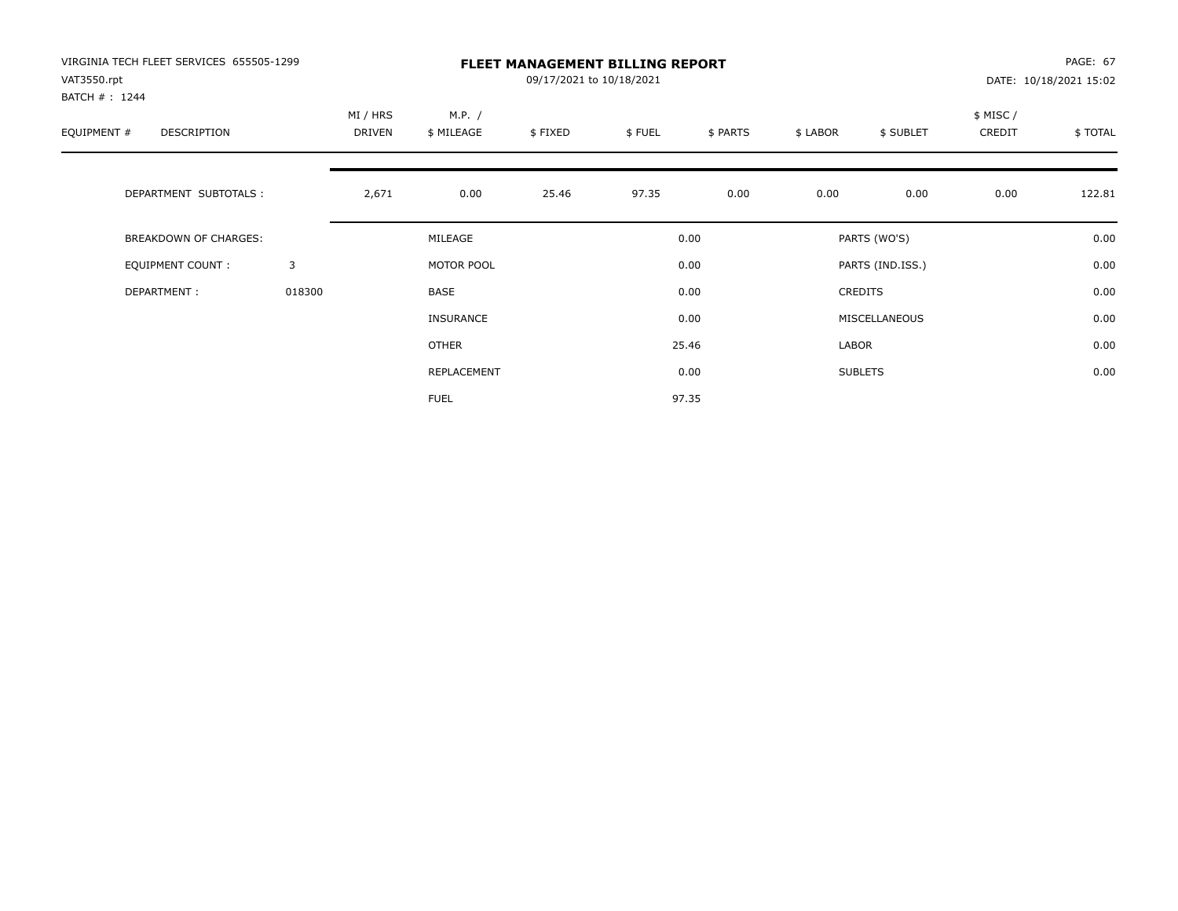| VIRGINIA TECH FLEET SERVICES 655505-1299<br>VAT3550.rpt<br>BATCH #: 1244 |        | <b>FLEET MANAGEMENT BILLING REPORT</b><br>09/17/2021 to 10/18/2021 |                      |         |        |          |          |                  |                    | PAGE: 67<br>DATE: 10/18/2021 15:02 |  |
|--------------------------------------------------------------------------|--------|--------------------------------------------------------------------|----------------------|---------|--------|----------|----------|------------------|--------------------|------------------------------------|--|
| EQUIPMENT #<br>DESCRIPTION                                               |        | MI / HRS<br>DRIVEN                                                 | M.P. /<br>\$ MILEAGE | \$FIXED | \$FUEL | \$ PARTS | \$ LABOR | \$ SUBLET        | \$ MISC/<br>CREDIT | \$TOTAL                            |  |
| DEPARTMENT SUBTOTALS :                                                   |        | 2,671                                                              | 0.00                 | 25.46   | 97.35  | 0.00     | 0.00     | 0.00             | 0.00               | 122.81                             |  |
| <b>BREAKDOWN OF CHARGES:</b>                                             |        |                                                                    | MILEAGE              |         |        | 0.00     |          | PARTS (WO'S)     |                    | 0.00                               |  |
| EQUIPMENT COUNT:                                                         | 3      |                                                                    | MOTOR POOL           |         |        | 0.00     |          | PARTS (IND.ISS.) |                    | 0.00                               |  |
| DEPARTMENT:                                                              | 018300 |                                                                    | <b>BASE</b>          |         |        | 0.00     |          | <b>CREDITS</b>   |                    | 0.00                               |  |
|                                                                          |        |                                                                    | <b>INSURANCE</b>     |         |        | 0.00     |          | MISCELLANEOUS    |                    | 0.00                               |  |
|                                                                          |        |                                                                    | <b>OTHER</b>         |         |        | 25.46    | LABOR    |                  |                    | 0.00                               |  |
|                                                                          |        |                                                                    | REPLACEMENT          |         |        | 0.00     |          | <b>SUBLETS</b>   |                    | 0.00                               |  |
|                                                                          |        |                                                                    | <b>FUEL</b>          |         |        | 97.35    |          |                  |                    |                                    |  |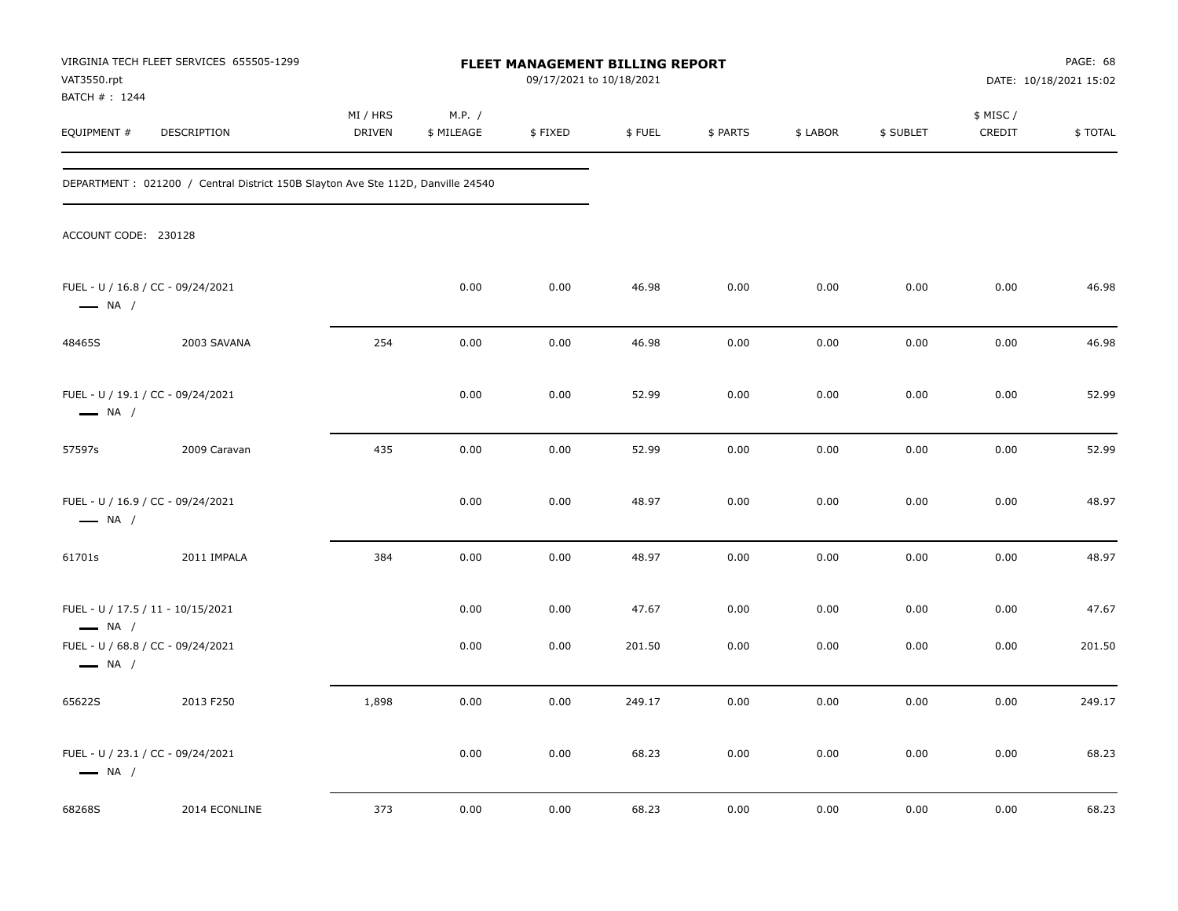| VAT3550.rpt                  | VIRGINIA TECH FLEET SERVICES 655505-1299                                        | FLEET MANAGEMENT BILLING REPORT<br>09/17/2021 to 10/18/2021 |                      |              |                 |              |              |              | PAGE: 68<br>DATE: 10/18/2021 15:02 |                 |
|------------------------------|---------------------------------------------------------------------------------|-------------------------------------------------------------|----------------------|--------------|-----------------|--------------|--------------|--------------|------------------------------------|-----------------|
| BATCH #: 1244<br>EQUIPMENT # | DESCRIPTION                                                                     | MI / HRS<br>DRIVEN                                          | M.P. /<br>\$ MILEAGE | \$FIXED      | \$FUEL          | \$ PARTS     | \$ LABOR     | \$ SUBLET    | \$ MISC /<br>CREDIT                | \$ TOTAL        |
|                              | DEPARTMENT: 021200 / Central District 150B Slayton Ave Ste 112D, Danville 24540 |                                                             |                      |              |                 |              |              |              |                                    |                 |
| ACCOUNT CODE: 230128         |                                                                                 |                                                             |                      |              |                 |              |              |              |                                    |                 |
| $\longrightarrow$ NA /       | FUEL - U / 16.8 / CC - 09/24/2021                                               |                                                             | 0.00                 | 0.00         | 46.98           | 0.00         | 0.00         | 0.00         | 0.00                               | 46.98           |
| 48465S                       | 2003 SAVANA                                                                     | 254                                                         | 0.00                 | 0.00         | 46.98           | 0.00         | 0.00         | 0.00         | 0.00                               | 46.98           |
| $\longrightarrow$ NA /       | FUEL - U / 19.1 / CC - 09/24/2021                                               |                                                             | 0.00                 | 0.00         | 52.99           | 0.00         | 0.00         | 0.00         | 0.00                               | 52.99           |
| 57597s                       | 2009 Caravan                                                                    | 435                                                         | 0.00                 | 0.00         | 52.99           | 0.00         | 0.00         | 0.00         | 0.00                               | 52.99           |
| $\longrightarrow$ NA /       | FUEL - U / 16.9 / CC - 09/24/2021                                               |                                                             | 0.00                 | 0.00         | 48.97           | 0.00         | 0.00         | 0.00         | 0.00                               | 48.97           |
| 61701s                       | 2011 IMPALA                                                                     | 384                                                         | 0.00                 | 0.00         | 48.97           | 0.00         | 0.00         | 0.00         | 0.00                               | 48.97           |
| $\longrightarrow$ NA /       | FUEL - U / 17.5 / 11 - 10/15/2021<br>FUEL - U / 68.8 / CC - 09/24/2021          |                                                             | 0.00<br>0.00         | 0.00<br>0.00 | 47.67<br>201.50 | 0.00<br>0.00 | 0.00<br>0.00 | 0.00<br>0.00 | 0.00<br>0.00                       | 47.67<br>201.50 |
| $\longrightarrow$ NA /       |                                                                                 |                                                             |                      |              |                 |              |              |              |                                    |                 |
| 65622S                       | 2013 F250                                                                       | 1,898                                                       | 0.00                 | 0.00         | 249.17          | 0.00         | 0.00         | 0.00         | 0.00                               | 249.17          |
| $\longrightarrow$ NA /       | FUEL - U / 23.1 / CC - 09/24/2021                                               |                                                             | 0.00                 | 0.00         | 68.23           | 0.00         | 0.00         | 0.00         | 0.00                               | 68.23           |
| 68268S                       | 2014 ECONLINE                                                                   | 373                                                         | 0.00                 | 0.00         | 68.23           | 0.00         | 0.00         | 0.00         | 0.00                               | 68.23           |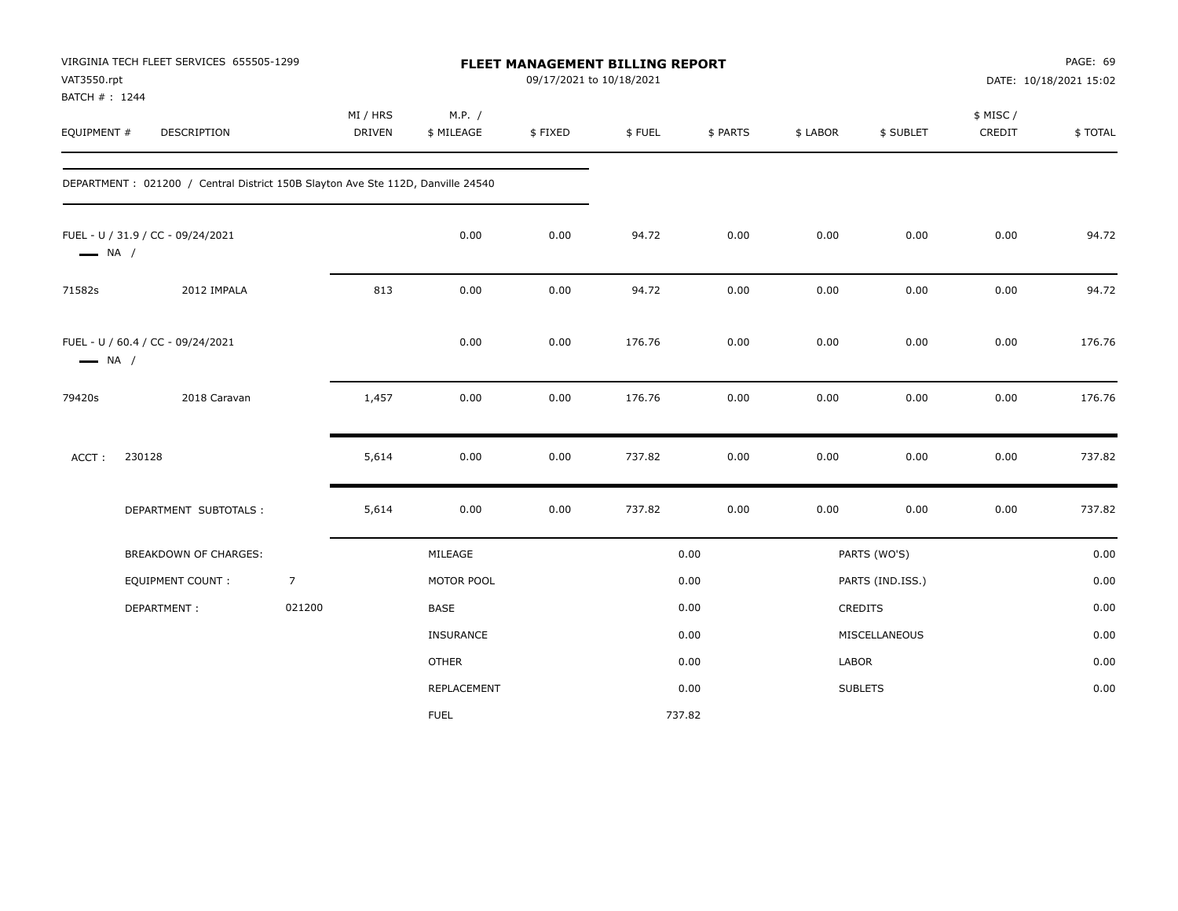|                        | VIRGINIA TECH FLEET SERVICES 655505-1299<br>VAT3550.rpt<br>BATCH #: 1244        |                |                           | FLEET MANAGEMENT BILLING REPORT<br>09/17/2021 to 10/18/2021 |         |        |          |          |                  |                     | PAGE: 69<br>DATE: 10/18/2021 15:02 |  |  |
|------------------------|---------------------------------------------------------------------------------|----------------|---------------------------|-------------------------------------------------------------|---------|--------|----------|----------|------------------|---------------------|------------------------------------|--|--|
| EQUIPMENT #            | <b>DESCRIPTION</b>                                                              |                | MI / HRS<br><b>DRIVEN</b> | M.P. /<br>\$ MILEAGE                                        | \$FIXED | \$FUEL | \$ PARTS | \$ LABOR | \$ SUBLET        | \$ MISC /<br>CREDIT | \$ TOTAL                           |  |  |
|                        | DEPARTMENT: 021200 / Central District 150B Slayton Ave Ste 112D, Danville 24540 |                |                           |                                                             |         |        |          |          |                  |                     |                                    |  |  |
| $\longrightarrow$ NA / | FUEL - U / 31.9 / CC - 09/24/2021                                               |                |                           | 0.00                                                        | 0.00    | 94.72  | 0.00     | 0.00     | 0.00             | 0.00                | 94.72                              |  |  |
| 71582s                 | 2012 IMPALA                                                                     |                | 813                       | 0.00                                                        | 0.00    | 94.72  | 0.00     | 0.00     | 0.00             | 0.00                | 94.72                              |  |  |
| $\longrightarrow$ NA / | FUEL - U / 60.4 / CC - 09/24/2021                                               |                |                           | 0.00                                                        | 0.00    | 176.76 | 0.00     | 0.00     | 0.00             | 0.00                | 176.76                             |  |  |
| 79420s                 | 2018 Caravan                                                                    |                | 1,457                     | 0.00                                                        | 0.00    | 176.76 | 0.00     | 0.00     | 0.00             | 0.00                | 176.76                             |  |  |
| ACCT:                  | 230128                                                                          |                | 5,614                     | 0.00                                                        | 0.00    | 737.82 | 0.00     | 0.00     | 0.00             | 0.00                | 737.82                             |  |  |
|                        | DEPARTMENT SUBTOTALS :                                                          |                | 5,614                     | 0.00                                                        | 0.00    | 737.82 | 0.00     | 0.00     | 0.00             | 0.00                | 737.82                             |  |  |
|                        | BREAKDOWN OF CHARGES:                                                           |                |                           | MILEAGE                                                     |         |        | 0.00     |          | PARTS (WO'S)     |                     | 0.00                               |  |  |
|                        | EQUIPMENT COUNT:                                                                | $\overline{7}$ |                           | MOTOR POOL                                                  |         |        | 0.00     |          | PARTS (IND.ISS.) |                     | 0.00                               |  |  |
|                        | DEPARTMENT:                                                                     | 021200         |                           | BASE                                                        |         |        | 0.00     |          | <b>CREDITS</b>   |                     | 0.00                               |  |  |
|                        |                                                                                 |                |                           | INSURANCE                                                   |         |        | 0.00     |          | MISCELLANEOUS    |                     | 0.00                               |  |  |
|                        |                                                                                 |                |                           | OTHER                                                       |         |        | 0.00     | LABOR    |                  |                     | 0.00                               |  |  |
|                        |                                                                                 |                |                           | REPLACEMENT                                                 |         |        | 0.00     |          | <b>SUBLETS</b>   |                     | 0.00                               |  |  |
|                        |                                                                                 |                |                           | <b>FUEL</b>                                                 |         |        | 737.82   |          |                  |                     |                                    |  |  |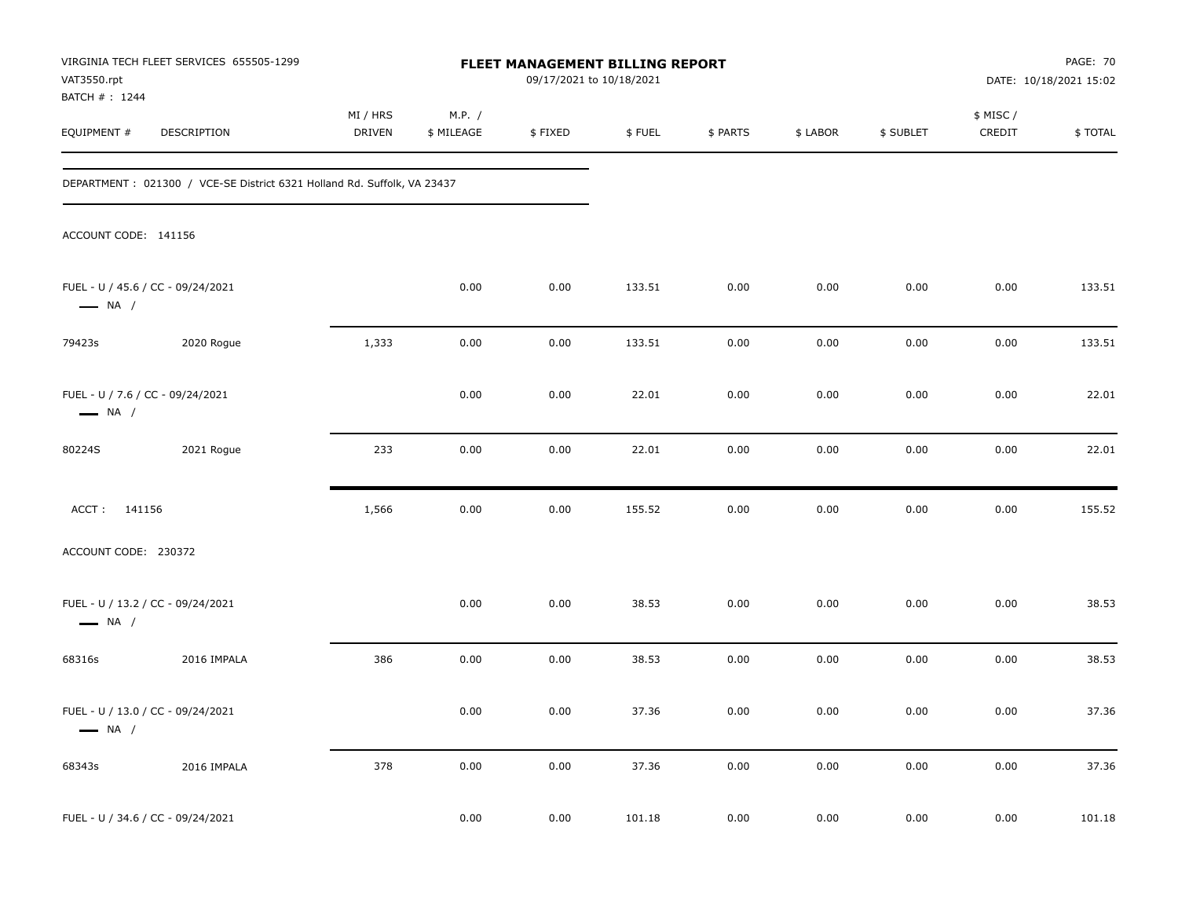| VAT3550.rpt                                                | VIRGINIA TECH FLEET SERVICES 655505-1299                                 | FLEET MANAGEMENT BILLING REPORT<br>09/17/2021 to 10/18/2021 |                      |         |        |          | PAGE: 70<br>DATE: 10/18/2021 15:02 |           |                     |         |  |
|------------------------------------------------------------|--------------------------------------------------------------------------|-------------------------------------------------------------|----------------------|---------|--------|----------|------------------------------------|-----------|---------------------|---------|--|
| BATCH #: 1244<br>EQUIPMENT #                               | DESCRIPTION                                                              | MI / HRS<br><b>DRIVEN</b>                                   | M.P. /<br>\$ MILEAGE | \$FIXED | \$FUEL | \$ PARTS | \$ LABOR                           | \$ SUBLET | \$ MISC /<br>CREDIT | \$TOTAL |  |
|                                                            | DEPARTMENT : 021300 / VCE-SE District 6321 Holland Rd. Suffolk, VA 23437 |                                                             |                      |         |        |          |                                    |           |                     |         |  |
| ACCOUNT CODE: 141156                                       |                                                                          |                                                             |                      |         |        |          |                                    |           |                     |         |  |
| $\longrightarrow$ NA /                                     | FUEL - U / 45.6 / CC - 09/24/2021                                        |                                                             | 0.00                 | 0.00    | 133.51 | 0.00     | 0.00                               | 0.00      | 0.00                | 133.51  |  |
| 79423s                                                     | 2020 Rogue                                                               | 1,333                                                       | 0.00                 | 0.00    | 133.51 | 0.00     | 0.00                               | 0.00      | 0.00                | 133.51  |  |
| FUEL - U / 7.6 / CC - 09/24/2021<br>$\longrightarrow$ NA / |                                                                          |                                                             | 0.00                 | 0.00    | 22.01  | 0.00     | 0.00                               | 0.00      | 0.00                | 22.01   |  |
| 80224S                                                     | 2021 Rogue                                                               | 233                                                         | 0.00                 | 0.00    | 22.01  | 0.00     | 0.00                               | 0.00      | 0.00                | 22.01   |  |
| ACCT: 141156                                               |                                                                          | 1,566                                                       | 0.00                 | 0.00    | 155.52 | 0.00     | 0.00                               | 0.00      | 0.00                | 155.52  |  |
| ACCOUNT CODE: 230372                                       |                                                                          |                                                             |                      |         |        |          |                                    |           |                     |         |  |
| $\longrightarrow$ NA /                                     | FUEL - U / 13.2 / CC - 09/24/2021                                        |                                                             | 0.00                 | 0.00    | 38.53  | 0.00     | 0.00                               | 0.00      | 0.00                | 38.53   |  |
| 68316s                                                     | 2016 IMPALA                                                              | 386                                                         | 0.00                 | 0.00    | 38.53  | 0.00     | 0.00                               | 0.00      | 0.00                | 38.53   |  |
| $\longrightarrow$ NA /                                     | FUEL - U / 13.0 / CC - 09/24/2021                                        |                                                             | 0.00                 | 0.00    | 37.36  | 0.00     | 0.00                               | 0.00      | 0.00                | 37.36   |  |
| 68343s                                                     | 2016 IMPALA                                                              | 378                                                         | 0.00                 | 0.00    | 37.36  | 0.00     | 0.00                               | 0.00      | 0.00                | 37.36   |  |
|                                                            | FUEL - U / 34.6 / CC - 09/24/2021                                        |                                                             | 0.00                 | 0.00    | 101.18 | 0.00     | 0.00                               | 0.00      | 0.00                | 101.18  |  |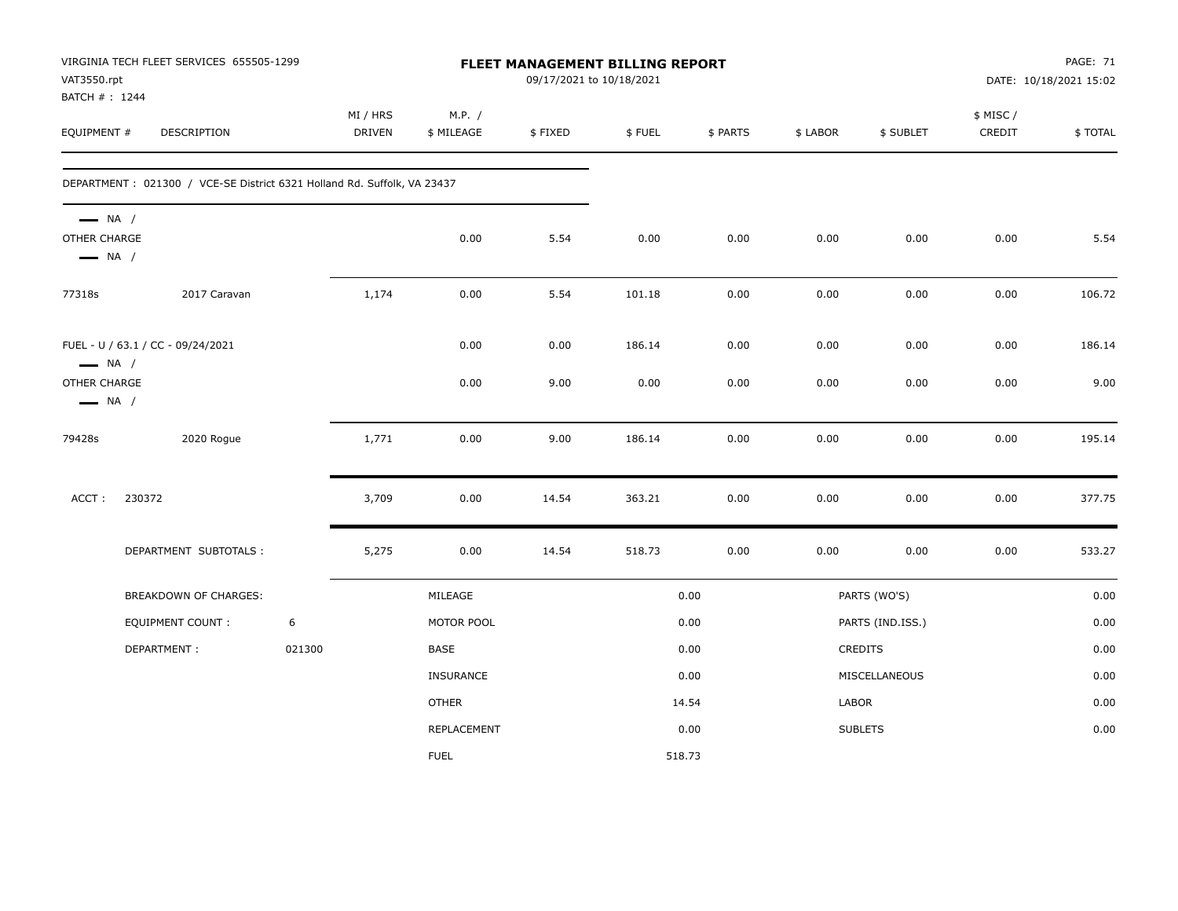| VAT3550.rpt<br>BATCH # : 1244                                    | VIRGINIA TECH FLEET SERVICES 655505-1299                                |        |                    |                      |         | FLEET MANAGEMENT BILLING REPORT<br>09/17/2021 to 10/18/2021 |          |          |                  | <b>PAGE: 71</b><br>DATE: 10/18/2021 15:02 |         |  |
|------------------------------------------------------------------|-------------------------------------------------------------------------|--------|--------------------|----------------------|---------|-------------------------------------------------------------|----------|----------|------------------|-------------------------------------------|---------|--|
| EQUIPMENT #                                                      | DESCRIPTION                                                             |        | MI / HRS<br>DRIVEN | M.P. /<br>\$ MILEAGE | \$FIXED | \$FUEL                                                      | \$ PARTS | \$ LABOR | \$ SUBLET        | \$ MISC /<br>CREDIT                       | \$TOTAL |  |
|                                                                  | DEPARTMENT: 021300 / VCE-SE District 6321 Holland Rd. Suffolk, VA 23437 |        |                    |                      |         |                                                             |          |          |                  |                                           |         |  |
| $\longrightarrow$ NA /<br>OTHER CHARGE<br>$\longrightarrow$ NA / |                                                                         |        |                    | 0.00                 | 5.54    | 0.00                                                        | 0.00     | 0.00     | 0.00             | 0.00                                      | 5.54    |  |
| 77318s                                                           | 2017 Caravan                                                            |        | 1,174              | 0.00                 | 5.54    | 101.18                                                      | 0.00     | 0.00     | 0.00             | 0.00                                      | 106.72  |  |
| $\longrightarrow$ NA /                                           | FUEL - U / 63.1 / CC - 09/24/2021                                       |        |                    | 0.00                 | 0.00    | 186.14                                                      | 0.00     | 0.00     | 0.00             | 0.00                                      | 186.14  |  |
| OTHER CHARGE<br>$\longrightarrow$ NA /                           |                                                                         |        |                    | 0.00                 | 9.00    | 0.00                                                        | 0.00     | 0.00     | 0.00             | 0.00                                      | 9.00    |  |
| 79428s                                                           | 2020 Rogue                                                              |        | 1,771              | 0.00                 | 9.00    | 186.14                                                      | 0.00     | 0.00     | 0.00             | 0.00                                      | 195.14  |  |
| ACCT:                                                            | 230372                                                                  |        | 3,709              | 0.00                 | 14.54   | 363.21                                                      | 0.00     | 0.00     | 0.00             | 0.00                                      | 377.75  |  |
|                                                                  | DEPARTMENT SUBTOTALS :                                                  |        | 5,275              | 0.00                 | 14.54   | 518.73                                                      | 0.00     | 0.00     | 0.00             | 0.00                                      | 533.27  |  |
|                                                                  | <b>BREAKDOWN OF CHARGES:</b>                                            |        |                    | MILEAGE              |         |                                                             | 0.00     |          | PARTS (WO'S)     |                                           | 0.00    |  |
|                                                                  | <b>EQUIPMENT COUNT:</b>                                                 | 6      |                    | MOTOR POOL           |         |                                                             | 0.00     |          | PARTS (IND.ISS.) |                                           | 0.00    |  |
|                                                                  | DEPARTMENT:                                                             | 021300 |                    | BASE                 |         |                                                             | 0.00     |          | <b>CREDITS</b>   |                                           | 0.00    |  |
|                                                                  |                                                                         |        |                    | <b>INSURANCE</b>     |         |                                                             | 0.00     |          | MISCELLANEOUS    |                                           | 0.00    |  |
|                                                                  |                                                                         |        |                    | <b>OTHER</b>         |         |                                                             | 14.54    | LABOR    |                  |                                           | 0.00    |  |
|                                                                  |                                                                         |        |                    | <b>REPLACEMENT</b>   |         |                                                             | 0.00     |          | <b>SUBLETS</b>   |                                           | 0.00    |  |
|                                                                  |                                                                         |        |                    | <b>FUEL</b>          |         |                                                             | 518.73   |          |                  |                                           |         |  |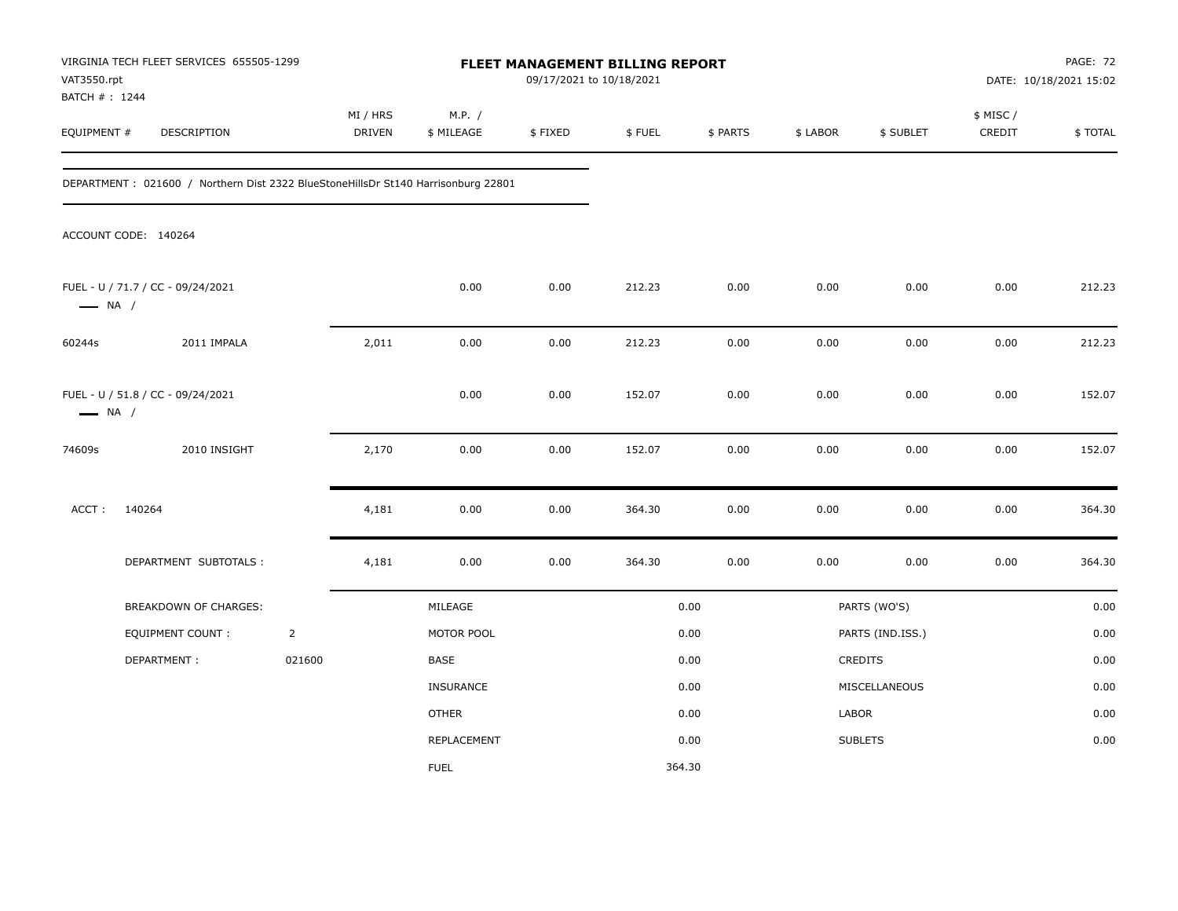| VAT3550.rpt                   | VIRGINIA TECH FLEET SERVICES 655505-1299                                           |                | FLEET MANAGEMENT BILLING REPORT<br>09/17/2021 to 10/18/2021 |                      |         |        |          |          | <b>PAGE: 72</b><br>DATE: 10/18/2021 15:02 |                     |         |
|-------------------------------|------------------------------------------------------------------------------------|----------------|-------------------------------------------------------------|----------------------|---------|--------|----------|----------|-------------------------------------------|---------------------|---------|
| BATCH # : 1244<br>EQUIPMENT # | DESCRIPTION                                                                        |                | MI / HRS<br><b>DRIVEN</b>                                   | M.P. /<br>\$ MILEAGE | \$FIXED | \$FUEL | \$ PARTS | \$ LABOR | \$ SUBLET                                 | \$ MISC /<br>CREDIT | \$TOTAL |
|                               | DEPARTMENT : 021600 / Northern Dist 2322 BlueStoneHillsDr St140 Harrisonburg 22801 |                |                                                             |                      |         |        |          |          |                                           |                     |         |
|                               | ACCOUNT CODE: 140264                                                               |                |                                                             |                      |         |        |          |          |                                           |                     |         |
| $\longrightarrow$ NA /        | FUEL - U / 71.7 / CC - 09/24/2021                                                  |                |                                                             | 0.00                 | 0.00    | 212.23 | 0.00     | 0.00     | 0.00                                      | 0.00                | 212.23  |
| 60244s                        | 2011 IMPALA                                                                        |                | 2,011                                                       | 0.00                 | 0.00    | 212.23 | 0.00     | 0.00     | 0.00                                      | 0.00                | 212.23  |
| $\longrightarrow$ NA /        | FUEL - U / 51.8 / CC - 09/24/2021                                                  |                |                                                             | 0.00                 | 0.00    | 152.07 | 0.00     | 0.00     | 0.00                                      | 0.00                | 152.07  |
| 74609s                        | 2010 INSIGHT                                                                       |                | 2,170                                                       | 0.00                 | 0.00    | 152.07 | 0.00     | 0.00     | 0.00                                      | 0.00                | 152.07  |
| ACCT:                         | 140264                                                                             |                | 4,181                                                       | 0.00                 | 0.00    | 364.30 | $0.00\,$ | 0.00     | 0.00                                      | 0.00                | 364.30  |
|                               | DEPARTMENT SUBTOTALS :                                                             |                | 4,181                                                       | 0.00                 | 0.00    | 364.30 | 0.00     | 0.00     | 0.00                                      | 0.00                | 364.30  |
|                               | <b>BREAKDOWN OF CHARGES:</b>                                                       |                |                                                             | MILEAGE              |         |        | 0.00     |          | PARTS (WO'S)                              |                     | 0.00    |
|                               | <b>EQUIPMENT COUNT:</b>                                                            | $\overline{2}$ |                                                             | MOTOR POOL           |         |        | 0.00     |          | PARTS (IND.ISS.)                          |                     | 0.00    |
|                               | DEPARTMENT:                                                                        | 021600         |                                                             | BASE                 |         |        | 0.00     |          | <b>CREDITS</b>                            |                     | 0.00    |
|                               |                                                                                    |                |                                                             | INSURANCE            |         |        | 0.00     |          | MISCELLANEOUS                             |                     | 0.00    |
|                               |                                                                                    |                |                                                             | <b>OTHER</b>         |         |        | 0.00     | LABOR    |                                           |                     | 0.00    |
|                               |                                                                                    |                |                                                             | REPLACEMENT          |         |        | 0.00     |          | <b>SUBLETS</b>                            |                     | 0.00    |
|                               |                                                                                    |                |                                                             | <b>FUEL</b>          |         | 364.30 |          |          |                                           |                     |         |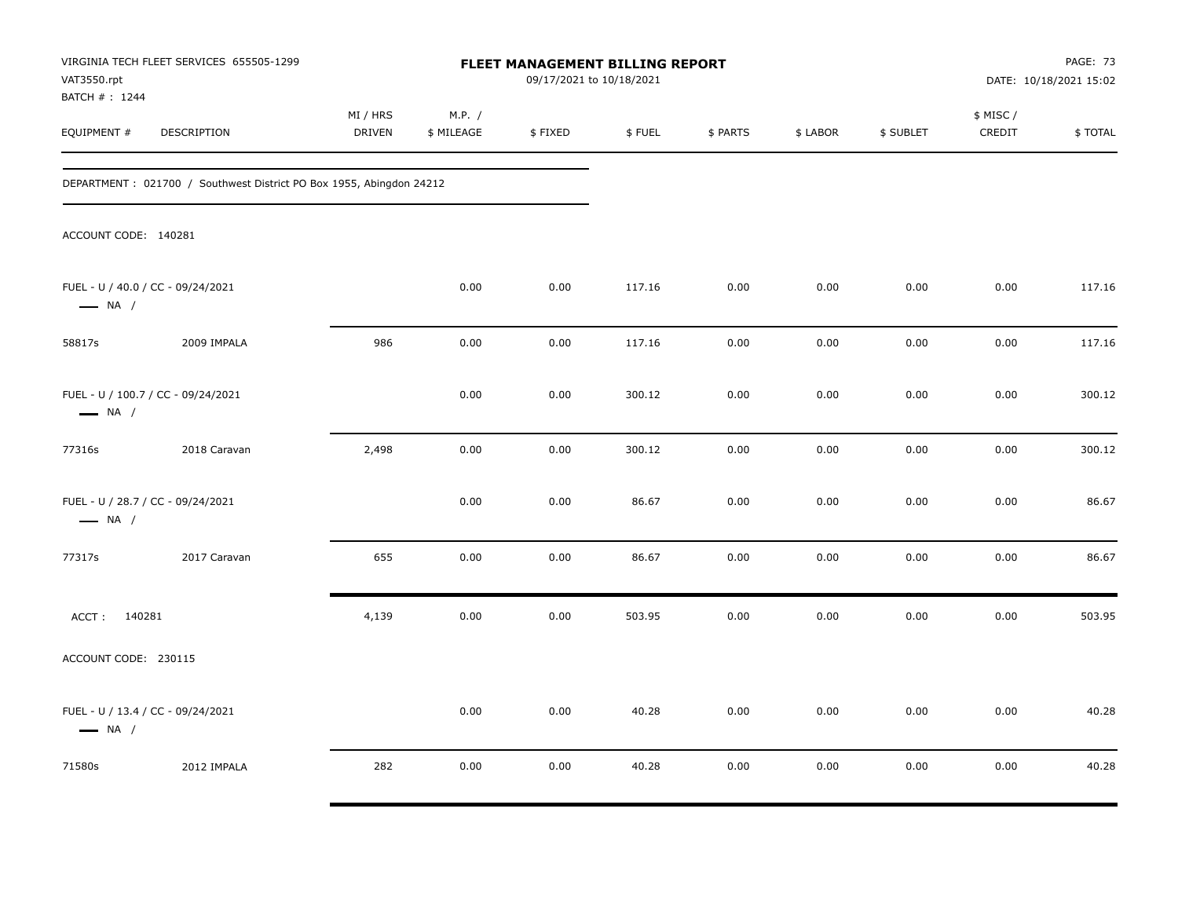| VAT3550.rpt<br>BATCH # : 1244 | VIRGINIA TECH FLEET SERVICES 655505-1299                            |                           |                      | <b>FLEET MANAGEMENT BILLING REPORT</b><br>09/17/2021 to 10/18/2021 |        |          |          |           |                     | PAGE: 73<br>DATE: 10/18/2021 15:02 |
|-------------------------------|---------------------------------------------------------------------|---------------------------|----------------------|--------------------------------------------------------------------|--------|----------|----------|-----------|---------------------|------------------------------------|
| EQUIPMENT #                   | DESCRIPTION                                                         | MI / HRS<br><b>DRIVEN</b> | M.P. /<br>\$ MILEAGE | \$FIXED                                                            | \$FUEL | \$ PARTS | \$ LABOR | \$ SUBLET | \$ MISC /<br>CREDIT | \$TOTAL                            |
|                               | DEPARTMENT: 021700 / Southwest District PO Box 1955, Abingdon 24212 |                           |                      |                                                                    |        |          |          |           |                     |                                    |
| ACCOUNT CODE: 140281          |                                                                     |                           |                      |                                                                    |        |          |          |           |                     |                                    |
| $\longrightarrow$ NA /        | FUEL - U / 40.0 / CC - 09/24/2021                                   |                           | 0.00                 | 0.00                                                               | 117.16 | 0.00     | 0.00     | 0.00      | 0.00                | 117.16                             |
| 58817s                        | 2009 IMPALA                                                         | 986                       | 0.00                 | 0.00                                                               | 117.16 | 0.00     | 0.00     | 0.00      | 0.00                | 117.16                             |
| $\longrightarrow$ NA /        | FUEL - U / 100.7 / CC - 09/24/2021                                  |                           | 0.00                 | 0.00                                                               | 300.12 | 0.00     | 0.00     | 0.00      | 0.00                | 300.12                             |
| 77316s                        | 2018 Caravan                                                        | 2,498                     | 0.00                 | 0.00                                                               | 300.12 | 0.00     | 0.00     | 0.00      | 0.00                | 300.12                             |
| $\longrightarrow$ NA /        | FUEL - U / 28.7 / CC - 09/24/2021                                   |                           | 0.00                 | 0.00                                                               | 86.67  | 0.00     | 0.00     | 0.00      | 0.00                | 86.67                              |
| 77317s                        | 2017 Caravan                                                        | 655                       | 0.00                 | 0.00                                                               | 86.67  | 0.00     | 0.00     | 0.00      | 0.00                | 86.67                              |
| ACCT: 140281                  |                                                                     | 4,139                     | 0.00                 | 0.00                                                               | 503.95 | 0.00     | 0.00     | 0.00      | 0.00                | 503.95                             |
| ACCOUNT CODE: 230115          |                                                                     |                           |                      |                                                                    |        |          |          |           |                     |                                    |
| $\longrightarrow$ NA /        | FUEL - U / 13.4 / CC - 09/24/2021                                   |                           | 0.00                 | 0.00                                                               | 40.28  | 0.00     | 0.00     | 0.00      | 0.00                | 40.28                              |
| 71580s                        | 2012 IMPALA                                                         | 282                       | 0.00                 | 0.00                                                               | 40.28  | 0.00     | 0.00     | 0.00      | 0.00                | 40.28                              |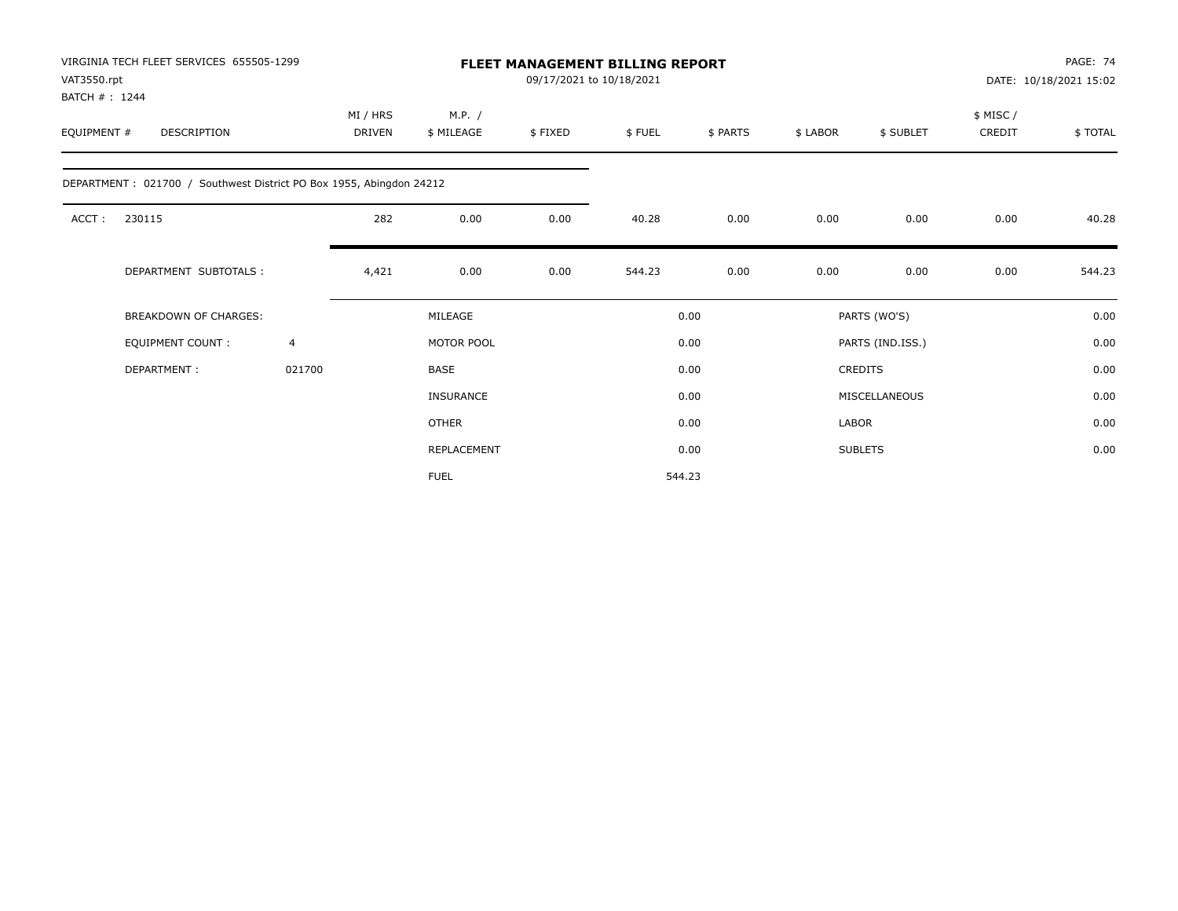| VIRGINIA TECH FLEET SERVICES 655505-1299<br>VAT3550.rpt<br>BATCH #: 1244 |                |                           |                      | <b>FLEET MANAGEMENT BILLING REPORT</b><br>09/17/2021 to 10/18/2021 |        |          |          |                  |                    | PAGE: 74<br>DATE: 10/18/2021 15:02 |
|--------------------------------------------------------------------------|----------------|---------------------------|----------------------|--------------------------------------------------------------------|--------|----------|----------|------------------|--------------------|------------------------------------|
| EQUIPMENT #<br>DESCRIPTION                                               |                | MI / HRS<br><b>DRIVEN</b> | M.P. /<br>\$ MILEAGE | \$FIXED                                                            | \$FUEL | \$ PARTS | \$ LABOR | \$ SUBLET        | \$ MISC/<br>CREDIT | \$TOTAL                            |
| DEPARTMENT : 021700 / Southwest District PO Box 1955, Abingdon 24212     |                |                           |                      |                                                                    |        |          |          |                  |                    |                                    |
| ACCT:<br>230115                                                          |                | 282                       | 0.00                 | 0.00                                                               | 40.28  | 0.00     | 0.00     | 0.00             | 0.00               | 40.28                              |
| DEPARTMENT SUBTOTALS :                                                   |                | 4,421                     | 0.00                 | 0.00                                                               | 544.23 | 0.00     | 0.00     | 0.00             | 0.00               | 544.23                             |
| <b>BREAKDOWN OF CHARGES:</b>                                             |                |                           | MILEAGE              |                                                                    |        | 0.00     |          | PARTS (WO'S)     |                    | 0.00                               |
| EQUIPMENT COUNT:                                                         | $\overline{4}$ |                           | MOTOR POOL           |                                                                    |        | 0.00     |          | PARTS (IND.ISS.) |                    | 0.00                               |
| DEPARTMENT:                                                              | 021700         |                           | BASE                 |                                                                    |        | 0.00     |          | <b>CREDITS</b>   |                    | 0.00                               |
|                                                                          |                |                           | <b>INSURANCE</b>     |                                                                    |        | 0.00     |          | MISCELLANEOUS    |                    | 0.00                               |
|                                                                          |                |                           | <b>OTHER</b>         |                                                                    |        | 0.00     | LABOR    |                  |                    | 0.00                               |
|                                                                          |                |                           | REPLACEMENT          |                                                                    |        | 0.00     |          | <b>SUBLETS</b>   |                    | 0.00                               |
|                                                                          |                |                           | <b>FUEL</b>          |                                                                    |        | 544.23   |          |                  |                    |                                    |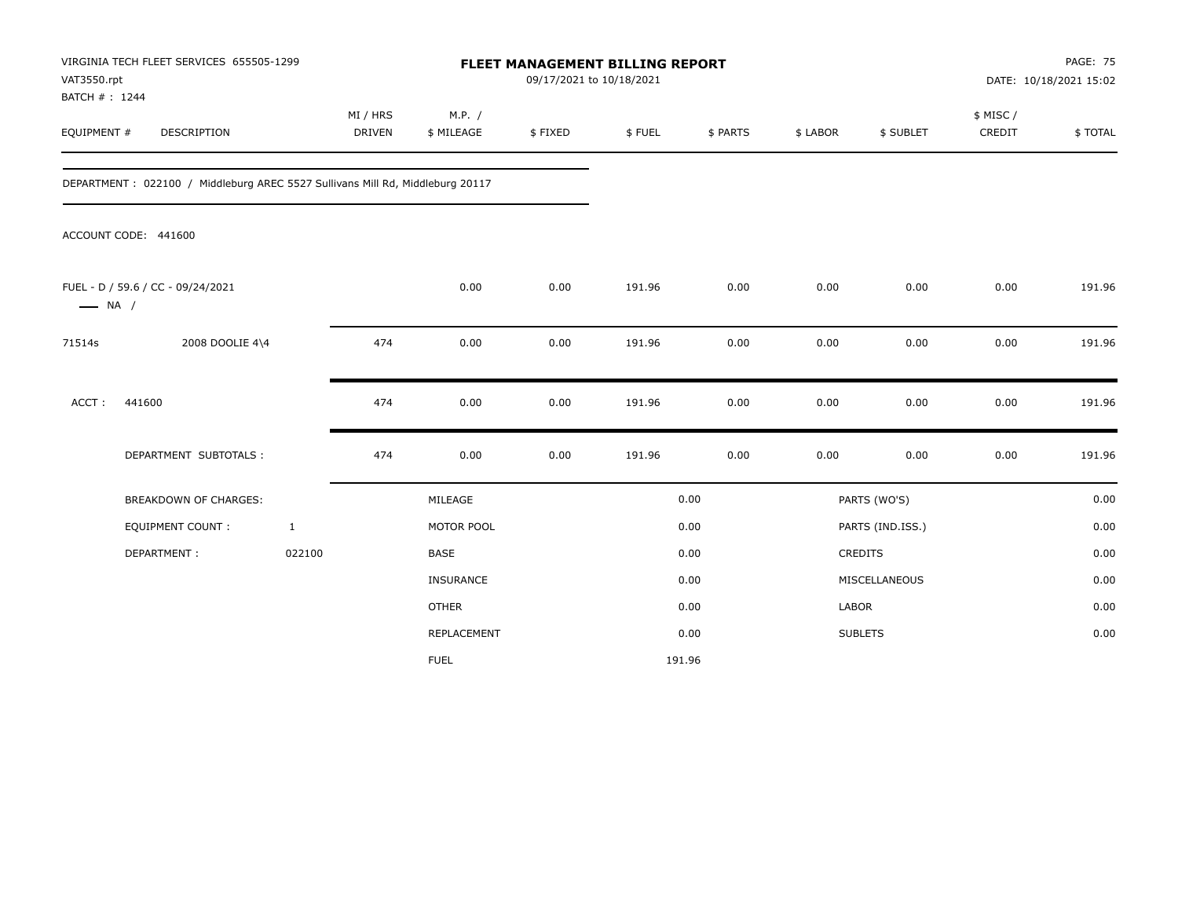| VAT3550.rpt<br>BATCH #: 1244 | VIRGINIA TECH FLEET SERVICES 655505-1299                                      |                           |                      | FLEET MANAGEMENT BILLING REPORT<br>09/17/2021 to 10/18/2021 |        |          |          |                  |                    | <b>PAGE: 75</b><br>DATE: 10/18/2021 15:02 |
|------------------------------|-------------------------------------------------------------------------------|---------------------------|----------------------|-------------------------------------------------------------|--------|----------|----------|------------------|--------------------|-------------------------------------------|
| EQUIPMENT #                  | DESCRIPTION                                                                   | MI / HRS<br><b>DRIVEN</b> | M.P. /<br>\$ MILEAGE | \$FIXED                                                     | \$FUEL | \$ PARTS | \$ LABOR | \$ SUBLET        | \$ MISC/<br>CREDIT | \$TOTAL                                   |
|                              | DEPARTMENT: 022100 / Middleburg AREC 5527 Sullivans Mill Rd, Middleburg 20117 |                           |                      |                                                             |        |          |          |                  |                    |                                           |
|                              | ACCOUNT CODE: 441600                                                          |                           |                      |                                                             |        |          |          |                  |                    |                                           |
| $\longrightarrow$ NA /       | FUEL - D / 59.6 / CC - 09/24/2021                                             |                           | 0.00                 | 0.00                                                        | 191.96 | 0.00     | 0.00     | 0.00             | 0.00               | 191.96                                    |
| 71514s                       | 2008 DOOLIE 4\4                                                               | 474                       | 0.00                 | 0.00                                                        | 191.96 | 0.00     | 0.00     | 0.00             | 0.00               | 191.96                                    |
| ACCT:                        | 441600                                                                        | 474                       | 0.00                 | 0.00                                                        | 191.96 | 0.00     | 0.00     | 0.00             | 0.00               | 191.96                                    |
|                              | DEPARTMENT SUBTOTALS :                                                        | 474                       | 0.00                 | 0.00                                                        | 191.96 | 0.00     | 0.00     | 0.00             | 0.00               | 191.96                                    |
|                              | <b>BREAKDOWN OF CHARGES:</b>                                                  |                           | MILEAGE              |                                                             |        | 0.00     |          | PARTS (WO'S)     |                    | 0.00                                      |
|                              | <b>EQUIPMENT COUNT:</b>                                                       | $\mathbf{1}$              | MOTOR POOL           |                                                             |        | 0.00     |          | PARTS (IND.ISS.) |                    | 0.00                                      |
|                              | DEPARTMENT:                                                                   | 022100                    | <b>BASE</b>          |                                                             |        | 0.00     |          | <b>CREDITS</b>   |                    | 0.00                                      |
|                              |                                                                               |                           | INSURANCE            |                                                             |        | 0.00     |          | MISCELLANEOUS    |                    | 0.00                                      |
|                              |                                                                               |                           | <b>OTHER</b>         |                                                             |        | 0.00     | LABOR    |                  |                    | 0.00                                      |
|                              |                                                                               |                           | REPLACEMENT          |                                                             |        | 0.00     |          | <b>SUBLETS</b>   |                    | 0.00                                      |
|                              |                                                                               |                           | <b>FUEL</b>          |                                                             | 191.96 |          |          |                  |                    |                                           |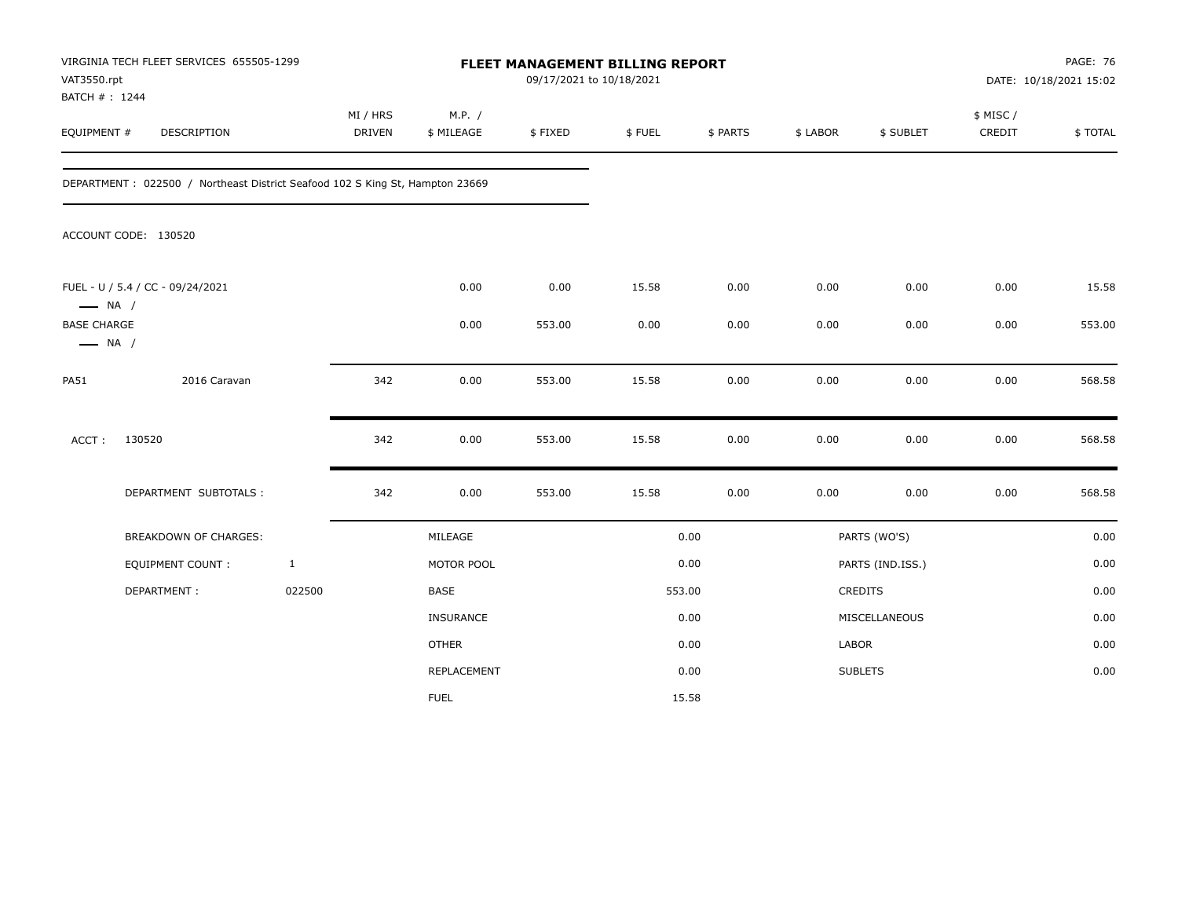| VAT3550.rpt<br>BATCH #: 1244                 | VIRGINIA TECH FLEET SERVICES 655505-1299                                     |              |                           |                      | FLEET MANAGEMENT BILLING REPORT<br>09/17/2021 to 10/18/2021 |        |          |          |                  |                    | PAGE: 76<br>DATE: 10/18/2021 15:02 |
|----------------------------------------------|------------------------------------------------------------------------------|--------------|---------------------------|----------------------|-------------------------------------------------------------|--------|----------|----------|------------------|--------------------|------------------------------------|
| EQUIPMENT #                                  | DESCRIPTION                                                                  |              | MI / HRS<br><b>DRIVEN</b> | M.P. /<br>\$ MILEAGE | \$FIXED                                                     | \$FUEL | \$ PARTS | \$ LABOR | \$ SUBLET        | \$ MISC/<br>CREDIT | \$TOTAL                            |
|                                              | DEPARTMENT: 022500 / Northeast District Seafood 102 S King St, Hampton 23669 |              |                           |                      |                                                             |        |          |          |                  |                    |                                    |
|                                              | ACCOUNT CODE: 130520                                                         |              |                           |                      |                                                             |        |          |          |                  |                    |                                    |
| $\longrightarrow$ NA /                       | FUEL - U / 5.4 / CC - 09/24/2021                                             |              |                           | 0.00                 | 0.00                                                        | 15.58  | 0.00     | 0.00     | 0.00             | 0.00               | 15.58                              |
| <b>BASE CHARGE</b><br>$\longrightarrow$ NA / |                                                                              |              |                           | 0.00                 | 553.00                                                      | 0.00   | 0.00     | 0.00     | 0.00             | 0.00               | 553.00                             |
| <b>PA51</b>                                  | 2016 Caravan                                                                 |              | 342                       | 0.00                 | 553.00                                                      | 15.58  | 0.00     | 0.00     | 0.00             | 0.00               | 568.58                             |
| ACCT:                                        | 130520                                                                       |              | 342                       | 0.00                 | 553.00                                                      | 15.58  | 0.00     | 0.00     | 0.00             | 0.00               | 568.58                             |
|                                              | DEPARTMENT SUBTOTALS :                                                       |              | 342                       | 0.00                 | 553.00                                                      | 15.58  | 0.00     | 0.00     | 0.00             | 0.00               | 568.58                             |
|                                              | BREAKDOWN OF CHARGES:                                                        |              |                           | MILEAGE              |                                                             |        | 0.00     |          | PARTS (WO'S)     |                    | 0.00                               |
|                                              | <b>EQUIPMENT COUNT:</b>                                                      | $\mathbf{1}$ |                           | MOTOR POOL           |                                                             |        | 0.00     |          | PARTS (IND.ISS.) |                    | 0.00                               |
|                                              | DEPARTMENT:                                                                  | 022500       |                           | BASE                 |                                                             |        | 553.00   |          | <b>CREDITS</b>   |                    | 0.00                               |
|                                              |                                                                              |              |                           | INSURANCE            |                                                             |        | 0.00     |          | MISCELLANEOUS    |                    | 0.00                               |
|                                              |                                                                              |              |                           | <b>OTHER</b>         |                                                             |        | 0.00     | LABOR    |                  |                    | 0.00                               |
|                                              |                                                                              |              |                           | REPLACEMENT          |                                                             |        | 0.00     |          | <b>SUBLETS</b>   |                    | 0.00                               |
|                                              |                                                                              |              |                           | <b>FUEL</b>          |                                                             |        | 15.58    |          |                  |                    |                                    |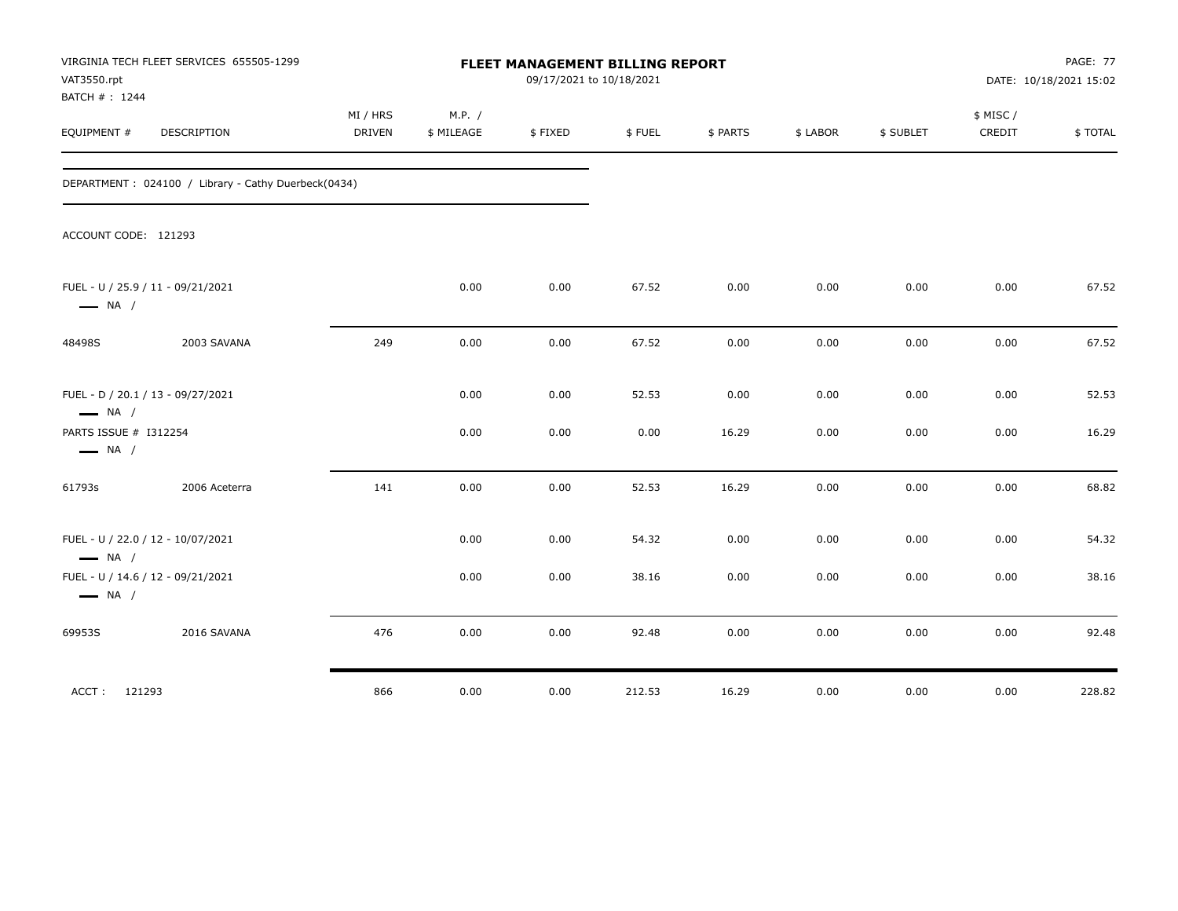| VAT3550.rpt<br>BATCH # : 1244                               | VIRGINIA TECH FLEET SERVICES 655505-1299            |                           |                      | FLEET MANAGEMENT BILLING REPORT<br>09/17/2021 to 10/18/2021 |        |          |          |           |                    | PAGE: 77<br>DATE: 10/18/2021 15:02 |
|-------------------------------------------------------------|-----------------------------------------------------|---------------------------|----------------------|-------------------------------------------------------------|--------|----------|----------|-----------|--------------------|------------------------------------|
| EQUIPMENT #                                                 | <b>DESCRIPTION</b>                                  | MI / HRS<br><b>DRIVEN</b> | M.P. /<br>\$ MILEAGE | \$FIXED                                                     | \$FUEL | \$ PARTS | \$ LABOR | \$ SUBLET | \$ MISC/<br>CREDIT | \$ TOTAL                           |
|                                                             | DEPARTMENT: 024100 / Library - Cathy Duerbeck(0434) |                           |                      |                                                             |        |          |          |           |                    |                                    |
| ACCOUNT CODE: 121293                                        |                                                     |                           |                      |                                                             |        |          |          |           |                    |                                    |
| FUEL - U / 25.9 / 11 - 09/21/2021<br>$\longrightarrow$ NA / |                                                     |                           | 0.00                 | 0.00                                                        | 67.52  | 0.00     | 0.00     | 0.00      | 0.00               | 67.52                              |
| 48498S                                                      | 2003 SAVANA                                         | 249                       | 0.00                 | 0.00                                                        | 67.52  | 0.00     | 0.00     | 0.00      | 0.00               | 67.52                              |
| FUEL - D / 20.1 / 13 - 09/27/2021<br>$\longrightarrow$ NA / |                                                     |                           | 0.00                 | 0.00                                                        | 52.53  | 0.00     | 0.00     | 0.00      | 0.00               | 52.53                              |
| PARTS ISSUE # I312254<br>$\longrightarrow$ NA /             |                                                     |                           | 0.00                 | 0.00                                                        | 0.00   | 16.29    | 0.00     | 0.00      | 0.00               | 16.29                              |
| 61793s                                                      | 2006 Aceterra                                       | 141                       | 0.00                 | 0.00                                                        | 52.53  | 16.29    | 0.00     | 0.00      | 0.00               | 68.82                              |
| FUEL - U / 22.0 / 12 - 10/07/2021<br>$\longrightarrow$ NA / |                                                     |                           | 0.00                 | 0.00                                                        | 54.32  | 0.00     | 0.00     | 0.00      | 0.00               | 54.32                              |
| FUEL - U / 14.6 / 12 - 09/21/2021<br>$\longrightarrow$ NA / |                                                     |                           | 0.00                 | 0.00                                                        | 38.16  | 0.00     | 0.00     | 0.00      | 0.00               | 38.16                              |
| 69953S                                                      | 2016 SAVANA                                         | 476                       | 0.00                 | 0.00                                                        | 92.48  | 0.00     | 0.00     | 0.00      | 0.00               | 92.48                              |
| ACCT: 121293                                                |                                                     | 866                       | 0.00                 | 0.00                                                        | 212.53 | 16.29    | 0.00     | 0.00      | 0.00               | 228.82                             |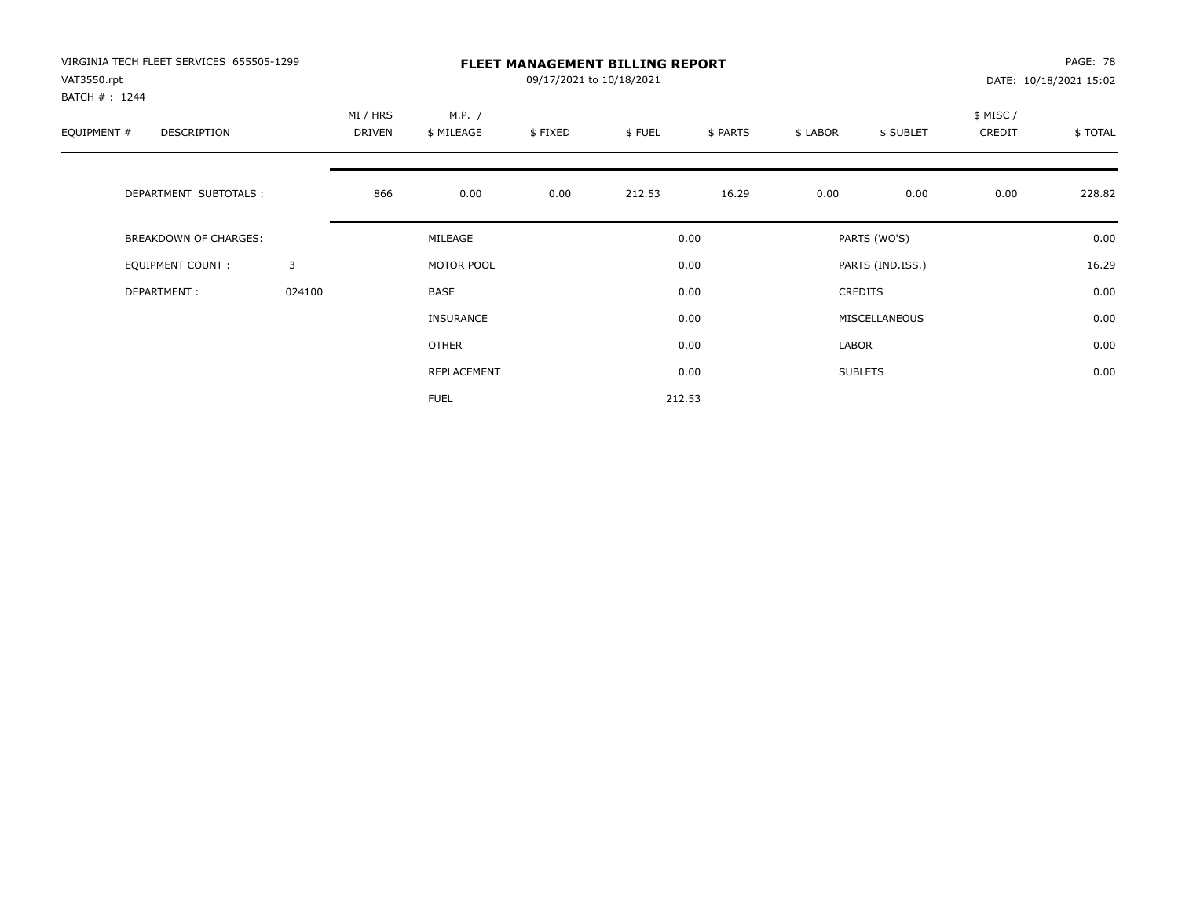| VIRGINIA TECH FLEET SERVICES 655505-1299<br>VAT3550.rpt<br>BATCH #: 1244 |        |                    |                      | 09/17/2021 to 10/18/2021 | <b>FLEET MANAGEMENT BILLING REPORT</b> |          |          |                  |                     | PAGE: 78<br>DATE: 10/18/2021 15:02 |
|--------------------------------------------------------------------------|--------|--------------------|----------------------|--------------------------|----------------------------------------|----------|----------|------------------|---------------------|------------------------------------|
| EQUIPMENT #<br><b>DESCRIPTION</b>                                        |        | MI / HRS<br>DRIVEN | M.P. /<br>\$ MILEAGE | \$FIXED                  | \$FUEL                                 | \$ PARTS | \$ LABOR | \$ SUBLET        | \$ MISC /<br>CREDIT | \$TOTAL                            |
| DEPARTMENT SUBTOTALS :                                                   |        | 866                | 0.00                 | 0.00                     | 212.53                                 | 16.29    | 0.00     | 0.00             | 0.00                | 228.82                             |
| <b>BREAKDOWN OF CHARGES:</b>                                             |        |                    | MILEAGE              |                          |                                        | 0.00     |          | PARTS (WO'S)     |                     | 0.00                               |
| <b>EQUIPMENT COUNT:</b>                                                  | 3      |                    | MOTOR POOL           |                          |                                        | 0.00     |          | PARTS (IND.ISS.) |                     | 16.29                              |
| DEPARTMENT:                                                              | 024100 |                    | <b>BASE</b>          |                          |                                        | 0.00     |          | <b>CREDITS</b>   |                     | 0.00                               |
|                                                                          |        |                    | INSURANCE            |                          |                                        | 0.00     |          | MISCELLANEOUS    |                     | 0.00                               |
|                                                                          |        |                    | OTHER                |                          |                                        | 0.00     | LABOR    |                  |                     | 0.00                               |
|                                                                          |        |                    | REPLACEMENT          |                          |                                        | 0.00     |          | <b>SUBLETS</b>   |                     | 0.00                               |
|                                                                          |        |                    | <b>FUEL</b>          |                          |                                        | 212.53   |          |                  |                     |                                    |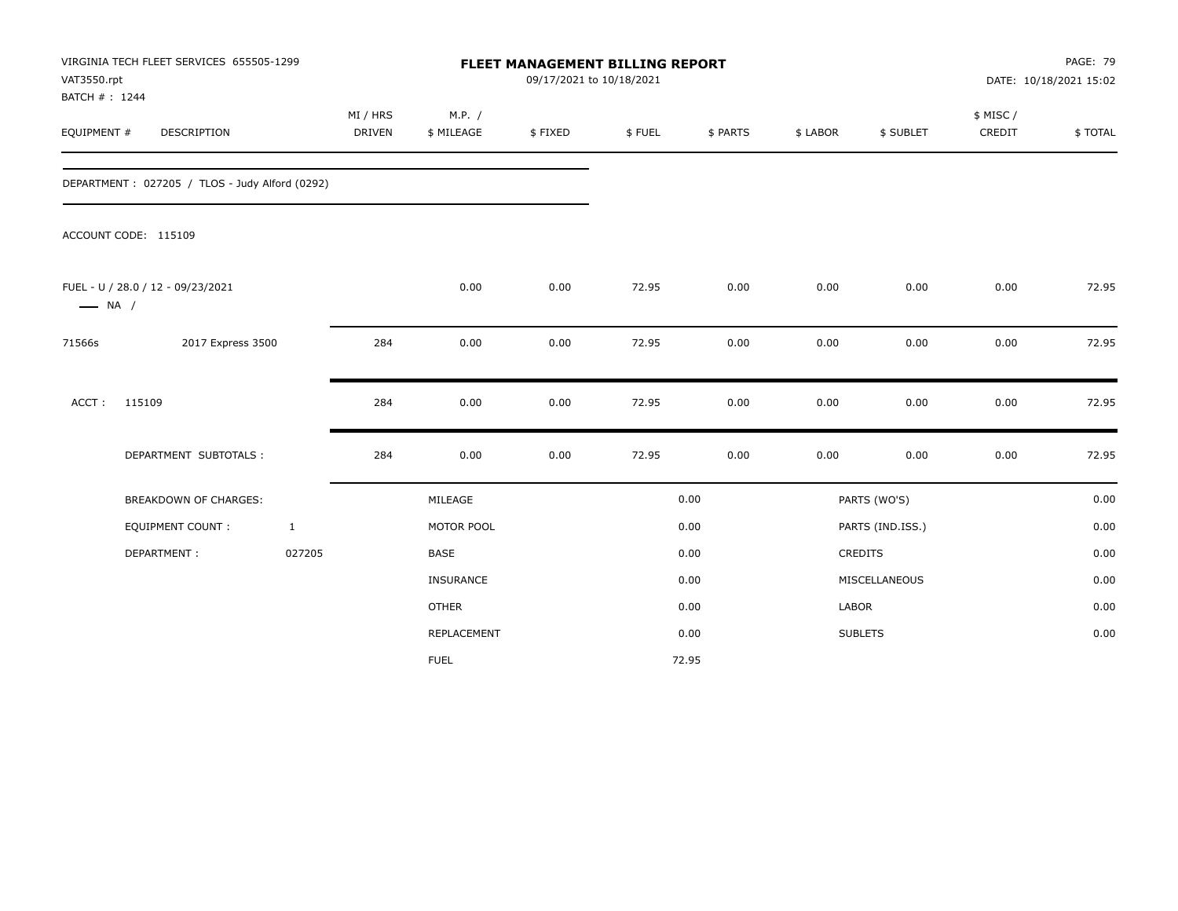| VAT3550.rpt<br>BATCH #: 1244 | VIRGINIA TECH FLEET SERVICES 655505-1299       |                           |                      | FLEET MANAGEMENT BILLING REPORT<br>09/17/2021 to 10/18/2021 |        |          |              |                  |                    | <b>PAGE: 79</b><br>DATE: 10/18/2021 15:02 |
|------------------------------|------------------------------------------------|---------------------------|----------------------|-------------------------------------------------------------|--------|----------|--------------|------------------|--------------------|-------------------------------------------|
| EQUIPMENT #                  | DESCRIPTION                                    | MI / HRS<br><b>DRIVEN</b> | M.P. /<br>\$ MILEAGE | \$FIXED                                                     | \$FUEL | \$ PARTS | \$ LABOR     | \$ SUBLET        | \$ MISC/<br>CREDIT | \$TOTAL                                   |
|                              | DEPARTMENT: 027205 / TLOS - Judy Alford (0292) |                           |                      |                                                             |        |          |              |                  |                    |                                           |
|                              | ACCOUNT CODE: 115109                           |                           |                      |                                                             |        |          |              |                  |                    |                                           |
| $\longrightarrow$ NA /       | FUEL - U / 28.0 / 12 - 09/23/2021              |                           | 0.00                 | 0.00                                                        | 72.95  | 0.00     | 0.00         | 0.00             | 0.00               | 72.95                                     |
| 71566s                       | 2017 Express 3500                              | 284                       | 0.00                 | 0.00                                                        | 72.95  | 0.00     | 0.00         | 0.00             | 0.00               | 72.95                                     |
| $ACCT$ :                     | 115109                                         | 284                       | 0.00                 | 0.00                                                        | 72.95  | 0.00     | 0.00         | 0.00             | 0.00               | 72.95                                     |
|                              | DEPARTMENT SUBTOTALS :                         | 284                       | 0.00                 | 0.00                                                        | 72.95  | 0.00     | 0.00         | 0.00             | 0.00               | 72.95                                     |
|                              | BREAKDOWN OF CHARGES:                          |                           | MILEAGE              |                                                             |        | 0.00     |              | PARTS (WO'S)     |                    | 0.00                                      |
|                              | <b>EQUIPMENT COUNT:</b>                        | $\mathbf{1}$              | MOTOR POOL           |                                                             |        | 0.00     |              | PARTS (IND.ISS.) |                    | 0.00                                      |
|                              | DEPARTMENT:                                    | 027205                    | <b>BASE</b>          |                                                             |        | 0.00     |              | CREDITS          |                    | 0.00                                      |
|                              |                                                |                           | INSURANCE            |                                                             |        | 0.00     |              | MISCELLANEOUS    |                    | 0.00                                      |
|                              |                                                |                           | <b>OTHER</b>         |                                                             |        | 0.00     | <b>LABOR</b> |                  |                    | 0.00                                      |
|                              |                                                |                           | REPLACEMENT          |                                                             |        | 0.00     |              | <b>SUBLETS</b>   |                    | 0.00                                      |
|                              |                                                |                           | <b>FUEL</b>          |                                                             |        | 72.95    |              |                  |                    |                                           |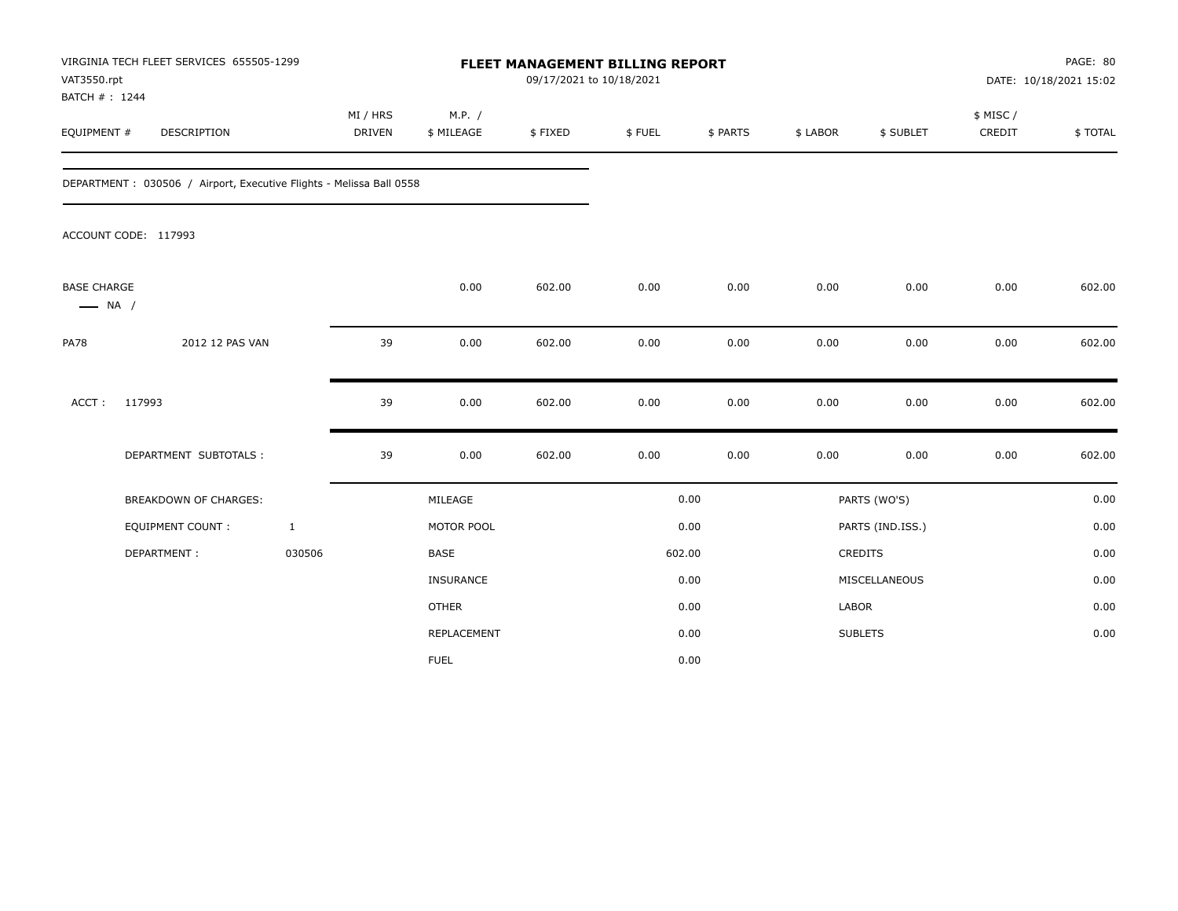| VAT3550.rpt<br>BATCH #: 1244                 | VIRGINIA TECH FLEET SERVICES 655505-1299                             |                           |                      | FLEET MANAGEMENT BILLING REPORT<br>09/17/2021 to 10/18/2021 |        |          |              |                  |                    | PAGE: 80<br>DATE: 10/18/2021 15:02 |
|----------------------------------------------|----------------------------------------------------------------------|---------------------------|----------------------|-------------------------------------------------------------|--------|----------|--------------|------------------|--------------------|------------------------------------|
| EQUIPMENT #                                  | <b>DESCRIPTION</b>                                                   | MI / HRS<br><b>DRIVEN</b> | M.P. /<br>\$ MILEAGE | \$FIXED                                                     | \$FUEL | \$ PARTS | \$ LABOR     | \$ SUBLET        | \$ MISC/<br>CREDIT | \$TOTAL                            |
|                                              | DEPARTMENT : 030506 / Airport, Executive Flights - Melissa Ball 0558 |                           |                      |                                                             |        |          |              |                  |                    |                                    |
|                                              | ACCOUNT CODE: 117993                                                 |                           |                      |                                                             |        |          |              |                  |                    |                                    |
| <b>BASE CHARGE</b><br>$\longrightarrow$ NA / |                                                                      |                           | 0.00                 | 602.00                                                      | 0.00   | 0.00     | 0.00         | 0.00             | 0.00               | 602.00                             |
| <b>PA78</b>                                  | 2012 12 PAS VAN                                                      | 39                        | 0.00                 | 602.00                                                      | 0.00   | 0.00     | 0.00         | 0.00             | 0.00               | 602.00                             |
| ACCT:                                        | 117993                                                               | 39                        | 0.00                 | 602.00                                                      | 0.00   | 0.00     | 0.00         | 0.00             | 0.00               | 602.00                             |
|                                              | DEPARTMENT SUBTOTALS :                                               | 39                        | 0.00                 | 602.00                                                      | 0.00   | 0.00     | 0.00         | 0.00             | 0.00               | 602.00                             |
|                                              | <b>BREAKDOWN OF CHARGES:</b>                                         |                           | MILEAGE              |                                                             |        | 0.00     |              | PARTS (WO'S)     |                    | 0.00                               |
|                                              | <b>EQUIPMENT COUNT:</b>                                              | $\mathbf{1}$              | MOTOR POOL           |                                                             |        | 0.00     |              | PARTS (IND.ISS.) |                    | 0.00                               |
|                                              | DEPARTMENT:                                                          | 030506                    | <b>BASE</b>          |                                                             | 602.00 |          |              | <b>CREDITS</b>   |                    | 0.00                               |
|                                              |                                                                      |                           | <b>INSURANCE</b>     |                                                             |        | 0.00     |              | MISCELLANEOUS    |                    | 0.00                               |
|                                              |                                                                      |                           | <b>OTHER</b>         |                                                             |        | 0.00     | <b>LABOR</b> |                  |                    | 0.00                               |
|                                              |                                                                      |                           | REPLACEMENT          |                                                             |        | 0.00     |              | <b>SUBLETS</b>   |                    | 0.00                               |
|                                              |                                                                      |                           | <b>FUEL</b>          |                                                             |        | 0.00     |              |                  |                    |                                    |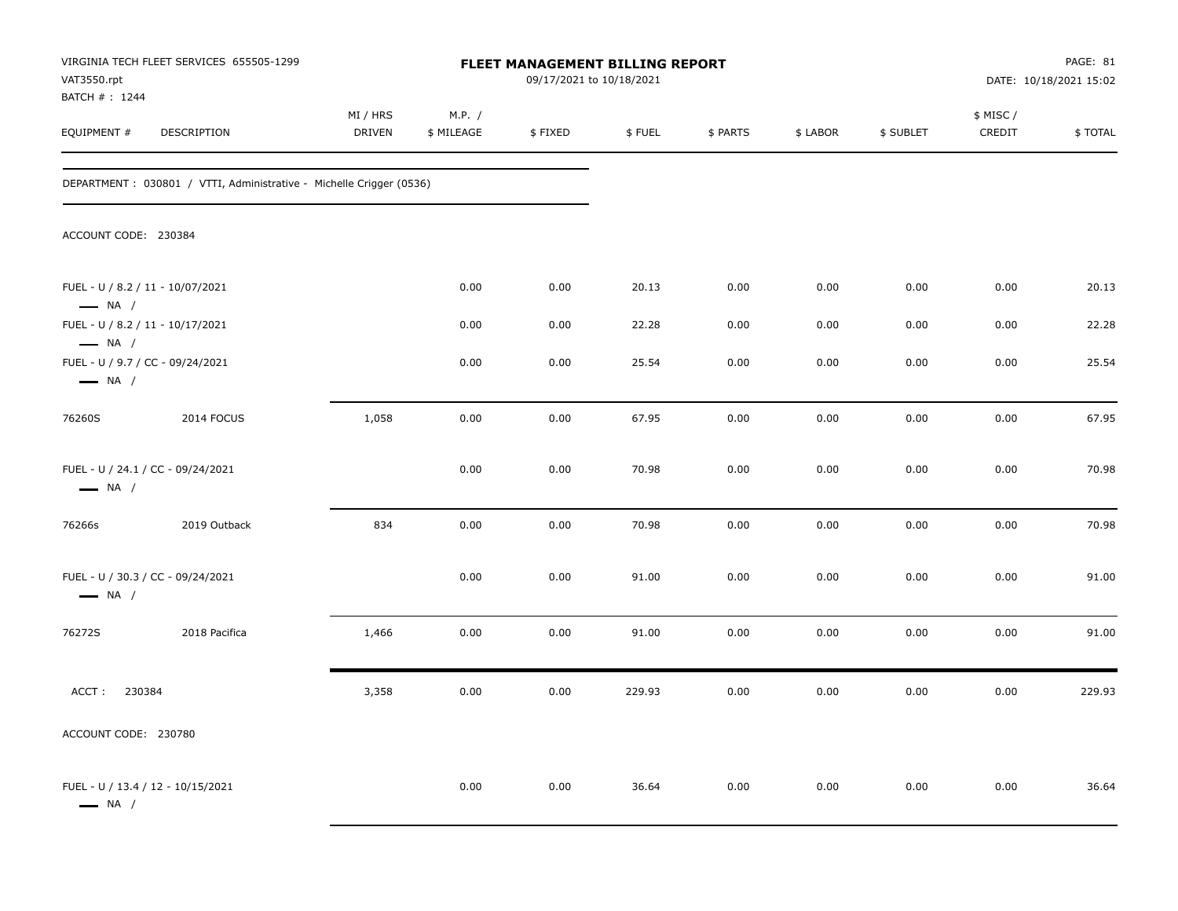| VAT3550.rpt                                                 | VIRGINIA TECH FLEET SERVICES 655505-1299                             |                    |                      | FLEET MANAGEMENT BILLING REPORT<br>09/17/2021 to 10/18/2021 |        |          |          |           |                     | PAGE: 81<br>DATE: 10/18/2021 15:02 |
|-------------------------------------------------------------|----------------------------------------------------------------------|--------------------|----------------------|-------------------------------------------------------------|--------|----------|----------|-----------|---------------------|------------------------------------|
| BATCH # : 1244<br>EQUIPMENT #                               | DESCRIPTION                                                          | MI / HRS<br>DRIVEN | M.P. /<br>\$ MILEAGE | \$FIXED                                                     | \$FUEL | \$ PARTS | \$ LABOR | \$ SUBLET | \$ MISC /<br>CREDIT | \$TOTAL                            |
|                                                             | DEPARTMENT : 030801 / VTTI, Administrative - Michelle Crigger (0536) |                    |                      |                                                             |        |          |          |           |                     |                                    |
| ACCOUNT CODE: 230384                                        |                                                                      |                    |                      |                                                             |        |          |          |           |                     |                                    |
| FUEL - U / 8.2 / 11 - 10/07/2021<br>$\longrightarrow$ NA /  |                                                                      |                    | 0.00                 | 0.00                                                        | 20.13  | 0.00     | 0.00     | 0.00      | 0.00                | 20.13                              |
| FUEL - U / 8.2 / 11 - 10/17/2021<br>$\longrightarrow$ NA /  |                                                                      |                    | 0.00                 | 0.00                                                        | 22.28  | 0.00     | 0.00     | 0.00      | 0.00                | 22.28                              |
| FUEL - U / 9.7 / CC - 09/24/2021<br>$\longrightarrow$ NA /  |                                                                      |                    | 0.00                 | 0.00                                                        | 25.54  | 0.00     | 0.00     | 0.00      | 0.00                | 25.54                              |
| 76260S                                                      | 2014 FOCUS                                                           | 1,058              | 0.00                 | 0.00                                                        | 67.95  | 0.00     | 0.00     | 0.00      | 0.00                | 67.95                              |
| FUEL - U / 24.1 / CC - 09/24/2021<br>$\longrightarrow$ NA / |                                                                      |                    | 0.00                 | 0.00                                                        | 70.98  | 0.00     | 0.00     | 0.00      | 0.00                | 70.98                              |
| 76266s                                                      | 2019 Outback                                                         | 834                | 0.00                 | 0.00                                                        | 70.98  | 0.00     | 0.00     | 0.00      | 0.00                | 70.98                              |
| FUEL - U / 30.3 / CC - 09/24/2021<br>$\longrightarrow$ NA / |                                                                      |                    | 0.00                 | 0.00                                                        | 91.00  | 0.00     | 0.00     | 0.00      | 0.00                | 91.00                              |
| 76272S                                                      | 2018 Pacifica                                                        | 1,466              | 0.00                 | 0.00                                                        | 91.00  | 0.00     | 0.00     | 0.00      | 0.00                | 91.00                              |
| ACCT:<br>230384                                             |                                                                      | 3,358              | 0.00                 | 0.00                                                        | 229.93 | 0.00     | 0.00     | 0.00      | 0.00                | 229.93                             |
| ACCOUNT CODE: 230780                                        |                                                                      |                    |                      |                                                             |        |          |          |           |                     |                                    |
| FUEL - U / 13.4 / 12 - 10/15/2021<br>$\longrightarrow$ NA / |                                                                      |                    | 0.00                 | 0.00                                                        | 36.64  | 0.00     | 0.00     | 0.00      | 0.00                | 36.64                              |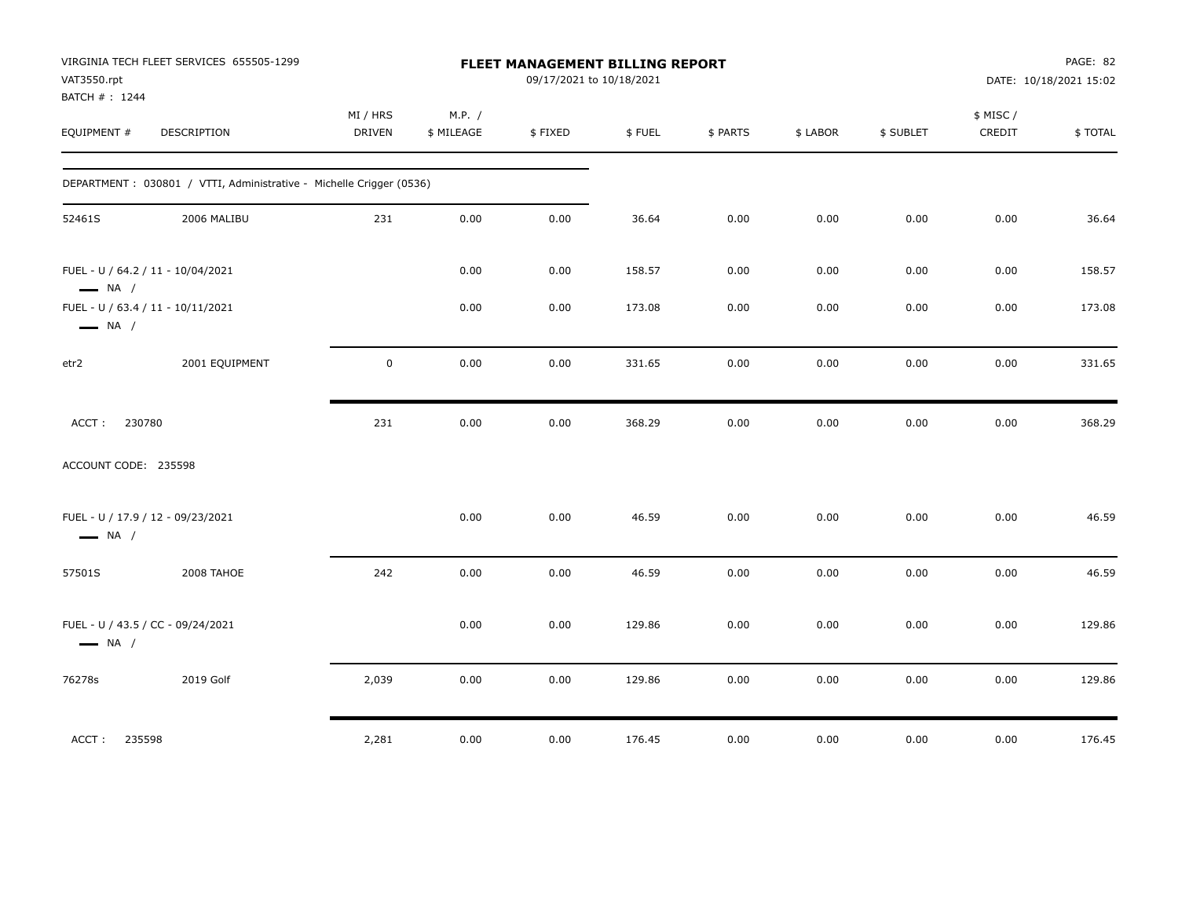| VAT3550.rpt<br>BATCH # : 1244 | VIRGINIA TECH FLEET SERVICES 655505-1299                             |                    |                      | FLEET MANAGEMENT BILLING REPORT<br>09/17/2021 to 10/18/2021 |        |          |          |           |                     | PAGE: 82<br>DATE: 10/18/2021 15:02 |
|-------------------------------|----------------------------------------------------------------------|--------------------|----------------------|-------------------------------------------------------------|--------|----------|----------|-----------|---------------------|------------------------------------|
| EQUIPMENT #                   | DESCRIPTION                                                          | MI / HRS<br>DRIVEN | M.P. /<br>\$ MILEAGE | \$FIXED                                                     | \$FUEL | \$ PARTS | \$ LABOR | \$ SUBLET | \$ MISC /<br>CREDIT | \$TOTAL                            |
|                               | DEPARTMENT : 030801 / VTTI, Administrative - Michelle Crigger (0536) |                    |                      |                                                             |        |          |          |           |                     |                                    |
| 52461S                        | 2006 MALIBU                                                          | 231                | 0.00                 | 0.00                                                        | 36.64  | 0.00     | 0.00     | 0.00      | 0.00                | 36.64                              |
| $\longrightarrow$ NA /        | FUEL - U / 64.2 / 11 - 10/04/2021                                    |                    | 0.00                 | 0.00                                                        | 158.57 | 0.00     | 0.00     | 0.00      | 0.00                | 158.57                             |
| $\longrightarrow$ NA /        | FUEL - U / 63.4 / 11 - 10/11/2021                                    |                    | 0.00                 | 0.00                                                        | 173.08 | 0.00     | 0.00     | 0.00      | 0.00                | 173.08                             |
| etr2                          | 2001 EQUIPMENT                                                       | $\mathsf 0$        | 0.00                 | 0.00                                                        | 331.65 | 0.00     | 0.00     | 0.00      | 0.00                | 331.65                             |
| 230780<br>ACCT:               |                                                                      | 231                | 0.00                 | 0.00                                                        | 368.29 | 0.00     | 0.00     | 0.00      | 0.00                | 368.29                             |
| ACCOUNT CODE: 235598          |                                                                      |                    |                      |                                                             |        |          |          |           |                     |                                    |
| $\longrightarrow$ NA /        | FUEL - U / 17.9 / 12 - 09/23/2021                                    |                    | 0.00                 | 0.00                                                        | 46.59  | 0.00     | 0.00     | 0.00      | 0.00                | 46.59                              |
| 57501S                        | 2008 TAHOE                                                           | 242                | 0.00                 | 0.00                                                        | 46.59  | 0.00     | 0.00     | 0.00      | 0.00                | 46.59                              |
| $\longrightarrow$ NA /        | FUEL - U / 43.5 / CC - 09/24/2021                                    |                    | 0.00                 | 0.00                                                        | 129.86 | 0.00     | 0.00     | 0.00      | 0.00                | 129.86                             |
| 76278s                        | 2019 Golf                                                            | 2,039              | 0.00                 | 0.00                                                        | 129.86 | 0.00     | 0.00     | 0.00      | 0.00                | 129.86                             |
| ACCT:<br>235598               |                                                                      | 2,281              | 0.00                 | 0.00                                                        | 176.45 | 0.00     | 0.00     | 0.00      | 0.00                | 176.45                             |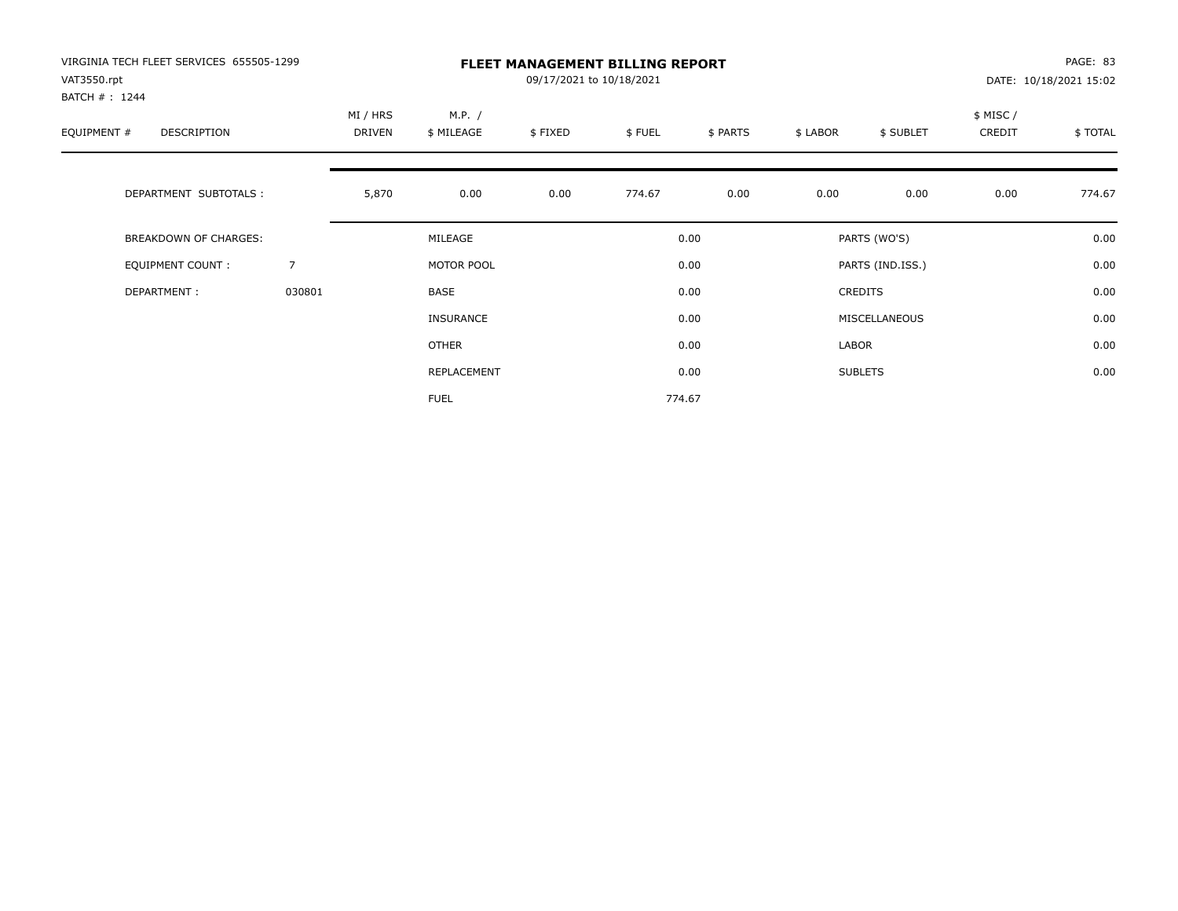| VIRGINIA TECH FLEET SERVICES 655505-1299<br>VAT3550.rpt |        |                           |                      | 09/17/2021 to 10/18/2021 | <b>FLEET MANAGEMENT BILLING REPORT</b> |          |          |                  |                     | PAGE: 83<br>DATE: 10/18/2021 15:02 |
|---------------------------------------------------------|--------|---------------------------|----------------------|--------------------------|----------------------------------------|----------|----------|------------------|---------------------|------------------------------------|
| BATCH #: 1244<br>EQUIPMENT #<br>DESCRIPTION             |        | MI / HRS<br><b>DRIVEN</b> | M.P. /<br>\$ MILEAGE | \$FIXED                  | \$FUEL                                 | \$ PARTS | \$ LABOR | \$ SUBLET        | \$ MISC /<br>CREDIT | \$TOTAL                            |
| DEPARTMENT SUBTOTALS :                                  |        | 5,870                     | 0.00                 | 0.00                     | 774.67                                 | 0.00     | 0.00     | 0.00             | 0.00                | 774.67                             |
| <b>BREAKDOWN OF CHARGES:</b>                            |        |                           | MILEAGE              |                          |                                        | 0.00     |          | PARTS (WO'S)     |                     | 0.00                               |
| EQUIPMENT COUNT:                                        | 7      |                           | MOTOR POOL           |                          |                                        | 0.00     |          | PARTS (IND.ISS.) |                     | 0.00                               |
| DEPARTMENT:                                             | 030801 |                           | <b>BASE</b>          |                          |                                        | 0.00     |          | <b>CREDITS</b>   |                     | 0.00                               |
|                                                         |        |                           | <b>INSURANCE</b>     |                          |                                        | 0.00     |          | MISCELLANEOUS    |                     | 0.00                               |
|                                                         |        |                           | OTHER                |                          |                                        | 0.00     | LABOR    |                  |                     | 0.00                               |
|                                                         |        |                           | REPLACEMENT          |                          |                                        | 0.00     |          | <b>SUBLETS</b>   |                     | 0.00                               |
|                                                         |        |                           | <b>FUEL</b>          |                          |                                        | 774.67   |          |                  |                     |                                    |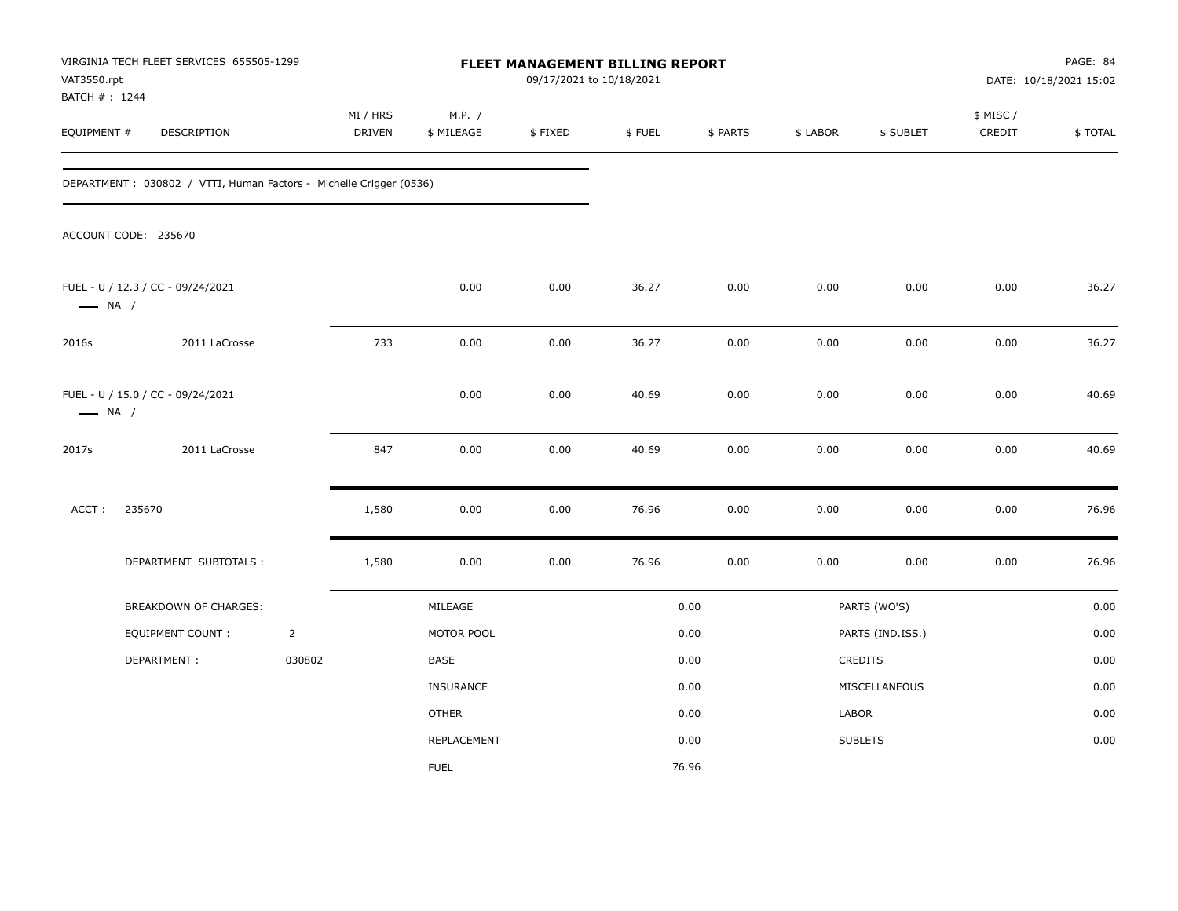| VAT3550.rpt<br>BATCH # : 1244 | VIRGINIA TECH FLEET SERVICES 655505-1299                           |                |                           |                      | FLEET MANAGEMENT BILLING REPORT<br>09/17/2021 to 10/18/2021 |        |          |          |                  |                     | PAGE: 84<br>DATE: 10/18/2021 15:02 |
|-------------------------------|--------------------------------------------------------------------|----------------|---------------------------|----------------------|-------------------------------------------------------------|--------|----------|----------|------------------|---------------------|------------------------------------|
| EQUIPMENT #                   | DESCRIPTION                                                        |                | MI / HRS<br><b>DRIVEN</b> | M.P. /<br>\$ MILEAGE | \$FIXED                                                     | \$FUEL | \$ PARTS | \$ LABOR | \$ SUBLET        | \$ MISC /<br>CREDIT | \$TOTAL                            |
|                               | DEPARTMENT: 030802 / VTTI, Human Factors - Michelle Crigger (0536) |                |                           |                      |                                                             |        |          |          |                  |                     |                                    |
|                               | ACCOUNT CODE: 235670                                               |                |                           |                      |                                                             |        |          |          |                  |                     |                                    |
| $\longrightarrow$ NA /        | FUEL - U / 12.3 / CC - 09/24/2021                                  |                |                           | 0.00                 | 0.00                                                        | 36.27  | 0.00     | 0.00     | 0.00             | 0.00                | 36.27                              |
| 2016s                         | 2011 LaCrosse                                                      |                | 733                       | 0.00                 | 0.00                                                        | 36.27  | 0.00     | 0.00     | 0.00             | 0.00                | 36.27                              |
| $\longrightarrow$ NA /        | FUEL - U / 15.0 / CC - 09/24/2021                                  |                |                           | 0.00                 | 0.00                                                        | 40.69  | 0.00     | 0.00     | 0.00             | 0.00                | 40.69                              |
| 2017s                         | 2011 LaCrosse                                                      |                | 847                       | 0.00                 | 0.00                                                        | 40.69  | 0.00     | 0.00     | 0.00             | 0.00                | 40.69                              |
| ACCT:                         | 235670                                                             |                | 1,580                     | 0.00                 | 0.00                                                        | 76.96  | 0.00     | 0.00     | 0.00             | 0.00                | 76.96                              |
|                               | DEPARTMENT SUBTOTALS :                                             |                | 1,580                     | 0.00                 | 0.00                                                        | 76.96  | 0.00     | 0.00     | 0.00             | 0.00                | 76.96                              |
|                               | BREAKDOWN OF CHARGES:                                              |                |                           | MILEAGE              |                                                             |        | 0.00     |          | PARTS (WO'S)     |                     | 0.00                               |
|                               | EQUIPMENT COUNT :                                                  | $\overline{2}$ |                           | MOTOR POOL           |                                                             |        | 0.00     |          | PARTS (IND.ISS.) |                     | 0.00                               |
|                               | DEPARTMENT:                                                        | 030802         |                           | BASE                 |                                                             |        | 0.00     |          | CREDITS          |                     | 0.00                               |
|                               |                                                                    |                |                           | <b>INSURANCE</b>     |                                                             |        | 0.00     |          | MISCELLANEOUS    |                     | 0.00                               |
|                               |                                                                    |                |                           | <b>OTHER</b>         |                                                             |        | 0.00     | LABOR    |                  |                     | 0.00                               |
|                               |                                                                    |                |                           | REPLACEMENT          |                                                             |        | 0.00     |          | <b>SUBLETS</b>   |                     | 0.00                               |
|                               |                                                                    |                |                           | <b>FUEL</b>          |                                                             |        | 76.96    |          |                  |                     |                                    |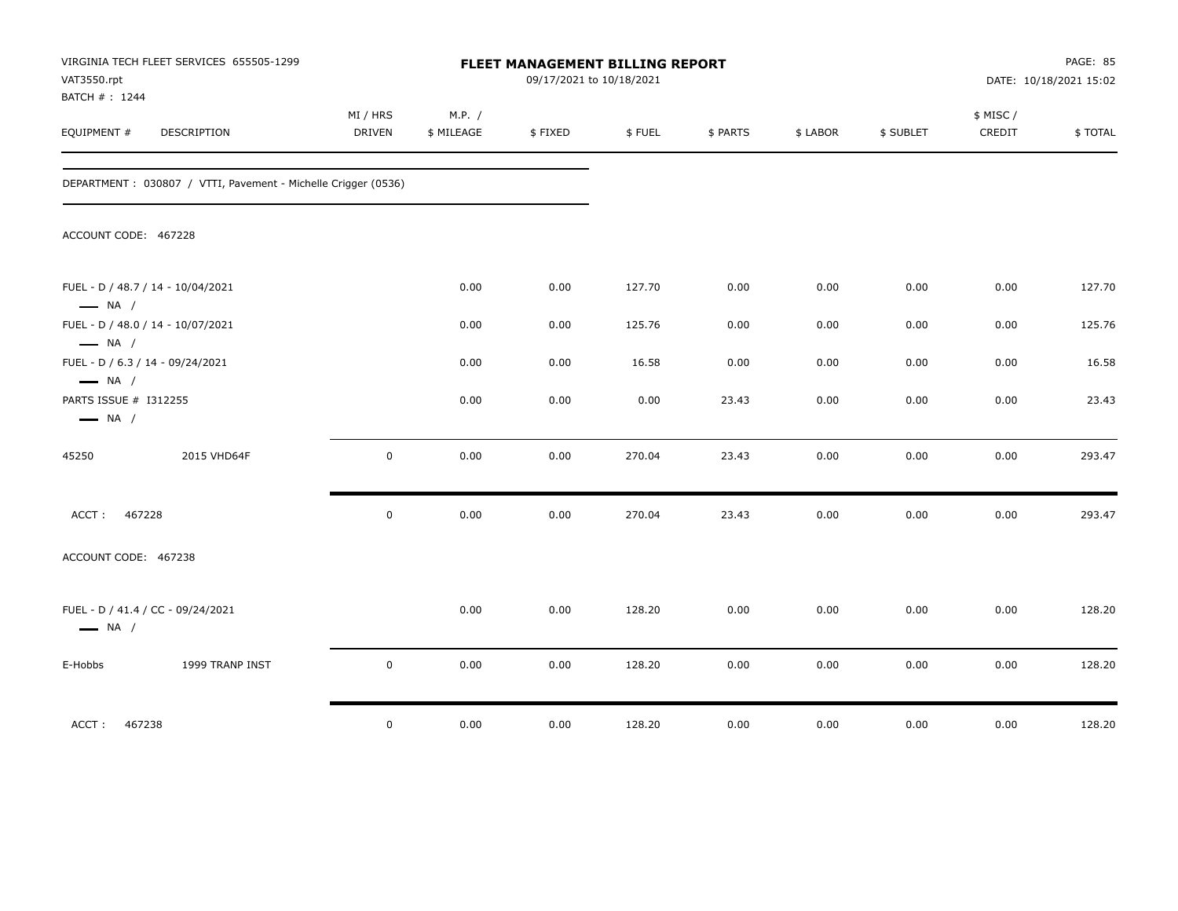| VAT3550.rpt<br>BATCH #: 1244                    | VIRGINIA TECH FLEET SERVICES 655505-1299                      | FLEET MANAGEMENT BILLING REPORT<br>09/17/2021 to 10/18/2021 |                      |         |        |          |          |           |                    | PAGE: 85<br>DATE: 10/18/2021 15:02 |
|-------------------------------------------------|---------------------------------------------------------------|-------------------------------------------------------------|----------------------|---------|--------|----------|----------|-----------|--------------------|------------------------------------|
| EQUIPMENT #                                     | DESCRIPTION                                                   | MI / HRS<br>DRIVEN                                          | M.P. /<br>\$ MILEAGE | \$FIXED | \$FUEL | \$ PARTS | \$ LABOR | \$ SUBLET | \$ MISC/<br>CREDIT | \$TOTAL                            |
|                                                 | DEPARTMENT: 030807 / VTTI, Pavement - Michelle Crigger (0536) |                                                             |                      |         |        |          |          |           |                    |                                    |
| ACCOUNT CODE: 467228                            |                                                               |                                                             |                      |         |        |          |          |           |                    |                                    |
| $\longrightarrow$ NA /                          | FUEL - D / 48.7 / 14 - 10/04/2021                             |                                                             | 0.00                 | 0.00    | 127.70 | 0.00     | 0.00     | 0.00      | 0.00               | 127.70                             |
| $\longrightarrow$ NA /                          | FUEL - D / 48.0 / 14 - 10/07/2021                             |                                                             | 0.00                 | 0.00    | 125.76 | 0.00     | 0.00     | 0.00      | 0.00               | 125.76                             |
| $\longrightarrow$ NA /                          | FUEL - D / 6.3 / 14 - 09/24/2021                              |                                                             | 0.00                 | 0.00    | 16.58  | 0.00     | 0.00     | 0.00      | 0.00               | 16.58                              |
| PARTS ISSUE # I312255<br>$\longrightarrow$ NA / |                                                               |                                                             | 0.00                 | 0.00    | 0.00   | 23.43    | 0.00     | 0.00      | 0.00               | 23.43                              |
| 45250                                           | 2015 VHD64F                                                   | $\mathsf 0$                                                 | 0.00                 | 0.00    | 270.04 | 23.43    | 0.00     | 0.00      | 0.00               | 293.47                             |
| 467228<br>ACCT:                                 |                                                               | $\mathsf 0$                                                 | 0.00                 | 0.00    | 270.04 | 23.43    | 0.00     | 0.00      | 0.00               | 293.47                             |
| ACCOUNT CODE: 467238                            |                                                               |                                                             |                      |         |        |          |          |           |                    |                                    |
| $\longrightarrow$ NA /                          | FUEL - D / 41.4 / CC - 09/24/2021                             |                                                             | 0.00                 | 0.00    | 128.20 | 0.00     | 0.00     | 0.00      | 0.00               | 128.20                             |
| E-Hobbs                                         | 1999 TRANP INST                                               | $\mathsf 0$                                                 | 0.00                 | 0.00    | 128.20 | 0.00     | 0.00     | 0.00      | 0.00               | 128.20                             |
| 467238<br>ACCT:                                 |                                                               | $\mathsf 0$                                                 | 0.00                 | 0.00    | 128.20 | 0.00     | 0.00     | 0.00      | 0.00               | 128.20                             |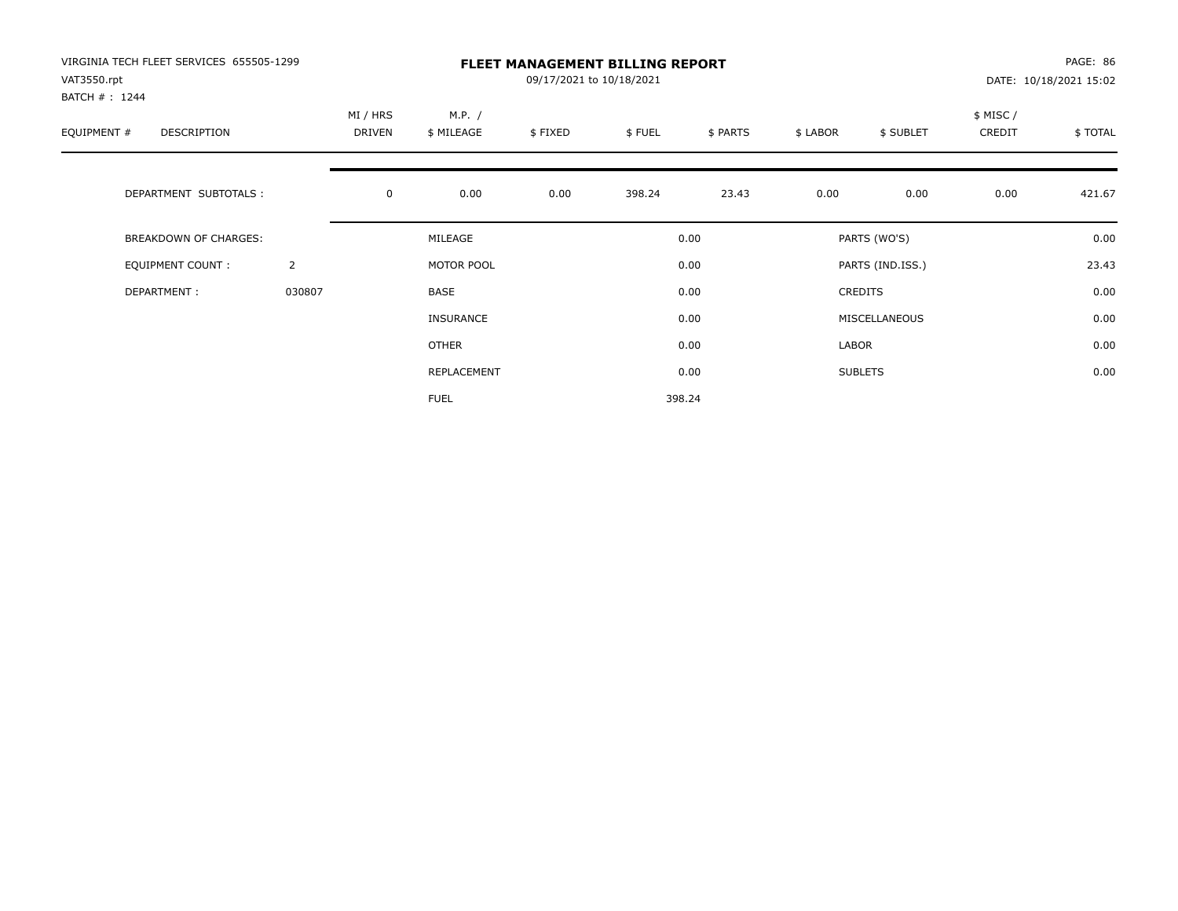| VIRGINIA TECH FLEET SERVICES 655505-1299<br>VAT3550.rpt<br>BATCH #: 1244 |                | <b>FLEET MANAGEMENT BILLING REPORT</b><br>09/17/2021 to 10/18/2021 |                      |         |        |          |          |                  |                    | PAGE: 86<br>DATE: 10/18/2021 15:02 |  |
|--------------------------------------------------------------------------|----------------|--------------------------------------------------------------------|----------------------|---------|--------|----------|----------|------------------|--------------------|------------------------------------|--|
| EQUIPMENT #<br>DESCRIPTION                                               |                | MI / HRS<br>DRIVEN                                                 | M.P. /<br>\$ MILEAGE | \$FIXED | \$FUEL | \$ PARTS | \$ LABOR | \$ SUBLET        | \$ MISC/<br>CREDIT | \$TOTAL                            |  |
| DEPARTMENT SUBTOTALS :                                                   |                | $\mathbf 0$                                                        | 0.00                 | 0.00    | 398.24 | 23.43    | 0.00     | 0.00             | 0.00               | 421.67                             |  |
| <b>BREAKDOWN OF CHARGES:</b>                                             |                |                                                                    | MILEAGE              |         |        | 0.00     |          | PARTS (WO'S)     |                    | 0.00                               |  |
| EQUIPMENT COUNT:                                                         | $\overline{2}$ |                                                                    | MOTOR POOL           |         |        | 0.00     |          | PARTS (IND.ISS.) |                    | 23.43                              |  |
| DEPARTMENT:                                                              | 030807         |                                                                    | <b>BASE</b>          |         |        | 0.00     |          | <b>CREDITS</b>   |                    | 0.00                               |  |
|                                                                          |                |                                                                    | <b>INSURANCE</b>     |         |        | 0.00     |          | MISCELLANEOUS    |                    | 0.00                               |  |
|                                                                          |                |                                                                    | OTHER                |         |        | 0.00     | LABOR    |                  |                    | 0.00                               |  |
|                                                                          |                |                                                                    | REPLACEMENT          |         |        | 0.00     |          | <b>SUBLETS</b>   |                    | 0.00                               |  |
|                                                                          |                |                                                                    | <b>FUEL</b>          |         |        | 398.24   |          |                  |                    |                                    |  |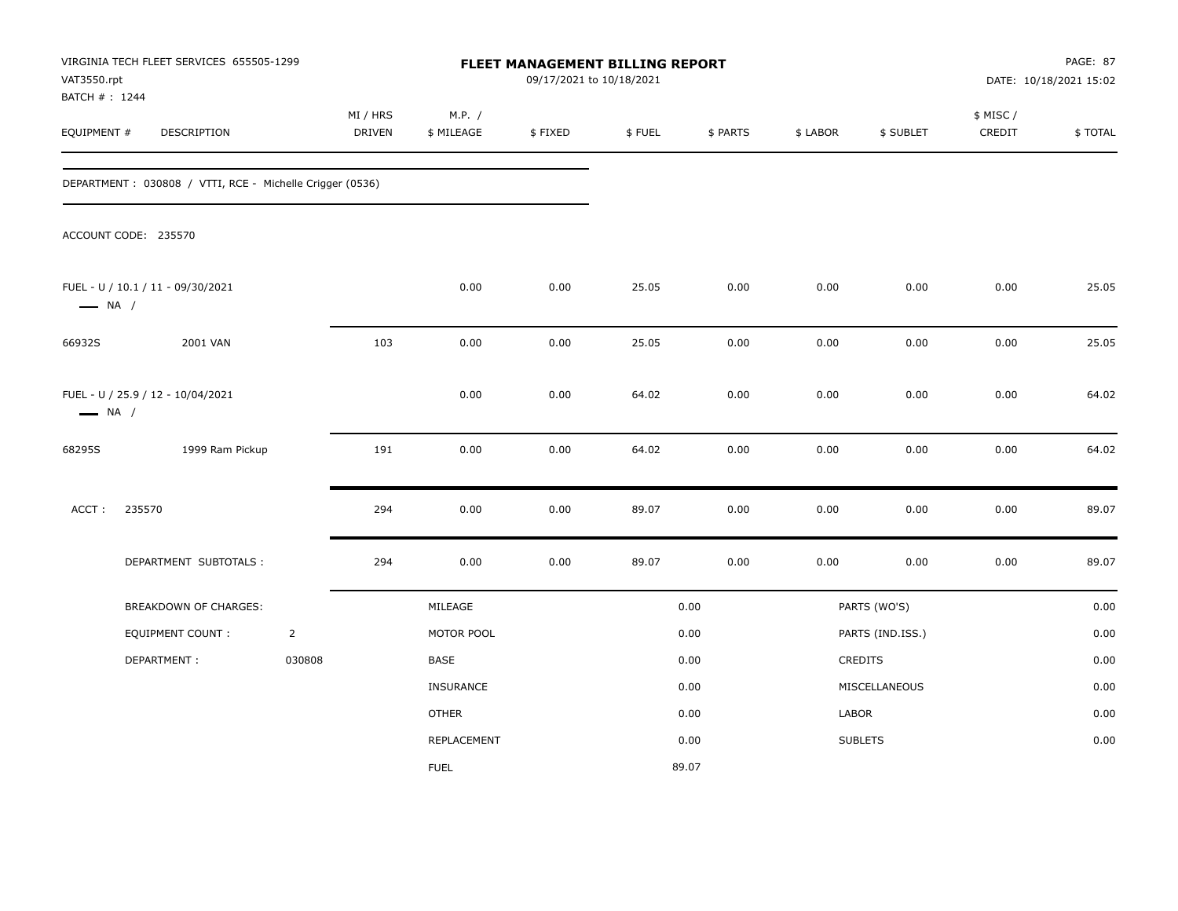| VAT3550.rpt<br>BATCH #: 1244 | VIRGINIA TECH FLEET SERVICES 655505-1299                  |                |                           |                      | FLEET MANAGEMENT BILLING REPORT<br>09/17/2021 to 10/18/2021 |        |          |          |                  |                    | PAGE: 87<br>DATE: 10/18/2021 15:02 |
|------------------------------|-----------------------------------------------------------|----------------|---------------------------|----------------------|-------------------------------------------------------------|--------|----------|----------|------------------|--------------------|------------------------------------|
| EQUIPMENT #                  | DESCRIPTION                                               |                | MI / HRS<br><b>DRIVEN</b> | M.P. /<br>\$ MILEAGE | \$FIXED                                                     | \$FUEL | \$ PARTS | \$ LABOR | \$ SUBLET        | \$ MISC/<br>CREDIT | \$TOTAL                            |
|                              | DEPARTMENT : 030808 / VTTI, RCE - Michelle Crigger (0536) |                |                           |                      |                                                             |        |          |          |                  |                    |                                    |
|                              | ACCOUNT CODE: 235570                                      |                |                           |                      |                                                             |        |          |          |                  |                    |                                    |
| $\longrightarrow$ NA /       | FUEL - U / 10.1 / 11 - 09/30/2021                         |                |                           | 0.00                 | 0.00                                                        | 25.05  | 0.00     | 0.00     | 0.00             | 0.00               | 25.05                              |
| 66932S                       | 2001 VAN                                                  |                | 103                       | 0.00                 | 0.00                                                        | 25.05  | 0.00     | 0.00     | 0.00             | 0.00               | 25.05                              |
| $\longrightarrow$ NA /       | FUEL - U / 25.9 / 12 - 10/04/2021                         |                |                           | 0.00                 | 0.00                                                        | 64.02  | 0.00     | 0.00     | 0.00             | 0.00               | 64.02                              |
| 68295S                       | 1999 Ram Pickup                                           |                | 191                       | 0.00                 | 0.00                                                        | 64.02  | 0.00     | 0.00     | 0.00             | 0.00               | 64.02                              |
| ACCT:                        | 235570                                                    |                | 294                       | 0.00                 | 0.00                                                        | 89.07  | 0.00     | 0.00     | 0.00             | $0.00\,$           | 89.07                              |
|                              | DEPARTMENT SUBTOTALS :                                    |                | 294                       | 0.00                 | 0.00                                                        | 89.07  | 0.00     | 0.00     | 0.00             | 0.00               | 89.07                              |
|                              | BREAKDOWN OF CHARGES:                                     |                |                           | MILEAGE              |                                                             |        | 0.00     |          | PARTS (WO'S)     |                    | 0.00                               |
|                              | EQUIPMENT COUNT:                                          | $\overline{2}$ |                           | MOTOR POOL           |                                                             |        | 0.00     |          | PARTS (IND.ISS.) |                    | 0.00                               |
|                              | DEPARTMENT:                                               | 030808         |                           | <b>BASE</b>          |                                                             |        | 0.00     |          | <b>CREDITS</b>   |                    | 0.00                               |
|                              |                                                           |                |                           | INSURANCE            |                                                             |        | 0.00     |          | MISCELLANEOUS    |                    | 0.00                               |
|                              |                                                           |                |                           | <b>OTHER</b>         |                                                             |        | 0.00     | LABOR    |                  |                    | 0.00                               |
|                              |                                                           |                |                           | <b>REPLACEMENT</b>   |                                                             |        | 0.00     |          | <b>SUBLETS</b>   |                    | 0.00                               |
|                              |                                                           |                |                           | <b>FUEL</b>          |                                                             |        | 89.07    |          |                  |                    |                                    |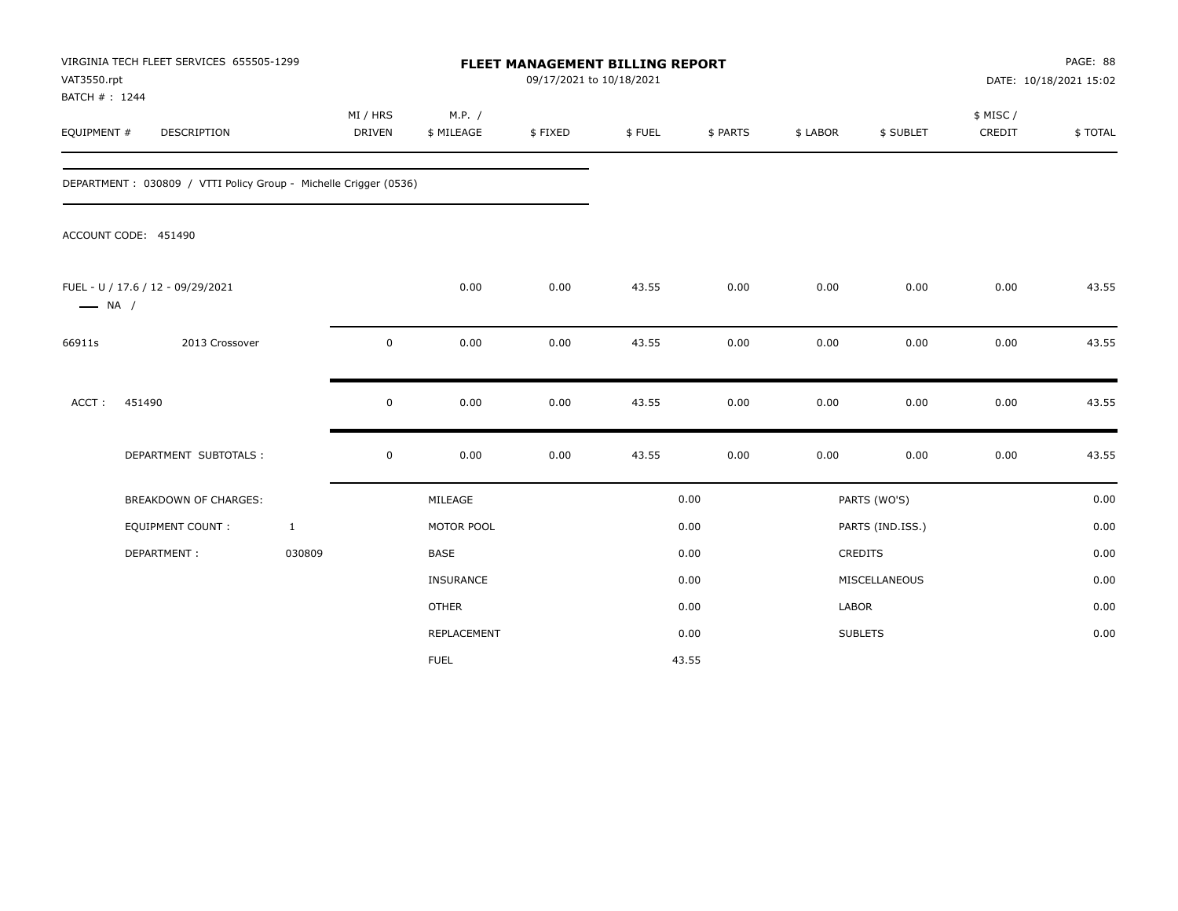| VAT3550.rpt<br>BATCH #: 1244 | VIRGINIA TECH FLEET SERVICES 655505-1299                         |                           |                      |         | <b>FLEET MANAGEMENT BILLING REPORT</b><br>09/17/2021 to 10/18/2021 |          |          |                  | PAGE: 88<br>DATE: 10/18/2021 15:02 |         |  |
|------------------------------|------------------------------------------------------------------|---------------------------|----------------------|---------|--------------------------------------------------------------------|----------|----------|------------------|------------------------------------|---------|--|
| EQUIPMENT #                  | DESCRIPTION                                                      | MI / HRS<br><b>DRIVEN</b> | M.P. /<br>\$ MILEAGE | \$FIXED | \$FUEL                                                             | \$ PARTS | \$ LABOR | \$ SUBLET        | \$ MISC /<br>CREDIT                | \$TOTAL |  |
|                              | DEPARTMENT: 030809 / VTTI Policy Group - Michelle Crigger (0536) |                           |                      |         |                                                                    |          |          |                  |                                    |         |  |
|                              | ACCOUNT CODE: 451490                                             |                           |                      |         |                                                                    |          |          |                  |                                    |         |  |
| $\longrightarrow$ NA /       | FUEL - U / 17.6 / 12 - 09/29/2021                                |                           | 0.00                 | 0.00    | 43.55                                                              | 0.00     | 0.00     | 0.00             | 0.00                               | 43.55   |  |
| 66911s                       | 2013 Crossover                                                   | $\mathbf 0$               | 0.00                 | 0.00    | 43.55                                                              | 0.00     | 0.00     | 0.00             | 0.00                               | 43.55   |  |
| ACCT:                        | 451490                                                           | $\mathbf 0$               | 0.00                 | 0.00    | 43.55                                                              | 0.00     | 0.00     | 0.00             | 0.00                               | 43.55   |  |
|                              | DEPARTMENT SUBTOTALS :                                           | $\mathbf 0$               | 0.00                 | 0.00    | 43.55                                                              | 0.00     | 0.00     | 0.00             | 0.00                               | 43.55   |  |
|                              | <b>BREAKDOWN OF CHARGES:</b>                                     |                           | MILEAGE              |         |                                                                    | 0.00     |          | PARTS (WO'S)     |                                    | 0.00    |  |
|                              | <b>EQUIPMENT COUNT:</b>                                          | $\mathbf{1}$              | MOTOR POOL           |         |                                                                    | 0.00     |          | PARTS (IND.ISS.) |                                    | 0.00    |  |
|                              | DEPARTMENT:                                                      | 030809                    | <b>BASE</b>          |         |                                                                    | 0.00     |          | CREDITS          |                                    | 0.00    |  |
|                              |                                                                  |                           | INSURANCE            |         |                                                                    | 0.00     |          | MISCELLANEOUS    |                                    | 0.00    |  |
|                              |                                                                  |                           | <b>OTHER</b>         |         |                                                                    | 0.00     | LABOR    |                  |                                    | 0.00    |  |
|                              |                                                                  |                           | <b>REPLACEMENT</b>   |         |                                                                    | 0.00     |          | <b>SUBLETS</b>   |                                    | 0.00    |  |
|                              |                                                                  |                           | <b>FUEL</b>          |         |                                                                    | 43.55    |          |                  |                                    |         |  |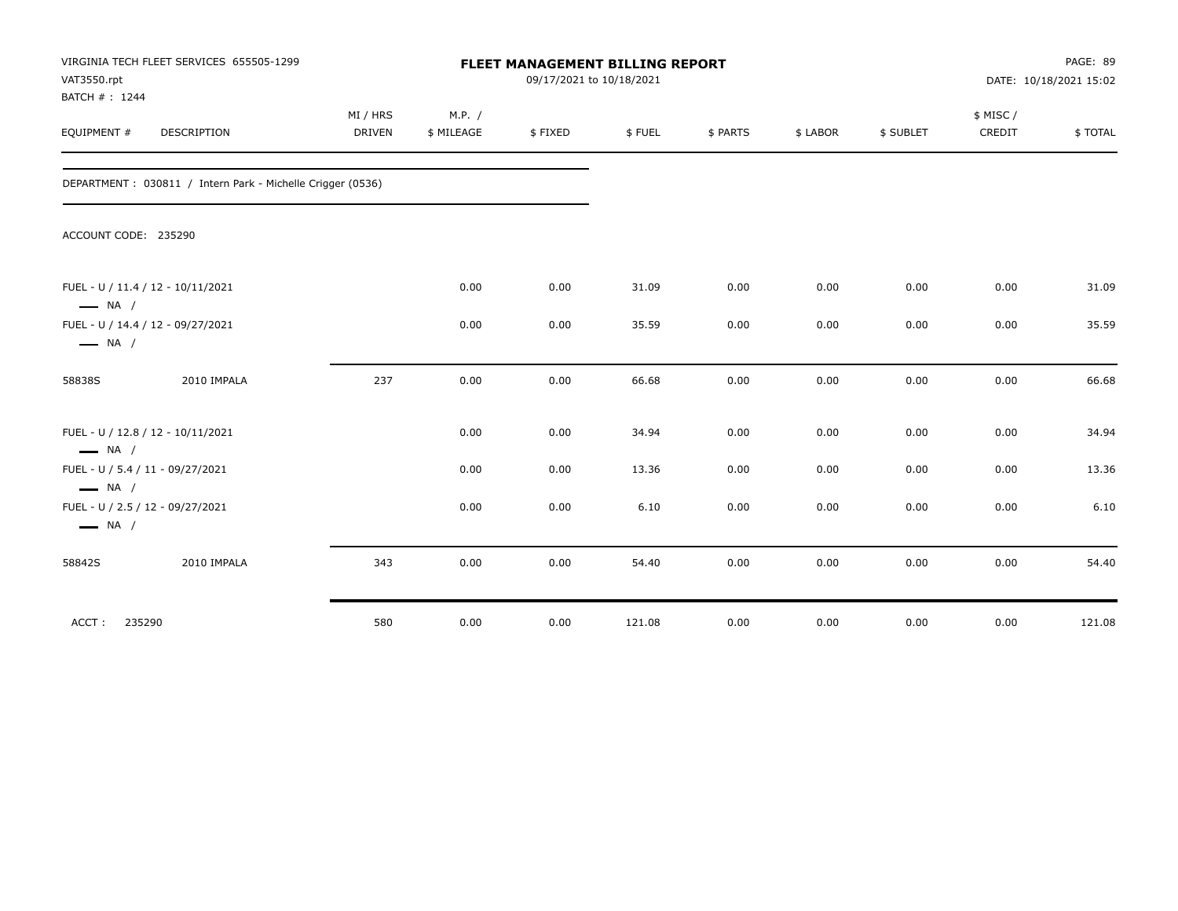| VAT3550.rpt<br>BATCH #: 1244                               | VIRGINIA TECH FLEET SERVICES 655505-1299<br><b>DESCRIPTION</b> |                           | FLEET MANAGEMENT BILLING REPORT<br>09/17/2021 to 10/18/2021 |         |        |          |          |           |                    | PAGE: 89<br>DATE: 10/18/2021 15:02 |  |
|------------------------------------------------------------|----------------------------------------------------------------|---------------------------|-------------------------------------------------------------|---------|--------|----------|----------|-----------|--------------------|------------------------------------|--|
| EQUIPMENT #                                                |                                                                | MI / HRS<br><b>DRIVEN</b> | M.P. /<br>\$ MILEAGE                                        | \$FIXED | \$FUEL | \$ PARTS | \$ LABOR | \$ SUBLET | \$ MISC/<br>CREDIT | \$TOTAL                            |  |
|                                                            | DEPARTMENT : 030811 / Intern Park - Michelle Crigger (0536)    |                           |                                                             |         |        |          |          |           |                    |                                    |  |
| ACCOUNT CODE: 235290                                       |                                                                |                           |                                                             |         |        |          |          |           |                    |                                    |  |
| $\longrightarrow$ NA /                                     | FUEL - U / 11.4 / 12 - 10/11/2021                              |                           | 0.00                                                        | 0.00    | 31.09  | 0.00     | 0.00     | 0.00      | 0.00               | 31.09                              |  |
| $\longrightarrow$ NA /                                     | FUEL - U / 14.4 / 12 - 09/27/2021                              |                           | 0.00                                                        | 0.00    | 35.59  | 0.00     | 0.00     | 0.00      | 0.00               | 35.59                              |  |
| 58838S                                                     | 2010 IMPALA                                                    | 237                       | 0.00                                                        | 0.00    | 66.68  | 0.00     | 0.00     | 0.00      | 0.00               | 66.68                              |  |
| $\longrightarrow$ NA /                                     | FUEL - U / 12.8 / 12 - 10/11/2021                              |                           | 0.00                                                        | 0.00    | 34.94  | 0.00     | 0.00     | 0.00      | 0.00               | 34.94                              |  |
| FUEL - U / 5.4 / 11 - 09/27/2021<br>$\longrightarrow$ NA / |                                                                |                           | 0.00                                                        | 0.00    | 13.36  | 0.00     | 0.00     | 0.00      | 0.00               | 13.36                              |  |
| FUEL - U / 2.5 / 12 - 09/27/2021<br>$\longrightarrow$ NA / |                                                                |                           | 0.00                                                        | 0.00    | 6.10   | 0.00     | 0.00     | 0.00      | 0.00               | 6.10                               |  |
| 58842S                                                     | 2010 IMPALA                                                    | 343                       | 0.00                                                        | 0.00    | 54.40  | 0.00     | 0.00     | 0.00      | 0.00               | 54.40                              |  |
| ACCT:<br>235290                                            |                                                                | 580                       | 0.00                                                        | 0.00    | 121.08 | 0.00     | 0.00     | 0.00      | 0.00               | 121.08                             |  |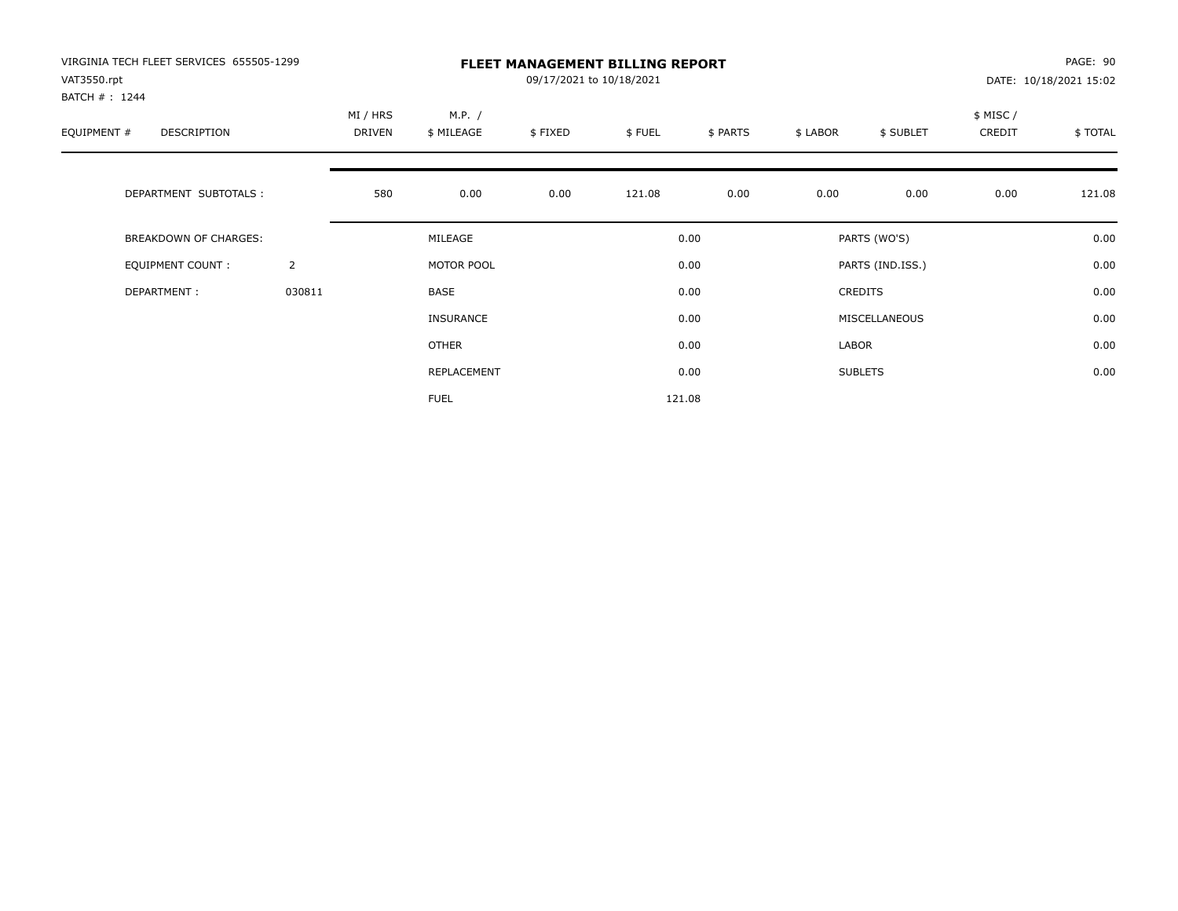| VIRGINIA TECH FLEET SERVICES 655505-1299<br>VAT3550.rpt<br>BATCH #: 1244 |                |                    |                      | PAGE: 90<br>DATE: 10/18/2021 15:02 |        |          |          |                  |                    |         |
|--------------------------------------------------------------------------|----------------|--------------------|----------------------|------------------------------------|--------|----------|----------|------------------|--------------------|---------|
| EQUIPMENT #<br>DESCRIPTION                                               |                | MI / HRS<br>DRIVEN | M.P. /<br>\$ MILEAGE | \$FIXED                            | \$FUEL | \$ PARTS | \$ LABOR | \$ SUBLET        | \$ MISC/<br>CREDIT | \$TOTAL |
| DEPARTMENT SUBTOTALS :                                                   |                | 580                | 0.00                 | 0.00                               | 121.08 | 0.00     | 0.00     | 0.00             | 0.00               | 121.08  |
| BREAKDOWN OF CHARGES:                                                    |                |                    | MILEAGE              |                                    |        | 0.00     |          | PARTS (WO'S)     |                    | 0.00    |
| <b>EQUIPMENT COUNT:</b>                                                  | $\overline{2}$ |                    | MOTOR POOL           |                                    |        | 0.00     |          | PARTS (IND.ISS.) |                    | 0.00    |
| DEPARTMENT:                                                              | 030811         |                    | BASE                 |                                    |        | 0.00     |          | <b>CREDITS</b>   |                    | 0.00    |
|                                                                          |                |                    | <b>INSURANCE</b>     |                                    |        | 0.00     |          | MISCELLANEOUS    |                    | 0.00    |
|                                                                          |                |                    | OTHER                |                                    |        | 0.00     | LABOR    |                  |                    | 0.00    |
|                                                                          |                |                    | REPLACEMENT          |                                    |        | 0.00     |          | <b>SUBLETS</b>   |                    | 0.00    |
|                                                                          |                |                    | <b>FUEL</b>          |                                    |        | 121.08   |          |                  |                    |         |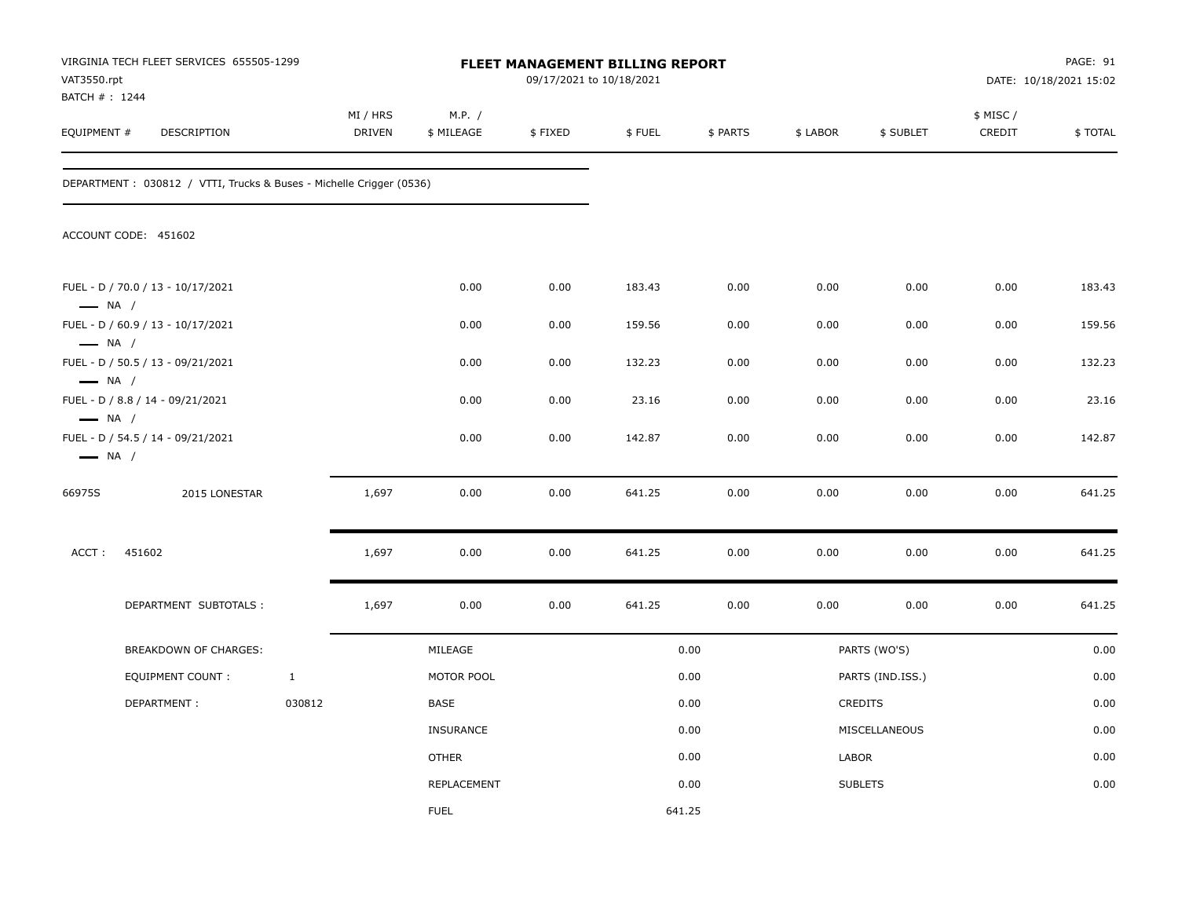| VAT3550.rpt                                      | VIRGINIA TECH FLEET SERVICES 655505-1299<br>BATCH #: 1244<br>EQUIPMENT #<br>DESCRIPTION |              |                           |                      |         | FLEET MANAGEMENT BILLING REPORT<br>09/17/2021 to 10/18/2021 |          |          |                  | PAGE: 91<br>DATE: 10/18/2021 15:02 |         |
|--------------------------------------------------|-----------------------------------------------------------------------------------------|--------------|---------------------------|----------------------|---------|-------------------------------------------------------------|----------|----------|------------------|------------------------------------|---------|
|                                                  |                                                                                         |              | MI / HRS<br><b>DRIVEN</b> | M.P. /<br>\$ MILEAGE | \$FIXED | \$FUEL                                                      | \$ PARTS | \$ LABOR | \$ SUBLET        | \$ MISC /<br>CREDIT                | \$TOTAL |
|                                                  | DEPARTMENT: 030812 / VTTI, Trucks & Buses - Michelle Crigger (0536)                     |              |                           |                      |         |                                                             |          |          |                  |                                    |         |
|                                                  | ACCOUNT CODE: 451602                                                                    |              |                           |                      |         |                                                             |          |          |                  |                                    |         |
| $\longrightarrow$ NA /                           | FUEL - D / 70.0 / 13 - 10/17/2021                                                       |              |                           | 0.00                 | 0.00    | 183.43                                                      | 0.00     | 0.00     | 0.00             | 0.00                               | 183.43  |
|                                                  | FUEL - D / 60.9 / 13 - 10/17/2021                                                       |              |                           | 0.00                 | 0.00    | 159.56                                                      | 0.00     | 0.00     | 0.00             | 0.00                               | 159.56  |
| $\longrightarrow$ NA /                           | FUEL - D / 50.5 / 13 - 09/21/2021                                                       |              |                           | 0.00                 | 0.00    | 132.23                                                      | 0.00     | 0.00     | 0.00             | 0.00                               | 132.23  |
| $\longrightarrow$ NA /<br>$\longrightarrow$ NA / | FUEL - D / 8.8 / 14 - 09/21/2021                                                        |              |                           | 0.00                 | 0.00    | 23.16                                                       | 0.00     | 0.00     | 0.00             | 0.00                               | 23.16   |
| $\longrightarrow$ NA /                           | FUEL - D / 54.5 / 14 - 09/21/2021                                                       |              |                           | 0.00                 | 0.00    | 142.87                                                      | 0.00     | 0.00     | 0.00             | 0.00                               | 142.87  |
| 66975S                                           | 2015 LONESTAR                                                                           |              | 1,697                     | 0.00                 | 0.00    | 641.25                                                      | 0.00     | 0.00     | 0.00             | 0.00                               | 641.25  |
| ACCT:                                            | 451602                                                                                  |              | 1,697                     | 0.00                 | 0.00    | 641.25                                                      | 0.00     | 0.00     | 0.00             | 0.00                               | 641.25  |
|                                                  | DEPARTMENT SUBTOTALS :                                                                  |              | 1,697                     | 0.00                 | 0.00    | 641.25                                                      | 0.00     | 0.00     | 0.00             | 0.00                               | 641.25  |
|                                                  | BREAKDOWN OF CHARGES:                                                                   |              |                           | MILEAGE              |         |                                                             | 0.00     |          | PARTS (WO'S)     |                                    | 0.00    |
|                                                  | <b>EQUIPMENT COUNT:</b>                                                                 | $\mathbf{1}$ |                           | MOTOR POOL           |         |                                                             | 0.00     |          | PARTS (IND.ISS.) |                                    | 0.00    |
|                                                  | DEPARTMENT:                                                                             | 030812       |                           | BASE                 |         |                                                             | 0.00     |          | CREDITS          |                                    | 0.00    |
|                                                  |                                                                                         |              |                           | <b>INSURANCE</b>     |         |                                                             | 0.00     |          | MISCELLANEOUS    |                                    | 0.00    |
|                                                  |                                                                                         |              |                           | <b>OTHER</b>         |         |                                                             | 0.00     | LABOR    |                  |                                    | 0.00    |
|                                                  |                                                                                         |              |                           | <b>REPLACEMENT</b>   |         |                                                             | 0.00     |          | <b>SUBLETS</b>   |                                    | 0.00    |
|                                                  |                                                                                         |              |                           | <b>FUEL</b>          |         | 641.25                                                      |          |          |                  |                                    |         |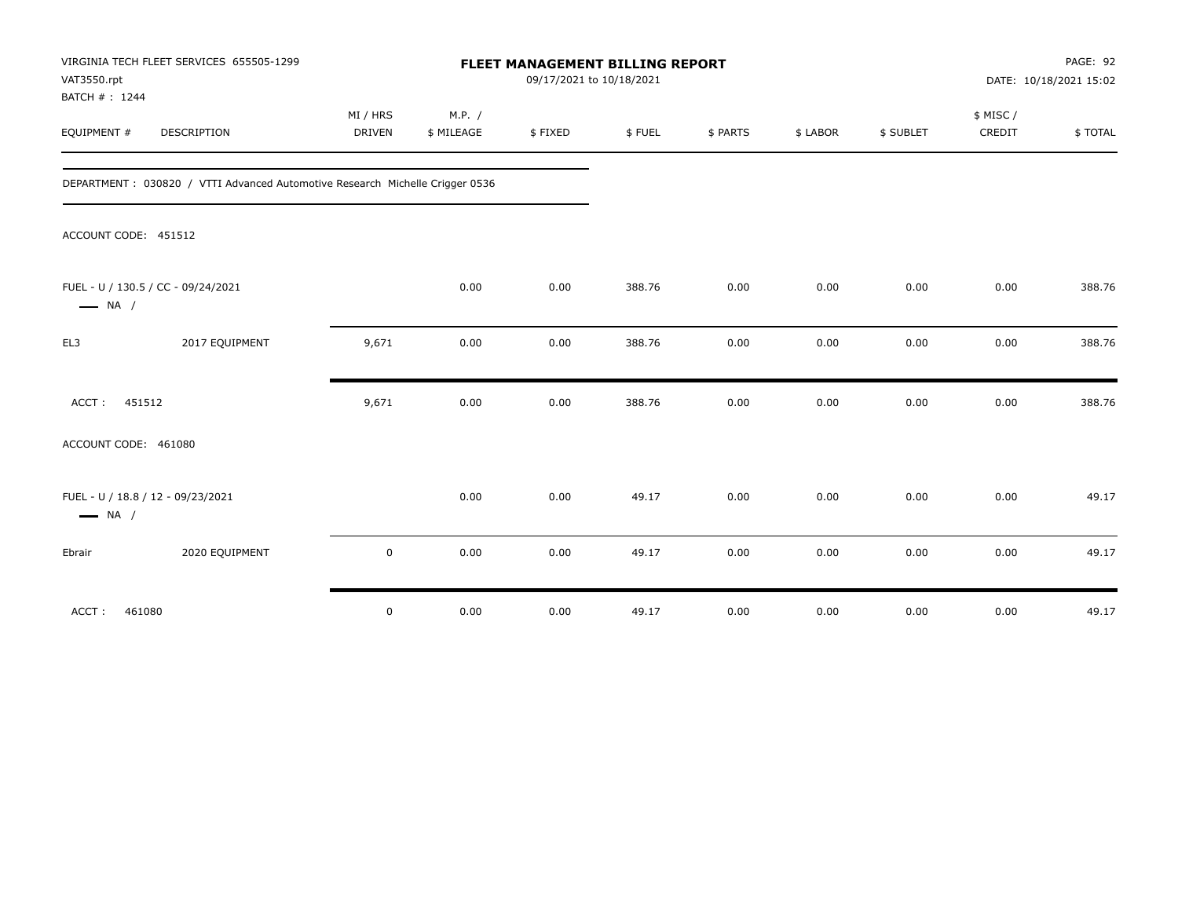| VAT3550.rpt<br>BATCH #: 1244 | VIRGINIA TECH FLEET SERVICES 655505-1299                                     | FLEET MANAGEMENT BILLING REPORT<br>09/17/2021 to 10/18/2021 |                      |         |        |          |          |           |                    | PAGE: 92<br>DATE: 10/18/2021 15:02 |
|------------------------------|------------------------------------------------------------------------------|-------------------------------------------------------------|----------------------|---------|--------|----------|----------|-----------|--------------------|------------------------------------|
| EQUIPMENT #                  | <b>DESCRIPTION</b>                                                           | MI / HRS<br>DRIVEN                                          | M.P. /<br>\$ MILEAGE | \$FIXED | \$FUEL | \$ PARTS | \$ LABOR | \$ SUBLET | \$ MISC/<br>CREDIT | \$TOTAL                            |
|                              | DEPARTMENT: 030820 / VTTI Advanced Automotive Research Michelle Crigger 0536 |                                                             |                      |         |        |          |          |           |                    |                                    |
| ACCOUNT CODE: 451512         |                                                                              |                                                             |                      |         |        |          |          |           |                    |                                    |
| $\longrightarrow$ NA /       | FUEL - U / 130.5 / CC - 09/24/2021                                           |                                                             | 0.00                 | 0.00    | 388.76 | 0.00     | 0.00     | 0.00      | 0.00               | 388.76                             |
| EL3                          | 2017 EQUIPMENT                                                               | 9,671                                                       | 0.00                 | 0.00    | 388.76 | 0.00     | 0.00     | 0.00      | 0.00               | 388.76                             |
| 451512<br>ACCT:              |                                                                              | 9,671                                                       | 0.00                 | 0.00    | 388.76 | 0.00     | 0.00     | 0.00      | 0.00               | 388.76                             |
| ACCOUNT CODE: 461080         |                                                                              |                                                             |                      |         |        |          |          |           |                    |                                    |
| $\longrightarrow$ NA /       | FUEL - U / 18.8 / 12 - 09/23/2021                                            |                                                             | 0.00                 | 0.00    | 49.17  | 0.00     | 0.00     | 0.00      | 0.00               | 49.17                              |
| Ebrair                       | 2020 EQUIPMENT                                                               | $\mathsf 0$                                                 | 0.00                 | 0.00    | 49.17  | 0.00     | 0.00     | 0.00      | 0.00               | 49.17                              |
| ACCT:<br>461080              |                                                                              | $\mathsf 0$                                                 | 0.00                 | 0.00    | 49.17  | 0.00     | 0.00     | 0.00      | 0.00               | 49.17                              |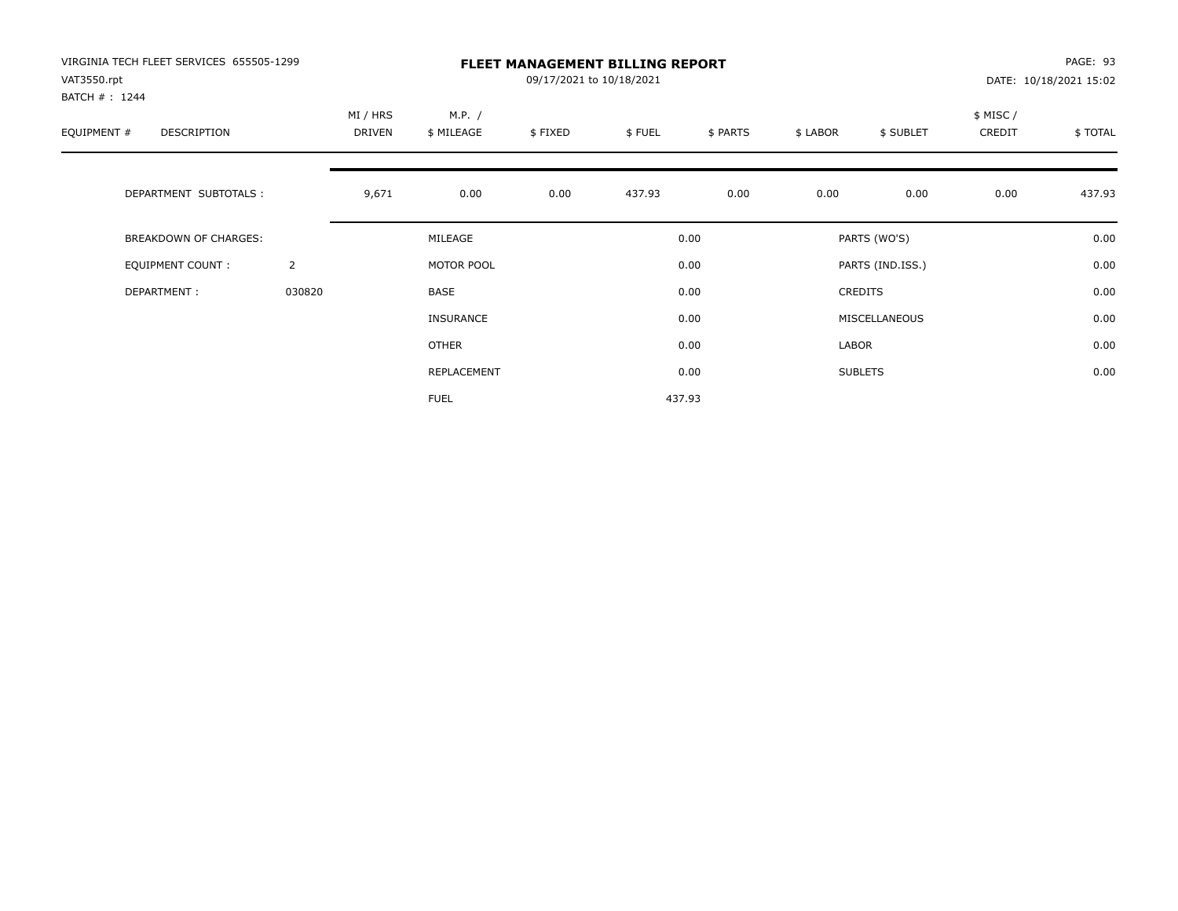| VIRGINIA TECH FLEET SERVICES 655505-1299<br>VAT3550.rpt |                |                           | PAGE: 93<br>DATE: 10/18/2021 15:02 |         |        |          |          |                  |                    |         |
|---------------------------------------------------------|----------------|---------------------------|------------------------------------|---------|--------|----------|----------|------------------|--------------------|---------|
| BATCH #: 1244<br>EQUIPMENT #<br>DESCRIPTION             |                | MI / HRS<br><b>DRIVEN</b> | M.P. /<br>\$ MILEAGE               | \$FIXED | \$FUEL | \$ PARTS | \$ LABOR | \$ SUBLET        | \$ MISC/<br>CREDIT | \$TOTAL |
| DEPARTMENT SUBTOTALS :                                  |                | 9,671                     | 0.00                               | 0.00    | 437.93 | 0.00     | 0.00     | 0.00             | 0.00               | 437.93  |
| <b>BREAKDOWN OF CHARGES:</b>                            |                |                           | MILEAGE                            |         |        | 0.00     |          | PARTS (WO'S)     |                    | 0.00    |
| EQUIPMENT COUNT:                                        | $\overline{2}$ |                           | MOTOR POOL                         |         |        | 0.00     |          | PARTS (IND.ISS.) |                    | 0.00    |
| DEPARTMENT:                                             | 030820         |                           | <b>BASE</b>                        |         |        | 0.00     |          | <b>CREDITS</b>   |                    | 0.00    |
|                                                         |                |                           | <b>INSURANCE</b>                   |         |        | 0.00     |          | MISCELLANEOUS    |                    | 0.00    |
|                                                         |                |                           | OTHER                              |         |        | 0.00     | LABOR    |                  |                    | 0.00    |
|                                                         |                |                           | REPLACEMENT                        |         |        | 0.00     |          | <b>SUBLETS</b>   |                    | 0.00    |
|                                                         |                |                           | <b>FUEL</b>                        |         |        | 437.93   |          |                  |                    |         |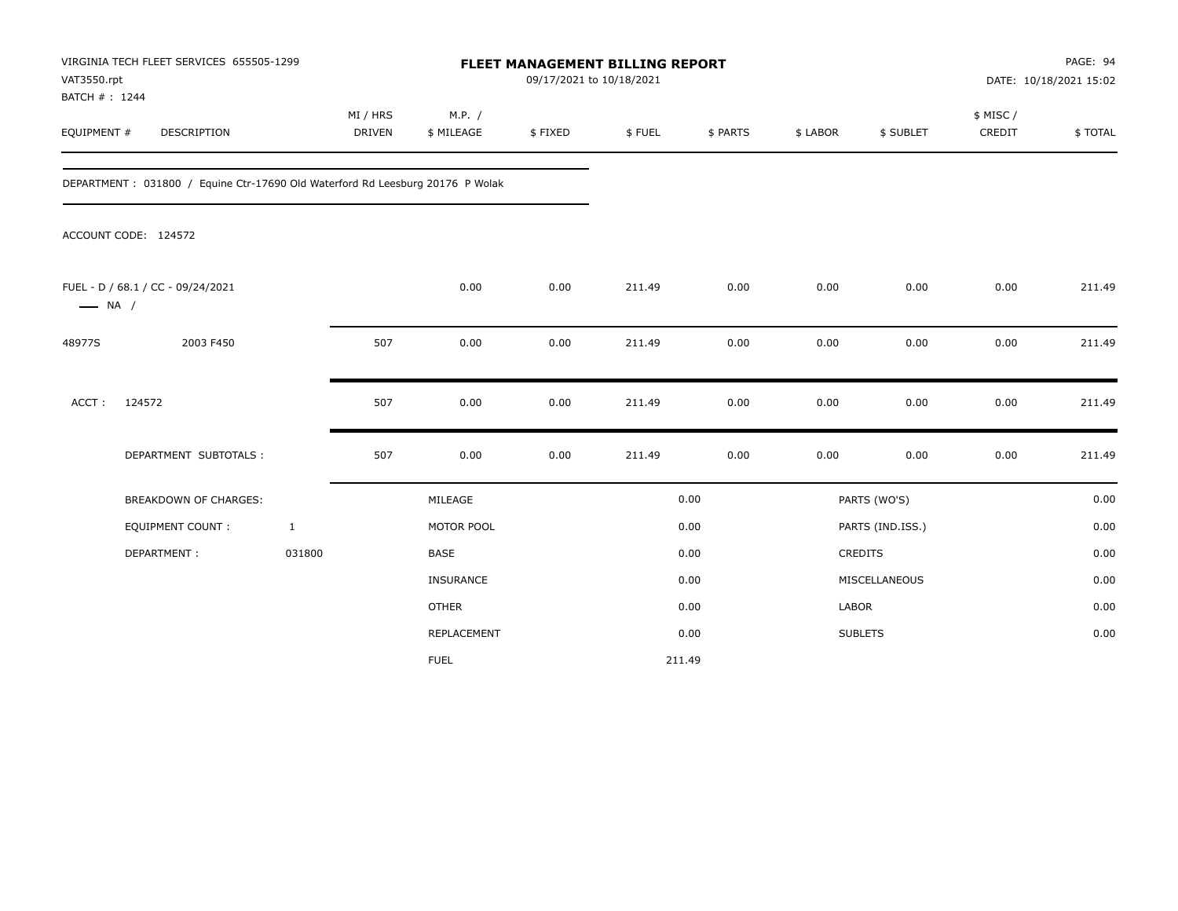| VAT3550.rpt<br>BATCH #: 1244 | VIRGINIA TECH FLEET SERVICES 655505-1299                                      |                           |                      | FLEET MANAGEMENT BILLING REPORT<br>09/17/2021 to 10/18/2021 |        |          |              |                  | PAGE: 94<br>DATE: 10/18/2021 15:02 |         |
|------------------------------|-------------------------------------------------------------------------------|---------------------------|----------------------|-------------------------------------------------------------|--------|----------|--------------|------------------|------------------------------------|---------|
| EQUIPMENT #                  | <b>DESCRIPTION</b>                                                            | MI / HRS<br><b>DRIVEN</b> | M.P. /<br>\$ MILEAGE | \$FIXED                                                     | \$FUEL | \$ PARTS | \$ LABOR     | \$ SUBLET        | \$ MISC/<br>CREDIT                 | \$TOTAL |
|                              | DEPARTMENT: 031800 / Equine Ctr-17690 Old Waterford Rd Leesburg 20176 P Wolak |                           |                      |                                                             |        |          |              |                  |                                    |         |
|                              | ACCOUNT CODE: 124572                                                          |                           |                      |                                                             |        |          |              |                  |                                    |         |
| $\longrightarrow$ NA /       | FUEL - D / 68.1 / CC - 09/24/2021                                             |                           | 0.00                 | 0.00                                                        | 211.49 | 0.00     | 0.00         | 0.00             | 0.00                               | 211.49  |
| 48977S                       | 2003 F450                                                                     | 507                       | 0.00                 | 0.00                                                        | 211.49 | 0.00     | 0.00         | 0.00             | 0.00                               | 211.49  |
| ACCT:                        | 124572                                                                        | 507                       | 0.00                 | 0.00                                                        | 211.49 | 0.00     | 0.00         | 0.00             | 0.00                               | 211.49  |
|                              | DEPARTMENT SUBTOTALS :                                                        | 507                       | 0.00                 | 0.00                                                        | 211.49 | 0.00     | 0.00         | 0.00             | 0.00                               | 211.49  |
|                              | <b>BREAKDOWN OF CHARGES:</b>                                                  |                           | MILEAGE              |                                                             |        | 0.00     |              | PARTS (WO'S)     |                                    | 0.00    |
|                              | <b>EQUIPMENT COUNT:</b>                                                       | $\mathbf{1}$              | MOTOR POOL           |                                                             |        | 0.00     |              | PARTS (IND.ISS.) |                                    | 0.00    |
|                              | DEPARTMENT:                                                                   | 031800                    | <b>BASE</b>          |                                                             |        | 0.00     |              | <b>CREDITS</b>   |                                    | 0.00    |
|                              |                                                                               |                           | <b>INSURANCE</b>     |                                                             |        | 0.00     |              | MISCELLANEOUS    |                                    | 0.00    |
|                              |                                                                               |                           | <b>OTHER</b>         |                                                             |        | 0.00     | <b>LABOR</b> |                  |                                    | 0.00    |
|                              |                                                                               |                           | REPLACEMENT          |                                                             |        | 0.00     |              | <b>SUBLETS</b>   |                                    | 0.00    |
|                              |                                                                               |                           | <b>FUEL</b>          |                                                             |        | 211.49   |              |                  |                                    |         |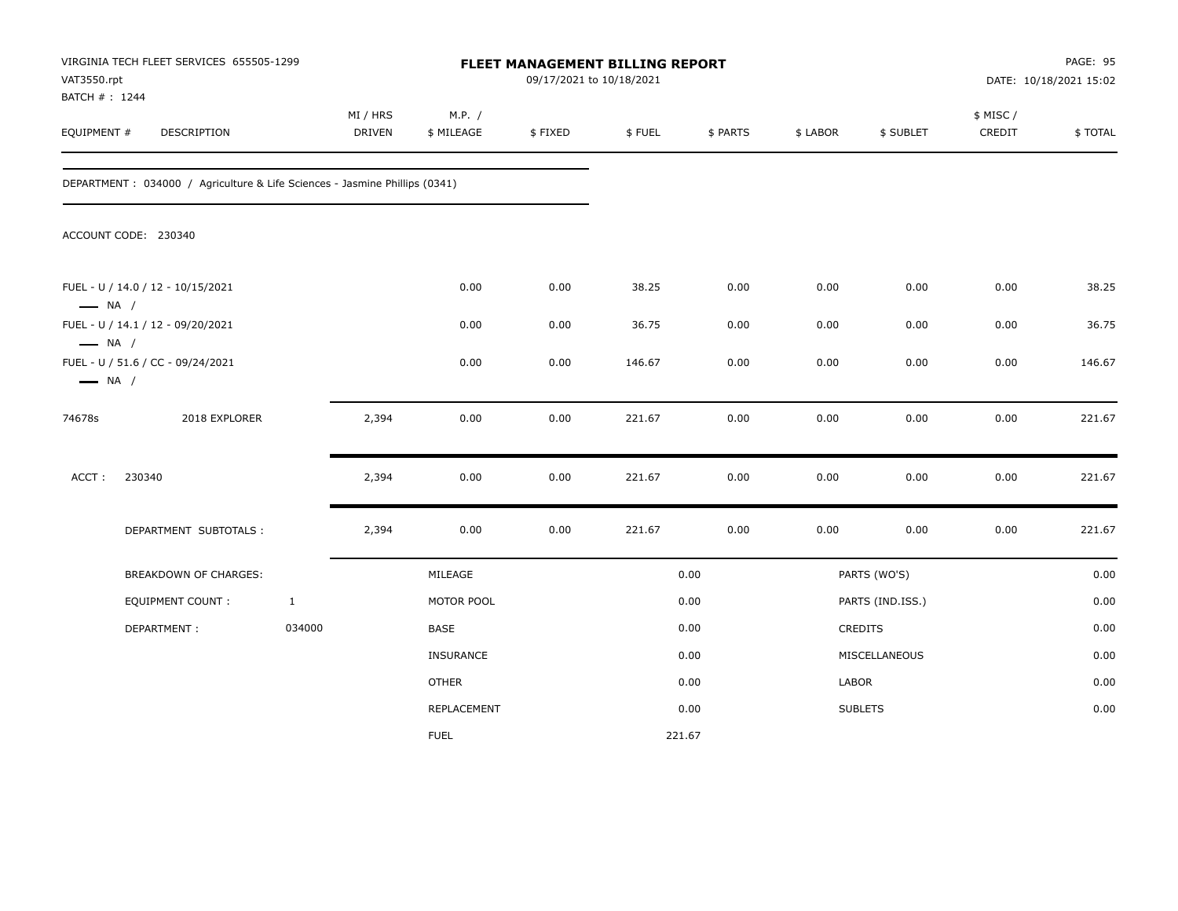| VAT3550.rpt<br>BATCH #: 1244                     | VIRGINIA TECH FLEET SERVICES 655505-1299                                    |              |                           |                      | FLEET MANAGEMENT BILLING REPORT<br>09/17/2021 to 10/18/2021 |        |          |          |                  |                     | PAGE: 95<br>DATE: 10/18/2021 15:02 |
|--------------------------------------------------|-----------------------------------------------------------------------------|--------------|---------------------------|----------------------|-------------------------------------------------------------|--------|----------|----------|------------------|---------------------|------------------------------------|
| EQUIPMENT #                                      | DESCRIPTION                                                                 |              | MI / HRS<br><b>DRIVEN</b> | M.P. /<br>\$ MILEAGE | \$FIXED                                                     | \$FUEL | \$ PARTS | \$ LABOR | \$ SUBLET        | \$ MISC /<br>CREDIT | \$TOTAL                            |
|                                                  | DEPARTMENT : 034000 / Agriculture & Life Sciences - Jasmine Phillips (0341) |              |                           |                      |                                                             |        |          |          |                  |                     |                                    |
|                                                  | ACCOUNT CODE: 230340                                                        |              |                           |                      |                                                             |        |          |          |                  |                     |                                    |
| $\longrightarrow$ NA /                           | FUEL - U / 14.0 / 12 - 10/15/2021                                           |              |                           | 0.00                 | 0.00                                                        | 38.25  | 0.00     | 0.00     | 0.00             | 0.00                | 38.25                              |
|                                                  | FUEL - U / 14.1 / 12 - 09/20/2021                                           |              |                           | 0.00                 | 0.00                                                        | 36.75  | 0.00     | 0.00     | 0.00             | 0.00                | 36.75                              |
| $\longrightarrow$ NA /<br>$\longrightarrow$ NA / | FUEL - U / 51.6 / CC - 09/24/2021                                           |              |                           | 0.00                 | 0.00                                                        | 146.67 | 0.00     | 0.00     | 0.00             | 0.00                | 146.67                             |
| 74678s                                           | 2018 EXPLORER                                                               |              | 2,394                     | 0.00                 | 0.00                                                        | 221.67 | 0.00     | 0.00     | 0.00             | 0.00                | 221.67                             |
| ACCT:                                            | 230340                                                                      |              | 2,394                     | 0.00                 | 0.00                                                        | 221.67 | 0.00     | 0.00     | 0.00             | 0.00                | 221.67                             |
|                                                  | DEPARTMENT SUBTOTALS :                                                      |              | 2,394                     | 0.00                 | 0.00                                                        | 221.67 | 0.00     | 0.00     | 0.00             | 0.00                | 221.67                             |
|                                                  | BREAKDOWN OF CHARGES:                                                       |              |                           | MILEAGE              |                                                             |        | 0.00     |          | PARTS (WO'S)     |                     | 0.00                               |
|                                                  | <b>EQUIPMENT COUNT:</b>                                                     | $\mathbf{1}$ |                           | MOTOR POOL           |                                                             |        | 0.00     |          | PARTS (IND.ISS.) |                     | 0.00                               |
|                                                  | DEPARTMENT:                                                                 | 034000       |                           | BASE                 |                                                             |        | 0.00     |          | CREDITS          |                     | 0.00                               |
|                                                  |                                                                             |              |                           | <b>INSURANCE</b>     |                                                             |        | 0.00     |          | MISCELLANEOUS    |                     | 0.00                               |
|                                                  |                                                                             |              |                           | <b>OTHER</b>         |                                                             |        | 0.00     | LABOR    |                  |                     | 0.00                               |
|                                                  |                                                                             |              |                           | <b>REPLACEMENT</b>   |                                                             |        | 0.00     |          | <b>SUBLETS</b>   |                     | 0.00                               |
|                                                  |                                                                             |              |                           | <b>FUEL</b>          |                                                             |        | 221.67   |          |                  |                     |                                    |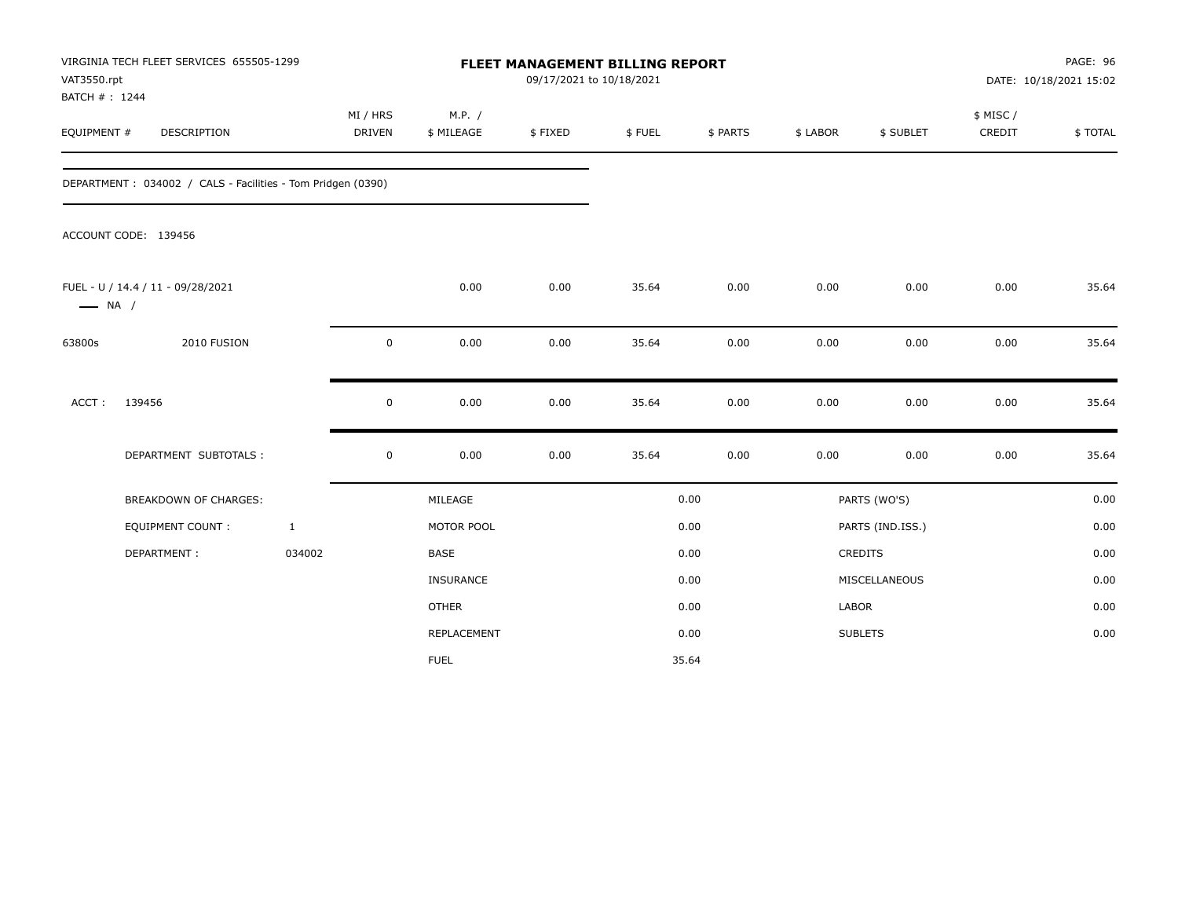| VAT3550.rpt<br>BATCH #: 1244 | VIRGINIA TECH FLEET SERVICES 655505-1299                    |              |                           |                      |         | <b>FLEET MANAGEMENT BILLING REPORT</b><br>09/17/2021 to 10/18/2021 |          |          |                  | PAGE: 96<br>DATE: 10/18/2021 15:02 |         |  |
|------------------------------|-------------------------------------------------------------|--------------|---------------------------|----------------------|---------|--------------------------------------------------------------------|----------|----------|------------------|------------------------------------|---------|--|
| EQUIPMENT #                  | DESCRIPTION                                                 |              | MI / HRS<br><b>DRIVEN</b> | M.P. /<br>\$ MILEAGE | \$FIXED | \$FUEL                                                             | \$ PARTS | \$ LABOR | \$ SUBLET        | \$ MISC /<br>CREDIT                | \$TOTAL |  |
|                              | DEPARTMENT: 034002 / CALS - Facilities - Tom Pridgen (0390) |              |                           |                      |         |                                                                    |          |          |                  |                                    |         |  |
|                              | ACCOUNT CODE: 139456                                        |              |                           |                      |         |                                                                    |          |          |                  |                                    |         |  |
| $\longrightarrow$ NA /       | FUEL - U / 14.4 / 11 - 09/28/2021                           |              |                           | 0.00                 | 0.00    | 35.64                                                              | 0.00     | 0.00     | 0.00             | 0.00                               | 35.64   |  |
| 63800s                       | 2010 FUSION                                                 |              | $\mathbf 0$               | 0.00                 | 0.00    | 35.64                                                              | 0.00     | 0.00     | 0.00             | 0.00                               | 35.64   |  |
| ACCT:                        | 139456                                                      |              | $\mathbf 0$               | 0.00                 | 0.00    | 35.64                                                              | 0.00     | 0.00     | 0.00             | 0.00                               | 35.64   |  |
|                              | DEPARTMENT SUBTOTALS :                                      |              | $\mathbf 0$               | 0.00                 | 0.00    | 35.64                                                              | 0.00     | 0.00     | 0.00             | 0.00                               | 35.64   |  |
|                              | <b>BREAKDOWN OF CHARGES:</b>                                |              |                           | MILEAGE              |         |                                                                    | 0.00     |          | PARTS (WO'S)     |                                    | 0.00    |  |
|                              | <b>EQUIPMENT COUNT:</b>                                     | $\mathbf{1}$ |                           | MOTOR POOL           |         |                                                                    | 0.00     |          | PARTS (IND.ISS.) |                                    | 0.00    |  |
|                              | DEPARTMENT:                                                 | 034002       |                           | <b>BASE</b>          |         |                                                                    | 0.00     |          | CREDITS          |                                    | 0.00    |  |
|                              |                                                             |              |                           | INSURANCE            |         |                                                                    | 0.00     |          | MISCELLANEOUS    |                                    | 0.00    |  |
|                              |                                                             |              |                           | <b>OTHER</b>         |         |                                                                    | 0.00     | LABOR    |                  |                                    | 0.00    |  |
|                              |                                                             |              |                           | <b>REPLACEMENT</b>   |         |                                                                    | 0.00     |          | <b>SUBLETS</b>   |                                    | 0.00    |  |
|                              |                                                             |              |                           | <b>FUEL</b>          |         |                                                                    | 35.64    |          |                  |                                    |         |  |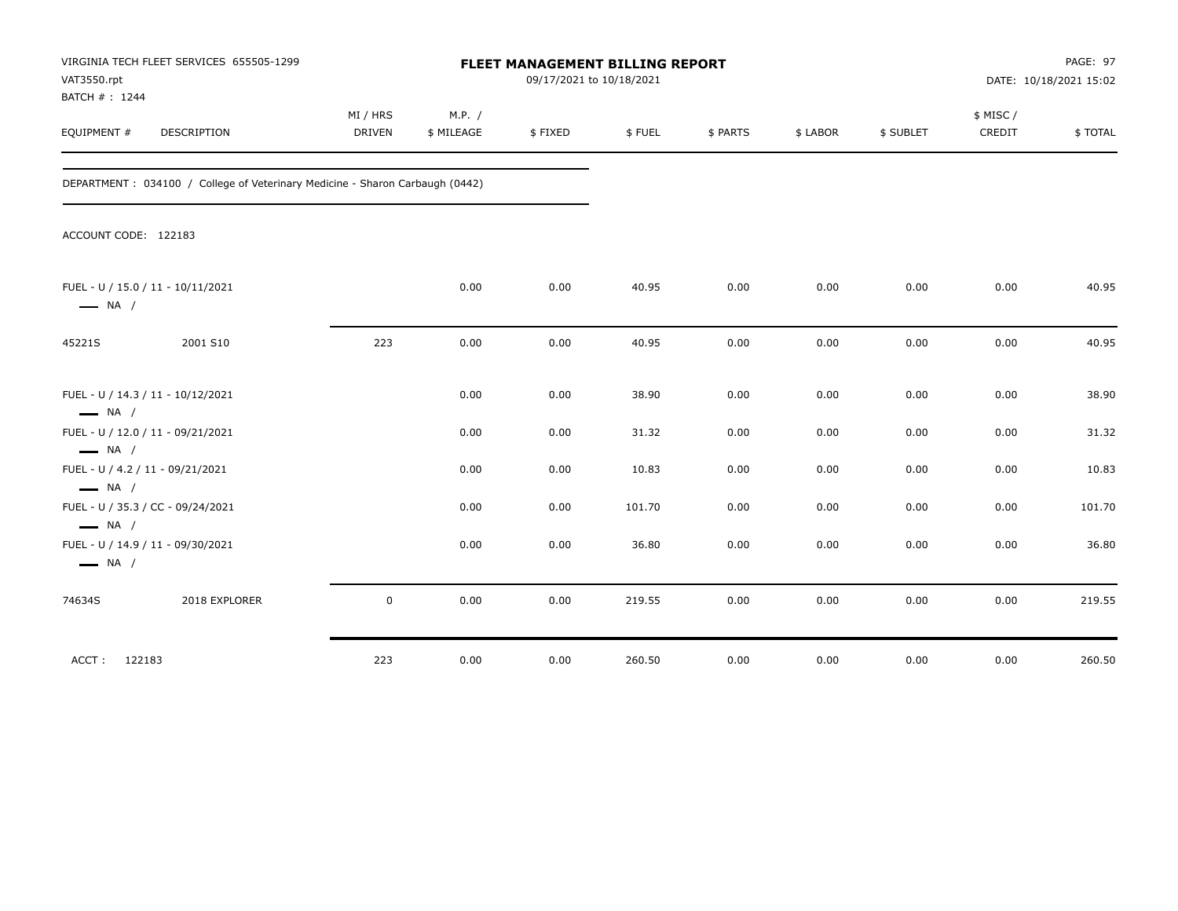| VAT3550.rpt<br>BATCH #: 1244 | VIRGINIA TECH FLEET SERVICES 655505-1299                                     | FLEET MANAGEMENT BILLING REPORT<br>09/17/2021 to 10/18/2021 |                      |         |        |          |          |           | <b>PAGE: 97</b><br>DATE: 10/18/2021 15:02 |         |  |
|------------------------------|------------------------------------------------------------------------------|-------------------------------------------------------------|----------------------|---------|--------|----------|----------|-----------|-------------------------------------------|---------|--|
| EQUIPMENT #                  | DESCRIPTION                                                                  | MI / HRS<br><b>DRIVEN</b>                                   | M.P. /<br>\$ MILEAGE | \$FIXED | \$FUEL | \$ PARTS | \$ LABOR | \$ SUBLET | \$ MISC/<br>CREDIT                        | \$TOTAL |  |
|                              | DEPARTMENT: 034100 / College of Veterinary Medicine - Sharon Carbaugh (0442) |                                                             |                      |         |        |          |          |           |                                           |         |  |
| ACCOUNT CODE: 122183         |                                                                              |                                                             |                      |         |        |          |          |           |                                           |         |  |
| $\longrightarrow$ NA /       | FUEL - U / 15.0 / 11 - 10/11/2021                                            |                                                             | 0.00                 | 0.00    | 40.95  | 0.00     | 0.00     | 0.00      | 0.00                                      | 40.95   |  |
| 45221S                       | 2001 S10                                                                     | 223                                                         | 0.00                 | 0.00    | 40.95  | 0.00     | 0.00     | 0.00      | 0.00                                      | 40.95   |  |
| $\longrightarrow$ NA /       | FUEL - U / 14.3 / 11 - 10/12/2021                                            |                                                             | 0.00                 | 0.00    | 38.90  | 0.00     | 0.00     | 0.00      | 0.00                                      | 38.90   |  |
| $\longrightarrow$ NA /       | FUEL - U / 12.0 / 11 - 09/21/2021                                            |                                                             | 0.00                 | 0.00    | 31.32  | 0.00     | 0.00     | 0.00      | 0.00                                      | 31.32   |  |
| $\longrightarrow$ NA /       | FUEL - U / 4.2 / 11 - 09/21/2021                                             |                                                             | 0.00                 | 0.00    | 10.83  | 0.00     | 0.00     | 0.00      | 0.00                                      | 10.83   |  |
| $\longrightarrow$ NA /       | FUEL - U / 35.3 / CC - 09/24/2021                                            |                                                             | 0.00                 | 0.00    | 101.70 | 0.00     | 0.00     | 0.00      | 0.00                                      | 101.70  |  |
| $\longrightarrow$ NA /       | FUEL - U / 14.9 / 11 - 09/30/2021                                            |                                                             | 0.00                 | 0.00    | 36.80  | 0.00     | 0.00     | 0.00      | 0.00                                      | 36.80   |  |
| 74634S                       | 2018 EXPLORER                                                                | 0                                                           | 0.00                 | 0.00    | 219.55 | 0.00     | 0.00     | 0.00      | 0.00                                      | 219.55  |  |
| 122183<br>ACCT:              |                                                                              | 223                                                         | 0.00                 | 0.00    | 260.50 | 0.00     | 0.00     | 0.00      | 0.00                                      | 260.50  |  |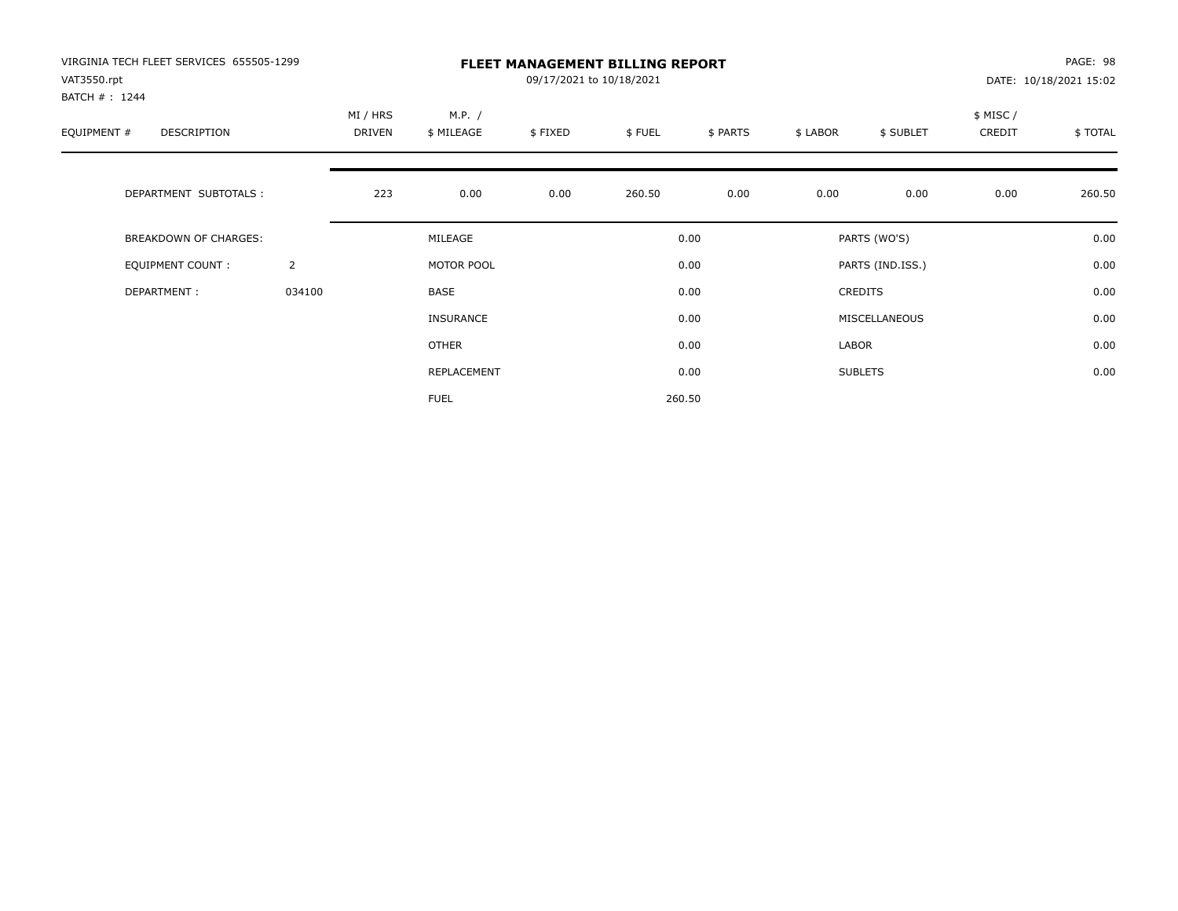| VIRGINIA TECH FLEET SERVICES 655505-1299<br>VAT3550.rpt<br>BATCH #: 1244 |                | <b>FLEET MANAGEMENT BILLING REPORT</b><br>09/17/2021 to 10/18/2021<br>DATE: 10/18/2021 15:02 |                                                                   |      |        |        |       |                  |                     |         |
|--------------------------------------------------------------------------|----------------|----------------------------------------------------------------------------------------------|-------------------------------------------------------------------|------|--------|--------|-------|------------------|---------------------|---------|
| EQUIPMENT #<br><b>DESCRIPTION</b>                                        |                | MI / HRS<br>DRIVEN                                                                           | M.P. /<br>\$FUEL<br>\$ MILEAGE<br>\$FIXED<br>\$ PARTS<br>\$ LABOR |      |        |        |       |                  | \$ MISC /<br>CREDIT | \$TOTAL |
| DEPARTMENT SUBTOTALS :                                                   |                | 223                                                                                          | 0.00                                                              | 0.00 | 260.50 | 0.00   | 0.00  | 0.00             | 0.00                | 260.50  |
| <b>BREAKDOWN OF CHARGES:</b>                                             |                |                                                                                              | MILEAGE                                                           |      |        | 0.00   |       | PARTS (WO'S)     |                     | 0.00    |
| EQUIPMENT COUNT:                                                         | $\overline{2}$ |                                                                                              | MOTOR POOL                                                        |      |        | 0.00   |       | PARTS (IND.ISS.) |                     | 0.00    |
| DEPARTMENT:                                                              | 034100         |                                                                                              | <b>BASE</b>                                                       |      |        | 0.00   |       | <b>CREDITS</b>   |                     | 0.00    |
|                                                                          |                |                                                                                              | INSURANCE                                                         |      |        | 0.00   |       | MISCELLANEOUS    |                     | 0.00    |
|                                                                          |                |                                                                                              | OTHER                                                             |      |        | 0.00   | LABOR |                  |                     | 0.00    |
|                                                                          |                |                                                                                              | REPLACEMENT                                                       |      |        | 0.00   |       | <b>SUBLETS</b>   |                     | 0.00    |
|                                                                          |                |                                                                                              | <b>FUEL</b>                                                       |      |        | 260.50 |       |                  |                     |         |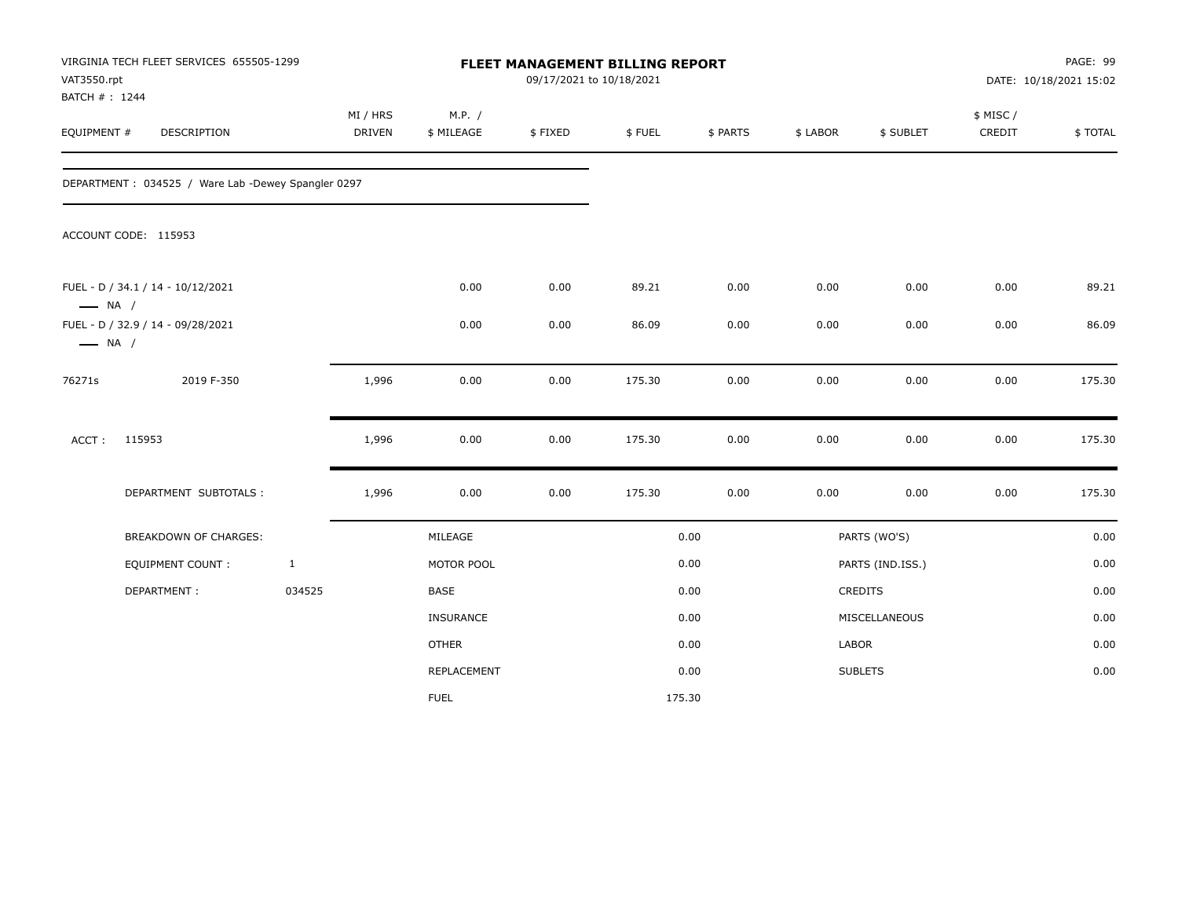| VAT3550.rpt<br>BATCH #: 1244 | VIRGINIA TECH FLEET SERVICES 655505-1299           |              | FLEET MANAGEMENT BILLING REPORT<br>09/17/2021 to 10/18/2021 |                      |         |        |          |          |                  | PAGE: 99<br>DATE: 10/18/2021 15:02 |         |
|------------------------------|----------------------------------------------------|--------------|-------------------------------------------------------------|----------------------|---------|--------|----------|----------|------------------|------------------------------------|---------|
| EQUIPMENT #                  | DESCRIPTION                                        |              | MI / HRS<br><b>DRIVEN</b>                                   | M.P. /<br>\$ MILEAGE | \$FIXED | \$FUEL | \$ PARTS | \$ LABOR | \$ SUBLET        | \$ MISC/<br>CREDIT                 | \$TOTAL |
|                              | DEPARTMENT: 034525 / Ware Lab -Dewey Spangler 0297 |              |                                                             |                      |         |        |          |          |                  |                                    |         |
|                              | ACCOUNT CODE: 115953                               |              |                                                             |                      |         |        |          |          |                  |                                    |         |
| $\longrightarrow$ NA /       | FUEL - D / 34.1 / 14 - 10/12/2021                  |              |                                                             | 0.00                 | 0.00    | 89.21  | 0.00     | 0.00     | 0.00             | 0.00                               | 89.21   |
| $\longrightarrow$ NA /       | FUEL - D / 32.9 / 14 - 09/28/2021                  |              |                                                             | 0.00                 | 0.00    | 86.09  | 0.00     | 0.00     | 0.00             | 0.00                               | 86.09   |
| 76271s                       | 2019 F-350                                         |              | 1,996                                                       | 0.00                 | 0.00    | 175.30 | 0.00     | 0.00     | 0.00             | 0.00                               | 175.30  |
| ACCT:                        | 115953                                             |              | 1,996                                                       | 0.00                 | 0.00    | 175.30 | 0.00     | 0.00     | 0.00             | 0.00                               | 175.30  |
|                              | DEPARTMENT SUBTOTALS :                             |              | 1,996                                                       | 0.00                 | 0.00    | 175.30 | 0.00     | 0.00     | 0.00             | $0.00\,$                           | 175.30  |
|                              | <b>BREAKDOWN OF CHARGES:</b>                       |              |                                                             | MILEAGE              |         |        | 0.00     |          | PARTS (WO'S)     |                                    | 0.00    |
|                              | <b>EQUIPMENT COUNT:</b>                            | $\mathbf{1}$ |                                                             | MOTOR POOL           |         |        | 0.00     |          | PARTS (IND.ISS.) |                                    | 0.00    |
|                              | DEPARTMENT:                                        | 034525       |                                                             | BASE                 |         |        | 0.00     |          | CREDITS          |                                    | 0.00    |
|                              |                                                    |              |                                                             | <b>INSURANCE</b>     |         |        | 0.00     |          | MISCELLANEOUS    |                                    | 0.00    |
|                              |                                                    |              |                                                             | <b>OTHER</b>         |         |        | 0.00     | LABOR    |                  |                                    | 0.00    |
|                              |                                                    |              |                                                             | REPLACEMENT          |         |        | 0.00     |          | <b>SUBLETS</b>   |                                    | 0.00    |
|                              |                                                    |              |                                                             | <b>FUEL</b>          |         |        | 175.30   |          |                  |                                    |         |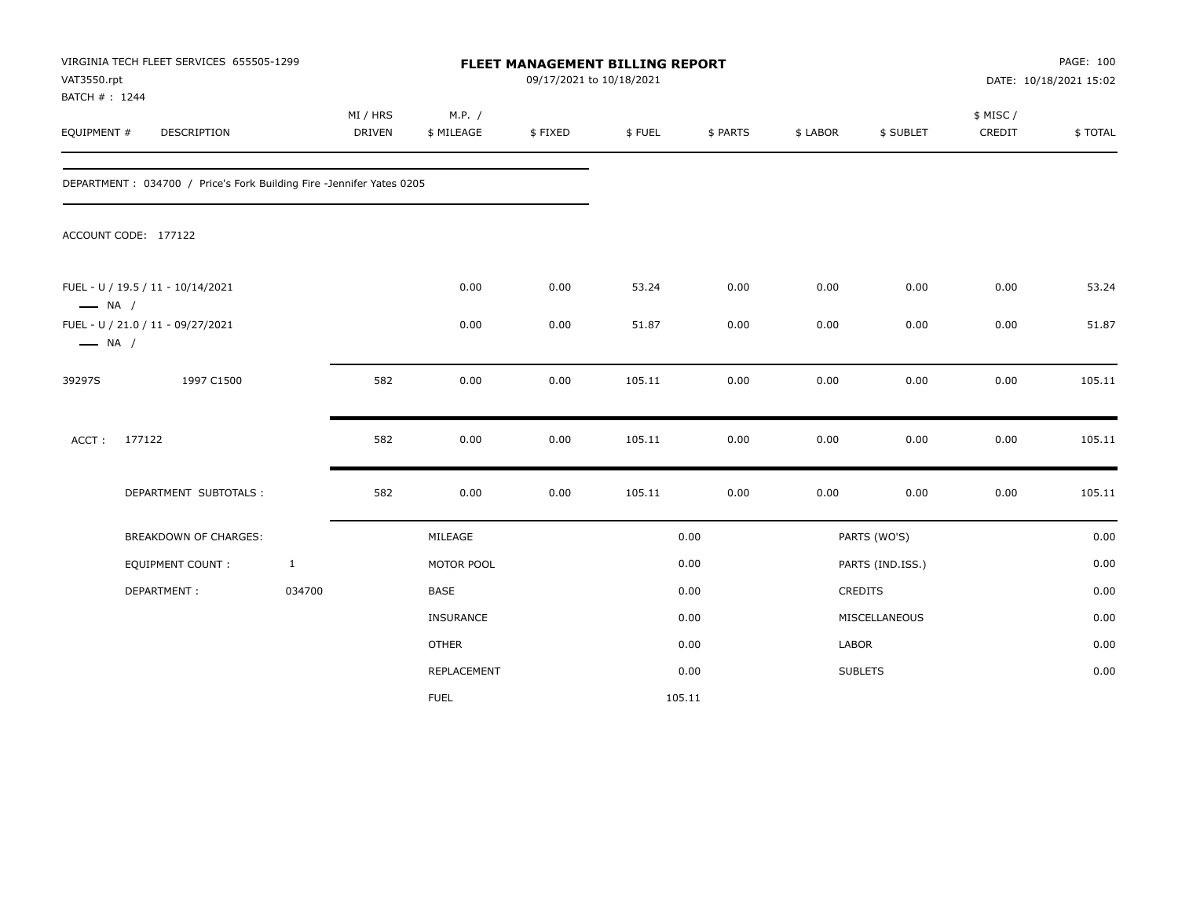| VAT3550.rpt<br>BATCH #: 1244 | VIRGINIA TECH FLEET SERVICES 655505-1299                             |              |                           |                      | 09/17/2021 to 10/18/2021 | FLEET MANAGEMENT BILLING REPORT |          |          |                  | PAGE: 100<br>DATE: 10/18/2021 15:02 |         |  |
|------------------------------|----------------------------------------------------------------------|--------------|---------------------------|----------------------|--------------------------|---------------------------------|----------|----------|------------------|-------------------------------------|---------|--|
| EQUIPMENT #                  | <b>DESCRIPTION</b>                                                   |              | MI / HRS<br><b>DRIVEN</b> | M.P. /<br>\$ MILEAGE | \$FIXED                  | \$FUEL                          | \$ PARTS | \$ LABOR | \$ SUBLET        | \$ MISC/<br>CREDIT                  | \$TOTAL |  |
|                              | DEPARTMENT: 034700 / Price's Fork Building Fire -Jennifer Yates 0205 |              |                           |                      |                          |                                 |          |          |                  |                                     |         |  |
|                              | ACCOUNT CODE: 177122                                                 |              |                           |                      |                          |                                 |          |          |                  |                                     |         |  |
| $\longrightarrow$ NA /       | FUEL - U / 19.5 / 11 - 10/14/2021                                    |              |                           | 0.00                 | 0.00                     | 53.24                           | 0.00     | 0.00     | 0.00             | 0.00                                | 53.24   |  |
| $\longrightarrow$ NA /       | FUEL - U / 21.0 / 11 - 09/27/2021                                    |              |                           | 0.00                 | 0.00                     | 51.87                           | 0.00     | 0.00     | 0.00             | 0.00                                | 51.87   |  |
| 39297S                       | 1997 C1500                                                           |              | 582                       | 0.00                 | 0.00                     | 105.11                          | 0.00     | 0.00     | 0.00             | 0.00                                | 105.11  |  |
| $ACCT$ :                     | 177122                                                               |              | 582                       | 0.00                 | 0.00                     | 105.11                          | 0.00     | 0.00     | 0.00             | 0.00                                | 105.11  |  |
|                              | DEPARTMENT SUBTOTALS :                                               |              | 582                       | 0.00                 | 0.00                     | 105.11                          | 0.00     | 0.00     | 0.00             | 0.00                                | 105.11  |  |
|                              | <b>BREAKDOWN OF CHARGES:</b>                                         |              |                           | MILEAGE              |                          |                                 | 0.00     |          | PARTS (WO'S)     |                                     | 0.00    |  |
|                              | EQUIPMENT COUNT :                                                    | $\mathbf{1}$ |                           | MOTOR POOL           |                          |                                 | 0.00     |          | PARTS (IND.ISS.) |                                     | 0.00    |  |
|                              | DEPARTMENT:                                                          | 034700       |                           | BASE                 |                          |                                 | 0.00     |          | CREDITS          |                                     | 0.00    |  |
|                              |                                                                      |              |                           | INSURANCE            |                          |                                 | 0.00     |          | MISCELLANEOUS    |                                     | 0.00    |  |
|                              |                                                                      |              |                           | <b>OTHER</b>         |                          |                                 | 0.00     | LABOR    |                  |                                     | 0.00    |  |
|                              |                                                                      |              |                           | REPLACEMENT          |                          |                                 | 0.00     |          | <b>SUBLETS</b>   |                                     | 0.00    |  |
|                              |                                                                      |              |                           | <b>FUEL</b>          |                          |                                 | 105.11   |          |                  |                                     |         |  |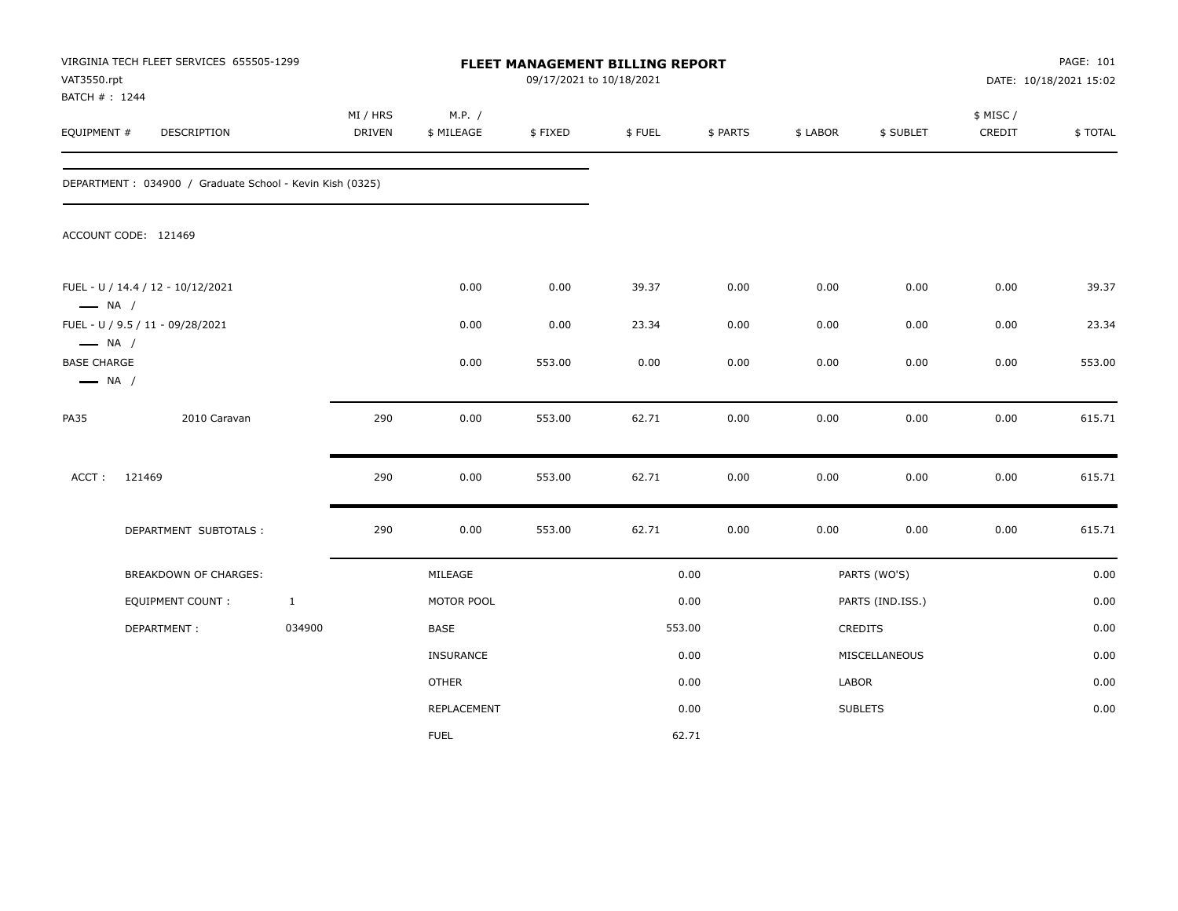| VAT3550.rpt<br>BATCH #: 1244                                           | VIRGINIA TECH FLEET SERVICES 655505-1299                 |              | FLEET MANAGEMENT BILLING REPORT<br>09/17/2021 to 10/18/2021 |                      |         |        |          |          |                  | PAGE: 101<br>DATE: 10/18/2021 15:02 |         |  |
|------------------------------------------------------------------------|----------------------------------------------------------|--------------|-------------------------------------------------------------|----------------------|---------|--------|----------|----------|------------------|-------------------------------------|---------|--|
| EQUIPMENT #                                                            | DESCRIPTION                                              |              | MI / HRS<br><b>DRIVEN</b>                                   | M.P. /<br>\$ MILEAGE | \$FIXED | \$FUEL | \$ PARTS | \$ LABOR | \$ SUBLET        | \$ MISC /<br>CREDIT                 | \$TOTAL |  |
|                                                                        | DEPARTMENT: 034900 / Graduate School - Kevin Kish (0325) |              |                                                             |                      |         |        |          |          |                  |                                     |         |  |
|                                                                        | ACCOUNT CODE: 121469                                     |              |                                                             |                      |         |        |          |          |                  |                                     |         |  |
| $\longrightarrow$ NA /                                                 | FUEL - U / 14.4 / 12 - 10/12/2021                        |              |                                                             | 0.00                 | 0.00    | 39.37  | 0.00     | 0.00     | 0.00             | 0.00                                | 39.37   |  |
|                                                                        | FUEL - U / 9.5 / 11 - 09/28/2021                         |              |                                                             | 0.00                 | 0.00    | 23.34  | 0.00     | 0.00     | 0.00             | 0.00                                | 23.34   |  |
| $\longrightarrow$ NA /<br><b>BASE CHARGE</b><br>$\longrightarrow$ NA / |                                                          |              |                                                             | 0.00                 | 553.00  | 0.00   | 0.00     | 0.00     | 0.00             | 0.00                                | 553.00  |  |
| <b>PA35</b>                                                            | 2010 Caravan                                             |              | 290                                                         | 0.00                 | 553.00  | 62.71  | 0.00     | 0.00     | 0.00             | 0.00                                | 615.71  |  |
| ACCT:                                                                  | 121469                                                   |              | 290                                                         | 0.00                 | 553.00  | 62.71  | 0.00     | 0.00     | 0.00             | 0.00                                | 615.71  |  |
|                                                                        | DEPARTMENT SUBTOTALS :                                   |              | 290                                                         | 0.00                 | 553.00  | 62.71  | $0.00\,$ | 0.00     | 0.00             | 0.00                                | 615.71  |  |
|                                                                        | BREAKDOWN OF CHARGES:                                    |              |                                                             | MILEAGE              |         |        | 0.00     |          | PARTS (WO'S)     |                                     | 0.00    |  |
|                                                                        | EQUIPMENT COUNT:                                         | $\mathbf{1}$ |                                                             | MOTOR POOL           |         |        | 0.00     |          | PARTS (IND.ISS.) |                                     | 0.00    |  |
|                                                                        | DEPARTMENT:                                              | 034900       |                                                             | BASE                 |         |        | 553.00   |          | <b>CREDITS</b>   |                                     | 0.00    |  |
|                                                                        |                                                          |              |                                                             | INSURANCE            |         |        | 0.00     |          | MISCELLANEOUS    |                                     | 0.00    |  |
|                                                                        |                                                          |              |                                                             | <b>OTHER</b>         |         |        | 0.00     | LABOR    |                  |                                     | 0.00    |  |
|                                                                        |                                                          |              |                                                             | <b>REPLACEMENT</b>   |         |        | 0.00     |          | <b>SUBLETS</b>   |                                     | 0.00    |  |
|                                                                        |                                                          |              |                                                             | <b>FUEL</b>          |         |        | 62.71    |          |                  |                                     |         |  |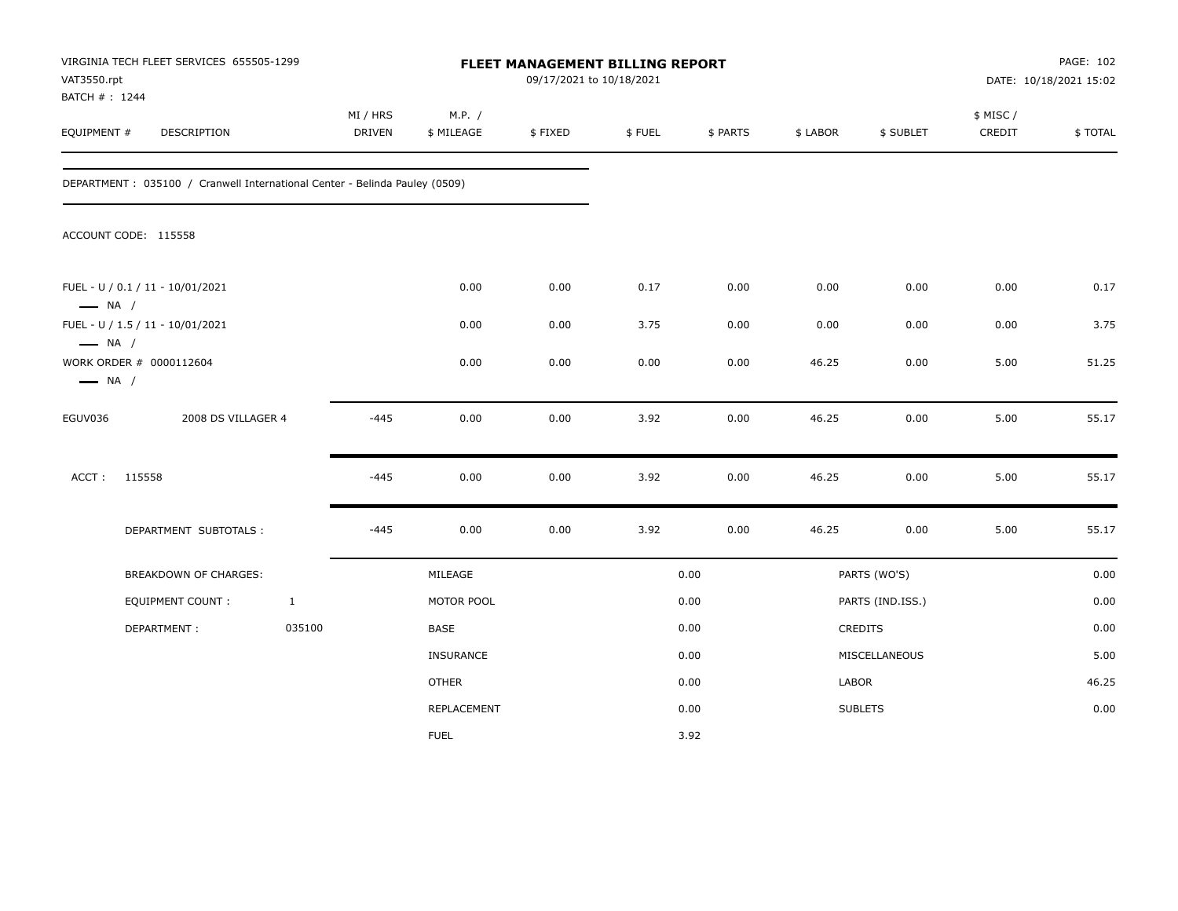| VAT3550.rpt<br>BATCH #: 1244                                                | VIRGINIA TECH FLEET SERVICES 655505-1299                                    |              |                           |                      |         | FLEET MANAGEMENT BILLING REPORT<br>09/17/2021 to 10/18/2021 |          |          |                  | PAGE: 102<br>DATE: 10/18/2021 15:02 |         |
|-----------------------------------------------------------------------------|-----------------------------------------------------------------------------|--------------|---------------------------|----------------------|---------|-------------------------------------------------------------|----------|----------|------------------|-------------------------------------|---------|
| EQUIPMENT #                                                                 | DESCRIPTION                                                                 |              | MI / HRS<br><b>DRIVEN</b> | M.P. /<br>\$ MILEAGE | \$FIXED | \$FUEL                                                      | \$ PARTS | \$ LABOR | \$ SUBLET        | \$ MISC /<br>CREDIT                 | \$TOTAL |
|                                                                             | DEPARTMENT : 035100 / Cranwell International Center - Belinda Pauley (0509) |              |                           |                      |         |                                                             |          |          |                  |                                     |         |
|                                                                             | ACCOUNT CODE: 115558                                                        |              |                           |                      |         |                                                             |          |          |                  |                                     |         |
| $\longrightarrow$ NA /                                                      | FUEL - U / 0.1 / 11 - 10/01/2021                                            |              |                           | 0.00                 | 0.00    | 0.17                                                        | 0.00     | 0.00     | 0.00             | 0.00                                | 0.17    |
|                                                                             | FUEL - U / 1.5 / 11 - 10/01/2021                                            |              |                           | 0.00                 | 0.00    | 3.75                                                        | 0.00     | 0.00     | 0.00             | 0.00                                | 3.75    |
| $\longrightarrow$ NA /<br>WORK ORDER # 0000112604<br>$\longrightarrow$ NA / |                                                                             |              |                           | 0.00                 | 0.00    | 0.00                                                        | 0.00     | 46.25    | 0.00             | 5.00                                | 51.25   |
| EGUV036                                                                     | 2008 DS VILLAGER 4                                                          |              | $-445$                    | 0.00                 | 0.00    | 3.92                                                        | 0.00     | 46.25    | 0.00             | 5.00                                | 55.17   |
| ACCT:                                                                       | 115558                                                                      |              | $-445$                    | 0.00                 | 0.00    | 3.92                                                        | 0.00     | 46.25    | 0.00             | 5.00                                | 55.17   |
|                                                                             | DEPARTMENT SUBTOTALS :                                                      |              | $-445$                    | 0.00                 | 0.00    | 3.92                                                        | 0.00     | 46.25    | 0.00             | 5.00                                | 55.17   |
|                                                                             | BREAKDOWN OF CHARGES:                                                       |              |                           | MILEAGE              |         |                                                             | 0.00     |          | PARTS (WO'S)     |                                     | 0.00    |
|                                                                             | <b>EQUIPMENT COUNT:</b>                                                     | $\mathbf{1}$ |                           | MOTOR POOL           |         |                                                             | 0.00     |          | PARTS (IND.ISS.) |                                     | 0.00    |
|                                                                             | DEPARTMENT:                                                                 | 035100       |                           | BASE                 |         |                                                             | 0.00     |          | <b>CREDITS</b>   |                                     | 0.00    |
|                                                                             |                                                                             |              |                           | <b>INSURANCE</b>     |         |                                                             | 0.00     |          | MISCELLANEOUS    |                                     | 5.00    |
|                                                                             |                                                                             |              |                           | <b>OTHER</b>         |         |                                                             | 0.00     | LABOR    |                  |                                     | 46.25   |
|                                                                             |                                                                             |              |                           | <b>REPLACEMENT</b>   |         |                                                             | 0.00     |          | <b>SUBLETS</b>   |                                     | 0.00    |
|                                                                             |                                                                             |              |                           | <b>FUEL</b>          |         |                                                             | 3.92     |          |                  |                                     |         |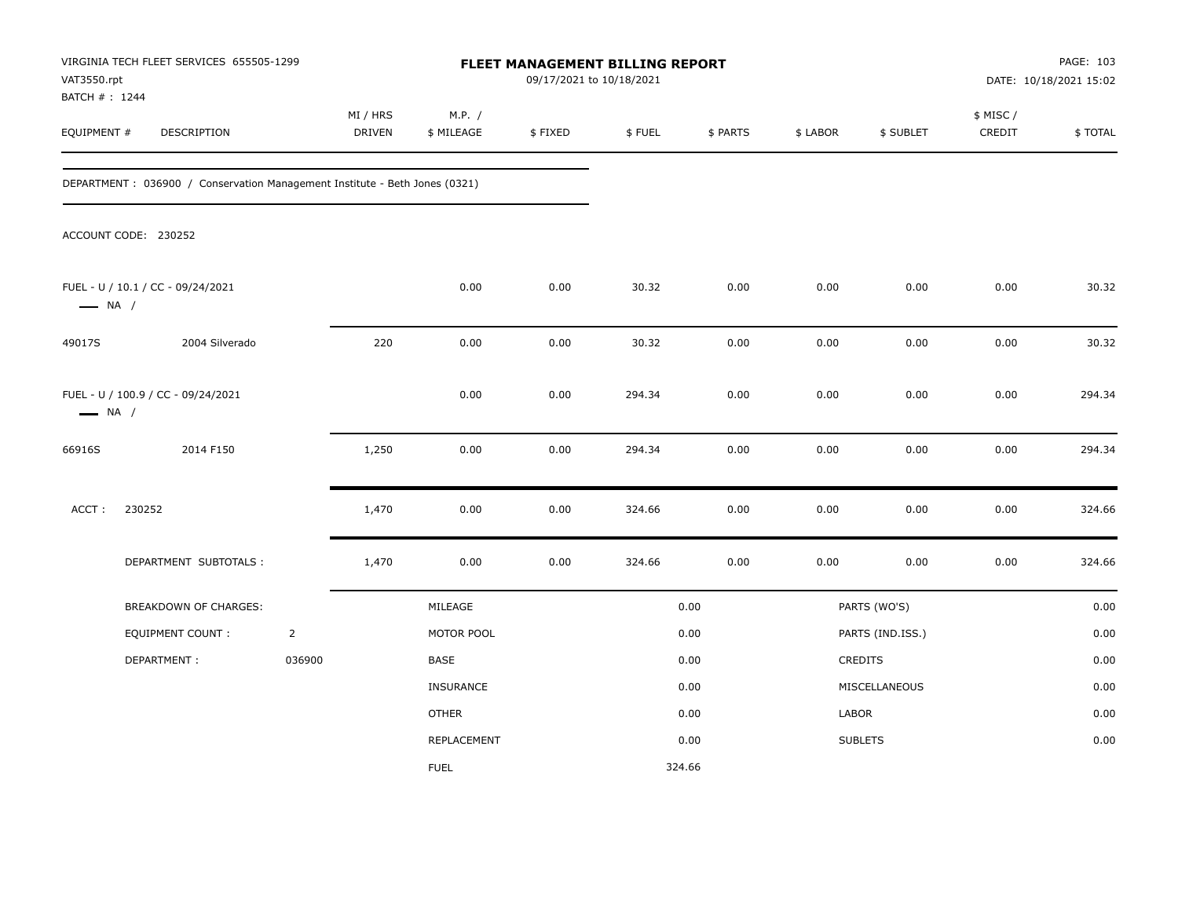| VAT3550.rpt<br>BATCH # : 1244 | VIRGINIA TECH FLEET SERVICES 655505-1299                                    |                |                    |                      | 09/17/2021 to 10/18/2021 | FLEET MANAGEMENT BILLING REPORT |          |          |                  | PAGE: 103<br>DATE: 10/18/2021 15:02 |         |
|-------------------------------|-----------------------------------------------------------------------------|----------------|--------------------|----------------------|--------------------------|---------------------------------|----------|----------|------------------|-------------------------------------|---------|
| EQUIPMENT #                   | DESCRIPTION                                                                 |                | MI / HRS<br>DRIVEN | M.P. /<br>\$ MILEAGE | \$FIXED                  | \$FUEL                          | \$ PARTS | \$ LABOR | \$ SUBLET        | \$ MISC /<br>CREDIT                 | \$TOTAL |
|                               | DEPARTMENT : 036900 / Conservation Management Institute - Beth Jones (0321) |                |                    |                      |                          |                                 |          |          |                  |                                     |         |
|                               | ACCOUNT CODE: 230252                                                        |                |                    |                      |                          |                                 |          |          |                  |                                     |         |
| $\longrightarrow$ NA /        | FUEL - U / 10.1 / CC - 09/24/2021                                           |                |                    | 0.00                 | 0.00                     | 30.32                           | 0.00     | 0.00     | 0.00             | 0.00                                | 30.32   |
| 49017S                        | 2004 Silverado                                                              |                | 220                | 0.00                 | 0.00                     | 30.32                           | 0.00     | 0.00     | 0.00             | 0.00                                | 30.32   |
| $\longrightarrow$ NA /        | FUEL - U / 100.9 / CC - 09/24/2021                                          |                |                    | 0.00                 | 0.00                     | 294.34                          | 0.00     | 0.00     | 0.00             | 0.00                                | 294.34  |
| 66916S                        | 2014 F150                                                                   |                | 1,250              | 0.00                 | 0.00                     | 294.34                          | 0.00     | 0.00     | 0.00             | 0.00                                | 294.34  |
| ACCT:                         | 230252                                                                      |                | 1,470              | 0.00                 | 0.00                     | 324.66                          | 0.00     | 0.00     | 0.00             | 0.00                                | 324.66  |
|                               | DEPARTMENT SUBTOTALS :                                                      |                | 1,470              | 0.00                 | 0.00                     | 324.66                          | 0.00     | 0.00     | 0.00             | 0.00                                | 324.66  |
|                               | BREAKDOWN OF CHARGES:                                                       |                |                    | MILEAGE              |                          |                                 | 0.00     |          | PARTS (WO'S)     |                                     | 0.00    |
|                               | EQUIPMENT COUNT :                                                           | $\overline{2}$ |                    | MOTOR POOL           |                          |                                 | 0.00     |          | PARTS (IND.ISS.) |                                     | 0.00    |
|                               | DEPARTMENT:                                                                 | 036900         |                    | BASE                 |                          |                                 | 0.00     |          | CREDITS          |                                     | 0.00    |
|                               |                                                                             |                |                    | INSURANCE            |                          |                                 | 0.00     |          | MISCELLANEOUS    |                                     | 0.00    |
|                               |                                                                             |                |                    | <b>OTHER</b>         |                          |                                 | 0.00     | LABOR    |                  |                                     | 0.00    |
|                               |                                                                             |                |                    | <b>REPLACEMENT</b>   |                          |                                 | 0.00     |          | <b>SUBLETS</b>   |                                     | 0.00    |
|                               |                                                                             |                |                    | <b>FUEL</b>          |                          | 324.66                          |          |          |                  |                                     |         |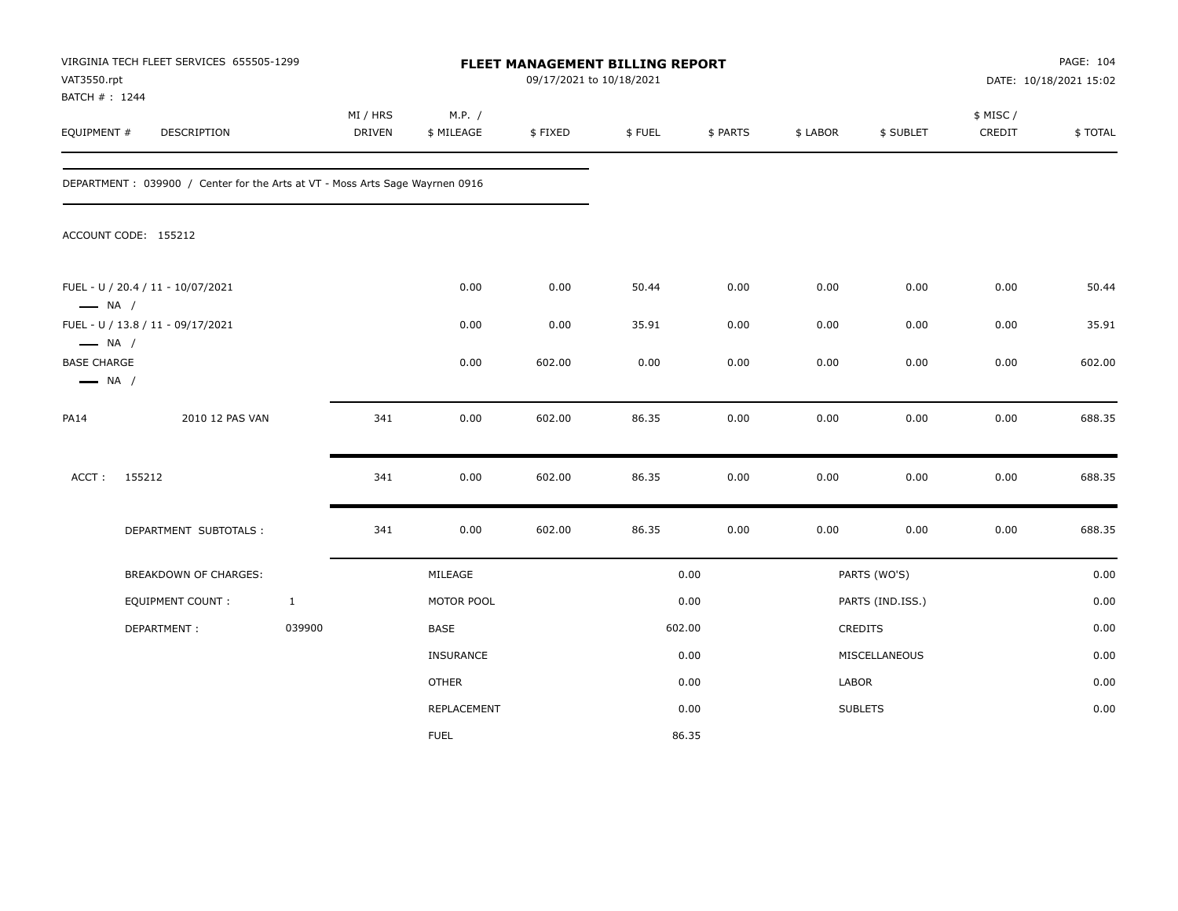| VAT3550.rpt<br>BATCH #: 1244                                           | VIRGINIA TECH FLEET SERVICES 655505-1299                                      |              | FLEET MANAGEMENT BILLING REPORT<br>09/17/2021 to 10/18/2021 |                      |         |        |          |          |                  | PAGE: 104<br>DATE: 10/18/2021 15:02 |         |
|------------------------------------------------------------------------|-------------------------------------------------------------------------------|--------------|-------------------------------------------------------------|----------------------|---------|--------|----------|----------|------------------|-------------------------------------|---------|
| EQUIPMENT #                                                            | DESCRIPTION                                                                   |              | MI / HRS<br><b>DRIVEN</b>                                   | M.P. /<br>\$ MILEAGE | \$FIXED | \$FUEL | \$ PARTS | \$ LABOR | \$ SUBLET        | \$ MISC/<br>CREDIT                  | \$TOTAL |
|                                                                        | DEPARTMENT : 039900 / Center for the Arts at VT - Moss Arts Sage Wayrnen 0916 |              |                                                             |                      |         |        |          |          |                  |                                     |         |
|                                                                        | ACCOUNT CODE: 155212                                                          |              |                                                             |                      |         |        |          |          |                  |                                     |         |
| $\longrightarrow$ NA /                                                 | FUEL - U / 20.4 / 11 - 10/07/2021                                             |              |                                                             | 0.00                 | 0.00    | 50.44  | 0.00     | 0.00     | 0.00             | 0.00                                | 50.44   |
|                                                                        | FUEL - U / 13.8 / 11 - 09/17/2021                                             |              |                                                             | 0.00                 | 0.00    | 35.91  | 0.00     | 0.00     | 0.00             | 0.00                                | 35.91   |
| $\longrightarrow$ NA /<br><b>BASE CHARGE</b><br>$\longrightarrow$ NA / |                                                                               |              |                                                             | 0.00                 | 602.00  | 0.00   | 0.00     | 0.00     | 0.00             | 0.00                                | 602.00  |
| <b>PA14</b>                                                            | 2010 12 PAS VAN                                                               |              | 341                                                         | 0.00                 | 602.00  | 86.35  | 0.00     | 0.00     | 0.00             | 0.00                                | 688.35  |
| ACCT:                                                                  | 155212                                                                        |              | 341                                                         | 0.00                 | 602.00  | 86.35  | 0.00     | 0.00     | 0.00             | 0.00                                | 688.35  |
|                                                                        | DEPARTMENT SUBTOTALS :                                                        |              | 341                                                         | 0.00                 | 602.00  | 86.35  | 0.00     | 0.00     | 0.00             | 0.00                                | 688.35  |
|                                                                        | BREAKDOWN OF CHARGES:                                                         |              |                                                             | MILEAGE              |         |        | 0.00     |          | PARTS (WO'S)     |                                     | 0.00    |
|                                                                        | EQUIPMENT COUNT :                                                             | $\mathbf{1}$ |                                                             | MOTOR POOL           |         |        | 0.00     |          | PARTS (IND.ISS.) |                                     | 0.00    |
|                                                                        | DEPARTMENT:                                                                   | 039900       |                                                             | <b>BASE</b>          |         |        | 602.00   |          | CREDITS          |                                     | 0.00    |
|                                                                        |                                                                               |              |                                                             | <b>INSURANCE</b>     |         |        | 0.00     |          | MISCELLANEOUS    |                                     | 0.00    |
|                                                                        |                                                                               |              |                                                             | <b>OTHER</b>         |         |        | 0.00     | LABOR    |                  |                                     | 0.00    |
|                                                                        |                                                                               |              |                                                             | <b>REPLACEMENT</b>   |         |        | 0.00     |          | <b>SUBLETS</b>   |                                     | 0.00    |
|                                                                        |                                                                               |              |                                                             | <b>FUEL</b>          |         |        | 86.35    |          |                  |                                     |         |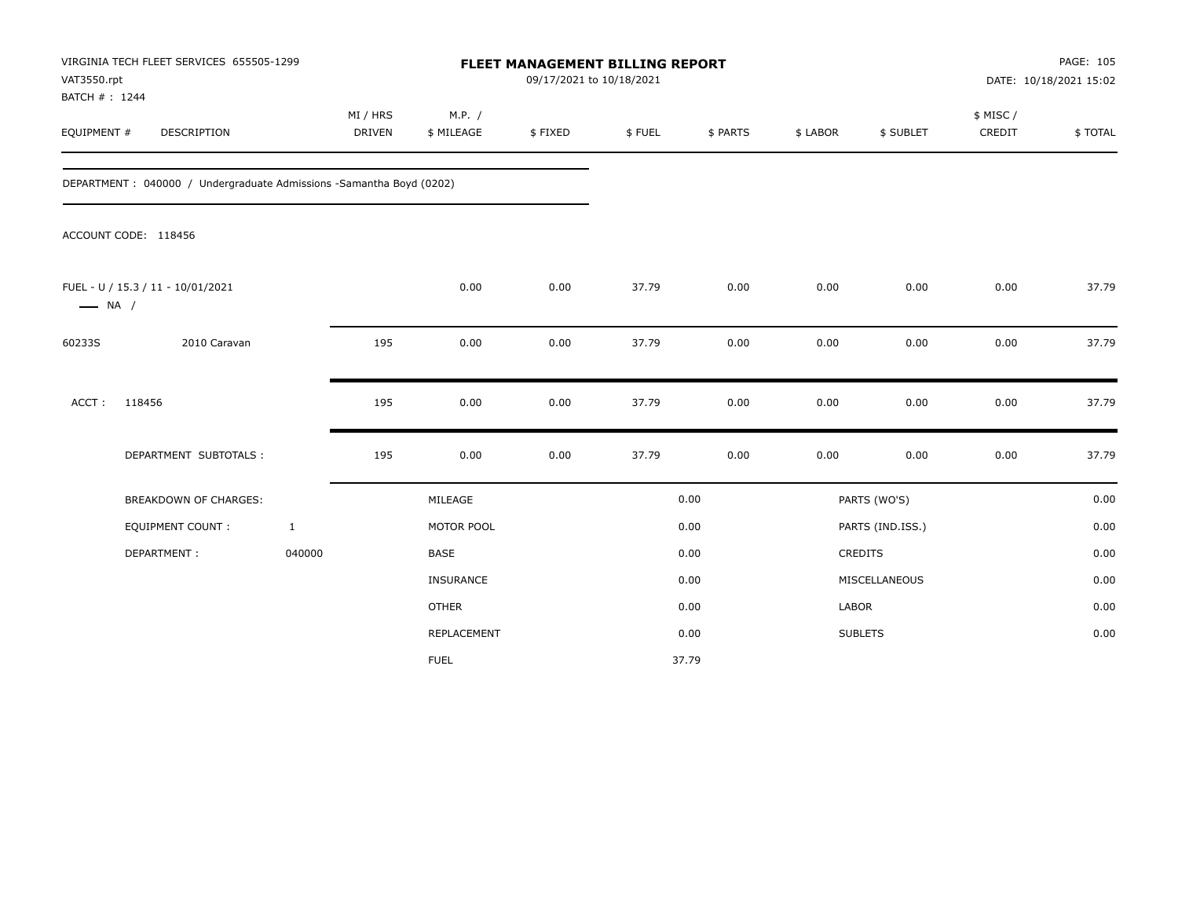| VAT3550.rpt<br>BATCH #: 1244 | VIRGINIA TECH FLEET SERVICES 655505-1299                             |                    |                      |         | <b>FLEET MANAGEMENT BILLING REPORT</b><br>09/17/2021 to 10/18/2021 |          |          |                  | PAGE: 105<br>DATE: 10/18/2021 15:02 |         |  |
|------------------------------|----------------------------------------------------------------------|--------------------|----------------------|---------|--------------------------------------------------------------------|----------|----------|------------------|-------------------------------------|---------|--|
| EQUIPMENT #                  | DESCRIPTION                                                          | MI / HRS<br>DRIVEN | M.P. /<br>\$ MILEAGE | \$FIXED | \$FUEL                                                             | \$ PARTS | \$ LABOR | \$ SUBLET        | \$ MISC /<br>CREDIT                 | \$TOTAL |  |
|                              | DEPARTMENT : 040000 / Undergraduate Admissions -Samantha Boyd (0202) |                    |                      |         |                                                                    |          |          |                  |                                     |         |  |
|                              | ACCOUNT CODE: 118456                                                 |                    |                      |         |                                                                    |          |          |                  |                                     |         |  |
| $\longrightarrow$ NA /       | FUEL - U / 15.3 / 11 - 10/01/2021                                    |                    | 0.00                 | 0.00    | 37.79                                                              | 0.00     | 0.00     | 0.00             | 0.00                                | 37.79   |  |
| 60233S                       | 2010 Caravan                                                         | 195                | 0.00                 | 0.00    | 37.79                                                              | 0.00     | 0.00     | 0.00             | 0.00                                | 37.79   |  |
| ACCT:                        | 118456                                                               | 195                | 0.00                 | 0.00    | 37.79                                                              | 0.00     | 0.00     | 0.00             | 0.00                                | 37.79   |  |
|                              | DEPARTMENT SUBTOTALS :                                               | 195                | 0.00                 | 0.00    | 37.79                                                              | 0.00     | 0.00     | 0.00             | 0.00                                | 37.79   |  |
|                              | <b>BREAKDOWN OF CHARGES:</b>                                         |                    | MILEAGE              |         |                                                                    | 0.00     |          | PARTS (WO'S)     |                                     | 0.00    |  |
|                              | EQUIPMENT COUNT :                                                    | $\mathbf{1}$       | MOTOR POOL           |         |                                                                    | 0.00     |          | PARTS (IND.ISS.) |                                     | 0.00    |  |
|                              | DEPARTMENT:                                                          | 040000             | <b>BASE</b>          |         |                                                                    | 0.00     |          | CREDITS          |                                     | 0.00    |  |
|                              |                                                                      |                    | INSURANCE            |         |                                                                    | 0.00     |          | MISCELLANEOUS    |                                     | 0.00    |  |
|                              |                                                                      |                    | <b>OTHER</b>         |         |                                                                    | 0.00     | LABOR    |                  |                                     | 0.00    |  |
|                              |                                                                      |                    | <b>REPLACEMENT</b>   |         |                                                                    | 0.00     |          | <b>SUBLETS</b>   |                                     | 0.00    |  |
|                              |                                                                      |                    | <b>FUEL</b>          |         |                                                                    | 37.79    |          |                  |                                     |         |  |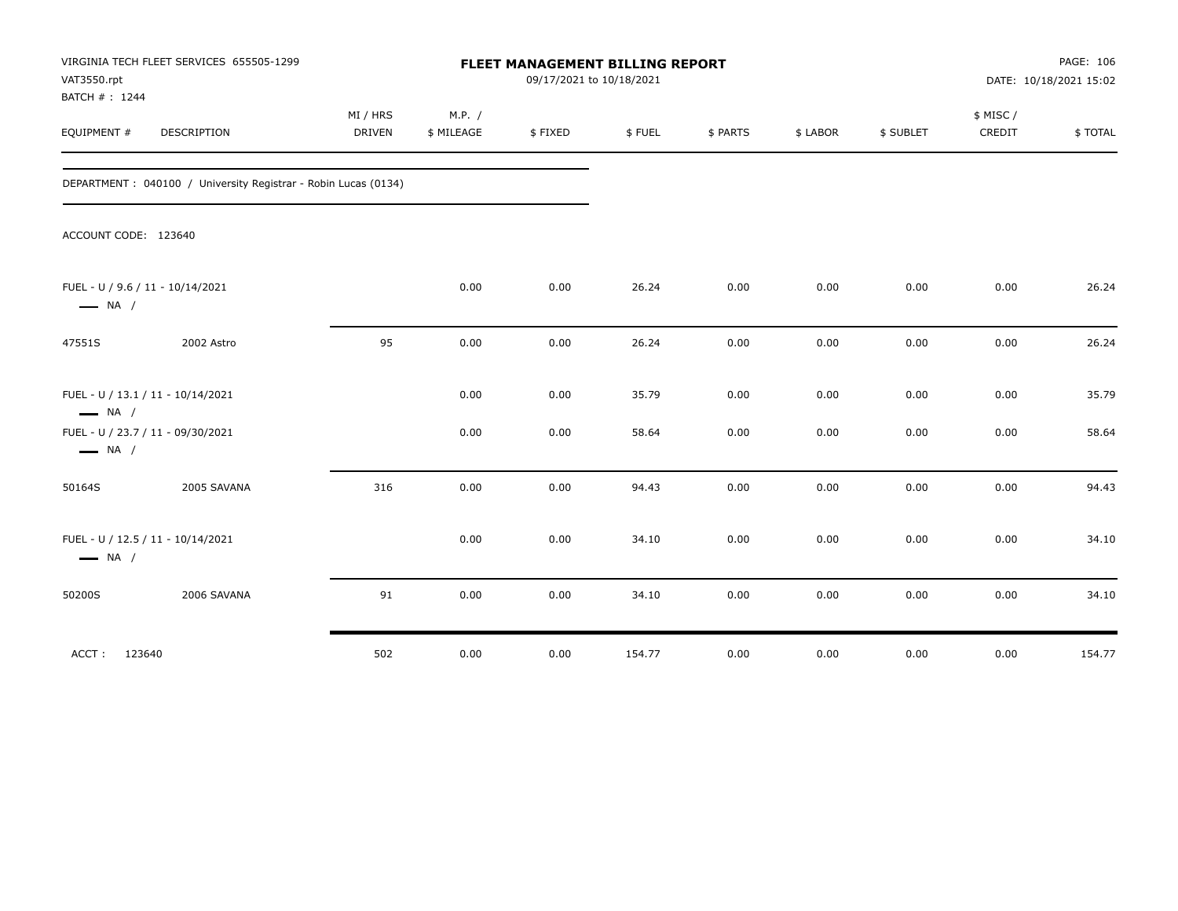| VAT3550.rpt<br>BATCH #: 1244                                | VIRGINIA TECH FLEET SERVICES 655505-1299                        | FLEET MANAGEMENT BILLING REPORT<br>09/17/2021 to 10/18/2021 |                      |         |        |          |          |           | PAGE: 106<br>DATE: 10/18/2021 15:02 |         |
|-------------------------------------------------------------|-----------------------------------------------------------------|-------------------------------------------------------------|----------------------|---------|--------|----------|----------|-----------|-------------------------------------|---------|
| EQUIPMENT #                                                 | DESCRIPTION                                                     | MI / HRS<br><b>DRIVEN</b>                                   | M.P. /<br>\$ MILEAGE | \$FIXED | \$FUEL | \$ PARTS | \$ LABOR | \$ SUBLET | \$ MISC/<br>CREDIT                  | \$TOTAL |
|                                                             | DEPARTMENT : 040100 / University Registrar - Robin Lucas (0134) |                                                             |                      |         |        |          |          |           |                                     |         |
| ACCOUNT CODE: 123640                                        |                                                                 |                                                             |                      |         |        |          |          |           |                                     |         |
| FUEL - U / 9.6 / 11 - 10/14/2021<br>$\longrightarrow$ NA /  |                                                                 |                                                             | 0.00                 | 0.00    | 26.24  | 0.00     | 0.00     | 0.00      | 0.00                                | 26.24   |
| 47551S                                                      | 2002 Astro                                                      | 95                                                          | 0.00                 | 0.00    | 26.24  | 0.00     | 0.00     | 0.00      | 0.00                                | 26.24   |
| FUEL - U / 13.1 / 11 - 10/14/2021<br>$\longrightarrow$ NA / |                                                                 |                                                             | 0.00                 | 0.00    | 35.79  | 0.00     | 0.00     | 0.00      | 0.00                                | 35.79   |
| FUEL - U / 23.7 / 11 - 09/30/2021<br>$\longrightarrow$ NA / |                                                                 |                                                             | 0.00                 | 0.00    | 58.64  | 0.00     | 0.00     | 0.00      | 0.00                                | 58.64   |
| 50164S                                                      | 2005 SAVANA                                                     | 316                                                         | 0.00                 | 0.00    | 94.43  | 0.00     | 0.00     | 0.00      | 0.00                                | 94.43   |
| FUEL - U / 12.5 / 11 - 10/14/2021<br>$\longrightarrow$ NA / |                                                                 |                                                             | 0.00                 | 0.00    | 34.10  | 0.00     | 0.00     | 0.00      | 0.00                                | 34.10   |
| 50200S                                                      | 2006 SAVANA                                                     | 91                                                          | 0.00                 | 0.00    | 34.10  | 0.00     | 0.00     | 0.00      | 0.00                                | 34.10   |
| ACCT: 123640                                                |                                                                 | 502                                                         | 0.00                 | 0.00    | 154.77 | 0.00     | 0.00     | 0.00      | 0.00                                | 154.77  |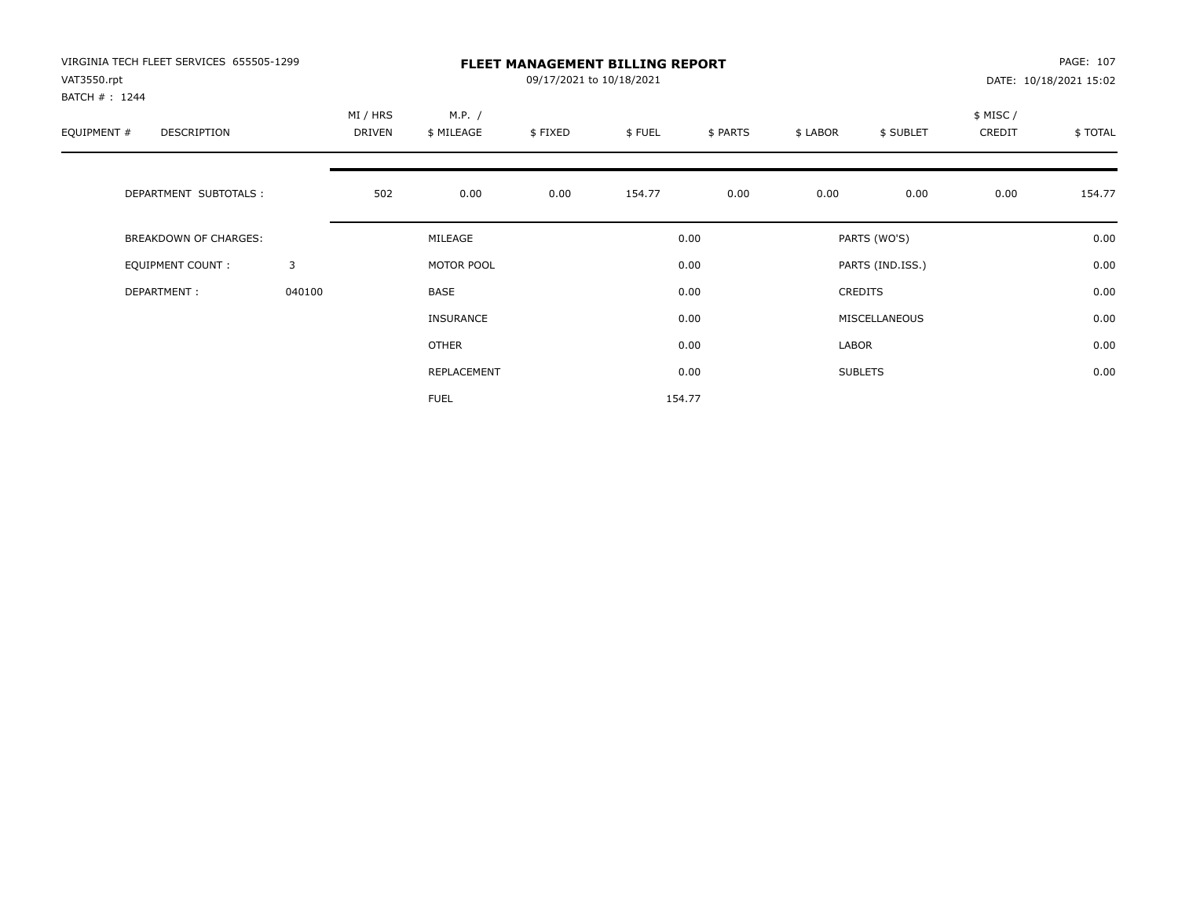| VIRGINIA TECH FLEET SERVICES 655505-1299<br>VAT3550.rpt<br>BATCH #: 1244 |        | <b>FLEET MANAGEMENT BILLING REPORT</b><br>09/17/2021 to 10/18/2021<br>DATE: 10/18/2021 15:02 |                                                                                |      |        |        |       |                  |                    |         |
|--------------------------------------------------------------------------|--------|----------------------------------------------------------------------------------------------|--------------------------------------------------------------------------------|------|--------|--------|-------|------------------|--------------------|---------|
| EQUIPMENT #<br>DESCRIPTION                                               |        | MI / HRS<br>DRIVEN                                                                           | M.P. /<br>\$ MILEAGE<br>\$FIXED<br>\$FUEL<br>\$ PARTS<br>\$ LABOR<br>\$ SUBLET |      |        |        |       |                  | \$ MISC/<br>CREDIT | \$TOTAL |
| DEPARTMENT SUBTOTALS :                                                   |        | 502                                                                                          | 0.00                                                                           | 0.00 | 154.77 | 0.00   | 0.00  | 0.00             | 0.00               | 154.77  |
| <b>BREAKDOWN OF CHARGES:</b>                                             |        |                                                                                              | MILEAGE                                                                        |      |        | 0.00   |       | PARTS (WO'S)     |                    | 0.00    |
| EQUIPMENT COUNT:                                                         | 3      |                                                                                              | MOTOR POOL                                                                     |      |        | 0.00   |       | PARTS (IND.ISS.) |                    | 0.00    |
| DEPARTMENT:                                                              | 040100 |                                                                                              | <b>BASE</b>                                                                    |      |        | 0.00   |       | <b>CREDITS</b>   |                    | 0.00    |
|                                                                          |        |                                                                                              | <b>INSURANCE</b>                                                               |      |        | 0.00   |       | MISCELLANEOUS    |                    | 0.00    |
|                                                                          |        |                                                                                              | OTHER                                                                          |      |        | 0.00   | LABOR |                  |                    | 0.00    |
|                                                                          |        |                                                                                              | REPLACEMENT                                                                    |      |        | 0.00   |       | <b>SUBLETS</b>   |                    | 0.00    |
|                                                                          |        |                                                                                              | <b>FUEL</b>                                                                    |      |        | 154.77 |       |                  |                    |         |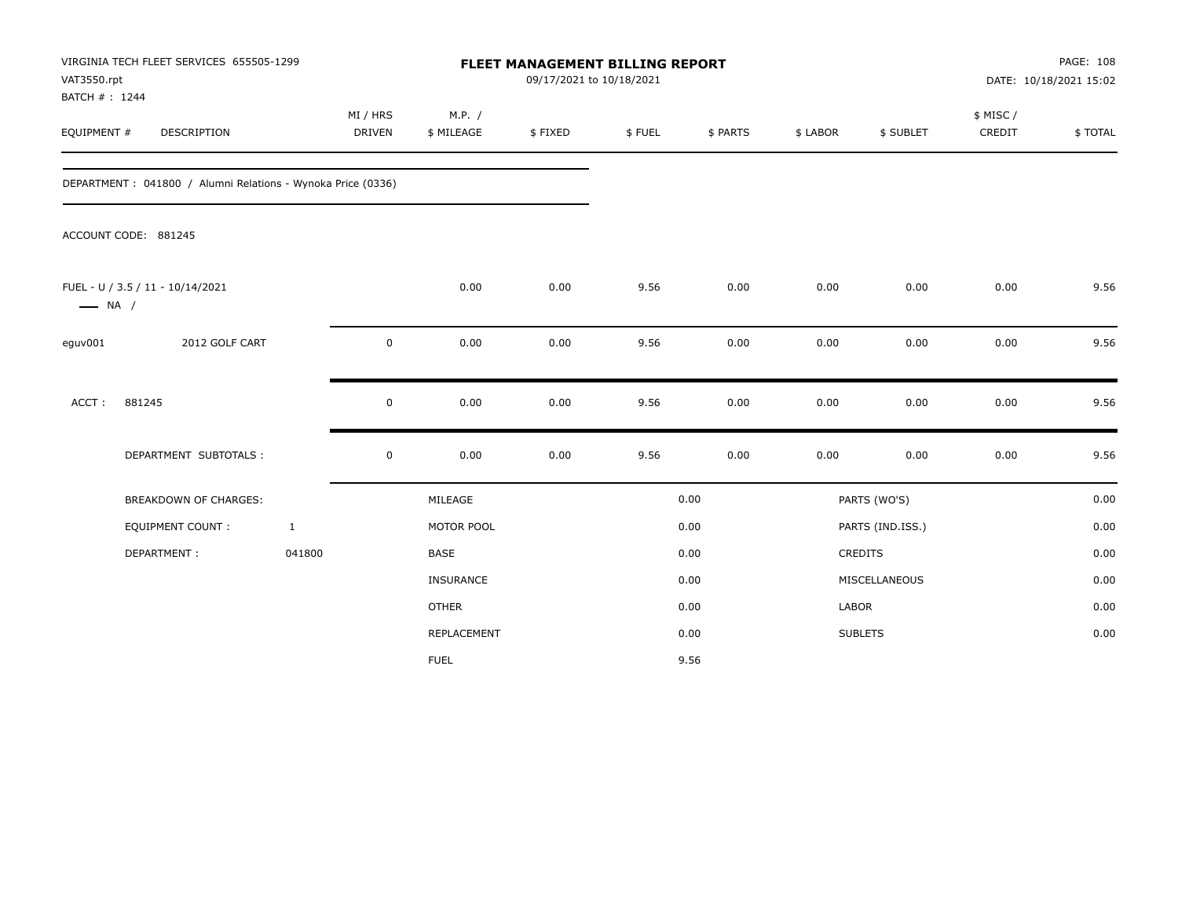| VAT3550.rpt<br>BATCH #: 1244 | VIRGINIA TECH FLEET SERVICES 655505-1299                     |              |                           |                      |         | <b>FLEET MANAGEMENT BILLING REPORT</b><br>09/17/2021 to 10/18/2021 |          |          |                  | PAGE: 108<br>DATE: 10/18/2021 15:02 |         |
|------------------------------|--------------------------------------------------------------|--------------|---------------------------|----------------------|---------|--------------------------------------------------------------------|----------|----------|------------------|-------------------------------------|---------|
| EQUIPMENT #                  | DESCRIPTION                                                  |              | MI / HRS<br><b>DRIVEN</b> | M.P. /<br>\$ MILEAGE | \$FIXED | \$FUEL                                                             | \$ PARTS | \$ LABOR | \$ SUBLET        | \$ MISC /<br>CREDIT                 | \$TOTAL |
|                              | DEPARTMENT : 041800 / Alumni Relations - Wynoka Price (0336) |              |                           |                      |         |                                                                    |          |          |                  |                                     |         |
|                              | ACCOUNT CODE: 881245                                         |              |                           |                      |         |                                                                    |          |          |                  |                                     |         |
| $\longrightarrow$ NA /       | FUEL - U / 3.5 / 11 - 10/14/2021                             |              |                           | 0.00                 | 0.00    | 9.56                                                               | 0.00     | 0.00     | 0.00             | 0.00                                | 9.56    |
| eguv001                      | 2012 GOLF CART                                               |              | $\pmb{0}$                 | 0.00                 | 0.00    | 9.56                                                               | 0.00     | 0.00     | 0.00             | 0.00                                | 9.56    |
| ACCT:                        | 881245                                                       |              | $\pmb{0}$                 | 0.00                 | 0.00    | 9.56                                                               | 0.00     | 0.00     | 0.00             | 0.00                                | 9.56    |
|                              | DEPARTMENT SUBTOTALS :                                       |              | $\pmb{0}$                 | 0.00                 | 0.00    | 9.56                                                               | 0.00     | 0.00     | 0.00             | 0.00                                | 9.56    |
|                              | <b>BREAKDOWN OF CHARGES:</b>                                 |              |                           | MILEAGE              |         |                                                                    | 0.00     |          | PARTS (WO'S)     |                                     | 0.00    |
|                              | <b>EQUIPMENT COUNT:</b>                                      | $\mathbf{1}$ |                           | MOTOR POOL           |         |                                                                    | 0.00     |          | PARTS (IND.ISS.) |                                     | 0.00    |
|                              | DEPARTMENT:                                                  | 041800       |                           | <b>BASE</b>          |         |                                                                    | 0.00     |          | CREDITS          |                                     | 0.00    |
|                              |                                                              |              |                           | INSURANCE            |         |                                                                    | 0.00     |          | MISCELLANEOUS    |                                     | 0.00    |
|                              |                                                              |              |                           | <b>OTHER</b>         |         |                                                                    | 0.00     | LABOR    |                  |                                     | 0.00    |
|                              |                                                              |              |                           | REPLACEMENT          |         |                                                                    | 0.00     |          | <b>SUBLETS</b>   |                                     | 0.00    |
|                              |                                                              |              |                           | <b>FUEL</b>          |         |                                                                    | 9.56     |          |                  |                                     |         |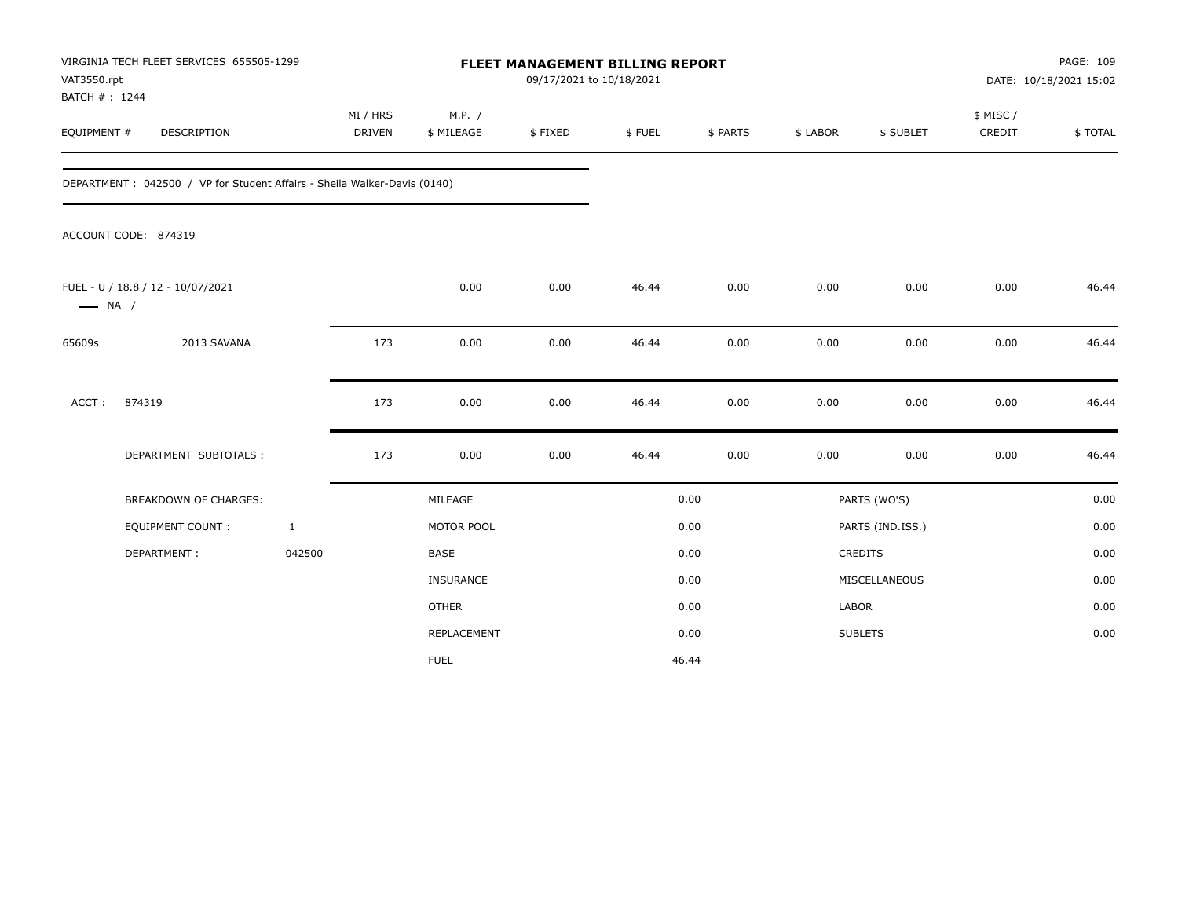| VAT3550.rpt<br>BATCH #: 1244 | VIRGINIA TECH FLEET SERVICES 655505-1299                                 |                           |                      | FLEET MANAGEMENT BILLING REPORT<br>09/17/2021 to 10/18/2021 |        |          |              |                  |                     | PAGE: 109<br>DATE: 10/18/2021 15:02 |
|------------------------------|--------------------------------------------------------------------------|---------------------------|----------------------|-------------------------------------------------------------|--------|----------|--------------|------------------|---------------------|-------------------------------------|
| EQUIPMENT #                  | DESCRIPTION                                                              | MI / HRS<br><b>DRIVEN</b> | M.P. /<br>\$ MILEAGE | \$FIXED                                                     | \$FUEL | \$ PARTS | \$ LABOR     | \$ SUBLET        | \$ MISC /<br>CREDIT | \$TOTAL                             |
|                              | DEPARTMENT: 042500 / VP for Student Affairs - Sheila Walker-Davis (0140) |                           |                      |                                                             |        |          |              |                  |                     |                                     |
|                              | ACCOUNT CODE: 874319                                                     |                           |                      |                                                             |        |          |              |                  |                     |                                     |
| $\longrightarrow$ NA /       | FUEL - U / 18.8 / 12 - 10/07/2021                                        |                           | 0.00                 | 0.00                                                        | 46.44  | 0.00     | 0.00         | 0.00             | 0.00                | 46.44                               |
| 65609s                       | 2013 SAVANA                                                              | 173                       | 0.00                 | 0.00                                                        | 46.44  | 0.00     | 0.00         | 0.00             | 0.00                | 46.44                               |
| ACCT:                        | 874319                                                                   | 173                       | 0.00                 | 0.00                                                        | 46.44  | 0.00     | 0.00         | 0.00             | 0.00                | 46.44                               |
|                              | DEPARTMENT SUBTOTALS :                                                   | 173                       | 0.00                 | 0.00                                                        | 46.44  | 0.00     | 0.00         | 0.00             | 0.00                | 46.44                               |
|                              | BREAKDOWN OF CHARGES:                                                    |                           | MILEAGE              |                                                             |        | 0.00     |              | PARTS (WO'S)     |                     | 0.00                                |
|                              | <b>EQUIPMENT COUNT:</b>                                                  | $\mathbf{1}$              | MOTOR POOL           |                                                             |        | 0.00     |              | PARTS (IND.ISS.) |                     | 0.00                                |
|                              | DEPARTMENT:                                                              | 042500                    | BASE                 |                                                             |        | 0.00     |              | <b>CREDITS</b>   |                     | 0.00                                |
|                              |                                                                          |                           | INSURANCE            |                                                             |        | 0.00     |              | MISCELLANEOUS    |                     | 0.00                                |
|                              |                                                                          |                           | <b>OTHER</b>         |                                                             |        | 0.00     | <b>LABOR</b> |                  |                     | 0.00                                |
|                              |                                                                          |                           | REPLACEMENT          |                                                             |        | 0.00     |              | <b>SUBLETS</b>   |                     | 0.00                                |
|                              |                                                                          |                           | <b>FUEL</b>          |                                                             |        | 46.44    |              |                  |                     |                                     |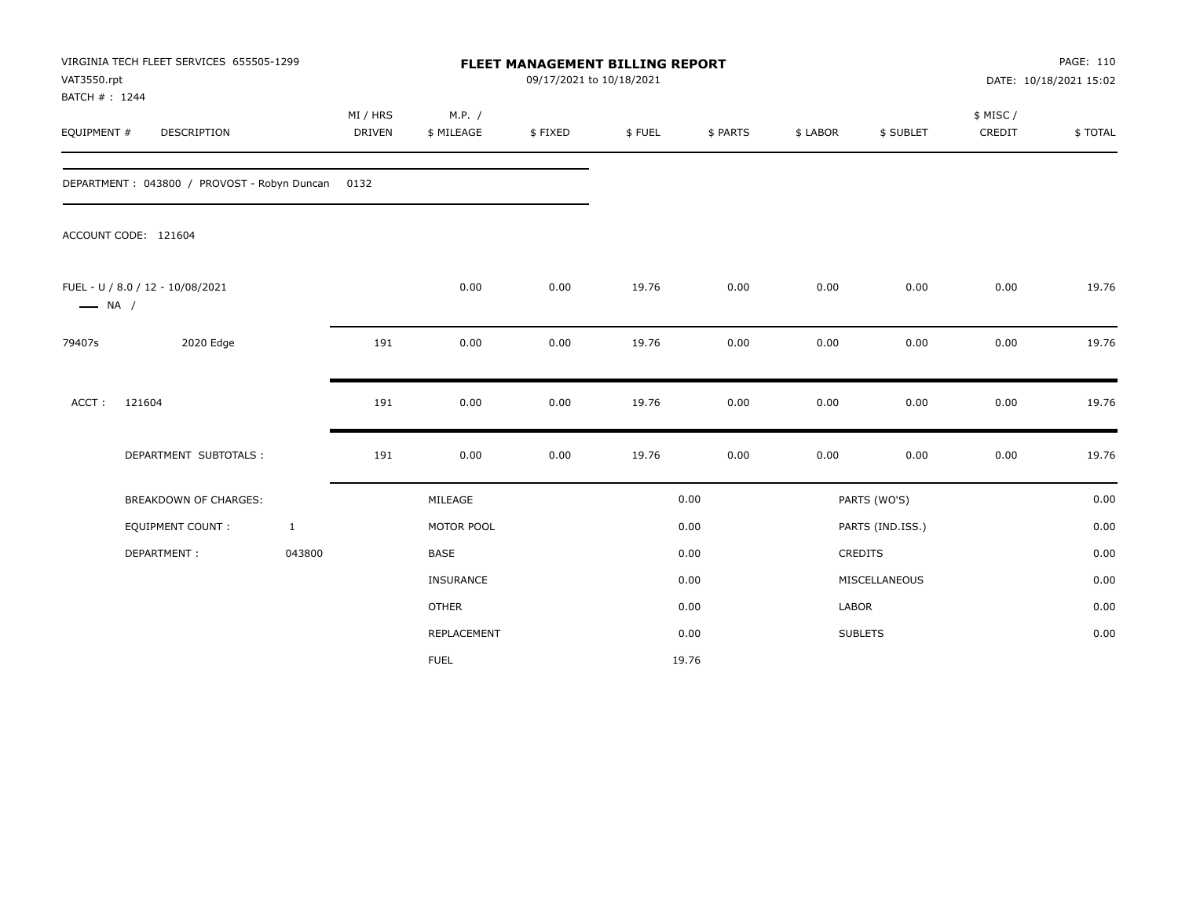| VAT3550.rpt<br>BATCH #: 1244 | VIRGINIA TECH FLEET SERVICES 655505-1299    |              |                    |                      | 09/17/2021 to 10/18/2021 | FLEET MANAGEMENT BILLING REPORT |          |          |                  |                     | PAGE: 110<br>DATE: 10/18/2021 15:02 |
|------------------------------|---------------------------------------------|--------------|--------------------|----------------------|--------------------------|---------------------------------|----------|----------|------------------|---------------------|-------------------------------------|
| EQUIPMENT #                  | <b>DESCRIPTION</b>                          |              | MI / HRS<br>DRIVEN | M.P. /<br>\$ MILEAGE | \$FIXED                  | \$FUEL                          | \$ PARTS | \$ LABOR | \$ SUBLET        | \$ MISC /<br>CREDIT | \$TOTAL                             |
|                              | DEPARTMENT: 043800 / PROVOST - Robyn Duncan |              | 0132               |                      |                          |                                 |          |          |                  |                     |                                     |
|                              | ACCOUNT CODE: 121604                        |              |                    |                      |                          |                                 |          |          |                  |                     |                                     |
| $\longrightarrow$ NA /       | FUEL - U / 8.0 / 12 - 10/08/2021            |              |                    | 0.00                 | 0.00                     | 19.76                           | 0.00     | 0.00     | 0.00             | 0.00                | 19.76                               |
| 79407s                       | 2020 Edge                                   |              | 191                | 0.00                 | 0.00                     | 19.76                           | 0.00     | 0.00     | 0.00             | 0.00                | 19.76                               |
| ACCT:                        | 121604                                      |              | 191                | 0.00                 | 0.00                     | 19.76                           | 0.00     | 0.00     | 0.00             | 0.00                | 19.76                               |
|                              | DEPARTMENT SUBTOTALS :                      |              | 191                | 0.00                 | 0.00                     | 19.76                           | 0.00     | 0.00     | 0.00             | 0.00                | 19.76                               |
|                              | <b>BREAKDOWN OF CHARGES:</b>                |              |                    | MILEAGE              |                          |                                 | 0.00     |          | PARTS (WO'S)     |                     | 0.00                                |
|                              | <b>EQUIPMENT COUNT:</b>                     | $\mathbf{1}$ |                    | MOTOR POOL           |                          |                                 | 0.00     |          | PARTS (IND.ISS.) |                     | 0.00                                |
|                              | DEPARTMENT:                                 | 043800       |                    | <b>BASE</b>          |                          |                                 | 0.00     |          | <b>CREDITS</b>   |                     | 0.00                                |
|                              |                                             |              |                    | INSURANCE            |                          |                                 | 0.00     |          | MISCELLANEOUS    |                     | 0.00                                |
|                              |                                             |              |                    | <b>OTHER</b>         |                          |                                 | 0.00     | LABOR    |                  |                     | 0.00                                |
|                              |                                             |              |                    | REPLACEMENT          |                          |                                 | 0.00     |          | <b>SUBLETS</b>   |                     | 0.00                                |
|                              |                                             |              |                    | <b>FUEL</b>          |                          |                                 | 19.76    |          |                  |                     |                                     |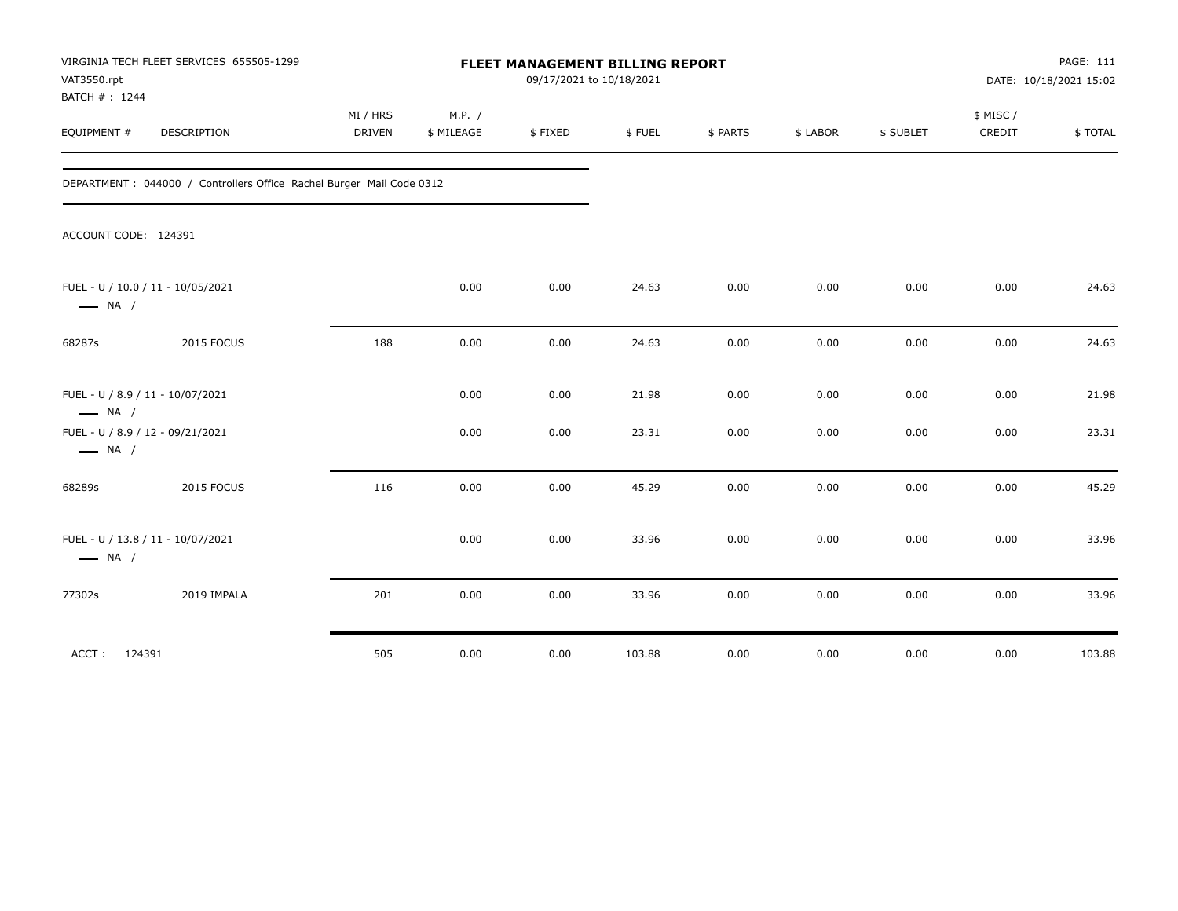| VAT3550.rpt<br>BATCH #: 1244                                | VIRGINIA TECH FLEET SERVICES 655505-1299                              |                           |                      |         | FLEET MANAGEMENT BILLING REPORT<br>09/17/2021 to 10/18/2021<br>DATE: 10/18/2021 15:02 |          |          |           |                    |         |
|-------------------------------------------------------------|-----------------------------------------------------------------------|---------------------------|----------------------|---------|---------------------------------------------------------------------------------------|----------|----------|-----------|--------------------|---------|
| EQUIPMENT #                                                 | DESCRIPTION                                                           | MI / HRS<br><b>DRIVEN</b> | M.P. /<br>\$ MILEAGE | \$FIXED | \$FUEL                                                                                | \$ PARTS | \$ LABOR | \$ SUBLET | \$ MISC/<br>CREDIT | \$TOTAL |
|                                                             | DEPARTMENT : 044000 / Controllers Office Rachel Burger Mail Code 0312 |                           |                      |         |                                                                                       |          |          |           |                    |         |
| ACCOUNT CODE: 124391                                        |                                                                       |                           |                      |         |                                                                                       |          |          |           |                    |         |
| FUEL - U / 10.0 / 11 - 10/05/2021<br>$\longrightarrow$ NA / |                                                                       |                           | 0.00                 | 0.00    | 24.63                                                                                 | 0.00     | 0.00     | 0.00      | 0.00               | 24.63   |
| 68287s                                                      | 2015 FOCUS                                                            | 188                       | 0.00                 | 0.00    | 24.63                                                                                 | 0.00     | 0.00     | 0.00      | 0.00               | 24.63   |
| FUEL - U / 8.9 / 11 - 10/07/2021<br>$\longrightarrow$ NA /  |                                                                       |                           | 0.00                 | 0.00    | 21.98                                                                                 | 0.00     | 0.00     | 0.00      | 0.00               | 21.98   |
| FUEL - U / 8.9 / 12 - 09/21/2021<br>$\longrightarrow$ NA /  |                                                                       |                           | 0.00                 | 0.00    | 23.31                                                                                 | 0.00     | 0.00     | 0.00      | 0.00               | 23.31   |
| 68289s                                                      | 2015 FOCUS                                                            | 116                       | 0.00                 | 0.00    | 45.29                                                                                 | 0.00     | 0.00     | 0.00      | 0.00               | 45.29   |
| FUEL - U / 13.8 / 11 - 10/07/2021<br>$\longrightarrow$ NA / |                                                                       |                           | 0.00                 | 0.00    | 33.96                                                                                 | 0.00     | 0.00     | 0.00      | 0.00               | 33.96   |
| 77302s                                                      | 2019 IMPALA                                                           | 201                       | 0.00                 | 0.00    | 33.96                                                                                 | 0.00     | 0.00     | 0.00      | 0.00               | 33.96   |
| 124391<br>ACCT:                                             |                                                                       | 505                       | 0.00                 | 0.00    | 103.88                                                                                | 0.00     | 0.00     | 0.00      | 0.00               | 103.88  |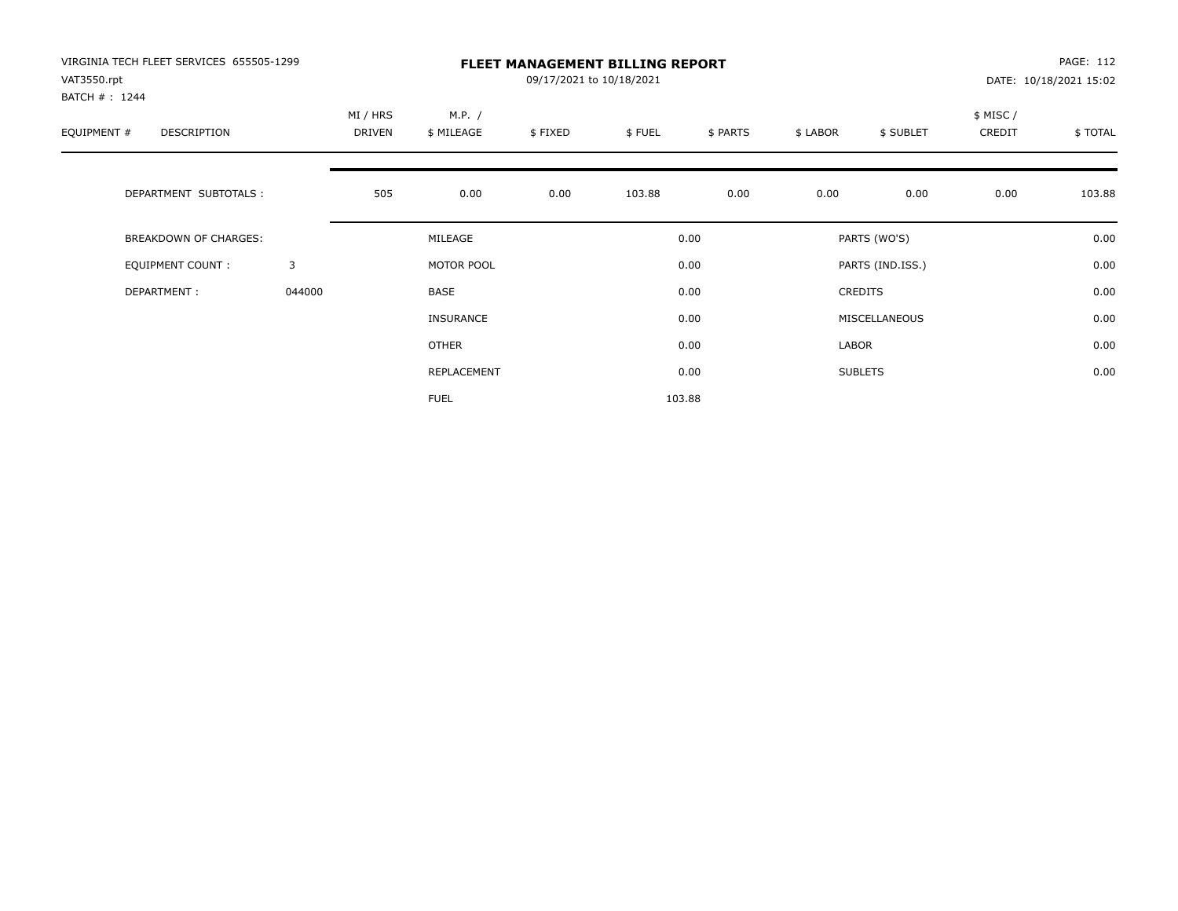| VIRGINIA TECH FLEET SERVICES 655505-1299<br>VAT3550.rpt<br>BATCH #: 1244 |        |                    |                      | PAGE: 112<br>DATE: 10/18/2021 15:02 |        |          |          |                  |                    |         |
|--------------------------------------------------------------------------|--------|--------------------|----------------------|-------------------------------------|--------|----------|----------|------------------|--------------------|---------|
| EQUIPMENT #<br>DESCRIPTION                                               |        | MI / HRS<br>DRIVEN | M.P. /<br>\$ MILEAGE | \$FIXED                             | \$FUEL | \$ PARTS | \$ LABOR | \$ SUBLET        | \$ MISC/<br>CREDIT | \$TOTAL |
| DEPARTMENT SUBTOTALS :                                                   |        | 505                | 0.00                 | 0.00                                | 103.88 | 0.00     | 0.00     | 0.00             | 0.00               | 103.88  |
| <b>BREAKDOWN OF CHARGES:</b>                                             |        |                    | MILEAGE              |                                     |        | 0.00     |          | PARTS (WO'S)     |                    | 0.00    |
| EQUIPMENT COUNT:                                                         | 3      |                    | MOTOR POOL           |                                     |        | 0.00     |          | PARTS (IND.ISS.) |                    | 0.00    |
| DEPARTMENT:                                                              | 044000 |                    | <b>BASE</b>          |                                     |        | 0.00     |          | <b>CREDITS</b>   |                    | 0.00    |
|                                                                          |        |                    | INSURANCE            |                                     |        | 0.00     |          | MISCELLANEOUS    |                    | 0.00    |
|                                                                          |        |                    | <b>OTHER</b>         |                                     |        | 0.00     | LABOR    |                  |                    | 0.00    |
|                                                                          |        |                    | REPLACEMENT          |                                     |        | 0.00     |          | <b>SUBLETS</b>   |                    | 0.00    |
|                                                                          |        |                    | <b>FUEL</b>          |                                     |        | 103.88   |          |                  |                    |         |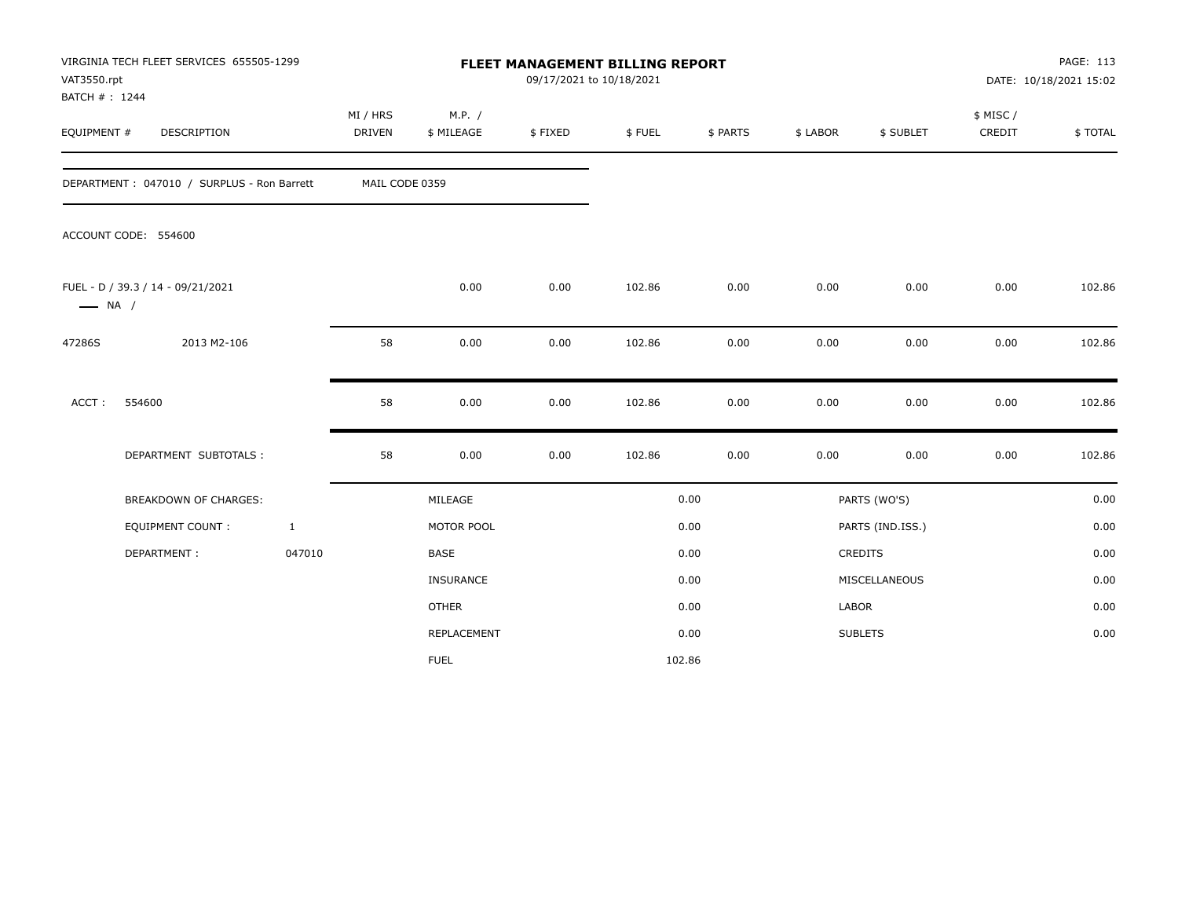| VAT3550.rpt<br>BATCH #: 1244 | VIRGINIA TECH FLEET SERVICES 655505-1299   |                    |                      | FLEET MANAGEMENT BILLING REPORT<br>09/17/2021 to 10/18/2021 |        |          |          |                  |                    | PAGE: 113<br>DATE: 10/18/2021 15:02 |
|------------------------------|--------------------------------------------|--------------------|----------------------|-------------------------------------------------------------|--------|----------|----------|------------------|--------------------|-------------------------------------|
| EQUIPMENT #                  | DESCRIPTION                                | MI / HRS<br>DRIVEN | M.P. /<br>\$ MILEAGE | \$FIXED                                                     | \$FUEL | \$ PARTS | \$ LABOR | \$ SUBLET        | \$ MISC/<br>CREDIT | \$TOTAL                             |
|                              | DEPARTMENT: 047010 / SURPLUS - Ron Barrett | MAIL CODE 0359     |                      |                                                             |        |          |          |                  |                    |                                     |
|                              | ACCOUNT CODE: 554600                       |                    |                      |                                                             |        |          |          |                  |                    |                                     |
| $\longrightarrow$ NA /       | FUEL - D / 39.3 / 14 - 09/21/2021          |                    | 0.00                 | 0.00                                                        | 102.86 | 0.00     | 0.00     | 0.00             | 0.00               | 102.86                              |
| 47286S                       | 2013 M2-106                                | 58                 | 0.00                 | 0.00                                                        | 102.86 | 0.00     | 0.00     | 0.00             | 0.00               | 102.86                              |
| ACCT:                        | 554600                                     | 58                 | 0.00                 | 0.00                                                        | 102.86 | 0.00     | 0.00     | 0.00             | 0.00               | 102.86                              |
|                              | DEPARTMENT SUBTOTALS :                     | 58                 | 0.00                 | 0.00                                                        | 102.86 | 0.00     | 0.00     | 0.00             | 0.00               | 102.86                              |
|                              | <b>BREAKDOWN OF CHARGES:</b>               |                    | MILEAGE              |                                                             |        | 0.00     |          | PARTS (WO'S)     |                    | 0.00                                |
|                              | <b>EQUIPMENT COUNT:</b>                    | $\mathbf{1}$       | MOTOR POOL           |                                                             |        | 0.00     |          | PARTS (IND.ISS.) |                    | 0.00                                |
|                              | DEPARTMENT:                                | 047010             | <b>BASE</b>          |                                                             |        | 0.00     |          | <b>CREDITS</b>   |                    | 0.00                                |
|                              |                                            |                    | <b>INSURANCE</b>     |                                                             |        | 0.00     |          | MISCELLANEOUS    |                    | 0.00                                |
|                              |                                            |                    | <b>OTHER</b>         |                                                             |        | 0.00     | LABOR    |                  |                    | 0.00                                |
|                              |                                            |                    | REPLACEMENT          |                                                             |        | 0.00     |          | <b>SUBLETS</b>   |                    | 0.00                                |
|                              |                                            |                    | <b>FUEL</b>          |                                                             |        | 102.86   |          |                  |                    |                                     |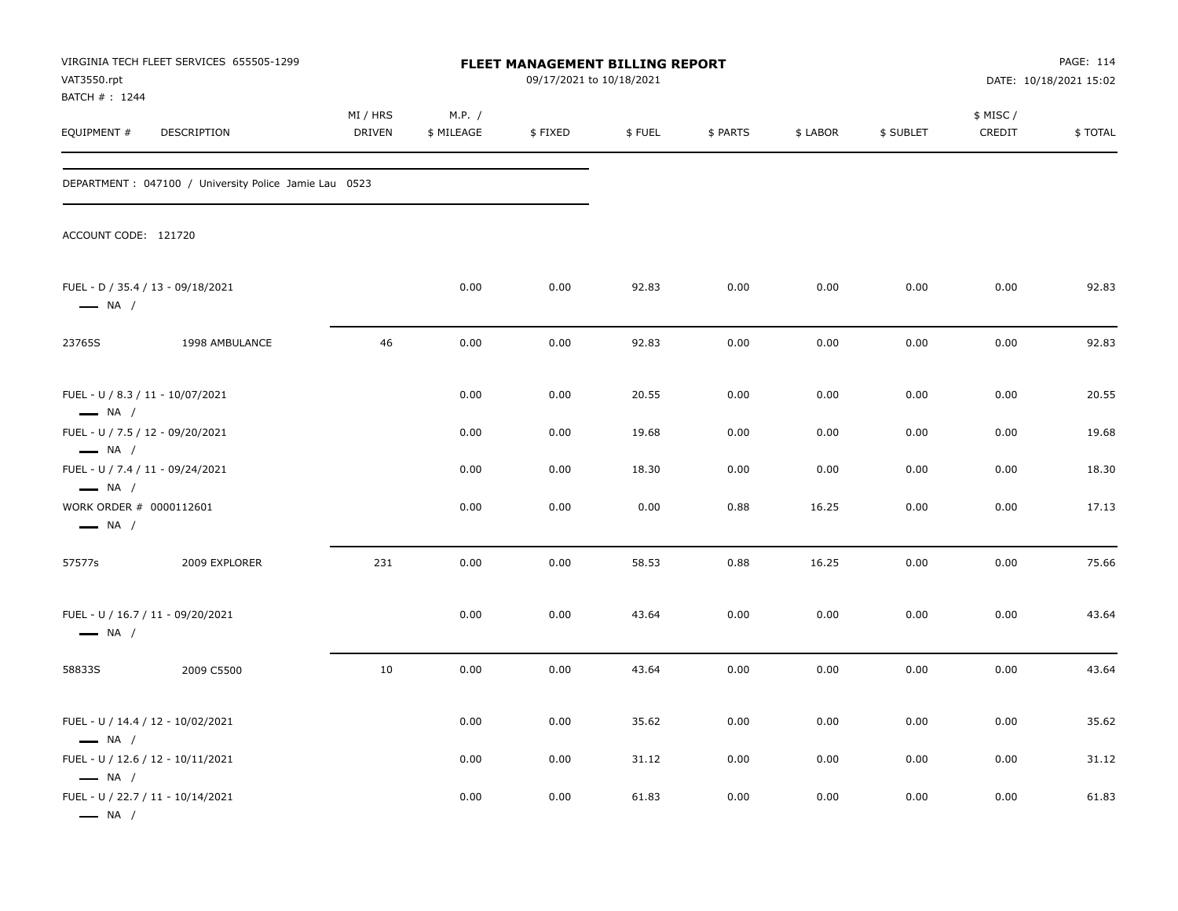| VAT3550.rpt                                                                          | VIRGINIA TECH FLEET SERVICES 655505-1299               |                           |                      | <b>FLEET MANAGEMENT BILLING REPORT</b><br>09/17/2021 to 10/18/2021 |        |          |          |           |                     | PAGE: 114<br>DATE: 10/18/2021 15:02 |
|--------------------------------------------------------------------------------------|--------------------------------------------------------|---------------------------|----------------------|--------------------------------------------------------------------|--------|----------|----------|-----------|---------------------|-------------------------------------|
| BATCH #: 1244<br>EQUIPMENT #                                                         | DESCRIPTION                                            | MI / HRS<br><b>DRIVEN</b> | M.P. /<br>\$ MILEAGE | \$FIXED                                                            | \$FUEL | \$ PARTS | \$ LABOR | \$ SUBLET | \$ MISC /<br>CREDIT | \$TOTAL                             |
|                                                                                      | DEPARTMENT : 047100 / University Police Jamie Lau 0523 |                           |                      |                                                                    |        |          |          |           |                     |                                     |
| ACCOUNT CODE: 121720                                                                 |                                                        |                           |                      |                                                                    |        |          |          |           |                     |                                     |
| $\longrightarrow$ NA /                                                               | FUEL - D / 35.4 / 13 - 09/18/2021                      |                           | 0.00                 | 0.00                                                               | 92.83  | 0.00     | 0.00     | 0.00      | 0.00                | 92.83                               |
| 23765S                                                                               | 1998 AMBULANCE                                         | 46                        | 0.00                 | 0.00                                                               | 92.83  | 0.00     | 0.00     | 0.00      | 0.00                | 92.83                               |
| FUEL - U / 8.3 / 11 - 10/07/2021<br>$\longrightarrow$ NA /                           |                                                        |                           | 0.00                 | 0.00                                                               | 20.55  | 0.00     | 0.00     | 0.00      | 0.00                | 20.55                               |
| FUEL - U / 7.5 / 12 - 09/20/2021                                                     |                                                        |                           | 0.00                 | 0.00                                                               | 19.68  | 0.00     | 0.00     | 0.00      | 0.00                | 19.68                               |
| $\longrightarrow$ NA /<br>FUEL - U / 7.4 / 11 - 09/24/2021<br>$\longrightarrow$ NA / |                                                        |                           | 0.00                 | 0.00                                                               | 18.30  | 0.00     | 0.00     | 0.00      | 0.00                | 18.30                               |
| WORK ORDER # 0000112601<br>$\longrightarrow$ NA /                                    |                                                        |                           | 0.00                 | 0.00                                                               | 0.00   | 0.88     | 16.25    | 0.00      | 0.00                | 17.13                               |
| 57577s                                                                               | 2009 EXPLORER                                          | 231                       | 0.00                 | 0.00                                                               | 58.53  | 0.88     | 16.25    | 0.00      | 0.00                | 75.66                               |
| $\longrightarrow$ NA /                                                               | FUEL - U / 16.7 / 11 - 09/20/2021                      |                           | 0.00                 | 0.00                                                               | 43.64  | 0.00     | 0.00     | 0.00      | 0.00                | 43.64                               |
| 58833S                                                                               | 2009 C5500                                             | 10                        | 0.00                 | 0.00                                                               | 43.64  | 0.00     | 0.00     | 0.00      | 0.00                | 43.64                               |
| $-$ NA $/$                                                                           | FUEL - U / 14.4 / 12 - 10/02/2021                      |                           | 0.00                 | 0.00                                                               | 35.62  | 0.00     | 0.00     | 0.00      | 0.00                | 35.62                               |
|                                                                                      | FUEL - U / 12.6 / 12 - 10/11/2021                      |                           | 0.00                 | 0.00                                                               | 31.12  | 0.00     | 0.00     | 0.00      | 0.00                | 31.12                               |
| $\longrightarrow$ NA /<br>$\longrightarrow$ NA /                                     | FUEL - U / 22.7 / 11 - 10/14/2021                      |                           | 0.00                 | 0.00                                                               | 61.83  | 0.00     | 0.00     | 0.00      | 0.00                | 61.83                               |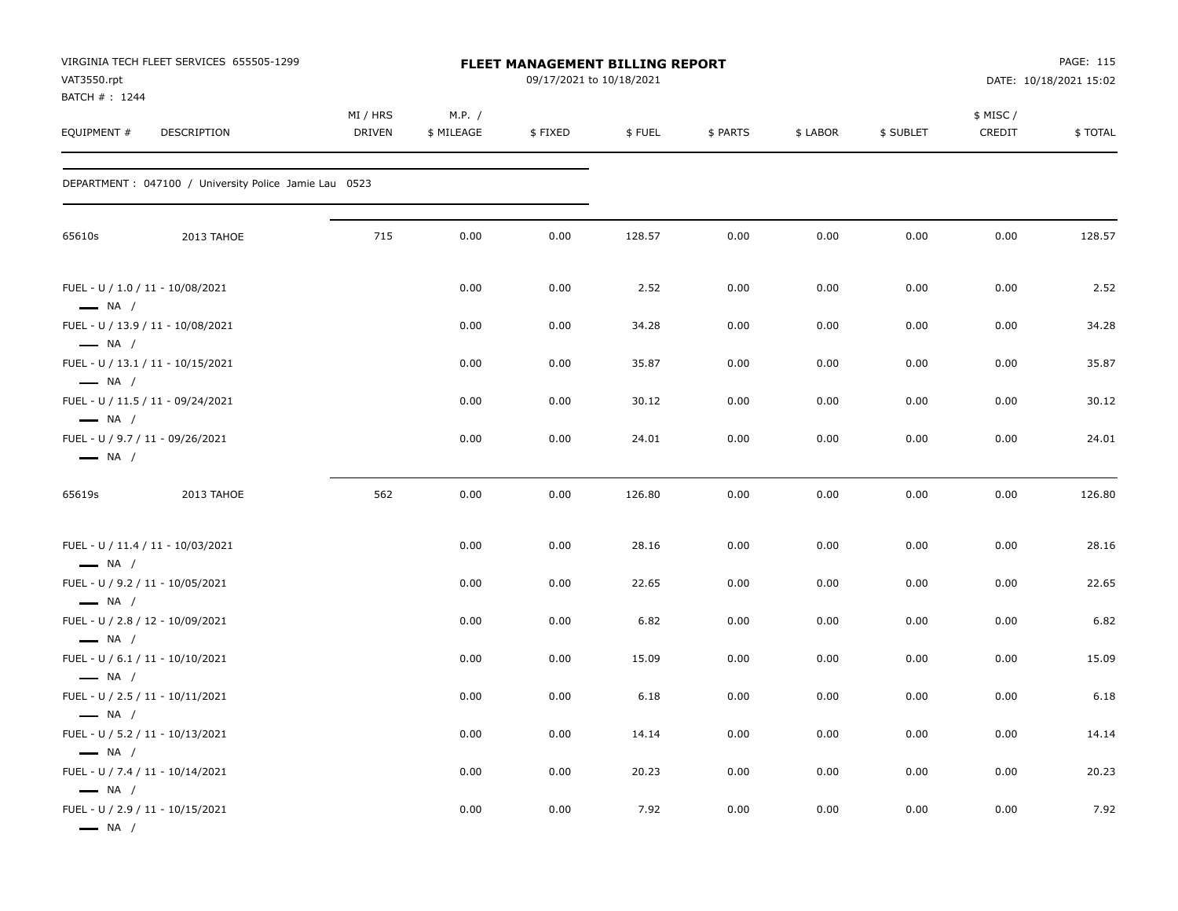| VAT3550.rpt<br>BATCH # : 1244                    | VIRGINIA TECH FLEET SERVICES 655505-1299               |                    |                      | FLEET MANAGEMENT BILLING REPORT<br>09/17/2021 to 10/18/2021 |        |          |          |           |                    | PAGE: 115<br>DATE: 10/18/2021 15:02 |
|--------------------------------------------------|--------------------------------------------------------|--------------------|----------------------|-------------------------------------------------------------|--------|----------|----------|-----------|--------------------|-------------------------------------|
| EQUIPMENT#                                       | DESCRIPTION                                            | MI / HRS<br>DRIVEN | M.P. /<br>\$ MILEAGE | \$FIXED                                                     | \$FUEL | \$ PARTS | \$ LABOR | \$ SUBLET | \$ MISC/<br>CREDIT | \$TOTAL                             |
|                                                  | DEPARTMENT : 047100 / University Police Jamie Lau 0523 |                    |                      |                                                             |        |          |          |           |                    |                                     |
| 65610s                                           | 2013 TAHOE                                             | 715                | 0.00                 | 0.00                                                        | 128.57 | 0.00     | 0.00     | 0.00      | 0.00               | 128.57                              |
| $\longrightarrow$ NA /                           | FUEL - U / 1.0 / 11 - 10/08/2021                       |                    | 0.00                 | 0.00                                                        | 2.52   | 0.00     | 0.00     | 0.00      | 0.00               | 2.52                                |
|                                                  | FUEL - U / 13.9 / 11 - 10/08/2021                      |                    | 0.00                 | 0.00                                                        | 34.28  | 0.00     | 0.00     | 0.00      | 0.00               | 34.28                               |
| $\longrightarrow$ NA /<br>$\longrightarrow$ NA / | FUEL - U / 13.1 / 11 - 10/15/2021                      |                    | 0.00                 | 0.00                                                        | 35.87  | 0.00     | 0.00     | 0.00      | 0.00               | 35.87                               |
| $\longrightarrow$ NA /                           | FUEL - U / 11.5 / 11 - 09/24/2021                      |                    | 0.00                 | 0.00                                                        | 30.12  | 0.00     | 0.00     | 0.00      | 0.00               | 30.12                               |
| $\longrightarrow$ NA /                           | FUEL - U / 9.7 / 11 - 09/26/2021                       |                    | 0.00                 | 0.00                                                        | 24.01  | 0.00     | 0.00     | 0.00      | 0.00               | 24.01                               |
| 65619s                                           | 2013 TAHOE                                             | 562                | 0.00                 | 0.00                                                        | 126.80 | 0.00     | 0.00     | 0.00      | 0.00               | 126.80                              |
| $\longrightarrow$ NA /                           | FUEL - U / 11.4 / 11 - 10/03/2021                      |                    | 0.00                 | 0.00                                                        | 28.16  | 0.00     | 0.00     | 0.00      | 0.00               | 28.16                               |
|                                                  | FUEL - U / 9.2 / 11 - 10/05/2021                       |                    | 0.00                 | 0.00                                                        | 22.65  | 0.00     | 0.00     | 0.00      | 0.00               | 22.65                               |
| $\longrightarrow$ NA /                           | FUEL - U / 2.8 / 12 - 10/09/2021                       |                    | 0.00                 | 0.00                                                        | 6.82   | 0.00     | 0.00     | 0.00      | 0.00               | 6.82                                |
| $\longrightarrow$ NA /                           | FUEL - U / 6.1 / 11 - 10/10/2021                       |                    | 0.00                 | 0.00                                                        | 15.09  | 0.00     | 0.00     | 0.00      | 0.00               | 15.09                               |
| $\longrightarrow$ NA /                           | FUEL - U / 2.5 / 11 - 10/11/2021                       |                    | 0.00                 | 0.00                                                        | 6.18   | 0.00     | 0.00     | 0.00      | 0.00               | 6.18                                |
| — NA /                                           | FUEL - U / 5.2 / 11 - 10/13/2021                       |                    | 0.00                 | 0.00                                                        | 14.14  | 0.00     | 0.00     | 0.00      | 0.00               | 14.14                               |
| $\longrightarrow$ NA /                           | FUEL - U / 7.4 / 11 - 10/14/2021                       |                    | 0.00                 | 0.00                                                        | 20.23  | 0.00     | 0.00     | 0.00      | 0.00               | 20.23                               |
| $\longrightarrow$ NA /<br>$\longrightarrow$ NA / | FUEL - U / 2.9 / 11 - 10/15/2021                       |                    | 0.00                 | 0.00                                                        | 7.92   | 0.00     | 0.00     | 0.00      | 0.00               | 7.92                                |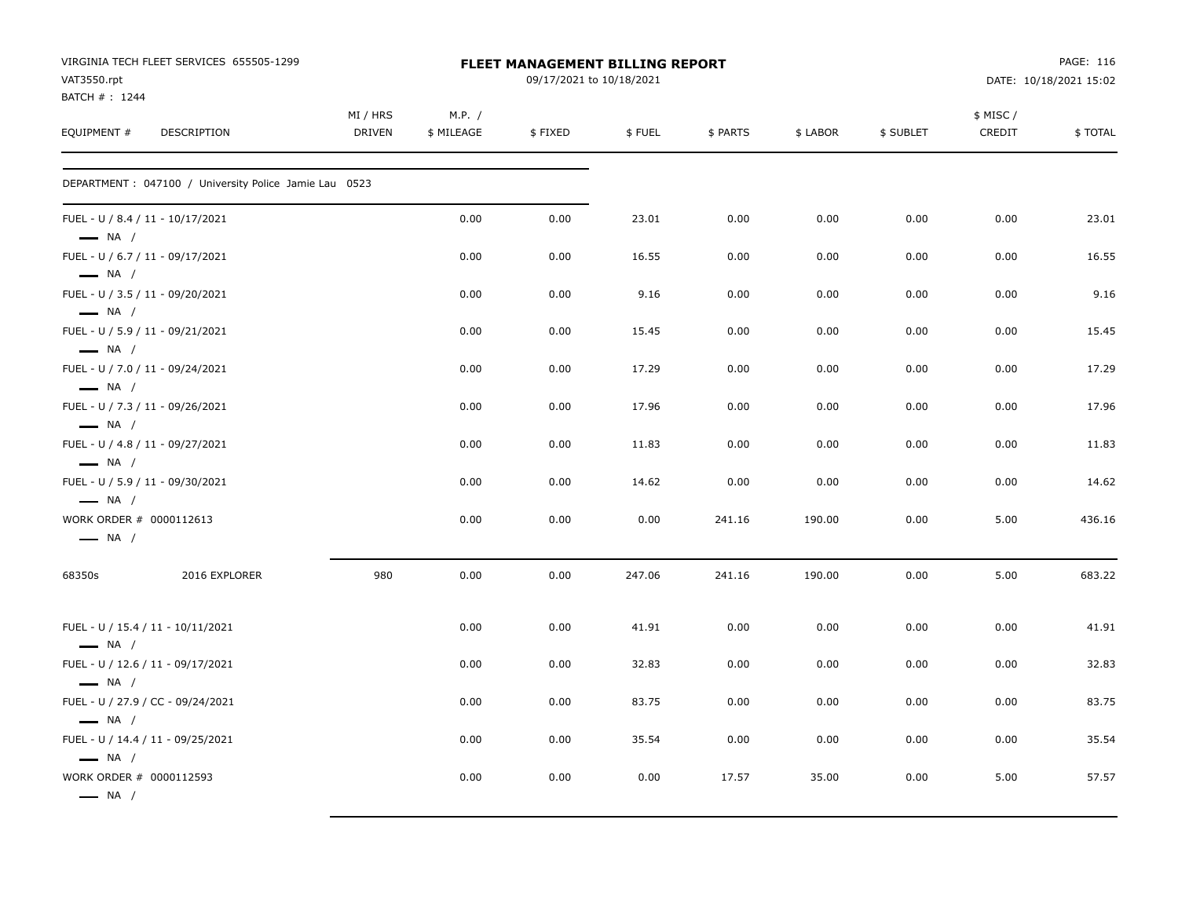| VAT3550.rpt                                                                          | VIRGINIA TECH FLEET SERVICES 655505-1299               |                    |                      | <b>FLEET MANAGEMENT BILLING REPORT</b><br>09/17/2021 to 10/18/2021 |        |          |          |           |                     | PAGE: 116<br>DATE: 10/18/2021 15:02 |
|--------------------------------------------------------------------------------------|--------------------------------------------------------|--------------------|----------------------|--------------------------------------------------------------------|--------|----------|----------|-----------|---------------------|-------------------------------------|
| BATCH # : 1244<br>EQUIPMENT #                                                        | DESCRIPTION                                            | MI / HRS<br>DRIVEN | M.P. /<br>\$ MILEAGE | \$FIXED                                                            | \$FUEL | \$ PARTS | \$ LABOR | \$ SUBLET | \$ MISC /<br>CREDIT | \$TOTAL                             |
|                                                                                      | DEPARTMENT : 047100 / University Police Jamie Lau 0523 |                    |                      |                                                                    |        |          |          |           |                     |                                     |
| FUEL - U / 8.4 / 11 - 10/17/2021<br>$-$ NA /                                         |                                                        |                    | 0.00                 | 0.00                                                               | 23.01  | 0.00     | 0.00     | 0.00      | 0.00                | 23.01                               |
| FUEL - U / 6.7 / 11 - 09/17/2021<br>$\longrightarrow$ NA /                           |                                                        |                    | 0.00                 | 0.00                                                               | 16.55  | 0.00     | 0.00     | 0.00      | 0.00                | 16.55                               |
| FUEL - U / 3.5 / 11 - 09/20/2021<br>$\longrightarrow$ NA /                           |                                                        |                    | 0.00                 | 0.00                                                               | 9.16   | 0.00     | 0.00     | 0.00      | 0.00                | 9.16                                |
| FUEL - U / 5.9 / 11 - 09/21/2021                                                     |                                                        |                    | 0.00                 | 0.00                                                               | 15.45  | 0.00     | 0.00     | 0.00      | 0.00                | 15.45                               |
| $\longrightarrow$ NA /<br>FUEL - U / 7.0 / 11 - 09/24/2021<br>$\longrightarrow$ NA / |                                                        |                    | 0.00                 | 0.00                                                               | 17.29  | 0.00     | 0.00     | 0.00      | 0.00                | 17.29                               |
| FUEL - U / 7.3 / 11 - 09/26/2021<br>$\longrightarrow$ NA /                           |                                                        |                    | 0.00                 | 0.00                                                               | 17.96  | 0.00     | 0.00     | 0.00      | 0.00                | 17.96                               |
| FUEL - U / 4.8 / 11 - 09/27/2021<br>$\longrightarrow$ NA /                           |                                                        |                    | 0.00                 | 0.00                                                               | 11.83  | 0.00     | 0.00     | 0.00      | 0.00                | 11.83                               |
| FUEL - U / 5.9 / 11 - 09/30/2021                                                     |                                                        |                    | 0.00                 | 0.00                                                               | 14.62  | 0.00     | 0.00     | 0.00      | 0.00                | 14.62                               |
| $\longrightarrow$ NA /<br>WORK ORDER # 0000112613<br>$\longrightarrow$ NA /          |                                                        |                    | 0.00                 | 0.00                                                               | 0.00   | 241.16   | 190.00   | 0.00      | 5.00                | 436.16                              |
| 68350s                                                                               | 2016 EXPLORER                                          | 980                | 0.00                 | 0.00                                                               | 247.06 | 241.16   | 190.00   | 0.00      | 5.00                | 683.22                              |
| $\longrightarrow$ NA /                                                               | FUEL - U / 15.4 / 11 - 10/11/2021                      |                    | 0.00                 | 0.00                                                               | 41.91  | 0.00     | 0.00     | 0.00      | 0.00                | 41.91                               |
| $\longrightarrow$ NA /                                                               | FUEL - U / 12.6 / 11 - 09/17/2021                      |                    | 0.00                 | 0.00                                                               | 32.83  | 0.00     | 0.00     | 0.00      | 0.00                | 32.83                               |
|                                                                                      | FUEL - U / 27.9 / CC - 09/24/2021                      |                    | 0.00                 | 0.00                                                               | 83.75  | 0.00     | 0.00     | 0.00      | 0.00                | 83.75                               |
| $\longrightarrow$ NA /                                                               | FUEL - U / 14.4 / 11 - 09/25/2021                      |                    | 0.00                 | 0.00                                                               | 35.54  | 0.00     | 0.00     | 0.00      | 0.00                | 35.54                               |
| $\longrightarrow$ NA /<br>WORK ORDER # 0000112593<br>$\longrightarrow$ NA /          |                                                        |                    | 0.00                 | 0.00                                                               | 0.00   | 17.57    | 35.00    | 0.00      | 5.00                | 57.57                               |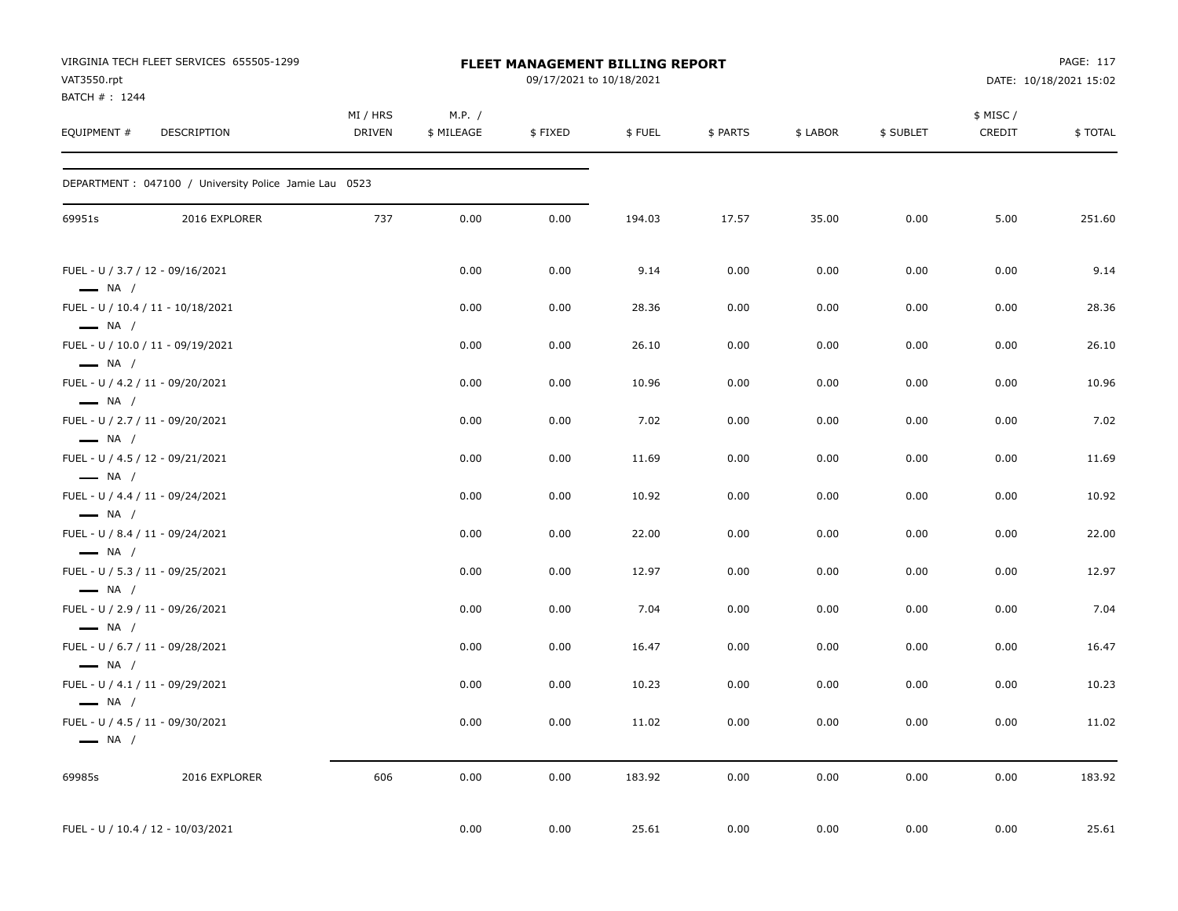| VAT3550.rpt<br>BATCH # : 1244                    | VIRGINIA TECH FLEET SERVICES 655505-1299               |                           |                      | FLEET MANAGEMENT BILLING REPORT<br>09/17/2021 to 10/18/2021 |        |          |          |           |                    | PAGE: 117<br>DATE: 10/18/2021 15:02 |
|--------------------------------------------------|--------------------------------------------------------|---------------------------|----------------------|-------------------------------------------------------------|--------|----------|----------|-----------|--------------------|-------------------------------------|
| EQUIPMENT #                                      | DESCRIPTION                                            | MI / HRS<br><b>DRIVEN</b> | M.P. /<br>\$ MILEAGE | \$FIXED                                                     | \$FUEL | \$ PARTS | \$ LABOR | \$ SUBLET | \$ MISC/<br>CREDIT | \$TOTAL                             |
|                                                  | DEPARTMENT : 047100 / University Police Jamie Lau 0523 |                           |                      |                                                             |        |          |          |           |                    |                                     |
| 69951s                                           | 2016 EXPLORER                                          | 737                       | 0.00                 | 0.00                                                        | 194.03 | 17.57    | 35.00    | 0.00      | 5.00               | 251.60                              |
| $\longrightarrow$ NA /                           | FUEL - U / 3.7 / 12 - 09/16/2021                       |                           | 0.00                 | 0.00                                                        | 9.14   | 0.00     | 0.00     | 0.00      | 0.00               | 9.14                                |
| $\longrightarrow$ NA /                           | FUEL - U / 10.4 / 11 - 10/18/2021                      |                           | 0.00                 | 0.00                                                        | 28.36  | 0.00     | 0.00     | 0.00      | 0.00               | 28.36                               |
| $\longrightarrow$ NA /                           | FUEL - U / 10.0 / 11 - 09/19/2021                      |                           | 0.00                 | 0.00                                                        | 26.10  | 0.00     | 0.00     | 0.00      | 0.00               | 26.10                               |
| $\longrightarrow$ NA /                           | FUEL - U / 4.2 / 11 - 09/20/2021                       |                           | 0.00                 | 0.00                                                        | 10.96  | 0.00     | 0.00     | 0.00      | 0.00               | 10.96                               |
| $\longrightarrow$ NA /                           | FUEL - U / 2.7 / 11 - 09/20/2021                       |                           | 0.00                 | 0.00                                                        | 7.02   | 0.00     | 0.00     | 0.00      | 0.00               | 7.02                                |
| $\longrightarrow$ NA /                           | FUEL - U / 4.5 / 12 - 09/21/2021                       |                           | 0.00                 | 0.00                                                        | 11.69  | 0.00     | 0.00     | 0.00      | 0.00               | 11.69                               |
| $\longrightarrow$ NA /                           | FUEL - U / 4.4 / 11 - 09/24/2021                       |                           | 0.00                 | 0.00                                                        | 10.92  | 0.00     | 0.00     | 0.00      | 0.00               | 10.92                               |
| $-$ NA /                                         | FUEL - U / 8.4 / 11 - 09/24/2021                       |                           | 0.00                 | 0.00                                                        | 22.00  | 0.00     | 0.00     | 0.00      | 0.00               | 22.00                               |
| $\longrightarrow$ NA /                           | FUEL - U / 5.3 / 11 - 09/25/2021                       |                           | 0.00                 | 0.00                                                        | 12.97  | 0.00     | 0.00     | 0.00      | 0.00               | 12.97                               |
| $-$ NA $/$                                       | FUEL - U / 2.9 / 11 - 09/26/2021                       |                           | 0.00                 | 0.00                                                        | 7.04   | 0.00     | 0.00     | 0.00      | 0.00               | 7.04                                |
| $\longrightarrow$ NA /                           | FUEL - U / 6.7 / 11 - 09/28/2021                       |                           | 0.00                 | 0.00                                                        | 16.47  | 0.00     | 0.00     | 0.00      | 0.00               | 16.47                               |
|                                                  | FUEL - U / 4.1 / 11 - 09/29/2021                       |                           | 0.00                 | 0.00                                                        | 10.23  | 0.00     | 0.00     | 0.00      | 0.00               | 10.23                               |
| $\longrightarrow$ NA /<br>$\longrightarrow$ NA / | FUEL - U / 4.5 / 11 - 09/30/2021                       |                           | 0.00                 | 0.00                                                        | 11.02  | 0.00     | 0.00     | 0.00      | 0.00               | 11.02                               |
| 69985s                                           | 2016 EXPLORER                                          | 606                       | 0.00                 | 0.00                                                        | 183.92 | 0.00     | 0.00     | 0.00      | 0.00               | 183.92                              |
|                                                  | FUEL - U / 10.4 / 12 - 10/03/2021                      |                           | 0.00                 | 0.00                                                        | 25.61  | 0.00     | 0.00     | 0.00      | 0.00               | 25.61                               |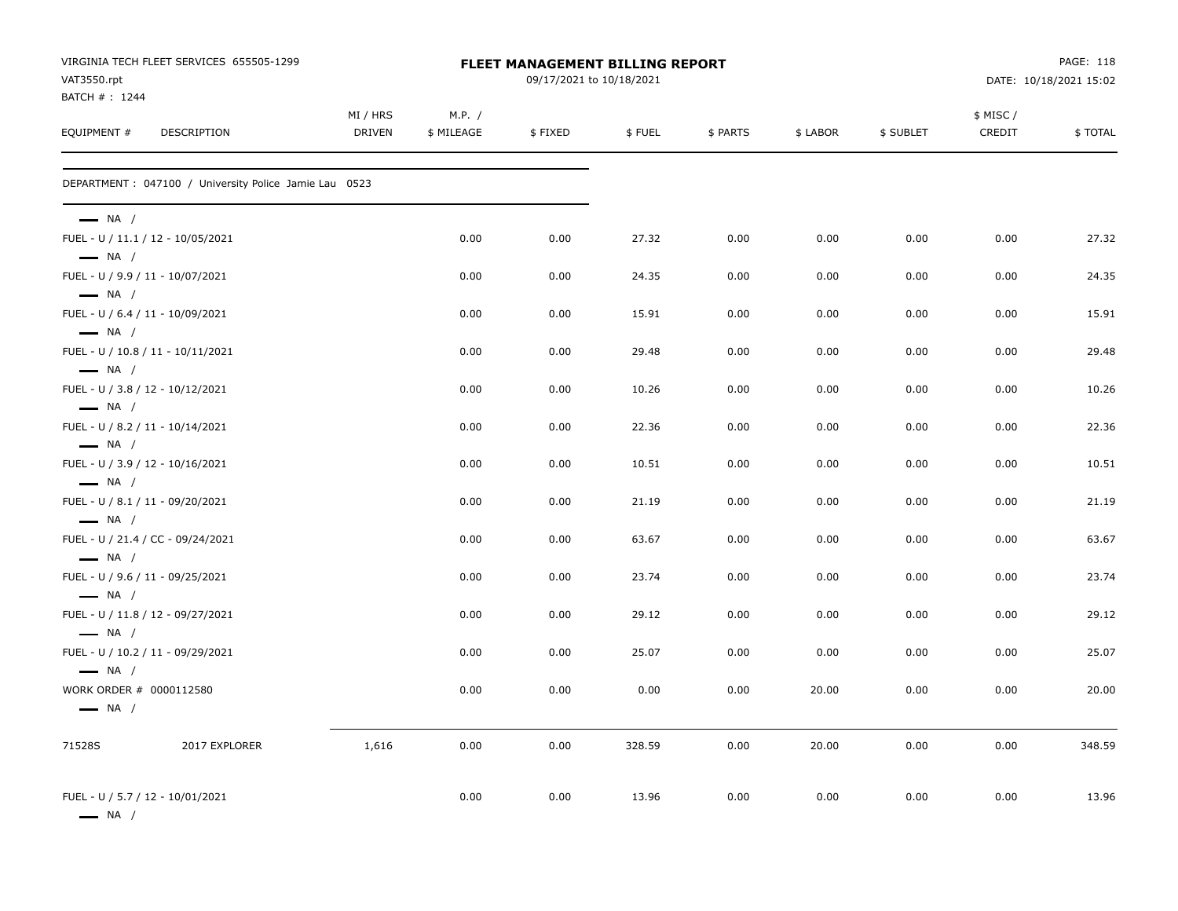| VAT3550.rpt                                       | VIRGINIA TECH FLEET SERVICES 655505-1299               |                           |                      | <b>FLEET MANAGEMENT BILLING REPORT</b><br>09/17/2021 to 10/18/2021 |        |          |          |           |                     | PAGE: 118<br>DATE: 10/18/2021 15:02 |
|---------------------------------------------------|--------------------------------------------------------|---------------------------|----------------------|--------------------------------------------------------------------|--------|----------|----------|-----------|---------------------|-------------------------------------|
| BATCH # : 1244<br>EQUIPMENT #                     | DESCRIPTION                                            | MI / HRS<br><b>DRIVEN</b> | M.P. /<br>\$ MILEAGE | \$FIXED                                                            | \$FUEL | \$ PARTS | \$ LABOR | \$ SUBLET | \$ MISC /<br>CREDIT | \$TOTAL                             |
|                                                   | DEPARTMENT : 047100 / University Police Jamie Lau 0523 |                           |                      |                                                                    |        |          |          |           |                     |                                     |
| $\longrightarrow$ NA /                            |                                                        |                           |                      |                                                                    |        |          |          |           |                     |                                     |
| $\longrightarrow$ NA /                            | FUEL - U / 11.1 / 12 - 10/05/2021                      |                           | 0.00                 | 0.00                                                               | 27.32  | 0.00     | 0.00     | 0.00      | 0.00                | 27.32                               |
| $\longrightarrow$ NA /                            | FUEL - U / 9.9 / 11 - 10/07/2021                       |                           | 0.00                 | 0.00                                                               | 24.35  | 0.00     | 0.00     | 0.00      | 0.00                | 24.35                               |
| $\longrightarrow$ NA /                            | FUEL - U / 6.4 / 11 - 10/09/2021                       |                           | 0.00                 | 0.00                                                               | 15.91  | 0.00     | 0.00     | 0.00      | 0.00                | 15.91                               |
| $\longrightarrow$ NA /                            | FUEL - U / 10.8 / 11 - 10/11/2021                      |                           | 0.00                 | 0.00                                                               | 29.48  | 0.00     | 0.00     | 0.00      | 0.00                | 29.48                               |
| $\longrightarrow$ NA /                            | FUEL - U / 3.8 / 12 - 10/12/2021                       |                           | 0.00                 | 0.00                                                               | 10.26  | 0.00     | 0.00     | 0.00      | 0.00                | 10.26                               |
| $\longrightarrow$ NA /                            | FUEL - U / 8.2 / 11 - 10/14/2021                       |                           | 0.00                 | 0.00                                                               | 22.36  | 0.00     | 0.00     | 0.00      | 0.00                | 22.36                               |
| $\longrightarrow$ NA /                            | FUEL - U / 3.9 / 12 - 10/16/2021                       |                           | 0.00                 | 0.00                                                               | 10.51  | 0.00     | 0.00     | 0.00      | 0.00                | 10.51                               |
| $\longrightarrow$ NA /                            | FUEL - U / 8.1 / 11 - 09/20/2021                       |                           | 0.00                 | 0.00                                                               | 21.19  | 0.00     | 0.00     | 0.00      | 0.00                | 21.19                               |
| $\longrightarrow$ NA /                            | FUEL - U / 21.4 / CC - 09/24/2021                      |                           | 0.00                 | 0.00                                                               | 63.67  | 0.00     | 0.00     | 0.00      | 0.00                | 63.67                               |
| $\longrightarrow$ NA /                            | FUEL - U / 9.6 / 11 - 09/25/2021                       |                           | 0.00                 | 0.00                                                               | 23.74  | 0.00     | 0.00     | 0.00      | 0.00                | 23.74                               |
| $\longrightarrow$ NA /                            | FUEL - U / 11.8 / 12 - 09/27/2021                      |                           | 0.00                 | 0.00                                                               | 29.12  | 0.00     | 0.00     | 0.00      | 0.00                | 29.12                               |
| $\longrightarrow$ NA /                            | FUEL - U / 10.2 / 11 - 09/29/2021                      |                           | 0.00                 | 0.00                                                               | 25.07  | 0.00     | 0.00     | 0.00      | 0.00                | 25.07                               |
| WORK ORDER # 0000112580<br>$\longrightarrow$ NA / |                                                        |                           | 0.00                 | 0.00                                                               | 0.00   | 0.00     | 20.00    | 0.00      | 0.00                | 20.00                               |
| 71528S                                            | 2017 EXPLORER                                          | 1,616                     | 0.00                 | 0.00                                                               | 328.59 | 0.00     | 20.00    | 0.00      | 0.00                | 348.59                              |
| $\longrightarrow$ NA /                            | FUEL - U / 5.7 / 12 - 10/01/2021                       |                           | 0.00                 | 0.00                                                               | 13.96  | 0.00     | 0.00     | 0.00      | 0.00                | 13.96                               |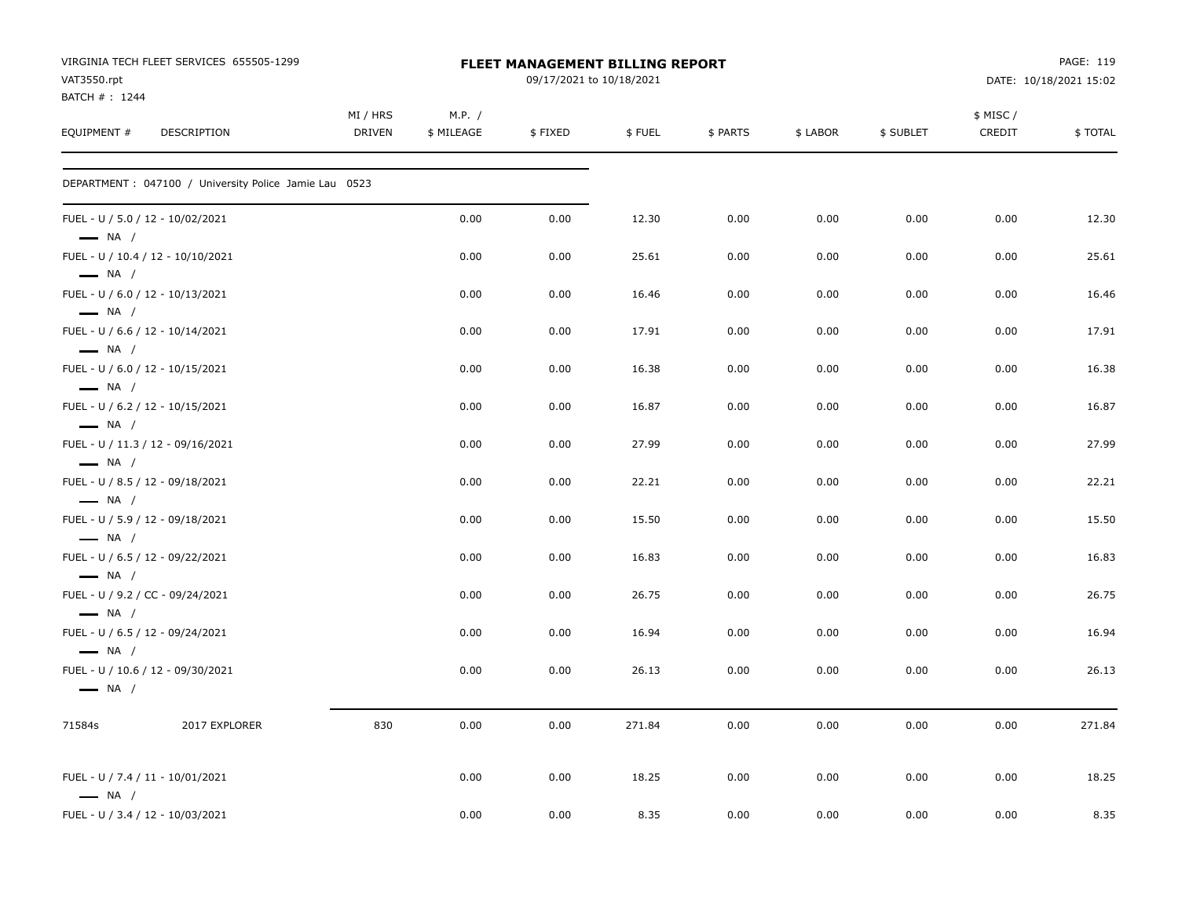| VAT3550.rpt<br>BATCH #: 1244 | VIRGINIA TECH FLEET SERVICES 655505-1299               |                    |                      | <b>FLEET MANAGEMENT BILLING REPORT</b><br>09/17/2021 to 10/18/2021 |        |          |          |           |                     | PAGE: 119<br>DATE: 10/18/2021 15:02 |
|------------------------------|--------------------------------------------------------|--------------------|----------------------|--------------------------------------------------------------------|--------|----------|----------|-----------|---------------------|-------------------------------------|
| EQUIPMENT #                  | DESCRIPTION                                            | MI / HRS<br>DRIVEN | M.P. /<br>\$ MILEAGE | \$FIXED                                                            | \$FUEL | \$ PARTS | \$ LABOR | \$ SUBLET | \$ MISC /<br>CREDIT | \$TOTAL                             |
|                              | DEPARTMENT : 047100 / University Police Jamie Lau 0523 |                    |                      |                                                                    |        |          |          |           |                     |                                     |
| $\longrightarrow$ NA /       | FUEL - U / 5.0 / 12 - 10/02/2021                       |                    | 0.00                 | 0.00                                                               | 12.30  | 0.00     | 0.00     | 0.00      | 0.00                | 12.30                               |
| $\longrightarrow$ NA /       | FUEL - U / 10.4 / 12 - 10/10/2021                      |                    | 0.00                 | 0.00                                                               | 25.61  | 0.00     | 0.00     | 0.00      | 0.00                | 25.61                               |
| $\longrightarrow$ NA /       | FUEL - U / 6.0 / 12 - 10/13/2021                       |                    | 0.00                 | 0.00                                                               | 16.46  | 0.00     | 0.00     | 0.00      | 0.00                | 16.46                               |
| $\longrightarrow$ NA /       | FUEL - U / 6.6 / 12 - 10/14/2021                       |                    | 0.00                 | 0.00                                                               | 17.91  | 0.00     | 0.00     | 0.00      | 0.00                | 17.91                               |
| $\longrightarrow$ NA /       | FUEL - U / 6.0 / 12 - 10/15/2021                       |                    | 0.00                 | 0.00                                                               | 16.38  | 0.00     | 0.00     | 0.00      | 0.00                | 16.38                               |
| $\longrightarrow$ NA /       | FUEL - U / 6.2 / 12 - 10/15/2021                       |                    | 0.00                 | 0.00                                                               | 16.87  | 0.00     | 0.00     | 0.00      | 0.00                | 16.87                               |
| $\longrightarrow$ NA /       | FUEL - U / 11.3 / 12 - 09/16/2021                      |                    | 0.00                 | 0.00                                                               | 27.99  | 0.00     | 0.00     | 0.00      | 0.00                | 27.99                               |
| $\longrightarrow$ NA /       | FUEL - U / 8.5 / 12 - 09/18/2021                       |                    | 0.00                 | 0.00                                                               | 22.21  | 0.00     | 0.00     | 0.00      | 0.00                | 22.21                               |
| $\longrightarrow$ NA /       | FUEL - U / 5.9 / 12 - 09/18/2021                       |                    | 0.00                 | 0.00                                                               | 15.50  | 0.00     | 0.00     | 0.00      | 0.00                | 15.50                               |
| $\longrightarrow$ NA /       | FUEL - U / 6.5 / 12 - 09/22/2021                       |                    | 0.00                 | 0.00                                                               | 16.83  | 0.00     | 0.00     | 0.00      | 0.00                | 16.83                               |
| $\longrightarrow$ NA /       | FUEL - U / 9.2 / CC - 09/24/2021                       |                    | 0.00                 | 0.00                                                               | 26.75  | 0.00     | 0.00     | 0.00      | 0.00                | 26.75                               |
| $\longrightarrow$ NA /       | FUEL - U / 6.5 / 12 - 09/24/2021                       |                    | 0.00                 | 0.00                                                               | 16.94  | 0.00     | 0.00     | 0.00      | 0.00                | 16.94                               |
| $\longrightarrow$ NA /       | FUEL - U / 10.6 / 12 - 09/30/2021                      |                    | 0.00                 | 0.00                                                               | 26.13  | 0.00     | 0.00     | 0.00      | 0.00                | 26.13                               |
| 71584s                       | 2017 EXPLORER                                          | 830                | 0.00                 | 0.00                                                               | 271.84 | 0.00     | 0.00     | 0.00      | 0.00                | 271.84                              |
| $\longrightarrow$ NA /       | FUEL - U / 7.4 / 11 - 10/01/2021                       |                    | 0.00                 | 0.00                                                               | 18.25  | 0.00     | 0.00     | 0.00      | 0.00                | 18.25                               |
|                              | FUEL - U / 3.4 / 12 - 10/03/2021                       |                    | 0.00                 | 0.00                                                               | 8.35   | 0.00     | 0.00     | 0.00      | 0.00                | 8.35                                |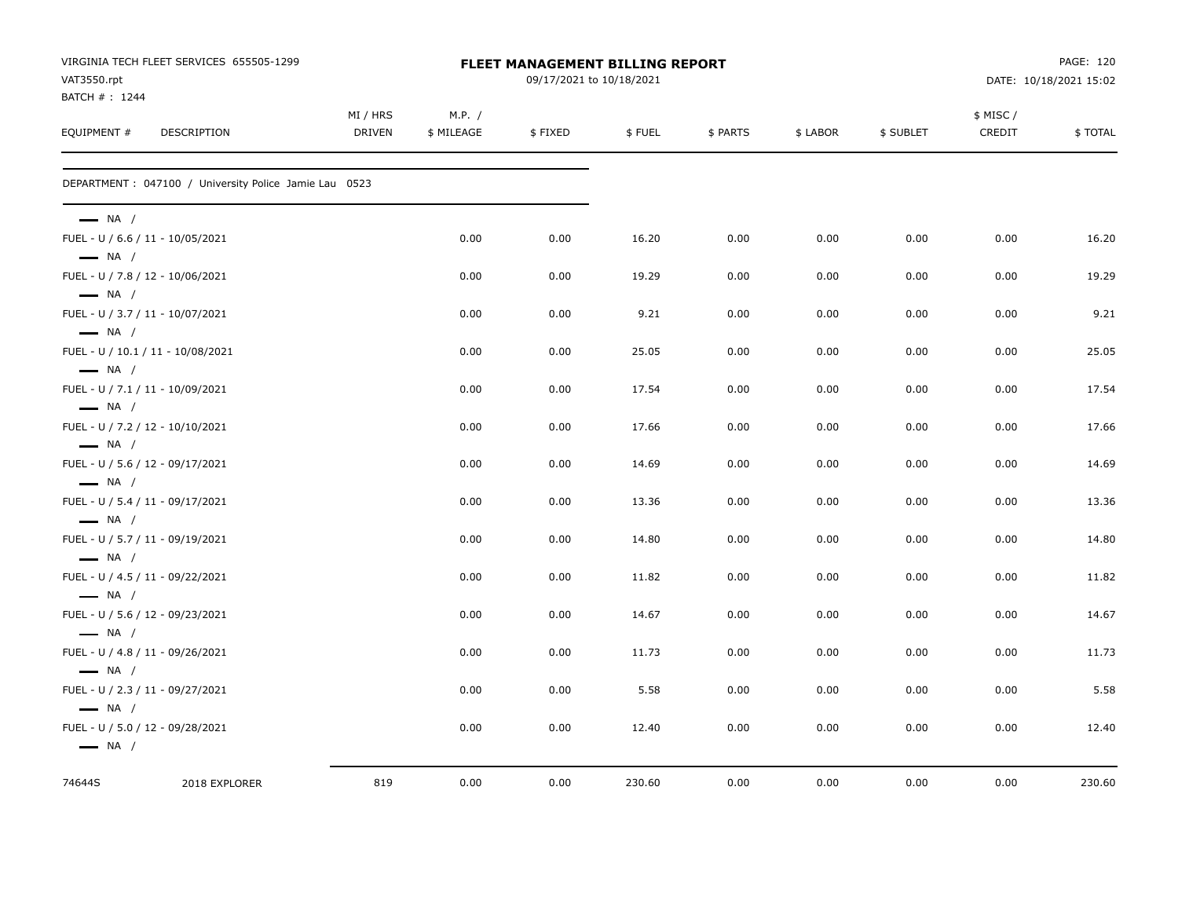| VAT3550.rpt            | VIRGINIA TECH FLEET SERVICES 655505-1299               |               |            | <b>FLEET MANAGEMENT BILLING REPORT</b><br>09/17/2021 to 10/18/2021 |        |          |          |           |           | PAGE: 120<br>DATE: 10/18/2021 15:02 |
|------------------------|--------------------------------------------------------|---------------|------------|--------------------------------------------------------------------|--------|----------|----------|-----------|-----------|-------------------------------------|
| BATCH #: 1244          |                                                        | MI / HRS      | M.P. /     |                                                                    |        |          |          |           | \$ MISC / |                                     |
| EQUIPMENT #            | <b>DESCRIPTION</b>                                     | <b>DRIVEN</b> | \$ MILEAGE | \$FIXED                                                            | \$FUEL | \$ PARTS | \$ LABOR | \$ SUBLET | CREDIT    | \$TOTAL                             |
|                        | DEPARTMENT : 047100 / University Police Jamie Lau 0523 |               |            |                                                                    |        |          |          |           |           |                                     |
| $\longrightarrow$ NA / |                                                        |               |            |                                                                    |        |          |          |           |           |                                     |
| $\longrightarrow$ NA / | FUEL - U / 6.6 / 11 - 10/05/2021                       |               | 0.00       | 0.00                                                               | 16.20  | 0.00     | 0.00     | 0.00      | 0.00      | 16.20                               |
| $\longrightarrow$ NA / | FUEL - U / 7.8 / 12 - 10/06/2021                       |               | 0.00       | 0.00                                                               | 19.29  | 0.00     | 0.00     | 0.00      | 0.00      | 19.29                               |
| $\longrightarrow$ NA / | FUEL - U / 3.7 / 11 - 10/07/2021                       |               | 0.00       | 0.00                                                               | 9.21   | 0.00     | 0.00     | 0.00      | 0.00      | 9.21                                |
|                        | FUEL - U / 10.1 / 11 - 10/08/2021                      |               | 0.00       | 0.00                                                               | 25.05  | 0.00     | 0.00     | 0.00      | 0.00      | 25.05                               |
| $\longrightarrow$ NA / | FUEL - U / 7.1 / 11 - 10/09/2021                       |               | 0.00       | 0.00                                                               | 17.54  | 0.00     | 0.00     | 0.00      | 0.00      | 17.54                               |
| $\longrightarrow$ NA / | FUEL - U / 7.2 / 12 - 10/10/2021                       |               | 0.00       | 0.00                                                               | 17.66  | 0.00     | 0.00     | 0.00      | 0.00      | 17.66                               |
| $\longrightarrow$ NA / | FUEL - U / 5.6 / 12 - 09/17/2021                       |               | 0.00       | 0.00                                                               | 14.69  | 0.00     | 0.00     | 0.00      | 0.00      | 14.69                               |
| $\longrightarrow$ NA / | FUEL - U / 5.4 / 11 - 09/17/2021                       |               | 0.00       | 0.00                                                               | 13.36  | 0.00     | 0.00     | 0.00      | 0.00      | 13.36                               |
| $\longrightarrow$ NA / | FUEL - U / 5.7 / 11 - 09/19/2021                       |               | 0.00       | 0.00                                                               | 14.80  | 0.00     | 0.00     | 0.00      | 0.00      | 14.80                               |
| $\longrightarrow$ NA / | FUEL - U / 4.5 / 11 - 09/22/2021                       |               | 0.00       | 0.00                                                               | 11.82  | 0.00     | 0.00     | 0.00      | 0.00      | 11.82                               |
| $\longrightarrow$ NA / | FUEL - U / 5.6 / 12 - 09/23/2021                       |               | 0.00       | 0.00                                                               | 14.67  | 0.00     | 0.00     | 0.00      | 0.00      | 14.67                               |
| $\longrightarrow$ NA / | FUEL - U / 4.8 / 11 - 09/26/2021                       |               | 0.00       | 0.00                                                               | 11.73  | 0.00     | 0.00     | 0.00      | 0.00      | 11.73                               |
| $\longrightarrow$ NA / | FUEL - U / 2.3 / 11 - 09/27/2021                       |               | 0.00       | 0.00                                                               | 5.58   | 0.00     | 0.00     | 0.00      | 0.00      | 5.58                                |
| $\longrightarrow$ NA / |                                                        |               |            |                                                                    |        |          |          |           |           |                                     |
| $\longrightarrow$ NA / | FUEL - U / 5.0 / 12 - 09/28/2021                       |               | 0.00       | 0.00                                                               | 12.40  | 0.00     | 0.00     | 0.00      | 0.00      | 12.40                               |
| 74644S                 | 2018 EXPLORER                                          | 819           | 0.00       | 0.00                                                               | 230.60 | 0.00     | 0.00     | 0.00      | 0.00      | 230.60                              |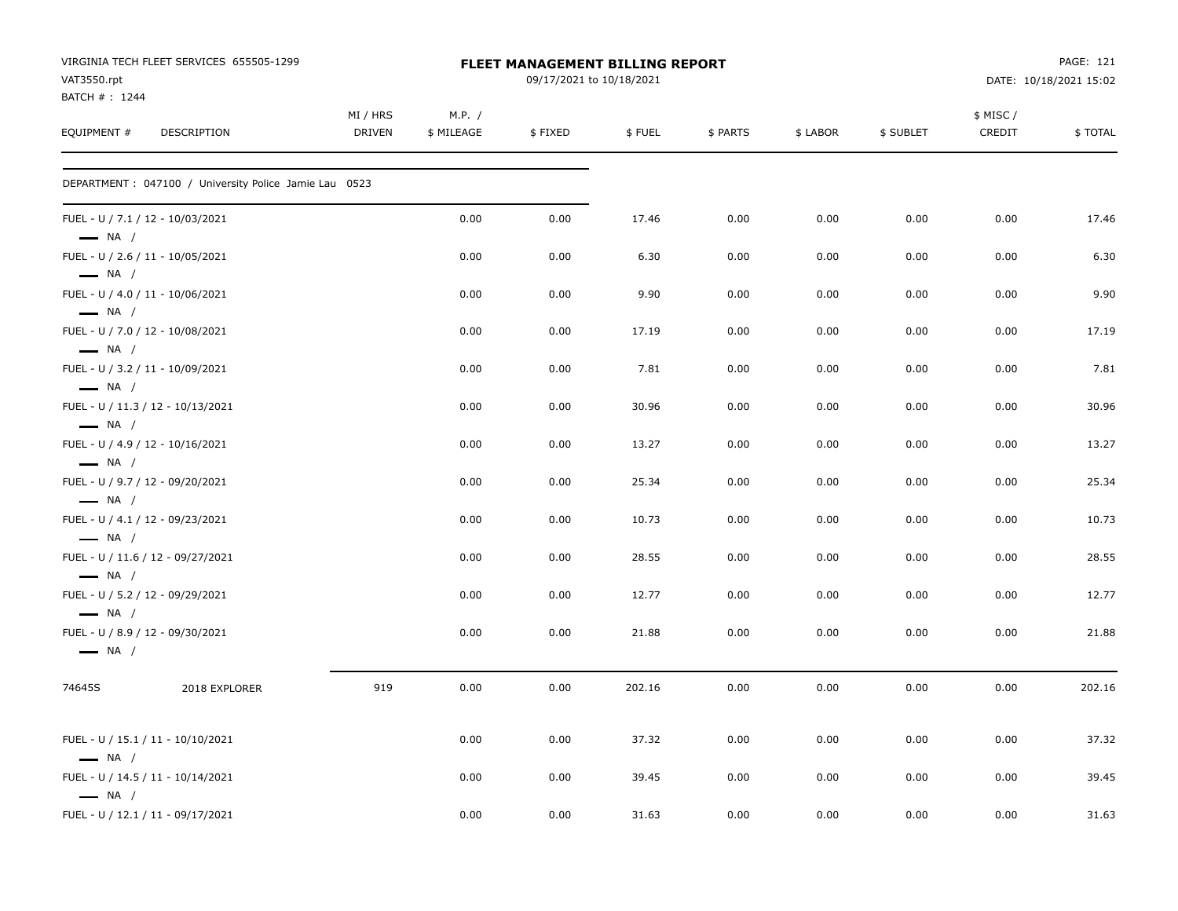| VAT3550.rpt                                                | VIRGINIA TECH FLEET SERVICES 655505-1299               |                           |                      | FLEET MANAGEMENT BILLING REPORT<br>09/17/2021 to 10/18/2021 |        |          |          |           |                     | PAGE: 121<br>DATE: 10/18/2021 15:02 |
|------------------------------------------------------------|--------------------------------------------------------|---------------------------|----------------------|-------------------------------------------------------------|--------|----------|----------|-----------|---------------------|-------------------------------------|
| BATCH #: 1244<br>EQUIPMENT #                               | DESCRIPTION                                            | MI / HRS<br><b>DRIVEN</b> | M.P. /<br>\$ MILEAGE | \$FIXED                                                     | \$FUEL | \$ PARTS | \$ LABOR | \$ SUBLET | \$ MISC /<br>CREDIT | \$TOTAL                             |
|                                                            | DEPARTMENT : 047100 / University Police Jamie Lau 0523 |                           |                      |                                                             |        |          |          |           |                     |                                     |
| $\longrightarrow$ NA /                                     | FUEL - U / 7.1 / 12 - 10/03/2021                       |                           | 0.00                 | 0.00                                                        | 17.46  | 0.00     | 0.00     | 0.00      | 0.00                | 17.46                               |
| FUEL - U / 2.6 / 11 - 10/05/2021<br>$\longrightarrow$ NA / |                                                        |                           | 0.00                 | 0.00                                                        | 6.30   | 0.00     | 0.00     | 0.00      | 0.00                | 6.30                                |
| FUEL - U / 4.0 / 11 - 10/06/2021<br>$\longrightarrow$ NA / |                                                        |                           | 0.00                 | 0.00                                                        | 9.90   | 0.00     | 0.00     | 0.00      | 0.00                | 9.90                                |
| $\longrightarrow$ NA /                                     | FUEL - U / 7.0 / 12 - 10/08/2021                       |                           | 0.00                 | 0.00                                                        | 17.19  | 0.00     | 0.00     | 0.00      | 0.00                | 17.19                               |
| FUEL - U / 3.2 / 11 - 10/09/2021<br>$\longrightarrow$ NA / |                                                        |                           | 0.00                 | 0.00                                                        | 7.81   | 0.00     | 0.00     | 0.00      | 0.00                | 7.81                                |
| $\longrightarrow$ NA /                                     | FUEL - U / 11.3 / 12 - 10/13/2021                      |                           | 0.00                 | 0.00                                                        | 30.96  | 0.00     | 0.00     | 0.00      | 0.00                | 30.96                               |
| $\longrightarrow$ NA /                                     | FUEL - U / 4.9 / 12 - 10/16/2021                       |                           | 0.00                 | 0.00                                                        | 13.27  | 0.00     | 0.00     | 0.00      | 0.00                | 13.27                               |
| FUEL - U / 9.7 / 12 - 09/20/2021<br>$\longrightarrow$ NA / |                                                        |                           | 0.00                 | 0.00                                                        | 25.34  | 0.00     | 0.00     | 0.00      | 0.00                | 25.34                               |
| $\longrightarrow$ NA /                                     | FUEL - U / 4.1 / 12 - 09/23/2021                       |                           | 0.00                 | 0.00                                                        | 10.73  | 0.00     | 0.00     | 0.00      | 0.00                | 10.73                               |
| $\longrightarrow$ NA /                                     | FUEL - U / 11.6 / 12 - 09/27/2021                      |                           | 0.00                 | 0.00                                                        | 28.55  | 0.00     | 0.00     | 0.00      | 0.00                | 28.55                               |
| FUEL - U / 5.2 / 12 - 09/29/2021<br>$\longrightarrow$ NA / |                                                        |                           | 0.00                 | 0.00                                                        | 12.77  | 0.00     | 0.00     | 0.00      | 0.00                | 12.77                               |
| $\longrightarrow$ NA /                                     | FUEL - U / 8.9 / 12 - 09/30/2021                       |                           | 0.00                 | 0.00                                                        | 21.88  | 0.00     | 0.00     | 0.00      | 0.00                | 21.88                               |
| 74645S                                                     | 2018 EXPLORER                                          | 919                       | 0.00                 | 0.00                                                        | 202.16 | 0.00     | 0.00     | 0.00      | 0.00                | 202.16                              |
| $\longrightarrow$ NA /                                     | FUEL - U / 15.1 / 11 - 10/10/2021                      |                           | 0.00                 | 0.00                                                        | 37.32  | 0.00     | 0.00     | 0.00      | 0.00                | 37.32                               |
| $\longrightarrow$ NA /                                     | FUEL - U / 14.5 / 11 - 10/14/2021                      |                           | 0.00                 | 0.00                                                        | 39.45  | 0.00     | 0.00     | 0.00      | 0.00                | 39.45                               |
|                                                            | FUEL - U / 12.1 / 11 - 09/17/2021                      |                           | 0.00                 | 0.00                                                        | 31.63  | 0.00     | 0.00     | 0.00      | 0.00                | 31.63                               |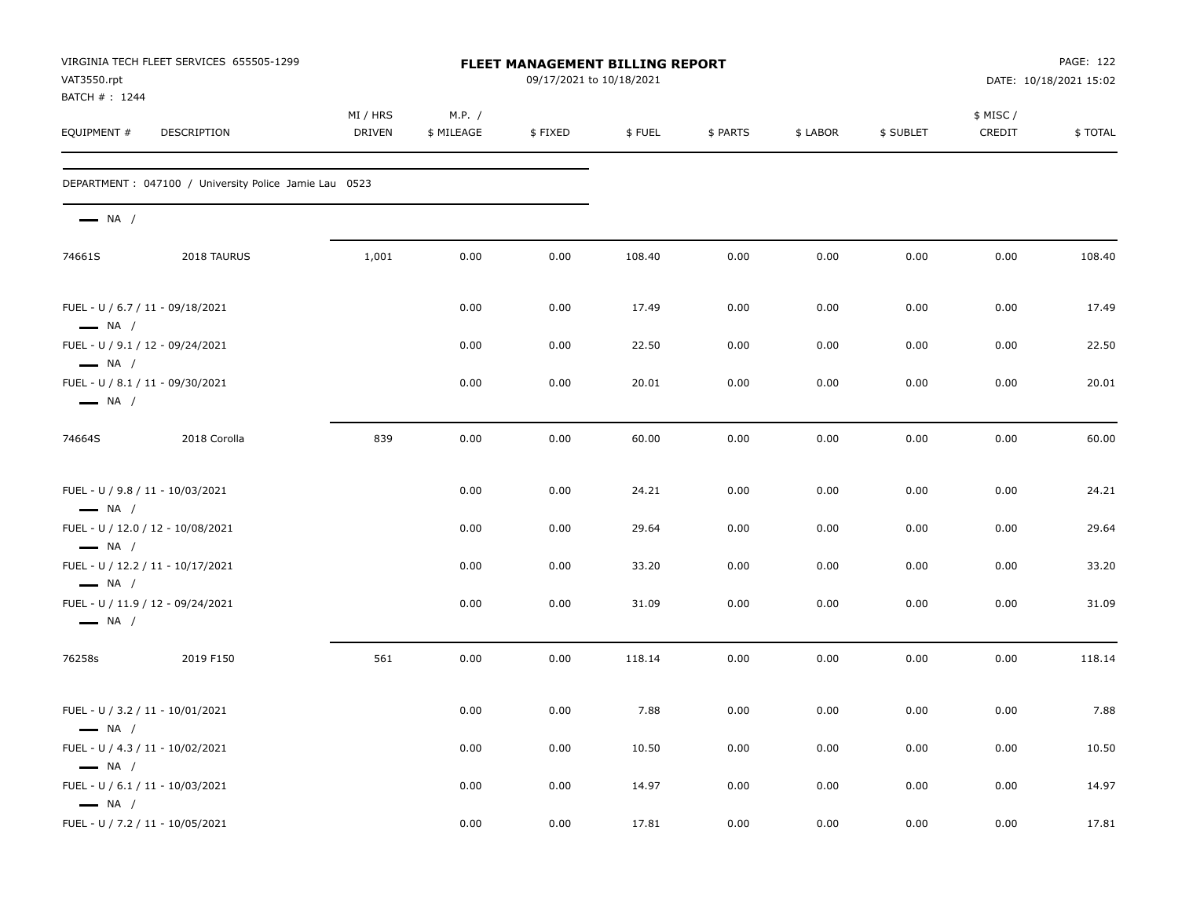| VAT3550.rpt                                      | VIRGINIA TECH FLEET SERVICES 655505-1299               | FLEET MANAGEMENT BILLING REPORT<br>09/17/2021 to 10/18/2021 |                      |         |        |          |          |           | PAGE: 122<br>DATE: 10/18/2021 15:02 |         |
|--------------------------------------------------|--------------------------------------------------------|-------------------------------------------------------------|----------------------|---------|--------|----------|----------|-----------|-------------------------------------|---------|
| BATCH #: 1244<br>EQUIPMENT #                     | <b>DESCRIPTION</b>                                     | MI / HRS<br><b>DRIVEN</b>                                   | M.P. /<br>\$ MILEAGE | \$FIXED | \$FUEL | \$ PARTS | \$ LABOR | \$ SUBLET | \$ MISC/<br>CREDIT                  | \$TOTAL |
|                                                  | DEPARTMENT : 047100 / University Police Jamie Lau 0523 |                                                             |                      |         |        |          |          |           |                                     |         |
| $\longrightarrow$ NA /                           |                                                        |                                                             |                      |         |        |          |          |           |                                     |         |
| 74661S                                           | 2018 TAURUS                                            | 1,001                                                       | 0.00                 | 0.00    | 108.40 | 0.00     | 0.00     | 0.00      | 0.00                                | 108.40  |
| $\longrightarrow$ NA /                           | FUEL - U / 6.7 / 11 - 09/18/2021                       |                                                             | 0.00                 | 0.00    | 17.49  | 0.00     | 0.00     | 0.00      | 0.00                                | 17.49   |
| $\longrightarrow$ NA /                           | FUEL - U / 9.1 / 12 - 09/24/2021                       |                                                             | 0.00                 | 0.00    | 22.50  | 0.00     | 0.00     | 0.00      | 0.00                                | 22.50   |
| $\longrightarrow$ NA /                           | FUEL - U / 8.1 / 11 - 09/30/2021                       |                                                             | 0.00                 | 0.00    | 20.01  | 0.00     | 0.00     | 0.00      | 0.00                                | 20.01   |
| 74664S                                           | 2018 Corolla                                           | 839                                                         | 0.00                 | 0.00    | 60.00  | 0.00     | 0.00     | 0.00      | 0.00                                | 60.00   |
| $\longrightarrow$ NA /                           | FUEL - U / 9.8 / 11 - 10/03/2021                       |                                                             | 0.00                 | 0.00    | 24.21  | 0.00     | 0.00     | 0.00      | 0.00                                | 24.21   |
| $\longrightarrow$ NA /                           | FUEL - U / 12.0 / 12 - 10/08/2021                      |                                                             | 0.00                 | 0.00    | 29.64  | 0.00     | 0.00     | 0.00      | 0.00                                | 29.64   |
| $\longrightarrow$ NA /                           | FUEL - U / 12.2 / 11 - 10/17/2021                      |                                                             | 0.00                 | 0.00    | 33.20  | 0.00     | 0.00     | 0.00      | 0.00                                | 33.20   |
| $\longrightarrow$ NA /                           | FUEL - U / 11.9 / 12 - 09/24/2021                      |                                                             | 0.00                 | 0.00    | 31.09  | 0.00     | 0.00     | 0.00      | 0.00                                | 31.09   |
| 76258s                                           | 2019 F150                                              | 561                                                         | 0.00                 | 0.00    | 118.14 | 0.00     | 0.00     | 0.00      | 0.00                                | 118.14  |
| $\longrightarrow$ NA /                           | FUEL - U / 3.2 / 11 - 10/01/2021                       |                                                             | 0.00                 | 0.00    | 7.88   | 0.00     | 0.00     | 0.00      | 0.00                                | 7.88    |
|                                                  | FUEL - U / 4.3 / 11 - 10/02/2021                       |                                                             | 0.00                 | 0.00    | 10.50  | 0.00     | 0.00     | 0.00      | 0.00                                | 10.50   |
| $\longrightarrow$ NA /<br>$\longrightarrow$ NA / | FUEL - U / 6.1 / 11 - 10/03/2021                       |                                                             | 0.00                 | 0.00    | 14.97  | 0.00     | 0.00     | 0.00      | 0.00                                | 14.97   |
|                                                  | FUEL - U / 7.2 / 11 - 10/05/2021                       |                                                             | 0.00                 | 0.00    | 17.81  | 0.00     | 0.00     | 0.00      | 0.00                                | 17.81   |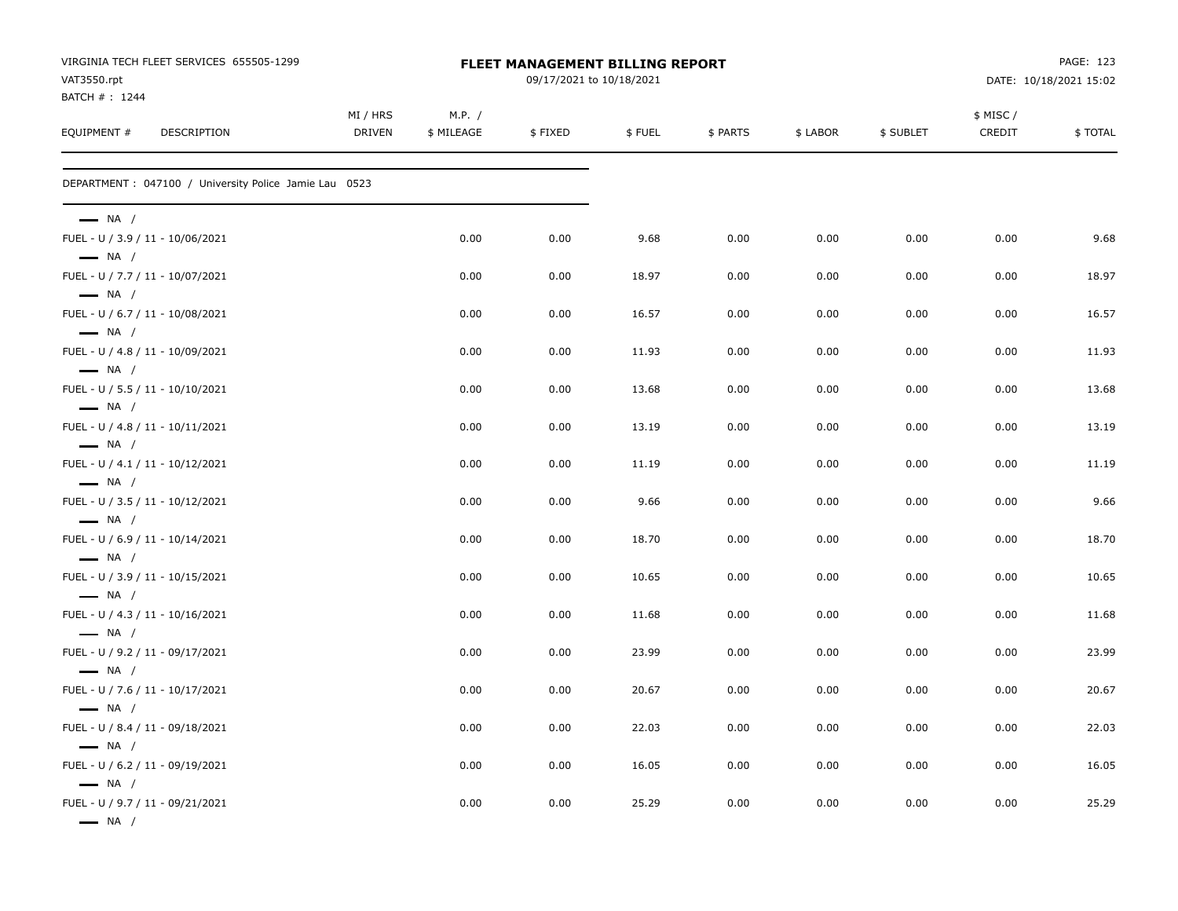| VIRGINIA TECH FLEET SERVICES 655505-1299<br>VAT3550.rpt<br>BATCH #: 1244 | FLEET MANAGEMENT BILLING REPORT<br>09/17/2021 to 10/18/2021 |                      |         |        |          |          |           | PAGE: 123<br>DATE: 10/18/2021 15:02 |         |
|--------------------------------------------------------------------------|-------------------------------------------------------------|----------------------|---------|--------|----------|----------|-----------|-------------------------------------|---------|
| EQUIPMENT #<br><b>DESCRIPTION</b>                                        | MI / HRS<br><b>DRIVEN</b>                                   | M.P. /<br>\$ MILEAGE | \$FIXED | \$FUEL | \$ PARTS | \$ LABOR | \$ SUBLET | \$ MISC /<br>CREDIT                 | \$TOTAL |
| DEPARTMENT : 047100 / University Police Jamie Lau 0523                   |                                                             |                      |         |        |          |          |           |                                     |         |
| $\longrightarrow$ NA /                                                   |                                                             |                      |         |        |          |          |           |                                     |         |
| FUEL - U / 3.9 / 11 - 10/06/2021<br>$\longrightarrow$ NA /               |                                                             | 0.00                 | 0.00    | 9.68   | 0.00     | 0.00     | 0.00      | 0.00                                | 9.68    |
| FUEL - U / 7.7 / 11 - 10/07/2021<br>$\longrightarrow$ NA /               |                                                             | 0.00                 | 0.00    | 18.97  | 0.00     | 0.00     | 0.00      | 0.00                                | 18.97   |
| FUEL - U / 6.7 / 11 - 10/08/2021<br>$\longrightarrow$ NA /               |                                                             | 0.00                 | 0.00    | 16.57  | 0.00     | 0.00     | 0.00      | 0.00                                | 16.57   |
| FUEL - U / 4.8 / 11 - 10/09/2021<br>$\longrightarrow$ NA /               |                                                             | 0.00                 | 0.00    | 11.93  | 0.00     | 0.00     | 0.00      | 0.00                                | 11.93   |
| FUEL - U / 5.5 / 11 - 10/10/2021<br>$\longrightarrow$ NA /               |                                                             | 0.00                 | 0.00    | 13.68  | 0.00     | 0.00     | 0.00      | 0.00                                | 13.68   |
| FUEL - U / 4.8 / 11 - 10/11/2021<br>$\longrightarrow$ NA /               |                                                             | 0.00                 | 0.00    | 13.19  | 0.00     | 0.00     | 0.00      | 0.00                                | 13.19   |
| FUEL - U / 4.1 / 11 - 10/12/2021<br>$\longrightarrow$ NA /               |                                                             | 0.00                 | 0.00    | 11.19  | 0.00     | 0.00     | 0.00      | 0.00                                | 11.19   |
| FUEL - U / 3.5 / 11 - 10/12/2021<br>$\longrightarrow$ NA /               |                                                             | 0.00                 | 0.00    | 9.66   | 0.00     | 0.00     | 0.00      | 0.00                                | 9.66    |
| FUEL - U / 6.9 / 11 - 10/14/2021<br>$\longrightarrow$ NA /               |                                                             | 0.00                 | 0.00    | 18.70  | 0.00     | 0.00     | 0.00      | 0.00                                | 18.70   |
| FUEL - U / 3.9 / 11 - 10/15/2021<br>$\longrightarrow$ NA /               |                                                             | 0.00                 | 0.00    | 10.65  | 0.00     | 0.00     | 0.00      | 0.00                                | 10.65   |
| FUEL - U / 4.3 / 11 - 10/16/2021<br>$\longrightarrow$ NA /               |                                                             | 0.00                 | 0.00    | 11.68  | 0.00     | 0.00     | 0.00      | 0.00                                | 11.68   |
| FUEL - U / 9.2 / 11 - 09/17/2021<br>$\longrightarrow$ NA /               |                                                             | 0.00                 | 0.00    | 23.99  | 0.00     | 0.00     | 0.00      | 0.00                                | 23.99   |
| FUEL - U / 7.6 / 11 - 10/17/2021<br>$\longrightarrow$ NA /               |                                                             | 0.00                 | 0.00    | 20.67  | 0.00     | 0.00     | 0.00      | 0.00                                | 20.67   |
| FUEL - U / 8.4 / 11 - 09/18/2021<br>$\longrightarrow$ NA /               |                                                             | 0.00                 | 0.00    | 22.03  | 0.00     | 0.00     | 0.00      | 0.00                                | 22.03   |
| FUEL - U / 6.2 / 11 - 09/19/2021<br>$\longrightarrow$ NA /               |                                                             | 0.00                 | 0.00    | 16.05  | 0.00     | 0.00     | 0.00      | 0.00                                | 16.05   |
| FUEL - U / 9.7 / 11 - 09/21/2021<br>$\longrightarrow$ NA /               |                                                             | 0.00                 | 0.00    | 25.29  | 0.00     | 0.00     | 0.00      | 0.00                                | 25.29   |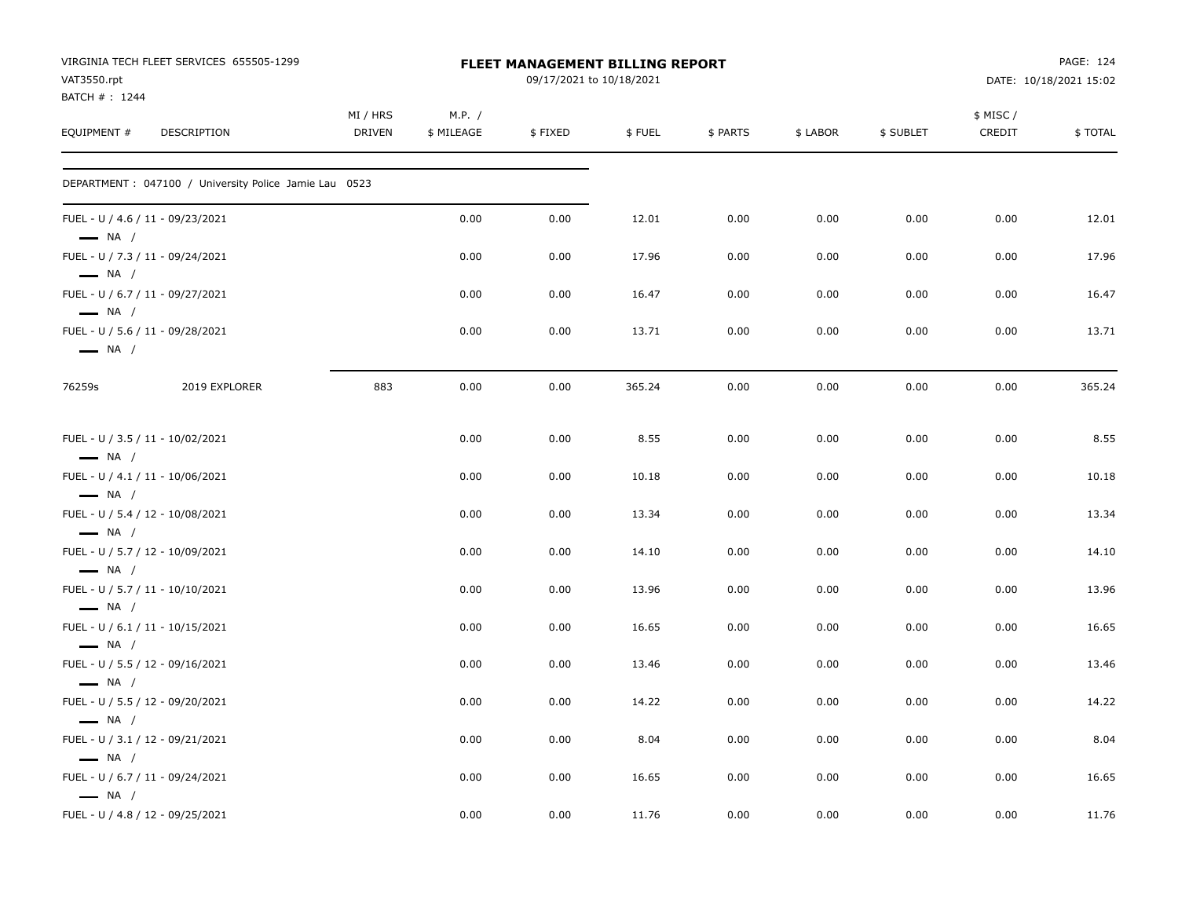| VAT3550.rpt<br>BATCH #: 1244       | VIRGINIA TECH FLEET SERVICES 655505-1299               |                           |                      | FLEET MANAGEMENT BILLING REPORT<br>09/17/2021 to 10/18/2021 |        |          |          |           |                    | PAGE: 124<br>DATE: 10/18/2021 15:02 |
|------------------------------------|--------------------------------------------------------|---------------------------|----------------------|-------------------------------------------------------------|--------|----------|----------|-----------|--------------------|-------------------------------------|
| EQUIPMENT #                        | <b>DESCRIPTION</b>                                     | MI / HRS<br><b>DRIVEN</b> | M.P. /<br>\$ MILEAGE | \$FIXED                                                     | \$FUEL | \$ PARTS | \$ LABOR | \$ SUBLET | \$ MISC/<br>CREDIT | \$TOTAL                             |
|                                    | DEPARTMENT : 047100 / University Police Jamie Lau 0523 |                           |                      |                                                             |        |          |          |           |                    |                                     |
| $\longrightarrow$ NA /             | FUEL - U / 4.6 / 11 - 09/23/2021                       |                           | 0.00                 | 0.00                                                        | 12.01  | 0.00     | 0.00     | 0.00      | 0.00               | 12.01                               |
| $\longrightarrow$ NA /             | FUEL - U / 7.3 / 11 - 09/24/2021                       |                           | 0.00                 | 0.00                                                        | 17.96  | 0.00     | 0.00     | 0.00      | 0.00               | 17.96                               |
| $\longrightarrow$ NA /             | FUEL - U / 6.7 / 11 - 09/27/2021                       |                           | 0.00                 | 0.00                                                        | 16.47  | 0.00     | 0.00     | 0.00      | 0.00               | 16.47                               |
| $\longrightarrow$ NA /             | FUEL - U / 5.6 / 11 - 09/28/2021                       |                           | 0.00                 | 0.00                                                        | 13.71  | 0.00     | 0.00     | 0.00      | 0.00               | 13.71                               |
| 76259s                             | 2019 EXPLORER                                          | 883                       | 0.00                 | 0.00                                                        | 365.24 | 0.00     | 0.00     | 0.00      | 0.00               | 365.24                              |
| $\longrightarrow$ NA /             | FUEL - U / 3.5 / 11 - 10/02/2021                       |                           | 0.00                 | 0.00                                                        | 8.55   | 0.00     | 0.00     | 0.00      | 0.00               | 8.55                                |
| $\longrightarrow$ NA /             | FUEL - U / 4.1 / 11 - 10/06/2021                       |                           | 0.00                 | 0.00                                                        | 10.18  | 0.00     | 0.00     | 0.00      | 0.00               | 10.18                               |
| $\longrightarrow$ NA /             | FUEL - U / 5.4 / 12 - 10/08/2021                       |                           | 0.00                 | 0.00                                                        | 13.34  | 0.00     | 0.00     | 0.00      | 0.00               | 13.34                               |
| $\longrightarrow$ NA /             | FUEL - U / 5.7 / 12 - 10/09/2021                       |                           | 0.00                 | 0.00                                                        | 14.10  | 0.00     | 0.00     | 0.00      | 0.00               | 14.10                               |
| $\longrightarrow$ NA /             | FUEL - U / 5.7 / 11 - 10/10/2021                       |                           | 0.00                 | 0.00                                                        | 13.96  | 0.00     | 0.00     | 0.00      | 0.00               | 13.96                               |
|                                    | FUEL - U / 6.1 / 11 - 10/15/2021                       |                           | 0.00                 | 0.00                                                        | 16.65  | 0.00     | 0.00     | 0.00      | 0.00               | 16.65                               |
| $-$ NA /<br>$\longrightarrow$ NA / | FUEL - U / 5.5 / 12 - 09/16/2021                       |                           | 0.00                 | 0.00                                                        | 13.46  | 0.00     | 0.00     | 0.00      | 0.00               | 13.46                               |
| $\longrightarrow$ NA /             | FUEL - U / 5.5 / 12 - 09/20/2021                       |                           | 0.00                 | 0.00                                                        | 14.22  | 0.00     | 0.00     | 0.00      | 0.00               | 14.22                               |
|                                    | FUEL - U / 3.1 / 12 - 09/21/2021                       |                           | 0.00                 | 0.00                                                        | 8.04   | 0.00     | 0.00     | 0.00      | 0.00               | 8.04                                |
| $\longrightarrow$ NA /             | FUEL - U / 6.7 / 11 - 09/24/2021                       |                           | 0.00                 | 0.00                                                        | 16.65  | 0.00     | 0.00     | 0.00      | 0.00               | 16.65                               |
| $\longrightarrow$ NA /             | FUEL - U / 4.8 / 12 - 09/25/2021                       |                           | 0.00                 | 0.00                                                        | 11.76  | 0.00     | 0.00     | 0.00      | 0.00               | 11.76                               |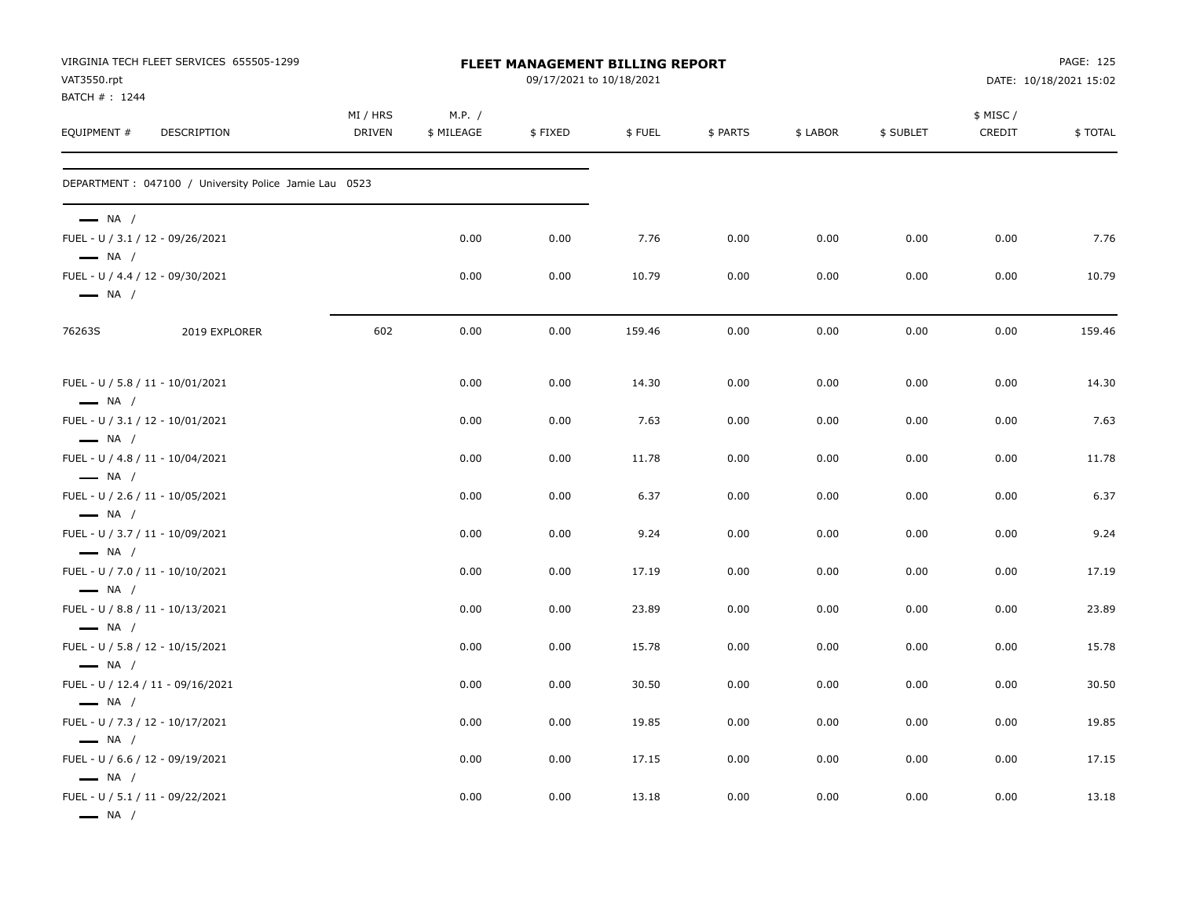| VAT3550.rpt                                                                          | VIRGINIA TECH FLEET SERVICES 655505-1299               | FLEET MANAGEMENT BILLING REPORT<br>09/17/2021 to 10/18/2021 |                      |         |        |          |          |           |                    | PAGE: 125<br>DATE: 10/18/2021 15:02 |  |
|--------------------------------------------------------------------------------------|--------------------------------------------------------|-------------------------------------------------------------|----------------------|---------|--------|----------|----------|-----------|--------------------|-------------------------------------|--|
| BATCH #: 1244<br>EQUIPMENT #                                                         | DESCRIPTION                                            | MI / HRS<br><b>DRIVEN</b>                                   | M.P. /<br>\$ MILEAGE | \$FIXED | \$FUEL | \$ PARTS | \$ LABOR | \$ SUBLET | \$ MISC/<br>CREDIT | \$TOTAL                             |  |
|                                                                                      | DEPARTMENT : 047100 / University Police Jamie Lau 0523 |                                                             |                      |         |        |          |          |           |                    |                                     |  |
| $\longrightarrow$ NA /<br>FUEL - U / 3.1 / 12 - 09/26/2021<br>$\longrightarrow$ NA / |                                                        |                                                             | 0.00                 | 0.00    | 7.76   | 0.00     | 0.00     | 0.00      | 0.00               | 7.76                                |  |
| FUEL - U / 4.4 / 12 - 09/30/2021<br>$\longrightarrow$ NA /                           |                                                        |                                                             | 0.00                 | 0.00    | 10.79  | 0.00     | 0.00     | 0.00      | 0.00               | 10.79                               |  |
| 76263S                                                                               | 2019 EXPLORER                                          | 602                                                         | 0.00                 | 0.00    | 159.46 | 0.00     | 0.00     | 0.00      | 0.00               | 159.46                              |  |
| FUEL - U / 5.8 / 11 - 10/01/2021<br>$\longrightarrow$ NA /                           |                                                        |                                                             | 0.00                 | 0.00    | 14.30  | 0.00     | 0.00     | 0.00      | 0.00               | 14.30                               |  |
| FUEL - U / 3.1 / 12 - 10/01/2021<br>$\longrightarrow$ NA /                           |                                                        |                                                             | 0.00                 | 0.00    | 7.63   | 0.00     | 0.00     | 0.00      | 0.00               | 7.63                                |  |
| FUEL - U / 4.8 / 11 - 10/04/2021                                                     |                                                        |                                                             | 0.00                 | 0.00    | 11.78  | 0.00     | 0.00     | 0.00      | 0.00               | 11.78                               |  |
| $-$ NA /<br>FUEL - U / 2.6 / 11 - 10/05/2021                                         |                                                        |                                                             | 0.00                 | 0.00    | 6.37   | 0.00     | 0.00     | 0.00      | 0.00               | 6.37                                |  |
| $\longrightarrow$ NA /<br>FUEL - U / 3.7 / 11 - 10/09/2021                           |                                                        |                                                             | 0.00                 | 0.00    | 9.24   | 0.00     | 0.00     | 0.00      | 0.00               | 9.24                                |  |
| $\longrightarrow$ NA /<br>FUEL - U / 7.0 / 11 - 10/10/2021                           |                                                        |                                                             | 0.00                 | 0.00    | 17.19  | 0.00     | 0.00     | 0.00      | 0.00               | 17.19                               |  |
| $\longrightarrow$ NA /<br>FUEL - U / 8.8 / 11 - 10/13/2021                           |                                                        |                                                             | 0.00                 | 0.00    | 23.89  | 0.00     | 0.00     | 0.00      | 0.00               | 23.89                               |  |
| $\longrightarrow$ NA /<br>FUEL - U / 5.8 / 12 - 10/15/2021                           |                                                        |                                                             | 0.00                 | 0.00    | 15.78  | 0.00     | 0.00     | 0.00      | 0.00               | 15.78                               |  |
| $\longrightarrow$ NA /                                                               | FUEL - U / 12.4 / 11 - 09/16/2021                      |                                                             | 0.00                 | 0.00    | 30.50  | 0.00     | 0.00     | 0.00      | 0.00               | 30.50                               |  |
| $\longrightarrow$ NA /<br>FUEL - U / 7.3 / 12 - 10/17/2021                           |                                                        |                                                             | 0.00                 | 0.00    | 19.85  | 0.00     | 0.00     | 0.00      | 0.00               | 19.85                               |  |
| $\longrightarrow$ NA /<br>FUEL - U / 6.6 / 12 - 09/19/2021                           |                                                        |                                                             | 0.00                 | 0.00    | 17.15  | 0.00     | 0.00     | 0.00      | 0.00               | 17.15                               |  |
| $\longrightarrow$ NA /<br>FUEL - U / 5.1 / 11 - 09/22/2021<br>$\longrightarrow$ NA / |                                                        |                                                             | 0.00                 | 0.00    | 13.18  | 0.00     | 0.00     | 0.00      | 0.00               | 13.18                               |  |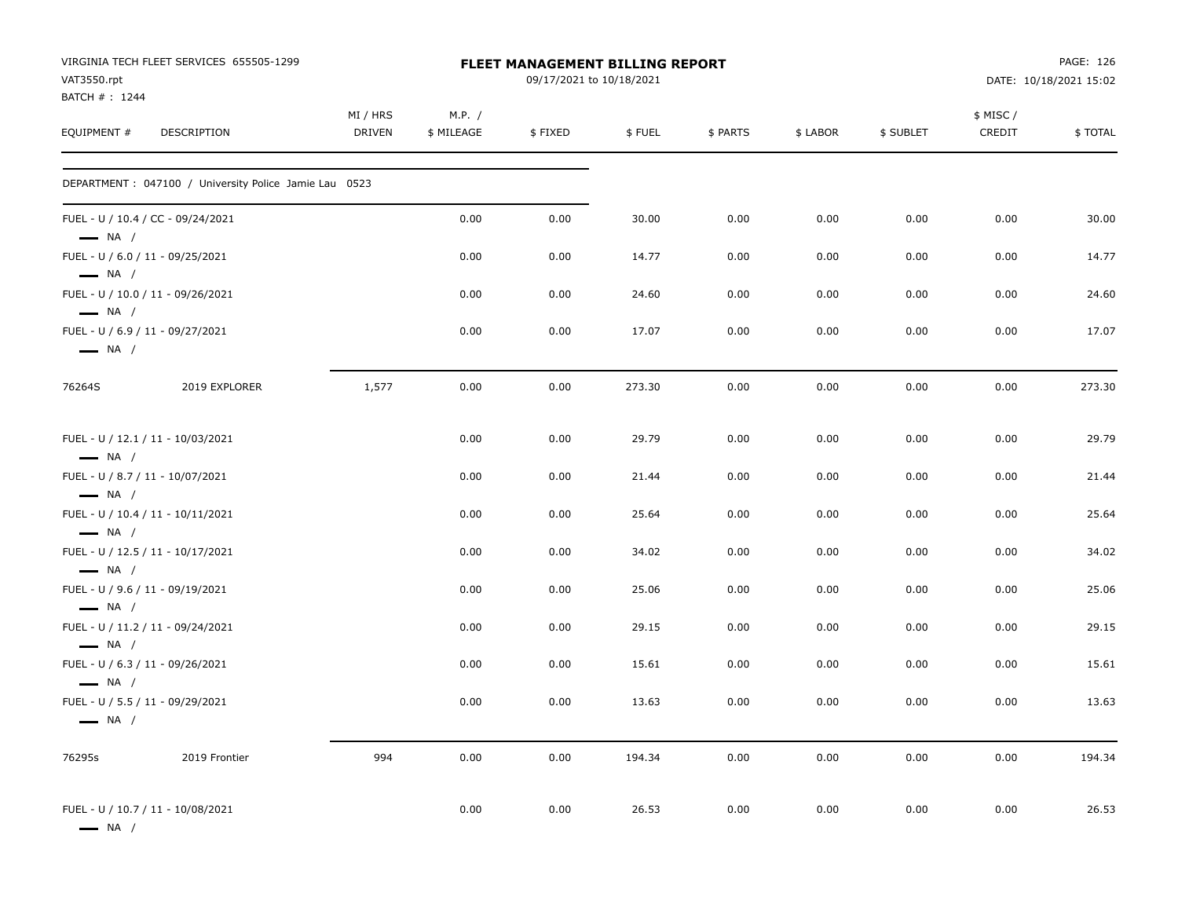| VAT3550.rpt<br>BATCH #: 1244                               | VIRGINIA TECH FLEET SERVICES 655505-1299               |                    |                      | FLEET MANAGEMENT BILLING REPORT<br>09/17/2021 to 10/18/2021 |        | PAGE: 126<br>DATE: 10/18/2021 15:02 |          |           |                    |          |
|------------------------------------------------------------|--------------------------------------------------------|--------------------|----------------------|-------------------------------------------------------------|--------|-------------------------------------|----------|-----------|--------------------|----------|
| EQUIPMENT #                                                | DESCRIPTION                                            | MI / HRS<br>DRIVEN | M.P. /<br>\$ MILEAGE | \$FIXED                                                     | \$FUEL | \$ PARTS                            | \$ LABOR | \$ SUBLET | \$ MISC/<br>CREDIT | \$ TOTAL |
|                                                            | DEPARTMENT : 047100 / University Police Jamie Lau 0523 |                    |                      |                                                             |        |                                     |          |           |                    |          |
| $\longrightarrow$ NA /                                     | FUEL - U / 10.4 / CC - 09/24/2021                      |                    | 0.00                 | 0.00                                                        | 30.00  | 0.00                                | 0.00     | 0.00      | 0.00               | 30.00    |
| $\longrightarrow$ NA /                                     | FUEL - U / 6.0 / 11 - 09/25/2021                       |                    | 0.00                 | 0.00                                                        | 14.77  | 0.00                                | 0.00     | 0.00      | 0.00               | 14.77    |
| $\longrightarrow$ NA /                                     | FUEL - U / 10.0 / 11 - 09/26/2021                      |                    | 0.00                 | 0.00                                                        | 24.60  | 0.00                                | 0.00     | 0.00      | 0.00               | 24.60    |
| FUEL - U / 6.9 / 11 - 09/27/2021<br>$\longrightarrow$ NA / |                                                        |                    | 0.00                 | 0.00                                                        | 17.07  | 0.00                                | 0.00     | 0.00      | 0.00               | 17.07    |
| 76264S                                                     | 2019 EXPLORER                                          | 1,577              | 0.00                 | 0.00                                                        | 273.30 | 0.00                                | 0.00     | 0.00      | 0.00               | 273.30   |
| $\longrightarrow$ NA /                                     | FUEL - U / 12.1 / 11 - 10/03/2021                      |                    | 0.00                 | 0.00                                                        | 29.79  | 0.00                                | 0.00     | 0.00      | 0.00               | 29.79    |
| FUEL - U / 8.7 / 11 - 10/07/2021<br>$\longrightarrow$ NA / |                                                        |                    | 0.00                 | 0.00                                                        | 21.44  | 0.00                                | 0.00     | 0.00      | 0.00               | 21.44    |
| $\longrightarrow$ NA /                                     | FUEL - U / 10.4 / 11 - 10/11/2021                      |                    | 0.00                 | 0.00                                                        | 25.64  | 0.00                                | 0.00     | 0.00      | 0.00               | 25.64    |
| $\longrightarrow$ NA /                                     | FUEL - U / 12.5 / 11 - 10/17/2021                      |                    | 0.00                 | 0.00                                                        | 34.02  | 0.00                                | 0.00     | 0.00      | 0.00               | 34.02    |
| FUEL - U / 9.6 / 11 - 09/19/2021<br>$\longrightarrow$ NA / |                                                        |                    | 0.00                 | 0.00                                                        | 25.06  | 0.00                                | 0.00     | 0.00      | 0.00               | 25.06    |
| $-$ NA $/$                                                 | FUEL - U / 11.2 / 11 - 09/24/2021                      |                    | 0.00                 | 0.00                                                        | 29.15  | 0.00                                | 0.00     | 0.00      | 0.00               | 29.15    |
| FUEL - U / 6.3 / 11 - 09/26/2021<br>$\longrightarrow$ NA / |                                                        |                    | 0.00                 | 0.00                                                        | 15.61  | 0.00                                | 0.00     | 0.00      | 0.00               | 15.61    |
| — NA /                                                     | FUEL - U / 5.5 / 11 - 09/29/2021                       |                    | 0.00                 | 0.00                                                        | 13.63  | 0.00                                | 0.00     | 0.00      | 0.00               | 13.63    |
| 76295s                                                     | 2019 Frontier                                          | 994                | 0.00                 | 0.00                                                        | 194.34 | 0.00                                | 0.00     | 0.00      | 0.00               | 194.34   |
| $\longrightarrow$ NA /                                     | FUEL - U / 10.7 / 11 - 10/08/2021                      |                    | 0.00                 | 0.00                                                        | 26.53  | 0.00                                | 0.00     | 0.00      | 0.00               | 26.53    |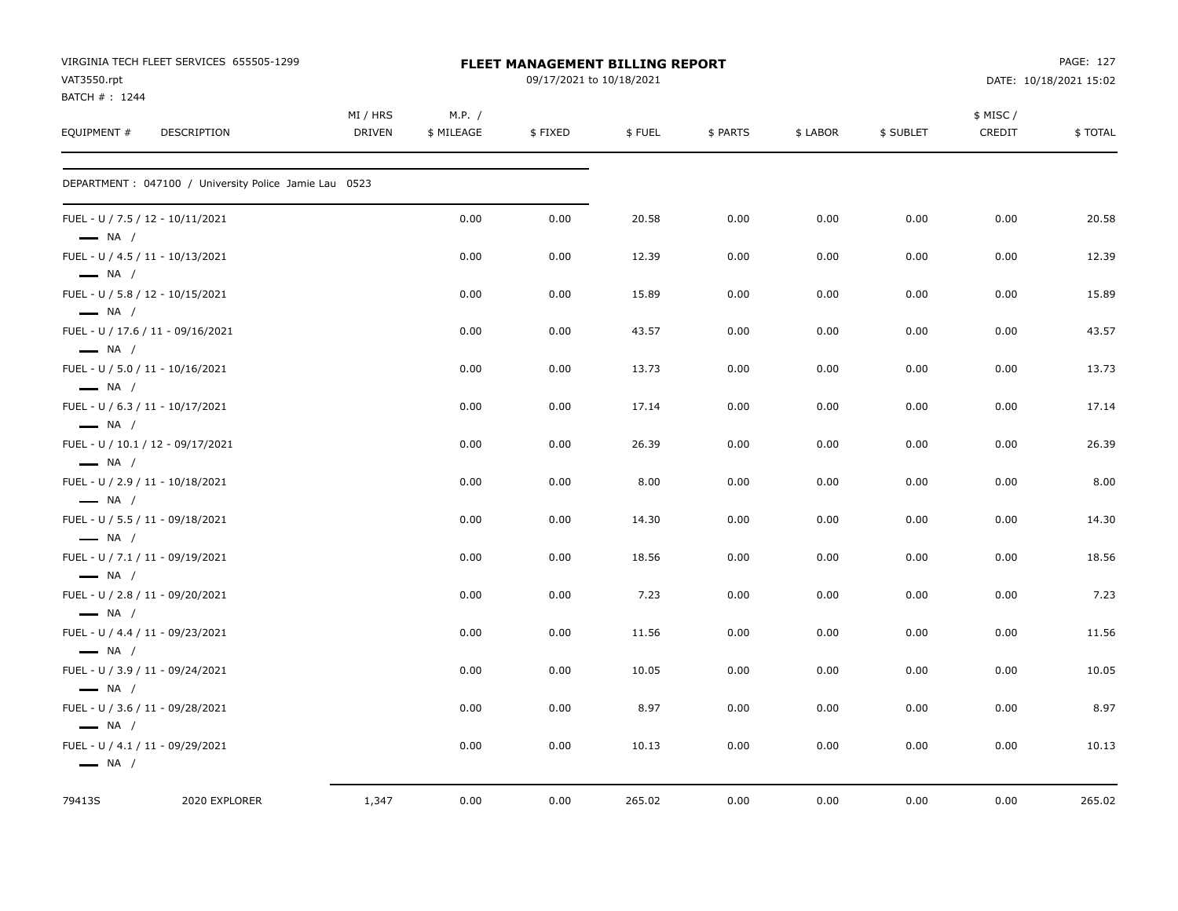|                              | VIRGINIA TECH FLEET SERVICES 655505-1299               |                    | FLEET MANAGEMENT BILLING REPORT | PAGE: 127                |        |          |          |           |                     |                        |
|------------------------------|--------------------------------------------------------|--------------------|---------------------------------|--------------------------|--------|----------|----------|-----------|---------------------|------------------------|
| VAT3550.rpt<br>BATCH #: 1244 |                                                        |                    |                                 | 09/17/2021 to 10/18/2021 |        |          |          |           |                     | DATE: 10/18/2021 15:02 |
| EQUIPMENT #                  | <b>DESCRIPTION</b>                                     | MI / HRS<br>DRIVEN | M.P. /<br>\$ MILEAGE            | \$FIXED                  | \$FUEL | \$ PARTS | \$ LABOR | \$ SUBLET | \$ MISC /<br>CREDIT | \$TOTAL                |
|                              | DEPARTMENT : 047100 / University Police Jamie Lau 0523 |                    |                                 |                          |        |          |          |           |                     |                        |
| $\longrightarrow$ NA /       | FUEL - U / 7.5 / 12 - 10/11/2021                       |                    | 0.00                            | 0.00                     | 20.58  | 0.00     | 0.00     | 0.00      | 0.00                | 20.58                  |
| $\longrightarrow$ NA /       | FUEL - U / 4.5 / 11 - 10/13/2021                       |                    | 0.00                            | 0.00                     | 12.39  | 0.00     | 0.00     | 0.00      | 0.00                | 12.39                  |
| $\longrightarrow$ NA /       | FUEL - U / 5.8 / 12 - 10/15/2021                       |                    | 0.00                            | 0.00                     | 15.89  | 0.00     | 0.00     | 0.00      | 0.00                | 15.89                  |
| $\longrightarrow$ NA /       | FUEL - U / 17.6 / 11 - 09/16/2021                      |                    | 0.00                            | 0.00                     | 43.57  | 0.00     | 0.00     | 0.00      | 0.00                | 43.57                  |
| $\longrightarrow$ NA /       | FUEL - U / 5.0 / 11 - 10/16/2021                       |                    | 0.00                            | 0.00                     | 13.73  | 0.00     | 0.00     | 0.00      | 0.00                | 13.73                  |
| $\longrightarrow$ NA /       | FUEL - U / 6.3 / 11 - 10/17/2021                       |                    | 0.00                            | 0.00                     | 17.14  | 0.00     | 0.00     | 0.00      | 0.00                | 17.14                  |
| $\longrightarrow$ NA /       | FUEL - U / 10.1 / 12 - 09/17/2021                      |                    | 0.00                            | 0.00                     | 26.39  | 0.00     | 0.00     | 0.00      | 0.00                | 26.39                  |
| $\longrightarrow$ NA /       | FUEL - U / 2.9 / 11 - 10/18/2021                       |                    | 0.00                            | 0.00                     | 8.00   | 0.00     | 0.00     | 0.00      | 0.00                | 8.00                   |
| $\longrightarrow$ NA /       | FUEL - U / 5.5 / 11 - 09/18/2021                       |                    | 0.00                            | 0.00                     | 14.30  | 0.00     | 0.00     | 0.00      | 0.00                | 14.30                  |
| $\longrightarrow$ NA /       | FUEL - U / 7.1 / 11 - 09/19/2021                       |                    | 0.00                            | 0.00                     | 18.56  | 0.00     | 0.00     | 0.00      | 0.00                | 18.56                  |
| $\longrightarrow$ NA /       | FUEL - U / 2.8 / 11 - 09/20/2021                       |                    | 0.00                            | 0.00                     | 7.23   | 0.00     | 0.00     | 0.00      | 0.00                | 7.23                   |
| $-$ NA $/$                   | FUEL - U / 4.4 / 11 - 09/23/2021                       |                    | 0.00                            | 0.00                     | 11.56  | 0.00     | 0.00     | 0.00      | 0.00                | 11.56                  |
| $\longrightarrow$ NA /       | FUEL - U / 3.9 / 11 - 09/24/2021                       |                    | 0.00                            | 0.00                     | 10.05  | 0.00     | 0.00     | 0.00      | 0.00                | 10.05                  |
| $\longrightarrow$ NA /       | FUEL - U / 3.6 / 11 - 09/28/2021                       |                    | 0.00                            | 0.00                     | 8.97   | 0.00     | 0.00     | 0.00      | 0.00                | 8.97                   |
| $\longrightarrow$ NA /       | FUEL - U / 4.1 / 11 - 09/29/2021                       |                    | 0.00                            | 0.00                     | 10.13  | 0.00     | 0.00     | 0.00      | 0.00                | 10.13                  |
| 79413S                       | 2020 EXPLORER                                          | 1,347              | 0.00                            | 0.00                     | 265.02 | 0.00     | 0.00     | 0.00      | 0.00                | 265.02                 |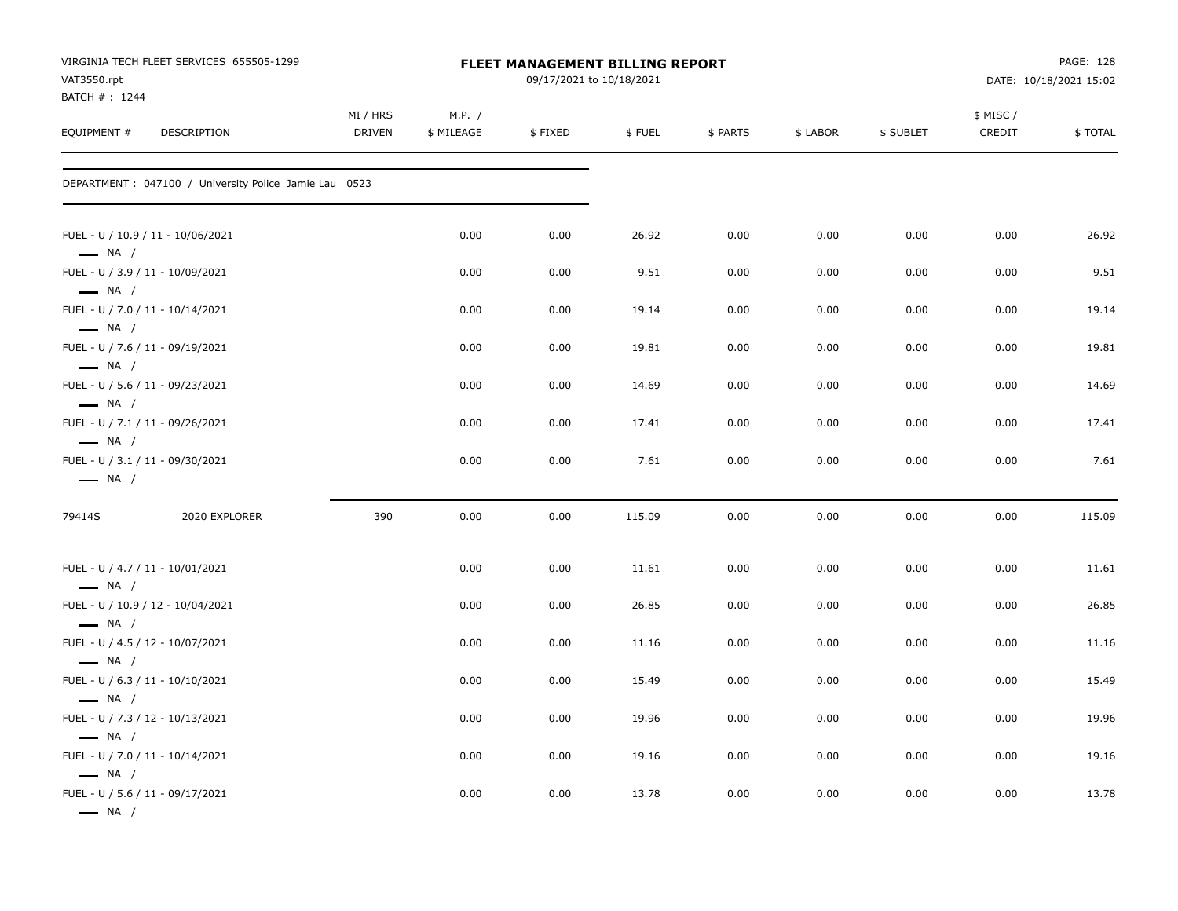| VAT3550.rpt                                                                          | VIRGINIA TECH FLEET SERVICES 655505-1299               | FLEET MANAGEMENT BILLING REPORT<br>09/17/2021 to 10/18/2021 |                      |         |        |          |          |           |                     | PAGE: 128<br>DATE: 10/18/2021 15:02 |  |
|--------------------------------------------------------------------------------------|--------------------------------------------------------|-------------------------------------------------------------|----------------------|---------|--------|----------|----------|-----------|---------------------|-------------------------------------|--|
| BATCH #: 1244<br>EQUIPMENT #                                                         | DESCRIPTION                                            | MI / HRS<br><b>DRIVEN</b>                                   | M.P. /<br>\$ MILEAGE | \$FIXED | \$FUEL | \$ PARTS | \$ LABOR | \$ SUBLET | \$ MISC /<br>CREDIT | \$TOTAL                             |  |
|                                                                                      | DEPARTMENT : 047100 / University Police Jamie Lau 0523 |                                                             |                      |         |        |          |          |           |                     |                                     |  |
| FUEL - U / 10.9 / 11 - 10/06/2021<br>$\longrightarrow$ NA /                          |                                                        |                                                             | 0.00                 | 0.00    | 26.92  | 0.00     | 0.00     | 0.00      | 0.00                | 26.92                               |  |
| FUEL - U / 3.9 / 11 - 10/09/2021                                                     |                                                        |                                                             | 0.00                 | 0.00    | 9.51   | 0.00     | 0.00     | 0.00      | 0.00                | 9.51                                |  |
| $\longrightarrow$ NA /<br>FUEL - U / 7.0 / 11 - 10/14/2021<br>$\longrightarrow$ NA / |                                                        |                                                             | 0.00                 | 0.00    | 19.14  | 0.00     | 0.00     | 0.00      | 0.00                | 19.14                               |  |
| FUEL - U / 7.6 / 11 - 09/19/2021<br>$\longrightarrow$ NA /                           |                                                        |                                                             | 0.00                 | 0.00    | 19.81  | 0.00     | 0.00     | 0.00      | 0.00                | 19.81                               |  |
| FUEL - U / 5.6 / 11 - 09/23/2021<br>$\longrightarrow$ NA /                           |                                                        |                                                             | 0.00                 | 0.00    | 14.69  | 0.00     | 0.00     | 0.00      | 0.00                | 14.69                               |  |
| FUEL - U / 7.1 / 11 - 09/26/2021<br>$\longrightarrow$ NA /                           |                                                        |                                                             | 0.00                 | 0.00    | 17.41  | 0.00     | 0.00     | 0.00      | 0.00                | 17.41                               |  |
| FUEL - U / 3.1 / 11 - 09/30/2021<br>$\longrightarrow$ NA /                           |                                                        |                                                             | 0.00                 | 0.00    | 7.61   | 0.00     | 0.00     | 0.00      | 0.00                | 7.61                                |  |
| 79414S                                                                               | 2020 EXPLORER                                          | 390                                                         | 0.00                 | 0.00    | 115.09 | 0.00     | 0.00     | 0.00      | 0.00                | 115.09                              |  |
| FUEL - U / 4.7 / 11 - 10/01/2021<br>$\longrightarrow$ NA /                           |                                                        |                                                             | 0.00                 | 0.00    | 11.61  | 0.00     | 0.00     | 0.00      | 0.00                | 11.61                               |  |
| FUEL - U / 10.9 / 12 - 10/04/2021<br>$\longrightarrow$ NA /                          |                                                        |                                                             | 0.00                 | 0.00    | 26.85  | 0.00     | 0.00     | 0.00      | 0.00                | 26.85                               |  |
| FUEL - U / 4.5 / 12 - 10/07/2021<br>$\longrightarrow$ NA /                           |                                                        |                                                             | 0.00                 | 0.00    | 11.16  | 0.00     | 0.00     | 0.00      | 0.00                | 11.16                               |  |
| FUEL - U / 6.3 / 11 - 10/10/2021                                                     |                                                        |                                                             | 0.00                 | 0.00    | 15.49  | 0.00     | 0.00     | 0.00      | 0.00                | 15.49                               |  |
| $\longrightarrow$ NA /<br>FUEL - U / 7.3 / 12 - 10/13/2021                           |                                                        |                                                             | 0.00                 | 0.00    | 19.96  | 0.00     | 0.00     | 0.00      | 0.00                | 19.96                               |  |
| $\longrightarrow$ NA /<br>FUEL - U / 7.0 / 11 - 10/14/2021                           |                                                        |                                                             | 0.00                 | 0.00    | 19.16  | 0.00     | 0.00     | 0.00      | 0.00                | 19.16                               |  |
| $\longrightarrow$ NA /<br>FUEL - U / 5.6 / 11 - 09/17/2021<br>$\longrightarrow$ NA / |                                                        |                                                             | 0.00                 | 0.00    | 13.78  | 0.00     | 0.00     | 0.00      | 0.00                | 13.78                               |  |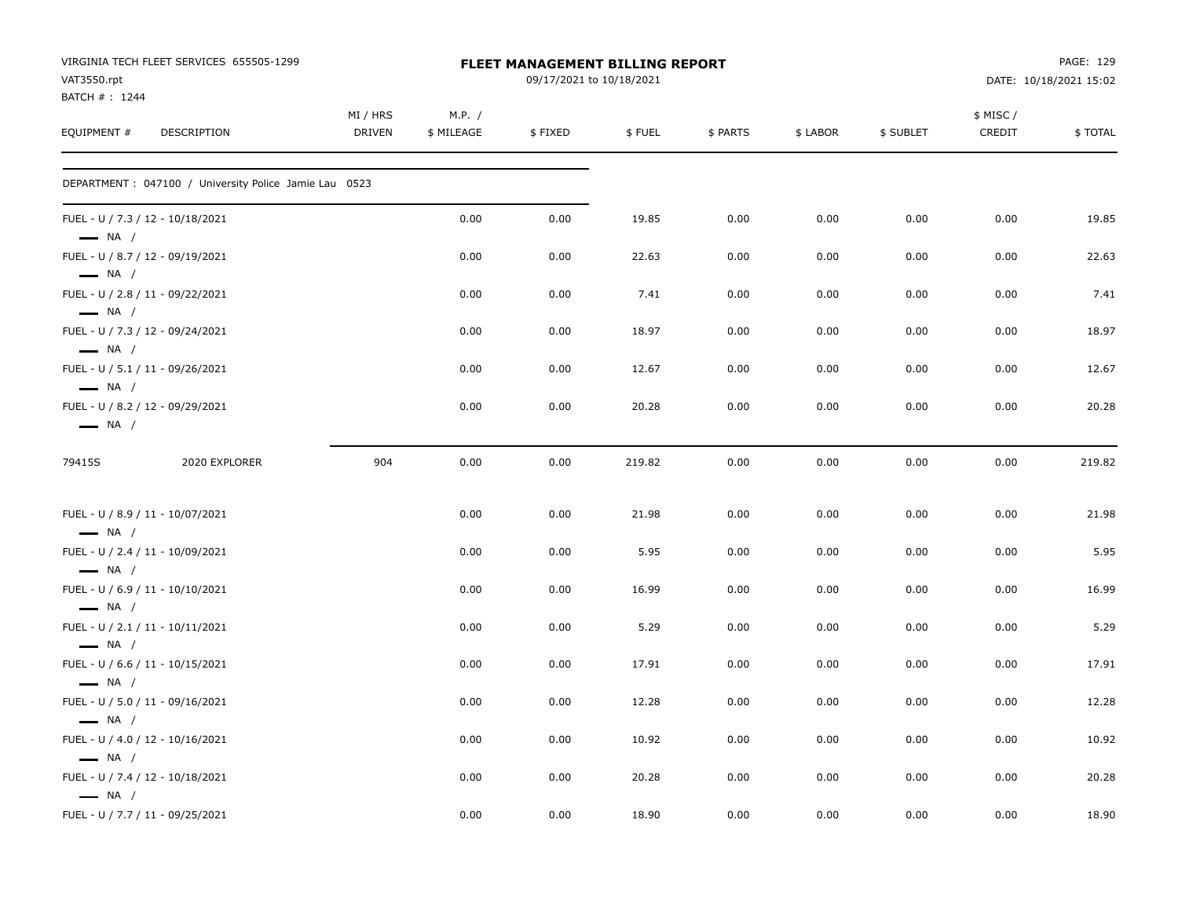| VAT3550.rpt<br>BATCH #: 1244                               | VIRGINIA TECH FLEET SERVICES 655505-1299               |                    |                      | <b>FLEET MANAGEMENT BILLING REPORT</b><br>09/17/2021 to 10/18/2021 |        |          |          |           |                     | PAGE: 129<br>DATE: 10/18/2021 15:02 |
|------------------------------------------------------------|--------------------------------------------------------|--------------------|----------------------|--------------------------------------------------------------------|--------|----------|----------|-----------|---------------------|-------------------------------------|
| EQUIPMENT #                                                | DESCRIPTION                                            | MI / HRS<br>DRIVEN | M.P. /<br>\$ MILEAGE | \$FIXED                                                            | \$FUEL | \$ PARTS | \$ LABOR | \$ SUBLET | \$ MISC /<br>CREDIT | \$TOTAL                             |
|                                                            | DEPARTMENT : 047100 / University Police Jamie Lau 0523 |                    |                      |                                                                    |        |          |          |           |                     |                                     |
| FUEL - U / 7.3 / 12 - 10/18/2021<br>$\longrightarrow$ NA / |                                                        |                    | 0.00                 | 0.00                                                               | 19.85  | 0.00     | 0.00     | 0.00      | 0.00                | 19.85                               |
| FUEL - U / 8.7 / 12 - 09/19/2021<br>$\longrightarrow$ NA / |                                                        |                    | 0.00                 | 0.00                                                               | 22.63  | 0.00     | 0.00     | 0.00      | 0.00                | 22.63                               |
| FUEL - U / 2.8 / 11 - 09/22/2021<br>$\longrightarrow$ NA / |                                                        |                    | 0.00                 | 0.00                                                               | 7.41   | 0.00     | 0.00     | 0.00      | 0.00                | 7.41                                |
| FUEL - U / 7.3 / 12 - 09/24/2021<br>$\longrightarrow$ NA / |                                                        |                    | 0.00                 | 0.00                                                               | 18.97  | 0.00     | 0.00     | 0.00      | 0.00                | 18.97                               |
| FUEL - U / 5.1 / 11 - 09/26/2021<br>$\longrightarrow$ NA / |                                                        |                    | 0.00                 | 0.00                                                               | 12.67  | 0.00     | 0.00     | 0.00      | 0.00                | 12.67                               |
| FUEL - U / 8.2 / 12 - 09/29/2021<br>$\longrightarrow$ NA / |                                                        |                    | 0.00                 | 0.00                                                               | 20.28  | 0.00     | 0.00     | 0.00      | 0.00                | 20.28                               |
| 79415S                                                     | 2020 EXPLORER                                          | 904                | 0.00                 | 0.00                                                               | 219.82 | 0.00     | 0.00     | 0.00      | 0.00                | 219.82                              |
| FUEL - U / 8.9 / 11 - 10/07/2021<br>$\longrightarrow$ NA / |                                                        |                    | 0.00                 | 0.00                                                               | 21.98  | 0.00     | 0.00     | 0.00      | 0.00                | 21.98                               |
| FUEL - U / 2.4 / 11 - 10/09/2021<br>$\longrightarrow$ NA / |                                                        |                    | 0.00                 | 0.00                                                               | 5.95   | 0.00     | 0.00     | 0.00      | 0.00                | 5.95                                |
| FUEL - U / 6.9 / 11 - 10/10/2021<br>$\longrightarrow$ NA / |                                                        |                    | 0.00                 | 0.00                                                               | 16.99  | 0.00     | 0.00     | 0.00      | 0.00                | 16.99                               |
| FUEL - U / 2.1 / 11 - 10/11/2021<br>$\longrightarrow$ NA / |                                                        |                    | 0.00                 | 0.00                                                               | 5.29   | 0.00     | 0.00     | 0.00      | 0.00                | 5.29                                |
| FUEL - U / 6.6 / 11 - 10/15/2021<br>$\longrightarrow$ NA / |                                                        |                    | 0.00                 | 0.00                                                               | 17.91  | 0.00     | 0.00     | 0.00      | 0.00                | 17.91                               |
| FUEL - U / 5.0 / 11 - 09/16/2021<br>$\longrightarrow$ NA / |                                                        |                    | 0.00                 | 0.00                                                               | 12.28  | 0.00     | 0.00     | 0.00      | 0.00                | 12.28                               |
| FUEL - U / 4.0 / 12 - 10/16/2021<br>$\longrightarrow$ NA / |                                                        |                    | 0.00                 | 0.00                                                               | 10.92  | 0.00     | 0.00     | 0.00      | 0.00                | 10.92                               |
| FUEL - U / 7.4 / 12 - 10/18/2021<br>$\longrightarrow$ NA / |                                                        |                    | 0.00                 | 0.00                                                               | 20.28  | 0.00     | 0.00     | 0.00      | 0.00                | 20.28                               |
| FUEL - U / 7.7 / 11 - 09/25/2021                           |                                                        |                    | 0.00                 | 0.00                                                               | 18.90  | 0.00     | 0.00     | 0.00      | 0.00                | 18.90                               |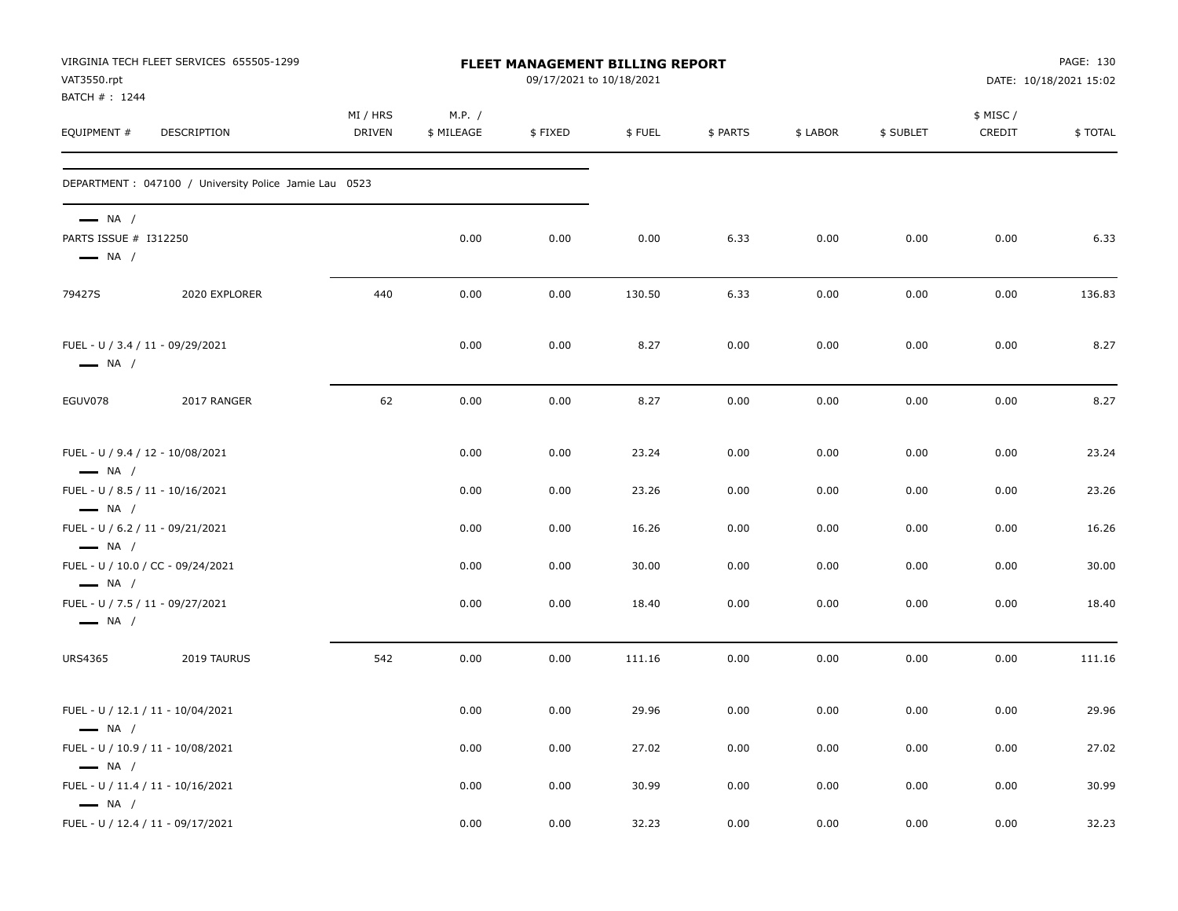| VAT3550.rpt<br>BATCH #: 1244                                              | VIRGINIA TECH FLEET SERVICES 655505-1299               |                    | FLEET MANAGEMENT BILLING REPORT<br>09/17/2021 to 10/18/2021 |         |        |          |          | PAGE: 130<br>DATE: 10/18/2021 15:02 |                    |         |
|---------------------------------------------------------------------------|--------------------------------------------------------|--------------------|-------------------------------------------------------------|---------|--------|----------|----------|-------------------------------------|--------------------|---------|
| EQUIPMENT #                                                               | DESCRIPTION                                            | MI / HRS<br>DRIVEN | M.P. /<br>\$ MILEAGE                                        | \$FIXED | \$FUEL | \$ PARTS | \$ LABOR | \$ SUBLET                           | \$ MISC/<br>CREDIT | \$TOTAL |
|                                                                           | DEPARTMENT : 047100 / University Police Jamie Lau 0523 |                    |                                                             |         |        |          |          |                                     |                    |         |
| $\longrightarrow$ NA /<br>PARTS ISSUE # I312250<br>$\longrightarrow$ NA / |                                                        |                    | 0.00                                                        | 0.00    | 0.00   | 6.33     | 0.00     | 0.00                                | 0.00               | 6.33    |
| 79427S                                                                    | 2020 EXPLORER                                          | 440                | 0.00                                                        | 0.00    | 130.50 | 6.33     | 0.00     | 0.00                                | 0.00               | 136.83  |
| $\longrightarrow$ NA /                                                    | FUEL - U / 3.4 / 11 - 09/29/2021                       |                    | 0.00                                                        | 0.00    | 8.27   | 0.00     | 0.00     | 0.00                                | 0.00               | 8.27    |
| EGUV078                                                                   | 2017 RANGER                                            | 62                 | 0.00                                                        | 0.00    | 8.27   | 0.00     | 0.00     | 0.00                                | 0.00               | 8.27    |
| FUEL - U / 9.4 / 12 - 10/08/2021<br>$\longrightarrow$ NA /                |                                                        |                    | 0.00                                                        | 0.00    | 23.24  | 0.00     | 0.00     | 0.00                                | 0.00               | 23.24   |
| $\longrightarrow$ NA /                                                    | FUEL - U / 8.5 / 11 - 10/16/2021                       |                    | 0.00                                                        | 0.00    | 23.26  | 0.00     | 0.00     | 0.00                                | 0.00               | 23.26   |
| $\longrightarrow$ NA /                                                    | FUEL - U / 6.2 / 11 - 09/21/2021                       |                    | 0.00                                                        | 0.00    | 16.26  | 0.00     | 0.00     | 0.00                                | 0.00               | 16.26   |
| $\longrightarrow$ NA /                                                    | FUEL - U / 10.0 / CC - 09/24/2021                      |                    | 0.00                                                        | 0.00    | 30.00  | 0.00     | 0.00     | 0.00                                | 0.00               | 30.00   |
| $\longrightarrow$ NA /                                                    | FUEL - U / 7.5 / 11 - 09/27/2021                       |                    | 0.00                                                        | 0.00    | 18.40  | 0.00     | 0.00     | 0.00                                | 0.00               | 18.40   |
| <b>URS4365</b>                                                            | 2019 TAURUS                                            | 542                | 0.00                                                        | 0.00    | 111.16 | 0.00     | 0.00     | 0.00                                | 0.00               | 111.16  |
| $\longrightarrow$ NA /                                                    | FUEL - U / 12.1 / 11 - 10/04/2021                      |                    | 0.00                                                        | 0.00    | 29.96  | 0.00     | 0.00     | 0.00                                | 0.00               | 29.96   |
|                                                                           | FUEL - U / 10.9 / 11 - 10/08/2021                      |                    | 0.00                                                        | 0.00    | 27.02  | 0.00     | 0.00     | 0.00                                | 0.00               | 27.02   |
| $\longrightarrow$ NA /<br>$\longrightarrow$ NA /                          | FUEL - U / 11.4 / 11 - 10/16/2021                      |                    | 0.00                                                        | 0.00    | 30.99  | 0.00     | 0.00     | 0.00                                | 0.00               | 30.99   |
|                                                                           | FUEL - U / 12.4 / 11 - 09/17/2021                      |                    | 0.00                                                        | 0.00    | 32.23  | 0.00     | 0.00     | 0.00                                | 0.00               | 32.23   |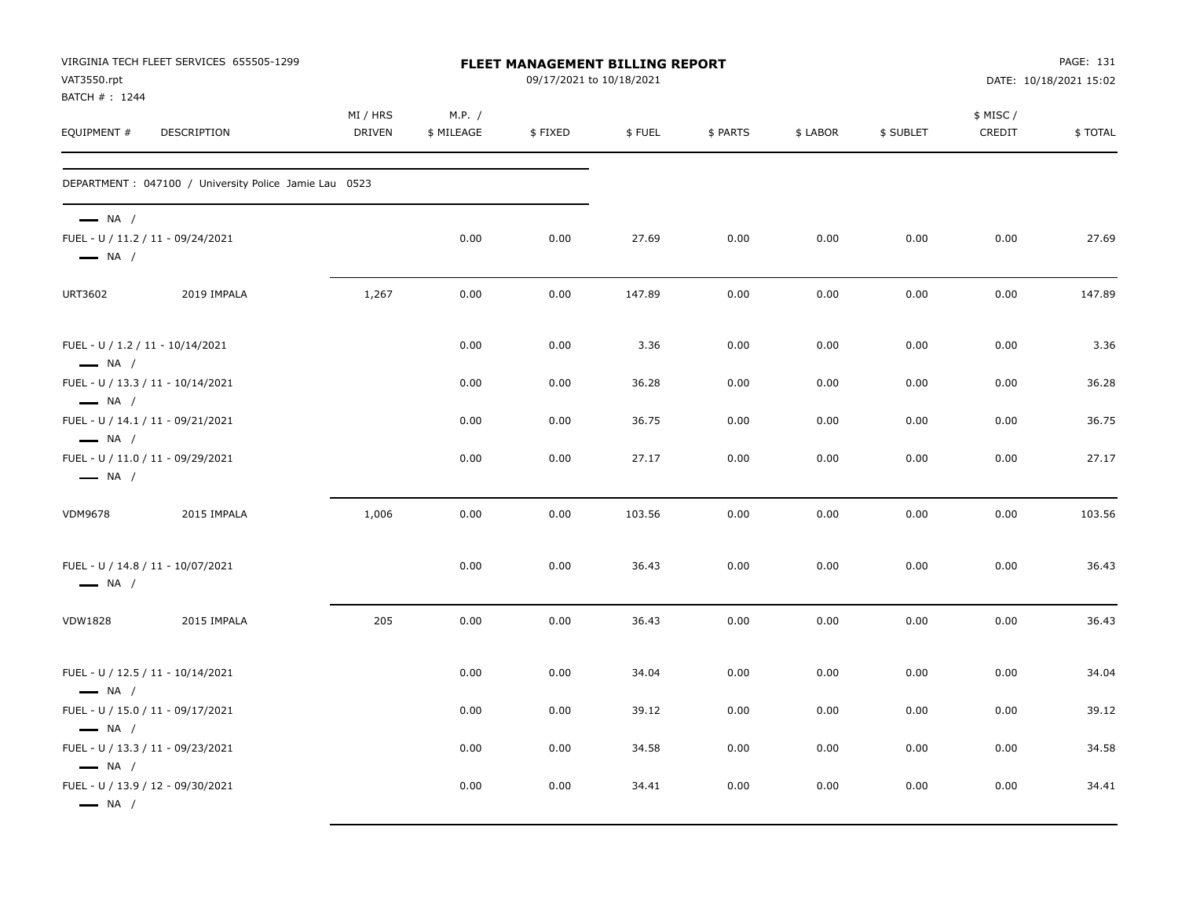| VAT3550.rpt<br>BATCH #: 1244                                                          | VIRGINIA TECH FLEET SERVICES 655505-1299               | FLEET MANAGEMENT BILLING REPORT<br>09/17/2021 to 10/18/2021 |                      |         |        |          | PAGE: 131<br>DATE: 10/18/2021 15:02 |           |                     |         |  |
|---------------------------------------------------------------------------------------|--------------------------------------------------------|-------------------------------------------------------------|----------------------|---------|--------|----------|-------------------------------------|-----------|---------------------|---------|--|
| EQUIPMENT #                                                                           | <b>DESCRIPTION</b>                                     | MI / HRS<br><b>DRIVEN</b>                                   | M.P. /<br>\$ MILEAGE | \$FIXED | \$FUEL | \$ PARTS | \$ LABOR                            | \$ SUBLET | \$ MISC /<br>CREDIT | \$TOTAL |  |
|                                                                                       | DEPARTMENT : 047100 / University Police Jamie Lau 0523 |                                                             |                      |         |        |          |                                     |           |                     |         |  |
| $\longrightarrow$ NA /<br>FUEL - U / 11.2 / 11 - 09/24/2021<br>$\longrightarrow$ NA / |                                                        |                                                             | 0.00                 | 0.00    | 27.69  | 0.00     | 0.00                                | 0.00      | 0.00                | 27.69   |  |
| URT3602                                                                               | 2019 IMPALA                                            | 1,267                                                       | 0.00                 | 0.00    | 147.89 | 0.00     | 0.00                                | 0.00      | 0.00                | 147.89  |  |
| FUEL - U / 1.2 / 11 - 10/14/2021<br>$\longrightarrow$ NA /                            |                                                        |                                                             | 0.00                 | 0.00    | 3.36   | 0.00     | 0.00                                | 0.00      | 0.00                | 3.36    |  |
| FUEL - U / 13.3 / 11 - 10/14/2021<br>$\longrightarrow$ NA /                           |                                                        |                                                             | 0.00                 | 0.00    | 36.28  | 0.00     | 0.00                                | 0.00      | 0.00                | 36.28   |  |
| FUEL - U / 14.1 / 11 - 09/21/2021<br>$\longrightarrow$ NA /                           |                                                        |                                                             | 0.00                 | 0.00    | 36.75  | 0.00     | 0.00                                | 0.00      | 0.00                | 36.75   |  |
| FUEL - U / 11.0 / 11 - 09/29/2021<br>$\longrightarrow$ NA /                           |                                                        |                                                             | 0.00                 | 0.00    | 27.17  | 0.00     | 0.00                                | 0.00      | 0.00                | 27.17   |  |
| <b>VDM9678</b>                                                                        | 2015 IMPALA                                            | 1,006                                                       | 0.00                 | 0.00    | 103.56 | 0.00     | 0.00                                | 0.00      | 0.00                | 103.56  |  |
| FUEL - U / 14.8 / 11 - 10/07/2021<br>$\longrightarrow$ NA /                           |                                                        |                                                             | 0.00                 | 0.00    | 36.43  | 0.00     | 0.00                                | 0.00      | 0.00                | 36.43   |  |
| <b>VDW1828</b>                                                                        | 2015 IMPALA                                            | 205                                                         | 0.00                 | 0.00    | 36.43  | 0.00     | 0.00                                | 0.00      | 0.00                | 36.43   |  |
| FUEL - U / 12.5 / 11 - 10/14/2021<br>$\longrightarrow$ NA /                           |                                                        |                                                             | 0.00                 | 0.00    | 34.04  | 0.00     | 0.00                                | 0.00      | 0.00                | 34.04   |  |
| FUEL - U / 15.0 / 11 - 09/17/2021<br>$\longrightarrow$ NA /                           |                                                        |                                                             | 0.00                 | 0.00    | 39.12  | 0.00     | 0.00                                | 0.00      | 0.00                | 39.12   |  |
| FUEL - U / 13.3 / 11 - 09/23/2021<br>$\longrightarrow$ NA /                           |                                                        |                                                             | 0.00                 | 0.00    | 34.58  | 0.00     | 0.00                                | 0.00      | 0.00                | 34.58   |  |
| FUEL - U / 13.9 / 12 - 09/30/2021<br>$\longrightarrow$ NA /                           |                                                        |                                                             | 0.00                 | 0.00    | 34.41  | 0.00     | 0.00                                | 0.00      | 0.00                | 34.41   |  |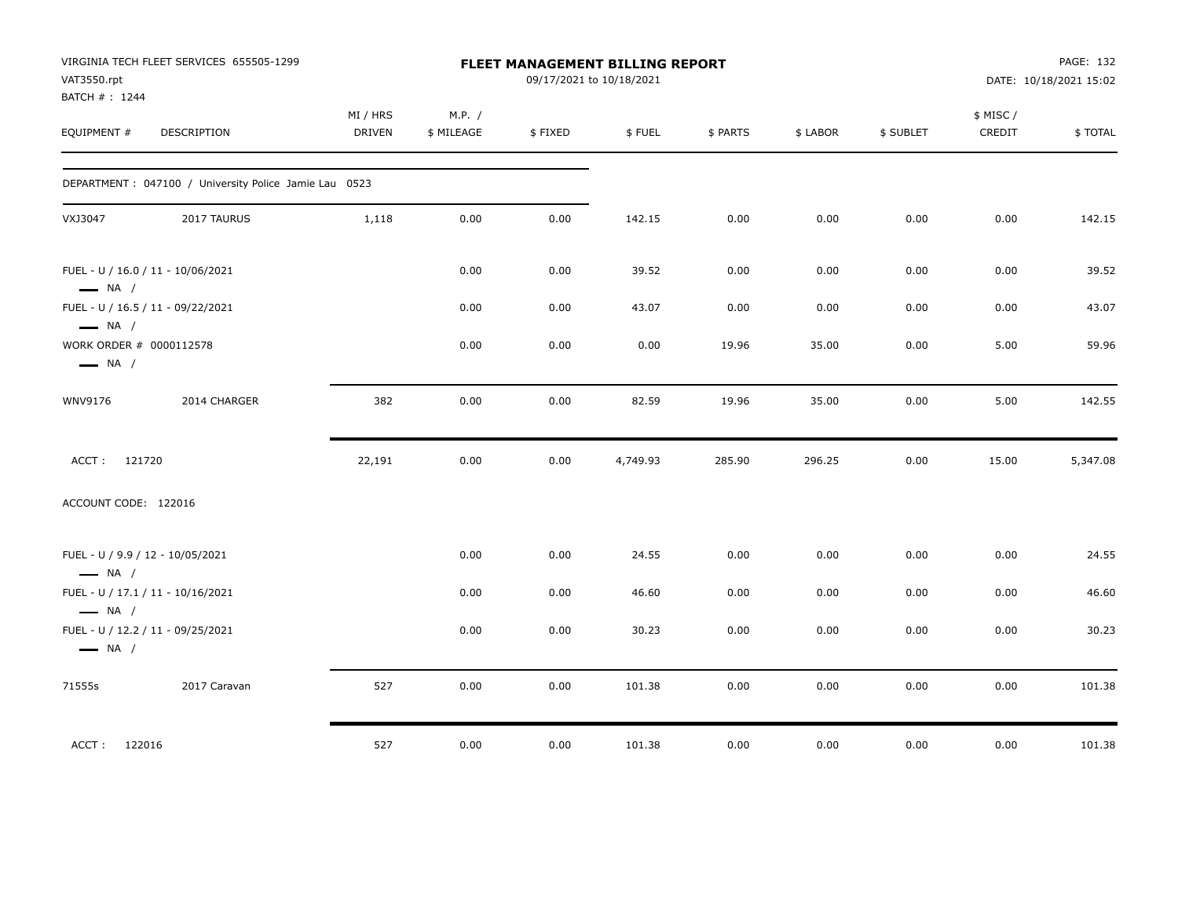| VAT3550.rpt<br>BATCH #: 1244                      | VIRGINIA TECH FLEET SERVICES 655505-1299               | FLEET MANAGEMENT BILLING REPORT<br>09/17/2021 to 10/18/2021 |                      |         |          |          |          |           | PAGE: 132<br>DATE: 10/18/2021 15:02 |          |
|---------------------------------------------------|--------------------------------------------------------|-------------------------------------------------------------|----------------------|---------|----------|----------|----------|-----------|-------------------------------------|----------|
| EQUIPMENT #                                       | DESCRIPTION                                            | MI / HRS<br><b>DRIVEN</b>                                   | M.P. /<br>\$ MILEAGE | \$FIXED | \$FUEL   | \$ PARTS | \$ LABOR | \$ SUBLET | \$ MISC /<br>CREDIT                 | \$TOTAL  |
|                                                   | DEPARTMENT : 047100 / University Police Jamie Lau 0523 |                                                             |                      |         |          |          |          |           |                                     |          |
| VXJ3047                                           | 2017 TAURUS                                            | 1,118                                                       | 0.00                 | 0.00    | 142.15   | 0.00     | 0.00     | 0.00      | 0.00                                | 142.15   |
| $\longrightarrow$ NA /                            | FUEL - U / 16.0 / 11 - 10/06/2021                      |                                                             | 0.00                 | 0.00    | 39.52    | 0.00     | 0.00     | 0.00      | 0.00                                | 39.52    |
| $\longrightarrow$ NA /                            | FUEL - U / 16.5 / 11 - 09/22/2021                      |                                                             | 0.00                 | 0.00    | 43.07    | 0.00     | 0.00     | 0.00      | 0.00                                | 43.07    |
| WORK ORDER # 0000112578<br>$\longrightarrow$ NA / |                                                        |                                                             | 0.00                 | 0.00    | 0.00     | 19.96    | 35.00    | 0.00      | 5.00                                | 59.96    |
| WNV9176                                           | 2014 CHARGER                                           | 382                                                         | 0.00                 | 0.00    | 82.59    | 19.96    | 35.00    | 0.00      | 5.00                                | 142.55   |
| ACCT: 121720                                      |                                                        | 22,191                                                      | 0.00                 | 0.00    | 4,749.93 | 285.90   | 296.25   | 0.00      | 15.00                               | 5,347.08 |
| ACCOUNT CODE: 122016                              |                                                        |                                                             |                      |         |          |          |          |           |                                     |          |
| $\longrightarrow$ NA /                            | FUEL - U / 9.9 / 12 - 10/05/2021                       |                                                             | 0.00                 | 0.00    | 24.55    | 0.00     | 0.00     | 0.00      | 0.00                                | 24.55    |
| $\longrightarrow$ NA /                            | FUEL - U / 17.1 / 11 - 10/16/2021                      |                                                             | 0.00                 | 0.00    | 46.60    | 0.00     | 0.00     | 0.00      | 0.00                                | 46.60    |
| $\longrightarrow$ NA /                            | FUEL - U / 12.2 / 11 - 09/25/2021                      |                                                             | 0.00                 | 0.00    | 30.23    | 0.00     | 0.00     | 0.00      | 0.00                                | 30.23    |
| 71555s                                            | 2017 Caravan                                           | 527                                                         | 0.00                 | 0.00    | 101.38   | 0.00     | 0.00     | 0.00      | 0.00                                | 101.38   |
| ACCT: 122016                                      |                                                        | 527                                                         | 0.00                 | 0.00    | 101.38   | 0.00     | 0.00     | 0.00      | 0.00                                | 101.38   |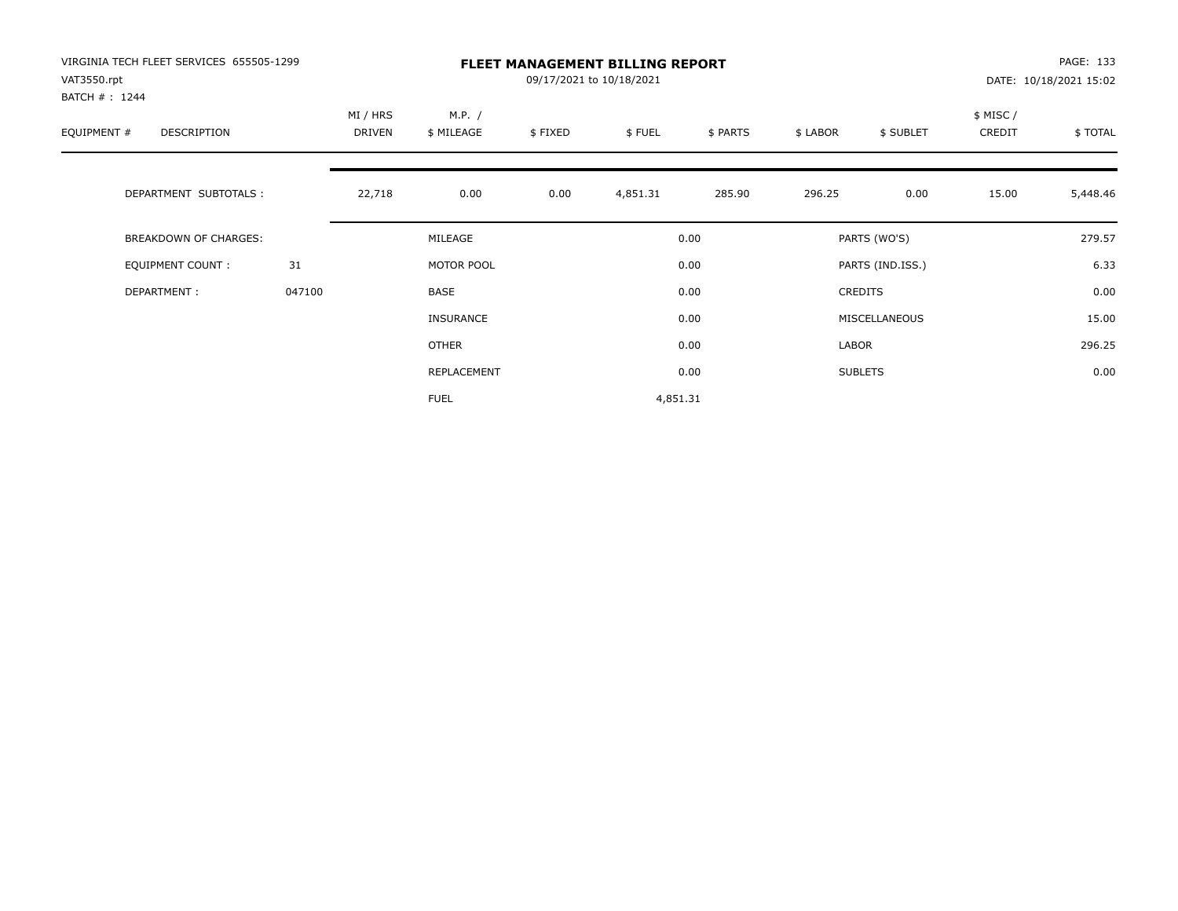| VIRGINIA TECH FLEET SERVICES 655505-1299<br>VAT3550.rpt<br>BATCH #: 1244 |        | <b>FLEET MANAGEMENT BILLING REPORT</b><br>09/17/2021 to 10/18/2021 |                      |         |          |          |          |                  |                     | PAGE: 133<br>DATE: 10/18/2021 15:02 |  |
|--------------------------------------------------------------------------|--------|--------------------------------------------------------------------|----------------------|---------|----------|----------|----------|------------------|---------------------|-------------------------------------|--|
| EQUIPMENT #<br><b>DESCRIPTION</b>                                        |        | MI / HRS<br>DRIVEN                                                 | M.P. /<br>\$ MILEAGE | \$FIXED | \$FUEL   | \$ PARTS | \$ LABOR | \$ SUBLET        | \$ MISC /<br>CREDIT | \$TOTAL                             |  |
| DEPARTMENT SUBTOTALS :                                                   |        | 22,718                                                             | 0.00                 | 0.00    | 4,851.31 | 285.90   | 296.25   | 0.00             | 15.00               | 5,448.46                            |  |
| <b>BREAKDOWN OF CHARGES:</b>                                             |        |                                                                    | MILEAGE              |         |          | 0.00     |          | PARTS (WO'S)     |                     | 279.57                              |  |
| EQUIPMENT COUNT:                                                         | 31     |                                                                    | MOTOR POOL           |         |          | 0.00     |          | PARTS (IND.ISS.) |                     | 6.33                                |  |
| DEPARTMENT:                                                              | 047100 |                                                                    | <b>BASE</b>          |         |          | 0.00     |          | <b>CREDITS</b>   |                     | 0.00                                |  |
|                                                                          |        |                                                                    | <b>INSURANCE</b>     |         |          | 0.00     |          | MISCELLANEOUS    |                     | 15.00                               |  |
|                                                                          |        |                                                                    | OTHER                |         |          | 0.00     | LABOR    |                  |                     | 296.25                              |  |
|                                                                          |        |                                                                    | REPLACEMENT          |         |          | 0.00     |          | <b>SUBLETS</b>   |                     | 0.00                                |  |
|                                                                          |        |                                                                    | <b>FUEL</b>          |         | 4,851.31 |          |          |                  |                     |                                     |  |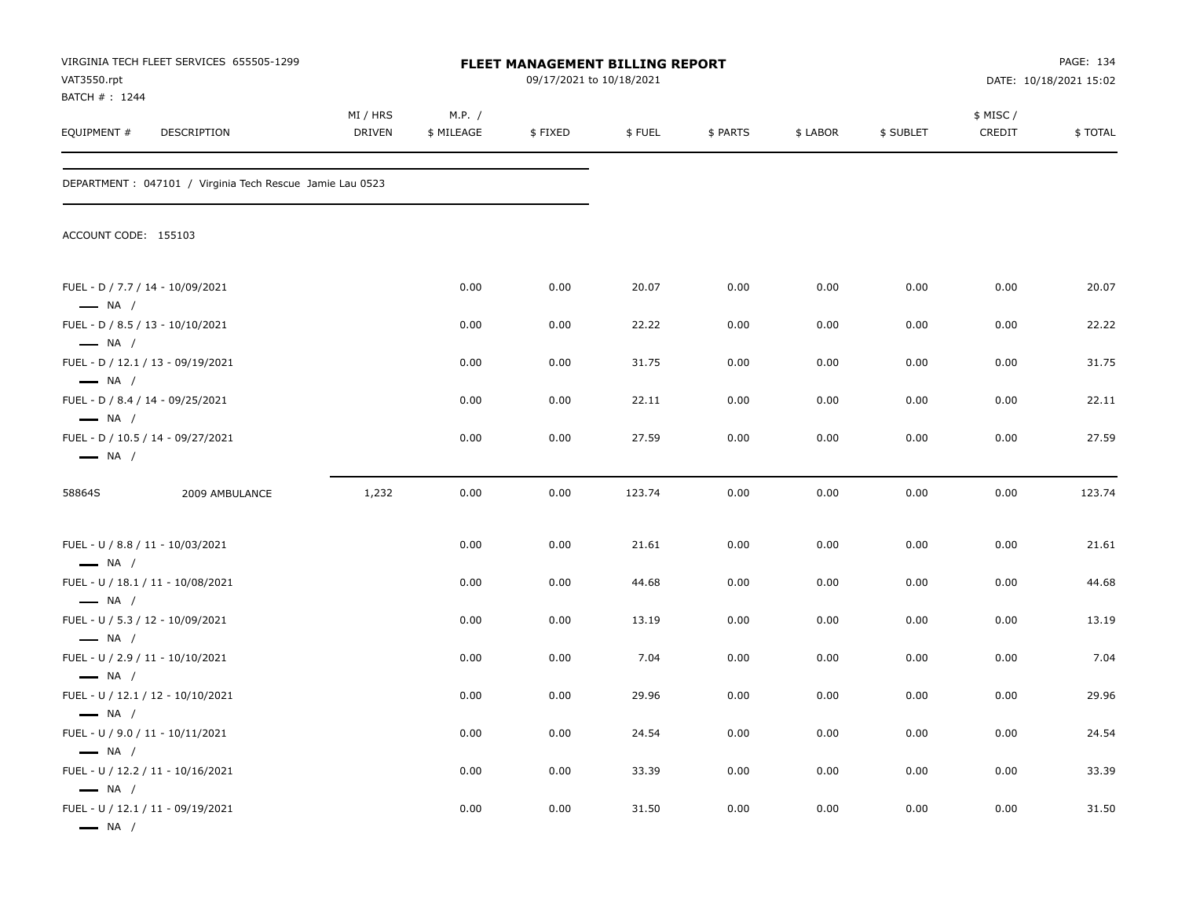| VAT3550.rpt<br>BATCH # : 1244                                                        | VIRGINIA TECH FLEET SERVICES 655505-1299                  |                           | FLEET MANAGEMENT BILLING REPORT<br>09/17/2021 to 10/18/2021 |         |        |          |          |           | PAGE: 134<br>DATE: 10/18/2021 15:02 |                |
|--------------------------------------------------------------------------------------|-----------------------------------------------------------|---------------------------|-------------------------------------------------------------|---------|--------|----------|----------|-----------|-------------------------------------|----------------|
| EQUIPMENT #                                                                          | DESCRIPTION                                               | MI / HRS<br><b>DRIVEN</b> | M.P. /<br>\$ MILEAGE                                        | \$FIXED | \$FUEL | \$ PARTS | \$ LABOR | \$ SUBLET | \$ MISC/<br>CREDIT                  | <b>\$TOTAL</b> |
|                                                                                      | DEPARTMENT : 047101 / Virginia Tech Rescue Jamie Lau 0523 |                           |                                                             |         |        |          |          |           |                                     |                |
| ACCOUNT CODE: 155103                                                                 |                                                           |                           |                                                             |         |        |          |          |           |                                     |                |
| FUEL - D / 7.7 / 14 - 10/09/2021<br>$\longrightarrow$ NA /                           |                                                           |                           | 0.00                                                        | 0.00    | 20.07  | 0.00     | 0.00     | 0.00      | 0.00                                | 20.07          |
| FUEL - D / 8.5 / 13 - 10/10/2021<br>$\longrightarrow$ NA /                           |                                                           |                           | 0.00                                                        | 0.00    | 22.22  | 0.00     | 0.00     | 0.00      | 0.00                                | 22.22          |
|                                                                                      | FUEL - D / 12.1 / 13 - 09/19/2021                         |                           | 0.00                                                        | 0.00    | 31.75  | 0.00     | 0.00     | 0.00      | 0.00                                | 31.75          |
| $\longrightarrow$ NA /<br>FUEL - D / 8.4 / 14 - 09/25/2021<br>$\longrightarrow$ NA / |                                                           |                           | 0.00                                                        | 0.00    | 22.11  | 0.00     | 0.00     | 0.00      | 0.00                                | 22.11          |
| $\longrightarrow$ NA /                                                               | FUEL - D / 10.5 / 14 - 09/27/2021                         |                           | 0.00                                                        | 0.00    | 27.59  | 0.00     | 0.00     | 0.00      | 0.00                                | 27.59          |
| 58864S                                                                               | 2009 AMBULANCE                                            | 1,232                     | 0.00                                                        | 0.00    | 123.74 | 0.00     | 0.00     | 0.00      | 0.00                                | 123.74         |
| FUEL - U / 8.8 / 11 - 10/03/2021                                                     |                                                           |                           | 0.00                                                        | 0.00    | 21.61  | 0.00     | 0.00     | 0.00      | 0.00                                | 21.61          |
| $\longrightarrow$ NA /<br>$\longrightarrow$ NA /                                     | FUEL - U / 18.1 / 11 - 10/08/2021                         |                           | 0.00                                                        | 0.00    | 44.68  | 0.00     | 0.00     | 0.00      | 0.00                                | 44.68          |
| FUEL - U / 5.3 / 12 - 10/09/2021                                                     |                                                           |                           | 0.00                                                        | 0.00    | 13.19  | 0.00     | 0.00     | 0.00      | 0.00                                | 13.19          |
| $\longrightarrow$ NA /<br>FUEL - U / 2.9 / 11 - 10/10/2021                           |                                                           |                           | 0.00                                                        | 0.00    | 7.04   | 0.00     | 0.00     | 0.00      | 0.00                                | 7.04           |
| $\longrightarrow$ NA /                                                               | FUEL - U / 12.1 / 12 - 10/10/2021                         |                           | 0.00                                                        | 0.00    | 29.96  | 0.00     | 0.00     | 0.00      | 0.00                                | 29.96          |
| — NA /<br>FUEL - U / 9.0 / 11 - 10/11/2021                                           |                                                           |                           | 0.00                                                        | 0.00    | 24.54  | 0.00     | 0.00     | 0.00      | 0.00                                | 24.54          |
| $\longrightarrow$ NA /<br>FUEL - U / 12.2 / 11 - 10/16/2021                          |                                                           |                           | 0.00                                                        | 0.00    | 33.39  | 0.00     | 0.00     | 0.00      | 0.00                                | 33.39          |
| $\longrightarrow$ NA /<br>$\longrightarrow$ NA /                                     | FUEL - U / 12.1 / 11 - 09/19/2021                         |                           | 0.00                                                        | 0.00    | 31.50  | 0.00     | 0.00     | 0.00      | 0.00                                | 31.50          |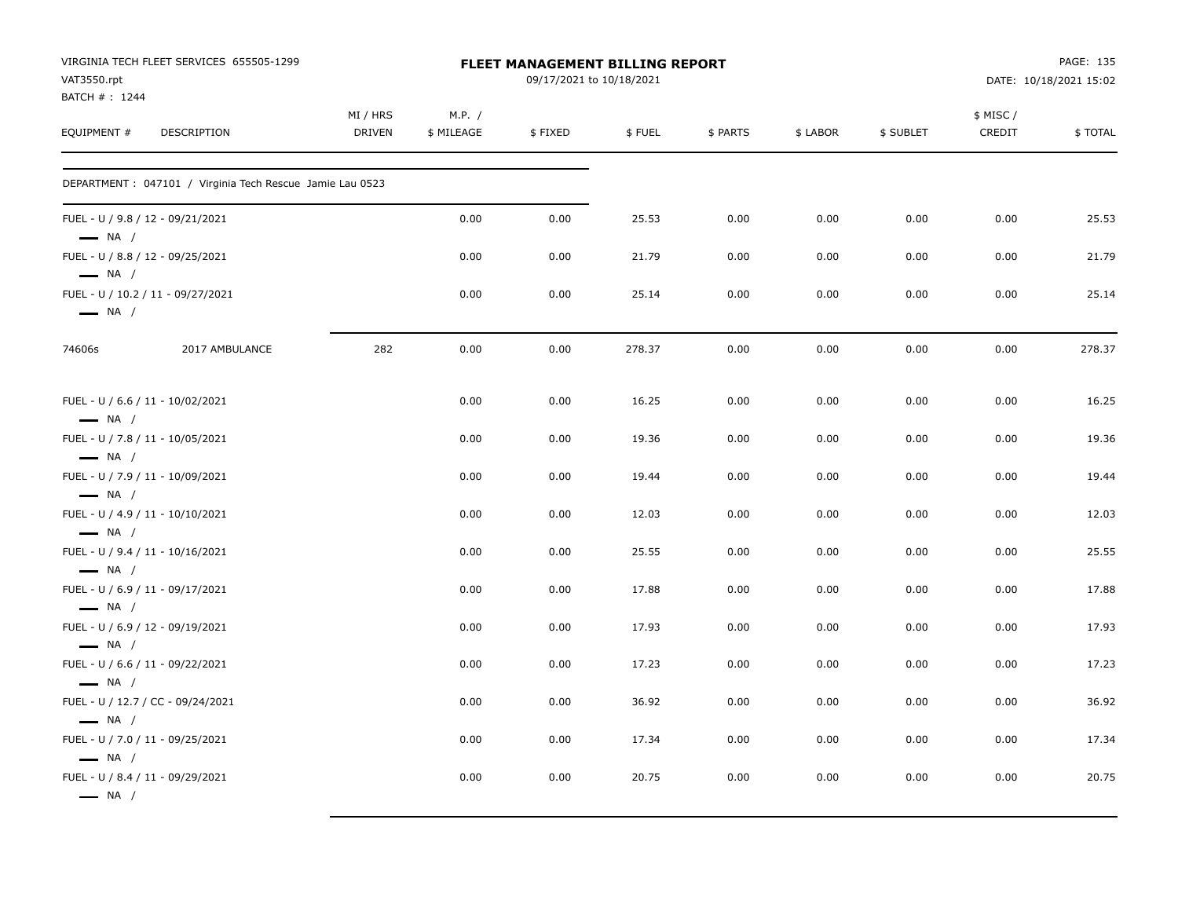| VAT3550.rpt                                                                          | VIRGINIA TECH FLEET SERVICES 655505-1299                  |                    |                      | <b>FLEET MANAGEMENT BILLING REPORT</b><br>09/17/2021 to 10/18/2021 |        |          |          |           |                     | PAGE: 135<br>DATE: 10/18/2021 15:02 |
|--------------------------------------------------------------------------------------|-----------------------------------------------------------|--------------------|----------------------|--------------------------------------------------------------------|--------|----------|----------|-----------|---------------------|-------------------------------------|
| BATCH #: 1244<br>EQUIPMENT #                                                         | DESCRIPTION                                               | MI / HRS<br>DRIVEN | M.P. /<br>\$ MILEAGE | \$FIXED                                                            | \$FUEL | \$ PARTS | \$ LABOR | \$ SUBLET | \$ MISC /<br>CREDIT | \$TOTAL                             |
|                                                                                      | DEPARTMENT : 047101 / Virginia Tech Rescue Jamie Lau 0523 |                    |                      |                                                                    |        |          |          |           |                     |                                     |
| FUEL - U / 9.8 / 12 - 09/21/2021<br>$-$ NA $/$                                       |                                                           |                    | 0.00                 | 0.00                                                               | 25.53  | 0.00     | 0.00     | 0.00      | 0.00                | 25.53                               |
| FUEL - U / 8.8 / 12 - 09/25/2021<br>$\longrightarrow$ NA /                           |                                                           |                    | 0.00                 | 0.00                                                               | 21.79  | 0.00     | 0.00     | 0.00      | 0.00                | 21.79                               |
| $\longrightarrow$ NA /                                                               | FUEL - U / 10.2 / 11 - 09/27/2021                         |                    | 0.00                 | 0.00                                                               | 25.14  | 0.00     | 0.00     | 0.00      | 0.00                | 25.14                               |
| 74606s                                                                               | 2017 AMBULANCE                                            | 282                | 0.00                 | 0.00                                                               | 278.37 | 0.00     | 0.00     | 0.00      | 0.00                | 278.37                              |
| FUEL - U / 6.6 / 11 - 10/02/2021<br>$\longrightarrow$ NA /                           |                                                           |                    | 0.00                 | 0.00                                                               | 16.25  | 0.00     | 0.00     | 0.00      | 0.00                | 16.25                               |
| FUEL - U / 7.8 / 11 - 10/05/2021<br>$\longrightarrow$ NA /                           |                                                           |                    | 0.00                 | 0.00                                                               | 19.36  | 0.00     | 0.00     | 0.00      | 0.00                | 19.36                               |
| FUEL - U / 7.9 / 11 - 10/09/2021<br>$\longrightarrow$ NA /                           |                                                           |                    | 0.00                 | 0.00                                                               | 19.44  | 0.00     | 0.00     | 0.00      | 0.00                | 19.44                               |
| FUEL - U / 4.9 / 11 - 10/10/2021<br>$\longrightarrow$ NA /                           |                                                           |                    | 0.00                 | 0.00                                                               | 12.03  | 0.00     | 0.00     | 0.00      | 0.00                | 12.03                               |
| FUEL - U / 9.4 / 11 - 10/16/2021<br>$\longrightarrow$ NA /                           |                                                           |                    | 0.00                 | 0.00                                                               | 25.55  | 0.00     | 0.00     | 0.00      | 0.00                | 25.55                               |
| FUEL - U / 6.9 / 11 - 09/17/2021<br>$\longrightarrow$ NA /                           |                                                           |                    | 0.00                 | 0.00                                                               | 17.88  | 0.00     | 0.00     | 0.00      | 0.00                | 17.88                               |
| FUEL - U / 6.9 / 12 - 09/19/2021<br>$\longrightarrow$ NA /                           |                                                           |                    | 0.00                 | 0.00                                                               | 17.93  | 0.00     | 0.00     | 0.00      | 0.00                | 17.93                               |
| FUEL - U / 6.6 / 11 - 09/22/2021                                                     |                                                           |                    | 0.00                 | 0.00                                                               | 17.23  | 0.00     | 0.00     | 0.00      | 0.00                | 17.23                               |
| $\longrightarrow$ NA /                                                               | FUEL - U / 12.7 / CC - 09/24/2021                         |                    | 0.00                 | 0.00                                                               | 36.92  | 0.00     | 0.00     | 0.00      | 0.00                | 36.92                               |
| $\longrightarrow$ NA /<br>FUEL - U / 7.0 / 11 - 09/25/2021                           |                                                           |                    | 0.00                 | 0.00                                                               | 17.34  | 0.00     | 0.00     | 0.00      | 0.00                | 17.34                               |
| $\longrightarrow$ NA /<br>FUEL - U / 8.4 / 11 - 09/29/2021<br>$\longrightarrow$ NA / |                                                           |                    | 0.00                 | 0.00                                                               | 20.75  | 0.00     | 0.00     | 0.00      | 0.00                | 20.75                               |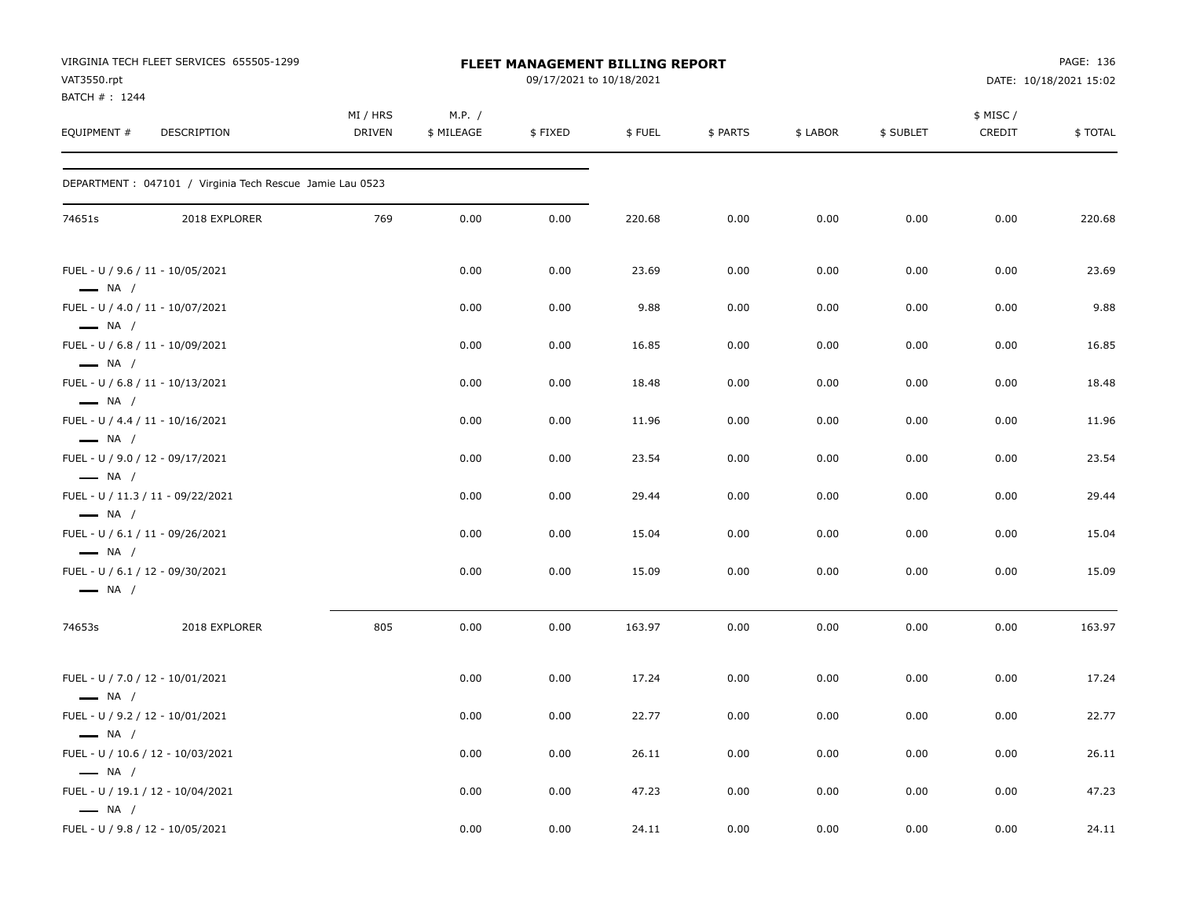| VAT3550.rpt                  | VIRGINIA TECH FLEET SERVICES 655505-1299                  |                    |                      | <b>FLEET MANAGEMENT BILLING REPORT</b><br>09/17/2021 to 10/18/2021 |        |          |          |           |                    | PAGE: 136<br>DATE: 10/18/2021 15:02 |
|------------------------------|-----------------------------------------------------------|--------------------|----------------------|--------------------------------------------------------------------|--------|----------|----------|-----------|--------------------|-------------------------------------|
| BATCH #: 1244<br>EQUIPMENT # | DESCRIPTION                                               | MI / HRS<br>DRIVEN | M.P. /<br>\$ MILEAGE | \$FIXED                                                            | \$FUEL | \$ PARTS | \$ LABOR | \$ SUBLET | \$ MISC/<br>CREDIT | \$TOTAL                             |
|                              | DEPARTMENT : 047101 / Virginia Tech Rescue Jamie Lau 0523 |                    |                      |                                                                    |        |          |          |           |                    |                                     |
| 74651s                       | 2018 EXPLORER                                             | 769                | 0.00                 | 0.00                                                               | 220.68 | 0.00     | 0.00     | 0.00      | 0.00               | 220.68                              |
| $\longrightarrow$ NA /       | FUEL - U / 9.6 / 11 - 10/05/2021                          |                    | 0.00                 | 0.00                                                               | 23.69  | 0.00     | 0.00     | 0.00      | 0.00               | 23.69                               |
| $\longrightarrow$ NA /       | FUEL - U / 4.0 / 11 - 10/07/2021                          |                    | 0.00                 | 0.00                                                               | 9.88   | 0.00     | 0.00     | 0.00      | 0.00               | 9.88                                |
| $\longrightarrow$ NA /       | FUEL - U / 6.8 / 11 - 10/09/2021                          |                    | 0.00                 | 0.00                                                               | 16.85  | 0.00     | 0.00     | 0.00      | 0.00               | 16.85                               |
| $\longrightarrow$ NA /       | FUEL - U / 6.8 / 11 - 10/13/2021                          |                    | 0.00                 | 0.00                                                               | 18.48  | 0.00     | 0.00     | 0.00      | 0.00               | 18.48                               |
| $\longrightarrow$ NA /       | FUEL - U / 4.4 / 11 - 10/16/2021                          |                    | 0.00                 | 0.00                                                               | 11.96  | 0.00     | 0.00     | 0.00      | 0.00               | 11.96                               |
| $\longrightarrow$ NA /       | FUEL - U / 9.0 / 12 - 09/17/2021                          |                    | 0.00                 | 0.00                                                               | 23.54  | 0.00     | 0.00     | 0.00      | 0.00               | 23.54                               |
| $\longrightarrow$ NA /       | FUEL - U / 11.3 / 11 - 09/22/2021                         |                    | 0.00                 | 0.00                                                               | 29.44  | 0.00     | 0.00     | 0.00      | 0.00               | 29.44                               |
| $\longrightarrow$ NA /       | FUEL - U / 6.1 / 11 - 09/26/2021                          |                    | 0.00                 | 0.00                                                               | 15.04  | 0.00     | 0.00     | 0.00      | 0.00               | 15.04                               |
| $\longrightarrow$ NA /       | FUEL - U / 6.1 / 12 - 09/30/2021                          |                    | 0.00                 | 0.00                                                               | 15.09  | 0.00     | 0.00     | 0.00      | 0.00               | 15.09                               |
| 74653s                       | 2018 EXPLORER                                             | 805                | 0.00                 | 0.00                                                               | 163.97 | 0.00     | 0.00     | 0.00      | 0.00               | 163.97                              |
| $\longrightarrow$ NA /       | FUEL - U / 7.0 / 12 - 10/01/2021                          |                    | 0.00                 | 0.00                                                               | 17.24  | 0.00     | 0.00     | 0.00      | 0.00               | 17.24                               |
| $\longrightarrow$ NA /       | FUEL - U / 9.2 / 12 - 10/01/2021                          |                    | 0.00                 | 0.00                                                               | 22.77  | 0.00     | 0.00     | 0.00      | 0.00               | 22.77                               |
| $\longrightarrow$ NA /       | FUEL - U / 10.6 / 12 - 10/03/2021                         |                    | 0.00                 | 0.00                                                               | 26.11  | 0.00     | 0.00     | 0.00      | 0.00               | 26.11                               |
| $\longrightarrow$ NA /       | FUEL - U / 19.1 / 12 - 10/04/2021                         |                    | 0.00                 | 0.00                                                               | 47.23  | 0.00     | 0.00     | 0.00      | 0.00               | 47.23                               |
|                              | FUEL - U / 9.8 / 12 - 10/05/2021                          |                    | 0.00                 | 0.00                                                               | 24.11  | 0.00     | 0.00     | 0.00      | 0.00               | 24.11                               |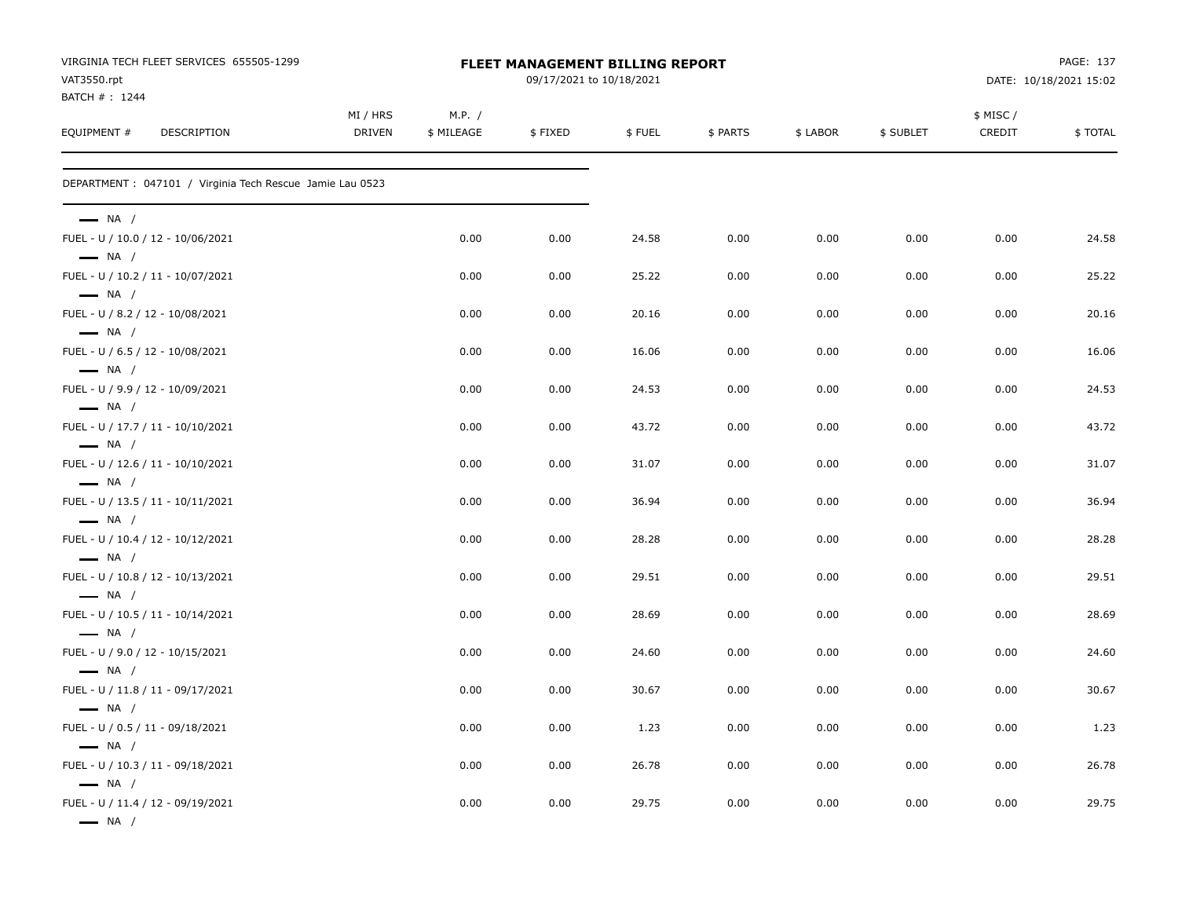| VIRGINIA TECH FLEET SERVICES 655505-1299<br>VAT3550.rpt     |                           |                      | <b>FLEET MANAGEMENT BILLING REPORT</b><br>09/17/2021 to 10/18/2021 |        |          |          |           |                    | PAGE: 137<br>DATE: 10/18/2021 15:02 |
|-------------------------------------------------------------|---------------------------|----------------------|--------------------------------------------------------------------|--------|----------|----------|-----------|--------------------|-------------------------------------|
| BATCH #: 1244<br>EQUIPMENT #<br><b>DESCRIPTION</b>          | MI / HRS<br><b>DRIVEN</b> | M.P. /<br>\$ MILEAGE | \$FIXED                                                            | \$FUEL | \$ PARTS | \$ LABOR | \$ SUBLET | \$ MISC/<br>CREDIT | \$TOTAL                             |
| DEPARTMENT : 047101 / Virginia Tech Rescue Jamie Lau 0523   |                           |                      |                                                                    |        |          |          |           |                    |                                     |
| $\longrightarrow$ NA /                                      |                           |                      |                                                                    |        |          |          |           |                    |                                     |
| FUEL - U / 10.0 / 12 - 10/06/2021<br>$\longrightarrow$ NA / |                           | 0.00                 | 0.00                                                               | 24.58  | 0.00     | 0.00     | 0.00      | 0.00               | 24.58                               |
| FUEL - U / 10.2 / 11 - 10/07/2021<br>$\longrightarrow$ NA / |                           | 0.00                 | 0.00                                                               | 25.22  | 0.00     | 0.00     | 0.00      | 0.00               | 25.22                               |
| FUEL - U / 8.2 / 12 - 10/08/2021<br>$\longrightarrow$ NA /  |                           | 0.00                 | 0.00                                                               | 20.16  | 0.00     | 0.00     | 0.00      | 0.00               | 20.16                               |
| FUEL - U / 6.5 / 12 - 10/08/2021<br>$\longrightarrow$ NA /  |                           | 0.00                 | 0.00                                                               | 16.06  | 0.00     | 0.00     | 0.00      | 0.00               | 16.06                               |
| FUEL - U / 9.9 / 12 - 10/09/2021<br>$\longrightarrow$ NA /  |                           | 0.00                 | 0.00                                                               | 24.53  | 0.00     | 0.00     | 0.00      | 0.00               | 24.53                               |
| FUEL - U / 17.7 / 11 - 10/10/2021<br>$\longrightarrow$ NA / |                           | 0.00                 | 0.00                                                               | 43.72  | 0.00     | 0.00     | 0.00      | 0.00               | 43.72                               |
| FUEL - U / 12.6 / 11 - 10/10/2021<br>$\longrightarrow$ NA / |                           | 0.00                 | 0.00                                                               | 31.07  | 0.00     | 0.00     | 0.00      | 0.00               | 31.07                               |
| FUEL - U / 13.5 / 11 - 10/11/2021<br>$\longrightarrow$ NA / |                           | 0.00                 | 0.00                                                               | 36.94  | 0.00     | 0.00     | 0.00      | 0.00               | 36.94                               |
| FUEL - U / 10.4 / 12 - 10/12/2021<br>$\longrightarrow$ NA / |                           | 0.00                 | 0.00                                                               | 28.28  | 0.00     | 0.00     | 0.00      | 0.00               | 28.28                               |
| FUEL - U / 10.8 / 12 - 10/13/2021<br>$\longrightarrow$ NA / |                           | 0.00                 | 0.00                                                               | 29.51  | 0.00     | 0.00     | 0.00      | 0.00               | 29.51                               |
| FUEL - U / 10.5 / 11 - 10/14/2021<br>$\longrightarrow$ NA / |                           | 0.00                 | 0.00                                                               | 28.69  | 0.00     | 0.00     | 0.00      | 0.00               | 28.69                               |
| FUEL - U / 9.0 / 12 - 10/15/2021<br>$\longrightarrow$ NA /  |                           | 0.00                 | 0.00                                                               | 24.60  | 0.00     | 0.00     | 0.00      | 0.00               | 24.60                               |
| FUEL - U / 11.8 / 11 - 09/17/2021<br>$\longrightarrow$ NA / |                           | 0.00                 | 0.00                                                               | 30.67  | 0.00     | 0.00     | 0.00      | 0.00               | 30.67                               |
| FUEL - U / 0.5 / 11 - 09/18/2021<br>$\equiv$ NA /           |                           | 0.00                 | 0.00                                                               | 1.23   | 0.00     | 0.00     | 0.00      | 0.00               | 1.23                                |
| FUEL - U / 10.3 / 11 - 09/18/2021<br>$\longrightarrow$ NA / |                           | 0.00                 | 0.00                                                               | 26.78  | 0.00     | 0.00     | 0.00      | 0.00               | 26.78                               |
| FUEL - U / 11.4 / 12 - 09/19/2021<br>$\longrightarrow$ NA / |                           | 0.00                 | 0.00                                                               | 29.75  | 0.00     | 0.00     | 0.00      | 0.00               | 29.75                               |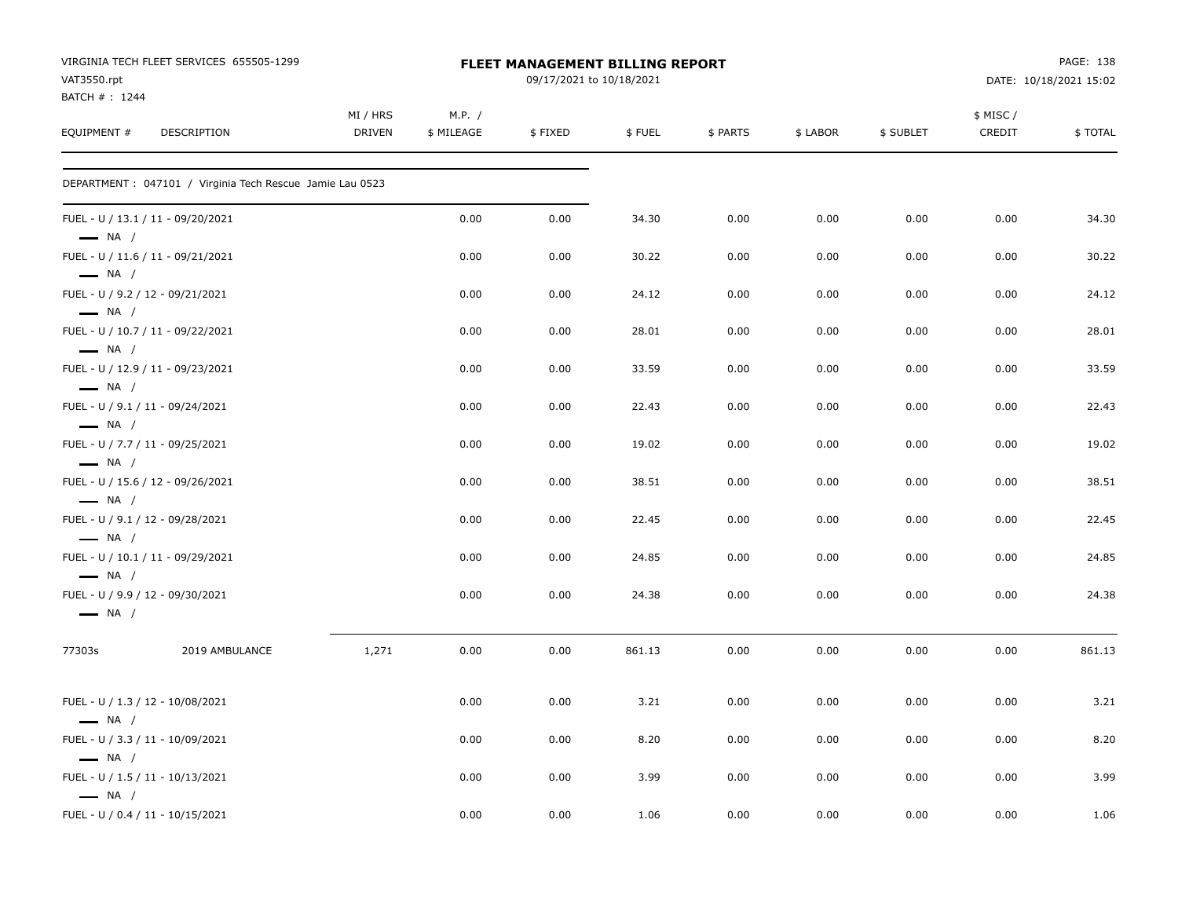| VAT3550.rpt                                                 | VIRGINIA TECH FLEET SERVICES 655505-1299                  |                           |                      | FLEET MANAGEMENT BILLING REPORT<br>09/17/2021 to 10/18/2021 |        |          |          |           |                     | PAGE: 138<br>DATE: 10/18/2021 15:02 |
|-------------------------------------------------------------|-----------------------------------------------------------|---------------------------|----------------------|-------------------------------------------------------------|--------|----------|----------|-----------|---------------------|-------------------------------------|
| BATCH #: 1244                                               |                                                           |                           |                      |                                                             |        |          |          |           |                     |                                     |
| EQUIPMENT #                                                 | DESCRIPTION                                               | MI / HRS<br><b>DRIVEN</b> | M.P. /<br>\$ MILEAGE | \$FIXED                                                     | \$FUEL | \$ PARTS | \$ LABOR | \$ SUBLET | \$ MISC /<br>CREDIT | \$TOTAL                             |
|                                                             | DEPARTMENT : 047101 / Virginia Tech Rescue Jamie Lau 0523 |                           |                      |                                                             |        |          |          |           |                     |                                     |
| FUEL - U / 13.1 / 11 - 09/20/2021<br>$\longrightarrow$ NA / |                                                           |                           | 0.00                 | 0.00                                                        | 34.30  | 0.00     | 0.00     | 0.00      | 0.00                | 34.30                               |
| FUEL - U / 11.6 / 11 - 09/21/2021<br>$\longrightarrow$ NA / |                                                           |                           | 0.00                 | 0.00                                                        | 30.22  | 0.00     | 0.00     | 0.00      | 0.00                | 30.22                               |
| FUEL - U / 9.2 / 12 - 09/21/2021<br>$\longrightarrow$ NA /  |                                                           |                           | 0.00                 | 0.00                                                        | 24.12  | 0.00     | 0.00     | 0.00      | 0.00                | 24.12                               |
| FUEL - U / 10.7 / 11 - 09/22/2021<br>$\longrightarrow$ NA / |                                                           |                           | 0.00                 | 0.00                                                        | 28.01  | 0.00     | 0.00     | 0.00      | 0.00                | 28.01                               |
| FUEL - U / 12.9 / 11 - 09/23/2021<br>$\longrightarrow$ NA / |                                                           |                           | 0.00                 | 0.00                                                        | 33.59  | 0.00     | 0.00     | 0.00      | 0.00                | 33.59                               |
| FUEL - U / 9.1 / 11 - 09/24/2021<br>$\longrightarrow$ NA /  |                                                           |                           | 0.00                 | 0.00                                                        | 22.43  | 0.00     | 0.00     | 0.00      | 0.00                | 22.43                               |
| FUEL - U / 7.7 / 11 - 09/25/2021<br>$\longrightarrow$ NA /  |                                                           |                           | 0.00                 | 0.00                                                        | 19.02  | 0.00     | 0.00     | 0.00      | 0.00                | 19.02                               |
| FUEL - U / 15.6 / 12 - 09/26/2021<br>$\longrightarrow$ NA / |                                                           |                           | 0.00                 | 0.00                                                        | 38.51  | 0.00     | 0.00     | 0.00      | 0.00                | 38.51                               |
| FUEL - U / 9.1 / 12 - 09/28/2021<br>$\longrightarrow$ NA /  |                                                           |                           | 0.00                 | 0.00                                                        | 22.45  | 0.00     | 0.00     | 0.00      | 0.00                | 22.45                               |
| FUEL - U / 10.1 / 11 - 09/29/2021<br>$\longrightarrow$ NA / |                                                           |                           | 0.00                 | 0.00                                                        | 24.85  | 0.00     | 0.00     | 0.00      | 0.00                | 24.85                               |
| FUEL - U / 9.9 / 12 - 09/30/2021<br>$\longrightarrow$ NA /  |                                                           |                           | 0.00                 | 0.00                                                        | 24.38  | 0.00     | 0.00     | 0.00      | 0.00                | 24.38                               |
| 77303s                                                      | 2019 AMBULANCE                                            | 1,271                     | 0.00                 | 0.00                                                        | 861.13 | 0.00     | 0.00     | 0.00      | 0.00                | 861.13                              |
| FUEL - U / 1.3 / 12 - 10/08/2021<br>$-$ NA $/$              |                                                           |                           | 0.00                 | 0.00                                                        | 3.21   | 0.00     | 0.00     | 0.00      | 0.00                | 3.21                                |
| FUEL - U / 3.3 / 11 - 10/09/2021<br>$\longrightarrow$ NA /  |                                                           |                           | 0.00                 | 0.00                                                        | 8.20   | 0.00     | 0.00     | 0.00      | 0.00                | 8.20                                |
| FUEL - U / 1.5 / 11 - 10/13/2021<br>$\longrightarrow$ NA /  |                                                           |                           | 0.00                 | 0.00                                                        | 3.99   | 0.00     | 0.00     | 0.00      | 0.00                | 3.99                                |
| FUEL - U / 0.4 / 11 - 10/15/2021                            |                                                           |                           | 0.00                 | 0.00                                                        | 1.06   | 0.00     | 0.00     | 0.00      | 0.00                | 1.06                                |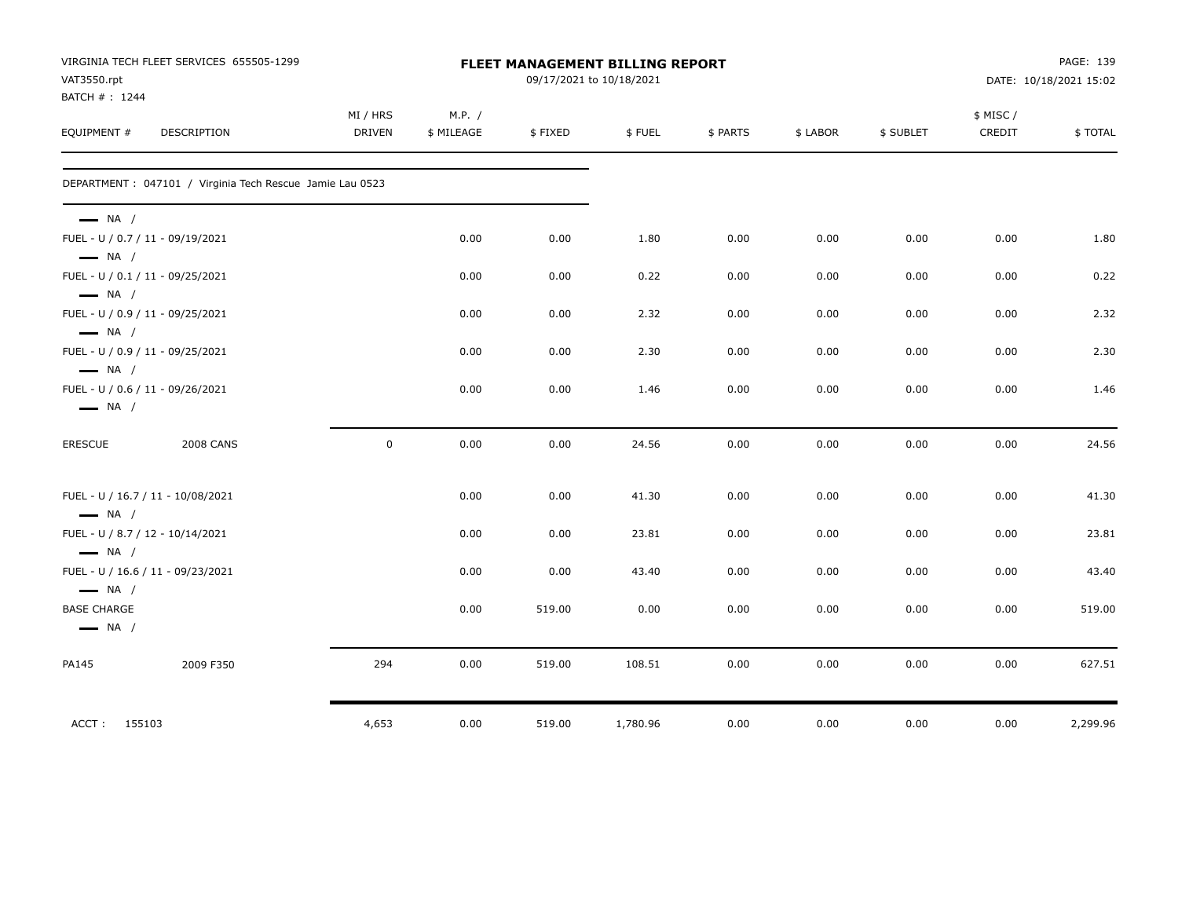|                                              | VIRGINIA TECH FLEET SERVICES 655505-1299                  |               |            | PAGE: 139<br><b>FLEET MANAGEMENT BILLING REPORT</b><br>09/17/2021 to 10/18/2021 |          |          |          |           |                     |                        |
|----------------------------------------------|-----------------------------------------------------------|---------------|------------|---------------------------------------------------------------------------------|----------|----------|----------|-----------|---------------------|------------------------|
| VAT3550.rpt                                  |                                                           |               |            |                                                                                 |          |          |          |           |                     | DATE: 10/18/2021 15:02 |
| BATCH #: 1244                                |                                                           | MI / HRS      | M.P. /     |                                                                                 |          |          |          |           |                     |                        |
| EQUIPMENT #                                  | <b>DESCRIPTION</b>                                        | <b>DRIVEN</b> | \$ MILEAGE | \$FIXED                                                                         | \$FUEL   | \$ PARTS | \$ LABOR | \$ SUBLET | \$ MISC /<br>CREDIT | \$TOTAL                |
|                                              |                                                           |               |            |                                                                                 |          |          |          |           |                     |                        |
|                                              | DEPARTMENT : 047101 / Virginia Tech Rescue Jamie Lau 0523 |               |            |                                                                                 |          |          |          |           |                     |                        |
| $\longrightarrow$ NA /                       |                                                           |               |            |                                                                                 |          |          |          |           |                     |                        |
| $\longrightarrow$ NA /                       | FUEL - U / 0.7 / 11 - 09/19/2021                          |               | 0.00       | 0.00                                                                            | 1.80     | 0.00     | 0.00     | 0.00      | 0.00                | 1.80                   |
| $-$ NA $/$                                   | FUEL - U / 0.1 / 11 - 09/25/2021                          |               | 0.00       | 0.00                                                                            | 0.22     | 0.00     | 0.00     | 0.00      | 0.00                | 0.22                   |
| $\longrightarrow$ NA /                       | FUEL - U / 0.9 / 11 - 09/25/2021                          |               | 0.00       | 0.00                                                                            | 2.32     | 0.00     | 0.00     | 0.00      | 0.00                | 2.32                   |
| $\longrightarrow$ NA /                       | FUEL - U / 0.9 / 11 - 09/25/2021                          |               | 0.00       | 0.00                                                                            | 2.30     | 0.00     | 0.00     | 0.00      | 0.00                | 2.30                   |
| $\longrightarrow$ NA /                       | FUEL - U / 0.6 / 11 - 09/26/2021                          |               | 0.00       | 0.00                                                                            | 1.46     | 0.00     | 0.00     | 0.00      | 0.00                | 1.46                   |
| <b>ERESCUE</b>                               | <b>2008 CANS</b>                                          | $\mathbf 0$   | 0.00       | 0.00                                                                            | 24.56    | 0.00     | 0.00     | 0.00      | 0.00                | 24.56                  |
| $\longrightarrow$ NA /                       | FUEL - U / 16.7 / 11 - 10/08/2021                         |               | 0.00       | 0.00                                                                            | 41.30    | 0.00     | 0.00     | 0.00      | 0.00                | 41.30                  |
| $\longrightarrow$ NA /                       | FUEL - U / 8.7 / 12 - 10/14/2021                          |               | 0.00       | 0.00                                                                            | 23.81    | 0.00     | 0.00     | 0.00      | 0.00                | 23.81                  |
| $\longrightarrow$ NA /                       | FUEL - U / 16.6 / 11 - 09/23/2021                         |               | 0.00       | 0.00                                                                            | 43.40    | 0.00     | 0.00     | 0.00      | 0.00                | 43.40                  |
| <b>BASE CHARGE</b><br>$\longrightarrow$ NA / |                                                           |               | 0.00       | 519.00                                                                          | 0.00     | 0.00     | 0.00     | 0.00      | 0.00                | 519.00                 |
| PA145                                        | 2009 F350                                                 | 294           | 0.00       | 519.00                                                                          | 108.51   | 0.00     | 0.00     | 0.00      | 0.00                | 627.51                 |
| ACCT: 155103                                 |                                                           | 4,653         | 0.00       | 519.00                                                                          | 1,780.96 | 0.00     | 0.00     | 0.00      | 0.00                | 2,299.96               |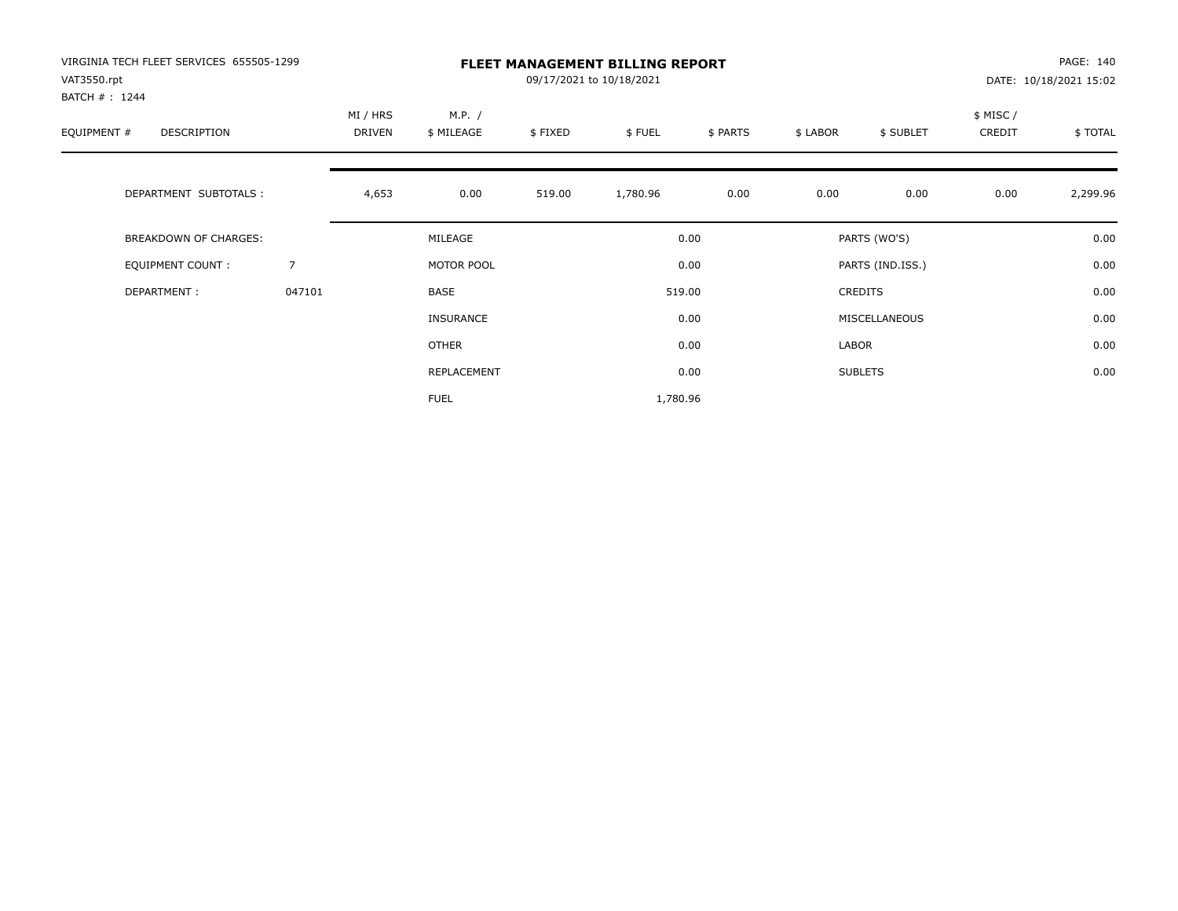| VIRGINIA TECH FLEET SERVICES 655505-1299<br>VAT3550.rpt<br>BATCH #: 1244 |                | <b>FLEET MANAGEMENT BILLING REPORT</b><br>09/17/2021 to 10/18/2021 |                      |         |          |          |          |                  |                    | PAGE: 140<br>DATE: 10/18/2021 15:02 |  |
|--------------------------------------------------------------------------|----------------|--------------------------------------------------------------------|----------------------|---------|----------|----------|----------|------------------|--------------------|-------------------------------------|--|
| EQUIPMENT #<br>DESCRIPTION                                               |                | MI / HRS<br>DRIVEN                                                 | M.P. /<br>\$ MILEAGE | \$FIXED | \$FUEL   | \$ PARTS | \$ LABOR | \$ SUBLET        | \$ MISC/<br>CREDIT | \$TOTAL                             |  |
| DEPARTMENT SUBTOTALS :                                                   |                | 4,653                                                              | 0.00                 | 519.00  | 1,780.96 | 0.00     | 0.00     | 0.00             | 0.00               | 2,299.96                            |  |
| <b>BREAKDOWN OF CHARGES:</b>                                             |                |                                                                    | MILEAGE              |         |          | 0.00     |          | PARTS (WO'S)     |                    | 0.00                                |  |
| EQUIPMENT COUNT:                                                         | $\overline{7}$ |                                                                    | MOTOR POOL           |         |          | 0.00     |          | PARTS (IND.ISS.) |                    | 0.00                                |  |
| DEPARTMENT:                                                              | 047101         |                                                                    | BASE                 |         |          | 519.00   |          | CREDITS          |                    | 0.00                                |  |
|                                                                          |                |                                                                    | <b>INSURANCE</b>     |         |          | 0.00     |          | MISCELLANEOUS    |                    | 0.00                                |  |
|                                                                          |                |                                                                    | OTHER                |         |          | 0.00     | LABOR    |                  |                    | 0.00                                |  |
|                                                                          |                |                                                                    | REPLACEMENT          |         |          | 0.00     |          | <b>SUBLETS</b>   |                    | 0.00                                |  |
|                                                                          |                |                                                                    | <b>FUEL</b>          |         | 1,780.96 |          |          |                  |                    |                                     |  |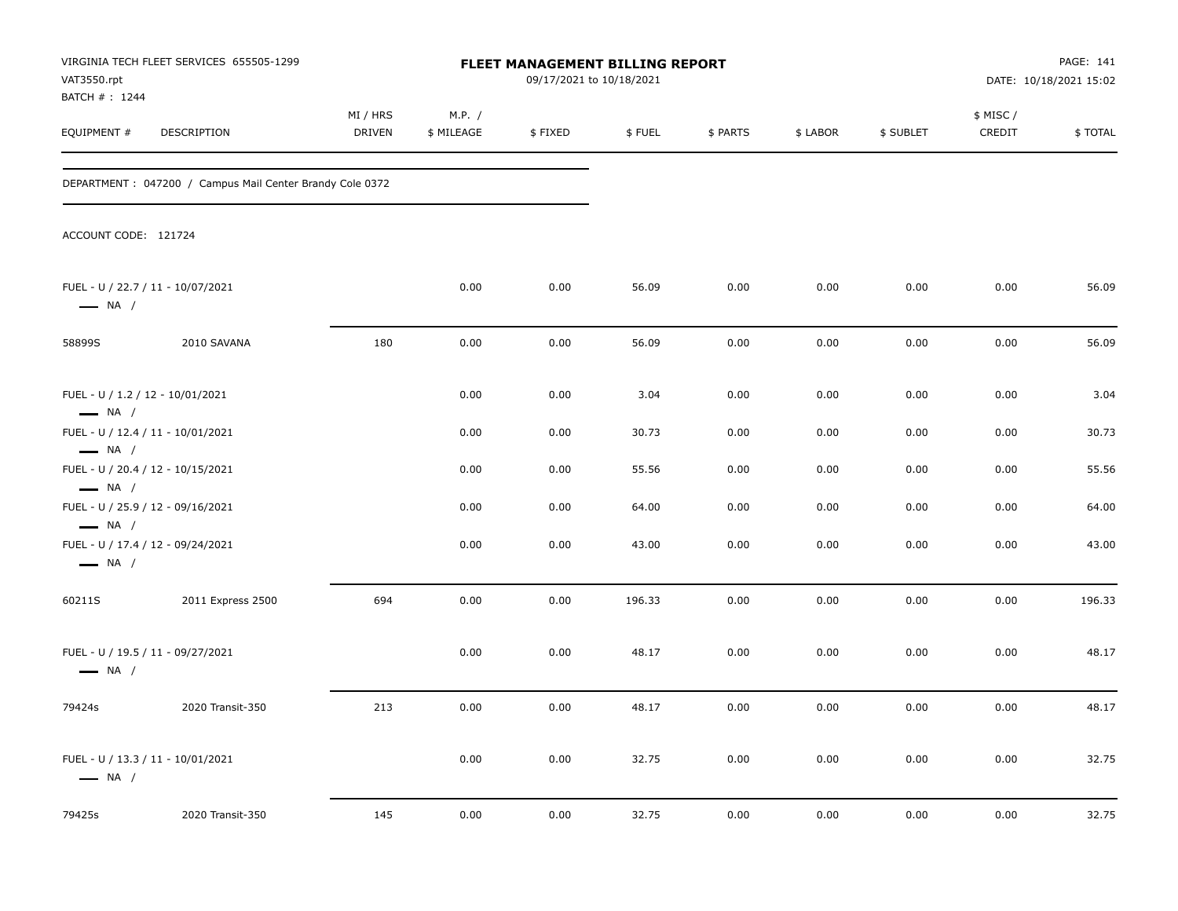| VAT3550.rpt                                                                           | VIRGINIA TECH FLEET SERVICES 655505-1299                  |                    |                      | FLEET MANAGEMENT BILLING REPORT<br>09/17/2021 to 10/18/2021 |        |          |          |           |                    | PAGE: 141<br>DATE: 10/18/2021 15:02 |
|---------------------------------------------------------------------------------------|-----------------------------------------------------------|--------------------|----------------------|-------------------------------------------------------------|--------|----------|----------|-----------|--------------------|-------------------------------------|
| BATCH # : 1244<br>EQUIPMENT #                                                         | DESCRIPTION                                               | MI / HRS<br>DRIVEN | M.P. /<br>\$ MILEAGE | \$FIXED                                                     | \$FUEL | \$ PARTS | \$ LABOR | \$ SUBLET | \$ MISC/<br>CREDIT | \$ TOTAL                            |
|                                                                                       | DEPARTMENT : 047200 / Campus Mail Center Brandy Cole 0372 |                    |                      |                                                             |        |          |          |           |                    |                                     |
| ACCOUNT CODE: 121724                                                                  |                                                           |                    |                      |                                                             |        |          |          |           |                    |                                     |
| FUEL - U / 22.7 / 11 - 10/07/2021<br>$\longrightarrow$ NA /                           |                                                           |                    | 0.00                 | 0.00                                                        | 56.09  | 0.00     | 0.00     | 0.00      | 0.00               | 56.09                               |
| 58899S                                                                                | 2010 SAVANA                                               | 180                | 0.00                 | 0.00                                                        | 56.09  | 0.00     | 0.00     | 0.00      | 0.00               | 56.09                               |
| FUEL - U / 1.2 / 12 - 10/01/2021<br>$\longrightarrow$ NA /                            |                                                           |                    | 0.00                 | 0.00                                                        | 3.04   | 0.00     | 0.00     | 0.00      | 0.00               | 3.04                                |
| FUEL - U / 12.4 / 11 - 10/01/2021                                                     |                                                           |                    | 0.00                 | 0.00                                                        | 30.73  | 0.00     | 0.00     | 0.00      | 0.00               | 30.73                               |
| $\longrightarrow$ NA /<br>FUEL - U / 20.4 / 12 - 10/15/2021<br>$\longrightarrow$ NA / |                                                           |                    | 0.00                 | 0.00                                                        | 55.56  | 0.00     | 0.00     | 0.00      | 0.00               | 55.56                               |
| FUEL - U / 25.9 / 12 - 09/16/2021                                                     |                                                           |                    | 0.00                 | 0.00                                                        | 64.00  | 0.00     | 0.00     | 0.00      | 0.00               | 64.00                               |
| $\longrightarrow$ NA /<br>$\longrightarrow$ NA /                                      | FUEL - U / 17.4 / 12 - 09/24/2021                         |                    | 0.00                 | 0.00                                                        | 43.00  | 0.00     | 0.00     | 0.00      | 0.00               | 43.00                               |
| 60211S                                                                                | 2011 Express 2500                                         | 694                | 0.00                 | 0.00                                                        | 196.33 | 0.00     | 0.00     | 0.00      | 0.00               | 196.33                              |
| FUEL - U / 19.5 / 11 - 09/27/2021<br>$\longrightarrow$ NA /                           |                                                           |                    | 0.00                 | 0.00                                                        | 48.17  | 0.00     | 0.00     | 0.00      | 0.00               | 48.17                               |
| 79424s                                                                                | 2020 Transit-350                                          | 213                | 0.00                 | 0.00                                                        | 48.17  | 0.00     | 0.00     | 0.00      | 0.00               | 48.17                               |
| $\longrightarrow$ NA /                                                                | FUEL - U / 13.3 / 11 - 10/01/2021                         |                    | 0.00                 | 0.00                                                        | 32.75  | 0.00     | 0.00     | 0.00      | 0.00               | 32.75                               |
| 79425s                                                                                | 2020 Transit-350                                          | 145                | 0.00                 | 0.00                                                        | 32.75  | 0.00     | 0.00     | 0.00      | 0.00               | 32.75                               |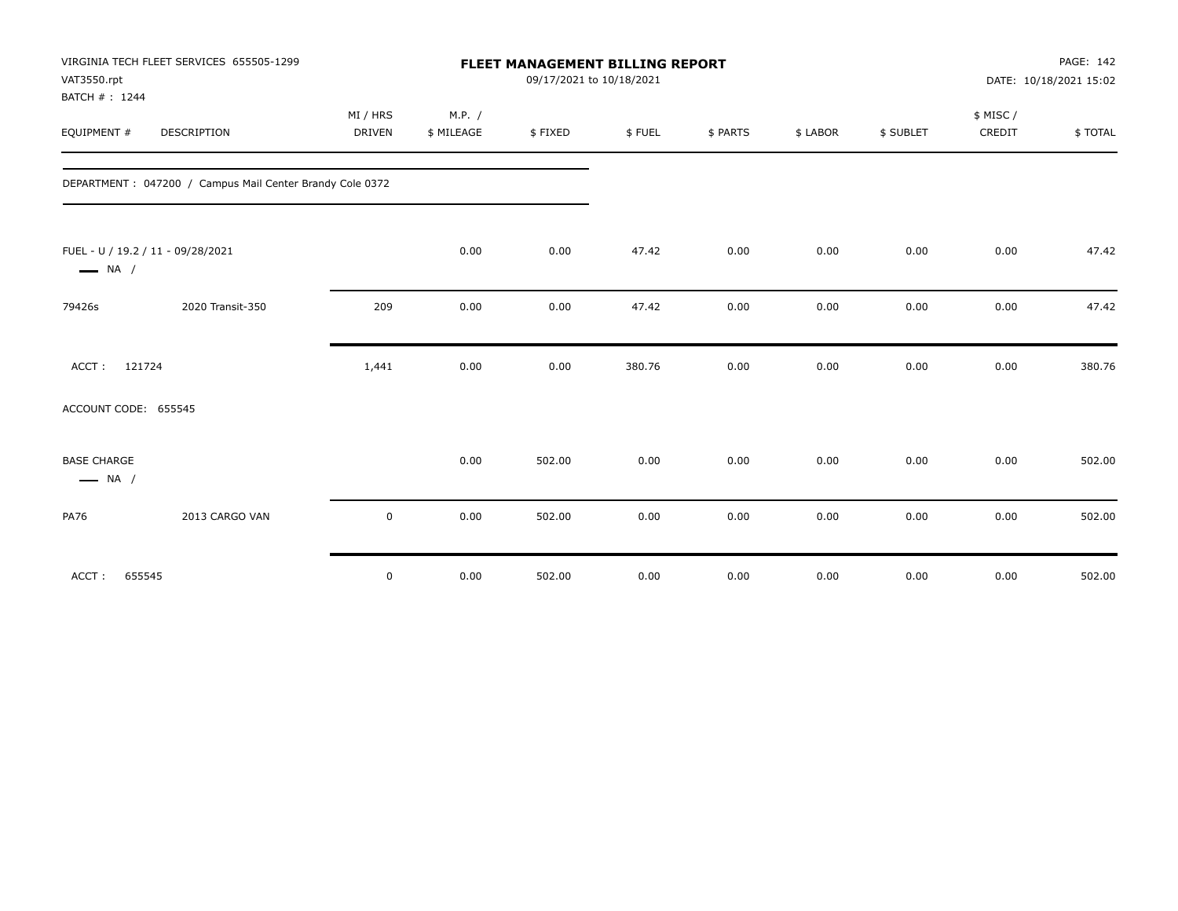| VAT3550.rpt<br>BATCH #: 1244                 | VIRGINIA TECH FLEET SERVICES 655505-1299                 |               |            | <b>FLEET MANAGEMENT BILLING REPORT</b><br>09/17/2021 to 10/18/2021 |        |          |          |           |          | PAGE: 142<br>DATE: 10/18/2021 15:02 |
|----------------------------------------------|----------------------------------------------------------|---------------|------------|--------------------------------------------------------------------|--------|----------|----------|-----------|----------|-------------------------------------|
|                                              |                                                          | MI / HRS      | M.P. /     |                                                                    |        |          |          |           | \$ MISC/ |                                     |
| EQUIPMENT #                                  | <b>DESCRIPTION</b>                                       | <b>DRIVEN</b> | \$ MILEAGE | \$FIXED                                                            | \$FUEL | \$ PARTS | \$ LABOR | \$ SUBLET | CREDIT   | \$TOTAL                             |
|                                              | DEPARTMENT: 047200 / Campus Mail Center Brandy Cole 0372 |               |            |                                                                    |        |          |          |           |          |                                     |
| $\longrightarrow$ NA /                       | FUEL - U / 19.2 / 11 - 09/28/2021                        |               | 0.00       | 0.00                                                               | 47.42  | 0.00     | 0.00     | 0.00      | 0.00     | 47.42                               |
| 79426s                                       | 2020 Transit-350                                         | 209           | 0.00       | 0.00                                                               | 47.42  | 0.00     | 0.00     | 0.00      | 0.00     | 47.42                               |
| ACCT:<br>121724                              |                                                          | 1,441         | 0.00       | 0.00                                                               | 380.76 | 0.00     | 0.00     | 0.00      | 0.00     | 380.76                              |
| ACCOUNT CODE: 655545                         |                                                          |               |            |                                                                    |        |          |          |           |          |                                     |
| <b>BASE CHARGE</b><br>$\longrightarrow$ NA / |                                                          |               | 0.00       | 502.00                                                             | 0.00   | 0.00     | 0.00     | 0.00      | 0.00     | 502.00                              |
| <b>PA76</b>                                  | 2013 CARGO VAN                                           | $\mathbf 0$   | 0.00       | 502.00                                                             | 0.00   | 0.00     | 0.00     | 0.00      | 0.00     | 502.00                              |
| ACCT:<br>655545                              |                                                          | $\mathbf 0$   | 0.00       | 502.00                                                             | 0.00   | 0.00     | 0.00     | 0.00      | 0.00     | 502.00                              |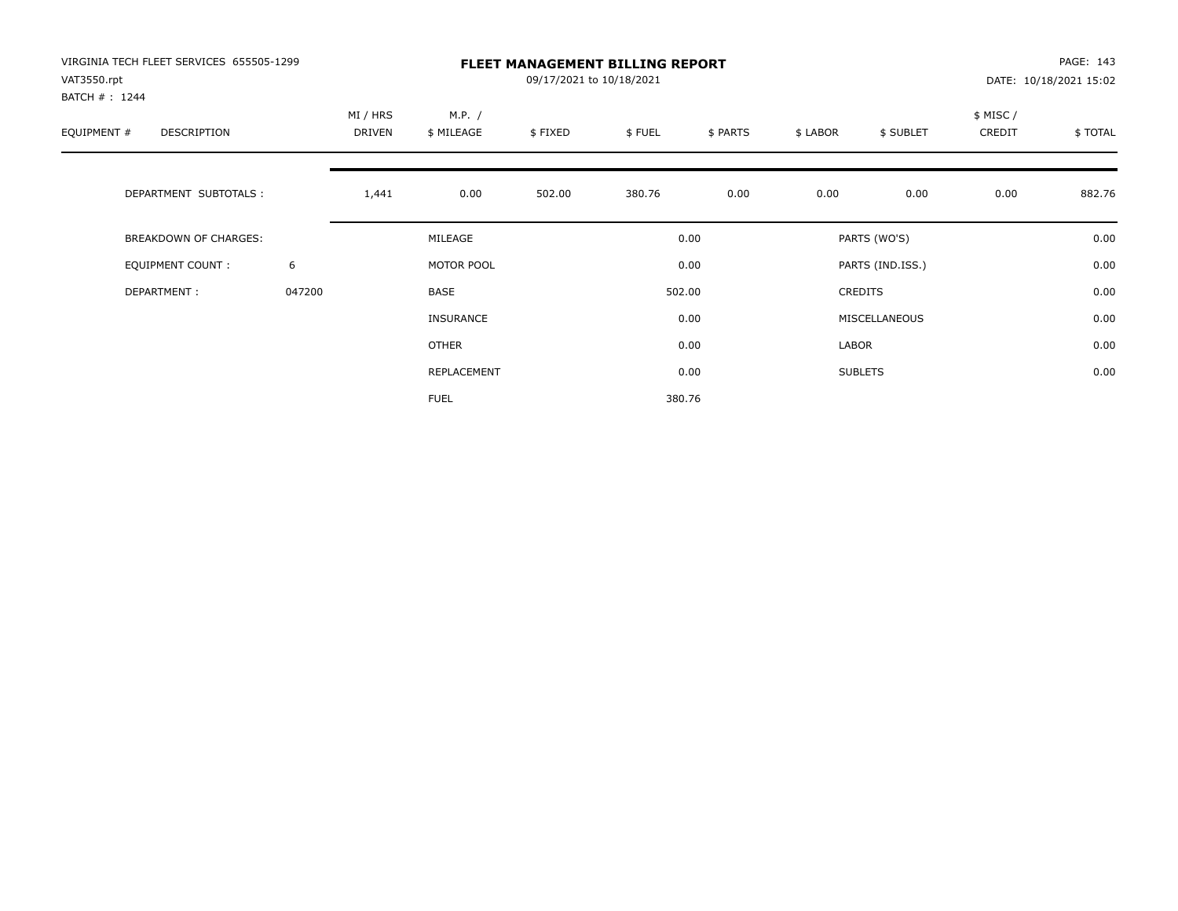| VIRGINIA TECH FLEET SERVICES 655505-1299<br>VAT3550.rpt<br>BATCH #: 1244 |        | <b>FLEET MANAGEMENT BILLING REPORT</b><br>09/17/2021 to 10/18/2021 |                      |         |        |          |          |                  | PAGE: 143<br>DATE: 10/18/2021 15:02 |         |
|--------------------------------------------------------------------------|--------|--------------------------------------------------------------------|----------------------|---------|--------|----------|----------|------------------|-------------------------------------|---------|
| EQUIPMENT #<br>DESCRIPTION                                               |        | MI / HRS<br>DRIVEN                                                 | M.P. /<br>\$ MILEAGE | \$FIXED | \$FUEL | \$ PARTS | \$ LABOR | \$ SUBLET        | \$ MISC/<br>CREDIT                  | \$TOTAL |
| DEPARTMENT SUBTOTALS :                                                   |        | 1,441                                                              | 0.00                 | 502.00  | 380.76 | 0.00     | 0.00     | 0.00             | 0.00                                | 882.76  |
| <b>BREAKDOWN OF CHARGES:</b>                                             |        |                                                                    | MILEAGE              |         |        | 0.00     |          | PARTS (WO'S)     |                                     | 0.00    |
| EQUIPMENT COUNT:                                                         | 6      |                                                                    | MOTOR POOL           |         |        | 0.00     |          | PARTS (IND.ISS.) |                                     | 0.00    |
| DEPARTMENT:                                                              | 047200 |                                                                    | BASE                 |         |        | 502.00   |          | <b>CREDITS</b>   |                                     | 0.00    |
|                                                                          |        |                                                                    | <b>INSURANCE</b>     |         |        | 0.00     |          | MISCELLANEOUS    |                                     | 0.00    |
|                                                                          |        |                                                                    | OTHER                |         |        | 0.00     | LABOR    |                  |                                     | 0.00    |
|                                                                          |        |                                                                    | REPLACEMENT          |         |        | 0.00     |          | <b>SUBLETS</b>   |                                     | 0.00    |
|                                                                          |        |                                                                    | <b>FUEL</b>          |         |        | 380.76   |          |                  |                                     |         |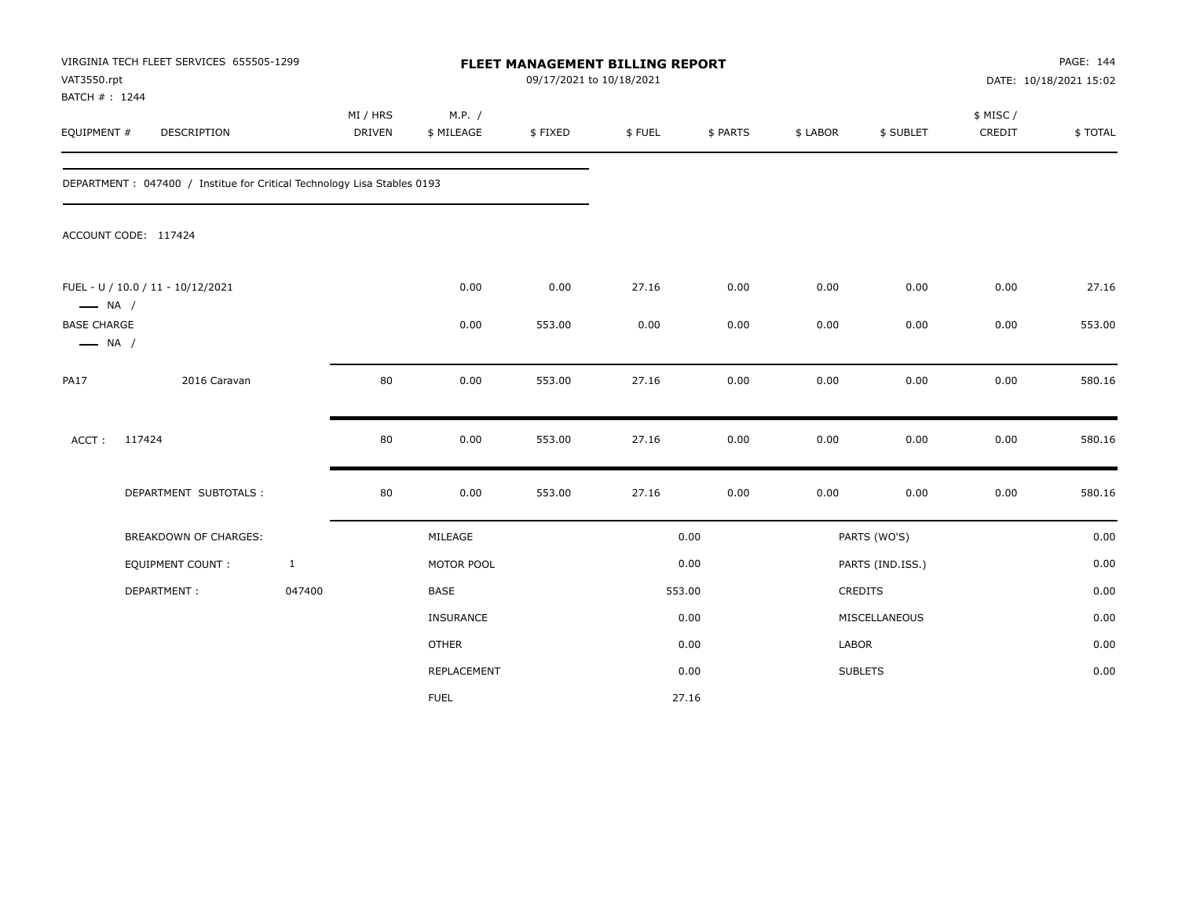| VAT3550.rpt<br>BATCH #: 1244                 | VIRGINIA TECH FLEET SERVICES 655505-1299                                 |              |                           |                      |         | FLEET MANAGEMENT BILLING REPORT<br>09/17/2021 to 10/18/2021 |          |          |                  | PAGE: 144<br>DATE: 10/18/2021 15:02 |         |
|----------------------------------------------|--------------------------------------------------------------------------|--------------|---------------------------|----------------------|---------|-------------------------------------------------------------|----------|----------|------------------|-------------------------------------|---------|
| EQUIPMENT #                                  | DESCRIPTION                                                              |              | MI / HRS<br><b>DRIVEN</b> | M.P. /<br>\$ MILEAGE | \$FIXED | \$FUEL                                                      | \$ PARTS | \$ LABOR | \$ SUBLET        | \$ MISC/<br>CREDIT                  | \$TOTAL |
|                                              | DEPARTMENT : 047400 / Institue for Critical Technology Lisa Stables 0193 |              |                           |                      |         |                                                             |          |          |                  |                                     |         |
|                                              | ACCOUNT CODE: 117424                                                     |              |                           |                      |         |                                                             |          |          |                  |                                     |         |
| $\longrightarrow$ NA /                       | FUEL - U / 10.0 / 11 - 10/12/2021                                        |              |                           | 0.00                 | 0.00    | 27.16                                                       | 0.00     | 0.00     | 0.00             | 0.00                                | 27.16   |
| <b>BASE CHARGE</b><br>$\longrightarrow$ NA / |                                                                          |              |                           | 0.00                 | 553.00  | 0.00                                                        | 0.00     | 0.00     | 0.00             | 0.00                                | 553.00  |
| <b>PA17</b>                                  | 2016 Caravan                                                             |              | 80                        | 0.00                 | 553.00  | 27.16                                                       | 0.00     | 0.00     | 0.00             | 0.00                                | 580.16  |
| ACCT:                                        | 117424                                                                   |              | 80                        | 0.00                 | 553.00  | 27.16                                                       | 0.00     | 0.00     | 0.00             | 0.00                                | 580.16  |
|                                              | DEPARTMENT SUBTOTALS :                                                   |              | 80                        | 0.00                 | 553.00  | 27.16                                                       | 0.00     | 0.00     | 0.00             | 0.00                                | 580.16  |
|                                              | BREAKDOWN OF CHARGES:                                                    |              |                           | MILEAGE              |         |                                                             | 0.00     |          | PARTS (WO'S)     |                                     | 0.00    |
|                                              | <b>EQUIPMENT COUNT:</b>                                                  | $\mathbf{1}$ |                           | MOTOR POOL           |         |                                                             | 0.00     |          | PARTS (IND.ISS.) |                                     | 0.00    |
|                                              | DEPARTMENT:                                                              | 047400       |                           | BASE                 |         | 553.00                                                      |          |          | <b>CREDITS</b>   |                                     | 0.00    |
|                                              |                                                                          |              |                           | INSURANCE            |         |                                                             | 0.00     |          | MISCELLANEOUS    |                                     | 0.00    |
|                                              |                                                                          |              |                           | <b>OTHER</b>         |         |                                                             | 0.00     | LABOR    |                  |                                     | 0.00    |
|                                              |                                                                          |              |                           | REPLACEMENT          |         |                                                             | 0.00     |          | <b>SUBLETS</b>   |                                     | 0.00    |
|                                              |                                                                          |              |                           | <b>FUEL</b>          |         |                                                             | 27.16    |          |                  |                                     |         |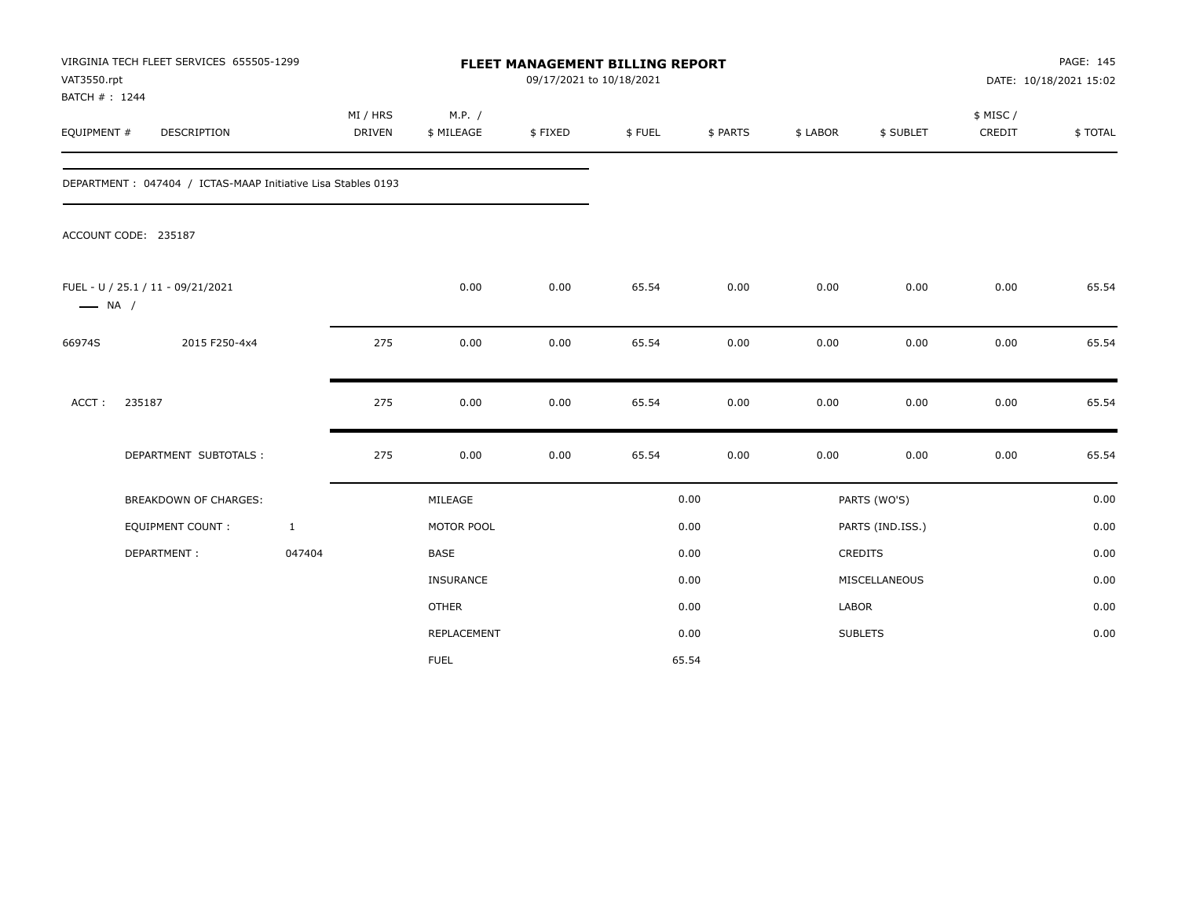| VAT3550.rpt<br>BATCH #: 1244 | VIRGINIA TECH FLEET SERVICES 655505-1299                     |              |                           |                      | <b>FLEET MANAGEMENT BILLING REPORT</b><br>09/17/2021 to 10/18/2021 |        |          |          |                  |                     | PAGE: 145<br>DATE: 10/18/2021 15:02 |
|------------------------------|--------------------------------------------------------------|--------------|---------------------------|----------------------|--------------------------------------------------------------------|--------|----------|----------|------------------|---------------------|-------------------------------------|
| EQUIPMENT #                  | DESCRIPTION                                                  |              | MI / HRS<br><b>DRIVEN</b> | M.P. /<br>\$ MILEAGE | \$FIXED                                                            | \$FUEL | \$ PARTS | \$ LABOR | \$ SUBLET        | \$ MISC /<br>CREDIT | \$TOTAL                             |
|                              | DEPARTMENT: 047404 / ICTAS-MAAP Initiative Lisa Stables 0193 |              |                           |                      |                                                                    |        |          |          |                  |                     |                                     |
|                              | ACCOUNT CODE: 235187                                         |              |                           |                      |                                                                    |        |          |          |                  |                     |                                     |
| $\longrightarrow$ NA /       | FUEL - U / 25.1 / 11 - 09/21/2021                            |              |                           | 0.00                 | 0.00                                                               | 65.54  | 0.00     | 0.00     | 0.00             | 0.00                | 65.54                               |
| 66974S                       | 2015 F250-4x4                                                |              | 275                       | 0.00                 | 0.00                                                               | 65.54  | 0.00     | 0.00     | 0.00             | 0.00                | 65.54                               |
| ACCT:                        | 235187                                                       |              | 275                       | 0.00                 | 0.00                                                               | 65.54  | 0.00     | 0.00     | 0.00             | 0.00                | 65.54                               |
|                              | DEPARTMENT SUBTOTALS :                                       |              | 275                       | 0.00                 | 0.00                                                               | 65.54  | 0.00     | 0.00     | 0.00             | 0.00                | 65.54                               |
|                              | <b>BREAKDOWN OF CHARGES:</b>                                 |              |                           | MILEAGE              |                                                                    |        | 0.00     |          | PARTS (WO'S)     |                     | 0.00                                |
|                              | <b>EQUIPMENT COUNT:</b>                                      | $\mathbf{1}$ |                           | MOTOR POOL           |                                                                    |        | 0.00     |          | PARTS (IND.ISS.) |                     | 0.00                                |
|                              | DEPARTMENT:                                                  | 047404       |                           | BASE                 |                                                                    |        | 0.00     |          | CREDITS          |                     | 0.00                                |
|                              |                                                              |              |                           | INSURANCE            |                                                                    |        | 0.00     |          | MISCELLANEOUS    |                     | 0.00                                |
|                              |                                                              |              |                           | <b>OTHER</b>         |                                                                    |        | 0.00     | LABOR    |                  |                     | 0.00                                |
|                              |                                                              |              |                           | REPLACEMENT          |                                                                    |        | 0.00     |          | <b>SUBLETS</b>   |                     | 0.00                                |
|                              |                                                              |              |                           | <b>FUEL</b>          |                                                                    |        | 65.54    |          |                  |                     |                                     |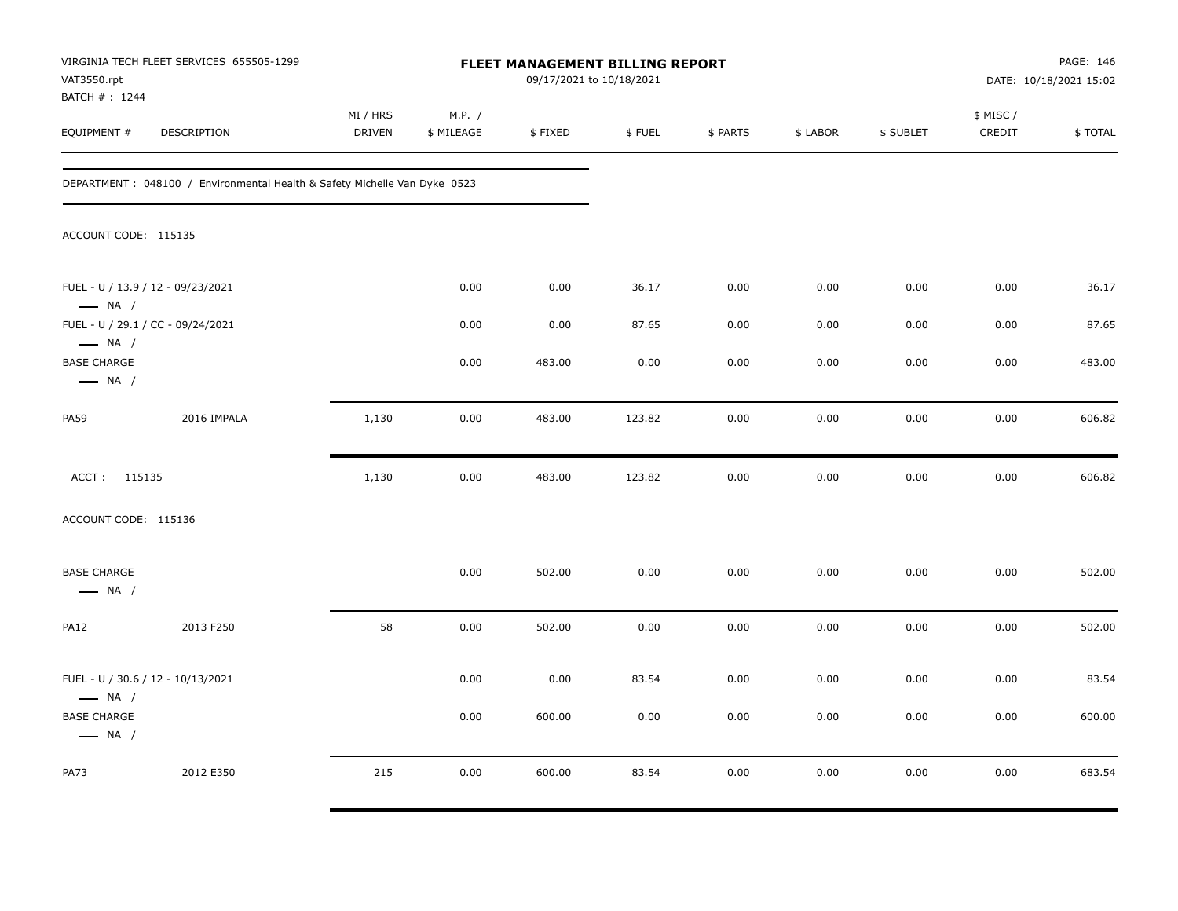| VAT3550.rpt                                                            | VIRGINIA TECH FLEET SERVICES 655505-1299                                   |                    |                      |         | <b>FLEET MANAGEMENT BILLING REPORT</b><br>09/17/2021 to 10/18/2021 |          |          |           |                    | PAGE: 146<br>DATE: 10/18/2021 15:02 |
|------------------------------------------------------------------------|----------------------------------------------------------------------------|--------------------|----------------------|---------|--------------------------------------------------------------------|----------|----------|-----------|--------------------|-------------------------------------|
| BATCH # : 1244<br>EQUIPMENT #                                          | DESCRIPTION                                                                | MI / HRS<br>DRIVEN | M.P. /<br>\$ MILEAGE | \$FIXED | \$FUEL                                                             | \$ PARTS | \$ LABOR | \$ SUBLET | \$ MISC/<br>CREDIT | \$TOTAL                             |
|                                                                        | DEPARTMENT : 048100 / Environmental Health & Safety Michelle Van Dyke 0523 |                    |                      |         |                                                                    |          |          |           |                    |                                     |
| ACCOUNT CODE: 115135                                                   |                                                                            |                    |                      |         |                                                                    |          |          |           |                    |                                     |
| FUEL - U / 13.9 / 12 - 09/23/2021<br>$\longrightarrow$ NA /            |                                                                            |                    | 0.00                 | 0.00    | 36.17                                                              | 0.00     | 0.00     | 0.00      | 0.00               | 36.17                               |
|                                                                        | FUEL - U / 29.1 / CC - 09/24/2021                                          |                    | 0.00                 | 0.00    | 87.65                                                              | 0.00     | 0.00     | 0.00      | 0.00               | 87.65                               |
| $\longrightarrow$ NA /<br><b>BASE CHARGE</b><br>$\longrightarrow$ NA / |                                                                            |                    | 0.00                 | 483.00  | 0.00                                                               | 0.00     | 0.00     | 0.00      | 0.00               | 483.00                              |
| PA59                                                                   | 2016 IMPALA                                                                | 1,130              | 0.00                 | 483.00  | 123.82                                                             | 0.00     | 0.00     | 0.00      | 0.00               | 606.82                              |
| ACCT: 115135                                                           |                                                                            | 1,130              | 0.00                 | 483.00  | 123.82                                                             | 0.00     | 0.00     | 0.00      | 0.00               | 606.82                              |
| ACCOUNT CODE: 115136                                                   |                                                                            |                    |                      |         |                                                                    |          |          |           |                    |                                     |
| <b>BASE CHARGE</b><br>$\longrightarrow$ NA /                           |                                                                            |                    | 0.00                 | 502.00  | 0.00                                                               | 0.00     | 0.00     | 0.00      | 0.00               | 502.00                              |
| <b>PA12</b>                                                            | 2013 F250                                                                  | 58                 | 0.00                 | 502.00  | 0.00                                                               | 0.00     | 0.00     | 0.00      | 0.00               | 502.00                              |
| FUEL - U / 30.6 / 12 - 10/13/2021<br>$\longrightarrow$ NA /            |                                                                            |                    | 0.00                 | 0.00    | 83.54                                                              | 0.00     | 0.00     | 0.00      | 0.00               | 83.54                               |
| <b>BASE CHARGE</b><br>$\longrightarrow$ NA /                           |                                                                            |                    | 0.00                 | 600.00  | 0.00                                                               | 0.00     | 0.00     | 0.00      | 0.00               | 600.00                              |
| PA73                                                                   | 2012 E350                                                                  | 215                | 0.00                 | 600.00  | 83.54                                                              | 0.00     | 0.00     | 0.00      | 0.00               | 683.54                              |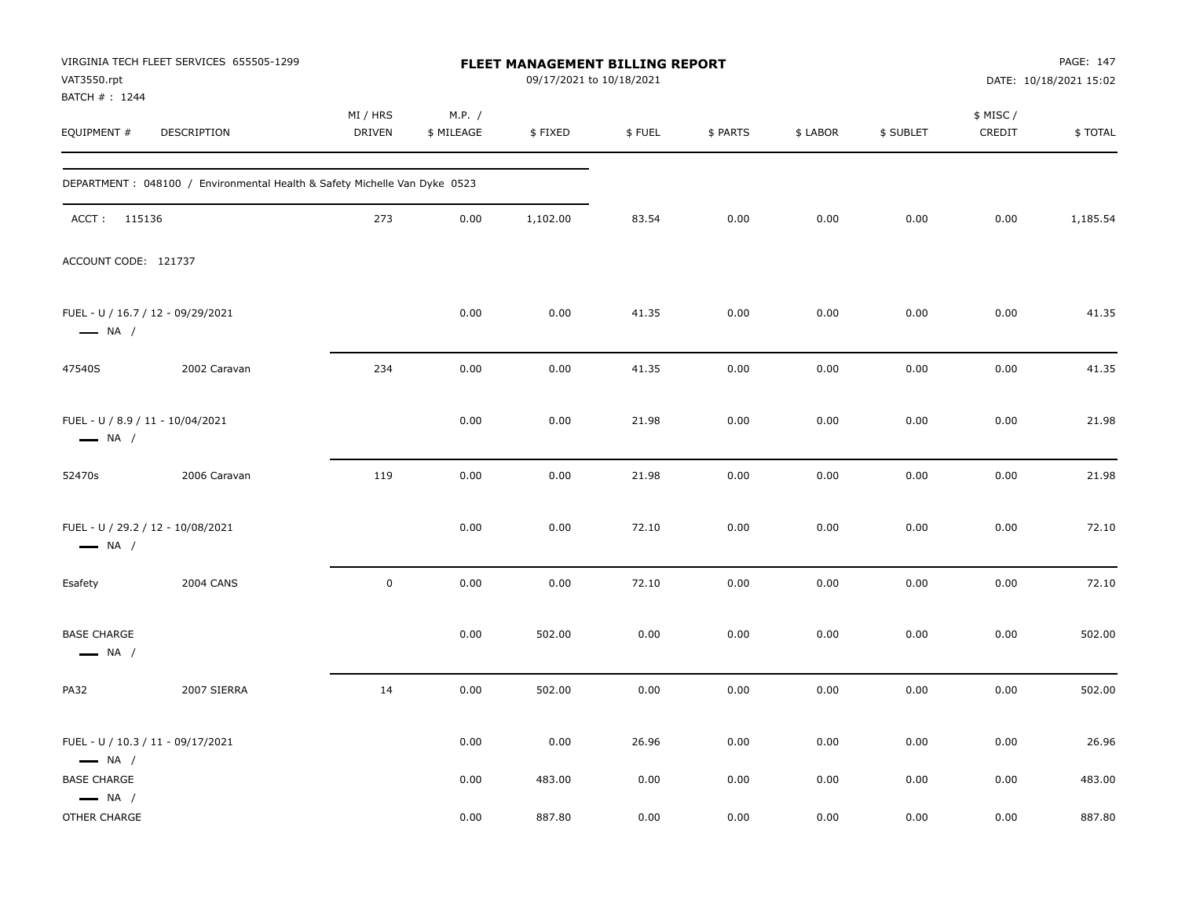| VAT3550.rpt<br>BATCH #: 1244                               | VIRGINIA TECH FLEET SERVICES 655505-1299                                  |                           |                      | <b>FLEET MANAGEMENT BILLING REPORT</b><br>09/17/2021 to 10/18/2021 |        |          |          |           |                     | PAGE: 147<br>DATE: 10/18/2021 15:02 |
|------------------------------------------------------------|---------------------------------------------------------------------------|---------------------------|----------------------|--------------------------------------------------------------------|--------|----------|----------|-----------|---------------------|-------------------------------------|
| EQUIPMENT #                                                | DESCRIPTION                                                               | MI / HRS<br><b>DRIVEN</b> | M.P. /<br>\$ MILEAGE | \$FIXED                                                            | \$FUEL | \$ PARTS | \$ LABOR | \$ SUBLET | \$ MISC /<br>CREDIT | \$TOTAL                             |
|                                                            | DEPARTMENT: 048100 / Environmental Health & Safety Michelle Van Dyke 0523 |                           |                      |                                                                    |        |          |          |           |                     |                                     |
| ACCT: 115136                                               |                                                                           | 273                       | 0.00                 | 1,102.00                                                           | 83.54  | 0.00     | 0.00     | 0.00      | 0.00                | 1,185.54                            |
| ACCOUNT CODE: 121737                                       |                                                                           |                           |                      |                                                                    |        |          |          |           |                     |                                     |
| $\longrightarrow$ NA /                                     | FUEL - U / 16.7 / 12 - 09/29/2021                                         |                           | 0.00                 | 0.00                                                               | 41.35  | 0.00     | 0.00     | 0.00      | 0.00                | 41.35                               |
| 47540S                                                     | 2002 Caravan                                                              | 234                       | 0.00                 | 0.00                                                               | 41.35  | 0.00     | 0.00     | 0.00      | 0.00                | 41.35                               |
| FUEL - U / 8.9 / 11 - 10/04/2021<br>$\longrightarrow$ NA / |                                                                           |                           | 0.00                 | 0.00                                                               | 21.98  | 0.00     | 0.00     | 0.00      | 0.00                | 21.98                               |
| 52470s                                                     | 2006 Caravan                                                              | 119                       | 0.00                 | 0.00                                                               | 21.98  | 0.00     | 0.00     | 0.00      | 0.00                | 21.98                               |
| $\longrightarrow$ NA /                                     | FUEL - U / 29.2 / 12 - 10/08/2021                                         |                           | 0.00                 | 0.00                                                               | 72.10  | 0.00     | 0.00     | 0.00      | 0.00                | 72.10                               |
| Esafety                                                    | <b>2004 CANS</b>                                                          | $\pmb{0}$                 | 0.00                 | 0.00                                                               | 72.10  | 0.00     | 0.00     | 0.00      | 0.00                | 72.10                               |
| <b>BASE CHARGE</b><br>$\longrightarrow$ NA /               |                                                                           |                           | 0.00                 | 502.00                                                             | 0.00   | 0.00     | 0.00     | 0.00      | 0.00                | 502.00                              |
| <b>PA32</b>                                                | 2007 SIERRA                                                               | 14                        | 0.00                 | 502.00                                                             | 0.00   | 0.00     | 0.00     | 0.00      | 0.00                | 502.00                              |
| $\longrightarrow$ NA /                                     | FUEL - U / 10.3 / 11 - 09/17/2021                                         |                           | 0.00                 | 0.00                                                               | 26.96  | 0.00     | 0.00     | 0.00      | 0.00                | 26.96                               |
| <b>BASE CHARGE</b><br>$\longrightarrow$ NA /               |                                                                           |                           | 0.00                 | 483.00                                                             | 0.00   | 0.00     | 0.00     | 0.00      | 0.00                | 483.00                              |
| OTHER CHARGE                                               |                                                                           |                           | 0.00                 | 887.80                                                             | 0.00   | 0.00     | 0.00     | 0.00      | 0.00                | 887.80                              |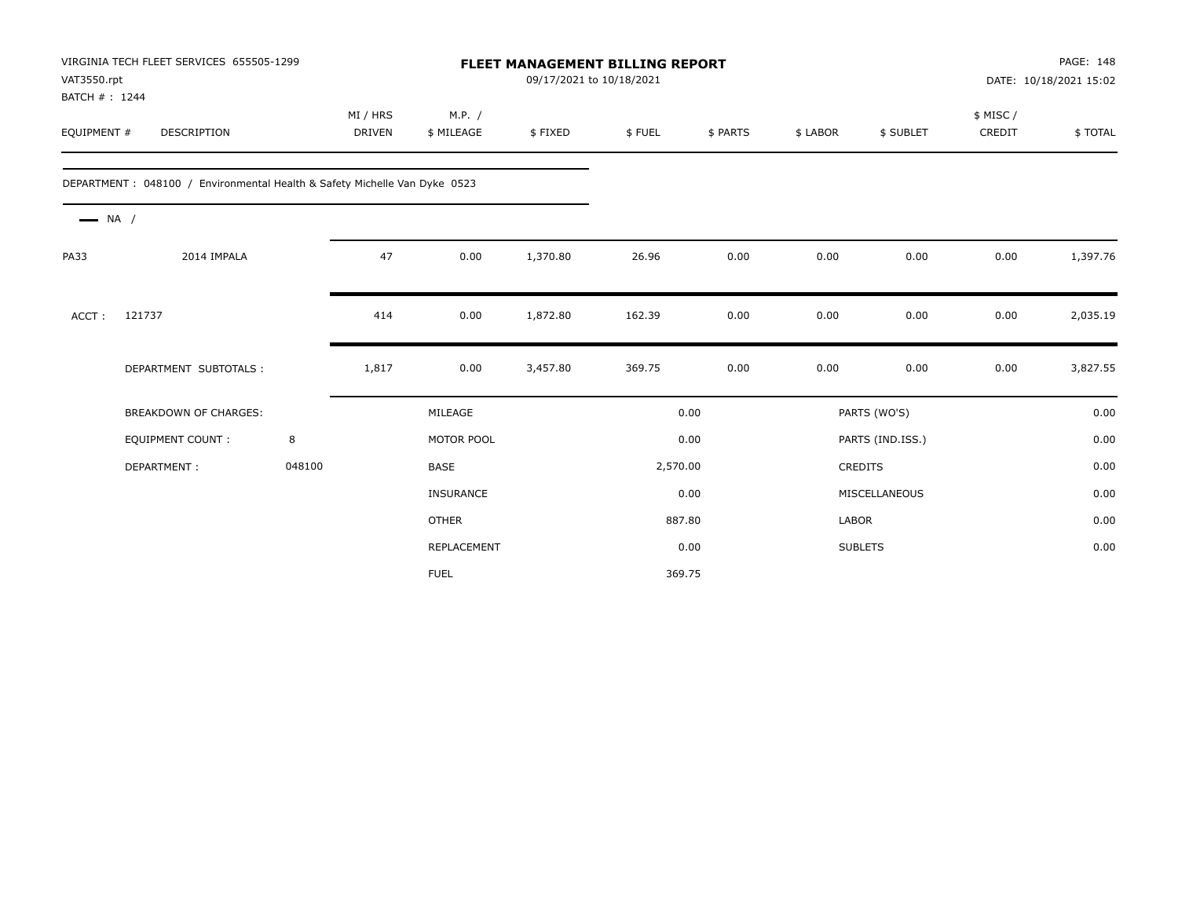| VAT3550.rpt<br>BATCH #: 1244 | VIRGINIA TECH FLEET SERVICES 655505-1299                                   |        |                           |                      | 09/17/2021 to 10/18/2021 | <b>FLEET MANAGEMENT BILLING REPORT</b> |          |          |                  |                     | PAGE: 148<br>DATE: 10/18/2021 15:02 |
|------------------------------|----------------------------------------------------------------------------|--------|---------------------------|----------------------|--------------------------|----------------------------------------|----------|----------|------------------|---------------------|-------------------------------------|
| EQUIPMENT #                  | <b>DESCRIPTION</b>                                                         |        | MI / HRS<br><b>DRIVEN</b> | M.P. /<br>\$ MILEAGE | \$FIXED                  | \$FUEL                                 | \$ PARTS | \$ LABOR | \$ SUBLET        | \$ MISC /<br>CREDIT | \$TOTAL                             |
|                              | DEPARTMENT : 048100 / Environmental Health & Safety Michelle Van Dyke 0523 |        |                           |                      |                          |                                        |          |          |                  |                     |                                     |
| $\longrightarrow$ NA /       |                                                                            |        |                           |                      |                          |                                        |          |          |                  |                     |                                     |
| <b>PA33</b>                  | 2014 IMPALA                                                                |        | 47                        | 0.00                 | 1,370.80                 | 26.96                                  | 0.00     | 0.00     | 0.00             | 0.00                | 1,397.76                            |
| ACCT:                        | 121737                                                                     |        | 414                       | 0.00                 | 1,872.80                 | 162.39                                 | 0.00     | 0.00     | 0.00             | 0.00                | 2,035.19                            |
|                              | DEPARTMENT SUBTOTALS :                                                     |        | 1,817                     | 0.00                 | 3,457.80                 | 369.75                                 | 0.00     | 0.00     | 0.00             | 0.00                | 3,827.55                            |
|                              | <b>BREAKDOWN OF CHARGES:</b>                                               |        |                           | MILEAGE              |                          |                                        | 0.00     |          | PARTS (WO'S)     |                     | 0.00                                |
|                              | <b>EQUIPMENT COUNT:</b>                                                    | 8      |                           | MOTOR POOL           |                          |                                        | 0.00     |          | PARTS (IND.ISS.) |                     | 0.00                                |
|                              | DEPARTMENT:                                                                | 048100 |                           | <b>BASE</b>          |                          | 2,570.00                               |          |          | <b>CREDITS</b>   |                     | 0.00                                |
|                              |                                                                            |        |                           | <b>INSURANCE</b>     |                          |                                        | 0.00     |          | MISCELLANEOUS    |                     | 0.00                                |
|                              |                                                                            |        |                           | <b>OTHER</b>         |                          | 887.80                                 |          | LABOR    |                  |                     | 0.00                                |
|                              |                                                                            |        |                           | REPLACEMENT          |                          |                                        | 0.00     |          | <b>SUBLETS</b>   |                     | 0.00                                |
|                              |                                                                            |        |                           | <b>FUEL</b>          |                          | 369.75                                 |          |          |                  |                     |                                     |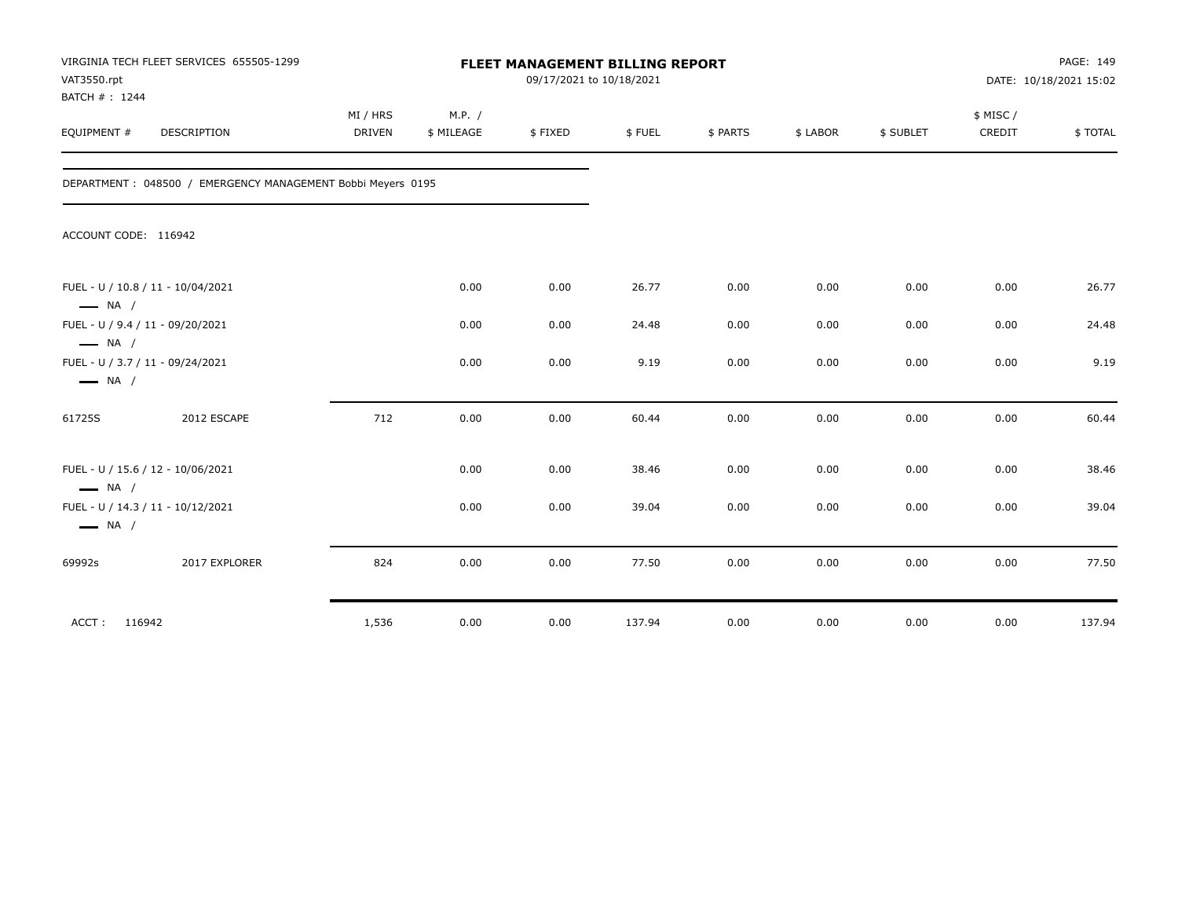| VAT3550.rpt<br>BATCH #: 1244 | VIRGINIA TECH FLEET SERVICES 655505-1299                    |                           |                      | FLEET MANAGEMENT BILLING REPORT<br>09/17/2021 to 10/18/2021 |        |          |          |           |                    | PAGE: 149<br>DATE: 10/18/2021 15:02 |
|------------------------------|-------------------------------------------------------------|---------------------------|----------------------|-------------------------------------------------------------|--------|----------|----------|-----------|--------------------|-------------------------------------|
| EQUIPMENT #                  | DESCRIPTION                                                 | MI / HRS<br><b>DRIVEN</b> | M.P. /<br>\$ MILEAGE | \$FIXED                                                     | \$FUEL | \$ PARTS | \$ LABOR | \$ SUBLET | \$ MISC/<br>CREDIT | \$TOTAL                             |
|                              | DEPARTMENT: 048500 / EMERGENCY MANAGEMENT Bobbi Meyers 0195 |                           |                      |                                                             |        |          |          |           |                    |                                     |
| ACCOUNT CODE: 116942         |                                                             |                           |                      |                                                             |        |          |          |           |                    |                                     |
| $\longrightarrow$ NA /       | FUEL - U / 10.8 / 11 - 10/04/2021                           |                           | 0.00                 | 0.00                                                        | 26.77  | 0.00     | 0.00     | 0.00      | 0.00               | 26.77                               |
| $\longrightarrow$ NA /       | FUEL - U / 9.4 / 11 - 09/20/2021                            |                           | 0.00                 | 0.00                                                        | 24.48  | 0.00     | 0.00     | 0.00      | 0.00               | 24.48                               |
| $\longrightarrow$ NA /       | FUEL - U / 3.7 / 11 - 09/24/2021                            |                           | 0.00                 | 0.00                                                        | 9.19   | 0.00     | 0.00     | 0.00      | 0.00               | 9.19                                |
| 61725S                       | 2012 ESCAPE                                                 | 712                       | 0.00                 | 0.00                                                        | 60.44  | 0.00     | 0.00     | 0.00      | 0.00               | 60.44                               |
| $\longrightarrow$ NA /       | FUEL - U / 15.6 / 12 - 10/06/2021                           |                           | 0.00                 | 0.00                                                        | 38.46  | 0.00     | 0.00     | 0.00      | 0.00               | 38.46                               |
| $\longrightarrow$ NA /       | FUEL - U / 14.3 / 11 - 10/12/2021                           |                           | 0.00                 | 0.00                                                        | 39.04  | 0.00     | 0.00     | 0.00      | 0.00               | 39.04                               |
| 69992s                       | 2017 EXPLORER                                               | 824                       | 0.00                 | 0.00                                                        | 77.50  | 0.00     | 0.00     | 0.00      | 0.00               | 77.50                               |
| ACCT: 116942                 |                                                             | 1,536                     | 0.00                 | 0.00                                                        | 137.94 | 0.00     | 0.00     | 0.00      | 0.00               | 137.94                              |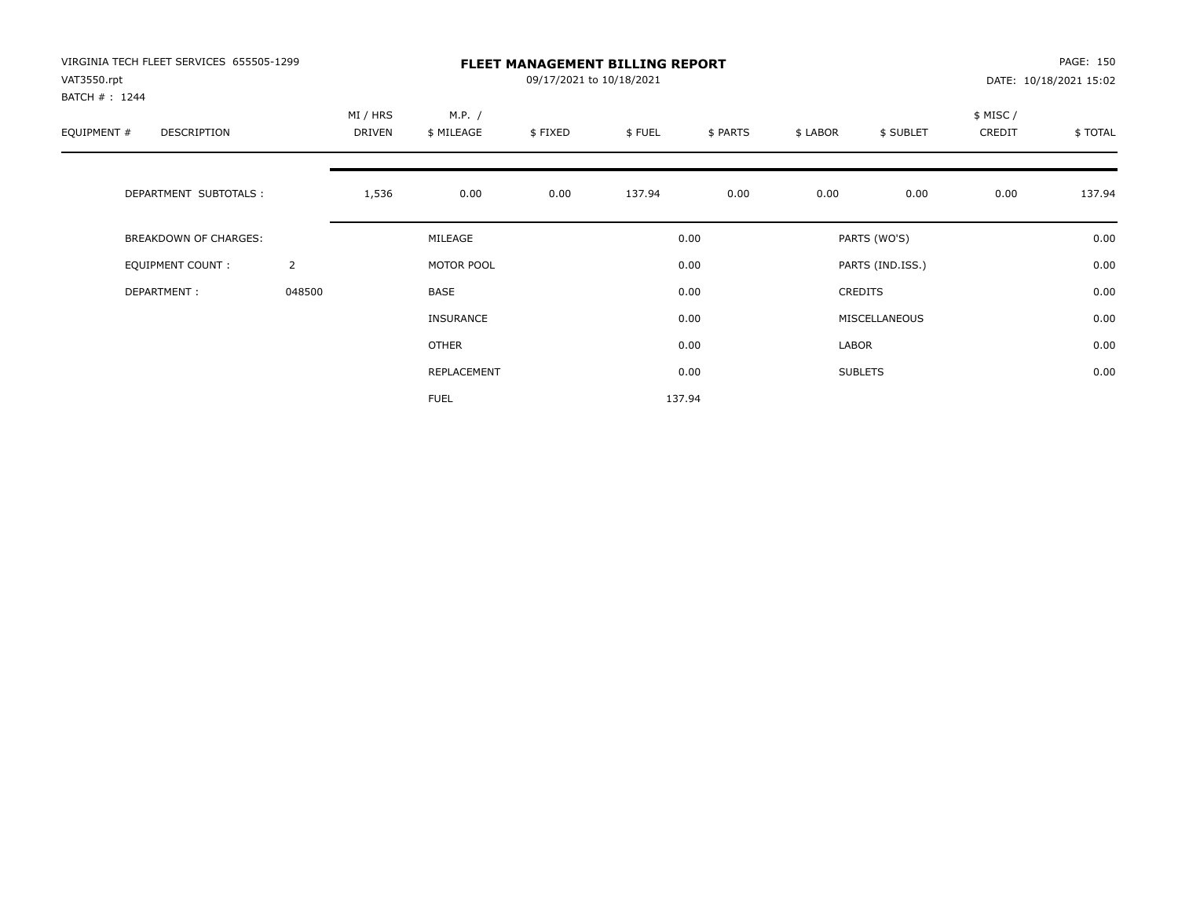| VIRGINIA TECH FLEET SERVICES 655505-1299<br>VAT3550.rpt<br>BATCH #: 1244 |                |                    |                      | 09/17/2021 to 10/18/2021 | <b>FLEET MANAGEMENT BILLING REPORT</b> |          |          |                  |                    | PAGE: 150<br>DATE: 10/18/2021 15:02 |
|--------------------------------------------------------------------------|----------------|--------------------|----------------------|--------------------------|----------------------------------------|----------|----------|------------------|--------------------|-------------------------------------|
| EQUIPMENT #<br>DESCRIPTION                                               |                | MI / HRS<br>DRIVEN | M.P. /<br>\$ MILEAGE | \$FIXED                  | \$FUEL                                 | \$ PARTS | \$ LABOR | \$ SUBLET        | \$ MISC/<br>CREDIT | \$ TOTAL                            |
| DEPARTMENT SUBTOTALS :                                                   |                | 1,536              | 0.00                 | 0.00                     | 137.94                                 | 0.00     | 0.00     | 0.00             | 0.00               | 137.94                              |
| BREAKDOWN OF CHARGES:                                                    |                |                    | MILEAGE              |                          |                                        | 0.00     |          | PARTS (WO'S)     |                    | 0.00                                |
| <b>EQUIPMENT COUNT:</b>                                                  | $\overline{2}$ |                    | MOTOR POOL           |                          |                                        | 0.00     |          | PARTS (IND.ISS.) |                    | 0.00                                |
| DEPARTMENT:                                                              | 048500         |                    | BASE                 |                          |                                        | 0.00     |          | <b>CREDITS</b>   |                    | 0.00                                |
|                                                                          |                |                    | <b>INSURANCE</b>     |                          |                                        | 0.00     |          | MISCELLANEOUS    |                    | 0.00                                |
|                                                                          |                |                    | <b>OTHER</b>         |                          |                                        | 0.00     | LABOR    |                  |                    | 0.00                                |
|                                                                          |                |                    | REPLACEMENT          |                          |                                        | 0.00     |          | <b>SUBLETS</b>   |                    | 0.00                                |
|                                                                          |                |                    | <b>FUEL</b>          |                          |                                        | 137.94   |          |                  |                    |                                     |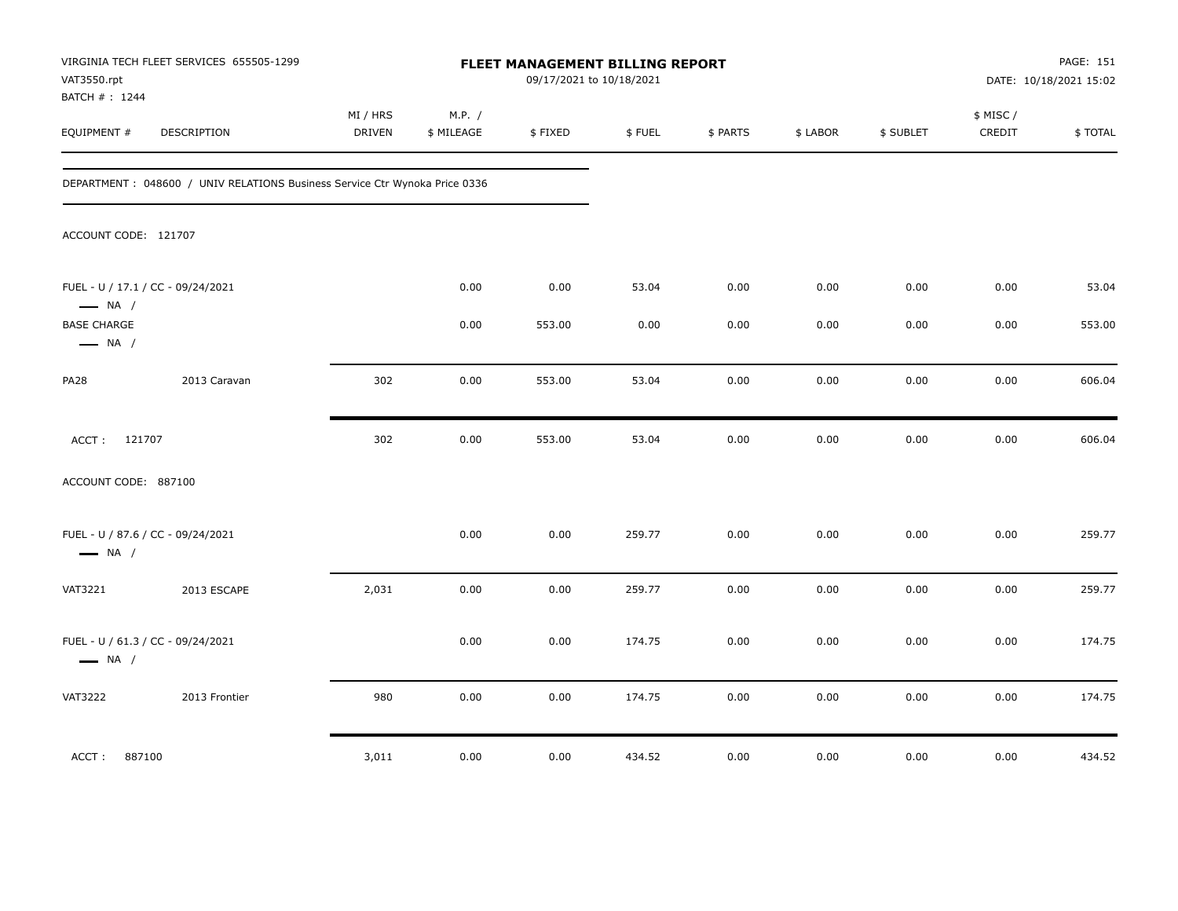| VAT3550.rpt<br>BATCH #: 1244                 | VIRGINIA TECH FLEET SERVICES 655505-1299                                   |                    |                      | FLEET MANAGEMENT BILLING REPORT<br>09/17/2021 to 10/18/2021 |        |          |          |           |                     | PAGE: 151<br>DATE: 10/18/2021 15:02 |
|----------------------------------------------|----------------------------------------------------------------------------|--------------------|----------------------|-------------------------------------------------------------|--------|----------|----------|-----------|---------------------|-------------------------------------|
| EQUIPMENT #                                  | DESCRIPTION                                                                | MI / HRS<br>DRIVEN | M.P. /<br>\$ MILEAGE | \$FIXED                                                     | \$FUEL | \$ PARTS | \$ LABOR | \$ SUBLET | \$ MISC /<br>CREDIT | \$TOTAL                             |
|                                              | DEPARTMENT: 048600 / UNIV RELATIONS Business Service Ctr Wynoka Price 0336 |                    |                      |                                                             |        |          |          |           |                     |                                     |
| ACCOUNT CODE: 121707                         |                                                                            |                    |                      |                                                             |        |          |          |           |                     |                                     |
| $\longrightarrow$ NA /                       | FUEL - U / 17.1 / CC - 09/24/2021                                          |                    | 0.00                 | 0.00                                                        | 53.04  | 0.00     | 0.00     | 0.00      | 0.00                | 53.04                               |
| <b>BASE CHARGE</b><br>$\longrightarrow$ NA / |                                                                            |                    | 0.00                 | 553.00                                                      | 0.00   | 0.00     | 0.00     | 0.00      | 0.00                | 553.00                              |
| <b>PA28</b>                                  | 2013 Caravan                                                               | 302                | 0.00                 | 553.00                                                      | 53.04  | 0.00     | 0.00     | 0.00      | 0.00                | 606.04                              |
| ACCT: 121707                                 |                                                                            | 302                | 0.00                 | 553.00                                                      | 53.04  | 0.00     | 0.00     | 0.00      | 0.00                | 606.04                              |
| ACCOUNT CODE: 887100                         |                                                                            |                    |                      |                                                             |        |          |          |           |                     |                                     |
| $\longrightarrow$ NA /                       | FUEL - U / 87.6 / CC - 09/24/2021                                          |                    | 0.00                 | 0.00                                                        | 259.77 | 0.00     | 0.00     | 0.00      | 0.00                | 259.77                              |
| <b>VAT3221</b>                               | 2013 ESCAPE                                                                | 2,031              | 0.00                 | 0.00                                                        | 259.77 | 0.00     | 0.00     | 0.00      | 0.00                | 259.77                              |
| $\longrightarrow$ NA /                       | FUEL - U / 61.3 / CC - 09/24/2021                                          |                    | 0.00                 | 0.00                                                        | 174.75 | 0.00     | 0.00     | 0.00      | 0.00                | 174.75                              |
| <b>VAT3222</b>                               | 2013 Frontier                                                              | 980                | 0.00                 | 0.00                                                        | 174.75 | 0.00     | 0.00     | 0.00      | 0.00                | 174.75                              |
| 887100<br>ACCT:                              |                                                                            | 3,011              | 0.00                 | 0.00                                                        | 434.52 | 0.00     | 0.00     | 0.00      | 0.00                | 434.52                              |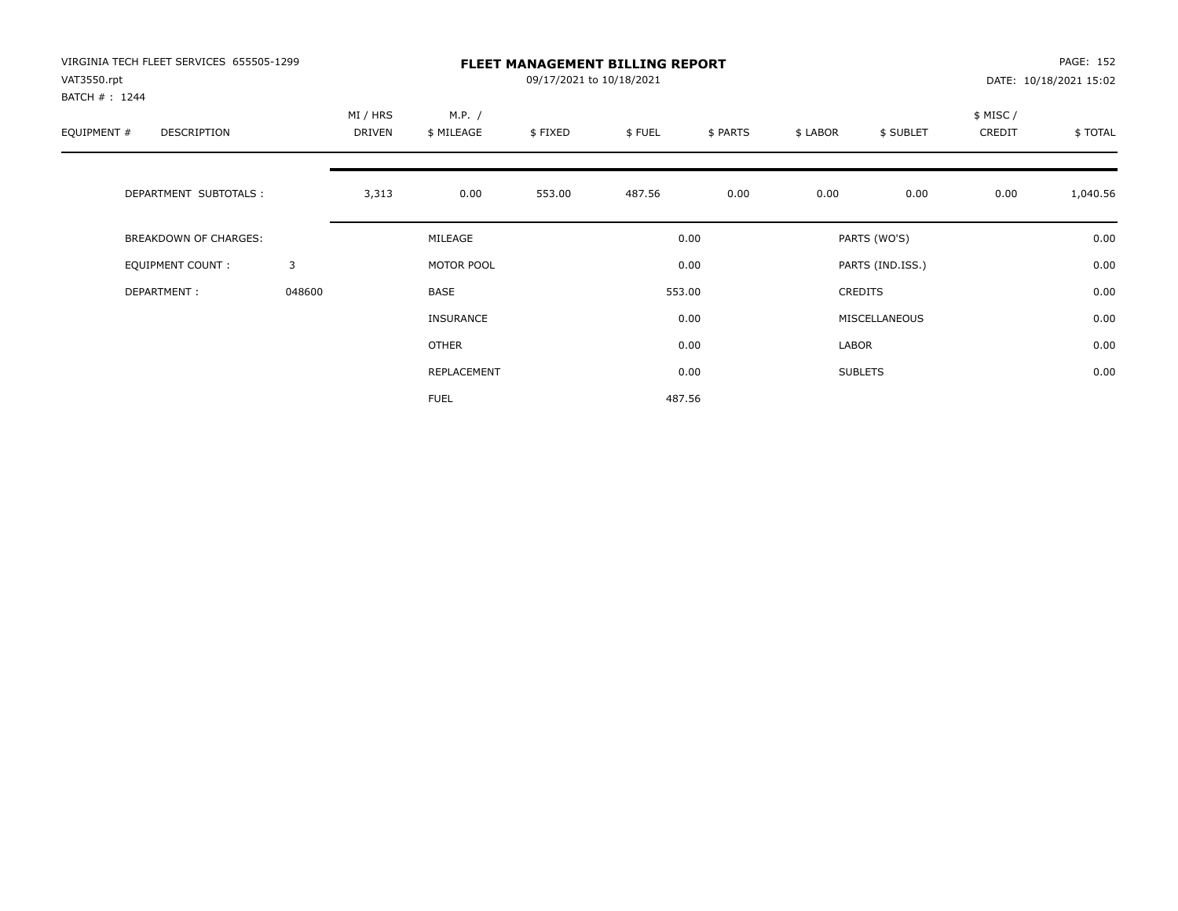| VIRGINIA TECH FLEET SERVICES 655505-1299<br>VAT3550.rpt<br>BATCH #: 1244 |        | <b>FLEET MANAGEMENT BILLING REPORT</b><br>09/17/2021 to 10/18/2021 |                      |         |        |          |          |                  |                    | PAGE: 152<br>DATE: 10/18/2021 15:02 |  |
|--------------------------------------------------------------------------|--------|--------------------------------------------------------------------|----------------------|---------|--------|----------|----------|------------------|--------------------|-------------------------------------|--|
| EQUIPMENT #<br>DESCRIPTION                                               |        | MI / HRS<br>DRIVEN                                                 | M.P. /<br>\$ MILEAGE | \$FIXED | \$FUEL | \$ PARTS | \$ LABOR | \$ SUBLET        | \$ MISC/<br>CREDIT | \$TOTAL                             |  |
| DEPARTMENT SUBTOTALS :                                                   |        | 3,313                                                              | 0.00                 | 553.00  | 487.56 | 0.00     | 0.00     | 0.00             | 0.00               | 1,040.56                            |  |
| <b>BREAKDOWN OF CHARGES:</b>                                             |        |                                                                    | MILEAGE              |         |        | 0.00     |          | PARTS (WO'S)     |                    | 0.00                                |  |
| EQUIPMENT COUNT:                                                         | 3      |                                                                    | MOTOR POOL           |         |        | 0.00     |          | PARTS (IND.ISS.) |                    | 0.00                                |  |
| DEPARTMENT:                                                              | 048600 |                                                                    | BASE                 |         |        | 553.00   |          | <b>CREDITS</b>   |                    | 0.00                                |  |
|                                                                          |        |                                                                    | <b>INSURANCE</b>     |         |        | 0.00     |          | MISCELLANEOUS    |                    | 0.00                                |  |
|                                                                          |        |                                                                    | <b>OTHER</b>         |         |        | 0.00     | LABOR    |                  |                    | 0.00                                |  |
|                                                                          |        |                                                                    | REPLACEMENT          |         |        | 0.00     |          | <b>SUBLETS</b>   |                    | 0.00                                |  |
|                                                                          |        |                                                                    | <b>FUEL</b>          |         |        | 487.56   |          |                  |                    |                                     |  |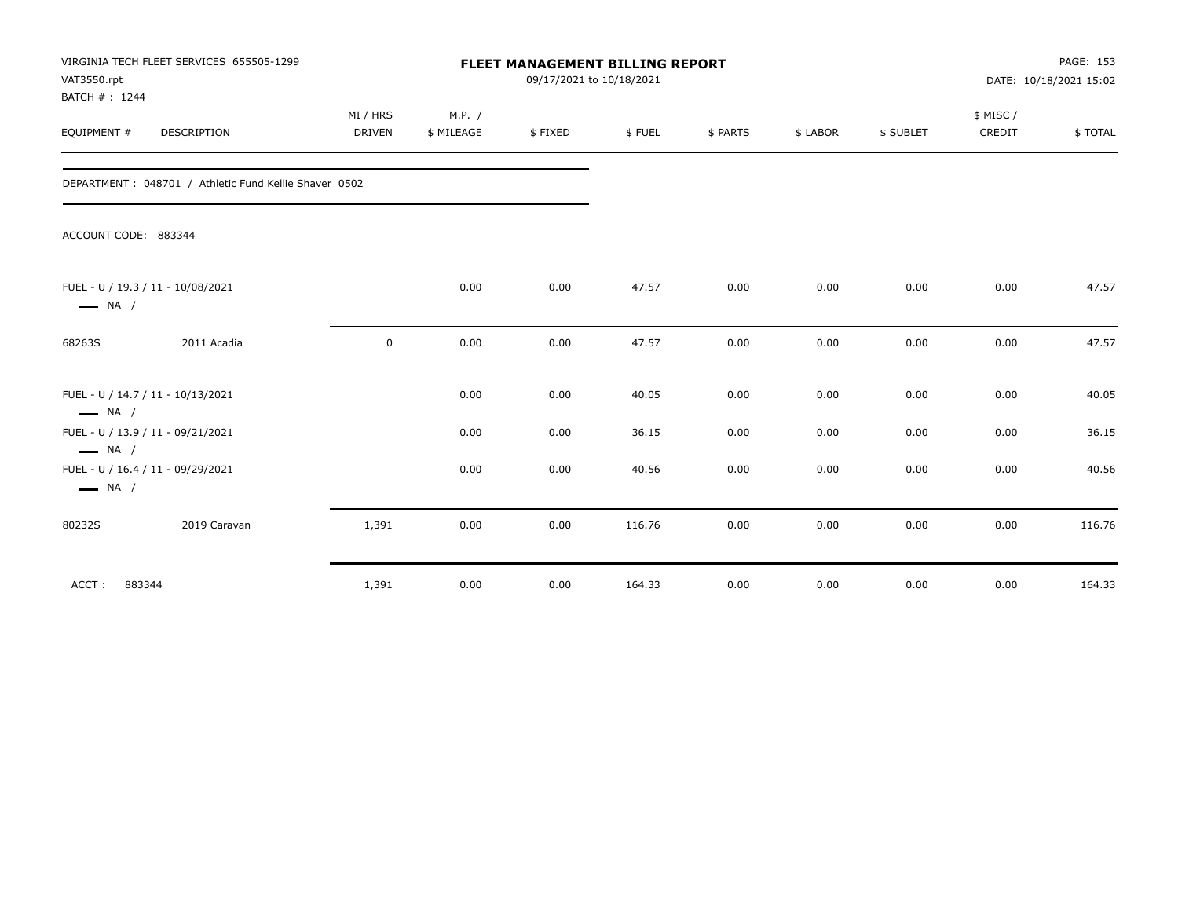| VAT3550.rpt<br>BATCH #: 1244 | VIRGINIA TECH FLEET SERVICES 655505-1299              |             | PAGE: 153<br>DATE: 10/18/2021 15:02 |         |        |          |          |           |          |         |
|------------------------------|-------------------------------------------------------|-------------|-------------------------------------|---------|--------|----------|----------|-----------|----------|---------|
|                              |                                                       | MI / HRS    | M.P. /                              |         |        |          |          |           | \$ MISC/ |         |
| EQUIPMENT #                  | DESCRIPTION                                           | DRIVEN      | \$ MILEAGE                          | \$FIXED | \$FUEL | \$ PARTS | \$ LABOR | \$ SUBLET | CREDIT   | \$TOTAL |
|                              | DEPARTMENT: 048701 / Athletic Fund Kellie Shaver 0502 |             |                                     |         |        |          |          |           |          |         |
| ACCOUNT CODE: 883344         |                                                       |             |                                     |         |        |          |          |           |          |         |
| $\longrightarrow$ NA /       | FUEL - U / 19.3 / 11 - 10/08/2021                     |             | 0.00                                | 0.00    | 47.57  | 0.00     | 0.00     | 0.00      | 0.00     | 47.57   |
| 68263S                       | 2011 Acadia                                           | $\mathbf 0$ | 0.00                                | 0.00    | 47.57  | 0.00     | 0.00     | 0.00      | 0.00     | 47.57   |
| $\longrightarrow$ NA /       | FUEL - U / 14.7 / 11 - 10/13/2021                     |             | 0.00                                | 0.00    | 40.05  | 0.00     | 0.00     | 0.00      | 0.00     | 40.05   |
| $\longrightarrow$ NA /       | FUEL - U / 13.9 / 11 - 09/21/2021                     |             | 0.00                                | 0.00    | 36.15  | 0.00     | 0.00     | 0.00      | 0.00     | 36.15   |
| $\longrightarrow$ NA /       | FUEL - U / 16.4 / 11 - 09/29/2021                     |             | 0.00                                | 0.00    | 40.56  | 0.00     | 0.00     | 0.00      | 0.00     | 40.56   |
| 80232S                       | 2019 Caravan                                          | 1,391       | 0.00                                | 0.00    | 116.76 | 0.00     | 0.00     | 0.00      | 0.00     | 116.76  |
| 883344<br>ACCT:              |                                                       | 1,391       | 0.00                                | 0.00    | 164.33 | 0.00     | 0.00     | 0.00      | 0.00     | 164.33  |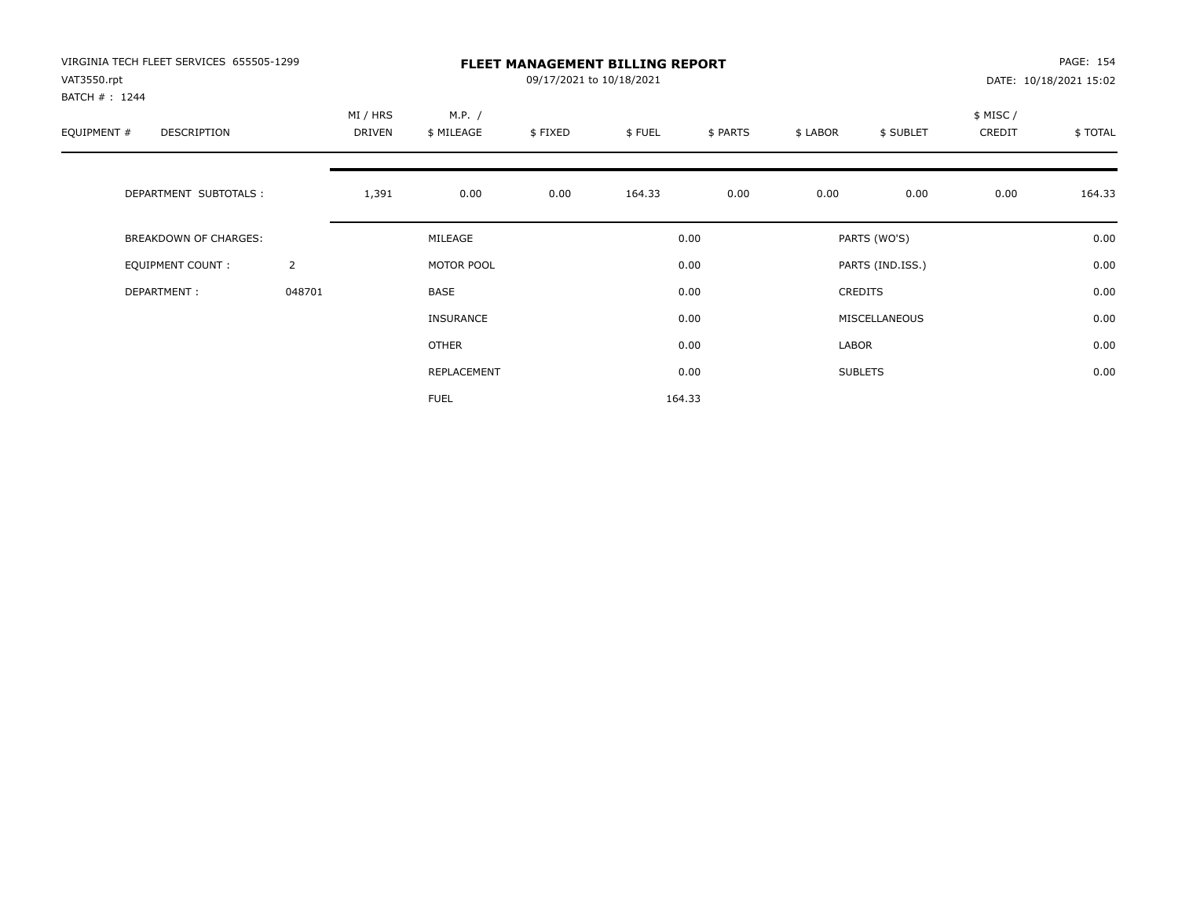| VIRGINIA TECH FLEET SERVICES 655505-1299<br>VAT3550.rpt<br>BATCH #: 1244 |                |                           | <b>FLEET MANAGEMENT BILLING REPORT</b><br>09/17/2021 to 10/18/2021 |         |        |          |          |                  |                    |         |
|--------------------------------------------------------------------------|----------------|---------------------------|--------------------------------------------------------------------|---------|--------|----------|----------|------------------|--------------------|---------|
| EQUIPMENT #<br>DESCRIPTION                                               |                | MI / HRS<br><b>DRIVEN</b> | M.P. /<br>\$ MILEAGE                                               | \$FIXED | \$FUEL | \$ PARTS | \$ LABOR | \$ SUBLET        | \$ MISC/<br>CREDIT | \$TOTAL |
| DEPARTMENT SUBTOTALS :                                                   |                | 1,391                     | 0.00                                                               | 0.00    | 164.33 | 0.00     | 0.00     | 0.00             | 0.00               | 164.33  |
| <b>BREAKDOWN OF CHARGES:</b>                                             |                |                           | MILEAGE                                                            |         |        | 0.00     |          | PARTS (WO'S)     |                    | 0.00    |
| EQUIPMENT COUNT:                                                         | $\overline{2}$ |                           | MOTOR POOL                                                         |         |        | 0.00     |          | PARTS (IND.ISS.) |                    | 0.00    |
| DEPARTMENT:                                                              | 048701         |                           | <b>BASE</b>                                                        |         |        | 0.00     |          | <b>CREDITS</b>   |                    | 0.00    |
|                                                                          |                |                           | <b>INSURANCE</b>                                                   |         |        | 0.00     |          | MISCELLANEOUS    |                    | 0.00    |
|                                                                          |                |                           | <b>OTHER</b>                                                       |         |        | 0.00     | LABOR    |                  |                    | 0.00    |
|                                                                          |                |                           | REPLACEMENT                                                        |         |        | 0.00     |          | <b>SUBLETS</b>   |                    | 0.00    |
|                                                                          |                |                           | <b>FUEL</b>                                                        |         |        | 164.33   |          |                  |                    |         |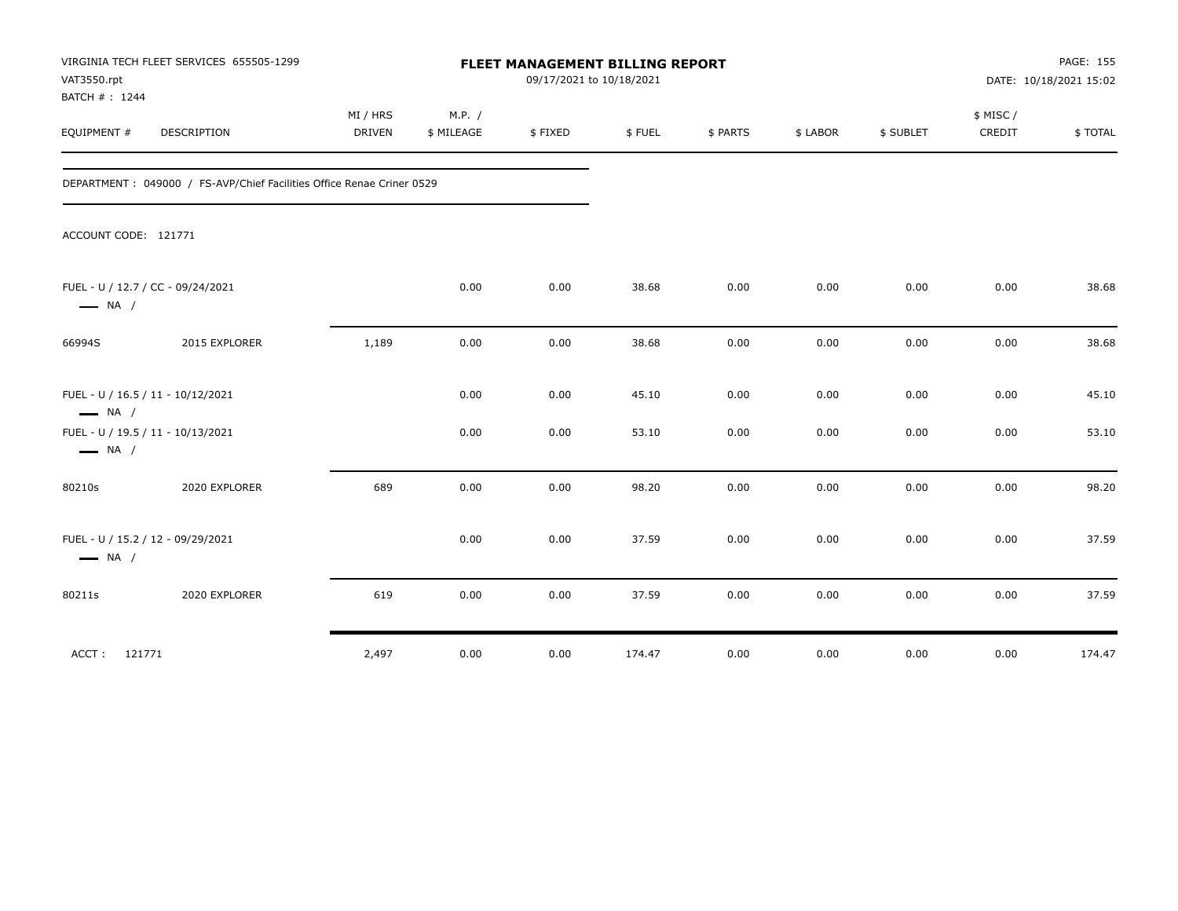| VAT3550.rpt<br>BATCH #: 1244 | VIRGINIA TECH FLEET SERVICES 655505-1299                               |                           |                      |         | PAGE: 155<br>FLEET MANAGEMENT BILLING REPORT<br>09/17/2021 to 10/18/2021<br>DATE: 10/18/2021 15:02 |          |          |           |                    |         |
|------------------------------|------------------------------------------------------------------------|---------------------------|----------------------|---------|----------------------------------------------------------------------------------------------------|----------|----------|-----------|--------------------|---------|
| EQUIPMENT #                  | DESCRIPTION                                                            | MI / HRS<br><b>DRIVEN</b> | M.P. /<br>\$ MILEAGE | \$FIXED | \$FUEL                                                                                             | \$ PARTS | \$ LABOR | \$ SUBLET | \$ MISC/<br>CREDIT | \$TOTAL |
|                              | DEPARTMENT : 049000 / FS-AVP/Chief Facilities Office Renae Criner 0529 |                           |                      |         |                                                                                                    |          |          |           |                    |         |
| ACCOUNT CODE: 121771         |                                                                        |                           |                      |         |                                                                                                    |          |          |           |                    |         |
| $\longrightarrow$ NA /       | FUEL - U / 12.7 / CC - 09/24/2021                                      |                           | 0.00                 | 0.00    | 38.68                                                                                              | 0.00     | 0.00     | 0.00      | 0.00               | 38.68   |
| 66994S                       | 2015 EXPLORER                                                          | 1,189                     | 0.00                 | 0.00    | 38.68                                                                                              | 0.00     | 0.00     | 0.00      | 0.00               | 38.68   |
| $\longrightarrow$ NA /       | FUEL - U / 16.5 / 11 - 10/12/2021                                      |                           | 0.00                 | 0.00    | 45.10                                                                                              | 0.00     | 0.00     | 0.00      | 0.00               | 45.10   |
| $\longrightarrow$ NA /       | FUEL - U / 19.5 / 11 - 10/13/2021                                      |                           | 0.00                 | 0.00    | 53.10                                                                                              | 0.00     | 0.00     | 0.00      | 0.00               | 53.10   |
| 80210s                       | 2020 EXPLORER                                                          | 689                       | 0.00                 | 0.00    | 98.20                                                                                              | 0.00     | 0.00     | 0.00      | 0.00               | 98.20   |
| $\longrightarrow$ NA /       | FUEL - U / 15.2 / 12 - 09/29/2021                                      |                           | 0.00                 | 0.00    | 37.59                                                                                              | 0.00     | 0.00     | 0.00      | 0.00               | 37.59   |
| 80211s                       | 2020 EXPLORER                                                          | 619                       | 0.00                 | 0.00    | 37.59                                                                                              | 0.00     | 0.00     | 0.00      | 0.00               | 37.59   |
| ACCT: 121771                 |                                                                        | 2,497                     | 0.00                 | 0.00    | 174.47                                                                                             | 0.00     | 0.00     | 0.00      | 0.00               | 174.47  |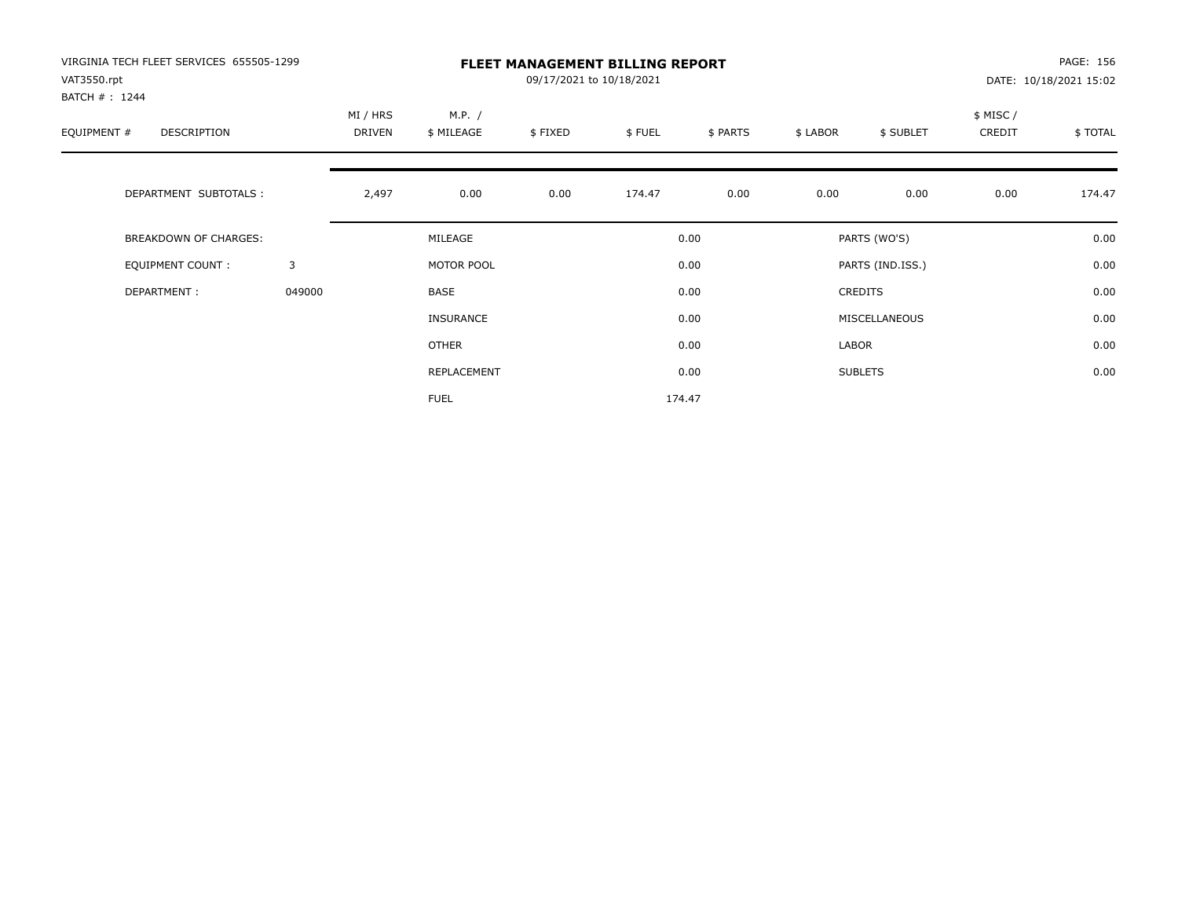| VIRGINIA TECH FLEET SERVICES 655505-1299<br>VAT3550.rpt<br>BATCH #: 1244 |        | <b>FLEET MANAGEMENT BILLING REPORT</b><br>09/17/2021 to 10/18/2021 |                      |         |        |          |          |                  |                    | PAGE: 156<br>DATE: 10/18/2021 15:02 |  |
|--------------------------------------------------------------------------|--------|--------------------------------------------------------------------|----------------------|---------|--------|----------|----------|------------------|--------------------|-------------------------------------|--|
| EQUIPMENT #<br>DESCRIPTION                                               |        | MI / HRS<br>DRIVEN                                                 | M.P. /<br>\$ MILEAGE | \$FIXED | \$FUEL | \$ PARTS | \$ LABOR | \$ SUBLET        | \$ MISC/<br>CREDIT | \$TOTAL                             |  |
| DEPARTMENT SUBTOTALS :                                                   |        | 2,497                                                              | 0.00                 | 0.00    | 174.47 | 0.00     | 0.00     | 0.00             | 0.00               | 174.47                              |  |
| <b>BREAKDOWN OF CHARGES:</b>                                             |        |                                                                    | MILEAGE              |         |        | 0.00     |          | PARTS (WO'S)     |                    | 0.00                                |  |
| EQUIPMENT COUNT:                                                         | 3      |                                                                    | MOTOR POOL           |         |        | 0.00     |          | PARTS (IND.ISS.) |                    | 0.00                                |  |
| DEPARTMENT:                                                              | 049000 |                                                                    | BASE                 |         |        | 0.00     |          | <b>CREDITS</b>   |                    | 0.00                                |  |
|                                                                          |        |                                                                    | <b>INSURANCE</b>     |         |        | 0.00     |          | MISCELLANEOUS    |                    | 0.00                                |  |
|                                                                          |        |                                                                    | <b>OTHER</b>         |         |        | 0.00     | LABOR    |                  |                    | 0.00                                |  |
|                                                                          |        |                                                                    | REPLACEMENT          |         |        | 0.00     |          | <b>SUBLETS</b>   |                    | 0.00                                |  |
|                                                                          |        |                                                                    | <b>FUEL</b>          |         |        | 174.47   |          |                  |                    |                                     |  |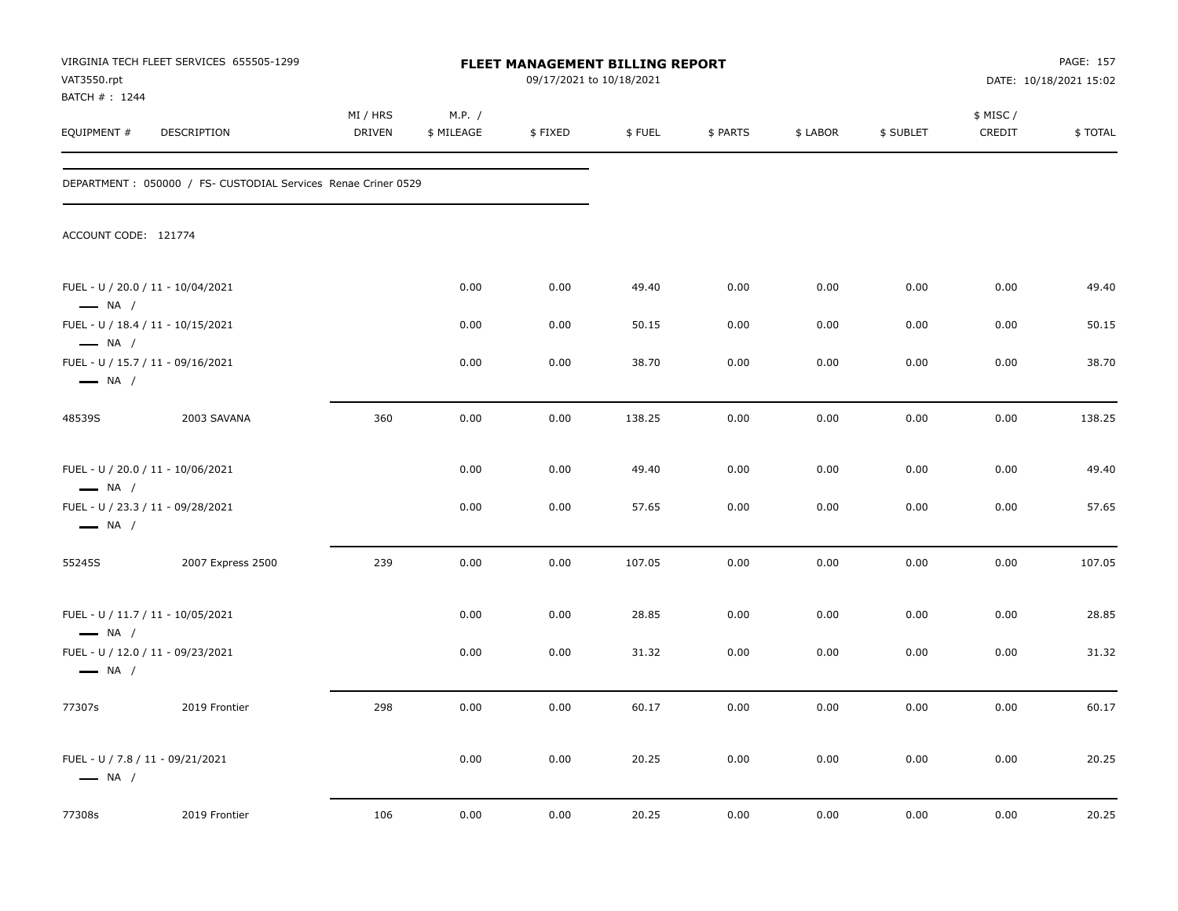| VAT3550.rpt<br>BATCH #: 1244                                                          | VIRGINIA TECH FLEET SERVICES 655505-1299                       |                    |                      | FLEET MANAGEMENT BILLING REPORT<br>09/17/2021 to 10/18/2021 |        |          |          |           |                    | PAGE: 157<br>DATE: 10/18/2021 15:02 |
|---------------------------------------------------------------------------------------|----------------------------------------------------------------|--------------------|----------------------|-------------------------------------------------------------|--------|----------|----------|-----------|--------------------|-------------------------------------|
| EQUIPMENT #                                                                           | DESCRIPTION                                                    | MI / HRS<br>DRIVEN | M.P. /<br>\$ MILEAGE | \$FIXED                                                     | \$FUEL | \$ PARTS | \$ LABOR | \$ SUBLET | \$ MISC/<br>CREDIT | \$TOTAL                             |
|                                                                                       | DEPARTMENT : 050000 / FS- CUSTODIAL Services Renae Criner 0529 |                    |                      |                                                             |        |          |          |           |                    |                                     |
| ACCOUNT CODE: 121774                                                                  |                                                                |                    |                      |                                                             |        |          |          |           |                    |                                     |
| FUEL - U / 20.0 / 11 - 10/04/2021<br>$\longrightarrow$ NA /                           |                                                                |                    | 0.00                 | 0.00                                                        | 49.40  | 0.00     | 0.00     | 0.00      | 0.00               | 49.40                               |
| FUEL - U / 18.4 / 11 - 10/15/2021                                                     |                                                                |                    | 0.00                 | 0.00                                                        | 50.15  | 0.00     | 0.00     | 0.00      | 0.00               | 50.15                               |
| $\longrightarrow$ NA /<br>FUEL - U / 15.7 / 11 - 09/16/2021<br>$\longrightarrow$ NA / |                                                                |                    | 0.00                 | 0.00                                                        | 38.70  | 0.00     | 0.00     | 0.00      | 0.00               | 38.70                               |
| 48539S                                                                                | 2003 SAVANA                                                    | 360                | 0.00                 | 0.00                                                        | 138.25 | 0.00     | 0.00     | 0.00      | 0.00               | 138.25                              |
| FUEL - U / 20.0 / 11 - 10/06/2021<br>$\longrightarrow$ NA /                           |                                                                |                    | 0.00                 | 0.00                                                        | 49.40  | 0.00     | 0.00     | 0.00      | 0.00               | 49.40                               |
| FUEL - U / 23.3 / 11 - 09/28/2021<br>$\longrightarrow$ NA /                           |                                                                |                    | 0.00                 | 0.00                                                        | 57.65  | 0.00     | 0.00     | 0.00      | 0.00               | 57.65                               |
| 55245S                                                                                | 2007 Express 2500                                              | 239                | 0.00                 | 0.00                                                        | 107.05 | 0.00     | 0.00     | 0.00      | 0.00               | 107.05                              |
| FUEL - U / 11.7 / 11 - 10/05/2021                                                     |                                                                |                    | 0.00                 | 0.00                                                        | 28.85  | 0.00     | 0.00     | 0.00      | 0.00               | 28.85                               |
| $\longrightarrow$ NA /<br>FUEL - U / 12.0 / 11 - 09/23/2021<br>$\longrightarrow$ NA / |                                                                |                    | 0.00                 | 0.00                                                        | 31.32  | 0.00     | 0.00     | 0.00      | 0.00               | 31.32                               |
| 77307s                                                                                | 2019 Frontier                                                  | 298                | 0.00                 | 0.00                                                        | 60.17  | 0.00     | 0.00     | 0.00      | 0.00               | 60.17                               |
| FUEL - U / 7.8 / 11 - 09/21/2021<br>$\longrightarrow$ NA /                            |                                                                |                    | 0.00                 | 0.00                                                        | 20.25  | 0.00     | 0.00     | 0.00      | 0.00               | 20.25                               |
| 77308s                                                                                | 2019 Frontier                                                  | 106                | 0.00                 | 0.00                                                        | 20.25  | 0.00     | 0.00     | 0.00      | 0.00               | 20.25                               |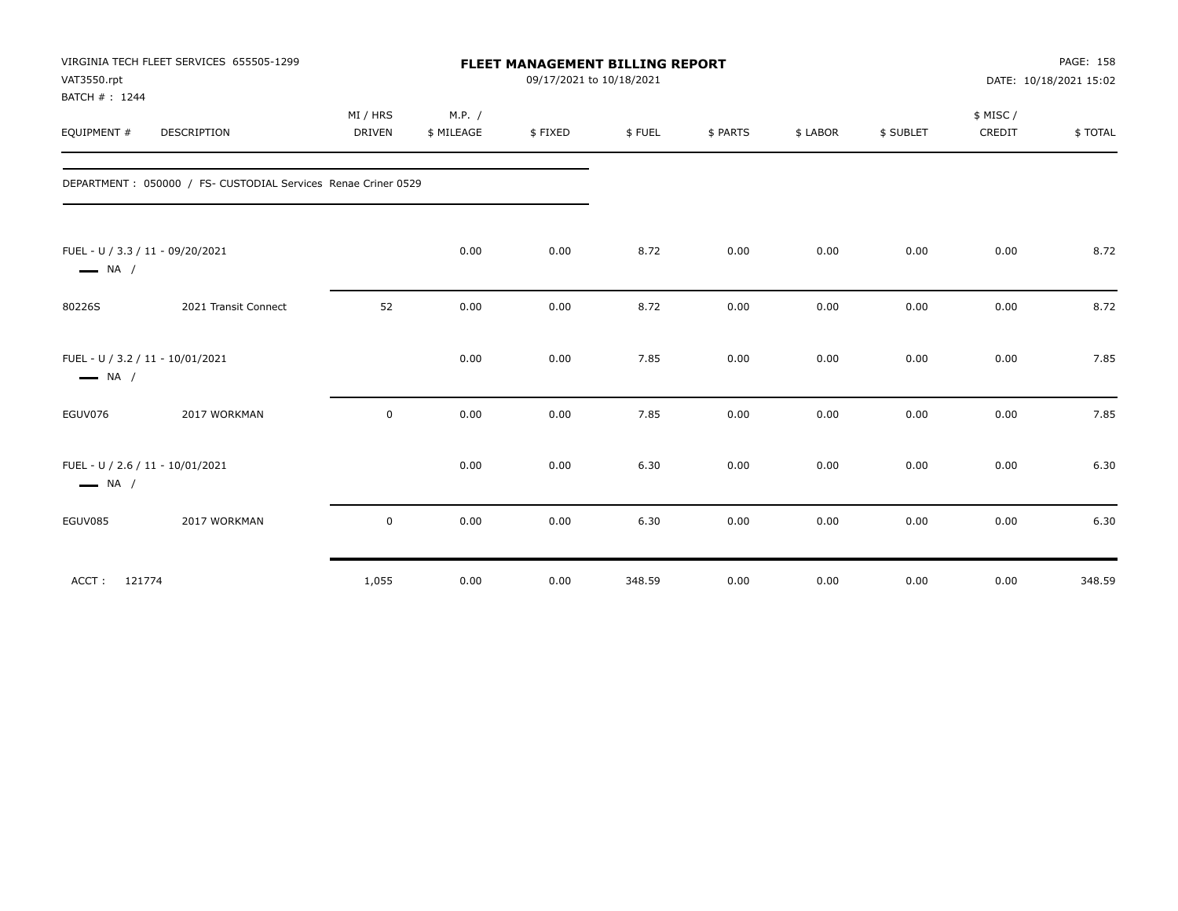| VAT3550.rpt<br>BATCH #: 1244                               | VIRGINIA TECH FLEET SERVICES 655505-1299                       |                           |                      |         | PAGE: 158<br>FLEET MANAGEMENT BILLING REPORT<br>09/17/2021 to 10/18/2021<br>DATE: 10/18/2021 15:02 |          |          |           |                    |         |
|------------------------------------------------------------|----------------------------------------------------------------|---------------------------|----------------------|---------|----------------------------------------------------------------------------------------------------|----------|----------|-----------|--------------------|---------|
| EQUIPMENT #                                                | DESCRIPTION                                                    | MI / HRS<br><b>DRIVEN</b> | M.P. /<br>\$ MILEAGE | \$FIXED | \$FUEL                                                                                             | \$ PARTS | \$ LABOR | \$ SUBLET | \$ MISC/<br>CREDIT | \$TOTAL |
|                                                            | DEPARTMENT : 050000 / FS- CUSTODIAL Services Renae Criner 0529 |                           |                      |         |                                                                                                    |          |          |           |                    |         |
| FUEL - U / 3.3 / 11 - 09/20/2021<br>$\longrightarrow$ NA / |                                                                |                           | 0.00                 | 0.00    | 8.72                                                                                               | 0.00     | 0.00     | 0.00      | 0.00               | 8.72    |
| 80226S                                                     | 2021 Transit Connect                                           | 52                        | 0.00                 | 0.00    | 8.72                                                                                               | 0.00     | 0.00     | 0.00      | 0.00               | 8.72    |
| FUEL - U / 3.2 / 11 - 10/01/2021<br>$\longrightarrow$ NA / |                                                                |                           | 0.00                 | 0.00    | 7.85                                                                                               | 0.00     | 0.00     | 0.00      | 0.00               | 7.85    |
| EGUV076                                                    | 2017 WORKMAN                                                   | $\mathbf 0$               | 0.00                 | 0.00    | 7.85                                                                                               | 0.00     | 0.00     | 0.00      | 0.00               | 7.85    |
| FUEL - U / 2.6 / 11 - 10/01/2021<br>$\longrightarrow$ NA / |                                                                |                           | 0.00                 | 0.00    | 6.30                                                                                               | 0.00     | 0.00     | 0.00      | 0.00               | 6.30    |
| EGUV085                                                    | 2017 WORKMAN                                                   | $\mathbf 0$               | 0.00                 | 0.00    | 6.30                                                                                               | 0.00     | 0.00     | 0.00      | 0.00               | 6.30    |
| 121774<br>ACCT:                                            |                                                                | 1,055                     | 0.00                 | 0.00    | 348.59                                                                                             | 0.00     | 0.00     | 0.00      | 0.00               | 348.59  |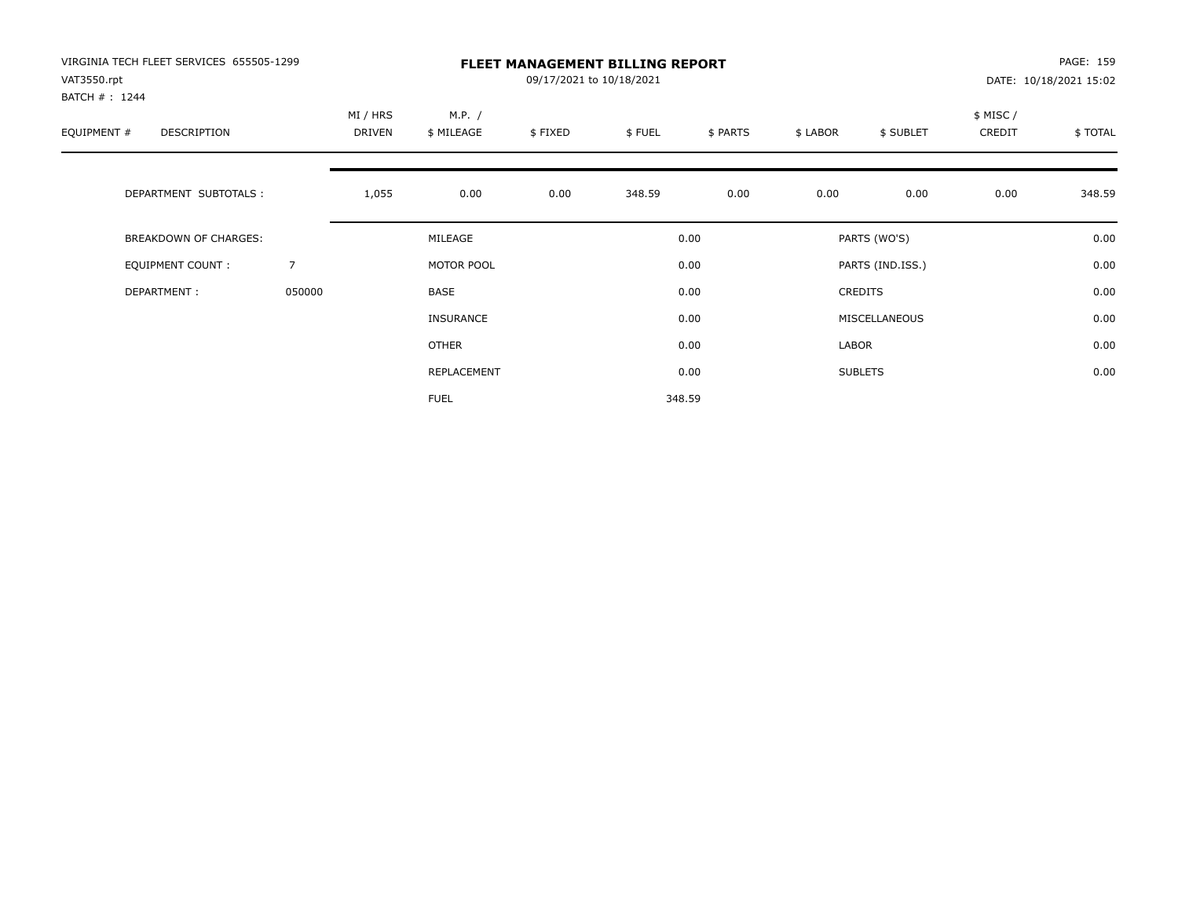| VIRGINIA TECH FLEET SERVICES 655505-1299<br>VAT3550.rpt<br>BATCH #: 1244 |        |                    |                      | 09/17/2021 to 10/18/2021 | <b>FLEET MANAGEMENT BILLING REPORT</b> |          |          |                  |                    | PAGE: 159<br>DATE: 10/18/2021 15:02 |
|--------------------------------------------------------------------------|--------|--------------------|----------------------|--------------------------|----------------------------------------|----------|----------|------------------|--------------------|-------------------------------------|
| EQUIPMENT #<br>DESCRIPTION                                               |        | MI / HRS<br>DRIVEN | M.P. /<br>\$ MILEAGE | \$FIXED                  | \$FUEL                                 | \$ PARTS | \$ LABOR | \$ SUBLET        | \$ MISC/<br>CREDIT | \$TOTAL                             |
| DEPARTMENT SUBTOTALS :                                                   |        | 1,055              | 0.00                 | 0.00                     | 348.59                                 | 0.00     | 0.00     | 0.00             | 0.00               | 348.59                              |
| <b>BREAKDOWN OF CHARGES:</b>                                             |        |                    | MILEAGE              |                          |                                        | 0.00     |          | PARTS (WO'S)     |                    | 0.00                                |
| EQUIPMENT COUNT:                                                         | 7      |                    | MOTOR POOL           |                          |                                        | 0.00     |          | PARTS (IND.ISS.) |                    | 0.00                                |
| DEPARTMENT:                                                              | 050000 |                    | <b>BASE</b>          |                          |                                        | 0.00     |          | <b>CREDITS</b>   |                    | 0.00                                |
|                                                                          |        |                    | <b>INSURANCE</b>     |                          |                                        | 0.00     |          | MISCELLANEOUS    |                    | 0.00                                |
|                                                                          |        |                    | <b>OTHER</b>         |                          |                                        | 0.00     | LABOR    |                  |                    | 0.00                                |
|                                                                          |        |                    | REPLACEMENT          |                          |                                        | 0.00     |          | <b>SUBLETS</b>   |                    | 0.00                                |
|                                                                          |        |                    | <b>FUEL</b>          |                          |                                        | 348.59   |          |                  |                    |                                     |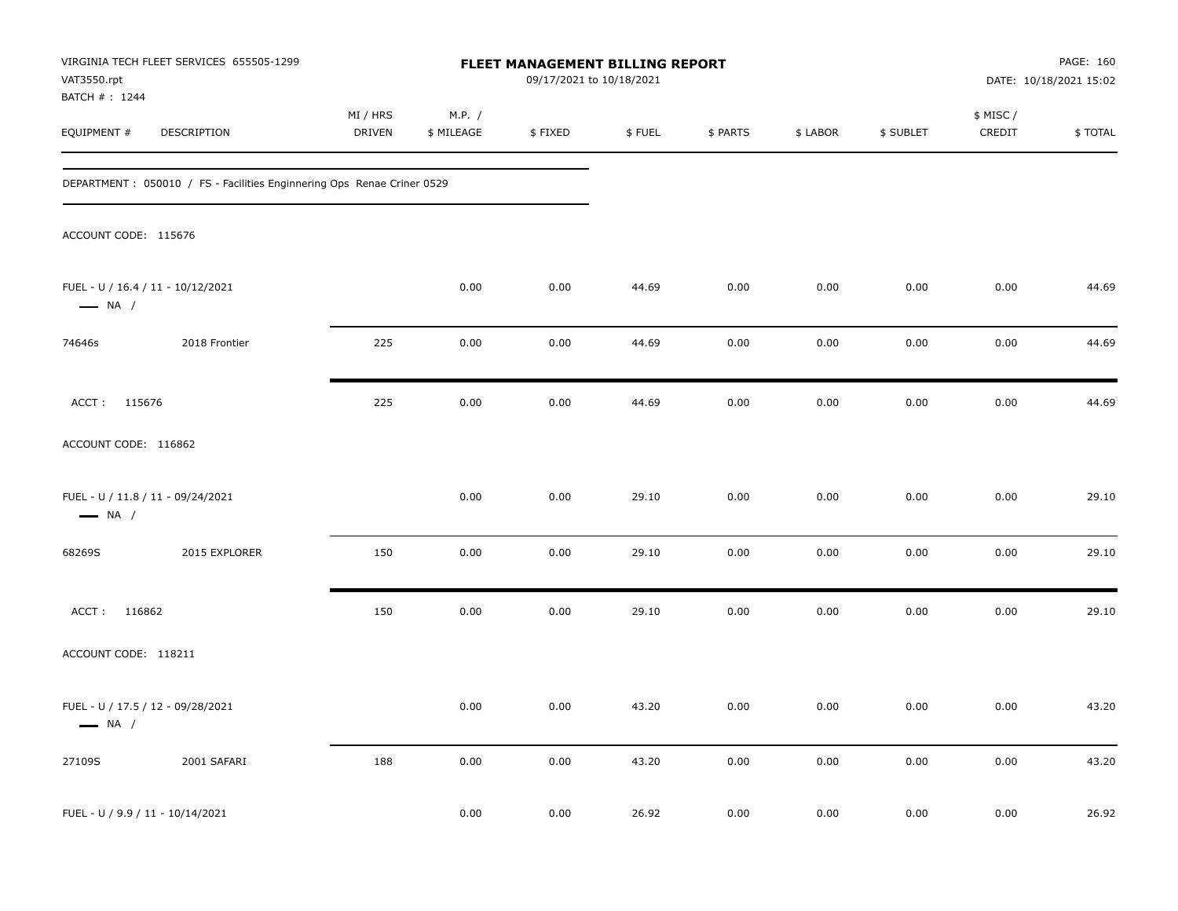| VAT3550.rpt                      | VIRGINIA TECH FLEET SERVICES 655505-1299                                |                           |                      | FLEET MANAGEMENT BILLING REPORT<br>09/17/2021 to 10/18/2021 |        |          |          |           |                     | PAGE: 160<br>DATE: 10/18/2021 15:02 |
|----------------------------------|-------------------------------------------------------------------------|---------------------------|----------------------|-------------------------------------------------------------|--------|----------|----------|-----------|---------------------|-------------------------------------|
| BATCH # : 1244<br>EQUIPMENT #    | DESCRIPTION                                                             | MI / HRS<br><b>DRIVEN</b> | M.P. /<br>\$ MILEAGE | \$FIXED                                                     | \$FUEL | \$ PARTS | \$ LABOR | \$ SUBLET | \$ MISC /<br>CREDIT | \$TOTAL                             |
|                                  | DEPARTMENT : 050010 / FS - Facilities Enginnering Ops Renae Criner 0529 |                           |                      |                                                             |        |          |          |           |                     |                                     |
| ACCOUNT CODE: 115676             |                                                                         |                           |                      |                                                             |        |          |          |           |                     |                                     |
| $\longrightarrow$ NA /           | FUEL - U / 16.4 / 11 - 10/12/2021                                       |                           | 0.00                 | 0.00                                                        | 44.69  | 0.00     | 0.00     | 0.00      | 0.00                | 44.69                               |
| 74646s                           | 2018 Frontier                                                           | 225                       | 0.00                 | 0.00                                                        | 44.69  | 0.00     | 0.00     | 0.00      | 0.00                | 44.69                               |
| ACCT: 115676                     |                                                                         | 225                       | 0.00                 | 0.00                                                        | 44.69  | 0.00     | 0.00     | 0.00      | 0.00                | 44.69                               |
| ACCOUNT CODE: 116862             |                                                                         |                           |                      |                                                             |        |          |          |           |                     |                                     |
| $\longrightarrow$ NA /           | FUEL - U / 11.8 / 11 - 09/24/2021                                       |                           | 0.00                 | 0.00                                                        | 29.10  | 0.00     | 0.00     | 0.00      | 0.00                | 29.10                               |
| 68269S                           | 2015 EXPLORER                                                           | 150                       | 0.00                 | 0.00                                                        | 29.10  | 0.00     | 0.00     | 0.00      | 0.00                | 29.10                               |
| ACCT: 116862                     |                                                                         | 150                       | 0.00                 | 0.00                                                        | 29.10  | 0.00     | 0.00     | 0.00      | 0.00                | 29.10                               |
| ACCOUNT CODE: 118211             |                                                                         |                           |                      |                                                             |        |          |          |           |                     |                                     |
| $\longrightarrow$ NA /           | FUEL - U / 17.5 / 12 - 09/28/2021                                       |                           | 0.00                 | 0.00                                                        | 43.20  | 0.00     | 0.00     | 0.00      | 0.00                | 43.20                               |
| 27109S                           | 2001 SAFARI                                                             | 188                       | 0.00                 | 0.00                                                        | 43.20  | 0.00     | 0.00     | 0.00      | 0.00                | 43.20                               |
| FUEL - U / 9.9 / 11 - 10/14/2021 |                                                                         |                           | 0.00                 | 0.00                                                        | 26.92  | 0.00     | 0.00     | 0.00      | 0.00                | 26.92                               |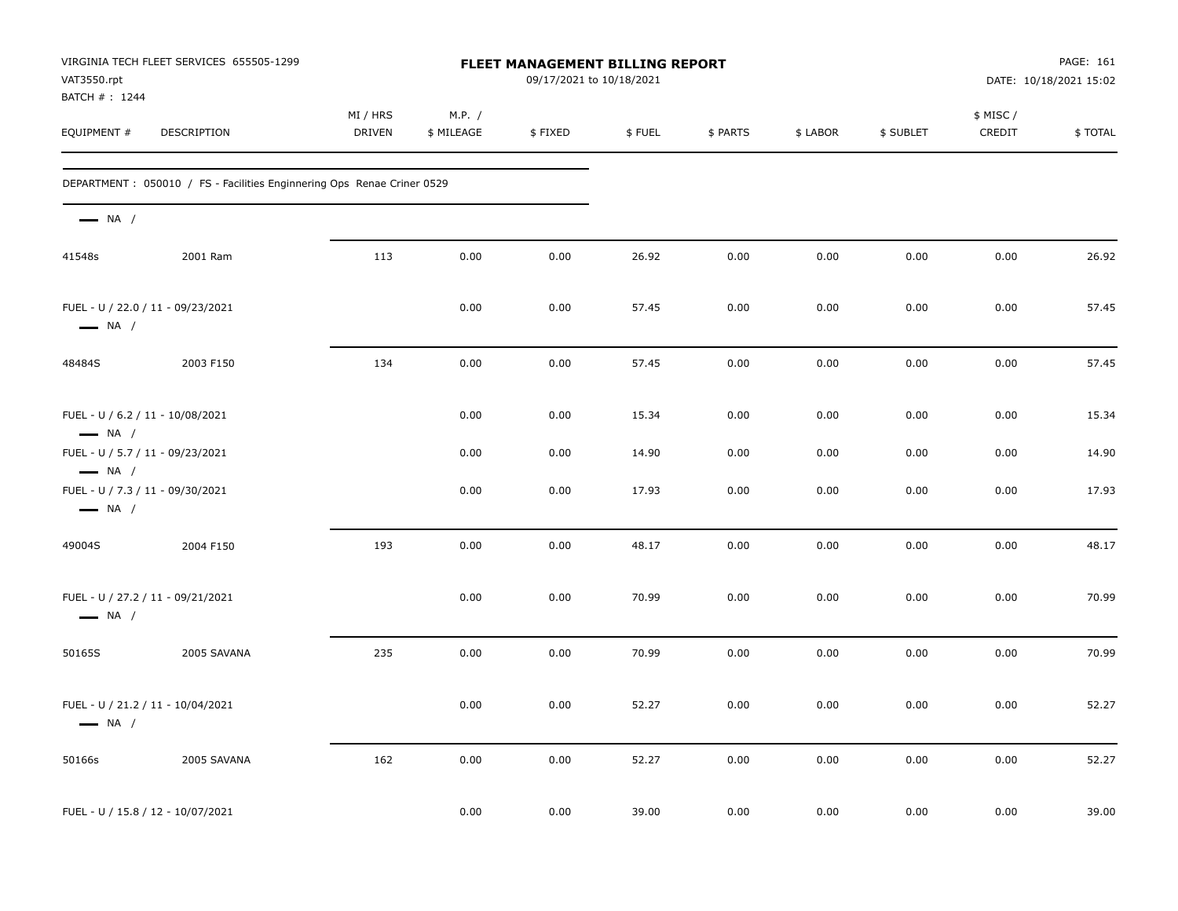| VAT3550.rpt<br>BATCH #: 1244                                | VIRGINIA TECH FLEET SERVICES 655505-1299                                |                           |                      | <b>FLEET MANAGEMENT BILLING REPORT</b><br>09/17/2021 to 10/18/2021 |        |          |          |           |                    | PAGE: 161<br>DATE: 10/18/2021 15:02 |
|-------------------------------------------------------------|-------------------------------------------------------------------------|---------------------------|----------------------|--------------------------------------------------------------------|--------|----------|----------|-----------|--------------------|-------------------------------------|
| EQUIPMENT #                                                 | DESCRIPTION                                                             | MI / HRS<br><b>DRIVEN</b> | M.P. /<br>\$ MILEAGE | \$FIXED                                                            | \$FUEL | \$ PARTS | \$ LABOR | \$ SUBLET | \$ MISC/<br>CREDIT | \$TOTAL                             |
|                                                             | DEPARTMENT : 050010 / FS - Facilities Enginnering Ops Renae Criner 0529 |                           |                      |                                                                    |        |          |          |           |                    |                                     |
| $\longrightarrow$ NA /                                      |                                                                         |                           |                      |                                                                    |        |          |          |           |                    |                                     |
| 41548s                                                      | 2001 Ram                                                                | 113                       | 0.00                 | 0.00                                                               | 26.92  | 0.00     | 0.00     | 0.00      | 0.00               | 26.92                               |
| FUEL - U / 22.0 / 11 - 09/23/2021<br>$\longrightarrow$ NA / |                                                                         |                           | 0.00                 | 0.00                                                               | 57.45  | 0.00     | 0.00     | 0.00      | 0.00               | 57.45                               |
| 48484S                                                      | 2003 F150                                                               | 134                       | 0.00                 | 0.00                                                               | 57.45  | 0.00     | 0.00     | 0.00      | 0.00               | 57.45                               |
| FUEL - U / 6.2 / 11 - 10/08/2021<br>$\longrightarrow$ NA /  |                                                                         |                           | 0.00                 | 0.00                                                               | 15.34  | 0.00     | 0.00     | 0.00      | 0.00               | 15.34                               |
| FUEL - U / 5.7 / 11 - 09/23/2021<br>$\longrightarrow$ NA /  |                                                                         |                           | 0.00                 | 0.00                                                               | 14.90  | 0.00     | 0.00     | 0.00      | 0.00               | 14.90                               |
| FUEL - U / 7.3 / 11 - 09/30/2021<br>$\longrightarrow$ NA /  |                                                                         |                           | 0.00                 | 0.00                                                               | 17.93  | 0.00     | 0.00     | 0.00      | 0.00               | 17.93                               |
| 49004S                                                      | 2004 F150                                                               | 193                       | 0.00                 | 0.00                                                               | 48.17  | 0.00     | 0.00     | 0.00      | 0.00               | 48.17                               |
| FUEL - U / 27.2 / 11 - 09/21/2021<br>$\longrightarrow$ NA / |                                                                         |                           | 0.00                 | 0.00                                                               | 70.99  | 0.00     | 0.00     | 0.00      | 0.00               | 70.99                               |
| 50165S                                                      | 2005 SAVANA                                                             | 235                       | 0.00                 | 0.00                                                               | 70.99  | 0.00     | 0.00     | 0.00      | 0.00               | 70.99                               |
| FUEL - U / 21.2 / 11 - 10/04/2021<br>$\longrightarrow$ NA / |                                                                         |                           | 0.00                 | 0.00                                                               | 52.27  | 0.00     | 0.00     | 0.00      | 0.00               | 52.27                               |
| 50166s                                                      | 2005 SAVANA                                                             | 162                       | 0.00                 | 0.00                                                               | 52.27  | 0.00     | 0.00     | 0.00      | 0.00               | 52.27                               |
| FUEL - U / 15.8 / 12 - 10/07/2021                           |                                                                         |                           | 0.00                 | 0.00                                                               | 39.00  | 0.00     | 0.00     | 0.00      | 0.00               | 39.00                               |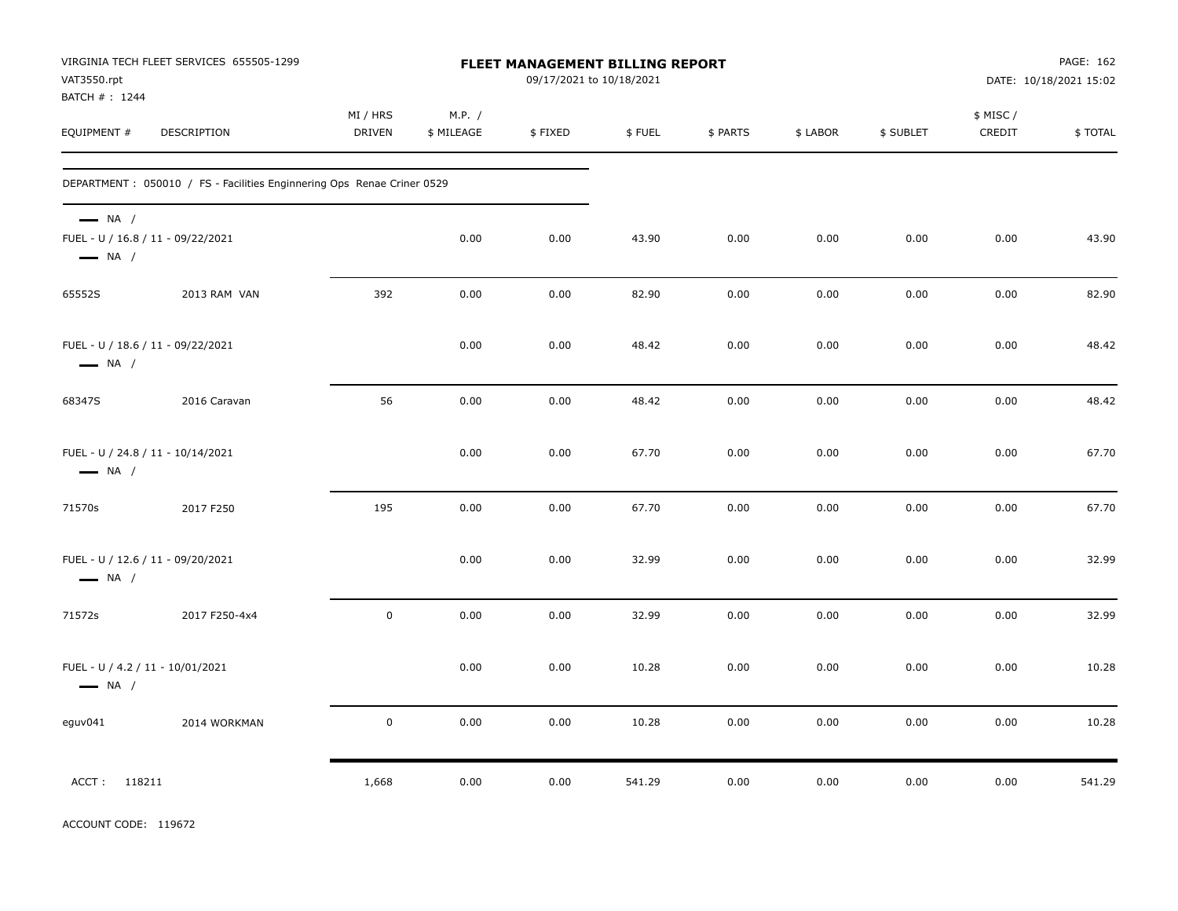| VAT3550.rpt<br>BATCH #: 1244                                                          | VIRGINIA TECH FLEET SERVICES 655505-1299                                |                           |                      | FLEET MANAGEMENT BILLING REPORT<br>09/17/2021 to 10/18/2021 |        |          |          |           |                    | PAGE: 162<br>DATE: 10/18/2021 15:02 |
|---------------------------------------------------------------------------------------|-------------------------------------------------------------------------|---------------------------|----------------------|-------------------------------------------------------------|--------|----------|----------|-----------|--------------------|-------------------------------------|
| EQUIPMENT #                                                                           | DESCRIPTION                                                             | MI / HRS<br><b>DRIVEN</b> | M.P. /<br>\$ MILEAGE | \$FIXED                                                     | \$FUEL | \$ PARTS | \$ LABOR | \$ SUBLET | \$ MISC/<br>CREDIT | \$TOTAL                             |
|                                                                                       | DEPARTMENT : 050010 / FS - Facilities Enginnering Ops Renae Criner 0529 |                           |                      |                                                             |        |          |          |           |                    |                                     |
| $\longrightarrow$ NA /<br>FUEL - U / 16.8 / 11 - 09/22/2021<br>$\longrightarrow$ NA / |                                                                         |                           | 0.00                 | 0.00                                                        | 43.90  | 0.00     | 0.00     | 0.00      | 0.00               | 43.90                               |
| 65552S                                                                                | 2013 RAM VAN                                                            | 392                       | 0.00                 | 0.00                                                        | 82.90  | 0.00     | 0.00     | 0.00      | 0.00               | 82.90                               |
| $\longrightarrow$ NA /                                                                | FUEL - U / 18.6 / 11 - 09/22/2021                                       |                           | 0.00                 | 0.00                                                        | 48.42  | 0.00     | 0.00     | 0.00      | 0.00               | 48.42                               |
| 68347S                                                                                | 2016 Caravan                                                            | 56                        | 0.00                 | 0.00                                                        | 48.42  | 0.00     | 0.00     | 0.00      | 0.00               | 48.42                               |
| $\longrightarrow$ NA /                                                                | FUEL - U / 24.8 / 11 - 10/14/2021                                       |                           | 0.00                 | 0.00                                                        | 67.70  | 0.00     | 0.00     | 0.00      | 0.00               | 67.70                               |
| 71570s                                                                                | 2017 F250                                                               | 195                       | 0.00                 | 0.00                                                        | 67.70  | 0.00     | 0.00     | 0.00      | 0.00               | 67.70                               |
| $\longrightarrow$ NA /                                                                | FUEL - U / 12.6 / 11 - 09/20/2021                                       |                           | 0.00                 | 0.00                                                        | 32.99  | 0.00     | 0.00     | 0.00      | 0.00               | 32.99                               |
| 71572s                                                                                | 2017 F250-4x4                                                           | $\pmb{0}$                 | 0.00                 | 0.00                                                        | 32.99  | 0.00     | 0.00     | 0.00      | 0.00               | 32.99                               |
| FUEL - U / 4.2 / 11 - 10/01/2021<br>$\longrightarrow$ NA /                            |                                                                         |                           | 0.00                 | 0.00                                                        | 10.28  | 0.00     | 0.00     | 0.00      | 0.00               | 10.28                               |
| eguv041                                                                               | 2014 WORKMAN                                                            | $\pmb{0}$                 | 0.00                 | 0.00                                                        | 10.28  | 0.00     | 0.00     | 0.00      | 0.00               | 10.28                               |
| ACCT: 118211                                                                          |                                                                         | 1,668                     | 0.00                 | 0.00                                                        | 541.29 | 0.00     | 0.00     | 0.00      | 0.00               | 541.29                              |

ACCOUNT CODE: 119672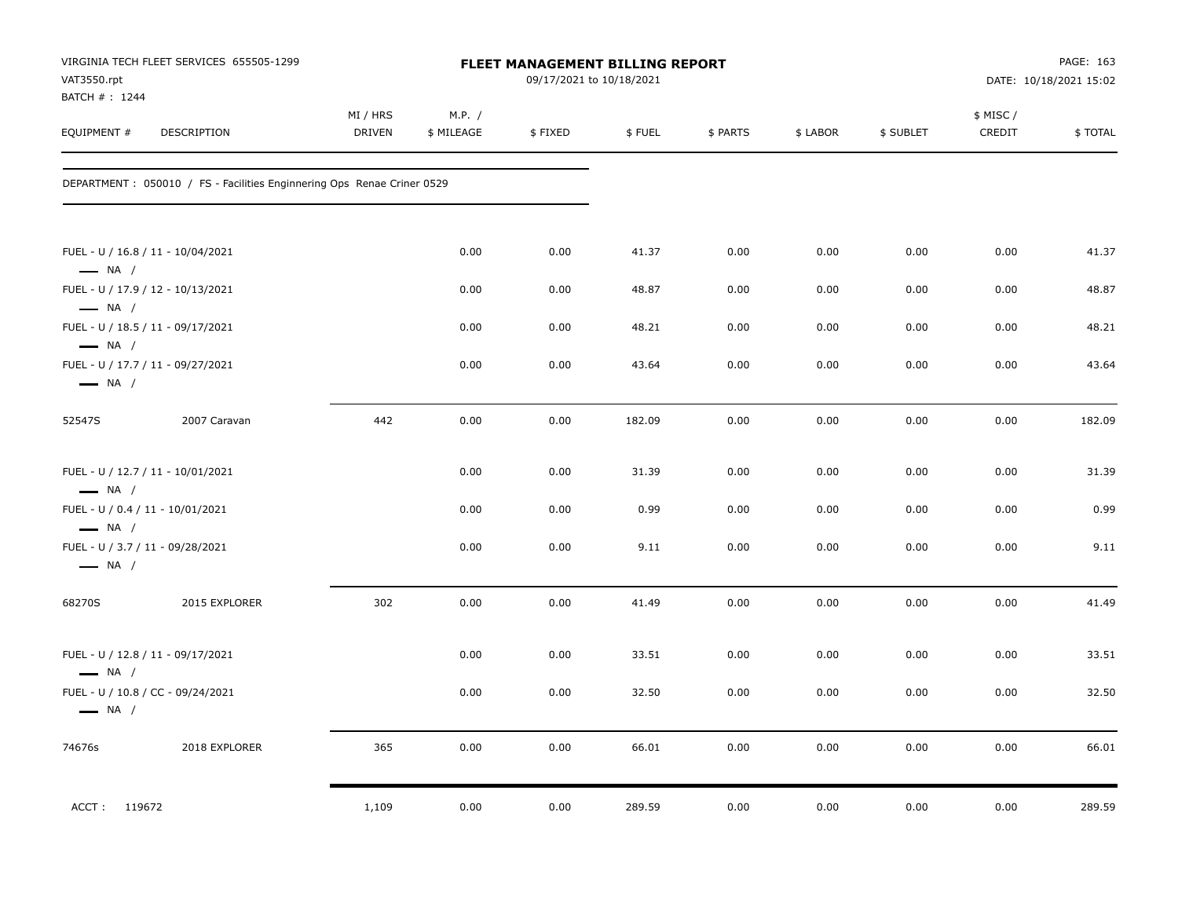| VAT3550.rpt<br>BATCH #: 1244                               | VIRGINIA TECH FLEET SERVICES 655505-1299                                |                           |                      | <b>FLEET MANAGEMENT BILLING REPORT</b><br>09/17/2021 to 10/18/2021 |        |          |          |           |                    | PAGE: 163<br>DATE: 10/18/2021 15:02 |
|------------------------------------------------------------|-------------------------------------------------------------------------|---------------------------|----------------------|--------------------------------------------------------------------|--------|----------|----------|-----------|--------------------|-------------------------------------|
| EQUIPMENT #                                                | DESCRIPTION                                                             | MI / HRS<br><b>DRIVEN</b> | M.P. /<br>\$ MILEAGE | \$FIXED                                                            | \$FUEL | \$ PARTS | \$ LABOR | \$ SUBLET | \$ MISC/<br>CREDIT | \$TOTAL                             |
|                                                            | DEPARTMENT : 050010 / FS - Facilities Enginnering Ops Renae Criner 0529 |                           |                      |                                                                    |        |          |          |           |                    |                                     |
| $\longrightarrow$ NA /                                     | FUEL - U / 16.8 / 11 - 10/04/2021                                       |                           | 0.00                 | 0.00                                                               | 41.37  | 0.00     | 0.00     | 0.00      | 0.00               | 41.37                               |
|                                                            | FUEL - U / 17.9 / 12 - 10/13/2021                                       |                           | 0.00                 | 0.00                                                               | 48.87  | 0.00     | 0.00     | 0.00      | 0.00               | 48.87                               |
| $\longrightarrow$ NA /<br>$\longrightarrow$ NA /           | FUEL - U / 18.5 / 11 - 09/17/2021                                       |                           | 0.00                 | 0.00                                                               | 48.21  | 0.00     | 0.00     | 0.00      | 0.00               | 48.21                               |
| $\longrightarrow$ NA /                                     | FUEL - U / 17.7 / 11 - 09/27/2021                                       |                           | 0.00                 | 0.00                                                               | 43.64  | 0.00     | 0.00     | 0.00      | 0.00               | 43.64                               |
| 52547S                                                     | 2007 Caravan                                                            | 442                       | 0.00                 | 0.00                                                               | 182.09 | 0.00     | 0.00     | 0.00      | 0.00               | 182.09                              |
| $\longrightarrow$ NA /                                     | FUEL - U / 12.7 / 11 - 10/01/2021                                       |                           | 0.00                 | 0.00                                                               | 31.39  | 0.00     | 0.00     | 0.00      | 0.00               | 31.39                               |
| FUEL - U / 0.4 / 11 - 10/01/2021<br>$\longrightarrow$ NA / |                                                                         |                           | 0.00                 | 0.00                                                               | 0.99   | 0.00     | 0.00     | 0.00      | 0.00               | 0.99                                |
| FUEL - U / 3.7 / 11 - 09/28/2021<br>$\longrightarrow$ NA / |                                                                         |                           | 0.00                 | 0.00                                                               | 9.11   | 0.00     | 0.00     | 0.00      | 0.00               | 9.11                                |
| 68270S                                                     | 2015 EXPLORER                                                           | 302                       | 0.00                 | 0.00                                                               | 41.49  | 0.00     | 0.00     | 0.00      | 0.00               | 41.49                               |
| $\longrightarrow$ NA /                                     | FUEL - U / 12.8 / 11 - 09/17/2021                                       |                           | 0.00                 | 0.00                                                               | 33.51  | 0.00     | 0.00     | 0.00      | 0.00               | 33.51                               |
| $\longrightarrow$ NA /                                     | FUEL - U / 10.8 / CC - 09/24/2021                                       |                           | 0.00                 | 0.00                                                               | 32.50  | 0.00     | 0.00     | 0.00      | 0.00               | 32.50                               |
| 74676s                                                     | 2018 EXPLORER                                                           | 365                       | 0.00                 | 0.00                                                               | 66.01  | 0.00     | 0.00     | 0.00      | 0.00               | 66.01                               |
| ACCT: 119672                                               |                                                                         | 1,109                     | 0.00                 | 0.00                                                               | 289.59 | 0.00     | 0.00     | 0.00      | 0.00               | 289.59                              |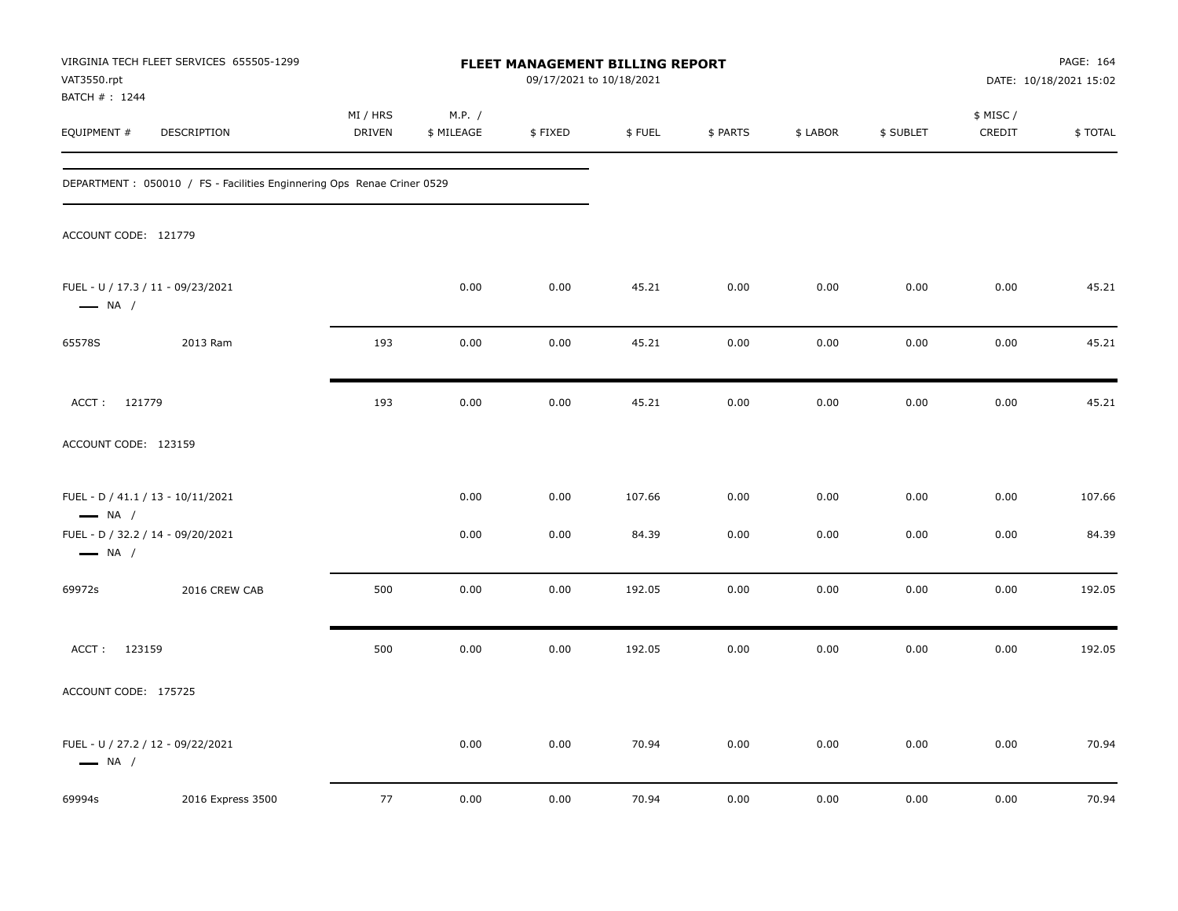| VAT3550.rpt                  | VIRGINIA TECH FLEET SERVICES 655505-1299                                |                    |                      | FLEET MANAGEMENT BILLING REPORT<br>09/17/2021 to 10/18/2021 |        |          |          |           |                     | PAGE: 164<br>DATE: 10/18/2021 15:02 |
|------------------------------|-------------------------------------------------------------------------|--------------------|----------------------|-------------------------------------------------------------|--------|----------|----------|-----------|---------------------|-------------------------------------|
| BATCH #: 1244<br>EQUIPMENT # | DESCRIPTION                                                             | MI / HRS<br>DRIVEN | M.P. /<br>\$ MILEAGE | \$FIXED                                                     | \$FUEL | \$ PARTS | \$ LABOR | \$ SUBLET | \$ MISC /<br>CREDIT | \$TOTAL                             |
|                              | DEPARTMENT : 050010 / FS - Facilities Enginnering Ops Renae Criner 0529 |                    |                      |                                                             |        |          |          |           |                     |                                     |
| ACCOUNT CODE: 121779         |                                                                         |                    |                      |                                                             |        |          |          |           |                     |                                     |
| $\longrightarrow$ NA /       | FUEL - U / 17.3 / 11 - 09/23/2021                                       |                    | 0.00                 | 0.00                                                        | 45.21  | 0.00     | 0.00     | 0.00      | 0.00                | 45.21                               |
| 65578S                       | 2013 Ram                                                                | 193                | 0.00                 | 0.00                                                        | 45.21  | 0.00     | 0.00     | 0.00      | 0.00                | 45.21                               |
| ACCT: 121779                 |                                                                         | 193                | 0.00                 | 0.00                                                        | 45.21  | 0.00     | 0.00     | 0.00      | 0.00                | 45.21                               |
| ACCOUNT CODE: 123159         |                                                                         |                    |                      |                                                             |        |          |          |           |                     |                                     |
| $\longrightarrow$ NA /       | FUEL - D / 41.1 / 13 - 10/11/2021                                       |                    | 0.00                 | 0.00                                                        | 107.66 | 0.00     | 0.00     | 0.00      | 0.00                | 107.66                              |
| $\longrightarrow$ NA /       | FUEL - D / 32.2 / 14 - 09/20/2021                                       |                    | 0.00                 | 0.00                                                        | 84.39  | 0.00     | 0.00     | 0.00      | 0.00                | 84.39                               |
| 69972s                       | 2016 CREW CAB                                                           | 500                | 0.00                 | 0.00                                                        | 192.05 | 0.00     | 0.00     | 0.00      | 0.00                | 192.05                              |
| ACCT: 123159                 |                                                                         | 500                | 0.00                 | 0.00                                                        | 192.05 | 0.00     | 0.00     | 0.00      | 0.00                | 192.05                              |
| ACCOUNT CODE: 175725         |                                                                         |                    |                      |                                                             |        |          |          |           |                     |                                     |
| $\longrightarrow$ NA /       | FUEL - U / 27.2 / 12 - 09/22/2021                                       |                    | 0.00                 | 0.00                                                        | 70.94  | 0.00     | 0.00     | 0.00      | 0.00                | 70.94                               |
| 69994s                       | 2016 Express 3500                                                       | 77                 | 0.00                 | 0.00                                                        | 70.94  | 0.00     | 0.00     | 0.00      | 0.00                | 70.94                               |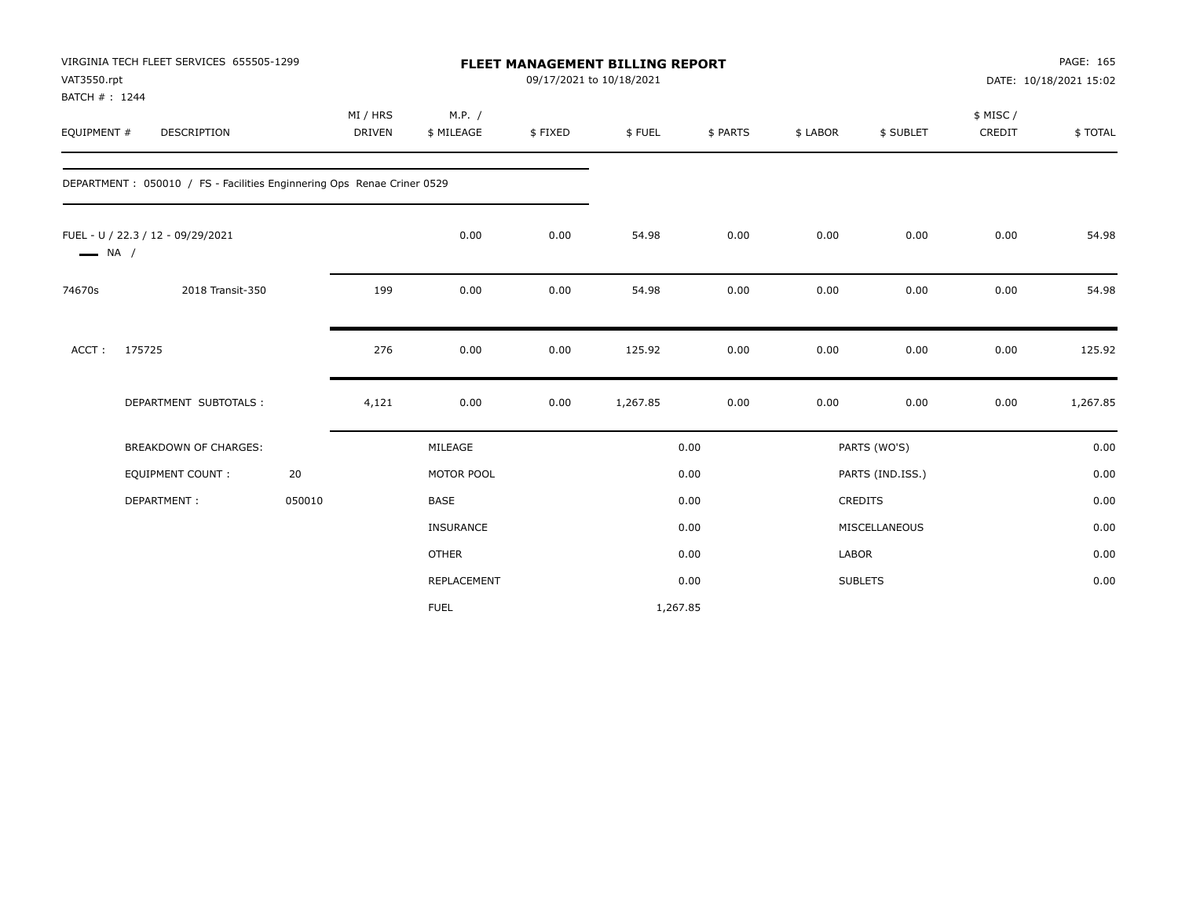| VAT3550.rpt<br>BATCH #: 1244 | VIRGINIA TECH FLEET SERVICES 655505-1299                                |        |                           |                      |         | FLEET MANAGEMENT BILLING REPORT<br>09/17/2021 to 10/18/2021 |          |              |                  |                    | PAGE: 165<br>DATE: 10/18/2021 15:02 |
|------------------------------|-------------------------------------------------------------------------|--------|---------------------------|----------------------|---------|-------------------------------------------------------------|----------|--------------|------------------|--------------------|-------------------------------------|
| EQUIPMENT #                  | <b>DESCRIPTION</b>                                                      |        | MI / HRS<br><b>DRIVEN</b> | M.P. /<br>\$ MILEAGE | \$FIXED | \$FUEL                                                      | \$ PARTS | \$ LABOR     | \$ SUBLET        | \$ MISC/<br>CREDIT | \$TOTAL                             |
|                              | DEPARTMENT : 050010 / FS - Facilities Enginnering Ops Renae Criner 0529 |        |                           |                      |         |                                                             |          |              |                  |                    |                                     |
| $\longrightarrow$ NA /       | FUEL - U / 22.3 / 12 - 09/29/2021                                       |        |                           | 0.00                 | 0.00    | 54.98                                                       | 0.00     | 0.00         | 0.00             | 0.00               | 54.98                               |
| 74670s                       | 2018 Transit-350                                                        |        | 199                       | 0.00                 | 0.00    | 54.98                                                       | 0.00     | 0.00         | 0.00             | 0.00               | 54.98                               |
| ACCT:                        | 175725                                                                  |        | 276                       | 0.00                 | 0.00    | 125.92                                                      | 0.00     | 0.00         | 0.00             | 0.00               | 125.92                              |
|                              | DEPARTMENT SUBTOTALS :                                                  |        | 4,121                     | 0.00                 | 0.00    | 1,267.85                                                    | 0.00     | 0.00         | 0.00             | 0.00               | 1,267.85                            |
|                              | <b>BREAKDOWN OF CHARGES:</b>                                            |        |                           | MILEAGE              |         |                                                             | 0.00     |              | PARTS (WO'S)     |                    | 0.00                                |
|                              | <b>EQUIPMENT COUNT:</b>                                                 | 20     |                           | MOTOR POOL           |         |                                                             | 0.00     |              | PARTS (IND.ISS.) |                    | 0.00                                |
|                              | DEPARTMENT:                                                             | 050010 |                           | <b>BASE</b>          |         |                                                             | 0.00     |              | CREDITS          |                    | 0.00                                |
|                              |                                                                         |        |                           | INSURANCE            |         |                                                             | 0.00     |              | MISCELLANEOUS    |                    | 0.00                                |
|                              |                                                                         |        |                           | <b>OTHER</b>         |         |                                                             | 0.00     | <b>LABOR</b> |                  |                    | 0.00                                |
|                              |                                                                         |        |                           | REPLACEMENT          |         |                                                             | 0.00     |              | <b>SUBLETS</b>   |                    | 0.00                                |
|                              |                                                                         |        |                           | <b>FUEL</b>          |         | 1,267.85                                                    |          |              |                  |                    |                                     |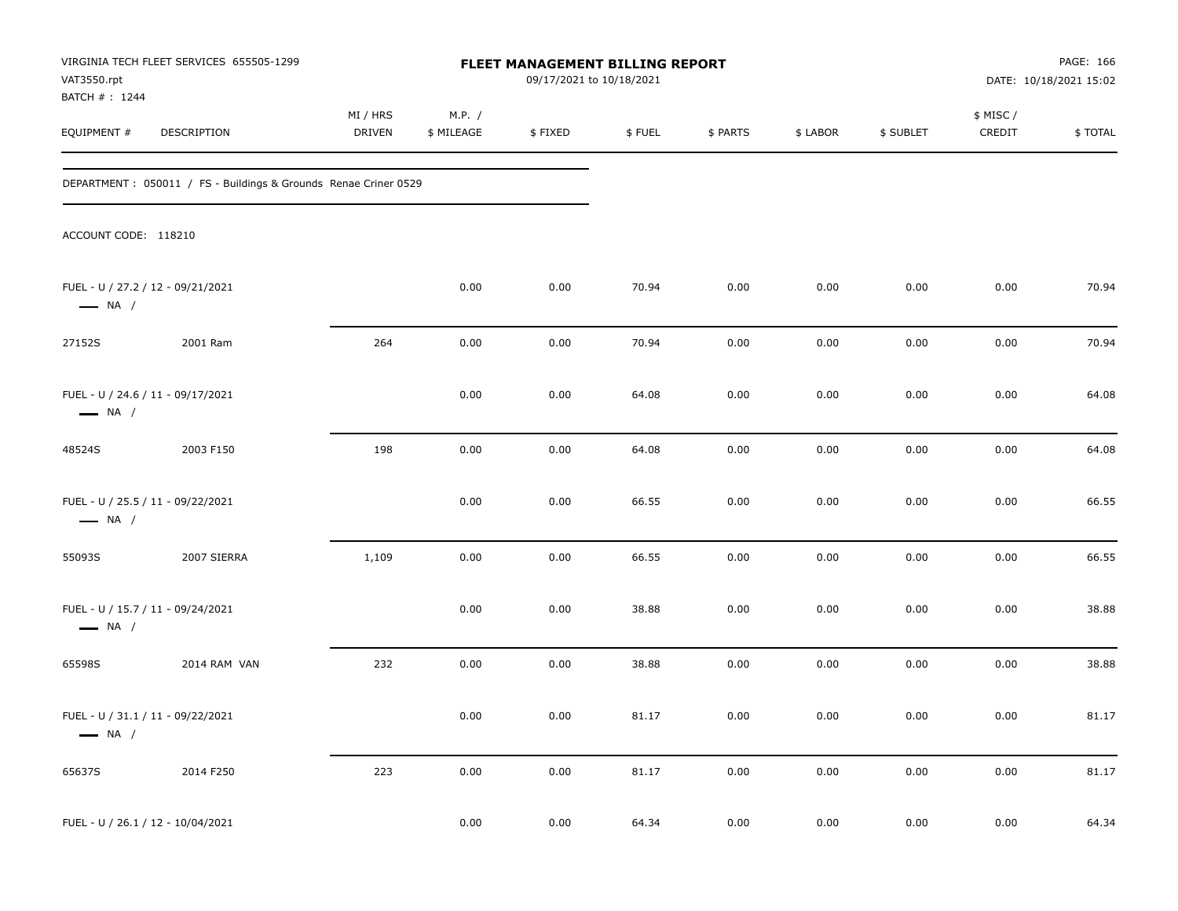| VAT3550.rpt                  | VIRGINIA TECH FLEET SERVICES 655505-1299                         |                           |                      | FLEET MANAGEMENT BILLING REPORT<br>09/17/2021 to 10/18/2021 |        |          |          |           |                     | PAGE: 166<br>DATE: 10/18/2021 15:02 |
|------------------------------|------------------------------------------------------------------|---------------------------|----------------------|-------------------------------------------------------------|--------|----------|----------|-----------|---------------------|-------------------------------------|
| BATCH #: 1244<br>EQUIPMENT # | DESCRIPTION                                                      | MI / HRS<br><b>DRIVEN</b> | M.P. /<br>\$ MILEAGE | \$FIXED                                                     | \$FUEL | \$ PARTS | \$ LABOR | \$ SUBLET | \$ MISC /<br>CREDIT | \$ TOTAL                            |
|                              | DEPARTMENT : 050011 / FS - Buildings & Grounds Renae Criner 0529 |                           |                      |                                                             |        |          |          |           |                     |                                     |
| ACCOUNT CODE: 118210         |                                                                  |                           |                      |                                                             |        |          |          |           |                     |                                     |
| $\longrightarrow$ NA /       | FUEL - U / 27.2 / 12 - 09/21/2021                                |                           | 0.00                 | 0.00                                                        | 70.94  | 0.00     | 0.00     | 0.00      | 0.00                | 70.94                               |
| 27152S                       | 2001 Ram                                                         | 264                       | 0.00                 | 0.00                                                        | 70.94  | 0.00     | 0.00     | 0.00      | 0.00                | 70.94                               |
| $\longrightarrow$ NA /       | FUEL - U / 24.6 / 11 - 09/17/2021                                |                           | 0.00                 | 0.00                                                        | 64.08  | 0.00     | 0.00     | 0.00      | 0.00                | 64.08                               |
| 48524S                       | 2003 F150                                                        | 198                       | 0.00                 | 0.00                                                        | 64.08  | 0.00     | 0.00     | 0.00      | 0.00                | 64.08                               |
| $\longrightarrow$ NA /       | FUEL - U / 25.5 / 11 - 09/22/2021                                |                           | 0.00                 | 0.00                                                        | 66.55  | 0.00     | 0.00     | 0.00      | 0.00                | 66.55                               |
| 55093S                       | 2007 SIERRA                                                      | 1,109                     | 0.00                 | 0.00                                                        | 66.55  | 0.00     | 0.00     | 0.00      | 0.00                | 66.55                               |
| $\longrightarrow$ NA /       | FUEL - U / 15.7 / 11 - 09/24/2021                                |                           | 0.00                 | 0.00                                                        | 38.88  | 0.00     | 0.00     | 0.00      | 0.00                | 38.88                               |
| 65598S                       | 2014 RAM VAN                                                     | 232                       | 0.00                 | 0.00                                                        | 38.88  | 0.00     | 0.00     | 0.00      | 0.00                | 38.88                               |
| $\longrightarrow$ NA /       | FUEL - U / 31.1 / 11 - 09/22/2021                                |                           | 0.00                 | 0.00                                                        | 81.17  | 0.00     | 0.00     | 0.00      | 0.00                | 81.17                               |
| 65637S                       | 2014 F250                                                        | 223                       | 0.00                 | $0.00\,$                                                    | 81.17  | 0.00     | $0.00\,$ | $0.00\,$  | $0.00\,$            | 81.17                               |
|                              | FUEL - U / 26.1 / 12 - 10/04/2021                                |                           | 0.00                 | 0.00                                                        | 64.34  | 0.00     | 0.00     | 0.00      | 0.00                | 64.34                               |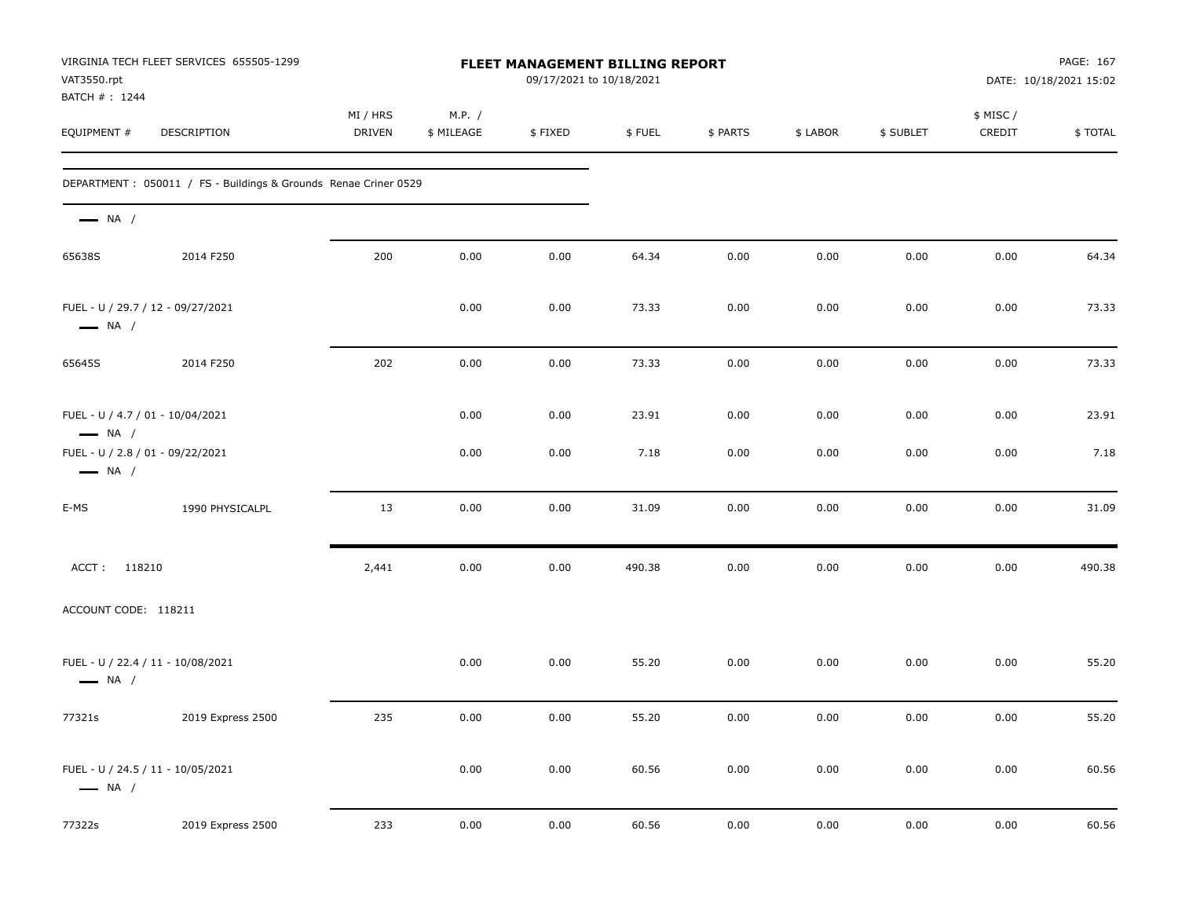| VAT3550.rpt<br>BATCH #: 1244                               | VIRGINIA TECH FLEET SERVICES 655505-1299                         |                           |                      | FLEET MANAGEMENT BILLING REPORT<br>09/17/2021 to 10/18/2021 |        |          |          |           |                     | PAGE: 167<br>DATE: 10/18/2021 15:02 |
|------------------------------------------------------------|------------------------------------------------------------------|---------------------------|----------------------|-------------------------------------------------------------|--------|----------|----------|-----------|---------------------|-------------------------------------|
| EQUIPMENT #                                                | <b>DESCRIPTION</b>                                               | MI / HRS<br><b>DRIVEN</b> | M.P. /<br>\$ MILEAGE | \$FIXED                                                     | \$FUEL | \$ PARTS | \$ LABOR | \$ SUBLET | \$ MISC /<br>CREDIT | \$TOTAL                             |
|                                                            | DEPARTMENT : 050011 / FS - Buildings & Grounds Renae Criner 0529 |                           |                      |                                                             |        |          |          |           |                     |                                     |
| $\longrightarrow$ NA /                                     |                                                                  |                           |                      |                                                             |        |          |          |           |                     |                                     |
| 65638S                                                     | 2014 F250                                                        | 200                       | 0.00                 | 0.00                                                        | 64.34  | 0.00     | 0.00     | 0.00      | 0.00                | 64.34                               |
| $\longrightarrow$ NA /                                     | FUEL - U / 29.7 / 12 - 09/27/2021                                |                           | 0.00                 | 0.00                                                        | 73.33  | 0.00     | 0.00     | 0.00      | 0.00                | 73.33                               |
| 65645S                                                     | 2014 F250                                                        | 202                       | 0.00                 | 0.00                                                        | 73.33  | 0.00     | 0.00     | 0.00      | 0.00                | 73.33                               |
| FUEL - U / 4.7 / 01 - 10/04/2021<br>$\longrightarrow$ NA / |                                                                  |                           | 0.00                 | 0.00                                                        | 23.91  | 0.00     | 0.00     | 0.00      | 0.00                | 23.91                               |
| FUEL - U / 2.8 / 01 - 09/22/2021<br>$\longrightarrow$ NA / |                                                                  |                           | 0.00                 | 0.00                                                        | 7.18   | 0.00     | 0.00     | 0.00      | 0.00                | 7.18                                |
| E-MS                                                       | 1990 PHYSICALPL                                                  | 13                        | 0.00                 | 0.00                                                        | 31.09  | 0.00     | 0.00     | 0.00      | 0.00                | 31.09                               |
| ACCT: 118210                                               |                                                                  | 2,441                     | 0.00                 | 0.00                                                        | 490.38 | 0.00     | 0.00     | 0.00      | 0.00                | 490.38                              |
| ACCOUNT CODE: 118211                                       |                                                                  |                           |                      |                                                             |        |          |          |           |                     |                                     |
| $\longrightarrow$ NA /                                     | FUEL - U / 22.4 / 11 - 10/08/2021                                |                           | 0.00                 | 0.00                                                        | 55.20  | 0.00     | 0.00     | 0.00      | 0.00                | 55.20                               |
| 77321s                                                     | 2019 Express 2500                                                | 235                       | 0.00                 | 0.00                                                        | 55.20  | 0.00     | 0.00     | 0.00      | 0.00                | 55.20                               |
| $\longrightarrow$ NA /                                     | FUEL - U / 24.5 / 11 - 10/05/2021                                |                           | 0.00                 | 0.00                                                        | 60.56  | 0.00     | 0.00     | $0.00\,$  | 0.00                | 60.56                               |
| 77322s                                                     | 2019 Express 2500                                                | 233                       | 0.00                 | 0.00                                                        | 60.56  | 0.00     | $0.00\,$ | $0.00\,$  | 0.00                | 60.56                               |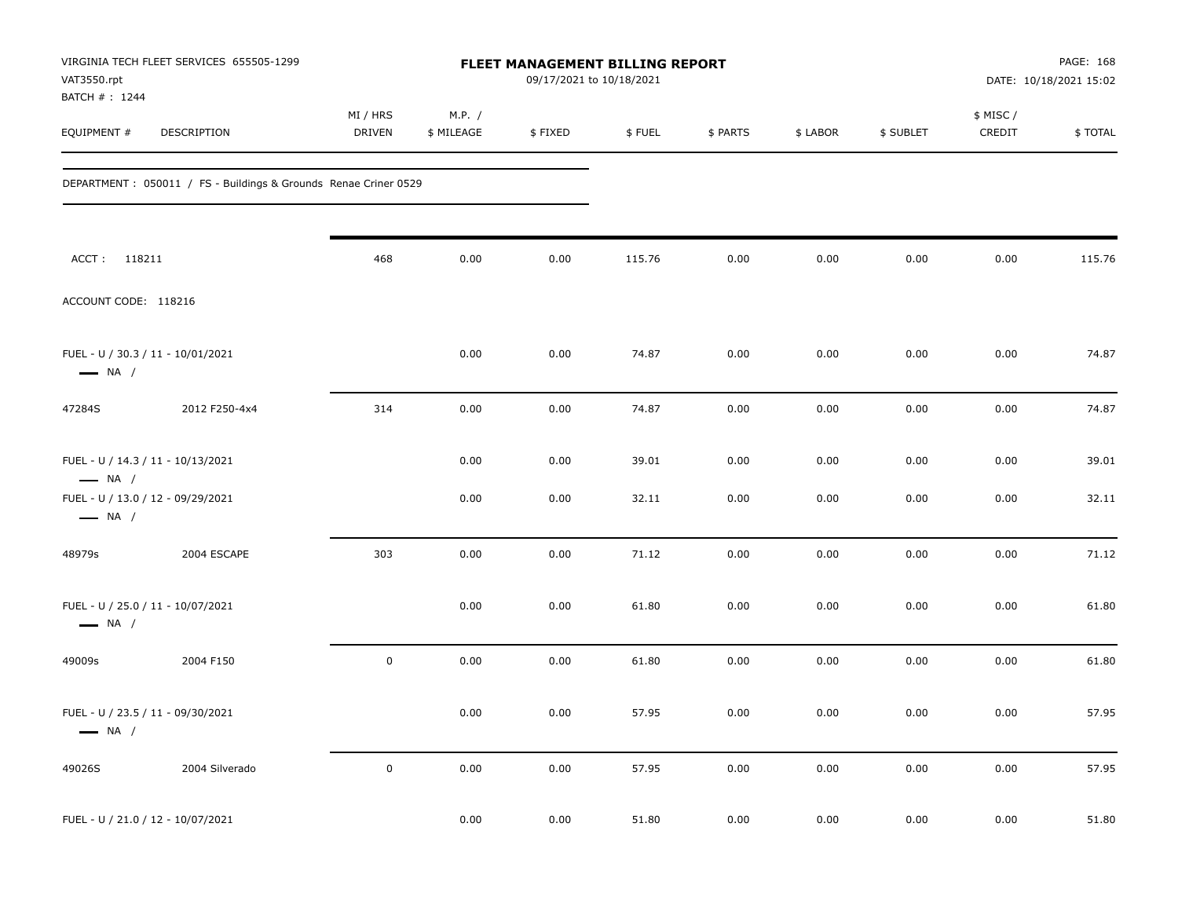| VAT3550.rpt<br>BATCH #: 1244                                | VIRGINIA TECH FLEET SERVICES 655505-1299                         |                    |                      | FLEET MANAGEMENT BILLING REPORT<br>09/17/2021 to 10/18/2021 |        |          |          |           |                     | PAGE: 168<br>DATE: 10/18/2021 15:02 |
|-------------------------------------------------------------|------------------------------------------------------------------|--------------------|----------------------|-------------------------------------------------------------|--------|----------|----------|-----------|---------------------|-------------------------------------|
| EQUIPMENT #                                                 | DESCRIPTION                                                      | MI / HRS<br>DRIVEN | M.P. /<br>\$ MILEAGE | \$FIXED                                                     | \$FUEL | \$ PARTS | \$ LABOR | \$ SUBLET | \$ MISC /<br>CREDIT | \$TOTAL                             |
|                                                             | DEPARTMENT : 050011 / FS - Buildings & Grounds Renae Criner 0529 |                    |                      |                                                             |        |          |          |           |                     |                                     |
| ACCT: 118211                                                |                                                                  | 468                | 0.00                 | 0.00                                                        | 115.76 | 0.00     | 0.00     | 0.00      | 0.00                | 115.76                              |
| ACCOUNT CODE: 118216                                        |                                                                  |                    |                      |                                                             |        |          |          |           |                     |                                     |
| FUEL - U / 30.3 / 11 - 10/01/2021<br>$\longrightarrow$ NA / |                                                                  |                    | 0.00                 | 0.00                                                        | 74.87  | 0.00     | 0.00     | 0.00      | 0.00                | 74.87                               |
| 47284S                                                      | 2012 F250-4x4                                                    | 314                | 0.00                 | 0.00                                                        | 74.87  | 0.00     | 0.00     | 0.00      | 0.00                | 74.87                               |
| FUEL - U / 14.3 / 11 - 10/13/2021<br>$\longrightarrow$ NA / |                                                                  |                    | 0.00                 | 0.00                                                        | 39.01  | 0.00     | 0.00     | 0.00      | 0.00                | 39.01                               |
| FUEL - U / 13.0 / 12 - 09/29/2021<br>$\longrightarrow$ NA / |                                                                  |                    | 0.00                 | 0.00                                                        | 32.11  | 0.00     | 0.00     | 0.00      | 0.00                | 32.11                               |
| 48979s                                                      | 2004 ESCAPE                                                      | 303                | 0.00                 | 0.00                                                        | 71.12  | 0.00     | 0.00     | 0.00      | 0.00                | 71.12                               |
| FUEL - U / 25.0 / 11 - 10/07/2021<br>$\longrightarrow$ NA / |                                                                  |                    | 0.00                 | 0.00                                                        | 61.80  | 0.00     | 0.00     | 0.00      | 0.00                | 61.80                               |
| 49009s                                                      | 2004 F150                                                        | $\mathsf 0$        | 0.00                 | 0.00                                                        | 61.80  | 0.00     | 0.00     | 0.00      | 0.00                | 61.80                               |
| $\longrightarrow$ NA /                                      | FUEL - U / 23.5 / 11 - 09/30/2021                                |                    | 0.00                 | 0.00                                                        | 57.95  | 0.00     | 0.00     | 0.00      | 0.00                | 57.95                               |
| 49026S                                                      | 2004 Silverado                                                   | $\mathsf 0$        | 0.00                 | 0.00                                                        | 57.95  | 0.00     | 0.00     | 0.00      | 0.00                | 57.95                               |
| FUEL - U / 21.0 / 12 - 10/07/2021                           |                                                                  |                    | 0.00                 | 0.00                                                        | 51.80  | 0.00     | 0.00     | 0.00      | 0.00                | 51.80                               |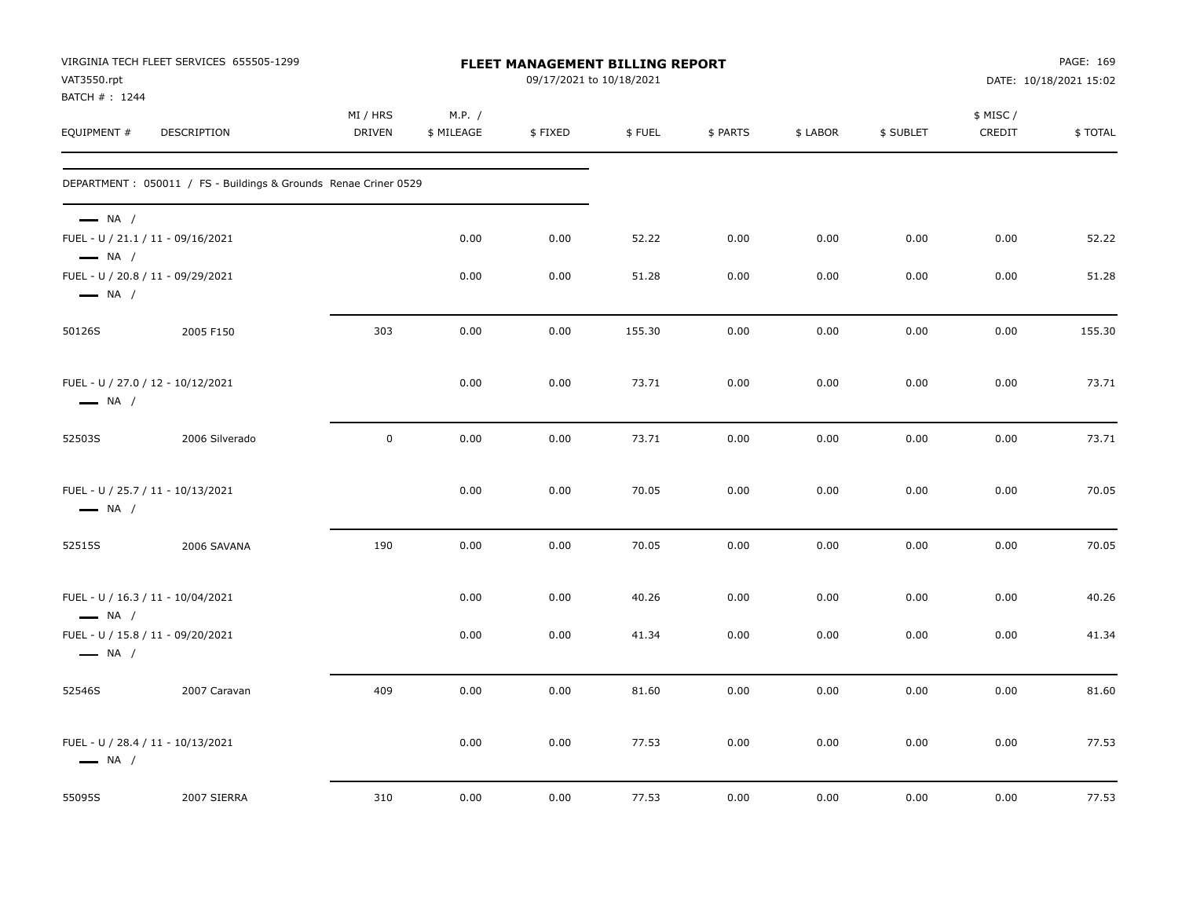| VAT3550.rpt<br>BATCH # : 1244                    | VIRGINIA TECH FLEET SERVICES 655505-1299                        |                           |                      | 09/17/2021 to 10/18/2021 |        | PAGE: 169<br>FLEET MANAGEMENT BILLING REPORT<br>DATE: 10/18/2021 15:02 |          |           |                    |         |
|--------------------------------------------------|-----------------------------------------------------------------|---------------------------|----------------------|--------------------------|--------|------------------------------------------------------------------------|----------|-----------|--------------------|---------|
| EQUIPMENT #                                      | <b>DESCRIPTION</b>                                              | MI / HRS<br><b>DRIVEN</b> | M.P. /<br>\$ MILEAGE | \$FIXED                  | \$FUEL | \$ PARTS                                                               | \$ LABOR | \$ SUBLET | \$ MISC/<br>CREDIT | \$TOTAL |
|                                                  | DEPARTMENT: 050011 / FS - Buildings & Grounds Renae Criner 0529 |                           |                      |                          |        |                                                                        |          |           |                    |         |
| $\longrightarrow$ NA /<br>$\longrightarrow$ NA / | FUEL - U / 21.1 / 11 - 09/16/2021                               |                           | 0.00                 | 0.00                     | 52.22  | 0.00                                                                   | 0.00     | 0.00      | 0.00               | 52.22   |
| $\longrightarrow$ NA /                           | FUEL - U / 20.8 / 11 - 09/29/2021                               |                           | 0.00                 | 0.00                     | 51.28  | 0.00                                                                   | 0.00     | 0.00      | 0.00               | 51.28   |
| 50126S                                           | 2005 F150                                                       | 303                       | 0.00                 | 0.00                     | 155.30 | 0.00                                                                   | 0.00     | 0.00      | 0.00               | 155.30  |
| $\longrightarrow$ NA /                           | FUEL - U / 27.0 / 12 - 10/12/2021                               |                           | 0.00                 | 0.00                     | 73.71  | 0.00                                                                   | 0.00     | 0.00      | 0.00               | 73.71   |
| 52503S                                           | 2006 Silverado                                                  | $\mathbf 0$               | 0.00                 | 0.00                     | 73.71  | 0.00                                                                   | 0.00     | 0.00      | 0.00               | 73.71   |
| $\longrightarrow$ NA /                           | FUEL - U / 25.7 / 11 - 10/13/2021                               |                           | 0.00                 | 0.00                     | 70.05  | 0.00                                                                   | 0.00     | 0.00      | 0.00               | 70.05   |
| 52515S                                           | 2006 SAVANA                                                     | 190                       | 0.00                 | 0.00                     | 70.05  | 0.00                                                                   | 0.00     | 0.00      | 0.00               | 70.05   |
| $\longrightarrow$ NA /                           | FUEL - U / 16.3 / 11 - 10/04/2021                               |                           | 0.00                 | 0.00                     | 40.26  | 0.00                                                                   | 0.00     | 0.00      | 0.00               | 40.26   |
| $\longrightarrow$ NA /                           | FUEL - U / 15.8 / 11 - 09/20/2021                               |                           | 0.00                 | 0.00                     | 41.34  | 0.00                                                                   | 0.00     | 0.00      | 0.00               | 41.34   |
| 52546S                                           | 2007 Caravan                                                    | 409                       | 0.00                 | 0.00                     | 81.60  | 0.00                                                                   | 0.00     | 0.00      | 0.00               | 81.60   |
| $\longrightarrow$ NA /                           | FUEL - U / 28.4 / 11 - 10/13/2021                               |                           | 0.00                 | 0.00                     | 77.53  | 0.00                                                                   | 0.00     | 0.00      | 0.00               | 77.53   |
| 55095S                                           | 2007 SIERRA                                                     | 310                       | 0.00                 | 0.00                     | 77.53  | 0.00                                                                   | 0.00     | 0.00      | 0.00               | 77.53   |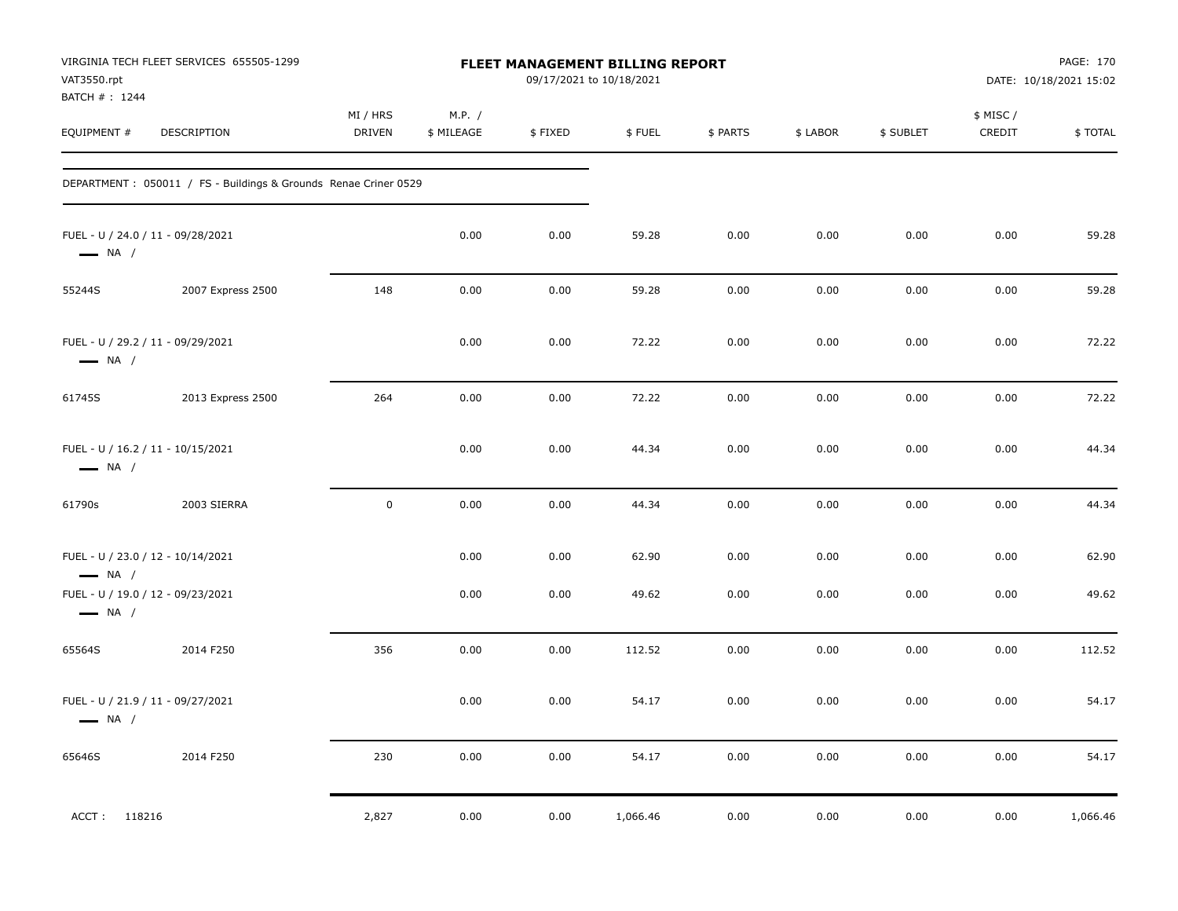| VAT3550.rpt<br>BATCH #: 1244 | VIRGINIA TECH FLEET SERVICES 655505-1299                               |                           |                      | 09/17/2021 to 10/18/2021 | <b>FLEET MANAGEMENT BILLING REPORT</b> |              |              |              |                    | PAGE: 170<br>DATE: 10/18/2021 15:02 |
|------------------------------|------------------------------------------------------------------------|---------------------------|----------------------|--------------------------|----------------------------------------|--------------|--------------|--------------|--------------------|-------------------------------------|
| EQUIPMENT #                  | DESCRIPTION                                                            | MI / HRS<br><b>DRIVEN</b> | M.P. /<br>\$ MILEAGE | \$FIXED                  | \$FUEL                                 | \$ PARTS     | \$ LABOR     | \$ SUBLET    | \$ MISC/<br>CREDIT | \$TOTAL                             |
|                              | DEPARTMENT : 050011 / FS - Buildings & Grounds Renae Criner 0529       |                           |                      |                          |                                        |              |              |              |                    |                                     |
| $\longrightarrow$ NA /       | FUEL - U / 24.0 / 11 - 09/28/2021                                      |                           | 0.00                 | 0.00                     | 59.28                                  | 0.00         | 0.00         | 0.00         | 0.00               | 59.28                               |
| 55244S                       | 2007 Express 2500                                                      | 148                       | 0.00                 | 0.00                     | 59.28                                  | 0.00         | 0.00         | 0.00         | 0.00               | 59.28                               |
| $\longrightarrow$ NA /       | FUEL - U / 29.2 / 11 - 09/29/2021                                      |                           | 0.00                 | 0.00                     | 72.22                                  | 0.00         | 0.00         | 0.00         | 0.00               | 72.22                               |
| 61745S                       | 2013 Express 2500                                                      | 264                       | 0.00                 | 0.00                     | 72.22                                  | 0.00         | 0.00         | 0.00         | 0.00               | 72.22                               |
| $\longrightarrow$ NA /       | FUEL - U / 16.2 / 11 - 10/15/2021                                      |                           | 0.00                 | 0.00                     | 44.34                                  | 0.00         | 0.00         | 0.00         | 0.00               | 44.34                               |
| 61790s                       | 2003 SIERRA                                                            | $\mathbf 0$               | 0.00                 | 0.00                     | 44.34                                  | 0.00         | 0.00         | 0.00         | 0.00               | 44.34                               |
| $\longrightarrow$ NA /       | FUEL - U / 23.0 / 12 - 10/14/2021<br>FUEL - U / 19.0 / 12 - 09/23/2021 |                           | 0.00<br>0.00         | 0.00<br>0.00             | 62.90<br>49.62                         | 0.00<br>0.00 | 0.00<br>0.00 | 0.00<br>0.00 | 0.00<br>0.00       | 62.90<br>49.62                      |
| $\longrightarrow$ NA /       |                                                                        |                           |                      |                          |                                        |              |              |              |                    |                                     |
| 65564S                       | 2014 F250                                                              | 356                       | 0.00                 | 0.00                     | 112.52                                 | 0.00         | 0.00         | 0.00         | 0.00               | 112.52                              |
| $\longrightarrow$ NA /       | FUEL - U / 21.9 / 11 - 09/27/2021                                      |                           | 0.00                 | 0.00                     | 54.17                                  | 0.00         | 0.00         | 0.00         | 0.00               | 54.17                               |
| 65646S                       | 2014 F250                                                              | 230                       | 0.00                 | 0.00                     | 54.17                                  | 0.00         | 0.00         | 0.00         | 0.00               | 54.17                               |
| ACCT: 118216                 |                                                                        | 2,827                     | 0.00                 | 0.00                     | 1,066.46                               | 0.00         | 0.00         | 0.00         | 0.00               | 1,066.46                            |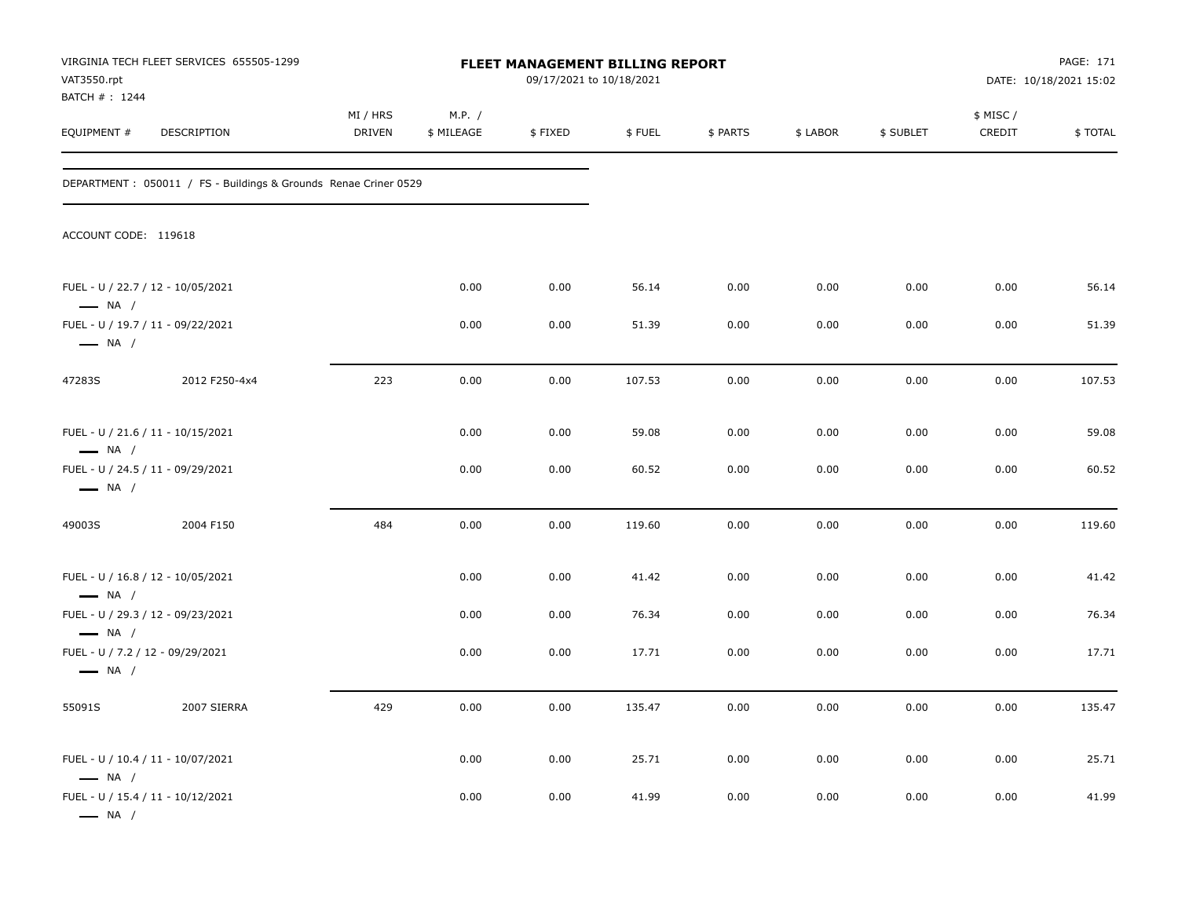| VAT3550.rpt<br>BATCH #: 1244                               | VIRGINIA TECH FLEET SERVICES 655505-1299                         |                           |                      | FLEET MANAGEMENT BILLING REPORT<br>09/17/2021 to 10/18/2021 |        |          |          |           |                     | PAGE: 171<br>DATE: 10/18/2021 15:02 |  |
|------------------------------------------------------------|------------------------------------------------------------------|---------------------------|----------------------|-------------------------------------------------------------|--------|----------|----------|-----------|---------------------|-------------------------------------|--|
| EQUIPMENT #                                                | DESCRIPTION                                                      | MI / HRS<br><b>DRIVEN</b> | M.P. /<br>\$ MILEAGE | \$FIXED                                                     | \$FUEL | \$ PARTS | \$ LABOR | \$ SUBLET | \$ MISC /<br>CREDIT | \$TOTAL                             |  |
|                                                            | DEPARTMENT : 050011 / FS - Buildings & Grounds Renae Criner 0529 |                           |                      |                                                             |        |          |          |           |                     |                                     |  |
| ACCOUNT CODE: 119618                                       |                                                                  |                           |                      |                                                             |        |          |          |           |                     |                                     |  |
| $\longrightarrow$ NA /                                     | FUEL - U / 22.7 / 12 - 10/05/2021                                |                           | 0.00                 | 0.00                                                        | 56.14  | 0.00     | 0.00     | 0.00      | 0.00                | 56.14                               |  |
| $\longrightarrow$ NA /                                     | FUEL - U / 19.7 / 11 - 09/22/2021                                |                           | 0.00                 | 0.00                                                        | 51.39  | 0.00     | 0.00     | 0.00      | 0.00                | 51.39                               |  |
| 47283S                                                     | 2012 F250-4x4                                                    | 223                       | 0.00                 | 0.00                                                        | 107.53 | 0.00     | 0.00     | 0.00      | 0.00                | 107.53                              |  |
| $\longrightarrow$ NA /                                     | FUEL - U / 21.6 / 11 - 10/15/2021                                |                           | 0.00                 | 0.00                                                        | 59.08  | 0.00     | 0.00     | 0.00      | 0.00                | 59.08                               |  |
| $\longrightarrow$ NA /                                     | FUEL - U / 24.5 / 11 - 09/29/2021                                |                           | 0.00                 | 0.00                                                        | 60.52  | 0.00     | 0.00     | 0.00      | 0.00                | 60.52                               |  |
| 49003S                                                     | 2004 F150                                                        | 484                       | 0.00                 | 0.00                                                        | 119.60 | 0.00     | 0.00     | 0.00      | 0.00                | 119.60                              |  |
| $\longrightarrow$ NA /                                     | FUEL - U / 16.8 / 12 - 10/05/2021                                |                           | 0.00                 | 0.00                                                        | 41.42  | 0.00     | 0.00     | 0.00      | 0.00                | 41.42                               |  |
| $\longrightarrow$ NA /                                     | FUEL - U / 29.3 / 12 - 09/23/2021                                |                           | 0.00                 | 0.00                                                        | 76.34  | 0.00     | 0.00     | 0.00      | 0.00                | 76.34                               |  |
| FUEL - U / 7.2 / 12 - 09/29/2021<br>$\longrightarrow$ NA / |                                                                  |                           | 0.00                 | 0.00                                                        | 17.71  | 0.00     | 0.00     | 0.00      | 0.00                | 17.71                               |  |
| 55091S                                                     | 2007 SIERRA                                                      | 429                       | 0.00                 | 0.00                                                        | 135.47 | 0.00     | 0.00     | 0.00      | 0.00                | 135.47                              |  |
| $\longrightarrow$ NA /                                     | FUEL - U / 10.4 / 11 - 10/07/2021                                |                           | 0.00                 | 0.00                                                        | 25.71  | 0.00     | 0.00     | 0.00      | 0.00                | 25.71                               |  |
| $\longrightarrow$ NA /                                     | FUEL - U / 15.4 / 11 - 10/12/2021                                |                           | 0.00                 | 0.00                                                        | 41.99  | 0.00     | 0.00     | 0.00      | 0.00                | 41.99                               |  |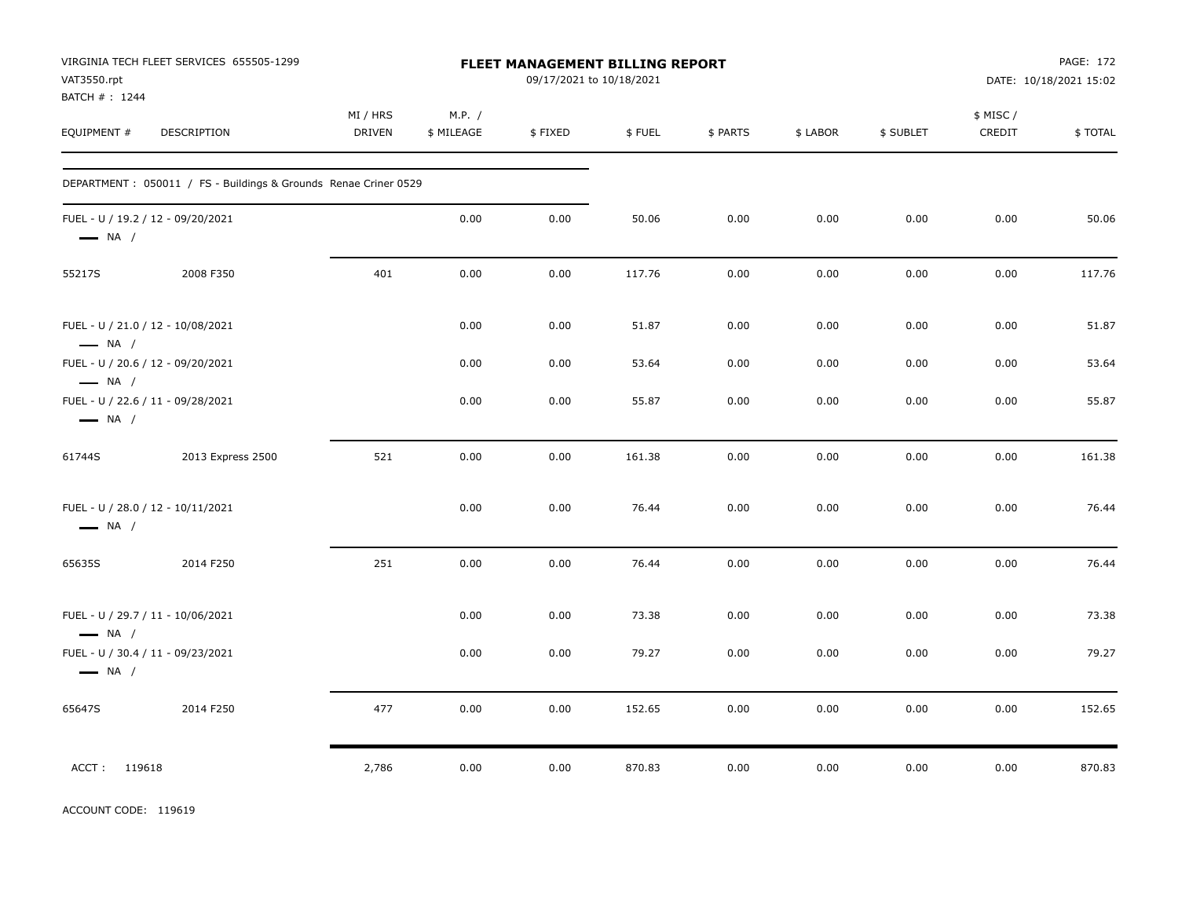| VAT3550.rpt<br>BATCH #: 1244                                | VIRGINIA TECH FLEET SERVICES 655505-1299                         | FLEET MANAGEMENT BILLING REPORT<br>09/17/2021 to 10/18/2021 |                      |         |        |          |          |           | PAGE: 172<br>DATE: 10/18/2021 15:02 |         |
|-------------------------------------------------------------|------------------------------------------------------------------|-------------------------------------------------------------|----------------------|---------|--------|----------|----------|-----------|-------------------------------------|---------|
| EQUIPMENT #                                                 | DESCRIPTION                                                      | MI / HRS<br><b>DRIVEN</b>                                   | M.P. /<br>\$ MILEAGE | \$FIXED | \$FUEL | \$ PARTS | \$ LABOR | \$ SUBLET | \$ MISC /<br>CREDIT                 | \$TOTAL |
|                                                             | DEPARTMENT : 050011 / FS - Buildings & Grounds Renae Criner 0529 |                                                             |                      |         |        |          |          |           |                                     |         |
| FUEL - U / 19.2 / 12 - 09/20/2021<br>$\longrightarrow$ NA / |                                                                  |                                                             | 0.00                 | 0.00    | 50.06  | 0.00     | 0.00     | 0.00      | 0.00                                | 50.06   |
| 55217S                                                      | 2008 F350                                                        | 401                                                         | 0.00                 | 0.00    | 117.76 | 0.00     | 0.00     | 0.00      | 0.00                                | 117.76  |
| FUEL - U / 21.0 / 12 - 10/08/2021<br>$\longrightarrow$ NA / |                                                                  |                                                             | 0.00                 | 0.00    | 51.87  | 0.00     | 0.00     | 0.00      | 0.00                                | 51.87   |
| FUEL - U / 20.6 / 12 - 09/20/2021<br>$\longrightarrow$ NA / |                                                                  |                                                             | 0.00                 | 0.00    | 53.64  | 0.00     | 0.00     | 0.00      | 0.00                                | 53.64   |
| FUEL - U / 22.6 / 11 - 09/28/2021<br>$\longrightarrow$ NA / |                                                                  |                                                             | 0.00                 | 0.00    | 55.87  | 0.00     | 0.00     | 0.00      | 0.00                                | 55.87   |
| 61744S                                                      | 2013 Express 2500                                                | 521                                                         | 0.00                 | 0.00    | 161.38 | 0.00     | 0.00     | 0.00      | 0.00                                | 161.38  |
| FUEL - U / 28.0 / 12 - 10/11/2021<br>$\longrightarrow$ NA / |                                                                  |                                                             | 0.00                 | 0.00    | 76.44  | 0.00     | 0.00     | 0.00      | 0.00                                | 76.44   |
| 65635S                                                      | 2014 F250                                                        | 251                                                         | 0.00                 | 0.00    | 76.44  | 0.00     | 0.00     | 0.00      | 0.00                                | 76.44   |
| FUEL - U / 29.7 / 11 - 10/06/2021<br>$\longrightarrow$ NA / |                                                                  |                                                             | 0.00                 | 0.00    | 73.38  | 0.00     | 0.00     | 0.00      | 0.00                                | 73.38   |
| FUEL - U / 30.4 / 11 - 09/23/2021<br>$\longrightarrow$ NA / |                                                                  |                                                             | 0.00                 | 0.00    | 79.27  | 0.00     | 0.00     | 0.00      | 0.00                                | 79.27   |
| 65647S                                                      | 2014 F250                                                        | 477                                                         | 0.00                 | 0.00    | 152.65 | 0.00     | 0.00     | 0.00      | 0.00                                | 152.65  |
| ACCT: 119618                                                |                                                                  | 2,786                                                       | 0.00                 | 0.00    | 870.83 | 0.00     | 0.00     | 0.00      | 0.00                                | 870.83  |

ACCOUNT CODE: 119619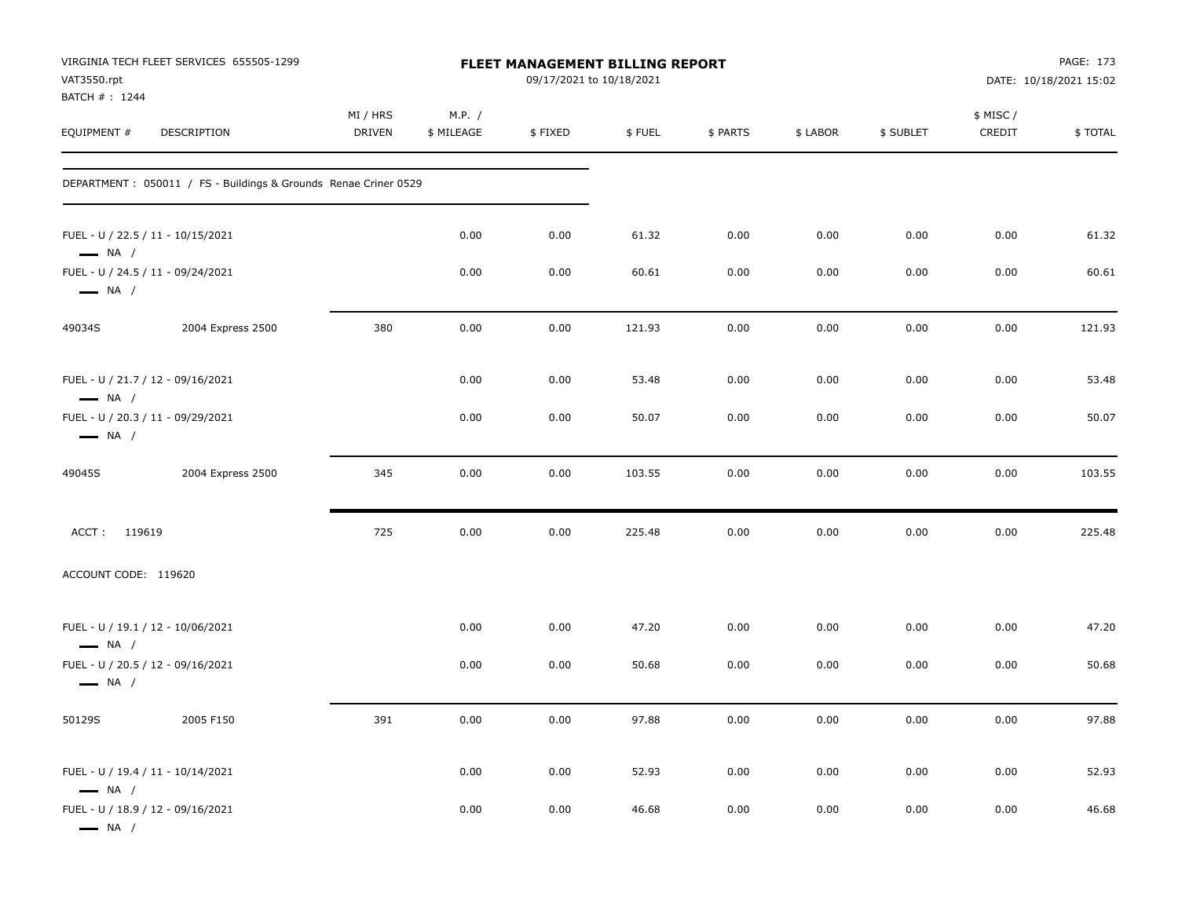| VAT3550.rpt<br>BATCH #: 1244 | VIRGINIA TECH FLEET SERVICES 655505-1299                         |                           |                      | FLEET MANAGEMENT BILLING REPORT<br>09/17/2021 to 10/18/2021 |        |          |          | PAGE: 173<br>DATE: 10/18/2021 15:02 |                     |                |
|------------------------------|------------------------------------------------------------------|---------------------------|----------------------|-------------------------------------------------------------|--------|----------|----------|-------------------------------------|---------------------|----------------|
| EQUIPMENT #                  | DESCRIPTION                                                      | MI / HRS<br><b>DRIVEN</b> | M.P. /<br>\$ MILEAGE | \$FIXED                                                     | \$FUEL | \$ PARTS | \$ LABOR | \$ SUBLET                           | \$ MISC /<br>CREDIT | <b>\$TOTAL</b> |
|                              | DEPARTMENT : 050011 / FS - Buildings & Grounds Renae Criner 0529 |                           |                      |                                                             |        |          |          |                                     |                     |                |
| $\longrightarrow$ NA /       | FUEL - U / 22.5 / 11 - 10/15/2021                                |                           | 0.00                 | 0.00                                                        | 61.32  | 0.00     | 0.00     | 0.00                                | 0.00                | 61.32          |
| $\longrightarrow$ NA /       | FUEL - U / 24.5 / 11 - 09/24/2021                                |                           | 0.00                 | 0.00                                                        | 60.61  | 0.00     | 0.00     | 0.00                                | 0.00                | 60.61          |
| 49034S                       | 2004 Express 2500                                                | 380                       | 0.00                 | 0.00                                                        | 121.93 | 0.00     | 0.00     | 0.00                                | 0.00                | 121.93         |
| $\longrightarrow$ NA /       | FUEL - U / 21.7 / 12 - 09/16/2021                                |                           | 0.00                 | 0.00                                                        | 53.48  | 0.00     | 0.00     | 0.00                                | 0.00                | 53.48          |
| $\longrightarrow$ NA /       | FUEL - U / 20.3 / 11 - 09/29/2021                                |                           | 0.00                 | 0.00                                                        | 50.07  | 0.00     | 0.00     | 0.00                                | 0.00                | 50.07          |
| 49045S                       | 2004 Express 2500                                                | 345                       | 0.00                 | 0.00                                                        | 103.55 | 0.00     | 0.00     | 0.00                                | 0.00                | 103.55         |
| ACCT: 119619                 |                                                                  | 725                       | 0.00                 | 0.00                                                        | 225.48 | 0.00     | 0.00     | 0.00                                | 0.00                | 225.48         |
| ACCOUNT CODE: 119620         |                                                                  |                           |                      |                                                             |        |          |          |                                     |                     |                |
| $\longrightarrow$ NA /       | FUEL - U / 19.1 / 12 - 10/06/2021                                |                           | 0.00                 | 0.00                                                        | 47.20  | 0.00     | 0.00     | 0.00                                | 0.00                | 47.20          |
| $\longrightarrow$ NA /       | FUEL - U / 20.5 / 12 - 09/16/2021                                |                           | 0.00                 | 0.00                                                        | 50.68  | 0.00     | 0.00     | 0.00                                | 0.00                | 50.68          |
| 50129S                       | 2005 F150                                                        | 391                       | 0.00                 | 0.00                                                        | 97.88  | 0.00     | 0.00     | 0.00                                | 0.00                | 97.88          |
| $\longrightarrow$ NA /       | FUEL - U / 19.4 / 11 - 10/14/2021                                |                           | 0.00                 | 0.00                                                        | 52.93  | 0.00     | 0.00     | 0.00                                | 0.00                | 52.93          |
| $\longrightarrow$ NA /       | FUEL - U / 18.9 / 12 - 09/16/2021                                |                           | 0.00                 | 0.00                                                        | 46.68  | 0.00     | 0.00     | 0.00                                | 0.00                | 46.68          |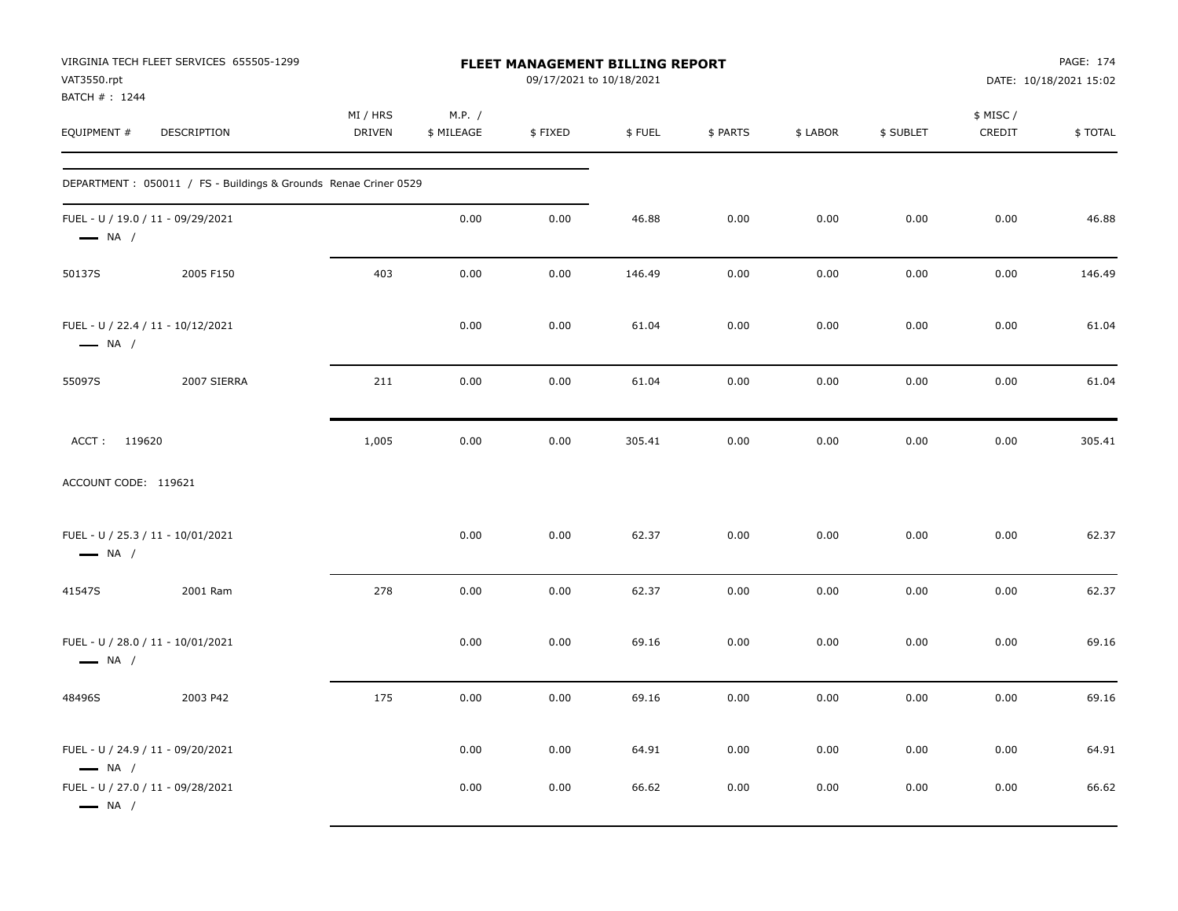| VAT3550.rpt<br>BATCH #: 1244                                | VIRGINIA TECH FLEET SERVICES 655505-1299                        |                           |                      | FLEET MANAGEMENT BILLING REPORT<br>09/17/2021 to 10/18/2021 |        |          |          |           |                    | PAGE: 174<br>DATE: 10/18/2021 15:02 |
|-------------------------------------------------------------|-----------------------------------------------------------------|---------------------------|----------------------|-------------------------------------------------------------|--------|----------|----------|-----------|--------------------|-------------------------------------|
| EQUIPMENT #                                                 | DESCRIPTION                                                     | MI / HRS<br><b>DRIVEN</b> | M.P. /<br>\$ MILEAGE | \$FIXED                                                     | \$FUEL | \$ PARTS | \$ LABOR | \$ SUBLET | \$ MISC/<br>CREDIT | \$TOTAL                             |
|                                                             | DEPARTMENT: 050011 / FS - Buildings & Grounds Renae Criner 0529 |                           |                      |                                                             |        |          |          |           |                    |                                     |
| FUEL - U / 19.0 / 11 - 09/29/2021<br>$\longrightarrow$ NA / |                                                                 |                           | 0.00                 | 0.00                                                        | 46.88  | 0.00     | 0.00     | 0.00      | 0.00               | 46.88                               |
| 50137S                                                      | 2005 F150                                                       | 403                       | 0.00                 | 0.00                                                        | 146.49 | 0.00     | 0.00     | 0.00      | 0.00               | 146.49                              |
| FUEL - U / 22.4 / 11 - 10/12/2021<br>$\longrightarrow$ NA / |                                                                 |                           | 0.00                 | 0.00                                                        | 61.04  | 0.00     | 0.00     | 0.00      | 0.00               | 61.04                               |
| 55097S                                                      | 2007 SIERRA                                                     | 211                       | 0.00                 | 0.00                                                        | 61.04  | 0.00     | 0.00     | 0.00      | 0.00               | 61.04                               |
| ACCT: 119620                                                |                                                                 | 1,005                     | 0.00                 | 0.00                                                        | 305.41 | 0.00     | 0.00     | 0.00      | 0.00               | 305.41                              |
| ACCOUNT CODE: 119621                                        |                                                                 |                           |                      |                                                             |        |          |          |           |                    |                                     |
| FUEL - U / 25.3 / 11 - 10/01/2021<br>$\longrightarrow$ NA / |                                                                 |                           | 0.00                 | 0.00                                                        | 62.37  | 0.00     | 0.00     | 0.00      | 0.00               | 62.37                               |
| 41547S                                                      | 2001 Ram                                                        | 278                       | 0.00                 | 0.00                                                        | 62.37  | 0.00     | 0.00     | 0.00      | 0.00               | 62.37                               |
| FUEL - U / 28.0 / 11 - 10/01/2021<br>$\longrightarrow$ NA / |                                                                 |                           | 0.00                 | 0.00                                                        | 69.16  | 0.00     | 0.00     | 0.00      | 0.00               | 69.16                               |
| 48496S                                                      | 2003 P42                                                        | 175                       | 0.00                 | 0.00                                                        | 69.16  | 0.00     | 0.00     | 0.00      | 0.00               | 69.16                               |
| FUEL - U / 24.9 / 11 - 09/20/2021<br>$\longrightarrow$ NA / |                                                                 |                           | 0.00                 | 0.00                                                        | 64.91  | 0.00     | 0.00     | 0.00      | 0.00               | 64.91                               |
| FUEL - U / 27.0 / 11 - 09/28/2021<br>$\longrightarrow$ NA / |                                                                 |                           | 0.00                 | 0.00                                                        | 66.62  | 0.00     | 0.00     | 0.00      | 0.00               | 66.62                               |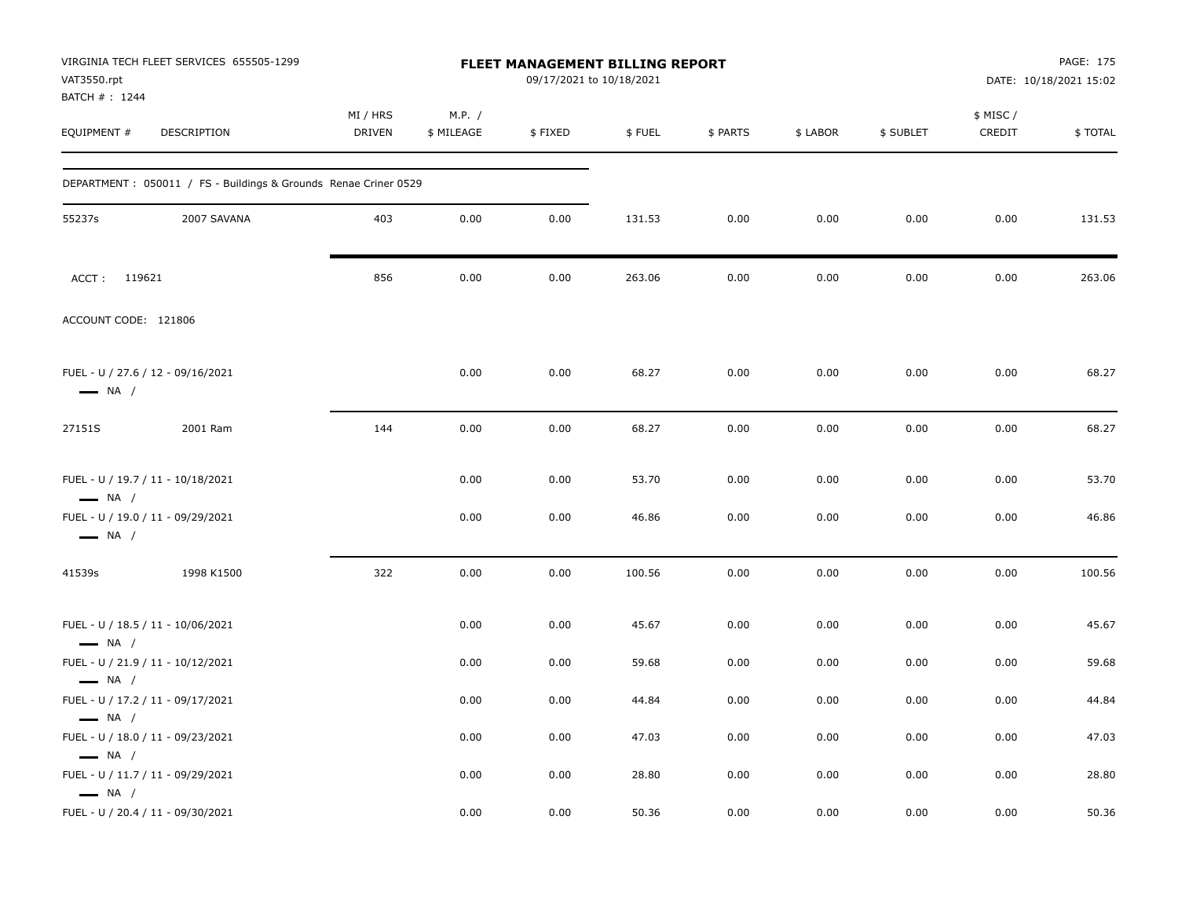| VAT3550.rpt<br>BATCH #: 1244                     | VIRGINIA TECH FLEET SERVICES 655505-1299                         |                           |                      | FLEET MANAGEMENT BILLING REPORT<br>09/17/2021 to 10/18/2021 |        |          |          |           |                    | PAGE: 175<br>DATE: 10/18/2021 15:02 |
|--------------------------------------------------|------------------------------------------------------------------|---------------------------|----------------------|-------------------------------------------------------------|--------|----------|----------|-----------|--------------------|-------------------------------------|
| EQUIPMENT #                                      | DESCRIPTION                                                      | MI / HRS<br><b>DRIVEN</b> | M.P. /<br>\$ MILEAGE | \$FIXED                                                     | \$FUEL | \$ PARTS | \$ LABOR | \$ SUBLET | \$ MISC/<br>CREDIT | \$TOTAL                             |
|                                                  | DEPARTMENT : 050011 / FS - Buildings & Grounds Renae Criner 0529 |                           |                      |                                                             |        |          |          |           |                    |                                     |
| 55237s                                           | 2007 SAVANA                                                      | 403                       | 0.00                 | 0.00                                                        | 131.53 | 0.00     | 0.00     | 0.00      | 0.00               | 131.53                              |
| ACCT: 119621                                     |                                                                  | 856                       | 0.00                 | 0.00                                                        | 263.06 | 0.00     | 0.00     | 0.00      | 0.00               | 263.06                              |
| ACCOUNT CODE: 121806                             |                                                                  |                           |                      |                                                             |        |          |          |           |                    |                                     |
| $\longrightarrow$ NA /                           | FUEL - U / 27.6 / 12 - 09/16/2021                                |                           | 0.00                 | 0.00                                                        | 68.27  | 0.00     | 0.00     | 0.00      | 0.00               | 68.27                               |
| 27151S                                           | 2001 Ram                                                         | 144                       | 0.00                 | 0.00                                                        | 68.27  | 0.00     | 0.00     | 0.00      | 0.00               | 68.27                               |
| $\longrightarrow$ NA /                           | FUEL - U / 19.7 / 11 - 10/18/2021                                |                           | 0.00                 | 0.00                                                        | 53.70  | 0.00     | 0.00     | 0.00      | 0.00               | 53.70                               |
| $\longrightarrow$ NA /                           | FUEL - U / 19.0 / 11 - 09/29/2021                                |                           | 0.00                 | 0.00                                                        | 46.86  | 0.00     | 0.00     | 0.00      | 0.00               | 46.86                               |
| 41539s                                           | 1998 K1500                                                       | 322                       | 0.00                 | 0.00                                                        | 100.56 | 0.00     | 0.00     | 0.00      | 0.00               | 100.56                              |
| $\longrightarrow$ NA /                           | FUEL - U / 18.5 / 11 - 10/06/2021                                |                           | 0.00                 | 0.00                                                        | 45.67  | 0.00     | 0.00     | 0.00      | 0.00               | 45.67                               |
|                                                  | FUEL - U / 21.9 / 11 - 10/12/2021                                |                           | 0.00                 | 0.00                                                        | 59.68  | 0.00     | 0.00     | 0.00      | 0.00               | 59.68                               |
| $\longrightarrow$ NA /<br>$\longrightarrow$ NA / | FUEL - U / 17.2 / 11 - 09/17/2021                                |                           | 0.00                 | 0.00                                                        | 44.84  | 0.00     | 0.00     | 0.00      | 0.00               | 44.84                               |
| $\longrightarrow$ NA /                           | FUEL - U / 18.0 / 11 - 09/23/2021                                |                           | 0.00                 | 0.00                                                        | 47.03  | 0.00     | 0.00     | 0.00      | 0.00               | 47.03                               |
| $\longrightarrow$ NA /                           | FUEL - U / 11.7 / 11 - 09/29/2021                                |                           | 0.00                 | 0.00                                                        | 28.80  | 0.00     | 0.00     | 0.00      | 0.00               | 28.80                               |
|                                                  | FUEL - U / 20.4 / 11 - 09/30/2021                                |                           | 0.00                 | 0.00                                                        | 50.36  | 0.00     | 0.00     | 0.00      | 0.00               | 50.36                               |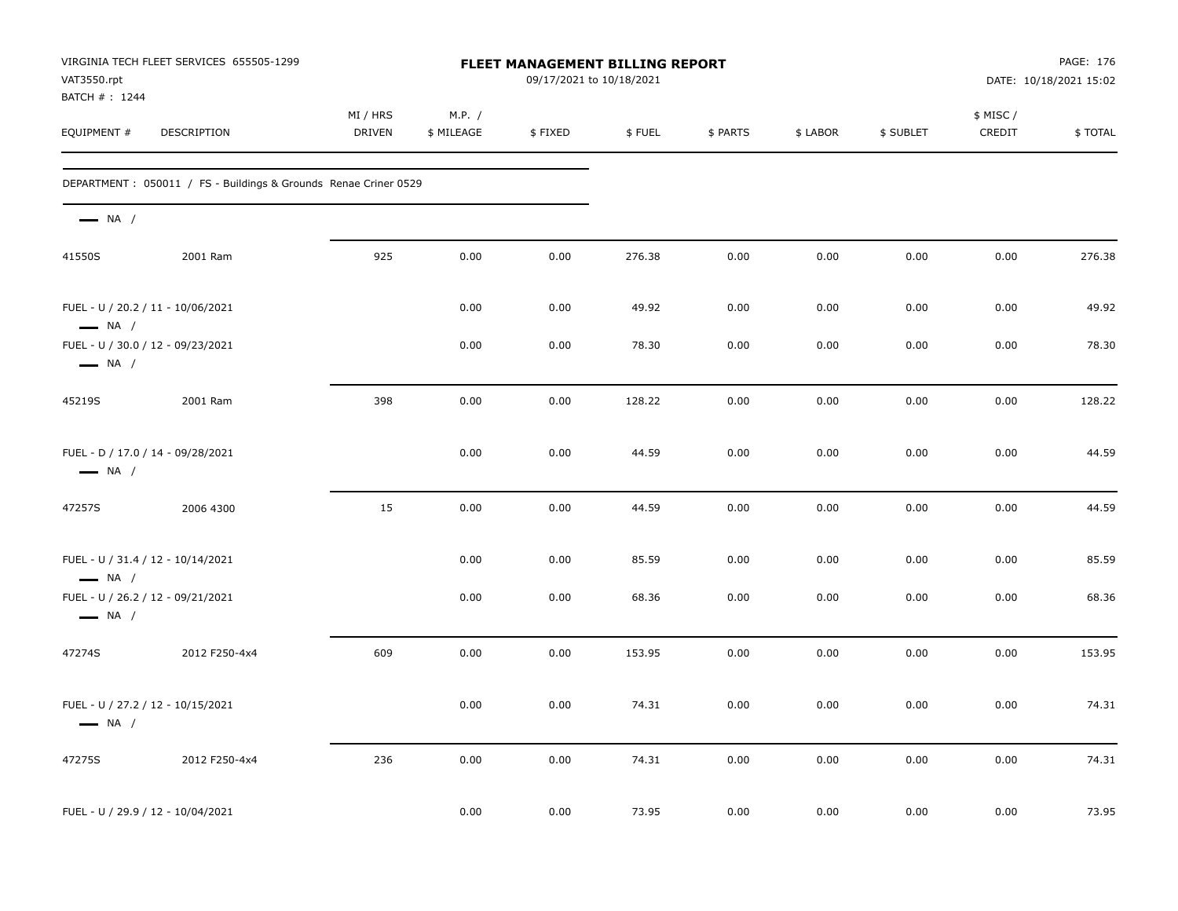| VAT3550.rpt                                                 | VIRGINIA TECH FLEET SERVICES 655505-1299                         | FLEET MANAGEMENT BILLING REPORT<br>09/17/2021 to 10/18/2021 |                      |         |        |          |          | PAGE: 176<br>DATE: 10/18/2021 15:02 |                     |         |  |  |
|-------------------------------------------------------------|------------------------------------------------------------------|-------------------------------------------------------------|----------------------|---------|--------|----------|----------|-------------------------------------|---------------------|---------|--|--|
| BATCH #: 1244<br>EQUIPMENT #                                | DESCRIPTION                                                      | MI / HRS<br><b>DRIVEN</b>                                   | M.P. /<br>\$ MILEAGE | \$FIXED | \$FUEL | \$ PARTS | \$ LABOR | \$ SUBLET                           | \$ MISC /<br>CREDIT | \$TOTAL |  |  |
|                                                             | DEPARTMENT : 050011 / FS - Buildings & Grounds Renae Criner 0529 |                                                             |                      |         |        |          |          |                                     |                     |         |  |  |
| $\longrightarrow$ NA /                                      |                                                                  |                                                             |                      |         |        |          |          |                                     |                     |         |  |  |
| 41550S                                                      | 2001 Ram                                                         | 925                                                         | 0.00                 | 0.00    | 276.38 | 0.00     | 0.00     | 0.00                                | 0.00                | 276.38  |  |  |
| FUEL - U / 20.2 / 11 - 10/06/2021<br>$\longrightarrow$ NA / |                                                                  |                                                             | 0.00                 | 0.00    | 49.92  | 0.00     | 0.00     | 0.00                                | 0.00                | 49.92   |  |  |
| FUEL - U / 30.0 / 12 - 09/23/2021<br>$\longrightarrow$ NA / |                                                                  |                                                             | 0.00                 | 0.00    | 78.30  | 0.00     | 0.00     | 0.00                                | 0.00                | 78.30   |  |  |
| 45219S                                                      | 2001 Ram                                                         | 398                                                         | 0.00                 | 0.00    | 128.22 | 0.00     | 0.00     | 0.00                                | 0.00                | 128.22  |  |  |
| FUEL - D / 17.0 / 14 - 09/28/2021<br>$\longrightarrow$ NA / |                                                                  |                                                             | 0.00                 | 0.00    | 44.59  | 0.00     | 0.00     | 0.00                                | 0.00                | 44.59   |  |  |
| 47257S                                                      | 2006 4300                                                        | 15                                                          | 0.00                 | 0.00    | 44.59  | 0.00     | 0.00     | 0.00                                | 0.00                | 44.59   |  |  |
| FUEL - U / 31.4 / 12 - 10/14/2021<br>$\longrightarrow$ NA / |                                                                  |                                                             | 0.00                 | 0.00    | 85.59  | 0.00     | 0.00     | 0.00                                | 0.00                | 85.59   |  |  |
| FUEL - U / 26.2 / 12 - 09/21/2021<br>$\longrightarrow$ NA / |                                                                  |                                                             | 0.00                 | 0.00    | 68.36  | 0.00     | 0.00     | 0.00                                | 0.00                | 68.36   |  |  |
| 47274S                                                      | 2012 F250-4x4                                                    | 609                                                         | 0.00                 | 0.00    | 153.95 | 0.00     | 0.00     | 0.00                                | 0.00                | 153.95  |  |  |
| FUEL - U / 27.2 / 12 - 10/15/2021<br>$\longrightarrow$ NA / |                                                                  |                                                             | 0.00                 | 0.00    | 74.31  | 0.00     | 0.00     | 0.00                                | 0.00                | 74.31   |  |  |
| 47275S                                                      | 2012 F250-4x4                                                    | 236                                                         | 0.00                 | 0.00    | 74.31  | 0.00     | 0.00     | 0.00                                | 0.00                | 74.31   |  |  |
| FUEL - U / 29.9 / 12 - 10/04/2021                           |                                                                  |                                                             | 0.00                 | 0.00    | 73.95  | 0.00     | 0.00     | 0.00                                | 0.00                | 73.95   |  |  |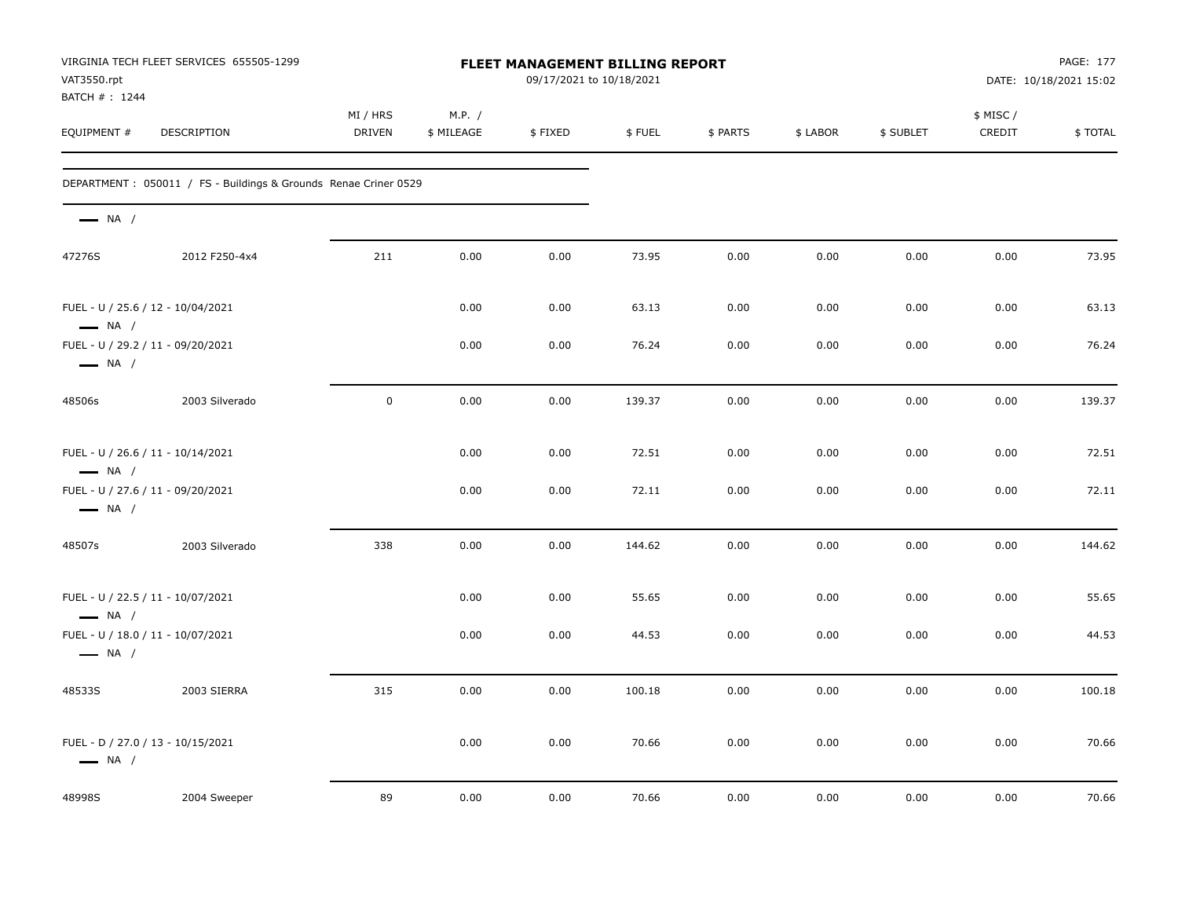| VAT3550.rpt<br>BATCH #: 1244                                | VIRGINIA TECH FLEET SERVICES 655505-1299                        |                    |                      | <b>FLEET MANAGEMENT BILLING REPORT</b><br>09/17/2021 to 10/18/2021 |        |          |          | PAGE: 177<br>DATE: 10/18/2021 15:02 |                     |         |
|-------------------------------------------------------------|-----------------------------------------------------------------|--------------------|----------------------|--------------------------------------------------------------------|--------|----------|----------|-------------------------------------|---------------------|---------|
| EQUIPMENT #                                                 | DESCRIPTION                                                     | MI / HRS<br>DRIVEN | M.P. /<br>\$ MILEAGE | \$FIXED                                                            | \$FUEL | \$ PARTS | \$ LABOR | \$ SUBLET                           | \$ MISC /<br>CREDIT | \$TOTAL |
|                                                             | DEPARTMENT: 050011 / FS - Buildings & Grounds Renae Criner 0529 |                    |                      |                                                                    |        |          |          |                                     |                     |         |
| $\longrightarrow$ NA /                                      |                                                                 |                    |                      |                                                                    |        |          |          |                                     |                     |         |
| 47276S                                                      | 2012 F250-4x4                                                   | 211                | 0.00                 | 0.00                                                               | 73.95  | 0.00     | 0.00     | 0.00                                | 0.00                | 73.95   |
| FUEL - U / 25.6 / 12 - 10/04/2021<br>$\longrightarrow$ NA / |                                                                 |                    | 0.00                 | 0.00                                                               | 63.13  | 0.00     | 0.00     | 0.00                                | 0.00                | 63.13   |
| FUEL - U / 29.2 / 11 - 09/20/2021<br>$\longrightarrow$ NA / |                                                                 |                    | 0.00                 | 0.00                                                               | 76.24  | 0.00     | 0.00     | 0.00                                | 0.00                | 76.24   |
| 48506s                                                      | 2003 Silverado                                                  | $\mathbf 0$        | 0.00                 | 0.00                                                               | 139.37 | 0.00     | 0.00     | 0.00                                | 0.00                | 139.37  |
| FUEL - U / 26.6 / 11 - 10/14/2021<br>$\longrightarrow$ NA / |                                                                 |                    | 0.00                 | 0.00                                                               | 72.51  | 0.00     | 0.00     | 0.00                                | 0.00                | 72.51   |
| FUEL - U / 27.6 / 11 - 09/20/2021<br>$\longrightarrow$ NA / |                                                                 |                    | 0.00                 | 0.00                                                               | 72.11  | 0.00     | 0.00     | 0.00                                | 0.00                | 72.11   |
| 48507s                                                      | 2003 Silverado                                                  | 338                | 0.00                 | 0.00                                                               | 144.62 | 0.00     | 0.00     | 0.00                                | 0.00                | 144.62  |
| FUEL - U / 22.5 / 11 - 10/07/2021<br>$\longrightarrow$ NA / |                                                                 |                    | 0.00                 | 0.00                                                               | 55.65  | 0.00     | 0.00     | 0.00                                | 0.00                | 55.65   |
| FUEL - U / 18.0 / 11 - 10/07/2021<br>$\longrightarrow$ NA / |                                                                 |                    | 0.00                 | 0.00                                                               | 44.53  | 0.00     | 0.00     | 0.00                                | 0.00                | 44.53   |
| 48533S                                                      | 2003 SIERRA                                                     | 315                | 0.00                 | 0.00                                                               | 100.18 | 0.00     | 0.00     | 0.00                                | 0.00                | 100.18  |
| FUEL - D / 27.0 / 13 - 10/15/2021<br>$\longrightarrow$ NA / |                                                                 |                    | 0.00                 | 0.00                                                               | 70.66  | 0.00     | 0.00     | 0.00                                | 0.00                | 70.66   |
| 48998S                                                      | 2004 Sweeper                                                    | 89                 | 0.00                 | 0.00                                                               | 70.66  | 0.00     | 0.00     | 0.00                                | 0.00                | 70.66   |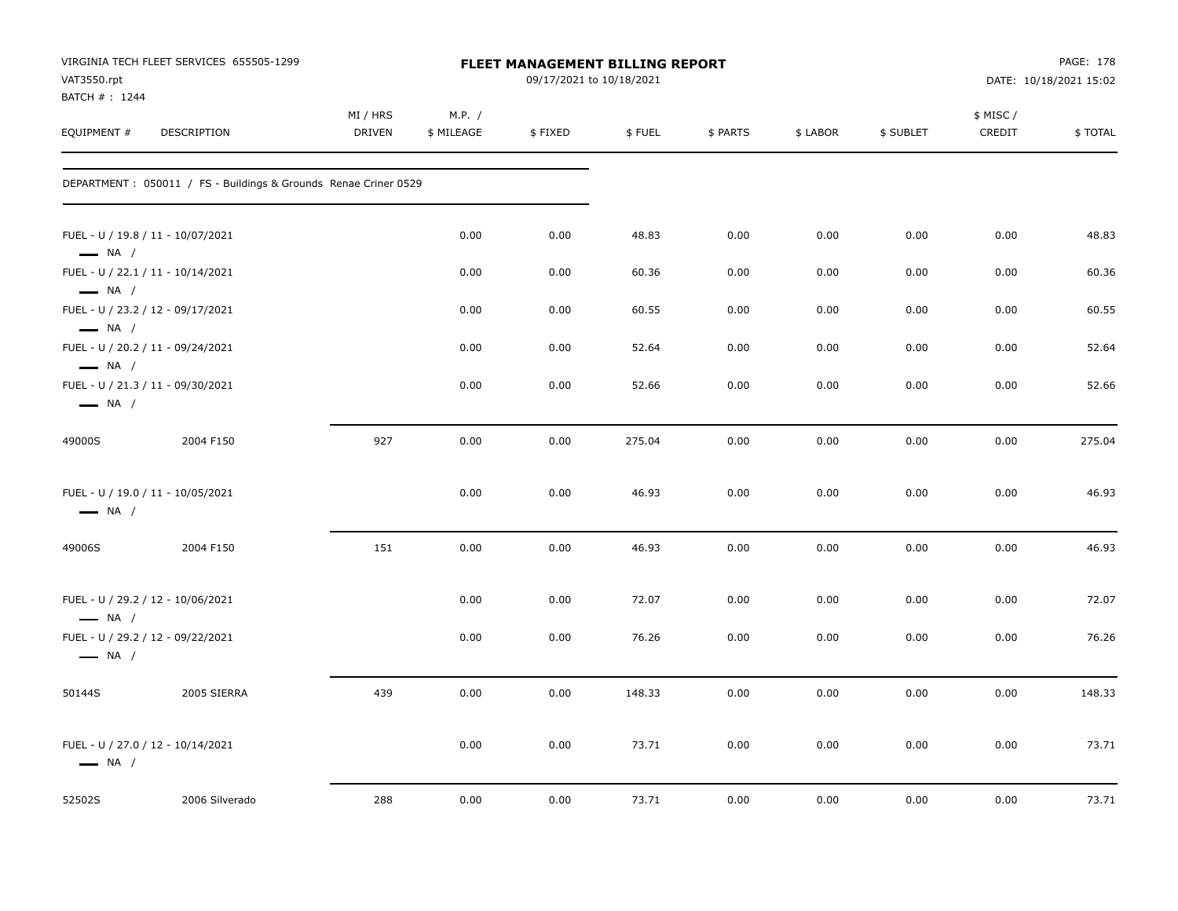| VAT3550.rpt<br>BATCH #: 1244                     | VIRGINIA TECH FLEET SERVICES 655505-1299                         |                    | FLEET MANAGEMENT BILLING REPORT<br>09/17/2021 to 10/18/2021 |         |        |          |          |           | PAGE: 178<br>DATE: 10/18/2021 15:02 |         |  |
|--------------------------------------------------|------------------------------------------------------------------|--------------------|-------------------------------------------------------------|---------|--------|----------|----------|-----------|-------------------------------------|---------|--|
| EQUIPMENT #                                      | DESCRIPTION                                                      | MI / HRS<br>DRIVEN | M.P. /<br>\$ MILEAGE                                        | \$FIXED | \$FUEL | \$ PARTS | \$ LABOR | \$ SUBLET | \$ MISC/<br>CREDIT                  | \$TOTAL |  |
|                                                  | DEPARTMENT : 050011 / FS - Buildings & Grounds Renae Criner 0529 |                    |                                                             |         |        |          |          |           |                                     |         |  |
| $\longrightarrow$ NA /                           | FUEL - U / 19.8 / 11 - 10/07/2021                                |                    | 0.00                                                        | 0.00    | 48.83  | 0.00     | 0.00     | 0.00      | 0.00                                | 48.83   |  |
|                                                  | FUEL - U / 22.1 / 11 - 10/14/2021                                |                    | 0.00                                                        | 0.00    | 60.36  | 0.00     | 0.00     | 0.00      | 0.00                                | 60.36   |  |
| $\longrightarrow$ NA /<br>$\longrightarrow$ NA / | FUEL - U / 23.2 / 12 - 09/17/2021                                |                    | 0.00                                                        | 0.00    | 60.55  | 0.00     | 0.00     | 0.00      | 0.00                                | 60.55   |  |
|                                                  | FUEL - U / 20.2 / 11 - 09/24/2021                                |                    | 0.00                                                        | 0.00    | 52.64  | 0.00     | 0.00     | 0.00      | 0.00                                | 52.64   |  |
| $\longrightarrow$ NA /<br>$\longrightarrow$ NA / | FUEL - U / 21.3 / 11 - 09/30/2021                                |                    | 0.00                                                        | 0.00    | 52.66  | 0.00     | 0.00     | 0.00      | 0.00                                | 52.66   |  |
| 49000S                                           | 2004 F150                                                        | 927                | 0.00                                                        | 0.00    | 275.04 | 0.00     | 0.00     | 0.00      | 0.00                                | 275.04  |  |
| $\longrightarrow$ NA /                           | FUEL - U / 19.0 / 11 - 10/05/2021                                |                    | 0.00                                                        | 0.00    | 46.93  | 0.00     | 0.00     | 0.00      | 0.00                                | 46.93   |  |
| 49006S                                           | 2004 F150                                                        | 151                | 0.00                                                        | 0.00    | 46.93  | 0.00     | 0.00     | 0.00      | 0.00                                | 46.93   |  |
| $\longrightarrow$ NA /                           | FUEL - U / 29.2 / 12 - 10/06/2021                                |                    | 0.00                                                        | 0.00    | 72.07  | 0.00     | 0.00     | 0.00      | 0.00                                | 72.07   |  |
| $\longrightarrow$ NA /                           | FUEL - U / 29.2 / 12 - 09/22/2021                                |                    | 0.00                                                        | 0.00    | 76.26  | 0.00     | 0.00     | 0.00      | 0.00                                | 76.26   |  |
| 50144S                                           | 2005 SIERRA                                                      | 439                | 0.00                                                        | 0.00    | 148.33 | 0.00     | 0.00     | 0.00      | 0.00                                | 148.33  |  |
| $\longrightarrow$ NA /                           | FUEL - U / 27.0 / 12 - 10/14/2021                                |                    | 0.00                                                        | 0.00    | 73.71  | 0.00     | 0.00     | 0.00      | 0.00                                | 73.71   |  |
| 52502S                                           | 2006 Silverado                                                   | 288                | 0.00                                                        | 0.00    | 73.71  | 0.00     | 0.00     | 0.00      | 0.00                                | 73.71   |  |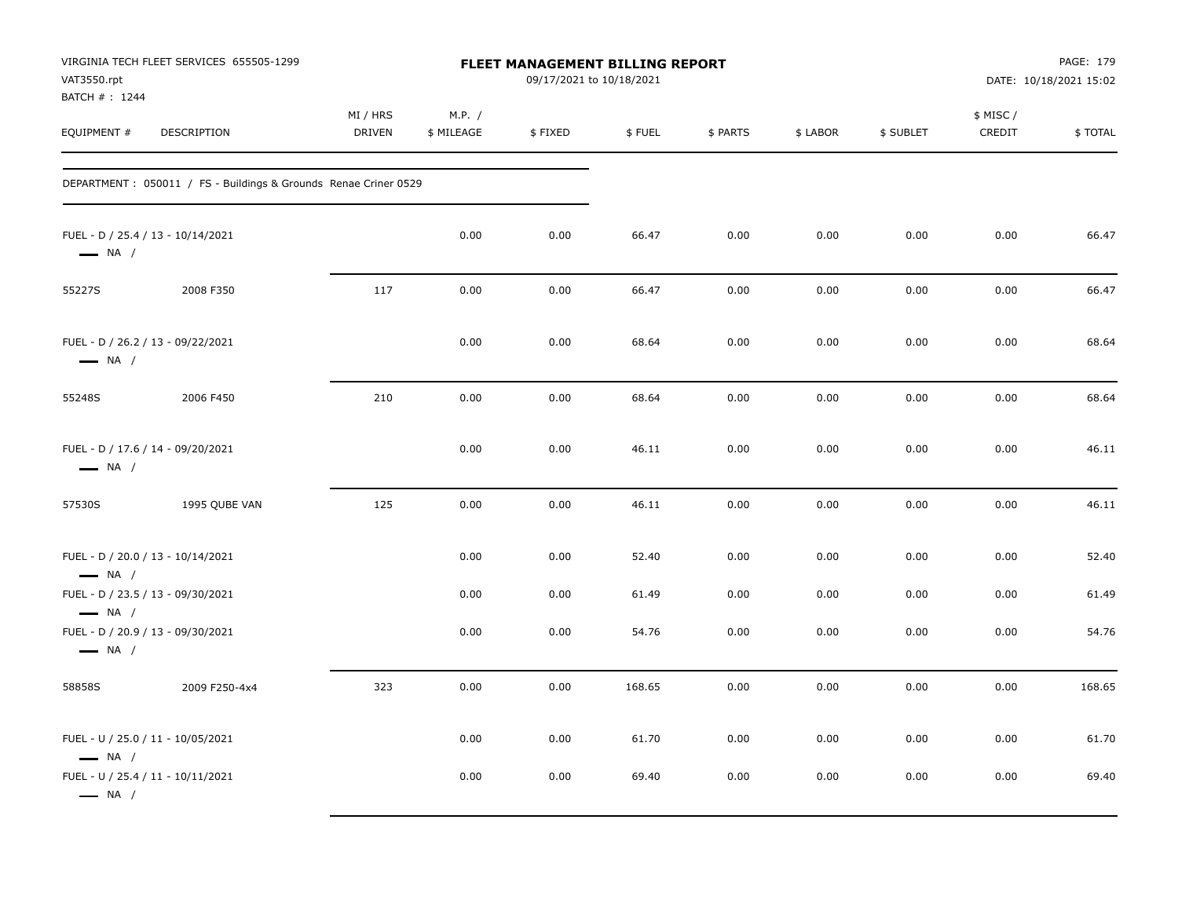| VAT3550.rpt<br>BATCH # : 1244                               | VIRGINIA TECH FLEET SERVICES 655505-1299                         |                           |                      | FLEET MANAGEMENT BILLING REPORT<br>09/17/2021 to 10/18/2021 |                |              |              | PAGE: 179<br>DATE: 10/18/2021 15:02 |                     |                |
|-------------------------------------------------------------|------------------------------------------------------------------|---------------------------|----------------------|-------------------------------------------------------------|----------------|--------------|--------------|-------------------------------------|---------------------|----------------|
| EQUIPMENT #                                                 | DESCRIPTION                                                      | MI / HRS<br><b>DRIVEN</b> | M.P. /<br>\$ MILEAGE | \$FIXED                                                     | \$FUEL         | \$ PARTS     | \$ LABOR     | \$ SUBLET                           | \$ MISC /<br>CREDIT | \$TOTAL        |
|                                                             | DEPARTMENT : 050011 / FS - Buildings & Grounds Renae Criner 0529 |                           |                      |                                                             |                |              |              |                                     |                     |                |
| $\longrightarrow$ NA /                                      | FUEL - D / 25.4 / 13 - 10/14/2021                                |                           | 0.00                 | 0.00                                                        | 66.47          | 0.00         | 0.00         | 0.00                                | 0.00                | 66.47          |
| 55227S                                                      | 2008 F350                                                        | 117                       | 0.00                 | 0.00                                                        | 66.47          | 0.00         | 0.00         | 0.00                                | 0.00                | 66.47          |
| $\longrightarrow$ NA /                                      | FUEL - D / 26.2 / 13 - 09/22/2021                                |                           | 0.00                 | 0.00                                                        | 68.64          | 0.00         | 0.00         | 0.00                                | 0.00                | 68.64          |
| 55248S                                                      | 2006 F450                                                        | 210                       | 0.00                 | 0.00                                                        | 68.64          | 0.00         | 0.00         | 0.00                                | 0.00                | 68.64          |
| $\longrightarrow$ NA /                                      | FUEL - D / 17.6 / 14 - 09/20/2021                                |                           | 0.00                 | 0.00                                                        | 46.11          | 0.00         | 0.00         | 0.00                                | 0.00                | 46.11          |
| 57530S                                                      | 1995 QUBE VAN                                                    | 125                       | 0.00                 | 0.00                                                        | 46.11          | 0.00         | 0.00         | 0.00                                | 0.00                | 46.11          |
| $\longrightarrow$ NA /                                      | FUEL - D / 20.0 / 13 - 10/14/2021                                |                           | 0.00                 | 0.00                                                        | 52.40          | 0.00         | 0.00         | 0.00                                | 0.00                | 52.40          |
| $\longrightarrow$ NA /                                      | FUEL - D / 23.5 / 13 - 09/30/2021                                |                           | 0.00                 | 0.00                                                        | 61.49          | 0.00         | 0.00         | 0.00                                | 0.00                | 61.49          |
| $\longrightarrow$ NA /                                      | FUEL - D / 20.9 / 13 - 09/30/2021                                |                           | 0.00                 | 0.00                                                        | 54.76          | 0.00         | 0.00         | 0.00                                | 0.00                | 54.76          |
| 58858S                                                      | 2009 F250-4x4                                                    | 323                       | 0.00                 | 0.00                                                        | 168.65         | 0.00         | 0.00         | 0.00                                | 0.00                | 168.65         |
| $\longrightarrow$ NA /<br>FUEL - U / 25.4 / 11 - 10/11/2021 | FUEL - U / 25.0 / 11 - 10/05/2021                                |                           | 0.00<br>0.00         | 0.00<br>0.00                                                | 61.70<br>69.40 | 0.00<br>0.00 | 0.00<br>0.00 | 0.00<br>0.00                        | 0.00<br>0.00        | 61.70<br>69.40 |
| $\longrightarrow$ NA /                                      |                                                                  |                           |                      |                                                             |                |              |              |                                     |                     |                |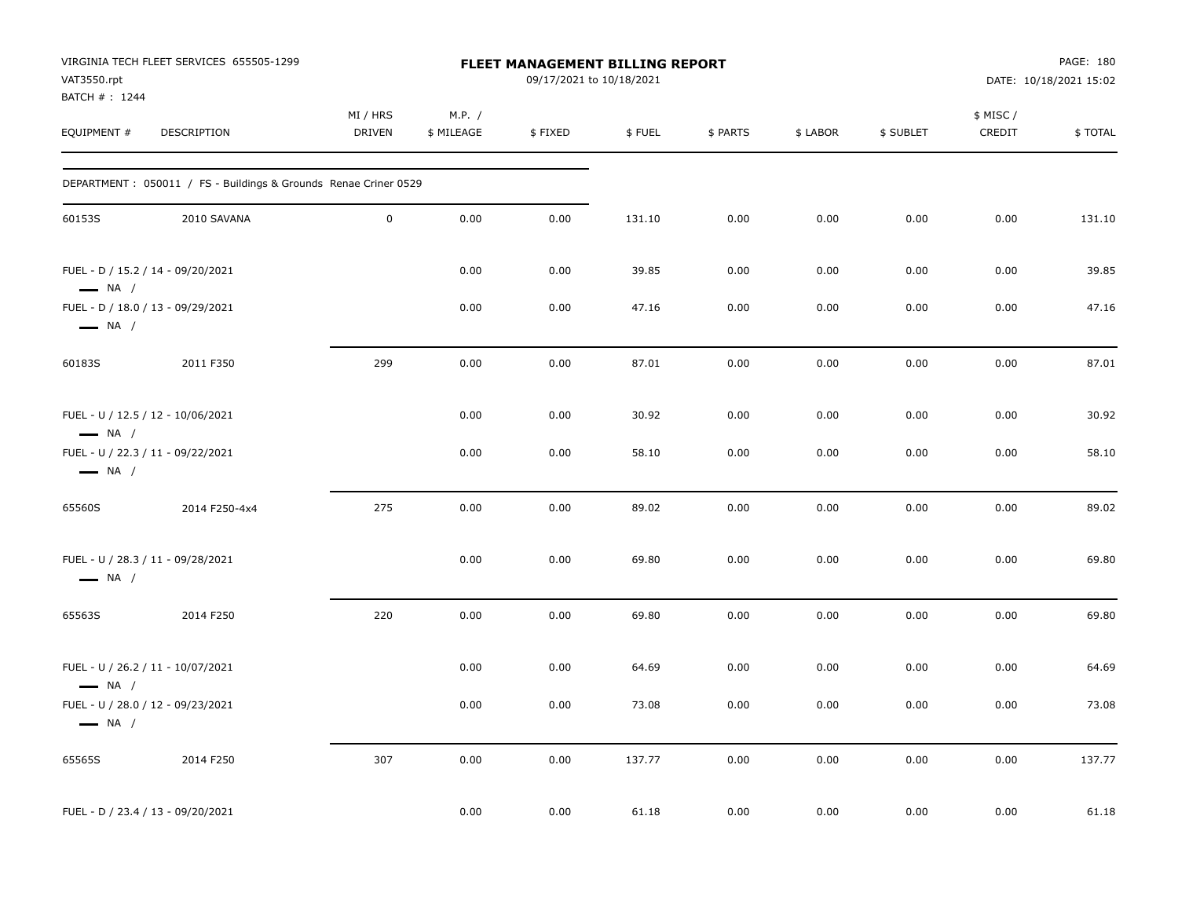| VAT3550.rpt                   | VIRGINIA TECH FLEET SERVICES 655505-1299                         |                           |                      | <b>FLEET MANAGEMENT BILLING REPORT</b><br>09/17/2021 to 10/18/2021 |        |          | PAGE: 180<br>DATE: 10/18/2021 15:02 |           |                     |         |
|-------------------------------|------------------------------------------------------------------|---------------------------|----------------------|--------------------------------------------------------------------|--------|----------|-------------------------------------|-----------|---------------------|---------|
| BATCH # : 1244<br>EQUIPMENT # | DESCRIPTION                                                      | MI / HRS<br><b>DRIVEN</b> | M.P. /<br>\$ MILEAGE | \$FIXED                                                            | \$FUEL | \$ PARTS | \$ LABOR                            | \$ SUBLET | \$ MISC /<br>CREDIT | \$TOTAL |
|                               | DEPARTMENT : 050011 / FS - Buildings & Grounds Renae Criner 0529 |                           |                      |                                                                    |        |          |                                     |           |                     |         |
| 60153S                        | 2010 SAVANA                                                      | $\mathbf 0$               | 0.00                 | 0.00                                                               | 131.10 | 0.00     | 0.00                                | 0.00      | 0.00                | 131.10  |
| $\longrightarrow$ NA /        | FUEL - D / 15.2 / 14 - 09/20/2021                                |                           | 0.00                 | 0.00                                                               | 39.85  | 0.00     | 0.00                                | 0.00      | 0.00                | 39.85   |
| $\longrightarrow$ NA /        | FUEL - D / 18.0 / 13 - 09/29/2021                                |                           | 0.00                 | 0.00                                                               | 47.16  | 0.00     | 0.00                                | 0.00      | 0.00                | 47.16   |
| 60183S                        | 2011 F350                                                        | 299                       | 0.00                 | 0.00                                                               | 87.01  | 0.00     | 0.00                                | 0.00      | 0.00                | 87.01   |
| $\longrightarrow$ NA /        | FUEL - U / 12.5 / 12 - 10/06/2021                                |                           | 0.00                 | 0.00                                                               | 30.92  | 0.00     | 0.00                                | 0.00      | 0.00                | 30.92   |
| $\longrightarrow$ NA /        | FUEL - U / 22.3 / 11 - 09/22/2021                                |                           | 0.00                 | 0.00                                                               | 58.10  | 0.00     | 0.00                                | 0.00      | 0.00                | 58.10   |
| 65560S                        | 2014 F250-4x4                                                    | 275                       | 0.00                 | 0.00                                                               | 89.02  | 0.00     | 0.00                                | 0.00      | 0.00                | 89.02   |
| $\longrightarrow$ NA /        | FUEL - U / 28.3 / 11 - 09/28/2021                                |                           | 0.00                 | 0.00                                                               | 69.80  | 0.00     | 0.00                                | 0.00      | 0.00                | 69.80   |
| 65563S                        | 2014 F250                                                        | 220                       | 0.00                 | 0.00                                                               | 69.80  | 0.00     | 0.00                                | 0.00      | 0.00                | 69.80   |
| $\longrightarrow$ NA /        | FUEL - U / 26.2 / 11 - 10/07/2021                                |                           | 0.00                 | 0.00                                                               | 64.69  | 0.00     | 0.00                                | 0.00      | 0.00                | 64.69   |
| $\longrightarrow$ NA /        | FUEL - U / 28.0 / 12 - 09/23/2021                                |                           | 0.00                 | 0.00                                                               | 73.08  | 0.00     | 0.00                                | 0.00      | 0.00                | 73.08   |
| 65565S                        | 2014 F250                                                        | 307                       | 0.00                 | 0.00                                                               | 137.77 | 0.00     | 0.00                                | 0.00      | 0.00                | 137.77  |
|                               | FUEL - D / 23.4 / 13 - 09/20/2021                                |                           | 0.00                 | 0.00                                                               | 61.18  | 0.00     | 0.00                                | 0.00      | 0.00                | 61.18   |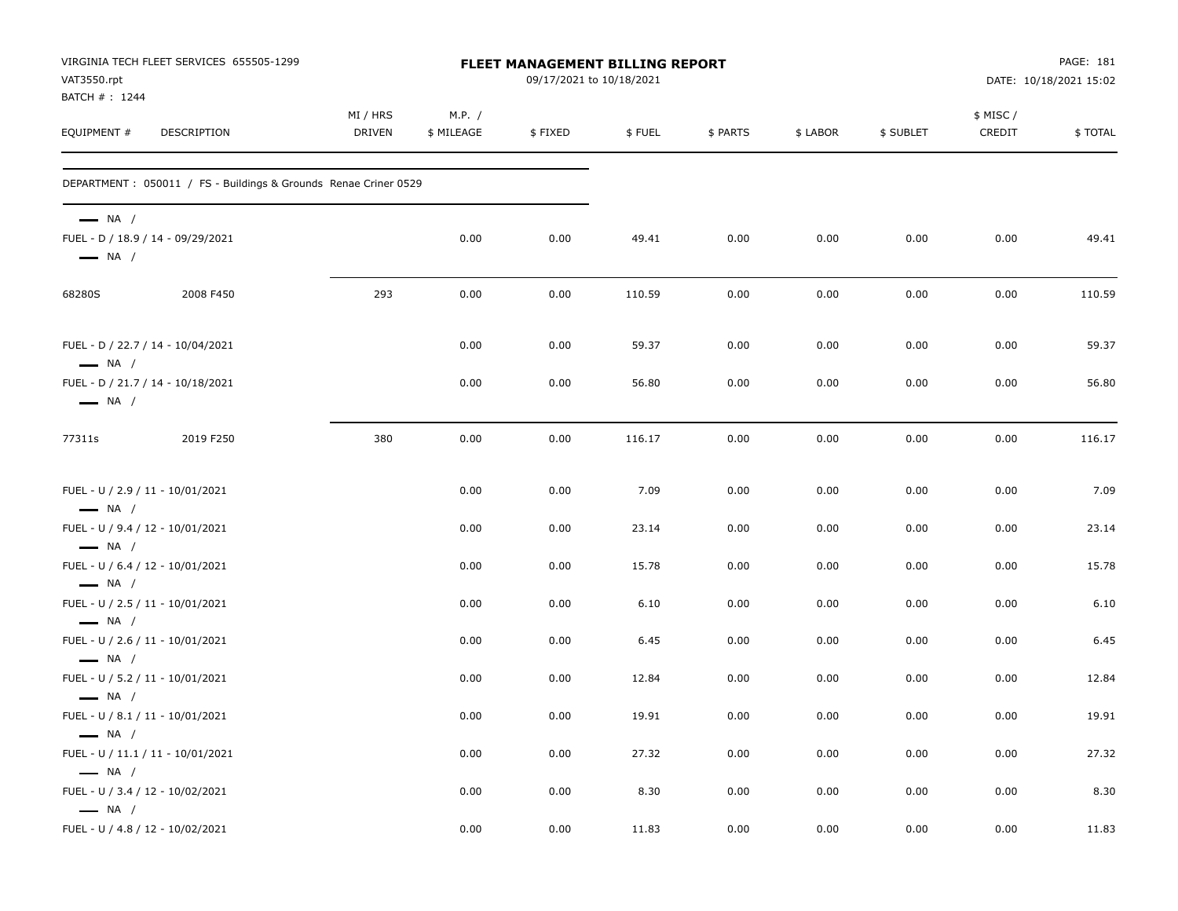| VIRGINIA TECH FLEET SERVICES 655505-1299<br>VAT3550.rpt<br>BATCH #: 1244              |                    |                      | PAGE: 181<br>DATE: 10/18/2021 15:02 |        |          |          |           |                    |         |
|---------------------------------------------------------------------------------------|--------------------|----------------------|-------------------------------------|--------|----------|----------|-----------|--------------------|---------|
| EQUIPMENT #<br>DESCRIPTION                                                            | MI / HRS<br>DRIVEN | M.P. /<br>\$ MILEAGE | \$FIXED                             | \$FUEL | \$ PARTS | \$ LABOR | \$ SUBLET | \$ MISC/<br>CREDIT | \$TOTAL |
| DEPARTMENT : 050011 / FS - Buildings & Grounds Renae Criner 0529                      |                    |                      |                                     |        |          |          |           |                    |         |
| $\longrightarrow$ NA /<br>FUEL - D / 18.9 / 14 - 09/29/2021<br>$\longrightarrow$ NA / |                    | 0.00                 | 0.00                                | 49.41  | 0.00     | 0.00     | 0.00      | 0.00               | 49.41   |
| 68280S<br>2008 F450                                                                   | 293                | 0.00                 | 0.00                                | 110.59 | 0.00     | 0.00     | 0.00      | 0.00               | 110.59  |
| FUEL - D / 22.7 / 14 - 10/04/2021<br>$\longrightarrow$ NA /                           |                    | 0.00                 | 0.00                                | 59.37  | 0.00     | 0.00     | 0.00      | 0.00               | 59.37   |
| FUEL - D / 21.7 / 14 - 10/18/2021<br>$\longrightarrow$ NA /                           |                    | 0.00                 | 0.00                                | 56.80  | 0.00     | 0.00     | 0.00      | 0.00               | 56.80   |
| 77311s<br>2019 F250                                                                   | 380                | 0.00                 | 0.00                                | 116.17 | 0.00     | 0.00     | 0.00      | 0.00               | 116.17  |
| FUEL - U / 2.9 / 11 - 10/01/2021<br>$\longrightarrow$ NA /                            |                    | 0.00                 | 0.00                                | 7.09   | 0.00     | 0.00     | 0.00      | 0.00               | 7.09    |
| FUEL - U / 9.4 / 12 - 10/01/2021                                                      |                    | 0.00                 | 0.00                                | 23.14  | 0.00     | 0.00     | 0.00      | 0.00               | 23.14   |
| $\longrightarrow$ NA /<br>FUEL - U / 6.4 / 12 - 10/01/2021<br>$\longrightarrow$ NA /  |                    | 0.00                 | 0.00                                | 15.78  | 0.00     | 0.00     | 0.00      | 0.00               | 15.78   |
| FUEL - U / 2.5 / 11 - 10/01/2021<br>$\longrightarrow$ NA /                            |                    | 0.00                 | 0.00                                | 6.10   | 0.00     | 0.00     | 0.00      | 0.00               | 6.10    |
| FUEL - U / 2.6 / 11 - 10/01/2021<br>$\longrightarrow$ NA /                            |                    | 0.00                 | 0.00                                | 6.45   | 0.00     | 0.00     | 0.00      | 0.00               | 6.45    |
| FUEL - U / 5.2 / 11 - 10/01/2021<br>$\longrightarrow$ NA /                            |                    | 0.00                 | 0.00                                | 12.84  | 0.00     | 0.00     | 0.00      | 0.00               | 12.84   |
| FUEL - U / 8.1 / 11 - 10/01/2021<br>$\longrightarrow$ NA /                            |                    | 0.00                 | 0.00                                | 19.91  | 0.00     | 0.00     | 0.00      | 0.00               | 19.91   |
| FUEL - U / 11.1 / 11 - 10/01/2021<br>$\longrightarrow$ NA /                           |                    | 0.00                 | 0.00                                | 27.32  | 0.00     | 0.00     | 0.00      | 0.00               | 27.32   |
| FUEL - U / 3.4 / 12 - 10/02/2021<br>$\longrightarrow$ NA /                            |                    | 0.00                 | 0.00                                | 8.30   | 0.00     | 0.00     | 0.00      | 0.00               | 8.30    |
| FUEL - U / 4.8 / 12 - 10/02/2021                                                      |                    | 0.00                 | 0.00                                | 11.83  | 0.00     | 0.00     | 0.00      | 0.00               | 11.83   |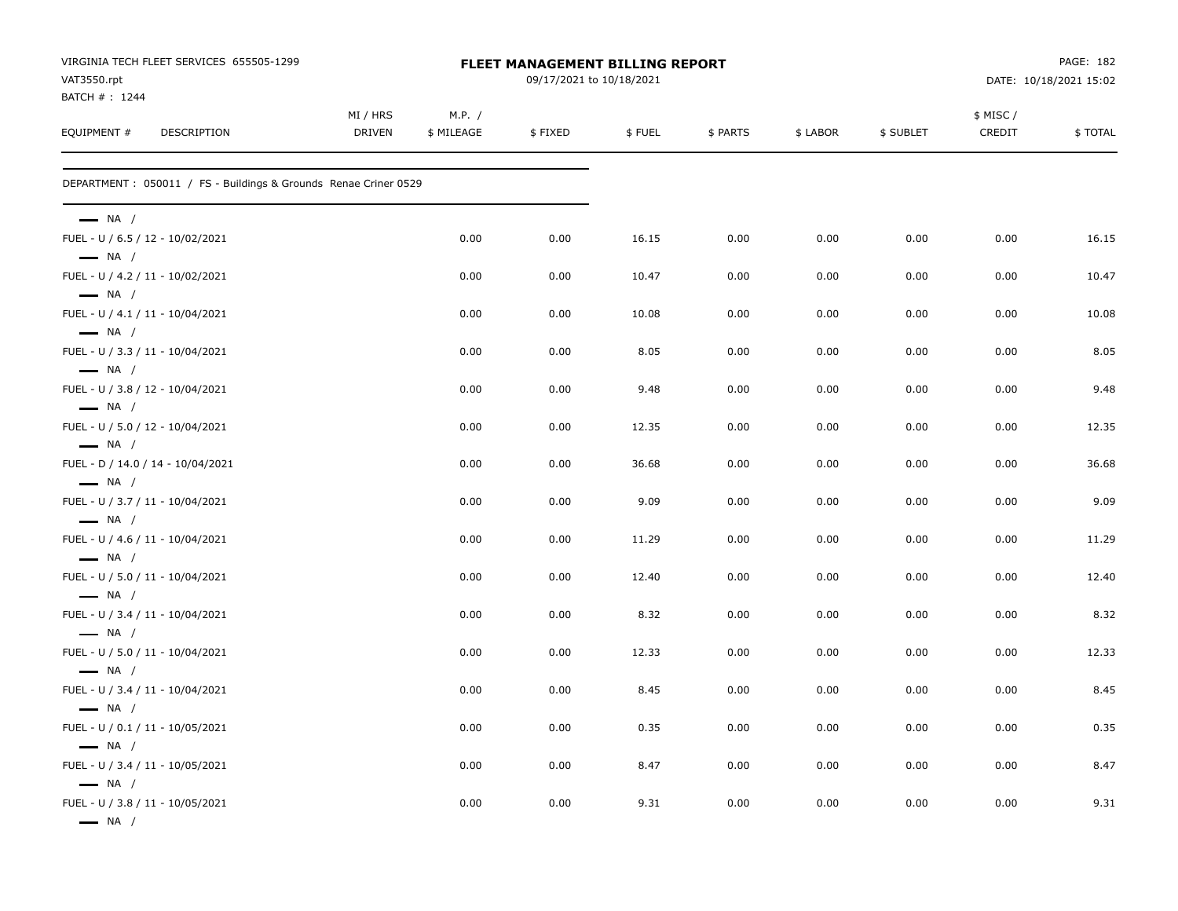| VAT3550.rpt<br>BATCH #: 1244                               | VIRGINIA TECH FLEET SERVICES 655505-1299                         | <b>FLEET MANAGEMENT BILLING REPORT</b><br>09/17/2021 to 10/18/2021 |                      |         |        |          |          |           | PAGE: 182<br>DATE: 10/18/2021 15:02 |         |  |  |
|------------------------------------------------------------|------------------------------------------------------------------|--------------------------------------------------------------------|----------------------|---------|--------|----------|----------|-----------|-------------------------------------|---------|--|--|
| EQUIPMENT #                                                | DESCRIPTION                                                      | MI / HRS<br><b>DRIVEN</b>                                          | M.P. /<br>\$ MILEAGE | \$FIXED | \$FUEL | \$ PARTS | \$ LABOR | \$ SUBLET | \$ MISC/<br>CREDIT                  | \$TOTAL |  |  |
|                                                            | DEPARTMENT : 050011 / FS - Buildings & Grounds Renae Criner 0529 |                                                                    |                      |         |        |          |          |           |                                     |         |  |  |
| $\longrightarrow$ NA /                                     |                                                                  |                                                                    |                      |         |        |          |          |           |                                     |         |  |  |
| FUEL - U / 6.5 / 12 - 10/02/2021<br>$\longrightarrow$ NA / |                                                                  |                                                                    | 0.00                 | 0.00    | 16.15  | 0.00     | 0.00     | 0.00      | 0.00                                | 16.15   |  |  |
| FUEL - U / 4.2 / 11 - 10/02/2021<br>$\longrightarrow$ NA / |                                                                  |                                                                    | 0.00                 | 0.00    | 10.47  | 0.00     | 0.00     | 0.00      | 0.00                                | 10.47   |  |  |
| FUEL - U / 4.1 / 11 - 10/04/2021<br>$\longrightarrow$ NA / |                                                                  |                                                                    | 0.00                 | 0.00    | 10.08  | 0.00     | 0.00     | 0.00      | 0.00                                | 10.08   |  |  |
| FUEL - U / 3.3 / 11 - 10/04/2021<br>$\longrightarrow$ NA / |                                                                  |                                                                    | 0.00                 | 0.00    | 8.05   | 0.00     | 0.00     | 0.00      | 0.00                                | 8.05    |  |  |
| FUEL - U / 3.8 / 12 - 10/04/2021<br>$\longrightarrow$ NA / |                                                                  |                                                                    | 0.00                 | 0.00    | 9.48   | 0.00     | 0.00     | 0.00      | 0.00                                | 9.48    |  |  |
| FUEL - U / 5.0 / 12 - 10/04/2021<br>$\longrightarrow$ NA / |                                                                  |                                                                    | 0.00                 | 0.00    | 12.35  | 0.00     | 0.00     | 0.00      | 0.00                                | 12.35   |  |  |
| $\longrightarrow$ NA /                                     | FUEL - D / 14.0 / 14 - 10/04/2021                                |                                                                    | 0.00                 | 0.00    | 36.68  | 0.00     | 0.00     | 0.00      | 0.00                                | 36.68   |  |  |
| FUEL - U / 3.7 / 11 - 10/04/2021<br>$\longrightarrow$ NA / |                                                                  |                                                                    | 0.00                 | 0.00    | 9.09   | 0.00     | 0.00     | 0.00      | 0.00                                | 9.09    |  |  |
| FUEL - U / 4.6 / 11 - 10/04/2021<br>$\longrightarrow$ NA / |                                                                  |                                                                    | 0.00                 | 0.00    | 11.29  | 0.00     | 0.00     | 0.00      | 0.00                                | 11.29   |  |  |
| FUEL - U / 5.0 / 11 - 10/04/2021<br>$\longrightarrow$ NA / |                                                                  |                                                                    | 0.00                 | 0.00    | 12.40  | 0.00     | 0.00     | 0.00      | 0.00                                | 12.40   |  |  |
| FUEL - U / 3.4 / 11 - 10/04/2021<br>$\longrightarrow$ NA / |                                                                  |                                                                    | 0.00                 | 0.00    | 8.32   | 0.00     | 0.00     | 0.00      | 0.00                                | 8.32    |  |  |
| FUEL - U / 5.0 / 11 - 10/04/2021<br>$\longrightarrow$ NA / |                                                                  |                                                                    | 0.00                 | 0.00    | 12.33  | 0.00     | 0.00     | 0.00      | 0.00                                | 12.33   |  |  |
| FUEL - U / 3.4 / 11 - 10/04/2021<br>$\longrightarrow$ NA / |                                                                  |                                                                    | 0.00                 | 0.00    | 8.45   | 0.00     | 0.00     | 0.00      | 0.00                                | 8.45    |  |  |
| FUEL - U / 0.1 / 11 - 10/05/2021<br>$\longrightarrow$ NA / |                                                                  |                                                                    | 0.00                 | 0.00    | 0.35   | 0.00     | 0.00     | 0.00      | 0.00                                | 0.35    |  |  |
| FUEL - U / 3.4 / 11 - 10/05/2021<br>$\longrightarrow$ NA / |                                                                  |                                                                    | 0.00                 | 0.00    | 8.47   | 0.00     | 0.00     | 0.00      | 0.00                                | 8.47    |  |  |
| FUEL - U / 3.8 / 11 - 10/05/2021<br>$\longrightarrow$ NA / |                                                                  |                                                                    | 0.00                 | 0.00    | 9.31   | 0.00     | 0.00     | 0.00      | 0.00                                | 9.31    |  |  |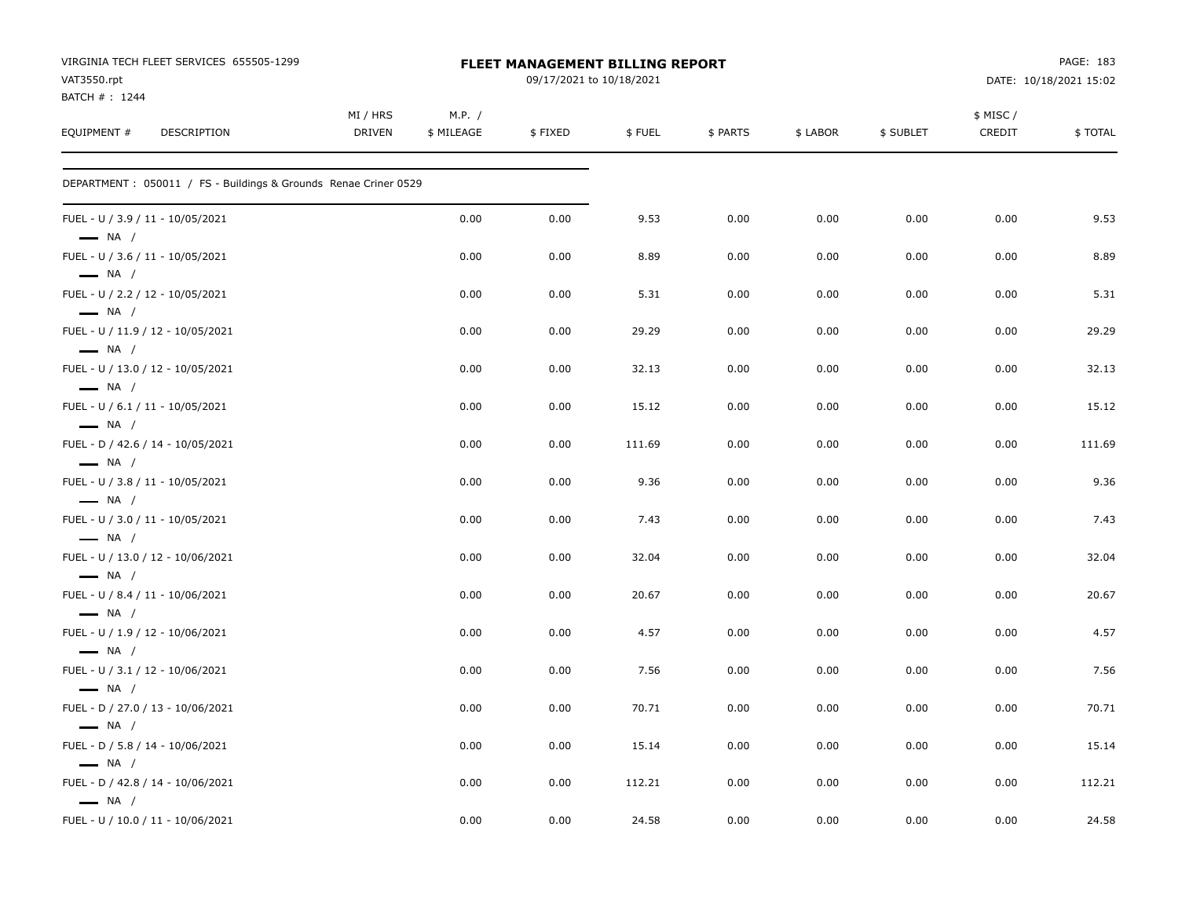| VIRGINIA TECH FLEET SERVICES 655505-1299<br>VAT3550.rpt<br>BATCH #: 1244 |                    |                      | FLEET MANAGEMENT BILLING REPORT<br>09/17/2021 to 10/18/2021 |        |          | PAGE: 183<br>DATE: 10/18/2021 15:02 |           |                    |         |
|--------------------------------------------------------------------------|--------------------|----------------------|-------------------------------------------------------------|--------|----------|-------------------------------------|-----------|--------------------|---------|
| EQUIPMENT #<br>DESCRIPTION                                               | MI / HRS<br>DRIVEN | M.P. /<br>\$ MILEAGE | \$FIXED                                                     | \$FUEL | \$ PARTS | \$ LABOR                            | \$ SUBLET | \$ MISC/<br>CREDIT | \$TOTAL |
| DEPARTMENT: 050011 / FS - Buildings & Grounds Renae Criner 0529          |                    |                      |                                                             |        |          |                                     |           |                    |         |
| FUEL - U / 3.9 / 11 - 10/05/2021<br>$\longrightarrow$ NA /               |                    | 0.00                 | 0.00                                                        | 9.53   | 0.00     | 0.00                                | 0.00      | 0.00               | 9.53    |
| FUEL - U / 3.6 / 11 - 10/05/2021<br>$\longrightarrow$ NA /               |                    | 0.00                 | 0.00                                                        | 8.89   | 0.00     | 0.00                                | 0.00      | 0.00               | 8.89    |
| FUEL - U / 2.2 / 12 - 10/05/2021<br>$\longrightarrow$ NA /               |                    | 0.00                 | 0.00                                                        | 5.31   | 0.00     | 0.00                                | 0.00      | 0.00               | 5.31    |
| FUEL - U / 11.9 / 12 - 10/05/2021<br>$\longrightarrow$ NA /              |                    | 0.00                 | 0.00                                                        | 29.29  | 0.00     | 0.00                                | 0.00      | 0.00               | 29.29   |
| FUEL - U / 13.0 / 12 - 10/05/2021<br>$\longrightarrow$ NA /              |                    | 0.00                 | 0.00                                                        | 32.13  | 0.00     | 0.00                                | 0.00      | 0.00               | 32.13   |
| FUEL - U / 6.1 / 11 - 10/05/2021<br>$\longrightarrow$ NA /               |                    | 0.00                 | 0.00                                                        | 15.12  | 0.00     | 0.00                                | 0.00      | 0.00               | 15.12   |
| FUEL - D / 42.6 / 14 - 10/05/2021<br>$\longrightarrow$ NA /              |                    | 0.00                 | 0.00                                                        | 111.69 | 0.00     | 0.00                                | 0.00      | 0.00               | 111.69  |
| FUEL - U / 3.8 / 11 - 10/05/2021<br>$\longrightarrow$ NA /               |                    | 0.00                 | 0.00                                                        | 9.36   | 0.00     | 0.00                                | 0.00      | 0.00               | 9.36    |
| FUEL - U / 3.0 / 11 - 10/05/2021<br>$\longrightarrow$ NA /               |                    | 0.00                 | 0.00                                                        | 7.43   | 0.00     | 0.00                                | 0.00      | 0.00               | 7.43    |
| FUEL - U / 13.0 / 12 - 10/06/2021<br>$-$ NA /                            |                    | 0.00                 | 0.00                                                        | 32.04  | 0.00     | 0.00                                | 0.00      | 0.00               | 32.04   |
| FUEL - U / 8.4 / 11 - 10/06/2021<br>$\longrightarrow$ NA /               |                    | 0.00                 | 0.00                                                        | 20.67  | 0.00     | 0.00                                | 0.00      | 0.00               | 20.67   |
| FUEL - U / 1.9 / 12 - 10/06/2021<br>$\longrightarrow$ NA /               |                    | 0.00                 | 0.00                                                        | 4.57   | 0.00     | 0.00                                | 0.00      | 0.00               | 4.57    |
| FUEL - U / 3.1 / 12 - 10/06/2021<br>$\longrightarrow$ NA /               |                    | 0.00                 | 0.00                                                        | 7.56   | 0.00     | 0.00                                | 0.00      | 0.00               | 7.56    |
| FUEL - D / 27.0 / 13 - 10/06/2021<br>$\longrightarrow$ NA /              |                    | 0.00                 | 0.00                                                        | 70.71  | 0.00     | 0.00                                | 0.00      | 0.00               | 70.71   |
| FUEL - D / 5.8 / 14 - 10/06/2021<br>$\equiv$ NA /                        |                    | 0.00                 | 0.00                                                        | 15.14  | 0.00     | 0.00                                | 0.00      | 0.00               | 15.14   |
| FUEL - D / 42.8 / 14 - 10/06/2021<br>$\longrightarrow$ NA /              |                    | 0.00                 | 0.00                                                        | 112.21 | 0.00     | 0.00                                | 0.00      | 0.00               | 112.21  |
| FUEL - U / 10.0 / 11 - 10/06/2021                                        |                    | 0.00                 | 0.00                                                        | 24.58  | 0.00     | 0.00                                | 0.00      | 0.00               | 24.58   |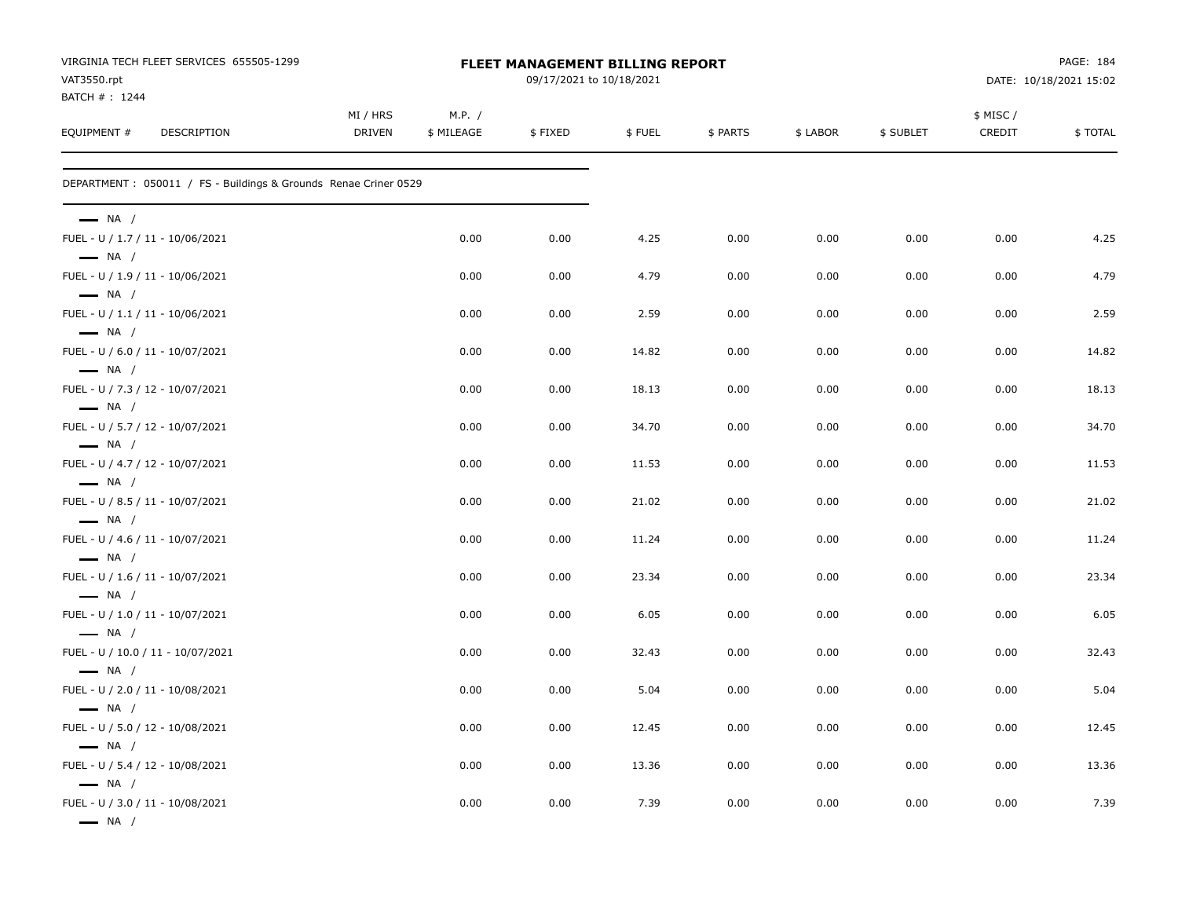| VIRGINIA TECH FLEET SERVICES 655505-1299<br>VAT3550.rpt<br>BATCH #: 1244             |                           |                      | FLEET MANAGEMENT BILLING REPORT<br>09/17/2021 to 10/18/2021 |        |          |          | PAGE: 184<br>DATE: 10/18/2021 15:02 |                    |         |
|--------------------------------------------------------------------------------------|---------------------------|----------------------|-------------------------------------------------------------|--------|----------|----------|-------------------------------------|--------------------|---------|
| EQUIPMENT #<br>DESCRIPTION                                                           | MI / HRS<br><b>DRIVEN</b> | M.P. /<br>\$ MILEAGE | \$FIXED                                                     | \$FUEL | \$ PARTS | \$ LABOR | \$ SUBLET                           | \$ MISC/<br>CREDIT | \$TOTAL |
| DEPARTMENT : 050011 / FS - Buildings & Grounds Renae Criner 0529                     |                           |                      |                                                             |        |          |          |                                     |                    |         |
| $\longrightarrow$ NA /<br>FUEL - U / 1.7 / 11 - 10/06/2021<br>$\longrightarrow$ NA / |                           | 0.00                 | 0.00                                                        | 4.25   | 0.00     | 0.00     | 0.00                                | 0.00               | 4.25    |
| FUEL - U / 1.9 / 11 - 10/06/2021                                                     |                           | 0.00                 | 0.00                                                        | 4.79   | 0.00     | 0.00     | 0.00                                | 0.00               | 4.79    |
| $\longrightarrow$ NA /<br>FUEL - U / 1.1 / 11 - 10/06/2021<br>$\longrightarrow$ NA / |                           | 0.00                 | 0.00                                                        | 2.59   | 0.00     | 0.00     | 0.00                                | 0.00               | 2.59    |
| FUEL - U / 6.0 / 11 - 10/07/2021<br>$\longrightarrow$ NA /                           |                           | 0.00                 | 0.00                                                        | 14.82  | 0.00     | 0.00     | 0.00                                | 0.00               | 14.82   |
| FUEL - U / 7.3 / 12 - 10/07/2021<br>$\longrightarrow$ NA /                           |                           | 0.00                 | 0.00                                                        | 18.13  | 0.00     | 0.00     | 0.00                                | 0.00               | 18.13   |
| FUEL - U / 5.7 / 12 - 10/07/2021                                                     |                           | 0.00                 | 0.00                                                        | 34.70  | 0.00     | 0.00     | 0.00                                | 0.00               | 34.70   |
| $\longrightarrow$ NA /<br>FUEL - U / 4.7 / 12 - 10/07/2021                           |                           | 0.00                 | 0.00                                                        | 11.53  | 0.00     | 0.00     | 0.00                                | 0.00               | 11.53   |
| $\longrightarrow$ NA /<br>FUEL - U / 8.5 / 11 - 10/07/2021                           |                           | 0.00                 | 0.00                                                        | 21.02  | 0.00     | 0.00     | 0.00                                | 0.00               | 21.02   |
| $\longrightarrow$ NA /<br>FUEL - U / 4.6 / 11 - 10/07/2021                           |                           | 0.00                 | 0.00                                                        | 11.24  | 0.00     | 0.00     | 0.00                                | 0.00               | 11.24   |
| $\longrightarrow$ NA /<br>FUEL - U / 1.6 / 11 - 10/07/2021                           |                           | 0.00                 | 0.00                                                        | 23.34  | 0.00     | 0.00     | 0.00                                | 0.00               | 23.34   |
| $\longrightarrow$ NA /<br>FUEL - U / 1.0 / 11 - 10/07/2021                           |                           | 0.00                 | 0.00                                                        | 6.05   | 0.00     | 0.00     | 0.00                                | 0.00               | 6.05    |
| $\longrightarrow$ NA /<br>FUEL - U / 10.0 / 11 - 10/07/2021                          |                           | 0.00                 | 0.00                                                        | 32.43  | 0.00     | 0.00     | 0.00                                | 0.00               | 32.43   |
| $\longrightarrow$ NA /<br>FUEL - U / 2.0 / 11 - 10/08/2021                           |                           | 0.00                 | 0.00                                                        | 5.04   | 0.00     | 0.00     | 0.00                                | 0.00               | 5.04    |
| $\longrightarrow$ NA /<br>FUEL - U / 5.0 / 12 - 10/08/2021                           |                           | 0.00                 | 0.00                                                        | 12.45  | 0.00     | 0.00     | 0.00                                | 0.00               | 12.45   |
| $\longrightarrow$ NA /<br>FUEL - U / 5.4 / 12 - 10/08/2021                           |                           | 0.00                 | 0.00                                                        | 13.36  | 0.00     | 0.00     | 0.00                                | 0.00               | 13.36   |
| $\longrightarrow$ NA /<br>FUEL - U / 3.0 / 11 - 10/08/2021<br>$\longrightarrow$ NA / |                           | 0.00                 | 0.00                                                        | 7.39   | 0.00     | 0.00     | 0.00                                | 0.00               | 7.39    |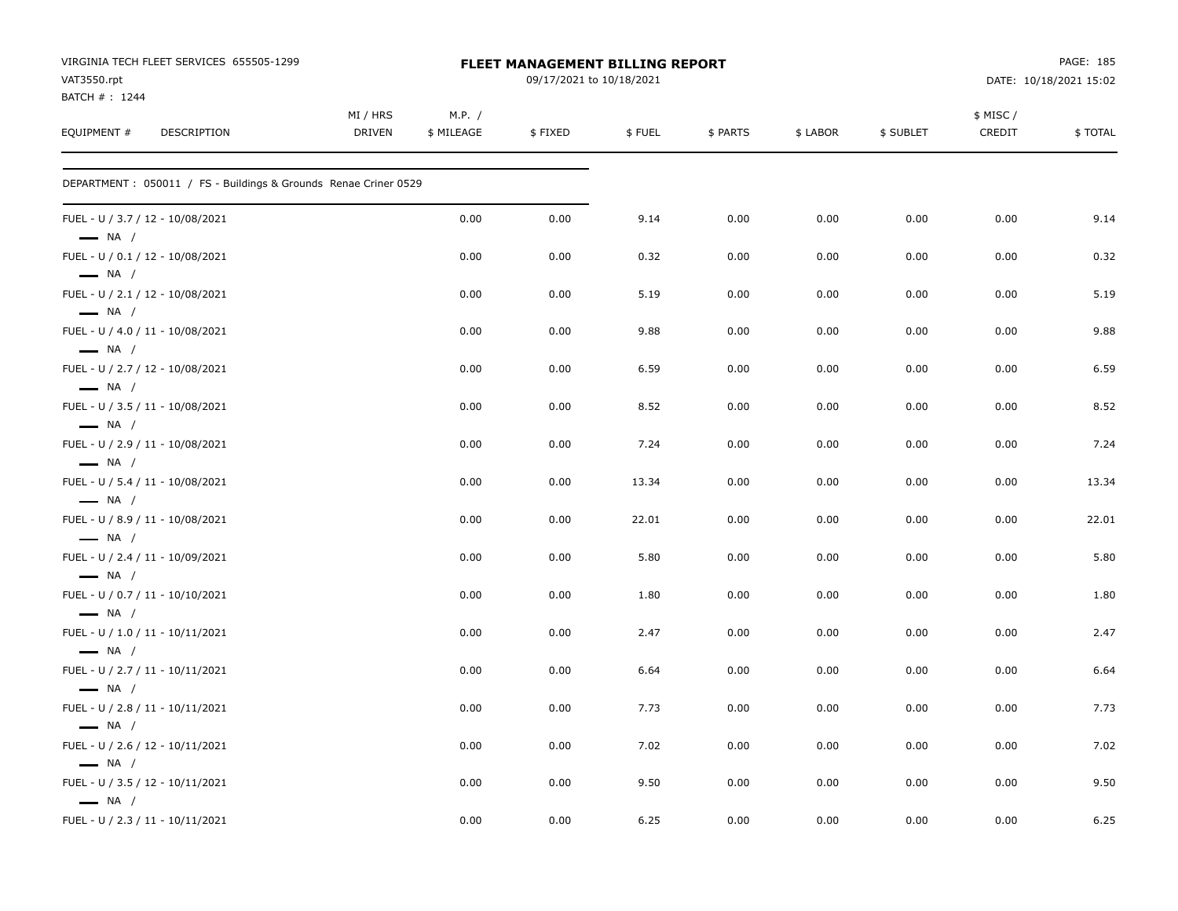| VIRGINIA TECH FLEET SERVICES 655505-1299<br>VAT3550.rpt<br>BATCH #: 1244 |                    | FLEET MANAGEMENT BILLING REPORT | PAGE: 185<br>DATE: 10/18/2021 15:02 |        |          |          |           |                    |         |
|--------------------------------------------------------------------------|--------------------|---------------------------------|-------------------------------------|--------|----------|----------|-----------|--------------------|---------|
| EQUIPMENT #<br>DESCRIPTION                                               | MI / HRS<br>DRIVEN | M.P. /<br>\$ MILEAGE            | \$FIXED                             | \$FUEL | \$ PARTS | \$ LABOR | \$ SUBLET | \$ MISC/<br>CREDIT | \$TOTAL |
| DEPARTMENT: 050011 / FS - Buildings & Grounds Renae Criner 0529          |                    |                                 |                                     |        |          |          |           |                    |         |
| FUEL - U / 3.7 / 12 - 10/08/2021<br>$\longrightarrow$ NA /               |                    | 0.00                            | 0.00                                | 9.14   | 0.00     | 0.00     | 0.00      | 0.00               | 9.14    |
| FUEL - U / 0.1 / 12 - 10/08/2021<br>$\longrightarrow$ NA /               |                    | 0.00                            | 0.00                                | 0.32   | 0.00     | 0.00     | 0.00      | 0.00               | 0.32    |
| FUEL - U / 2.1 / 12 - 10/08/2021<br>$\longrightarrow$ NA /               |                    | 0.00                            | 0.00                                | 5.19   | 0.00     | 0.00     | 0.00      | 0.00               | 5.19    |
| FUEL - U / 4.0 / 11 - 10/08/2021<br>$\longrightarrow$ NA /               |                    | 0.00                            | 0.00                                | 9.88   | 0.00     | 0.00     | 0.00      | 0.00               | 9.88    |
| FUEL - U / 2.7 / 12 - 10/08/2021<br>$\longrightarrow$ NA /               |                    | 0.00                            | 0.00                                | 6.59   | 0.00     | 0.00     | 0.00      | 0.00               | 6.59    |
| FUEL - U / 3.5 / 11 - 10/08/2021<br>$\longrightarrow$ NA /               |                    | 0.00                            | 0.00                                | 8.52   | 0.00     | 0.00     | 0.00      | 0.00               | 8.52    |
| FUEL - U / 2.9 / 11 - 10/08/2021<br>$\longrightarrow$ NA /               |                    | 0.00                            | 0.00                                | 7.24   | 0.00     | 0.00     | 0.00      | 0.00               | 7.24    |
| FUEL - U / 5.4 / 11 - 10/08/2021<br>$\longrightarrow$ NA /               |                    | 0.00                            | 0.00                                | 13.34  | 0.00     | 0.00     | 0.00      | 0.00               | 13.34   |
| FUEL - U / 8.9 / 11 - 10/08/2021<br>$\longrightarrow$ NA /               |                    | 0.00                            | 0.00                                | 22.01  | 0.00     | 0.00     | 0.00      | 0.00               | 22.01   |
| FUEL - U / 2.4 / 11 - 10/09/2021<br>$\longrightarrow$ NA /               |                    | 0.00                            | 0.00                                | 5.80   | 0.00     | 0.00     | 0.00      | 0.00               | 5.80    |
| FUEL - U / 0.7 / 11 - 10/10/2021<br>$\longrightarrow$ NA /               |                    | 0.00                            | 0.00                                | 1.80   | 0.00     | 0.00     | 0.00      | 0.00               | 1.80    |
| FUEL - U / 1.0 / 11 - 10/11/2021<br>$\longrightarrow$ NA /               |                    | 0.00                            | 0.00                                | 2.47   | 0.00     | 0.00     | 0.00      | 0.00               | 2.47    |
| FUEL - U / 2.7 / 11 - 10/11/2021<br>$\longrightarrow$ NA /               |                    | 0.00                            | 0.00                                | 6.64   | 0.00     | 0.00     | 0.00      | 0.00               | 6.64    |
| FUEL - U / 2.8 / 11 - 10/11/2021<br>$\longrightarrow$ NA /               |                    | 0.00                            | 0.00                                | 7.73   | 0.00     | 0.00     | 0.00      | 0.00               | 7.73    |
| FUEL - U / 2.6 / 12 - 10/11/2021<br>$\equiv$ NA /                        |                    | 0.00                            | 0.00                                | 7.02   | 0.00     | 0.00     | 0.00      | 0.00               | 7.02    |
| FUEL - U / 3.5 / 12 - 10/11/2021                                         |                    | 0.00                            | 0.00                                | 9.50   | 0.00     | 0.00     | 0.00      | 0.00               | 9.50    |
| $\longrightarrow$ NA /<br>FUEL - U / 2.3 / 11 - 10/11/2021               |                    | 0.00                            | 0.00                                | 6.25   | 0.00     | 0.00     | 0.00      | 0.00               | 6.25    |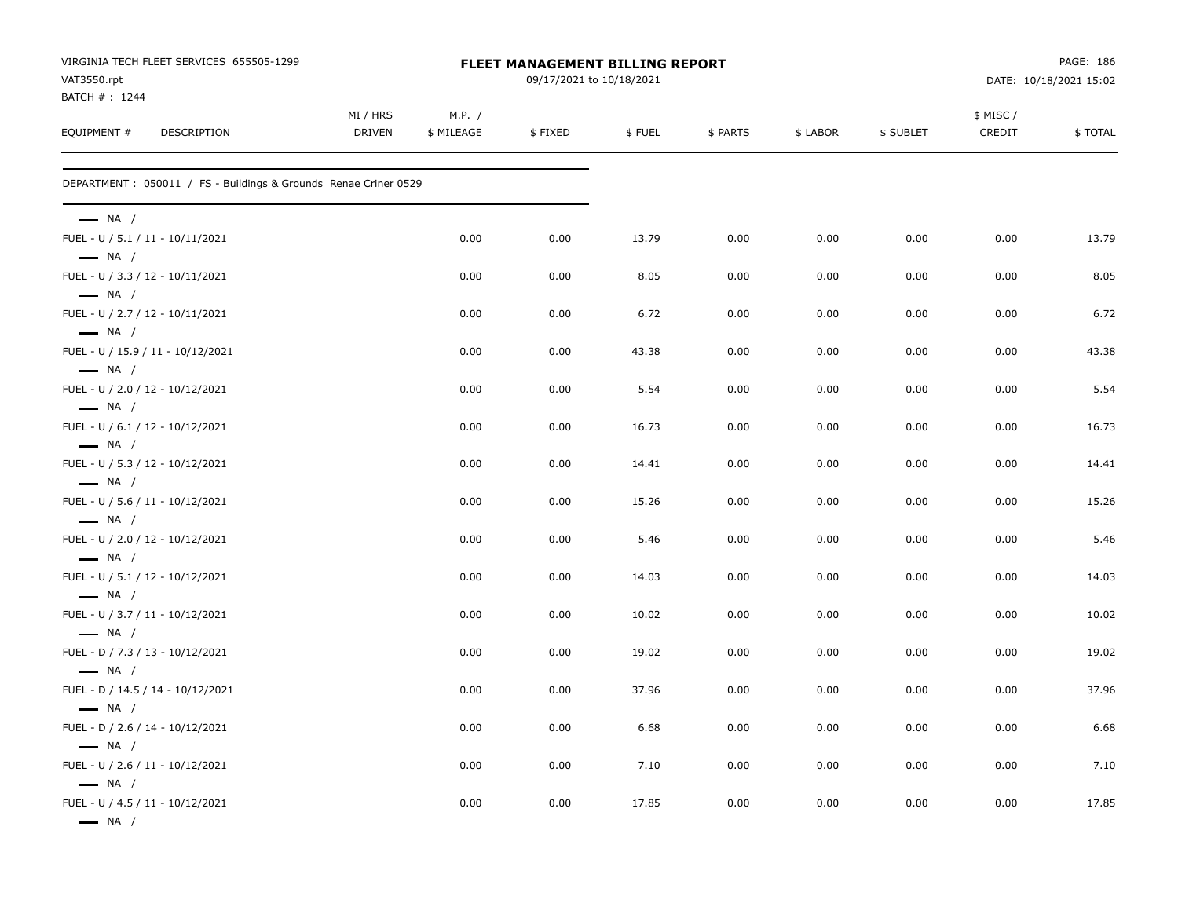| VIRGINIA TECH FLEET SERVICES 655505-1299<br>VAT3550.rpt                              |                           | FLEET MANAGEMENT BILLING REPORT |         | PAGE: 186<br>DATE: 10/18/2021 15:02 |          |          |           |                    |         |
|--------------------------------------------------------------------------------------|---------------------------|---------------------------------|---------|-------------------------------------|----------|----------|-----------|--------------------|---------|
| BATCH #: 1244<br>EQUIPMENT #<br>DESCRIPTION                                          | MI / HRS<br><b>DRIVEN</b> | M.P. /<br>\$ MILEAGE            | \$FIXED | \$FUEL                              | \$ PARTS | \$ LABOR | \$ SUBLET | \$ MISC/<br>CREDIT | \$TOTAL |
| DEPARTMENT: 050011 / FS - Buildings & Grounds Renae Criner 0529                      |                           |                                 |         |                                     |          |          |           |                    |         |
| $\longrightarrow$ NA /<br>FUEL - U / 5.1 / 11 - 10/11/2021                           |                           | 0.00                            | 0.00    | 13.79                               | 0.00     | 0.00     | 0.00      | 0.00               | 13.79   |
| $\longrightarrow$ NA /<br>FUEL - U / 3.3 / 12 - 10/11/2021                           |                           | 0.00                            | 0.00    | 8.05                                | 0.00     | 0.00     | 0.00      | 0.00               | 8.05    |
| $\longrightarrow$ NA /                                                               |                           |                                 |         |                                     |          |          |           |                    |         |
| FUEL - U / 2.7 / 12 - 10/11/2021<br>$\longrightarrow$ NA /                           |                           | 0.00                            | 0.00    | 6.72                                | 0.00     | 0.00     | 0.00      | 0.00               | 6.72    |
| FUEL - U / 15.9 / 11 - 10/12/2021<br>$\longrightarrow$ NA /                          |                           | 0.00                            | 0.00    | 43.38                               | 0.00     | 0.00     | 0.00      | 0.00               | 43.38   |
| FUEL - U / 2.0 / 12 - 10/12/2021<br>$\longrightarrow$ NA /                           |                           | 0.00                            | 0.00    | 5.54                                | 0.00     | 0.00     | 0.00      | 0.00               | 5.54    |
| FUEL - U / 6.1 / 12 - 10/12/2021<br>$\longrightarrow$ NA /                           |                           | 0.00                            | 0.00    | 16.73                               | 0.00     | 0.00     | 0.00      | 0.00               | 16.73   |
| FUEL - U / 5.3 / 12 - 10/12/2021<br>$\longrightarrow$ NA /                           |                           | 0.00                            | 0.00    | 14.41                               | 0.00     | 0.00     | 0.00      | 0.00               | 14.41   |
| FUEL - U / 5.6 / 11 - 10/12/2021<br>$\longrightarrow$ NA /                           |                           | 0.00                            | 0.00    | 15.26                               | 0.00     | 0.00     | 0.00      | 0.00               | 15.26   |
| FUEL - U / 2.0 / 12 - 10/12/2021<br>$\longrightarrow$ NA /                           |                           | 0.00                            | 0.00    | 5.46                                | 0.00     | 0.00     | 0.00      | 0.00               | 5.46    |
| FUEL - U / 5.1 / 12 - 10/12/2021<br>$\longrightarrow$ NA /                           |                           | 0.00                            | 0.00    | 14.03                               | 0.00     | 0.00     | 0.00      | 0.00               | 14.03   |
| FUEL - U / 3.7 / 11 - 10/12/2021                                                     |                           | 0.00                            | 0.00    | 10.02                               | 0.00     | 0.00     | 0.00      | 0.00               | 10.02   |
| $\longrightarrow$ NA /<br>FUEL - D / 7.3 / 13 - 10/12/2021                           |                           | 0.00                            | 0.00    | 19.02                               | 0.00     | 0.00     | 0.00      | 0.00               | 19.02   |
| $\longrightarrow$ NA /<br>FUEL - D / 14.5 / 14 - 10/12/2021                          |                           | 0.00                            | 0.00    | 37.96                               | 0.00     | 0.00     | 0.00      | 0.00               | 37.96   |
| $\longrightarrow$ NA /<br>FUEL - D / 2.6 / 14 - 10/12/2021                           |                           | 0.00                            | 0.00    | 6.68                                | 0.00     | 0.00     | 0.00      | 0.00               | 6.68    |
| $\longrightarrow$ NA /<br>FUEL - U / 2.6 / 11 - 10/12/2021                           |                           | 0.00                            | 0.00    | 7.10                                | 0.00     | 0.00     | 0.00      | 0.00               | 7.10    |
| $\longrightarrow$ NA /<br>FUEL - U / 4.5 / 11 - 10/12/2021<br>$\longrightarrow$ NA / |                           | 0.00                            | 0.00    | 17.85                               | 0.00     | 0.00     | 0.00      | 0.00               | 17.85   |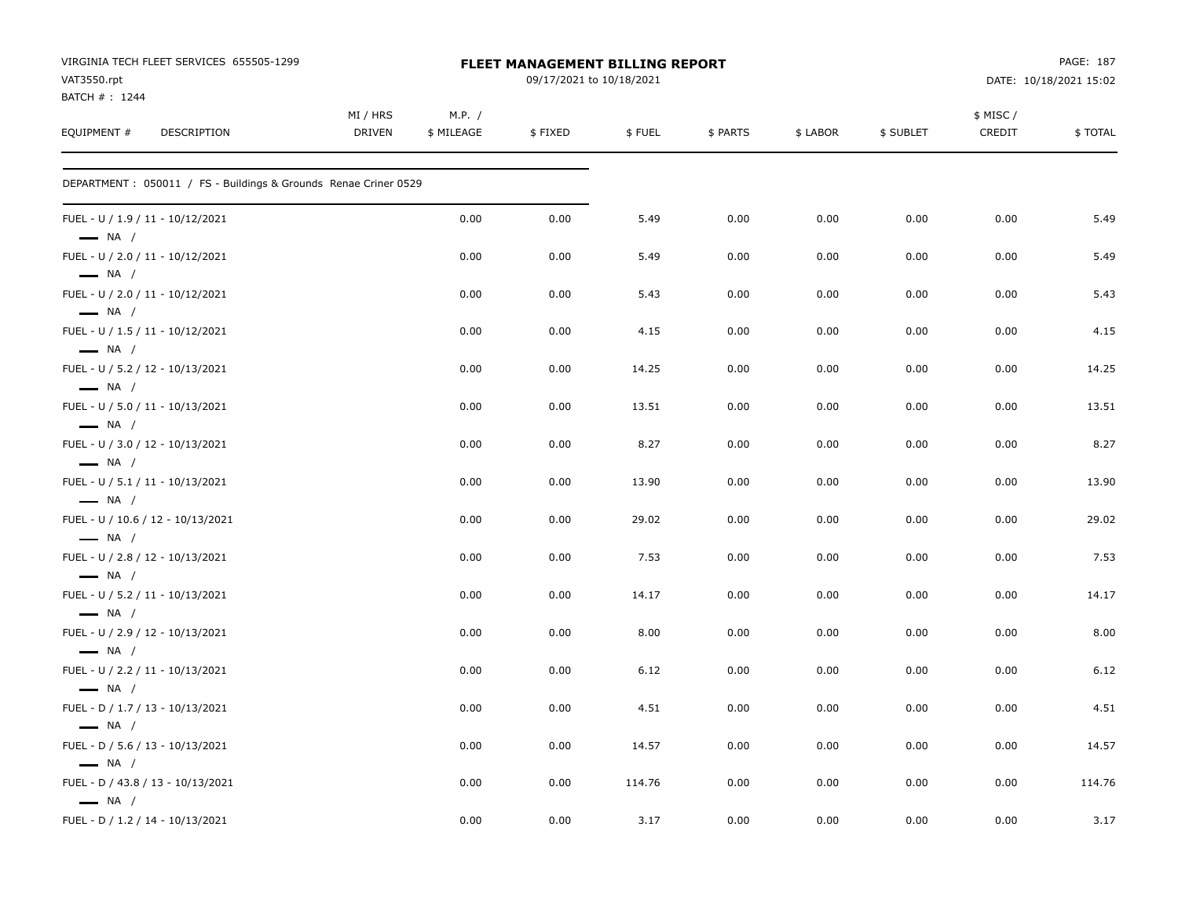| VIRGINIA TECH FLEET SERVICES 655505-1299<br>VAT3550.rpt<br>BATCH #: 1244 |                           |                      | FLEET MANAGEMENT BILLING REPORT<br>09/17/2021 to 10/18/2021 |        |          |          | PAGE: 187<br>DATE: 10/18/2021 15:02 |                    |         |
|--------------------------------------------------------------------------|---------------------------|----------------------|-------------------------------------------------------------|--------|----------|----------|-------------------------------------|--------------------|---------|
| EQUIPMENT #<br><b>DESCRIPTION</b>                                        | MI / HRS<br><b>DRIVEN</b> | M.P. /<br>\$ MILEAGE | \$FIXED                                                     | \$FUEL | \$ PARTS | \$ LABOR | \$ SUBLET                           | \$ MISC/<br>CREDIT | \$TOTAL |
| DEPARTMENT: 050011 / FS - Buildings & Grounds Renae Criner 0529          |                           |                      |                                                             |        |          |          |                                     |                    |         |
| FUEL - U / 1.9 / 11 - 10/12/2021<br>$\longrightarrow$ NA /               |                           | 0.00                 | 0.00                                                        | 5.49   | 0.00     | 0.00     | 0.00                                | 0.00               | 5.49    |
| FUEL - U / 2.0 / 11 - 10/12/2021<br>$\longrightarrow$ NA /               |                           | 0.00                 | 0.00                                                        | 5.49   | 0.00     | 0.00     | 0.00                                | 0.00               | 5.49    |
| FUEL - U / 2.0 / 11 - 10/12/2021<br>$\longrightarrow$ NA /               |                           | 0.00                 | 0.00                                                        | 5.43   | 0.00     | 0.00     | 0.00                                | 0.00               | 5.43    |
| FUEL - U / 1.5 / 11 - 10/12/2021<br>$\longrightarrow$ NA /               |                           | 0.00                 | 0.00                                                        | 4.15   | 0.00     | 0.00     | 0.00                                | 0.00               | 4.15    |
| FUEL - U / 5.2 / 12 - 10/13/2021<br>$\longrightarrow$ NA /               |                           | 0.00                 | 0.00                                                        | 14.25  | 0.00     | 0.00     | 0.00                                | 0.00               | 14.25   |
| FUEL - U / 5.0 / 11 - 10/13/2021<br>$\longrightarrow$ NA /               |                           | 0.00                 | 0.00                                                        | 13.51  | 0.00     | 0.00     | 0.00                                | 0.00               | 13.51   |
| FUEL - U / 3.0 / 12 - 10/13/2021<br>$\longrightarrow$ NA /               |                           | 0.00                 | 0.00                                                        | 8.27   | 0.00     | 0.00     | 0.00                                | 0.00               | 8.27    |
| FUEL - U / 5.1 / 11 - 10/13/2021<br>$\longrightarrow$ NA /               |                           | 0.00                 | 0.00                                                        | 13.90  | 0.00     | 0.00     | 0.00                                | 0.00               | 13.90   |
| FUEL - U / 10.6 / 12 - 10/13/2021<br>$\longrightarrow$ NA /              |                           | 0.00                 | 0.00                                                        | 29.02  | 0.00     | 0.00     | 0.00                                | 0.00               | 29.02   |
| FUEL - U / 2.8 / 12 - 10/13/2021<br>$\longrightarrow$ NA /               |                           | 0.00                 | 0.00                                                        | 7.53   | 0.00     | 0.00     | 0.00                                | 0.00               | 7.53    |
| FUEL - U / 5.2 / 11 - 10/13/2021<br>$\longrightarrow$ NA /               |                           | 0.00                 | 0.00                                                        | 14.17  | 0.00     | 0.00     | 0.00                                | 0.00               | 14.17   |
| FUEL - U / 2.9 / 12 - 10/13/2021<br>$\longrightarrow$ NA /               |                           | 0.00                 | 0.00                                                        | 8.00   | 0.00     | 0.00     | 0.00                                | 0.00               | 8.00    |
| FUEL - U / 2.2 / 11 - 10/13/2021<br>$\longrightarrow$ NA /               |                           | 0.00                 | 0.00                                                        | 6.12   | 0.00     | 0.00     | 0.00                                | 0.00               | 6.12    |
| FUEL - D / 1.7 / 13 - 10/13/2021<br>$\longrightarrow$ NA /               |                           | 0.00                 | 0.00                                                        | 4.51   | 0.00     | 0.00     | 0.00                                | 0.00               | 4.51    |
| FUEL - D / 5.6 / 13 - 10/13/2021<br>$\equiv$ NA /                        |                           | 0.00                 | 0.00                                                        | 14.57  | 0.00     | 0.00     | 0.00                                | 0.00               | 14.57   |
| FUEL - D / 43.8 / 13 - 10/13/2021<br>$\longrightarrow$ NA /              |                           | 0.00                 | 0.00                                                        | 114.76 | 0.00     | 0.00     | 0.00                                | 0.00               | 114.76  |
| FUEL - D / 1.2 / 14 - 10/13/2021                                         |                           | 0.00                 | 0.00                                                        | 3.17   | 0.00     | 0.00     | 0.00                                | 0.00               | 3.17    |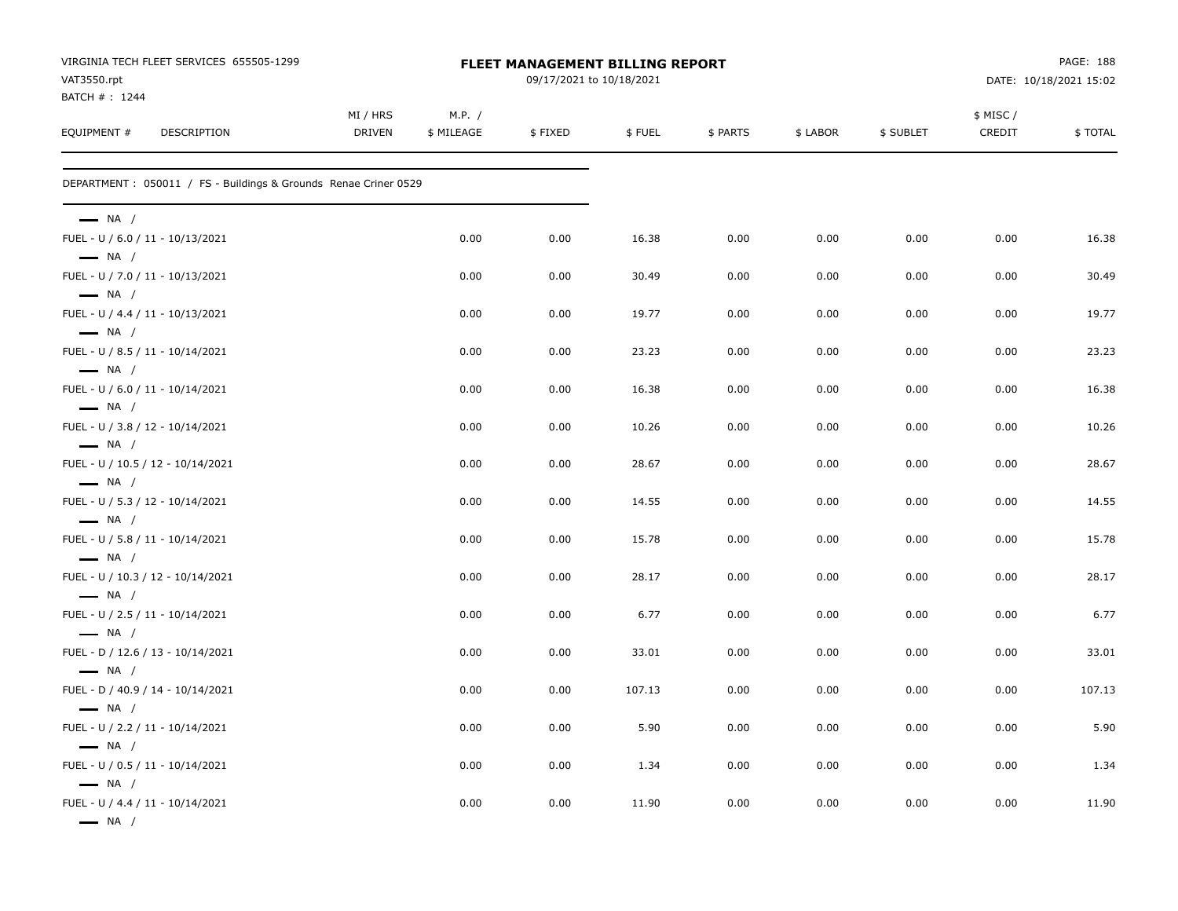| VIRGINIA TECH FLEET SERVICES 655505-1299<br>VAT3550.rpt          | <b>FLEET MANAGEMENT BILLING REPORT</b><br>09/17/2021 to 10/18/2021 |                      |         |        |          |          |           | PAGE: 188<br>DATE: 10/18/2021 15:02 |         |  |
|------------------------------------------------------------------|--------------------------------------------------------------------|----------------------|---------|--------|----------|----------|-----------|-------------------------------------|---------|--|
| BATCH #: 1244<br>EQUIPMENT #<br>DESCRIPTION                      | MI / HRS<br><b>DRIVEN</b>                                          | M.P. /<br>\$ MILEAGE | \$FIXED | \$FUEL | \$ PARTS | \$ LABOR | \$ SUBLET | \$ MISC /<br>CREDIT                 | \$TOTAL |  |
| DEPARTMENT : 050011 / FS - Buildings & Grounds Renae Criner 0529 |                                                                    |                      |         |        |          |          |           |                                     |         |  |
| $\longrightarrow$ NA /                                           |                                                                    |                      |         |        |          |          |           |                                     |         |  |
| FUEL - U / 6.0 / 11 - 10/13/2021<br>$\longrightarrow$ NA /       |                                                                    | 0.00                 | 0.00    | 16.38  | 0.00     | 0.00     | 0.00      | 0.00                                | 16.38   |  |
| FUEL - U / 7.0 / 11 - 10/13/2021<br>$\longrightarrow$ NA /       |                                                                    | 0.00                 | 0.00    | 30.49  | 0.00     | 0.00     | 0.00      | 0.00                                | 30.49   |  |
| FUEL - U / 4.4 / 11 - 10/13/2021<br>$\longrightarrow$ NA /       |                                                                    | 0.00                 | 0.00    | 19.77  | 0.00     | 0.00     | 0.00      | 0.00                                | 19.77   |  |
| FUEL - U / 8.5 / 11 - 10/14/2021<br>$\longrightarrow$ NA /       |                                                                    | 0.00                 | 0.00    | 23.23  | 0.00     | 0.00     | 0.00      | 0.00                                | 23.23   |  |
| FUEL - U / 6.0 / 11 - 10/14/2021<br>$\longrightarrow$ NA /       |                                                                    | 0.00                 | 0.00    | 16.38  | 0.00     | 0.00     | 0.00      | 0.00                                | 16.38   |  |
| FUEL - U / 3.8 / 12 - 10/14/2021<br>$\longrightarrow$ NA /       |                                                                    | 0.00                 | 0.00    | 10.26  | 0.00     | 0.00     | 0.00      | 0.00                                | 10.26   |  |
| FUEL - U / 10.5 / 12 - 10/14/2021<br>$\longrightarrow$ NA /      |                                                                    | 0.00                 | 0.00    | 28.67  | 0.00     | 0.00     | 0.00      | 0.00                                | 28.67   |  |
| FUEL - U / 5.3 / 12 - 10/14/2021<br>$\longrightarrow$ NA /       |                                                                    | 0.00                 | 0.00    | 14.55  | 0.00     | 0.00     | 0.00      | 0.00                                | 14.55   |  |
| FUEL - U / 5.8 / 11 - 10/14/2021<br>$\longrightarrow$ NA /       |                                                                    | 0.00                 | 0.00    | 15.78  | 0.00     | 0.00     | 0.00      | 0.00                                | 15.78   |  |
| FUEL - U / 10.3 / 12 - 10/14/2021<br>$\longrightarrow$ NA /      |                                                                    | 0.00                 | 0.00    | 28.17  | 0.00     | 0.00     | 0.00      | 0.00                                | 28.17   |  |
| FUEL - U / 2.5 / 11 - 10/14/2021<br>$\longrightarrow$ NA /       |                                                                    | 0.00                 | 0.00    | 6.77   | 0.00     | 0.00     | 0.00      | 0.00                                | 6.77    |  |
| FUEL - D / 12.6 / 13 - 10/14/2021<br>$\longrightarrow$ NA /      |                                                                    | 0.00                 | 0.00    | 33.01  | 0.00     | 0.00     | 0.00      | 0.00                                | 33.01   |  |
| FUEL - D / 40.9 / 14 - 10/14/2021<br>$\longrightarrow$ NA /      |                                                                    | 0.00                 | 0.00    | 107.13 | 0.00     | 0.00     | 0.00      | 0.00                                | 107.13  |  |
| FUEL - U / 2.2 / 11 - 10/14/2021<br>$\longrightarrow$ NA /       |                                                                    | 0.00                 | 0.00    | 5.90   | 0.00     | 0.00     | 0.00      | 0.00                                | 5.90    |  |
| FUEL - U / 0.5 / 11 - 10/14/2021<br>$\longrightarrow$ NA /       |                                                                    | 0.00                 | 0.00    | 1.34   | 0.00     | 0.00     | 0.00      | 0.00                                | 1.34    |  |
| FUEL - U / 4.4 / 11 - 10/14/2021<br>$\longrightarrow$ NA /       |                                                                    | 0.00                 | 0.00    | 11.90  | 0.00     | 0.00     | 0.00      | 0.00                                | 11.90   |  |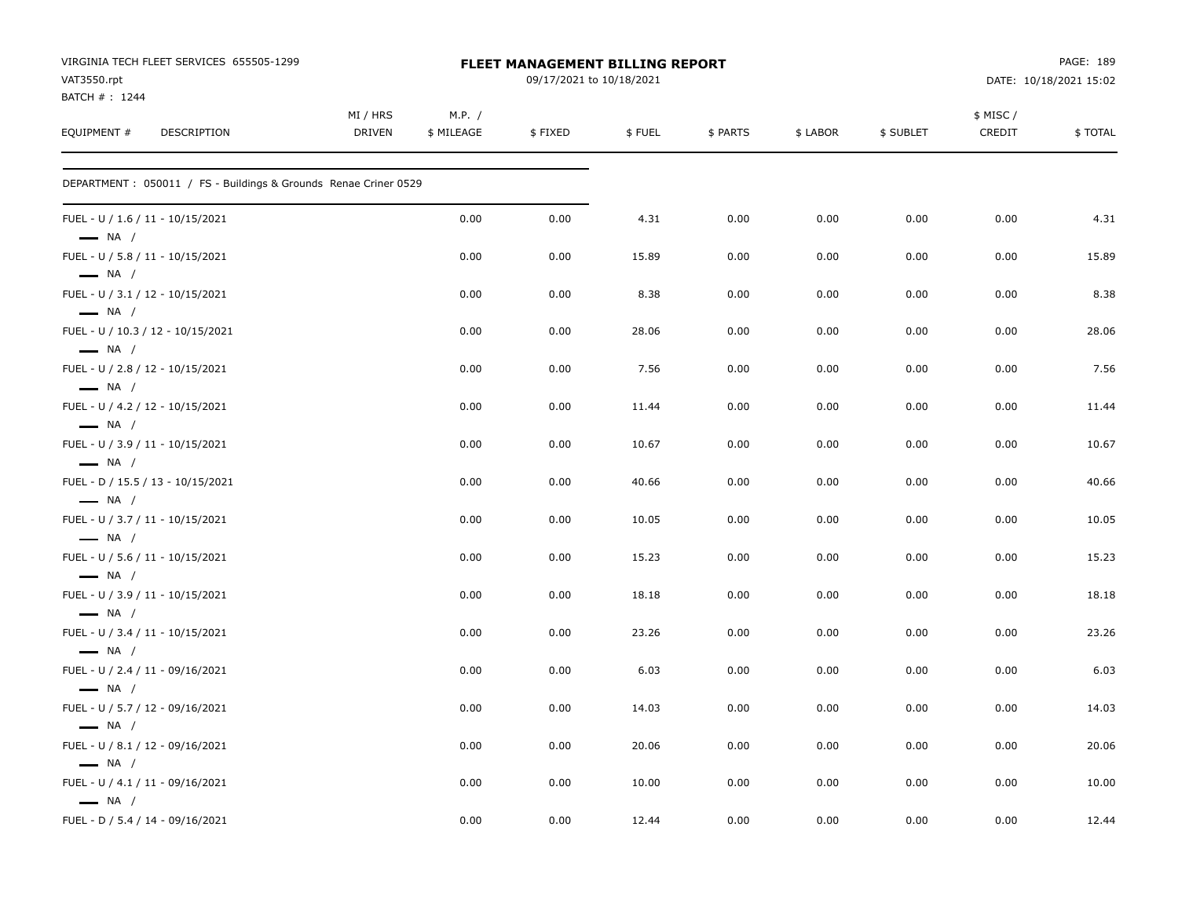| VIRGINIA TECH FLEET SERVICES 655505-1299<br>VAT3550.rpt<br>BATCH #: 1244 |                           |                      | FLEET MANAGEMENT BILLING REPORT<br>09/17/2021 to 10/18/2021 |                |              | PAGE: 189<br>DATE: 10/18/2021 15:02 |              |                    |                |
|--------------------------------------------------------------------------|---------------------------|----------------------|-------------------------------------------------------------|----------------|--------------|-------------------------------------|--------------|--------------------|----------------|
| EQUIPMENT #<br>DESCRIPTION                                               | MI / HRS<br><b>DRIVEN</b> | M.P. /<br>\$ MILEAGE | \$FIXED                                                     | \$FUEL         | \$ PARTS     | \$ LABOR                            | \$ SUBLET    | \$ MISC/<br>CREDIT | \$TOTAL        |
| DEPARTMENT: 050011 / FS - Buildings & Grounds Renae Criner 0529          |                           |                      |                                                             |                |              |                                     |              |                    |                |
| FUEL - U / 1.6 / 11 - 10/15/2021<br>$\longrightarrow$ NA /               |                           | 0.00                 | 0.00                                                        | 4.31           | 0.00         | 0.00                                | 0.00         | 0.00               | 4.31           |
| FUEL - U / 5.8 / 11 - 10/15/2021<br>$\longrightarrow$ NA /               |                           | 0.00                 | 0.00                                                        | 15.89          | 0.00         | 0.00                                | 0.00         | 0.00               | 15.89          |
| FUEL - U / 3.1 / 12 - 10/15/2021<br>$\longrightarrow$ NA /               |                           | 0.00                 | 0.00                                                        | 8.38           | 0.00         | 0.00                                | 0.00         | 0.00               | 8.38           |
| FUEL - U / 10.3 / 12 - 10/15/2021<br>$\longrightarrow$ NA /              |                           | 0.00                 | 0.00                                                        | 28.06          | 0.00         | 0.00                                | 0.00         | 0.00               | 28.06          |
| FUEL - U / 2.8 / 12 - 10/15/2021<br>$\longrightarrow$ NA /               |                           | 0.00                 | 0.00                                                        | 7.56           | 0.00         | 0.00                                | 0.00         | 0.00               | 7.56           |
| FUEL - U / 4.2 / 12 - 10/15/2021<br>$\longrightarrow$ NA /               |                           | 0.00                 | 0.00                                                        | 11.44          | 0.00         | 0.00                                | 0.00         | 0.00               | 11.44          |
| FUEL - U / 3.9 / 11 - 10/15/2021<br>$\longrightarrow$ NA /               |                           | 0.00                 | 0.00                                                        | 10.67          | 0.00         | 0.00                                | 0.00         | 0.00               | 10.67          |
| FUEL - D / 15.5 / 13 - 10/15/2021<br>$\longrightarrow$ NA /              |                           | 0.00                 | 0.00                                                        | 40.66          | 0.00         | 0.00                                | 0.00         | 0.00               | 40.66          |
| FUEL - U / 3.7 / 11 - 10/15/2021<br>$\longrightarrow$ NA /               |                           | 0.00                 | 0.00                                                        | 10.05          | 0.00         | 0.00                                | 0.00         | 0.00               | 10.05          |
| FUEL - U / 5.6 / 11 - 10/15/2021<br>$\longrightarrow$ NA /               |                           | 0.00                 | 0.00                                                        | 15.23          | 0.00         | 0.00                                | 0.00         | 0.00               | 15.23          |
| FUEL - U / 3.9 / 11 - 10/15/2021<br>$\longrightarrow$ NA /               |                           | 0.00                 | 0.00                                                        | 18.18          | 0.00         | 0.00                                | 0.00         | 0.00               | 18.18          |
| FUEL - U / 3.4 / 11 - 10/15/2021<br>$\longrightarrow$ NA /               |                           | 0.00                 | 0.00                                                        | 23.26          | 0.00         | 0.00                                | 0.00         | 0.00               | 23.26          |
| FUEL - U / 2.4 / 11 - 09/16/2021<br>$\longrightarrow$ NA /               |                           | 0.00                 | 0.00                                                        | 6.03           | 0.00         | 0.00                                | 0.00         | 0.00               | 6.03           |
| FUEL - U / 5.7 / 12 - 09/16/2021<br>$\longrightarrow$ NA /               |                           | 0.00                 | 0.00                                                        | 14.03          | 0.00         | 0.00                                | 0.00         | 0.00               | 14.03          |
| FUEL - U / 8.1 / 12 - 09/16/2021<br>$\equiv$ NA /                        |                           | 0.00                 | 0.00                                                        | 20.06          | 0.00         | 0.00                                | 0.00         | 0.00               | 20.06          |
| FUEL - U / 4.1 / 11 - 09/16/2021<br>$\longrightarrow$ NA /               |                           | 0.00<br>0.00         | 0.00<br>0.00                                                | 10.00<br>12.44 | 0.00<br>0.00 | 0.00<br>0.00                        | 0.00<br>0.00 | 0.00<br>0.00       | 10.00<br>12.44 |
| FUEL - D / 5.4 / 14 - 09/16/2021                                         |                           |                      |                                                             |                |              |                                     |              |                    |                |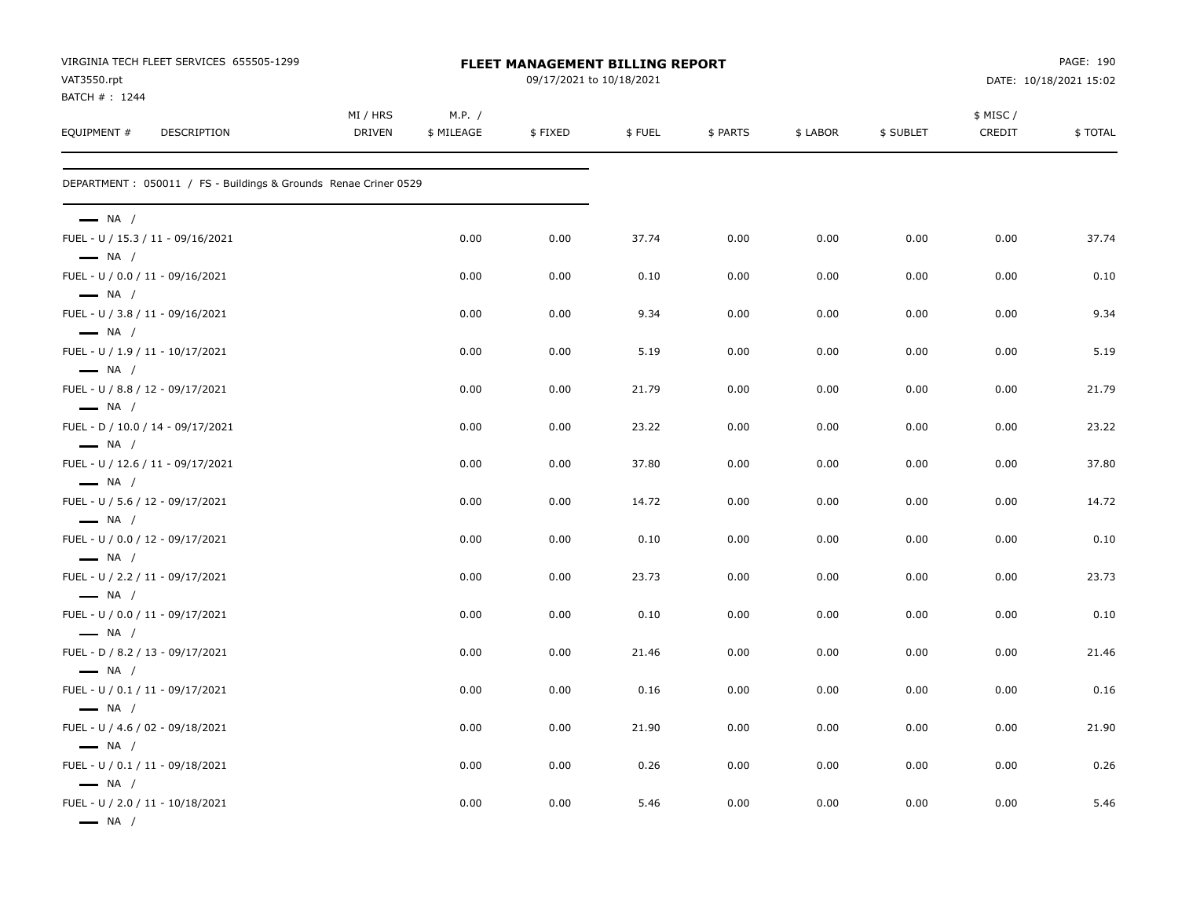| VIRGINIA TECH FLEET SERVICES 655505-1299<br>VAT3550.rpt          | <b>FLEET MANAGEMENT BILLING REPORT</b><br>09/17/2021 to 10/18/2021 |                      |         |        |          |          |           |                     | PAGE: 190<br>DATE: 10/18/2021 15:02 |  |
|------------------------------------------------------------------|--------------------------------------------------------------------|----------------------|---------|--------|----------|----------|-----------|---------------------|-------------------------------------|--|
| BATCH #: 1244<br>EQUIPMENT #<br>DESCRIPTION                      | MI / HRS<br><b>DRIVEN</b>                                          | M.P. /<br>\$ MILEAGE | \$FIXED | \$FUEL | \$ PARTS | \$ LABOR | \$ SUBLET | \$ MISC /<br>CREDIT | \$TOTAL                             |  |
| DEPARTMENT : 050011 / FS - Buildings & Grounds Renae Criner 0529 |                                                                    |                      |         |        |          |          |           |                     |                                     |  |
| $\longrightarrow$ NA /                                           |                                                                    |                      |         |        |          |          |           |                     |                                     |  |
| FUEL - U / 15.3 / 11 - 09/16/2021<br>$\longrightarrow$ NA /      |                                                                    | 0.00                 | 0.00    | 37.74  | 0.00     | 0.00     | 0.00      | 0.00                | 37.74                               |  |
| FUEL - U / 0.0 / 11 - 09/16/2021<br>$\longrightarrow$ NA /       |                                                                    | 0.00                 | 0.00    | 0.10   | 0.00     | 0.00     | 0.00      | 0.00                | 0.10                                |  |
| FUEL - U / 3.8 / 11 - 09/16/2021<br>$\longrightarrow$ NA /       |                                                                    | 0.00                 | 0.00    | 9.34   | 0.00     | 0.00     | 0.00      | 0.00                | 9.34                                |  |
| FUEL - U / 1.9 / 11 - 10/17/2021<br>$\longrightarrow$ NA /       |                                                                    | 0.00                 | 0.00    | 5.19   | 0.00     | 0.00     | 0.00      | 0.00                | 5.19                                |  |
| FUEL - U / 8.8 / 12 - 09/17/2021                                 |                                                                    | 0.00                 | 0.00    | 21.79  | 0.00     | 0.00     | 0.00      | 0.00                | 21.79                               |  |
| $\longrightarrow$ NA /<br>FUEL - D / 10.0 / 14 - 09/17/2021      |                                                                    | 0.00                 | 0.00    | 23.22  | 0.00     | 0.00     | 0.00      | 0.00                | 23.22                               |  |
| $\longrightarrow$ NA /<br>FUEL - U / 12.6 / 11 - 09/17/2021      |                                                                    | 0.00                 | 0.00    | 37.80  | 0.00     | 0.00     | 0.00      | 0.00                | 37.80                               |  |
| $\longrightarrow$ NA /<br>FUEL - U / 5.6 / 12 - 09/17/2021       |                                                                    | 0.00                 | 0.00    | 14.72  | 0.00     | 0.00     | 0.00      | 0.00                | 14.72                               |  |
| $\longrightarrow$ NA /<br>FUEL - U / 0.0 / 12 - 09/17/2021       |                                                                    | 0.00                 | 0.00    | 0.10   | 0.00     | 0.00     | 0.00      | 0.00                | 0.10                                |  |
| $\longrightarrow$ NA /<br>FUEL - U / 2.2 / 11 - 09/17/2021       |                                                                    | 0.00                 | 0.00    | 23.73  | 0.00     | 0.00     | 0.00      | 0.00                | 23.73                               |  |
| $\longrightarrow$ NA /<br>FUEL - U / 0.0 / 11 - 09/17/2021       |                                                                    | 0.00                 | 0.00    | 0.10   | 0.00     | 0.00     | 0.00      | 0.00                | 0.10                                |  |
| $\longrightarrow$ NA /<br>FUEL - D / 8.2 / 13 - 09/17/2021       |                                                                    | 0.00                 | 0.00    | 21.46  | 0.00     | 0.00     | 0.00      | 0.00                | 21.46                               |  |
| $\longrightarrow$ NA /<br>FUEL - U / 0.1 / 11 - 09/17/2021       |                                                                    | 0.00                 | 0.00    | 0.16   | 0.00     | 0.00     | 0.00      | 0.00                | 0.16                                |  |
| $\longrightarrow$ NA /<br>FUEL - U / 4.6 / 02 - 09/18/2021       |                                                                    | 0.00                 | 0.00    | 21.90  | 0.00     | 0.00     | 0.00      | 0.00                | 21.90                               |  |
| $\longrightarrow$ NA /<br>FUEL - U / 0.1 / 11 - 09/18/2021       |                                                                    | 0.00                 | 0.00    | 0.26   | 0.00     | 0.00     | 0.00      | 0.00                | 0.26                                |  |
| $\longrightarrow$ NA /<br>FUEL - U / 2.0 / 11 - 10/18/2021       |                                                                    | 0.00                 | 0.00    | 5.46   | 0.00     | 0.00     | 0.00      | 0.00                | 5.46                                |  |
| $\longrightarrow$ NA /                                           |                                                                    |                      |         |        |          |          |           |                     |                                     |  |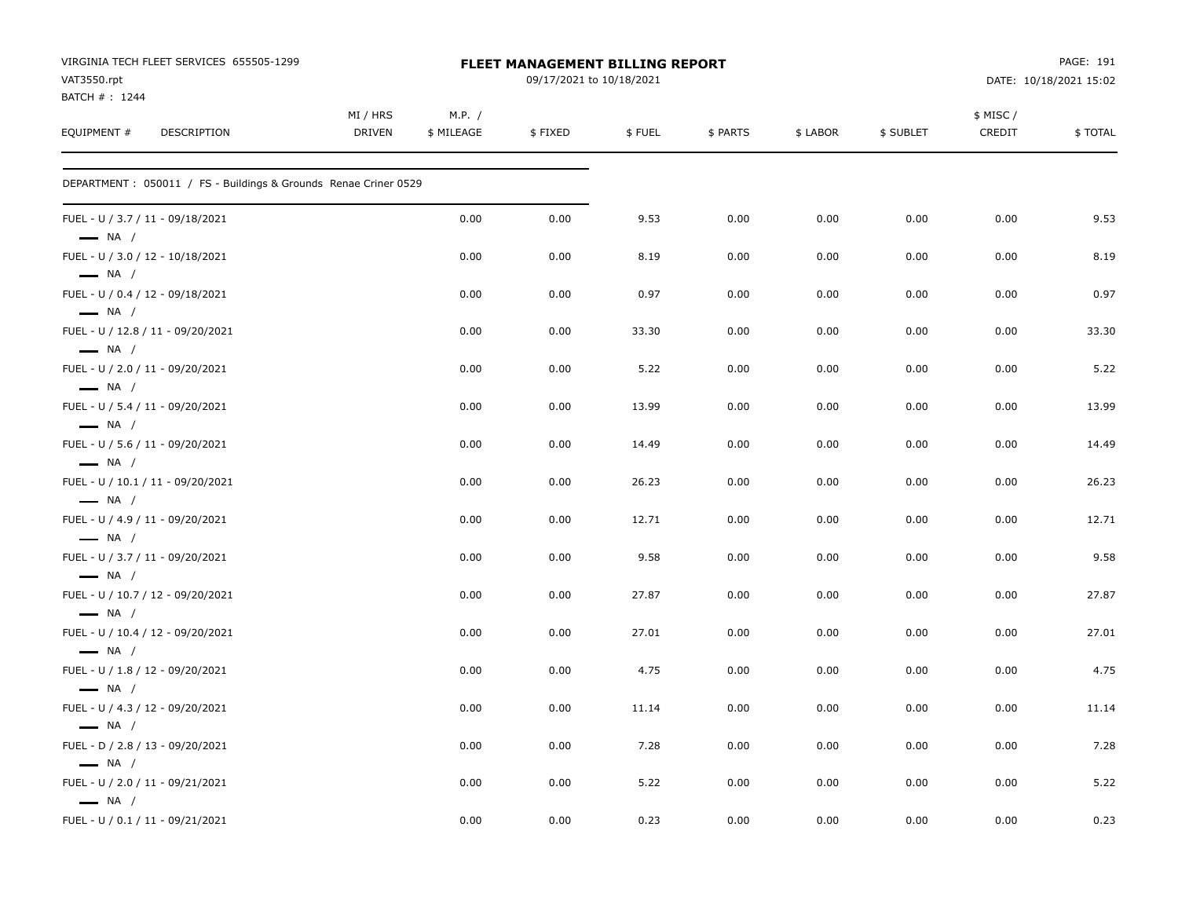| VIRGINIA TECH FLEET SERVICES 655505-1299<br>VAT3550.rpt<br>BATCH #: 1244 |                           | FLEET MANAGEMENT BILLING REPORT |         | PAGE: 191<br>DATE: 10/18/2021 15:02 |          |          |           |                    |         |
|--------------------------------------------------------------------------|---------------------------|---------------------------------|---------|-------------------------------------|----------|----------|-----------|--------------------|---------|
| EQUIPMENT #<br><b>DESCRIPTION</b>                                        | MI / HRS<br><b>DRIVEN</b> | M.P. /<br>\$ MILEAGE            | \$FIXED | \$FUEL                              | \$ PARTS | \$ LABOR | \$ SUBLET | \$ MISC/<br>CREDIT | \$TOTAL |
| DEPARTMENT: 050011 / FS - Buildings & Grounds Renae Criner 0529          |                           |                                 |         |                                     |          |          |           |                    |         |
| FUEL - U / 3.7 / 11 - 09/18/2021<br>$\longrightarrow$ NA /               |                           | 0.00                            | 0.00    | 9.53                                | 0.00     | 0.00     | 0.00      | 0.00               | 9.53    |
| FUEL - U / 3.0 / 12 - 10/18/2021<br>$\longrightarrow$ NA /               |                           | 0.00                            | 0.00    | 8.19                                | 0.00     | 0.00     | 0.00      | 0.00               | 8.19    |
| FUEL - U / 0.4 / 12 - 09/18/2021<br>$\longrightarrow$ NA /               |                           | 0.00                            | 0.00    | 0.97                                | 0.00     | 0.00     | 0.00      | 0.00               | 0.97    |
| FUEL - U / 12.8 / 11 - 09/20/2021<br>$\longrightarrow$ NA /              |                           | 0.00                            | 0.00    | 33.30                               | 0.00     | 0.00     | 0.00      | 0.00               | 33.30   |
| FUEL - U / 2.0 / 11 - 09/20/2021<br>$\longrightarrow$ NA /               |                           | 0.00                            | 0.00    | 5.22                                | 0.00     | 0.00     | 0.00      | 0.00               | 5.22    |
| FUEL - U / 5.4 / 11 - 09/20/2021<br>$\longrightarrow$ NA /               |                           | 0.00                            | 0.00    | 13.99                               | 0.00     | 0.00     | 0.00      | 0.00               | 13.99   |
| FUEL - U / 5.6 / 11 - 09/20/2021<br>$\longrightarrow$ NA /               |                           | 0.00                            | 0.00    | 14.49                               | 0.00     | 0.00     | 0.00      | 0.00               | 14.49   |
| FUEL - U / 10.1 / 11 - 09/20/2021<br>$\longrightarrow$ NA /              |                           | 0.00                            | 0.00    | 26.23                               | 0.00     | 0.00     | 0.00      | 0.00               | 26.23   |
| FUEL - U / 4.9 / 11 - 09/20/2021<br>$\longrightarrow$ NA /               |                           | 0.00                            | 0.00    | 12.71                               | 0.00     | 0.00     | 0.00      | 0.00               | 12.71   |
| FUEL - U / 3.7 / 11 - 09/20/2021<br>$\longrightarrow$ NA /               |                           | 0.00                            | 0.00    | 9.58                                | 0.00     | 0.00     | 0.00      | 0.00               | 9.58    |
| FUEL - U / 10.7 / 12 - 09/20/2021<br>$\longrightarrow$ NA /              |                           | 0.00                            | 0.00    | 27.87                               | 0.00     | 0.00     | 0.00      | 0.00               | 27.87   |
| FUEL - U / 10.4 / 12 - 09/20/2021<br>$\longrightarrow$ NA /              |                           | 0.00                            | 0.00    | 27.01                               | 0.00     | 0.00     | 0.00      | 0.00               | 27.01   |
| FUEL - U / 1.8 / 12 - 09/20/2021<br>$\longrightarrow$ NA /               |                           | 0.00                            | 0.00    | 4.75                                | 0.00     | 0.00     | 0.00      | 0.00               | 4.75    |
| FUEL - U / 4.3 / 12 - 09/20/2021<br>$\longrightarrow$ NA /               |                           | 0.00                            | 0.00    | 11.14                               | 0.00     | 0.00     | 0.00      | 0.00               | 11.14   |
| FUEL - D / 2.8 / 13 - 09/20/2021<br>$\longrightarrow$ NA /               |                           | 0.00                            | 0.00    | 7.28                                | 0.00     | 0.00     | 0.00      | 0.00               | 7.28    |
| FUEL - U / 2.0 / 11 - 09/21/2021<br>$\longrightarrow$ NA /               |                           | 0.00                            | 0.00    | 5.22                                | 0.00     | 0.00     | 0.00      | 0.00               | 5.22    |
| FUEL - U / 0.1 / 11 - 09/21/2021                                         |                           | 0.00                            | 0.00    | 0.23                                | 0.00     | 0.00     | 0.00      | 0.00               | 0.23    |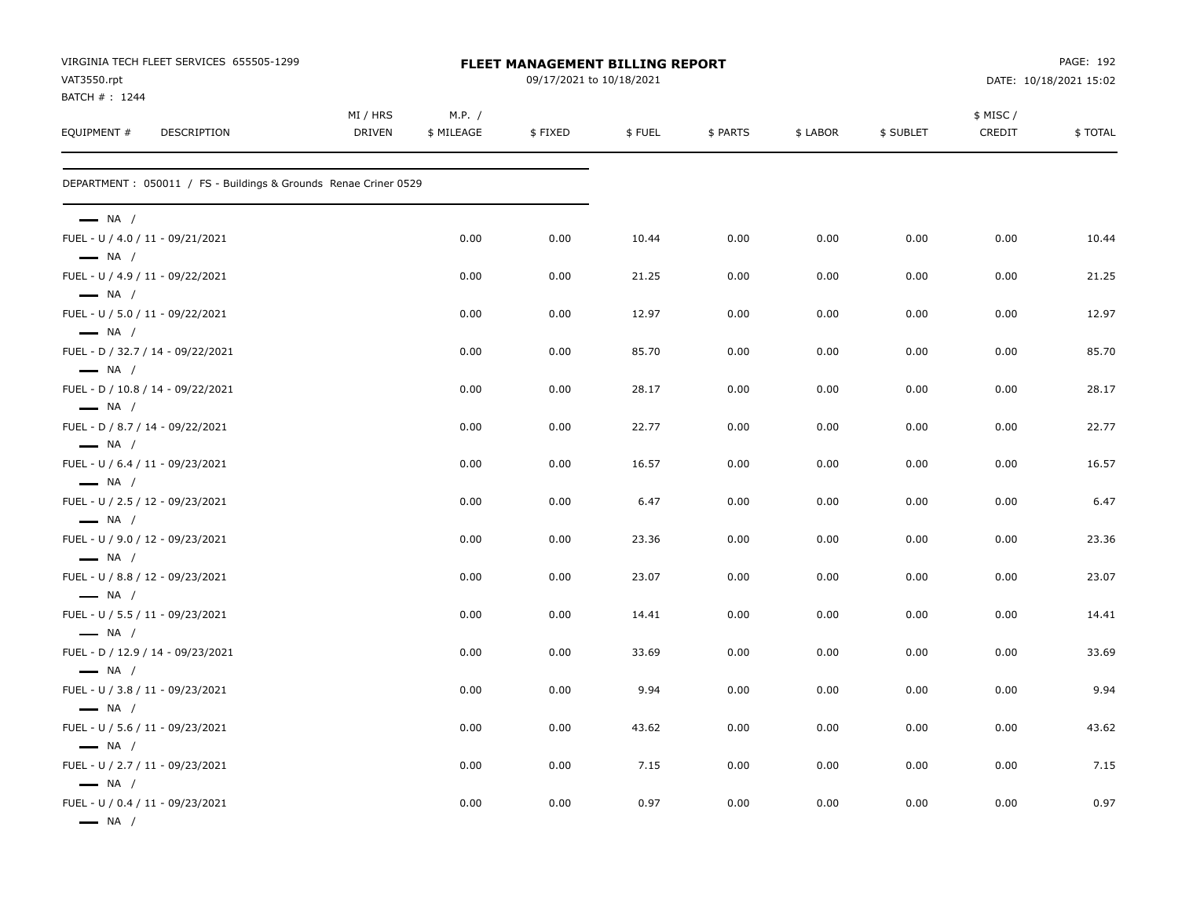| VAT3550.rpt<br>BATCH #: 1244                                                         | VIRGINIA TECH FLEET SERVICES 655505-1299                        |                           |                      | <b>FLEET MANAGEMENT BILLING REPORT</b><br>09/17/2021 to 10/18/2021 |        |          |          | PAGE: 192<br>DATE: 10/18/2021 15:02 |                     |         |
|--------------------------------------------------------------------------------------|-----------------------------------------------------------------|---------------------------|----------------------|--------------------------------------------------------------------|--------|----------|----------|-------------------------------------|---------------------|---------|
| EQUIPMENT #                                                                          | DESCRIPTION                                                     | MI / HRS<br><b>DRIVEN</b> | M.P. /<br>\$ MILEAGE | \$FIXED                                                            | \$FUEL | \$ PARTS | \$ LABOR | \$ SUBLET                           | \$ MISC /<br>CREDIT | \$TOTAL |
|                                                                                      | DEPARTMENT: 050011 / FS - Buildings & Grounds Renae Criner 0529 |                           |                      |                                                                    |        |          |          |                                     |                     |         |
| $\longrightarrow$ NA /                                                               |                                                                 |                           |                      |                                                                    |        |          |          |                                     |                     |         |
| FUEL - U / 4.0 / 11 - 09/21/2021<br>$\longrightarrow$ NA /                           |                                                                 |                           | 0.00                 | 0.00                                                               | 10.44  | 0.00     | 0.00     | 0.00                                | 0.00                | 10.44   |
| FUEL - U / 4.9 / 11 - 09/22/2021<br>$\longrightarrow$ NA /                           |                                                                 |                           | 0.00                 | 0.00                                                               | 21.25  | 0.00     | 0.00     | 0.00                                | 0.00                | 21.25   |
| FUEL - U / 5.0 / 11 - 09/22/2021<br>$\longrightarrow$ NA /                           |                                                                 |                           | 0.00                 | 0.00                                                               | 12.97  | 0.00     | 0.00     | 0.00                                | 0.00                | 12.97   |
| FUEL - D / 32.7 / 14 - 09/22/2021<br>$\longrightarrow$ NA /                          |                                                                 |                           | 0.00                 | 0.00                                                               | 85.70  | 0.00     | 0.00     | 0.00                                | 0.00                | 85.70   |
| FUEL - D / 10.8 / 14 - 09/22/2021<br>$\longrightarrow$ NA /                          |                                                                 |                           | 0.00                 | 0.00                                                               | 28.17  | 0.00     | 0.00     | 0.00                                | 0.00                | 28.17   |
| FUEL - D / 8.7 / 14 - 09/22/2021                                                     |                                                                 |                           | 0.00                 | 0.00                                                               | 22.77  | 0.00     | 0.00     | 0.00                                | 0.00                | 22.77   |
| $\longrightarrow$ NA /<br>FUEL - U / 6.4 / 11 - 09/23/2021                           |                                                                 |                           | 0.00                 | 0.00                                                               | 16.57  | 0.00     | 0.00     | 0.00                                | 0.00                | 16.57   |
| $\longrightarrow$ NA /<br>FUEL - U / 2.5 / 12 - 09/23/2021                           |                                                                 |                           | 0.00                 | 0.00                                                               | 6.47   | 0.00     | 0.00     | 0.00                                | 0.00                | 6.47    |
| $\longrightarrow$ NA /<br>FUEL - U / 9.0 / 12 - 09/23/2021                           |                                                                 |                           | 0.00                 | 0.00                                                               | 23.36  | 0.00     | 0.00     | 0.00                                | 0.00                | 23.36   |
| $\longrightarrow$ NA /<br>FUEL - U / 8.8 / 12 - 09/23/2021                           |                                                                 |                           | 0.00                 | 0.00                                                               | 23.07  | 0.00     | 0.00     | 0.00                                | 0.00                | 23.07   |
| $\longrightarrow$ NA /<br>FUEL - U / 5.5 / 11 - 09/23/2021                           |                                                                 |                           | 0.00                 | 0.00                                                               | 14.41  | 0.00     | 0.00     | 0.00                                | 0.00                | 14.41   |
| $\longrightarrow$ NA /<br>FUEL - D / 12.9 / 14 - 09/23/2021                          |                                                                 |                           | 0.00                 | 0.00                                                               | 33.69  | 0.00     | 0.00     | 0.00                                | 0.00                | 33.69   |
| $\longrightarrow$ NA /<br>FUEL - U / 3.8 / 11 - 09/23/2021                           |                                                                 |                           | 0.00                 | 0.00                                                               | 9.94   | 0.00     | 0.00     | 0.00                                | 0.00                | 9.94    |
| $\longrightarrow$ NA /<br>FUEL - U / 5.6 / 11 - 09/23/2021                           |                                                                 |                           | 0.00                 | 0.00                                                               | 43.62  | 0.00     | 0.00     | 0.00                                | 0.00                | 43.62   |
| $\longrightarrow$ NA /<br>FUEL - U / 2.7 / 11 - 09/23/2021                           |                                                                 |                           | 0.00                 | 0.00                                                               | 7.15   | 0.00     | 0.00     | 0.00                                | 0.00                | 7.15    |
| $\longrightarrow$ NA /<br>FUEL - U / 0.4 / 11 - 09/23/2021<br>$\longrightarrow$ NA / |                                                                 |                           | 0.00                 | 0.00                                                               | 0.97   | 0.00     | 0.00     | 0.00                                | 0.00                | 0.97    |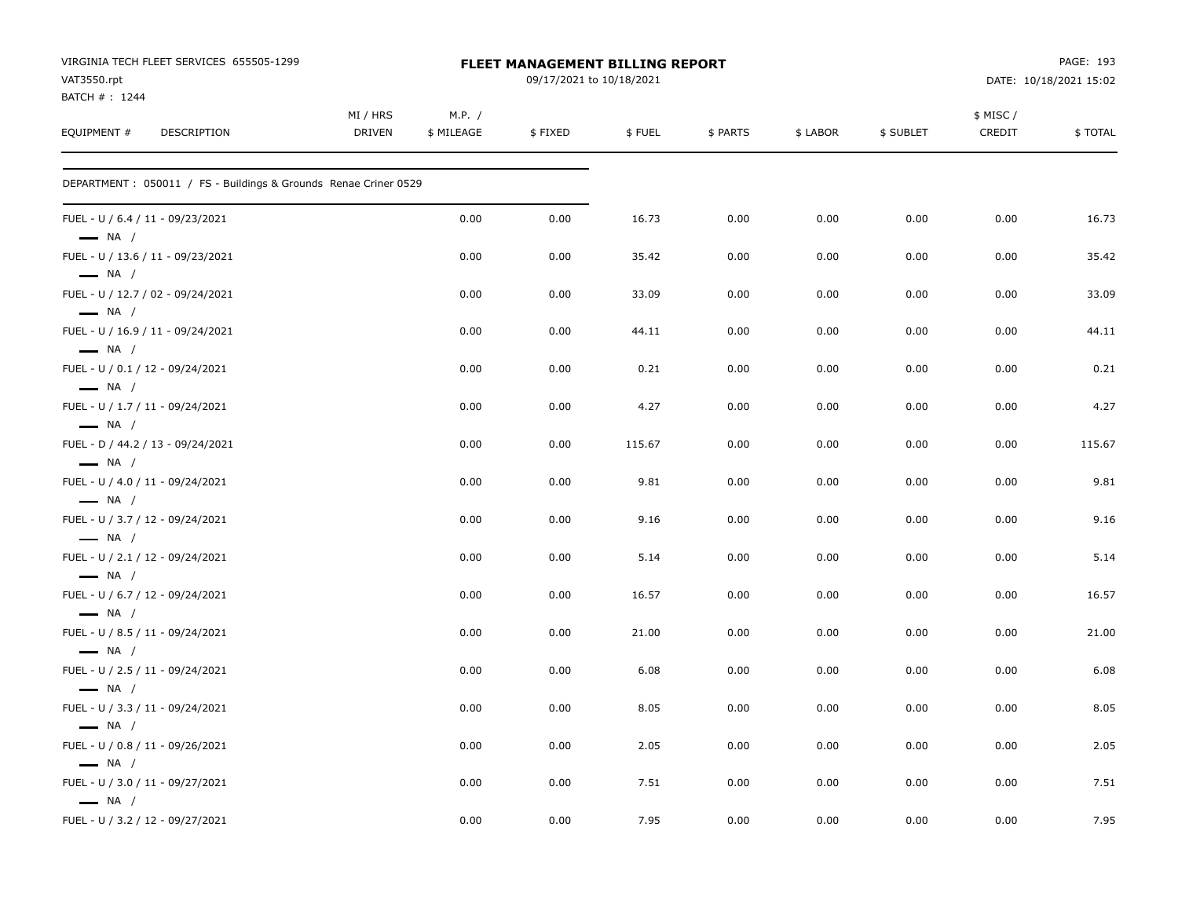| VIRGINIA TECH FLEET SERVICES 655505-1299<br>VAT3550.rpt<br>BATCH #: 1244 |                           |                      | FLEET MANAGEMENT BILLING REPORT<br>09/17/2021 to 10/18/2021 |        | PAGE: 193<br>DATE: 10/18/2021 15:02 |          |           |                    |         |
|--------------------------------------------------------------------------|---------------------------|----------------------|-------------------------------------------------------------|--------|-------------------------------------|----------|-----------|--------------------|---------|
| EQUIPMENT #<br><b>DESCRIPTION</b>                                        | MI / HRS<br><b>DRIVEN</b> | M.P. /<br>\$ MILEAGE | \$FIXED                                                     | \$FUEL | \$ PARTS                            | \$ LABOR | \$ SUBLET | \$ MISC/<br>CREDIT | \$TOTAL |
| DEPARTMENT: 050011 / FS - Buildings & Grounds Renae Criner 0529          |                           |                      |                                                             |        |                                     |          |           |                    |         |
| FUEL - U / 6.4 / 11 - 09/23/2021<br>$\longrightarrow$ NA /               |                           | 0.00                 | 0.00                                                        | 16.73  | 0.00                                | 0.00     | 0.00      | 0.00               | 16.73   |
| FUEL - U / 13.6 / 11 - 09/23/2021<br>$\longrightarrow$ NA /              |                           | 0.00                 | 0.00                                                        | 35.42  | 0.00                                | 0.00     | 0.00      | 0.00               | 35.42   |
| FUEL - U / 12.7 / 02 - 09/24/2021<br>$\longrightarrow$ NA /              |                           | 0.00                 | 0.00                                                        | 33.09  | 0.00                                | 0.00     | 0.00      | 0.00               | 33.09   |
| FUEL - U / 16.9 / 11 - 09/24/2021<br>$\longrightarrow$ NA /              |                           | 0.00                 | 0.00                                                        | 44.11  | 0.00                                | 0.00     | 0.00      | 0.00               | 44.11   |
| FUEL - U / 0.1 / 12 - 09/24/2021<br>$\longrightarrow$ NA /               |                           | 0.00                 | 0.00                                                        | 0.21   | 0.00                                | 0.00     | 0.00      | 0.00               | 0.21    |
| FUEL - U / 1.7 / 11 - 09/24/2021<br>$\longrightarrow$ NA /               |                           | 0.00                 | 0.00                                                        | 4.27   | 0.00                                | 0.00     | 0.00      | 0.00               | 4.27    |
| FUEL - D / 44.2 / 13 - 09/24/2021<br>$\longrightarrow$ NA /              |                           | 0.00                 | 0.00                                                        | 115.67 | 0.00                                | 0.00     | 0.00      | 0.00               | 115.67  |
| FUEL - U / 4.0 / 11 - 09/24/2021<br>$\longrightarrow$ NA /               |                           | 0.00                 | 0.00                                                        | 9.81   | 0.00                                | 0.00     | 0.00      | 0.00               | 9.81    |
| FUEL - U / 3.7 / 12 - 09/24/2021<br>$\longrightarrow$ NA /               |                           | 0.00                 | 0.00                                                        | 9.16   | 0.00                                | 0.00     | 0.00      | 0.00               | 9.16    |
| FUEL - U / 2.1 / 12 - 09/24/2021<br>$\longrightarrow$ NA /               |                           | 0.00                 | 0.00                                                        | 5.14   | 0.00                                | 0.00     | 0.00      | 0.00               | 5.14    |
| FUEL - U / 6.7 / 12 - 09/24/2021<br>$\longrightarrow$ NA /               |                           | 0.00                 | 0.00                                                        | 16.57  | 0.00                                | 0.00     | 0.00      | 0.00               | 16.57   |
| FUEL - U / 8.5 / 11 - 09/24/2021<br>$\longrightarrow$ NA /               |                           | 0.00                 | 0.00                                                        | 21.00  | 0.00                                | 0.00     | 0.00      | 0.00               | 21.00   |
| FUEL - U / 2.5 / 11 - 09/24/2021<br>$\longrightarrow$ NA /               |                           | 0.00                 | 0.00                                                        | 6.08   | 0.00                                | 0.00     | 0.00      | 0.00               | 6.08    |
| FUEL - U / 3.3 / 11 - 09/24/2021<br>$\longrightarrow$ NA /               |                           | 0.00                 | 0.00                                                        | 8.05   | 0.00                                | 0.00     | 0.00      | 0.00               | 8.05    |
| FUEL - U / 0.8 / 11 - 09/26/2021<br>$\longrightarrow$ NA /               |                           | 0.00                 | 0.00                                                        | 2.05   | 0.00                                | 0.00     | 0.00      | 0.00               | 2.05    |
| FUEL - U / 3.0 / 11 - 09/27/2021<br>$\longrightarrow$ NA /               |                           | 0.00                 | 0.00                                                        | 7.51   | 0.00                                | 0.00     | 0.00      | 0.00               | 7.51    |
| FUEL - U / 3.2 / 12 - 09/27/2021                                         |                           | 0.00                 | 0.00                                                        | 7.95   | 0.00                                | 0.00     | 0.00      | 0.00               | 7.95    |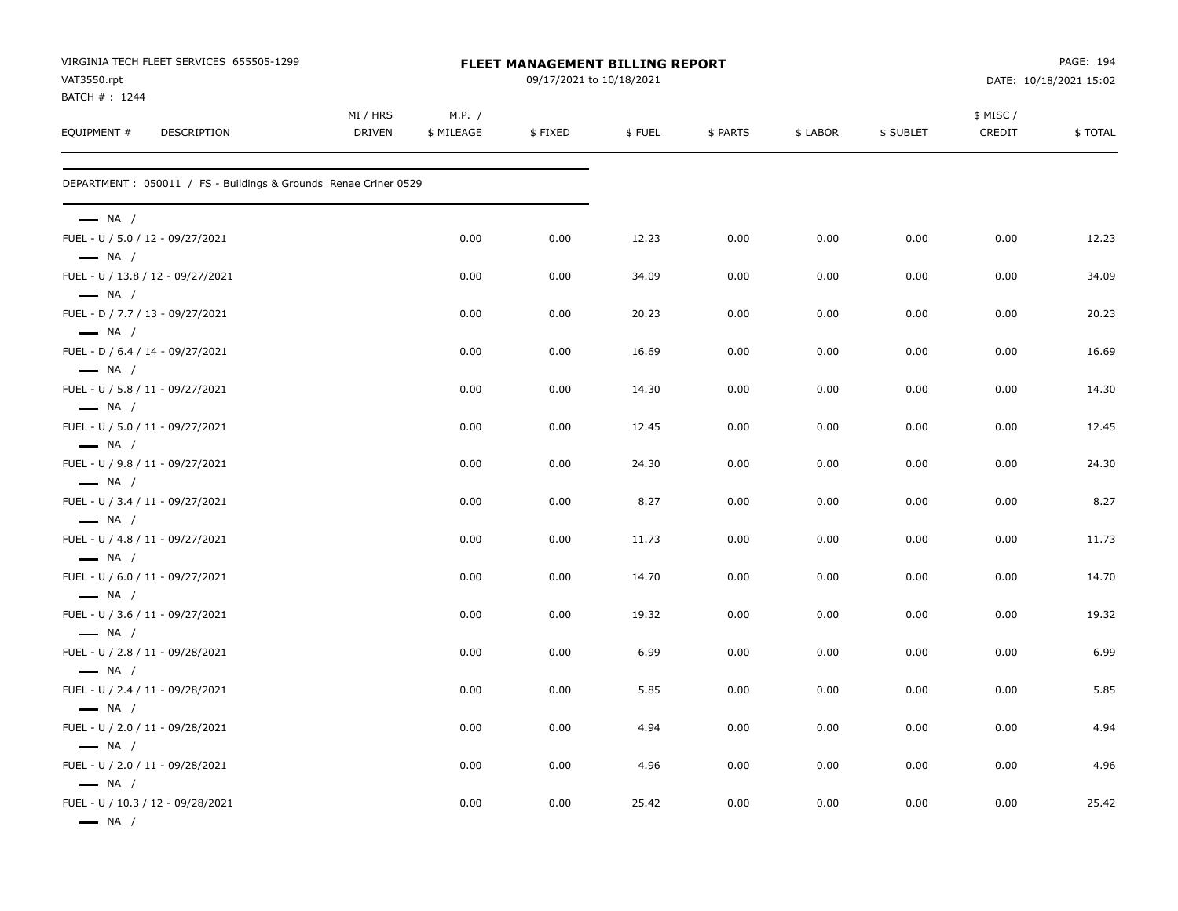| VIRGINIA TECH FLEET SERVICES 655505-1299<br>VAT3550.rpt          | FLEET MANAGEMENT BILLING REPORT<br>09/17/2021 to 10/18/2021 |                      |         |        |          |          |           | PAGE: 194<br>DATE: 10/18/2021 15:02 |         |
|------------------------------------------------------------------|-------------------------------------------------------------|----------------------|---------|--------|----------|----------|-----------|-------------------------------------|---------|
| BATCH #: 1244<br>EQUIPMENT #<br>DESCRIPTION                      | MI / HRS<br><b>DRIVEN</b>                                   | M.P. /<br>\$ MILEAGE | \$FIXED | \$FUEL | \$ PARTS | \$ LABOR | \$ SUBLET | \$ MISC /<br>CREDIT                 | \$TOTAL |
| DEPARTMENT : 050011 / FS - Buildings & Grounds Renae Criner 0529 |                                                             |                      |         |        |          |          |           |                                     |         |
| $\longrightarrow$ NA /                                           |                                                             |                      |         |        |          |          |           |                                     |         |
| FUEL - U / 5.0 / 12 - 09/27/2021<br>$\longrightarrow$ NA /       |                                                             | 0.00                 | 0.00    | 12.23  | 0.00     | 0.00     | 0.00      | 0.00                                | 12.23   |
| FUEL - U / 13.8 / 12 - 09/27/2021<br>$\longrightarrow$ NA /      |                                                             | 0.00                 | 0.00    | 34.09  | 0.00     | 0.00     | 0.00      | 0.00                                | 34.09   |
| FUEL - D / 7.7 / 13 - 09/27/2021<br>$\longrightarrow$ NA /       |                                                             | 0.00                 | 0.00    | 20.23  | 0.00     | 0.00     | 0.00      | 0.00                                | 20.23   |
| FUEL - D / 6.4 / 14 - 09/27/2021<br>$\longrightarrow$ NA /       |                                                             | 0.00                 | 0.00    | 16.69  | 0.00     | 0.00     | 0.00      | 0.00                                | 16.69   |
| FUEL - U / 5.8 / 11 - 09/27/2021                                 |                                                             | 0.00                 | 0.00    | 14.30  | 0.00     | 0.00     | 0.00      | 0.00                                | 14.30   |
| $\longrightarrow$ NA /<br>FUEL - U / 5.0 / 11 - 09/27/2021       |                                                             | 0.00                 | 0.00    | 12.45  | 0.00     | 0.00     | 0.00      | 0.00                                | 12.45   |
| $\longrightarrow$ NA /<br>FUEL - U / 9.8 / 11 - 09/27/2021       |                                                             | 0.00                 | 0.00    | 24.30  | 0.00     | 0.00     | 0.00      | 0.00                                | 24.30   |
| $\longrightarrow$ NA /<br>FUEL - U / 3.4 / 11 - 09/27/2021       |                                                             | 0.00                 | 0.00    | 8.27   | 0.00     | 0.00     | 0.00      | 0.00                                | 8.27    |
| $\longrightarrow$ NA /<br>FUEL - U / 4.8 / 11 - 09/27/2021       |                                                             | 0.00                 | 0.00    | 11.73  | 0.00     | 0.00     | 0.00      | 0.00                                | 11.73   |
| $\longrightarrow$ NA /<br>FUEL - U / 6.0 / 11 - 09/27/2021       |                                                             | 0.00                 | 0.00    | 14.70  | 0.00     | 0.00     | 0.00      | 0.00                                | 14.70   |
| $\longrightarrow$ NA /<br>FUEL - U / 3.6 / 11 - 09/27/2021       |                                                             | 0.00                 | 0.00    | 19.32  | 0.00     | 0.00     | 0.00      | 0.00                                | 19.32   |
| $\longrightarrow$ NA /<br>FUEL - U / 2.8 / 11 - 09/28/2021       |                                                             | 0.00                 | 0.00    | 6.99   | 0.00     | 0.00     | 0.00      | 0.00                                | 6.99    |
| $\longrightarrow$ NA /<br>FUEL - U / 2.4 / 11 - 09/28/2021       |                                                             | 0.00                 | 0.00    | 5.85   | 0.00     | 0.00     | 0.00      | 0.00                                | 5.85    |
| $\longrightarrow$ NA /<br>FUEL - U / 2.0 / 11 - 09/28/2021       |                                                             | 0.00                 | 0.00    | 4.94   | 0.00     | 0.00     | 0.00      | 0.00                                | 4.94    |
| $\equiv$ NA /<br>FUEL - U / 2.0 / 11 - 09/28/2021                |                                                             | 0.00                 | 0.00    | 4.96   | 0.00     | 0.00     | 0.00      | 0.00                                | 4.96    |
| $\longrightarrow$ NA /<br>FUEL - U / 10.3 / 12 - 09/28/2021      |                                                             | 0.00                 | 0.00    | 25.42  | 0.00     | 0.00     | 0.00      | 0.00                                | 25.42   |
| $\longrightarrow$ NA /                                           |                                                             |                      |         |        |          |          |           |                                     |         |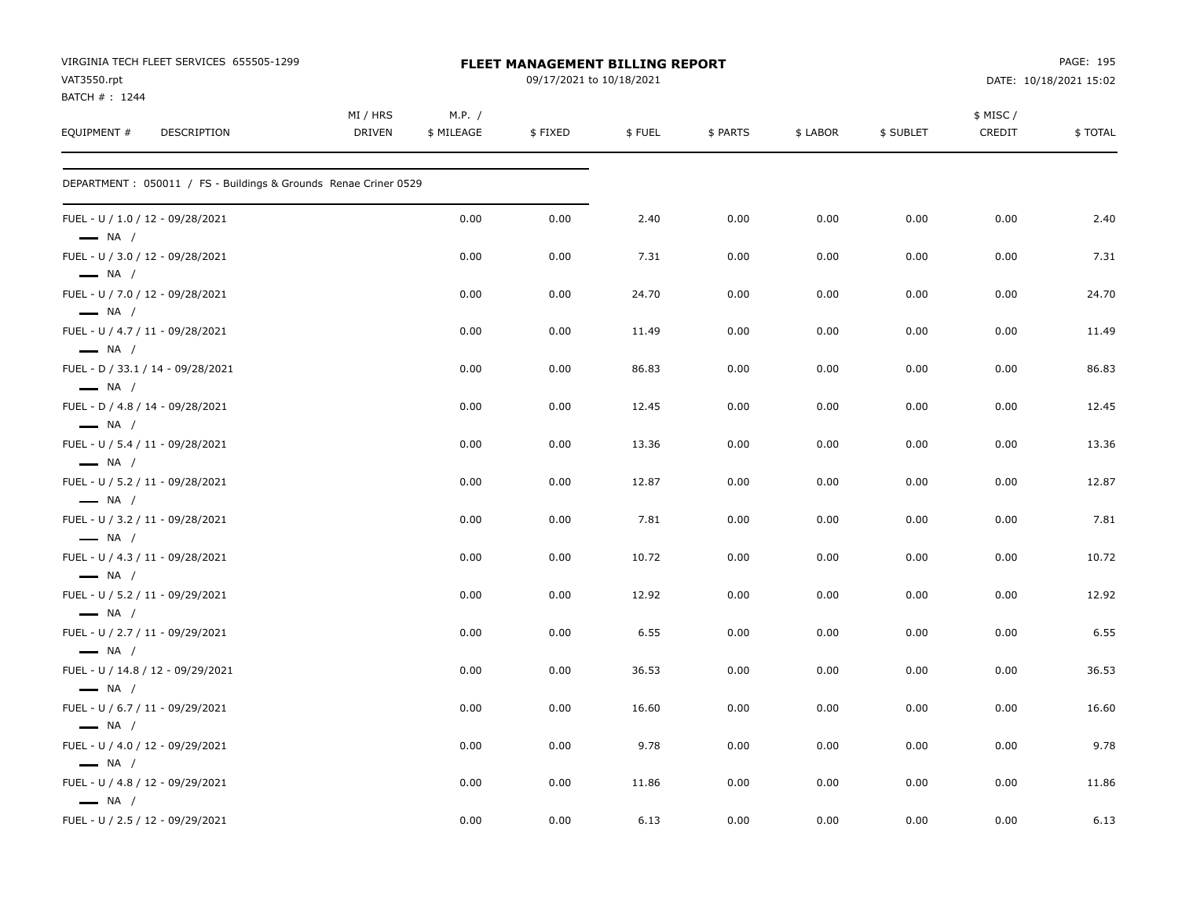| VIRGINIA TECH FLEET SERVICES 655505-1299<br>VAT3550.rpt<br>BATCH #: 1244 |                           |                      | FLEET MANAGEMENT BILLING REPORT<br>09/17/2021 to 10/18/2021 |        |          |          | PAGE: 195<br>DATE: 10/18/2021 15:02 |                    |         |
|--------------------------------------------------------------------------|---------------------------|----------------------|-------------------------------------------------------------|--------|----------|----------|-------------------------------------|--------------------|---------|
| EQUIPMENT #<br><b>DESCRIPTION</b>                                        | MI / HRS<br><b>DRIVEN</b> | M.P. /<br>\$ MILEAGE | \$FIXED                                                     | \$FUEL | \$ PARTS | \$ LABOR | \$ SUBLET                           | \$ MISC/<br>CREDIT | \$TOTAL |
| DEPARTMENT : 050011 / FS - Buildings & Grounds Renae Criner 0529         |                           |                      |                                                             |        |          |          |                                     |                    |         |
| FUEL - U / 1.0 / 12 - 09/28/2021<br>$\longrightarrow$ NA /               |                           | 0.00                 | 0.00                                                        | 2.40   | 0.00     | 0.00     | 0.00                                | 0.00               | 2.40    |
| FUEL - U / 3.0 / 12 - 09/28/2021<br>$\longrightarrow$ NA /               |                           | 0.00                 | 0.00                                                        | 7.31   | 0.00     | 0.00     | 0.00                                | 0.00               | 7.31    |
| FUEL - U / 7.0 / 12 - 09/28/2021<br>$\longrightarrow$ NA /               |                           | 0.00                 | 0.00                                                        | 24.70  | 0.00     | 0.00     | 0.00                                | 0.00               | 24.70   |
| FUEL - U / 4.7 / 11 - 09/28/2021<br>$\longrightarrow$ NA /               |                           | 0.00                 | 0.00                                                        | 11.49  | 0.00     | 0.00     | 0.00                                | 0.00               | 11.49   |
| FUEL - D / 33.1 / 14 - 09/28/2021<br>$\longrightarrow$ NA /              |                           | 0.00                 | 0.00                                                        | 86.83  | 0.00     | 0.00     | 0.00                                | 0.00               | 86.83   |
| FUEL - D / 4.8 / 14 - 09/28/2021<br>$\longrightarrow$ NA /               |                           | 0.00                 | 0.00                                                        | 12.45  | 0.00     | 0.00     | 0.00                                | 0.00               | 12.45   |
| FUEL - U / 5.4 / 11 - 09/28/2021<br>$\longrightarrow$ NA /               |                           | 0.00                 | 0.00                                                        | 13.36  | 0.00     | 0.00     | 0.00                                | 0.00               | 13.36   |
| FUEL - U / 5.2 / 11 - 09/28/2021<br>$\longrightarrow$ NA /               |                           | 0.00                 | 0.00                                                        | 12.87  | 0.00     | 0.00     | 0.00                                | 0.00               | 12.87   |
| FUEL - U / 3.2 / 11 - 09/28/2021<br>$\longrightarrow$ NA /               |                           | 0.00                 | 0.00                                                        | 7.81   | 0.00     | 0.00     | 0.00                                | 0.00               | 7.81    |
| FUEL - U / 4.3 / 11 - 09/28/2021<br>$\longrightarrow$ NA /               |                           | 0.00                 | 0.00                                                        | 10.72  | 0.00     | 0.00     | 0.00                                | 0.00               | 10.72   |
| FUEL - U / 5.2 / 11 - 09/29/2021<br>$\longrightarrow$ NA /               |                           | 0.00                 | 0.00                                                        | 12.92  | 0.00     | 0.00     | 0.00                                | 0.00               | 12.92   |
| FUEL - U / 2.7 / 11 - 09/29/2021<br>$\longrightarrow$ NA /               |                           | 0.00                 | 0.00                                                        | 6.55   | 0.00     | 0.00     | 0.00                                | 0.00               | 6.55    |
| FUEL - U / 14.8 / 12 - 09/29/2021<br>$\longrightarrow$ NA /              |                           | 0.00                 | 0.00                                                        | 36.53  | 0.00     | 0.00     | 0.00                                | 0.00               | 36.53   |
| FUEL - U / 6.7 / 11 - 09/29/2021<br>$\longrightarrow$ NA /               |                           | 0.00                 | 0.00                                                        | 16.60  | 0.00     | 0.00     | 0.00                                | 0.00               | 16.60   |
| FUEL - U / 4.0 / 12 - 09/29/2021<br>$\longrightarrow$ NA /               |                           | 0.00                 | 0.00                                                        | 9.78   | 0.00     | 0.00     | 0.00                                | 0.00               | 9.78    |
| FUEL - U / 4.8 / 12 - 09/29/2021                                         |                           | 0.00                 | 0.00                                                        | 11.86  | 0.00     | 0.00     | 0.00                                | 0.00               | 11.86   |
| $\longrightarrow$ NA /<br>FUEL - U / 2.5 / 12 - 09/29/2021               |                           | 0.00                 | 0.00                                                        | 6.13   | 0.00     | 0.00     | 0.00                                | 0.00               | 6.13    |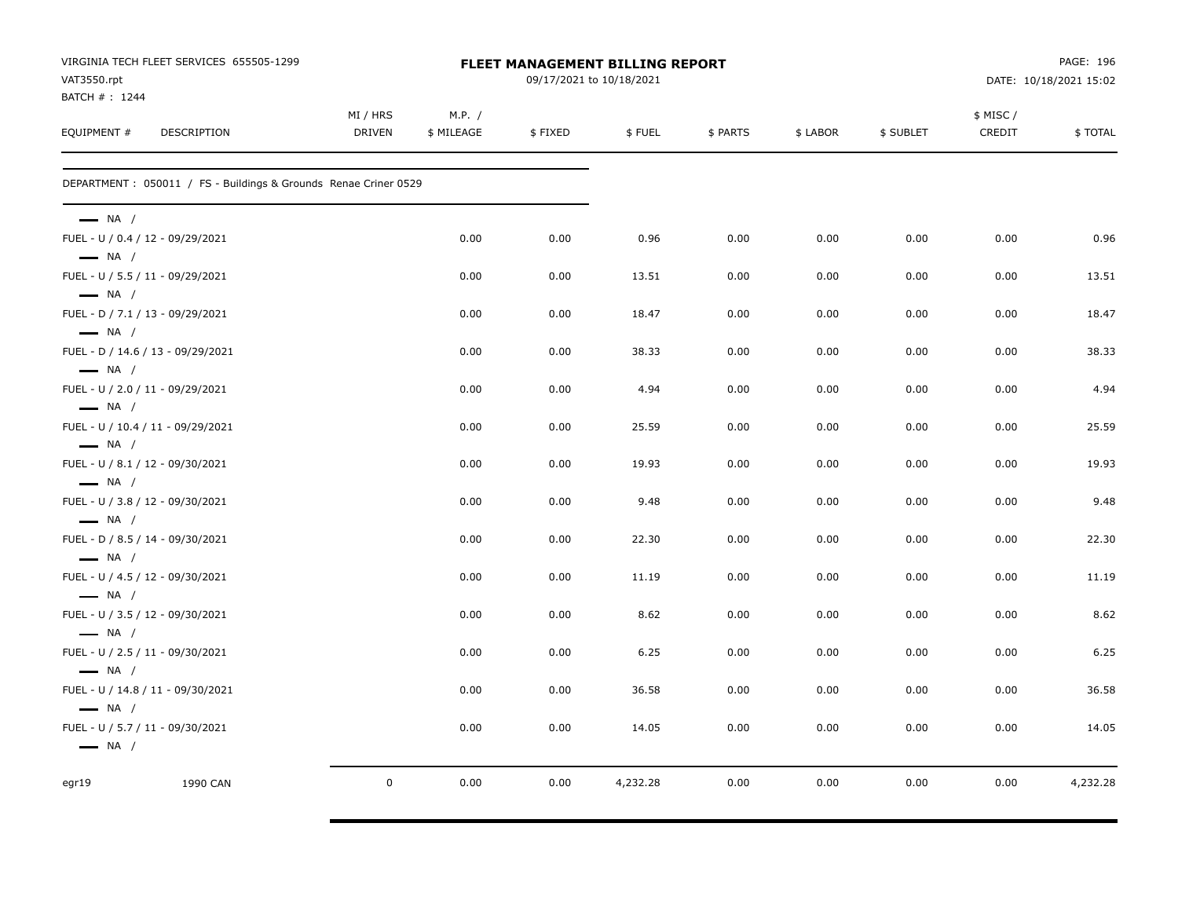| VAT3550.rpt<br>BATCH #: 1244                                                          | VIRGINIA TECH FLEET SERVICES 655505-1299                        |                    | <b>FLEET MANAGEMENT BILLING REPORT</b><br>09/17/2021 to 10/18/2021 |         |          |          |          |           |                     |          |
|---------------------------------------------------------------------------------------|-----------------------------------------------------------------|--------------------|--------------------------------------------------------------------|---------|----------|----------|----------|-----------|---------------------|----------|
| EQUIPMENT #                                                                           | <b>DESCRIPTION</b>                                              | MI / HRS<br>DRIVEN | M.P. /<br>\$ MILEAGE                                               | \$FIXED | \$FUEL   | \$ PARTS | \$ LABOR | \$ SUBLET | \$ MISC /<br>CREDIT | \$TOTAL  |
|                                                                                       | DEPARTMENT: 050011 / FS - Buildings & Grounds Renae Criner 0529 |                    |                                                                    |         |          |          |          |           |                     |          |
| $\longrightarrow$ NA /                                                                |                                                                 |                    |                                                                    |         |          |          |          |           |                     |          |
| FUEL - U / 0.4 / 12 - 09/29/2021<br>$\longrightarrow$ NA /                            |                                                                 |                    | 0.00                                                               | 0.00    | 0.96     | 0.00     | 0.00     | 0.00      | 0.00                | 0.96     |
| FUEL - U / 5.5 / 11 - 09/29/2021                                                      |                                                                 |                    | 0.00                                                               | 0.00    | 13.51    | 0.00     | 0.00     | 0.00      | 0.00                | 13.51    |
| $\longrightarrow$ NA /<br>FUEL - D / 7.1 / 13 - 09/29/2021                            |                                                                 |                    | 0.00                                                               | 0.00    | 18.47    | 0.00     | 0.00     | 0.00      | 0.00                | 18.47    |
| $\longrightarrow$ NA /<br>FUEL - D / 14.6 / 13 - 09/29/2021<br>$\longrightarrow$ NA / |                                                                 |                    | 0.00                                                               | 0.00    | 38.33    | 0.00     | 0.00     | 0.00      | 0.00                | 38.33    |
| FUEL - U / 2.0 / 11 - 09/29/2021<br>$\longrightarrow$ NA /                            |                                                                 |                    | 0.00                                                               | 0.00    | 4.94     | 0.00     | 0.00     | 0.00      | 0.00                | 4.94     |
| FUEL - U / 10.4 / 11 - 09/29/2021<br>$-$ NA $/$                                       |                                                                 |                    | 0.00                                                               | 0.00    | 25.59    | 0.00     | 0.00     | 0.00      | 0.00                | 25.59    |
| FUEL - U / 8.1 / 12 - 09/30/2021<br>$\longrightarrow$ NA /                            |                                                                 |                    | 0.00                                                               | 0.00    | 19.93    | 0.00     | 0.00     | 0.00      | 0.00                | 19.93    |
| FUEL - U / 3.8 / 12 - 09/30/2021<br>$\longrightarrow$ NA /                            |                                                                 |                    | 0.00                                                               | 0.00    | 9.48     | 0.00     | 0.00     | 0.00      | 0.00                | 9.48     |
| FUEL - D / 8.5 / 14 - 09/30/2021<br>$\longrightarrow$ NA /                            |                                                                 |                    | 0.00                                                               | 0.00    | 22.30    | 0.00     | 0.00     | 0.00      | 0.00                | 22.30    |
| FUEL - U / 4.5 / 12 - 09/30/2021<br>$\longrightarrow$ NA /                            |                                                                 |                    | 0.00                                                               | 0.00    | 11.19    | 0.00     | 0.00     | 0.00      | 0.00                | 11.19    |
| FUEL - U / 3.5 / 12 - 09/30/2021<br>$\longrightarrow$ NA /                            |                                                                 |                    | 0.00                                                               | 0.00    | 8.62     | 0.00     | 0.00     | 0.00      | 0.00                | 8.62     |
| FUEL - U / 2.5 / 11 - 09/30/2021                                                      |                                                                 |                    | 0.00                                                               | 0.00    | 6.25     | 0.00     | 0.00     | 0.00      | 0.00                | 6.25     |
| $\longrightarrow$ NA /<br>FUEL - U / 14.8 / 11 - 09/30/2021<br>$\longrightarrow$ NA / |                                                                 |                    | 0.00                                                               | 0.00    | 36.58    | 0.00     | 0.00     | 0.00      | 0.00                | 36.58    |
| FUEL - U / 5.7 / 11 - 09/30/2021<br>$\longrightarrow$ NA /                            |                                                                 |                    | 0.00                                                               | 0.00    | 14.05    | 0.00     | 0.00     | 0.00      | 0.00                | 14.05    |
| eqr19                                                                                 | 1990 CAN                                                        | $\mathbf 0$        | 0.00                                                               | 0.00    | 4,232.28 | 0.00     | 0.00     | 0.00      | 0.00                | 4,232.28 |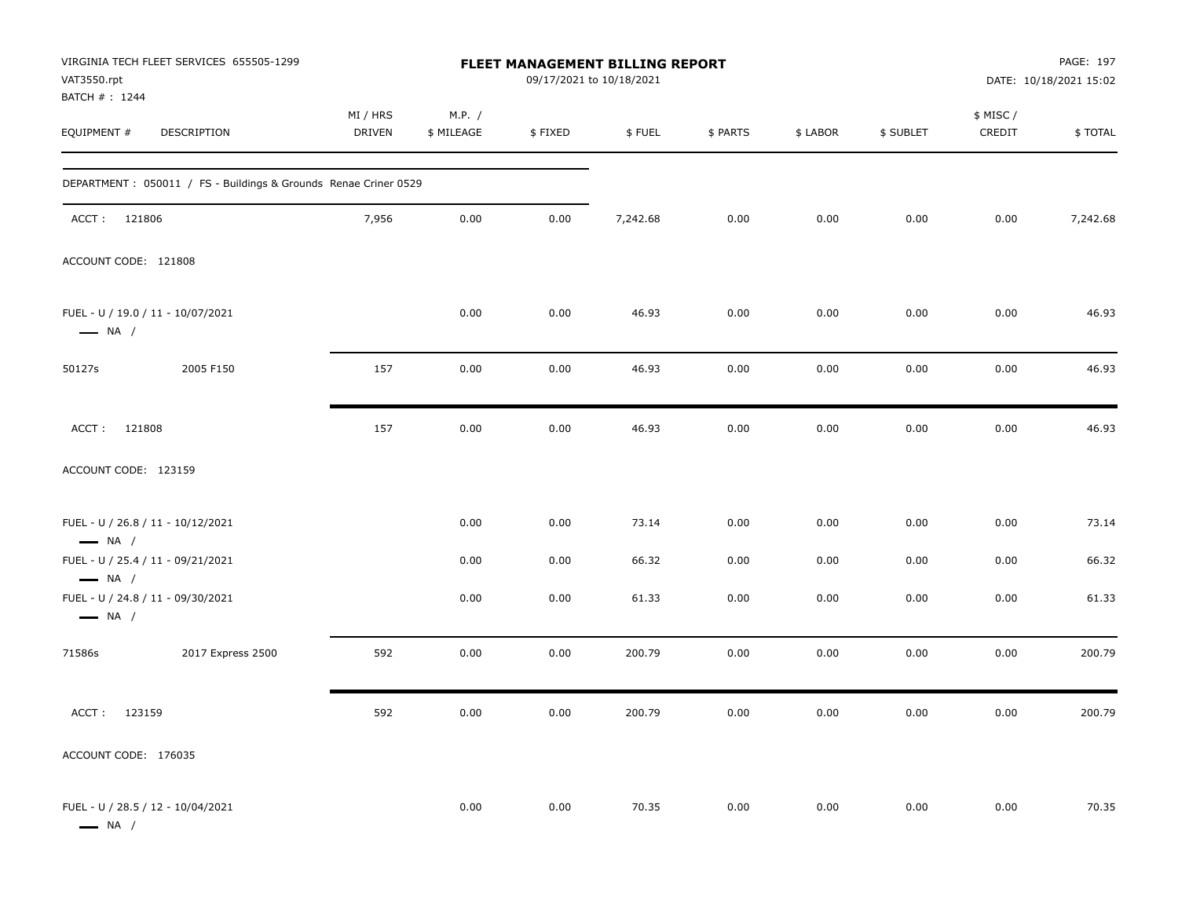| VIRGINIA TECH FLEET SERVICES 655505-1299<br>VAT3550.rpt<br>BATCH #: 1244              | FLEET MANAGEMENT BILLING REPORT<br>09/17/2021 to 10/18/2021 |                      |         |          |          |          |           |                     | PAGE: 197<br>DATE: 10/18/2021 15:02 |  |
|---------------------------------------------------------------------------------------|-------------------------------------------------------------|----------------------|---------|----------|----------|----------|-----------|---------------------|-------------------------------------|--|
| EQUIPMENT #<br>DESCRIPTION                                                            | MI / HRS<br><b>DRIVEN</b>                                   | M.P. /<br>\$ MILEAGE | \$FIXED | \$FUEL   | \$ PARTS | \$ LABOR | \$ SUBLET | \$ MISC /<br>CREDIT | \$TOTAL                             |  |
| DEPARTMENT : 050011 / FS - Buildings & Grounds Renae Criner 0529                      |                                                             |                      |         |          |          |          |           |                     |                                     |  |
| ACCT: 121806                                                                          | 7,956                                                       | 0.00                 | 0.00    | 7,242.68 | 0.00     | 0.00     | 0.00      | 0.00                | 7,242.68                            |  |
| ACCOUNT CODE: 121808                                                                  |                                                             |                      |         |          |          |          |           |                     |                                     |  |
| FUEL - U / 19.0 / 11 - 10/07/2021<br>$\longrightarrow$ NA /                           |                                                             | 0.00                 | 0.00    | 46.93    | 0.00     | 0.00     | 0.00      | 0.00                | 46.93                               |  |
| 50127s<br>2005 F150                                                                   | 157                                                         | 0.00                 | 0.00    | 46.93    | 0.00     | 0.00     | 0.00      | 0.00                | 46.93                               |  |
| 121808<br>ACCT:                                                                       | 157                                                         | 0.00                 | 0.00    | 46.93    | 0.00     | 0.00     | 0.00      | 0.00                | 46.93                               |  |
| ACCOUNT CODE: 123159                                                                  |                                                             |                      |         |          |          |          |           |                     |                                     |  |
| FUEL - U / 26.8 / 11 - 10/12/2021<br>$\longrightarrow$ NA /                           |                                                             | 0.00                 | 0.00    | 73.14    | 0.00     | 0.00     | 0.00      | 0.00                | 73.14                               |  |
| FUEL - U / 25.4 / 11 - 09/21/2021                                                     |                                                             | 0.00                 | 0.00    | 66.32    | 0.00     | 0.00     | 0.00      | 0.00                | 66.32                               |  |
| $\longrightarrow$ NA /<br>FUEL - U / 24.8 / 11 - 09/30/2021<br>$\longrightarrow$ NA / |                                                             | 0.00                 | 0.00    | 61.33    | 0.00     | 0.00     | 0.00      | 0.00                | 61.33                               |  |
| 71586s<br>2017 Express 2500                                                           | 592                                                         | 0.00                 | 0.00    | 200.79   | 0.00     | 0.00     | 0.00      | 0.00                | 200.79                              |  |
| ACCT:<br>123159                                                                       | 592                                                         | 0.00                 | 0.00    | 200.79   | 0.00     | 0.00     | 0.00      | 0.00                | 200.79                              |  |
| ACCOUNT CODE: 176035                                                                  |                                                             |                      |         |          |          |          |           |                     |                                     |  |
| FUEL - U / 28.5 / 12 - 10/04/2021<br>$\longrightarrow$ NA /                           |                                                             | 0.00                 | 0.00    | 70.35    | 0.00     | 0.00     | 0.00      | 0.00                | 70.35                               |  |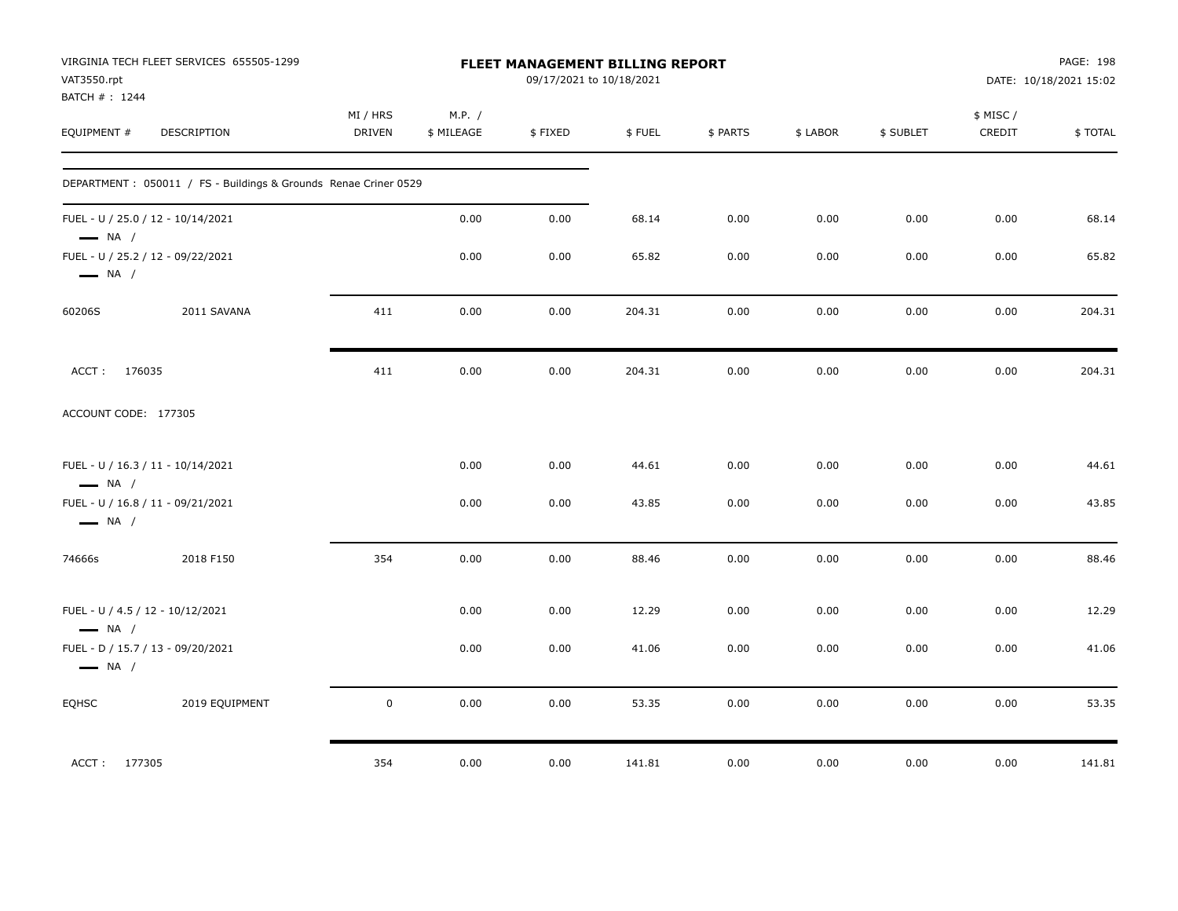| VAT3550.rpt<br>BATCH # : 1244 | VIRGINIA TECH FLEET SERVICES 655505-1299                         | FLEET MANAGEMENT BILLING REPORT<br>09/17/2021 to 10/18/2021 |                      |         | PAGE: 198<br>DATE: 10/18/2021 15:02 |          |          |           |                     |         |
|-------------------------------|------------------------------------------------------------------|-------------------------------------------------------------|----------------------|---------|-------------------------------------|----------|----------|-----------|---------------------|---------|
| EQUIPMENT #                   | DESCRIPTION                                                      | MI / HRS<br>DRIVEN                                          | M.P. /<br>\$ MILEAGE | \$FIXED | \$FUEL                              | \$ PARTS | \$ LABOR | \$ SUBLET | \$ MISC /<br>CREDIT | \$TOTAL |
|                               | DEPARTMENT : 050011 / FS - Buildings & Grounds Renae Criner 0529 |                                                             |                      |         |                                     |          |          |           |                     |         |
| $\longrightarrow$ NA /        | FUEL - U / 25.0 / 12 - 10/14/2021                                |                                                             | 0.00                 | 0.00    | 68.14                               | 0.00     | 0.00     | 0.00      | 0.00                | 68.14   |
| $\longrightarrow$ NA /        | FUEL - U / 25.2 / 12 - 09/22/2021                                |                                                             | 0.00                 | 0.00    | 65.82                               | 0.00     | 0.00     | 0.00      | 0.00                | 65.82   |
| 60206S                        | 2011 SAVANA                                                      | 411                                                         | 0.00                 | 0.00    | 204.31                              | 0.00     | 0.00     | 0.00      | 0.00                | 204.31  |
| ACCT: 176035                  |                                                                  | 411                                                         | 0.00                 | 0.00    | 204.31                              | 0.00     | 0.00     | 0.00      | 0.00                | 204.31  |
| ACCOUNT CODE: 177305          |                                                                  |                                                             |                      |         |                                     |          |          |           |                     |         |
| $\longrightarrow$ NA /        | FUEL - U / 16.3 / 11 - 10/14/2021                                |                                                             | 0.00                 | 0.00    | 44.61                               | 0.00     | 0.00     | 0.00      | 0.00                | 44.61   |
| $\longrightarrow$ NA /        | FUEL - U / 16.8 / 11 - 09/21/2021                                |                                                             | 0.00                 | 0.00    | 43.85                               | 0.00     | 0.00     | 0.00      | 0.00                | 43.85   |
| 74666s                        | 2018 F150                                                        | 354                                                         | 0.00                 | 0.00    | 88.46                               | 0.00     | 0.00     | 0.00      | 0.00                | 88.46   |
| $\longrightarrow$ NA /        | FUEL - U / 4.5 / 12 - 10/12/2021                                 |                                                             | 0.00                 | 0.00    | 12.29                               | 0.00     | 0.00     | 0.00      | 0.00                | 12.29   |
| $\longrightarrow$ NA /        | FUEL - D / 15.7 / 13 - 09/20/2021                                |                                                             | 0.00                 | 0.00    | 41.06                               | 0.00     | 0.00     | 0.00      | 0.00                | 41.06   |
| <b>EQHSC</b>                  | 2019 EQUIPMENT                                                   | $\mathsf 0$                                                 | 0.00                 | 0.00    | 53.35                               | 0.00     | 0.00     | 0.00      | 0.00                | 53.35   |
| ACCT: 177305                  |                                                                  | 354                                                         | 0.00                 | 0.00    | 141.81                              | 0.00     | 0.00     | 0.00      | 0.00                | 141.81  |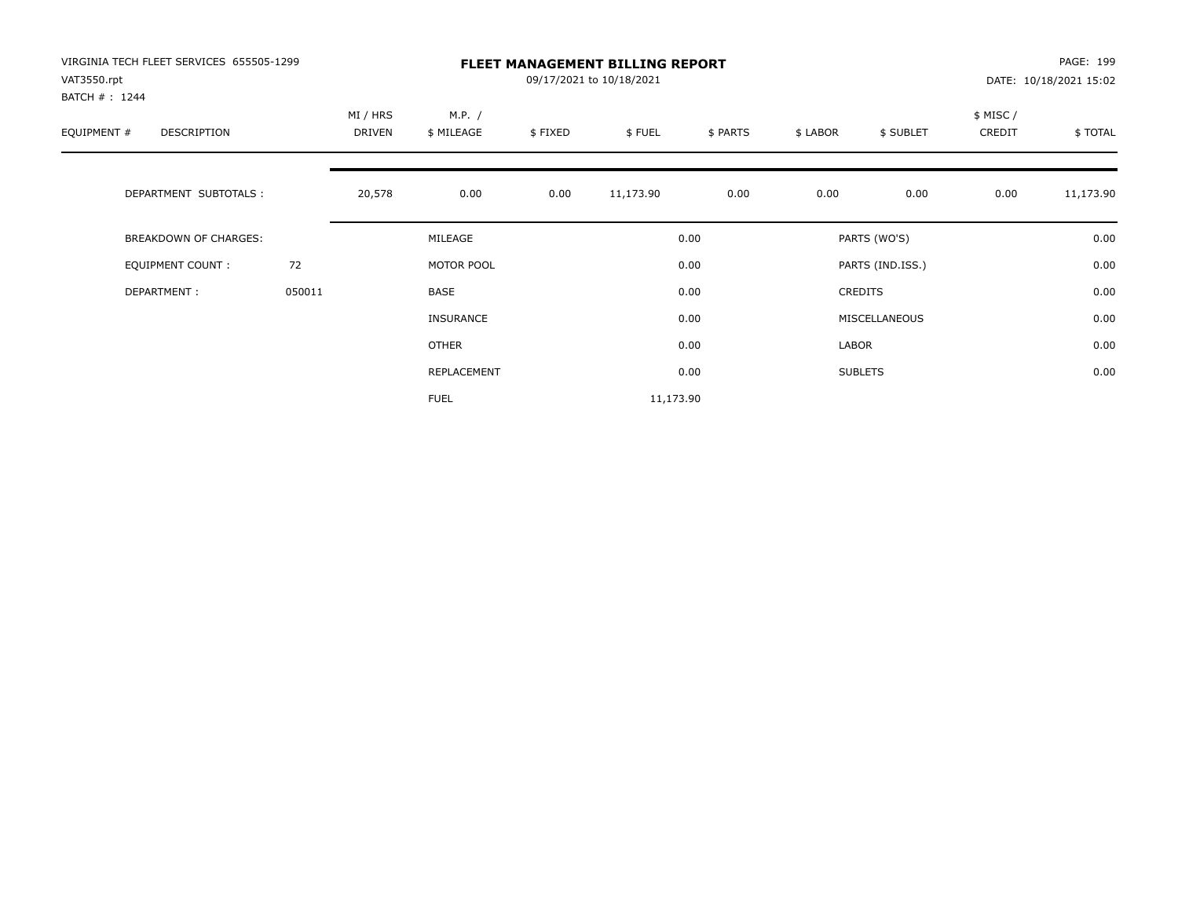| VIRGINIA TECH FLEET SERVICES 655505-1299<br>VAT3550.rpt<br>BATCH #: 1244 |        | <b>FLEET MANAGEMENT BILLING REPORT</b><br>09/17/2021 to 10/18/2021 |                      |         |           |          |          |                  |                    | PAGE: 199<br>DATE: 10/18/2021 15:02 |  |
|--------------------------------------------------------------------------|--------|--------------------------------------------------------------------|----------------------|---------|-----------|----------|----------|------------------|--------------------|-------------------------------------|--|
| EQUIPMENT #<br>DESCRIPTION                                               |        | MI / HRS<br>DRIVEN                                                 | M.P. /<br>\$ MILEAGE | \$FIXED | \$FUEL    | \$ PARTS | \$ LABOR | \$ SUBLET        | \$ MISC/<br>CREDIT | \$ TOTAL                            |  |
| DEPARTMENT SUBTOTALS :                                                   |        | 20,578                                                             | 0.00                 | 0.00    | 11,173.90 | 0.00     | 0.00     | 0.00             | 0.00               | 11,173.90                           |  |
| <b>BREAKDOWN OF CHARGES:</b>                                             |        |                                                                    | MILEAGE              |         |           | 0.00     |          | PARTS (WO'S)     |                    | 0.00                                |  |
| EQUIPMENT COUNT:                                                         | 72     |                                                                    | MOTOR POOL           |         |           | 0.00     |          | PARTS (IND.ISS.) |                    | 0.00                                |  |
| DEPARTMENT:                                                              | 050011 |                                                                    | <b>BASE</b>          |         |           | 0.00     |          | <b>CREDITS</b>   |                    | 0.00                                |  |
|                                                                          |        |                                                                    | <b>INSURANCE</b>     |         |           | 0.00     |          | MISCELLANEOUS    |                    | 0.00                                |  |
|                                                                          |        |                                                                    | OTHER                |         |           | 0.00     | LABOR    |                  |                    | 0.00                                |  |
|                                                                          |        |                                                                    | REPLACEMENT          |         |           | 0.00     |          | <b>SUBLETS</b>   |                    | 0.00                                |  |
|                                                                          |        |                                                                    | <b>FUEL</b>          |         | 11,173.90 |          |          |                  |                    |                                     |  |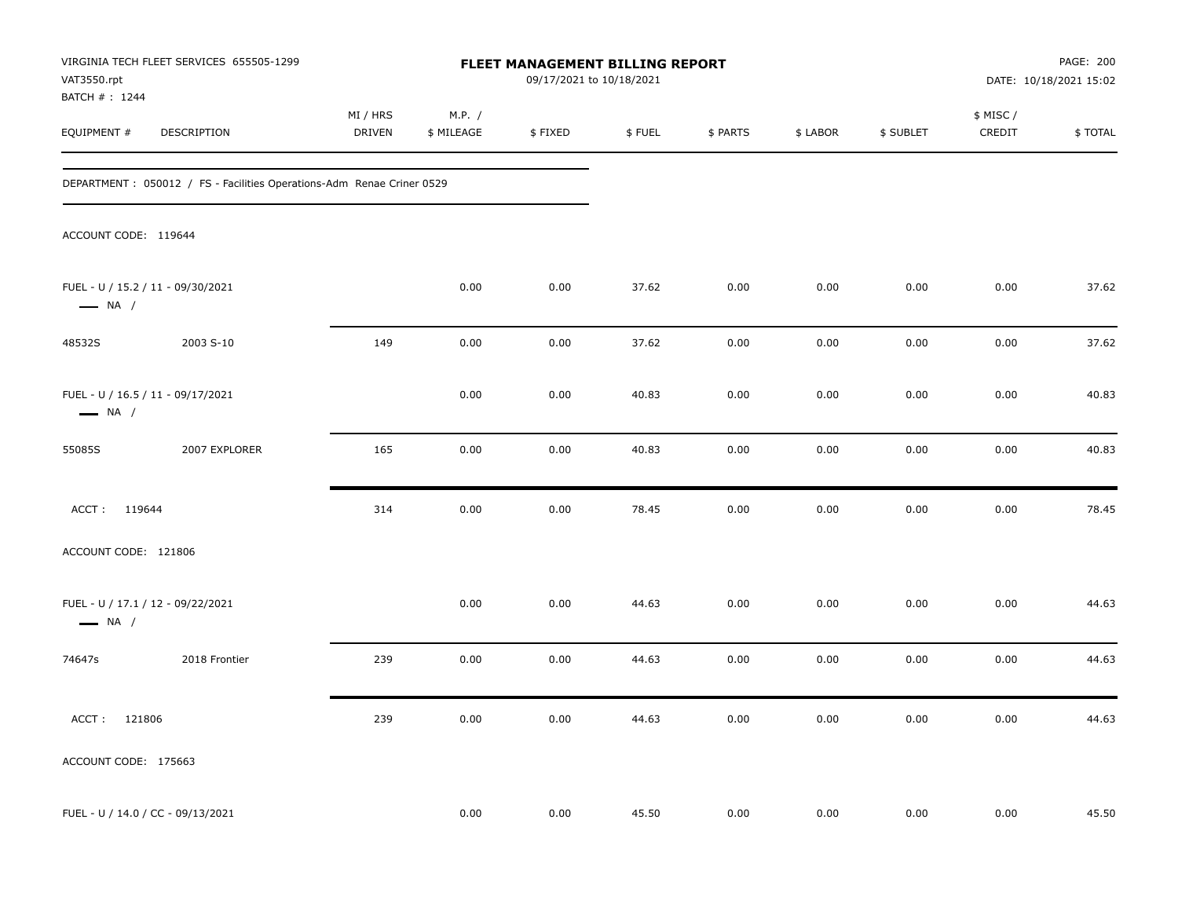| VAT3550.rpt                   | VIRGINIA TECH FLEET SERVICES 655505-1299                               | FLEET MANAGEMENT BILLING REPORT<br>09/17/2021 to 10/18/2021 |                      |         |        |          |          |           |                     | PAGE: 200<br>DATE: 10/18/2021 15:02 |  |
|-------------------------------|------------------------------------------------------------------------|-------------------------------------------------------------|----------------------|---------|--------|----------|----------|-----------|---------------------|-------------------------------------|--|
| BATCH # : 1244<br>EQUIPMENT # | DESCRIPTION                                                            | MI / HRS<br><b>DRIVEN</b>                                   | M.P. /<br>\$ MILEAGE | \$FIXED | \$FUEL | \$ PARTS | \$ LABOR | \$ SUBLET | \$ MISC /<br>CREDIT | \$TOTAL                             |  |
|                               | DEPARTMENT : 050012 / FS - Facilities Operations-Adm Renae Criner 0529 |                                                             |                      |         |        |          |          |           |                     |                                     |  |
| ACCOUNT CODE: 119644          |                                                                        |                                                             |                      |         |        |          |          |           |                     |                                     |  |
| $\longrightarrow$ NA /        | FUEL - U / 15.2 / 11 - 09/30/2021                                      |                                                             | 0.00                 | 0.00    | 37.62  | 0.00     | 0.00     | 0.00      | 0.00                | 37.62                               |  |
| 48532S                        | 2003 S-10                                                              | 149                                                         | 0.00                 | 0.00    | 37.62  | 0.00     | 0.00     | 0.00      | 0.00                | 37.62                               |  |
| $\longrightarrow$ NA /        | FUEL - U / 16.5 / 11 - 09/17/2021                                      |                                                             | 0.00                 | 0.00    | 40.83  | 0.00     | 0.00     | 0.00      | 0.00                | 40.83                               |  |
| 55085S                        | 2007 EXPLORER                                                          | 165                                                         | 0.00                 | 0.00    | 40.83  | 0.00     | 0.00     | 0.00      | 0.00                | 40.83                               |  |
| ACCT: 119644                  |                                                                        | 314                                                         | 0.00                 | 0.00    | 78.45  | 0.00     | 0.00     | 0.00      | 0.00                | 78.45                               |  |
| ACCOUNT CODE: 121806          |                                                                        |                                                             |                      |         |        |          |          |           |                     |                                     |  |
| $\longrightarrow$ NA /        | FUEL - U / 17.1 / 12 - 09/22/2021                                      |                                                             | 0.00                 | 0.00    | 44.63  | 0.00     | 0.00     | 0.00      | 0.00                | 44.63                               |  |
| 74647s                        | 2018 Frontier                                                          | 239                                                         | 0.00                 | 0.00    | 44.63  | 0.00     | 0.00     | 0.00      | 0.00                | 44.63                               |  |
| ACCT: 121806                  |                                                                        | 239                                                         | 0.00                 | 0.00    | 44.63  | 0.00     | 0.00     | 0.00      | 0.00                | 44.63                               |  |
| ACCOUNT CODE: 175663          |                                                                        |                                                             |                      |         |        |          |          |           |                     |                                     |  |
|                               | FUEL - U / 14.0 / CC - 09/13/2021                                      |                                                             | 0.00                 | 0.00    | 45.50  | 0.00     | 0.00     | 0.00      | 0.00                | 45.50                               |  |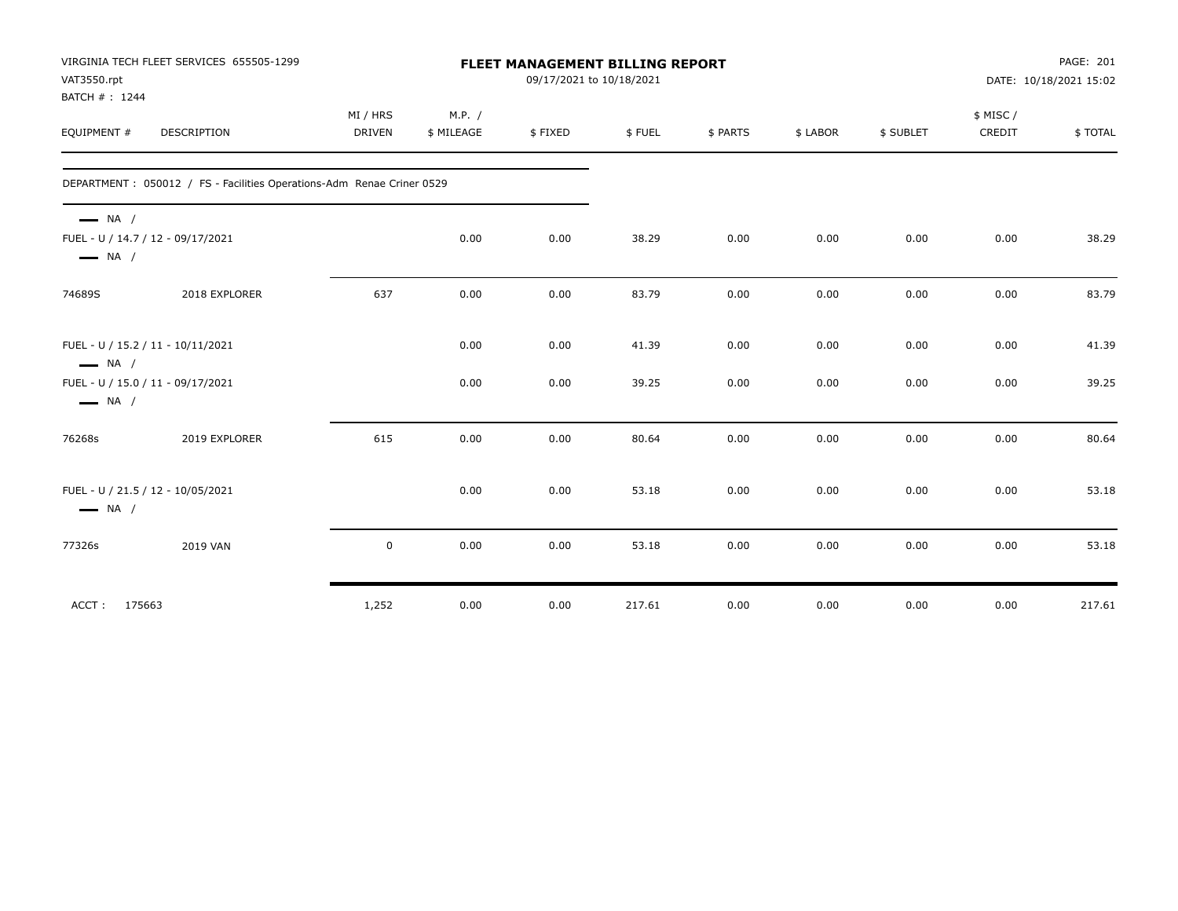| VAT3550.rpt<br>BATCH #: 1244                     | VIRGINIA TECH FLEET SERVICES 655505-1299                               | <b>FLEET MANAGEMENT BILLING REPORT</b><br>09/17/2021 to 10/18/2021 |                      |         |        |          |          |           | PAGE: 201<br>DATE: 10/18/2021 15:02 |         |
|--------------------------------------------------|------------------------------------------------------------------------|--------------------------------------------------------------------|----------------------|---------|--------|----------|----------|-----------|-------------------------------------|---------|
| EQUIPMENT #                                      | <b>DESCRIPTION</b>                                                     | MI / HRS<br><b>DRIVEN</b>                                          | M.P. /<br>\$ MILEAGE | \$FIXED | \$FUEL | \$ PARTS | \$ LABOR | \$ SUBLET | \$ MISC/<br>CREDIT                  | \$TOTAL |
|                                                  | DEPARTMENT : 050012 / FS - Facilities Operations-Adm Renae Criner 0529 |                                                                    |                      |         |        |          |          |           |                                     |         |
| $\longrightarrow$ NA /<br>$\longrightarrow$ NA / | FUEL - U / 14.7 / 12 - 09/17/2021                                      |                                                                    | 0.00                 | 0.00    | 38.29  | 0.00     | 0.00     | 0.00      | 0.00                                | 38.29   |
| 74689S                                           | 2018 EXPLORER                                                          | 637                                                                | 0.00                 | 0.00    | 83.79  | 0.00     | 0.00     | 0.00      | 0.00                                | 83.79   |
| $\longrightarrow$ NA /                           | FUEL - U / 15.2 / 11 - 10/11/2021                                      |                                                                    | 0.00                 | 0.00    | 41.39  | 0.00     | 0.00     | 0.00      | 0.00                                | 41.39   |
| $\longrightarrow$ NA /                           | FUEL - U / 15.0 / 11 - 09/17/2021                                      |                                                                    | 0.00                 | 0.00    | 39.25  | 0.00     | 0.00     | 0.00      | 0.00                                | 39.25   |
| 76268s                                           | 2019 EXPLORER                                                          | 615                                                                | 0.00                 | 0.00    | 80.64  | 0.00     | 0.00     | 0.00      | 0.00                                | 80.64   |
| $\longrightarrow$ NA /                           | FUEL - U / 21.5 / 12 - 10/05/2021                                      |                                                                    | 0.00                 | 0.00    | 53.18  | 0.00     | 0.00     | 0.00      | 0.00                                | 53.18   |
| 77326s                                           | 2019 VAN                                                               | $\mathbf 0$                                                        | 0.00                 | 0.00    | 53.18  | 0.00     | 0.00     | 0.00      | 0.00                                | 53.18   |
| ACCT: 175663                                     |                                                                        | 1,252                                                              | 0.00                 | 0.00    | 217.61 | 0.00     | 0.00     | 0.00      | 0.00                                | 217.61  |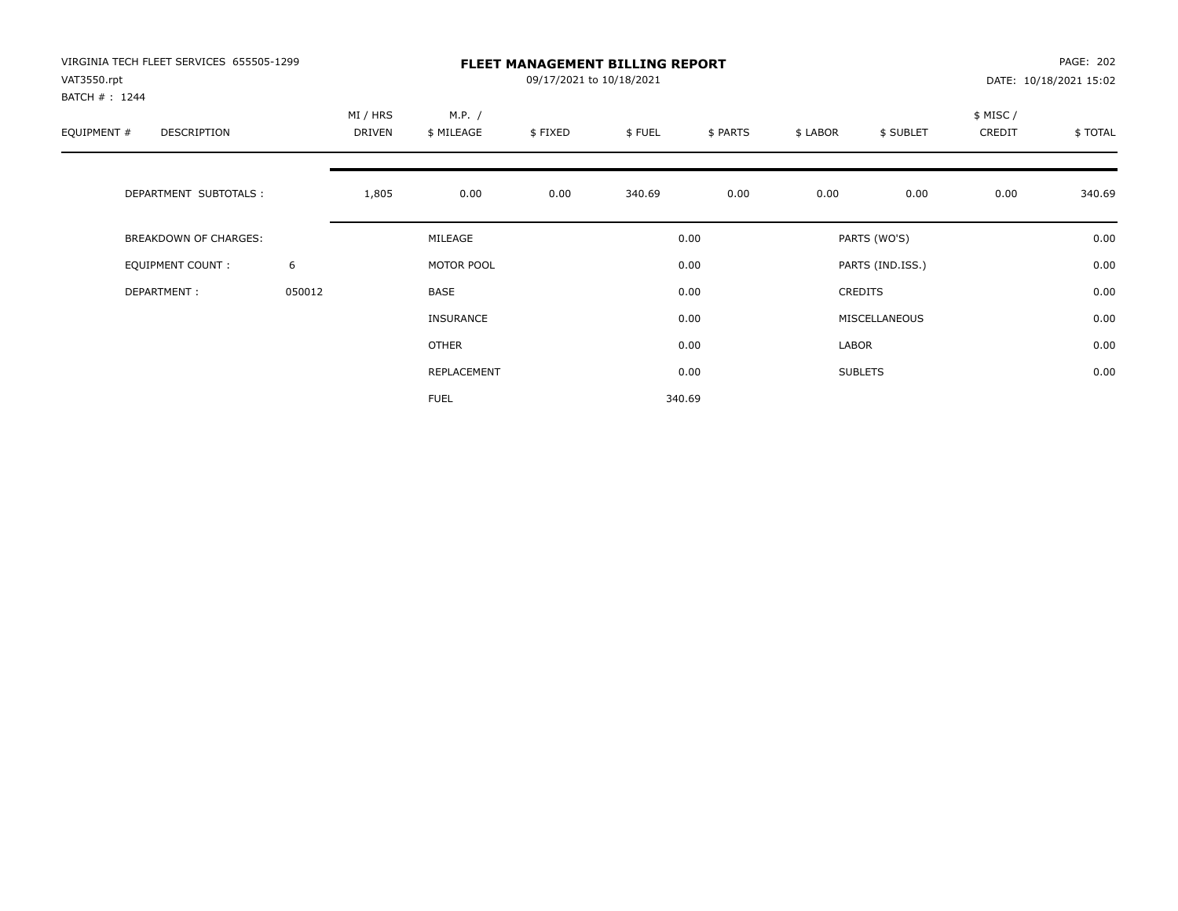| VIRGINIA TECH FLEET SERVICES 655505-1299<br>VAT3550.rpt<br>BATCH #: 1244 |        | <b>FLEET MANAGEMENT BILLING REPORT</b><br>09/17/2021 to 10/18/2021 |                      |         |        |          |          |                  |                    | PAGE: 202<br>DATE: 10/18/2021 15:02 |  |
|--------------------------------------------------------------------------|--------|--------------------------------------------------------------------|----------------------|---------|--------|----------|----------|------------------|--------------------|-------------------------------------|--|
| EQUIPMENT #<br>DESCRIPTION                                               |        | MI / HRS<br>DRIVEN                                                 | M.P. /<br>\$ MILEAGE | \$FIXED | \$FUEL | \$ PARTS | \$ LABOR | \$ SUBLET        | \$ MISC/<br>CREDIT | \$TOTAL                             |  |
| DEPARTMENT SUBTOTALS :                                                   |        | 1,805                                                              | 0.00                 | 0.00    | 340.69 | 0.00     | 0.00     | 0.00             | 0.00               | 340.69                              |  |
| <b>BREAKDOWN OF CHARGES:</b>                                             |        |                                                                    | MILEAGE              |         |        | 0.00     |          | PARTS (WO'S)     |                    | 0.00                                |  |
| EQUIPMENT COUNT:                                                         | 6      |                                                                    | MOTOR POOL           |         |        | 0.00     |          | PARTS (IND.ISS.) |                    | 0.00                                |  |
| DEPARTMENT:                                                              | 050012 |                                                                    | <b>BASE</b>          |         |        | 0.00     |          | <b>CREDITS</b>   |                    | 0.00                                |  |
|                                                                          |        |                                                                    | <b>INSURANCE</b>     |         |        | 0.00     |          | MISCELLANEOUS    |                    | 0.00                                |  |
|                                                                          |        |                                                                    | <b>OTHER</b>         |         |        | 0.00     | LABOR    |                  |                    | 0.00                                |  |
|                                                                          |        |                                                                    | REPLACEMENT          |         |        | 0.00     |          | <b>SUBLETS</b>   |                    | 0.00                                |  |
|                                                                          |        |                                                                    | <b>FUEL</b>          |         |        | 340.69   |          |                  |                    |                                     |  |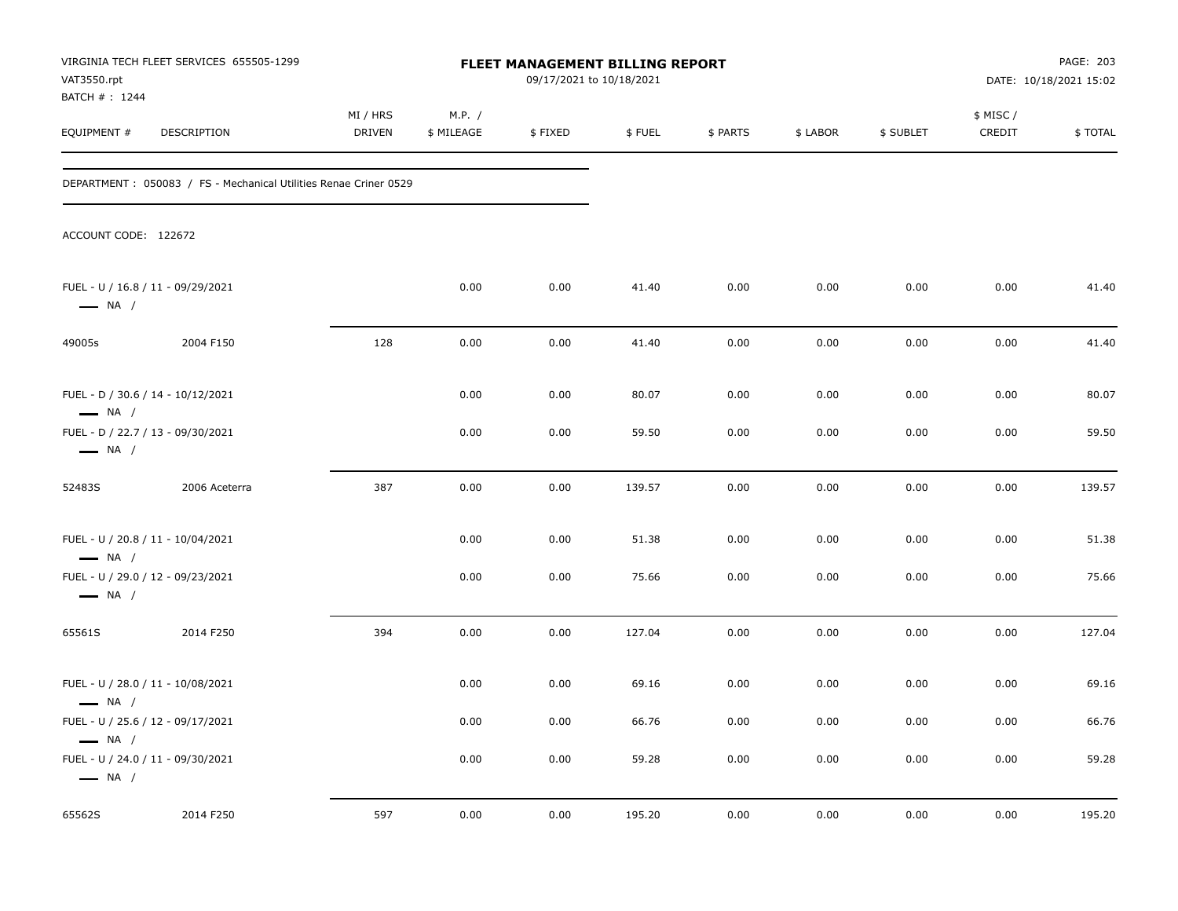| VAT3550.rpt                                                                           | VIRGINIA TECH FLEET SERVICES 655505-1299                          | FLEET MANAGEMENT BILLING REPORT<br>09/17/2021 to 10/18/2021 |                      |          |        |          |          |           |                    | PAGE: 203<br>DATE: 10/18/2021 15:02 |
|---------------------------------------------------------------------------------------|-------------------------------------------------------------------|-------------------------------------------------------------|----------------------|----------|--------|----------|----------|-----------|--------------------|-------------------------------------|
| BATCH #: 1244<br>EQUIPMENT #                                                          | DESCRIPTION                                                       | MI / HRS<br>DRIVEN                                          | M.P. /<br>\$ MILEAGE | \$FIXED  | \$FUEL | \$ PARTS | \$ LABOR | \$ SUBLET | \$ MISC/<br>CREDIT | \$TOTAL                             |
|                                                                                       | DEPARTMENT : 050083 / FS - Mechanical Utilities Renae Criner 0529 |                                                             |                      |          |        |          |          |           |                    |                                     |
| ACCOUNT CODE: 122672                                                                  |                                                                   |                                                             |                      |          |        |          |          |           |                    |                                     |
| FUEL - U / 16.8 / 11 - 09/29/2021<br>$\longrightarrow$ NA /                           |                                                                   |                                                             | 0.00                 | 0.00     | 41.40  | 0.00     | 0.00     | 0.00      | 0.00               | 41.40                               |
| 49005s                                                                                | 2004 F150                                                         | 128                                                         | 0.00                 | 0.00     | 41.40  | 0.00     | 0.00     | 0.00      | 0.00               | 41.40                               |
| FUEL - D / 30.6 / 14 - 10/12/2021<br>$\longrightarrow$ NA /                           |                                                                   |                                                             | 0.00                 | 0.00     | 80.07  | 0.00     | 0.00     | 0.00      | 0.00               | 80.07                               |
| FUEL - D / 22.7 / 13 - 09/30/2021<br>$\longrightarrow$ NA /                           |                                                                   |                                                             | 0.00                 | 0.00     | 59.50  | 0.00     | 0.00     | 0.00      | 0.00               | 59.50                               |
| 52483S                                                                                | 2006 Aceterra                                                     | 387                                                         | 0.00                 | 0.00     | 139.57 | 0.00     | 0.00     | 0.00      | 0.00               | 139.57                              |
| FUEL - U / 20.8 / 11 - 10/04/2021<br>$\longrightarrow$ NA /                           |                                                                   |                                                             | 0.00                 | 0.00     | 51.38  | 0.00     | 0.00     | 0.00      | 0.00               | 51.38                               |
| FUEL - U / 29.0 / 12 - 09/23/2021<br>$\longrightarrow$ NA /                           |                                                                   |                                                             | 0.00                 | 0.00     | 75.66  | 0.00     | 0.00     | 0.00      | 0.00               | 75.66                               |
| 65561S                                                                                | 2014 F250                                                         | 394                                                         | 0.00                 | 0.00     | 127.04 | 0.00     | 0.00     | 0.00      | 0.00               | 127.04                              |
| FUEL - U / 28.0 / 11 - 10/08/2021<br>$\longrightarrow$ NA /                           |                                                                   |                                                             | 0.00                 | 0.00     | 69.16  | 0.00     | 0.00     | 0.00      | 0.00               | 69.16                               |
| FUEL - U / 25.6 / 12 - 09/17/2021                                                     |                                                                   |                                                             | 0.00                 | $0.00\,$ | 66.76  | 0.00     | 0.00     | 0.00      | $0.00\,$           | 66.76                               |
| $\longrightarrow$ NA /<br>FUEL - U / 24.0 / 11 - 09/30/2021<br>$\longrightarrow$ NA / |                                                                   |                                                             | 0.00                 | 0.00     | 59.28  | 0.00     | 0.00     | 0.00      | 0.00               | 59.28                               |
| 65562S                                                                                | 2014 F250                                                         | 597                                                         | 0.00                 | 0.00     | 195.20 | 0.00     | 0.00     | 0.00      | 0.00               | 195.20                              |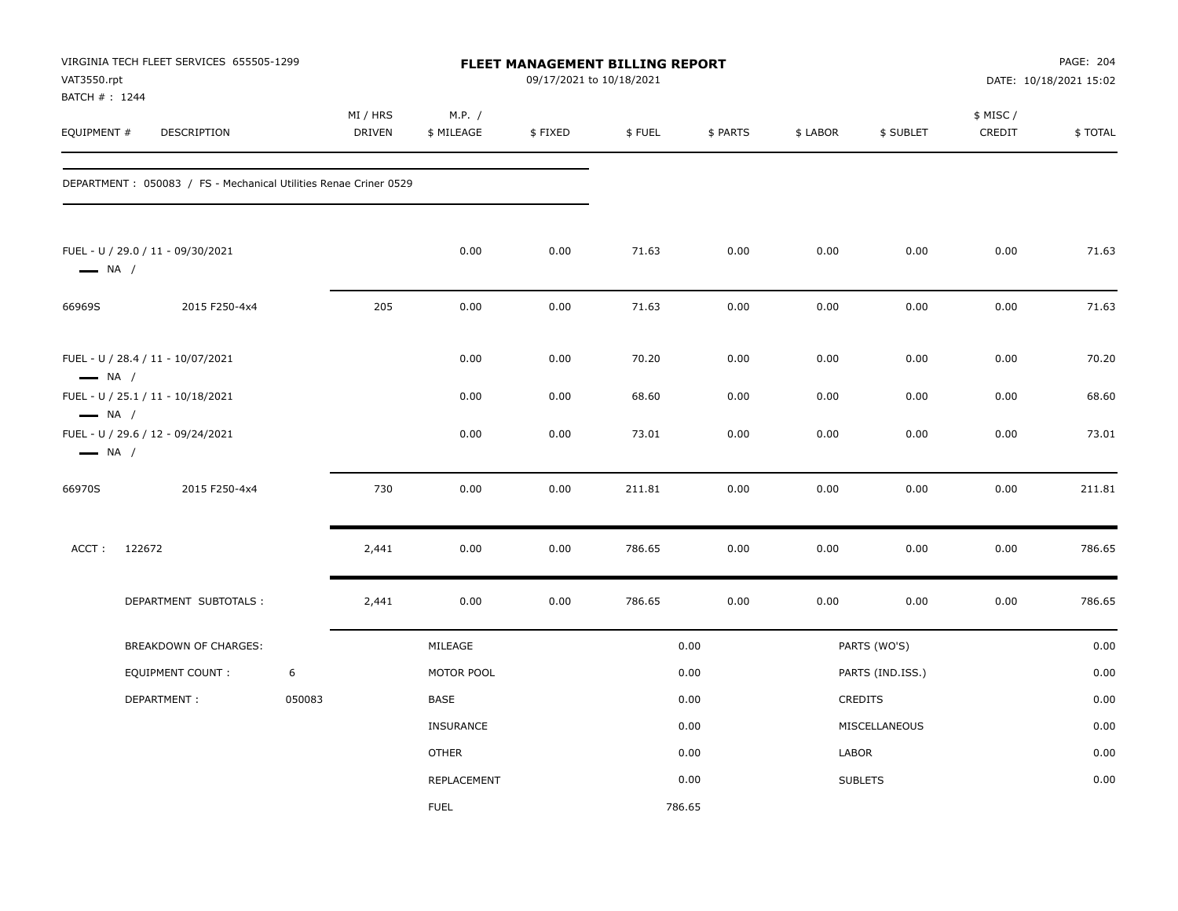| VAT3550.rpt<br>BATCH #: 1244                     | VIRGINIA TECH FLEET SERVICES 655505-1299                          |        | FLEET MANAGEMENT BILLING REPORT<br>09/17/2021 to 10/18/2021 |                      |         |        |          |          |                  | PAGE: 204<br>DATE: 10/18/2021 15:02 |         |
|--------------------------------------------------|-------------------------------------------------------------------|--------|-------------------------------------------------------------|----------------------|---------|--------|----------|----------|------------------|-------------------------------------|---------|
| EQUIPMENT #                                      | DESCRIPTION                                                       |        | MI / HRS<br>DRIVEN                                          | M.P. /<br>\$ MILEAGE | \$FIXED | \$FUEL | \$ PARTS | \$ LABOR | \$ SUBLET        | \$ MISC /<br>CREDIT                 | \$TOTAL |
|                                                  | DEPARTMENT : 050083 / FS - Mechanical Utilities Renae Criner 0529 |        |                                                             |                      |         |        |          |          |                  |                                     |         |
| $\longrightarrow$ NA /                           | FUEL - U / 29.0 / 11 - 09/30/2021                                 |        |                                                             | 0.00                 | 0.00    | 71.63  | 0.00     | 0.00     | 0.00             | 0.00                                | 71.63   |
| 66969S                                           | 2015 F250-4x4                                                     |        | 205                                                         | 0.00                 | 0.00    | 71.63  | 0.00     | 0.00     | 0.00             | 0.00                                | 71.63   |
| $\longrightarrow$ NA /                           | FUEL - U / 28.4 / 11 - 10/07/2021                                 |        |                                                             | 0.00                 | 0.00    | 70.20  | 0.00     | 0.00     | 0.00             | 0.00                                | 70.20   |
|                                                  | FUEL - U / 25.1 / 11 - 10/18/2021                                 |        |                                                             | 0.00                 | 0.00    | 68.60  | 0.00     | 0.00     | 0.00             | 0.00                                | 68.60   |
| $\longrightarrow$ NA /<br>$\longrightarrow$ NA / | FUEL - U / 29.6 / 12 - 09/24/2021                                 |        |                                                             | 0.00                 | 0.00    | 73.01  | 0.00     | 0.00     | 0.00             | 0.00                                | 73.01   |
| 66970S                                           | 2015 F250-4x4                                                     |        | 730                                                         | 0.00                 | 0.00    | 211.81 | 0.00     | 0.00     | 0.00             | 0.00                                | 211.81  |
| ACCT:                                            | 122672                                                            |        | 2,441                                                       | 0.00                 | 0.00    | 786.65 | 0.00     | 0.00     | 0.00             | 0.00                                | 786.65  |
|                                                  | DEPARTMENT SUBTOTALS :                                            |        | 2,441                                                       | 0.00                 | 0.00    | 786.65 | 0.00     | 0.00     | 0.00             | 0.00                                | 786.65  |
|                                                  | BREAKDOWN OF CHARGES:                                             |        |                                                             | MILEAGE              |         |        | 0.00     |          | PARTS (WO'S)     |                                     | 0.00    |
|                                                  | <b>EQUIPMENT COUNT:</b>                                           | 6      |                                                             | MOTOR POOL           |         |        | 0.00     |          | PARTS (IND.ISS.) |                                     | 0.00    |
|                                                  | DEPARTMENT:                                                       | 050083 |                                                             | BASE                 |         |        | 0.00     |          | CREDITS          |                                     | 0.00    |
|                                                  |                                                                   |        |                                                             | <b>INSURANCE</b>     |         |        | 0.00     |          | MISCELLANEOUS    |                                     | 0.00    |
|                                                  |                                                                   |        |                                                             | <b>OTHER</b>         |         |        | 0.00     | LABOR    |                  |                                     | 0.00    |
|                                                  |                                                                   |        |                                                             | REPLACEMENT          |         |        | 0.00     |          | <b>SUBLETS</b>   |                                     | 0.00    |
|                                                  |                                                                   |        |                                                             | <b>FUEL</b>          |         |        | 786.65   |          |                  |                                     |         |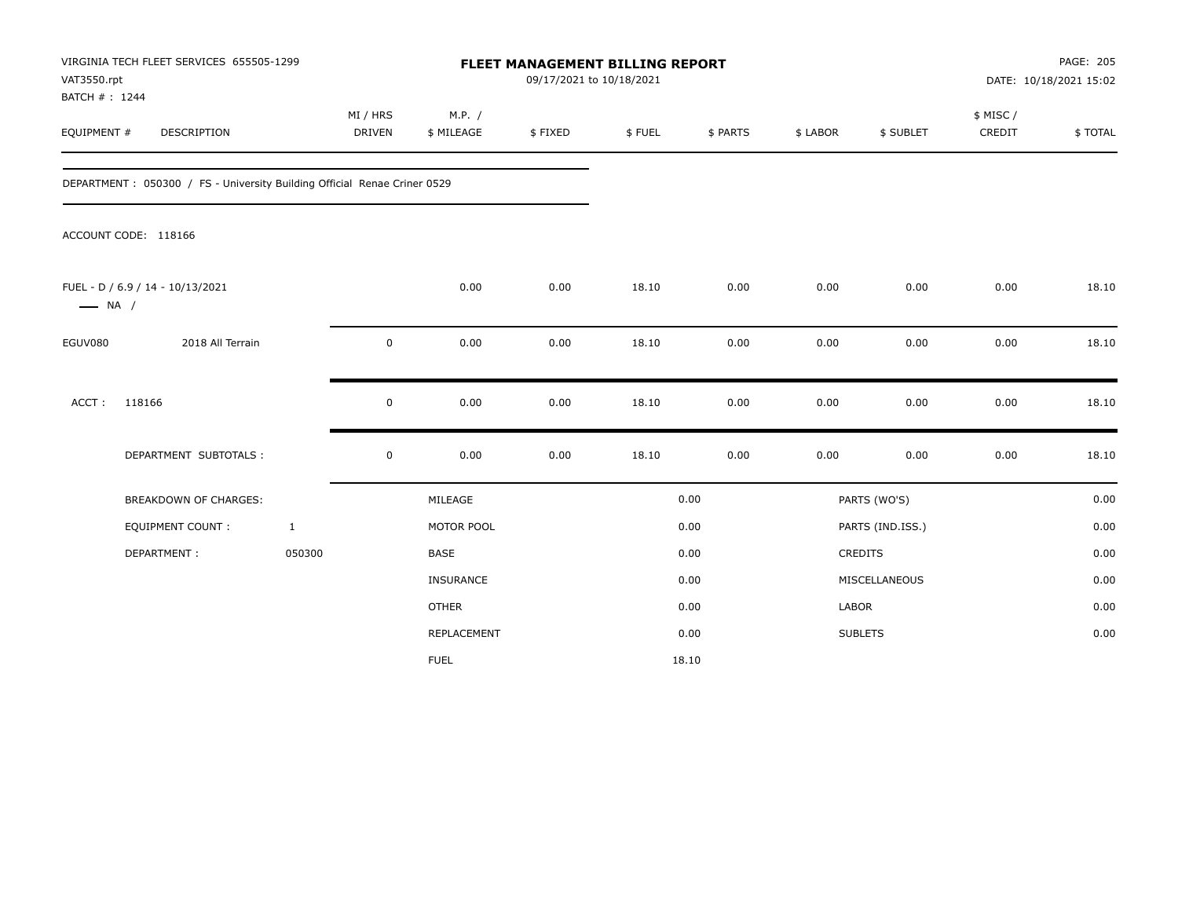| VAT3550.rpt<br>BATCH #: 1244 | VIRGINIA TECH FLEET SERVICES 655505-1299                                 |                           |                      | FLEET MANAGEMENT BILLING REPORT<br>09/17/2021 to 10/18/2021 |        |          |          |                  |                     | PAGE: 205<br>DATE: 10/18/2021 15:02 |
|------------------------------|--------------------------------------------------------------------------|---------------------------|----------------------|-------------------------------------------------------------|--------|----------|----------|------------------|---------------------|-------------------------------------|
| EQUIPMENT #                  | DESCRIPTION                                                              | MI / HRS<br><b>DRIVEN</b> | M.P. /<br>\$ MILEAGE | \$FIXED                                                     | \$FUEL | \$ PARTS | \$ LABOR | \$ SUBLET        | \$ MISC /<br>CREDIT | \$TOTAL                             |
|                              | DEPARTMENT: 050300 / FS - University Building Official Renae Criner 0529 |                           |                      |                                                             |        |          |          |                  |                     |                                     |
|                              | ACCOUNT CODE: 118166                                                     |                           |                      |                                                             |        |          |          |                  |                     |                                     |
| $\longrightarrow$ NA /       | FUEL - D / 6.9 / 14 - 10/13/2021                                         |                           | 0.00                 | 0.00                                                        | 18.10  | 0.00     | 0.00     | 0.00             | 0.00                | 18.10                               |
| EGUV080                      | 2018 All Terrain                                                         | $\mathbf 0$               | 0.00                 | 0.00                                                        | 18.10  | 0.00     | 0.00     | 0.00             | 0.00                | 18.10                               |
| ACCT:                        | 118166                                                                   | $\mathbf 0$               | 0.00                 | 0.00                                                        | 18.10  | 0.00     | 0.00     | 0.00             | 0.00                | 18.10                               |
|                              | DEPARTMENT SUBTOTALS :                                                   | $\mathbf 0$               | 0.00                 | 0.00                                                        | 18.10  | 0.00     | 0.00     | 0.00             | 0.00                | 18.10                               |
|                              | <b>BREAKDOWN OF CHARGES:</b>                                             |                           | MILEAGE              |                                                             |        | 0.00     |          | PARTS (WO'S)     |                     | 0.00                                |
|                              | <b>EQUIPMENT COUNT:</b>                                                  | $\mathbf{1}$              | MOTOR POOL           |                                                             |        | 0.00     |          | PARTS (IND.ISS.) |                     | 0.00                                |
|                              | DEPARTMENT:                                                              | 050300                    | <b>BASE</b>          |                                                             |        | 0.00     |          | CREDITS          |                     | 0.00                                |
|                              |                                                                          |                           | INSURANCE            |                                                             |        | 0.00     |          | MISCELLANEOUS    |                     | 0.00                                |
|                              |                                                                          |                           | <b>OTHER</b>         |                                                             |        | 0.00     | LABOR    |                  |                     | 0.00                                |
|                              |                                                                          |                           | REPLACEMENT          |                                                             |        | 0.00     |          | <b>SUBLETS</b>   |                     | 0.00                                |
|                              |                                                                          |                           | <b>FUEL</b>          |                                                             |        | 18.10    |          |                  |                     |                                     |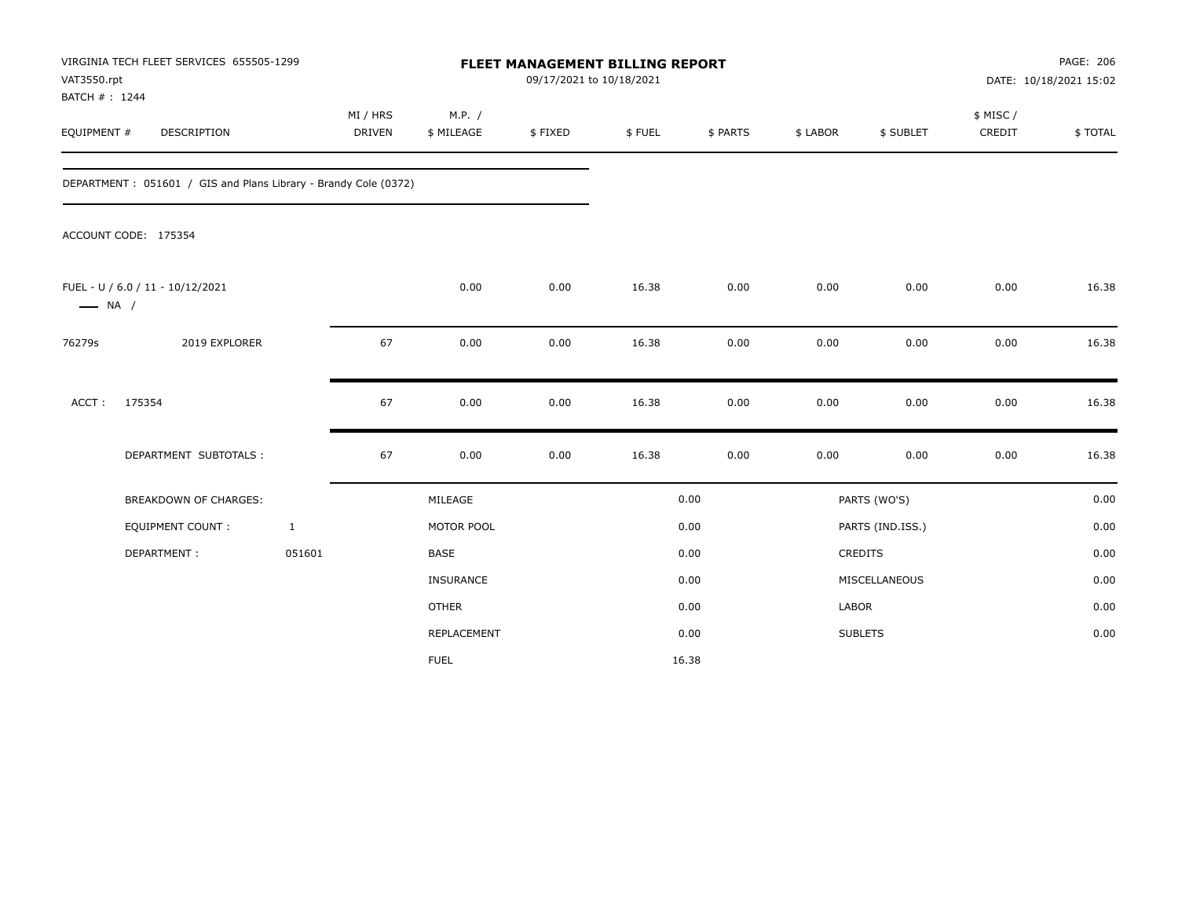| VAT3550.rpt<br>BATCH #: 1244 | VIRGINIA TECH FLEET SERVICES 655505-1299                        |              |                           |                      |         | FLEET MANAGEMENT BILLING REPORT<br>09/17/2021 to 10/18/2021 |          |          |                  | PAGE: 206<br>DATE: 10/18/2021 15:02 |         |  |
|------------------------------|-----------------------------------------------------------------|--------------|---------------------------|----------------------|---------|-------------------------------------------------------------|----------|----------|------------------|-------------------------------------|---------|--|
| EQUIPMENT #                  | <b>DESCRIPTION</b>                                              |              | MI / HRS<br><b>DRIVEN</b> | M.P. /<br>\$ MILEAGE | \$FIXED | \$FUEL                                                      | \$ PARTS | \$ LABOR | \$ SUBLET        | \$ MISC /<br>CREDIT                 | \$TOTAL |  |
|                              | DEPARTMENT: 051601 / GIS and Plans Library - Brandy Cole (0372) |              |                           |                      |         |                                                             |          |          |                  |                                     |         |  |
|                              | ACCOUNT CODE: 175354                                            |              |                           |                      |         |                                                             |          |          |                  |                                     |         |  |
| $\longrightarrow$ NA /       | FUEL - U / 6.0 / 11 - 10/12/2021                                |              |                           | 0.00                 | 0.00    | 16.38                                                       | 0.00     | 0.00     | 0.00             | 0.00                                | 16.38   |  |
| 76279s                       | 2019 EXPLORER                                                   |              | 67                        | 0.00                 | 0.00    | 16.38                                                       | 0.00     | 0.00     | 0.00             | 0.00                                | 16.38   |  |
| ACCT:                        | 175354                                                          |              | 67                        | 0.00                 | 0.00    | 16.38                                                       | 0.00     | 0.00     | 0.00             | 0.00                                | 16.38   |  |
|                              | DEPARTMENT SUBTOTALS :                                          |              | 67                        | 0.00                 | 0.00    | 16.38                                                       | 0.00     | 0.00     | 0.00             | 0.00                                | 16.38   |  |
|                              | <b>BREAKDOWN OF CHARGES:</b>                                    |              |                           | MILEAGE              |         |                                                             | 0.00     |          | PARTS (WO'S)     |                                     | 0.00    |  |
|                              | EQUIPMENT COUNT:                                                | $\mathbf{1}$ |                           | MOTOR POOL           |         |                                                             | 0.00     |          | PARTS (IND.ISS.) |                                     | 0.00    |  |
|                              | DEPARTMENT:                                                     | 051601       |                           | <b>BASE</b>          |         |                                                             | 0.00     |          | CREDITS          |                                     | 0.00    |  |
|                              |                                                                 |              |                           | <b>INSURANCE</b>     |         |                                                             | 0.00     |          | MISCELLANEOUS    |                                     | 0.00    |  |
|                              |                                                                 |              |                           | <b>OTHER</b>         |         |                                                             | 0.00     | LABOR    |                  |                                     | 0.00    |  |
|                              |                                                                 |              |                           | <b>REPLACEMENT</b>   |         |                                                             | 0.00     |          | <b>SUBLETS</b>   |                                     | 0.00    |  |
|                              |                                                                 |              |                           | <b>FUEL</b>          |         |                                                             | 16.38    |          |                  |                                     |         |  |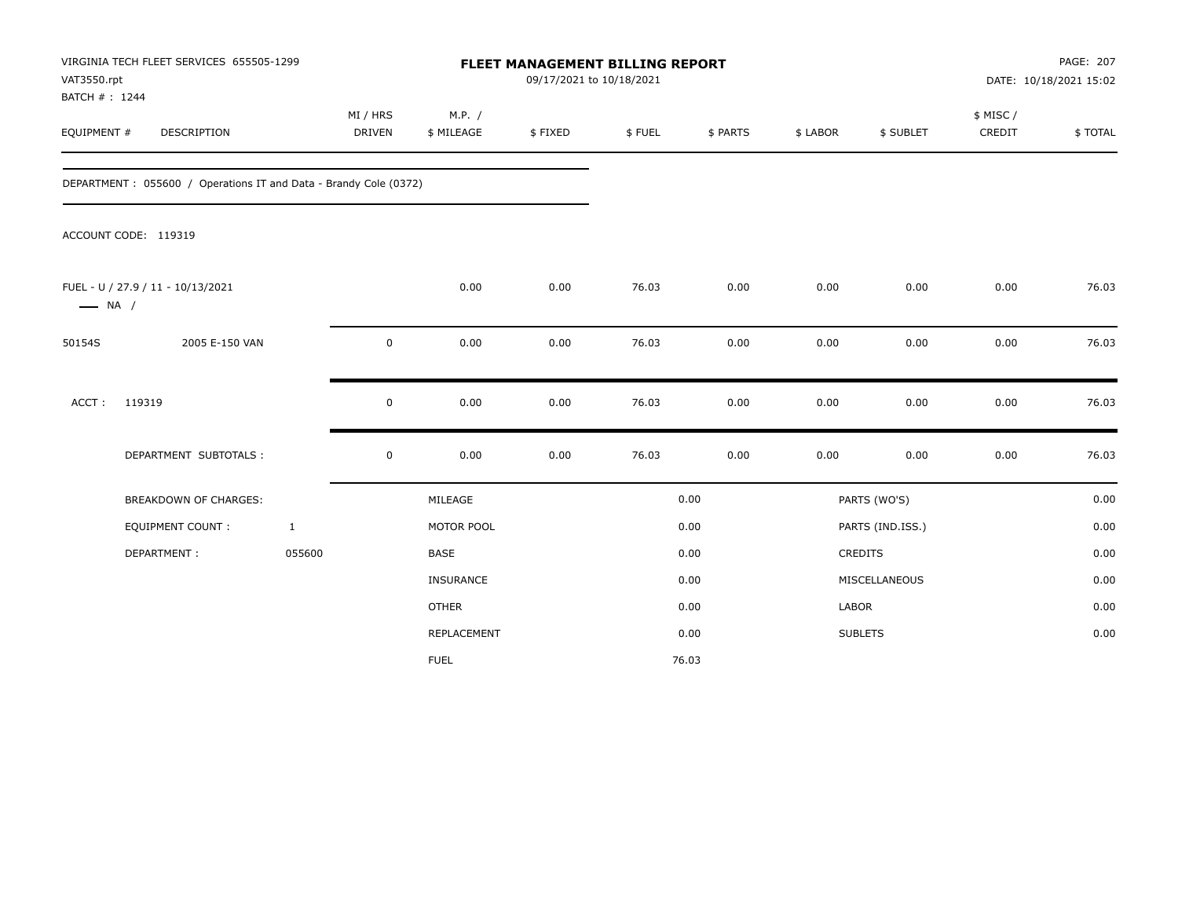| VAT3550.rpt<br>BATCH #: 1244 | VIRGINIA TECH FLEET SERVICES 655505-1299                         |                           |                      |         | <b>FLEET MANAGEMENT BILLING REPORT</b><br>09/17/2021 to 10/18/2021 |          |          |                  | PAGE: 207<br>DATE: 10/18/2021 15:02 |         |  |
|------------------------------|------------------------------------------------------------------|---------------------------|----------------------|---------|--------------------------------------------------------------------|----------|----------|------------------|-------------------------------------|---------|--|
| EQUIPMENT #                  | DESCRIPTION                                                      | MI / HRS<br><b>DRIVEN</b> | M.P. /<br>\$ MILEAGE | \$FIXED | \$FUEL                                                             | \$ PARTS | \$ LABOR | \$ SUBLET        | \$ MISC /<br>CREDIT                 | \$TOTAL |  |
|                              | DEPARTMENT: 055600 / Operations IT and Data - Brandy Cole (0372) |                           |                      |         |                                                                    |          |          |                  |                                     |         |  |
|                              | ACCOUNT CODE: 119319                                             |                           |                      |         |                                                                    |          |          |                  |                                     |         |  |
| $\longrightarrow$ NA /       | FUEL - U / 27.9 / 11 - 10/13/2021                                |                           | 0.00                 | 0.00    | 76.03                                                              | 0.00     | 0.00     | 0.00             | 0.00                                | 76.03   |  |
| 50154S                       | 2005 E-150 VAN                                                   | $\mathbf 0$               | 0.00                 | 0.00    | 76.03                                                              | 0.00     | 0.00     | 0.00             | 0.00                                | 76.03   |  |
| ACCT:                        | 119319                                                           | $\mathbf 0$               | 0.00                 | 0.00    | 76.03                                                              | 0.00     | 0.00     | 0.00             | 0.00                                | 76.03   |  |
|                              | DEPARTMENT SUBTOTALS :                                           | $\mathbf 0$               | 0.00                 | 0.00    | 76.03                                                              | 0.00     | 0.00     | 0.00             | 0.00                                | 76.03   |  |
|                              | <b>BREAKDOWN OF CHARGES:</b>                                     |                           | MILEAGE              |         |                                                                    | 0.00     |          | PARTS (WO'S)     |                                     | 0.00    |  |
|                              | <b>EQUIPMENT COUNT:</b>                                          | $\mathbf{1}$              | MOTOR POOL           |         |                                                                    | 0.00     |          | PARTS (IND.ISS.) |                                     | 0.00    |  |
|                              | DEPARTMENT:                                                      | 055600                    | <b>BASE</b>          |         |                                                                    | 0.00     |          | CREDITS          |                                     | 0.00    |  |
|                              |                                                                  |                           | INSURANCE            |         |                                                                    | 0.00     |          | MISCELLANEOUS    |                                     | 0.00    |  |
|                              |                                                                  |                           | <b>OTHER</b>         |         |                                                                    | 0.00     | LABOR    |                  |                                     | 0.00    |  |
|                              |                                                                  |                           | <b>REPLACEMENT</b>   |         |                                                                    | 0.00     |          | <b>SUBLETS</b>   |                                     | 0.00    |  |
|                              |                                                                  |                           | <b>FUEL</b>          |         |                                                                    | 76.03    |          |                  |                                     |         |  |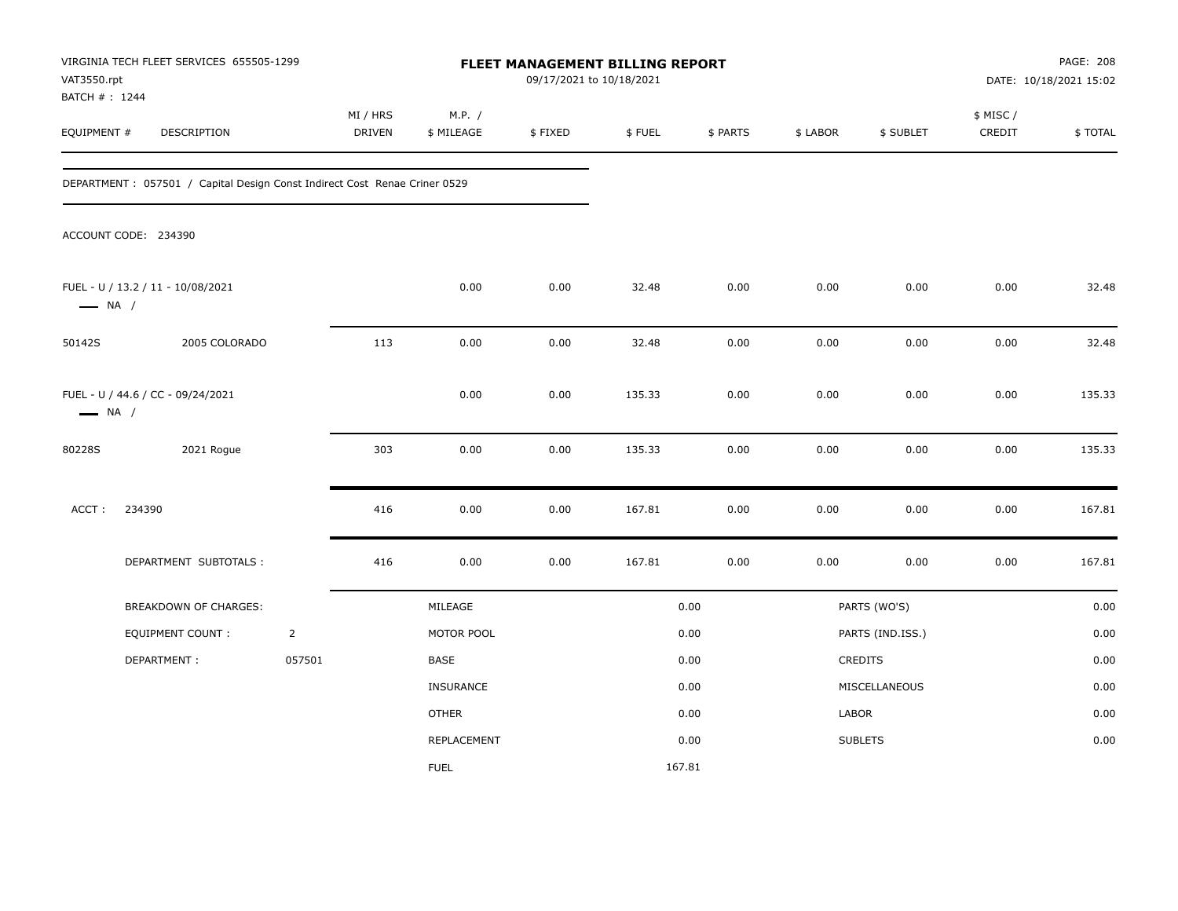| VAT3550.rpt<br>BATCH #: 1244 | VIRGINIA TECH FLEET SERVICES 655505-1299                                   |                |                    |                      | 09/17/2021 to 10/18/2021 | FLEET MANAGEMENT BILLING REPORT |          |          |                  |                     | PAGE: 208<br>DATE: 10/18/2021 15:02 |
|------------------------------|----------------------------------------------------------------------------|----------------|--------------------|----------------------|--------------------------|---------------------------------|----------|----------|------------------|---------------------|-------------------------------------|
| EQUIPMENT #                  | DESCRIPTION                                                                |                | MI / HRS<br>DRIVEN | M.P. /<br>\$ MILEAGE | \$FIXED                  | \$FUEL                          | \$ PARTS | \$ LABOR | \$ SUBLET        | \$ MISC /<br>CREDIT | \$TOTAL                             |
|                              | DEPARTMENT : 057501 / Capital Design Const Indirect Cost Renae Criner 0529 |                |                    |                      |                          |                                 |          |          |                  |                     |                                     |
|                              | ACCOUNT CODE: 234390                                                       |                |                    |                      |                          |                                 |          |          |                  |                     |                                     |
| $\longrightarrow$ NA /       | FUEL - U / 13.2 / 11 - 10/08/2021                                          |                |                    | 0.00                 | 0.00                     | 32.48                           | 0.00     | 0.00     | 0.00             | 0.00                | 32.48                               |
| 50142S                       | 2005 COLORADO                                                              |                | 113                | 0.00                 | 0.00                     | 32.48                           | 0.00     | 0.00     | 0.00             | 0.00                | 32.48                               |
| $\longrightarrow$ NA /       | FUEL - U / 44.6 / CC - 09/24/2021                                          |                |                    | 0.00                 | 0.00                     | 135.33                          | 0.00     | 0.00     | 0.00             | 0.00                | 135.33                              |
| 80228S                       | 2021 Rogue                                                                 |                | 303                | 0.00                 | 0.00                     | 135.33                          | 0.00     | 0.00     | 0.00             | 0.00                | 135.33                              |
| ACCT:                        | 234390                                                                     |                | 416                | 0.00                 | 0.00                     | 167.81                          | 0.00     | 0.00     | 0.00             | 0.00                | 167.81                              |
|                              | DEPARTMENT SUBTOTALS :                                                     |                | 416                | 0.00                 | 0.00                     | 167.81                          | 0.00     | 0.00     | 0.00             | 0.00                | 167.81                              |
|                              | BREAKDOWN OF CHARGES:                                                      |                |                    | MILEAGE              |                          |                                 | 0.00     |          | PARTS (WO'S)     |                     | 0.00                                |
|                              | <b>EQUIPMENT COUNT:</b>                                                    | $\overline{2}$ |                    | MOTOR POOL           |                          |                                 | 0.00     |          | PARTS (IND.ISS.) |                     | 0.00                                |
|                              | DEPARTMENT:                                                                | 057501         |                    | BASE                 |                          |                                 | 0.00     |          | CREDITS          |                     | 0.00                                |
|                              |                                                                            |                |                    | INSURANCE            |                          |                                 | 0.00     |          | MISCELLANEOUS    |                     | 0.00                                |
|                              |                                                                            |                |                    | <b>OTHER</b>         |                          |                                 | 0.00     | LABOR    |                  |                     | 0.00                                |
|                              |                                                                            |                |                    | REPLACEMENT          |                          |                                 | 0.00     |          | <b>SUBLETS</b>   |                     | 0.00                                |
|                              |                                                                            |                |                    | <b>FUEL</b>          |                          |                                 | 167.81   |          |                  |                     |                                     |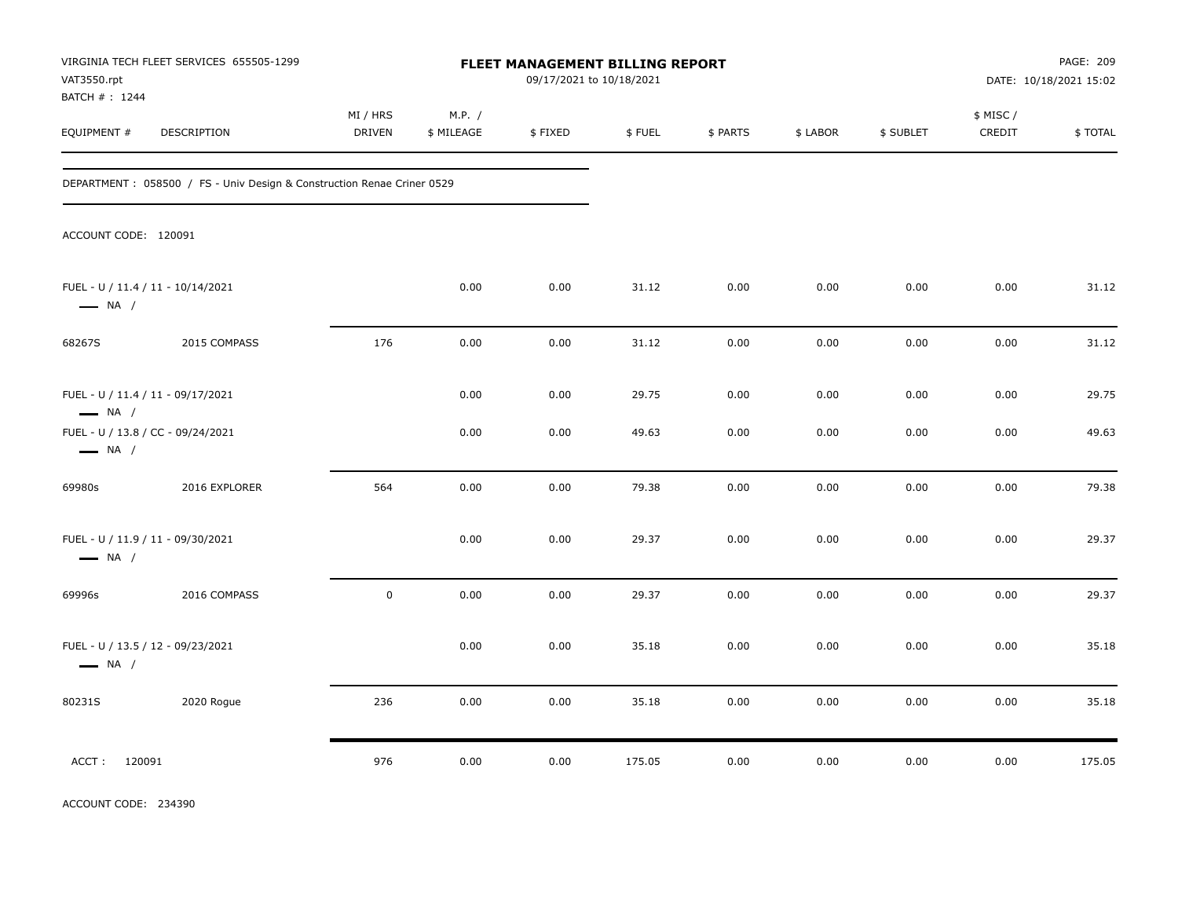| VAT3550.rpt                                                 | VIRGINIA TECH FLEET SERVICES 655505-1299                                |                           |                      | FLEET MANAGEMENT BILLING REPORT<br>09/17/2021 to 10/18/2021 |        |          |          |           |                     | PAGE: 209<br>DATE: 10/18/2021 15:02 |
|-------------------------------------------------------------|-------------------------------------------------------------------------|---------------------------|----------------------|-------------------------------------------------------------|--------|----------|----------|-----------|---------------------|-------------------------------------|
| BATCH # : 1244<br>EQUIPMENT #                               | DESCRIPTION                                                             | MI / HRS<br><b>DRIVEN</b> | M.P. /<br>\$ MILEAGE | \$FIXED                                                     | \$FUEL | \$ PARTS | \$ LABOR | \$ SUBLET | \$ MISC /<br>CREDIT | \$TOTAL                             |
|                                                             | DEPARTMENT : 058500 / FS - Univ Design & Construction Renae Criner 0529 |                           |                      |                                                             |        |          |          |           |                     |                                     |
| ACCOUNT CODE: 120091                                        |                                                                         |                           |                      |                                                             |        |          |          |           |                     |                                     |
| FUEL - U / 11.4 / 11 - 10/14/2021<br>$\longrightarrow$ NA / |                                                                         |                           | 0.00                 | 0.00                                                        | 31.12  | 0.00     | 0.00     | 0.00      | 0.00                | 31.12                               |
| 68267S                                                      | 2015 COMPASS                                                            | 176                       | 0.00                 | 0.00                                                        | 31.12  | 0.00     | 0.00     | 0.00      | 0.00                | 31.12                               |
| FUEL - U / 11.4 / 11 - 09/17/2021<br>$\longrightarrow$ NA / |                                                                         |                           | 0.00                 | 0.00                                                        | 29.75  | 0.00     | 0.00     | 0.00      | 0.00                | 29.75                               |
| FUEL - U / 13.8 / CC - 09/24/2021<br>$\longrightarrow$ NA / |                                                                         |                           | 0.00                 | 0.00                                                        | 49.63  | 0.00     | 0.00     | 0.00      | 0.00                | 49.63                               |
| 69980s                                                      | 2016 EXPLORER                                                           | 564                       | 0.00                 | 0.00                                                        | 79.38  | 0.00     | 0.00     | 0.00      | 0.00                | 79.38                               |
| FUEL - U / 11.9 / 11 - 09/30/2021<br>$\longrightarrow$ NA / |                                                                         |                           | 0.00                 | 0.00                                                        | 29.37  | 0.00     | 0.00     | 0.00      | 0.00                | 29.37                               |
| 69996s                                                      | 2016 COMPASS                                                            | $\mathsf 0$               | 0.00                 | 0.00                                                        | 29.37  | 0.00     | 0.00     | 0.00      | 0.00                | 29.37                               |
| FUEL - U / 13.5 / 12 - 09/23/2021<br>$\longrightarrow$ NA / |                                                                         |                           | 0.00                 | 0.00                                                        | 35.18  | 0.00     | 0.00     | 0.00      | 0.00                | 35.18                               |
| 80231S                                                      | 2020 Rogue                                                              | 236                       | 0.00                 | 0.00                                                        | 35.18  | 0.00     | 0.00     | 0.00      | 0.00                | 35.18                               |
| ACCT: 120091                                                |                                                                         | 976                       | 0.00                 | 0.00                                                        | 175.05 | 0.00     | 0.00     | 0.00      | 0.00                | 175.05                              |

ACCOUNT CODE: 234390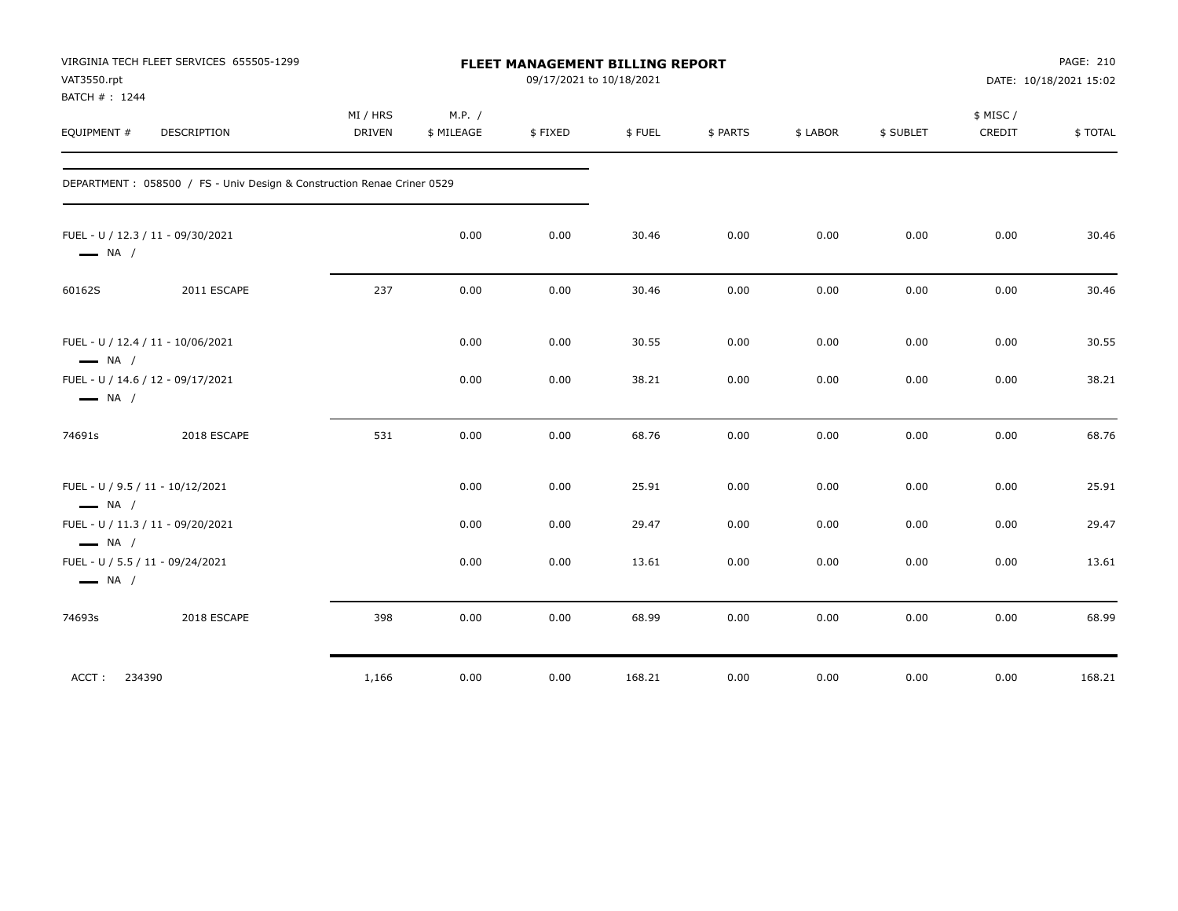| VAT3550.rpt<br>BATCH #: 1244                                | VIRGINIA TECH FLEET SERVICES 655505-1299                                |                           |                      | <b>FLEET MANAGEMENT BILLING REPORT</b><br>09/17/2021 to 10/18/2021 |        |          |          |           |                    | PAGE: 210<br>DATE: 10/18/2021 15:02 |
|-------------------------------------------------------------|-------------------------------------------------------------------------|---------------------------|----------------------|--------------------------------------------------------------------|--------|----------|----------|-----------|--------------------|-------------------------------------|
| EQUIPMENT #                                                 | DESCRIPTION                                                             | MI / HRS<br><b>DRIVEN</b> | M.P. /<br>\$ MILEAGE | \$FIXED                                                            | \$FUEL | \$ PARTS | \$ LABOR | \$ SUBLET | \$ MISC/<br>CREDIT | \$TOTAL                             |
|                                                             | DEPARTMENT : 058500 / FS - Univ Design & Construction Renae Criner 0529 |                           |                      |                                                                    |        |          |          |           |                    |                                     |
| FUEL - U / 12.3 / 11 - 09/30/2021<br>$\longrightarrow$ NA / |                                                                         |                           | 0.00                 | 0.00                                                               | 30.46  | 0.00     | 0.00     | 0.00      | 0.00               | 30.46                               |
| 60162S                                                      | 2011 ESCAPE                                                             | 237                       | 0.00                 | 0.00                                                               | 30.46  | 0.00     | 0.00     | 0.00      | 0.00               | 30.46                               |
| FUEL - U / 12.4 / 11 - 10/06/2021<br>$\longrightarrow$ NA / |                                                                         |                           | 0.00                 | 0.00                                                               | 30.55  | 0.00     | 0.00     | 0.00      | 0.00               | 30.55                               |
| FUEL - U / 14.6 / 12 - 09/17/2021<br>$\longrightarrow$ NA / |                                                                         |                           | 0.00                 | 0.00                                                               | 38.21  | 0.00     | 0.00     | 0.00      | 0.00               | 38.21                               |
| 74691s                                                      | 2018 ESCAPE                                                             | 531                       | 0.00                 | 0.00                                                               | 68.76  | 0.00     | 0.00     | 0.00      | 0.00               | 68.76                               |
| FUEL - U / 9.5 / 11 - 10/12/2021<br>$\longrightarrow$ NA /  |                                                                         |                           | 0.00                 | 0.00                                                               | 25.91  | 0.00     | 0.00     | 0.00      | 0.00               | 25.91                               |
| FUEL - U / 11.3 / 11 - 09/20/2021<br>$\longrightarrow$ NA / |                                                                         |                           | 0.00                 | 0.00                                                               | 29.47  | 0.00     | 0.00     | 0.00      | 0.00               | 29.47                               |
| FUEL - U / 5.5 / 11 - 09/24/2021<br>$\longrightarrow$ NA /  |                                                                         |                           | 0.00                 | 0.00                                                               | 13.61  | 0.00     | 0.00     | 0.00      | 0.00               | 13.61                               |
| 74693s                                                      | 2018 ESCAPE                                                             | 398                       | 0.00                 | 0.00                                                               | 68.99  | 0.00     | 0.00     | 0.00      | 0.00               | 68.99                               |
| ACCT: 234390                                                |                                                                         | 1,166                     | 0.00                 | 0.00                                                               | 168.21 | 0.00     | 0.00     | 0.00      | 0.00               | 168.21                              |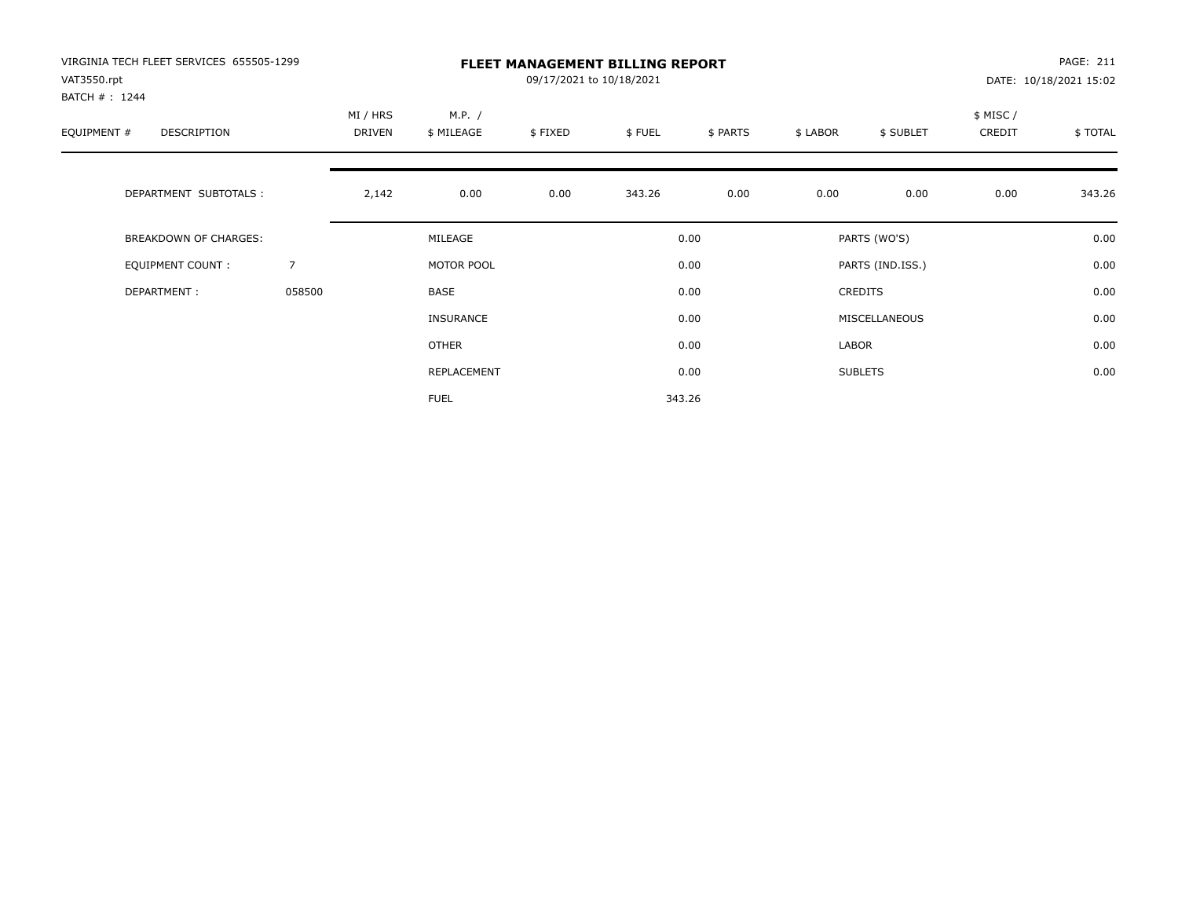| VIRGINIA TECH FLEET SERVICES 655505-1299<br>VAT3550.rpt<br>BATCH #: 1244 |                | <b>FLEET MANAGEMENT BILLING REPORT</b><br>09/17/2021 to 10/18/2021 |                      |         |        |          |          |                  |                    | PAGE: 211<br>DATE: 10/18/2021 15:02 |  |
|--------------------------------------------------------------------------|----------------|--------------------------------------------------------------------|----------------------|---------|--------|----------|----------|------------------|--------------------|-------------------------------------|--|
| EQUIPMENT #<br>DESCRIPTION                                               |                | MI / HRS<br>DRIVEN                                                 | M.P. /<br>\$ MILEAGE | \$FIXED | \$FUEL | \$ PARTS | \$ LABOR | \$ SUBLET        | \$ MISC/<br>CREDIT | \$TOTAL                             |  |
| DEPARTMENT SUBTOTALS :                                                   |                | 2,142                                                              | 0.00                 | 0.00    | 343.26 | 0.00     | 0.00     | 0.00             | 0.00               | 343.26                              |  |
| <b>BREAKDOWN OF CHARGES:</b>                                             |                |                                                                    | MILEAGE              |         |        | 0.00     |          | PARTS (WO'S)     |                    | 0.00                                |  |
| EQUIPMENT COUNT:                                                         | $\overline{7}$ |                                                                    | MOTOR POOL           |         |        | 0.00     |          | PARTS (IND.ISS.) |                    | 0.00                                |  |
| DEPARTMENT:                                                              | 058500         |                                                                    | BASE                 |         |        | 0.00     |          | <b>CREDITS</b>   |                    | 0.00                                |  |
|                                                                          |                |                                                                    | <b>INSURANCE</b>     |         |        | 0.00     |          | MISCELLANEOUS    |                    | 0.00                                |  |
|                                                                          |                |                                                                    | <b>OTHER</b>         |         |        | 0.00     | LABOR    |                  |                    | 0.00                                |  |
|                                                                          |                |                                                                    | REPLACEMENT          |         |        | 0.00     |          | <b>SUBLETS</b>   |                    | 0.00                                |  |
|                                                                          |                |                                                                    | <b>FUEL</b>          |         |        | 343.26   |          |                  |                    |                                     |  |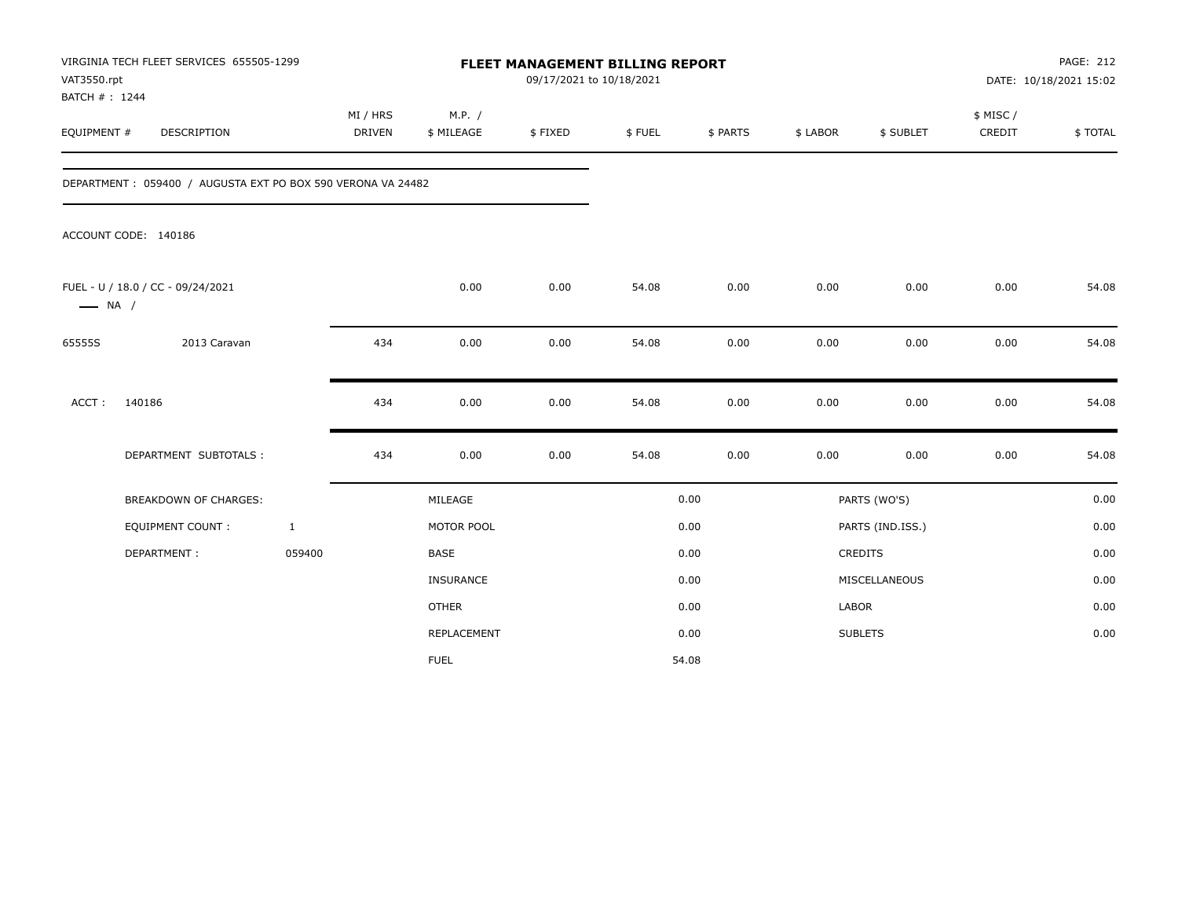| VAT3550.rpt<br>BATCH #: 1244 | VIRGINIA TECH FLEET SERVICES 655505-1299                    |                           |                      | FLEET MANAGEMENT BILLING REPORT<br>09/17/2021 to 10/18/2021 |        |          |          |                  |                     | <b>PAGE: 212</b><br>DATE: 10/18/2021 15:02 |
|------------------------------|-------------------------------------------------------------|---------------------------|----------------------|-------------------------------------------------------------|--------|----------|----------|------------------|---------------------|--------------------------------------------|
| EQUIPMENT #                  | DESCRIPTION                                                 | MI / HRS<br><b>DRIVEN</b> | M.P. /<br>\$ MILEAGE | \$FIXED                                                     | \$FUEL | \$ PARTS | \$ LABOR | \$ SUBLET        | \$ MISC /<br>CREDIT | \$TOTAL                                    |
|                              | DEPARTMENT: 059400 / AUGUSTA EXT PO BOX 590 VERONA VA 24482 |                           |                      |                                                             |        |          |          |                  |                     |                                            |
|                              | ACCOUNT CODE: 140186                                        |                           |                      |                                                             |        |          |          |                  |                     |                                            |
| $\longrightarrow$ NA /       | FUEL - U / 18.0 / CC - 09/24/2021                           |                           | 0.00                 | 0.00                                                        | 54.08  | 0.00     | 0.00     | 0.00             | 0.00                | 54.08                                      |
| 65555S                       | 2013 Caravan                                                | 434                       | 0.00                 | 0.00                                                        | 54.08  | 0.00     | 0.00     | 0.00             | 0.00                | 54.08                                      |
| ACCT:                        | 140186                                                      | 434                       | 0.00                 | 0.00                                                        | 54.08  | 0.00     | 0.00     | 0.00             | 0.00                | 54.08                                      |
|                              | DEPARTMENT SUBTOTALS :                                      | 434                       | 0.00                 | 0.00                                                        | 54.08  | 0.00     | 0.00     | 0.00             | 0.00                | 54.08                                      |
|                              | <b>BREAKDOWN OF CHARGES:</b>                                |                           | MILEAGE              |                                                             |        | 0.00     |          | PARTS (WO'S)     |                     | 0.00                                       |
|                              | <b>EQUIPMENT COUNT:</b>                                     | $\mathbf{1}$              | MOTOR POOL           |                                                             |        | 0.00     |          | PARTS (IND.ISS.) |                     | 0.00                                       |
|                              | DEPARTMENT:                                                 | 059400                    | <b>BASE</b>          |                                                             |        | 0.00     |          | CREDITS          |                     | 0.00                                       |
|                              |                                                             |                           | INSURANCE            |                                                             |        | 0.00     |          | MISCELLANEOUS    |                     | 0.00                                       |
|                              |                                                             |                           | <b>OTHER</b>         |                                                             |        | 0.00     | LABOR    |                  |                     | 0.00                                       |
|                              |                                                             |                           | REPLACEMENT          |                                                             |        | 0.00     |          | <b>SUBLETS</b>   |                     | 0.00                                       |
|                              |                                                             |                           | <b>FUEL</b>          |                                                             |        | 54.08    |          |                  |                     |                                            |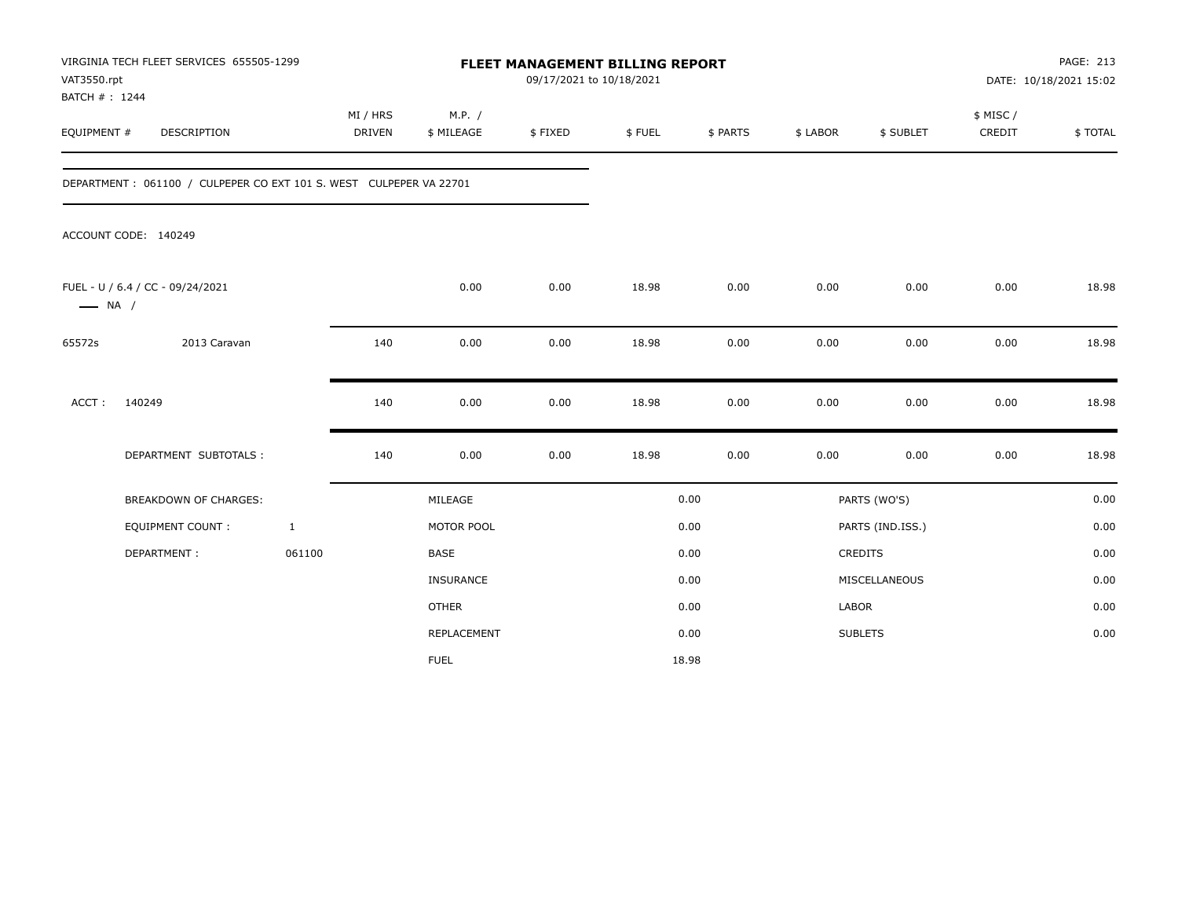| VAT3550.rpt<br>BATCH #: 1244 | VIRGINIA TECH FLEET SERVICES 655505-1299                           |              |                    |                      | <b>FLEET MANAGEMENT BILLING REPORT</b><br>09/17/2021 to 10/18/2021 |        |          |          |                  |                     | PAGE: 213<br>DATE: 10/18/2021 15:02 |
|------------------------------|--------------------------------------------------------------------|--------------|--------------------|----------------------|--------------------------------------------------------------------|--------|----------|----------|------------------|---------------------|-------------------------------------|
| EQUIPMENT #                  | DESCRIPTION                                                        |              | MI / HRS<br>DRIVEN | M.P. /<br>\$ MILEAGE | \$FIXED                                                            | \$FUEL | \$ PARTS | \$ LABOR | \$ SUBLET        | \$ MISC /<br>CREDIT | \$TOTAL                             |
|                              | DEPARTMENT: 061100 / CULPEPER CO EXT 101 S. WEST CULPEPER VA 22701 |              |                    |                      |                                                                    |        |          |          |                  |                     |                                     |
|                              | ACCOUNT CODE: 140249                                               |              |                    |                      |                                                                    |        |          |          |                  |                     |                                     |
| $\longrightarrow$ NA /       | FUEL - U / 6.4 / CC - 09/24/2021                                   |              |                    | 0.00                 | 0.00                                                               | 18.98  | 0.00     | 0.00     | 0.00             | 0.00                | 18.98                               |
| 65572s                       | 2013 Caravan                                                       |              | 140                | 0.00                 | 0.00                                                               | 18.98  | 0.00     | 0.00     | 0.00             | 0.00                | 18.98                               |
| ACCT:                        | 140249                                                             |              | 140                | 0.00                 | 0.00                                                               | 18.98  | 0.00     | 0.00     | 0.00             | 0.00                | 18.98                               |
|                              | DEPARTMENT SUBTOTALS :                                             |              | 140                | 0.00                 | 0.00                                                               | 18.98  | 0.00     | 0.00     | 0.00             | 0.00                | 18.98                               |
|                              | <b>BREAKDOWN OF CHARGES:</b>                                       |              |                    | MILEAGE              |                                                                    |        | 0.00     |          | PARTS (WO'S)     |                     | 0.00                                |
|                              | <b>EQUIPMENT COUNT:</b>                                            | $\mathbf{1}$ |                    | MOTOR POOL           |                                                                    |        | 0.00     |          | PARTS (IND.ISS.) |                     | 0.00                                |
|                              | DEPARTMENT:                                                        | 061100       |                    | <b>BASE</b>          |                                                                    |        | 0.00     |          | CREDITS          |                     | 0.00                                |
|                              |                                                                    |              |                    | INSURANCE            |                                                                    |        | 0.00     |          | MISCELLANEOUS    |                     | 0.00                                |
|                              |                                                                    |              |                    | <b>OTHER</b>         |                                                                    |        | 0.00     | LABOR    |                  |                     | 0.00                                |
|                              |                                                                    |              |                    | <b>REPLACEMENT</b>   |                                                                    |        | 0.00     |          | <b>SUBLETS</b>   |                     | 0.00                                |
|                              |                                                                    |              |                    | <b>FUEL</b>          |                                                                    |        | 18.98    |          |                  |                     |                                     |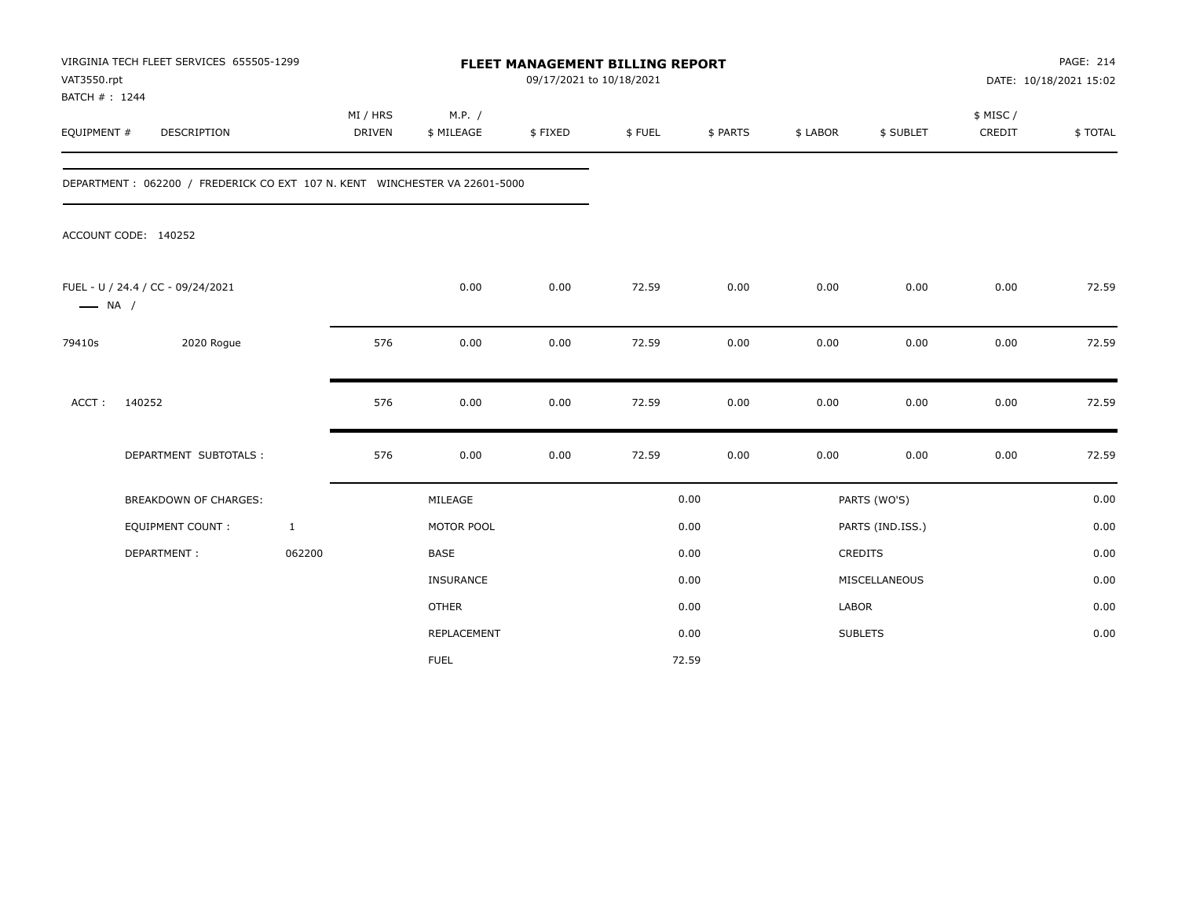| VAT3550.rpt            | VIRGINIA TECH FLEET SERVICES 655505-1299<br>BATCH #: 1244<br>DESCRIPTION   |              | <b>FLEET MANAGEMENT BILLING REPORT</b><br>09/17/2021 to 10/18/2021<br>MI / HRS |                      |         |        |          |              |                  | PAGE: 214<br>DATE: 10/18/2021 15:02 |         |
|------------------------|----------------------------------------------------------------------------|--------------|--------------------------------------------------------------------------------|----------------------|---------|--------|----------|--------------|------------------|-------------------------------------|---------|
| EQUIPMENT #            |                                                                            |              | <b>DRIVEN</b>                                                                  | M.P. /<br>\$ MILEAGE | \$FIXED | \$FUEL | \$ PARTS | \$ LABOR     | \$ SUBLET        | \$ MISC /<br>CREDIT                 | \$TOTAL |
|                        | DEPARTMENT: 062200 / FREDERICK CO EXT 107 N. KENT WINCHESTER VA 22601-5000 |              |                                                                                |                      |         |        |          |              |                  |                                     |         |
|                        | ACCOUNT CODE: 140252                                                       |              |                                                                                |                      |         |        |          |              |                  |                                     |         |
| $\longrightarrow$ NA / | FUEL - U / 24.4 / CC - 09/24/2021                                          |              |                                                                                | 0.00                 | 0.00    | 72.59  | 0.00     | 0.00         | 0.00             | 0.00                                | 72.59   |
| 79410s                 | 2020 Rogue                                                                 |              | 576                                                                            | 0.00                 | 0.00    | 72.59  | 0.00     | 0.00         | 0.00             | 0.00                                | 72.59   |
| ACCT:                  | 140252                                                                     |              | 576                                                                            | 0.00                 | 0.00    | 72.59  | 0.00     | 0.00         | 0.00             | 0.00                                | 72.59   |
|                        | DEPARTMENT SUBTOTALS :                                                     |              | 576                                                                            | 0.00                 | 0.00    | 72.59  | 0.00     | 0.00         | 0.00             | 0.00                                | 72.59   |
|                        | <b>BREAKDOWN OF CHARGES:</b>                                               |              |                                                                                | MILEAGE              |         |        | 0.00     |              | PARTS (WO'S)     |                                     | 0.00    |
|                        | <b>EQUIPMENT COUNT:</b>                                                    | $\mathbf{1}$ |                                                                                | MOTOR POOL           |         |        | 0.00     |              | PARTS (IND.ISS.) |                                     | 0.00    |
|                        | DEPARTMENT:                                                                | 062200       |                                                                                | <b>BASE</b>          |         |        | 0.00     |              | CREDITS          |                                     | 0.00    |
|                        |                                                                            |              |                                                                                | INSURANCE            |         |        | 0.00     |              | MISCELLANEOUS    |                                     | 0.00    |
|                        |                                                                            |              |                                                                                | <b>OTHER</b>         |         |        | 0.00     | <b>LABOR</b> |                  |                                     | 0.00    |
|                        |                                                                            |              |                                                                                | REPLACEMENT          |         |        | 0.00     |              | <b>SUBLETS</b>   |                                     | 0.00    |
|                        |                                                                            |              |                                                                                | <b>FUEL</b>          |         |        | 72.59    |              |                  |                                     |         |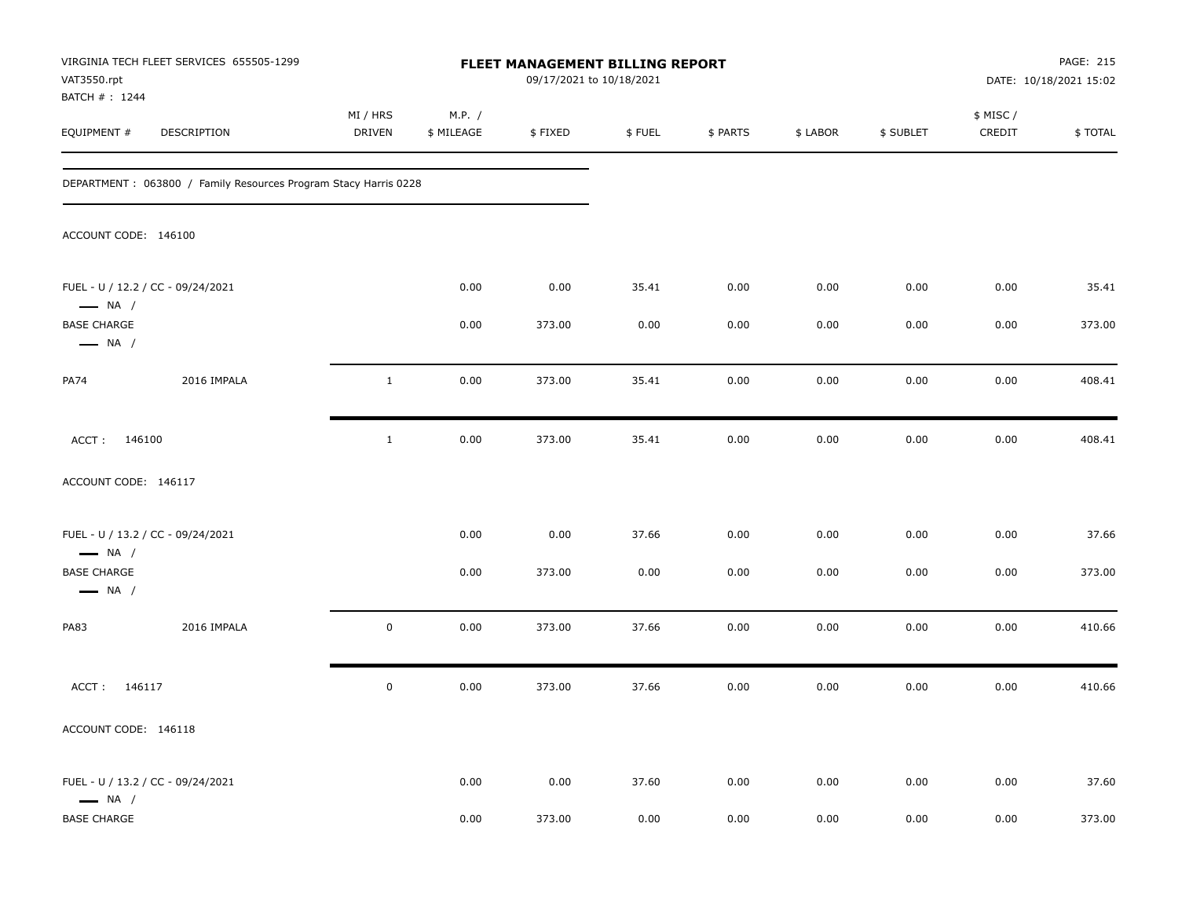| VAT3550.rpt                                  | VIRGINIA TECH FLEET SERVICES 655505-1299                        |                    |                      | FLEET MANAGEMENT BILLING REPORT<br>09/17/2021 to 10/18/2021 |        |          |          |           |                     | PAGE: 215<br>DATE: 10/18/2021 15:02 |
|----------------------------------------------|-----------------------------------------------------------------|--------------------|----------------------|-------------------------------------------------------------|--------|----------|----------|-----------|---------------------|-------------------------------------|
| BATCH #: 1244<br>EQUIPMENT #                 | DESCRIPTION                                                     | MI / HRS<br>DRIVEN | M.P. /<br>\$ MILEAGE | \$FIXED                                                     | \$FUEL | \$ PARTS | \$ LABOR | \$ SUBLET | \$ MISC /<br>CREDIT | \$TOTAL                             |
|                                              | DEPARTMENT: 063800 / Family Resources Program Stacy Harris 0228 |                    |                      |                                                             |        |          |          |           |                     |                                     |
| ACCOUNT CODE: 146100                         |                                                                 |                    |                      |                                                             |        |          |          |           |                     |                                     |
| $\longrightarrow$ NA /                       | FUEL - U / 12.2 / CC - 09/24/2021                               |                    | 0.00                 | 0.00                                                        | 35.41  | 0.00     | 0.00     | 0.00      | 0.00                | 35.41                               |
| <b>BASE CHARGE</b><br>$\longrightarrow$ NA / |                                                                 |                    | 0.00                 | 373.00                                                      | 0.00   | 0.00     | 0.00     | 0.00      | 0.00                | 373.00                              |
| <b>PA74</b>                                  | 2016 IMPALA                                                     | $\mathbf{1}$       | 0.00                 | 373.00                                                      | 35.41  | 0.00     | 0.00     | 0.00      | 0.00                | 408.41                              |
| ACCT: 146100                                 |                                                                 | $\mathbf{1}$       | 0.00                 | 373.00                                                      | 35.41  | 0.00     | 0.00     | 0.00      | 0.00                | 408.41                              |
| ACCOUNT CODE: 146117                         |                                                                 |                    |                      |                                                             |        |          |          |           |                     |                                     |
| $\longrightarrow$ NA /                       | FUEL - U / 13.2 / CC - 09/24/2021                               |                    | 0.00                 | 0.00                                                        | 37.66  | 0.00     | 0.00     | 0.00      | 0.00                | 37.66                               |
| <b>BASE CHARGE</b><br>$\longrightarrow$ NA / |                                                                 |                    | 0.00                 | 373.00                                                      | 0.00   | 0.00     | 0.00     | 0.00      | 0.00                | 373.00                              |
| PA83                                         | 2016 IMPALA                                                     | $\mathsf 0$        | 0.00                 | 373.00                                                      | 37.66  | 0.00     | 0.00     | 0.00      | 0.00                | 410.66                              |
| ACCT: 146117                                 |                                                                 | 0                  | 0.00                 | 373.00                                                      | 37.66  | 0.00     | 0.00     | 0.00      | 0.00                | 410.66                              |
| ACCOUNT CODE: 146118                         |                                                                 |                    |                      |                                                             |        |          |          |           |                     |                                     |
| $\longrightarrow$ NA /                       | FUEL - U / 13.2 / CC - 09/24/2021                               |                    | 0.00                 | 0.00                                                        | 37.60  | 0.00     | 0.00     | 0.00      | 0.00                | 37.60                               |
| <b>BASE CHARGE</b>                           |                                                                 |                    | 0.00                 | 373.00                                                      | 0.00   | 0.00     | 0.00     | 0.00      | 0.00                | 373.00                              |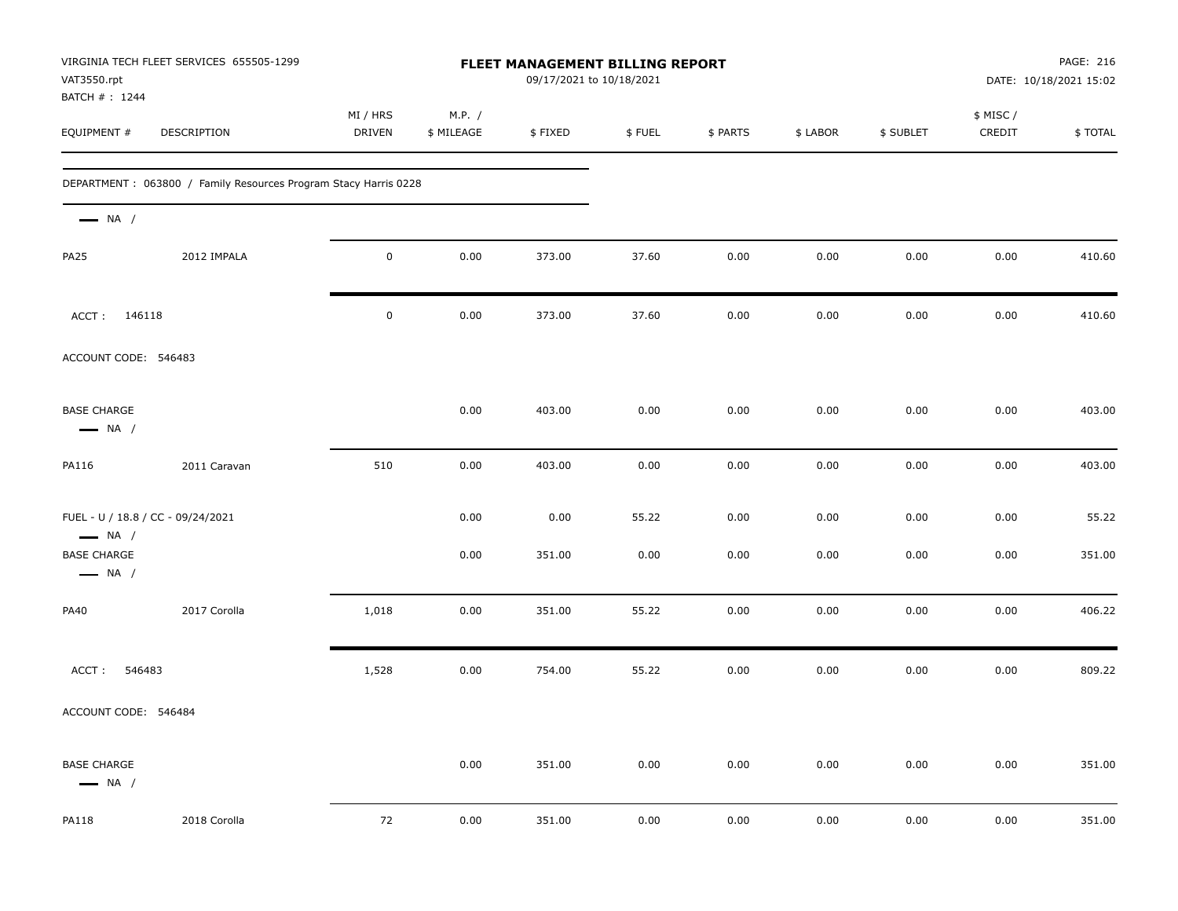| VAT3550.rpt                                                 | VIRGINIA TECH FLEET SERVICES 655505-1299                         |                           |                      |         | FLEET MANAGEMENT BILLING REPORT<br>09/17/2021 to 10/18/2021 |          |          |           | PAGE: 216<br>DATE: 10/18/2021 15:02 |         |
|-------------------------------------------------------------|------------------------------------------------------------------|---------------------------|----------------------|---------|-------------------------------------------------------------|----------|----------|-----------|-------------------------------------|---------|
| BATCH #: 1244<br>EQUIPMENT #                                | DESCRIPTION                                                      | MI / HRS<br><b>DRIVEN</b> | M.P. /<br>\$ MILEAGE | \$FIXED | \$FUEL                                                      | \$ PARTS | \$ LABOR | \$ SUBLET | \$ MISC /<br>CREDIT                 | \$TOTAL |
|                                                             | DEPARTMENT : 063800 / Family Resources Program Stacy Harris 0228 |                           |                      |         |                                                             |          |          |           |                                     |         |
| $\longrightarrow$ NA /                                      |                                                                  |                           |                      |         |                                                             |          |          |           |                                     |         |
| <b>PA25</b>                                                 | 2012 IMPALA                                                      | $\pmb{0}$                 | 0.00                 | 373.00  | 37.60                                                       | 0.00     | 0.00     | 0.00      | 0.00                                | 410.60  |
| ACCT: 146118                                                |                                                                  | $\pmb{0}$                 | 0.00                 | 373.00  | 37.60                                                       | 0.00     | 0.00     | 0.00      | 0.00                                | 410.60  |
| ACCOUNT CODE: 546483                                        |                                                                  |                           |                      |         |                                                             |          |          |           |                                     |         |
| <b>BASE CHARGE</b><br>$\longrightarrow$ NA /                |                                                                  |                           | 0.00                 | 403.00  | 0.00                                                        | 0.00     | 0.00     | 0.00      | 0.00                                | 403.00  |
| PA116                                                       | 2011 Caravan                                                     | 510                       | 0.00                 | 403.00  | 0.00                                                        | 0.00     | 0.00     | 0.00      | 0.00                                | 403.00  |
| FUEL - U / 18.8 / CC - 09/24/2021<br>$\longrightarrow$ NA / |                                                                  |                           | 0.00                 | 0.00    | 55.22                                                       | 0.00     | 0.00     | 0.00      | 0.00                                | 55.22   |
| <b>BASE CHARGE</b><br>$\longrightarrow$ NA /                |                                                                  |                           | 0.00                 | 351.00  | 0.00                                                        | 0.00     | 0.00     | 0.00      | 0.00                                | 351.00  |
| <b>PA40</b>                                                 | 2017 Corolla                                                     | 1,018                     | 0.00                 | 351.00  | 55.22                                                       | 0.00     | 0.00     | 0.00      | 0.00                                | 406.22  |
| ACCT:<br>546483                                             |                                                                  | 1,528                     | 0.00                 | 754.00  | 55.22                                                       | 0.00     | 0.00     | 0.00      | 0.00                                | 809.22  |
| ACCOUNT CODE: 546484                                        |                                                                  |                           |                      |         |                                                             |          |          |           |                                     |         |
| <b>BASE CHARGE</b><br>$\longrightarrow$ NA /                |                                                                  |                           | 0.00                 | 351.00  | 0.00                                                        | 0.00     | 0.00     | 0.00      | 0.00                                | 351.00  |
| <b>PA118</b>                                                | 2018 Corolla                                                     | 72                        | 0.00                 | 351.00  | 0.00                                                        | 0.00     | 0.00     | 0.00      | 0.00                                | 351.00  |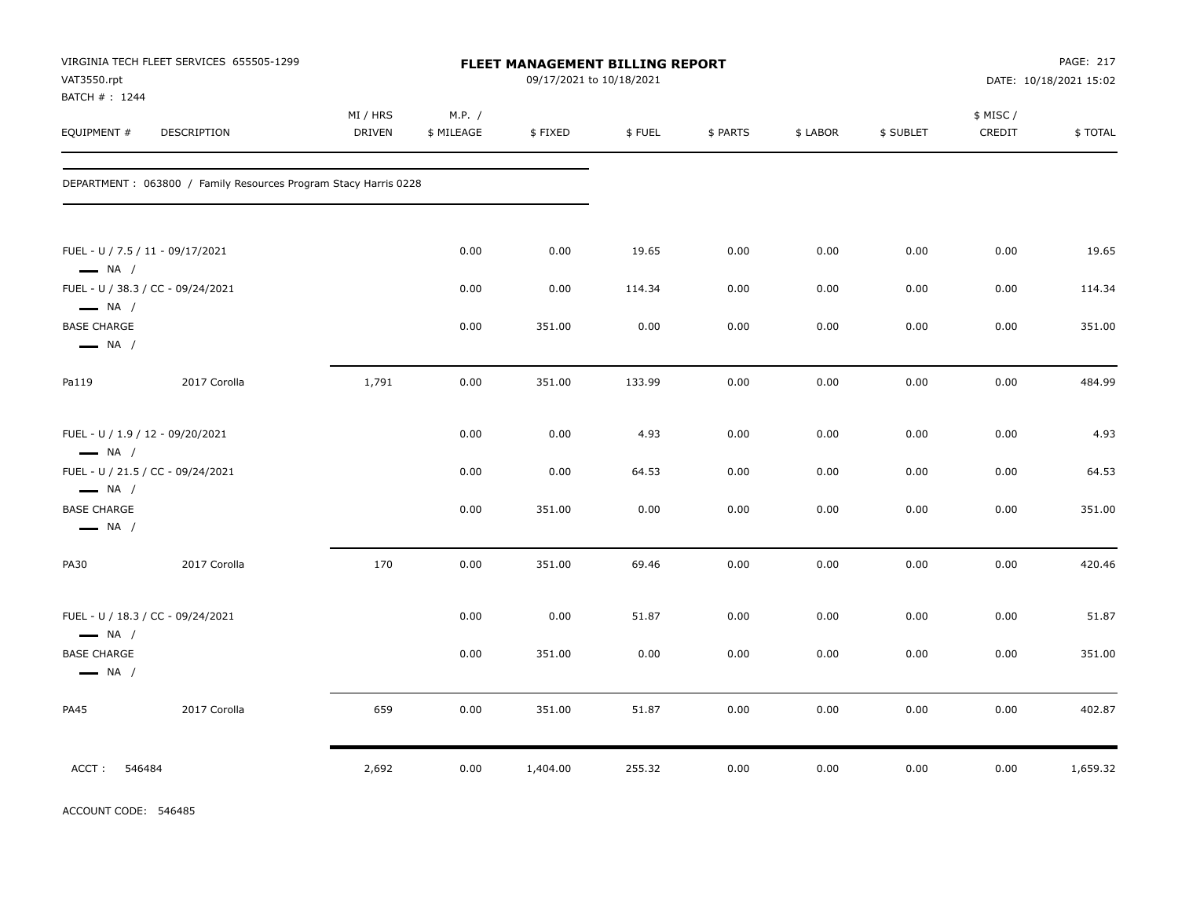| VAT3550.rpt<br>BATCH #: 1244                                           | VIRGINIA TECH FLEET SERVICES 655505-1299                        |                    |                      |          | 09/17/2021 to 10/18/2021 | PAGE: 217<br>FLEET MANAGEMENT BILLING REPORT<br>DATE: 10/18/2021 15:02 |          |           |                     |          |  |
|------------------------------------------------------------------------|-----------------------------------------------------------------|--------------------|----------------------|----------|--------------------------|------------------------------------------------------------------------|----------|-----------|---------------------|----------|--|
| EQUIPMENT #                                                            | DESCRIPTION                                                     | MI / HRS<br>DRIVEN | M.P. /<br>\$ MILEAGE | \$FIXED  | \$FUEL                   | \$ PARTS                                                               | \$ LABOR | \$ SUBLET | \$ MISC /<br>CREDIT | \$TOTAL  |  |
|                                                                        | DEPARTMENT: 063800 / Family Resources Program Stacy Harris 0228 |                    |                      |          |                          |                                                                        |          |           |                     |          |  |
| FUEL - U / 7.5 / 11 - 09/17/2021<br>$\longrightarrow$ NA /             |                                                                 |                    | 0.00                 | 0.00     | 19.65                    | 0.00                                                                   | 0.00     | 0.00      | 0.00                | 19.65    |  |
|                                                                        | FUEL - U / 38.3 / CC - 09/24/2021                               |                    | 0.00                 | 0.00     | 114.34                   | 0.00                                                                   | 0.00     | 0.00      | 0.00                | 114.34   |  |
| $\longrightarrow$ NA /<br><b>BASE CHARGE</b><br>$\longrightarrow$ NA / |                                                                 |                    | 0.00                 | 351.00   | 0.00                     | 0.00                                                                   | 0.00     | 0.00      | 0.00                | 351.00   |  |
| Pa119                                                                  | 2017 Corolla                                                    | 1,791              | 0.00                 | 351.00   | 133.99                   | 0.00                                                                   | 0.00     | 0.00      | 0.00                | 484.99   |  |
| FUEL - U / 1.9 / 12 - 09/20/2021<br>$\longrightarrow$ NA /             |                                                                 |                    | 0.00                 | 0.00     | 4.93                     | 0.00                                                                   | 0.00     | 0.00      | 0.00                | 4.93     |  |
|                                                                        | FUEL - U / 21.5 / CC - 09/24/2021                               |                    | 0.00                 | 0.00     | 64.53                    | 0.00                                                                   | 0.00     | 0.00      | 0.00                | 64.53    |  |
| $\longrightarrow$ NA /<br><b>BASE CHARGE</b><br>$\longrightarrow$ NA / |                                                                 |                    | 0.00                 | 351.00   | 0.00                     | 0.00                                                                   | 0.00     | 0.00      | 0.00                | 351.00   |  |
| <b>PA30</b>                                                            | 2017 Corolla                                                    | 170                | 0.00                 | 351.00   | 69.46                    | 0.00                                                                   | 0.00     | 0.00      | 0.00                | 420.46   |  |
| $\longrightarrow$ NA /                                                 | FUEL - U / 18.3 / CC - 09/24/2021                               |                    | 0.00                 | 0.00     | 51.87                    | 0.00                                                                   | 0.00     | 0.00      | 0.00                | 51.87    |  |
| <b>BASE CHARGE</b><br>$\longrightarrow$ NA /                           |                                                                 |                    | 0.00                 | 351.00   | 0.00                     | 0.00                                                                   | 0.00     | 0.00      | 0.00                | 351.00   |  |
| <b>PA45</b>                                                            | 2017 Corolla                                                    | 659                | 0.00                 | 351.00   | 51.87                    | 0.00                                                                   | 0.00     | 0.00      | 0.00                | 402.87   |  |
| ACCT:<br>546484                                                        |                                                                 | 2,692              | 0.00                 | 1,404.00 | 255.32                   | 0.00                                                                   | 0.00     | 0.00      | 0.00                | 1,659.32 |  |

ACCOUNT CODE: 546485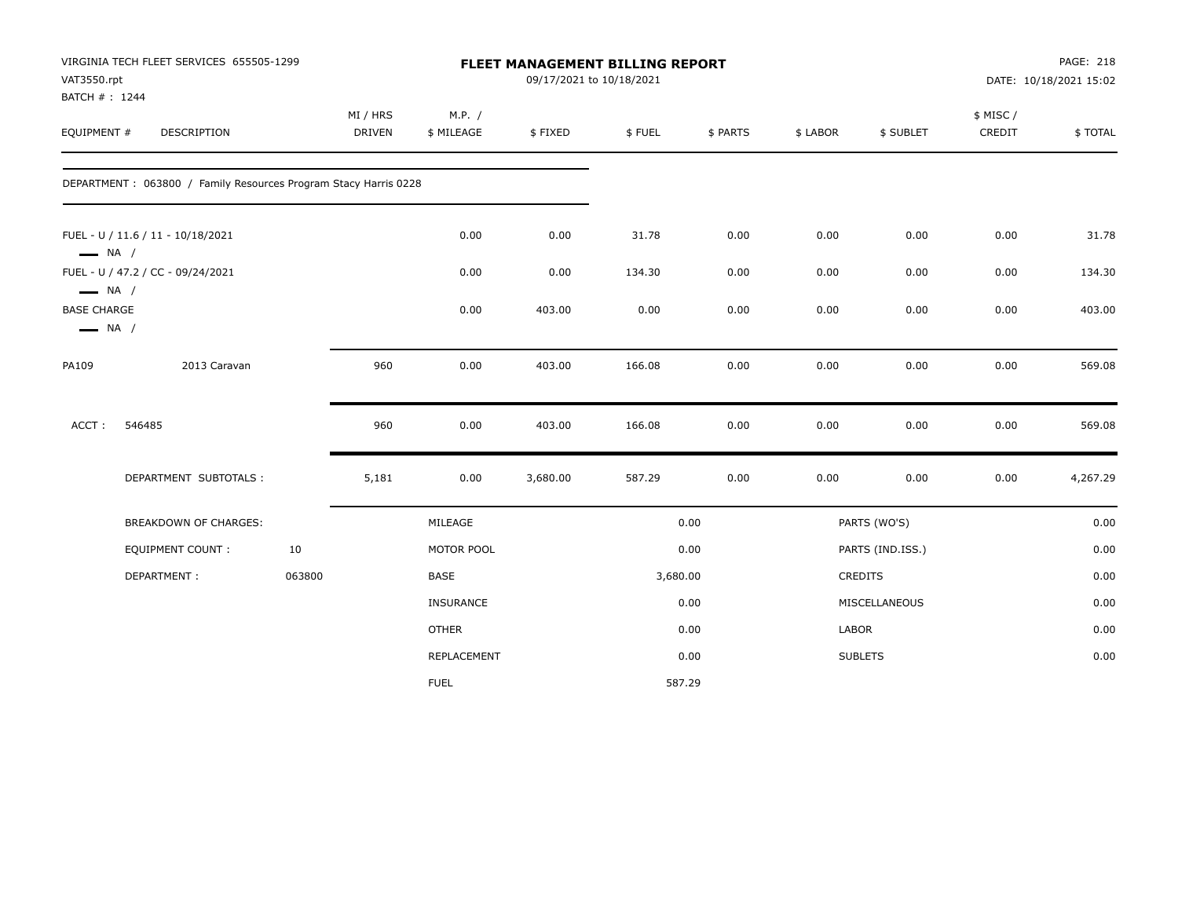| VAT3550.rpt                                                            | VIRGINIA TECH FLEET SERVICES 655505-1299                        |        | FLEET MANAGEMENT BILLING REPORT<br>09/17/2021 to 10/18/2021 |                      |          |          |          |          |                  | PAGE: 218<br>DATE: 10/18/2021 15:02 |          |
|------------------------------------------------------------------------|-----------------------------------------------------------------|--------|-------------------------------------------------------------|----------------------|----------|----------|----------|----------|------------------|-------------------------------------|----------|
| BATCH #: 1244<br>EQUIPMENT #                                           | DESCRIPTION                                                     |        | MI / HRS<br>DRIVEN                                          | M.P. /<br>\$ MILEAGE | \$FIXED  | \$FUEL   | \$ PARTS | \$ LABOR | \$ SUBLET        | \$ MISC /<br>CREDIT                 | \$TOTAL  |
|                                                                        | DEPARTMENT: 063800 / Family Resources Program Stacy Harris 0228 |        |                                                             |                      |          |          |          |          |                  |                                     |          |
|                                                                        | FUEL - U / 11.6 / 11 - 10/18/2021                               |        |                                                             | 0.00                 | 0.00     | 31.78    | 0.00     | 0.00     | 0.00             | 0.00                                | 31.78    |
| $\longrightarrow$ NA /                                                 | FUEL - U / 47.2 / CC - 09/24/2021                               |        |                                                             | 0.00                 | 0.00     | 134.30   | 0.00     | 0.00     | 0.00             | 0.00                                | 134.30   |
| $\longrightarrow$ NA /<br><b>BASE CHARGE</b><br>$\longrightarrow$ NA / |                                                                 |        |                                                             | 0.00                 | 403.00   | 0.00     | 0.00     | 0.00     | 0.00             | 0.00                                | 403.00   |
| PA109                                                                  | 2013 Caravan                                                    |        | 960                                                         | 0.00                 | 403.00   | 166.08   | 0.00     | 0.00     | 0.00             | 0.00                                | 569.08   |
| ACCT:                                                                  | 546485                                                          |        | 960                                                         | 0.00                 | 403.00   | 166.08   | 0.00     | 0.00     | 0.00             | 0.00                                | 569.08   |
|                                                                        | DEPARTMENT SUBTOTALS :                                          |        | 5,181                                                       | 0.00                 | 3,680.00 | 587.29   | 0.00     | 0.00     | 0.00             | 0.00                                | 4,267.29 |
|                                                                        | BREAKDOWN OF CHARGES:                                           |        |                                                             | MILEAGE              |          |          | 0.00     |          | PARTS (WO'S)     |                                     | 0.00     |
|                                                                        | <b>EQUIPMENT COUNT:</b>                                         | 10     |                                                             | MOTOR POOL           |          |          | 0.00     |          | PARTS (IND.ISS.) |                                     | 0.00     |
|                                                                        | DEPARTMENT:                                                     | 063800 |                                                             | BASE                 |          | 3,680.00 |          |          | <b>CREDITS</b>   |                                     | 0.00     |
|                                                                        |                                                                 |        |                                                             | <b>INSURANCE</b>     |          |          | 0.00     |          | MISCELLANEOUS    |                                     | 0.00     |
|                                                                        |                                                                 |        |                                                             | <b>OTHER</b>         |          |          | 0.00     | LABOR    |                  |                                     | 0.00     |
|                                                                        |                                                                 |        |                                                             | REPLACEMENT          |          |          | 0.00     |          | <b>SUBLETS</b>   |                                     | 0.00     |
|                                                                        |                                                                 |        |                                                             | <b>FUEL</b>          |          |          | 587.29   |          |                  |                                     |          |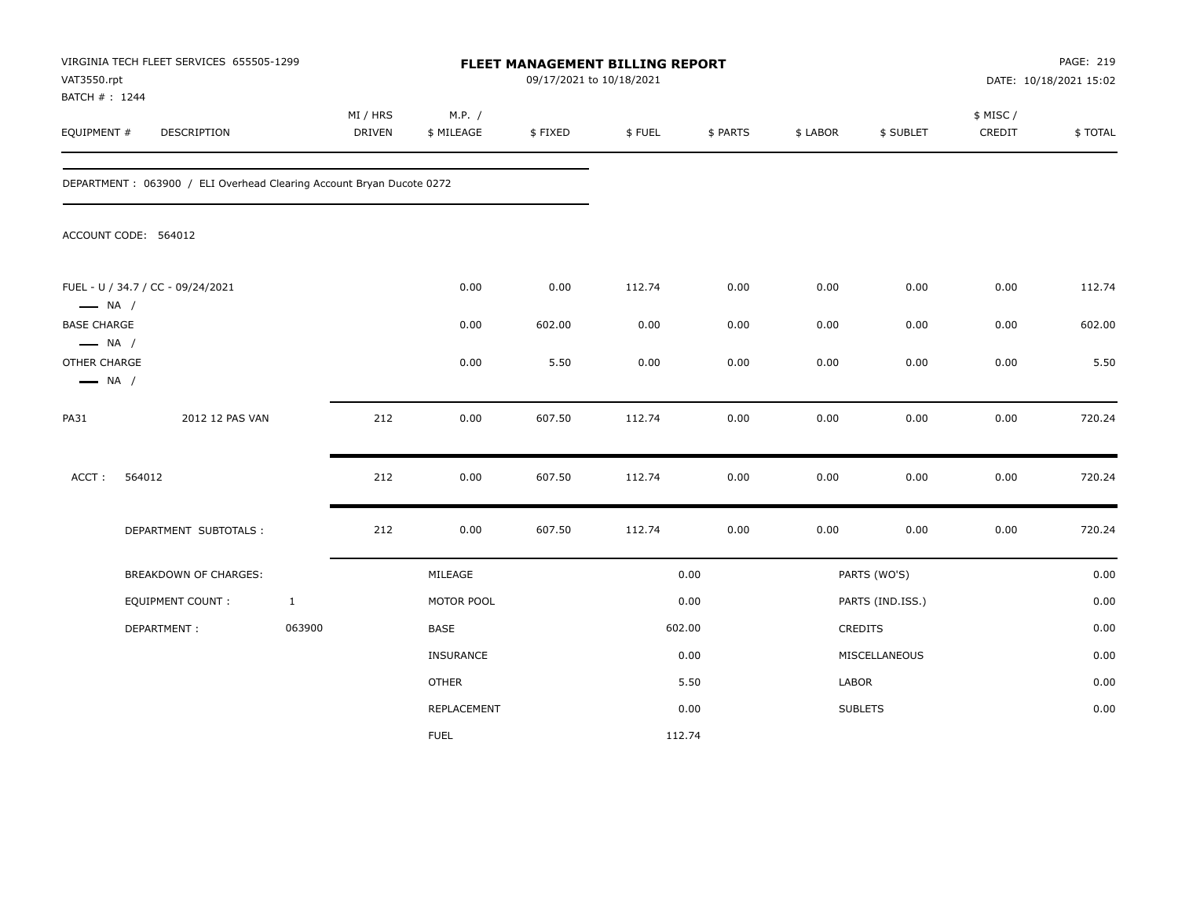| VAT3550.rpt<br>BATCH #: 1244                                     | VIRGINIA TECH FLEET SERVICES 655505-1299                             |              | FLEET MANAGEMENT BILLING REPORT<br>09/17/2021 to 10/18/2021 |                      |         |        |          |          |                  | PAGE: 219<br>DATE: 10/18/2021 15:02 |         |
|------------------------------------------------------------------|----------------------------------------------------------------------|--------------|-------------------------------------------------------------|----------------------|---------|--------|----------|----------|------------------|-------------------------------------|---------|
| EQUIPMENT #                                                      | <b>DESCRIPTION</b>                                                   |              | MI / HRS<br><b>DRIVEN</b>                                   | M.P. /<br>\$ MILEAGE | \$FIXED | \$FUEL | \$ PARTS | \$ LABOR | \$ SUBLET        | \$ MISC /<br>CREDIT                 | \$TOTAL |
|                                                                  | DEPARTMENT: 063900 / ELI Overhead Clearing Account Bryan Ducote 0272 |              |                                                             |                      |         |        |          |          |                  |                                     |         |
|                                                                  | ACCOUNT CODE: 564012                                                 |              |                                                             |                      |         |        |          |          |                  |                                     |         |
| $\longrightarrow$ NA /                                           | FUEL - U / 34.7 / CC - 09/24/2021                                    |              |                                                             | 0.00                 | 0.00    | 112.74 | 0.00     | 0.00     | 0.00             | 0.00                                | 112.74  |
| <b>BASE CHARGE</b>                                               |                                                                      |              |                                                             | 0.00                 | 602.00  | 0.00   | 0.00     | 0.00     | 0.00             | 0.00                                | 602.00  |
| $\longrightarrow$ NA /<br>OTHER CHARGE<br>$\longrightarrow$ NA / |                                                                      |              |                                                             | 0.00                 | 5.50    | 0.00   | 0.00     | 0.00     | 0.00             | 0.00                                | 5.50    |
| <b>PA31</b>                                                      | 2012 12 PAS VAN                                                      |              | 212                                                         | 0.00                 | 607.50  | 112.74 | 0.00     | 0.00     | 0.00             | 0.00                                | 720.24  |
| ACCT:                                                            | 564012                                                               |              | 212                                                         | 0.00                 | 607.50  | 112.74 | 0.00     | 0.00     | 0.00             | 0.00                                | 720.24  |
|                                                                  | DEPARTMENT SUBTOTALS :                                               |              | 212                                                         | 0.00                 | 607.50  | 112.74 | 0.00     | 0.00     | 0.00             | 0.00                                | 720.24  |
|                                                                  | <b>BREAKDOWN OF CHARGES:</b>                                         |              |                                                             | MILEAGE              |         |        | 0.00     |          | PARTS (WO'S)     |                                     | 0.00    |
|                                                                  | EQUIPMENT COUNT :                                                    | $\mathbf{1}$ |                                                             | MOTOR POOL           |         |        | 0.00     |          | PARTS (IND.ISS.) |                                     | 0.00    |
|                                                                  | DEPARTMENT:                                                          | 063900       |                                                             | <b>BASE</b>          |         |        | 602.00   |          | CREDITS          |                                     | 0.00    |
|                                                                  |                                                                      |              |                                                             | <b>INSURANCE</b>     |         |        | 0.00     |          | MISCELLANEOUS    |                                     | 0.00    |
|                                                                  |                                                                      |              |                                                             | <b>OTHER</b>         |         |        | 5.50     | LABOR    |                  |                                     | 0.00    |
|                                                                  |                                                                      |              |                                                             | REPLACEMENT          |         |        | 0.00     |          | <b>SUBLETS</b>   |                                     | 0.00    |
|                                                                  |                                                                      |              |                                                             | <b>FUEL</b>          |         | 112.74 |          |          |                  |                                     |         |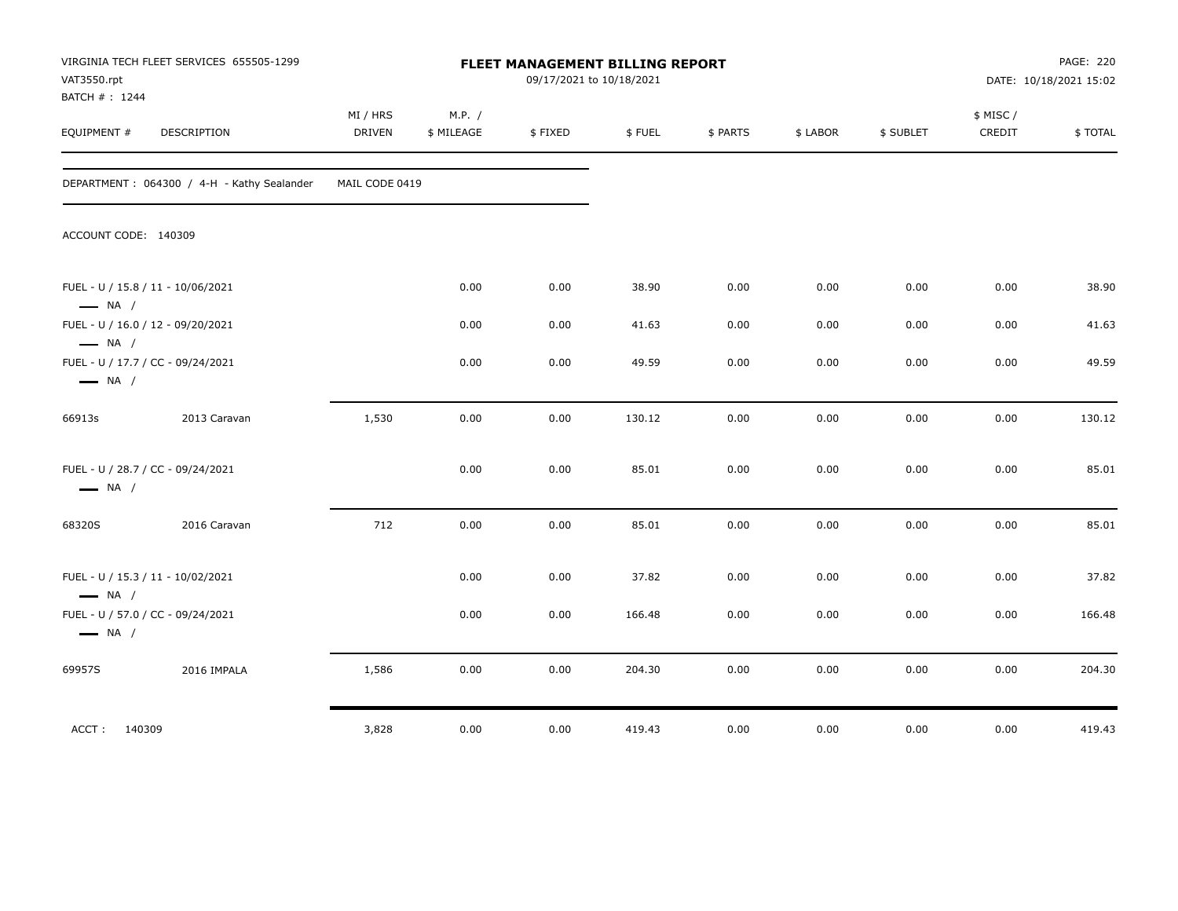| VAT3550.rpt<br>BATCH #: 1244 | VIRGINIA TECH FLEET SERVICES 655505-1299   | FLEET MANAGEMENT BILLING REPORT<br>09/17/2021 to 10/18/2021 |                      |         |        |          |          | PAGE: 220<br>DATE: 10/18/2021 15:02 |                     |         |
|------------------------------|--------------------------------------------|-------------------------------------------------------------|----------------------|---------|--------|----------|----------|-------------------------------------|---------------------|---------|
| EQUIPMENT #                  | DESCRIPTION                                | MI / HRS<br><b>DRIVEN</b>                                   | M.P. /<br>\$ MILEAGE | \$FIXED | \$FUEL | \$ PARTS | \$ LABOR | \$ SUBLET                           | \$ MISC /<br>CREDIT | \$TOTAL |
|                              | DEPARTMENT: 064300 / 4-H - Kathy Sealander | MAIL CODE 0419                                              |                      |         |        |          |          |                                     |                     |         |
| ACCOUNT CODE: 140309         |                                            |                                                             |                      |         |        |          |          |                                     |                     |         |
| $\longrightarrow$ NA /       | FUEL - U / 15.8 / 11 - 10/06/2021          |                                                             | 0.00                 | 0.00    | 38.90  | 0.00     | 0.00     | 0.00                                | 0.00                | 38.90   |
| $\longrightarrow$ NA /       | FUEL - U / 16.0 / 12 - 09/20/2021          |                                                             | 0.00                 | 0.00    | 41.63  | 0.00     | 0.00     | 0.00                                | 0.00                | 41.63   |
| $\longrightarrow$ NA /       | FUEL - U / 17.7 / CC - 09/24/2021          |                                                             | 0.00                 | 0.00    | 49.59  | 0.00     | 0.00     | 0.00                                | 0.00                | 49.59   |
| 66913s                       | 2013 Caravan                               | 1,530                                                       | 0.00                 | 0.00    | 130.12 | 0.00     | 0.00     | 0.00                                | 0.00                | 130.12  |
| $\longrightarrow$ NA /       | FUEL - U / 28.7 / CC - 09/24/2021          |                                                             | 0.00                 | 0.00    | 85.01  | 0.00     | 0.00     | 0.00                                | 0.00                | 85.01   |
| 68320S                       | 2016 Caravan                               | 712                                                         | 0.00                 | 0.00    | 85.01  | 0.00     | 0.00     | 0.00                                | 0.00                | 85.01   |
| $\longrightarrow$ NA /       | FUEL - U / 15.3 / 11 - 10/02/2021          |                                                             | 0.00                 | 0.00    | 37.82  | 0.00     | 0.00     | 0.00                                | 0.00                | 37.82   |
| $\longrightarrow$ NA /       | FUEL - U / 57.0 / CC - 09/24/2021          |                                                             | 0.00                 | 0.00    | 166.48 | 0.00     | 0.00     | 0.00                                | 0.00                | 166.48  |
| 69957S                       | 2016 IMPALA                                | 1,586                                                       | 0.00                 | 0.00    | 204.30 | 0.00     | 0.00     | 0.00                                | 0.00                | 204.30  |
| ACCT: 140309                 |                                            | 3,828                                                       | 0.00                 | 0.00    | 419.43 | 0.00     | 0.00     | 0.00                                | 0.00                | 419.43  |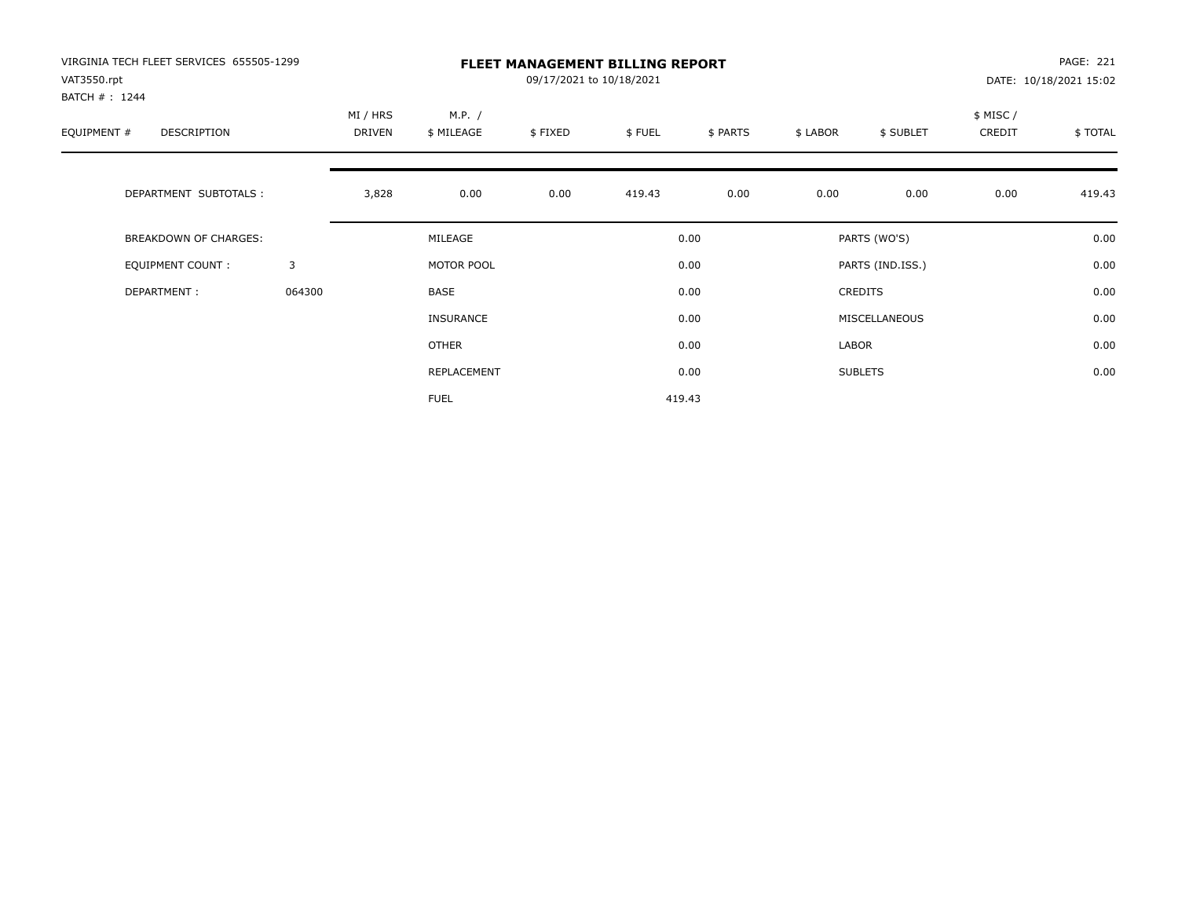| VIRGINIA TECH FLEET SERVICES 655505-1299<br>VAT3550.rpt<br>BATCH #: 1244 |        | <b>FLEET MANAGEMENT BILLING REPORT</b><br>09/17/2021 to 10/18/2021 |                      |         |        |          |          |                  |                     | PAGE: 221<br>DATE: 10/18/2021 15:02 |  |
|--------------------------------------------------------------------------|--------|--------------------------------------------------------------------|----------------------|---------|--------|----------|----------|------------------|---------------------|-------------------------------------|--|
| EQUIPMENT #<br>DESCRIPTION                                               |        | MI / HRS<br>DRIVEN                                                 | M.P. /<br>\$ MILEAGE | \$FIXED | \$FUEL | \$ PARTS | \$ LABOR | \$ SUBLET        | \$ MISC /<br>CREDIT | \$TOTAL                             |  |
| DEPARTMENT SUBTOTALS :                                                   |        | 3,828                                                              | 0.00                 | 0.00    | 419.43 | 0.00     | 0.00     | 0.00             | 0.00                | 419.43                              |  |
| <b>BREAKDOWN OF CHARGES:</b>                                             |        |                                                                    | MILEAGE              |         |        | 0.00     |          | PARTS (WO'S)     |                     | 0.00                                |  |
| EQUIPMENT COUNT:                                                         | 3      |                                                                    | MOTOR POOL           |         |        | 0.00     |          | PARTS (IND.ISS.) |                     | 0.00                                |  |
| DEPARTMENT:                                                              | 064300 |                                                                    | <b>BASE</b>          |         |        | 0.00     |          | <b>CREDITS</b>   |                     | 0.00                                |  |
|                                                                          |        |                                                                    | <b>INSURANCE</b>     |         |        | 0.00     |          | MISCELLANEOUS    |                     | 0.00                                |  |
|                                                                          |        |                                                                    | <b>OTHER</b>         |         |        | 0.00     | LABOR    |                  |                     | 0.00                                |  |
|                                                                          |        |                                                                    | REPLACEMENT          |         |        | 0.00     |          | <b>SUBLETS</b>   |                     | 0.00                                |  |
|                                                                          |        |                                                                    | <b>FUEL</b>          |         |        | 419.43   |          |                  |                     |                                     |  |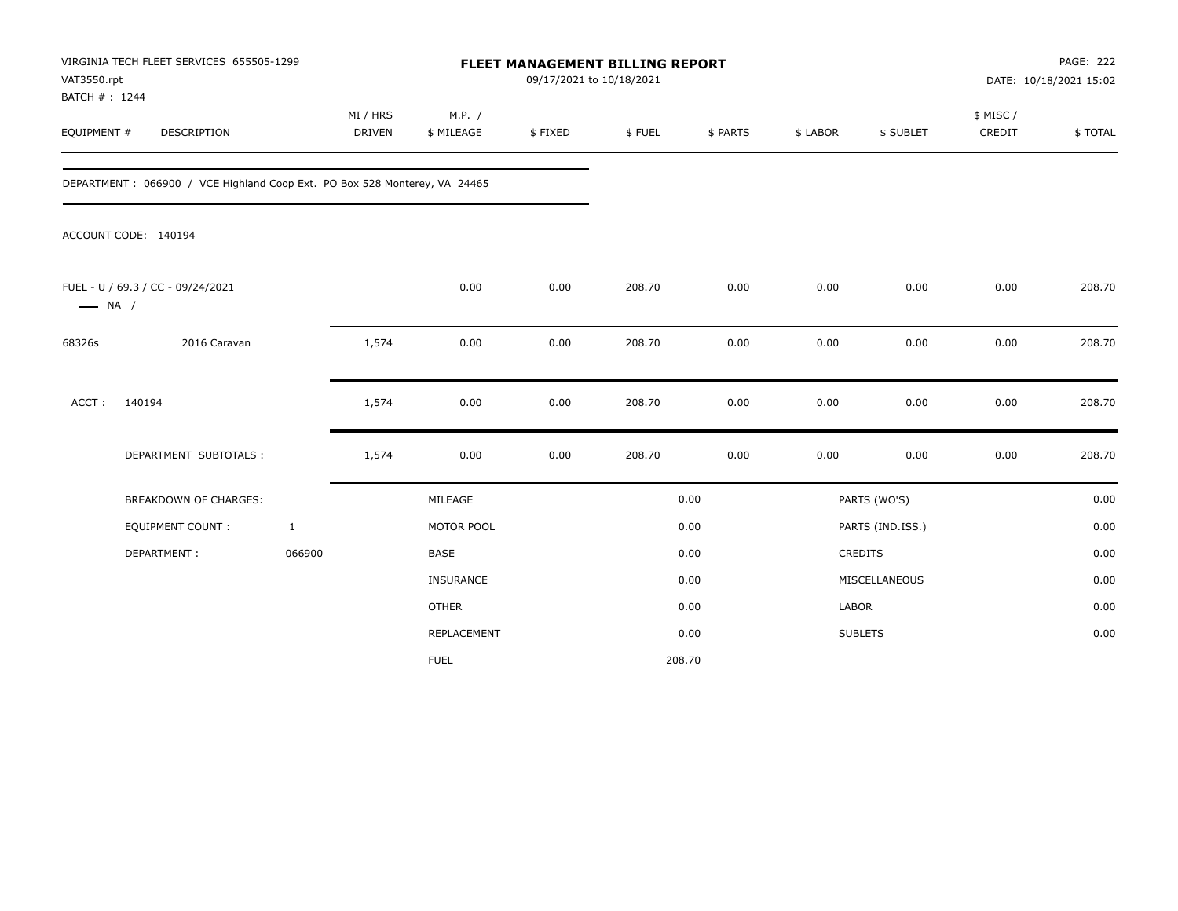| VAT3550.rpt<br>BATCH #: 1244 | VIRGINIA TECH FLEET SERVICES 655505-1299                                   |              | FLEET MANAGEMENT BILLING REPORT<br>09/17/2021 to 10/18/2021 |                      |         |        |          |              |                  | <b>PAGE: 222</b><br>DATE: 10/18/2021 15:02 |         |
|------------------------------|----------------------------------------------------------------------------|--------------|-------------------------------------------------------------|----------------------|---------|--------|----------|--------------|------------------|--------------------------------------------|---------|
| EQUIPMENT #                  | <b>DESCRIPTION</b>                                                         |              | MI / HRS<br><b>DRIVEN</b>                                   | M.P. /<br>\$ MILEAGE | \$FIXED | \$FUEL | \$ PARTS | \$ LABOR     | \$ SUBLET        | \$ MISC /<br>CREDIT                        | \$TOTAL |
|                              | DEPARTMENT : 066900 / VCE Highland Coop Ext. PO Box 528 Monterey, VA 24465 |              |                                                             |                      |         |        |          |              |                  |                                            |         |
|                              | ACCOUNT CODE: 140194                                                       |              |                                                             |                      |         |        |          |              |                  |                                            |         |
| $\longrightarrow$ NA /       | FUEL - U / 69.3 / CC - 09/24/2021                                          |              |                                                             | 0.00                 | 0.00    | 208.70 | 0.00     | 0.00         | 0.00             | 0.00                                       | 208.70  |
| 68326s                       | 2016 Caravan                                                               |              | 1,574                                                       | 0.00                 | 0.00    | 208.70 | 0.00     | 0.00         | 0.00             | 0.00                                       | 208.70  |
| ACCT:                        | 140194                                                                     |              | 1,574                                                       | 0.00                 | 0.00    | 208.70 | 0.00     | 0.00         | 0.00             | 0.00                                       | 208.70  |
|                              | DEPARTMENT SUBTOTALS :                                                     |              | 1,574                                                       | 0.00                 | 0.00    | 208.70 | 0.00     | 0.00         | 0.00             | 0.00                                       | 208.70  |
|                              | <b>BREAKDOWN OF CHARGES:</b>                                               |              |                                                             | MILEAGE              |         |        | 0.00     |              | PARTS (WO'S)     |                                            | 0.00    |
|                              | <b>EQUIPMENT COUNT:</b>                                                    | $\mathbf{1}$ |                                                             | MOTOR POOL           |         |        | 0.00     |              | PARTS (IND.ISS.) |                                            | 0.00    |
|                              | DEPARTMENT:                                                                | 066900       |                                                             | <b>BASE</b>          |         |        | 0.00     |              | <b>CREDITS</b>   |                                            | 0.00    |
|                              |                                                                            |              |                                                             | INSURANCE            |         |        | 0.00     |              | MISCELLANEOUS    |                                            | 0.00    |
|                              |                                                                            |              |                                                             | <b>OTHER</b>         |         |        | 0.00     | <b>LABOR</b> |                  |                                            | 0.00    |
|                              |                                                                            |              |                                                             | REPLACEMENT          |         |        | 0.00     |              | <b>SUBLETS</b>   |                                            | 0.00    |
|                              |                                                                            |              |                                                             | <b>FUEL</b>          |         | 208.70 |          |              |                  |                                            |         |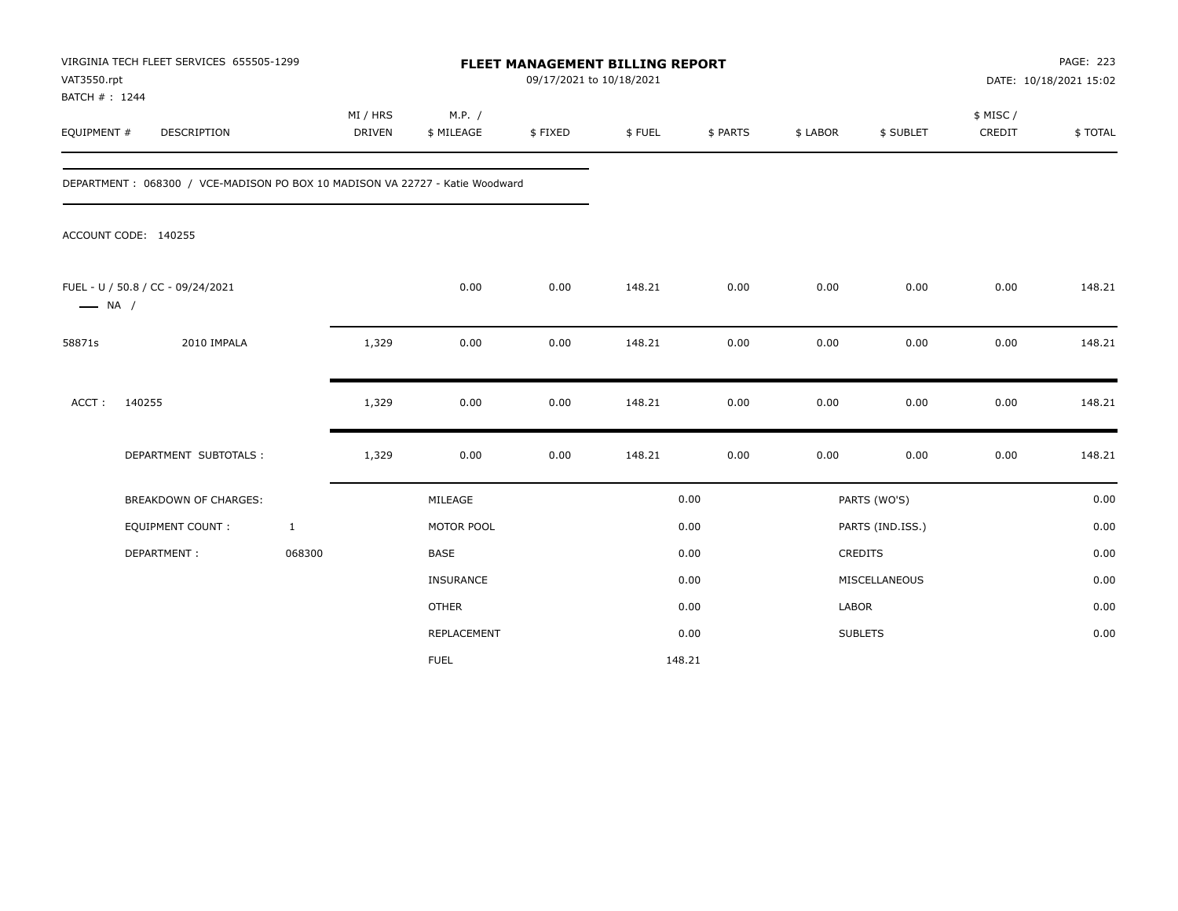| VAT3550.rpt<br>BATCH #: 1244 | VIRGINIA TECH FLEET SERVICES 655505-1299                                      |                           | FLEET MANAGEMENT BILLING REPORT<br>09/17/2021 to 10/18/2021 |                      |         |        |          |              |                  | PAGE: 223<br>DATE: 10/18/2021 15:02 |         |
|------------------------------|-------------------------------------------------------------------------------|---------------------------|-------------------------------------------------------------|----------------------|---------|--------|----------|--------------|------------------|-------------------------------------|---------|
| EQUIPMENT #                  | <b>DESCRIPTION</b>                                                            | MI / HRS<br><b>DRIVEN</b> |                                                             | M.P. /<br>\$ MILEAGE | \$FIXED | \$FUEL | \$ PARTS | \$ LABOR     | \$ SUBLET        | \$ MISC /<br>CREDIT                 | \$TOTAL |
|                              | DEPARTMENT : 068300 / VCE-MADISON PO BOX 10 MADISON VA 22727 - Katie Woodward |                           |                                                             |                      |         |        |          |              |                  |                                     |         |
|                              | ACCOUNT CODE: 140255                                                          |                           |                                                             |                      |         |        |          |              |                  |                                     |         |
| $\longrightarrow$ NA /       | FUEL - U / 50.8 / CC - 09/24/2021                                             |                           |                                                             | 0.00                 | 0.00    | 148.21 | 0.00     | 0.00         | 0.00             | 0.00                                | 148.21  |
| 58871s                       | 2010 IMPALA                                                                   | 1,329                     |                                                             | 0.00                 | 0.00    | 148.21 | 0.00     | 0.00         | 0.00             | 0.00                                | 148.21  |
| ACCT:                        | 140255                                                                        | 1,329                     |                                                             | 0.00                 | 0.00    | 148.21 | 0.00     | 0.00         | 0.00             | 0.00                                | 148.21  |
|                              | DEPARTMENT SUBTOTALS :                                                        | 1,329                     |                                                             | 0.00                 | 0.00    | 148.21 | 0.00     | 0.00         | 0.00             | 0.00                                | 148.21  |
|                              | <b>BREAKDOWN OF CHARGES:</b>                                                  |                           |                                                             | MILEAGE              |         |        | 0.00     |              | PARTS (WO'S)     |                                     | 0.00    |
|                              | <b>EQUIPMENT COUNT:</b>                                                       | $\mathbf{1}$              |                                                             | MOTOR POOL           |         |        | 0.00     |              | PARTS (IND.ISS.) |                                     | 0.00    |
|                              | DEPARTMENT:                                                                   | 068300                    |                                                             | <b>BASE</b>          |         |        | 0.00     |              | <b>CREDITS</b>   |                                     | 0.00    |
|                              |                                                                               |                           |                                                             | INSURANCE            |         |        | 0.00     |              | MISCELLANEOUS    |                                     | 0.00    |
|                              |                                                                               |                           |                                                             | <b>OTHER</b>         |         |        | 0.00     | <b>LABOR</b> |                  |                                     | 0.00    |
|                              |                                                                               |                           |                                                             | REPLACEMENT          |         |        | 0.00     |              | <b>SUBLETS</b>   |                                     | 0.00    |
|                              |                                                                               |                           |                                                             | <b>FUEL</b>          |         | 148.21 |          |              |                  |                                     |         |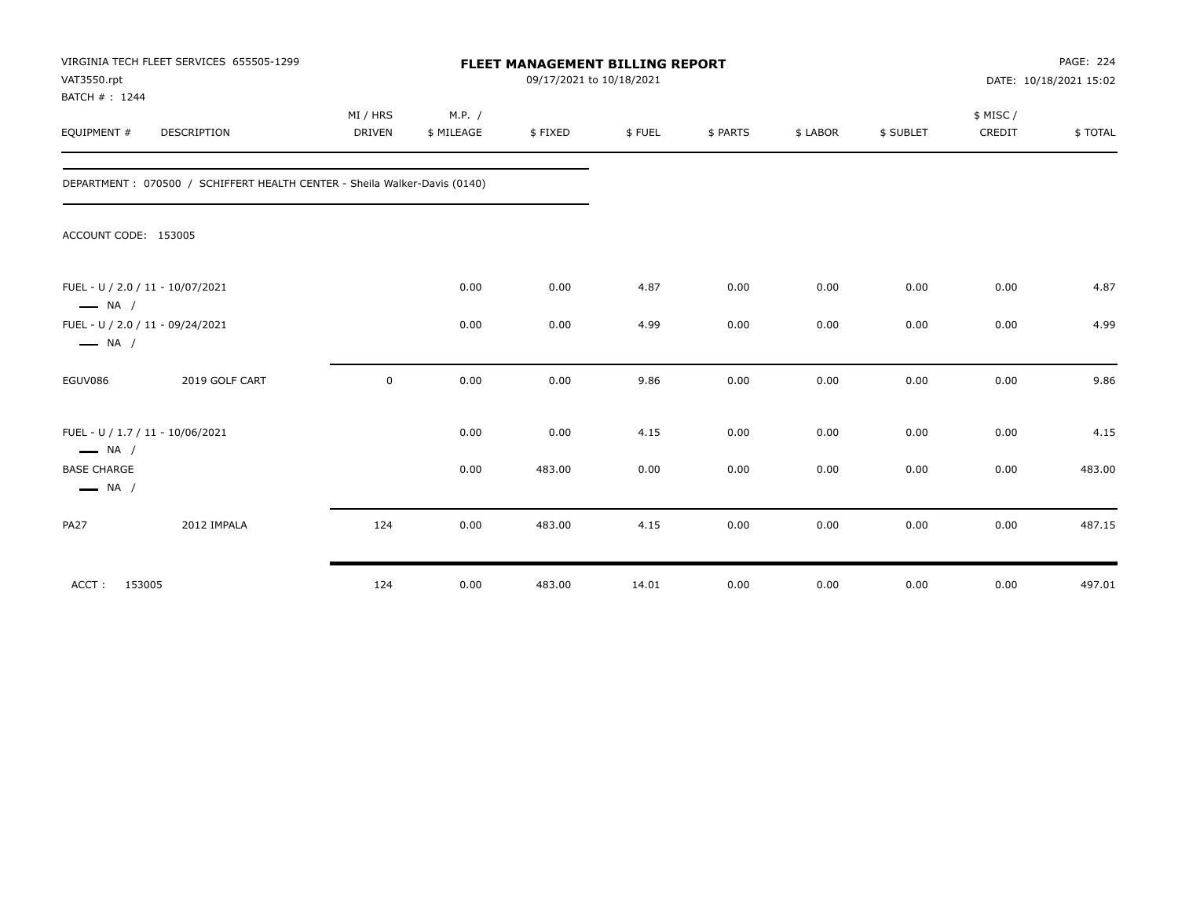| VAT3550.rpt<br>BATCH #: 1244                               | VIRGINIA TECH FLEET SERVICES 655505-1299                                  | FLEET MANAGEMENT BILLING REPORT<br>09/17/2021 to 10/18/2021 |                      |         |        |          |          |           | PAGE: 224<br>DATE: 10/18/2021 15:02 |          |
|------------------------------------------------------------|---------------------------------------------------------------------------|-------------------------------------------------------------|----------------------|---------|--------|----------|----------|-----------|-------------------------------------|----------|
| EQUIPMENT #                                                | DESCRIPTION                                                               | MI / HRS<br><b>DRIVEN</b>                                   | M.P. /<br>\$ MILEAGE | \$FIXED | \$FUEL | \$ PARTS | \$ LABOR | \$ SUBLET | \$ MISC /<br>CREDIT                 | \$ TOTAL |
|                                                            | DEPARTMENT: 070500 / SCHIFFERT HEALTH CENTER - Sheila Walker-Davis (0140) |                                                             |                      |         |        |          |          |           |                                     |          |
| ACCOUNT CODE: 153005                                       |                                                                           |                                                             |                      |         |        |          |          |           |                                     |          |
| FUEL - U / 2.0 / 11 - 10/07/2021<br>$\longrightarrow$ NA / |                                                                           |                                                             | 0.00                 | 0.00    | 4.87   | 0.00     | 0.00     | 0.00      | 0.00                                | 4.87     |
| FUEL - U / 2.0 / 11 - 09/24/2021<br>$\longrightarrow$ NA / |                                                                           |                                                             | 0.00                 | 0.00    | 4.99   | 0.00     | 0.00     | 0.00      | 0.00                                | 4.99     |
| EGUV086                                                    | 2019 GOLF CART                                                            | $\mathbf 0$                                                 | 0.00                 | 0.00    | 9.86   | 0.00     | 0.00     | 0.00      | 0.00                                | 9.86     |
| FUEL - U / 1.7 / 11 - 10/06/2021<br>$\longrightarrow$ NA / |                                                                           |                                                             | 0.00                 | 0.00    | 4.15   | 0.00     | 0.00     | 0.00      | 0.00                                | 4.15     |
| <b>BASE CHARGE</b><br>$\longrightarrow$ NA /               |                                                                           |                                                             | 0.00                 | 483.00  | 0.00   | 0.00     | 0.00     | 0.00      | 0.00                                | 483.00   |
| <b>PA27</b>                                                | 2012 IMPALA                                                               | 124                                                         | 0.00                 | 483.00  | 4.15   | 0.00     | 0.00     | 0.00      | 0.00                                | 487.15   |
| ACCT: 153005                                               |                                                                           | 124                                                         | 0.00                 | 483.00  | 14.01  | 0.00     | 0.00     | 0.00      | 0.00                                | 497.01   |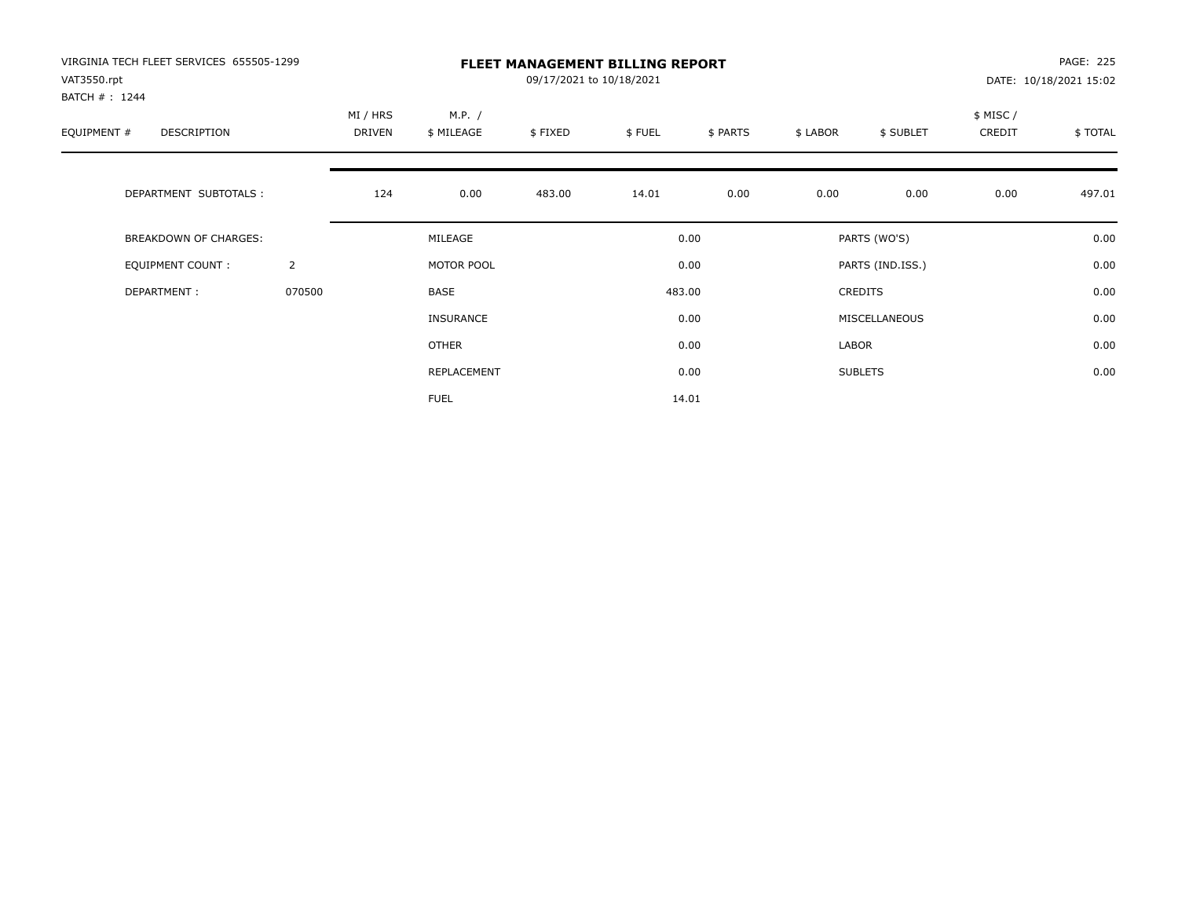| VIRGINIA TECH FLEET SERVICES 655505-1299<br>VAT3550.rpt<br>BATCH #: 1244 |                | <b>FLEET MANAGEMENT BILLING REPORT</b><br>09/17/2021 to 10/18/2021 |                      |         |        |          |          |                  |                     | <b>PAGE: 225</b><br>DATE: 10/18/2021 15:02 |  |
|--------------------------------------------------------------------------|----------------|--------------------------------------------------------------------|----------------------|---------|--------|----------|----------|------------------|---------------------|--------------------------------------------|--|
| EQUIPMENT #<br>DESCRIPTION                                               |                | MI / HRS<br>DRIVEN                                                 | M.P. /<br>\$ MILEAGE | \$FIXED | \$FUEL | \$ PARTS | \$ LABOR | \$ SUBLET        | \$ MISC /<br>CREDIT | \$TOTAL                                    |  |
| DEPARTMENT SUBTOTALS :                                                   |                | 124                                                                | 0.00                 | 483.00  | 14.01  | 0.00     | 0.00     | 0.00             | 0.00                | 497.01                                     |  |
| <b>BREAKDOWN OF CHARGES:</b>                                             |                |                                                                    | MILEAGE              |         |        | 0.00     |          | PARTS (WO'S)     |                     | 0.00                                       |  |
| EQUIPMENT COUNT:                                                         | $\overline{2}$ |                                                                    | MOTOR POOL           |         |        | 0.00     |          | PARTS (IND.ISS.) |                     | 0.00                                       |  |
| DEPARTMENT:                                                              | 070500         |                                                                    | <b>BASE</b>          |         |        | 483.00   |          | <b>CREDITS</b>   |                     | 0.00                                       |  |
|                                                                          |                |                                                                    | <b>INSURANCE</b>     |         |        | 0.00     |          | MISCELLANEOUS    |                     | 0.00                                       |  |
|                                                                          |                |                                                                    | <b>OTHER</b>         |         |        | 0.00     | LABOR    |                  |                     | 0.00                                       |  |
|                                                                          |                |                                                                    | REPLACEMENT          |         |        | 0.00     |          | <b>SUBLETS</b>   |                     | 0.00                                       |  |
|                                                                          |                |                                                                    | <b>FUEL</b>          |         |        | 14.01    |          |                  |                     |                                            |  |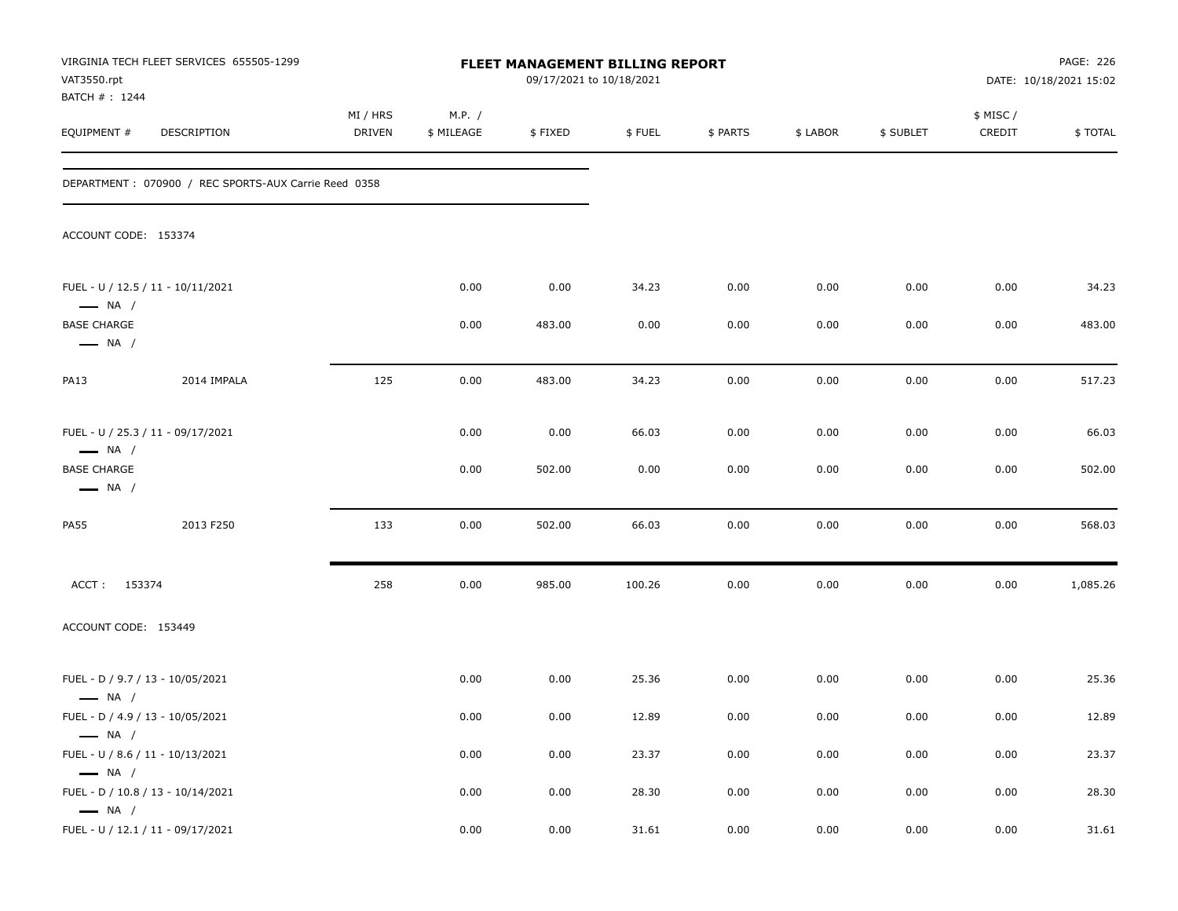| VAT3550.rpt                                                            | VIRGINIA TECH FLEET SERVICES 655505-1299             | FLEET MANAGEMENT BILLING REPORT<br>09/17/2021 to 10/18/2021 |                      |                |               |              |              |              | PAGE: 226<br>DATE: 10/18/2021 15:02 |                 |
|------------------------------------------------------------------------|------------------------------------------------------|-------------------------------------------------------------|----------------------|----------------|---------------|--------------|--------------|--------------|-------------------------------------|-----------------|
| BATCH # : 1244<br>EQUIPMENT #                                          | DESCRIPTION                                          | MI / HRS<br>DRIVEN                                          | M.P. /<br>\$ MILEAGE | \$FIXED        | \$FUEL        | \$ PARTS     | \$ LABOR     | \$ SUBLET    | \$ MISC/<br>CREDIT                  | \$TOTAL         |
|                                                                        | DEPARTMENT: 070900 / REC SPORTS-AUX Carrie Reed 0358 |                                                             |                      |                |               |              |              |              |                                     |                 |
| ACCOUNT CODE: 153374                                                   |                                                      |                                                             |                      |                |               |              |              |              |                                     |                 |
|                                                                        | FUEL - U / 12.5 / 11 - 10/11/2021                    |                                                             | 0.00                 | 0.00           | 34.23         | 0.00         | 0.00         | 0.00         | 0.00                                | 34.23           |
| $\longrightarrow$ NA /<br><b>BASE CHARGE</b><br>$\longrightarrow$ NA / |                                                      |                                                             | 0.00                 | 483.00         | 0.00          | 0.00         | 0.00         | 0.00         | 0.00                                | 483.00          |
| <b>PA13</b>                                                            | 2014 IMPALA                                          | 125                                                         | 0.00                 | 483.00         | 34.23         | 0.00         | 0.00         | 0.00         | 0.00                                | 517.23          |
| $\longrightarrow$ NA /<br><b>BASE CHARGE</b><br>$\longrightarrow$ NA / | FUEL - U / 25.3 / 11 - 09/17/2021                    |                                                             | 0.00<br>0.00         | 0.00<br>502.00 | 66.03<br>0.00 | 0.00<br>0.00 | 0.00<br>0.00 | 0.00<br>0.00 | 0.00<br>0.00                        | 66.03<br>502.00 |
| <b>PA55</b>                                                            | 2013 F250                                            | 133                                                         | 0.00                 | 502.00         | 66.03         | 0.00         | 0.00         | 0.00         | 0.00                                | 568.03          |
| ACCT: 153374                                                           |                                                      | 258                                                         | 0.00                 | 985.00         | 100.26        | 0.00         | 0.00         | 0.00         | 0.00                                | 1,085.26        |
| ACCOUNT CODE: 153449                                                   |                                                      |                                                             |                      |                |               |              |              |              |                                     |                 |
| $\longrightarrow$ NA /                                                 | FUEL - D / 9.7 / 13 - 10/05/2021                     |                                                             | 0.00                 | 0.00           | 25.36         | 0.00         | 0.00         | 0.00         | 0.00                                | 25.36           |
|                                                                        | FUEL - D / 4.9 / 13 - 10/05/2021                     |                                                             | 0.00                 | 0.00           | 12.89         | 0.00         | 0.00         | 0.00         | 0.00                                | 12.89           |
| $\longrightarrow$ NA /<br>$\longrightarrow$ NA /                       | FUEL - U / 8.6 / 11 - 10/13/2021                     |                                                             | 0.00                 | 0.00           | 23.37         | 0.00         | 0.00         | 0.00         | $0.00\,$                            | 23.37           |
| $\longrightarrow$ NA /                                                 | FUEL - D / 10.8 / 13 - 10/14/2021                    |                                                             | 0.00                 | 0.00           | 28.30         | 0.00         | 0.00         | 0.00         | 0.00                                | 28.30           |
|                                                                        | FUEL - U / 12.1 / 11 - 09/17/2021                    |                                                             | 0.00                 | 0.00           | 31.61         | 0.00         | 0.00         | 0.00         | 0.00                                | 31.61           |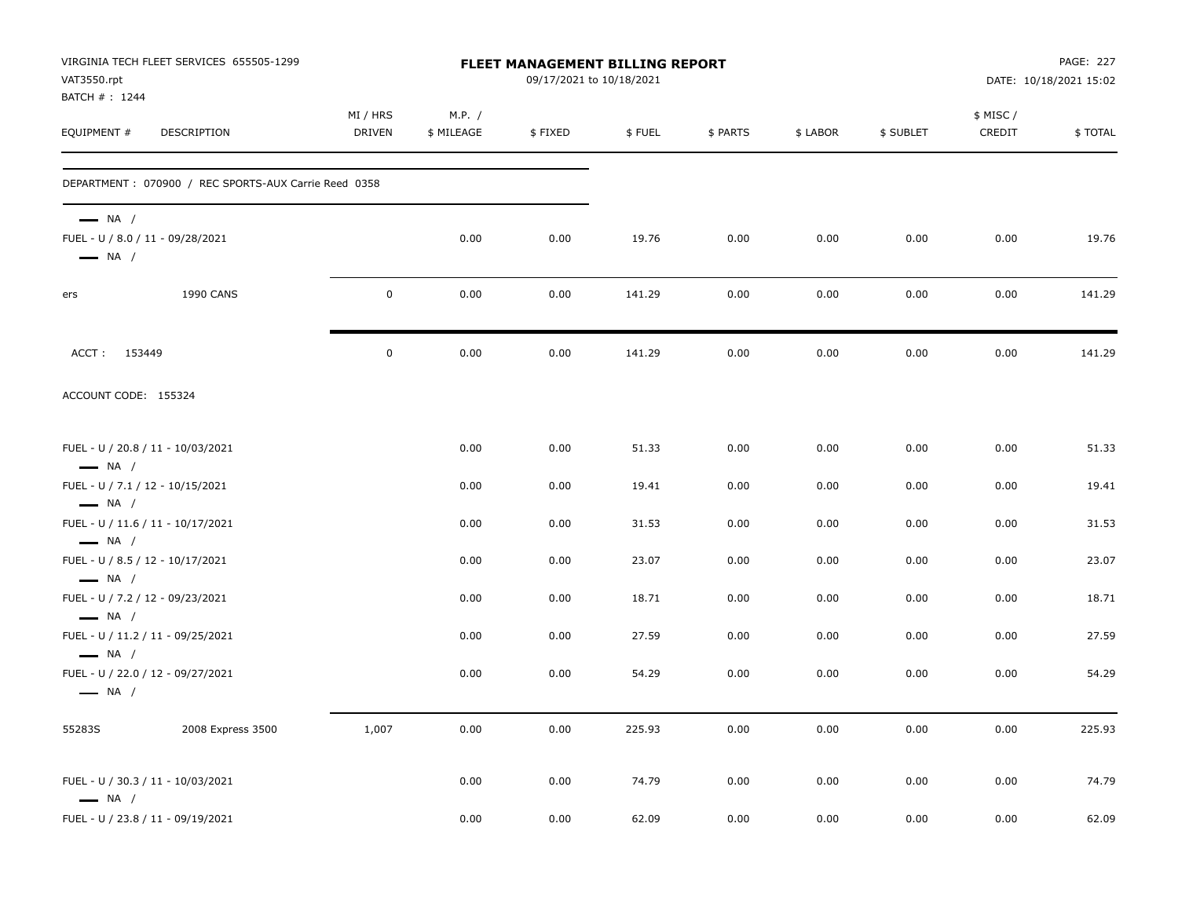| VAT3550.rpt                                                                          | VIRGINIA TECH FLEET SERVICES 655505-1299             |                    |                      | FLEET MANAGEMENT BILLING REPORT<br>09/17/2021 to 10/18/2021 |        |          |          |           |                     | PAGE: 227<br>DATE: 10/18/2021 15:02 |
|--------------------------------------------------------------------------------------|------------------------------------------------------|--------------------|----------------------|-------------------------------------------------------------|--------|----------|----------|-----------|---------------------|-------------------------------------|
| BATCH #: 1244<br>EQUIPMENT #                                                         | DESCRIPTION                                          | MI / HRS<br>DRIVEN | M.P. /<br>\$ MILEAGE | \$FIXED                                                     | \$FUEL | \$ PARTS | \$ LABOR | \$ SUBLET | \$ MISC /<br>CREDIT | \$TOTAL                             |
|                                                                                      | DEPARTMENT: 070900 / REC SPORTS-AUX Carrie Reed 0358 |                    |                      |                                                             |        |          |          |           |                     |                                     |
| $\longrightarrow$ NA /<br>FUEL - U / 8.0 / 11 - 09/28/2021<br>$\longrightarrow$ NA / |                                                      |                    | 0.00                 | 0.00                                                        | 19.76  | 0.00     | 0.00     | 0.00      | 0.00                | 19.76                               |
| ers                                                                                  | 1990 CANS                                            | $\mathbf 0$        | 0.00                 | 0.00                                                        | 141.29 | 0.00     | 0.00     | 0.00      | 0.00                | 141.29                              |
| ACCT: 153449                                                                         |                                                      | $\mathbf 0$        | 0.00                 | 0.00                                                        | 141.29 | 0.00     | 0.00     | 0.00      | 0.00                | 141.29                              |
| ACCOUNT CODE: 155324                                                                 |                                                      |                    |                      |                                                             |        |          |          |           |                     |                                     |
| $\longrightarrow$ NA /                                                               | FUEL - U / 20.8 / 11 - 10/03/2021                    |                    | 0.00                 | 0.00                                                        | 51.33  | 0.00     | 0.00     | 0.00      | 0.00                | 51.33                               |
| FUEL - U / 7.1 / 12 - 10/15/2021                                                     |                                                      |                    | 0.00                 | 0.00                                                        | 19.41  | 0.00     | 0.00     | 0.00      | 0.00                | 19.41                               |
| $\longrightarrow$ NA /<br>$\longrightarrow$ NA /                                     | FUEL - U / 11.6 / 11 - 10/17/2021                    |                    | 0.00                 | 0.00                                                        | 31.53  | 0.00     | 0.00     | 0.00      | 0.00                | 31.53                               |
| FUEL - U / 8.5 / 12 - 10/17/2021<br>$\longrightarrow$ NA /                           |                                                      |                    | 0.00                 | 0.00                                                        | 23.07  | 0.00     | 0.00     | 0.00      | 0.00                | 23.07                               |
| FUEL - U / 7.2 / 12 - 09/23/2021<br>$\longrightarrow$ NA /                           |                                                      |                    | 0.00                 | 0.00                                                        | 18.71  | 0.00     | 0.00     | 0.00      | 0.00                | 18.71                               |
|                                                                                      | FUEL - U / 11.2 / 11 - 09/25/2021                    |                    | 0.00                 | 0.00                                                        | 27.59  | 0.00     | 0.00     | 0.00      | 0.00                | 27.59                               |
| $\longrightarrow$ NA /<br>$\longrightarrow$ NA /                                     | FUEL - U / 22.0 / 12 - 09/27/2021                    |                    | 0.00                 | 0.00                                                        | 54.29  | 0.00     | 0.00     | 0.00      | 0.00                | 54.29                               |
| 55283S                                                                               | 2008 Express 3500                                    | 1,007              | 0.00                 | 0.00                                                        | 225.93 | 0.00     | 0.00     | 0.00      | 0.00                | 225.93                              |
| $\longrightarrow$ NA /                                                               | FUEL - U / 30.3 / 11 - 10/03/2021                    |                    | 0.00                 | 0.00                                                        | 74.79  | 0.00     | 0.00     | 0.00      | 0.00                | 74.79                               |
|                                                                                      | FUEL - U / 23.8 / 11 - 09/19/2021                    |                    | 0.00                 | 0.00                                                        | 62.09  | 0.00     | 0.00     | 0.00      | 0.00                | 62.09                               |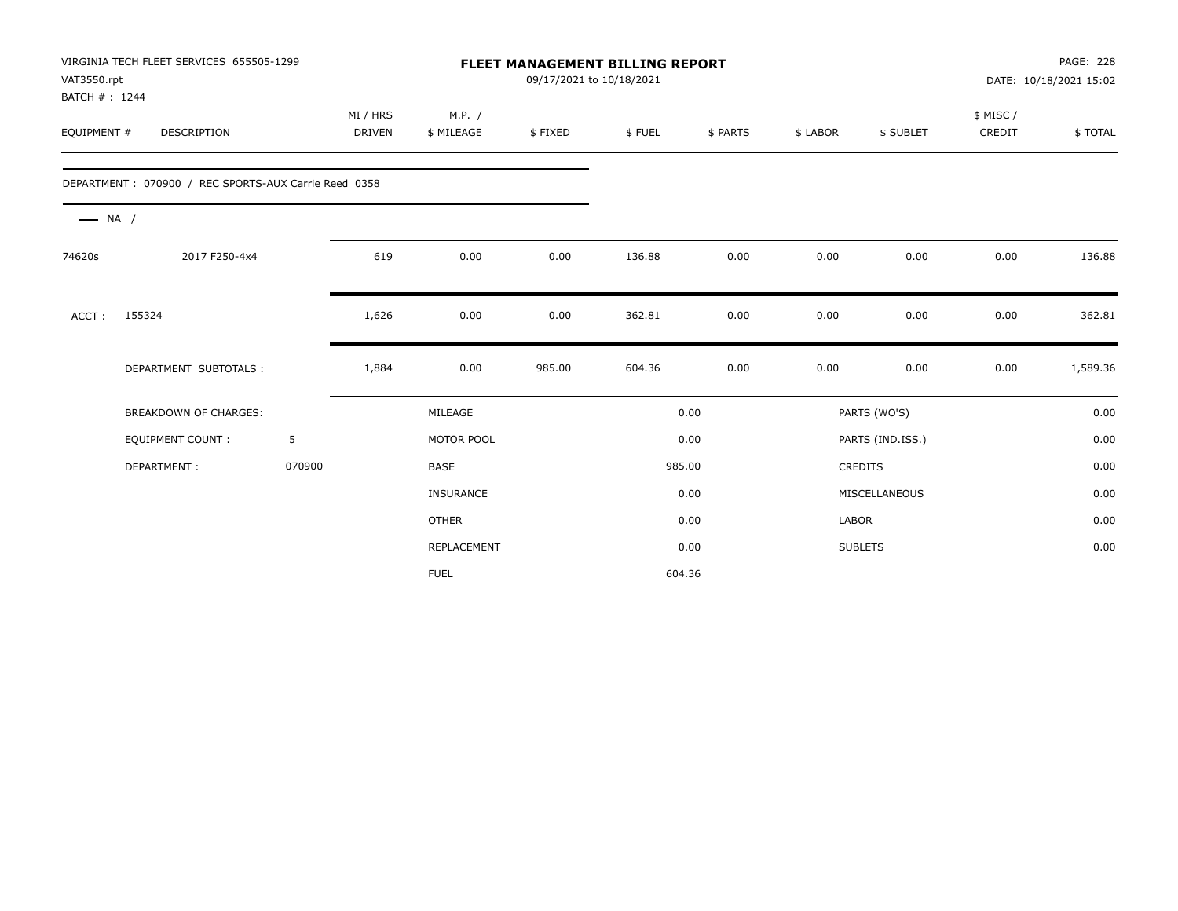|                        | VIRGINIA TECH FLEET SERVICES 655505-1299<br><b>FLEET MANAGEMENT BILLING REPORT</b><br>VAT3550.rpt<br>BATCH #: 1244 |        |                    |                      |         | 09/17/2021 to 10/18/2021 |          |          |                  |                    | PAGE: 228<br>DATE: 10/18/2021 15:02 |
|------------------------|--------------------------------------------------------------------------------------------------------------------|--------|--------------------|----------------------|---------|--------------------------|----------|----------|------------------|--------------------|-------------------------------------|
| EQUIPMENT #            | DESCRIPTION                                                                                                        |        | MI / HRS<br>DRIVEN | M.P. /<br>\$ MILEAGE | \$FIXED | \$FUEL                   | \$ PARTS | \$ LABOR | \$ SUBLET        | \$ MISC/<br>CREDIT | \$TOTAL                             |
|                        | DEPARTMENT: 070900 / REC SPORTS-AUX Carrie Reed 0358                                                               |        |                    |                      |         |                          |          |          |                  |                    |                                     |
| $\longrightarrow$ NA / |                                                                                                                    |        |                    |                      |         |                          |          |          |                  |                    |                                     |
| 74620s                 | 2017 F250-4x4                                                                                                      |        | 619                | 0.00                 | 0.00    | 136.88                   | 0.00     | 0.00     | 0.00             | 0.00               | 136.88                              |
| ACCT:                  | 155324                                                                                                             |        | 1,626              | 0.00                 | 0.00    | 362.81                   | 0.00     | 0.00     | 0.00             | 0.00               | 362.81                              |
|                        | DEPARTMENT SUBTOTALS :                                                                                             |        | 1,884              | 0.00                 | 985.00  | 604.36                   | 0.00     | 0.00     | 0.00             | 0.00               | 1,589.36                            |
|                        | <b>BREAKDOWN OF CHARGES:</b>                                                                                       |        |                    | MILEAGE              |         |                          | 0.00     |          | PARTS (WO'S)     |                    | 0.00                                |
|                        | <b>EQUIPMENT COUNT:</b>                                                                                            | 5      |                    | MOTOR POOL           |         |                          | 0.00     |          | PARTS (IND.ISS.) |                    | 0.00                                |
|                        | DEPARTMENT:                                                                                                        | 070900 |                    | <b>BASE</b>          |         |                          | 985.00   |          | <b>CREDITS</b>   |                    | 0.00                                |
|                        |                                                                                                                    |        |                    | <b>INSURANCE</b>     |         |                          | 0.00     |          | MISCELLANEOUS    |                    | 0.00                                |
|                        |                                                                                                                    |        |                    | <b>OTHER</b>         |         |                          | 0.00     | LABOR    |                  |                    | 0.00                                |
|                        |                                                                                                                    |        |                    | REPLACEMENT          |         |                          | 0.00     |          | <b>SUBLETS</b>   |                    | 0.00                                |
|                        |                                                                                                                    |        |                    | <b>FUEL</b>          |         | 604.36                   |          |          |                  |                    |                                     |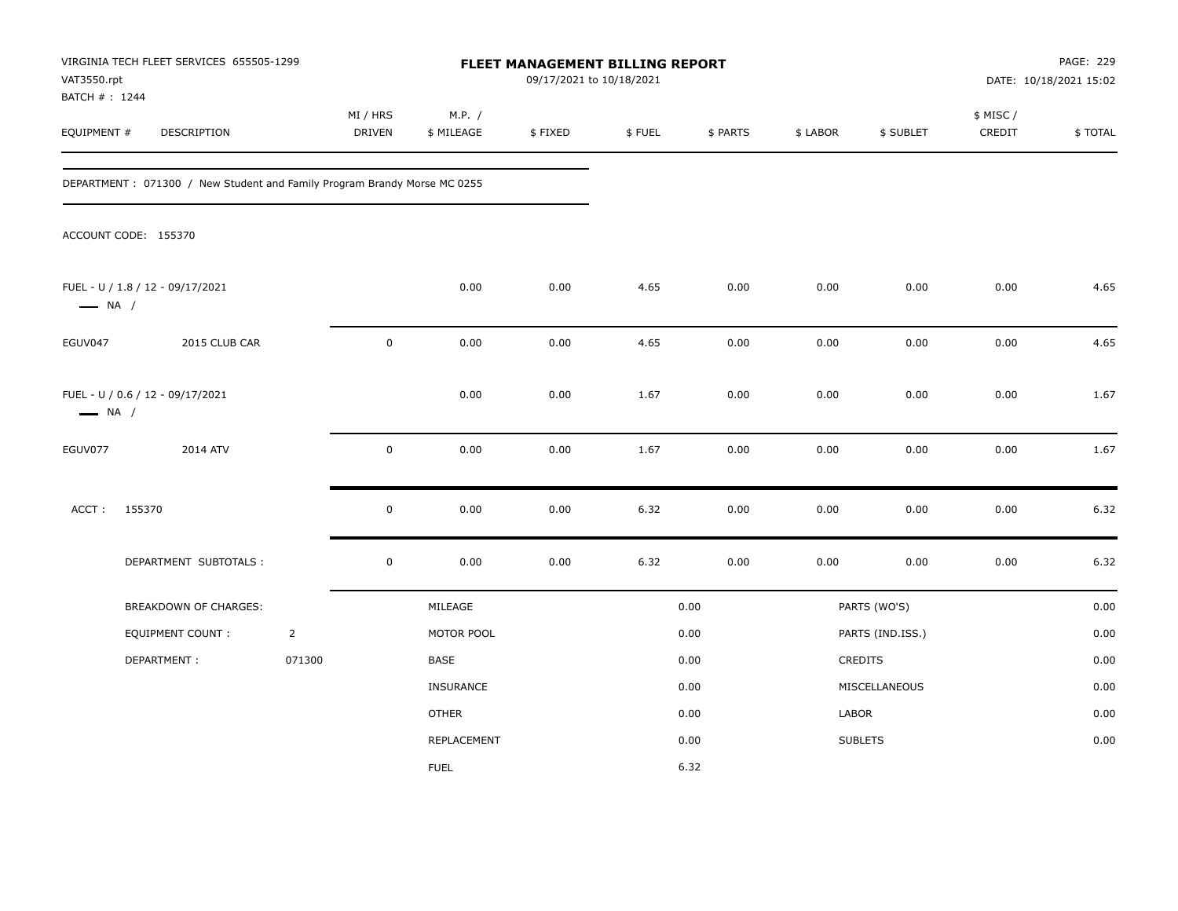| VAT3550.rpt<br>BATCH # : 1244 | VIRGINIA TECH FLEET SERVICES 655505-1299                                 |                |                    |                      | FLEET MANAGEMENT BILLING REPORT<br>09/17/2021 to 10/18/2021 |        |          |          |                  |                     | PAGE: 229<br>DATE: 10/18/2021 15:02 |
|-------------------------------|--------------------------------------------------------------------------|----------------|--------------------|----------------------|-------------------------------------------------------------|--------|----------|----------|------------------|---------------------|-------------------------------------|
| EQUIPMENT #                   | DESCRIPTION                                                              |                | MI / HRS<br>DRIVEN | M.P. /<br>\$ MILEAGE | \$FIXED                                                     | \$FUEL | \$ PARTS | \$ LABOR | \$ SUBLET        | \$ MISC /<br>CREDIT | \$TOTAL                             |
|                               | DEPARTMENT: 071300 / New Student and Family Program Brandy Morse MC 0255 |                |                    |                      |                                                             |        |          |          |                  |                     |                                     |
|                               | ACCOUNT CODE: 155370                                                     |                |                    |                      |                                                             |        |          |          |                  |                     |                                     |
| $\longrightarrow$ NA /        | FUEL - U / 1.8 / 12 - 09/17/2021                                         |                |                    | 0.00                 | 0.00                                                        | 4.65   | 0.00     | 0.00     | 0.00             | 0.00                | 4.65                                |
| EGUV047                       | 2015 CLUB CAR                                                            |                | $\pmb{0}$          | 0.00                 | 0.00                                                        | 4.65   | 0.00     | 0.00     | 0.00             | 0.00                | 4.65                                |
| $\longrightarrow$ NA /        | FUEL - U / 0.6 / 12 - 09/17/2021                                         |                |                    | 0.00                 | 0.00                                                        | 1.67   | 0.00     | 0.00     | 0.00             | 0.00                | 1.67                                |
| EGUV077                       | 2014 ATV                                                                 |                | $\mathbf 0$        | 0.00                 | 0.00                                                        | 1.67   | 0.00     | 0.00     | 0.00             | 0.00                | 1.67                                |
| ACCT:                         | 155370                                                                   |                | $\mathsf 0$        | 0.00                 | 0.00                                                        | 6.32   | 0.00     | 0.00     | 0.00             | 0.00                | 6.32                                |
|                               | DEPARTMENT SUBTOTALS :                                                   |                | $\mathsf 0$        | 0.00                 | 0.00                                                        | 6.32   | 0.00     | 0.00     | 0.00             | 0.00                | 6.32                                |
|                               | BREAKDOWN OF CHARGES:                                                    |                |                    | MILEAGE              |                                                             |        | 0.00     |          | PARTS (WO'S)     |                     | 0.00                                |
|                               | <b>EQUIPMENT COUNT:</b>                                                  | $\overline{2}$ |                    | MOTOR POOL           |                                                             |        | 0.00     |          | PARTS (IND.ISS.) |                     | 0.00                                |
|                               | DEPARTMENT:                                                              | 071300         |                    | BASE                 |                                                             |        | 0.00     |          | CREDITS          |                     | 0.00                                |
|                               |                                                                          |                |                    | INSURANCE            |                                                             |        | 0.00     |          | MISCELLANEOUS    |                     | 0.00                                |
|                               |                                                                          |                |                    | <b>OTHER</b>         |                                                             |        | 0.00     | LABOR    |                  |                     | 0.00                                |
|                               |                                                                          |                |                    | REPLACEMENT          |                                                             |        | 0.00     |          | <b>SUBLETS</b>   |                     | 0.00                                |
|                               |                                                                          |                |                    | <b>FUEL</b>          |                                                             |        | 6.32     |          |                  |                     |                                     |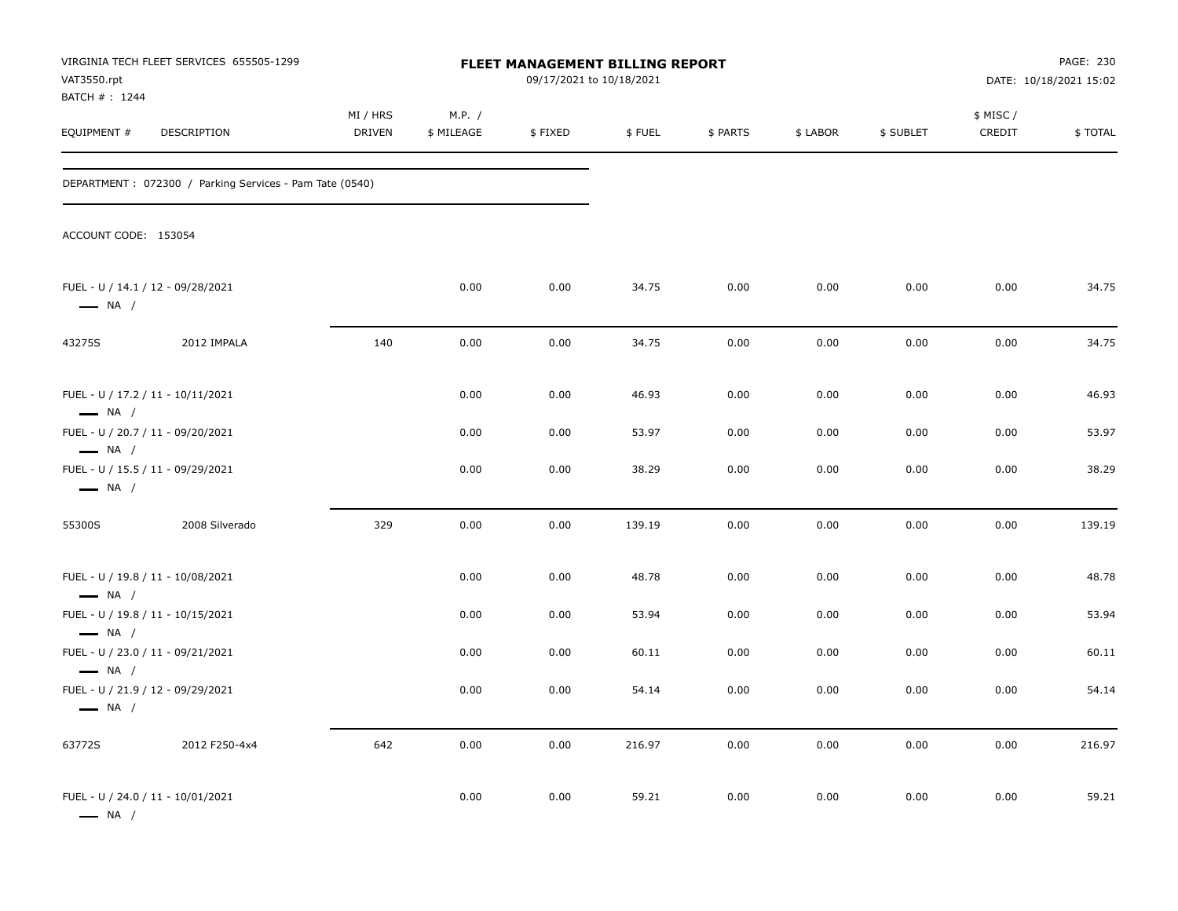| VAT3550.rpt                                      | VIRGINIA TECH FLEET SERVICES 655505-1299                 |                           |                      | FLEET MANAGEMENT BILLING REPORT<br>09/17/2021 to 10/18/2021 |        |          |          |           |                    | PAGE: 230<br>DATE: 10/18/2021 15:02 |
|--------------------------------------------------|----------------------------------------------------------|---------------------------|----------------------|-------------------------------------------------------------|--------|----------|----------|-----------|--------------------|-------------------------------------|
| BATCH #: 1244<br>EQUIPMENT #                     | DESCRIPTION                                              | MI / HRS<br><b>DRIVEN</b> | M.P. /<br>\$ MILEAGE | \$FIXED                                                     | \$FUEL | \$ PARTS | \$ LABOR | \$ SUBLET | \$ MISC/<br>CREDIT | \$TOTAL                             |
|                                                  | DEPARTMENT : 072300 / Parking Services - Pam Tate (0540) |                           |                      |                                                             |        |          |          |           |                    |                                     |
| ACCOUNT CODE: 153054                             |                                                          |                           |                      |                                                             |        |          |          |           |                    |                                     |
| $\longrightarrow$ NA /                           | FUEL - U / 14.1 / 12 - 09/28/2021                        |                           | 0.00                 | 0.00                                                        | 34.75  | 0.00     | 0.00     | 0.00      | 0.00               | 34.75                               |
| 43275S                                           | 2012 IMPALA                                              | 140                       | 0.00                 | 0.00                                                        | 34.75  | 0.00     | 0.00     | 0.00      | 0.00               | 34.75                               |
| $\longrightarrow$ NA /                           | FUEL - U / 17.2 / 11 - 10/11/2021                        |                           | 0.00                 | 0.00                                                        | 46.93  | 0.00     | 0.00     | 0.00      | 0.00               | 46.93                               |
| $\longrightarrow$ NA /                           | FUEL - U / 20.7 / 11 - 09/20/2021                        |                           | 0.00                 | 0.00                                                        | 53.97  | 0.00     | 0.00     | 0.00      | 0.00               | 53.97                               |
| $\longrightarrow$ NA /                           | FUEL - U / 15.5 / 11 - 09/29/2021                        |                           | 0.00                 | 0.00                                                        | 38.29  | 0.00     | 0.00     | 0.00      | 0.00               | 38.29                               |
| 55300S                                           | 2008 Silverado                                           | 329                       | 0.00                 | 0.00                                                        | 139.19 | 0.00     | 0.00     | 0.00      | 0.00               | 139.19                              |
| $\longrightarrow$ NA /                           | FUEL - U / 19.8 / 11 - 10/08/2021                        |                           | 0.00                 | 0.00                                                        | 48.78  | 0.00     | 0.00     | 0.00      | 0.00               | 48.78                               |
|                                                  | FUEL - U / 19.8 / 11 - 10/15/2021                        |                           | 0.00                 | 0.00                                                        | 53.94  | 0.00     | 0.00     | 0.00      | 0.00               | 53.94                               |
| $\longrightarrow$ NA /<br>$\longrightarrow$ NA / | FUEL - U / 23.0 / 11 - 09/21/2021                        |                           | 0.00                 | 0.00                                                        | 60.11  | 0.00     | 0.00     | 0.00      | 0.00               | 60.11                               |
| $\longrightarrow$ NA /                           | FUEL - U / 21.9 / 12 - 09/29/2021                        |                           | 0.00                 | 0.00                                                        | 54.14  | 0.00     | 0.00     | 0.00      | 0.00               | 54.14                               |
| 63772S                                           | 2012 F250-4x4                                            | 642                       | 0.00                 | 0.00                                                        | 216.97 | 0.00     | 0.00     | 0.00      | 0.00               | 216.97                              |
| $\longrightarrow$ NA /                           | FUEL - U / 24.0 / 11 - 10/01/2021                        |                           | 0.00                 | 0.00                                                        | 59.21  | 0.00     | 0.00     | 0.00      | 0.00               | 59.21                               |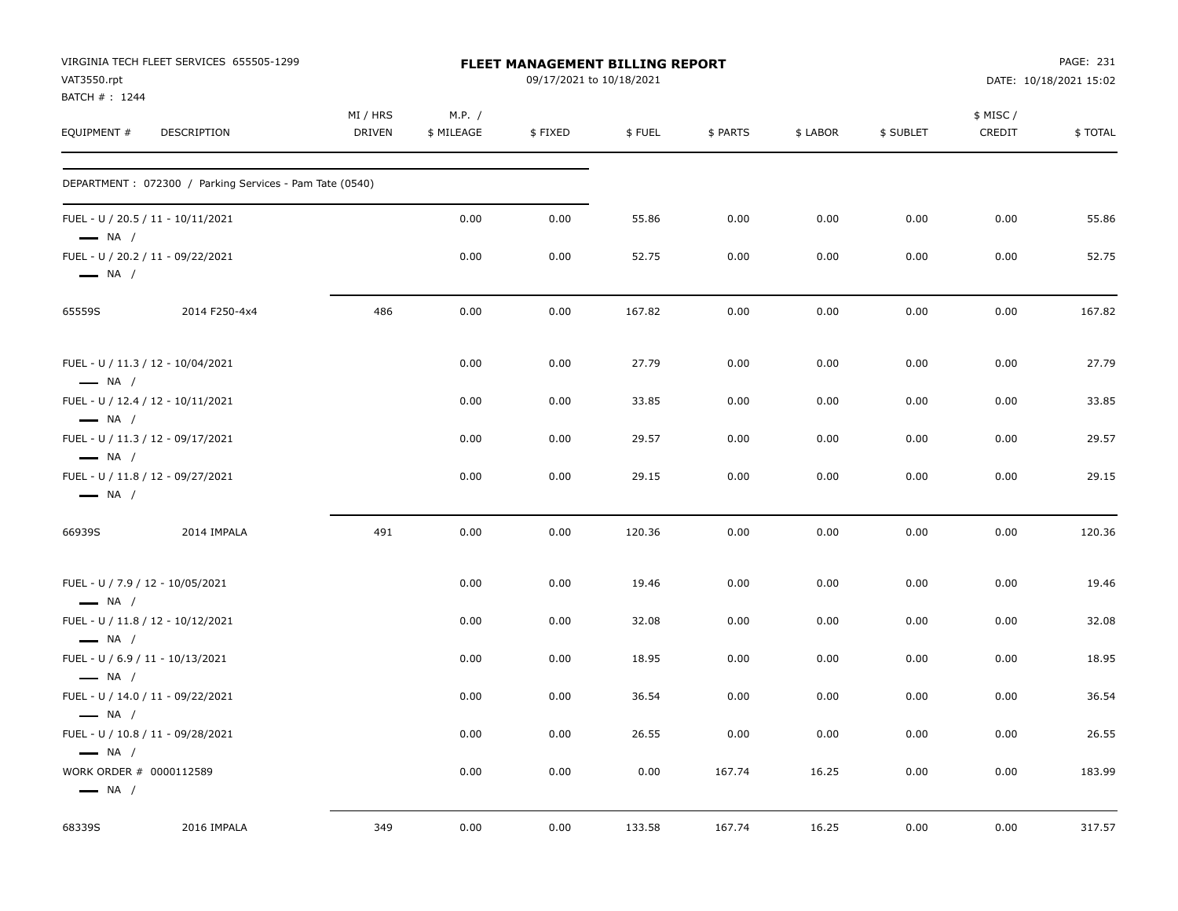| VAT3550.rpt<br>BATCH #: 1244                                | VIRGINIA TECH FLEET SERVICES 655505-1299                |                    |                      | FLEET MANAGEMENT BILLING REPORT<br>09/17/2021 to 10/18/2021 |        |          |          |           |                    | PAGE: 231<br>DATE: 10/18/2021 15:02 |
|-------------------------------------------------------------|---------------------------------------------------------|--------------------|----------------------|-------------------------------------------------------------|--------|----------|----------|-----------|--------------------|-------------------------------------|
| EQUIPMENT #                                                 | DESCRIPTION                                             | MI / HRS<br>DRIVEN | M.P. /<br>\$ MILEAGE | \$FIXED                                                     | \$FUEL | \$ PARTS | \$ LABOR | \$ SUBLET | \$ MISC/<br>CREDIT | \$TOTAL                             |
|                                                             | DEPARTMENT: 072300 / Parking Services - Pam Tate (0540) |                    |                      |                                                             |        |          |          |           |                    |                                     |
| $-$ NA $/$                                                  | FUEL - U / 20.5 / 11 - 10/11/2021                       |                    | 0.00                 | 0.00                                                        | 55.86  | 0.00     | 0.00     | 0.00      | 0.00               | 55.86                               |
| $\longrightarrow$ NA /                                      | FUEL - U / 20.2 / 11 - 09/22/2021                       |                    | 0.00                 | 0.00                                                        | 52.75  | 0.00     | 0.00     | 0.00      | 0.00               | 52.75                               |
| 65559S                                                      | 2014 F250-4x4                                           | 486                | 0.00                 | 0.00                                                        | 167.82 | 0.00     | 0.00     | 0.00      | 0.00               | 167.82                              |
| $\longrightarrow$ NA /                                      | FUEL - U / 11.3 / 12 - 10/04/2021                       |                    | 0.00                 | 0.00                                                        | 27.79  | 0.00     | 0.00     | 0.00      | 0.00               | 27.79                               |
| $\longrightarrow$ NA /                                      | FUEL - U / 12.4 / 12 - 10/11/2021                       |                    | 0.00                 | 0.00                                                        | 33.85  | 0.00     | 0.00     | 0.00      | 0.00               | 33.85                               |
| FUEL - U / 11.3 / 12 - 09/17/2021<br>$\longrightarrow$ NA / |                                                         |                    | 0.00                 | 0.00                                                        | 29.57  | 0.00     | 0.00     | 0.00      | 0.00               | 29.57                               |
| $\longrightarrow$ NA /                                      | FUEL - U / 11.8 / 12 - 09/27/2021                       |                    | 0.00                 | 0.00                                                        | 29.15  | 0.00     | 0.00     | 0.00      | 0.00               | 29.15                               |
| 66939S                                                      | 2014 IMPALA                                             | 491                | 0.00                 | 0.00                                                        | 120.36 | 0.00     | 0.00     | 0.00      | 0.00               | 120.36                              |
| FUEL - U / 7.9 / 12 - 10/05/2021<br>$\longrightarrow$ NA /  |                                                         |                    | 0.00                 | 0.00                                                        | 19.46  | 0.00     | 0.00     | 0.00      | 0.00               | 19.46                               |
| $\longrightarrow$ NA /                                      | FUEL - U / 11.8 / 12 - 10/12/2021                       |                    | 0.00                 | 0.00                                                        | 32.08  | 0.00     | 0.00     | 0.00      | 0.00               | 32.08                               |
| FUEL - U / 6.9 / 11 - 10/13/2021<br>$\longrightarrow$ NA /  |                                                         |                    | 0.00                 | 0.00                                                        | 18.95  | 0.00     | 0.00     | 0.00      | 0.00               | 18.95                               |
| $\longrightarrow$ NA /                                      | FUEL - U / 14.0 / 11 - 09/22/2021                       |                    | 0.00                 | 0.00                                                        | 36.54  | 0.00     | 0.00     | 0.00      | 0.00               | 36.54                               |
| $\longrightarrow$ NA /                                      | FUEL - U / 10.8 / 11 - 09/28/2021                       |                    | 0.00                 | 0.00                                                        | 26.55  | 0.00     | 0.00     | 0.00      | 0.00               | 26.55                               |
| WORK ORDER # 0000112589<br>$\longrightarrow$ NA /           |                                                         |                    | 0.00                 | 0.00                                                        | 0.00   | 167.74   | 16.25    | 0.00      | 0.00               | 183.99                              |
| 68339S                                                      | 2016 IMPALA                                             | 349                | 0.00                 | 0.00                                                        | 133.58 | 167.74   | 16.25    | 0.00      | 0.00               | 317.57                              |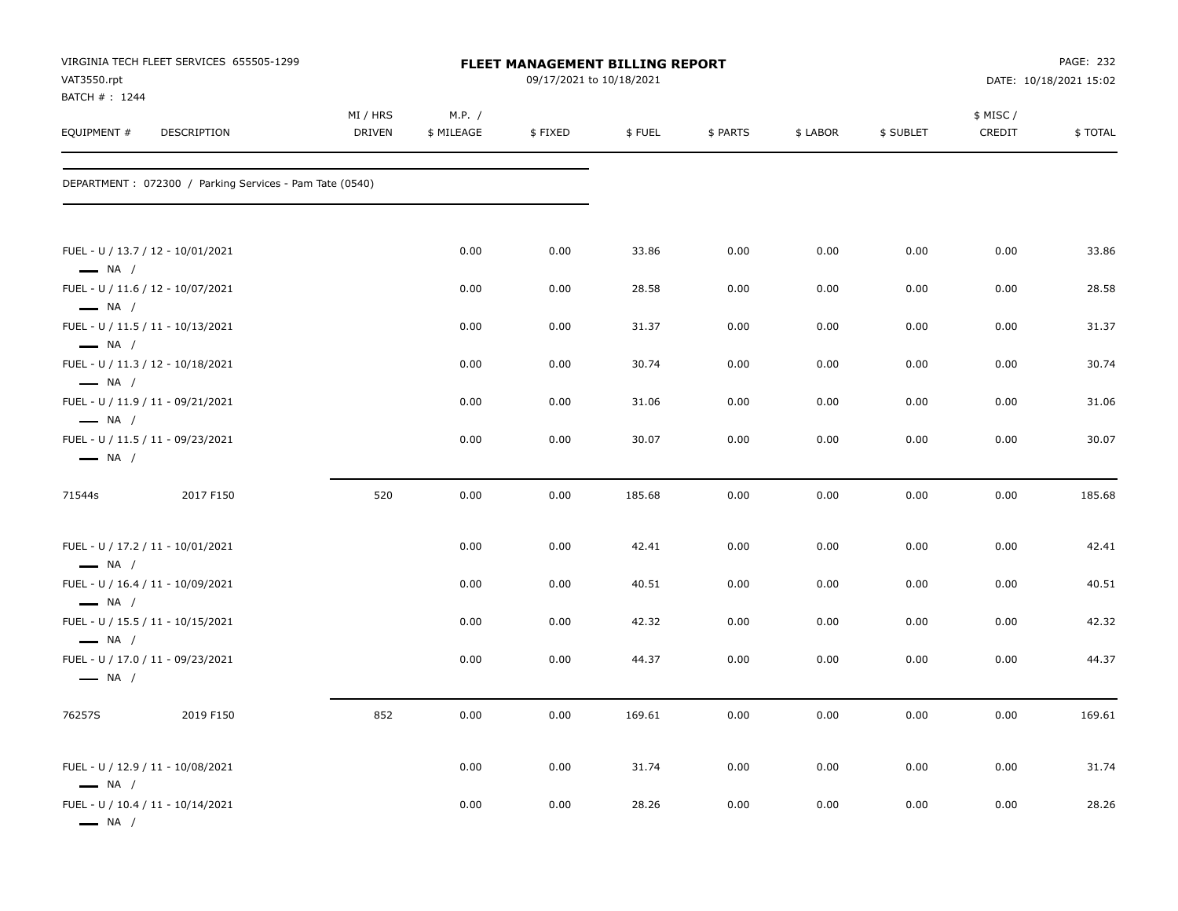| VAT3550.rpt                                      | VIRGINIA TECH FLEET SERVICES 655505-1299                |                           |                      | FLEET MANAGEMENT BILLING REPORT<br>09/17/2021 to 10/18/2021 |        |          |          |           |                     | PAGE: 232<br>DATE: 10/18/2021 15:02 |
|--------------------------------------------------|---------------------------------------------------------|---------------------------|----------------------|-------------------------------------------------------------|--------|----------|----------|-----------|---------------------|-------------------------------------|
| BATCH #: 1244<br>EQUIPMENT #                     | DESCRIPTION                                             | MI / HRS<br><b>DRIVEN</b> | M.P. /<br>\$ MILEAGE | \$FIXED                                                     | \$FUEL | \$ PARTS | \$ LABOR | \$ SUBLET | \$ MISC /<br>CREDIT | \$TOTAL                             |
|                                                  | DEPARTMENT: 072300 / Parking Services - Pam Tate (0540) |                           |                      |                                                             |        |          |          |           |                     |                                     |
| $\longrightarrow$ NA /                           | FUEL - U / 13.7 / 12 - 10/01/2021                       |                           | 0.00                 | 0.00                                                        | 33.86  | 0.00     | 0.00     | 0.00      | 0.00                | 33.86                               |
|                                                  | FUEL - U / 11.6 / 12 - 10/07/2021                       |                           | 0.00                 | 0.00                                                        | 28.58  | 0.00     | 0.00     | 0.00      | 0.00                | 28.58                               |
| $\longrightarrow$ NA /<br>$\longrightarrow$ NA / | FUEL - U / 11.5 / 11 - 10/13/2021                       |                           | 0.00                 | 0.00                                                        | 31.37  | 0.00     | 0.00     | 0.00      | 0.00                | 31.37                               |
| $\longrightarrow$ NA /                           | FUEL - U / 11.3 / 12 - 10/18/2021                       |                           | 0.00                 | 0.00                                                        | 30.74  | 0.00     | 0.00     | 0.00      | 0.00                | 30.74                               |
| $\longrightarrow$ NA /                           | FUEL - U / 11.9 / 11 - 09/21/2021                       |                           | 0.00                 | 0.00                                                        | 31.06  | 0.00     | 0.00     | 0.00      | 0.00                | 31.06                               |
| $\longrightarrow$ NA /                           | FUEL - U / 11.5 / 11 - 09/23/2021                       |                           | 0.00                 | 0.00                                                        | 30.07  | 0.00     | 0.00     | 0.00      | 0.00                | 30.07                               |
| 71544s                                           | 2017 F150                                               | 520                       | 0.00                 | 0.00                                                        | 185.68 | 0.00     | 0.00     | 0.00      | 0.00                | 185.68                              |
| $\longrightarrow$ NA /                           | FUEL - U / 17.2 / 11 - 10/01/2021                       |                           | 0.00                 | 0.00                                                        | 42.41  | 0.00     | 0.00     | 0.00      | 0.00                | 42.41                               |
| $\longrightarrow$ NA /                           | FUEL - U / 16.4 / 11 - 10/09/2021                       |                           | 0.00                 | 0.00                                                        | 40.51  | 0.00     | 0.00     | 0.00      | 0.00                | 40.51                               |
| $\longrightarrow$ NA /                           | FUEL - U / 15.5 / 11 - 10/15/2021                       |                           | 0.00                 | 0.00                                                        | 42.32  | 0.00     | 0.00     | 0.00      | 0.00                | 42.32                               |
| $\longrightarrow$ NA /                           | FUEL - U / 17.0 / 11 - 09/23/2021                       |                           | 0.00                 | 0.00                                                        | 44.37  | 0.00     | 0.00     | 0.00      | 0.00                | 44.37                               |
| 76257S                                           | 2019 F150                                               | 852                       | 0.00                 | 0.00                                                        | 169.61 | 0.00     | 0.00     | 0.00      | 0.00                | 169.61                              |
| $\longrightarrow$ NA /                           | FUEL - U / 12.9 / 11 - 10/08/2021                       |                           | 0.00                 | 0.00                                                        | 31.74  | 0.00     | 0.00     | 0.00      | 0.00                | 31.74                               |
| $\longrightarrow$ NA $/$                         | FUEL - U / 10.4 / 11 - 10/14/2021                       |                           | 0.00                 | 0.00                                                        | 28.26  | 0.00     | 0.00     | 0.00      | 0.00                | 28.26                               |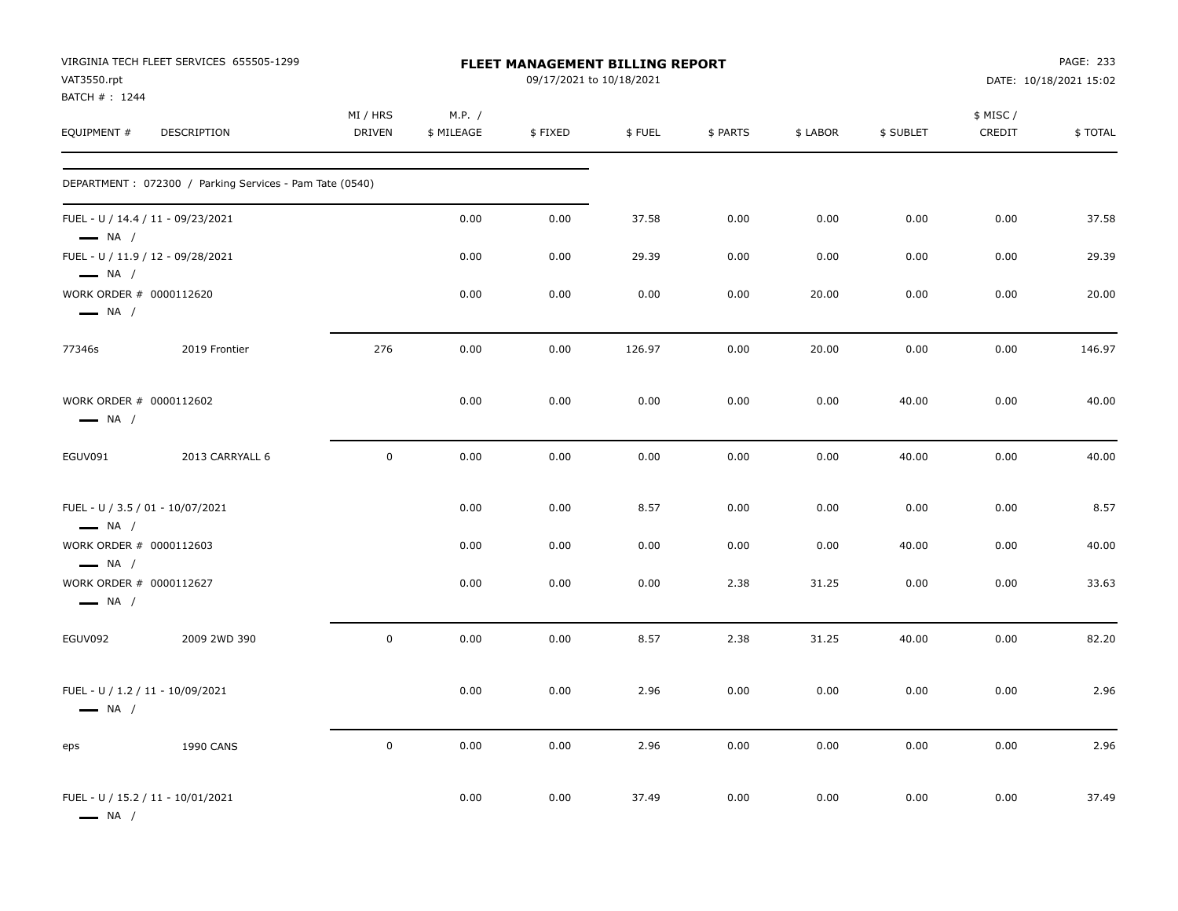|                                                            | VIRGINIA TECH FLEET SERVICES 655505-1299                |                           |                      | <b>FLEET MANAGEMENT BILLING REPORT</b> |        |          |          |           |                     | PAGE: 233              |
|------------------------------------------------------------|---------------------------------------------------------|---------------------------|----------------------|----------------------------------------|--------|----------|----------|-----------|---------------------|------------------------|
| VAT3550.rpt<br>BATCH # : 1244                              |                                                         |                           |                      | 09/17/2021 to 10/18/2021               |        |          |          |           |                     | DATE: 10/18/2021 15:02 |
| EQUIPMENT #                                                | <b>DESCRIPTION</b>                                      | MI / HRS<br><b>DRIVEN</b> | M.P. /<br>\$ MILEAGE | \$FIXED                                | \$FUEL | \$ PARTS | \$ LABOR | \$ SUBLET | \$ MISC /<br>CREDIT | \$TOTAL                |
|                                                            | DEPARTMENT: 072300 / Parking Services - Pam Tate (0540) |                           |                      |                                        |        |          |          |           |                     |                        |
| $\longrightarrow$ NA /                                     | FUEL - U / 14.4 / 11 - 09/23/2021                       |                           | 0.00                 | 0.00                                   | 37.58  | 0.00     | 0.00     | 0.00      | 0.00                | 37.58                  |
| $\longrightarrow$ NA /                                     | FUEL - U / 11.9 / 12 - 09/28/2021                       |                           | 0.00                 | 0.00                                   | 29.39  | 0.00     | 0.00     | 0.00      | 0.00                | 29.39                  |
| WORK ORDER # 0000112620<br>$\longrightarrow$ NA /          |                                                         |                           | 0.00                 | 0.00                                   | 0.00   | 0.00     | 20.00    | 0.00      | 0.00                | 20.00                  |
| 77346s                                                     | 2019 Frontier                                           | 276                       | 0.00                 | 0.00                                   | 126.97 | 0.00     | 20.00    | 0.00      | 0.00                | 146.97                 |
| WORK ORDER # 0000112602<br>$\longrightarrow$ NA /          |                                                         |                           | 0.00                 | 0.00                                   | 0.00   | 0.00     | 0.00     | 40.00     | 0.00                | 40.00                  |
| EGUV091                                                    | 2013 CARRYALL 6                                         | $\mathbf 0$               | 0.00                 | 0.00                                   | 0.00   | 0.00     | 0.00     | 40.00     | 0.00                | 40.00                  |
| FUEL - U / 3.5 / 01 - 10/07/2021<br>$\longrightarrow$ NA / |                                                         |                           | 0.00                 | 0.00                                   | 8.57   | 0.00     | 0.00     | 0.00      | 0.00                | 8.57                   |
| WORK ORDER # 0000112603<br>$\longrightarrow$ NA /          |                                                         |                           | 0.00                 | 0.00                                   | 0.00   | 0.00     | 0.00     | 40.00     | 0.00                | 40.00                  |
| WORK ORDER # 0000112627<br>$\longrightarrow$ NA /          |                                                         |                           | 0.00                 | 0.00                                   | 0.00   | 2.38     | 31.25    | 0.00      | 0.00                | 33.63                  |
| EGUV092                                                    | 2009 2WD 390                                            | $\mathbf 0$               | 0.00                 | 0.00                                   | 8.57   | 2.38     | 31.25    | 40.00     | 0.00                | 82.20                  |
| FUEL - U / 1.2 / 11 - 10/09/2021<br>$\longrightarrow$ NA / |                                                         |                           | 0.00                 | 0.00                                   | 2.96   | 0.00     | 0.00     | 0.00      | 0.00                | 2.96                   |
| eps                                                        | <b>1990 CANS</b>                                        | $\mathsf 0$               | 0.00                 | 0.00                                   | 2.96   | 0.00     | 0.00     | 0.00      | 0.00                | 2.96                   |
| $\longrightarrow$ NA /                                     | FUEL - U / 15.2 / 11 - 10/01/2021                       |                           | 0.00                 | 0.00                                   | 37.49  | 0.00     | 0.00     | 0.00      | 0.00                | 37.49                  |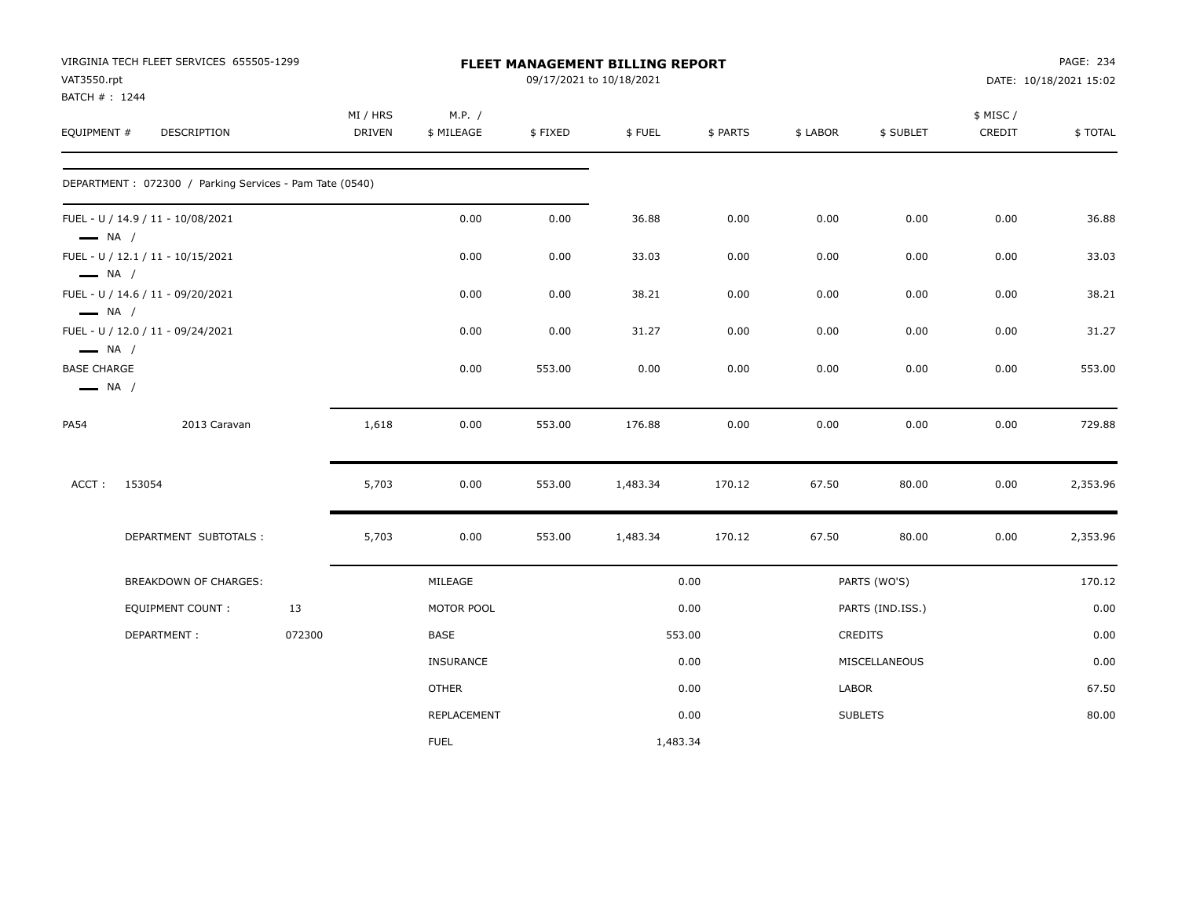| VIRGINIA TECH FLEET SERVICES 655505-1299     |                                                                                                                       |                    |                                                         |         |          |                          |                                                                                               |           |                                                                                         | PAGE: 234              |
|----------------------------------------------|-----------------------------------------------------------------------------------------------------------------------|--------------------|---------------------------------------------------------|---------|----------|--------------------------|-----------------------------------------------------------------------------------------------|-----------|-----------------------------------------------------------------------------------------|------------------------|
| VAT3550.rpt                                  |                                                                                                                       |                    |                                                         |         |          |                          |                                                                                               |           |                                                                                         | DATE: 10/18/2021 15:02 |
| EQUIPMENT #<br>DESCRIPTION                   |                                                                                                                       | MI / HRS<br>DRIVEN | M.P. /<br>\$ MILEAGE                                    | \$FIXED | \$FUEL   | \$ PARTS                 | \$ LABOR                                                                                      | \$ SUBLET | \$ MISC /<br>CREDIT                                                                     | \$TOTAL                |
|                                              |                                                                                                                       |                    |                                                         |         |          |                          |                                                                                               |           |                                                                                         |                        |
| FUEL - U / 14.9 / 11 - 10/08/2021            |                                                                                                                       |                    | 0.00                                                    | 0.00    | 36.88    | 0.00                     | 0.00                                                                                          | 0.00      | 0.00                                                                                    | 36.88                  |
| FUEL - U / 12.1 / 11 - 10/15/2021            |                                                                                                                       |                    | 0.00                                                    | 0.00    | 33.03    | 0.00                     | 0.00                                                                                          | 0.00      | 0.00                                                                                    | 33.03                  |
| FUEL - U / 14.6 / 11 - 09/20/2021            |                                                                                                                       |                    | 0.00                                                    | 0.00    | 38.21    | 0.00                     | 0.00                                                                                          | 0.00      | 0.00                                                                                    | 38.21                  |
| FUEL - U / 12.0 / 11 - 09/24/2021            |                                                                                                                       |                    | 0.00                                                    | 0.00    | 31.27    | 0.00                     | 0.00                                                                                          | 0.00      | 0.00                                                                                    | 31.27                  |
| <b>BASE CHARGE</b><br>$\longrightarrow$ NA / |                                                                                                                       |                    | 0.00                                                    | 553.00  | 0.00     | 0.00                     | 0.00                                                                                          | 0.00      | 0.00                                                                                    | 553.00                 |
| 2013 Caravan                                 |                                                                                                                       | 1,618              | 0.00                                                    | 553.00  | 176.88   | 0.00                     | 0.00                                                                                          | 0.00      | 0.00                                                                                    | 729.88                 |
| 153054                                       |                                                                                                                       | 5,703              | 0.00                                                    | 553.00  | 1,483.34 | 170.12                   | 67.50                                                                                         | 80.00     | 0.00                                                                                    | 2,353.96               |
| DEPARTMENT SUBTOTALS :                       |                                                                                                                       | 5,703              | 0.00                                                    | 553.00  | 1,483.34 | 170.12                   | 67.50                                                                                         | 80.00     | 0.00                                                                                    | 2,353.96               |
| BREAKDOWN OF CHARGES:                        |                                                                                                                       |                    | MILEAGE                                                 |         |          |                          |                                                                                               |           |                                                                                         | 170.12                 |
| <b>EQUIPMENT COUNT:</b>                      | 13                                                                                                                    |                    | MOTOR POOL                                              |         |          |                          |                                                                                               |           |                                                                                         | 0.00                   |
| DEPARTMENT:                                  | 072300                                                                                                                |                    | BASE                                                    |         |          |                          |                                                                                               |           |                                                                                         | 0.00                   |
|                                              |                                                                                                                       |                    | <b>INSURANCE</b>                                        |         |          |                          |                                                                                               |           |                                                                                         | 0.00                   |
|                                              |                                                                                                                       |                    | <b>OTHER</b>                                            |         |          |                          |                                                                                               |           |                                                                                         | 67.50                  |
|                                              |                                                                                                                       |                    | REPLACEMENT                                             |         |          |                          |                                                                                               |           |                                                                                         | 80.00                  |
|                                              |                                                                                                                       |                    | <b>FUEL</b>                                             |         |          |                          |                                                                                               |           |                                                                                         |                        |
|                                              | BATCH #: 1244<br>$\longrightarrow$ NA /<br>$\longrightarrow$ NA /<br>$\longrightarrow$ NA /<br>$\longrightarrow$ NA / |                    | DEPARTMENT: 072300 / Parking Services - Pam Tate (0540) |         |          | 09/17/2021 to 10/18/2021 | FLEET MANAGEMENT BILLING REPORT<br>0.00<br>0.00<br>553.00<br>0.00<br>0.00<br>0.00<br>1,483.34 |           | PARTS (WO'S)<br>PARTS (IND.ISS.)<br>CREDITS<br>MISCELLANEOUS<br>LABOR<br><b>SUBLETS</b> |                        |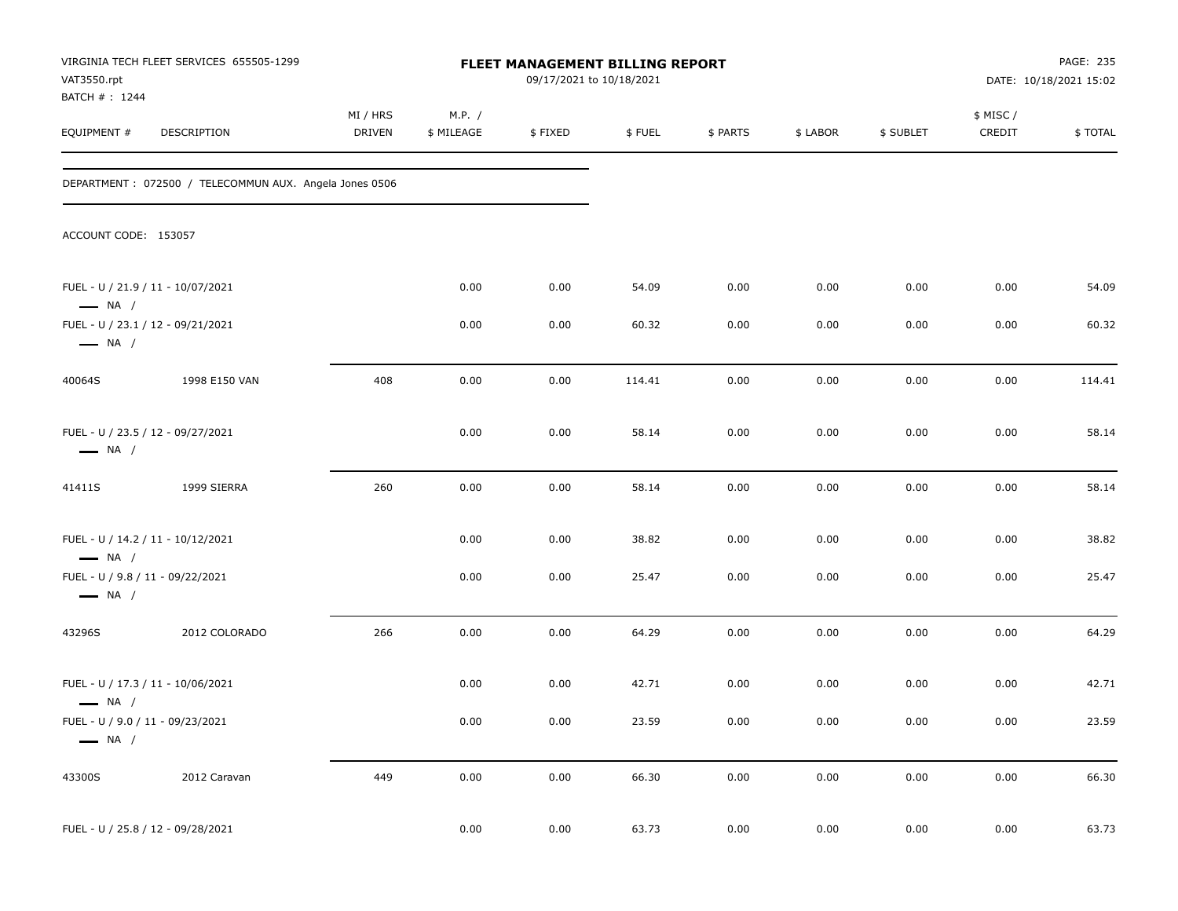| VAT3550.rpt                                                | VIRGINIA TECH FLEET SERVICES 655505-1299               |                    |                      | FLEET MANAGEMENT BILLING REPORT<br>09/17/2021 to 10/18/2021 |        |          |          |           |                     | PAGE: 235<br>DATE: 10/18/2021 15:02 |
|------------------------------------------------------------|--------------------------------------------------------|--------------------|----------------------|-------------------------------------------------------------|--------|----------|----------|-----------|---------------------|-------------------------------------|
| BATCH #: 1244<br>EQUIPMENT #                               | DESCRIPTION                                            | MI / HRS<br>DRIVEN | M.P. /<br>\$ MILEAGE | \$FIXED                                                     | \$FUEL | \$ PARTS | \$ LABOR | \$ SUBLET | \$ MISC /<br>CREDIT | \$TOTAL                             |
|                                                            | DEPARTMENT: 072500 / TELECOMMUN AUX. Angela Jones 0506 |                    |                      |                                                             |        |          |          |           |                     |                                     |
| ACCOUNT CODE: 153057                                       |                                                        |                    |                      |                                                             |        |          |          |           |                     |                                     |
| $\longrightarrow$ NA /                                     | FUEL - U / 21.9 / 11 - 10/07/2021                      |                    | 0.00                 | 0.00                                                        | 54.09  | 0.00     | 0.00     | 0.00      | 0.00                | 54.09                               |
| $\longrightarrow$ NA /                                     | FUEL - U / 23.1 / 12 - 09/21/2021                      |                    | 0.00                 | 0.00                                                        | 60.32  | 0.00     | 0.00     | 0.00      | 0.00                | 60.32                               |
| 40064S                                                     | 1998 E150 VAN                                          | 408                | 0.00                 | 0.00                                                        | 114.41 | 0.00     | 0.00     | 0.00      | 0.00                | 114.41                              |
| $\longrightarrow$ NA /                                     | FUEL - U / 23.5 / 12 - 09/27/2021                      |                    | 0.00                 | 0.00                                                        | 58.14  | 0.00     | 0.00     | 0.00      | 0.00                | 58.14                               |
| 41411S                                                     | 1999 SIERRA                                            | 260                | 0.00                 | 0.00                                                        | 58.14  | 0.00     | 0.00     | 0.00      | 0.00                | 58.14                               |
| $\longrightarrow$ NA /                                     | FUEL - U / 14.2 / 11 - 10/12/2021                      |                    | 0.00                 | 0.00                                                        | 38.82  | 0.00     | 0.00     | 0.00      | 0.00                | 38.82                               |
| FUEL - U / 9.8 / 11 - 09/22/2021<br>$\longrightarrow$ NA / |                                                        |                    | 0.00                 | 0.00                                                        | 25.47  | 0.00     | 0.00     | 0.00      | 0.00                | 25.47                               |
| 43296S                                                     | 2012 COLORADO                                          | 266                | 0.00                 | 0.00                                                        | 64.29  | 0.00     | 0.00     | 0.00      | 0.00                | 64.29                               |
| $\longrightarrow$ NA /                                     | FUEL - U / 17.3 / 11 - 10/06/2021                      |                    | 0.00                 | 0.00                                                        | 42.71  | 0.00     | 0.00     | 0.00      | 0.00                | 42.71                               |
| FUEL - U / 9.0 / 11 - 09/23/2021<br>$\longrightarrow$ NA / |                                                        |                    | $0.00\,$             | $0.00\,$                                                    | 23.59  | 0.00     | $0.00\,$ | 0.00      | 0.00                | 23.59                               |
| 43300S                                                     | 2012 Caravan                                           | 449                | 0.00                 | 0.00                                                        | 66.30  | 0.00     | 0.00     | 0.00      | 0.00                | 66.30                               |
|                                                            | FUEL - U / 25.8 / 12 - 09/28/2021                      |                    | 0.00                 | 0.00                                                        | 63.73  | $0.00\,$ | 0.00     | 0.00      | 0.00                | 63.73                               |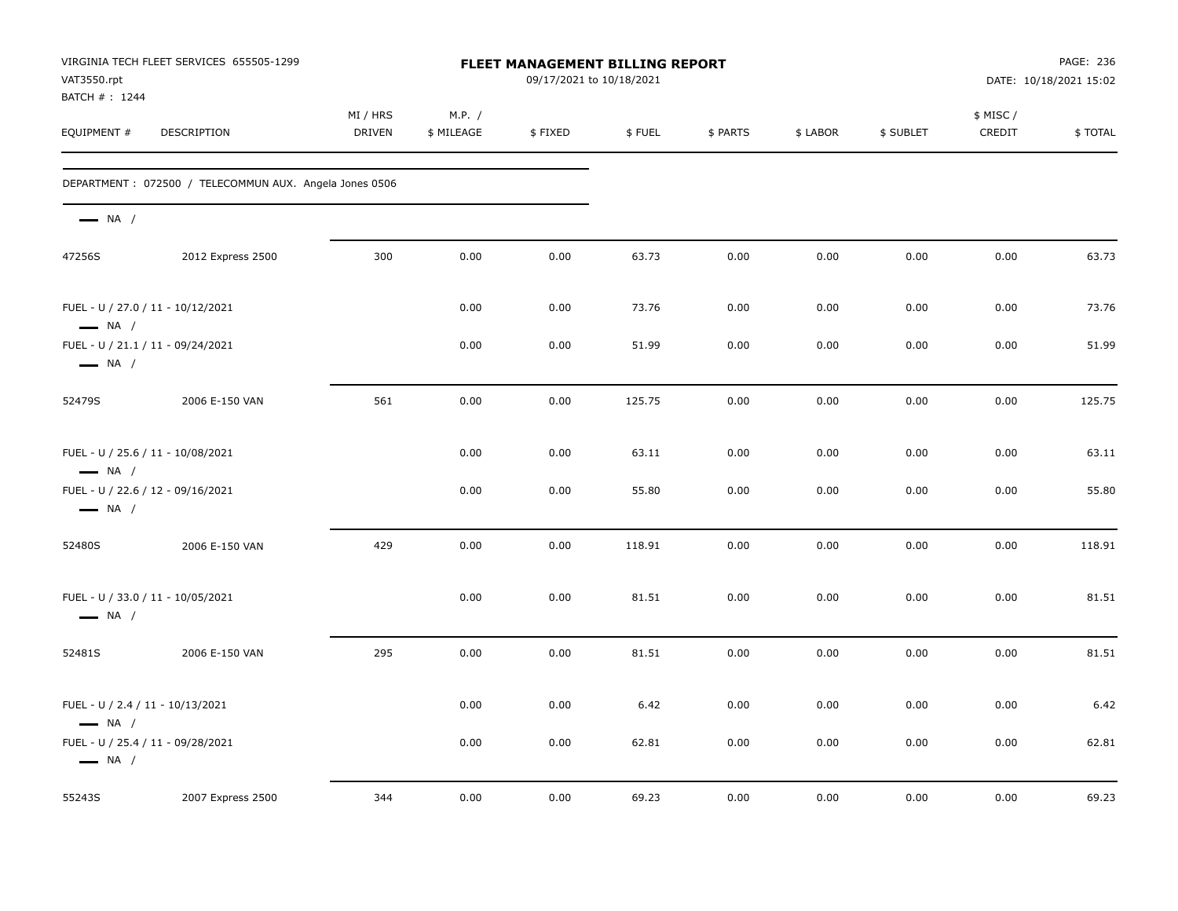| VAT3550.rpt<br>BATCH #: 1244 | VIRGINIA TECH FLEET SERVICES 655505-1299               |                    |                      | <b>FLEET MANAGEMENT BILLING REPORT</b><br>09/17/2021 to 10/18/2021 |        |          |          |           |                     | PAGE: 236<br>DATE: 10/18/2021 15:02 |
|------------------------------|--------------------------------------------------------|--------------------|----------------------|--------------------------------------------------------------------|--------|----------|----------|-----------|---------------------|-------------------------------------|
| EQUIPMENT #                  | DESCRIPTION                                            | MI / HRS<br>DRIVEN | M.P. /<br>\$ MILEAGE | \$FIXED                                                            | \$FUEL | \$ PARTS | \$ LABOR | \$ SUBLET | \$ MISC /<br>CREDIT | \$TOTAL                             |
|                              | DEPARTMENT: 072500 / TELECOMMUN AUX. Angela Jones 0506 |                    |                      |                                                                    |        |          |          |           |                     |                                     |
| $\longrightarrow$ NA /       |                                                        |                    |                      |                                                                    |        |          |          |           |                     |                                     |
| 47256S                       | 2012 Express 2500                                      | 300                | 0.00                 | 0.00                                                               | 63.73  | 0.00     | 0.00     | 0.00      | 0.00                | 63.73                               |
| $\longrightarrow$ NA /       | FUEL - U / 27.0 / 11 - 10/12/2021                      |                    | 0.00                 | 0.00                                                               | 73.76  | 0.00     | 0.00     | 0.00      | 0.00                | 73.76                               |
| $\longrightarrow$ NA /       | FUEL - U / 21.1 / 11 - 09/24/2021                      |                    | 0.00                 | 0.00                                                               | 51.99  | 0.00     | 0.00     | 0.00      | 0.00                | 51.99                               |
| 52479S                       | 2006 E-150 VAN                                         | 561                | 0.00                 | 0.00                                                               | 125.75 | 0.00     | 0.00     | 0.00      | 0.00                | 125.75                              |
| $\longrightarrow$ NA /       | FUEL - U / 25.6 / 11 - 10/08/2021                      |                    | 0.00                 | 0.00                                                               | 63.11  | 0.00     | 0.00     | 0.00      | 0.00                | 63.11                               |
| $\longrightarrow$ NA /       | FUEL - U / 22.6 / 12 - 09/16/2021                      |                    | 0.00                 | 0.00                                                               | 55.80  | 0.00     | 0.00     | 0.00      | 0.00                | 55.80                               |
| 52480S                       | 2006 E-150 VAN                                         | 429                | 0.00                 | 0.00                                                               | 118.91 | 0.00     | 0.00     | 0.00      | 0.00                | 118.91                              |
| $\longrightarrow$ NA /       | FUEL - U / 33.0 / 11 - 10/05/2021                      |                    | 0.00                 | 0.00                                                               | 81.51  | 0.00     | 0.00     | 0.00      | 0.00                | 81.51                               |
| 52481S                       | 2006 E-150 VAN                                         | 295                | 0.00                 | 0.00                                                               | 81.51  | 0.00     | 0.00     | 0.00      | 0.00                | 81.51                               |
| $\longrightarrow$ NA /       | FUEL - U / 2.4 / 11 - 10/13/2021                       |                    | 0.00                 | 0.00                                                               | 6.42   | 0.00     | 0.00     | 0.00      | 0.00                | 6.42                                |
| $\longrightarrow$ NA /       | FUEL - U / 25.4 / 11 - 09/28/2021                      |                    | 0.00                 | 0.00                                                               | 62.81  | 0.00     | 0.00     | 0.00      | 0.00                | 62.81                               |
| 55243S                       | 2007 Express 2500                                      | 344                | 0.00                 | 0.00                                                               | 69.23  | 0.00     | 0.00     | 0.00      | 0.00                | 69.23                               |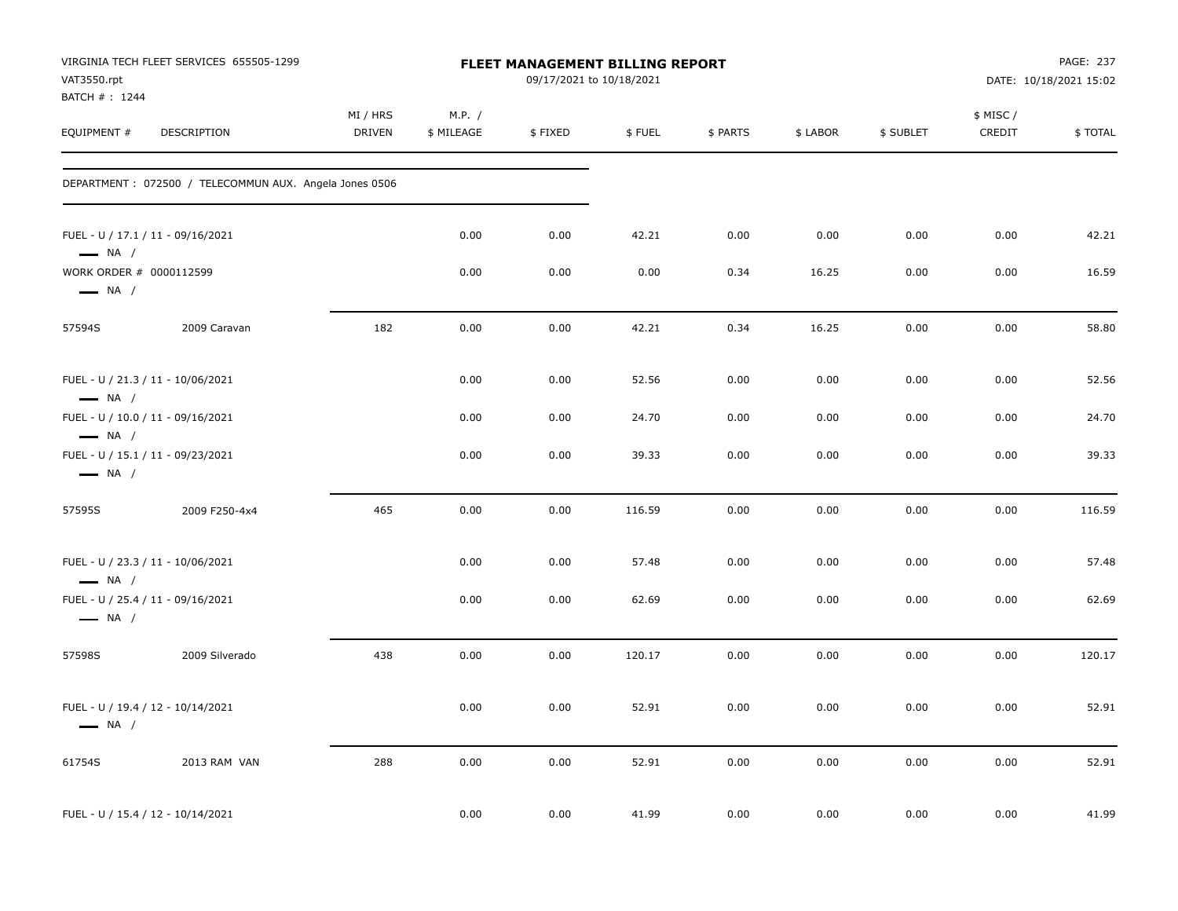| VAT3550.rpt<br>BATCH #: 1244                      | VIRGINIA TECH FLEET SERVICES 655505-1299               |                           |                      | <b>FLEET MANAGEMENT BILLING REPORT</b><br>09/17/2021 to 10/18/2021 |        |          |          |           |                     | PAGE: 237<br>DATE: 10/18/2021 15:02 |
|---------------------------------------------------|--------------------------------------------------------|---------------------------|----------------------|--------------------------------------------------------------------|--------|----------|----------|-----------|---------------------|-------------------------------------|
| EQUIPMENT #                                       | DESCRIPTION                                            | MI / HRS<br><b>DRIVEN</b> | M.P. /<br>\$ MILEAGE | \$FIXED                                                            | \$FUEL | \$ PARTS | \$ LABOR | \$ SUBLET | \$ MISC /<br>CREDIT | \$TOTAL                             |
|                                                   | DEPARTMENT: 072500 / TELECOMMUN AUX. Angela Jones 0506 |                           |                      |                                                                    |        |          |          |           |                     |                                     |
| $\longrightarrow$ NA /                            | FUEL - U / 17.1 / 11 - 09/16/2021                      |                           | 0.00                 | 0.00                                                               | 42.21  | 0.00     | 0.00     | 0.00      | 0.00                | 42.21                               |
| WORK ORDER # 0000112599<br>$\longrightarrow$ NA / |                                                        |                           | 0.00                 | 0.00                                                               | 0.00   | 0.34     | 16.25    | 0.00      | 0.00                | 16.59                               |
| 57594S                                            | 2009 Caravan                                           | 182                       | 0.00                 | 0.00                                                               | 42.21  | 0.34     | 16.25    | 0.00      | 0.00                | 58.80                               |
| $\longrightarrow$ NA /                            | FUEL - U / 21.3 / 11 - 10/06/2021                      |                           | 0.00                 | 0.00                                                               | 52.56  | 0.00     | 0.00     | 0.00      | 0.00                | 52.56                               |
| $\longrightarrow$ NA /                            | FUEL - U / 10.0 / 11 - 09/16/2021                      |                           | 0.00                 | 0.00                                                               | 24.70  | 0.00     | 0.00     | 0.00      | 0.00                | 24.70                               |
| $\longrightarrow$ NA /                            | FUEL - U / 15.1 / 11 - 09/23/2021                      |                           | 0.00                 | 0.00                                                               | 39.33  | 0.00     | 0.00     | 0.00      | 0.00                | 39.33                               |
| 57595S                                            | 2009 F250-4x4                                          | 465                       | 0.00                 | 0.00                                                               | 116.59 | 0.00     | 0.00     | 0.00      | 0.00                | 116.59                              |
| $-$ NA $/$                                        | FUEL - U / 23.3 / 11 - 10/06/2021                      |                           | 0.00                 | 0.00                                                               | 57.48  | 0.00     | 0.00     | 0.00      | 0.00                | 57.48                               |
| $\longrightarrow$ NA /                            | FUEL - U / 25.4 / 11 - 09/16/2021                      |                           | 0.00                 | 0.00                                                               | 62.69  | 0.00     | 0.00     | 0.00      | 0.00                | 62.69                               |
| 57598S                                            | 2009 Silverado                                         | 438                       | 0.00                 | 0.00                                                               | 120.17 | 0.00     | 0.00     | 0.00      | 0.00                | 120.17                              |
| $\longrightarrow$ NA /                            | FUEL - U / 19.4 / 12 - 10/14/2021                      |                           | 0.00                 | 0.00                                                               | 52.91  | 0.00     | 0.00     | 0.00      | 0.00                | 52.91                               |
| 61754S                                            | 2013 RAM VAN                                           | 288                       | 0.00                 | 0.00                                                               | 52.91  | 0.00     | 0.00     | 0.00      | 0.00                | 52.91                               |
|                                                   | FUEL - U / 15.4 / 12 - 10/14/2021                      |                           | 0.00                 | 0.00                                                               | 41.99  | 0.00     | 0.00     | 0.00      | 0.00                | 41.99                               |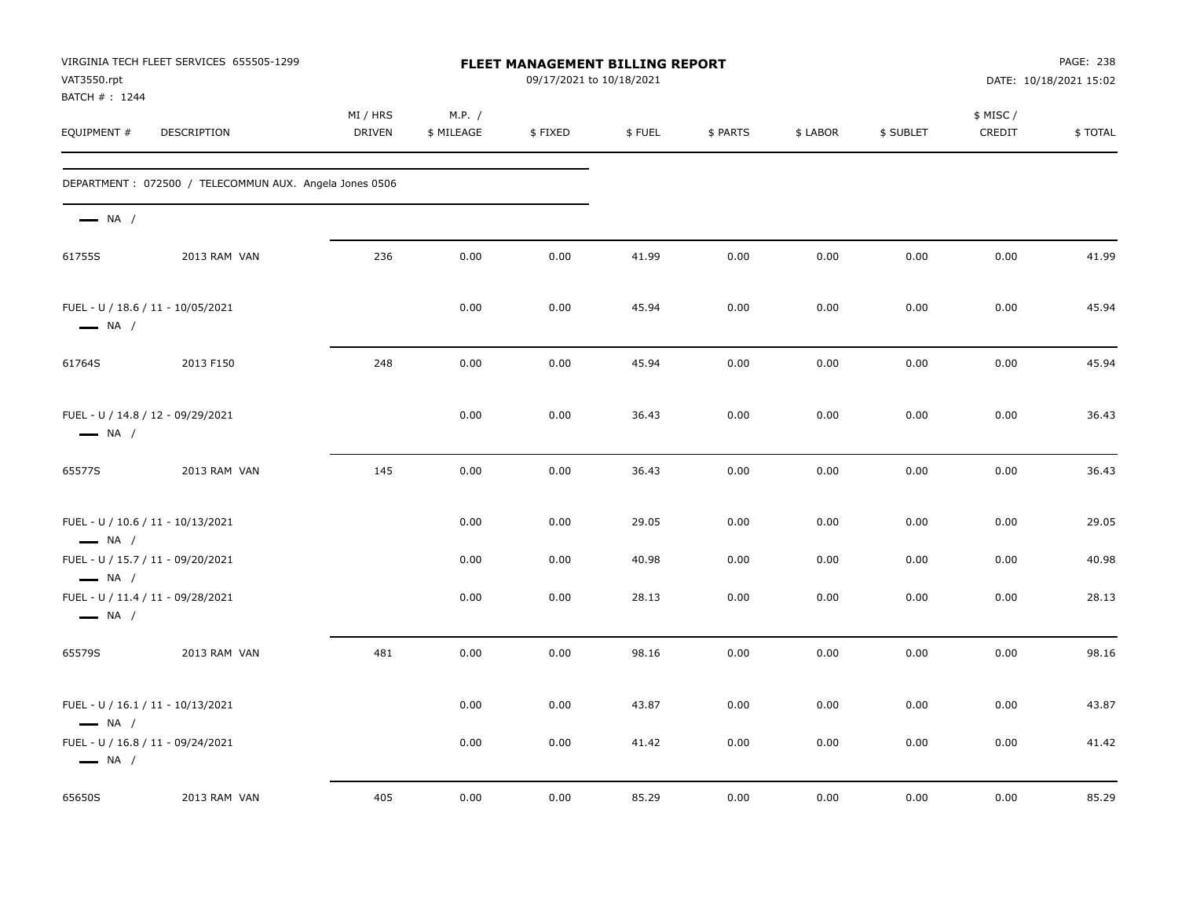| VAT3550.rpt<br>BATCH #: 1244 | VIRGINIA TECH FLEET SERVICES 655505-1299               |                    |                      | <b>FLEET MANAGEMENT BILLING REPORT</b><br>09/17/2021 to 10/18/2021 |        |          |          |           |                     | PAGE: 238<br>DATE: 10/18/2021 15:02 |
|------------------------------|--------------------------------------------------------|--------------------|----------------------|--------------------------------------------------------------------|--------|----------|----------|-----------|---------------------|-------------------------------------|
| EQUIPMENT #                  | DESCRIPTION                                            | MI / HRS<br>DRIVEN | M.P. /<br>\$ MILEAGE | \$FIXED                                                            | \$FUEL | \$ PARTS | \$ LABOR | \$ SUBLET | \$ MISC /<br>CREDIT | \$TOTAL                             |
|                              | DEPARTMENT: 072500 / TELECOMMUN AUX. Angela Jones 0506 |                    |                      |                                                                    |        |          |          |           |                     |                                     |
| $\longrightarrow$ NA /       |                                                        |                    |                      |                                                                    |        |          |          |           |                     |                                     |
| 61755S                       | 2013 RAM VAN                                           | 236                | 0.00                 | 0.00                                                               | 41.99  | 0.00     | 0.00     | 0.00      | 0.00                | 41.99                               |
| $\longrightarrow$ NA /       | FUEL - U / 18.6 / 11 - 10/05/2021                      |                    | 0.00                 | 0.00                                                               | 45.94  | 0.00     | 0.00     | 0.00      | 0.00                | 45.94                               |
| 61764S                       | 2013 F150                                              | 248                | 0.00                 | 0.00                                                               | 45.94  | 0.00     | 0.00     | 0.00      | 0.00                | 45.94                               |
| $\longrightarrow$ NA /       | FUEL - U / 14.8 / 12 - 09/29/2021                      |                    | 0.00                 | 0.00                                                               | 36.43  | 0.00     | 0.00     | 0.00      | 0.00                | 36.43                               |
| 65577S                       | 2013 RAM VAN                                           | 145                | 0.00                 | 0.00                                                               | 36.43  | 0.00     | 0.00     | 0.00      | 0.00                | 36.43                               |
| $\longrightarrow$ NA /       | FUEL - U / 10.6 / 11 - 10/13/2021                      |                    | 0.00                 | 0.00                                                               | 29.05  | 0.00     | 0.00     | 0.00      | 0.00                | 29.05                               |
| $\longrightarrow$ NA /       | FUEL - U / 15.7 / 11 - 09/20/2021                      |                    | 0.00                 | 0.00                                                               | 40.98  | 0.00     | 0.00     | 0.00      | 0.00                | 40.98                               |
| $\longrightarrow$ NA /       | FUEL - U / 11.4 / 11 - 09/28/2021                      |                    | 0.00                 | 0.00                                                               | 28.13  | 0.00     | 0.00     | 0.00      | 0.00                | 28.13                               |
| 65579S                       | 2013 RAM VAN                                           | 481                | 0.00                 | 0.00                                                               | 98.16  | 0.00     | 0.00     | 0.00      | 0.00                | 98.16                               |
| $\longrightarrow$ NA /       | FUEL - U / 16.1 / 11 - 10/13/2021                      |                    | 0.00                 | 0.00                                                               | 43.87  | 0.00     | 0.00     | 0.00      | 0.00                | 43.87                               |
| $\longrightarrow$ NA /       | FUEL - U / 16.8 / 11 - 09/24/2021                      |                    | 0.00                 | 0.00                                                               | 41.42  | 0.00     | 0.00     | 0.00      | 0.00                | 41.42                               |
| 65650S                       | 2013 RAM VAN                                           | 405                | 0.00                 | 0.00                                                               | 85.29  | 0.00     | 0.00     | 0.00      | 0.00                | 85.29                               |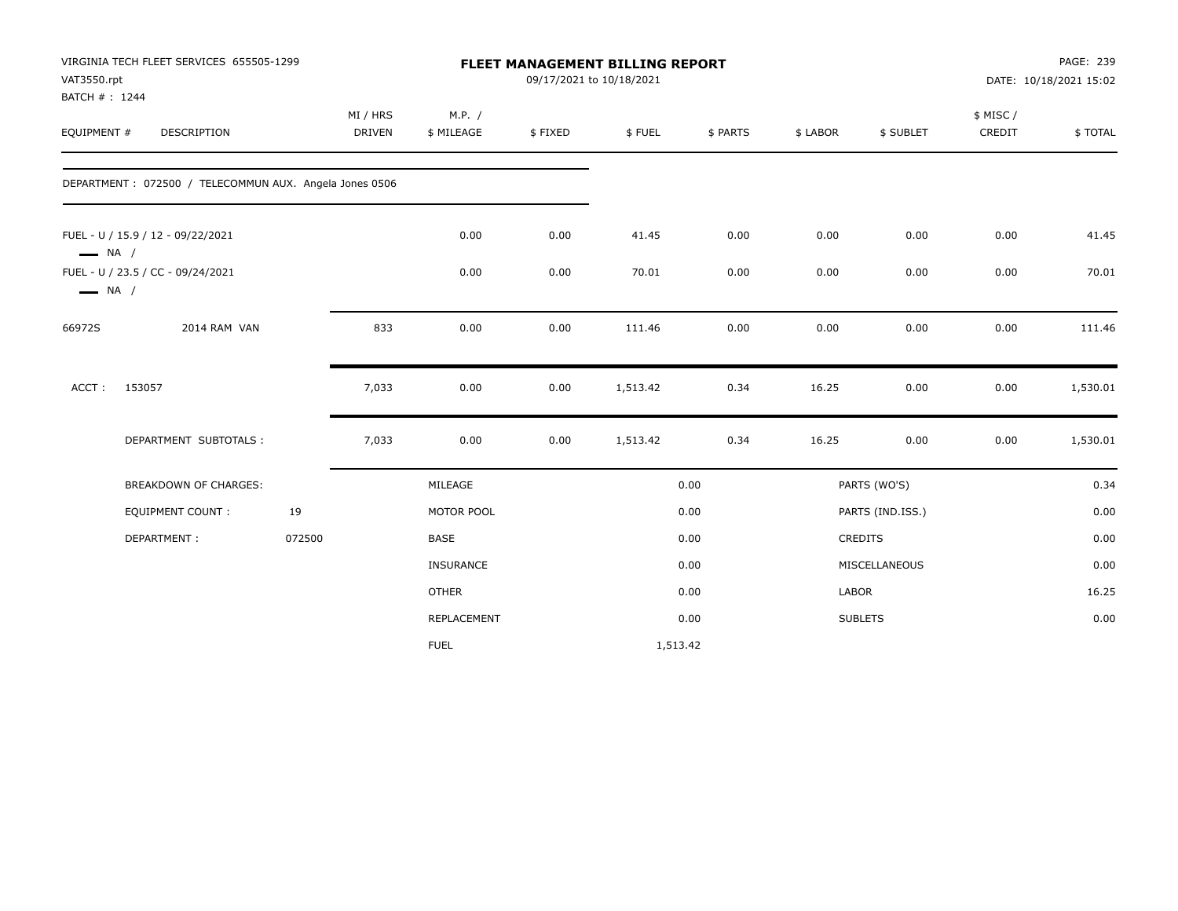| VAT3550.rpt<br>BATCH #: 1244 | VIRGINIA TECH FLEET SERVICES 655505-1299               |        |                           |                      |         | FLEET MANAGEMENT BILLING REPORT<br>09/17/2021 to 10/18/2021 |          |                |                  | PAGE: 239<br>DATE: 10/18/2021 15:02 |          |
|------------------------------|--------------------------------------------------------|--------|---------------------------|----------------------|---------|-------------------------------------------------------------|----------|----------------|------------------|-------------------------------------|----------|
| EQUIPMENT #                  | DESCRIPTION                                            |        | MI / HRS<br><b>DRIVEN</b> | M.P. /<br>\$ MILEAGE | \$FIXED | \$FUEL                                                      | \$ PARTS | \$ LABOR       | \$ SUBLET        | \$ MISC/<br>CREDIT                  | \$TOTAL  |
|                              | DEPARTMENT: 072500 / TELECOMMUN AUX. Angela Jones 0506 |        |                           |                      |         |                                                             |          |                |                  |                                     |          |
| $\longrightarrow$ NA /       | FUEL - U / 15.9 / 12 - 09/22/2021                      |        |                           | 0.00                 | 0.00    | 41.45                                                       | 0.00     | 0.00           | 0.00             | 0.00                                | 41.45    |
| $\longrightarrow$ NA /       | FUEL - U / 23.5 / CC - 09/24/2021                      |        |                           | 0.00                 | 0.00    | 70.01                                                       | 0.00     | 0.00           | 0.00             | 0.00                                | 70.01    |
| 66972S                       | 2014 RAM VAN                                           |        | 833                       | 0.00                 | 0.00    | 111.46                                                      | 0.00     | 0.00           | 0.00             | 0.00                                | 111.46   |
| ACCT:                        | 153057                                                 |        | 7,033                     | 0.00                 | 0.00    | 1,513.42                                                    | 0.34     | 16.25          | 0.00             | 0.00                                | 1,530.01 |
|                              | DEPARTMENT SUBTOTALS :                                 |        | 7,033                     | 0.00                 | 0.00    | 1,513.42                                                    | 0.34     | 16.25          | 0.00             | 0.00                                | 1,530.01 |
|                              | <b>BREAKDOWN OF CHARGES:</b>                           |        |                           | MILEAGE              |         |                                                             | 0.00     |                | PARTS (WO'S)     |                                     | 0.34     |
|                              | <b>EQUIPMENT COUNT:</b>                                | 19     |                           | MOTOR POOL           |         |                                                             | 0.00     |                | PARTS (IND.ISS.) |                                     | 0.00     |
|                              | DEPARTMENT:                                            | 072500 |                           | <b>BASE</b>          |         |                                                             | 0.00     | <b>CREDITS</b> |                  |                                     | 0.00     |
|                              |                                                        |        |                           | <b>INSURANCE</b>     |         |                                                             | 0.00     |                | MISCELLANEOUS    |                                     | 0.00     |
|                              |                                                        |        |                           | <b>OTHER</b>         |         |                                                             | 0.00     | LABOR          |                  |                                     | 16.25    |
|                              |                                                        |        |                           | REPLACEMENT          |         |                                                             | 0.00     | <b>SUBLETS</b> |                  |                                     | 0.00     |
|                              |                                                        |        |                           | <b>FUEL</b>          |         | 1,513.42                                                    |          |                |                  |                                     |          |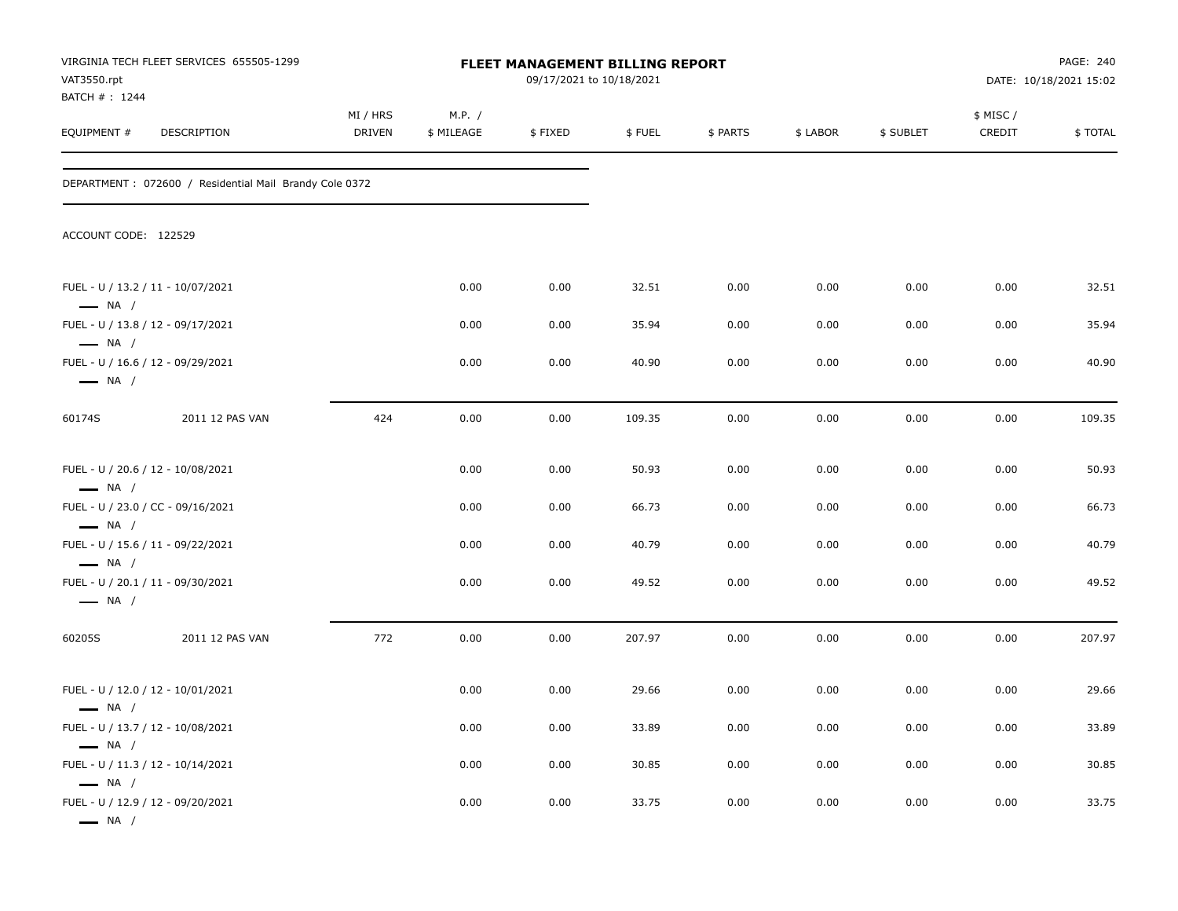| VAT3550.rpt<br>BATCH # : 1244 | VIRGINIA TECH FLEET SERVICES 655505-1299                |                           |                      | FLEET MANAGEMENT BILLING REPORT<br>09/17/2021 to 10/18/2021 |        |          |          |           |                    | PAGE: 240<br>DATE: 10/18/2021 15:02 |
|-------------------------------|---------------------------------------------------------|---------------------------|----------------------|-------------------------------------------------------------|--------|----------|----------|-----------|--------------------|-------------------------------------|
| EQUIPMENT #                   | DESCRIPTION                                             | MI / HRS<br><b>DRIVEN</b> | M.P. /<br>\$ MILEAGE | \$FIXED                                                     | \$FUEL | \$ PARTS | \$ LABOR | \$ SUBLET | \$ MISC/<br>CREDIT | \$TOTAL                             |
|                               | DEPARTMENT : 072600 / Residential Mail Brandy Cole 0372 |                           |                      |                                                             |        |          |          |           |                    |                                     |
| ACCOUNT CODE: 122529          |                                                         |                           |                      |                                                             |        |          |          |           |                    |                                     |
| $\longrightarrow$ NA /        | FUEL - U / 13.2 / 11 - 10/07/2021                       |                           | 0.00                 | 0.00                                                        | 32.51  | 0.00     | 0.00     | 0.00      | 0.00               | 32.51                               |
| $\longrightarrow$ NA /        | FUEL - U / 13.8 / 12 - 09/17/2021                       |                           | 0.00                 | 0.00                                                        | 35.94  | 0.00     | 0.00     | 0.00      | 0.00               | 35.94                               |
| $\longrightarrow$ NA /        | FUEL - U / 16.6 / 12 - 09/29/2021                       |                           | 0.00                 | 0.00                                                        | 40.90  | 0.00     | 0.00     | 0.00      | 0.00               | 40.90                               |
| 60174S                        | 2011 12 PAS VAN                                         | 424                       | 0.00                 | 0.00                                                        | 109.35 | 0.00     | 0.00     | 0.00      | 0.00               | 109.35                              |
| $\longrightarrow$ NA /        | FUEL - U / 20.6 / 12 - 10/08/2021                       |                           | 0.00                 | 0.00                                                        | 50.93  | 0.00     | 0.00     | 0.00      | 0.00               | 50.93                               |
| $\longrightarrow$ NA /        | FUEL - U / 23.0 / CC - 09/16/2021                       |                           | 0.00                 | 0.00                                                        | 66.73  | 0.00     | 0.00     | 0.00      | 0.00               | 66.73                               |
| $\longrightarrow$ NA /        | FUEL - U / 15.6 / 11 - 09/22/2021                       |                           | 0.00                 | 0.00                                                        | 40.79  | 0.00     | 0.00     | 0.00      | 0.00               | 40.79                               |
| $\longrightarrow$ NA /        | FUEL - U / 20.1 / 11 - 09/30/2021                       |                           | 0.00                 | 0.00                                                        | 49.52  | 0.00     | 0.00     | 0.00      | 0.00               | 49.52                               |
| 60205S                        | 2011 12 PAS VAN                                         | 772                       | 0.00                 | 0.00                                                        | 207.97 | 0.00     | 0.00     | 0.00      | 0.00               | 207.97                              |
| $\longrightarrow$ NA /        | FUEL - U / 12.0 / 12 - 10/01/2021                       |                           | 0.00                 | 0.00                                                        | 29.66  | 0.00     | 0.00     | 0.00      | 0.00               | 29.66                               |
| $\longrightarrow$ NA /        | FUEL - U / 13.7 / 12 - 10/08/2021                       |                           | 0.00                 | 0.00                                                        | 33.89  | 0.00     | 0.00     | 0.00      | 0.00               | 33.89                               |
| $\longrightarrow$ NA /        | FUEL - U / 11.3 / 12 - 10/14/2021                       |                           | 0.00                 | 0.00                                                        | 30.85  | 0.00     | 0.00     | 0.00      | 0.00               | 30.85                               |
| $\longrightarrow$ NA /        | FUEL - U / 12.9 / 12 - 09/20/2021                       |                           | 0.00                 | 0.00                                                        | 33.75  | 0.00     | 0.00     | 0.00      | 0.00               | 33.75                               |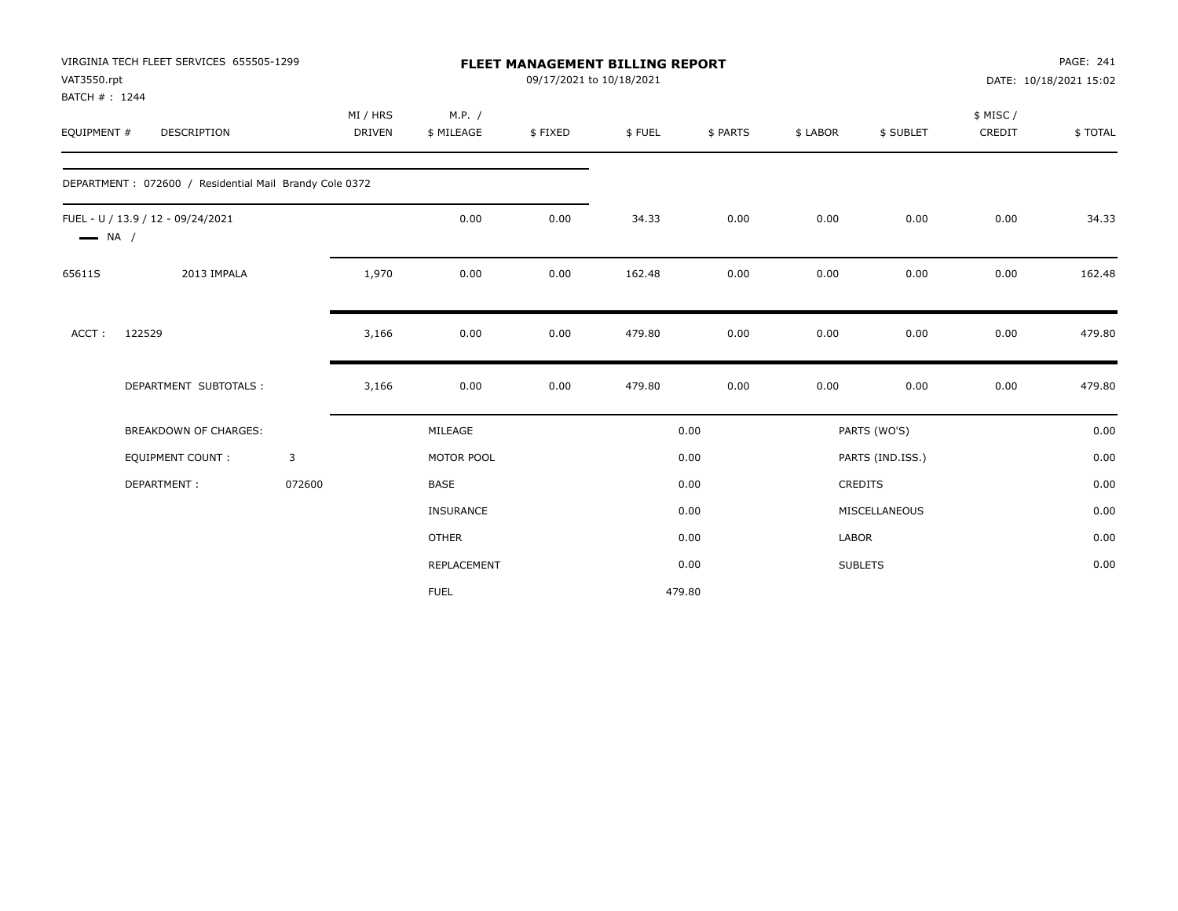| VAT3550.rpt            | VIRGINIA TECH FLEET SERVICES 655505-1299<br>MI / HRS    |        |        | <b>FLEET MANAGEMENT BILLING REPORT</b><br>09/17/2021 to 10/18/2021 |         |        |          |              | PAGE: 241<br>DATE: 10/18/2021 15:02 |           |         |
|------------------------|---------------------------------------------------------|--------|--------|--------------------------------------------------------------------|---------|--------|----------|--------------|-------------------------------------|-----------|---------|
| BATCH #: 1244          |                                                         |        |        |                                                                    |         |        |          |              |                                     |           |         |
|                        |                                                         |        |        | M.P. /                                                             |         |        |          |              |                                     | \$ MISC / |         |
| EQUIPMENT #            | <b>DESCRIPTION</b>                                      |        | DRIVEN | \$ MILEAGE                                                         | \$FIXED | \$FUEL | \$ PARTS | \$ LABOR     | \$ SUBLET                           | CREDIT    | \$TOTAL |
|                        | DEPARTMENT : 072600 / Residential Mail Brandy Cole 0372 |        |        |                                                                    |         |        |          |              |                                     |           |         |
| $\longrightarrow$ NA / | FUEL - U / 13.9 / 12 - 09/24/2021                       |        |        | 0.00                                                               | 0.00    | 34.33  | 0.00     | 0.00         | 0.00                                | 0.00      | 34.33   |
| 65611S                 | 2013 IMPALA                                             |        | 1,970  | 0.00                                                               | 0.00    | 162.48 | 0.00     | 0.00         | 0.00                                | 0.00      | 162.48  |
| ACCT:                  | 122529                                                  |        | 3,166  | 0.00                                                               | 0.00    | 479.80 | 0.00     | 0.00         | 0.00                                | 0.00      | 479.80  |
|                        | DEPARTMENT SUBTOTALS :                                  |        | 3,166  | 0.00                                                               | 0.00    | 479.80 | 0.00     | 0.00         | 0.00                                | 0.00      | 479.80  |
|                        | <b>BREAKDOWN OF CHARGES:</b>                            |        |        | MILEAGE                                                            |         |        | 0.00     |              | PARTS (WO'S)                        |           | 0.00    |
|                        | <b>EQUIPMENT COUNT:</b>                                 | 3      |        | MOTOR POOL                                                         |         |        | 0.00     |              | PARTS (IND.ISS.)                    |           | 0.00    |
|                        | DEPARTMENT:                                             | 072600 |        | <b>BASE</b>                                                        |         |        | 0.00     |              | CREDITS                             |           | 0.00    |
|                        |                                                         |        |        | <b>INSURANCE</b>                                                   |         |        | 0.00     |              | MISCELLANEOUS                       |           | 0.00    |
|                        |                                                         |        |        | <b>OTHER</b>                                                       |         |        | 0.00     | <b>LABOR</b> |                                     |           | 0.00    |
|                        |                                                         |        |        | REPLACEMENT                                                        |         |        | 0.00     |              | <b>SUBLETS</b>                      |           | 0.00    |
|                        |                                                         |        |        | <b>FUEL</b>                                                        |         | 479.80 |          |              |                                     |           |         |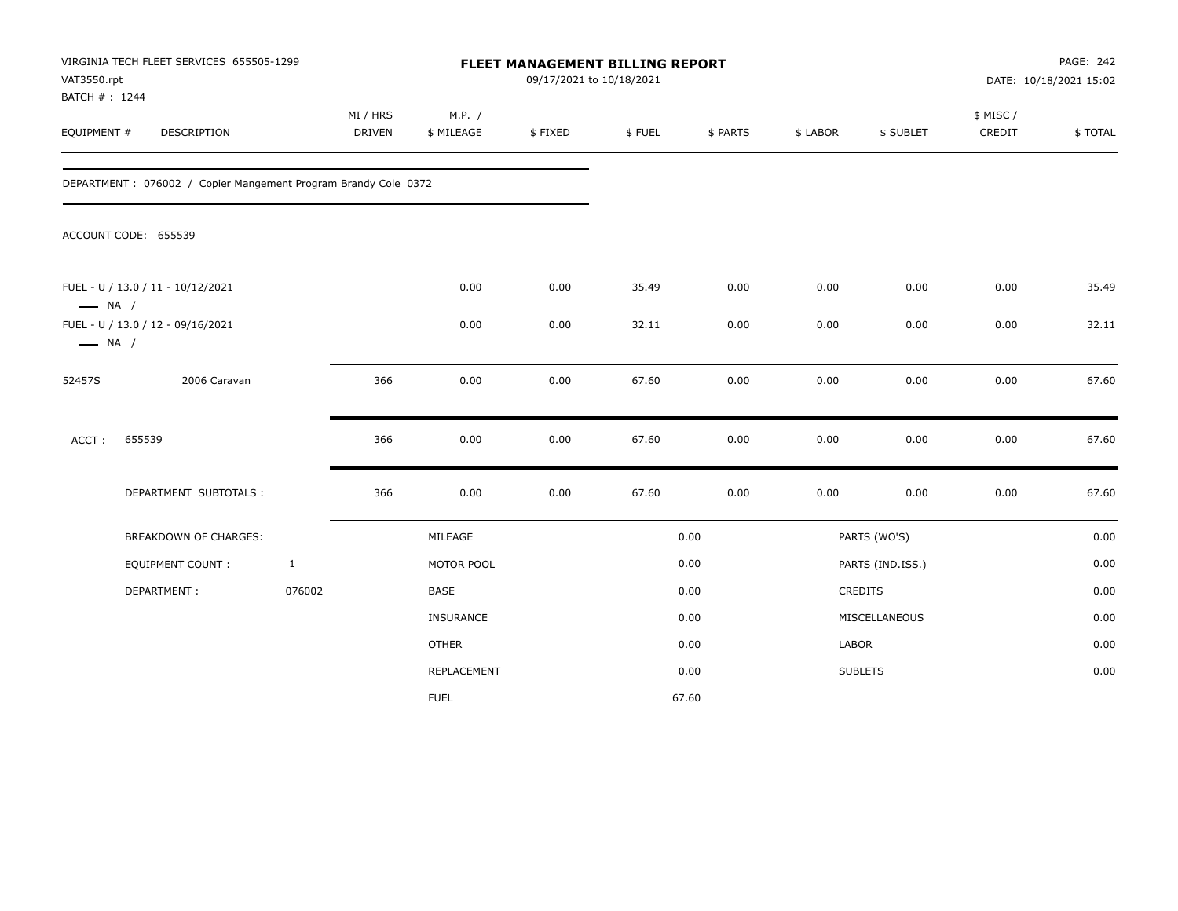| VAT3550.rpt<br>BATCH #: 1244 | VIRGINIA TECH FLEET SERVICES 655505-1299                       |              |                    |                      | FLEET MANAGEMENT BILLING REPORT<br>09/17/2021 to 10/18/2021 |        |          |          |                  |                     | PAGE: 242<br>DATE: 10/18/2021 15:02 |
|------------------------------|----------------------------------------------------------------|--------------|--------------------|----------------------|-------------------------------------------------------------|--------|----------|----------|------------------|---------------------|-------------------------------------|
| EQUIPMENT #                  | DESCRIPTION                                                    |              | MI / HRS<br>DRIVEN | M.P. /<br>\$ MILEAGE | \$FIXED                                                     | \$FUEL | \$ PARTS | \$ LABOR | \$ SUBLET        | \$ MISC /<br>CREDIT | \$TOTAL                             |
|                              | DEPARTMENT: 076002 / Copier Mangement Program Brandy Cole 0372 |              |                    |                      |                                                             |        |          |          |                  |                     |                                     |
|                              | ACCOUNT CODE: 655539                                           |              |                    |                      |                                                             |        |          |          |                  |                     |                                     |
| $\longrightarrow$ NA /       | FUEL - U / 13.0 / 11 - 10/12/2021                              |              |                    | 0.00                 | 0.00                                                        | 35.49  | 0.00     | 0.00     | 0.00             | 0.00                | 35.49                               |
| $\longrightarrow$ NA /       | FUEL - U / 13.0 / 12 - 09/16/2021                              |              |                    | 0.00                 | 0.00                                                        | 32.11  | 0.00     | 0.00     | 0.00             | 0.00                | 32.11                               |
| 52457S                       | 2006 Caravan                                                   |              | 366                | 0.00                 | 0.00                                                        | 67.60  | 0.00     | 0.00     | 0.00             | 0.00                | 67.60                               |
| ACCT:                        | 655539                                                         |              | 366                | 0.00                 | 0.00                                                        | 67.60  | 0.00     | 0.00     | 0.00             | 0.00                | 67.60                               |
|                              | DEPARTMENT SUBTOTALS :                                         |              | 366                | 0.00                 | 0.00                                                        | 67.60  | 0.00     | 0.00     | 0.00             | 0.00                | 67.60                               |
|                              | BREAKDOWN OF CHARGES:                                          |              |                    | MILEAGE              |                                                             |        | 0.00     |          | PARTS (WO'S)     |                     | 0.00                                |
|                              | <b>EQUIPMENT COUNT:</b>                                        | $\mathbf{1}$ |                    | MOTOR POOL           |                                                             |        | 0.00     |          | PARTS (IND.ISS.) |                     | 0.00                                |
|                              | DEPARTMENT:                                                    | 076002       |                    | BASE                 |                                                             |        | 0.00     |          | CREDITS          |                     | 0.00                                |
|                              |                                                                |              |                    | INSURANCE            |                                                             |        | 0.00     |          | MISCELLANEOUS    |                     | 0.00                                |
|                              |                                                                |              |                    | <b>OTHER</b>         |                                                             |        | 0.00     | LABOR    |                  |                     | 0.00                                |
|                              |                                                                |              |                    | REPLACEMENT          |                                                             |        | 0.00     |          | <b>SUBLETS</b>   |                     | 0.00                                |
|                              |                                                                |              |                    | <b>FUEL</b>          |                                                             |        | 67.60    |          |                  |                     |                                     |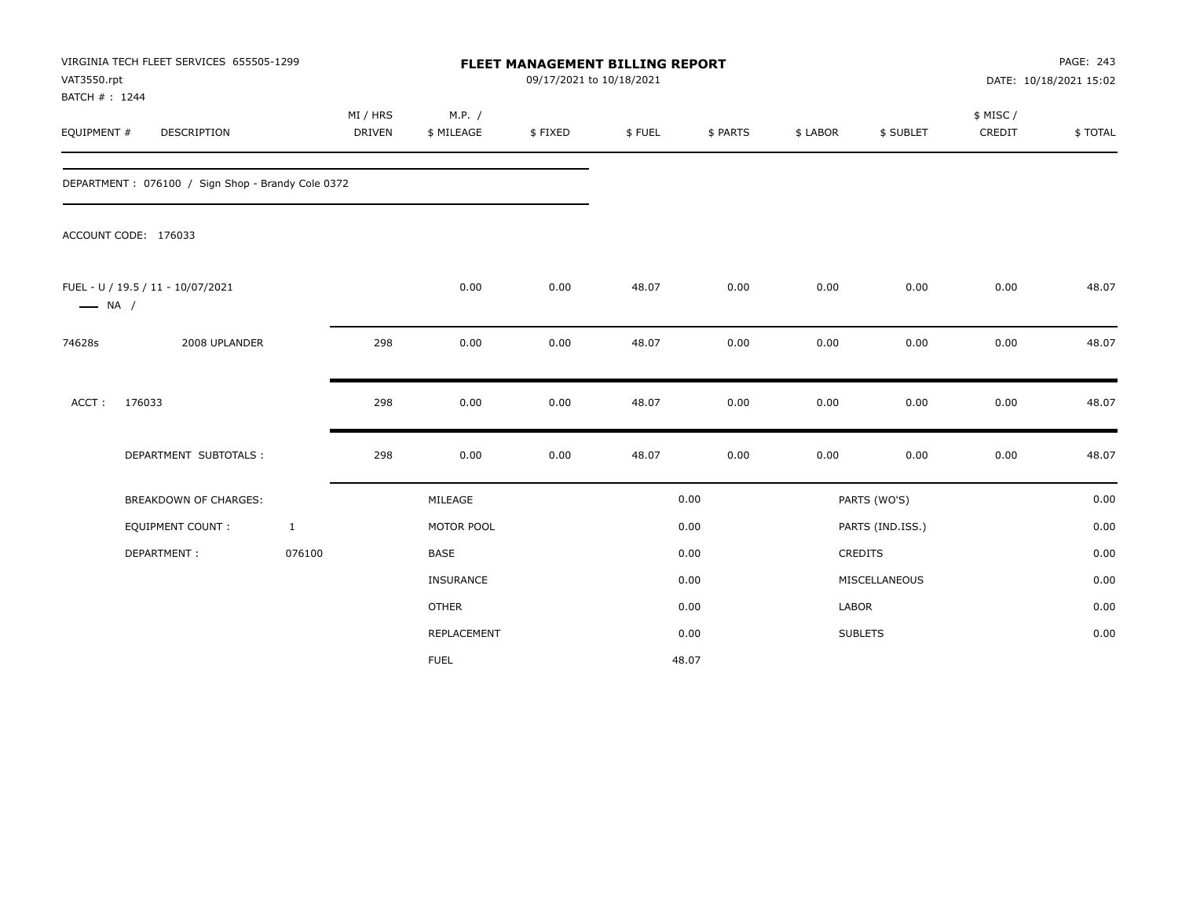| VAT3550.rpt            | VIRGINIA TECH FLEET SERVICES 655505-1299<br>BATCH #: 1244<br><b>DESCRIPTION</b> |              |                    |                      | FLEET MANAGEMENT BILLING REPORT<br>09/17/2021 to 10/18/2021 |        |          |          |                  |                    | PAGE: 243<br>DATE: 10/18/2021 15:02 |
|------------------------|---------------------------------------------------------------------------------|--------------|--------------------|----------------------|-------------------------------------------------------------|--------|----------|----------|------------------|--------------------|-------------------------------------|
| EQUIPMENT #            |                                                                                 |              | MI / HRS<br>DRIVEN | M.P. /<br>\$ MILEAGE | \$FIXED                                                     | \$FUEL | \$ PARTS | \$ LABOR | \$ SUBLET        | \$ MISC/<br>CREDIT | \$TOTAL                             |
|                        | DEPARTMENT: 076100 / Sign Shop - Brandy Cole 0372                               |              |                    |                      |                                                             |        |          |          |                  |                    |                                     |
|                        | ACCOUNT CODE: 176033                                                            |              |                    |                      |                                                             |        |          |          |                  |                    |                                     |
| $\longrightarrow$ NA / | FUEL - U / 19.5 / 11 - 10/07/2021                                               |              |                    | 0.00                 | 0.00                                                        | 48.07  | 0.00     | 0.00     | 0.00             | 0.00               | 48.07                               |
| 74628s                 | 2008 UPLANDER                                                                   |              | 298                | 0.00                 | 0.00                                                        | 48.07  | 0.00     | 0.00     | 0.00             | 0.00               | 48.07                               |
| ACCT:                  | 176033                                                                          |              | 298                | 0.00                 | 0.00                                                        | 48.07  | 0.00     | 0.00     | 0.00             | 0.00               | 48.07                               |
|                        | DEPARTMENT SUBTOTALS :                                                          |              | 298                | 0.00                 | 0.00                                                        | 48.07  | 0.00     | 0.00     | 0.00             | 0.00               | 48.07                               |
|                        | BREAKDOWN OF CHARGES:                                                           |              |                    | MILEAGE              |                                                             |        | 0.00     |          | PARTS (WO'S)     |                    | 0.00                                |
|                        | <b>EQUIPMENT COUNT:</b>                                                         | $\mathbf{1}$ |                    | MOTOR POOL           |                                                             |        | 0.00     |          | PARTS (IND.ISS.) |                    | 0.00                                |
|                        | DEPARTMENT:                                                                     | 076100       |                    | <b>BASE</b>          |                                                             |        | 0.00     |          | <b>CREDITS</b>   |                    | 0.00                                |
|                        |                                                                                 |              |                    | INSURANCE            |                                                             |        | 0.00     |          | MISCELLANEOUS    |                    | 0.00                                |
|                        |                                                                                 |              |                    | <b>OTHER</b>         |                                                             |        | 0.00     | LABOR    |                  |                    | 0.00                                |
|                        |                                                                                 |              |                    | REPLACEMENT          |                                                             |        | 0.00     |          | <b>SUBLETS</b>   |                    | 0.00                                |
|                        |                                                                                 |              |                    | <b>FUEL</b>          |                                                             |        | 48.07    |          |                  |                    |                                     |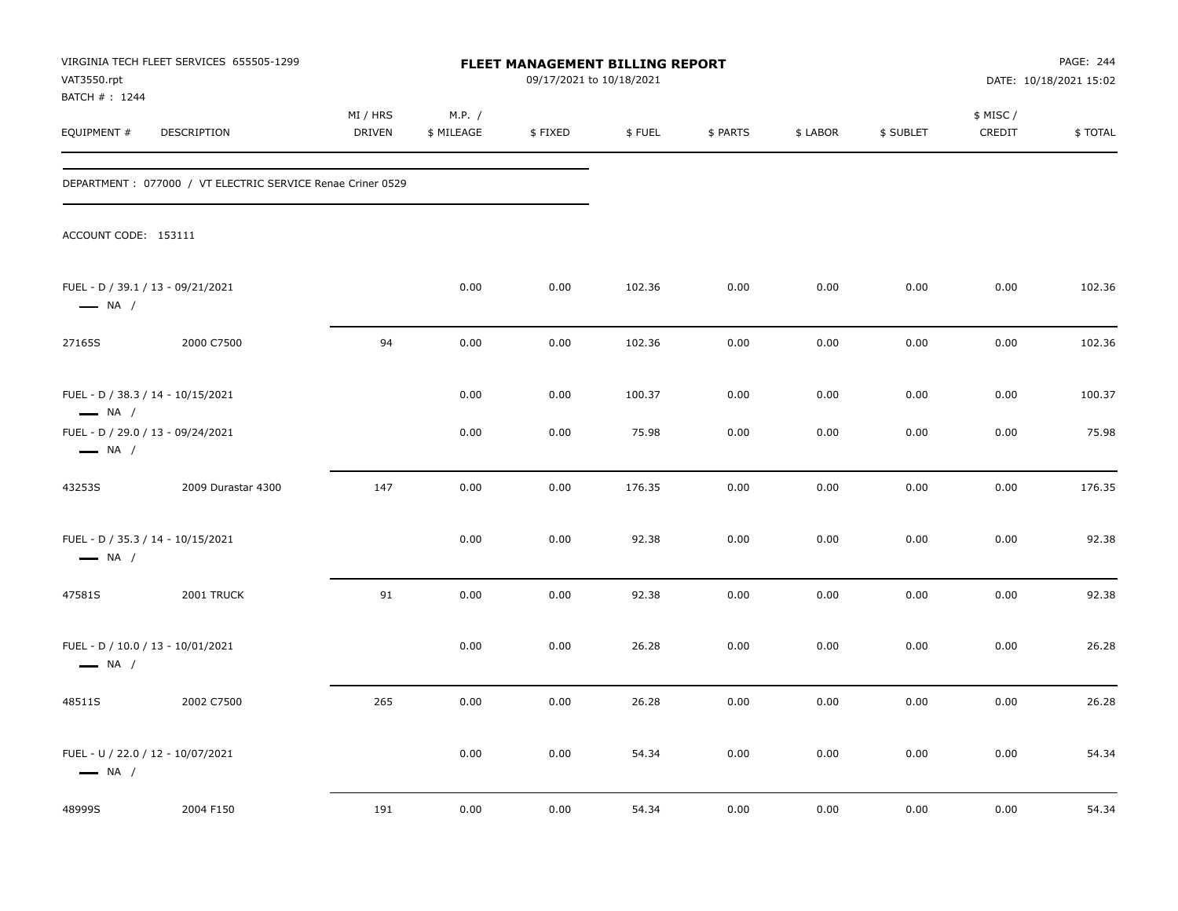| VAT3550.rpt<br>BATCH # : 1244 | VIRGINIA TECH FLEET SERVICES 655505-1299                    |                    |                      | FLEET MANAGEMENT BILLING REPORT<br>09/17/2021 to 10/18/2021 |        |          |          |           |                     | PAGE: 244<br>DATE: 10/18/2021 15:02 |
|-------------------------------|-------------------------------------------------------------|--------------------|----------------------|-------------------------------------------------------------|--------|----------|----------|-----------|---------------------|-------------------------------------|
| EQUIPMENT #                   | DESCRIPTION                                                 | MI / HRS<br>DRIVEN | M.P. /<br>\$ MILEAGE | \$FIXED                                                     | \$FUEL | \$ PARTS | \$ LABOR | \$ SUBLET | \$ MISC /<br>CREDIT | \$TOTAL                             |
|                               | DEPARTMENT : 077000 / VT ELECTRIC SERVICE Renae Criner 0529 |                    |                      |                                                             |        |          |          |           |                     |                                     |
| ACCOUNT CODE: 153111          |                                                             |                    |                      |                                                             |        |          |          |           |                     |                                     |
| $\longrightarrow$ NA /        | FUEL - D / 39.1 / 13 - 09/21/2021                           |                    | 0.00                 | 0.00                                                        | 102.36 | 0.00     | 0.00     | 0.00      | 0.00                | 102.36                              |
| 27165S                        | 2000 C7500                                                  | 94                 | 0.00                 | 0.00                                                        | 102.36 | 0.00     | 0.00     | 0.00      | 0.00                | 102.36                              |
| $\longrightarrow$ NA /        | FUEL - D / 38.3 / 14 - 10/15/2021                           |                    | 0.00                 | 0.00                                                        | 100.37 | 0.00     | 0.00     | 0.00      | 0.00                | 100.37                              |
| $\longrightarrow$ NA /        | FUEL - D / 29.0 / 13 - 09/24/2021                           |                    | 0.00                 | 0.00                                                        | 75.98  | 0.00     | 0.00     | 0.00      | 0.00                | 75.98                               |
| 43253S                        | 2009 Durastar 4300                                          | 147                | 0.00                 | 0.00                                                        | 176.35 | 0.00     | 0.00     | 0.00      | 0.00                | 176.35                              |
| $\longrightarrow$ NA /        | FUEL - D / 35.3 / 14 - 10/15/2021                           |                    | 0.00                 | 0.00                                                        | 92.38  | 0.00     | 0.00     | 0.00      | 0.00                | 92.38                               |
| 47581S                        | 2001 TRUCK                                                  | 91                 | 0.00                 | 0.00                                                        | 92.38  | 0.00     | 0.00     | 0.00      | 0.00                | 92.38                               |
| $\longrightarrow$ NA /        | FUEL - D / 10.0 / 13 - 10/01/2021                           |                    | 0.00                 | 0.00                                                        | 26.28  | 0.00     | 0.00     | 0.00      | 0.00                | 26.28                               |
| 48511S                        | 2002 C7500                                                  | 265                | 0.00                 | 0.00                                                        | 26.28  | 0.00     | 0.00     | 0.00      | 0.00                | 26.28                               |
| $\longrightarrow$ NA /        | FUEL - U / 22.0 / 12 - 10/07/2021                           |                    | 0.00                 | 0.00                                                        | 54.34  | 0.00     | 0.00     | 0.00      | 0.00                | 54.34                               |
| 48999S                        | 2004 F150                                                   | 191                | 0.00                 | 0.00                                                        | 54.34  | 0.00     | 0.00     | 0.00      | 0.00                | 54.34                               |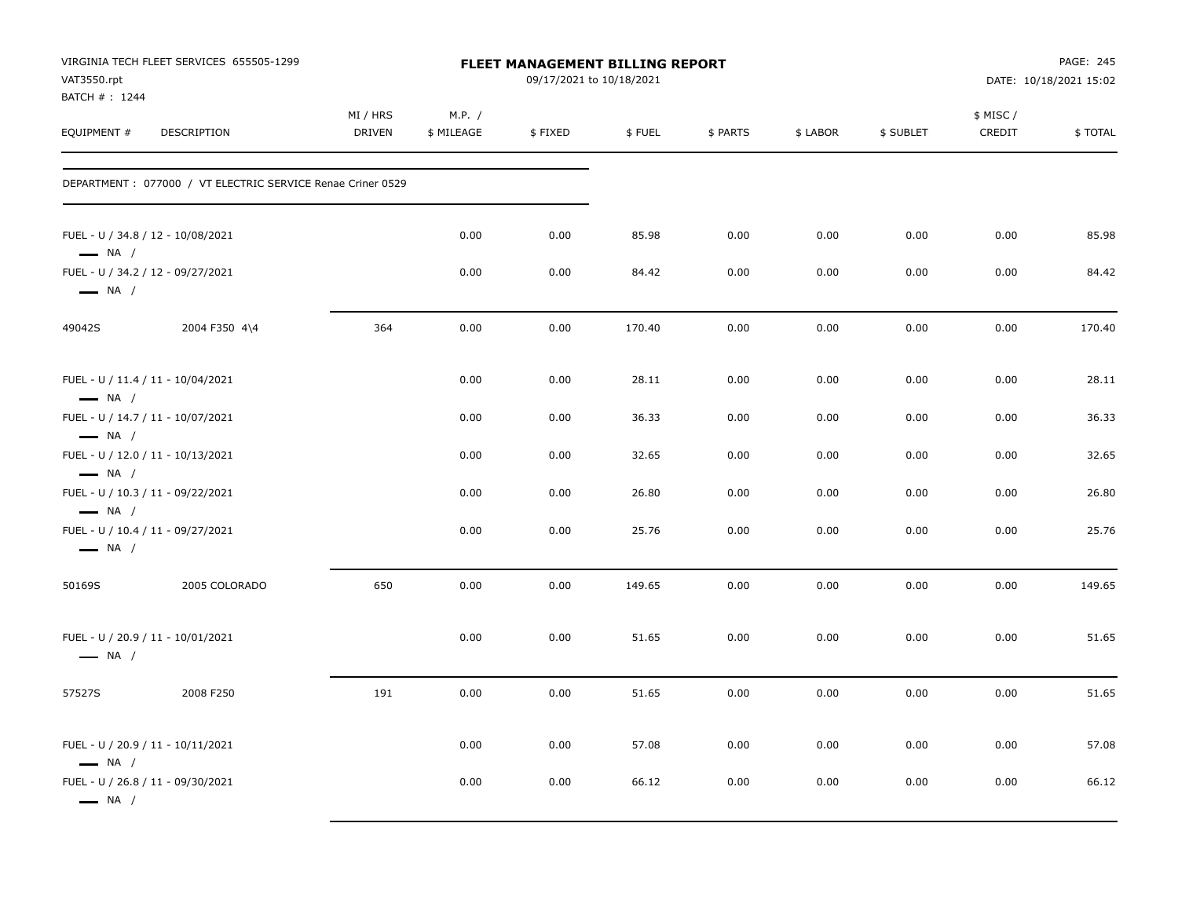| VAT3550.rpt<br>BATCH # : 1244                                                         | VIRGINIA TECH FLEET SERVICES 655505-1299                    |                    |                      |         | <b>FLEET MANAGEMENT BILLING REPORT</b><br>09/17/2021 to 10/18/2021 |          |          |           |                     | PAGE: 245<br>DATE: 10/18/2021 15:02 |
|---------------------------------------------------------------------------------------|-------------------------------------------------------------|--------------------|----------------------|---------|--------------------------------------------------------------------|----------|----------|-----------|---------------------|-------------------------------------|
| EQUIPMENT #                                                                           | DESCRIPTION                                                 | MI / HRS<br>DRIVEN | M.P. /<br>\$ MILEAGE | \$FIXED | \$FUEL                                                             | \$ PARTS | \$ LABOR | \$ SUBLET | \$ MISC /<br>CREDIT | \$TOTAL                             |
|                                                                                       | DEPARTMENT : 077000 / VT ELECTRIC SERVICE Renae Criner 0529 |                    |                      |         |                                                                    |          |          |           |                     |                                     |
| FUEL - U / 34.8 / 12 - 10/08/2021<br>$\longrightarrow$ NA /                           |                                                             |                    | 0.00                 | 0.00    | 85.98                                                              | 0.00     | 0.00     | 0.00      | 0.00                | 85.98                               |
| FUEL - U / 34.2 / 12 - 09/27/2021<br>$\longrightarrow$ NA /                           |                                                             |                    | 0.00                 | 0.00    | 84.42                                                              | 0.00     | 0.00     | 0.00      | 0.00                | 84.42                               |
| 49042S                                                                                | 2004 F350 4\4                                               | 364                | 0.00                 | 0.00    | 170.40                                                             | 0.00     | 0.00     | 0.00      | 0.00                | 170.40                              |
| FUEL - U / 11.4 / 11 - 10/04/2021<br>$\longrightarrow$ NA /                           |                                                             |                    | 0.00                 | 0.00    | 28.11                                                              | 0.00     | 0.00     | 0.00      | 0.00                | 28.11                               |
| FUEL - U / 14.7 / 11 - 10/07/2021                                                     |                                                             |                    | 0.00                 | 0.00    | 36.33                                                              | 0.00     | 0.00     | 0.00      | 0.00                | 36.33                               |
| $\longrightarrow$ NA /<br>FUEL - U / 12.0 / 11 - 10/13/2021<br>$\longrightarrow$ NA / |                                                             |                    | 0.00                 | 0.00    | 32.65                                                              | 0.00     | 0.00     | 0.00      | 0.00                | 32.65                               |
| FUEL - U / 10.3 / 11 - 09/22/2021<br>$\longrightarrow$ NA /                           |                                                             |                    | 0.00                 | 0.00    | 26.80                                                              | 0.00     | 0.00     | 0.00      | 0.00                | 26.80                               |
| FUEL - U / 10.4 / 11 - 09/27/2021<br>$\longrightarrow$ NA /                           |                                                             |                    | 0.00                 | 0.00    | 25.76                                                              | 0.00     | 0.00     | 0.00      | 0.00                | 25.76                               |
| 50169S                                                                                | 2005 COLORADO                                               | 650                | 0.00                 | 0.00    | 149.65                                                             | 0.00     | 0.00     | 0.00      | 0.00                | 149.65                              |
| FUEL - U / 20.9 / 11 - 10/01/2021<br>$\longrightarrow$ NA /                           |                                                             |                    | 0.00                 | 0.00    | 51.65                                                              | 0.00     | 0.00     | 0.00      | 0.00                | 51.65                               |
| 57527S                                                                                | 2008 F250                                                   | 191                | 0.00                 | 0.00    | 51.65                                                              | 0.00     | 0.00     | 0.00      | 0.00                | 51.65                               |
| FUEL - U / 20.9 / 11 - 10/11/2021<br>$\longrightarrow$ NA /                           |                                                             |                    | 0.00                 | 0.00    | 57.08                                                              | 0.00     | 0.00     | 0.00      | 0.00                | 57.08                               |
| FUEL - U / 26.8 / 11 - 09/30/2021<br>$\longrightarrow$ NA /                           |                                                             |                    | 0.00                 | 0.00    | 66.12                                                              | 0.00     | 0.00     | 0.00      | 0.00                | 66.12                               |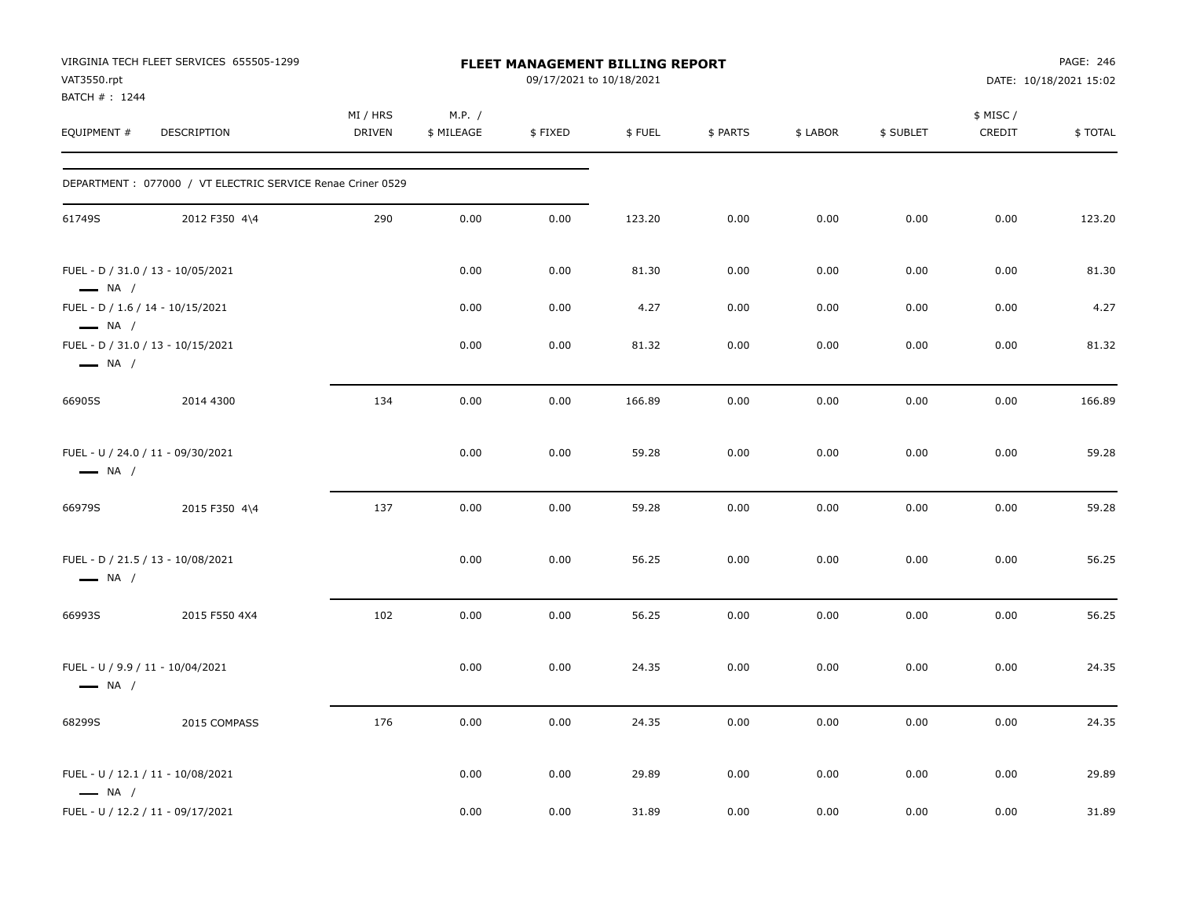| VAT3550.rpt                                                | VIRGINIA TECH FLEET SERVICES 655505-1299                   |                           |                      | FLEET MANAGEMENT BILLING REPORT<br>09/17/2021 to 10/18/2021 |        |          |          |           |                     | PAGE: 246<br>DATE: 10/18/2021 15:02 |
|------------------------------------------------------------|------------------------------------------------------------|---------------------------|----------------------|-------------------------------------------------------------|--------|----------|----------|-----------|---------------------|-------------------------------------|
| BATCH #: 1244<br>EQUIPMENT #                               | DESCRIPTION                                                | MI / HRS<br><b>DRIVEN</b> | M.P. /<br>\$ MILEAGE | \$FIXED                                                     | \$FUEL | \$ PARTS | \$ LABOR | \$ SUBLET | \$ MISC /<br>CREDIT | \$TOTAL                             |
|                                                            | DEPARTMENT: 077000 / VT ELECTRIC SERVICE Renae Criner 0529 |                           |                      |                                                             |        |          |          |           |                     |                                     |
| 61749S                                                     | 2012 F350 4\4                                              | 290                       | 0.00                 | 0.00                                                        | 123.20 | 0.00     | 0.00     | 0.00      | 0.00                | 123.20                              |
| $\longrightarrow$ NA /                                     | FUEL - D / 31.0 / 13 - 10/05/2021                          |                           | 0.00                 | 0.00                                                        | 81.30  | 0.00     | 0.00     | 0.00      | 0.00                | 81.30                               |
| FUEL - D / 1.6 / 14 - 10/15/2021<br>$\longrightarrow$ NA / |                                                            |                           | 0.00                 | 0.00                                                        | 4.27   | 0.00     | 0.00     | 0.00      | 0.00                | 4.27                                |
| $\longrightarrow$ NA /                                     | FUEL - D / 31.0 / 13 - 10/15/2021                          |                           | 0.00                 | 0.00                                                        | 81.32  | 0.00     | 0.00     | 0.00      | 0.00                | 81.32                               |
| 66905S                                                     | 2014 4300                                                  | 134                       | 0.00                 | 0.00                                                        | 166.89 | 0.00     | 0.00     | 0.00      | 0.00                | 166.89                              |
| $\longrightarrow$ NA /                                     | FUEL - U / 24.0 / 11 - 09/30/2021                          |                           | 0.00                 | 0.00                                                        | 59.28  | 0.00     | 0.00     | 0.00      | 0.00                | 59.28                               |
| 66979S                                                     | 2015 F350 4\4                                              | 137                       | 0.00                 | 0.00                                                        | 59.28  | 0.00     | 0.00     | 0.00      | 0.00                | 59.28                               |
| $\longrightarrow$ NA /                                     | FUEL - D / 21.5 / 13 - 10/08/2021                          |                           | 0.00                 | 0.00                                                        | 56.25  | 0.00     | 0.00     | 0.00      | 0.00                | 56.25                               |
| 66993S                                                     | 2015 F550 4X4                                              | 102                       | 0.00                 | 0.00                                                        | 56.25  | 0.00     | 0.00     | 0.00      | 0.00                | 56.25                               |
| $\longrightarrow$ NA /                                     | FUEL - U / 9.9 / 11 - 10/04/2021                           |                           | 0.00                 | 0.00                                                        | 24.35  | 0.00     | 0.00     | 0.00      | 0.00                | 24.35                               |
| 68299S                                                     | 2015 COMPASS                                               | 176                       | 0.00                 | 0.00                                                        | 24.35  | 0.00     | 0.00     | 0.00      | 0.00                | 24.35                               |
| $\longrightarrow$ NA /                                     | FUEL - U / 12.1 / 11 - 10/08/2021                          |                           | 0.00                 | 0.00                                                        | 29.89  | 0.00     | 0.00     | 0.00      | 0.00                | 29.89                               |
|                                                            | FUEL - U / 12.2 / 11 - 09/17/2021                          |                           | 0.00                 | 0.00                                                        | 31.89  | 0.00     | 0.00     | 0.00      | 0.00                | 31.89                               |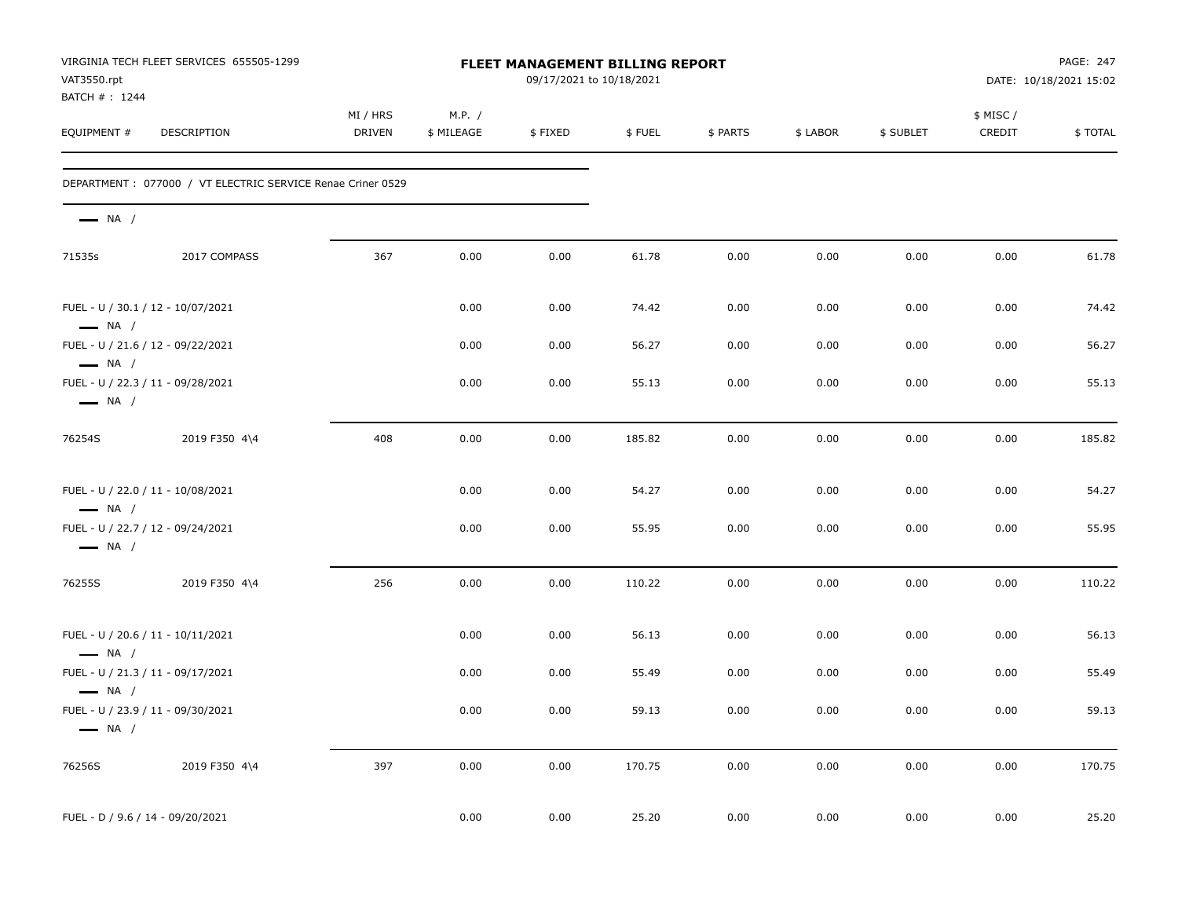| VAT3550.rpt<br>BATCH # : 1244    | VIRGINIA TECH FLEET SERVICES 655505-1299                    |                           |                      | FLEET MANAGEMENT BILLING REPORT<br>09/17/2021 to 10/18/2021 |        |          |          |           |                     | PAGE: 247<br>DATE: 10/18/2021 15:02 |
|----------------------------------|-------------------------------------------------------------|---------------------------|----------------------|-------------------------------------------------------------|--------|----------|----------|-----------|---------------------|-------------------------------------|
| EQUIPMENT #                      | DESCRIPTION                                                 | MI / HRS<br><b>DRIVEN</b> | M.P. /<br>\$ MILEAGE | \$FIXED                                                     | \$FUEL | \$ PARTS | \$ LABOR | \$ SUBLET | \$ MISC /<br>CREDIT | \$TOTAL                             |
|                                  | DEPARTMENT : 077000 / VT ELECTRIC SERVICE Renae Criner 0529 |                           |                      |                                                             |        |          |          |           |                     |                                     |
| $\longrightarrow$ NA /           |                                                             |                           |                      |                                                             |        |          |          |           |                     |                                     |
| 71535s                           | 2017 COMPASS                                                | 367                       | 0.00                 | 0.00                                                        | 61.78  | 0.00     | 0.00     | 0.00      | 0.00                | 61.78                               |
| $\longrightarrow$ NA /           | FUEL - U / 30.1 / 12 - 10/07/2021                           |                           | 0.00                 | 0.00                                                        | 74.42  | 0.00     | 0.00     | 0.00      | 0.00                | 74.42                               |
| $\longrightarrow$ NA /           | FUEL - U / 21.6 / 12 - 09/22/2021                           |                           | 0.00                 | 0.00                                                        | 56.27  | 0.00     | 0.00     | 0.00      | 0.00                | 56.27                               |
| $\longrightarrow$ NA /           | FUEL - U / 22.3 / 11 - 09/28/2021                           |                           | 0.00                 | 0.00                                                        | 55.13  | 0.00     | 0.00     | 0.00      | 0.00                | 55.13                               |
| 76254S                           | 2019 F350 4\4                                               | 408                       | 0.00                 | 0.00                                                        | 185.82 | 0.00     | 0.00     | 0.00      | 0.00                | 185.82                              |
| $\longrightarrow$ NA /           | FUEL - U / 22.0 / 11 - 10/08/2021                           |                           | 0.00                 | 0.00                                                        | 54.27  | 0.00     | 0.00     | 0.00      | 0.00                | 54.27                               |
| $\longrightarrow$ NA /           | FUEL - U / 22.7 / 12 - 09/24/2021                           |                           | 0.00                 | 0.00                                                        | 55.95  | 0.00     | 0.00     | 0.00      | 0.00                | 55.95                               |
| 76255S                           | 2019 F350 4\4                                               | 256                       | 0.00                 | 0.00                                                        | 110.22 | 0.00     | 0.00     | 0.00      | 0.00                | 110.22                              |
| $-$ NA $/$                       | FUEL - U / 20.6 / 11 - 10/11/2021                           |                           | 0.00                 | 0.00                                                        | 56.13  | 0.00     | 0.00     | 0.00      | 0.00                | 56.13                               |
| $\longrightarrow$ NA /           | FUEL - U / 21.3 / 11 - 09/17/2021                           |                           | 0.00                 | 0.00                                                        | 55.49  | 0.00     | 0.00     | 0.00      | 0.00                | 55.49                               |
| $\longrightarrow$ NA /           | FUEL - U / 23.9 / 11 - 09/30/2021                           |                           | 0.00                 | 0.00                                                        | 59.13  | 0.00     | 0.00     | 0.00      | 0.00                | 59.13                               |
| 76256S                           | 2019 F350 4\4                                               | 397                       | 0.00                 | 0.00                                                        | 170.75 | 0.00     | 0.00     | 0.00      | 0.00                | 170.75                              |
| FUEL - D / 9.6 / 14 - 09/20/2021 |                                                             |                           | 0.00                 | 0.00                                                        | 25.20  | 0.00     | 0.00     | 0.00      | 0.00                | 25.20                               |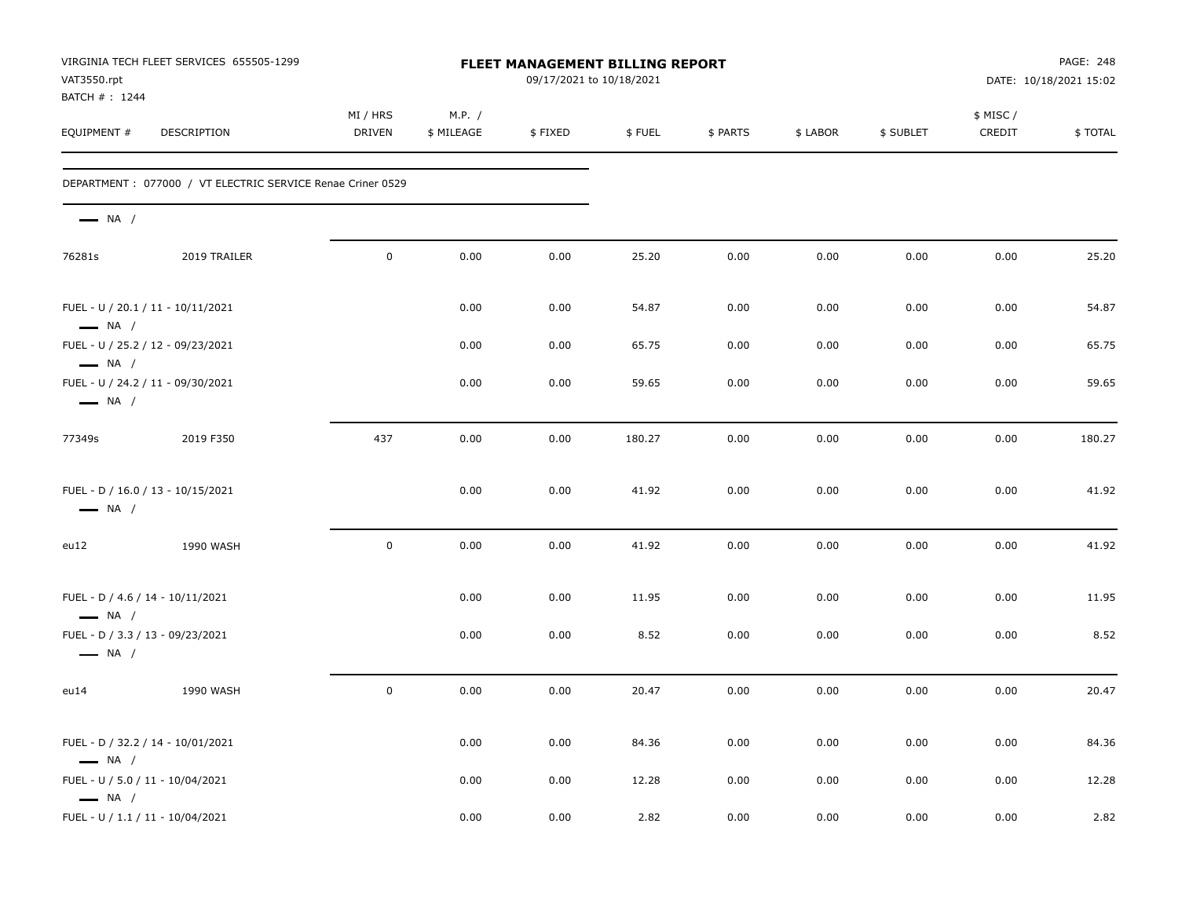| VAT3550.rpt<br>BATCH #: 1244                               | VIRGINIA TECH FLEET SERVICES 655505-1299                   |                           |                      | FLEET MANAGEMENT BILLING REPORT<br>09/17/2021 to 10/18/2021 |        |          |          |           |                     | PAGE: 248<br>DATE: 10/18/2021 15:02 |
|------------------------------------------------------------|------------------------------------------------------------|---------------------------|----------------------|-------------------------------------------------------------|--------|----------|----------|-----------|---------------------|-------------------------------------|
| EQUIPMENT #                                                | DESCRIPTION                                                | MI / HRS<br><b>DRIVEN</b> | M.P. /<br>\$ MILEAGE | \$FIXED                                                     | \$FUEL | \$ PARTS | \$ LABOR | \$ SUBLET | \$ MISC /<br>CREDIT | \$TOTAL                             |
|                                                            | DEPARTMENT: 077000 / VT ELECTRIC SERVICE Renae Criner 0529 |                           |                      |                                                             |        |          |          |           |                     |                                     |
| $\longrightarrow$ NA /                                     |                                                            |                           |                      |                                                             |        |          |          |           |                     |                                     |
| 76281s                                                     | 2019 TRAILER                                               | $\mathbf 0$               | 0.00                 | 0.00                                                        | 25.20  | 0.00     | 0.00     | 0.00      | 0.00                | 25.20                               |
| $\longrightarrow$ NA /                                     | FUEL - U / 20.1 / 11 - 10/11/2021                          |                           | 0.00                 | 0.00                                                        | 54.87  | 0.00     | 0.00     | 0.00      | 0.00                | 54.87                               |
| $\longrightarrow$ NA /                                     | FUEL - U / 25.2 / 12 - 09/23/2021                          |                           | 0.00                 | 0.00                                                        | 65.75  | 0.00     | 0.00     | 0.00      | 0.00                | 65.75                               |
| $\longrightarrow$ NA /                                     | FUEL - U / 24.2 / 11 - 09/30/2021                          |                           | 0.00                 | 0.00                                                        | 59.65  | 0.00     | 0.00     | 0.00      | 0.00                | 59.65                               |
| 77349s                                                     | 2019 F350                                                  | 437                       | 0.00                 | 0.00                                                        | 180.27 | 0.00     | 0.00     | 0.00      | 0.00                | 180.27                              |
| $\longrightarrow$ NA /                                     | FUEL - D / 16.0 / 13 - 10/15/2021                          |                           | 0.00                 | 0.00                                                        | 41.92  | 0.00     | 0.00     | 0.00      | 0.00                | 41.92                               |
| eu12                                                       | 1990 WASH                                                  | $\mathbf 0$               | 0.00                 | 0.00                                                        | 41.92  | 0.00     | 0.00     | 0.00      | 0.00                | 41.92                               |
| FUEL - D / 4.6 / 14 - 10/11/2021<br>$\longrightarrow$ NA / |                                                            |                           | 0.00                 | 0.00                                                        | 11.95  | 0.00     | 0.00     | 0.00      | 0.00                | 11.95                               |
| $\longrightarrow$ NA /                                     | FUEL - D / 3.3 / 13 - 09/23/2021                           |                           | 0.00                 | 0.00                                                        | 8.52   | 0.00     | 0.00     | 0.00      | 0.00                | 8.52                                |
| eu14                                                       | 1990 WASH                                                  | $\mathbf 0$               | 0.00                 | 0.00                                                        | 20.47  | 0.00     | 0.00     | 0.00      | 0.00                | 20.47                               |
| $\longrightarrow$ NA /                                     | FUEL - D / 32.2 / 14 - 10/01/2021                          |                           | 0.00                 | 0.00                                                        | 84.36  | 0.00     | 0.00     | 0.00      | 0.00                | 84.36                               |
| FUEL - U / 5.0 / 11 - 10/04/2021<br>$\longrightarrow$ NA / |                                                            |                           | 0.00                 | 0.00                                                        | 12.28  | 0.00     | 0.00     | 0.00      | 0.00                | 12.28                               |
| FUEL - U / 1.1 / 11 - 10/04/2021                           |                                                            |                           | 0.00                 | 0.00                                                        | 2.82   | 0.00     | 0.00     | 0.00      | 0.00                | 2.82                                |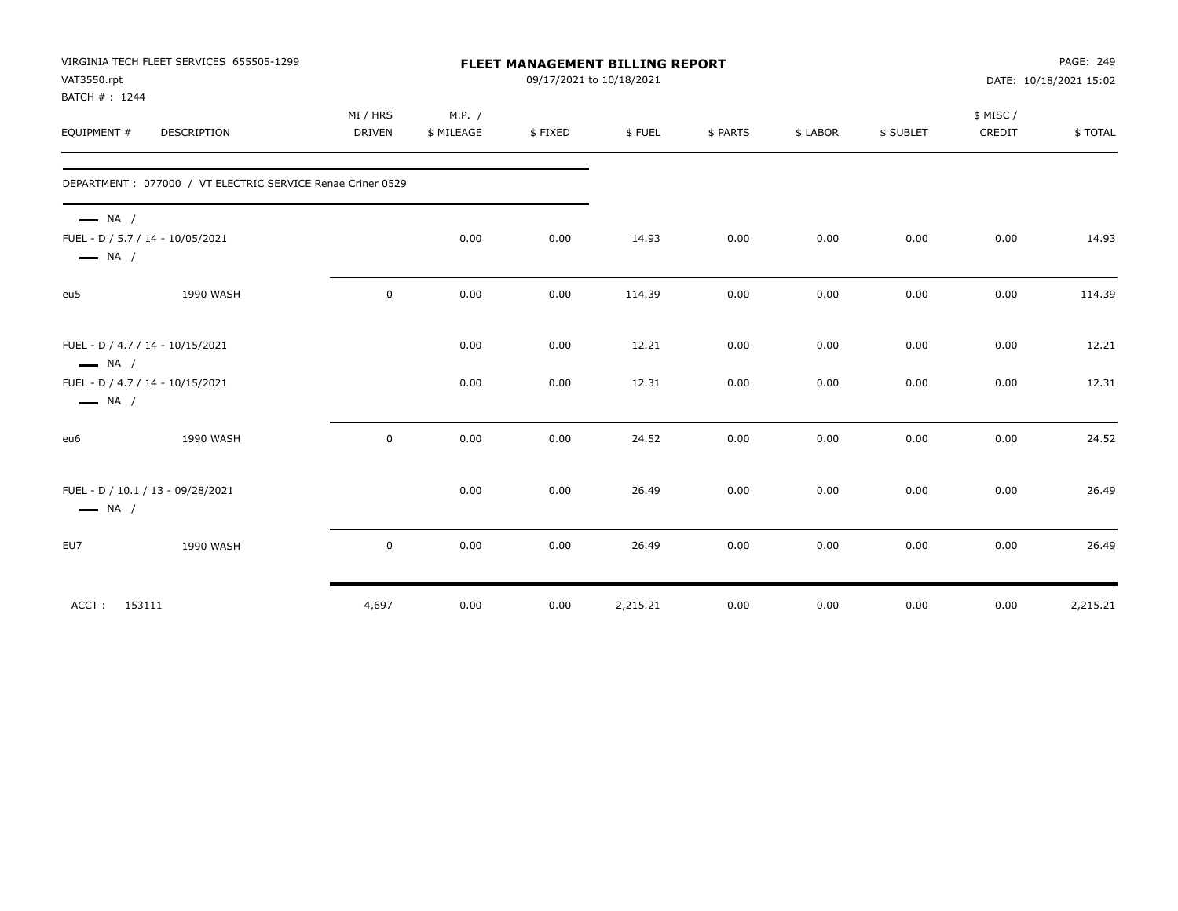| VAT3550.rpt                                      | VIRGINIA TECH FLEET SERVICES 655505-1299                   |                           |                      |         | <b>FLEET MANAGEMENT BILLING REPORT</b><br>09/17/2021 to 10/18/2021 |          |          |           |                    | PAGE: 249<br>DATE: 10/18/2021 15:02 |
|--------------------------------------------------|------------------------------------------------------------|---------------------------|----------------------|---------|--------------------------------------------------------------------|----------|----------|-----------|--------------------|-------------------------------------|
| BATCH #: 1244<br>EQUIPMENT #                     | <b>DESCRIPTION</b>                                         | MI / HRS<br><b>DRIVEN</b> | M.P. /<br>\$ MILEAGE | \$FIXED | \$FUEL                                                             | \$ PARTS | \$ LABOR | \$ SUBLET | \$ MISC/<br>CREDIT | \$TOTAL                             |
|                                                  | DEPARTMENT: 077000 / VT ELECTRIC SERVICE Renae Criner 0529 |                           |                      |         |                                                                    |          |          |           |                    |                                     |
| $\longrightarrow$ NA /<br>$\longrightarrow$ NA / | FUEL - D / 5.7 / 14 - 10/05/2021                           |                           | 0.00                 | 0.00    | 14.93                                                              | 0.00     | 0.00     | 0.00      | 0.00               | 14.93                               |
| eu5                                              | 1990 WASH                                                  | $\mathbf 0$               | 0.00                 | 0.00    | 114.39                                                             | 0.00     | 0.00     | 0.00      | 0.00               | 114.39                              |
| $\longrightarrow$ NA /                           | FUEL - D / 4.7 / 14 - 10/15/2021                           |                           | 0.00                 | 0.00    | 12.21                                                              | 0.00     | 0.00     | 0.00      | 0.00               | 12.21                               |
| $\longrightarrow$ NA /                           | FUEL - D / 4.7 / 14 - 10/15/2021                           |                           | 0.00                 | 0.00    | 12.31                                                              | 0.00     | 0.00     | 0.00      | 0.00               | 12.31                               |
| eu6                                              | 1990 WASH                                                  | $\mathbf 0$               | 0.00                 | 0.00    | 24.52                                                              | 0.00     | 0.00     | 0.00      | 0.00               | 24.52                               |
| $\longrightarrow$ NA /                           | FUEL - D / 10.1 / 13 - 09/28/2021                          |                           | 0.00                 | 0.00    | 26.49                                                              | 0.00     | 0.00     | 0.00      | 0.00               | 26.49                               |
| EU7                                              | 1990 WASH                                                  | $\mathbf 0$               | 0.00                 | 0.00    | 26.49                                                              | 0.00     | 0.00     | 0.00      | 0.00               | 26.49                               |
| ACCT: 153111                                     |                                                            | 4,697                     | 0.00                 | 0.00    | 2,215.21                                                           | 0.00     | 0.00     | 0.00      | 0.00               | 2,215.21                            |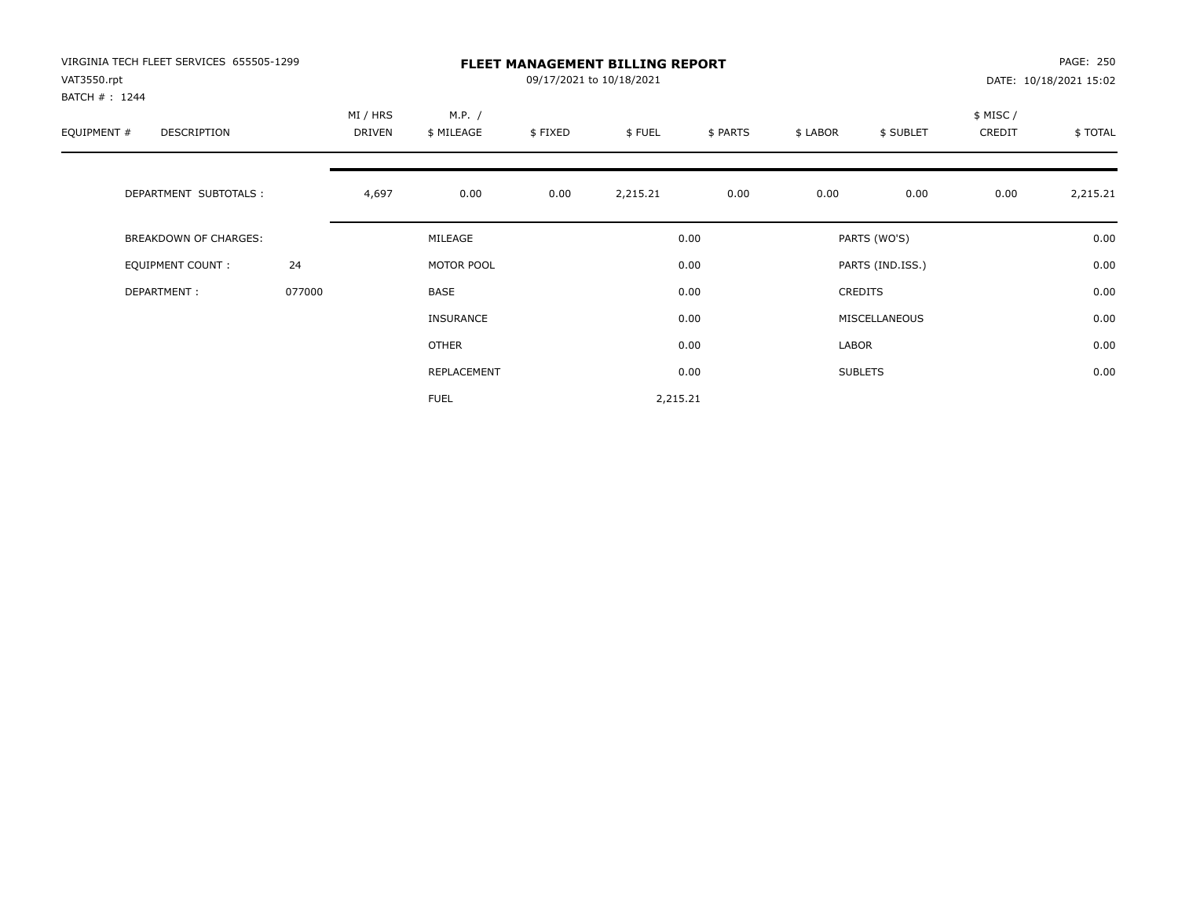| VIRGINIA TECH FLEET SERVICES 655505-1299<br>VAT3550.rpt<br>BATCH #: 1244 |        |                    |                      |         | <b>FLEET MANAGEMENT BILLING REPORT</b><br>09/17/2021 to 10/18/2021 |          |          |                  |                    | PAGE: 250<br>DATE: 10/18/2021 15:02 |
|--------------------------------------------------------------------------|--------|--------------------|----------------------|---------|--------------------------------------------------------------------|----------|----------|------------------|--------------------|-------------------------------------|
| EQUIPMENT #<br>DESCRIPTION                                               |        | MI / HRS<br>DRIVEN | M.P. /<br>\$ MILEAGE | \$FIXED | \$FUEL                                                             | \$ PARTS | \$ LABOR | \$ SUBLET        | \$ MISC/<br>CREDIT | \$TOTAL                             |
| DEPARTMENT SUBTOTALS :                                                   |        | 4,697              | 0.00                 | 0.00    | 2,215.21                                                           | 0.00     | 0.00     | 0.00             | 0.00               | 2,215.21                            |
| <b>BREAKDOWN OF CHARGES:</b>                                             |        |                    | MILEAGE              |         |                                                                    | 0.00     |          | PARTS (WO'S)     |                    | 0.00                                |
| EQUIPMENT COUNT:                                                         | 24     |                    | MOTOR POOL           |         |                                                                    | 0.00     |          | PARTS (IND.ISS.) |                    | 0.00                                |
| DEPARTMENT:                                                              | 077000 |                    | BASE                 |         |                                                                    | 0.00     |          | CREDITS          |                    | 0.00                                |
|                                                                          |        |                    | <b>INSURANCE</b>     |         |                                                                    | 0.00     |          | MISCELLANEOUS    |                    | 0.00                                |
|                                                                          |        |                    | OTHER                |         |                                                                    | 0.00     | LABOR    |                  |                    | 0.00                                |
|                                                                          |        |                    | REPLACEMENT          |         |                                                                    | 0.00     |          | <b>SUBLETS</b>   |                    | 0.00                                |
|                                                                          |        |                    | <b>FUEL</b>          |         | 2,215.21                                                           |          |          |                  |                    |                                     |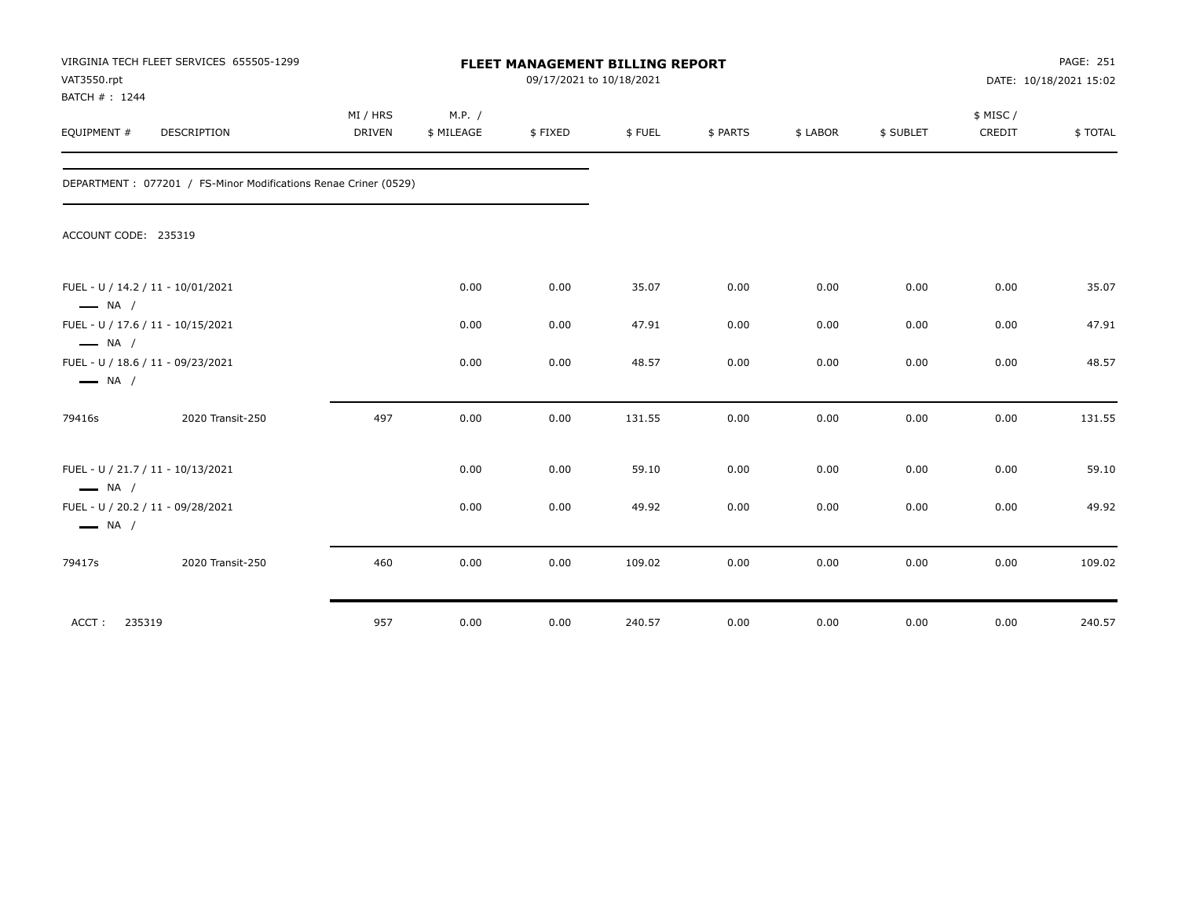| VAT3550.rpt<br>BATCH #: 1244                     | VIRGINIA TECH FLEET SERVICES 655505-1299                        |                           |                      | <b>FLEET MANAGEMENT BILLING REPORT</b><br>09/17/2021 to 10/18/2021 |        |          |          |           |                     | PAGE: 251<br>DATE: 10/18/2021 15:02 |
|--------------------------------------------------|-----------------------------------------------------------------|---------------------------|----------------------|--------------------------------------------------------------------|--------|----------|----------|-----------|---------------------|-------------------------------------|
| EQUIPMENT #                                      | <b>DESCRIPTION</b>                                              | MI / HRS<br><b>DRIVEN</b> | M.P. /<br>\$ MILEAGE | \$FIXED                                                            | \$FUEL | \$ PARTS | \$ LABOR | \$ SUBLET | \$ MISC /<br>CREDIT | \$TOTAL                             |
|                                                  | DEPARTMENT: 077201 / FS-Minor Modifications Renae Criner (0529) |                           |                      |                                                                    |        |          |          |           |                     |                                     |
| ACCOUNT CODE: 235319                             |                                                                 |                           |                      |                                                                    |        |          |          |           |                     |                                     |
| $\longrightarrow$ NA /                           | FUEL - U / 14.2 / 11 - 10/01/2021                               |                           | 0.00                 | 0.00                                                               | 35.07  | 0.00     | 0.00     | 0.00      | 0.00                | 35.07                               |
|                                                  | FUEL - U / 17.6 / 11 - 10/15/2021                               |                           | 0.00                 | 0.00                                                               | 47.91  | 0.00     | 0.00     | 0.00      | 0.00                | 47.91                               |
| $\longrightarrow$ NA /<br>$\longrightarrow$ NA / | FUEL - U / 18.6 / 11 - 09/23/2021                               |                           | 0.00                 | 0.00                                                               | 48.57  | 0.00     | 0.00     | 0.00      | 0.00                | 48.57                               |
| 79416s                                           | 2020 Transit-250                                                | 497                       | 0.00                 | 0.00                                                               | 131.55 | 0.00     | 0.00     | 0.00      | 0.00                | 131.55                              |
| $\longrightarrow$ NA /                           | FUEL - U / 21.7 / 11 - 10/13/2021                               |                           | 0.00                 | 0.00                                                               | 59.10  | 0.00     | 0.00     | 0.00      | 0.00                | 59.10                               |
| $\longrightarrow$ NA /                           | FUEL - U / 20.2 / 11 - 09/28/2021                               |                           | 0.00                 | 0.00                                                               | 49.92  | 0.00     | 0.00     | 0.00      | 0.00                | 49.92                               |
| 79417s                                           | 2020 Transit-250                                                | 460                       | 0.00                 | 0.00                                                               | 109.02 | 0.00     | 0.00     | 0.00      | 0.00                | 109.02                              |
| ACCT:<br>235319                                  |                                                                 | 957                       | 0.00                 | 0.00                                                               | 240.57 | 0.00     | 0.00     | 0.00      | 0.00                | 240.57                              |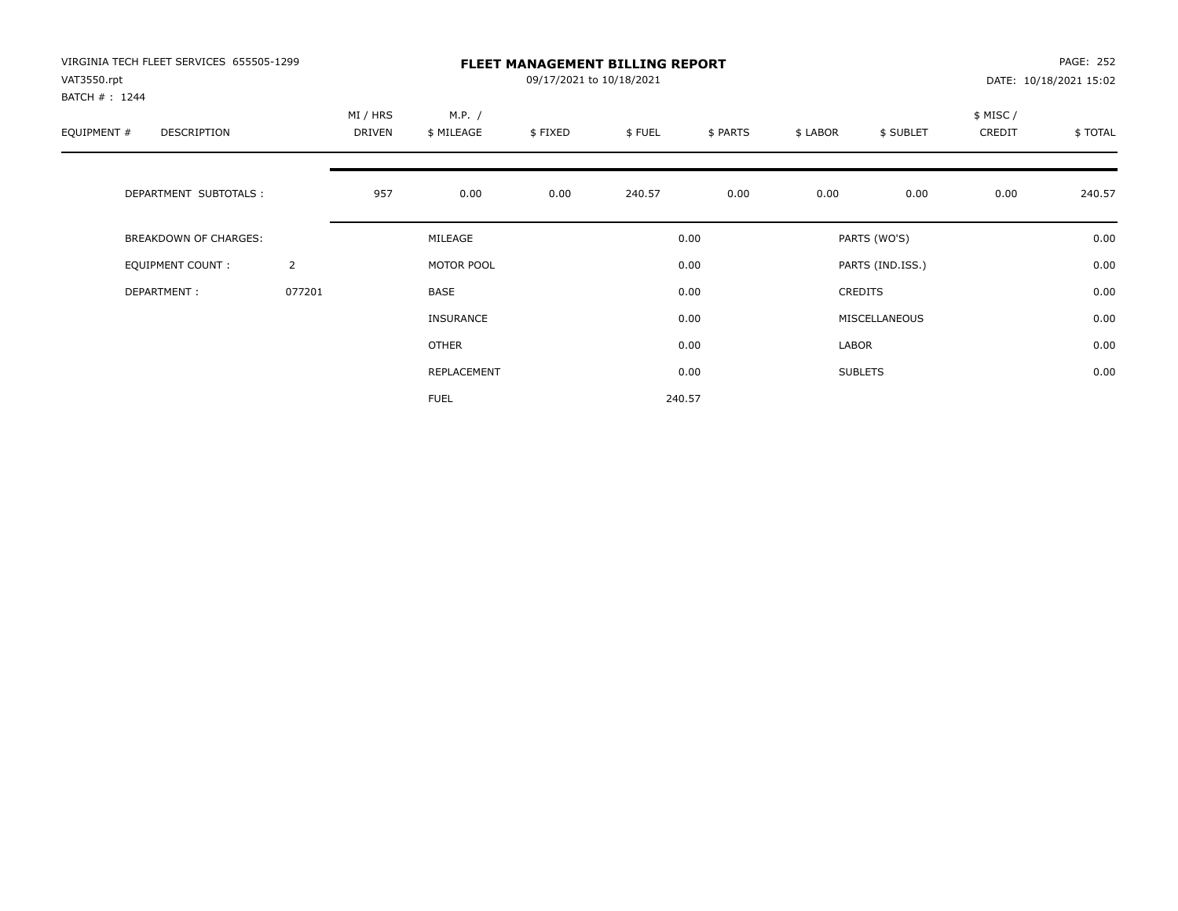| VIRGINIA TECH FLEET SERVICES 655505-1299<br>VAT3550.rpt<br>BATCH #: 1244 |                | <b>FLEET MANAGEMENT BILLING REPORT</b><br>09/17/2021 to 10/18/2021 |                      |         |        |          |          |                  |                    | PAGE: 252<br>DATE: 10/18/2021 15:02 |  |
|--------------------------------------------------------------------------|----------------|--------------------------------------------------------------------|----------------------|---------|--------|----------|----------|------------------|--------------------|-------------------------------------|--|
| EQUIPMENT #<br>DESCRIPTION                                               |                | MI / HRS<br><b>DRIVEN</b>                                          | M.P. /<br>\$ MILEAGE | \$FIXED | \$FUEL | \$ PARTS | \$ LABOR | \$ SUBLET        | \$ MISC/<br>CREDIT | \$TOTAL                             |  |
| DEPARTMENT SUBTOTALS :                                                   |                | 957                                                                | 0.00                 | 0.00    | 240.57 | 0.00     | 0.00     | 0.00             | 0.00               | 240.57                              |  |
| <b>BREAKDOWN OF CHARGES:</b>                                             |                |                                                                    | MILEAGE              |         |        | 0.00     |          | PARTS (WO'S)     |                    | 0.00                                |  |
| EQUIPMENT COUNT:                                                         | $\overline{2}$ |                                                                    | MOTOR POOL           |         |        | 0.00     |          | PARTS (IND.ISS.) |                    | 0.00                                |  |
| DEPARTMENT:                                                              | 077201         |                                                                    | <b>BASE</b>          |         |        | 0.00     |          | <b>CREDITS</b>   |                    | 0.00                                |  |
|                                                                          |                |                                                                    | <b>INSURANCE</b>     |         |        | 0.00     |          | MISCELLANEOUS    |                    | 0.00                                |  |
|                                                                          |                |                                                                    | OTHER                |         |        | 0.00     | LABOR    |                  |                    | 0.00                                |  |
|                                                                          |                |                                                                    | REPLACEMENT          |         |        | 0.00     |          | <b>SUBLETS</b>   |                    | 0.00                                |  |
|                                                                          |                |                                                                    | <b>FUEL</b>          |         |        | 240.57   |          |                  |                    |                                     |  |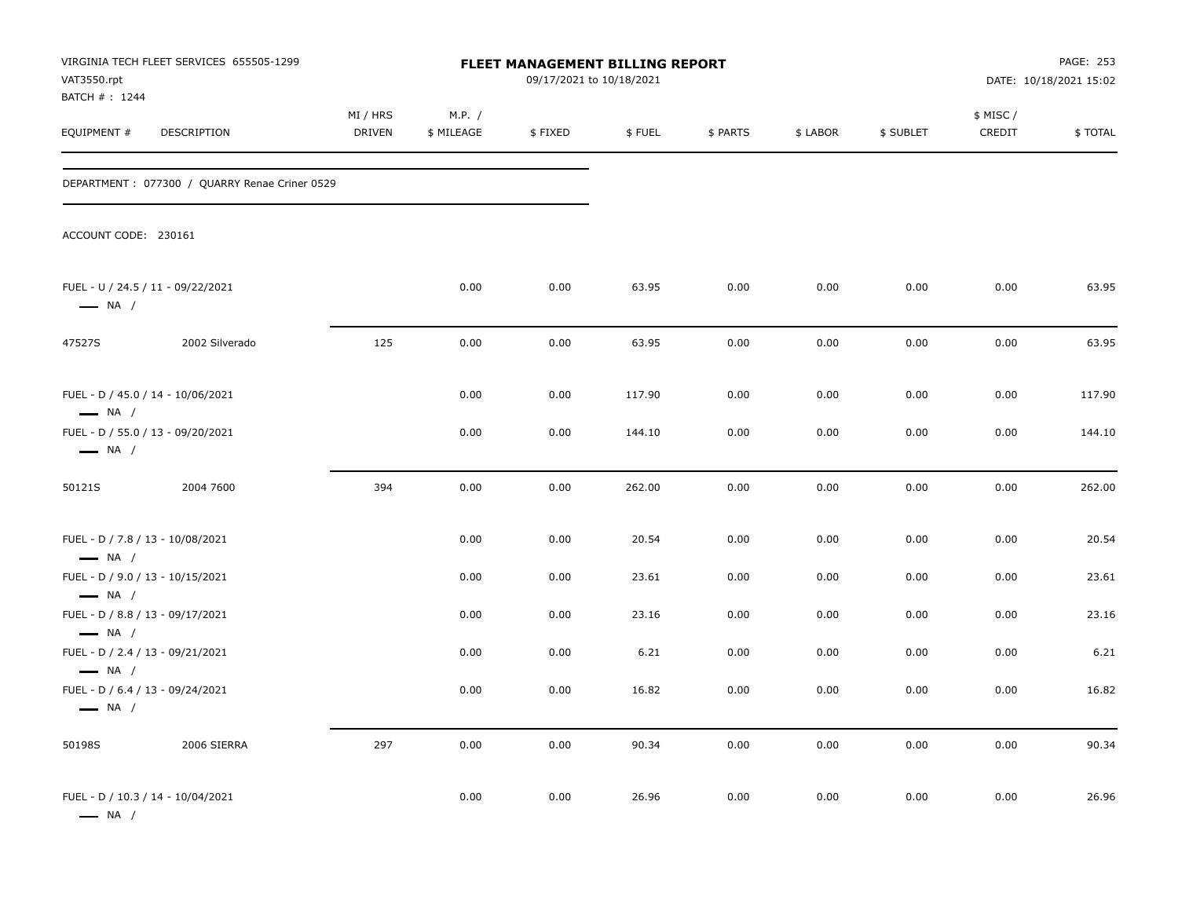| VAT3550.rpt                                                | VIRGINIA TECH FLEET SERVICES 655505-1299      |                           |                      | FLEET MANAGEMENT BILLING REPORT<br>09/17/2021 to 10/18/2021 |        |          |          |           |                     | PAGE: 253<br>DATE: 10/18/2021 15:02 |
|------------------------------------------------------------|-----------------------------------------------|---------------------------|----------------------|-------------------------------------------------------------|--------|----------|----------|-----------|---------------------|-------------------------------------|
| BATCH #: 1244<br>EQUIPMENT #                               | DESCRIPTION                                   | MI / HRS<br><b>DRIVEN</b> | M.P. /<br>\$ MILEAGE | \$FIXED                                                     | \$FUEL | \$ PARTS | \$ LABOR | \$ SUBLET | \$ MISC /<br>CREDIT | \$TOTAL                             |
|                                                            | DEPARTMENT: 077300 / QUARRY Renae Criner 0529 |                           |                      |                                                             |        |          |          |           |                     |                                     |
| ACCOUNT CODE: 230161                                       |                                               |                           |                      |                                                             |        |          |          |           |                     |                                     |
| $\longrightarrow$ NA /                                     | FUEL - U / 24.5 / 11 - 09/22/2021             |                           | 0.00                 | 0.00                                                        | 63.95  | 0.00     | 0.00     | 0.00      | 0.00                | 63.95                               |
| 47527S                                                     | 2002 Silverado                                | 125                       | 0.00                 | 0.00                                                        | 63.95  | 0.00     | 0.00     | 0.00      | 0.00                | 63.95                               |
| $\longrightarrow$ NA /                                     | FUEL - D / 45.0 / 14 - 10/06/2021             |                           | 0.00                 | 0.00                                                        | 117.90 | 0.00     | 0.00     | 0.00      | 0.00                | 117.90                              |
| $\longrightarrow$ NA /                                     | FUEL - D / 55.0 / 13 - 09/20/2021             |                           | 0.00                 | 0.00                                                        | 144.10 | 0.00     | 0.00     | 0.00      | 0.00                | 144.10                              |
| 50121S                                                     | 2004 7600                                     | 394                       | 0.00                 | 0.00                                                        | 262.00 | 0.00     | 0.00     | 0.00      | 0.00                | 262.00                              |
| FUEL - D / 7.8 / 13 - 10/08/2021<br>$\longrightarrow$ NA / |                                               |                           | 0.00                 | 0.00                                                        | 20.54  | 0.00     | 0.00     | 0.00      | 0.00                | 20.54                               |
| FUEL - D / 9.0 / 13 - 10/15/2021<br>$\longrightarrow$ NA / |                                               |                           | 0.00                 | 0.00                                                        | 23.61  | 0.00     | 0.00     | 0.00      | 0.00                | 23.61                               |
| FUEL - D / 8.8 / 13 - 09/17/2021<br>$\longrightarrow$ NA / |                                               |                           | 0.00                 | 0.00                                                        | 23.16  | 0.00     | 0.00     | 0.00      | 0.00                | 23.16                               |
| FUEL - D / 2.4 / 13 - 09/21/2021<br>$\longrightarrow$ NA / |                                               |                           | 0.00                 | 0.00                                                        | 6.21   | 0.00     | 0.00     | 0.00      | 0.00                | 6.21                                |
| FUEL - D / 6.4 / 13 - 09/24/2021<br>$\longrightarrow$ NA / |                                               |                           | 0.00                 | 0.00                                                        | 16.82  | 0.00     | 0.00     | 0.00      | 0.00                | 16.82                               |
| 50198S                                                     | 2006 SIERRA                                   | 297                       | 0.00                 | 0.00                                                        | 90.34  | 0.00     | 0.00     | 0.00      | 0.00                | 90.34                               |
| $\longrightarrow$ NA /                                     | FUEL - D / 10.3 / 14 - 10/04/2021             |                           | 0.00                 | 0.00                                                        | 26.96  | 0.00     | 0.00     | 0.00      | 0.00                | 26.96                               |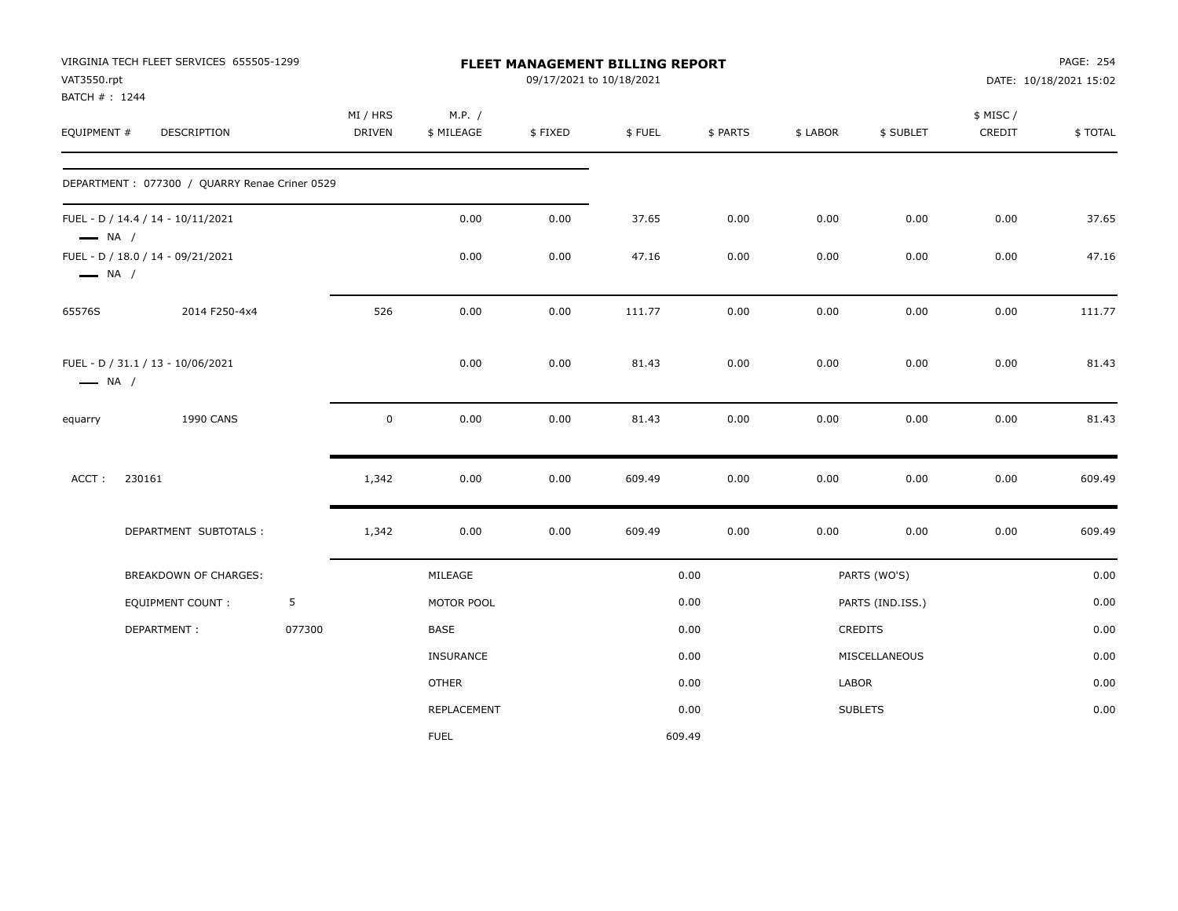|                        | VIRGINIA TECH FLEET SERVICES 655505-1299<br>VAT3550.rpt<br>BATCH # : 1244 |        |               |                  | FLEET MANAGEMENT BILLING REPORT<br>09/17/2021 to 10/18/2021 |        |          |          |                  |           | PAGE: 254<br>DATE: 10/18/2021 15:02 |
|------------------------|---------------------------------------------------------------------------|--------|---------------|------------------|-------------------------------------------------------------|--------|----------|----------|------------------|-----------|-------------------------------------|
|                        |                                                                           |        | MI / HRS      | M.P. /           |                                                             |        |          |          |                  | \$ MISC / |                                     |
| EQUIPMENT #            | DESCRIPTION                                                               |        | <b>DRIVEN</b> | \$ MILEAGE       | \$FIXED                                                     | \$FUEL | \$ PARTS | \$ LABOR | \$ SUBLET        | CREDIT    | \$TOTAL                             |
|                        | DEPARTMENT: 077300 / QUARRY Renae Criner 0529                             |        |               |                  |                                                             |        |          |          |                  |           |                                     |
| $\longrightarrow$ NA / | FUEL - D / 14.4 / 14 - 10/11/2021                                         |        |               | 0.00             | 0.00                                                        | 37.65  | 0.00     | 0.00     | 0.00             | 0.00      | 37.65                               |
| $\longrightarrow$ NA / | FUEL - D / 18.0 / 14 - 09/21/2021                                         |        |               | 0.00             | 0.00                                                        | 47.16  | 0.00     | 0.00     | 0.00             | 0.00      | 47.16                               |
| 65576S                 | 2014 F250-4x4                                                             |        | 526           | 0.00             | 0.00                                                        | 111.77 | 0.00     | 0.00     | 0.00             | 0.00      | 111.77                              |
| $\longrightarrow$ NA / | FUEL - D / 31.1 / 13 - 10/06/2021                                         |        |               | 0.00             | 0.00                                                        | 81.43  | 0.00     | 0.00     | 0.00             | 0.00      | 81.43                               |
| equarry                | <b>1990 CANS</b>                                                          |        | $\mathbf 0$   | 0.00             | 0.00                                                        | 81.43  | 0.00     | 0.00     | 0.00             | 0.00      | 81.43                               |
| ACCT:                  | 230161                                                                    |        | 1,342         | 0.00             | 0.00                                                        | 609.49 | 0.00     | 0.00     | 0.00             | 0.00      | 609.49                              |
|                        | DEPARTMENT SUBTOTALS:                                                     |        | 1,342         | 0.00             | 0.00                                                        | 609.49 | 0.00     | 0.00     | 0.00             | 0.00      | 609.49                              |
|                        | BREAKDOWN OF CHARGES:                                                     |        |               | MILEAGE          |                                                             |        | 0.00     |          | PARTS (WO'S)     |           | 0.00                                |
|                        | <b>EQUIPMENT COUNT:</b>                                                   | 5      |               | MOTOR POOL       |                                                             |        | 0.00     |          | PARTS (IND.ISS.) |           | 0.00                                |
|                        | DEPARTMENT:                                                               | 077300 |               | BASE             |                                                             |        | 0.00     |          | CREDITS          |           | 0.00                                |
|                        |                                                                           |        |               | <b>INSURANCE</b> |                                                             |        | 0.00     |          | MISCELLANEOUS    |           | 0.00                                |
|                        |                                                                           |        |               | <b>OTHER</b>     |                                                             |        | 0.00     | LABOR    |                  |           | 0.00                                |
|                        |                                                                           |        |               | REPLACEMENT      |                                                             |        | 0.00     |          | <b>SUBLETS</b>   |           | 0.00                                |
|                        |                                                                           |        |               | <b>FUEL</b>      |                                                             |        | 609.49   |          |                  |           |                                     |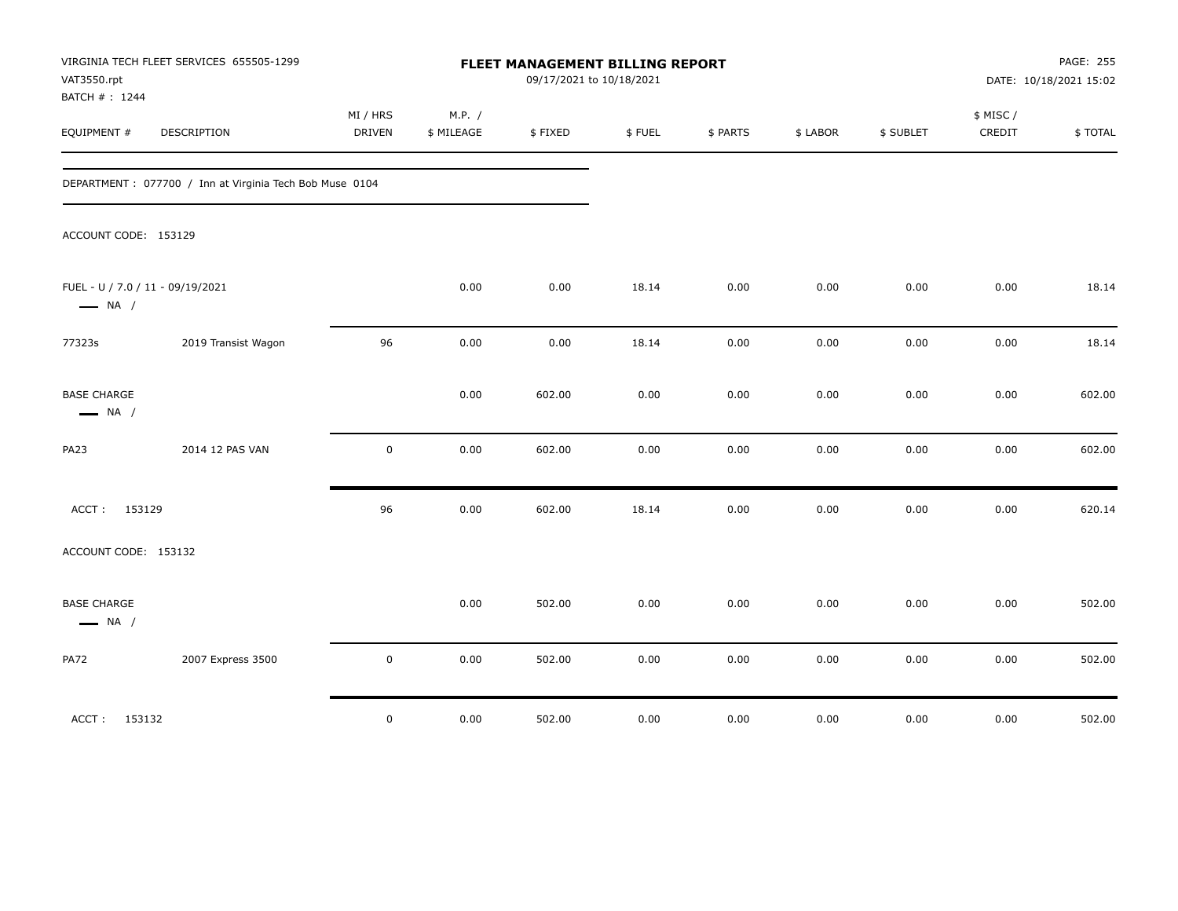| VAT3550.rpt<br>BATCH #: 1244                               | VIRGINIA TECH FLEET SERVICES 655505-1299                 |                    |                      | FLEET MANAGEMENT BILLING REPORT<br>09/17/2021 to 10/18/2021 |        |          |          |           |                     | PAGE: 255<br>DATE: 10/18/2021 15:02 |
|------------------------------------------------------------|----------------------------------------------------------|--------------------|----------------------|-------------------------------------------------------------|--------|----------|----------|-----------|---------------------|-------------------------------------|
| EQUIPMENT #                                                | DESCRIPTION                                              | MI / HRS<br>DRIVEN | M.P. /<br>\$ MILEAGE | \$FIXED                                                     | \$FUEL | \$ PARTS | \$ LABOR | \$ SUBLET | \$ MISC /<br>CREDIT | \$TOTAL                             |
|                                                            | DEPARTMENT : 077700 / Inn at Virginia Tech Bob Muse 0104 |                    |                      |                                                             |        |          |          |           |                     |                                     |
| ACCOUNT CODE: 153129                                       |                                                          |                    |                      |                                                             |        |          |          |           |                     |                                     |
| FUEL - U / 7.0 / 11 - 09/19/2021<br>$\longrightarrow$ NA / |                                                          |                    | 0.00                 | 0.00                                                        | 18.14  | 0.00     | 0.00     | 0.00      | 0.00                | 18.14                               |
| 77323s                                                     | 2019 Transist Wagon                                      | 96                 | 0.00                 | 0.00                                                        | 18.14  | 0.00     | 0.00     | 0.00      | 0.00                | 18.14                               |
| <b>BASE CHARGE</b><br>$\longrightarrow$ NA /               |                                                          |                    | 0.00                 | 602.00                                                      | 0.00   | 0.00     | 0.00     | 0.00      | 0.00                | 602.00                              |
| <b>PA23</b>                                                | 2014 12 PAS VAN                                          | $\mathbf 0$        | 0.00                 | 602.00                                                      | 0.00   | 0.00     | 0.00     | 0.00      | 0.00                | 602.00                              |
| ACCT:<br>153129                                            |                                                          | 96                 | 0.00                 | 602.00                                                      | 18.14  | 0.00     | 0.00     | 0.00      | 0.00                | 620.14                              |
| ACCOUNT CODE: 153132                                       |                                                          |                    |                      |                                                             |        |          |          |           |                     |                                     |
| <b>BASE CHARGE</b><br>$\longrightarrow$ NA /               |                                                          |                    | 0.00                 | 502.00                                                      | 0.00   | 0.00     | 0.00     | 0.00      | 0.00                | 502.00                              |
| <b>PA72</b>                                                | 2007 Express 3500                                        | $\mathsf 0$        | 0.00                 | 502.00                                                      | 0.00   | 0.00     | 0.00     | 0.00      | 0.00                | 502.00                              |
| ACCT:<br>153132                                            |                                                          | $\mathsf 0$        | 0.00                 | 502.00                                                      | 0.00   | 0.00     | 0.00     | 0.00      | 0.00                | 502.00                              |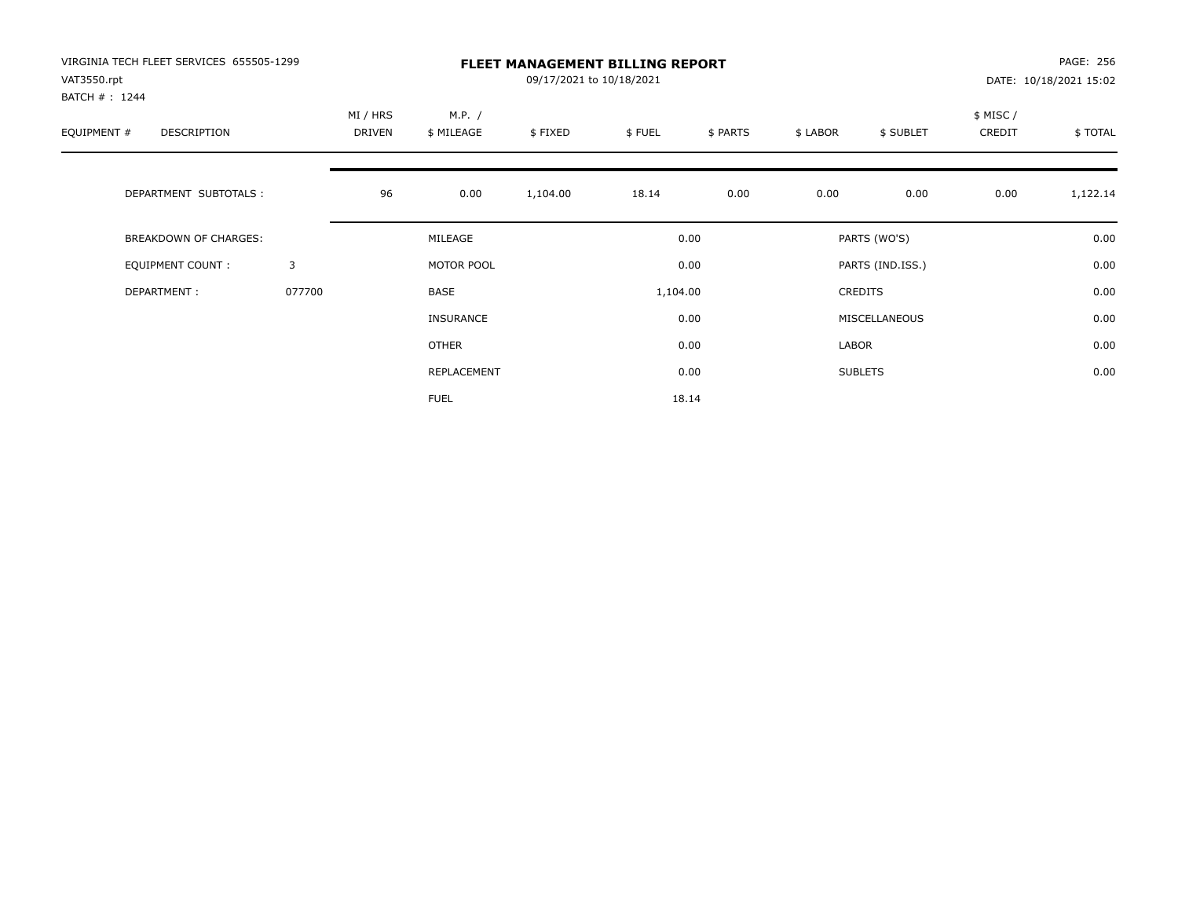| VIRGINIA TECH FLEET SERVICES 655505-1299<br>VAT3550.rpt<br>BATCH #: 1244 |        | <b>FLEET MANAGEMENT BILLING REPORT</b><br>09/17/2021 to 10/18/2021 |                      |          |          |          |          |                  |                     | PAGE: 256<br>DATE: 10/18/2021 15:02 |  |
|--------------------------------------------------------------------------|--------|--------------------------------------------------------------------|----------------------|----------|----------|----------|----------|------------------|---------------------|-------------------------------------|--|
| EQUIPMENT #<br><b>DESCRIPTION</b>                                        |        | MI / HRS<br><b>DRIVEN</b>                                          | M.P. /<br>\$ MILEAGE | \$FIXED  | \$FUEL   | \$ PARTS | \$ LABOR | \$ SUBLET        | \$ MISC /<br>CREDIT | \$TOTAL                             |  |
| DEPARTMENT SUBTOTALS :                                                   |        | 96                                                                 | 0.00                 | 1,104.00 | 18.14    | 0.00     | 0.00     | 0.00             | 0.00                | 1,122.14                            |  |
| <b>BREAKDOWN OF CHARGES:</b>                                             |        |                                                                    | MILEAGE              |          |          | 0.00     |          | PARTS (WO'S)     |                     | 0.00                                |  |
| <b>EQUIPMENT COUNT:</b>                                                  | 3      |                                                                    | MOTOR POOL           |          |          | 0.00     |          | PARTS (IND.ISS.) |                     | 0.00                                |  |
| DEPARTMENT:                                                              | 077700 |                                                                    | <b>BASE</b>          |          | 1,104.00 |          |          | <b>CREDITS</b>   |                     | 0.00                                |  |
|                                                                          |        |                                                                    | INSURANCE            |          |          | 0.00     |          | MISCELLANEOUS    |                     | 0.00                                |  |
|                                                                          |        |                                                                    | <b>OTHER</b>         |          |          | 0.00     | LABOR    |                  |                     | 0.00                                |  |
|                                                                          |        |                                                                    | REPLACEMENT          |          |          | 0.00     |          | <b>SUBLETS</b>   |                     | 0.00                                |  |
|                                                                          |        |                                                                    | <b>FUEL</b>          |          |          | 18.14    |          |                  |                     |                                     |  |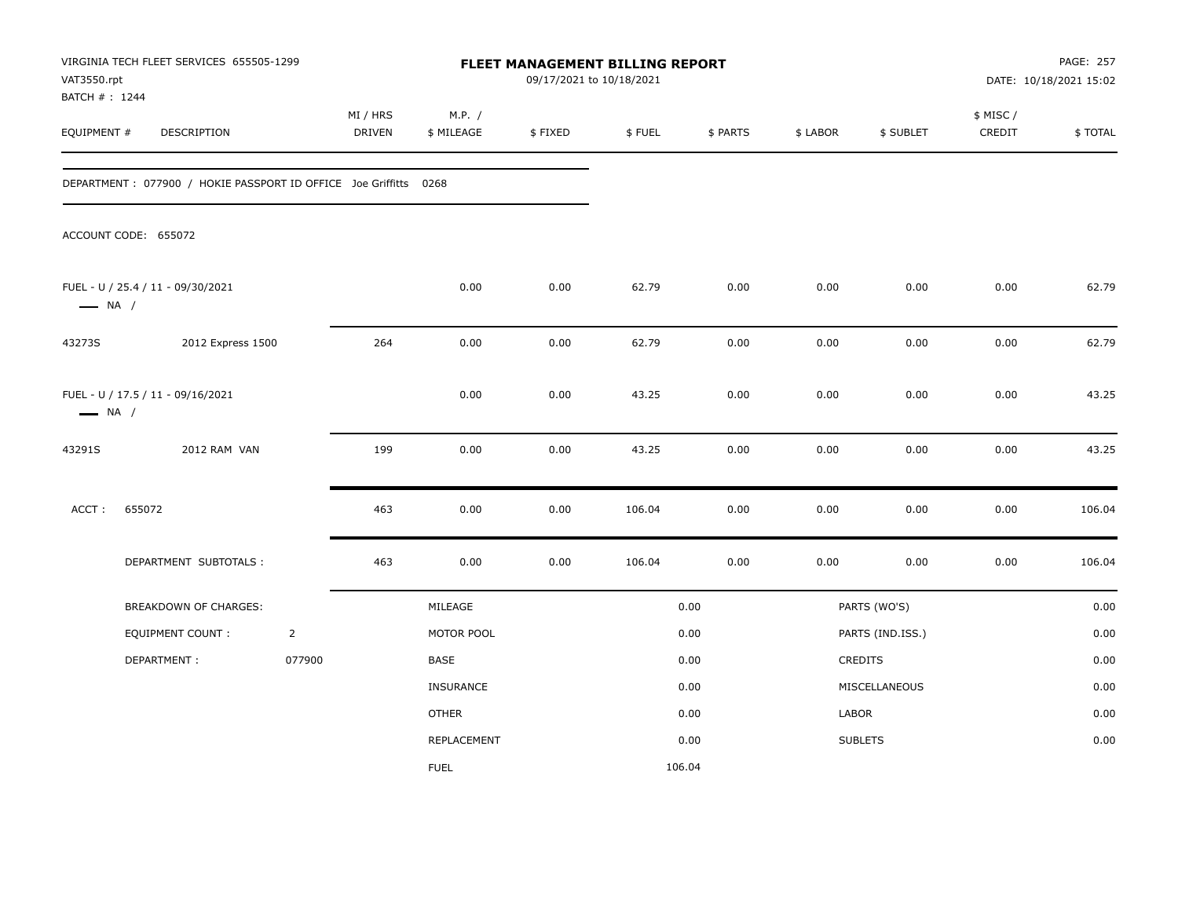| VAT3550.rpt            | VIRGINIA TECH FLEET SERVICES 655505-1299<br>BATCH #: 1244<br>EQUIPMENT #<br>DESCRIPTION |                | FLEET MANAGEMENT BILLING REPORT<br>09/17/2021 to 10/18/2021<br>MI / HRS<br>M.P. / |                    |         |        |          |          |                  |                     | PAGE: 257<br>DATE: 10/18/2021 15:02 |
|------------------------|-----------------------------------------------------------------------------------------|----------------|-----------------------------------------------------------------------------------|--------------------|---------|--------|----------|----------|------------------|---------------------|-------------------------------------|
|                        |                                                                                         |                | <b>DRIVEN</b>                                                                     | \$ MILEAGE         | \$FIXED | \$FUEL | \$ PARTS | \$ LABOR | \$ SUBLET        | \$ MISC /<br>CREDIT | \$TOTAL                             |
|                        | DEPARTMENT: 077900 / HOKIE PASSPORT ID OFFICE Joe Griffitts 0268                        |                |                                                                                   |                    |         |        |          |          |                  |                     |                                     |
|                        | ACCOUNT CODE: 655072                                                                    |                |                                                                                   |                    |         |        |          |          |                  |                     |                                     |
| $\longrightarrow$ NA / | FUEL - U / 25.4 / 11 - 09/30/2021                                                       |                |                                                                                   | 0.00               | 0.00    | 62.79  | 0.00     | 0.00     | 0.00             | 0.00                | 62.79                               |
| 43273S                 | 2012 Express 1500                                                                       |                | 264                                                                               | 0.00               | 0.00    | 62.79  | 0.00     | 0.00     | 0.00             | 0.00                | 62.79                               |
| $\longrightarrow$ NA / | FUEL - U / 17.5 / 11 - 09/16/2021                                                       |                |                                                                                   | 0.00               | 0.00    | 43.25  | 0.00     | 0.00     | 0.00             | 0.00                | 43.25                               |
| 43291S                 | 2012 RAM VAN                                                                            |                | 199                                                                               | 0.00               | 0.00    | 43.25  | 0.00     | 0.00     | 0.00             | 0.00                | 43.25                               |
| ACCT:                  | 655072                                                                                  |                | 463                                                                               | 0.00               | 0.00    | 106.04 | 0.00     | 0.00     | 0.00             | 0.00                | 106.04                              |
|                        | DEPARTMENT SUBTOTALS :                                                                  |                | 463                                                                               | 0.00               | 0.00    | 106.04 | 0.00     | 0.00     | 0.00             | 0.00                | 106.04                              |
|                        | <b>BREAKDOWN OF CHARGES:</b>                                                            |                |                                                                                   | MILEAGE            |         |        | 0.00     |          | PARTS (WO'S)     |                     | 0.00                                |
|                        | EQUIPMENT COUNT:                                                                        | $\overline{2}$ |                                                                                   | MOTOR POOL         |         |        | 0.00     |          | PARTS (IND.ISS.) |                     | 0.00                                |
|                        | DEPARTMENT:                                                                             | 077900         |                                                                                   | BASE               |         |        | 0.00     |          | <b>CREDITS</b>   |                     | 0.00                                |
|                        |                                                                                         |                |                                                                                   | <b>INSURANCE</b>   |         |        | 0.00     |          | MISCELLANEOUS    |                     | 0.00                                |
|                        |                                                                                         |                |                                                                                   | <b>OTHER</b>       |         |        | 0.00     | LABOR    |                  |                     | 0.00                                |
|                        |                                                                                         |                |                                                                                   | <b>REPLACEMENT</b> |         |        | 0.00     |          | <b>SUBLETS</b>   |                     | 0.00                                |
|                        |                                                                                         |                |                                                                                   | <b>FUEL</b>        |         |        | 106.04   |          |                  |                     |                                     |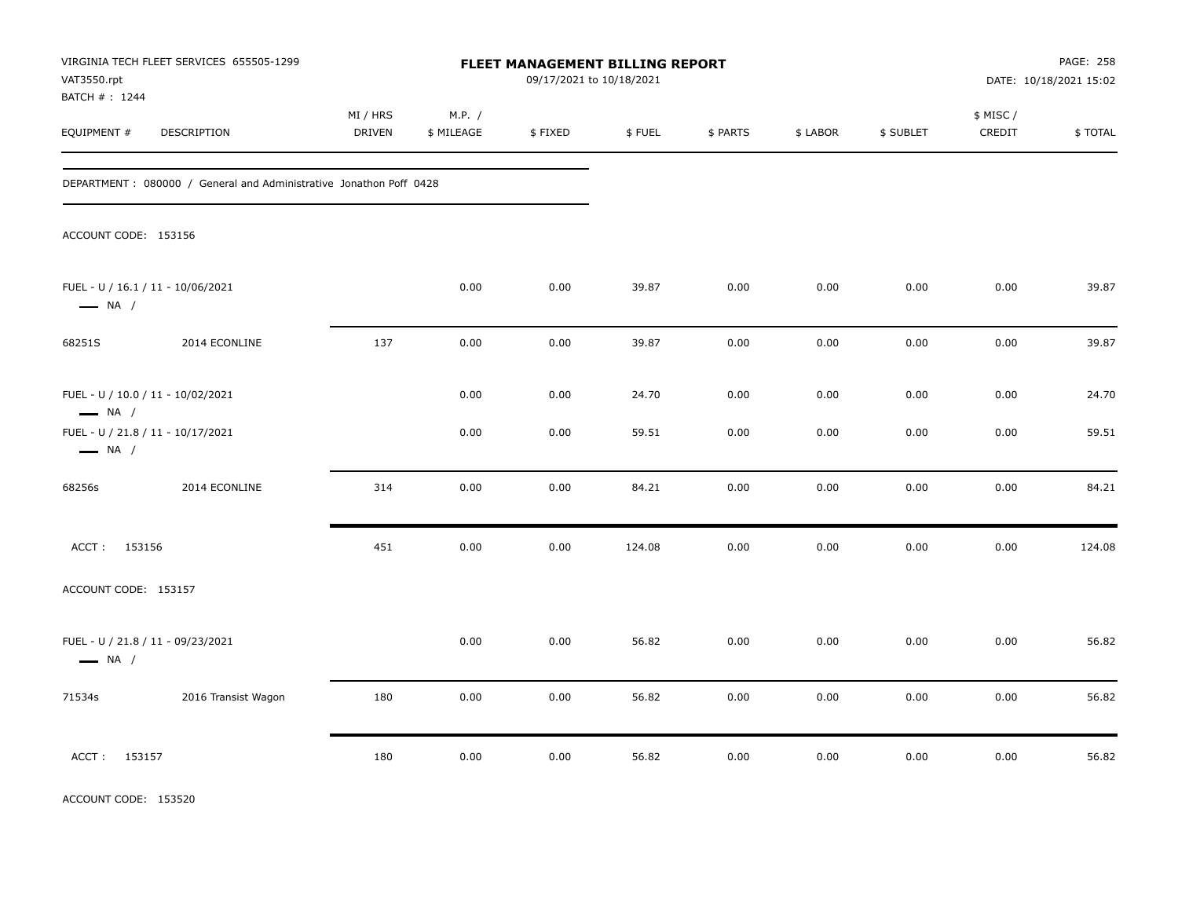| VAT3550.rpt                                                 | VIRGINIA TECH FLEET SERVICES 655505-1299                            |                    |                      | FLEET MANAGEMENT BILLING REPORT<br>09/17/2021 to 10/18/2021 |        |          |          |           |                     | PAGE: 258<br>DATE: 10/18/2021 15:02 |
|-------------------------------------------------------------|---------------------------------------------------------------------|--------------------|----------------------|-------------------------------------------------------------|--------|----------|----------|-----------|---------------------|-------------------------------------|
| BATCH #: 1244<br>EQUIPMENT #                                | DESCRIPTION                                                         | MI / HRS<br>DRIVEN | M.P. /<br>\$ MILEAGE | \$FIXED                                                     | \$FUEL | \$ PARTS | \$ LABOR | \$ SUBLET | \$ MISC /<br>CREDIT | \$TOTAL                             |
|                                                             | DEPARTMENT : 080000 / General and Administrative Jonathon Poff 0428 |                    |                      |                                                             |        |          |          |           |                     |                                     |
| ACCOUNT CODE: 153156                                        |                                                                     |                    |                      |                                                             |        |          |          |           |                     |                                     |
| FUEL - U / 16.1 / 11 - 10/06/2021<br>$\longrightarrow$ NA / |                                                                     |                    | 0.00                 | 0.00                                                        | 39.87  | 0.00     | 0.00     | 0.00      | 0.00                | 39.87                               |
| 68251S                                                      | 2014 ECONLINE                                                       | 137                | 0.00                 | 0.00                                                        | 39.87  | 0.00     | 0.00     | 0.00      | 0.00                | 39.87                               |
| FUEL - U / 10.0 / 11 - 10/02/2021<br>$\longrightarrow$ NA / |                                                                     |                    | 0.00                 | 0.00                                                        | 24.70  | 0.00     | 0.00     | 0.00      | 0.00                | 24.70                               |
| FUEL - U / 21.8 / 11 - 10/17/2021<br>$\longrightarrow$ NA / |                                                                     |                    | 0.00                 | 0.00                                                        | 59.51  | 0.00     | 0.00     | 0.00      | 0.00                | 59.51                               |
| 68256s                                                      | 2014 ECONLINE                                                       | 314                | 0.00                 | 0.00                                                        | 84.21  | 0.00     | 0.00     | 0.00      | 0.00                | 84.21                               |
| ACCT: 153156                                                |                                                                     | 451                | 0.00                 | 0.00                                                        | 124.08 | 0.00     | 0.00     | 0.00      | 0.00                | 124.08                              |
| ACCOUNT CODE: 153157                                        |                                                                     |                    |                      |                                                             |        |          |          |           |                     |                                     |
| FUEL - U / 21.8 / 11 - 09/23/2021<br>$\longrightarrow$ NA / |                                                                     |                    | 0.00                 | 0.00                                                        | 56.82  | 0.00     | 0.00     | 0.00      | 0.00                | 56.82                               |
| 71534s                                                      | 2016 Transist Wagon                                                 | 180                | 0.00                 | 0.00                                                        | 56.82  | 0.00     | 0.00     | 0.00      | 0.00                | 56.82                               |
| ACCT: 153157                                                |                                                                     | 180                | 0.00                 | 0.00                                                        | 56.82  | 0.00     | 0.00     | 0.00      | 0.00                | 56.82                               |

ACCOUNT CODE: 153520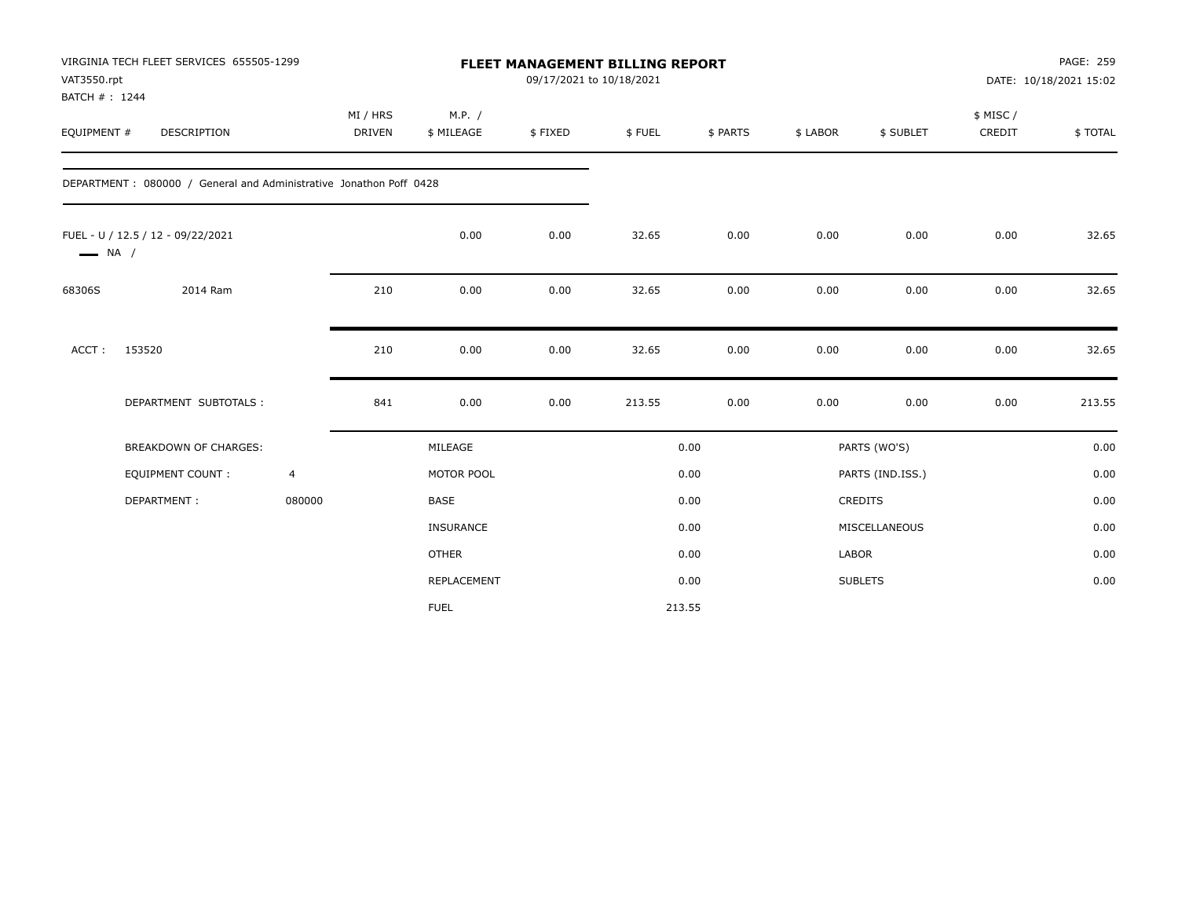| VAT3550.rpt<br>BATCH #: 1244 | VIRGINIA TECH FLEET SERVICES 655505-1299                            |                | <b>FLEET MANAGEMENT BILLING REPORT</b><br>09/17/2021 to 10/18/2021<br>MI / HRS<br>M.P. / |              |         |        |          |          |                  |                    | PAGE: 259<br>DATE: 10/18/2021 15:02 |
|------------------------------|---------------------------------------------------------------------|----------------|------------------------------------------------------------------------------------------|--------------|---------|--------|----------|----------|------------------|--------------------|-------------------------------------|
| EQUIPMENT #                  | <b>DESCRIPTION</b>                                                  |                | <b>DRIVEN</b>                                                                            | \$ MILEAGE   | \$FIXED | \$FUEL | \$ PARTS | \$ LABOR | \$ SUBLET        | \$ MISC/<br>CREDIT | \$TOTAL                             |
|                              | DEPARTMENT : 080000 / General and Administrative Jonathon Poff 0428 |                |                                                                                          |              |         |        |          |          |                  |                    |                                     |
| $\longrightarrow$ NA /       | FUEL - U / 12.5 / 12 - 09/22/2021                                   |                |                                                                                          | 0.00         | 0.00    | 32.65  | 0.00     | 0.00     | 0.00             | 0.00               | 32.65                               |
| 68306S                       | 2014 Ram                                                            |                | 210                                                                                      | 0.00         | 0.00    | 32.65  | 0.00     | 0.00     | 0.00             | 0.00               | 32.65                               |
| ACCT:                        | 153520                                                              |                | 210                                                                                      | 0.00         | 0.00    | 32.65  | 0.00     | 0.00     | 0.00             | 0.00               | 32.65                               |
|                              | DEPARTMENT SUBTOTALS :                                              |                | 841                                                                                      | 0.00         | 0.00    | 213.55 | 0.00     | 0.00     | 0.00             | 0.00               | 213.55                              |
|                              | <b>BREAKDOWN OF CHARGES:</b>                                        |                |                                                                                          | MILEAGE      |         |        | 0.00     |          | PARTS (WO'S)     |                    | 0.00                                |
|                              | <b>EQUIPMENT COUNT:</b>                                             | $\overline{4}$ |                                                                                          | MOTOR POOL   |         |        | 0.00     |          | PARTS (IND.ISS.) |                    | 0.00                                |
|                              | DEPARTMENT:                                                         | 080000         |                                                                                          | BASE         |         |        | 0.00     |          | CREDITS          |                    | 0.00                                |
|                              |                                                                     |                |                                                                                          | INSURANCE    |         |        | 0.00     |          | MISCELLANEOUS    |                    | 0.00                                |
|                              |                                                                     |                |                                                                                          | <b>OTHER</b> |         |        | 0.00     | LABOR    |                  |                    | 0.00                                |
|                              |                                                                     |                |                                                                                          | REPLACEMENT  |         |        | 0.00     |          | <b>SUBLETS</b>   |                    | 0.00                                |
|                              |                                                                     |                |                                                                                          | <b>FUEL</b>  |         |        | 213.55   |          |                  |                    |                                     |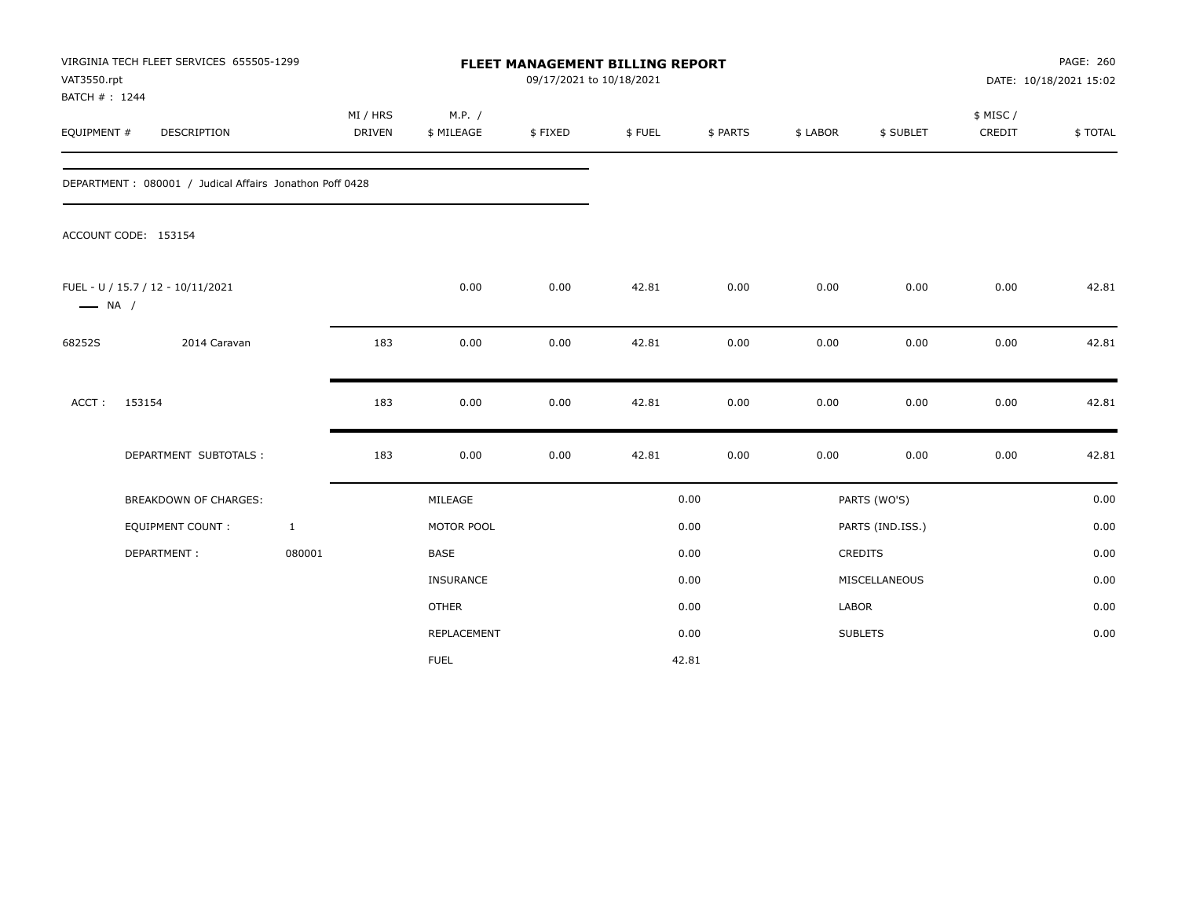| VAT3550.rpt<br>BATCH #: 1244 | VIRGINIA TECH FLEET SERVICES 655505-1299                |                    |                      | <b>FLEET MANAGEMENT BILLING REPORT</b><br>09/17/2021 to 10/18/2021 |        |          |          |                  |                    | PAGE: 260<br>DATE: 10/18/2021 15:02 |
|------------------------------|---------------------------------------------------------|--------------------|----------------------|--------------------------------------------------------------------|--------|----------|----------|------------------|--------------------|-------------------------------------|
| EQUIPMENT #                  | DESCRIPTION                                             | MI / HRS<br>DRIVEN | M.P. /<br>\$ MILEAGE | \$FIXED                                                            | \$FUEL | \$ PARTS | \$ LABOR | \$ SUBLET        | \$ MISC/<br>CREDIT | \$TOTAL                             |
|                              | DEPARTMENT: 080001 / Judical Affairs Jonathon Poff 0428 |                    |                      |                                                                    |        |          |          |                  |                    |                                     |
|                              | ACCOUNT CODE: 153154                                    |                    |                      |                                                                    |        |          |          |                  |                    |                                     |
| $\longrightarrow$ NA /       | FUEL - U / 15.7 / 12 - 10/11/2021                       |                    | 0.00                 | 0.00                                                               | 42.81  | 0.00     | 0.00     | 0.00             | 0.00               | 42.81                               |
| 68252S                       | 2014 Caravan                                            | 183                | 0.00                 | 0.00                                                               | 42.81  | 0.00     | 0.00     | 0.00             | 0.00               | 42.81                               |
| ACCT:                        | 153154                                                  | 183                | 0.00                 | 0.00                                                               | 42.81  | 0.00     | 0.00     | 0.00             | 0.00               | 42.81                               |
|                              | DEPARTMENT SUBTOTALS :                                  | 183                | 0.00                 | 0.00                                                               | 42.81  | 0.00     | 0.00     | 0.00             | 0.00               | 42.81                               |
|                              | <b>BREAKDOWN OF CHARGES:</b>                            |                    | MILEAGE              |                                                                    |        | 0.00     |          | PARTS (WO'S)     |                    | 0.00                                |
|                              | <b>EQUIPMENT COUNT:</b>                                 | $\mathbf{1}$       | MOTOR POOL           |                                                                    |        | 0.00     |          | PARTS (IND.ISS.) |                    | 0.00                                |
|                              | DEPARTMENT:                                             | 080001             | <b>BASE</b>          |                                                                    |        | 0.00     |          | CREDITS          |                    | 0.00                                |
|                              |                                                         |                    | <b>INSURANCE</b>     |                                                                    |        | 0.00     |          | MISCELLANEOUS    |                    | 0.00                                |
|                              |                                                         |                    | <b>OTHER</b>         |                                                                    |        | 0.00     | LABOR    |                  |                    | 0.00                                |
|                              |                                                         |                    | REPLACEMENT          |                                                                    |        | 0.00     |          | <b>SUBLETS</b>   |                    | 0.00                                |
|                              |                                                         |                    | <b>FUEL</b>          |                                                                    |        | 42.81    |          |                  |                    |                                     |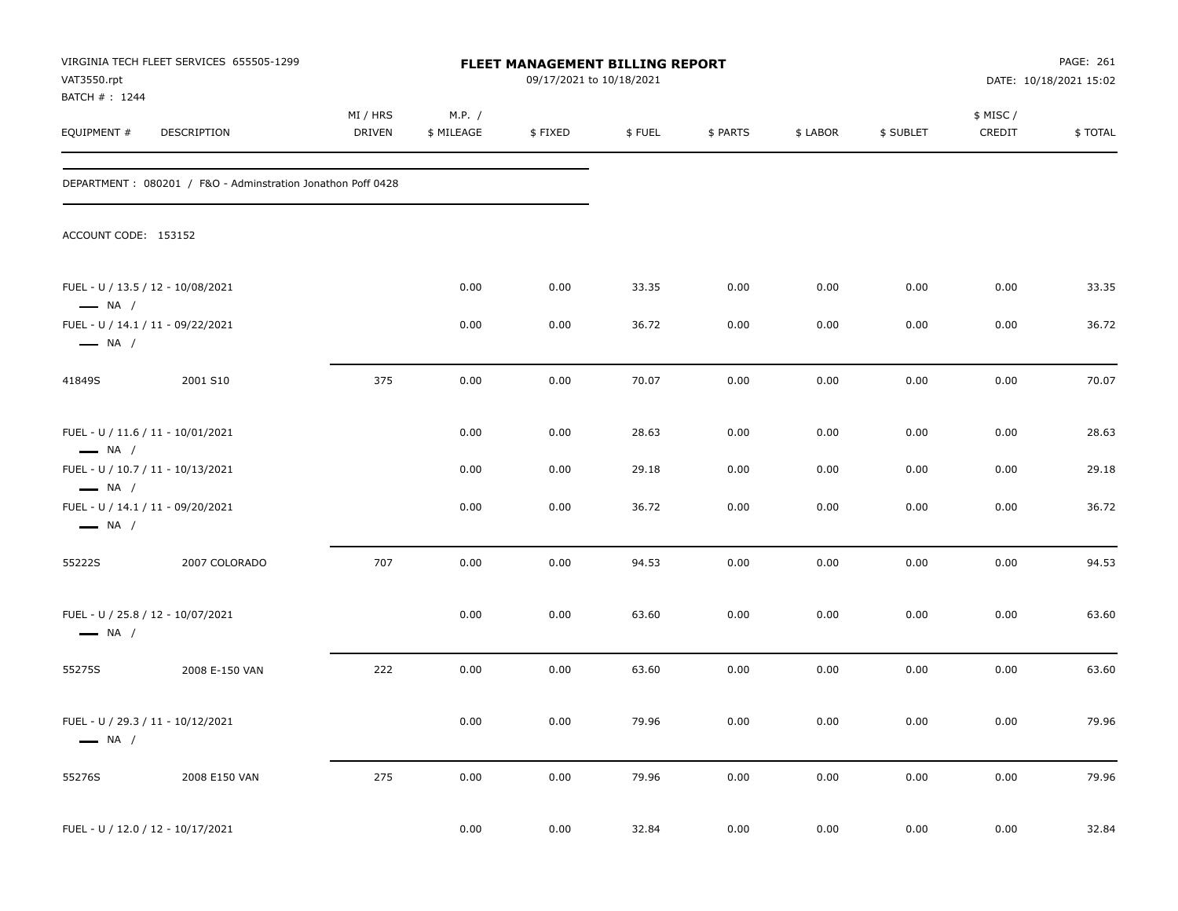| VAT3550.rpt                  | VIRGINIA TECH FLEET SERVICES 655505-1299                    |                    |                      | FLEET MANAGEMENT BILLING REPORT<br>09/17/2021 to 10/18/2021 |        |          |          |           |                    | PAGE: 261<br>DATE: 10/18/2021 15:02 |
|------------------------------|-------------------------------------------------------------|--------------------|----------------------|-------------------------------------------------------------|--------|----------|----------|-----------|--------------------|-------------------------------------|
| BATCH #: 1244<br>EQUIPMENT # | DESCRIPTION                                                 | MI / HRS<br>DRIVEN | M.P. /<br>\$ MILEAGE | \$FIXED                                                     | \$FUEL | \$ PARTS | \$ LABOR | \$ SUBLET | \$ MISC/<br>CREDIT | \$TOTAL                             |
|                              | DEPARTMENT: 080201 / F&O - Adminstration Jonathon Poff 0428 |                    |                      |                                                             |        |          |          |           |                    |                                     |
| ACCOUNT CODE: 153152         |                                                             |                    |                      |                                                             |        |          |          |           |                    |                                     |
| $\longrightarrow$ NA /       | FUEL - U / 13.5 / 12 - 10/08/2021                           |                    | 0.00                 | 0.00                                                        | 33.35  | 0.00     | 0.00     | 0.00      | 0.00               | 33.35                               |
| $\longrightarrow$ NA /       | FUEL - U / 14.1 / 11 - 09/22/2021                           |                    | 0.00                 | 0.00                                                        | 36.72  | 0.00     | 0.00     | 0.00      | 0.00               | 36.72                               |
| 41849S                       | 2001 S10                                                    | 375                | 0.00                 | 0.00                                                        | 70.07  | 0.00     | 0.00     | 0.00      | 0.00               | 70.07                               |
| $\longrightarrow$ NA /       | FUEL - U / 11.6 / 11 - 10/01/2021                           |                    | 0.00                 | 0.00                                                        | 28.63  | 0.00     | 0.00     | 0.00      | 0.00               | 28.63                               |
| $\longrightarrow$ NA /       | FUEL - U / 10.7 / 11 - 10/13/2021                           |                    | 0.00                 | 0.00                                                        | 29.18  | 0.00     | 0.00     | 0.00      | 0.00               | 29.18                               |
| $\longrightarrow$ NA /       | FUEL - U / 14.1 / 11 - 09/20/2021                           |                    | 0.00                 | 0.00                                                        | 36.72  | 0.00     | 0.00     | 0.00      | 0.00               | 36.72                               |
| 55222S                       | 2007 COLORADO                                               | 707                | 0.00                 | 0.00                                                        | 94.53  | 0.00     | 0.00     | 0.00      | 0.00               | 94.53                               |
| $\longrightarrow$ NA /       | FUEL - U / 25.8 / 12 - 10/07/2021                           |                    | 0.00                 | 0.00                                                        | 63.60  | 0.00     | 0.00     | 0.00      | 0.00               | 63.60                               |
| 55275S                       | 2008 E-150 VAN                                              | 222                | 0.00                 | 0.00                                                        | 63.60  | 0.00     | 0.00     | 0.00      | 0.00               | 63.60                               |
| $\longrightarrow$ NA /       | FUEL - U / 29.3 / 11 - 10/12/2021                           |                    | 0.00                 | $0.00\,$                                                    | 79.96  | $0.00\,$ | $0.00\,$ | 0.00      | 0.00               | 79.96                               |
| 55276S                       | 2008 E150 VAN                                               | 275                | 0.00                 | 0.00                                                        | 79.96  | 0.00     | 0.00     | 0.00      | 0.00               | 79.96                               |
|                              | FUEL - U / 12.0 / 12 - 10/17/2021                           |                    | 0.00                 | 0.00                                                        | 32.84  | 0.00     | 0.00     | 0.00      | 0.00               | 32.84                               |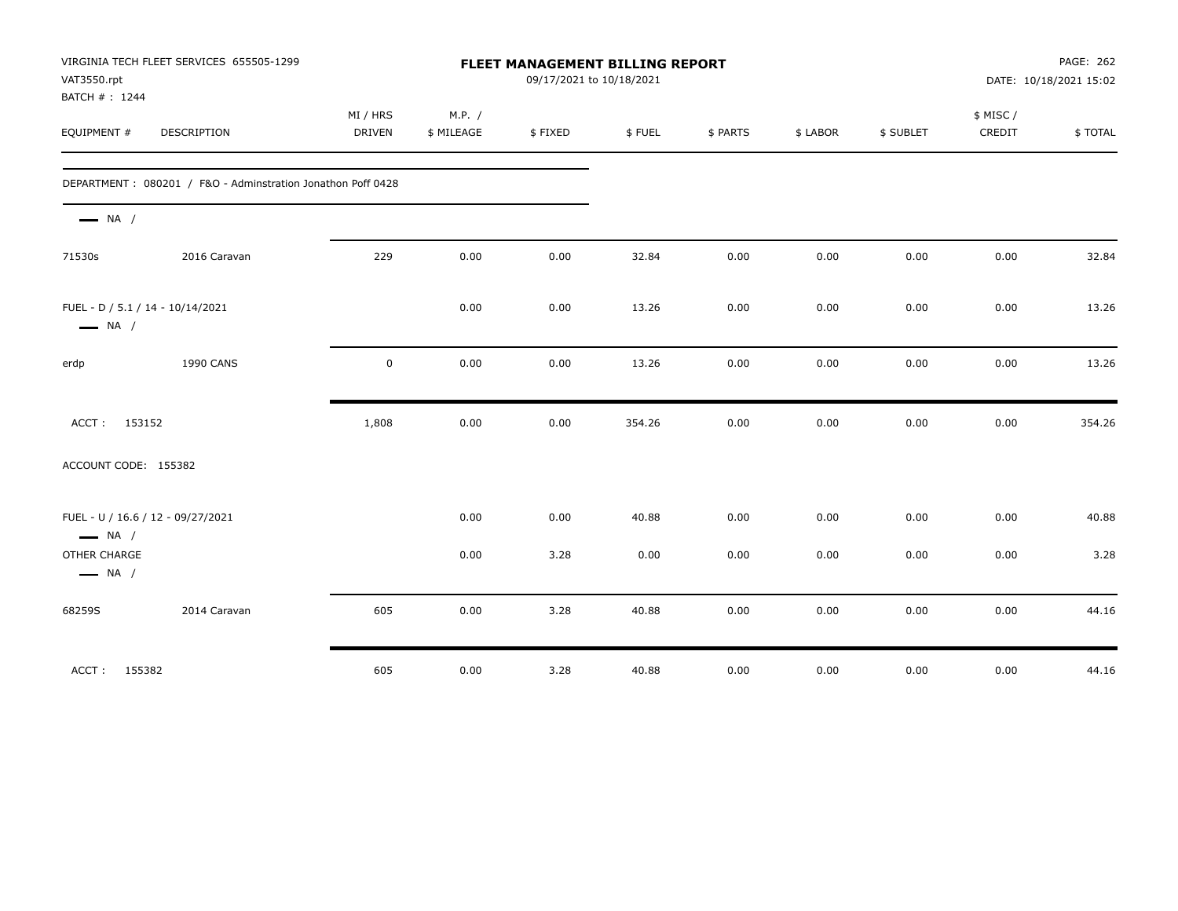| VAT3550.rpt<br>BATCH #: 1244           | VIRGINIA TECH FLEET SERVICES 655505-1299                    | FLEET MANAGEMENT BILLING REPORT<br>09/17/2021 to 10/18/2021 |                      |         |        |          |          |           | PAGE: 262<br>DATE: 10/18/2021 15:02 |         |
|----------------------------------------|-------------------------------------------------------------|-------------------------------------------------------------|----------------------|---------|--------|----------|----------|-----------|-------------------------------------|---------|
| EQUIPMENT #                            | DESCRIPTION                                                 | MI / HRS<br><b>DRIVEN</b>                                   | M.P. /<br>\$ MILEAGE | \$FIXED | \$FUEL | \$ PARTS | \$ LABOR | \$ SUBLET | \$ MISC /<br>CREDIT                 | \$TOTAL |
|                                        | DEPARTMENT: 080201 / F&O - Adminstration Jonathon Poff 0428 |                                                             |                      |         |        |          |          |           |                                     |         |
| $\longrightarrow$ NA /                 |                                                             |                                                             |                      |         |        |          |          |           |                                     |         |
| 71530s                                 | 2016 Caravan                                                | 229                                                         | 0.00                 | 0.00    | 32.84  | 0.00     | 0.00     | 0.00      | 0.00                                | 32.84   |
| $\longrightarrow$ NA /                 | FUEL - D / 5.1 / 14 - 10/14/2021                            |                                                             | 0.00                 | 0.00    | 13.26  | 0.00     | 0.00     | 0.00      | 0.00                                | 13.26   |
| erdp                                   | 1990 CANS                                                   | $\mathbf 0$                                                 | 0.00                 | 0.00    | 13.26  | 0.00     | 0.00     | 0.00      | 0.00                                | 13.26   |
| ACCT:                                  | 153152                                                      | 1,808                                                       | 0.00                 | 0.00    | 354.26 | 0.00     | 0.00     | 0.00      | $0.00\,$                            | 354.26  |
| ACCOUNT CODE: 155382                   |                                                             |                                                             |                      |         |        |          |          |           |                                     |         |
| $\longrightarrow$ NA /                 | FUEL - U / 16.6 / 12 - 09/27/2021                           |                                                             | 0.00                 | 0.00    | 40.88  | 0.00     | 0.00     | 0.00      | 0.00                                | 40.88   |
| OTHER CHARGE<br>$\longrightarrow$ NA / |                                                             |                                                             | 0.00                 | 3.28    | 0.00   | 0.00     | 0.00     | 0.00      | 0.00                                | 3.28    |
| 68259S                                 | 2014 Caravan                                                | 605                                                         | 0.00                 | 3.28    | 40.88  | 0.00     | 0.00     | 0.00      | 0.00                                | 44.16   |
| ACCT: 155382                           |                                                             | 605                                                         | 0.00                 | 3.28    | 40.88  | 0.00     | 0.00     | 0.00      | 0.00                                | 44.16   |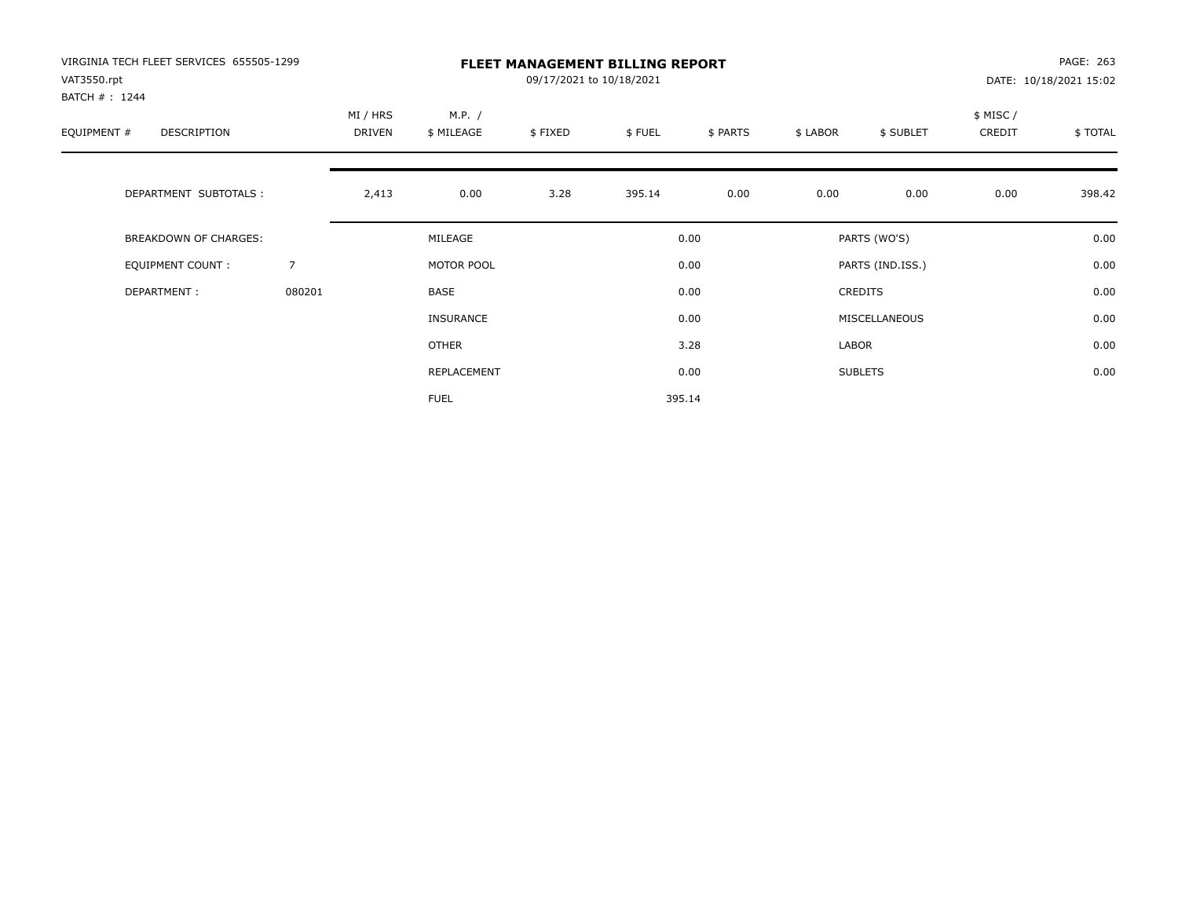| VIRGINIA TECH FLEET SERVICES 655505-1299<br>VAT3550.rpt<br>BATCH #: 1244 |                | <b>FLEET MANAGEMENT BILLING REPORT</b><br>09/17/2021 to 10/18/2021 |                      |         |        |          |          |                  |                    | PAGE: 263<br>DATE: 10/18/2021 15:02 |  |
|--------------------------------------------------------------------------|----------------|--------------------------------------------------------------------|----------------------|---------|--------|----------|----------|------------------|--------------------|-------------------------------------|--|
| EQUIPMENT #<br>DESCRIPTION                                               |                | MI / HRS<br>DRIVEN                                                 | M.P. /<br>\$ MILEAGE | \$FIXED | \$FUEL | \$ PARTS | \$ LABOR | \$ SUBLET        | \$ MISC/<br>CREDIT | \$TOTAL                             |  |
| DEPARTMENT SUBTOTALS :                                                   |                | 2,413                                                              | 0.00                 | 3.28    | 395.14 | 0.00     | 0.00     | 0.00             | 0.00               | 398.42                              |  |
| <b>BREAKDOWN OF CHARGES:</b>                                             |                |                                                                    | MILEAGE              |         |        | 0.00     |          | PARTS (WO'S)     |                    | 0.00                                |  |
| EQUIPMENT COUNT:                                                         | $\overline{7}$ |                                                                    | MOTOR POOL           |         |        | 0.00     |          | PARTS (IND.ISS.) |                    | 0.00                                |  |
| DEPARTMENT:                                                              | 080201         |                                                                    | BASE                 |         |        | 0.00     |          | <b>CREDITS</b>   |                    | 0.00                                |  |
|                                                                          |                |                                                                    | <b>INSURANCE</b>     |         |        | 0.00     |          | MISCELLANEOUS    |                    | 0.00                                |  |
|                                                                          |                |                                                                    | <b>OTHER</b>         |         |        | 3.28     | LABOR    |                  |                    | 0.00                                |  |
|                                                                          |                |                                                                    | REPLACEMENT          |         |        | 0.00     |          | <b>SUBLETS</b>   |                    | 0.00                                |  |
|                                                                          |                |                                                                    | <b>FUEL</b>          |         |        | 395.14   |          |                  |                    |                                     |  |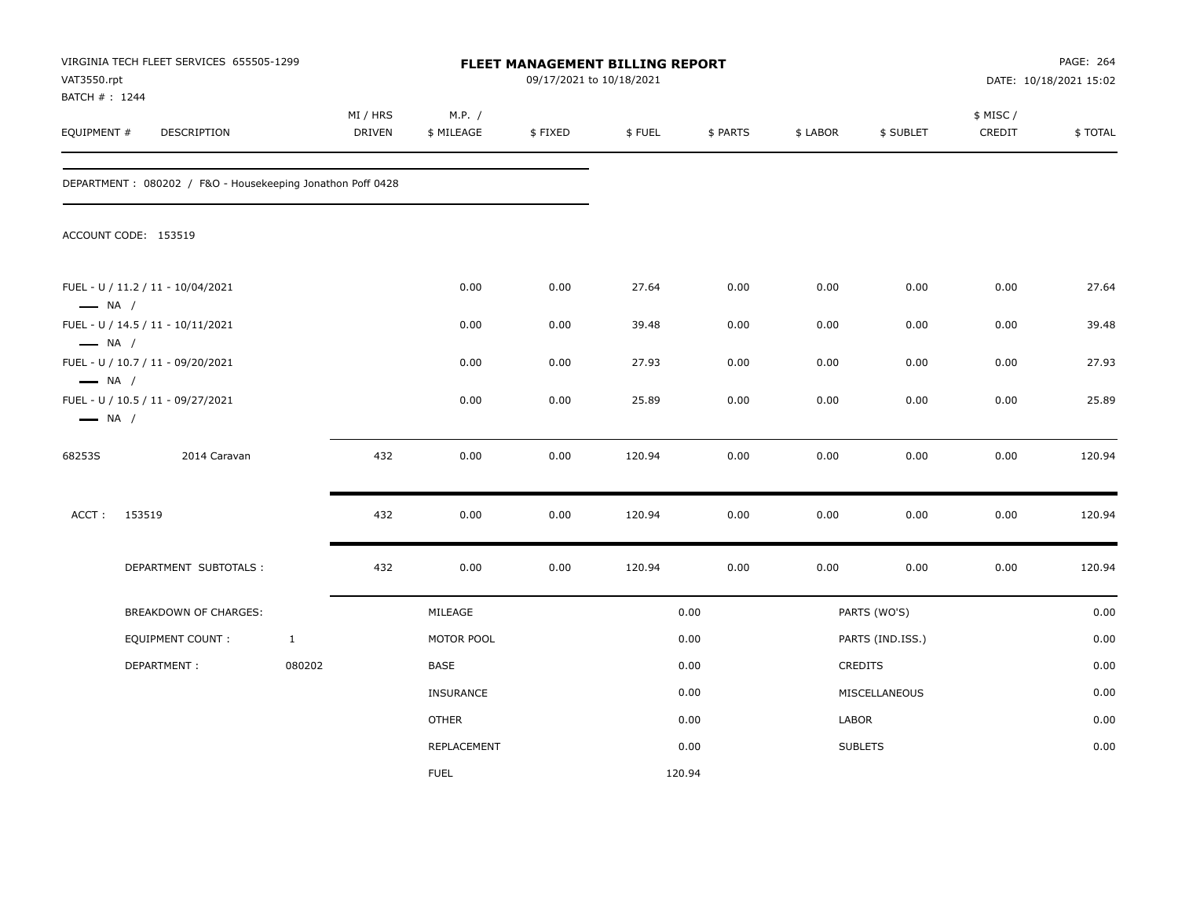| VAT3550.rpt                                      | VIRGINIA TECH FLEET SERVICES 655505-1299<br>BATCH # : 1244<br>EQUIPMENT #<br>DESCRIPTION |              |                           |                      |         | FLEET MANAGEMENT BILLING REPORT<br>09/17/2021 to 10/18/2021 |          |          |                  | PAGE: 264<br>DATE: 10/18/2021 15:02 |         |
|--------------------------------------------------|------------------------------------------------------------------------------------------|--------------|---------------------------|----------------------|---------|-------------------------------------------------------------|----------|----------|------------------|-------------------------------------|---------|
|                                                  |                                                                                          |              | MI / HRS<br><b>DRIVEN</b> | M.P. /<br>\$ MILEAGE | \$FIXED | \$FUEL                                                      | \$ PARTS | \$ LABOR | \$ SUBLET        | \$ MISC /<br>CREDIT                 | \$TOTAL |
|                                                  | DEPARTMENT: 080202 / F&O - Housekeeping Jonathon Poff 0428                               |              |                           |                      |         |                                                             |          |          |                  |                                     |         |
|                                                  | ACCOUNT CODE: 153519                                                                     |              |                           |                      |         |                                                             |          |          |                  |                                     |         |
| $\longrightarrow$ NA /                           | FUEL - U / 11.2 / 11 - 10/04/2021                                                        |              |                           | 0.00                 | 0.00    | 27.64                                                       | 0.00     | 0.00     | 0.00             | 0.00                                | 27.64   |
|                                                  | FUEL - U / 14.5 / 11 - 10/11/2021                                                        |              |                           | 0.00                 | 0.00    | 39.48                                                       | 0.00     | 0.00     | 0.00             | 0.00                                | 39.48   |
| $\longrightarrow$ NA /                           | FUEL - U / 10.7 / 11 - 09/20/2021                                                        |              |                           | 0.00                 | 0.00    | 27.93                                                       | 0.00     | 0.00     | 0.00             | 0.00                                | 27.93   |
| $\longrightarrow$ NA /<br>$\longrightarrow$ NA / | FUEL - U / 10.5 / 11 - 09/27/2021                                                        |              |                           | 0.00                 | 0.00    | 25.89                                                       | 0.00     | 0.00     | 0.00             | 0.00                                | 25.89   |
| 68253S                                           | 2014 Caravan                                                                             |              | 432                       | 0.00                 | 0.00    | 120.94                                                      | 0.00     | 0.00     | 0.00             | 0.00                                | 120.94  |
| ACCT:                                            | 153519                                                                                   |              | 432                       | 0.00                 | 0.00    | 120.94                                                      | 0.00     | 0.00     | 0.00             | 0.00                                | 120.94  |
|                                                  | DEPARTMENT SUBTOTALS :                                                                   |              | 432                       | 0.00                 | 0.00    | 120.94                                                      | 0.00     | 0.00     | 0.00             | 0.00                                | 120.94  |
|                                                  | BREAKDOWN OF CHARGES:                                                                    |              |                           | MILEAGE              |         |                                                             | 0.00     |          | PARTS (WO'S)     |                                     | 0.00    |
|                                                  | <b>EQUIPMENT COUNT:</b>                                                                  | $\mathbf{1}$ |                           | MOTOR POOL           |         |                                                             | 0.00     |          | PARTS (IND.ISS.) |                                     | 0.00    |
|                                                  | DEPARTMENT:                                                                              | 080202       |                           | BASE                 |         |                                                             | 0.00     |          | CREDITS          |                                     | 0.00    |
|                                                  |                                                                                          |              |                           | <b>INSURANCE</b>     |         |                                                             | 0.00     |          | MISCELLANEOUS    |                                     | 0.00    |
|                                                  |                                                                                          |              |                           | <b>OTHER</b>         |         |                                                             | 0.00     | LABOR    |                  |                                     | 0.00    |
|                                                  |                                                                                          |              |                           | REPLACEMENT          |         |                                                             | 0.00     |          | <b>SUBLETS</b>   |                                     | 0.00    |
|                                                  |                                                                                          |              |                           | <b>FUEL</b>          |         | 120.94                                                      |          |          |                  |                                     |         |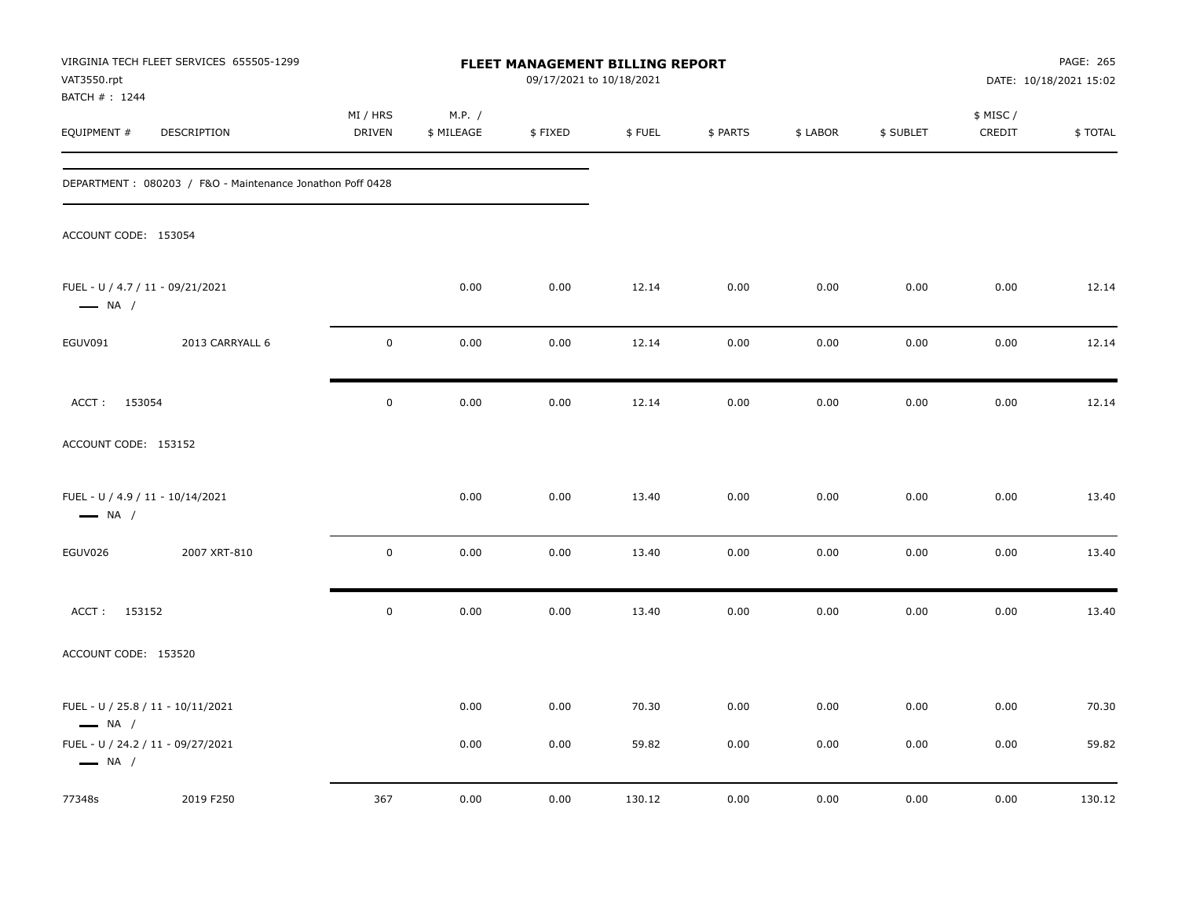| VAT3550.rpt<br>BATCH #: 1244                               | VIRGINIA TECH FLEET SERVICES 655505-1299<br>FLEET MANAGEMENT BILLING REPORT<br>09/17/2021 to 10/18/2021 |                           |                      |         |        |          | PAGE: 265<br>DATE: 10/18/2021 15:02 |           |                     |         |
|------------------------------------------------------------|---------------------------------------------------------------------------------------------------------|---------------------------|----------------------|---------|--------|----------|-------------------------------------|-----------|---------------------|---------|
| EQUIPMENT #                                                | DESCRIPTION                                                                                             | MI / HRS<br><b>DRIVEN</b> | M.P. /<br>\$ MILEAGE | \$FIXED | \$FUEL | \$ PARTS | \$ LABOR                            | \$ SUBLET | \$ MISC /<br>CREDIT | \$TOTAL |
|                                                            | DEPARTMENT: 080203 / F&O - Maintenance Jonathon Poff 0428                                               |                           |                      |         |        |          |                                     |           |                     |         |
| ACCOUNT CODE: 153054                                       |                                                                                                         |                           |                      |         |        |          |                                     |           |                     |         |
| FUEL - U / 4.7 / 11 - 09/21/2021<br>$\longrightarrow$ NA / |                                                                                                         |                           | 0.00                 | 0.00    | 12.14  | 0.00     | 0.00                                | 0.00      | 0.00                | 12.14   |
| EGUV091                                                    | 2013 CARRYALL 6                                                                                         | $\mathsf 0$               | 0.00                 | 0.00    | 12.14  | 0.00     | 0.00                                | 0.00      | 0.00                | 12.14   |
| ACCT: 153054                                               |                                                                                                         | $\mathbf 0$               | 0.00                 | 0.00    | 12.14  | 0.00     | 0.00                                | 0.00      | 0.00                | 12.14   |
| ACCOUNT CODE: 153152                                       |                                                                                                         |                           |                      |         |        |          |                                     |           |                     |         |
| FUEL - U / 4.9 / 11 - 10/14/2021<br>$\longrightarrow$ NA / |                                                                                                         |                           | 0.00                 | 0.00    | 13.40  | 0.00     | 0.00                                | 0.00      | 0.00                | 13.40   |
| EGUV026                                                    | 2007 XRT-810                                                                                            | $\mathbf 0$               | 0.00                 | 0.00    | 13.40  | 0.00     | 0.00                                | 0.00      | 0.00                | 13.40   |
| ACCT: 153152                                               |                                                                                                         | $\mathbf 0$               | 0.00                 | 0.00    | 13.40  | 0.00     | 0.00                                | 0.00      | 0.00                | 13.40   |
| ACCOUNT CODE: 153520                                       |                                                                                                         |                           |                      |         |        |          |                                     |           |                     |         |
| $\longrightarrow$ NA /                                     | FUEL - U / 25.8 / 11 - 10/11/2021                                                                       |                           | 0.00                 | 0.00    | 70.30  | 0.00     | 0.00                                | 0.00      | 0.00                | 70.30   |
| $\longrightarrow$ NA /                                     | FUEL - U / 24.2 / 11 - 09/27/2021                                                                       |                           | 0.00                 | 0.00    | 59.82  | 0.00     | 0.00                                | 0.00      | 0.00                | 59.82   |
| 77348s                                                     | 2019 F250                                                                                               | 367                       | 0.00                 | 0.00    | 130.12 | 0.00     | 0.00                                | 0.00      | 0.00                | 130.12  |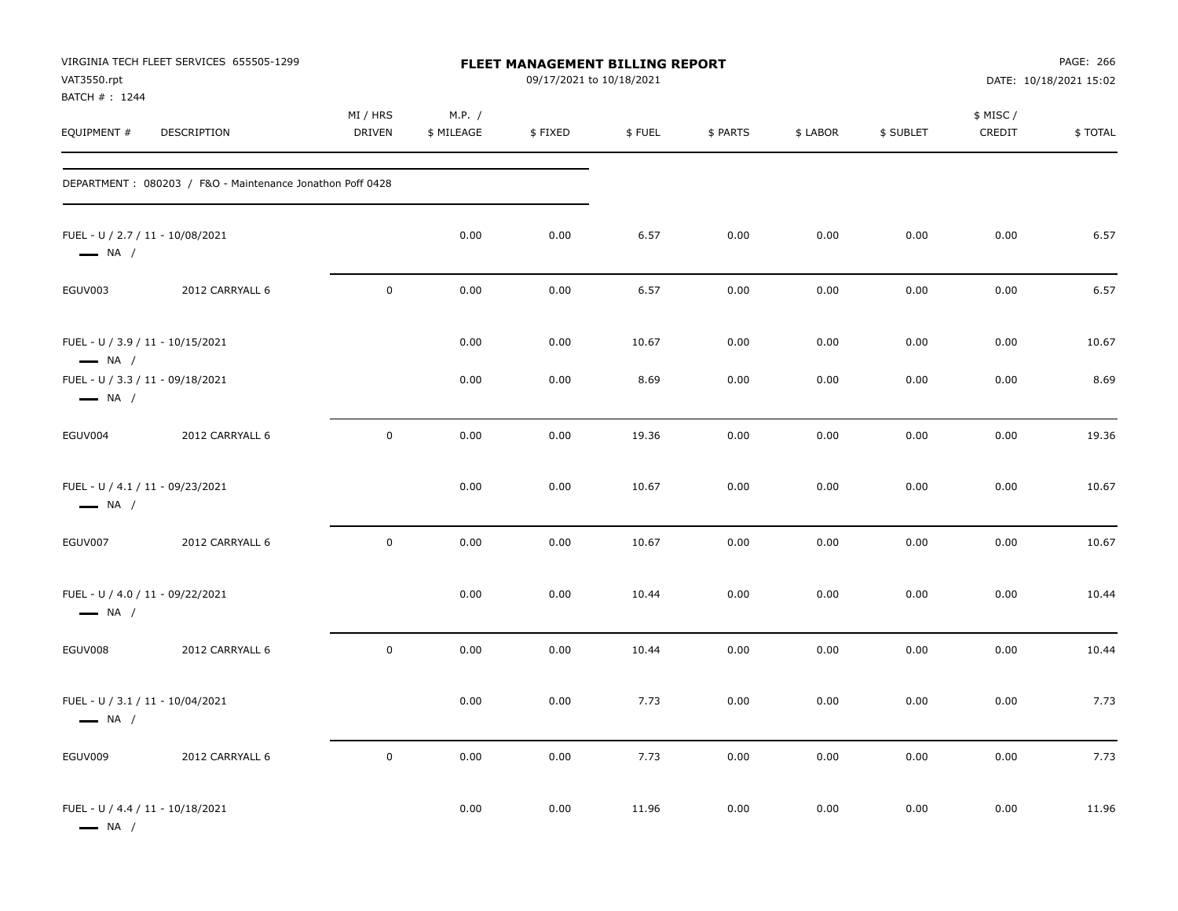| VAT3550.rpt<br>BATCH #: 1244                               | VIRGINIA TECH FLEET SERVICES 655505-1299                  |                           |                      | <b>FLEET MANAGEMENT BILLING REPORT</b><br>09/17/2021 to 10/18/2021 |        |          |          |           |                     | PAGE: 266<br>DATE: 10/18/2021 15:02 |
|------------------------------------------------------------|-----------------------------------------------------------|---------------------------|----------------------|--------------------------------------------------------------------|--------|----------|----------|-----------|---------------------|-------------------------------------|
| EQUIPMENT #                                                | DESCRIPTION                                               | MI / HRS<br><b>DRIVEN</b> | M.P. /<br>\$ MILEAGE | \$FIXED                                                            | \$FUEL | \$ PARTS | \$ LABOR | \$ SUBLET | \$ MISC /<br>CREDIT | \$TOTAL                             |
|                                                            | DEPARTMENT: 080203 / F&O - Maintenance Jonathon Poff 0428 |                           |                      |                                                                    |        |          |          |           |                     |                                     |
| FUEL - U / 2.7 / 11 - 10/08/2021<br>$\longrightarrow$ NA / |                                                           |                           | 0.00                 | 0.00                                                               | 6.57   | 0.00     | 0.00     | 0.00      | 0.00                | 6.57                                |
| EGUV003                                                    | 2012 CARRYALL 6                                           | $\mathbf 0$               | 0.00                 | 0.00                                                               | 6.57   | 0.00     | 0.00     | 0.00      | 0.00                | 6.57                                |
| FUEL - U / 3.9 / 11 - 10/15/2021<br>$\longrightarrow$ NA / |                                                           |                           | 0.00                 | 0.00                                                               | 10.67  | 0.00     | 0.00     | 0.00      | 0.00                | 10.67                               |
| FUEL - U / 3.3 / 11 - 09/18/2021<br>$\longrightarrow$ NA / |                                                           |                           | 0.00                 | 0.00                                                               | 8.69   | 0.00     | 0.00     | 0.00      | 0.00                | 8.69                                |
| EGUV004                                                    | 2012 CARRYALL 6                                           | $\mathsf 0$               | 0.00                 | 0.00                                                               | 19.36  | 0.00     | 0.00     | 0.00      | 0.00                | 19.36                               |
| FUEL - U / 4.1 / 11 - 09/23/2021<br>$\longrightarrow$ NA / |                                                           |                           | 0.00                 | 0.00                                                               | 10.67  | 0.00     | 0.00     | 0.00      | 0.00                | 10.67                               |
| EGUV007                                                    | 2012 CARRYALL 6                                           | $\mathsf 0$               | 0.00                 | 0.00                                                               | 10.67  | 0.00     | 0.00     | 0.00      | 0.00                | 10.67                               |
| FUEL - U / 4.0 / 11 - 09/22/2021<br>$\longrightarrow$ NA / |                                                           |                           | 0.00                 | 0.00                                                               | 10.44  | 0.00     | 0.00     | 0.00      | 0.00                | 10.44                               |
| EGUV008                                                    | 2012 CARRYALL 6                                           | $\mathsf 0$               | 0.00                 | 0.00                                                               | 10.44  | 0.00     | 0.00     | 0.00      | 0.00                | 10.44                               |
| FUEL - U / 3.1 / 11 - 10/04/2021<br>$\longrightarrow$ NA / |                                                           |                           | 0.00                 | 0.00                                                               | 7.73   | 0.00     | 0.00     | 0.00      | 0.00                | 7.73                                |
| EGUV009                                                    | 2012 CARRYALL 6                                           | $\mathbf 0$               | $0.00\,$             | 0.00                                                               | 7.73   | 0.00     | 0.00     | $0.00\,$  | 0.00                | 7.73                                |
| FUEL - U / 4.4 / 11 - 10/18/2021<br>$\longrightarrow$ NA / |                                                           |                           | 0.00                 | 0.00                                                               | 11.96  | 0.00     | 0.00     | 0.00      | $0.00\,$            | 11.96                               |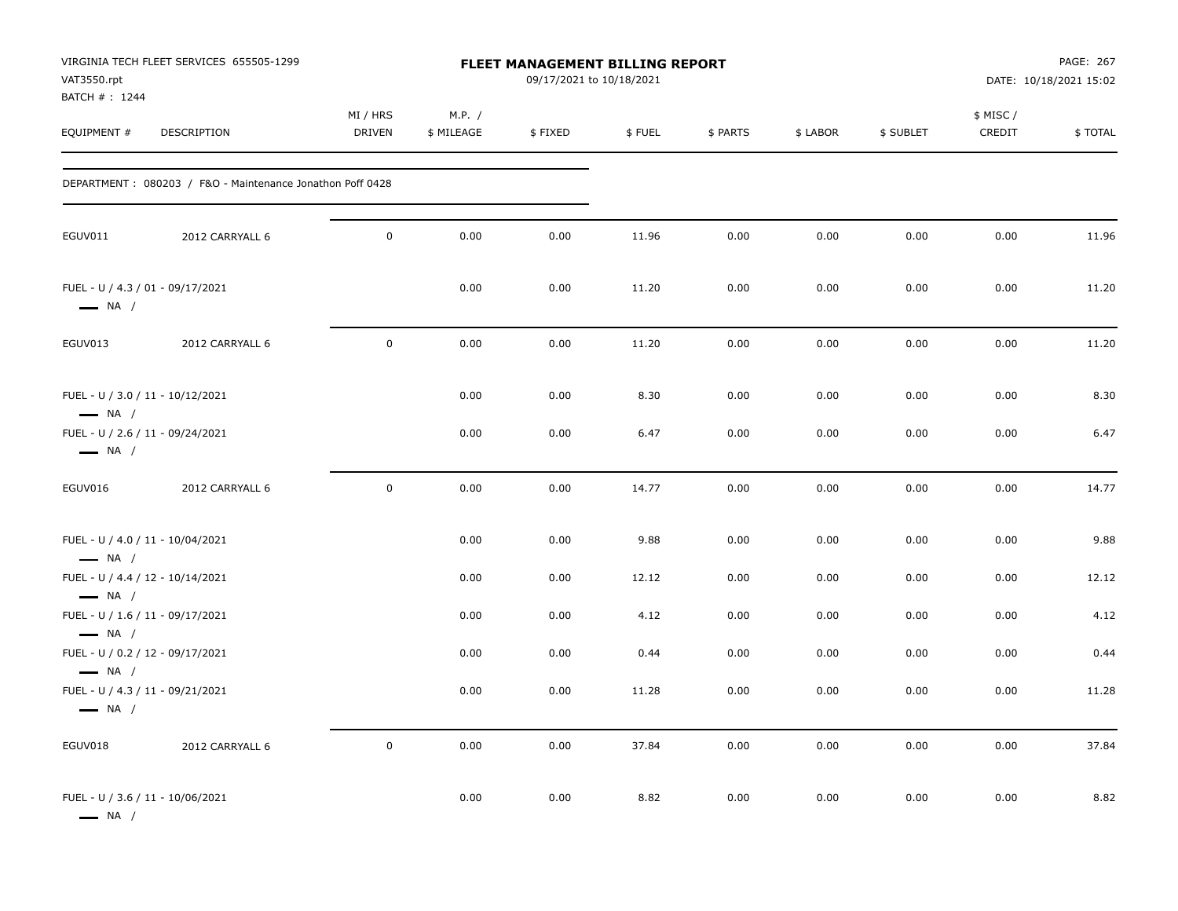| VAT3550.rpt<br>BATCH #: 1244                               | VIRGINIA TECH FLEET SERVICES 655505-1299                  |                           |                      | <b>FLEET MANAGEMENT BILLING REPORT</b><br>09/17/2021 to 10/18/2021 |              |              |              |              |                    | PAGE: 267<br>DATE: 10/18/2021 15:02 |
|------------------------------------------------------------|-----------------------------------------------------------|---------------------------|----------------------|--------------------------------------------------------------------|--------------|--------------|--------------|--------------|--------------------|-------------------------------------|
| EQUIPMENT #                                                | DESCRIPTION                                               | MI / HRS<br><b>DRIVEN</b> | M.P. /<br>\$ MILEAGE | \$FIXED                                                            | \$FUEL       | \$ PARTS     | \$ LABOR     | \$ SUBLET    | \$ MISC/<br>CREDIT | \$TOTAL                             |
|                                                            | DEPARTMENT: 080203 / F&O - Maintenance Jonathon Poff 0428 |                           |                      |                                                                    |              |              |              |              |                    |                                     |
| EGUV011                                                    | 2012 CARRYALL 6                                           | $\mathbf 0$               | 0.00                 | 0.00                                                               | 11.96        | 0.00         | 0.00         | 0.00         | 0.00               | 11.96                               |
| FUEL - U / 4.3 / 01 - 09/17/2021<br>$\longrightarrow$ NA / |                                                           |                           | 0.00                 | 0.00                                                               | 11.20        | 0.00         | 0.00         | 0.00         | 0.00               | 11.20                               |
| EGUV013                                                    | 2012 CARRYALL 6                                           | $\mathbf 0$               | 0.00                 | 0.00                                                               | 11.20        | 0.00         | 0.00         | 0.00         | 0.00               | 11.20                               |
| FUEL - U / 3.0 / 11 - 10/12/2021<br>$\longrightarrow$ NA / | FUEL - U / 2.6 / 11 - 09/24/2021                          |                           | 0.00<br>0.00         | 0.00<br>0.00                                                       | 8.30<br>6.47 | 0.00<br>0.00 | 0.00<br>0.00 | 0.00<br>0.00 | 0.00<br>0.00       | 8.30<br>6.47                        |
| $\longrightarrow$ NA /                                     |                                                           |                           |                      |                                                                    |              |              |              |              |                    |                                     |
| EGUV016                                                    | 2012 CARRYALL 6                                           | $\mathbf 0$               | 0.00                 | 0.00                                                               | 14.77        | 0.00         | 0.00         | 0.00         | 0.00               | 14.77                               |
| FUEL - U / 4.0 / 11 - 10/04/2021<br>$\longrightarrow$ NA / |                                                           |                           | 0.00                 | 0.00                                                               | 9.88         | 0.00         | 0.00         | 0.00         | 0.00               | 9.88                                |
| FUEL - U / 4.4 / 12 - 10/14/2021<br>$\longrightarrow$ NA / |                                                           |                           | 0.00                 | 0.00                                                               | 12.12        | 0.00         | 0.00         | 0.00         | 0.00               | 12.12                               |
| FUEL - U / 1.6 / 11 - 09/17/2021<br>$\longrightarrow$ NA / |                                                           |                           | 0.00                 | 0.00                                                               | 4.12         | 0.00         | 0.00         | 0.00         | 0.00               | 4.12                                |
| FUEL - U / 0.2 / 12 - 09/17/2021<br>$\longrightarrow$ NA / |                                                           |                           | 0.00                 | 0.00                                                               | 0.44         | 0.00         | 0.00         | 0.00         | 0.00               | 0.44                                |
| $\longrightarrow$ NA /                                     | FUEL - U / 4.3 / 11 - 09/21/2021                          |                           | 0.00                 | 0.00                                                               | 11.28        | 0.00         | 0.00         | 0.00         | 0.00               | 11.28                               |
| EGUV018                                                    | 2012 CARRYALL 6                                           | $\mathbf 0$               | 0.00                 | 0.00                                                               | 37.84        | 0.00         | 0.00         | 0.00         | 0.00               | 37.84                               |
| FUEL - U / 3.6 / 11 - 10/06/2021<br>$\longrightarrow$ NA / |                                                           |                           | 0.00                 | 0.00                                                               | 8.82         | 0.00         | 0.00         | 0.00         | 0.00               | 8.82                                |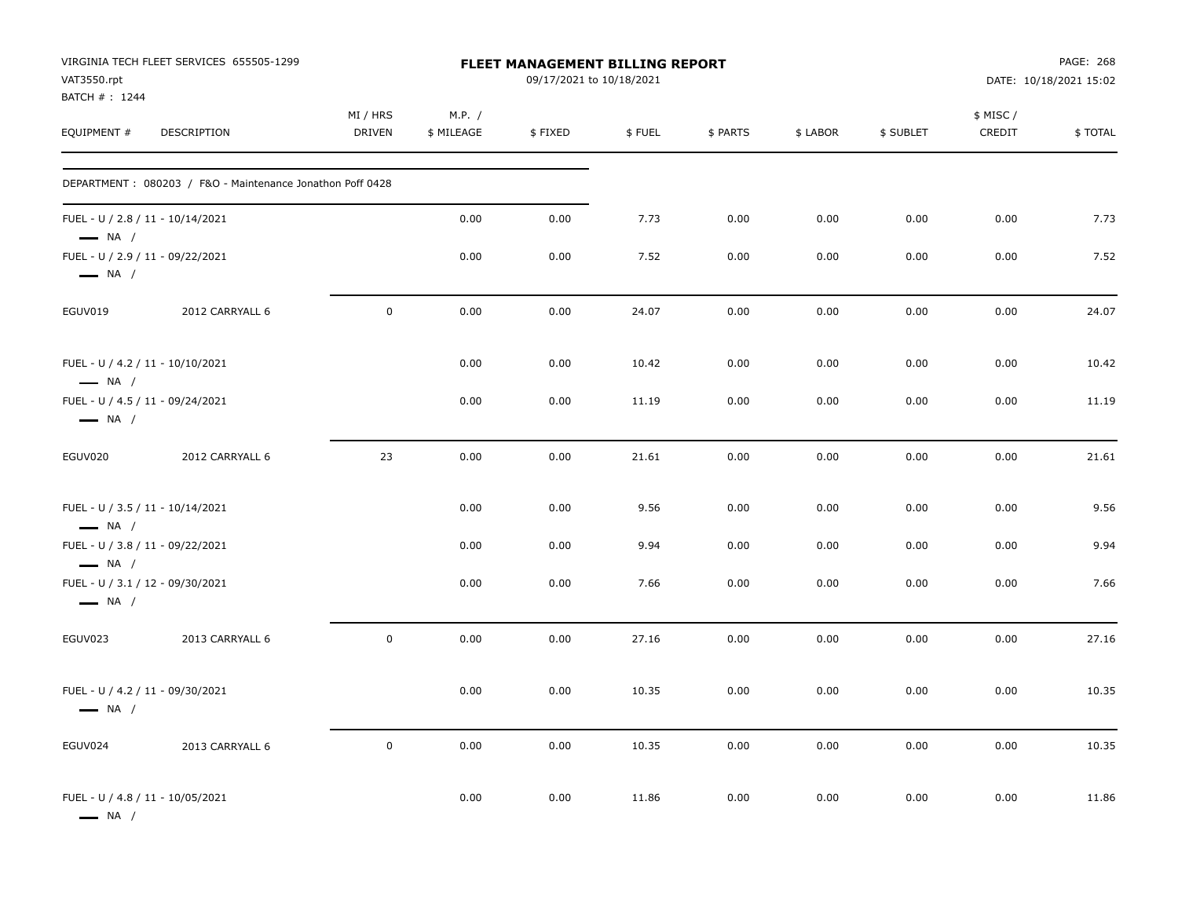| VAT3550.rpt                                                | VIRGINIA TECH FLEET SERVICES 655505-1299                  |                           |                      | <b>FLEET MANAGEMENT BILLING REPORT</b><br>09/17/2021 to 10/18/2021 |        |          |          |           |                     | PAGE: 268<br>DATE: 10/18/2021 15:02 |
|------------------------------------------------------------|-----------------------------------------------------------|---------------------------|----------------------|--------------------------------------------------------------------|--------|----------|----------|-----------|---------------------|-------------------------------------|
| BATCH #: 1244<br>EQUIPMENT #                               | DESCRIPTION                                               | MI / HRS<br><b>DRIVEN</b> | M.P. /<br>\$ MILEAGE | \$FIXED                                                            | \$FUEL | \$ PARTS | \$ LABOR | \$ SUBLET | \$ MISC /<br>CREDIT | \$TOTAL                             |
|                                                            | DEPARTMENT: 080203 / F&O - Maintenance Jonathon Poff 0428 |                           |                      |                                                                    |        |          |          |           |                     |                                     |
| FUEL - U / 2.8 / 11 - 10/14/2021<br>$\longrightarrow$ NA / |                                                           |                           | 0.00                 | 0.00                                                               | 7.73   | 0.00     | 0.00     | 0.00      | 0.00                | 7.73                                |
| FUEL - U / 2.9 / 11 - 09/22/2021<br>$\longrightarrow$ NA / |                                                           |                           | 0.00                 | 0.00                                                               | 7.52   | 0.00     | 0.00     | 0.00      | 0.00                | 7.52                                |
| EGUV019                                                    | 2012 CARRYALL 6                                           | $\pmb{0}$                 | 0.00                 | 0.00                                                               | 24.07  | 0.00     | 0.00     | 0.00      | 0.00                | 24.07                               |
| FUEL - U / 4.2 / 11 - 10/10/2021<br>$\longrightarrow$ NA / |                                                           |                           | 0.00                 | 0.00                                                               | 10.42  | 0.00     | 0.00     | 0.00      | 0.00                | 10.42                               |
| FUEL - U / 4.5 / 11 - 09/24/2021<br>$\longrightarrow$ NA / |                                                           |                           | 0.00                 | 0.00                                                               | 11.19  | 0.00     | 0.00     | 0.00      | 0.00                | 11.19                               |
| EGUV020                                                    | 2012 CARRYALL 6                                           | 23                        | 0.00                 | 0.00                                                               | 21.61  | 0.00     | 0.00     | 0.00      | 0.00                | 21.61                               |
| FUEL - U / 3.5 / 11 - 10/14/2021<br>$\longrightarrow$ NA / |                                                           |                           | 0.00                 | 0.00                                                               | 9.56   | 0.00     | 0.00     | 0.00      | 0.00                | 9.56                                |
| FUEL - U / 3.8 / 11 - 09/22/2021<br>$\longrightarrow$ NA / |                                                           |                           | 0.00                 | 0.00                                                               | 9.94   | 0.00     | 0.00     | 0.00      | 0.00                | 9.94                                |
| FUEL - U / 3.1 / 12 - 09/30/2021<br>$\longrightarrow$ NA / |                                                           |                           | 0.00                 | 0.00                                                               | 7.66   | 0.00     | 0.00     | 0.00      | 0.00                | 7.66                                |
| EGUV023                                                    | 2013 CARRYALL 6                                           | $\mathbf 0$               | 0.00                 | 0.00                                                               | 27.16  | 0.00     | 0.00     | 0.00      | 0.00                | 27.16                               |
| FUEL - U / 4.2 / 11 - 09/30/2021<br>$\longrightarrow$ NA / |                                                           |                           | 0.00                 | 0.00                                                               | 10.35  | 0.00     | 0.00     | 0.00      | 0.00                | 10.35                               |
| EGUV024                                                    | 2013 CARRYALL 6                                           | $\mathsf 0$               | 0.00                 | 0.00                                                               | 10.35  | 0.00     | 0.00     | 0.00      | 0.00                | 10.35                               |
| FUEL - U / 4.8 / 11 - 10/05/2021<br>$\longrightarrow$ NA / |                                                           |                           | 0.00                 | 0.00                                                               | 11.86  | 0.00     | 0.00     | 0.00      | 0.00                | 11.86                               |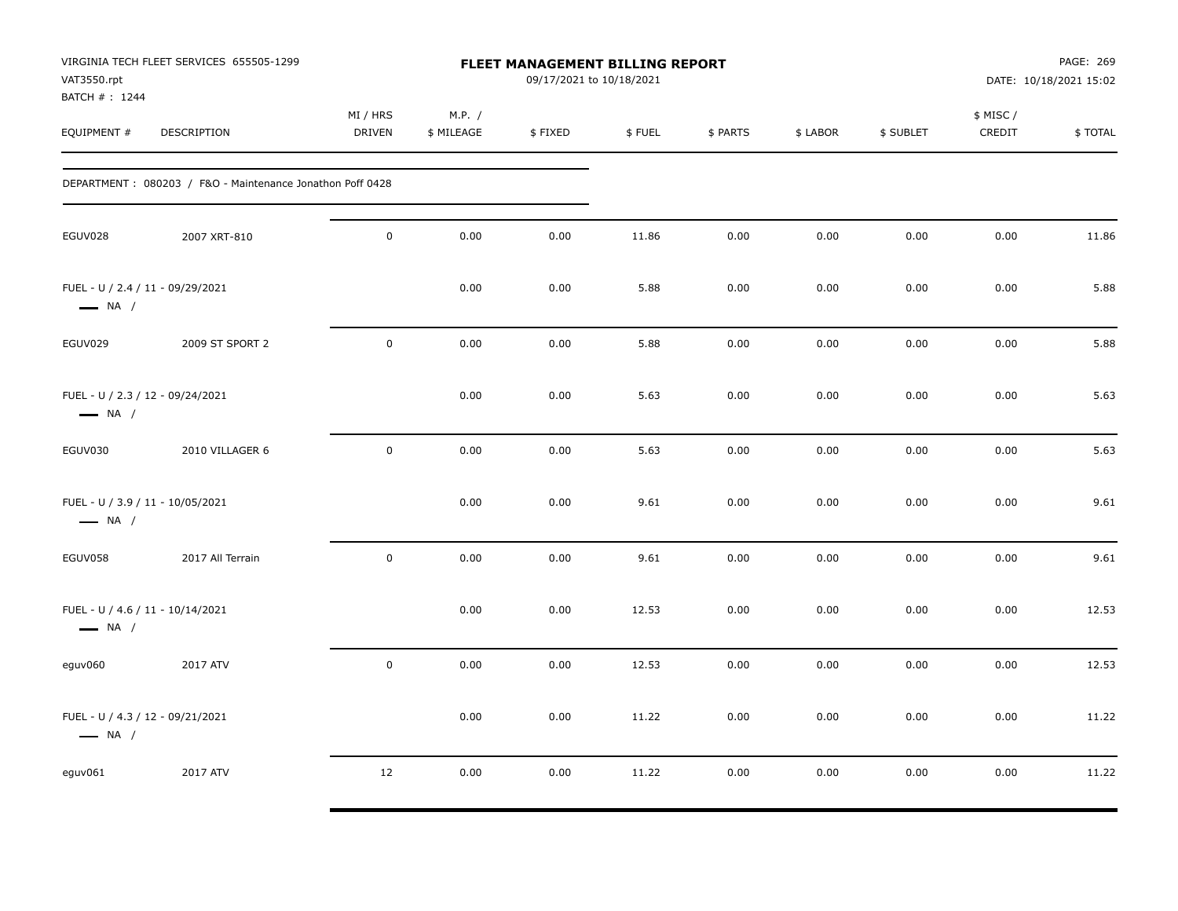| VAT3550.rpt<br>BATCH #: 1244                               | VIRGINIA TECH FLEET SERVICES 655505-1299                  |                           |                      | FLEET MANAGEMENT BILLING REPORT<br>09/17/2021 to 10/18/2021 |        |          |          |           |                    | PAGE: 269<br>DATE: 10/18/2021 15:02 |
|------------------------------------------------------------|-----------------------------------------------------------|---------------------------|----------------------|-------------------------------------------------------------|--------|----------|----------|-----------|--------------------|-------------------------------------|
| EQUIPMENT #                                                | DESCRIPTION                                               | MI / HRS<br><b>DRIVEN</b> | M.P. /<br>\$ MILEAGE | \$FIXED                                                     | \$FUEL | \$ PARTS | \$ LABOR | \$ SUBLET | \$ MISC/<br>CREDIT | \$TOTAL                             |
|                                                            | DEPARTMENT: 080203 / F&O - Maintenance Jonathon Poff 0428 |                           |                      |                                                             |        |          |          |           |                    |                                     |
| EGUV028                                                    | 2007 XRT-810                                              | $\mathsf{O}\xspace$       | 0.00                 | 0.00                                                        | 11.86  | 0.00     | 0.00     | 0.00      | 0.00               | 11.86                               |
| FUEL - U / 2.4 / 11 - 09/29/2021<br>$\longrightarrow$ NA / |                                                           |                           | 0.00                 | 0.00                                                        | 5.88   | 0.00     | 0.00     | 0.00      | 0.00               | 5.88                                |
| EGUV029                                                    | 2009 ST SPORT 2                                           | $\mathsf{O}\xspace$       | 0.00                 | 0.00                                                        | 5.88   | 0.00     | 0.00     | 0.00      | 0.00               | 5.88                                |
| FUEL - U / 2.3 / 12 - 09/24/2021<br>$\longrightarrow$ NA / |                                                           |                           | 0.00                 | 0.00                                                        | 5.63   | 0.00     | 0.00     | 0.00      | 0.00               | 5.63                                |
| EGUV030                                                    | 2010 VILLAGER 6                                           | $\pmb{0}$                 | 0.00                 | 0.00                                                        | 5.63   | 0.00     | 0.00     | 0.00      | 0.00               | 5.63                                |
| FUEL - U / 3.9 / 11 - 10/05/2021<br>$\longrightarrow$ NA / |                                                           |                           | 0.00                 | 0.00                                                        | 9.61   | 0.00     | 0.00     | 0.00      | 0.00               | 9.61                                |
| EGUV058                                                    | 2017 All Terrain                                          | $\mathbf 0$               | 0.00                 | 0.00                                                        | 9.61   | 0.00     | 0.00     | 0.00      | 0.00               | 9.61                                |
| FUEL - U / 4.6 / 11 - 10/14/2021<br>$\longrightarrow$ NA / |                                                           |                           | 0.00                 | 0.00                                                        | 12.53  | 0.00     | 0.00     | 0.00      | 0.00               | 12.53                               |
| eguv060                                                    | 2017 ATV                                                  | $\mathsf{O}\xspace$       | 0.00                 | 0.00                                                        | 12.53  | 0.00     | 0.00     | 0.00      | 0.00               | 12.53                               |
| FUEL - U / 4.3 / 12 - 09/21/2021<br>$\longrightarrow$ NA / |                                                           |                           | 0.00                 | 0.00                                                        | 11.22  | 0.00     | 0.00     | 0.00      | 0.00               | 11.22                               |
| eguv061                                                    | 2017 ATV                                                  | 12                        | 0.00                 | 0.00                                                        | 11.22  | 0.00     | 0.00     | 0.00      | 0.00               | 11.22                               |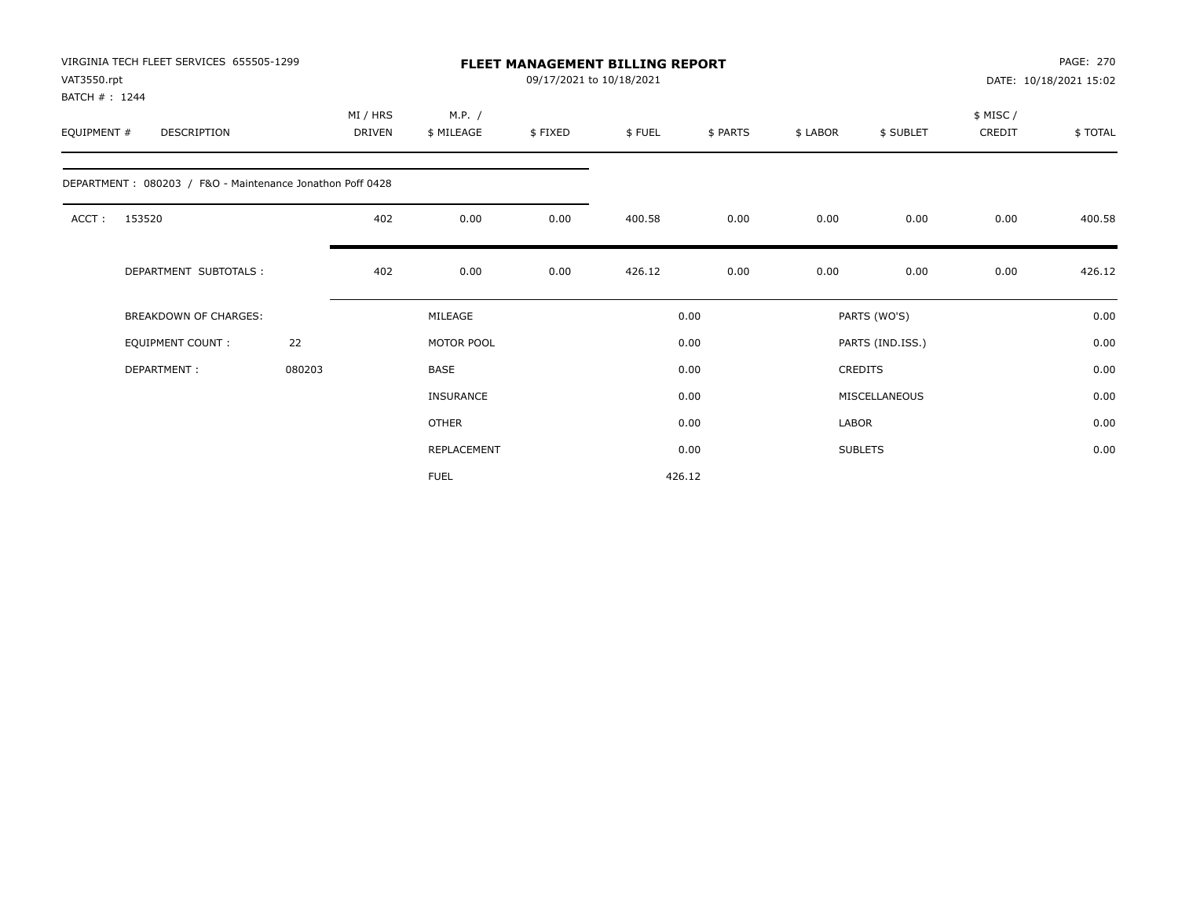| VAT3550.rpt<br>BATCH #: 1244 | VIRGINIA TECH FLEET SERVICES 655505-1299                  |        |                           |                      |         | FLEET MANAGEMENT BILLING REPORT<br>09/17/2021 to 10/18/2021 |          |              |                  |                    | PAGE: 270<br>DATE: 10/18/2021 15:02 |
|------------------------------|-----------------------------------------------------------|--------|---------------------------|----------------------|---------|-------------------------------------------------------------|----------|--------------|------------------|--------------------|-------------------------------------|
| EQUIPMENT #                  | DESCRIPTION                                               |        | MI / HRS<br><b>DRIVEN</b> | M.P. /<br>\$ MILEAGE | \$FIXED | \$FUEL                                                      | \$ PARTS | \$ LABOR     | \$ SUBLET        | \$ MISC/<br>CREDIT | \$TOTAL                             |
|                              | DEPARTMENT: 080203 / F&O - Maintenance Jonathon Poff 0428 |        |                           |                      |         |                                                             |          |              |                  |                    |                                     |
| ACCT:                        | 153520                                                    |        | 402                       | 0.00                 | 0.00    | 400.58                                                      | 0.00     | 0.00         | 0.00             | 0.00               | 400.58                              |
|                              | DEPARTMENT SUBTOTALS :                                    |        | 402                       | 0.00                 | 0.00    | 426.12                                                      | 0.00     | 0.00         | 0.00             | 0.00               | 426.12                              |
|                              | <b>BREAKDOWN OF CHARGES:</b>                              |        |                           | MILEAGE              |         |                                                             | 0.00     |              | PARTS (WO'S)     |                    | 0.00                                |
|                              | <b>EQUIPMENT COUNT:</b>                                   | 22     |                           | MOTOR POOL           |         |                                                             | 0.00     |              | PARTS (IND.ISS.) |                    | 0.00                                |
|                              | DEPARTMENT:                                               | 080203 |                           | <b>BASE</b>          |         |                                                             | 0.00     |              | <b>CREDITS</b>   |                    | 0.00                                |
|                              |                                                           |        |                           | <b>INSURANCE</b>     |         |                                                             | 0.00     |              | MISCELLANEOUS    |                    | 0.00                                |
|                              |                                                           |        |                           | <b>OTHER</b>         |         |                                                             | 0.00     | <b>LABOR</b> |                  |                    | 0.00                                |
|                              |                                                           |        |                           | REPLACEMENT          |         |                                                             | 0.00     |              | <b>SUBLETS</b>   |                    | 0.00                                |
|                              |                                                           |        |                           | <b>FUEL</b>          |         |                                                             | 426.12   |              |                  |                    |                                     |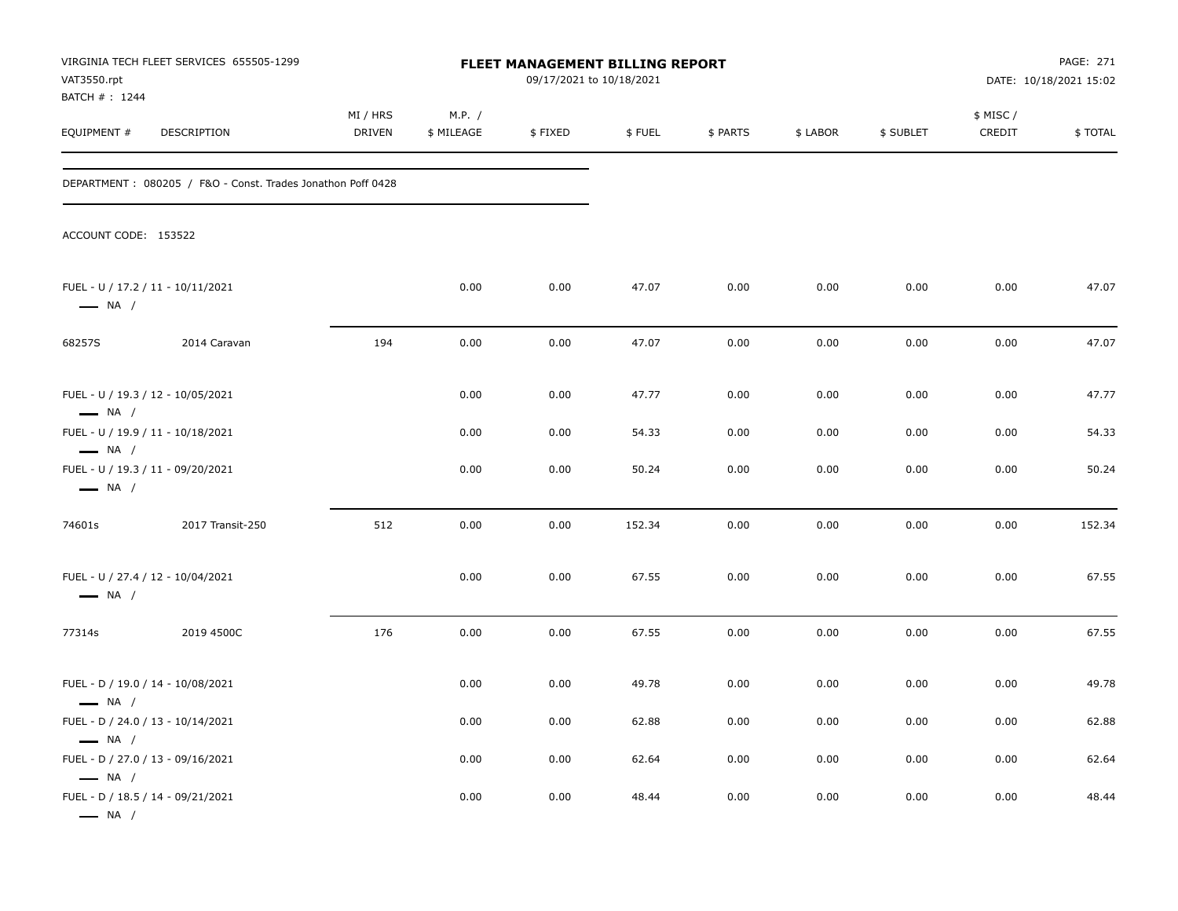| VAT3550.rpt<br>BATCH #: 1244                                                          | VIRGINIA TECH FLEET SERVICES 655505-1299                    |                    |                      | <b>FLEET MANAGEMENT BILLING REPORT</b><br>09/17/2021 to 10/18/2021 |        |          |          |           |                    | PAGE: 271<br>DATE: 10/18/2021 15:02 |
|---------------------------------------------------------------------------------------|-------------------------------------------------------------|--------------------|----------------------|--------------------------------------------------------------------|--------|----------|----------|-----------|--------------------|-------------------------------------|
| EQUIPMENT #                                                                           | DESCRIPTION                                                 | MI / HRS<br>DRIVEN | M.P. /<br>\$ MILEAGE | \$FIXED                                                            | \$FUEL | \$ PARTS | \$ LABOR | \$ SUBLET | \$ MISC/<br>CREDIT | \$TOTAL                             |
|                                                                                       | DEPARTMENT: 080205 / F&O - Const. Trades Jonathon Poff 0428 |                    |                      |                                                                    |        |          |          |           |                    |                                     |
| ACCOUNT CODE: 153522                                                                  |                                                             |                    |                      |                                                                    |        |          |          |           |                    |                                     |
| FUEL - U / 17.2 / 11 - 10/11/2021<br>$\longrightarrow$ NA /                           |                                                             |                    | 0.00                 | 0.00                                                               | 47.07  | 0.00     | 0.00     | 0.00      | 0.00               | 47.07                               |
| 68257S                                                                                | 2014 Caravan                                                | 194                | 0.00                 | 0.00                                                               | 47.07  | 0.00     | 0.00     | 0.00      | 0.00               | 47.07                               |
| FUEL - U / 19.3 / 12 - 10/05/2021<br>$\longrightarrow$ NA /                           |                                                             |                    | 0.00                 | 0.00                                                               | 47.77  | 0.00     | 0.00     | 0.00      | 0.00               | 47.77                               |
| FUEL - U / 19.9 / 11 - 10/18/2021                                                     |                                                             |                    | 0.00                 | 0.00                                                               | 54.33  | 0.00     | 0.00     | 0.00      | 0.00               | 54.33                               |
| $\longrightarrow$ NA /<br>FUEL - U / 19.3 / 11 - 09/20/2021<br>$\longrightarrow$ NA / |                                                             |                    | 0.00                 | 0.00                                                               | 50.24  | 0.00     | 0.00     | 0.00      | 0.00               | 50.24                               |
| 74601s                                                                                | 2017 Transit-250                                            | 512                | 0.00                 | 0.00                                                               | 152.34 | 0.00     | 0.00     | 0.00      | 0.00               | 152.34                              |
| FUEL - U / 27.4 / 12 - 10/04/2021<br>$\longrightarrow$ NA /                           |                                                             |                    | 0.00                 | 0.00                                                               | 67.55  | 0.00     | 0.00     | 0.00      | 0.00               | 67.55                               |
| 77314s                                                                                | 2019 4500C                                                  | 176                | 0.00                 | 0.00                                                               | 67.55  | 0.00     | 0.00     | 0.00      | 0.00               | 67.55                               |
| FUEL - D / 19.0 / 14 - 10/08/2021<br>$\longrightarrow$ NA /                           |                                                             |                    | 0.00                 | 0.00                                                               | 49.78  | 0.00     | 0.00     | 0.00      | 0.00               | 49.78                               |
| FUEL - D / 24.0 / 13 - 10/14/2021                                                     |                                                             |                    | 0.00                 | 0.00                                                               | 62.88  | 0.00     | 0.00     | 0.00      | 0.00               | 62.88                               |
| $\longrightarrow$ NA /<br>FUEL - D / 27.0 / 13 - 09/16/2021<br>$\longrightarrow$ NA / |                                                             |                    | 0.00                 | 0.00                                                               | 62.64  | 0.00     | 0.00     | 0.00      | 0.00               | 62.64                               |
| FUEL - D / 18.5 / 14 - 09/21/2021<br>$\longrightarrow$ NA /                           |                                                             |                    | 0.00                 | 0.00                                                               | 48.44  | 0.00     | 0.00     | 0.00      | 0.00               | 48.44                               |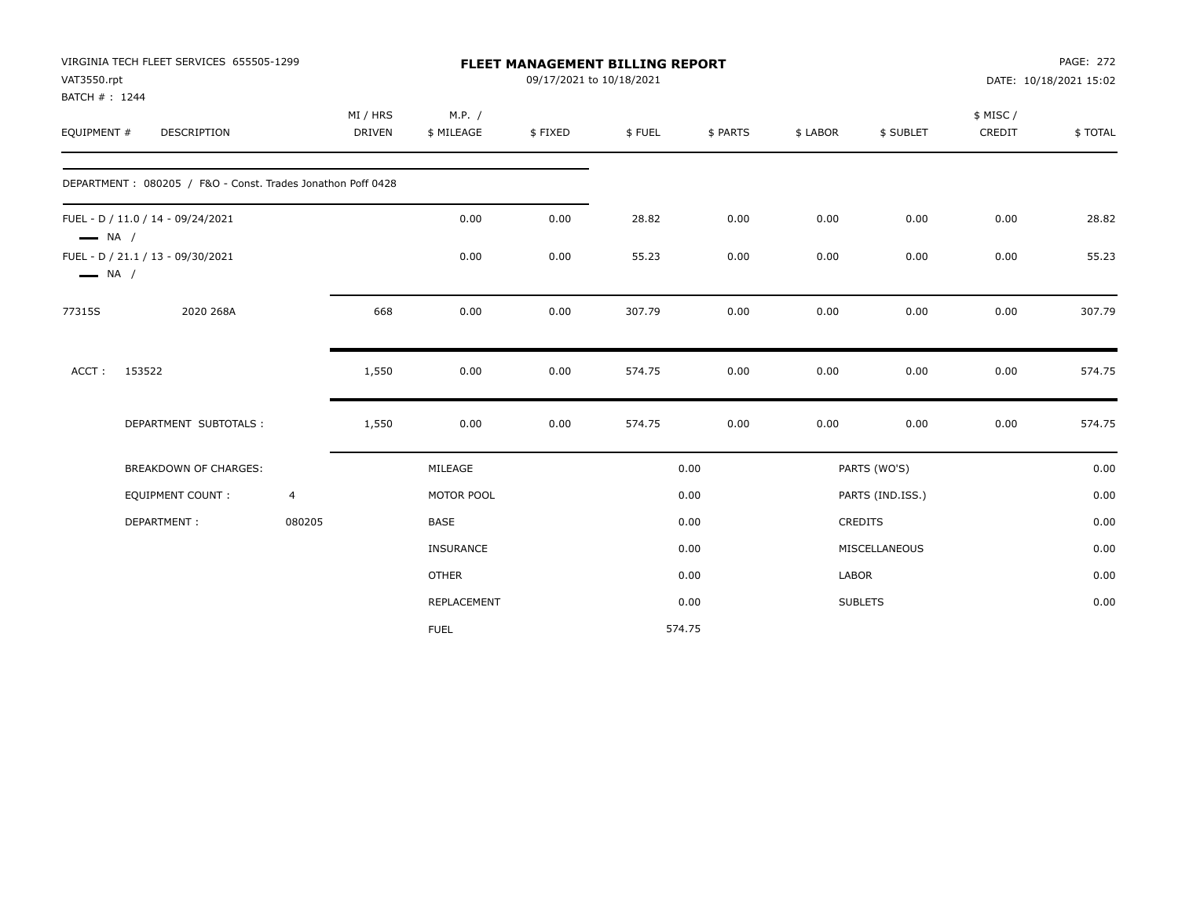|                                                  | VIRGINIA TECH FLEET SERVICES 655505-1299                    |                |               |                  | <b>FLEET MANAGEMENT BILLING REPORT</b> |        |          |                |                  |           | <b>PAGE: 272</b>       |
|--------------------------------------------------|-------------------------------------------------------------|----------------|---------------|------------------|----------------------------------------|--------|----------|----------------|------------------|-----------|------------------------|
| VAT3550.rpt                                      |                                                             |                |               |                  | 09/17/2021 to 10/18/2021               |        |          |                |                  |           | DATE: 10/18/2021 15:02 |
| BATCH #: 1244                                    |                                                             |                |               |                  |                                        |        |          |                |                  |           |                        |
|                                                  |                                                             |                | MI / HRS      | M.P. /           |                                        |        |          |                |                  | \$ MISC / |                        |
| EQUIPMENT #                                      | DESCRIPTION                                                 |                | <b>DRIVEN</b> | \$ MILEAGE       | \$FIXED                                | \$FUEL | \$ PARTS | \$ LABOR       | \$ SUBLET        | CREDIT    | \$TOTAL                |
|                                                  | DEPARTMENT: 080205 / F&O - Const. Trades Jonathon Poff 0428 |                |               |                  |                                        |        |          |                |                  |           |                        |
|                                                  | FUEL - D / 11.0 / 14 - 09/24/2021                           |                |               | 0.00             | 0.00                                   | 28.82  | 0.00     | 0.00           | 0.00             | 0.00      | 28.82                  |
| $\longrightarrow$ NA /<br>$\longrightarrow$ NA / | FUEL - D / 21.1 / 13 - 09/30/2021                           |                |               | 0.00             | 0.00                                   | 55.23  | 0.00     | 0.00           | 0.00             | 0.00      | 55.23                  |
| 77315S                                           | 2020 268A                                                   |                | 668           | 0.00             | 0.00                                   | 307.79 | 0.00     | 0.00           | 0.00             | 0.00      | 307.79                 |
| ACCT:                                            | 153522                                                      |                | 1,550         | 0.00             | 0.00                                   | 574.75 | 0.00     | 0.00           | 0.00             | 0.00      | 574.75                 |
|                                                  | DEPARTMENT SUBTOTALS :                                      |                | 1,550         | 0.00             | 0.00                                   | 574.75 | 0.00     | 0.00           | 0.00             | 0.00      | 574.75                 |
|                                                  | <b>BREAKDOWN OF CHARGES:</b>                                |                |               | MILEAGE          |                                        |        | 0.00     |                | PARTS (WO'S)     |           | 0.00                   |
|                                                  | <b>EQUIPMENT COUNT:</b>                                     | $\overline{4}$ |               | MOTOR POOL       |                                        |        | 0.00     |                | PARTS (IND.ISS.) |           | 0.00                   |
|                                                  | DEPARTMENT:                                                 | 080205         |               | <b>BASE</b>      |                                        |        | 0.00     | <b>CREDITS</b> |                  |           | 0.00                   |
|                                                  |                                                             |                |               | <b>INSURANCE</b> |                                        |        | 0.00     |                | MISCELLANEOUS    |           | 0.00                   |
|                                                  |                                                             |                |               | <b>OTHER</b>     |                                        |        | 0.00     | LABOR          |                  |           | 0.00                   |
|                                                  |                                                             |                |               | REPLACEMENT      |                                        |        | 0.00     |                | <b>SUBLETS</b>   |           | 0.00                   |
|                                                  |                                                             |                |               | <b>FUEL</b>      |                                        | 574.75 |          |                |                  |           |                        |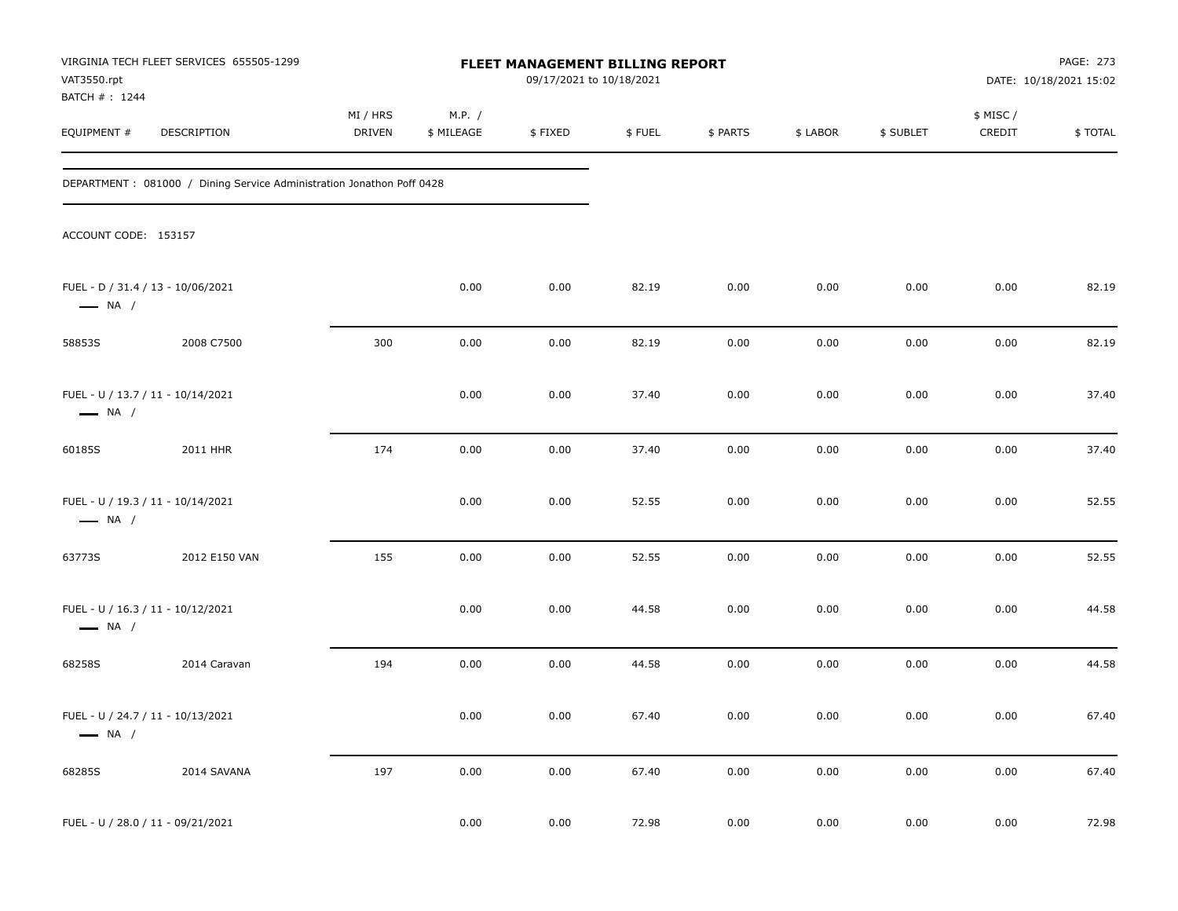| VAT3550.rpt                   | VIRGINIA TECH FLEET SERVICES 655505-1299                               |                    |                      | FLEET MANAGEMENT BILLING REPORT<br>09/17/2021 to 10/18/2021 |        |          |          |           |                     | PAGE: 273<br>DATE: 10/18/2021 15:02 |
|-------------------------------|------------------------------------------------------------------------|--------------------|----------------------|-------------------------------------------------------------|--------|----------|----------|-----------|---------------------|-------------------------------------|
| BATCH # : 1244<br>EQUIPMENT # | DESCRIPTION                                                            | MI / HRS<br>DRIVEN | M.P. /<br>\$ MILEAGE | \$FIXED                                                     | \$FUEL | \$ PARTS | \$ LABOR | \$ SUBLET | \$ MISC /<br>CREDIT | \$TOTAL                             |
|                               | DEPARTMENT : 081000 / Dining Service Administration Jonathon Poff 0428 |                    |                      |                                                             |        |          |          |           |                     |                                     |
| ACCOUNT CODE: 153157          |                                                                        |                    |                      |                                                             |        |          |          |           |                     |                                     |
| $\longrightarrow$ NA /        | FUEL - D / 31.4 / 13 - 10/06/2021                                      |                    | 0.00                 | 0.00                                                        | 82.19  | 0.00     | 0.00     | 0.00      | 0.00                | 82.19                               |
| 58853S                        | 2008 C7500                                                             | 300                | 0.00                 | 0.00                                                        | 82.19  | 0.00     | 0.00     | 0.00      | 0.00                | 82.19                               |
| $\longrightarrow$ NA /        | FUEL - U / 13.7 / 11 - 10/14/2021                                      |                    | 0.00                 | 0.00                                                        | 37.40  | 0.00     | 0.00     | 0.00      | 0.00                | 37.40                               |
| 60185S                        | 2011 HHR                                                               | 174                | 0.00                 | 0.00                                                        | 37.40  | 0.00     | 0.00     | 0.00      | 0.00                | 37.40                               |
| $\longrightarrow$ NA /        | FUEL - U / 19.3 / 11 - 10/14/2021                                      |                    | 0.00                 | 0.00                                                        | 52.55  | 0.00     | 0.00     | 0.00      | 0.00                | 52.55                               |
| 63773S                        | 2012 E150 VAN                                                          | 155                | 0.00                 | 0.00                                                        | 52.55  | 0.00     | 0.00     | 0.00      | 0.00                | 52.55                               |
| $\longrightarrow$ NA /        | FUEL - U / 16.3 / 11 - 10/12/2021                                      |                    | 0.00                 | 0.00                                                        | 44.58  | 0.00     | 0.00     | 0.00      | 0.00                | 44.58                               |
| 68258S                        | 2014 Caravan                                                           | 194                | 0.00                 | 0.00                                                        | 44.58  | 0.00     | 0.00     | 0.00      | 0.00                | 44.58                               |
| $\longrightarrow$ NA /        | FUEL - U / 24.7 / 11 - 10/13/2021                                      |                    | 0.00                 | 0.00                                                        | 67.40  | 0.00     | 0.00     | 0.00      | 0.00                | 67.40                               |
| 68285S                        | 2014 SAVANA                                                            | 197                | 0.00                 | 0.00                                                        | 67.40  | 0.00     | 0.00     | 0.00      | 0.00                | 67.40                               |
|                               | FUEL - U / 28.0 / 11 - 09/21/2021                                      |                    | 0.00                 | 0.00                                                        | 72.98  | 0.00     | 0.00     | 0.00      | 0.00                | 72.98                               |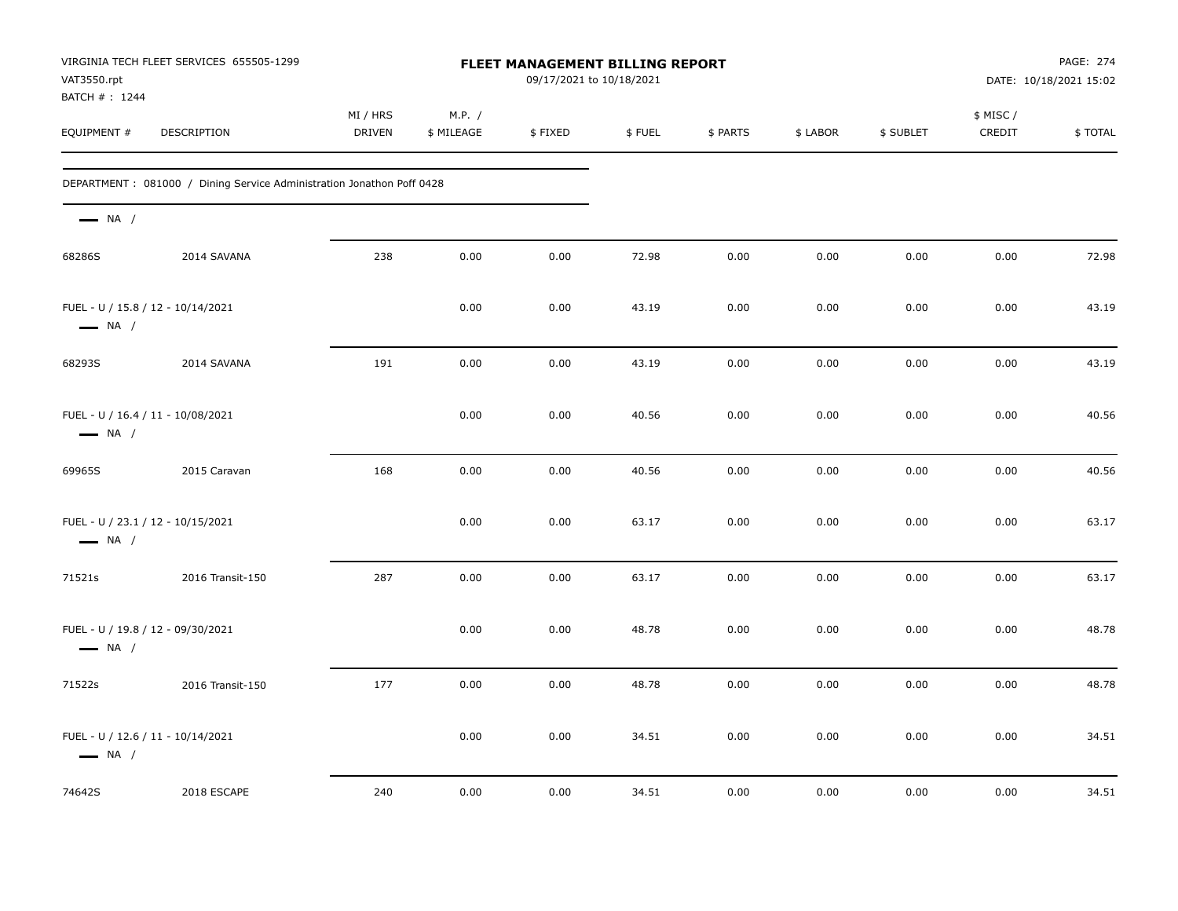| VAT3550.rpt<br>BATCH # : 1244                               | VIRGINIA TECH FLEET SERVICES 655505-1299                               |                    |                      | FLEET MANAGEMENT BILLING REPORT<br>09/17/2021 to 10/18/2021 |        |          |          |           |                    | PAGE: 274<br>DATE: 10/18/2021 15:02 |
|-------------------------------------------------------------|------------------------------------------------------------------------|--------------------|----------------------|-------------------------------------------------------------|--------|----------|----------|-----------|--------------------|-------------------------------------|
| EQUIPMENT #                                                 | DESCRIPTION                                                            | MI / HRS<br>DRIVEN | M.P. /<br>\$ MILEAGE | \$FIXED                                                     | \$FUEL | \$ PARTS | \$ LABOR | \$ SUBLET | \$ MISC/<br>CREDIT | \$TOTAL                             |
|                                                             | DEPARTMENT : 081000 / Dining Service Administration Jonathon Poff 0428 |                    |                      |                                                             |        |          |          |           |                    |                                     |
| $\longrightarrow$ NA /                                      |                                                                        |                    |                      |                                                             |        |          |          |           |                    |                                     |
| 68286S                                                      | 2014 SAVANA                                                            | 238                | 0.00                 | 0.00                                                        | 72.98  | 0.00     | 0.00     | 0.00      | 0.00               | 72.98                               |
| $\longrightarrow$ NA /                                      | FUEL - U / 15.8 / 12 - 10/14/2021                                      |                    | 0.00                 | 0.00                                                        | 43.19  | 0.00     | 0.00     | 0.00      | 0.00               | 43.19                               |
| 68293S                                                      | 2014 SAVANA                                                            | 191                | 0.00                 | 0.00                                                        | 43.19  | 0.00     | 0.00     | 0.00      | 0.00               | 43.19                               |
| $\longrightarrow$ NA /                                      | FUEL - U / 16.4 / 11 - 10/08/2021                                      |                    | 0.00                 | 0.00                                                        | 40.56  | 0.00     | 0.00     | 0.00      | 0.00               | 40.56                               |
| 69965S                                                      | 2015 Caravan                                                           | 168                | 0.00                 | 0.00                                                        | 40.56  | 0.00     | 0.00     | 0.00      | 0.00               | 40.56                               |
| $\longrightarrow$ NA /                                      | FUEL - U / 23.1 / 12 - 10/15/2021                                      |                    | 0.00                 | 0.00                                                        | 63.17  | 0.00     | 0.00     | 0.00      | 0.00               | 63.17                               |
| 71521s                                                      | 2016 Transit-150                                                       | 287                | 0.00                 | 0.00                                                        | 63.17  | 0.00     | 0.00     | 0.00      | 0.00               | 63.17                               |
| $\longrightarrow$ NA /                                      | FUEL - U / 19.8 / 12 - 09/30/2021                                      |                    | 0.00                 | 0.00                                                        | 48.78  | 0.00     | 0.00     | 0.00      | 0.00               | 48.78                               |
| 71522s                                                      | 2016 Transit-150                                                       | 177                | 0.00                 | 0.00                                                        | 48.78  | 0.00     | 0.00     | 0.00      | 0.00               | 48.78                               |
| FUEL - U / 12.6 / 11 - 10/14/2021<br>$\longrightarrow$ NA / |                                                                        |                    | 0.00                 | 0.00                                                        | 34.51  | 0.00     | 0.00     | 0.00      | 0.00               | 34.51                               |
| 74642S                                                      | 2018 ESCAPE                                                            | 240                | 0.00                 | 0.00                                                        | 34.51  | 0.00     | 0.00     | 0.00      | 0.00               | 34.51                               |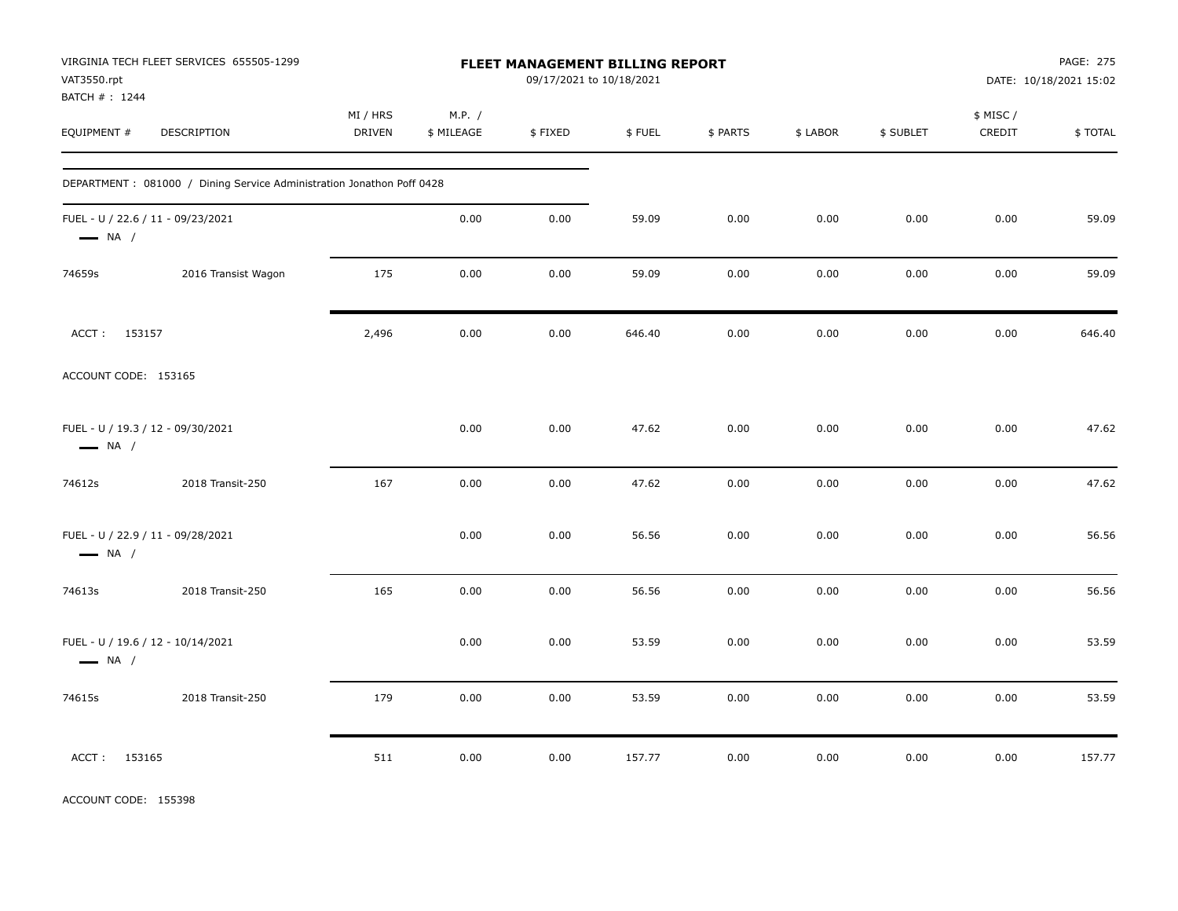| VAT3550.rpt<br>BATCH #: 1244                                | VIRGINIA TECH FLEET SERVICES 655505-1299                              |                           |                      | FLEET MANAGEMENT BILLING REPORT<br>09/17/2021 to 10/18/2021 |        |          |          |           |                    | PAGE: 275<br>DATE: 10/18/2021 15:02 |
|-------------------------------------------------------------|-----------------------------------------------------------------------|---------------------------|----------------------|-------------------------------------------------------------|--------|----------|----------|-----------|--------------------|-------------------------------------|
| EQUIPMENT #                                                 | <b>DESCRIPTION</b>                                                    | MI / HRS<br><b>DRIVEN</b> | M.P. /<br>\$ MILEAGE | \$FIXED                                                     | \$FUEL | \$ PARTS | \$ LABOR | \$ SUBLET | \$ MISC/<br>CREDIT | \$TOTAL                             |
|                                                             | DEPARTMENT: 081000 / Dining Service Administration Jonathon Poff 0428 |                           |                      |                                                             |        |          |          |           |                    |                                     |
| FUEL - U / 22.6 / 11 - 09/23/2021<br>$\longrightarrow$ NA / |                                                                       |                           | 0.00                 | 0.00                                                        | 59.09  | 0.00     | 0.00     | 0.00      | 0.00               | 59.09                               |
| 74659s                                                      | 2016 Transist Wagon                                                   | 175                       | 0.00                 | 0.00                                                        | 59.09  | 0.00     | 0.00     | 0.00      | 0.00               | 59.09                               |
| ACCT: 153157                                                |                                                                       | 2,496                     | 0.00                 | 0.00                                                        | 646.40 | 0.00     | 0.00     | 0.00      | 0.00               | 646.40                              |
| ACCOUNT CODE: 153165                                        |                                                                       |                           |                      |                                                             |        |          |          |           |                    |                                     |
| FUEL - U / 19.3 / 12 - 09/30/2021<br>$\longrightarrow$ NA / |                                                                       |                           | 0.00                 | 0.00                                                        | 47.62  | 0.00     | 0.00     | 0.00      | 0.00               | 47.62                               |
| 74612s                                                      | 2018 Transit-250                                                      | 167                       | 0.00                 | 0.00                                                        | 47.62  | 0.00     | 0.00     | 0.00      | 0.00               | 47.62                               |
| FUEL - U / 22.9 / 11 - 09/28/2021<br>$\longrightarrow$ NA / |                                                                       |                           | 0.00                 | 0.00                                                        | 56.56  | 0.00     | 0.00     | 0.00      | 0.00               | 56.56                               |
| 74613s                                                      | 2018 Transit-250                                                      | 165                       | 0.00                 | 0.00                                                        | 56.56  | 0.00     | 0.00     | 0.00      | 0.00               | 56.56                               |
| FUEL - U / 19.6 / 12 - 10/14/2021<br>$\longrightarrow$ NA / |                                                                       |                           | 0.00                 | 0.00                                                        | 53.59  | 0.00     | 0.00     | 0.00      | 0.00               | 53.59                               |
| 74615s                                                      | 2018 Transit-250                                                      | 179                       | 0.00                 | 0.00                                                        | 53.59  | 0.00     | 0.00     | 0.00      | 0.00               | 53.59                               |
| ACCT: 153165                                                |                                                                       | 511                       | 0.00                 | 0.00                                                        | 157.77 | 0.00     | 0.00     | 0.00      | 0.00               | 157.77                              |

ACCOUNT CODE: 155398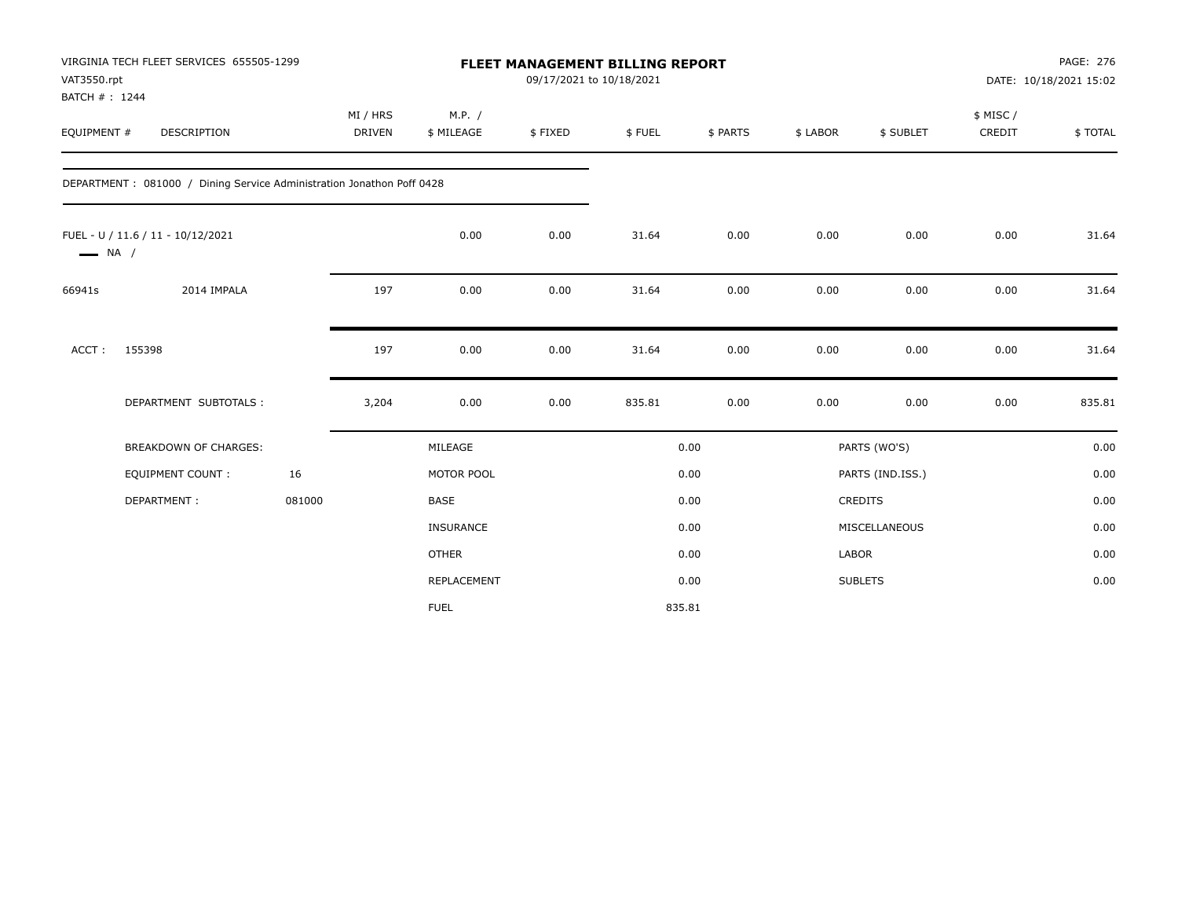| VAT3550.rpt<br>BATCH #: 1244 | VIRGINIA TECH FLEET SERVICES 655505-1299                               |        |                           |                      | 09/17/2021 to 10/18/2021 | <b>FLEET MANAGEMENT BILLING REPORT</b> |          |              |                  |                     | PAGE: 276<br>DATE: 10/18/2021 15:02 |
|------------------------------|------------------------------------------------------------------------|--------|---------------------------|----------------------|--------------------------|----------------------------------------|----------|--------------|------------------|---------------------|-------------------------------------|
| EQUIPMENT #                  | <b>DESCRIPTION</b>                                                     |        | MI / HRS<br><b>DRIVEN</b> | M.P. /<br>\$ MILEAGE | \$FIXED                  | \$FUEL                                 | \$ PARTS | \$ LABOR     | \$ SUBLET        | \$ MISC /<br>CREDIT | \$TOTAL                             |
|                              | DEPARTMENT : 081000 / Dining Service Administration Jonathon Poff 0428 |        |                           |                      |                          |                                        |          |              |                  |                     |                                     |
| $\longrightarrow$ NA /       | FUEL - U / 11.6 / 11 - 10/12/2021                                      |        |                           | 0.00                 | 0.00                     | 31.64                                  | 0.00     | 0.00         | 0.00             | 0.00                | 31.64                               |
| 66941s                       | 2014 IMPALA                                                            |        | 197                       | 0.00                 | 0.00                     | 31.64                                  | 0.00     | 0.00         | 0.00             | 0.00                | 31.64                               |
| ACCT:                        | 155398                                                                 |        | 197                       | 0.00                 | 0.00                     | 31.64                                  | 0.00     | 0.00         | 0.00             | 0.00                | 31.64                               |
|                              | DEPARTMENT SUBTOTALS :                                                 |        | 3,204                     | 0.00                 | 0.00                     | 835.81                                 | 0.00     | 0.00         | 0.00             | 0.00                | 835.81                              |
|                              | <b>BREAKDOWN OF CHARGES:</b>                                           |        |                           | MILEAGE              |                          |                                        | 0.00     |              | PARTS (WO'S)     |                     | 0.00                                |
|                              | <b>EQUIPMENT COUNT:</b>                                                | 16     |                           | MOTOR POOL           |                          |                                        | 0.00     |              | PARTS (IND.ISS.) |                     | 0.00                                |
|                              | DEPARTMENT:                                                            | 081000 |                           | <b>BASE</b>          |                          |                                        | 0.00     |              | CREDITS          |                     | 0.00                                |
|                              |                                                                        |        |                           | INSURANCE            |                          |                                        | 0.00     |              | MISCELLANEOUS    |                     | 0.00                                |
|                              |                                                                        |        |                           | <b>OTHER</b>         |                          |                                        | 0.00     | <b>LABOR</b> |                  |                     | 0.00                                |
|                              |                                                                        |        |                           | <b>REPLACEMENT</b>   |                          |                                        | 0.00     |              | <b>SUBLETS</b>   |                     | 0.00                                |
|                              |                                                                        |        |                           | <b>FUEL</b>          |                          | 835.81                                 |          |              |                  |                     |                                     |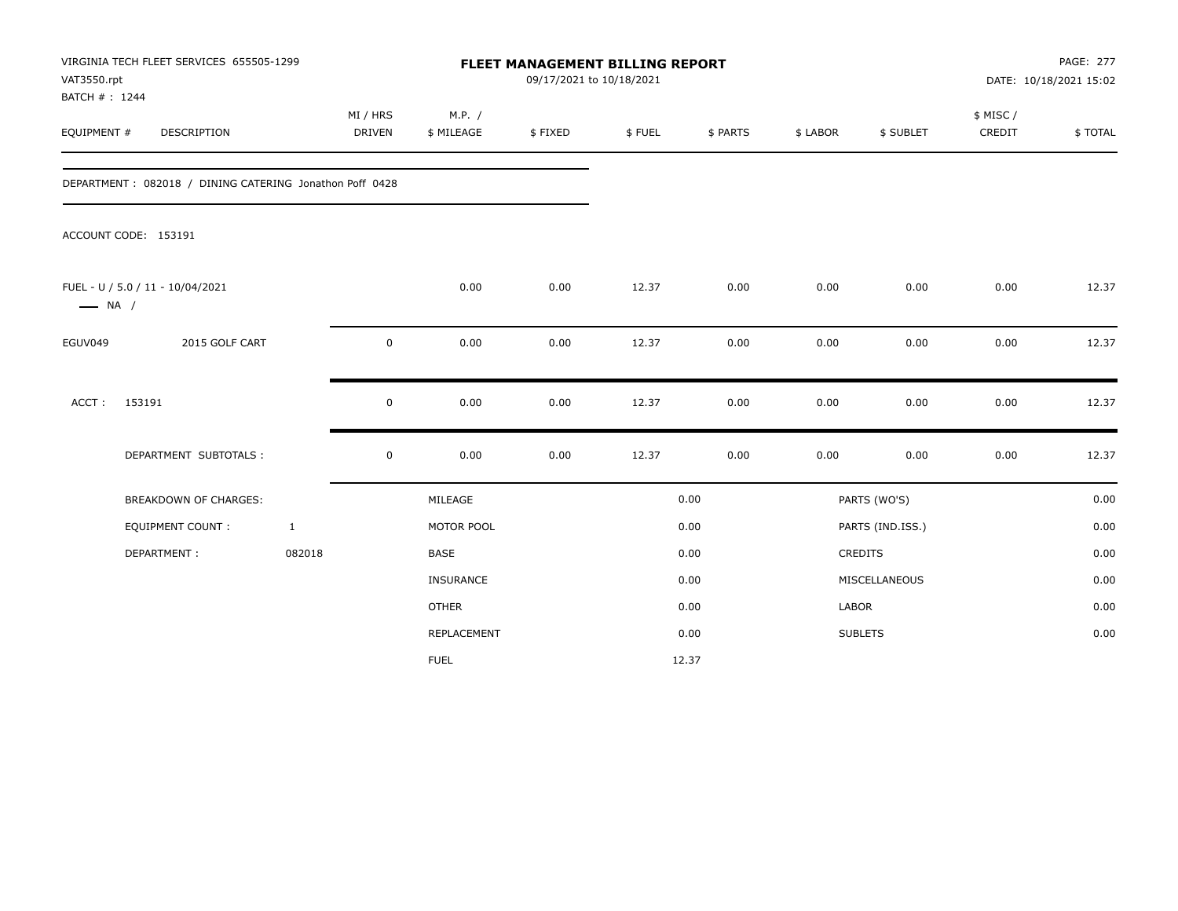| VAT3550.rpt<br>BATCH #: 1244 | VIRGINIA TECH FLEET SERVICES 655505-1299                |                    |                      | FLEET MANAGEMENT BILLING REPORT<br>09/17/2021 to 10/18/2021 |        |          |          |                  |                    | PAGE: 277<br>DATE: 10/18/2021 15:02 |
|------------------------------|---------------------------------------------------------|--------------------|----------------------|-------------------------------------------------------------|--------|----------|----------|------------------|--------------------|-------------------------------------|
| EQUIPMENT #                  | <b>DESCRIPTION</b>                                      | MI / HRS<br>DRIVEN | M.P. /<br>\$ MILEAGE | \$FIXED                                                     | \$FUEL | \$ PARTS | \$ LABOR | \$ SUBLET        | \$ MISC/<br>CREDIT | \$TOTAL                             |
|                              | DEPARTMENT: 082018 / DINING CATERING Jonathon Poff 0428 |                    |                      |                                                             |        |          |          |                  |                    |                                     |
|                              | ACCOUNT CODE: 153191                                    |                    |                      |                                                             |        |          |          |                  |                    |                                     |
| $\longrightarrow$ NA /       | FUEL - U / 5.0 / 11 - 10/04/2021                        |                    | 0.00                 | 0.00                                                        | 12.37  | 0.00     | 0.00     | 0.00             | 0.00               | 12.37                               |
| EGUV049                      | 2015 GOLF CART                                          | $\pmb{0}$          | 0.00                 | 0.00                                                        | 12.37  | 0.00     | 0.00     | 0.00             | 0.00               | 12.37                               |
| ACCT:                        | 153191                                                  | $\pmb{0}$          | 0.00                 | 0.00                                                        | 12.37  | 0.00     | 0.00     | 0.00             | 0.00               | 12.37                               |
|                              | DEPARTMENT SUBTOTALS :                                  | $\mathbf 0$        | 0.00                 | 0.00                                                        | 12.37  | 0.00     | 0.00     | 0.00             | 0.00               | 12.37                               |
|                              | BREAKDOWN OF CHARGES:                                   |                    | MILEAGE              |                                                             |        | 0.00     |          | PARTS (WO'S)     |                    | 0.00                                |
|                              | <b>EQUIPMENT COUNT:</b>                                 | $\mathbf{1}$       | MOTOR POOL           |                                                             |        | 0.00     |          | PARTS (IND.ISS.) |                    | 0.00                                |
|                              | DEPARTMENT:                                             | 082018             | <b>BASE</b>          |                                                             |        | 0.00     |          | <b>CREDITS</b>   |                    | 0.00                                |
|                              |                                                         |                    | INSURANCE            |                                                             |        | 0.00     |          | MISCELLANEOUS    |                    | 0.00                                |
|                              |                                                         |                    | <b>OTHER</b>         |                                                             |        | 0.00     | LABOR    |                  |                    | 0.00                                |
|                              |                                                         |                    | REPLACEMENT          |                                                             |        | 0.00     |          | <b>SUBLETS</b>   |                    | 0.00                                |
|                              |                                                         |                    | <b>FUEL</b>          |                                                             |        | 12.37    |          |                  |                    |                                     |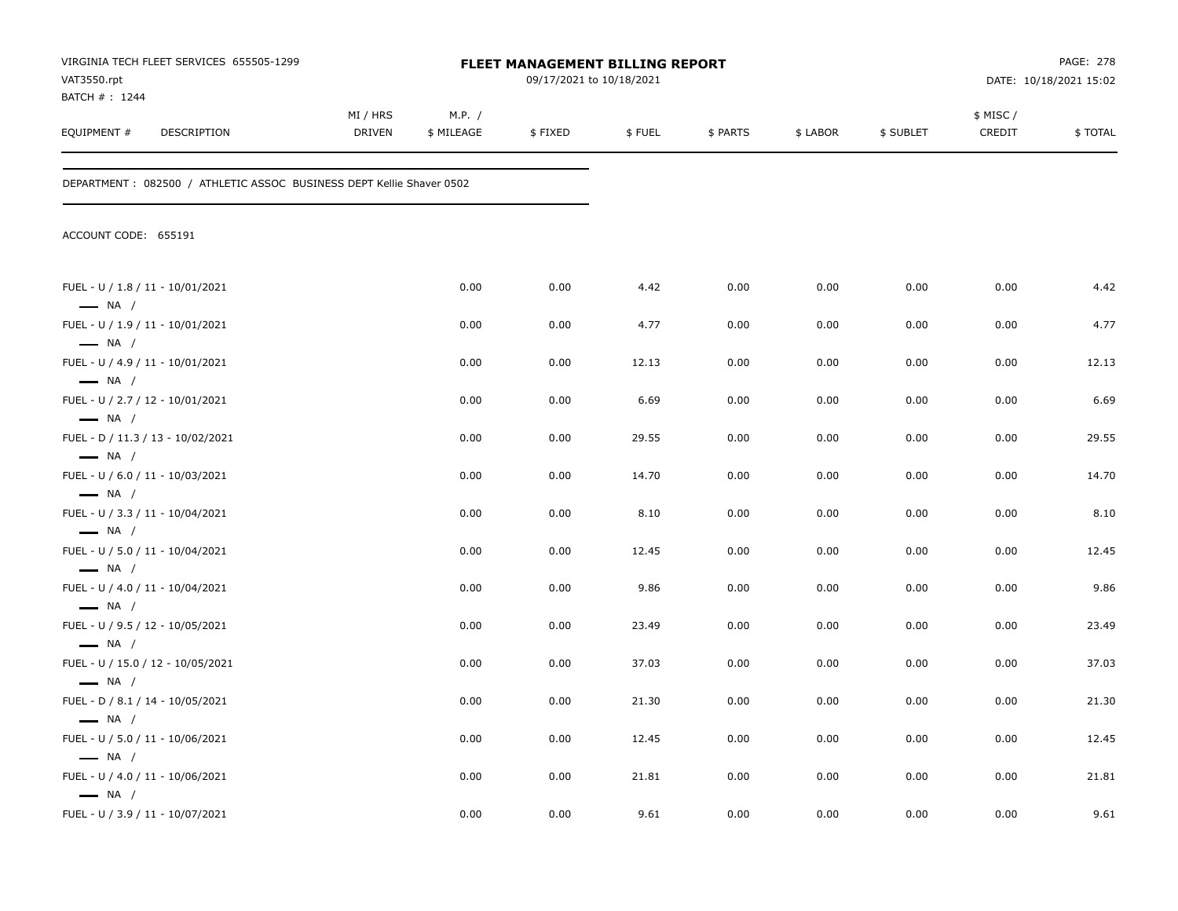| VAT3550.rpt<br>BATCH #: 1244                               | VIRGINIA TECH FLEET SERVICES 655505-1299                             |                           |                      | <b>FLEET MANAGEMENT BILLING REPORT</b><br>09/17/2021 to 10/18/2021 |        |          |          |           |                     | PAGE: 278<br>DATE: 10/18/2021 15:02 |
|------------------------------------------------------------|----------------------------------------------------------------------|---------------------------|----------------------|--------------------------------------------------------------------|--------|----------|----------|-----------|---------------------|-------------------------------------|
| EQUIPMENT #                                                | <b>DESCRIPTION</b>                                                   | MI / HRS<br><b>DRIVEN</b> | M.P. /<br>\$ MILEAGE | \$FIXED                                                            | \$FUEL | \$ PARTS | \$ LABOR | \$ SUBLET | \$ MISC /<br>CREDIT | \$TOTAL                             |
|                                                            | DEPARTMENT: 082500 / ATHLETIC ASSOC BUSINESS DEPT Kellie Shaver 0502 |                           |                      |                                                                    |        |          |          |           |                     |                                     |
| ACCOUNT CODE: 655191                                       |                                                                      |                           |                      |                                                                    |        |          |          |           |                     |                                     |
| FUEL - U / 1.8 / 11 - 10/01/2021<br>$\longrightarrow$ NA / |                                                                      |                           | 0.00                 | 0.00                                                               | 4.42   | 0.00     | 0.00     | 0.00      | 0.00                | 4.42                                |
| FUEL - U / 1.9 / 11 - 10/01/2021                           |                                                                      |                           | 0.00                 | 0.00                                                               | 4.77   | 0.00     | 0.00     | 0.00      | 0.00                | 4.77                                |
| $\longrightarrow$ NA /<br>FUEL - U / 4.9 / 11 - 10/01/2021 |                                                                      |                           | 0.00                 | 0.00                                                               | 12.13  | 0.00     | 0.00     | 0.00      | 0.00                | 12.13                               |
| $\longrightarrow$ NA /<br>FUEL - U / 2.7 / 12 - 10/01/2021 |                                                                      |                           | 0.00                 | 0.00                                                               | 6.69   | 0.00     | 0.00     | 0.00      | 0.00                | 6.69                                |
| $\longrightarrow$ NA /                                     | FUEL - D / 11.3 / 13 - 10/02/2021                                    |                           | 0.00                 | 0.00                                                               | 29.55  | 0.00     | 0.00     | 0.00      | 0.00                | 29.55                               |
| $\longrightarrow$ NA /<br>FUEL - U / 6.0 / 11 - 10/03/2021 |                                                                      |                           | 0.00                 | 0.00                                                               | 14.70  | 0.00     | 0.00     | 0.00      | 0.00                | 14.70                               |
| $\longrightarrow$ NA /<br>FUEL - U / 3.3 / 11 - 10/04/2021 |                                                                      |                           | 0.00                 | 0.00                                                               | 8.10   | 0.00     | 0.00     | 0.00      | 0.00                | 8.10                                |
| $\longrightarrow$ NA /<br>FUEL - U / 5.0 / 11 - 10/04/2021 |                                                                      |                           | 0.00                 | 0.00                                                               | 12.45  | 0.00     | 0.00     | 0.00      | 0.00                | 12.45                               |
| $\longrightarrow$ NA /<br>FUEL - U / 4.0 / 11 - 10/04/2021 |                                                                      |                           | 0.00                 | 0.00                                                               | 9.86   | 0.00     | 0.00     | 0.00      | 0.00                | 9.86                                |
| $\longrightarrow$ NA /<br>FUEL - U / 9.5 / 12 - 10/05/2021 |                                                                      |                           | 0.00                 | 0.00                                                               | 23.49  | 0.00     | 0.00     | 0.00      | 0.00                | 23.49                               |
| $\longrightarrow$ NA /                                     | FUEL - U / 15.0 / 12 - 10/05/2021                                    |                           | 0.00                 | 0.00                                                               | 37.03  | 0.00     | 0.00     | 0.00      | 0.00                | 37.03                               |
| $\longrightarrow$ NA /<br>FUEL - D / 8.1 / 14 - 10/05/2021 |                                                                      |                           | 0.00                 | 0.00                                                               | 21.30  | 0.00     | 0.00     | 0.00      | 0.00                | 21.30                               |
| $\longrightarrow$ NA /<br>FUEL - U / 5.0 / 11 - 10/06/2021 |                                                                      |                           | 0.00                 | 0.00                                                               | 12.45  | 0.00     | 0.00     | 0.00      | 0.00                | 12.45                               |
| $\longrightarrow$ NA /                                     |                                                                      |                           |                      |                                                                    |        |          |          |           |                     |                                     |
| FUEL - U / 4.0 / 11 - 10/06/2021<br>$\longrightarrow$ NA / |                                                                      |                           | 0.00                 | 0.00                                                               | 21.81  | 0.00     | 0.00     | 0.00      | 0.00                | 21.81                               |
| FUEL - U / 3.9 / 11 - 10/07/2021                           |                                                                      |                           | 0.00                 | 0.00                                                               | 9.61   | 0.00     | 0.00     | 0.00      | 0.00                | 9.61                                |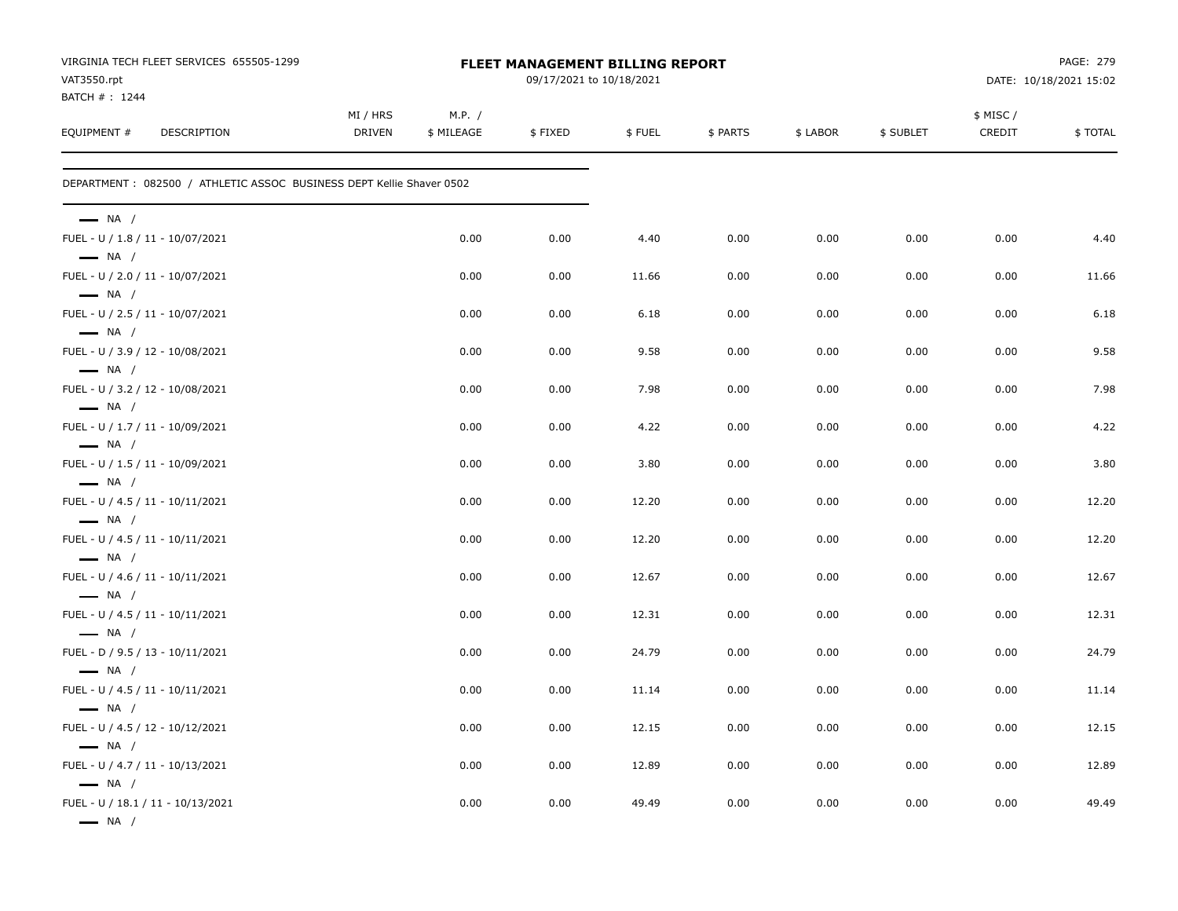| VAT3550.rpt                                                | VIRGINIA TECH FLEET SERVICES 655505-1299                             |                           |                      | <b>FLEET MANAGEMENT BILLING REPORT</b><br>09/17/2021 to 10/18/2021 |        |          |          |           |                    | PAGE: 279<br>DATE: 10/18/2021 15:02 |
|------------------------------------------------------------|----------------------------------------------------------------------|---------------------------|----------------------|--------------------------------------------------------------------|--------|----------|----------|-----------|--------------------|-------------------------------------|
| BATCH #: 1244<br>EQUIPMENT #                               | DESCRIPTION                                                          | MI / HRS<br><b>DRIVEN</b> | M.P. /<br>\$ MILEAGE | \$FIXED                                                            | \$FUEL | \$ PARTS | \$ LABOR | \$ SUBLET | \$ MISC/<br>CREDIT | \$TOTAL                             |
|                                                            | DEPARTMENT: 082500 / ATHLETIC ASSOC BUSINESS DEPT Kellie Shaver 0502 |                           |                      |                                                                    |        |          |          |           |                    |                                     |
| $\longrightarrow$ NA /<br>FUEL - U / 1.8 / 11 - 10/07/2021 |                                                                      |                           | 0.00                 | 0.00                                                               | 4.40   | 0.00     | 0.00     | 0.00      | 0.00               | 4.40                                |
| $\longrightarrow$ NA /                                     |                                                                      |                           |                      |                                                                    |        |          |          |           |                    |                                     |
| FUEL - U / 2.0 / 11 - 10/07/2021<br>$\longrightarrow$ NA / |                                                                      |                           | 0.00                 | 0.00                                                               | 11.66  | 0.00     | 0.00     | 0.00      | 0.00               | 11.66                               |
| FUEL - U / 2.5 / 11 - 10/07/2021<br>$\longrightarrow$ NA / |                                                                      |                           | 0.00                 | 0.00                                                               | 6.18   | 0.00     | 0.00     | 0.00      | 0.00               | 6.18                                |
| FUEL - U / 3.9 / 12 - 10/08/2021<br>$\longrightarrow$ NA / |                                                                      |                           | 0.00                 | 0.00                                                               | 9.58   | 0.00     | 0.00     | 0.00      | 0.00               | 9.58                                |
| FUEL - U / 3.2 / 12 - 10/08/2021<br>$\longrightarrow$ NA / |                                                                      |                           | 0.00                 | 0.00                                                               | 7.98   | 0.00     | 0.00     | 0.00      | 0.00               | 7.98                                |
| FUEL - U / 1.7 / 11 - 10/09/2021<br>$\longrightarrow$ NA / |                                                                      |                           | 0.00                 | 0.00                                                               | 4.22   | 0.00     | 0.00     | 0.00      | 0.00               | 4.22                                |
| FUEL - U / 1.5 / 11 - 10/09/2021                           |                                                                      |                           | 0.00                 | 0.00                                                               | 3.80   | 0.00     | 0.00     | 0.00      | 0.00               | 3.80                                |
| $\longrightarrow$ NA /<br>FUEL - U / 4.5 / 11 - 10/11/2021 |                                                                      |                           | 0.00                 | 0.00                                                               | 12.20  | 0.00     | 0.00     | 0.00      | 0.00               | 12.20                               |
| $\longrightarrow$ NA /<br>FUEL - U / 4.5 / 11 - 10/11/2021 |                                                                      |                           | 0.00                 | 0.00                                                               | 12.20  | 0.00     | 0.00     | 0.00      | 0.00               | 12.20                               |
| $\longrightarrow$ NA /<br>FUEL - U / 4.6 / 11 - 10/11/2021 |                                                                      |                           | 0.00                 | 0.00                                                               | 12.67  | 0.00     | 0.00     | 0.00      | 0.00               | 12.67                               |
| $\longrightarrow$ NA /<br>FUEL - U / 4.5 / 11 - 10/11/2021 |                                                                      |                           | 0.00                 | 0.00                                                               | 12.31  | 0.00     | 0.00     | 0.00      | 0.00               | 12.31                               |
| $\longrightarrow$ NA /<br>FUEL - D / 9.5 / 13 - 10/11/2021 |                                                                      |                           | 0.00                 | 0.00                                                               | 24.79  | 0.00     | 0.00     | 0.00      | 0.00               | 24.79                               |
| $\longrightarrow$ NA /<br>FUEL - U / 4.5 / 11 - 10/11/2021 |                                                                      |                           | 0.00                 | 0.00                                                               | 11.14  | 0.00     | 0.00     | 0.00      | 0.00               | 11.14                               |
| $\longrightarrow$ NA /<br>FUEL - U / 4.5 / 12 - 10/12/2021 |                                                                      |                           | 0.00                 | 0.00                                                               | 12.15  | 0.00     | 0.00     | 0.00      | 0.00               | 12.15                               |
| $\longrightarrow$ NA /<br>FUEL - U / 4.7 / 11 - 10/13/2021 |                                                                      |                           | 0.00                 | 0.00                                                               | 12.89  | 0.00     | 0.00     | 0.00      | 0.00               | 12.89                               |
| $\longrightarrow$ NA /<br>— NA /                           | FUEL - U / 18.1 / 11 - 10/13/2021                                    |                           | 0.00                 | 0.00                                                               | 49.49  | 0.00     | 0.00     | 0.00      | 0.00               | 49.49                               |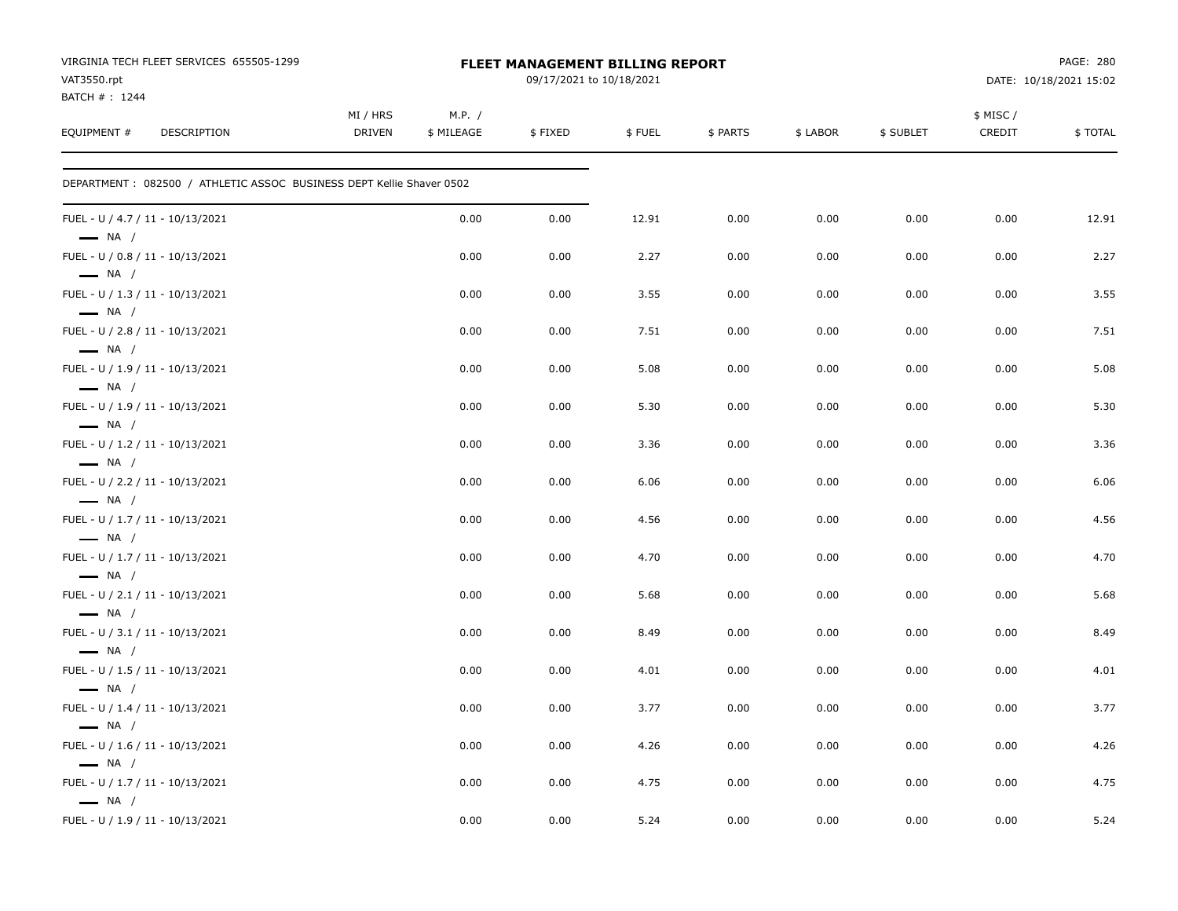| VIRGINIA TECH FLEET SERVICES 655505-1299<br>VAT3550.rpt<br>BATCH #: 1244 |                           |                      | FLEET MANAGEMENT BILLING REPORT<br>09/17/2021 to 10/18/2021 |        |          |          |           |                    | PAGE: 280<br>DATE: 10/18/2021 15:02 |
|--------------------------------------------------------------------------|---------------------------|----------------------|-------------------------------------------------------------|--------|----------|----------|-----------|--------------------|-------------------------------------|
| EQUIPMENT #<br><b>DESCRIPTION</b>                                        | MI / HRS<br><b>DRIVEN</b> | M.P. /<br>\$ MILEAGE | \$FIXED                                                     | \$FUEL | \$ PARTS | \$ LABOR | \$ SUBLET | \$ MISC/<br>CREDIT | \$TOTAL                             |
| DEPARTMENT: 082500 / ATHLETIC ASSOC BUSINESS DEPT Kellie Shaver 0502     |                           |                      |                                                             |        |          |          |           |                    |                                     |
| FUEL - U / 4.7 / 11 - 10/13/2021<br>$\longrightarrow$ NA /               |                           | 0.00                 | 0.00                                                        | 12.91  | 0.00     | 0.00     | 0.00      | 0.00               | 12.91                               |
| FUEL - U / 0.8 / 11 - 10/13/2021<br>$\longrightarrow$ NA /               |                           | 0.00                 | 0.00                                                        | 2.27   | 0.00     | 0.00     | 0.00      | 0.00               | 2.27                                |
| FUEL - U / 1.3 / 11 - 10/13/2021<br>$\longrightarrow$ NA /               |                           | 0.00                 | 0.00                                                        | 3.55   | 0.00     | 0.00     | 0.00      | 0.00               | 3.55                                |
| FUEL - U / 2.8 / 11 - 10/13/2021<br>$\longrightarrow$ NA /               |                           | 0.00                 | 0.00                                                        | 7.51   | 0.00     | 0.00     | 0.00      | 0.00               | 7.51                                |
| FUEL - U / 1.9 / 11 - 10/13/2021<br>$\longrightarrow$ NA /               |                           | 0.00                 | 0.00                                                        | 5.08   | 0.00     | 0.00     | 0.00      | 0.00               | 5.08                                |
| FUEL - U / 1.9 / 11 - 10/13/2021<br>$\longrightarrow$ NA /               |                           | 0.00                 | 0.00                                                        | 5.30   | 0.00     | 0.00     | 0.00      | 0.00               | 5.30                                |
| FUEL - U / 1.2 / 11 - 10/13/2021<br>$\longrightarrow$ NA /               |                           | 0.00                 | 0.00                                                        | 3.36   | 0.00     | 0.00     | 0.00      | 0.00               | 3.36                                |
| FUEL - U / 2.2 / 11 - 10/13/2021<br>$\longrightarrow$ NA /               |                           | 0.00                 | 0.00                                                        | 6.06   | 0.00     | 0.00     | 0.00      | 0.00               | 6.06                                |
| FUEL - U / 1.7 / 11 - 10/13/2021<br>$\longrightarrow$ NA /               |                           | 0.00                 | 0.00                                                        | 4.56   | 0.00     | 0.00     | 0.00      | 0.00               | 4.56                                |
| FUEL - U / 1.7 / 11 - 10/13/2021<br>$\longrightarrow$ NA /               |                           | 0.00                 | 0.00                                                        | 4.70   | 0.00     | 0.00     | 0.00      | 0.00               | 4.70                                |
| FUEL - U / 2.1 / 11 - 10/13/2021<br>$\longrightarrow$ NA /               |                           | 0.00                 | 0.00                                                        | 5.68   | 0.00     | 0.00     | 0.00      | 0.00               | 5.68                                |
| FUEL - U / 3.1 / 11 - 10/13/2021<br>$\longrightarrow$ NA /               |                           | 0.00                 | 0.00                                                        | 8.49   | 0.00     | 0.00     | 0.00      | 0.00               | 8.49                                |
| FUEL - U / 1.5 / 11 - 10/13/2021<br>$\longrightarrow$ NA /               |                           | 0.00                 | 0.00                                                        | 4.01   | 0.00     | 0.00     | 0.00      | 0.00               | 4.01                                |
| FUEL - U / 1.4 / 11 - 10/13/2021<br>$\longrightarrow$ NA /               |                           | 0.00                 | 0.00                                                        | 3.77   | 0.00     | 0.00     | 0.00      | 0.00               | 3.77                                |
| FUEL - U / 1.6 / 11 - 10/13/2021<br>$\longrightarrow$ NA /               |                           | 0.00                 | 0.00                                                        | 4.26   | 0.00     | 0.00     | 0.00      | 0.00               | 4.26                                |
| FUEL - U / 1.7 / 11 - 10/13/2021<br>$\longrightarrow$ NA /               |                           | 0.00                 | 0.00                                                        | 4.75   | 0.00     | 0.00     | 0.00      | 0.00               | 4.75                                |
| FUEL - U / 1.9 / 11 - 10/13/2021                                         |                           | 0.00                 | 0.00                                                        | 5.24   | 0.00     | 0.00     | 0.00      | 0.00               | 5.24                                |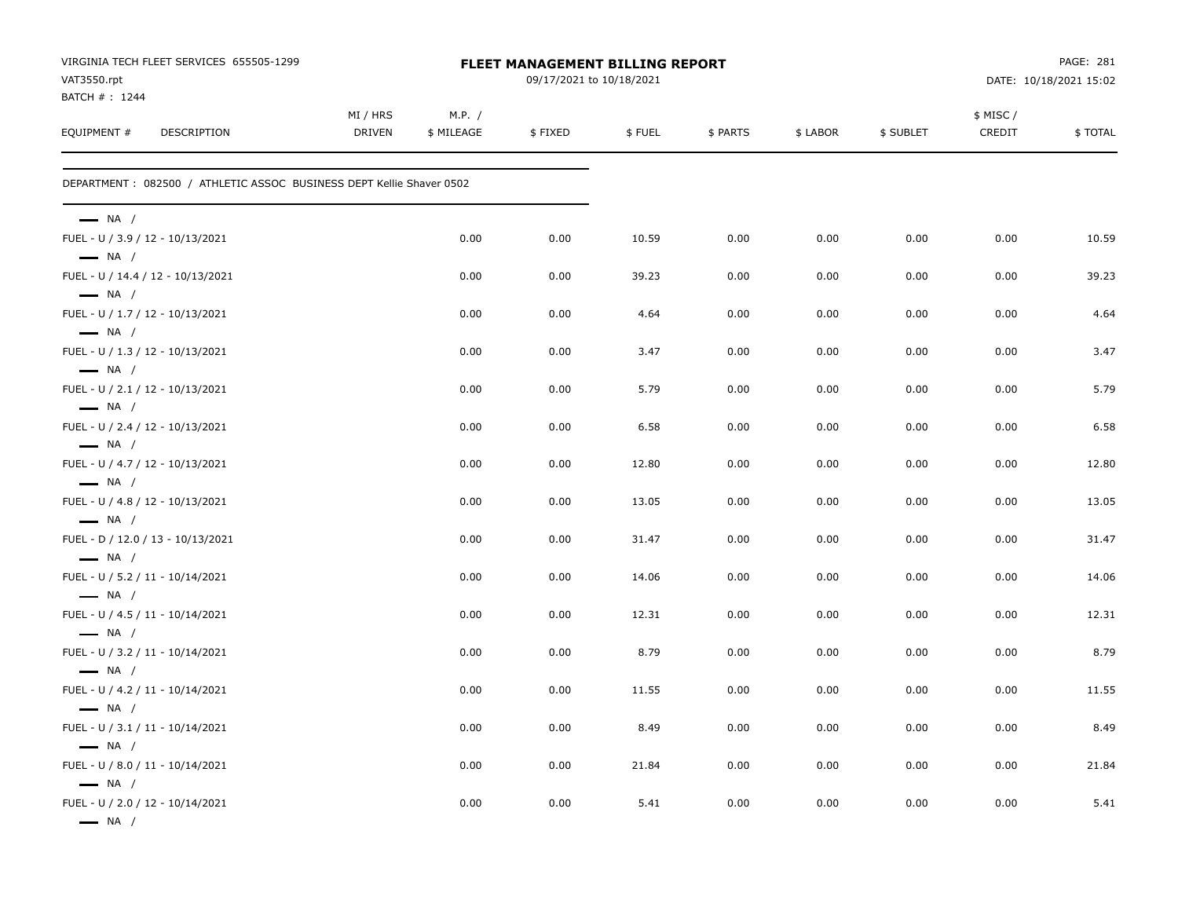| VIRGINIA TECH FLEET SERVICES 655505-1299<br>VAT3550.rpt<br>BATCH #: 1244             |                                                                       |                           | <b>FLEET MANAGEMENT BILLING REPORT</b><br>09/17/2021 to 10/18/2021 |         |        |          |          |           |                    | PAGE: 281<br>DATE: 10/18/2021 15:02 |  |  |
|--------------------------------------------------------------------------------------|-----------------------------------------------------------------------|---------------------------|--------------------------------------------------------------------|---------|--------|----------|----------|-----------|--------------------|-------------------------------------|--|--|
| EQUIPMENT #                                                                          | DESCRIPTION                                                           | MI / HRS<br><b>DRIVEN</b> | M.P. /<br>\$ MILEAGE                                               | \$FIXED | \$FUEL | \$ PARTS | \$ LABOR | \$ SUBLET | \$ MISC/<br>CREDIT | \$TOTAL                             |  |  |
|                                                                                      | DEPARTMENT : 082500 / ATHLETIC ASSOC BUSINESS DEPT Kellie Shaver 0502 |                           |                                                                    |         |        |          |          |           |                    |                                     |  |  |
| $\longrightarrow$ NA /                                                               |                                                                       |                           |                                                                    |         |        |          |          |           |                    |                                     |  |  |
| FUEL - U / 3.9 / 12 - 10/13/2021<br>$\longrightarrow$ NA /                           |                                                                       |                           | 0.00                                                               | 0.00    | 10.59  | 0.00     | 0.00     | 0.00      | 0.00               | 10.59                               |  |  |
| $\longrightarrow$ NA /                                                               | FUEL - U / 14.4 / 12 - 10/13/2021                                     |                           | 0.00                                                               | 0.00    | 39.23  | 0.00     | 0.00     | 0.00      | 0.00               | 39.23                               |  |  |
| FUEL - U / 1.7 / 12 - 10/13/2021<br>$\longrightarrow$ NA /                           |                                                                       |                           | 0.00                                                               | 0.00    | 4.64   | 0.00     | 0.00     | 0.00      | 0.00               | 4.64                                |  |  |
| FUEL - U / 1.3 / 12 - 10/13/2021<br>$\longrightarrow$ NA /                           |                                                                       |                           | 0.00                                                               | 0.00    | 3.47   | 0.00     | 0.00     | 0.00      | 0.00               | 3.47                                |  |  |
| FUEL - U / 2.1 / 12 - 10/13/2021<br>$\longrightarrow$ NA /                           |                                                                       |                           | 0.00                                                               | 0.00    | 5.79   | 0.00     | 0.00     | 0.00      | 0.00               | 5.79                                |  |  |
| FUEL - U / 2.4 / 12 - 10/13/2021<br>$\longrightarrow$ NA /                           |                                                                       |                           | 0.00                                                               | 0.00    | 6.58   | 0.00     | 0.00     | 0.00      | 0.00               | 6.58                                |  |  |
| FUEL - U / 4.7 / 12 - 10/13/2021<br>$\longrightarrow$ NA /                           |                                                                       |                           | 0.00                                                               | 0.00    | 12.80  | 0.00     | 0.00     | 0.00      | 0.00               | 12.80                               |  |  |
| FUEL - U / 4.8 / 12 - 10/13/2021<br>$\longrightarrow$ NA /                           |                                                                       |                           | 0.00                                                               | 0.00    | 13.05  | 0.00     | 0.00     | 0.00      | 0.00               | 13.05                               |  |  |
| $\longrightarrow$ NA /                                                               | FUEL - D / 12.0 / 13 - 10/13/2021                                     |                           | 0.00                                                               | 0.00    | 31.47  | 0.00     | 0.00     | 0.00      | 0.00               | 31.47                               |  |  |
| FUEL - U / 5.2 / 11 - 10/14/2021<br>$\longrightarrow$ NA /                           |                                                                       |                           | 0.00                                                               | 0.00    | 14.06  | 0.00     | 0.00     | 0.00      | 0.00               | 14.06                               |  |  |
| FUEL - U / 4.5 / 11 - 10/14/2021<br>$\longrightarrow$ NA /                           |                                                                       |                           | 0.00                                                               | 0.00    | 12.31  | 0.00     | 0.00     | 0.00      | 0.00               | 12.31                               |  |  |
| FUEL - U / 3.2 / 11 - 10/14/2021<br>$\longrightarrow$ NA /                           |                                                                       |                           | 0.00                                                               | 0.00    | 8.79   | 0.00     | 0.00     | 0.00      | 0.00               | 8.79                                |  |  |
| FUEL - U / 4.2 / 11 - 10/14/2021                                                     |                                                                       |                           | 0.00                                                               | 0.00    | 11.55  | 0.00     | 0.00     | 0.00      | 0.00               | 11.55                               |  |  |
| $\longrightarrow$ NA /<br>FUEL - U / 3.1 / 11 - 10/14/2021                           |                                                                       |                           | 0.00                                                               | 0.00    | 8.49   | 0.00     | 0.00     | 0.00      | 0.00               | 8.49                                |  |  |
| $\longrightarrow$ NA /<br>FUEL - U / 8.0 / 11 - 10/14/2021                           |                                                                       |                           | 0.00                                                               | 0.00    | 21.84  | 0.00     | 0.00     | 0.00      | 0.00               | 21.84                               |  |  |
| $\longrightarrow$ NA /<br>FUEL - U / 2.0 / 12 - 10/14/2021<br>$\longrightarrow$ NA / |                                                                       |                           | 0.00                                                               | 0.00    | 5.41   | 0.00     | 0.00     | 0.00      | 0.00               | 5.41                                |  |  |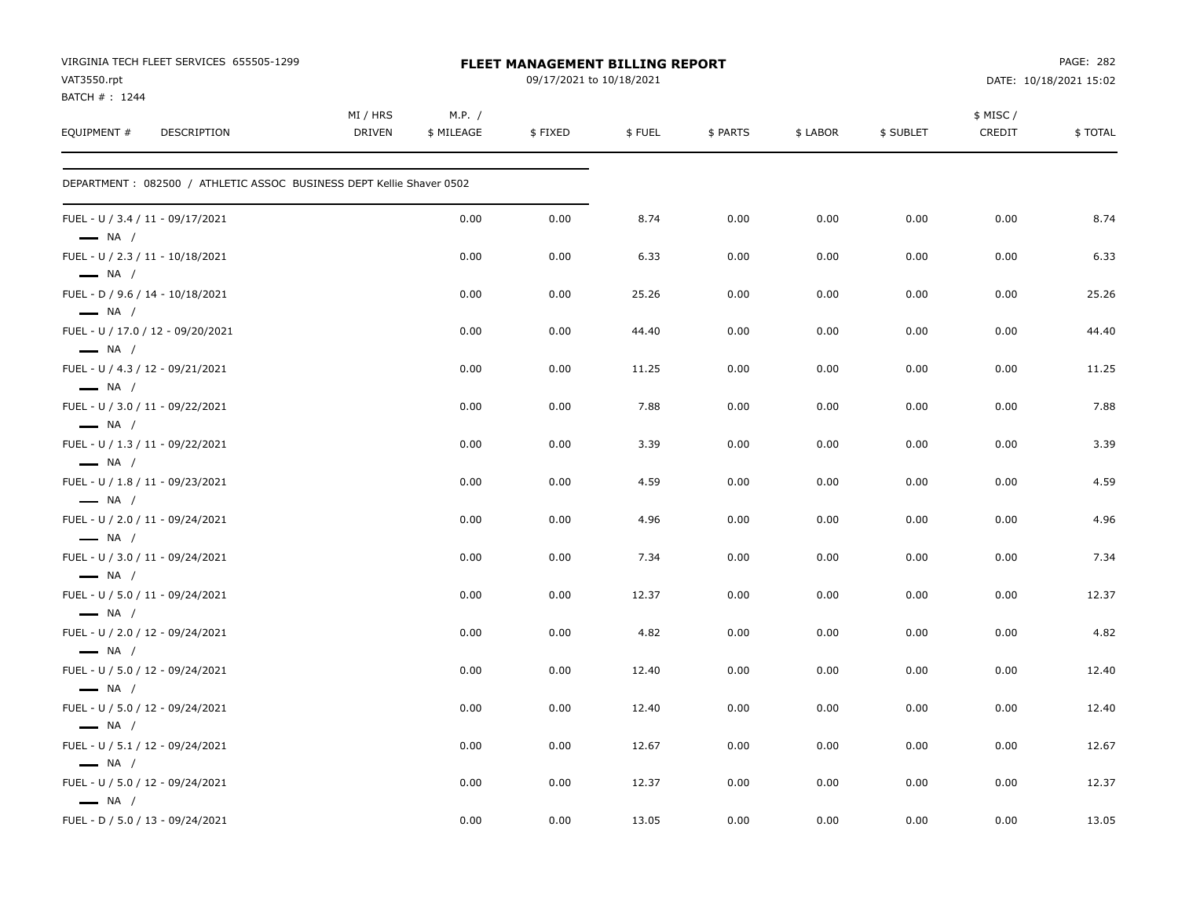| VIRGINIA TECH FLEET SERVICES 655505-1299<br>VAT3550.rpt<br>BATCH #: 1244<br><b>DESCRIPTION</b> |                           |                      | <b>FLEET MANAGEMENT BILLING REPORT</b><br>09/17/2021 to 10/18/2021 |        |          |          |           |                    | <b>PAGE: 282</b><br>DATE: 10/18/2021 15:02 |  |  |
|------------------------------------------------------------------------------------------------|---------------------------|----------------------|--------------------------------------------------------------------|--------|----------|----------|-----------|--------------------|--------------------------------------------|--|--|
| EQUIPMENT #                                                                                    | MI / HRS<br><b>DRIVEN</b> | M.P. /<br>\$ MILEAGE | \$FIXED                                                            | \$FUEL | \$ PARTS | \$ LABOR | \$ SUBLET | \$ MISC/<br>CREDIT | \$TOTAL                                    |  |  |
| DEPARTMENT : 082500 / ATHLETIC ASSOC BUSINESS DEPT Kellie Shaver 0502                          |                           |                      |                                                                    |        |          |          |           |                    |                                            |  |  |
| FUEL - U / 3.4 / 11 - 09/17/2021<br>$\longrightarrow$ NA /                                     |                           | 0.00                 | 0.00                                                               | 8.74   | 0.00     | 0.00     | 0.00      | 0.00               | 8.74                                       |  |  |
| FUEL - U / 2.3 / 11 - 10/18/2021<br>$\longrightarrow$ NA /                                     |                           | 0.00                 | 0.00                                                               | 6.33   | 0.00     | 0.00     | 0.00      | 0.00               | 6.33                                       |  |  |
| FUEL - D / 9.6 / 14 - 10/18/2021<br>$\longrightarrow$ NA /                                     |                           | 0.00                 | 0.00                                                               | 25.26  | 0.00     | 0.00     | 0.00      | 0.00               | 25.26                                      |  |  |
| FUEL - U / 17.0 / 12 - 09/20/2021<br>$\longrightarrow$ NA /                                    |                           | 0.00                 | 0.00                                                               | 44.40  | 0.00     | 0.00     | 0.00      | 0.00               | 44.40                                      |  |  |
| FUEL - U / 4.3 / 12 - 09/21/2021<br>$\longrightarrow$ NA /                                     |                           | 0.00                 | 0.00                                                               | 11.25  | 0.00     | 0.00     | 0.00      | 0.00               | 11.25                                      |  |  |
| FUEL - U / 3.0 / 11 - 09/22/2021<br>$\longrightarrow$ NA /                                     |                           | 0.00                 | 0.00                                                               | 7.88   | 0.00     | 0.00     | 0.00      | 0.00               | 7.88                                       |  |  |
| FUEL - U / 1.3 / 11 - 09/22/2021<br>$\longrightarrow$ NA /                                     |                           | 0.00                 | 0.00                                                               | 3.39   | 0.00     | 0.00     | 0.00      | 0.00               | 3.39                                       |  |  |
| FUEL - U / 1.8 / 11 - 09/23/2021<br>$\longrightarrow$ NA /                                     |                           | 0.00                 | 0.00                                                               | 4.59   | 0.00     | 0.00     | 0.00      | 0.00               | 4.59                                       |  |  |
| FUEL - U / 2.0 / 11 - 09/24/2021<br>$\longrightarrow$ NA /                                     |                           | 0.00                 | 0.00                                                               | 4.96   | 0.00     | 0.00     | 0.00      | 0.00               | 4.96                                       |  |  |
| FUEL - U / 3.0 / 11 - 09/24/2021<br>$\longrightarrow$ NA /                                     |                           | 0.00                 | 0.00                                                               | 7.34   | 0.00     | 0.00     | 0.00      | 0.00               | 7.34                                       |  |  |
| FUEL - U / 5.0 / 11 - 09/24/2021<br>$\longrightarrow$ NA /                                     |                           | 0.00                 | 0.00                                                               | 12.37  | 0.00     | 0.00     | 0.00      | 0.00               | 12.37                                      |  |  |
| FUEL - U / 2.0 / 12 - 09/24/2021<br>$\longrightarrow$ NA /                                     |                           | 0.00                 | 0.00                                                               | 4.82   | 0.00     | 0.00     | 0.00      | 0.00               | 4.82                                       |  |  |
| FUEL - U / 5.0 / 12 - 09/24/2021<br>$\longrightarrow$ NA /                                     |                           | 0.00                 | 0.00                                                               | 12.40  | 0.00     | 0.00     | 0.00      | 0.00               | 12.40                                      |  |  |
| FUEL - U / 5.0 / 12 - 09/24/2021<br>$\longrightarrow$ NA /                                     |                           | 0.00                 | 0.00                                                               | 12.40  | 0.00     | 0.00     | 0.00      | 0.00               | 12.40                                      |  |  |
| FUEL - U / 5.1 / 12 - 09/24/2021<br>$\longrightarrow$ NA /                                     |                           | 0.00                 | 0.00                                                               | 12.67  | 0.00     | 0.00     | 0.00      | 0.00               | 12.67                                      |  |  |
| FUEL - U / 5.0 / 12 - 09/24/2021<br>$\longrightarrow$ NA /                                     |                           | 0.00                 | 0.00                                                               | 12.37  | 0.00     | 0.00     | 0.00      | 0.00               | 12.37                                      |  |  |
| FUEL - D / 5.0 / 13 - 09/24/2021                                                               |                           | 0.00                 | 0.00                                                               | 13.05  | 0.00     | 0.00     | 0.00      | 0.00               | 13.05                                      |  |  |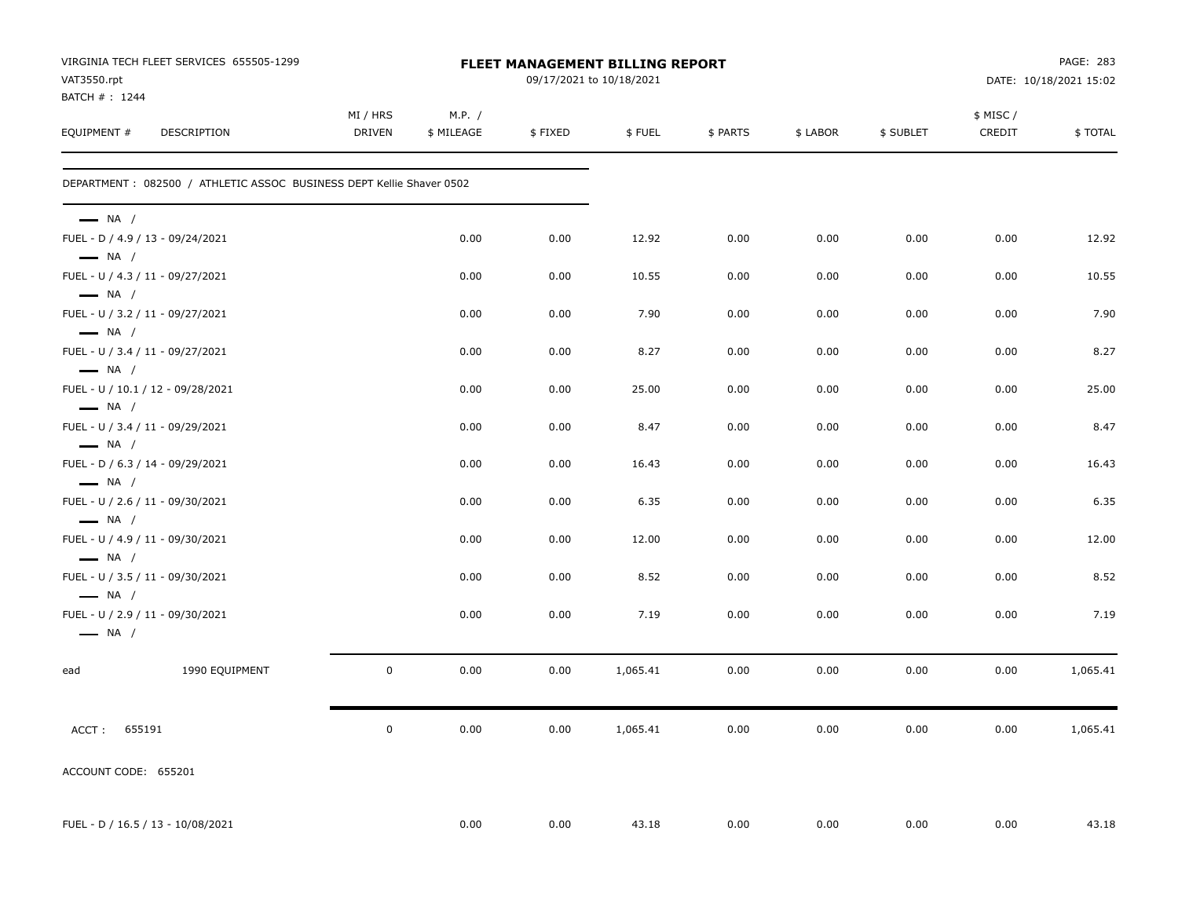| VAT3550.rpt<br>BATCH # : 1244                              | VIRGINIA TECH FLEET SERVICES 655505-1299                             |                    |                      |         | FLEET MANAGEMENT BILLING REPORT<br>09/17/2021 to 10/18/2021 |          |          |           |                    | PAGE: 283<br>DATE: 10/18/2021 15:02 |
|------------------------------------------------------------|----------------------------------------------------------------------|--------------------|----------------------|---------|-------------------------------------------------------------|----------|----------|-----------|--------------------|-------------------------------------|
| EQUIPMENT #                                                | DESCRIPTION                                                          | MI / HRS<br>DRIVEN | M.P. /<br>\$ MILEAGE | \$FIXED | \$FUEL                                                      | \$ PARTS | \$ LABOR | \$ SUBLET | \$ MISC/<br>CREDIT | \$TOTAL                             |
|                                                            | DEPARTMENT: 082500 / ATHLETIC ASSOC BUSINESS DEPT Kellie Shaver 0502 |                    |                      |         |                                                             |          |          |           |                    |                                     |
| $\longrightarrow$ NA /<br>FUEL - D / 4.9 / 13 - 09/24/2021 |                                                                      |                    | 0.00                 | 0.00    | 12.92                                                       | 0.00     | 0.00     | 0.00      | 0.00               | 12.92                               |
| $\longrightarrow$ NA /                                     |                                                                      |                    |                      |         |                                                             |          |          |           |                    |                                     |
| FUEL - U / 4.3 / 11 - 09/27/2021<br>$-$ NA $/$             |                                                                      |                    | 0.00                 | 0.00    | 10.55                                                       | 0.00     | 0.00     | 0.00      | 0.00               | 10.55                               |
| FUEL - U / 3.2 / 11 - 09/27/2021<br>$\longrightarrow$ NA / |                                                                      |                    | 0.00                 | 0.00    | 7.90                                                        | 0.00     | 0.00     | 0.00      | 0.00               | 7.90                                |
| FUEL - U / 3.4 / 11 - 09/27/2021                           |                                                                      |                    | 0.00                 | 0.00    | 8.27                                                        | 0.00     | 0.00     | 0.00      | 0.00               | 8.27                                |
| $\longrightarrow$ NA /                                     | FUEL - U / 10.1 / 12 - 09/28/2021                                    |                    | 0.00                 | 0.00    | 25.00                                                       | 0.00     | 0.00     | 0.00      | 0.00               | 25.00                               |
| $\longrightarrow$ NA /<br>FUEL - U / 3.4 / 11 - 09/29/2021 |                                                                      |                    | 0.00                 | 0.00    | 8.47                                                        | 0.00     | 0.00     | 0.00      | 0.00               | 8.47                                |
| $\longrightarrow$ NA /<br>FUEL - D / 6.3 / 14 - 09/29/2021 |                                                                      |                    | 0.00                 | 0.00    | 16.43                                                       | 0.00     | 0.00     | 0.00      | 0.00               | 16.43                               |
| $\longrightarrow$ NA /<br>FUEL - U / 2.6 / 11 - 09/30/2021 |                                                                      |                    | 0.00                 | 0.00    | 6.35                                                        | 0.00     | 0.00     | 0.00      | 0.00               | 6.35                                |
| $\longrightarrow$ NA /<br>FUEL - U / 4.9 / 11 - 09/30/2021 |                                                                      |                    | 0.00                 | 0.00    | 12.00                                                       | 0.00     | 0.00     | 0.00      | 0.00               | 12.00                               |
| $\longrightarrow$ NA /                                     |                                                                      |                    |                      |         |                                                             |          |          |           |                    |                                     |
| FUEL - U / 3.5 / 11 - 09/30/2021<br>$\longrightarrow$ NA / |                                                                      |                    | 0.00                 | 0.00    | 8.52                                                        | 0.00     | 0.00     | 0.00      | 0.00               | 8.52                                |
| FUEL - U / 2.9 / 11 - 09/30/2021<br>$\longrightarrow$ NA / |                                                                      |                    | 0.00                 | 0.00    | 7.19                                                        | 0.00     | 0.00     | 0.00      | 0.00               | 7.19                                |
| ead                                                        | 1990 EQUIPMENT                                                       | $\mathbf 0$        | 0.00                 | 0.00    | 1,065.41                                                    | 0.00     | 0.00     | 0.00      | 0.00               | 1,065.41                            |
| ACCT: 655191                                               |                                                                      | $\mathbf 0$        | 0.00                 | 0.00    | 1,065.41                                                    | 0.00     | 0.00     | 0.00      | 0.00               | 1,065.41                            |
| ACCOUNT CODE: 655201                                       |                                                                      |                    |                      |         |                                                             |          |          |           |                    |                                     |
|                                                            | FUEL - D / 16.5 / 13 - 10/08/2021                                    |                    | 0.00                 | 0.00    | 43.18                                                       | 0.00     | 0.00     | 0.00      | 0.00               | 43.18                               |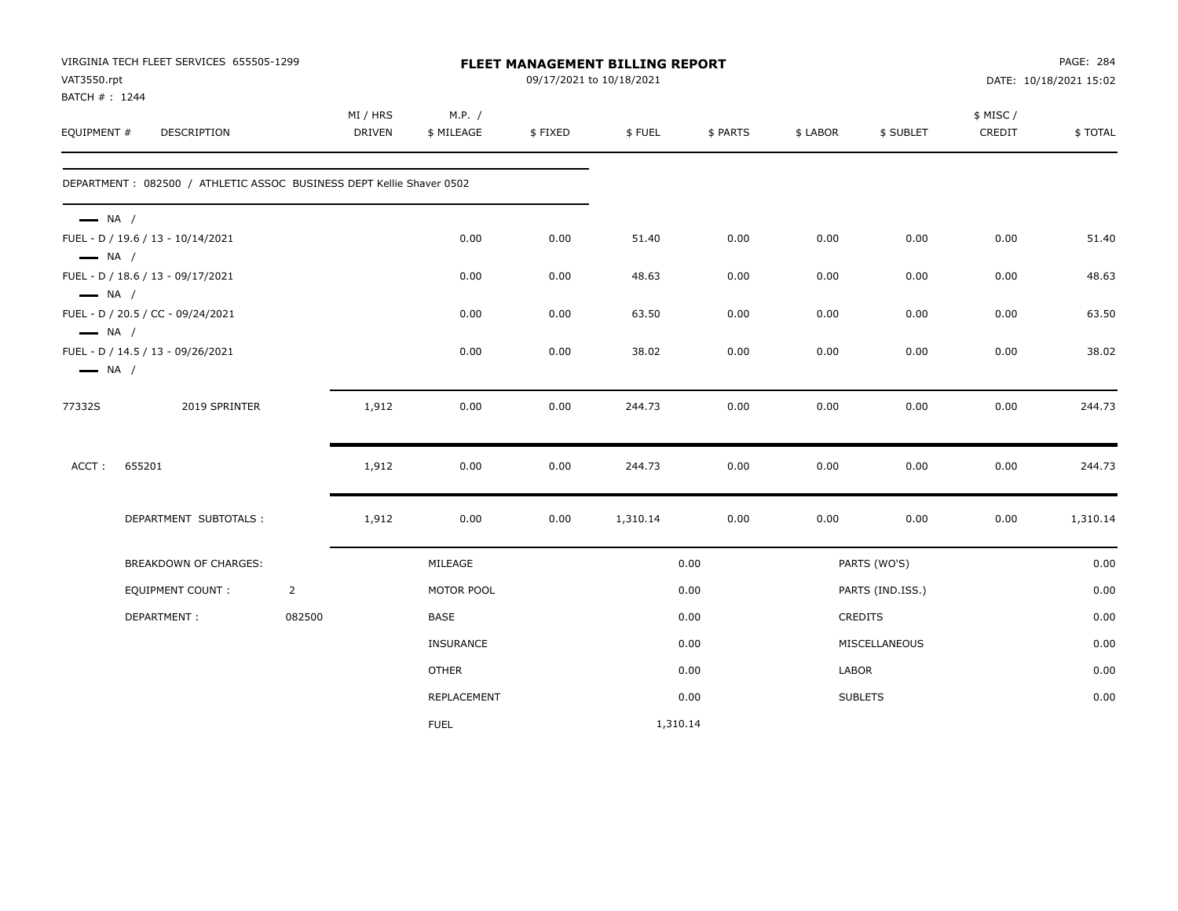| VAT3550.rpt<br>BATCH #: 1244                     | VIRGINIA TECH FLEET SERVICES 655505-1299                             |                |                           |                      |         | FLEET MANAGEMENT BILLING REPORT<br>09/17/2021 to 10/18/2021 |          |          |                  |                     | PAGE: 284<br>DATE: 10/18/2021 15:02 |
|--------------------------------------------------|----------------------------------------------------------------------|----------------|---------------------------|----------------------|---------|-------------------------------------------------------------|----------|----------|------------------|---------------------|-------------------------------------|
| EQUIPMENT #                                      | <b>DESCRIPTION</b>                                                   |                | MI / HRS<br><b>DRIVEN</b> | M.P. /<br>\$ MILEAGE | \$FIXED | \$FUEL                                                      | \$ PARTS | \$ LABOR | \$ SUBLET        | \$ MISC /<br>CREDIT | \$TOTAL                             |
|                                                  | DEPARTMENT: 082500 / ATHLETIC ASSOC BUSINESS DEPT Kellie Shaver 0502 |                |                           |                      |         |                                                             |          |          |                  |                     |                                     |
| $\longrightarrow$ NA /<br>$\longrightarrow$ NA / | FUEL - D / 19.6 / 13 - 10/14/2021                                    |                |                           | 0.00                 | 0.00    | 51.40                                                       | 0.00     | 0.00     | 0.00             | 0.00                | 51.40                               |
|                                                  | FUEL - D / 18.6 / 13 - 09/17/2021                                    |                |                           | 0.00                 | 0.00    | 48.63                                                       | 0.00     | 0.00     | 0.00             | 0.00                | 48.63                               |
| $\longrightarrow$ NA /<br>$\longrightarrow$ NA / | FUEL - D / 20.5 / CC - 09/24/2021                                    |                |                           | 0.00                 | 0.00    | 63.50                                                       | 0.00     | 0.00     | 0.00             | 0.00                | 63.50                               |
| $\longrightarrow$ NA /                           | FUEL - D / 14.5 / 13 - 09/26/2021                                    |                |                           | 0.00                 | 0.00    | 38.02                                                       | 0.00     | 0.00     | 0.00             | 0.00                | 38.02                               |
| 77332S                                           | 2019 SPRINTER                                                        |                | 1,912                     | 0.00                 | 0.00    | 244.73                                                      | 0.00     | 0.00     | 0.00             | 0.00                | 244.73                              |
| ACCT:                                            | 655201                                                               |                | 1,912                     | 0.00                 | 0.00    | 244.73                                                      | 0.00     | 0.00     | 0.00             | 0.00                | 244.73                              |
|                                                  | DEPARTMENT SUBTOTALS :                                               |                | 1,912                     | 0.00                 | 0.00    | 1,310.14                                                    | 0.00     | 0.00     | 0.00             | 0.00                | 1,310.14                            |
|                                                  | BREAKDOWN OF CHARGES:                                                |                |                           | MILEAGE              |         |                                                             | 0.00     |          | PARTS (WO'S)     |                     | 0.00                                |
|                                                  | <b>EQUIPMENT COUNT:</b>                                              | $\overline{2}$ |                           | MOTOR POOL           |         |                                                             | 0.00     |          | PARTS (IND.ISS.) |                     | 0.00                                |
|                                                  | DEPARTMENT:                                                          | 082500         |                           | <b>BASE</b>          |         |                                                             | 0.00     |          | <b>CREDITS</b>   |                     | 0.00                                |
|                                                  |                                                                      |                |                           | <b>INSURANCE</b>     |         |                                                             | 0.00     |          | MISCELLANEOUS    |                     | 0.00                                |
|                                                  |                                                                      |                |                           | <b>OTHER</b>         |         |                                                             | 0.00     | LABOR    |                  |                     | 0.00                                |
|                                                  |                                                                      |                |                           | REPLACEMENT          |         |                                                             | 0.00     |          | <b>SUBLETS</b>   |                     | 0.00                                |
|                                                  |                                                                      |                |                           | <b>FUEL</b>          |         | 1,310.14                                                    |          |          |                  |                     |                                     |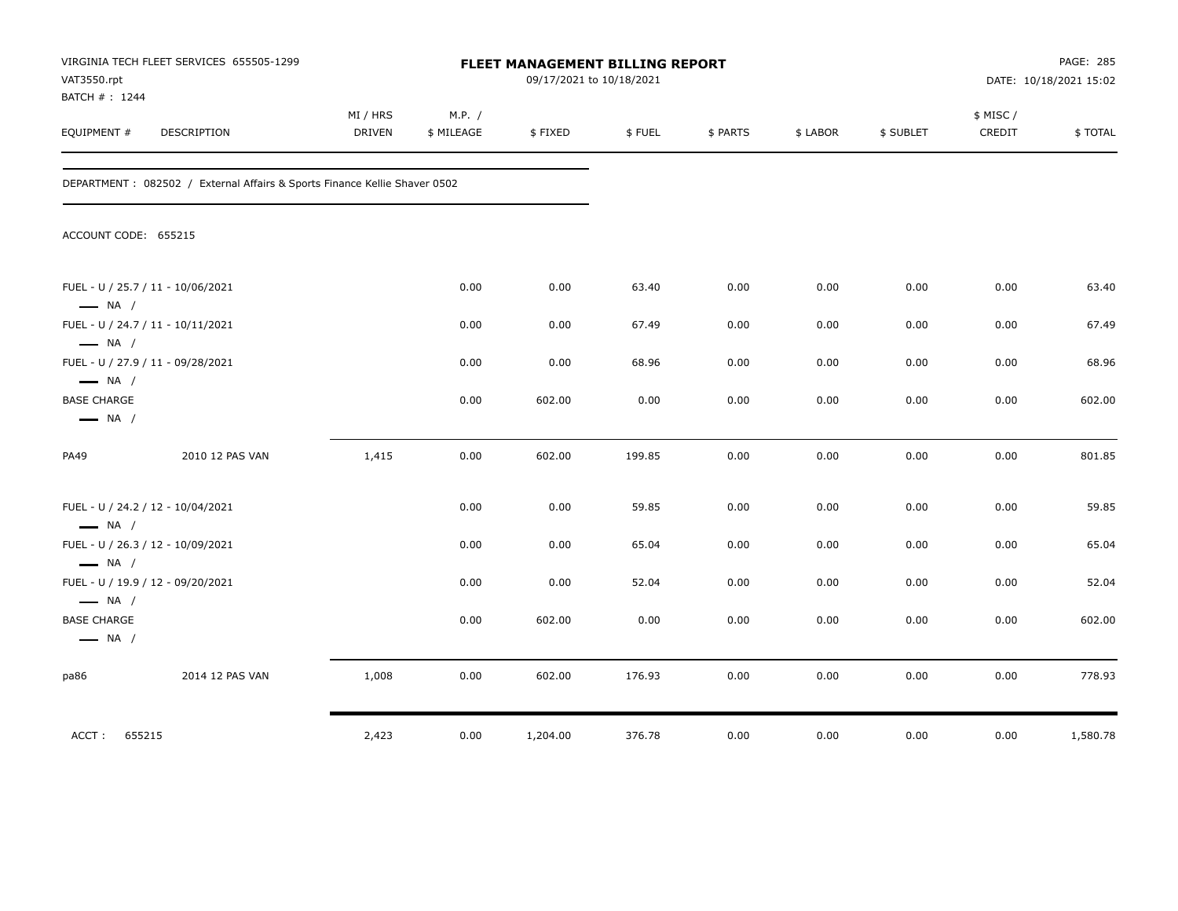| VAT3550.rpt<br>BATCH #: 1244                                | VIRGINIA TECH FLEET SERVICES 655505-1299                                   |                           |                      |          | FLEET MANAGEMENT BILLING REPORT<br>09/17/2021 to 10/18/2021 |          |          |           |                     | PAGE: 285<br>DATE: 10/18/2021 15:02 |
|-------------------------------------------------------------|----------------------------------------------------------------------------|---------------------------|----------------------|----------|-------------------------------------------------------------|----------|----------|-----------|---------------------|-------------------------------------|
| EQUIPMENT #                                                 | DESCRIPTION                                                                | MI / HRS<br><b>DRIVEN</b> | M.P. /<br>\$ MILEAGE | \$FIXED  | \$FUEL                                                      | \$ PARTS | \$ LABOR | \$ SUBLET | \$ MISC /<br>CREDIT | \$TOTAL                             |
|                                                             | DEPARTMENT : 082502 / External Affairs & Sports Finance Kellie Shaver 0502 |                           |                      |          |                                                             |          |          |           |                     |                                     |
| ACCOUNT CODE: 655215                                        |                                                                            |                           |                      |          |                                                             |          |          |           |                     |                                     |
| FUEL - U / 25.7 / 11 - 10/06/2021<br>$\longrightarrow$ NA / |                                                                            |                           | 0.00                 | 0.00     | 63.40                                                       | 0.00     | 0.00     | 0.00      | 0.00                | 63.40                               |
| FUEL - U / 24.7 / 11 - 10/11/2021<br>$\longrightarrow$ NA / |                                                                            |                           | 0.00                 | 0.00     | 67.49                                                       | 0.00     | 0.00     | 0.00      | 0.00                | 67.49                               |
| FUEL - U / 27.9 / 11 - 09/28/2021<br>$\longrightarrow$ NA / |                                                                            |                           | 0.00                 | 0.00     | 68.96                                                       | 0.00     | 0.00     | 0.00      | 0.00                | 68.96                               |
| <b>BASE CHARGE</b><br>$\longrightarrow$ NA /                |                                                                            |                           | 0.00                 | 602.00   | 0.00                                                        | 0.00     | 0.00     | 0.00      | 0.00                | 602.00                              |
| PA49                                                        | 2010 12 PAS VAN                                                            | 1,415                     | 0.00                 | 602.00   | 199.85                                                      | 0.00     | 0.00     | 0.00      | 0.00                | 801.85                              |
| FUEL - U / 24.2 / 12 - 10/04/2021<br>$\longrightarrow$ NA / |                                                                            |                           | 0.00                 | 0.00     | 59.85                                                       | 0.00     | 0.00     | 0.00      | 0.00                | 59.85                               |
| FUEL - U / 26.3 / 12 - 10/09/2021<br>$\longrightarrow$ NA / |                                                                            |                           | 0.00                 | 0.00     | 65.04                                                       | 0.00     | 0.00     | 0.00      | 0.00                | 65.04                               |
| FUEL - U / 19.9 / 12 - 09/20/2021<br>$\longrightarrow$ NA / |                                                                            |                           | 0.00                 | 0.00     | 52.04                                                       | 0.00     | 0.00     | 0.00      | 0.00                | 52.04                               |
| <b>BASE CHARGE</b><br>$\longrightarrow$ NA /                |                                                                            |                           | 0.00                 | 602.00   | 0.00                                                        | 0.00     | 0.00     | 0.00      | 0.00                | 602.00                              |
| pa86                                                        | 2014 12 PAS VAN                                                            | 1,008                     | 0.00                 | 602.00   | 176.93                                                      | 0.00     | 0.00     | 0.00      | 0.00                | 778.93                              |
| 655215<br>ACCT:                                             |                                                                            | 2,423                     | 0.00                 | 1,204.00 | 376.78                                                      | 0.00     | 0.00     | 0.00      | 0.00                | 1,580.78                            |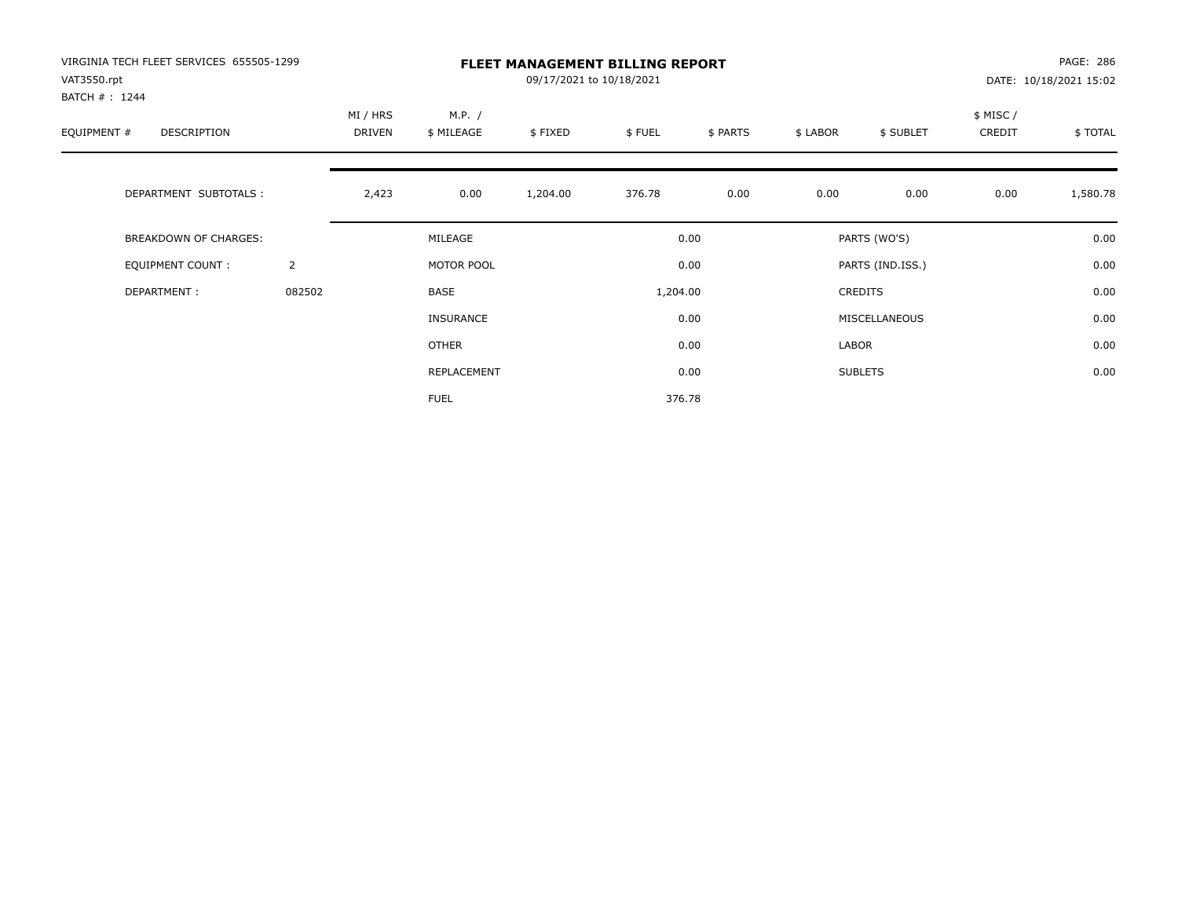| VIRGINIA TECH FLEET SERVICES 655505-1299<br>VAT3550.rpt<br>BATCH #: 1244 |                | <b>FLEET MANAGEMENT BILLING REPORT</b><br>09/17/2021 to 10/18/2021 |                      |          |          |          |          |                  |                    | PAGE: 286<br>DATE: 10/18/2021 15:02 |  |
|--------------------------------------------------------------------------|----------------|--------------------------------------------------------------------|----------------------|----------|----------|----------|----------|------------------|--------------------|-------------------------------------|--|
| EQUIPMENT #<br>DESCRIPTION                                               |                | MI / HRS<br>DRIVEN                                                 | M.P. /<br>\$ MILEAGE | \$FIXED  | \$FUEL   | \$ PARTS | \$ LABOR | \$ SUBLET        | \$ MISC/<br>CREDIT | \$TOTAL                             |  |
| DEPARTMENT SUBTOTALS :                                                   |                | 2,423                                                              | 0.00                 | 1,204.00 | 376.78   | 0.00     | 0.00     | 0.00             | 0.00               | 1,580.78                            |  |
| <b>BREAKDOWN OF CHARGES:</b>                                             |                |                                                                    | MILEAGE              |          |          | 0.00     |          | PARTS (WO'S)     |                    | 0.00                                |  |
| EQUIPMENT COUNT:                                                         | $\overline{2}$ |                                                                    | MOTOR POOL           |          |          | 0.00     |          | PARTS (IND.ISS.) |                    | 0.00                                |  |
| DEPARTMENT:                                                              | 082502         |                                                                    | BASE                 |          | 1,204.00 |          |          | CREDITS          |                    | 0.00                                |  |
|                                                                          |                |                                                                    | <b>INSURANCE</b>     |          |          | 0.00     |          | MISCELLANEOUS    |                    | 0.00                                |  |
|                                                                          |                |                                                                    | OTHER                |          |          | 0.00     | LABOR    |                  |                    | 0.00                                |  |
|                                                                          |                |                                                                    | REPLACEMENT          |          |          | 0.00     |          | <b>SUBLETS</b>   |                    | 0.00                                |  |
|                                                                          |                |                                                                    | <b>FUEL</b>          |          |          | 376.78   |          |                  |                    |                                     |  |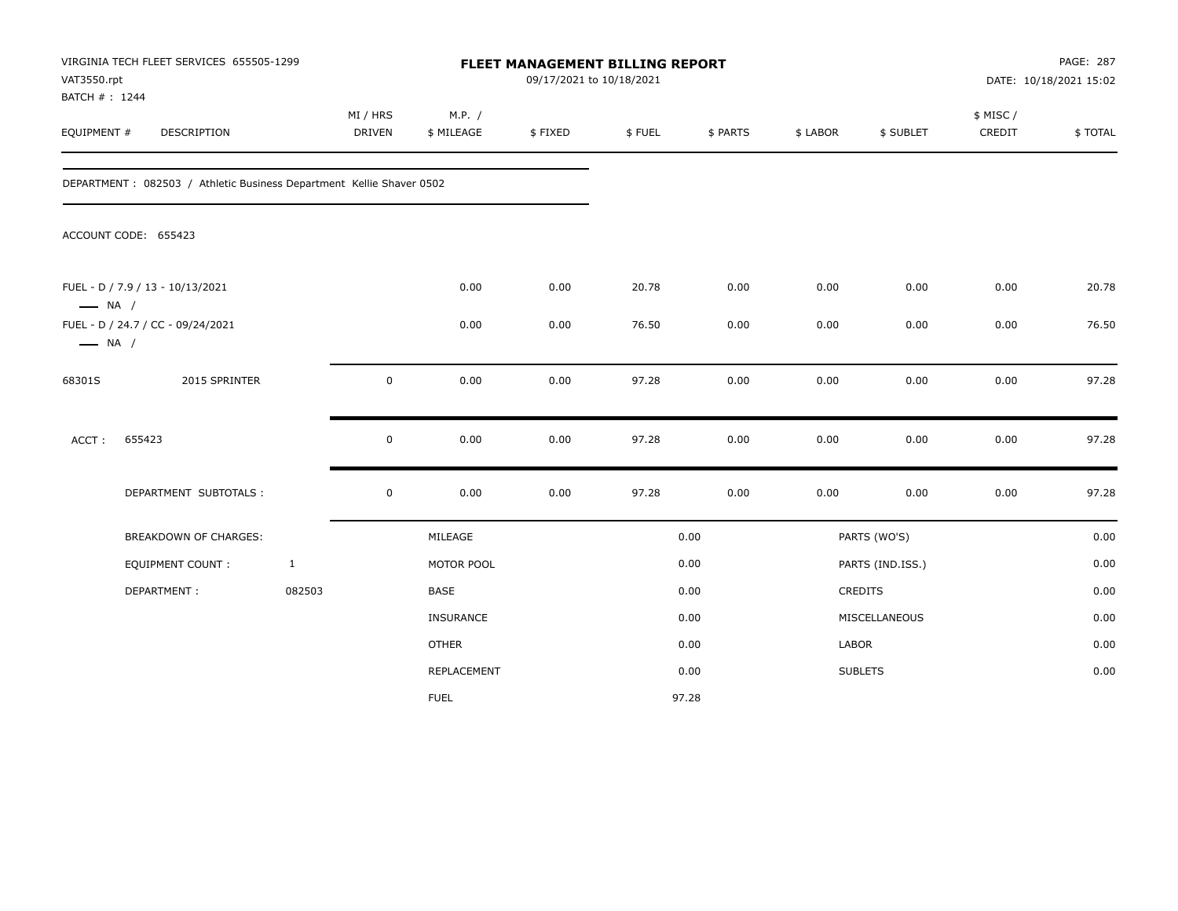| VAT3550.rpt<br>BATCH #: 1244 | VIRGINIA TECH FLEET SERVICES 655505-1299                              |              |                           |                      | FLEET MANAGEMENT BILLING REPORT<br>09/17/2021 to 10/18/2021 |        |          |          |                  |                    | PAGE: 287<br>DATE: 10/18/2021 15:02 |
|------------------------------|-----------------------------------------------------------------------|--------------|---------------------------|----------------------|-------------------------------------------------------------|--------|----------|----------|------------------|--------------------|-------------------------------------|
| EQUIPMENT #                  | <b>DESCRIPTION</b>                                                    |              | MI / HRS<br><b>DRIVEN</b> | M.P. /<br>\$ MILEAGE | \$FIXED                                                     | \$FUEL | \$ PARTS | \$ LABOR | \$ SUBLET        | \$ MISC/<br>CREDIT | \$TOTAL                             |
|                              | DEPARTMENT : 082503 / Athletic Business Department Kellie Shaver 0502 |              |                           |                      |                                                             |        |          |          |                  |                    |                                     |
|                              | ACCOUNT CODE: 655423                                                  |              |                           |                      |                                                             |        |          |          |                  |                    |                                     |
| $\longrightarrow$ NA /       | FUEL - D / 7.9 / 13 - 10/13/2021                                      |              |                           | 0.00                 | 0.00                                                        | 20.78  | 0.00     | 0.00     | 0.00             | 0.00               | 20.78                               |
| $\longrightarrow$ NA /       | FUEL - D / 24.7 / CC - 09/24/2021                                     |              |                           | 0.00                 | 0.00                                                        | 76.50  | 0.00     | 0.00     | 0.00             | 0.00               | 76.50                               |
| 68301S                       | 2015 SPRINTER                                                         |              | 0                         | 0.00                 | 0.00                                                        | 97.28  | 0.00     | 0.00     | 0.00             | 0.00               | 97.28                               |
| ACCT:                        | 655423                                                                |              | $\mathbf 0$               | 0.00                 | 0.00                                                        | 97.28  | 0.00     | 0.00     | 0.00             | 0.00               | 97.28                               |
|                              | DEPARTMENT SUBTOTALS :                                                |              | $\mathbf 0$               | 0.00                 | 0.00                                                        | 97.28  | 0.00     | 0.00     | 0.00             | 0.00               | 97.28                               |
|                              | <b>BREAKDOWN OF CHARGES:</b>                                          |              |                           | MILEAGE              |                                                             |        | 0.00     |          | PARTS (WO'S)     |                    | 0.00                                |
|                              | EQUIPMENT COUNT :                                                     | $\mathbf{1}$ |                           | MOTOR POOL           |                                                             |        | 0.00     |          | PARTS (IND.ISS.) |                    | 0.00                                |
|                              | DEPARTMENT:                                                           | 082503       |                           | BASE                 |                                                             |        | 0.00     |          | CREDITS          |                    | 0.00                                |
|                              |                                                                       |              |                           | INSURANCE            |                                                             |        | 0.00     |          | MISCELLANEOUS    |                    | 0.00                                |
|                              |                                                                       |              |                           | <b>OTHER</b>         |                                                             |        | 0.00     | LABOR    |                  |                    | 0.00                                |
|                              |                                                                       |              |                           | REPLACEMENT          |                                                             |        | 0.00     |          | <b>SUBLETS</b>   |                    | 0.00                                |
|                              |                                                                       |              |                           | <b>FUEL</b>          |                                                             |        | 97.28    |          |                  |                    |                                     |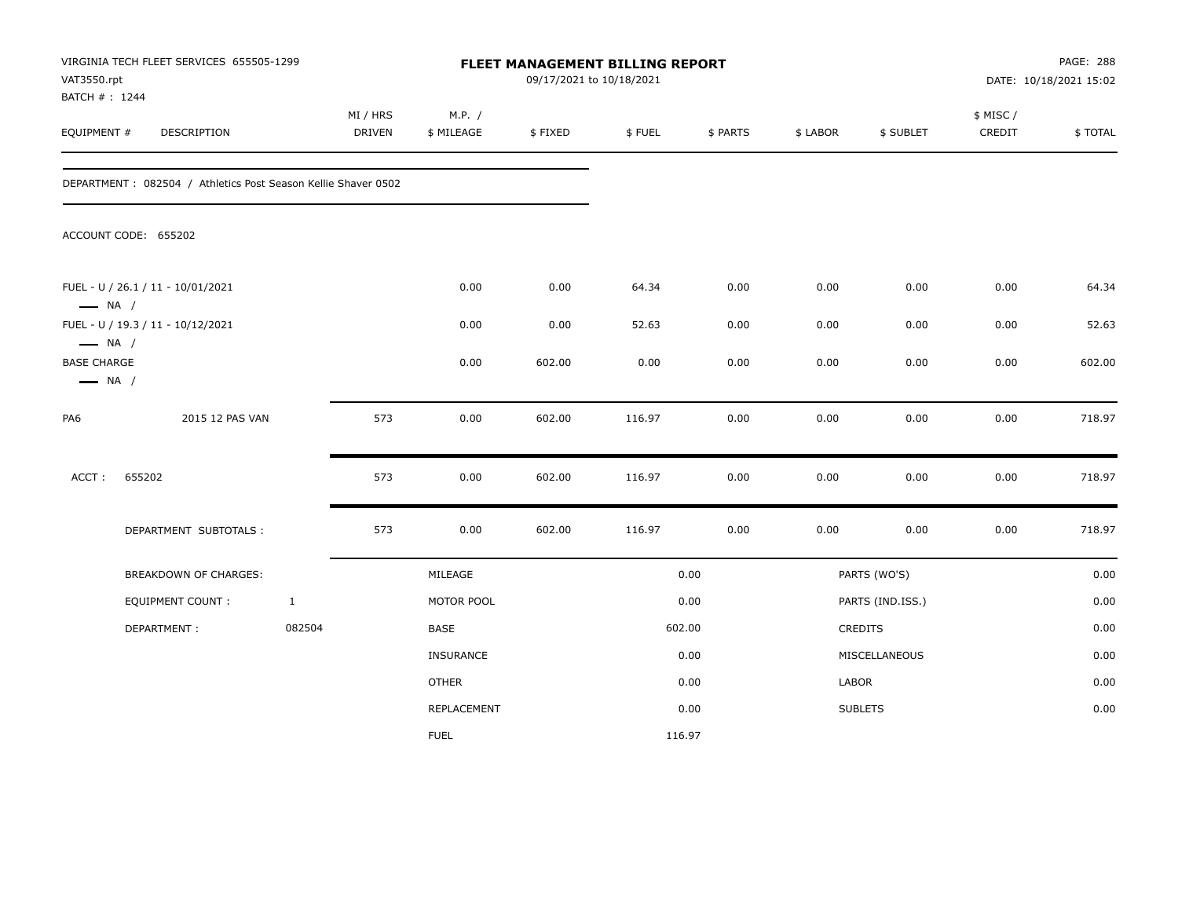| VAT3550.rpt<br>BATCH #: 1244                                           | VIRGINIA TECH FLEET SERVICES 655505-1299                       |              |                    |                      | FLEET MANAGEMENT BILLING REPORT<br>09/17/2021 to 10/18/2021 |        |          |          |                  |                     | PAGE: 288<br>DATE: 10/18/2021 15:02 |
|------------------------------------------------------------------------|----------------------------------------------------------------|--------------|--------------------|----------------------|-------------------------------------------------------------|--------|----------|----------|------------------|---------------------|-------------------------------------|
| EQUIPMENT #                                                            | DESCRIPTION                                                    |              | MI / HRS<br>DRIVEN | M.P. /<br>\$ MILEAGE | \$FIXED                                                     | \$FUEL | \$ PARTS | \$ LABOR | \$ SUBLET        | \$ MISC /<br>CREDIT | \$TOTAL                             |
|                                                                        | DEPARTMENT : 082504 / Athletics Post Season Kellie Shaver 0502 |              |                    |                      |                                                             |        |          |          |                  |                     |                                     |
|                                                                        | ACCOUNT CODE: 655202                                           |              |                    |                      |                                                             |        |          |          |                  |                     |                                     |
|                                                                        | FUEL - U / 26.1 / 11 - 10/01/2021                              |              |                    | 0.00                 | 0.00                                                        | 64.34  | 0.00     | 0.00     | 0.00             | 0.00                | 64.34                               |
| $\longrightarrow$ NA /                                                 | FUEL - U / 19.3 / 11 - 10/12/2021                              |              |                    | 0.00                 | 0.00                                                        | 52.63  | 0.00     | 0.00     | 0.00             | 0.00                | 52.63                               |
| $\longrightarrow$ NA /<br><b>BASE CHARGE</b><br>$\longrightarrow$ NA / |                                                                |              |                    | 0.00                 | 602.00                                                      | 0.00   | 0.00     | 0.00     | 0.00             | 0.00                | 602.00                              |
| PA6                                                                    | 2015 12 PAS VAN                                                |              | 573                | 0.00                 | 602.00                                                      | 116.97 | 0.00     | 0.00     | 0.00             | 0.00                | 718.97                              |
| ACCT:                                                                  | 655202                                                         |              | 573                | 0.00                 | 602.00                                                      | 116.97 | 0.00     | 0.00     | 0.00             | 0.00                | 718.97                              |
|                                                                        | DEPARTMENT SUBTOTALS :                                         |              | 573                | 0.00                 | 602.00                                                      | 116.97 | 0.00     | 0.00     | 0.00             | 0.00                | 718.97                              |
|                                                                        | BREAKDOWN OF CHARGES:                                          |              |                    | MILEAGE              |                                                             |        | 0.00     |          | PARTS (WO'S)     |                     | 0.00                                |
|                                                                        | <b>EQUIPMENT COUNT:</b>                                        | $\mathbf{1}$ |                    | MOTOR POOL           |                                                             |        | 0.00     |          | PARTS (IND.ISS.) |                     | 0.00                                |
|                                                                        | DEPARTMENT:                                                    | 082504       |                    | <b>BASE</b>          |                                                             |        | 602.00   |          | CREDITS          |                     | 0.00                                |
|                                                                        |                                                                |              |                    | <b>INSURANCE</b>     |                                                             |        | 0.00     |          | MISCELLANEOUS    |                     | 0.00                                |
|                                                                        |                                                                |              |                    | <b>OTHER</b>         |                                                             |        | 0.00     | LABOR    |                  |                     | 0.00                                |
|                                                                        |                                                                |              |                    | REPLACEMENT          |                                                             |        | 0.00     |          | <b>SUBLETS</b>   |                     | 0.00                                |
|                                                                        |                                                                |              |                    | <b>FUEL</b>          |                                                             | 116.97 |          |          |                  |                     |                                     |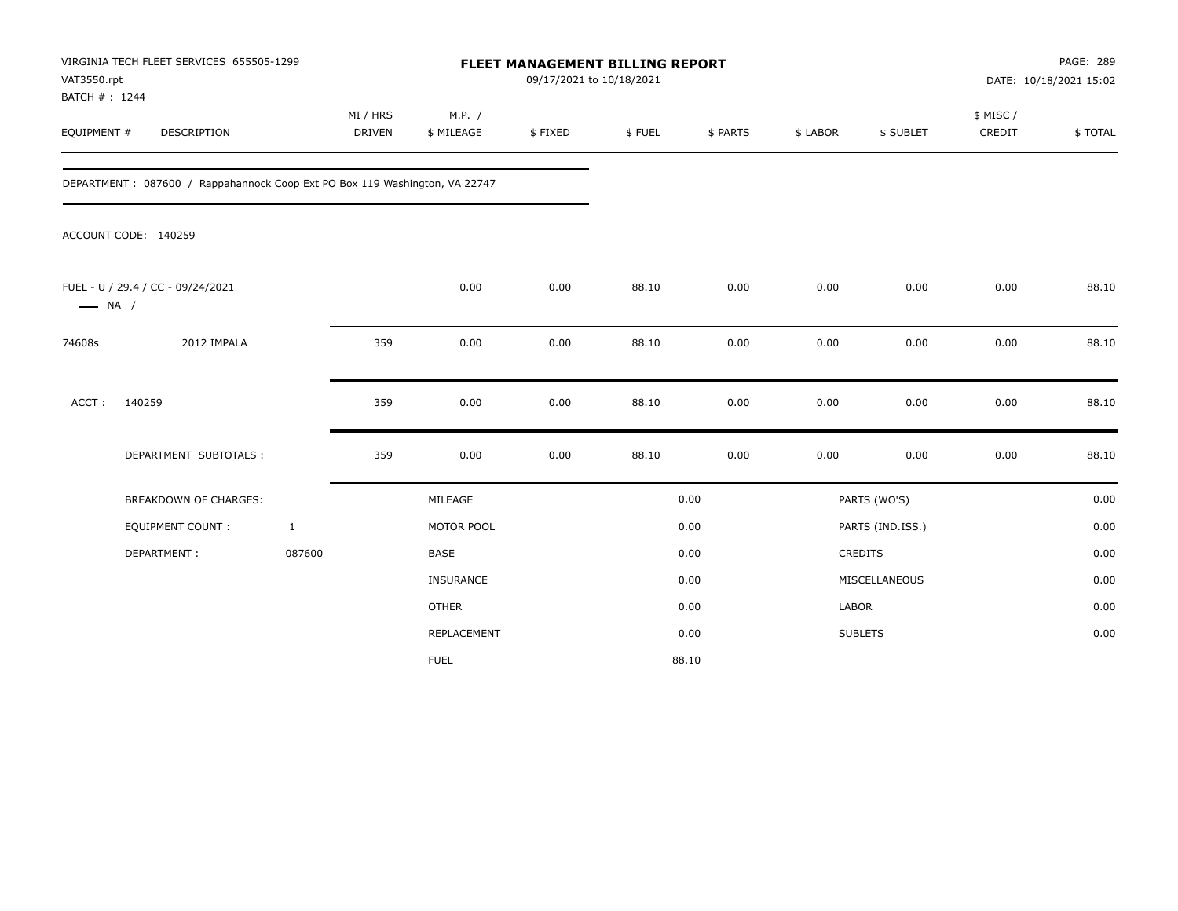| VAT3550.rpt<br>BATCH #: 1244 | VIRGINIA TECH FLEET SERVICES 655505-1299                                   |                           | FLEET MANAGEMENT BILLING REPORT<br>09/17/2021 to 10/18/2021 |         |        |          |              |                  |                     | PAGE: 289<br>DATE: 10/18/2021 15:02 |  |
|------------------------------|----------------------------------------------------------------------------|---------------------------|-------------------------------------------------------------|---------|--------|----------|--------------|------------------|---------------------|-------------------------------------|--|
| EQUIPMENT #                  | DESCRIPTION                                                                | MI / HRS<br><b>DRIVEN</b> | M.P. /<br>\$ MILEAGE                                        | \$FIXED | \$FUEL | \$ PARTS | \$ LABOR     | \$ SUBLET        | \$ MISC /<br>CREDIT | \$TOTAL                             |  |
|                              | DEPARTMENT: 087600 / Rappahannock Coop Ext PO Box 119 Washington, VA 22747 |                           |                                                             |         |        |          |              |                  |                     |                                     |  |
|                              | ACCOUNT CODE: 140259                                                       |                           |                                                             |         |        |          |              |                  |                     |                                     |  |
| $\longrightarrow$ NA /       | FUEL - U / 29.4 / CC - 09/24/2021                                          |                           | 0.00                                                        | 0.00    | 88.10  | 0.00     | 0.00         | 0.00             | 0.00                | 88.10                               |  |
| 74608s                       | 2012 IMPALA                                                                | 359                       | 0.00                                                        | 0.00    | 88.10  | 0.00     | 0.00         | 0.00             | 0.00                | 88.10                               |  |
| ACCT:                        | 140259                                                                     | 359                       | 0.00                                                        | 0.00    | 88.10  | 0.00     | 0.00         | 0.00             | 0.00                | 88.10                               |  |
|                              | DEPARTMENT SUBTOTALS :                                                     | 359                       | 0.00                                                        | 0.00    | 88.10  | 0.00     | 0.00         | 0.00             | 0.00                | 88.10                               |  |
|                              | BREAKDOWN OF CHARGES:                                                      |                           | MILEAGE                                                     |         |        | 0.00     |              | PARTS (WO'S)     |                     | 0.00                                |  |
|                              | <b>EQUIPMENT COUNT:</b>                                                    | $\mathbf{1}$              | MOTOR POOL                                                  |         |        | 0.00     |              | PARTS (IND.ISS.) |                     | 0.00                                |  |
|                              | DEPARTMENT:                                                                | 087600                    | <b>BASE</b>                                                 |         |        | 0.00     |              | <b>CREDITS</b>   |                     | 0.00                                |  |
|                              |                                                                            |                           | INSURANCE                                                   |         |        | 0.00     |              | MISCELLANEOUS    |                     | 0.00                                |  |
|                              |                                                                            |                           | <b>OTHER</b>                                                |         |        | 0.00     | <b>LABOR</b> |                  |                     | 0.00                                |  |
|                              |                                                                            |                           | REPLACEMENT                                                 |         |        | 0.00     |              | <b>SUBLETS</b>   |                     | 0.00                                |  |
|                              |                                                                            |                           | <b>FUEL</b>                                                 |         |        | 88.10    |              |                  |                     |                                     |  |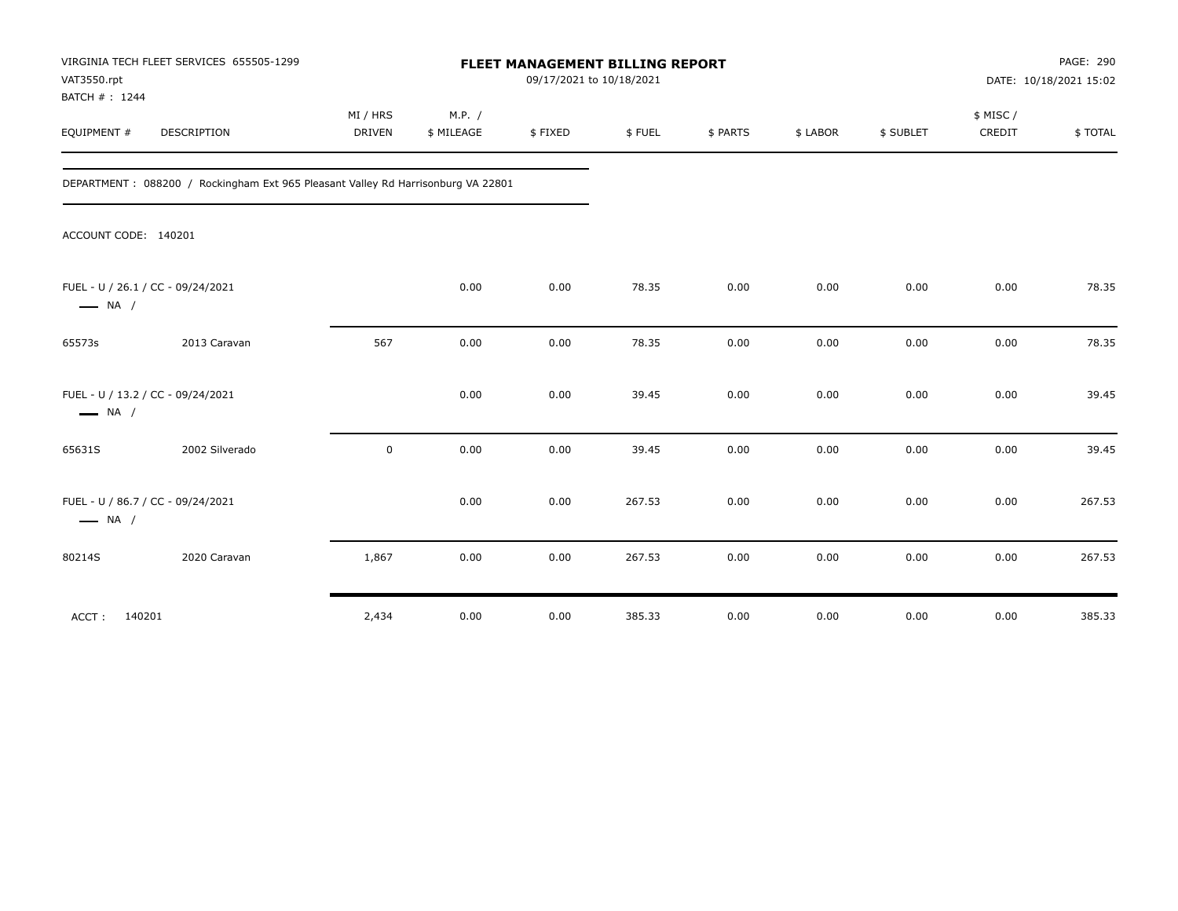| VAT3550.rpt<br>BATCH #: 1244 | VIRGINIA TECH FLEET SERVICES 655505-1299                                         |                           | FLEET MANAGEMENT BILLING REPORT<br>09/17/2021 to 10/18/2021 |         |        |          |          |           |                    |         |
|------------------------------|----------------------------------------------------------------------------------|---------------------------|-------------------------------------------------------------|---------|--------|----------|----------|-----------|--------------------|---------|
| EQUIPMENT #                  | DESCRIPTION                                                                      | MI / HRS<br><b>DRIVEN</b> | M.P. /<br>\$ MILEAGE                                        | \$FIXED | \$FUEL | \$ PARTS | \$ LABOR | \$ SUBLET | \$ MISC/<br>CREDIT | \$TOTAL |
|                              | DEPARTMENT: 088200 / Rockingham Ext 965 Pleasant Valley Rd Harrisonburg VA 22801 |                           |                                                             |         |        |          |          |           |                    |         |
| ACCOUNT CODE: 140201         |                                                                                  |                           |                                                             |         |        |          |          |           |                    |         |
| $\longrightarrow$ NA /       | FUEL - U / 26.1 / CC - 09/24/2021                                                |                           | 0.00                                                        | 0.00    | 78.35  | 0.00     | 0.00     | 0.00      | 0.00               | 78.35   |
| 65573s                       | 2013 Caravan                                                                     | 567                       | 0.00                                                        | 0.00    | 78.35  | 0.00     | 0.00     | 0.00      | 0.00               | 78.35   |
| $\longrightarrow$ NA /       | FUEL - U / 13.2 / CC - 09/24/2021                                                |                           | 0.00                                                        | 0.00    | 39.45  | 0.00     | 0.00     | 0.00      | 0.00               | 39.45   |
| 65631S                       | 2002 Silverado                                                                   | 0                         | 0.00                                                        | 0.00    | 39.45  | 0.00     | 0.00     | 0.00      | 0.00               | 39.45   |
| $\longrightarrow$ NA /       | FUEL - U / 86.7 / CC - 09/24/2021                                                |                           | 0.00                                                        | 0.00    | 267.53 | 0.00     | 0.00     | 0.00      | 0.00               | 267.53  |
| 80214S                       | 2020 Caravan                                                                     | 1,867                     | 0.00                                                        | 0.00    | 267.53 | 0.00     | 0.00     | 0.00      | 0.00               | 267.53  |
| 140201<br>ACCT:              |                                                                                  | 2,434                     | 0.00                                                        | 0.00    | 385.33 | 0.00     | 0.00     | 0.00      | 0.00               | 385.33  |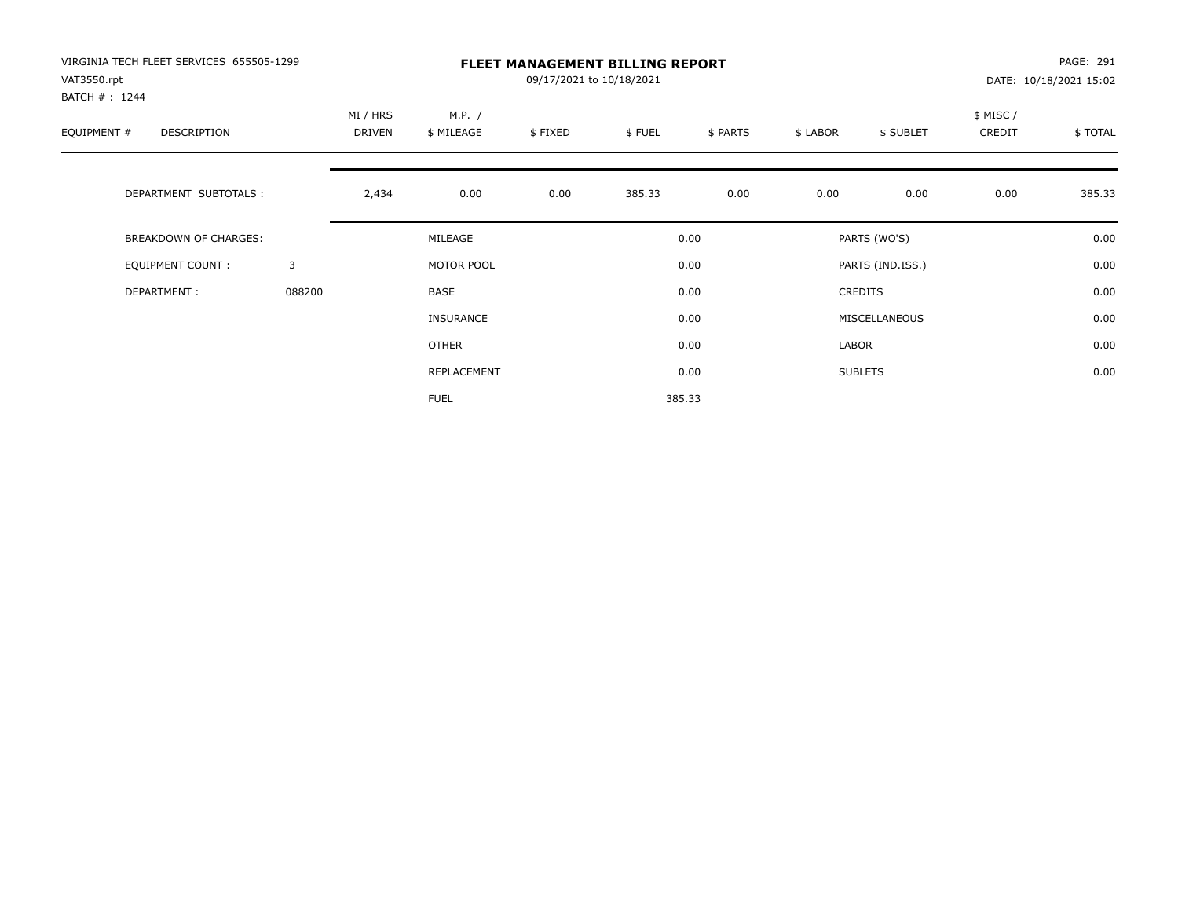| VIRGINIA TECH FLEET SERVICES 655505-1299<br>VAT3550.rpt<br>BATCH #: 1244 |        | <b>FLEET MANAGEMENT BILLING REPORT</b><br>09/17/2021 to 10/18/2021 |                      |         |        |          |                |                  |                    | PAGE: 291<br>DATE: 10/18/2021 15:02 |  |
|--------------------------------------------------------------------------|--------|--------------------------------------------------------------------|----------------------|---------|--------|----------|----------------|------------------|--------------------|-------------------------------------|--|
| EQUIPMENT #<br>DESCRIPTION                                               |        | MI / HRS<br>DRIVEN                                                 | M.P. /<br>\$ MILEAGE | \$FIXED | \$FUEL | \$ PARTS | \$ LABOR       | \$ SUBLET        | \$ MISC/<br>CREDIT | \$TOTAL                             |  |
| DEPARTMENT SUBTOTALS :                                                   |        | 2,434                                                              | 0.00                 | 0.00    | 385.33 | 0.00     | 0.00           | 0.00             | 0.00               | 385.33                              |  |
| <b>BREAKDOWN OF CHARGES:</b>                                             |        |                                                                    | MILEAGE              |         |        | 0.00     |                | PARTS (WO'S)     |                    | 0.00                                |  |
| EQUIPMENT COUNT:                                                         | 3      |                                                                    | MOTOR POOL           |         |        | 0.00     |                | PARTS (IND.ISS.) |                    | 0.00                                |  |
| DEPARTMENT:                                                              | 088200 |                                                                    | BASE                 |         |        | 0.00     | <b>CREDITS</b> |                  |                    | 0.00                                |  |
|                                                                          |        |                                                                    | <b>INSURANCE</b>     |         |        | 0.00     |                | MISCELLANEOUS    |                    | 0.00                                |  |
|                                                                          |        |                                                                    | <b>OTHER</b>         |         |        | 0.00     | LABOR          |                  |                    | 0.00                                |  |
|                                                                          |        |                                                                    | REPLACEMENT          |         |        | 0.00     |                | <b>SUBLETS</b>   |                    | 0.00                                |  |
|                                                                          |        |                                                                    | <b>FUEL</b>          |         |        | 385.33   |                |                  |                    |                                     |  |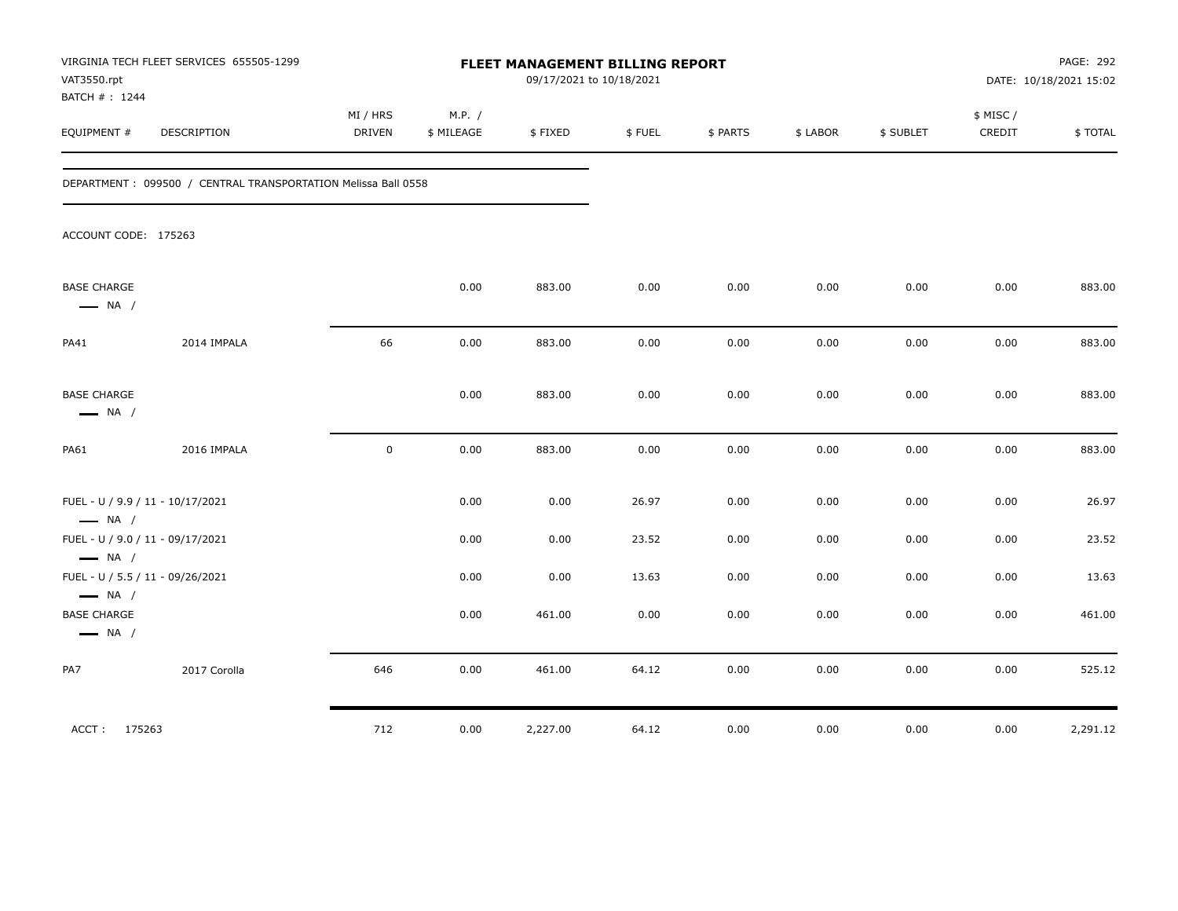| VAT3550.rpt<br>BATCH # : 1244                    | VIRGINIA TECH FLEET SERVICES 655505-1299                       |                    | FLEET MANAGEMENT BILLING REPORT<br>09/17/2021 to 10/18/2021 |          |        |          |          |           | PAGE: 292<br>DATE: 10/18/2021 15:02 |          |  |
|--------------------------------------------------|----------------------------------------------------------------|--------------------|-------------------------------------------------------------|----------|--------|----------|----------|-----------|-------------------------------------|----------|--|
| EQUIPMENT #                                      | DESCRIPTION                                                    | MI / HRS<br>DRIVEN | M.P. /<br>\$ MILEAGE                                        | \$FIXED  | \$FUEL | \$ PARTS | \$ LABOR | \$ SUBLET | \$ MISC /<br>CREDIT                 | \$TOTAL  |  |
|                                                  | DEPARTMENT : 099500 / CENTRAL TRANSPORTATION Melissa Ball 0558 |                    |                                                             |          |        |          |          |           |                                     |          |  |
| ACCOUNT CODE: 175263                             |                                                                |                    |                                                             |          |        |          |          |           |                                     |          |  |
| <b>BASE CHARGE</b><br>$\longrightarrow$ NA /     |                                                                |                    | 0.00                                                        | 883.00   | 0.00   | 0.00     | 0.00     | 0.00      | 0.00                                | 883.00   |  |
| PA41                                             | 2014 IMPALA                                                    | 66                 | 0.00                                                        | 883.00   | 0.00   | 0.00     | 0.00     | 0.00      | 0.00                                | 883.00   |  |
| <b>BASE CHARGE</b><br>$\longrightarrow$ NA /     |                                                                |                    | 0.00                                                        | 883.00   | 0.00   | 0.00     | 0.00     | 0.00      | 0.00                                | 883.00   |  |
| <b>PA61</b>                                      | 2016 IMPALA                                                    | $\pmb{0}$          | 0.00                                                        | 883.00   | 0.00   | 0.00     | 0.00     | 0.00      | 0.00                                | 883.00   |  |
| $\longrightarrow$ NA /                           | FUEL - U / 9.9 / 11 - 10/17/2021                               |                    | 0.00                                                        | 0.00     | 26.97  | 0.00     | 0.00     | 0.00      | 0.00                                | 26.97    |  |
|                                                  | FUEL - U / 9.0 / 11 - 09/17/2021                               |                    | 0.00                                                        | 0.00     | 23.52  | 0.00     | 0.00     | 0.00      | 0.00                                | 23.52    |  |
| $\longrightarrow$ NA /<br>$\longrightarrow$ NA / | FUEL - U / 5.5 / 11 - 09/26/2021                               |                    | 0.00                                                        | 0.00     | 13.63  | 0.00     | 0.00     | 0.00      | 0.00                                | 13.63    |  |
| <b>BASE CHARGE</b><br>$\longrightarrow$ NA /     |                                                                |                    | 0.00                                                        | 461.00   | 0.00   | 0.00     | 0.00     | 0.00      | 0.00                                | 461.00   |  |
| PA7                                              | 2017 Corolla                                                   | 646                | 0.00                                                        | 461.00   | 64.12  | 0.00     | 0.00     | 0.00      | 0.00                                | 525.12   |  |
| ACCT: 175263                                     |                                                                | 712                | 0.00                                                        | 2,227.00 | 64.12  | 0.00     | 0.00     | 0.00      | 0.00                                | 2,291.12 |  |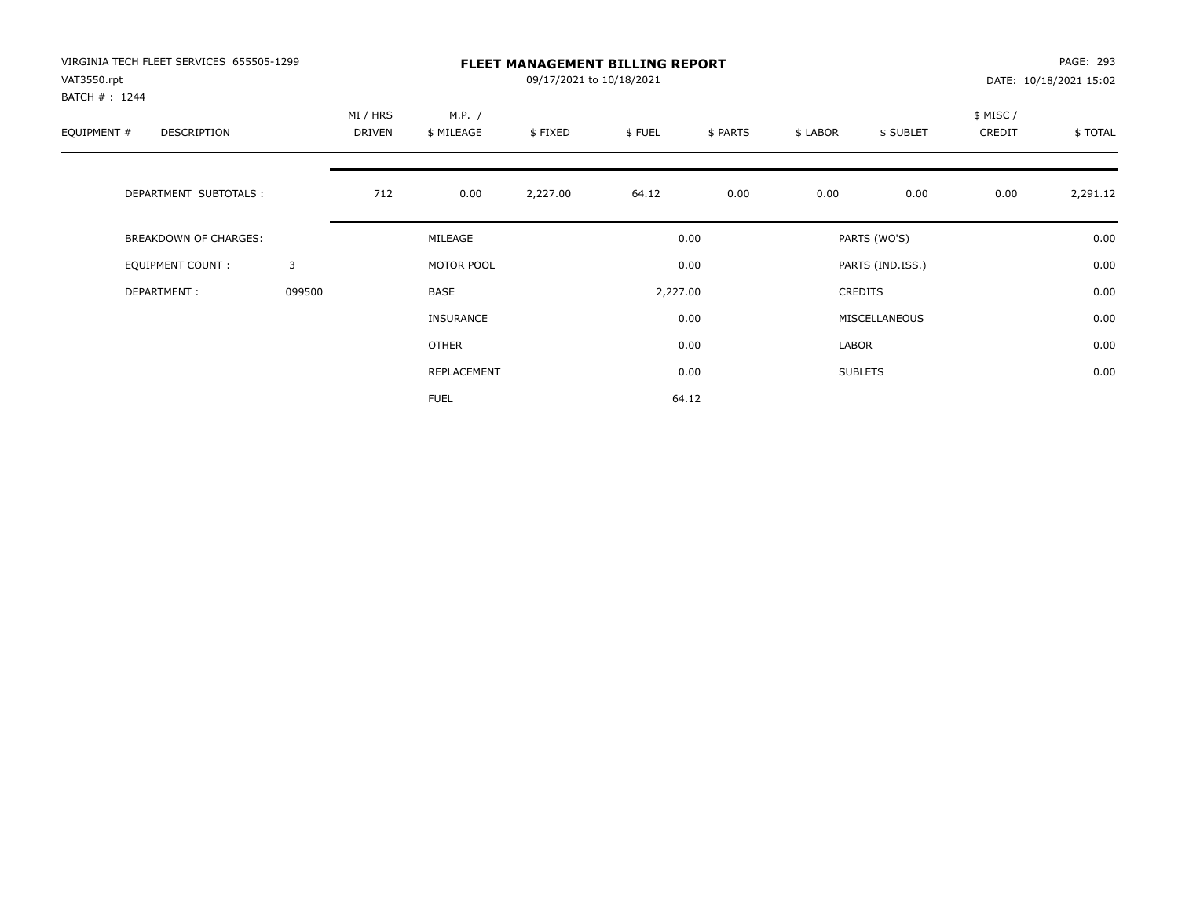| VIRGINIA TECH FLEET SERVICES 655505-1299<br>VAT3550.rpt<br>BATCH #: 1244 |        | <b>FLEET MANAGEMENT BILLING REPORT</b><br>09/17/2021 to 10/18/2021 |                      |          |                  |          |                             |                |                    | PAGE: 293<br>DATE: 10/18/2021 15:02 |  |
|--------------------------------------------------------------------------|--------|--------------------------------------------------------------------|----------------------|----------|------------------|----------|-----------------------------|----------------|--------------------|-------------------------------------|--|
| EQUIPMENT #<br>DESCRIPTION                                               |        | MI / HRS<br>DRIVEN                                                 | M.P. /<br>\$ MILEAGE | \$FIXED  | \$FUEL           | \$ PARTS | \$ LABOR                    | \$ SUBLET      | \$ MISC/<br>CREDIT | \$TOTAL                             |  |
| DEPARTMENT SUBTOTALS :                                                   |        | 712                                                                | 0.00                 | 2,227.00 | 64.12            | 0.00     | 0.00                        | 0.00           | 0.00               | 2,291.12                            |  |
| <b>BREAKDOWN OF CHARGES:</b>                                             |        |                                                                    | MILEAGE              |          |                  | 0.00     |                             | PARTS (WO'S)   |                    |                                     |  |
| EQUIPMENT COUNT:                                                         | 3      |                                                                    | MOTOR POOL           |          | 0.00<br>2,227.00 |          | PARTS (IND.ISS.)<br>CREDITS |                |                    | 0.00                                |  |
| DEPARTMENT:                                                              | 099500 |                                                                    | BASE                 |          |                  |          |                             |                |                    | 0.00                                |  |
|                                                                          |        |                                                                    | <b>INSURANCE</b>     |          |                  | 0.00     |                             | MISCELLANEOUS  |                    | 0.00                                |  |
|                                                                          |        |                                                                    | <b>OTHER</b>         |          |                  | 0.00     | LABOR                       |                |                    | 0.00                                |  |
|                                                                          |        |                                                                    | REPLACEMENT          |          |                  | 0.00     |                             | <b>SUBLETS</b> |                    | 0.00                                |  |
|                                                                          |        |                                                                    | <b>FUEL</b>          |          |                  | 64.12    |                             |                |                    |                                     |  |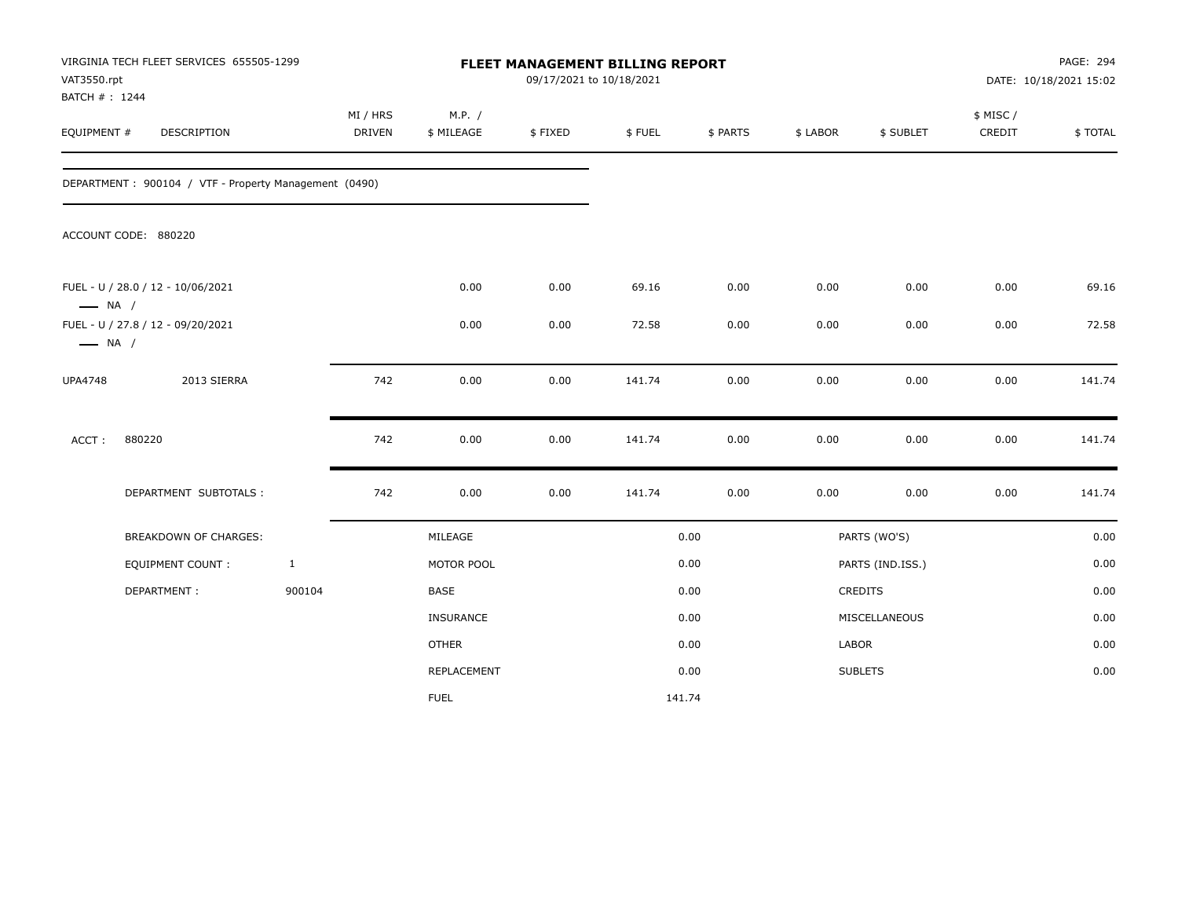| VAT3550.rpt<br>BATCH #: 1244                                | VIRGINIA TECH FLEET SERVICES 655505-1299              |              | FLEET MANAGEMENT BILLING REPORT<br>09/17/2021 to 10/18/2021 |                      |         |        |          |          |                  | PAGE: 294<br>DATE: 10/18/2021 15:02 |         |
|-------------------------------------------------------------|-------------------------------------------------------|--------------|-------------------------------------------------------------|----------------------|---------|--------|----------|----------|------------------|-------------------------------------|---------|
| EQUIPMENT #                                                 | DESCRIPTION                                           |              | MI / HRS<br><b>DRIVEN</b>                                   | M.P. /<br>\$ MILEAGE | \$FIXED | \$FUEL | \$ PARTS | \$ LABOR | \$ SUBLET        | \$ MISC/<br>CREDIT                  | \$TOTAL |
|                                                             | DEPARTMENT: 900104 / VTF - Property Management (0490) |              |                                                             |                      |         |        |          |          |                  |                                     |         |
|                                                             | ACCOUNT CODE: 880220                                  |              |                                                             |                      |         |        |          |          |                  |                                     |         |
| $\longrightarrow$ NA /                                      | FUEL - U / 28.0 / 12 - 10/06/2021                     |              |                                                             | 0.00                 | 0.00    | 69.16  | 0.00     | 0.00     | 0.00             | 0.00                                | 69.16   |
| FUEL - U / 27.8 / 12 - 09/20/2021<br>$\longrightarrow$ NA / |                                                       |              | 0.00                                                        | 0.00                 | 72.58   | 0.00   | 0.00     | 0.00     | 0.00             | 72.58                               |         |
| <b>UPA4748</b>                                              | 2013 SIERRA                                           |              | 742                                                         | 0.00                 | 0.00    | 141.74 | 0.00     | 0.00     | 0.00             | 0.00                                | 141.74  |
| ACCT:                                                       | 880220                                                |              | 742                                                         | 0.00                 | 0.00    | 141.74 | 0.00     | 0.00     | 0.00             | 0.00                                | 141.74  |
|                                                             | DEPARTMENT SUBTOTALS :                                |              | 742                                                         | 0.00                 | 0.00    | 141.74 | 0.00     | 0.00     | 0.00             | $0.00\,$                            | 141.74  |
|                                                             | <b>BREAKDOWN OF CHARGES:</b>                          |              |                                                             | MILEAGE              |         |        | 0.00     |          | PARTS (WO'S)     |                                     | 0.00    |
|                                                             | <b>EQUIPMENT COUNT:</b>                               | $\mathbf{1}$ |                                                             | MOTOR POOL           |         |        | 0.00     |          | PARTS (IND.ISS.) |                                     | 0.00    |
|                                                             | DEPARTMENT:                                           | 900104       |                                                             | BASE                 |         |        | 0.00     |          | CREDITS          |                                     | 0.00    |
|                                                             |                                                       |              |                                                             | <b>INSURANCE</b>     |         |        | 0.00     |          | MISCELLANEOUS    |                                     | 0.00    |
|                                                             |                                                       |              |                                                             | <b>OTHER</b>         |         |        | 0.00     | LABOR    |                  |                                     | 0.00    |
|                                                             |                                                       |              |                                                             | REPLACEMENT          |         |        | 0.00     |          | <b>SUBLETS</b>   |                                     | 0.00    |
|                                                             |                                                       |              |                                                             | <b>FUEL</b>          |         | 141.74 |          |          |                  |                                     |         |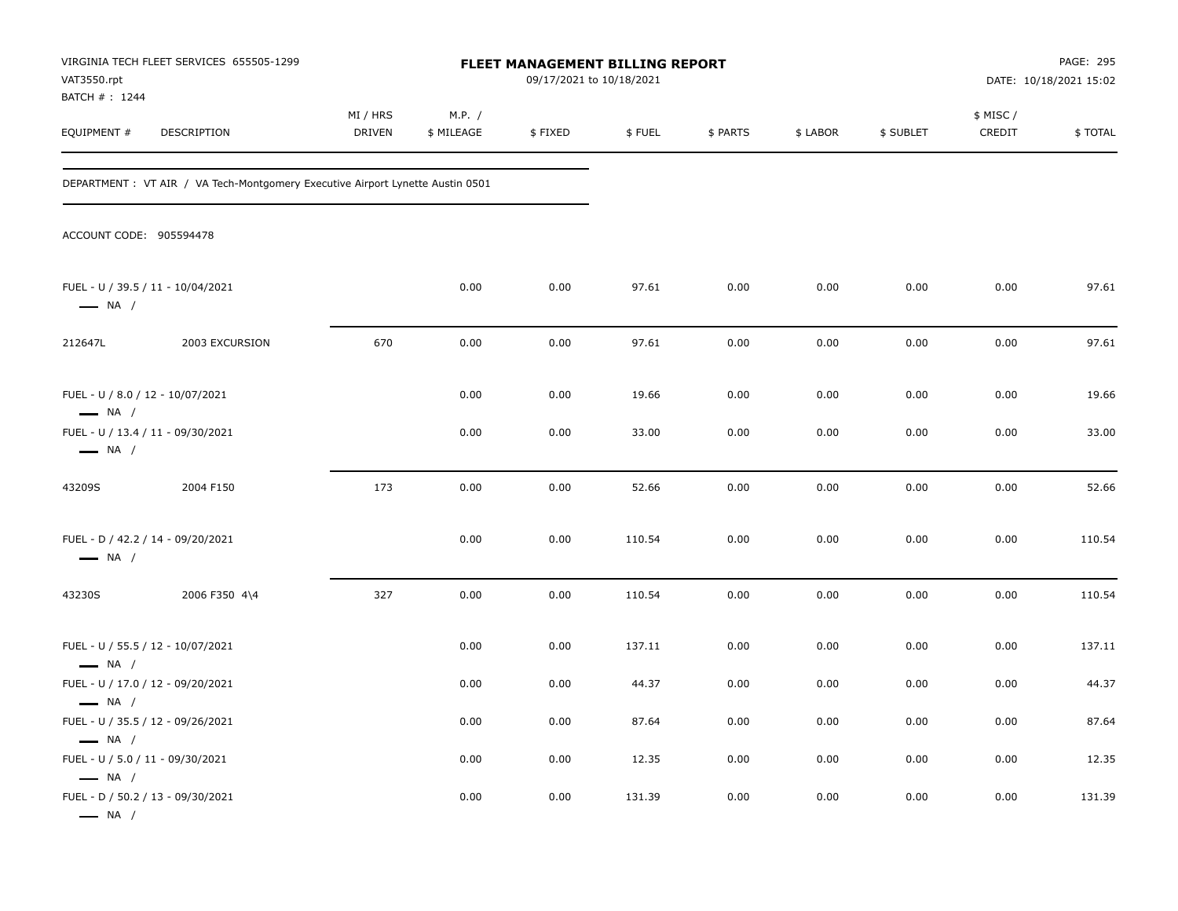| VAT3550.rpt<br>BATCH #: 1244                                                          | VIRGINIA TECH FLEET SERVICES 655505-1299                                       | <b>FLEET MANAGEMENT BILLING REPORT</b><br>09/17/2021 to 10/18/2021 |                      |         |        |          |          |           |                    | PAGE: 295<br>DATE: 10/18/2021 15:02 |  |
|---------------------------------------------------------------------------------------|--------------------------------------------------------------------------------|--------------------------------------------------------------------|----------------------|---------|--------|----------|----------|-----------|--------------------|-------------------------------------|--|
| EQUIPMENT #                                                                           | DESCRIPTION                                                                    | MI / HRS<br><b>DRIVEN</b>                                          | M.P. /<br>\$ MILEAGE | \$FIXED | \$FUEL | \$ PARTS | \$ LABOR | \$ SUBLET | \$ MISC/<br>CREDIT | \$TOTAL                             |  |
|                                                                                       | DEPARTMENT : VT AIR / VA Tech-Montgomery Executive Airport Lynette Austin 0501 |                                                                    |                      |         |        |          |          |           |                    |                                     |  |
| ACCOUNT CODE: 905594478                                                               |                                                                                |                                                                    |                      |         |        |          |          |           |                    |                                     |  |
| FUEL - U / 39.5 / 11 - 10/04/2021<br>$\longrightarrow$ NA /                           |                                                                                |                                                                    | 0.00                 | 0.00    | 97.61  | 0.00     | 0.00     | 0.00      | 0.00               | 97.61                               |  |
| 212647L                                                                               | 2003 EXCURSION                                                                 | 670                                                                | 0.00                 | 0.00    | 97.61  | 0.00     | 0.00     | 0.00      | 0.00               | 97.61                               |  |
| FUEL - U / 8.0 / 12 - 10/07/2021<br>$\longrightarrow$ NA /                            |                                                                                |                                                                    | 0.00                 | 0.00    | 19.66  | 0.00     | 0.00     | 0.00      | 0.00               | 19.66                               |  |
| FUEL - U / 13.4 / 11 - 09/30/2021<br>$\longrightarrow$ NA /                           |                                                                                |                                                                    | 0.00                 | 0.00    | 33.00  | 0.00     | 0.00     | 0.00      | 0.00               | 33.00                               |  |
| 43209S                                                                                | 2004 F150                                                                      | 173                                                                | 0.00                 | 0.00    | 52.66  | 0.00     | 0.00     | 0.00      | 0.00               | 52.66                               |  |
| FUEL - D / 42.2 / 14 - 09/20/2021<br>$\longrightarrow$ NA /                           |                                                                                |                                                                    | 0.00                 | 0.00    | 110.54 | 0.00     | 0.00     | 0.00      | 0.00               | 110.54                              |  |
| 43230S                                                                                | 2006 F350 4\4                                                                  | 327                                                                | 0.00                 | 0.00    | 110.54 | 0.00     | 0.00     | 0.00      | 0.00               | 110.54                              |  |
| FUEL - U / 55.5 / 12 - 10/07/2021<br>$\longrightarrow$ NA /                           |                                                                                |                                                                    | 0.00                 | 0.00    | 137.11 | 0.00     | 0.00     | 0.00      | 0.00               | 137.11                              |  |
| FUEL - U / 17.0 / 12 - 09/20/2021<br>$\longrightarrow$ NA /                           |                                                                                |                                                                    | 0.00                 | 0.00    | 44.37  | 0.00     | 0.00     | 0.00      | 0.00               | 44.37                               |  |
| FUEL - U / 35.5 / 12 - 09/26/2021<br>$\longrightarrow$ NA /                           |                                                                                |                                                                    | 0.00                 | 0.00    | 87.64  | 0.00     | 0.00     | 0.00      | 0.00               | 87.64                               |  |
| FUEL - U / 5.0 / 11 - 09/30/2021                                                      |                                                                                |                                                                    | 0.00                 | 0.00    | 12.35  | 0.00     | 0.00     | 0.00      | 0.00               | 12.35                               |  |
| $\longrightarrow$ NA /<br>FUEL - D / 50.2 / 13 - 09/30/2021<br>$\longrightarrow$ NA / |                                                                                |                                                                    | 0.00                 | 0.00    | 131.39 | 0.00     | 0.00     | 0.00      | 0.00               | 131.39                              |  |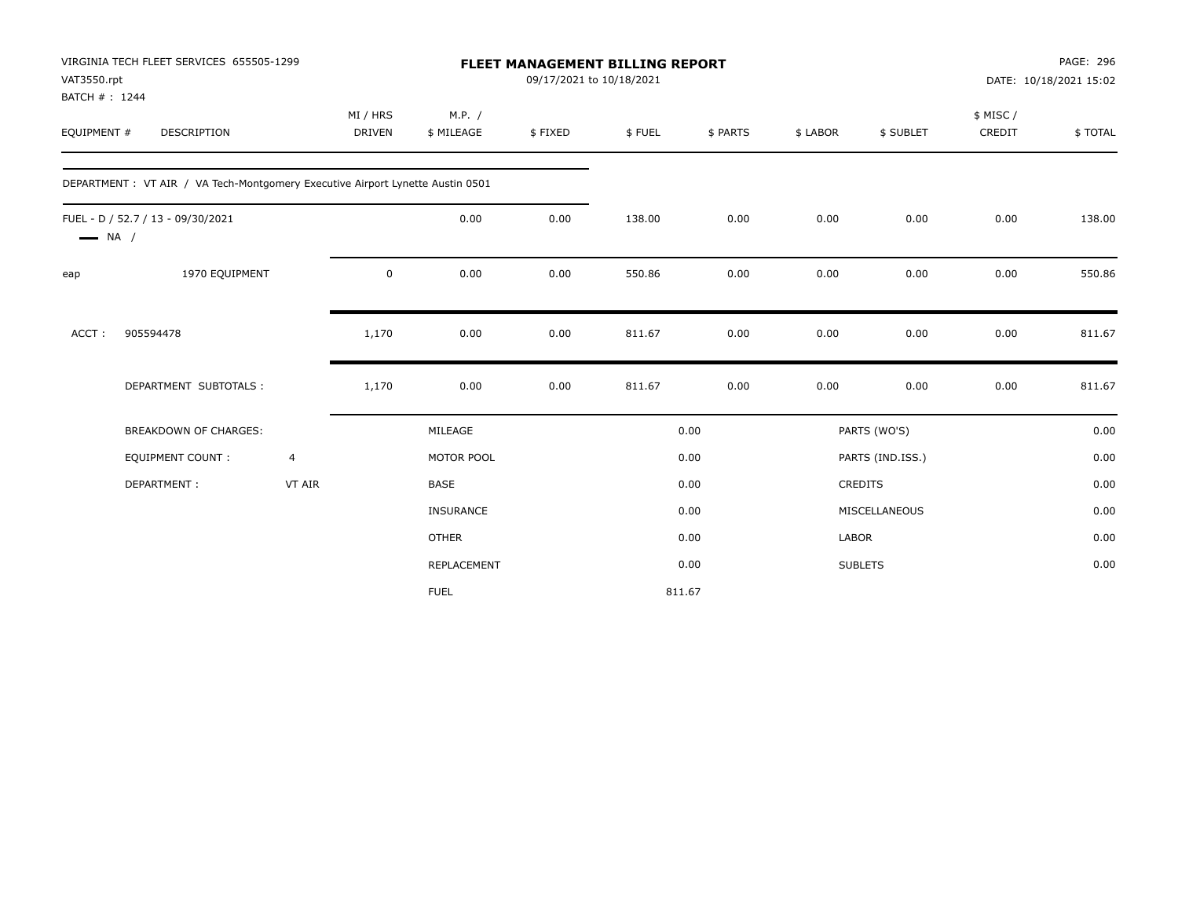| VAT3550.rpt<br>BATCH #: 1244 | VIRGINIA TECH FLEET SERVICES 655505-1299                                       |                | <b>FLEET MANAGEMENT BILLING REPORT</b><br>09/17/2021 to 10/18/2021 |                      |         |        |          |              |                  |                    | PAGE: 296<br>DATE: 10/18/2021 15:02 |  |
|------------------------------|--------------------------------------------------------------------------------|----------------|--------------------------------------------------------------------|----------------------|---------|--------|----------|--------------|------------------|--------------------|-------------------------------------|--|
| EQUIPMENT #                  | <b>DESCRIPTION</b>                                                             |                | MI / HRS<br><b>DRIVEN</b>                                          | M.P. /<br>\$ MILEAGE | \$FIXED | \$FUEL | \$ PARTS | \$ LABOR     | \$ SUBLET        | \$ MISC/<br>CREDIT | \$TOTAL                             |  |
|                              | DEPARTMENT : VT AIR / VA Tech-Montgomery Executive Airport Lynette Austin 0501 |                |                                                                    |                      |         |        |          |              |                  |                    |                                     |  |
| $\longrightarrow$ NA /       | FUEL - D / 52.7 / 13 - 09/30/2021                                              |                |                                                                    | 0.00                 | 0.00    | 138.00 | 0.00     | 0.00         | 0.00             | 0.00               | 138.00                              |  |
| eap                          | 1970 EQUIPMENT                                                                 |                | 0                                                                  | 0.00                 | 0.00    | 550.86 | 0.00     | 0.00         | 0.00             | 0.00               | 550.86                              |  |
| ACCT:                        | 905594478                                                                      |                | 1,170                                                              | 0.00                 | 0.00    | 811.67 | 0.00     | 0.00         | 0.00             | 0.00               | 811.67                              |  |
|                              | DEPARTMENT SUBTOTALS :                                                         |                | 1,170                                                              | 0.00                 | 0.00    | 811.67 | 0.00     | 0.00         | 0.00             | 0.00               | 811.67                              |  |
|                              | <b>BREAKDOWN OF CHARGES:</b>                                                   |                |                                                                    | MILEAGE              |         |        | 0.00     |              | PARTS (WO'S)     |                    | 0.00                                |  |
|                              | <b>EQUIPMENT COUNT:</b>                                                        | $\overline{4}$ |                                                                    | MOTOR POOL           |         |        | 0.00     |              | PARTS (IND.ISS.) |                    | 0.00                                |  |
|                              | DEPARTMENT:                                                                    | VT AIR         |                                                                    | BASE                 |         |        | 0.00     |              | CREDITS          |                    | 0.00                                |  |
|                              |                                                                                |                |                                                                    | <b>INSURANCE</b>     |         |        | 0.00     |              | MISCELLANEOUS    |                    | 0.00                                |  |
|                              |                                                                                |                |                                                                    | <b>OTHER</b>         |         |        | 0.00     | <b>LABOR</b> |                  |                    | 0.00                                |  |
|                              |                                                                                |                |                                                                    | REPLACEMENT          |         |        | 0.00     |              | <b>SUBLETS</b>   |                    | 0.00                                |  |
|                              |                                                                                |                |                                                                    | <b>FUEL</b>          |         | 811.67 |          |              |                  |                    |                                     |  |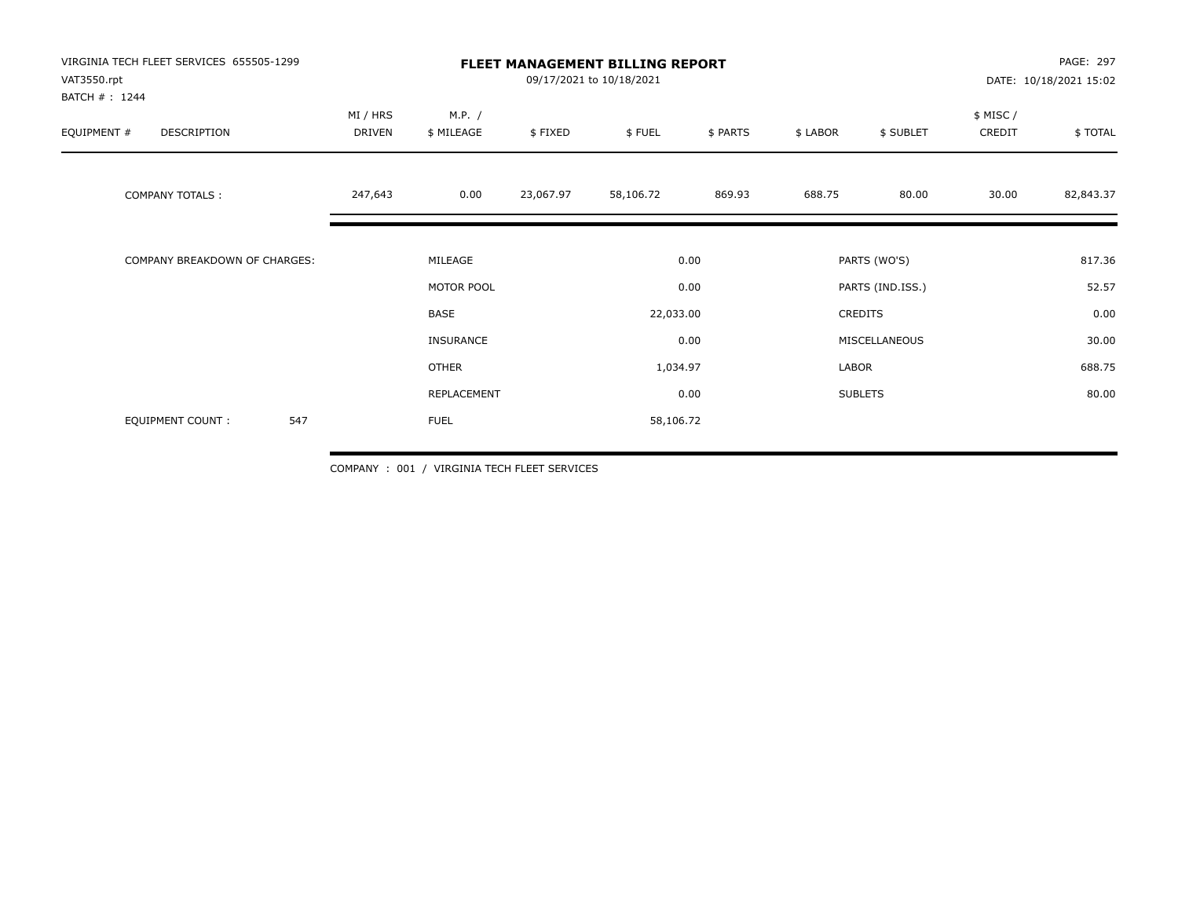| VIRGINIA TECH FLEET SERVICES 655505-1299<br>VAT3550.rpt |                    |                      | <b>FLEET MANAGEMENT BILLING REPORT</b><br>09/17/2021 to 10/18/2021 |                   | PAGE: 297<br>DATE: 10/18/2021 15:02 |                             |                |                     |           |
|---------------------------------------------------------|--------------------|----------------------|--------------------------------------------------------------------|-------------------|-------------------------------------|-----------------------------|----------------|---------------------|-----------|
| BATCH #: 1244<br>EQUIPMENT #<br>DESCRIPTION             | MI / HRS<br>DRIVEN | M.P. /<br>\$ MILEAGE | \$FIXED                                                            | \$FUEL            | \$ PARTS                            | \$ LABOR                    | \$ SUBLET      | \$ MISC /<br>CREDIT | \$TOTAL   |
| <b>COMPANY TOTALS:</b>                                  | 247,643            | 0.00                 | 23,067.97                                                          | 58,106.72         | 869.93                              | 688.75                      | 80.00          | 30.00               | 82,843.37 |
| COMPANY BREAKDOWN OF CHARGES:                           |                    | MILEAGE              |                                                                    |                   | 0.00                                |                             | PARTS (WO'S)   |                     | 817.36    |
|                                                         |                    | MOTOR POOL<br>BASE   |                                                                    | 0.00<br>22,033.00 |                                     | PARTS (IND.ISS.)<br>CREDITS |                | 52.57<br>0.00       |           |
|                                                         |                    |                      |                                                                    |                   |                                     |                             |                |                     |           |
|                                                         |                    | INSURANCE            |                                                                    |                   | 0.00                                |                             | MISCELLANEOUS  |                     | 30.00     |
|                                                         |                    | <b>OTHER</b>         |                                                                    | 1,034.97          |                                     | LABOR                       |                |                     | 688.75    |
|                                                         |                    | REPLACEMENT          |                                                                    |                   | 0.00                                |                             | <b>SUBLETS</b> |                     | 80.00     |
| 547<br><b>EQUIPMENT COUNT:</b>                          |                    | <b>FUEL</b>          |                                                                    | 58,106.72         |                                     |                             |                |                     |           |

COMPANY : 001 / VIRGINIA TECH FLEET SERVICES